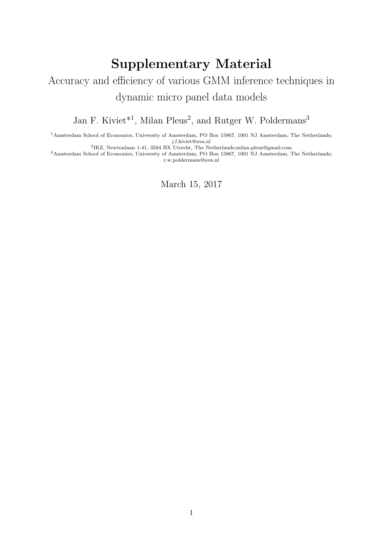## Supplementary Material

## <span id="page-0-0"></span>Accuracy and efficiency of various GMM inference techniques in dynamic micro panel data models

Jan F. Kiviet<sup>\*1</sup>, Milan Pleus<sup>2</sup>, and Rutger W. Poldermans<sup>3</sup>

<sup>1</sup>Amsterdam School of Economics, University of Amsterdam, PO Box 15867, 1001 NJ Amsterdam, The Netherlands;

j.f.kiviet@uva.nl 2 IKZ, Newtonlaan 1-41, 3584 BX Utrecht, The Netherlands;milan.pleus@gmail.com

<sup>3</sup>Amsterdam School of Economics, University of Amsterdam, PO Box 15867, 1001 NJ Amsterdam, The Netherlands; r.w.poldermans@uva.nl

March 15, 2017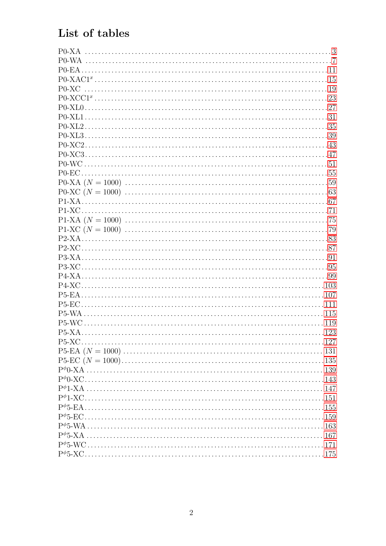## List of tables

| $P0-XC$ |  |
|---------|--|
|         |  |
|         |  |
|         |  |
|         |  |
|         |  |
|         |  |
|         |  |
|         |  |
|         |  |
|         |  |
|         |  |
|         |  |
|         |  |
|         |  |
|         |  |
|         |  |
|         |  |
|         |  |
|         |  |
|         |  |
|         |  |
|         |  |
|         |  |
|         |  |
|         |  |
|         |  |
|         |  |
|         |  |
|         |  |
|         |  |
|         |  |
|         |  |
|         |  |
|         |  |
|         |  |
|         |  |
|         |  |
|         |  |
|         |  |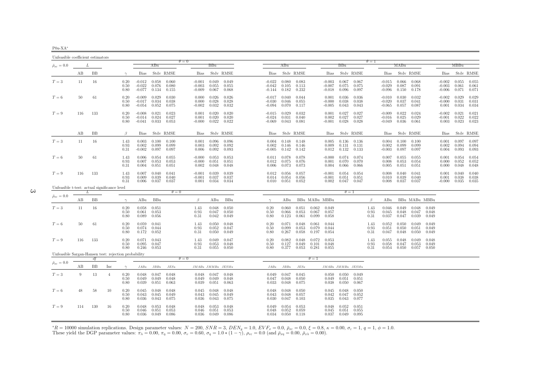| 2011- |  |
|-------|--|

<span id="page-2-0"></span>

| Unfeasible coefficient estimators |     |     |                                                      |                      |                                  |                         |                                 |                                  |                         |                         |                                                 |                                   |                         |                         |                                  |                         |                         |                      |                                  |                         |                         |                         |                                  |                                     |                         |
|-----------------------------------|-----|-----|------------------------------------------------------|----------------------|----------------------------------|-------------------------|---------------------------------|----------------------------------|-------------------------|-------------------------|-------------------------------------------------|-----------------------------------|-------------------------|-------------------------|----------------------------------|-------------------------|-------------------------|----------------------|----------------------------------|-------------------------|-------------------------|-------------------------|----------------------------------|-------------------------------------|-------------------------|
| $\bar{\rho}_{x\varepsilon}=0.0$   |     | L   |                                                      |                      |                                  | ABu                     |                                 | $\theta = 0$                     | BBu                     |                         |                                                 | ABu                               |                         |                         |                                  | <b>BBu</b>              |                         | $\theta=1$           |                                  | MABu                    |                         |                         |                                  | MBBu                                |                         |
|                                   | AВ  | BB  |                                                      | $\gamma$             | <b>Bias</b>                      |                         | Stdy RMSE                       | Bias                             |                         | Stdy RMSE               | Bias                                            |                                   | Stdy RMSE               |                         | Bias                             |                         | Stdy RMSE               |                      | <b>Bias</b>                      |                         | Stdy RMSE               |                         | <b>Bias</b>                      |                                     | Stdy RMSE               |
| $T=3$                             | 11  | 16  |                                                      | 0.20<br>0.50<br>0.80 | $-0.012$<br>$-0.022$<br>$-0.077$ | 0.076<br>0.134          | $0.058$ 0.060<br>0.080<br>0.155 | $-0.001$<br>$-0.003$<br>$-0.009$ | 0.049<br>0.055<br>0.067 | 0.049<br>0.055<br>0.068 | $-0.022$<br>$-0.042$<br>$-0.144$ $0.182$        | 0.080<br>0.105                    | 0.083<br>0.113<br>0.232 |                         | $-0.003$<br>$-0.007$<br>$-0.018$ | 0.067<br>0.075<br>0.096 | 0.067<br>0.075<br>0.097 |                      | $-0.015$<br>$-0.029$<br>$-0.096$ | 0.066<br>0.087<br>0.150 | 0.068<br>0.091<br>0.178 |                         | $-0.002$<br>$-0.003$<br>$-0.006$ | 0.055<br>0.061<br>0.071             | 0.055<br>0.061<br>0.071 |
| $T=6$                             | 50  | 61  |                                                      | 0.20<br>0.50<br>0.80 | $-0.009$<br>$-0.017$<br>$-0.054$ | 0.029<br>0.034<br>0.052 | 0.030<br>0.038<br>0.075         | 0.000<br>0.000<br>$-0.002$       | 0.026<br>0.028<br>0.032 | 0.026<br>0.028<br>0.032 | $-0.017$ 0.040<br>$-0.030$<br>$-0.094$          | 0.046<br>0.070                    | 0.044<br>0.055<br>0.117 |                         | 0.001<br>$-0.000$<br>$-0.005$    | 0.036<br>0.038<br>0.043 | 0.036<br>0.038<br>0.043 |                      | $-0.010$<br>$-0.020$<br>$-0.065$ | 0.030<br>0.037<br>0.057 | 0.032<br>0.041<br>0.087 |                         | $-0.002$<br>$-0.000$<br>0.001    | 0.029<br>0.031<br>0.034             | 0.029<br>0.031<br>0.034 |
| $T=9$                             | 116 | 133 |                                                      | 0.20<br>0.50<br>0.80 | $-0.008$<br>$-0.014$<br>$-0.041$ | 0.021<br>0.024<br>0.033 | 0.023<br>0.027<br>0.053         | 0.001<br>0.001<br>$-0.000$       | 0.020<br>0.020<br>0.022 | 0.020<br>0.020<br>0.022 | $-0.015$ 0.029<br>$-0.024$<br>$-0.069$          | 0.031<br>0.043                    | 0.032<br>0.040<br>0.081 |                         | 0.001<br>0.002<br>$-0.001$       | 0.027<br>0.027<br>0.028 | 0.027<br>0.027<br>0.028 |                      | $-0.009$<br>$-0.016$<br>$-0.049$ | 0.022<br>0.025<br>0.036 | 0.024<br>0.029<br>0.061 |                         | $-0.002$<br>$-0.001$<br>0.003    | 0.021<br>0.022<br>0.023             | 0.021<br>0.022<br>0.023 |
|                                   | AВ  | BB  |                                                      | $\beta$              | <b>Bias</b>                      |                         | Stdy RMSE                       | Bias                             |                         | Stdy RMSE               | Bias                                            |                                   | Stdy RMSE               |                         | <b>Bias</b>                      |                         | Stdy RMSE               |                      | Bias                             |                         | Stdy RMSE               |                         | <b>Bias</b>                      |                                     | Stdy RMSE               |
| $T=3$                             | 11  | 16  |                                                      | 1.43<br>0.93<br>0.31 | 0.003<br>0.002<br>$-0.002$       | 0.100<br>0.099<br>0.097 | 0.100<br>0.099<br>0.097         | 0.001<br>0.003<br>0.006          | 0.096<br>0.092<br>0.092 | 0.096<br>0.092<br>0.093 | 0.004<br>0.002<br>$-0.005$                      | 0.148<br>0.146<br>0.142           | 0.148<br>0.146<br>0.142 |                         | 0.005<br>0.009<br>0.012          | 0.136<br>0.131<br>0.132 | 0.136<br>0.131<br>0.133 |                      | 0.004<br>0.002<br>$-0.003$       | 0.100<br>0.099<br>0.097 | 0.100<br>0.099<br>0.097 |                         | 0.001<br>0.002<br>0.004          | 0.097<br>0.094<br>0.093             | 0.097<br>0.094<br>0.093 |
| $T=6$                             | 50  | 61  |                                                      | 1.43<br>0.93<br>0.31 | 0.006<br>0.007<br>0.004          | 0.054<br>0.053<br>0.051 | 0.055<br>0.053<br>0.051         | $-0.000$<br>$-0.000$<br>0.002    | 0.053<br>0.051<br>0.048 | 0.053<br>0.051<br>0.048 | 0.012<br>0.006                                  | $0.011$ $0.078$<br>0.075<br>0.073 | 0.078<br>0.076<br>0.073 |                         | $-0.000$<br>0.001<br>0.004       | 0.074<br>0.070<br>0.066 | 0.074<br>0.070<br>0.066 |                      | 0.007<br>0.008<br>0.005          | 0.055<br>0.053<br>0.051 | 0.055<br>0.054<br>0.051 |                         | 0.001<br>0.000<br>0.000          | 0.054<br>0.052<br>0.048             | 0.054<br>0.052<br>0.048 |
| $T=9$                             | 116 | 133 |                                                      | 1.43<br>0.93<br>0.31 | 0.007<br>0.009<br>0.006          | 0.040<br>0.039<br>0.037 | 0.041<br>0.040<br>0.037         | $-0.001$<br>$-0.001$<br>0.001    | 0.039<br>0.037<br>0.034 | 0.039<br>0.037<br>0.034 | 0.012<br>$0.014$ $0.054$<br>$0.010 \quad 0.051$ | 0.056                             | 0.057<br>0.056<br>0.052 |                         | $-0.001$<br>$-0.001$<br>0.002    | 0.054<br>0.051<br>0.047 | 0.054<br>0.051<br>0.047 |                      | 0.008<br>0.010<br>0.008          | 0.040<br>0.039<br>0.037 | 0.041<br>0.040<br>0.037 |                         | 0.001<br>0.001                   | 0.040<br>0.038<br>$-0.000 \t 0.035$ | 0.040<br>0.038<br>0.035 |
|                                   |     |     | Unfeasible t-test: actual significance level         |                      |                                  |                         | $\theta = 0$                    |                                  |                         |                         |                                                 |                                   |                         |                         |                                  | $\theta=1$              |                         |                      |                                  |                         |                         |                         |                                  |                                     |                         |
| $\bar{\rho}_{x\varepsilon}=0.0$   | AВ  | BB  |                                                      | $\gamma$             | ABu                              | BBu                     |                                 | $\beta$                          | ABu                     | BBu                     | $\gamma$                                        | ABu                               |                         |                         | BBu MABu MBBu                    |                         |                         | $\beta$              | ABu                              |                         |                         | BBu MABu MBBu           |                                  |                                     |                         |
| $T=3$                             | 11  | 16  |                                                      | 0.20<br>0.50<br>0.80 | 0.058<br>0.061<br>0.089          | 0.051<br>0.053<br>0.056 |                                 | 1.43<br>0.93<br>0.31             | 0.048<br>0.047<br>0.042 | 0.050<br>0.050<br>0.049 | 0.20<br>0.50<br>0.80                            | 0.060<br>0.066<br>0.123           | 0.051<br>0.053<br>0.061 | 0.062<br>0.067<br>0.099 | 0.049<br>0.057<br>0.058          |                         |                         | 1.43<br>0.93<br>0.31 | 0.046<br>0.045<br>0.037          | 0.049<br>0.048<br>0.047 | 0.048<br>0.047<br>0.039 | 0.049<br>0.048<br>0.049 |                                  |                                     |                         |
| $T=6$                             | 50  | 61  |                                                      | 0.20<br>0.50<br>0.80 | 0.059<br>0.074<br>0.172          | 0.041<br>0.044<br>0.052 |                                 | 1.43<br>0.93<br>0.31             | 0.050<br>0.052<br>0.050 | 0.048<br>0.047<br>0.049 | 0.20<br>0.50<br>0.80                            | 0.071<br>0.099<br>0.267           | 0.048<br>0.053<br>0.058 | 0.061<br>0.079<br>0.197 | 0.044<br>0.044<br>0.054          |                         |                         | 1.43<br>0.93<br>0.31 | 0.052<br>0.051<br>0.047          | 0.050<br>0.050<br>0.048 | 0.049<br>0.051<br>0.050 | 0.049<br>0.049<br>0.049 |                                  |                                     |                         |
| $T=9$                             | 116 | 133 |                                                      | 0.20<br>0.50<br>0.80 | 0.071<br>0.095<br>0.246          | 0.043<br>0.047<br>0.053 |                                 | 1.43<br>0.93<br>0.31             | 0.049<br>0.053<br>0.055 | 0.047<br>0.048<br>0.050 | 0.20<br>0.50<br>0.80                            | 0.082<br>0.127<br>0.377           | 0.048<br>0.049<br>0.053 | 0.072<br>0.101<br>0.281 | 0.053<br>0.048<br>0.055          |                         |                         | 1.43<br>0.93<br>0.31 | 0.055<br>0.058<br>0.054          | 0.048<br>0.047<br>0.050 | 0.049<br>0.053<br>0.057 | 0.048<br>0.049<br>0.050 |                                  |                                     |                         |
|                                   |     | df  | Unfeasible Sargan-Hansen test: rejection probability |                      |                                  |                         |                                 | $\theta = 0$                     |                         |                         |                                                 |                                   |                         | $\theta = 1$            |                                  |                         |                         |                      |                                  |                         |                         |                         |                                  |                                     |                         |
| $\bar{\rho}_{x\varepsilon}=0.0$   | AВ  | BB  | Inc                                                  | $\gamma$             | JABu                             | JBBu                    | JESu                            |                                  | $JMABu$ $JMMBu$ $JESMu$ |                         | JABu                                            | JBBu                              | JESu                    |                         | $JMABu\ JMMBu\ JESMu$            |                         |                         |                      |                                  |                         |                         |                         |                                  |                                     |                         |
| $T=3$                             | 9   | 13  | $\overline{4}$                                       | 0.20<br>0.50<br>0.80 | 0.048<br>0.049<br>0.039          | 0.047<br>0.049<br>0.051 | 0.048<br>0.048<br>0.063         | 0.048<br>0.049<br>0.039          | 0.047<br>0.049<br>0.051 | 0.048<br>0.048<br>0.063 | 0.049<br>0.047<br>0.033                         | 0.047<br>0.048<br>0.048           | 0.045<br>0.050<br>0.075 |                         | 0.050<br>0.049<br>0.038          | 0.050<br>0.051<br>0.050 | 0.049<br>0.051<br>0.067 |                      |                                  |                         |                         |                         |                                  |                                     |                         |
| $T=6$                             | 48  | 58  | 10                                                   | 0.20<br>0.50<br>0.80 | 0.045<br>0.043<br>0.036          | 0.048<br>0.045<br>0.043 | 0.048<br>0.049<br>0.075         | 0.045<br>0.043<br>0.036          | 0.048<br>0.045<br>0.043 | 0.048<br>0.049<br>0.075 | 0.048<br>0.043<br>0.030                         | 0.048<br>0.048<br>0.047           | 0.050<br>0.057<br>0.103 |                         | 0.045<br>0.042<br>0.035          | 0.048<br>0.047<br>0.043 | 0.050<br>0.052<br>0.077 |                      |                                  |                         |                         |                         |                                  |                                     |                         |
| $T=9$                             | 114 | 130 | 16                                                   | 0.20<br>0.50<br>0.80 | 0.048<br>0.046<br>0.036          | 0.053<br>0.051<br>0.049 | 0.048<br>0.053<br>0.086         | 0.048<br>0.046<br>0.036          | 0.053<br>0.051<br>0.049 | 0.048<br>0.053<br>0.086 | 0.049<br>0.048<br>0.034                         | 0.054<br>0.052<br>0.050           | 0.053<br>0.059<br>0.118 |                         | 0.048<br>0.045<br>0.037          | 0.052<br>0.051<br>0.049 | 0.051<br>0.055<br>0.095 |                      |                                  |                         |                         |                         |                                  |                                     |                         |

 $\mathbf{c}$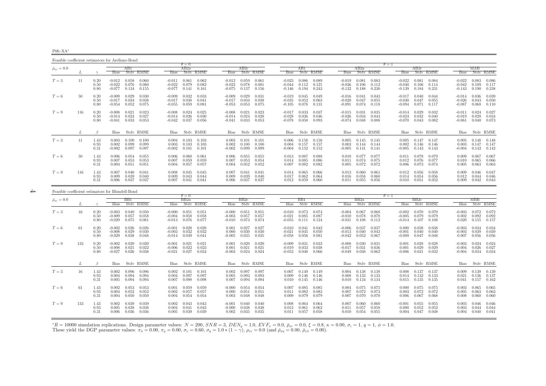P0fc-XA∗

Feasible coefficient estimators for Arellano-Bond $\theta = 0$  $AB2a$  $\theta = 1$ <br>a  $\theta = 1$  $\bar{\rho}_{x\varepsilon}=0.0$  $_{\varepsilon}$  = 0.0  $_{\varepsilon}$   $_{\varepsilon}$   $_{\varepsilon}$   $_{\varepsilon}$   $_{\varepsilon}$   $_{\varepsilon}$   $_{\varepsilon}$   $_{\varepsilon}$   $_{\varepsilon}$   $_{\varepsilon}$   $_{\varepsilon}$   $_{\varepsilon}$   $_{\varepsilon}$   $_{\varepsilon}$   $_{\varepsilon}$   $_{\varepsilon}$   $_{\varepsilon}$   $_{\varepsilon}$   $_{\varepsilon}$   $_{\varepsilon}$   $_{\varepsilon}$   $_{\varepsilon}$   $_{\varepsilon}$ L  $\gamma$  Bias Stdv RMSE Bias Stdv RMSE Bias Stdv RMSE Bias Stdv RMSE Bias Stdv RMSE Bias Stdv RMSE Bias Stdv RMSE0.086  $T=3$  $T=3 \hskip 1.0 11 \hskip 1.0 0.20$   $-0.012$   $0.058$   $0.060$   $-0.011$   $0.061$   $0.062$   $-0.012$   $0.059$   $0.061$   $-0.023$   $0.086$   $0.089$   $-0.019$   $0.081$   $0.083$   $-0.022$   $0.081$   $0.084$   $-0.022$   $0.083$   $0.086$   $0.114$   $-0.042$  0.50 -0.022 0.076 0.080 -0.022 0.079 0.082 -0.022 0.078 0.081 -0.044 0.112 0.121 -0.036 0.106 0.112 -0.040 0.106 0.114 -0.042 0.109 0.117 $-0.143$   $0.190$   $0.238$ 0.80 -0.077 0.134 0.155 -0.077 0.141 0.161 -0.075 0.137 0.156 -0.146 0.194 0.243 -0.132 0.188 0.230 -0.139 0.184 0.231 -0.143 0.190 0.2380.039  $T=6$  $T=6$   $50$   $0.20$   $-0.009$   $0.029$   $0.030$   $-0.009$   $0.032$   $0.033$   $-0.009$   $0.029$   $0.031$   $-0.019$   $0.049$   $-0.016$   $0.041$   $0.043$   $-0.017$   $0.040$   $0.044$   $-0.014$   $-0.014$   $-0.014$   $-0.014$   $-0.014$   $-0.036$   $0.039$ 0.50 -0.017 0.034 0.038 -0.017 0.038 0.041 -0.017 0.034 0.038 -0.035 0.052 0.063 -0.028 0.047 0.055 -0.030 0.047 0.055 -0.026 0.043 0.050 $0.068$   $0.110$  $0.80$   $-0.054$   $0.052$   $0.075$   $-0.055$   $0.059$   $0.081$   $-0.053$   $0.075$   $-0.105$   $0.078$   $0.131$   $-0.091$   $0.074$   $0.118$   $-0.094$   $0.071$   $0.117$   $-0.087$ 0.027  $T=9$  $T=9 \hspace{1.5mm} 116 \hspace{1.5mm} 0.20 \hspace{1.5mm} 0.011 \hspace{1.5mm} 0.023 \hspace{1.5mm} 0.024 \hspace{1.5mm} 0.023 \hspace{1.5mm} 0.025 \hspace{1.5mm} 0.031 \hspace{1.5mm} 0.031 \hspace{1.5mm} 0.035 \hspace{1.5mm} 0.031 \hspace{1.5mm} 0.032 \hspace{1.5mm} 0.014 \hspace{1.5mm} 0.029 \hspace{1.5mm}$  $\begin{array}{cccccccccccccccc} 0.50 & -0.014 & 0.024 & 0.027 & -0.014 & 0.026 & 0.030 & -0.014 & 0.024 & 0.024 & 0.028 & -0.028 & 0.036 & 0.046 & -0.026 & 0.034 & 0.043 & -0.024 & 0.032 & 0.040 & -0.019 & 0.028 & 0.034 & 0.024 & 0.028 & -0.026 & 0.034 & 0.040 & -0.026 & 0.034 &$  $0.040 \qquad 0.073$ 0.80 -0.041 0.033 0.053 -0.042 0.037 0.056 -0.041 0.033 0.053 -0.078 0.050 0.093 -0.074 0.048 0.088 -0.070 0.043 0.082 -0.061 0.040 0.073 $L \qquad \qquad \beta$ Bias Stdv RMSE Bias Stdv RMSE Bias Stdv RMSE Bias Stdv RMSE Bias Stdv RMSE Bias Stdv RMSE Bias Stdv RMSE Bias Stdv RMSE  $0.005$   $0.148$   $0.148$  $T=3$  $T=3 \hskip 1.08in 143 \hskip 1.08in 0.003 \hskip 1.08in 0.100 \hskip 1.08in 0.04 \hskip 1.08in 0.103 \hskip 1.08in 0.103 \hskip 1.08in 0.003 \hskip 1.08in 0.011 \hskip 1.08in 0.010 \hskip 1.08in 0.010 \hskip 1.08in 0.011 \hskip 1.08in 0.004 \hskip 1.08in 0.158 \hskip 1.08in 0.158 \hskip 1.08in$  $0.93$   $0.002$   $0.099$   $0.003$   $0.103$   $0.103$   $0.002$   $0.000$   $0.100$   $0.004$   $0.157$   $0.157$   $0.003$   $0.144$   $0.144$   $0.002$   $0.146$   $0.146$   $0.003$   $0.147$   $0.147$ 0.142  $0.31$   $-0.002$   $0.097$   $-0.002$   $0.101$   $0.101$   $-0.002$   $0.099$   $0.099$   $-0.004$   $0.152$   $0.152$   $-0.005$   $0.141$   $0.141$   $-0.005$   $0.143$   $0.143$   $-0.004$   $0.142$   $0.142$  $0.067$  $T=6$  $T=6$   $50$   $1.43$   $0.006$   $0.054$   $0.055$   $0.006$   $0.060$   $0.061$   $0.055$   $0.055$   $0.055$   $0.013$   $0.087$   $0.088$   $0.010$   $0.077$   $0.077$   $0.077$   $0.011$   $0.078$   $0.079$   $0.009$   $0.067$   $0.065$   $0.066$   $0.059$   $0.007$   $0.$ 0.93 0.007 0.053 0.053 0.007 0.059 0.059 0.007 0.053 0.054 0.014 0.085 0.086 0.011 0.074 0.075 0.012 0.076 0.077 0.010 0.065 0.0660.063  $0.31$   $0.004$   $0.051$   $0.004$   $0.057$   $0.057$   $0.004$   $0.052$   $0.052$   $0.007$   $0.082$   $0.082$   $0.005$   $0.072$   $0.072$   $0.072$   $0.006$   $0.073$   $0.074$   $0.005$   $0.063$   $0.063$ 0.047  $T=9$  $T=9 \hspace{1.5mm} 116 \hspace{1.5mm} 1.43 \hspace{1.5mm} 0.007 \hspace{1.5mm} 0.040 \hspace{1.5mm} 0.041 \hspace{1.5mm} 0.008 \hspace{1.5mm} 0.045 \hspace{1.5mm} 0.045 \hspace{1.5mm} 0.007 \hspace{1.5mm} 0.041 \hspace{1.5mm} 0.041 \hspace{1.5mm} 0.041 \hspace{1.5mm} 0.041 \hspace{1.5mm} 0.041 \hspace{1.5mm}$ 0.93 0.009 0.039 0.040 0.009 0.043 0.044 0.009 0.039 0.040 0.017 0.062 0.064 0.016 0.058 0.060 0.014 0.054 0.056 0.012 0.044 0.046 $0.009$   $0.042$   $0.043$  $0.31$   $0.006$   $0.037$   $0.037$   $0.007$   $0.041$   $0.041$   $0.006$   $0.037$   $0.037$   $0.037$   $0.012$   $0.059$   $0.060$   $0.011$   $0.055$   $0.056$   $0.010$   $0.051$   $0.052$ 

Feasible coefficient estimators for Blundell-Bond $\theta = 0$  $-$  RR2a θ  $\theta = 1$ <br>a BR2c BR2c BR1 BR2a  $\bar{\rho}_{x\varepsilon}=0.0$  <sup>=</sup> <sup>0</sup>.<sup>0</sup> BB1 BB2a BB2c BB1 BB2a BB2c MBB $L \qquad \gamma$  $\gamma$  Bias Stdv RMSE Bias Stdv RMSE Bias Stdv RMSE Bias Stdv RMSE Bias Stdv RMSE Bias Stdv RMSE Bias Stdv RMSE  $-0.003$   $0.072$   $0.072$  $T=3$  $T=3$   $16$   $0.20$   $-0.003$   $0.049$   $0.050$   $-0.000$   $0.051$   $0.051$   $-0.000$   $0.051$   $0.051$   $-0.010$   $0.073$   $0.074$   $-0.004$   $0.067$   $0.068$   $-0.002$   $0.070$   $-0.003$   $0.072$   $0.072$   $0.079$   $-0.003$   $0.092$   $0.092$   $0.$  $0.50$   $-0.009$   $0.057$   $0.058$   $-0.004$   $0.058$   $0.058$   $-0.003$   $0.057$   $0.087$   $-0.010$   $0.085$   $0.087$   $-0.010$   $0.078$   $0.078$   $-0.005$   $0.079$   $0.079$   $0.092$   $0.092$   $0.092$  $0.155$   $0.157$ 0.80 -0.029 0.075 0.081 -0.013 0.076 0.077 -0.010 0.073 0.074 -0.055 0.111 0.124 -0.031 0.108 0.112 -0.014 0.107 0.108 0.020 0.155 0.157 $T=6$  $T=6$   $61$   $0.20$   $-0.002$   $0.026$   $0.026$   $-0.001$   $0.028$   $0.032$   $0.030$   $0.027$   $0.027$   $-0.010$   $0.041$   $0.042$   $-0.006$   $0.037$   $0.037$   $0.030$   $0.038$   $0.038$   $-0.003$   $0.034$   $0.034$   $0.040$   $-0.001$   $0.040$   $-0.0$ 0.50 -0.008 0.029 0.030 -0.003 0.032 0.032 0.000 0.030 0.030 -0.021 0.045 0.050 -0.013 0.040 0.043 -0.001 0.040 0.040 -0.003 0.039 0.0390.80 -0.029 0.038 0.048 -0.014 0.039 0.041 -0.005 0.035 0.035 -0.058 0.056 0.081 -0.042 0.052 0.067 -0.009 0.047 0.048 0.007 0.056 0.056 $0.024$  $T=9$  $T=9$   $133$   $0.20$   $-0.002$   $0.020$   $-0.001$   $0.021$   $0.021$   $0.021$   $0.020$   $0.020$   $-0.009$   $0.031$   $0.033$   $0.031$   $0.031$   $0.031$   $0.028$   $0.028$   $-0.003$   $0.028$   $-0.003$   $0.024$   $0.024$   $0.024$   $0.025$   $-0.004$   $0.0$ 0.50 -0.008 0.021 0.022 -0.006 0.022 0.023 0.001 0.021 0.021 -0.019 0.033 0.038 -0.017 0.031 0.036 0.001 0.029 0.029 -0.004 0.026 0.0270.034 0.80 -0.027 0.026 0.038 -0.021 0.027 0.034 -0.003 0.024 0.024 -0.053 0.040 0.066 -0.049 0.038 0.062 -0.006 0.031 0.032 -0.004 0.034 0.034 $L \qquad \qquad \beta$ Bias Stdv RMSE Bias Stdv RMSE Bias Stdv RMSE Bias Stdv RMSE Bias Stdv RMSE Bias Stdv RMSE Bias Stdv RMSE Bias Stdv RMSE  $0.009$   $0.139$   $0.139$  $T=3$  $T=3 \hskip 1.0in \hskip 1.0in 1.43 \hskip 1.0in 0.002 \hskip 1.0in 0.096 \hskip 1.0in 0.002 \hskip 1.0in 0.101 \hskip 1.0in 0.002 \hskip 1.0in 0.097 \hskip 1.0in 0.007 \hskip 1.0in 0.007 \hskip 1.0in 0.004 \hskip 1.0in 0.149 \hskip 1.0in 0.149 \hskip 1.0in 0.149 \hskip 1.0in 0.149 \hskip 1.0in 0.138$ 0.93 0.004 0.094 0.094 0.004 0.097 0.097 0.005 0.093 0.093 0.009 0.146 0.146 0.008 0.133 0.133 0.014 0.132 0.133 0.021 0.136 0.1370.162 0.31 0.005 0.094 0.094 0.007 0.098 0.098 0.007 0.094 0.094 0.010 0.145 0.146 0.010 0.134 0.134 0.015 0.135 0.135 0.041 0.157 0.162 $T=6$  $T=6$  61  $1.43$   $0.002$   $0.053$   $0.053$   $0.001$   $0.059$   $0.059$   $-0.000$   $0.054$   $0.0054$   $0.007$   $0.085$   $0.085$   $0.004$   $0.075$   $0.075$   $0.000$   $0.075$   $0.075$   $0.075$   $0.075$   $0.075$   $0.075$   $0.075$   $0.003$   $0.065$   $0.$  $\frac{0.93}{0.004}$   $\frac{0.052}{0.052}$   $\frac{0.002}{0.002}$   $\frac{0.057}{0.057}$   $\frac{0.000}{0.051}$   $\frac{0.051}{0.011}$   $\frac{0.011}{0.082}$   $\frac{0.083}{0.083}$   $\frac{0.007}{0.072}$   $\frac{0.072}{0.072}$   $\frac{0.072}{0.072}$   $\frac{0.005}{0.072}$   $\frac{0.$  $0.060$ 0.31 0.004 0.050 0.050 0.004 0.054 0.054 0.003 0.048 0.048 0.009 0.079 0.079 0.007 0.070 0.070 0.006 0.067 0.068 0.008 0.060 0.060 $T=9$  $T=9 \hspace{1cm} 133 \hspace{1cm} 1.43 \hspace{1cm} 0.002 \hspace{1cm} 0.039 \hspace{1cm} 0.002 \hspace{1cm} 0.043 \hspace{1cm} 0.043 \hspace{1cm} 0.001 \hspace{1cm} 0.040 \hspace{1cm} 0.040 \hspace{1cm} 0.004 \hspace{1cm} 0.004 \hspace{1cm} 0.064 \hspace{1cm} 0.060 \hspace{1cm} 0.060 \hspace{1cm} 0.060 \hspace{1cm} 0.00$ 0.93 0.005 0.038 0.038 0.004 0.041 0.042 -0.000 0.038 0.038 0.012 0.061 0.062 0.011 0.057 0.058 0.000 0.052 0.052 0.003 0.044 0.044 $0.004$   $0.040$   $0.041$ 0.31 0.006 0.036 0.036 0.005 0.039 0.039 0.002 0.035 0.035 0.011 0.057 0.058 0.010 0.054 0.055 0.004 0.047 0.048 0.004 0.040 0.041

 ${}^*R = 10000$  simulation replications. Design parameter values:  $N = 200$ ,  $SNR = 3$ ,  $DEN_y = 1.0$ ,  $EVF_x = 0.0$ ,  $\bar{p}_{xz} = 0.0$ ,  $\xi = 0.8$ ,  $\kappa = 0.00$ ,  $\sigma_{\varepsilon} = 1$ ,  $q = 1$ ,  $\phi = 1.0$ .<br>These yield the DGP parameter values:  $\pi$  $*R = 10000$  simulation replications. Design parameter values:  $N = 200$ ,  $SNR = 3$ ,  $DEN_y = 1.0$ ,  $EVF_x = 0.0$ ,  $\bar{p}_{xz} = 0.0$ ,  $\xi = 0.8$ , These yield the DGP parameter values:  $\pi_{\lambda} = 0.00$ ,  $\pi_{\eta} = 0.00$ ,  $\sigma_v = 0.60$ ,  $\sigma_{\eta}$ 

 $\rightarrow$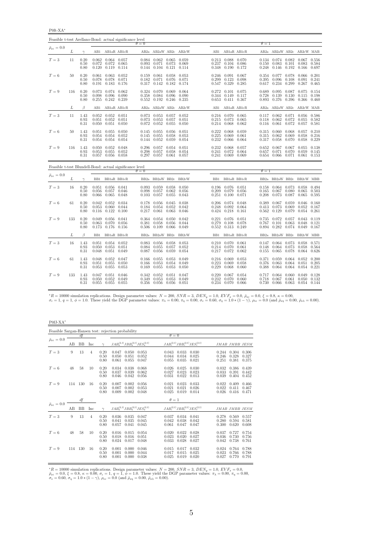P0ft-XA<sup>∗</sup>

| Feasible t-test Arellano-Bond: actual significance level |     |                      |                         |                                                               |                                           |                         |                                                                     |                |                         |                         |                                                                               |                |                         |                                                           |                         |                                                             |                |
|----------------------------------------------------------|-----|----------------------|-------------------------|---------------------------------------------------------------|-------------------------------------------|-------------------------|---------------------------------------------------------------------|----------------|-------------------------|-------------------------|-------------------------------------------------------------------------------|----------------|-------------------------|-----------------------------------------------------------|-------------------------|-------------------------------------------------------------|----------------|
| $\bar{\rho}_{x\varepsilon}=0.0$                          |     |                      |                         |                                                               |                                           | $\theta = 0$            |                                                                     |                |                         |                         |                                                                               |                | $\theta = 1$            |                                                           |                         |                                                             |                |
|                                                          | L   | $\gamma$             |                         |                                                               | AB1 AB1aR AB1cR                           |                         |                                                                     |                | AB2a AB2aW AB2c AB2cW   |                         | AB1 AB1aR AB1cR                                                               |                |                         | AB2a AB2aW AB2c AB2cW MAB                                 |                         |                                                             |                |
| $T=3$                                                    | 11  | 0.20<br>0.50<br>0.80 | 0.072<br>0.120          | $0.062$ $0.064$ $0.057$                                       | $0.072$ 0.065<br>$0.119$ $0.114$          | 0.093<br>0.144          | $0.084$ $0.062$ $0.065$ $0.059$<br>0.071 0.073<br>$0.104$ $0.121$   |                | 0.069<br>0.114          |                         | 0.213 0.088 0.070<br>$0.237$ $0.104$ $0.086$<br>0.348 0.190 0.172             |                | 0.134<br>0.150<br>0.248 | 0.083<br>0.146                                            | 0.101<br>0.192          | $0.074$ $0.082$ $0.067$ $0.556$<br>0.083<br>0.166           | 0.584<br>0.697 |
| $T=6$                                                    | 50  | 0.20<br>0.50<br>0.80 | 0.061<br>0.078<br>0.191 | 0.078<br>0.183                                                | $0.063$ $0.052$<br>0.071<br>0.176         | 0.159<br>0.317          | $0.061$ $0.058$<br>$0.182$ $0.071$ $0.076$<br>$0.142$ $0.182$       |                | 0.053<br>0.071<br>0.174 | 0.299                   | $0.246$ $0.091$ $0.067$<br>0.123<br>0.547 0.329                               | 0.098<br>0.285 | 0.395<br>0.617          | 0.354 0.077<br>0.096<br>0.234                             | 0.078<br>0.108<br>0.299 | $0.066$ $0.201$<br>0.091<br>$0.267$ $0.465$                 | 0.241          |
| $T=9$                                                    | 116 | 0.20<br>0.50<br>0.80 | 0.073<br>0.098<br>0.255 | 0.074 0.062<br>0.096                                          | 0.090<br>$0.242$ $0.239$                  | 0.324<br>0.358<br>0.552 | $0.070 \quad 0.069$<br>0.084<br>$0.192 \quad 0.246$                 | 0.096          | 0.064<br>0.090<br>0.235 |                         | 0.272 0.101 0.075<br>$0.344$ $0.149$ $0.117$<br>0.653 0.411 0.367             |                | 0.689<br>0.728<br>0.893 | 0.095<br>0.139<br>0.376                                   | 0.087<br>0.130<br>0.396 | 0.075 0.154<br>0.115<br>$0.366$ $0.460$                     | 0.198          |
|                                                          | L   | $\beta$              | AB1                     |                                                               | AB1aR AB1cR                               |                         |                                                                     |                | AB2a AB2aW AB2c AB2cW   | AB1                     | AB1aR AB1cR                                                                   |                |                         | AB2a AB2aW AB2c AB2cW MAB                                 |                         |                                                             |                |
| $T=3$                                                    | 11  | 1.43<br>0.93<br>0.31 | 0.051                   | $0.052$ $0.052$ $0.051$<br>0.052<br>$0.050$ $0.051$ $0.050$   | 0.051                                     | 0.073<br>0.072          | $0.073$ $0.053$ $0.057$ $0.052$<br>0.053<br>0.052                   | 0.057<br>0.055 | 0.051<br>0.050          |                         | $0.216$ $0.070$ $0.065$<br>$0.215$ $0.073$ $0.065$<br>0.214 0.068 0.062       |                | 0.118<br>0.116          | $0.117$ $0.062$ $0.071$ $0.056$ $0.586$<br>0.062<br>0.061 | 0.072<br>0.072          | 0.055 0.582<br>$0.057$ $0.581$                              |                |
| $T=6$                                                    | 50  | 1.43<br>0.93<br>0.31 | 0.051<br>0.054<br>0.054 | 0.054                                                         | $0.055$ 0.050<br>0.052<br>$0.054$ $0.054$ | 0.145<br>0.145<br>0.144 | $0.055$ 0.056<br>0.055<br>0.052                                     | 0.058<br>0.059 | 0.051<br>0.053<br>0.054 | 0.222<br>0.225<br>0.232 | 0.068<br>0.069<br>$0.066$ 0.064                                               | 0.059<br>0.061 | 0.315                   | 0.315 0.060<br>0.062<br>$0.317$ $0.058$                   | 0.068<br>0.069<br>0.070 | $0.057$ $0.210$<br>0.058<br>0.058                           | 0.216<br>0.229 |
| $T=9$                                                    | 116 | 1.43<br>0.93<br>0.31 | 0.053                   | $0.050$ $0.052$ $0.048$<br>0.055<br>$0.057$ $0.056$ $0.058$   | 0.052                                     | 0.296<br>0.298          | $0.057$ $0.054$ $0.051$<br>0.057<br>$0.297$ $0.057$ $0.061$ $0.057$ | 0.058          | 0.054                   |                         | 0.232 0.068 0.057<br>0.241 0.072<br>$0.241$ $0.069$ $0.069$                   | 0.064          |                         | $0.652$ 0.067<br>0.657 0.071<br>0.654 0.066               | 0.070                   | $0.067$ $0.055$ $0.138$<br>0.059<br>$0.071$ $0.061$ $0.153$ | 0.145          |
| Feasible t-test Blundell-Bond: actual significance level |     |                      |                         |                                                               |                                           | $\theta = 0$            |                                                                     |                |                         |                         |                                                                               |                | $\theta = 1$            |                                                           |                         |                                                             |                |
| $\bar{\rho}_{x\varepsilon}=0.0$                          | L   | $\gamma$             |                         |                                                               | BB1 BB1aR BB1cR                           |                         |                                                                     |                | BB2a BB2aW BB2c BB2cW   |                         | BB1 BB1aR BB1cR                                                               |                |                         | BB2a BB2aW BB2c BB2cW MBB                                 |                         |                                                             |                |
| $T=3$                                                    | 16  | 0.20<br>0.50<br>0.80 | 0.056<br>0.066          | $0.051$ $0.056$ $0.041$<br>0.057<br>0.065                     | 0.046<br>0.048                            | 0.093<br>0.098<br>0.103 | 0.059 0.058<br>0.057<br>0.057                                       | 0.062<br>0.055 | 0.050<br>0.056<br>0.043 | 0.209                   | $0.196$ $0.076$ $0.051$<br>0.079 0.056<br>$0.251$ $0.100$ $0.071$             |                | 0.158<br>0.165<br>0.208 | 0.064<br>0.067<br>0.073                                   | 0.073<br>0.080<br>0.087 | 0.058 0.494<br>0.065<br>0.065                               | 0.503<br>0.595 |
| $T=6$                                                    | 61  | 0.20<br>0.50<br>0.80 | 0.042<br>0.053<br>0.116 | 0.052 0.034<br>$0.060$ $0.044$<br>0.122                       | 0.100                                     | 0.178<br>0.184<br>0.217 | 0.056 0.045<br>0.054<br>$0.061$ $0.063$                             | 0.052          | 0.038<br>0.042<br>0.046 |                         | $0.206$ $0.074$ $0.048$<br>$0.248$ $0.092$ $0.064$<br>$0.424$ $0.218$         | 0.161          | 0.389<br>0.562          | 0.067<br>0.413 0.073<br>0.129                             | 0.059<br>0.069<br>0.079 | $0.046$ $0.160$<br>0.052<br>0.054                           | 0.167<br>0.261 |
| $T=9$                                                    | 133 | 0.20<br>0.50<br>0.80 | 0.049<br>0.063<br>0.173 | $0.056$ $0.041$<br>0.070<br>$0.176$ 0.156                     | 0.056                                     | 0.364<br>0.381<br>0.506 | $0.054$ 0.050<br>0.058<br>$0.109$ 0.066                             | 0.056          | 0.042<br>0.044<br>0.049 | 0.279                   | $0.221$ $0.076$ $0.051$<br>0.108<br>$0.552$ $0.313$ $0.249$                   | 0.078          | 0.735<br>0.767<br>0.894 | 0.072<br>0.101<br>0.282                                   | 0.057<br>0.063<br>0.074 | $0.043$ $0.119$<br>0.048<br>$0.049$ 0.167                   | 0.121          |
|                                                          | L   | $\beta$              | BB1                     |                                                               | BB1aR BB1cR                               |                         |                                                                     |                | BB2a BB2aW BB2c BB2cW   | BB1                     | BB1aR BB1cR                                                                   |                |                         | BB2a BB2aW BB2c BB2cW MBB                                 |                         |                                                             |                |
| $T=3$                                                    | 16  | 1.43<br>0.93<br>0.31 | 0.050<br>0.048          | $0.051$ $0.054$ $0.052$<br>$0.053$ $0.051$<br>$0.051$ $0.049$ |                                           | 0.083<br>0.084<br>0.087 | 0.056 0.058 0.053<br>0.055<br>0.056                                 | 0.057<br>0.059 | 0.052<br>0.054          |                         | $0.210$ $0.070$ $0.061$<br>$0.214$ $0.070$ $0.061$<br>$0.217$ $0.072$ $0.062$ |                | 0.148<br>0.155          | $0.147$ $0.064$ $0.073$<br>0.064<br>0.065                 | 0.073<br>0.078          | $0.058$ $0.571$<br>0.058<br>0.064 0.626                     | 0.564          |
| $T=6$                                                    | 61  | 1.43<br>0.93<br>0.31 | 0.048<br>0.051<br>0.053 | 0.052<br>0.055<br>0.055                                       | 0.047<br>0.050<br>0.053                   | 0.166<br>0.166<br>0.169 | $0.055$ 0.053<br>0.053<br>0.055                                     | 0.054<br>0.053 | 0.049<br>0.049<br>0.050 | 0.223<br>0.229          | $0.216$ $0.069$ $0.053$<br>0.069<br>0.068                                     | 0.058<br>0.060 | 0.371<br>0.376<br>0.388 | 0.059<br>0.063<br>0.064                                   | 0.064<br>0.064<br>0.064 | $0.052 \quad 0.200$<br>0.051<br>$0.054$ $0.221$             | 0.205          |
| $T=9$                                                    | 133 | 1.43<br>0.93<br>0.31 | 0.047<br>0.050          | 0.051<br>0.052<br>$0.055$ $0.055$ $0.055$                     | 0.046<br>0.049                            | 0.342<br>0.349<br>0.356 | 0.052<br>0.053<br>0.056 0.056                                       | 0.051<br>0.053 | 0.047<br>0.049<br>0.051 |                         | $0.220$ $0.067$ $0.054$<br>0.232 0.070<br>$0.234$ $0.070$ $0.066$             | 0.060          | 0.717<br>0.718          | 0.064<br>0.067<br>0.730 0.066                             | 0.060<br>0.061<br>0.063 | $0.049$ $0.128$<br>$0.050 \quad 0.132$<br>$0.054$ $0.144$   |                |

 ${}^*R = 10000$  simulation replications. Design parameter values:  $N = 200$ ,  $SNR = 3$ ,  $DEN_y = 1.0$ ,  $EVF_x = 0.0$ ,  $\bar{\rho}_{x\bar{x}} = 0.0$ ,  $\xi = 0.8$ ,  $\kappa = 0.00$ ,<br> $\sigma_{\bar{x}} = 1$ ,  $q = 1$ ,  $\phi = 1.0$ . These yield the DGP parameter values:

P0fJ-XA<sup>∗</sup>

|                                 |     |           |                |                      | Feasible Sargan-Hansen test: rejection probability |                         |                         |                         |                                           |                         |                         |                         |
|---------------------------------|-----|-----------|----------------|----------------------|----------------------------------------------------|-------------------------|-------------------------|-------------------------|-------------------------------------------|-------------------------|-------------------------|-------------------------|
|                                 |     | df        |                |                      |                                                    |                         | $\theta = 0$            |                         |                                           |                         |                         |                         |
| $\bar{\rho}_{x\varepsilon}=0.0$ | AВ  | <b>BB</b> | Inc            | $\sim$               | $JAB_a^{(2,1)}JBB_a^{(2,1)}JES_a^{(2,1)}$          |                         |                         |                         | $JAB_c^{(2,1)}JBB_c^{(2,1)}JES_c^{(2,1)}$ |                         | JMAB JMBB JESM          |                         |
| $T=3$                           | 9   | 13        | 4              | 0.20<br>0.50<br>0.80 | 0.047<br>0.050<br>0.050<br>0.051<br>0.061<br>0.055 | 0.053<br>0.052<br>0.047 | 0.043<br>0.044<br>0.055 | 0.033<br>0.034<br>0.035 | 0.030<br>0.025<br>0.021                   | 0.244<br>0.246<br>0.251 | 0.304<br>0.328<br>0.381 | 0.306<br>0.327<br>0.375 |
| $T=6$                           | 48  | 58        | 10             | 0.20<br>0.50<br>0.80 | 0.034<br>0.038<br>0.037<br>0.039<br>0.046<br>0.042 | 0.068<br>0.062<br>0.056 | 0.026<br>0.027<br>0.031 | 0.025<br>0.023<br>0.022 | 0.030<br>0.023<br>0.013                   | 0.032<br>0.033<br>0.039 | 0.386<br>0.391<br>0.404 | 0.439<br>0.442<br>0.452 |
| $T=9$                           | 114 | 130       | 16             | 0.20<br>0.50<br>0.80 | 0.007<br>0.002<br>0.007<br>0.002<br>0.009<br>0.002 | 0.056<br>0.053<br>0.048 | 0.021<br>0.021<br>0.025 | 0.023<br>0.021<br>0.019 | 0.033<br>0.026<br>0.014                   | 0.022<br>0.022<br>0.026 | 0.409<br>0.411<br>0.416 | 0.466<br>0.467<br>0.471 |
|                                 |     | df        |                |                      |                                                    |                         | $\theta=1$              |                         |                                           |                         |                         |                         |
| $\bar{\rho}_{x\varepsilon}=0.0$ | AВ  | <b>BB</b> | Inc            | $\sim$               | $JAB_a^{(2,1)}JBB_a^{(2,1)}JES_a^{(2,1)}$          |                         |                         |                         | $JAB_c^{(2,1)}JBB_c^{(2,1)}JES_c^{(2,1)}$ |                         | JMAB JMBB JESM          |                         |
| $T=3$                           | 9   | 13        | $\overline{4}$ | 0.20<br>0.50<br>0.80 | 0.036<br>0.035<br>0.041<br>0.035<br>0.057<br>0.041 | 0.047<br>0.045<br>0.045 | 0.037<br>0.042<br>0.061 | 0.034<br>0.038<br>0.047 | 0.041<br>0.042<br>0.047                   | 0.278<br>0.280<br>0.300 | 0.569<br>0.594<br>0.620 | 0.557<br>0.581<br>0.608 |
| $T=6$                           | 48  | 58        | 10             | 0.20<br>0.50<br>0.80 | 0.016<br>0.015<br>0.018<br>0.016<br>0.024<br>0.017 | 0.054<br>0.051<br>0.048 | 0.020<br>0.023<br>0.033 | 0.022<br>0.020<br>0.028 | 0.028<br>0.027<br>0.027                   | 0.037<br>0.036<br>0.042 | 0.727<br>0.730<br>0.738 | 0.754<br>0.756<br>0.761 |
| $T=9$                           | 114 | 130       | 16             | 0.20<br>0.50<br>0.80 | 0.001<br>0.000<br>0.001<br>0.000<br>0.001<br>0.000 | 0.046<br>0.044<br>0.038 | 0.015<br>0.017<br>0.025 | 0.017<br>0.015<br>0.019 | 0.032<br>0.025<br>0.020                   | 0.024<br>0.023<br>0.027 | 0.764<br>0.766<br>0.770 | 0.788<br>0.788<br>0.791 |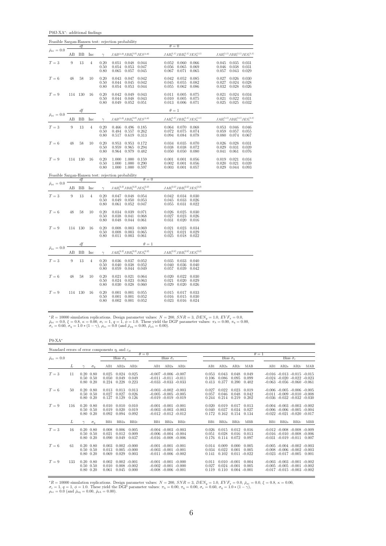P0fJ-XA<sup>∗</sup> : additional findings

|                                 |     |           |                |                                                     | Feasible Sargan-Hansen test: rejection probability                             |                                                                                                              |                                                                               |
|---------------------------------|-----|-----------|----------------|-----------------------------------------------------|--------------------------------------------------------------------------------|--------------------------------------------------------------------------------------------------------------|-------------------------------------------------------------------------------|
| $\bar{\rho}_{x\varepsilon}=0.0$ |     | df        |                |                                                     |                                                                                | $\theta = 0$                                                                                                 |                                                                               |
|                                 | AB  | <b>BB</b> | Inc            | $\gamma$                                            | $JAB^{\left( 1,0\right) }JBB_{a}^{\left( 1,0\right) }JES^{\left( 1,0\right) }$ | $JAB_a^{(1,1)}JBB_a^{(1,1)}JES_a^{(1,1)}$                                                                    | $JAB_c^{(1,1)}JBB_c^{(1,1)}JES_c^{(1,1)}$                                     |
| $T=3$                           | 9   | 13        | $\overline{4}$ | 0.20<br>0.50<br>0.80                                | 0.051<br>0.048 0.044<br>0.054<br>0.053<br>0.047<br>0.065<br>0.057<br>0.045     | 0.052<br>$0.060$ $0.066$<br>0.056<br>0.065<br>0.069<br>0.067<br>0.071<br>0.065                               | $0.045$ 0.035<br>0.031<br>0.046<br>0.038<br>0.031<br>0.057<br>0.043<br>0.029  |
| $T=6$                           | 48  | 58        | 10             | 0.20<br>0.50<br>0.80                                | 0.043<br>0.047<br>0.042<br>0.044<br>0.045<br>0.042<br>0.054<br>0.053<br>0.044  | 0.042<br>0.052<br>0.085<br>0.045<br>0.055<br>0.082<br>0.055<br>0.062<br>0.086                                | 0.026<br>0.030<br>0.027<br>0.027<br>0.024<br>0.028<br>0.032<br>0.028<br>0.026 |
| $T=9$                           | 114 | 130       | 16             | 0.20<br>0.50<br>0.80                                | 0.042<br>0.049<br>0.043<br>0.048<br>0.043<br>0.044<br>$0.049$ 0.052<br>0.051   | 0.005<br>0.011<br>0.075<br>0.010<br>0.005<br>0.075<br>0.013<br>0.006<br>0.071                                | 0.024<br>0.021<br>0.034<br>0.021<br>0.031<br>0.022<br>0.025<br>0.025<br>0.032 |
|                                 |     | df        |                |                                                     |                                                                                | $\theta=1$                                                                                                   |                                                                               |
| $\bar{\rho}_{x\varepsilon}=0.0$ | AВ  | BB        | Inc            | $\gamma$                                            | $JAB^{(1,0)}JBB^{(1,0)}_aJES^{(1,0)}$                                          | $JAB^{(1,1)}_aJBB^{(1,1)}_aJES^{(1,1)}_a$                                                                    | $JAB_c^{(1,1)}JBB_c^{(1,1)}JES_c^{(1,1)}$                                     |
| $T=3$                           | 9   | 13        | $\overline{4}$ | $\begin{array}{c} 0.20 \\ 0.50 \end{array}$<br>0.80 | 0.466 0.496<br>0.185<br>0.557<br>0.262<br>0.484<br>0.313<br>0.517<br>0.619     | 0.064<br>$0.070$ 0.068<br>0.072<br>0.074<br>0.075<br>0.094<br>0.084<br>0.078                                 | 0.053<br>0.046<br>0.046<br>0.059<br>0.057<br>0.055<br>0.080<br>0.074<br>0.067 |
| $T=6$                           | 48  | 58        | 10             | 0.20<br>0.50<br>0.80                                | 0.953<br>0.953<br>0.172<br>0.294<br>0.959<br>0.965<br>0.964<br>0.979<br>0.482  | 0.034<br>0.035<br>0.070<br>0.038<br>0.072<br>0.038<br>0.050<br>0.050<br>0.080                                | 0.026<br>0.028<br>0.031<br>0.029<br>0.031<br>0.039<br>0.041<br>0.061<br>0.076 |
| $T=9$                           | 114 | 130       | 16             | $\begin{array}{c} 0.20 \\ 0.50 \end{array}$<br>0.80 | 1.000<br>0.159<br>1.000<br>0.290<br>1.000<br>1.000<br>1.000<br>1.000<br>0.597  | 0.001<br>0.001<br>0.056<br>0.002<br>0.056<br>0.001<br>0.003<br>0.001<br>0.057                                | 0.021<br>0.019<br>0.034<br>0.020<br>0.021<br>0.039<br>0.029<br>0.044<br>0.093 |
|                                 |     |           |                |                                                     | Feasible Sargan-Hansen test: rejection probability<br>$\theta = 0$             |                                                                                                              |                                                                               |
| $\bar{\rho}_{x\varepsilon}=0.0$ | AB  | df<br>BB  | Inc            | $\gamma$                                            | $JAB_a^{(2,2)}JBB_a^{(2,2)}JES_a^{(2,2)}$                                      | $JAB_c^{(2,2)}JBB_c^{(2,2)}JES_c^{(2,2)}$                                                                    |                                                                               |
| $T=3$                           | 9   | 13        | $\overline{4}$ | 0.20<br>0.50<br>0.80                                | $0.047$ 0.048<br>0.054<br>0.049<br>0.050<br>0.053<br>0.052<br>0.061<br>0.047   | 0.042<br>0.034 0.030<br>0.045<br>0.033<br>0.026<br>0.055<br>0.031<br>0.022                                   |                                                                               |
| $T=6$                           | 48  | 58        | 10             | 0.20<br>0.50<br>0.80                                | 0.034<br>0.039<br>0.071<br>0.041<br>0.068<br>0.038<br>$0.044$ $0.061$<br>0.048 | 0.026<br>0.025<br>0.030<br>0.027<br>0.023<br>0.026<br>0.031<br>0.020<br>0.016                                |                                                                               |
| $T=9$                           | 114 | 130       | 16             | $\begin{array}{c} 0.20 \\ 0.50 \end{array}$<br>0.80 | 0.008<br>0.003<br>0.069<br>0.008<br>0.003<br>0.065<br>0.011<br>0.003<br>0.061  | $\begin{array}{c} 0.021 \\ 0.021 \end{array}$<br>0.023<br>0.034<br>0.029<br>0.021<br>0.025<br>0.018<br>0.022 |                                                                               |
|                                 |     | df        |                |                                                     | $\theta = 1$                                                                   |                                                                                                              |                                                                               |
| $\bar{\rho}_{x\varepsilon}=0.0$ | AВ  | ΒB        | Inc            | $\gamma$                                            | $JAB_a^{(2,2)}JBB_a^{(2,2)}JES_a^{(2,2)}$                                      | $JAB_c^{(2,2)}JBB_c^{(2,2)}JES_c^{(2,2)}$                                                                    |                                                                               |
| $T=3$                           | 9   | 13        | $\overline{4}$ | 0.20<br>0.50<br>0.80                                | 0.036 0.037 0.052<br>0.038<br>0.052<br>0.040<br>0.059<br>0.044<br>0.049        | 0.033 0.040<br>0.035<br>0.040<br>0.036<br>0.040<br>0.057<br>0.039<br>0.042                                   |                                                                               |
| $T=6$                           | 48  | 58        | 10             | 0.20<br>0.50<br>0.80                                | 0.021<br>0.021<br>0.064<br>0.024<br>0.023<br>0.063<br>0.028<br>0.060<br>0.030  | 0.022<br>0.030<br>0.020<br>0.021<br>0.020<br>0.029<br>0.029<br>$0.020 \quad 0.026$                           |                                                                               |
| $T=9$                           | 114 | 130       | 16             | 0.20<br>0.50<br>0.80                                | 0.001<br>0.001<br>0.055<br>0.001<br>0.052<br>0.001<br>0.002<br>0.001<br>0.052  | 0.015<br>0.017<br>0.033<br>0.016<br>0.015<br>0.030<br>0.023<br>0.016<br>0.024                                |                                                                               |

P0-XA<sup>∗</sup>

| Standard errors of error components $\eta_i$ and $\varepsilon_{it}$ |     |                                                        |            |                         |                                             |                         |              |                                                                                      |                            |                               |                                           |                          |                         |              |                                                                                                                   |                       |     |
|---------------------------------------------------------------------|-----|--------------------------------------------------------|------------|-------------------------|---------------------------------------------|-------------------------|--------------|--------------------------------------------------------------------------------------|----------------------------|-------------------------------|-------------------------------------------|--------------------------|-------------------------|--------------|-------------------------------------------------------------------------------------------------------------------|-----------------------|-----|
|                                                                     |     |                                                        |            |                         |                                             |                         | $\theta = 0$ |                                                                                      |                            |                               |                                           |                          |                         | $\theta = 1$ |                                                                                                                   | Bias $\hat{\sigma}_e$ |     |
| $\bar{\rho}_{x\varepsilon} = 0.0$                                   |     |                                                        |            |                         | Bias $\sigma_n$                             |                         |              | Bias $\hat{\sigma}_e$                                                                |                            |                               | Bias $\hat{\sigma}_n$                     |                          |                         |              |                                                                                                                   |                       |     |
|                                                                     | L   |                                                        | $\sigma_n$ | AB1                     | AB2a                                        | AB2c                    |              | AB1 AB2a                                                                             | AB2c                       | AB1                           | AB2a                                      | AB2c                     | MAB                     | AB1          | AB2a                                                                                                              | AB2c                  | MAB |
| $T=3$                                                               | 11  | $0.20\ 0.80$<br>$0.50 \quad 0.50$<br>$0.80\ 0.20$      |            | 0.025<br>0.050<br>0.224 | 0.024<br>0.049<br>0.228                     | 0.025<br>0.049<br>0.223 |              | $-0.007 - 0.006 - 0.007$<br>$-0.011 - 0.011 - 0.011$<br>$-0.033 - 0.033 - 0.033$     |                            | 0.053<br>0.106<br>0.413       | 0.043<br>0.086<br>0.377                   | 0.048<br>0.095<br>0.390  | 0.049<br>0.099<br>0.402 |              | $-0.016$ $-0.013$ $-0.015$ $-0.015$<br>$-0.024$ $-0.020$ $-0.022$ $-0.023$<br>$-0.063$ $-0.056$ $-0.060$ $-0.061$ |                       |     |
| $T=6$                                                               | 50  | $0.20\ 0.80$<br>$0.50 \quad 0.50$<br>$0.80\ 0.20$      |            | 0.013<br>0.027<br>0.127 | 0.013<br>0.027<br>0.129                     | 0.013<br>0.026<br>0.126 |              | $-0.003$ $-0.002$ $-0.003$<br>$-0.005 - 0.005 - 0.005$<br>$-0.019 - 0.019 - 0.019$   |                            | 0.027<br>0.057                | 0.022<br>0.046<br>$0.244$ $0.214$ $0.219$ | 0.023<br>0.048           | 0.019<br>0.042<br>0.202 |              | $-0.006$ $-0.005$ $-0.006$ $-0.005$<br>$-0.011 - 0.009 - 0.010 - 0.008$<br>$-0.036$ $-0.032$ $-0.032$ $-0.030$    |                       |     |
| $T=9$                                                               | 116 | $0.20\ 0.80$<br>$0.50 \quad 0.50$<br>$0.80\ 0.20$      |            | 0.010<br>0.019<br>0.092 | 0.010<br>0.020<br>0.094                     | 0.010<br>0.019<br>0.092 |              | $-0.001$ $-0.001$ $-0.001$<br>$-0.003 - 0.003 - 0.003$                               | $-0.012$ $-0.012$ $-0.012$ | 0.020<br>0.040<br>0.172       | 0.019<br>0.037<br>$0.162$ $0.154$ $0.134$ | 0.017<br>0.034           | 0.013<br>0.027          |              | $-0.004$ $-0.003$ $-0.003$ $-0.002$<br>$-0.006$ $-0.006$ $-0.005$ $-0.004$<br>$-0.022$ $-0.021$ $-0.020$ $-0.017$ |                       |     |
|                                                                     | L   |                                                        | $\sigma_n$ | BB1                     | BB <sub>2a</sub>                            | BB2c                    | BB1          | BB <sub>2a</sub>                                                                     | BB <sub>2c</sub>           | BB1                           | BB <sub>2a</sub>                          | BB <sub>2c</sub>         | <b>MBB</b>              | BB1          | BB <sub>2a</sub>                                                                                                  | BB <sub>2c</sub>      | MBB |
| $T=3$                                                               | 16  | $0.20\ 0.80$<br>$0.50 \quad 0.50$<br>$0.80\ 0.20$      |            | 0.008<br>0.021<br>0.090 | 0.006<br>0.012<br>0.049                     | 0.005<br>0.009<br>0.037 |              | $-0.004$ $-0.003$ $-0.003$<br>$-0.006$ $-0.004$ $-0.004$<br>$-0.016 - 0.008 - 0.006$ |                            | 0.026<br>0.051<br>0.176       | 0.015<br>0.028<br>0.114                   | 0.012<br>0.016<br>0.072  | 0.016<br>0.013<br>0.097 |              | $-0.012 - 0.008 - 0.008 - 0.009$<br>$-0.016 - 0.010 - 0.008 - 0.006$<br>$-0.031 - 0.019 - 0.011$ $0.007$          |                       |     |
| $T=6$                                                               | 61  | $0.20\ 0.80$<br>$0.50 \quad 0.50$<br>$0.80 \quad 0.20$ |            | 0.003<br>0.013<br>0.069 | $0.002 - 0.000$<br>$0.005 - 0.000$<br>0.029 | 0.003                   |              | $-0.001$ $-0.001$ $-0.001$<br>$-0.003 - 0.001 - 0.001$<br>$-0.011 - 0.006 - 0.002$   |                            | 0.014 0.009<br>0.034<br>0.141 | 0.022<br>$0.102$ $0.011$ $-0.022$         | 0.000<br>0.001           | 0.005<br>0.005          |              | $-0.005$ $-0.004$ $-0.002$ $-0.003$<br>$-0.008$ $-0.006$ $-0.002$ $-0.003$<br>$-0.023$ $-0.017$ $-0.005$ 0.001    |                       |     |
| $T=9$                                                               | 133 | $0.20\ 0.80$<br>$0.50 \quad 0.50$<br>$0.80 \quad 0.20$ |            | 0.002<br>0.010<br>0.061 | $0.002 - 0.001$<br>$0.008 - 0.002$<br>0.045 | 0.000                   |              | $-0.001$ $-0.001$ $-0.000$<br>$-0.008$ $-0.006$ $-0.001$                             | $-0.002 - 0.001 - 0.000$   | 0.011<br>0.027<br>0.119       | $0.010 - 0.001$<br>$0.024 - 0.001$        | $0.110$ $0.004$ $-0.001$ | 0.004<br>0.005          |              | $-0.003$ $-0.003$ $-0.001$ $-0.002$<br>$-0.005$ $-0.005$ $-0.001$ $-0.002$<br>$-0.017$ $-0.015$ $-0.003$ $-0.002$ |                       |     |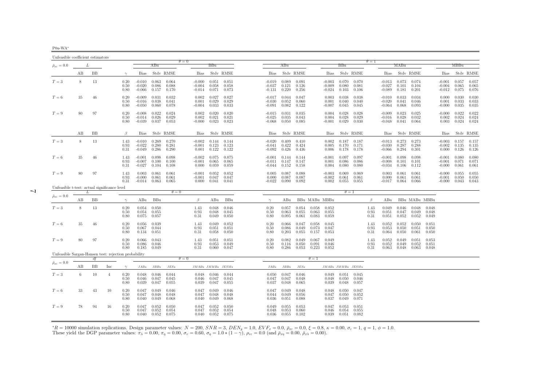| P0u-WA |  |
|--------|--|

<span id="page-6-0"></span>

| Unfeasible coefficient estimators                    |    |    |                |                      |                                  |                         |                         |                                  |                         |                                           |                                  |                                 |                         |                         |                                  |                                   |                         |                      |                                  |                         |                         |                         |                                  |                         |                         |
|------------------------------------------------------|----|----|----------------|----------------------|----------------------------------|-------------------------|-------------------------|----------------------------------|-------------------------|-------------------------------------------|----------------------------------|---------------------------------|-------------------------|-------------------------|----------------------------------|-----------------------------------|-------------------------|----------------------|----------------------------------|-------------------------|-------------------------|-------------------------|----------------------------------|-------------------------|-------------------------|
| $\bar{\rho}_{x\varepsilon}=0.0$                      |    | L  |                |                      |                                  | ABu                     |                         | $\theta = 0$                     | BBu                     |                                           |                                  | ABu                             |                         |                         |                                  | BBu                               |                         | $\theta = 1$         |                                  | MABu                    |                         |                         |                                  | <b>MBBu</b>             |                         |
|                                                      | AВ | BB |                | $\gamma$             | <b>Bias</b>                      |                         | Stdy RMSE               | <b>Bias</b>                      |                         | Stdy RMSE                                 | <b>Bias</b>                      |                                 | Stdy RMSE               |                         | Bias                             |                                   | Stdy RMSE               |                      | Bias                             |                         | Stdy RMSE               |                         | Bias                             |                         | Stdy RMSE               |
| $T=3$                                                | 8  | 13 |                | 0.20<br>0.50<br>0.80 | $-0.010$<br>$-0.020$<br>$-0.066$ | 0.063<br>0.086<br>0.157 | 0.064<br>0.088<br>0.170 | $-0.000$<br>$-0.004$<br>$-0.014$ | 0.051<br>0.058<br>0.071 | 0.051<br>0.058<br>0.073                   | $-0.019$<br>$-0.037$<br>$-0.131$ | 0.089<br>0.121<br>0.220         | 0.091<br>0.126<br>0.256 |                         | $-0.003$<br>$-0.009$<br>$-0.024$ | 0.070<br>0.080<br>0.103           | 0.070<br>0.081<br>0.106 |                      | $-0.013$<br>$-0.027$<br>$-0.089$ | 0.073<br>0.101<br>0.181 | 0.074<br>0.104<br>0.201 |                         | $-0.001$<br>$-0.004$<br>$-0.012$ | 0.057<br>0.065<br>0.075 | 0.057<br>0.065<br>0.076 |
| $T=6$                                                | 35 | 46 |                | 0.20<br>0.50<br>0.80 | $-0.009$<br>$-0.016$<br>$-0.050$ | 0.031<br>0.038<br>0.060 | 0.032<br>0.041<br>0.078 | 0.002<br>0.001<br>$-0.004$       | 0.027<br>0.029<br>0.033 | 0.027<br>0.029<br>0.033                   | $-0.017$<br>$-0.030$<br>$-0.091$ | 0.044<br>0.052<br>0.082         | 0.047<br>0.060<br>0.122 |                         | 0.003<br>0.001<br>$-0.007$       | 0.038<br>0.040<br>0.045           | 0.038<br>0.040<br>0.045 |                      | $-0.010$<br>$-0.020$<br>$-0.064$ | 0.033<br>0.041<br>0.068 | 0.034<br>0.046<br>0.093 |                         | 0.000<br>0.001<br>$-0.000$       | 0.030<br>0.033<br>0.035 | 0.030<br>0.033<br>0.035 |
| $T=9$                                                | 80 | 97 |                | 0.20<br>0.50<br>0.80 | $-0.008$<br>$-0.014$<br>$-0.039$ | 0.022<br>0.026<br>0.037 | 0.024<br>0.029<br>0.053 | 0.002<br>0.002<br>$-0.000$       | 0.020<br>0.021<br>0.023 | 0.020<br>0.021<br>0.023                   | $-0.015$<br>$-0.025$<br>$-0.068$ | 0.031<br>0.035<br>0.050         | 0.035<br>0.043<br>0.085 |                         | 0.004<br>0.004<br>-0.001         | 0.028<br>0.028<br>0.029           | 0.028<br>0.029<br>0.030 |                      | $-0.009$<br>$-0.016$<br>$-0.048$ | 0.023<br>0.028<br>0.041 | 0.025<br>0.032<br>0.064 |                         | $-0.000$<br>0.002<br>0.003       | 0.022<br>0.024<br>0.024 | 0.022<br>0.024<br>0.024 |
|                                                      | AB | BB |                | $\beta$              | Bias                             |                         | Stdy RMSE               | Bias                             |                         | Stdy RMSE                                 | Bias                             |                                 | Stdy RMSE               |                         | Bias                             |                                   | Stdy RMSE               |                      | Bias                             |                         | Stdy RMSE               |                         | Bias                             |                         | Stdy RMSE               |
| $T=3$                                                | 8  | 13 |                | 1.43<br>0.93<br>0.31 | $-0.010$<br>$-0.022$<br>$-0.049$ | 0.269<br>0.280<br>0.286 | 0.270<br>0.281<br>0.290 | $-0.002$<br>$-0.001$<br>0.001    | 0.144<br>0.123          | 0.144<br>0.123<br>$0.122$ $0.122$         | $-0.020$<br>$-0.041$<br>$-0.092$ | 0.409<br>0.422<br>0.426         | 0.410<br>0.424<br>0.436 |                         | 0.002<br>0.005<br>0.006          | 0.187<br>0.170<br>0.178           | 0.187<br>0.171<br>0.178 |                      | $-0.013$<br>$-0.030$<br>$-0.066$ | 0.273<br>0.287<br>0.294 | 0.273<br>0.288<br>0.301 |                         | $-0.003$<br>$-0.002$<br>0.000    | 0.157<br>0.135<br>0.126 | 0.157<br>0.135<br>0.126 |
| $T=6$                                                | 35 | 46 |                | 1.43<br>0.93<br>0.31 | $-0.001$<br>$-0.007$<br>$-0.027$ | 0.098<br>0.100<br>0.104 | 0.098<br>0.100<br>0.108 | $-0.002$<br>$-0.001$<br>0.000    | 0.075<br>0.065<br>0.059 | 0.075<br>0.065<br>0.059                   | $-0.001$<br>$-0.011$<br>$-0.044$ | 0.144<br>0.147<br>0.152         | 0.144<br>0.147<br>0.158 |                         | $-0.001$<br>0.001<br>0.004       | 0.097<br>0.086<br>0.080           | 0.097<br>0.086<br>0.080 |                      | $-0.001$<br>$-0.008$<br>$-0.034$ | 0.098<br>0.101<br>0.106 | 0.098<br>0.101<br>0.112 |                         | $-0.001$<br>$-0.001$<br>$-0.000$ | 0.080<br>0.071<br>0.061 | 0.080<br>0.071<br>0.061 |
| $T=9$                                                | 80 | 97 |                | 1.43<br>0.93<br>0.31 | 0.003<br>$-0.000$<br>$-0.014$    | 0.061<br>0.061<br>0.063 | 0.061<br>0.061<br>0.065 | $-0.001$<br>$-0.001$<br>0.000    | 0.052<br>0.047<br>0.041 | 0.052<br>0.047<br>0.041                   | 0.005<br>0.000<br>$-0.022$       | 0.087<br>0.087<br>0.090         | 0.088<br>0.087<br>0.092 |                         | $-0.003$<br>$-0.002$<br>0.002    | 0.069<br>0.061<br>0.055           | 0.069<br>0.061<br>0.055 |                      | 0.003<br>0.000<br>$-0.017$       | 0.061<br>0.061<br>0.064 | 0.061<br>0.061<br>0.066 |                         | $-0.000$<br>$-0.001$<br>$-0.000$ | 0.055<br>0.050<br>0.043 | 0.055<br>0.050<br>0.043 |
| Unfeasible t-test: actual significance level         |    | L  |                |                      |                                  |                         | $\theta = 0$            |                                  |                         |                                           |                                  |                                 |                         |                         |                                  | $\theta = 1$                      |                         |                      |                                  |                         |                         |                         |                                  |                         |                         |
| $\bar{\rho}_{x\varepsilon}=0.0$                      | AВ | BB |                | $\gamma$             | ABu                              | BBu                     |                         | $\beta$                          | ABu                     | BBu                                       | $\gamma$                         | ABu                             |                         | BBu MABu MBBu           |                                  |                                   |                         | $\beta$              | ABu                              |                         | BBu MABu MBBu           |                         |                                  |                         |                         |
| $T=3$                                                | 8  | 13 |                | 0.20<br>0.50<br>0.80 | 0.054<br>0.054<br>0.075          | 0.050<br>0.055<br>0.057 |                         | 1.43<br>0.93<br>0.31             | 0.048<br>0.048<br>0.049 | 0.046<br>0.045<br>0.050                   | 0.20<br>0.50<br>0.80             | 0.057<br>0.063<br>0.095         | 0.054<br>0.055<br>0.061 | 0.058<br>0.063<br>0.083 | 0.052<br>0.055<br>0.059          |                                   |                         | 1.43<br>0.93<br>0.31 | 0.049<br>0.051<br>0.051          | 0.046<br>0.047<br>0.052 | 0.048<br>0.049<br>0.052 | 0.048<br>0.048<br>0.049 |                                  |                         |                         |
| $T=6$                                                | 35 | 46 |                | 0.20<br>0.50<br>0.80 | 0.056<br>0.067<br>0.134          | 0.039<br>0.044<br>0.051 |                         | 1.43<br>0.93<br>0.31             | 0.049<br>0.051<br>0.058 | 0.052<br>0.051<br>0.050                   | 0.20<br>0.50<br>0.80             | 0.066<br>0.086<br>0.203         | 0.047<br>0.049<br>0.055 | 0.058<br>0.073<br>0.157 | 0.045<br>0.047<br>0.053          |                                   |                         | 1.43<br>0.93<br>0.31 | 0.052<br>0.053<br>0.064          | 0.052<br>0.050<br>0.050 | 0.050<br>0.051<br>0.061 | 0.051<br>0.050<br>0.050 |                                  |                         |                         |
| $T=9$                                                | 80 | 97 |                | 0.20<br>0.50<br>0.80 | 0.066<br>0.086<br>0.185          | 0.043<br>0.046<br>0.049 |                         | 1.43<br>0.93<br>0.31             | 0.051<br>0.053<br>0.060 | 0.051<br>0.049<br>0.047                   | 0.20<br>0.50<br>0.80             | 0.082<br>0.116<br>0.286         | 0.049<br>0.050<br>0.053 | 0.067<br>0.091<br>0.223 | 0.049<br>0.046<br>0.052          |                                   |                         | 1.43<br>0.93<br>0.31 | 0.052<br>0.052<br>0.063          | 0.049<br>0.049<br>0.048 | 0.051<br>0.052<br>0.063 | 0.053<br>0.051<br>0.048 |                                  |                         |                         |
| Unfeasible Sargan-Hansen test: rejection probability |    | df |                |                      |                                  |                         |                         | $\theta = 0$                     |                         |                                           |                                  |                                 |                         | $\theta = 1$            |                                  |                                   |                         |                      |                                  |                         |                         |                         |                                  |                         |                         |
| $\bar{\rho}_{x\varepsilon}=0.0$                      | AВ | BB | Inc            | $\gamma$             | JABu                             | JBBu                    | JESu                    |                                  |                         | JMABu JMMBu JESMu                         | JABu                             | JBBu                            | JESu                    |                         | JMABu JMMBu JESMu                |                                   |                         |                      |                                  |                         |                         |                         |                                  |                         |                         |
| $T=3$                                                | 6  | 10 | $\overline{4}$ | 0.20<br>0.50<br>0.80 | 0.048<br>0.046<br>0.039          | 0.046<br>0.047<br>0.047 | 0.044<br>0.045<br>0.055 | 0.048<br>0.046<br>0.039          | 0.046<br>0.047<br>0.047 | 0.044<br>0.045<br>0.055                   | 0.050<br>0.047<br>0.037          | 0.047<br>0.047<br>0.048         | 0.046<br>0.048<br>0.065 |                         | 0.048<br>0.039                   | $0.049$ $0.051$<br>0.050<br>0.048 | 0.045<br>0.046<br>0.057 |                      |                                  |                         |                         |                         |                                  |                         |                         |
| $T=6$                                                | 33 | 43 | 10             | 0.20<br>0.50<br>0.80 | 0.047<br>0.047<br>0.040          | 0.049<br>0.048<br>0.049 | 0.046<br>0.048<br>0.068 | 0.047<br>0.047<br>0.040          | 0.049<br>0.048<br>0.049 | 0.046<br>0.048<br>0.068                   | 0.047<br>0.044<br>0.036          | 0.049<br>0.049<br>0.051         | 0.048<br>0.056<br>0.088 |                         | 0.048<br>0.047<br>0.037          | 0.050<br>0.050<br>0.049           | 0.047<br>0.052<br>0.071 |                      |                                  |                         |                         |                         |                                  |                         |                         |
| $T=9$                                                | 78 | 94 | 16             | 0.20<br>0.50<br>0.80 | 0.047<br>0.047<br>0.040          | 0.052<br>0.052<br>0.052 | 0.050<br>0.054<br>0.075 | 0.047<br>0.047                   | 0.052<br>0.052          | 0.050<br>0.054<br>$0.040$ $0.052$ $0.075$ | 0.049<br>0.048                   | 0.055<br>0.053<br>$0.036$ 0.055 | 0.053<br>0.060<br>0.102 |                         | 0.047<br>0.046                   | 0.053<br>0.054<br>$0.039$ $0.051$ | 0.051<br>0.055<br>0.082 |                      |                                  |                         |                         |                         |                                  |                         |                         |

 $\overline{\phantom{0}}$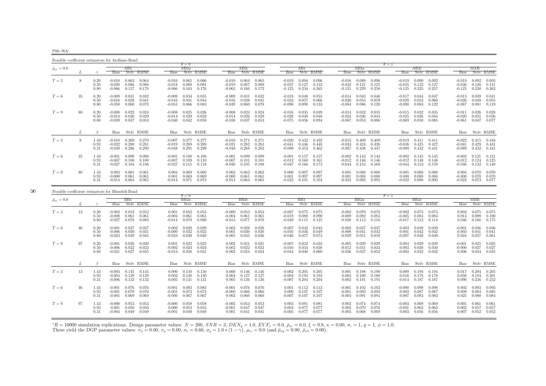P0fc-WA∗

Feasible coefficient estimators for Arellano-Bond $\theta = 0$  $AB2a$  $\theta = 1$ <br>a  $\theta = 1$  $\bar{\rho}_{x\varepsilon}=0.0$  $_{\varepsilon}$  = 0.0  $_{\varepsilon}$   $_{\varepsilon}$   $_{\varepsilon}$   $_{\varepsilon}$   $_{\varepsilon}$   $_{\varepsilon}$   $_{\varepsilon}$   $_{\varepsilon}$   $_{\varepsilon}$   $_{\varepsilon}$   $_{\varepsilon}$   $_{\varepsilon}$   $_{\varepsilon}$   $_{\varepsilon}$   $_{\varepsilon}$   $_{\varepsilon}$   $_{\varepsilon}$   $_{\varepsilon}$   $_{\varepsilon}$   $_{\varepsilon}$   $_{\varepsilon}$   $_{\varepsilon}$   $_{\varepsilon}$ L  $\gamma$  Bias Stdv RMSE Bias Stdv RMSE Bias Stdv RMSE Bias Stdv RMSE Bias Stdv RMSE Bias Stdv RMSE Bias Stdv RMSE $-0.019$   $0.092$   $0.093$  $T=3$  $T=3$   $8$   $0.20$   $-0.010$   $0.063$   $0.064$   $-0.010$   $0.065$   $0.066$   $-0.010$   $0.064$   $0.065$   $-0.019$   $0.093$   $-0.019$   $0.092$   $-0.019$   $0.092$   $-0.019$   $0.092$   $-0.019$   $0.092$   $-0.030$   $-0.036$   $-0.019$   $0.092$   $-0.030$  0.50 -0.020 0.086 0.088 -0.018 0.089 0.091 -0.019 0.087 0.089 -0.037 0.127 0.133 -0.032 0.121 0.125 -0.035 0.122 0.127 -0.036 0.126 0.131 $-0.125$   $0.230$   $0.262$ 0.80 -0.066 0.157 0.170 -0.066 0.163 0.176 -0.063 0.160 0.172 -0.125 0.234 0.265 -0.121 0.229 0.258 -0.125 0.225 0.257 -0.125 0.230 0.262 $0.041$  $T=6$  $T=6$   $35$   $0.20$   $-0.009$   $0.031$   $0.032$   $-0.009$   $0.034$   $0.035$   $-0.009$   $0.031$   $0.030$   $0.031$   $0.032$   $-0.018$   $0.048$   $0.051$   $-0.014$   $0.046$   $-0.017$   $0.044$   $0.047$   $-0.013$   $0.039$   $0.041$   $-0.016$   $0.034$   $0.$ 0.50 -0.016 0.038 0.041 -0.016 0.041 0.044 -0.016 0.038 0.041 -0.033 0.057 0.066 -0.026 0.053 0.059 -0.029 0.053 0.060 -0.026 0.048 0.055 $0.081$   $0.119$  $0.80$   $-0.050$   $0.060$   $0.078$   $-0.051$   $0.066$   $0.083$   $-0.049$   $0.060$   $0.078$   $-0.098$   $0.090$   $0.133$   $-0.084$   $0.086$   $0.120$   $-0.090$   $0.083$   $0.122$   $-0.087$ 0.028  $T=9$  $T=9 \hspace{1cm} 80 \hspace{1cm} 0.020 \hspace{1cm} 0.022 \hspace{1cm} 0.024 \hspace{1cm} 0.024 \hspace{1cm} 0.026 \hspace{1cm} 0.025 \hspace{1cm} 0.026 \hspace{1cm} 0.032 \hspace{1cm} 0.032 \hspace{1cm} 0.035 \hspace{1cm} 0.035 \hspace{1cm} 0.035 \hspace{1cm} 0.035 \hspace{1.4cm} 0.035 \hspace{1.4cm} 0.035 \hspace{1.4cm$ 0.50 -0.014 0.029 -0.014 0.029 0.038 -0.014 0.026 0.029 -0.028 0.048 0.048 -0.025 0.034 -0.025 0.044 -0.020 0.<br>0.80 -0.039 0.037 0.053 -0.040 0.042 0.058 -0.038 0.037 0.053 -0.075 0.056 0.094 -0.067 0.053 0.086 -0.069 0.05  $0.047$  0.077  $\beta$ Bias Stdv RMSE Bias Stdv RMSE Bias Stdv RMSE Bias Stdv RMSE Bias Stdv RMSE Bias Stdv RMSE Bias Stdv RMSE Bias Stdv RMSE  $-0.022$   $0.415$   $0.416$  $T=3$  $T=3$  8  $1.43$  -0.010 0.269 0.270 -0.007 0.277 0.277 -0.010 0.271 0.271 -0.020 0.432 0.432 -0.013 0.409 0.409 -0.019 0.411 0.411 -0.022 0.415 0.416<br>0.93 -0.033 0.424 0.426 -0.033 0.424 0.426 -0.033 0.424 0.425 0.427 -0.04 0.93 -0.022 0.280 0.281 -0.019 0.289 0.289 -0.021 0.282 0.283 -0.041 0.446 0.448 -0.033 0.424 0.426 -0.038 0.425 0.427 -0.041 0.429 0.4310.441 0.31 -0.049 0.286 0.290 -0.048 0.295 0.299 -0.048 0.288 0.292 -0.089 0.453 0.462 -0.087 0.438 0.447 -0.089 0.432 0.441 -0.089 0.432 0.441 $-0.002$   $0.121$   $0.121$  $T=6$  $T=6$   $35$   $1.43$   $-0.001$   $0.098$   $-0.001$   $0.108$   $0.108$   $-0.001$   $0.099$   $-0.001$   $0.157$   $0.157$   $-0.002$   $0.143$   $-0.012$   $0.145$   $0.145$   $-0.002$   $0.145$   $0.145$   $-0.002$   $0.145$   $-0.012$   $0.145$   $-0.002$   $0.145$   $0.93 \qquad -0.007 \quad 0.100 \qquad \qquad 0.007 \quad 0.109 \quad 0.110 \qquad \qquad -0.007 \quad 0.101 \qquad 0.101 \qquad \qquad -0.012 \quad 0.160 \quad 0.161 \qquad \qquad -0.012 \quad 0.146 \qquad \qquad 0.014 \qquad \qquad -0.012 \quad 0.148 \qquad \qquad -0.012 \quad 0.148 \qquad \qquad -0.012 \qquad 0.148 \qquad \qquad -0.012 \qquad 0.148$ 0.140 0.31 -0.027 0.104 0.108 -0.027 0.115 0.118 -0.026 0.105 0.108 -0.047 0.166 0.173 -0.044 0.153 0.160 -0.044 0.153 0.159 -0.046 0.132 0.1400.070  $T=9$  $T=9 \hspace{1cm} 80 \hspace{1cm} 1.43 \hspace{1cm} 0.003 \hspace{1cm} 0.061 \hspace{1cm} 0.04 \hspace{1cm} 0.069 \hspace{1cm} 0.069 \hspace{1cm} 0.003 \hspace{1cm} 0.062 \hspace{1cm} 0.062 \hspace{1cm} 0.060 \hspace{1cm} 0.097 \hspace{1cm} 0.097 \hspace{1cm} 0.097 \hspace{1cm} 0.005 \hspace{1cm} 0.088 \hspace{1cm} 0.088 \$ 0.93 -0.000 0.061 0.061 0.001 0.069 0.069 -0.000 0.061 0.061 0.001 0.097 0.097 0.001 0.088 0.088 0.000 0.088 0.088 -0.000 0.070 0.070 $-0.022$   $0.073$   $0.077$  $0.31$   $-0.014$   $0.063$   $0.065$   $-0.014$   $0.071$   $0.073$   $-0.014$   $0.064$   $0.065$   $-0.023$   $0.101$   $0.104$   $-0.022$   $0.093$   $0.095$   $-0.022$   $0.090$   $0.093$ 

| Feasible coefficient estimators for Blundell-Bond |    |                      |                                  |                         |                         |                                  |                         |                         |                                  |                                   |                         |                                  |                         |                         |                                  |                         |                         |                                  |                         |                         |                               |                         |                         |
|---------------------------------------------------|----|----------------------|----------------------------------|-------------------------|-------------------------|----------------------------------|-------------------------|-------------------------|----------------------------------|-----------------------------------|-------------------------|----------------------------------|-------------------------|-------------------------|----------------------------------|-------------------------|-------------------------|----------------------------------|-------------------------|-------------------------|-------------------------------|-------------------------|-------------------------|
| $\bar{\rho}_{x\varepsilon}=0.0$                   |    |                      |                                  | BB1                     |                         |                                  | $\theta = 0$<br>BB2a    |                         |                                  | BB2c                              |                         |                                  | BB1                     |                         |                                  | BB2a                    |                         | $\theta = 1$                     | BB2c                    |                         |                               | мвв                     |                         |
|                                                   |    |                      | <b>Bias</b>                      |                         | Stdy RMSE               | <b>Bias</b>                      |                         | Stdy RMSE               | <b>Bias</b>                      |                                   | Stdy RMSE               | <b>Bias</b>                      |                         | Stdy RMSE               | <b>Bias</b>                      |                         | Stdy RMSE               | <b>Bias</b>                      |                         | Stdy RMSE               | <b>Bias</b>                   |                         | Stdy RMSE               |
| $T=3$                                             | 13 | 0.20<br>0.50<br>0.80 | $-0.002$<br>$-0.008$<br>$-0.027$ | 0.052<br>0.061<br>0.078 | 0.052<br>0.061<br>0.083 | 0.001<br>$-0.004$<br>$-0.014$    | 0.052<br>0.061<br>0.079 | 0.053<br>0.061<br>0.080 | $-0.000$<br>$-0.004$<br>$-0.013$ | 0.053<br>0.061<br>0.077           | 0.053<br>0.061<br>0.078 | $-0.007$<br>$-0.018$<br>$-0.049$ | 0.075<br>0.088<br>0.115 | 0.075<br>0.090<br>0.125 | $-0.002$<br>$-0.009$<br>$-0.028$ | 0.070<br>0.082<br>0.113 | 0.070<br>0.083<br>0.116 | $-0.002$<br>$-0.005$<br>$-0.017$ | 0.073<br>0.084<br>0.112 | 0.073<br>0.084<br>0.114 | 0.002<br>0.014<br>0.046       | 0.075<br>0.099<br>0.168 | 0.075<br>0.100<br>0.175 |
| $T=6$                                             | 46 | 0.20<br>0.50<br>0.80 | $-0.001$<br>$-0.006$<br>$-0.023$ | 0.027<br>0.030<br>0.039 | 0.027<br>0.031<br>0.045 | 0.002<br>$-0.000$<br>$-0.010$    | 0.029<br>0.032<br>0.039 | 0.029<br>0.032<br>0.040 | 0.002<br>0.001<br>$-0.005$       | 0.028<br>0.030<br>0.035           | 0.028<br>0.030<br>0.036 | $-0.007$<br>$-0.016$<br>-0.046   | 0.042<br>0.046<br>0.057 | 0.043<br>0.049<br>0.073 | $-0.002$<br>$-0.008$<br>$-0.029$ | 0.037<br>0.041<br>0.051 | 0.037<br>0.042<br>0.059 | 0.003<br>0.001<br>$-0.007$       | 0.039<br>0.042<br>0.048 | 0.039<br>0.042<br>0.049 | $-0.001$<br>0.003<br>0.024    | 0.036<br>0.041<br>0.057 | 0.036<br>0.041<br>0.061 |
| $T=9$                                             | 97 | 0.20<br>0.50<br>0.80 | $-0.001$<br>$-0.006$<br>$-0.021$ | 0.020<br>0.022<br>0.027 | 0.020<br>0.023<br>0.035 | 0.001<br>$-0.002$<br>$-0.013$    | 0.022<br>0.024<br>0.028 | 0.022<br>0.024<br>0.031 | 0.002<br>0.002<br>$-0.002$       | 0.021<br>0.022<br>0.024           | 0.021<br>0.022<br>0.024 | $-0.007$<br>$-0.016$<br>$-0.044$ | 0.032<br>0.034<br>0.040 | 0.033<br>0.038<br>0.060 | $-0.005$<br>$-0.012$<br>$-0.036$ | 0.029<br>0.031<br>0.037 | 0.029<br>0.033<br>0.052 | 0.004<br>0.003<br>$-0.003$       | 0.029<br>0.030<br>0.032 | 0.029<br>0.030<br>0.032 | $-0.001$<br>$-0.000$<br>0.006 | 0.025<br>0.027<br>0.034 | 0.025<br>0.027<br>0.035 |
|                                                   |    | $\beta$              | <b>Bias</b>                      |                         | Stdy RMSE               | Bias                             |                         | Stdy RMSE               | Bias                             |                                   | Stdy RMSE               | Bias                             |                         | Stdy RMSE               | Bias                             |                         | Stdy RMSE               | Bias                             |                         | Stdv RMSE               | Bias                          |                         | Stdy RMSE               |
| $T=3$                                             | 13 | 1.43<br>0.93<br>0.31 | $-0.003$<br>$-0.004$<br>$-0.006$ | 0.145<br>0.129<br>0.132 | 0.145<br>0.129<br>0.132 | 0.000<br>0.002<br>0.005          | 0.150<br>0.130<br>0.131 | 0.150<br>0.130<br>0.131 | 0.000<br>0.004<br>0.005          | 0.146<br>0.127<br>0.126           | 0.146<br>0.127<br>0.126 | $-0.002$<br>$-0.004$<br>$-0.007$ | 0.205<br>0.193<br>0.204 | 0.205<br>0.193<br>0.204 | 0.001<br>0.003<br>0.002          | 0.198<br>0.180<br>0.191 | 0.198<br>0.180<br>0.191 | 0.009<br>0.016<br>0.014          | 0.194<br>0.178<br>0.187 | 0.194<br>0.178<br>0.187 | 0.017<br>0.050<br>0.090       | 0.204<br>0.194<br>0.236 | 0.205<br>0.201<br>0.252 |
| $T=6$                                             | 46 | 1.43<br>0.93<br>0.31 | $-0.001$<br>$-0.001$<br>$-0.005$ | 0.076<br>0.070<br>0.069 | 0.076<br>0.070<br>0.069 | $-0.001$<br>$-0.001$<br>$-0.000$ | 0.083<br>0.073<br>0.067 | 0.083<br>0.073<br>0.067 | $-0.001$<br>$-0.000$             | 0.076<br>0.066<br>$0.002$ 0.060   | 0.076<br>0.066<br>0.060 | 0.001<br>0.000<br>$-0.007$       | 0.112<br>0.107<br>0.107 | 0.112<br>0.107<br>0.107 | $-0.001$<br>$-0.001$<br>$-0.004$ | 0.102<br>0.093<br>0.091 | 0.102<br>0.093<br>0.091 | $-0.000$<br>0.003<br>0.007       | 0.098<br>0.087<br>0.083 | 0.098<br>0.087<br>0.083 | 0.002<br>0.009<br>0.025       | 0.093<br>0.084<br>0.080 | 0.093<br>0.085<br>0.084 |
| $T=9$                                             | 97 | 1.43<br>0.93<br>0.31 | $-0.000$<br>0.001<br>$-0.004$    | 0.053<br>0.050<br>0.049 | 0.053<br>0.050<br>0.049 | $-0.000$<br>0.000<br>$-0.001$    | 0.058<br>0.053<br>0.049 | 0.058<br>0.053<br>0.049 | $-0.002$<br>$-0.001$             | 0.053<br>0.047<br>$0.001$ $0.041$ | 0.053<br>0.047<br>0.041 | 0.003<br>0.004<br>$-0.005$       | 0.081<br>0.077<br>0.077 | 0.081<br>0.077<br>0.077 | 0.002<br>0.002<br>$-0.004$       | 0.074<br>0.070<br>0.068 | 0.074<br>0.070<br>0.069 | $-0.003$<br>$-0.001$<br>0.003    | 0.069<br>0.062<br>0.056 | 0.069<br>0.062<br>0.056 | 0.001<br>0.002<br>0.007       | 0.061<br>0.057<br>0.052 | 0.061<br>0.057<br>0.052 |

 ${}^*R = 10000$  simulation replications. Design parameter values:  $N = 200$ ,  $SNR = 3$ ,  $DEN_y = 1.0$ ,  $EVF_x = 0.0$ ,  $\bar{p}_{xz} = 0.0$ ,  $\xi = 0.8$ ,  $\kappa = 0.00$ ,  $\sigma_{\varepsilon} = 1$ ,  $q = 1$ ,  $\phi = 1.0$ .<br>These yield the DGP parameter values:  $\pi$  $*R = 10000$  simulation replications. Design parameter values:  $N = 200$ ,  $SNR = 3$ ,  $DEN_y = 1.0$ ,  $EVF_x = 0.0$ ,  $\bar{p}_{xz} = 0.0$ ,  $\xi = 0.8$ , These yield the DGP parameter values:  $\pi_{\lambda} = 0.00$ ,  $\pi_{\eta} = 0.00$ ,  $\sigma_v = 0.60$ ,  $\sigma_{\eta}$ 

 $\infty$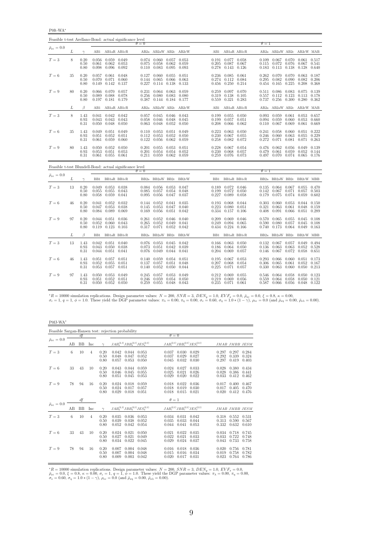P0ft-WA<sup>∗</sup>

| Feasible t-test Arellano-Bond: actual significance level |    |                      |                         |                                                                     |                                    |                         |                                                   |                               |                                   |                         |                                                 |                         |                |                                                                 |                         |                                                     |                |
|----------------------------------------------------------|----|----------------------|-------------------------|---------------------------------------------------------------------|------------------------------------|-------------------------|---------------------------------------------------|-------------------------------|-----------------------------------|-------------------------|-------------------------------------------------|-------------------------|----------------|-----------------------------------------------------------------|-------------------------|-----------------------------------------------------|----------------|
| $\bar{\rho}_{x\varepsilon}=0.0$                          |    |                      |                         |                                                                     |                                    | $\theta = 0$            |                                                   |                               |                                   |                         |                                                 |                         | $\theta = 1$   |                                                                 |                         |                                                     |                |
|                                                          | L  | $\gamma$             |                         |                                                                     | AB1 AB1aR AB1cR                    |                         |                                                   |                               | AB2a AB2aW AB2c AB2cW             |                         | AB1 AB1aR AB1cR                                 |                         |                | AB2a AB2aW AB2c AB2cW MAB                                       |                         |                                                     |                |
| $T=3$                                                    | 8  | 0.20<br>0.50<br>0.80 | 0.061<br>0.098          | 0.056 0.059 0.049<br>$0.062$ 0.053                                  | $0.096$ 0.092                      | 0.075<br>0.110          | $0.074$ $0.060$ $0.057$ $0.053$<br>0.058<br>0.083 | 0.062<br>0.095                | 0.059<br>0.093                    | 0.205<br>0.278          | 0.191 0.077 0.058<br>0.087<br>$0.143$ $0.126$   | 0.067                   | 0.115          | $0.109$ $0.067$ $0.070$ $0.061$ $0.517$<br>0.072<br>0.183 0.113 | 0.076<br>0.138          | 0.067<br>0.128                                      | 0.541<br>0.640 |
| $T=6$                                                    | 35 | 0.20<br>0.50<br>0.80 | 0.057<br>0.149          | $0.070$ $0.071$ $0.060$                                             | $0.061$ $0.048$<br>$0.142$ $0.137$ | 0.127<br>0.144<br>0.227 | 0.060<br>0.065<br>0.114 0.138                     | 0.055<br>0.066                | 0.051<br>0.063<br>0.133           | 0.236<br>0.274<br>0.456 | 0.085 0.061<br>0.112<br>0.250                   | 0.084<br>0.214          | 0.262<br>0.295 | 0.070<br>0.082<br>0.454 0.165                                   | 0.070<br>0.090<br>0.225 | $0.063$ $0.187$<br>0.082<br>0.208                   | 0.206<br>0.368 |
| $T=9$                                                    | 80 | 0.20<br>0.50<br>0.80 | 0.066<br>0.089          | $0.070$ 0.057<br>$0.197$ $0.181$ $0.179$                            | 0.088 0.078                        | 0.231<br>0.256<br>0.387 | $0.064$ 0.063<br>0.080<br>$0.144$ $0.184$ $0.177$ | 0.083                         | 0.059<br>0.080                    | 0.259<br>0.319<br>0.559 | $0.097$ 0.070<br>0.138<br>0.321 0.283           | 0.105                   | 0.557          | 0.511 0.086<br>0.112<br>0.737 0.256 0.300                       | 0.083<br>0.123          | $0.075$ 0.139<br>$0.113$ $0.178$<br>$0.280$ $0.362$ |                |
|                                                          | L  | B                    | AB1                     |                                                                     | AB1aR AB1cR                        |                         |                                                   |                               | AB2a AB2aW AB2c AB2cW             | AB1                     | AB1aR AB1cR                                     |                         |                | AB2a AB2aW AB2c AB2cW MAB                                       |                         |                                                     |                |
| $T=3$                                                    | 8  | 1.43<br>0.93<br>0.31 | 0.050                   | $0.041$ $0.042$ $0.042$<br>$0.043$ $0.043$ $0.043$<br>$0.048$ 0.050 |                                    | 0.057<br>0.058<br>0.063 | $0.045$ $0.046$ $0.043$<br>0.046<br>0.048         | 0.048<br>0.052                | 0.045<br>0.050                    | 0.199<br>0.199<br>0.208 | 0.055 0.050<br>$0.057$ $0.051$<br>0.066 0.062   |                         | 0.110          | $0.093$ $0.059$ $0.061$<br>$0.094$ 0.059<br>0.067               | 0.060<br>0.069          | 0.053 0.657<br>$0.053$ 0.660<br>$0.061$ $0.669$     |                |
| $T=6$                                                    | 35 | 1.43<br>0.93<br>0.31 | 0.051                   | $0.049$ $0.051$ $0.049$<br>0.052<br>$0.061$ $0.059$ $0.060$         | 0.051                              | 0.110<br>0.112<br>0.122 | 0.053<br>0.053<br>0.056                           | 0.051<br>0.052<br>0.062       | 0.049<br>0.050<br>0.059           | 0.230<br>0.258          | $0.223$ $0.063$ $0.050$<br>0.067<br>0.082 0.072 | 0.055                   | 0.246          | $0.241$ $0.058$<br>0.060<br>$0.272$ $0.071$                     | 0.060<br>0.063<br>0.081 | 0.051<br>0.055<br>$0.071$ 0.263                     | 0.222<br>0.229 |
| $T=9$                                                    | 80 | 1.43<br>0.93<br>0.31 | 0.053                   | $0.050$ $0.052$ $0.050$<br>0.051<br>$0.061$ $0.055$ $0.061$         | 0.053                              | 0.201<br>0.201          | 0.055<br>0.054<br>$0.211$ $0.059$ $0.062$ $0.059$ | 0.053<br>0.054                | 0.051<br>0.052                    | 0.228<br>0.230          | $0.067$ 0.054<br>0.068<br>0.259 0.076 0.073     | 0.057                   | 0.479          | $0.476$ 0.062<br>0.061<br>0.497 0.070 0.074 0.065 0.176         | 0.056<br>0.059          | 0.049 0.139<br>0.052                                | 0.144          |
| Feasible t-test Blundell-Bond: actual significance level |    |                      |                         |                                                                     |                                    | $\theta = 0$            |                                                   |                               |                                   |                         |                                                 |                         | $\theta = 1$   |                                                                 |                         |                                                     |                |
| $\bar{\rho}_{x\varepsilon}=0.0$                          | L  | $\gamma$             |                         |                                                                     | BB1 BB1aR BB1cR                    |                         |                                                   |                               | BB2a BB2aW BB2c BB2cW             |                         | BB1 BB1aR BB1cR                                 |                         |                | BB2a BB2aW BB2c BB2cW MBB                                       |                         |                                                     |                |
| $T=3$                                                    | 13 | 0.20<br>0.50<br>0.80 | 0.055<br>0.058          | $0.049$ $0.053$ $0.038$<br>0.055                                    | 0.043<br>$0.059$ $0.041$           | 0.084<br>0.085<br>0.095 | 0.056<br>0.057<br>0.056                           | 0.054<br>0.047                | $0.053$ $0.047$<br>0.048<br>0.037 | 0.199<br>0.227          | 0.189 0.072 0.046<br>0.072<br>0.089             | 0.050<br>0.058          | 0.142<br>0.179 | $0.135$ $0.064$ $0.067$ $0.055$ $0.470$<br>0.067<br>0.075       | 0.071<br>0.074          | 0.057<br>0.059                                      | 0.503<br>0.602 |
| $T=6$                                                    | 46 | 0.20<br>0.50<br>0.80 | 0.041<br>0.047<br>0.084 | $0.052$ 0.032<br>0.053<br>0.089                                     | 0.038<br>0.069                     | 0.144<br>0.145<br>0.169 | 0.052<br>0.053<br>0.056                           | 0.041<br>0.047<br>0.051       | 0.035<br>0.040<br>0.042           | 0.223<br>0.334          | $0.193$ 0.068<br>0.080<br>0.157                 | 0.044<br>0.051<br>0.106 | 0.321<br>0.408 | $0.303$ 0.060<br>0.063<br>0.091                                 | 0.053<br>0.061<br>0.066 | $0.044$ $0.150$<br>0.048<br>$0.051$ $0.289$         | 0.159          |
| $T=9$                                                    | 97 | 0.20<br>0.50<br>0.80 | 0.044<br>0.052          | 0.060<br>$0.119$ $0.123$ $0.103$                                    | $0.051$ 0.036<br>0.043             | 0.261<br>0.265<br>0.317 | 0.052<br>0.052<br>$0.071$ $0.052$ $0.042$         | 0.046<br>0.049                | 0.040<br>0.041                    | 0.209<br>0.249          | 0.069<br>0.094<br>$0.434$ $0.224$ $0.166$       | 0.046<br>0.065          | 0.590          | 0.570 0.065<br>0.080<br>$0.740$ $0.173$ $0.064$ $0.049$ $0.163$ | 0.055<br>0.057          | $0.045$ 0.108<br>0.045                              | 0.108          |
|                                                          | L  | B                    | BB1                     | BB1aR BB1cR                                                         |                                    |                         |                                                   |                               | BB2a BB2aW BB2c BB2cW             | BB1                     | BB1aR BB1cR                                     |                         |                | BB2a BB2aW BB2c BB2cW MBB                                       |                         |                                                     |                |
| $T=3$                                                    | 13 | 1.43<br>0.93         | 0.043                   | $0.042$ $0.051$ $0.040$                                             | $0.050$ $0.038$                    | 0.076<br>0.073          | 0.053<br>0.051                                    | 0.042                         | $0.045$ 0.042<br>0.039            | 0.166<br>0.186          | $0.063$ 0.050<br>$0.064$ 0.050                  |                         | 0.136          | $0.132$ $0.067$ $0.057$ $0.049$ $0.494$<br>0.063                | 0.063                   | 0.052                                               | 0.528<br>0.651 |
|                                                          |    | 0.31                 | 0.044                   | $0.051$ $0.041$                                                     |                                    | 0.076                   | 0.049                                             | 0.044                         | 0.041                             | 0.204                   | 0.069                                           | 0.057                   | 0.146          | 0.067                                                           | 0.072                   | 0.058                                               |                |
| $T=6$                                                    | 46 | 1.43<br>0.93<br>0.31 | 0.051<br>0.052<br>0.053 | $0.057$ $0.051$<br>0.055<br>$0.057$ $0.051$                         | 0.051                              | 0.140<br>0.137<br>0.140 | 0.059<br>0.057<br>0.052                           | 0.054<br>0.051<br>0.050 0.044 | 0.051<br>0.048                    | 0.195<br>0.207<br>0.225 | $0.067$ 0.053<br>0.068<br>0.071 0.057           | 0.054                   | 0.306          | $0.293$ 0.066<br>0.065<br>$0.330$ $0.063$                       | 0.060<br>0.061<br>0.060 | $0.051$ $0.173$<br>0.052<br>$0.050$ $0.213$         | 0.167          |

 ${}^*R = 10000$  simulation replications. Design parameter values:  $N = 200$ ,  $SNR = 3$ ,  $DEN_y = 1.0$ ,  $EVF_x = 0.0$ ,  $\bar{\rho}_{x\bar{x}} = 0.0$ ,  $\xi = 0.8$ ,  $\kappa = 0.00$ ,<br> $\sigma_{\bar{x}} = 1$ ,  $q = 1$ ,  $\phi = 1.0$ . These yield the DGP parameter values:

P0fJ-WA<sup>∗</sup>

|                                 |    |           |                |                      | Feasible Sargan-Hansen test: rejection probability |                         |                         |                         |                                           |                         |                         |                         |
|---------------------------------|----|-----------|----------------|----------------------|----------------------------------------------------|-------------------------|-------------------------|-------------------------|-------------------------------------------|-------------------------|-------------------------|-------------------------|
|                                 |    | df        |                |                      |                                                    |                         | $\theta = 0$            |                         |                                           |                         |                         |                         |
| $\bar{\rho}_{x\varepsilon}=0.0$ | AВ | <b>BB</b> | Inc            | $\sim$               | $JAB_a^{(2,1)}JBB_a^{(2,1)}JES_a^{(2,1)}$          |                         |                         |                         | $JAB_c^{(2,1)}JBB_c^{(2,1)}JES_c^{(2,1)}$ |                         | JMAB JMBB JESM          |                         |
| $T=3$                           | 6  | 10        | $\overline{4}$ | 0.20<br>0.50<br>0.80 | 0.042<br>0.044<br>0.048<br>0.047<br>0.057<br>0.053 | 0.053<br>0.052<br>0.050 | 0.037<br>0.037<br>0.045 | 0.030<br>0.029<br>0.032 | 0.029<br>0.027<br>0.030                   | 0.297<br>0.292<br>0.297 | 0.297<br>0.339<br>0.419 | 0.284<br>0.324<br>0.403 |
| $T=6$                           | 33 | 43        | 10             | 0.20<br>0.50<br>0.80 | 0.043<br>0.044<br>0.046<br>0.045<br>0.051<br>0.045 | 0.059<br>0.055<br>0.053 | 0.024<br>0.025<br>0.029 | 0.027<br>0.021<br>0.020 | 0.033<br>0.026<br>0.022                   | 0.028<br>0.028<br>0.033 | 0.380<br>0.386<br>0.412 | 0.434<br>0.441<br>0.462 |
| $T=9$                           | 78 | 94        | 16             | 0.20<br>0.50<br>0.80 | 0.024<br>0.018<br>0.024<br>0.017<br>0.029<br>0.018 | 0.059<br>0.057<br>0.051 | 0.018<br>0.018<br>0.018 | 0.022<br>0.019<br>0.015 | 0.036<br>0.030<br>0.021                   | 0.017<br>0.017<br>0.020 | 0.400<br>0.405<br>0.412 | 0.467<br>0.470<br>0.476 |
|                                 |    | df        |                |                      |                                                    |                         | $\theta=1$              |                         |                                           |                         |                         |                         |
| $\bar{\rho}_{x\varepsilon}=0.0$ | AВ | <b>BB</b> | Inc            | $\gamma$             | $JAB_a^{(2,1)}JBB_a^{(2,1)}JES_a^{(2,1)}$          |                         |                         |                         | $JAB_c^{(2,1)}JBB_c^{(2,1)}JES_c^{(2,1)}$ |                         | JMAB JMBB JESM          |                         |
| $T=3$                           | 6  | 10        | $\overline{4}$ | 0.20<br>0.50<br>0.80 | 0.035<br>0.036<br>0.039<br>0.038<br>0.052<br>0.042 | 0.053<br>0.052<br>0.054 | 0.034<br>0.035<br>0.044 | 0.031<br>0.033<br>0.041 | 0.042<br>0.044<br>0.053                   | 0.318<br>0.313<br>0.332 | 0.552<br>0.590<br>0.632 | 0.531<br>0.567<br>0.610 |
| $T=6$                           | 33 | 43        | 10             | 0.20<br>0.50<br>0.80 | 0.024<br>0.021<br>0.027<br>0.021<br>0.034<br>0.022 | 0.050<br>0.049<br>0.045 | 0.021<br>0.022<br>0.029 | 0.022<br>0.021<br>0.024 | 0.035<br>0.033<br>0.037                   | 0.034<br>0.033<br>0.043 | 0.718<br>0.722<br>0.733 | 0.745<br>0.748<br>0.758 |
| $T=9$                           | 78 | 94        | 16             | 0.20<br>0.50<br>0.80 | 0.007<br>0.004<br>0.007<br>0.004<br>0.009<br>0.003 | 0.048<br>0.048<br>0.042 | 0.016<br>0.015<br>0.020 | 0.018<br>0.016<br>0.017 | 0.036<br>0.034<br>0.031                   | 0.020<br>0.019<br>0.023 | 0.756<br>0.758<br>0.764 | 0.781<br>0.782<br>0.786 |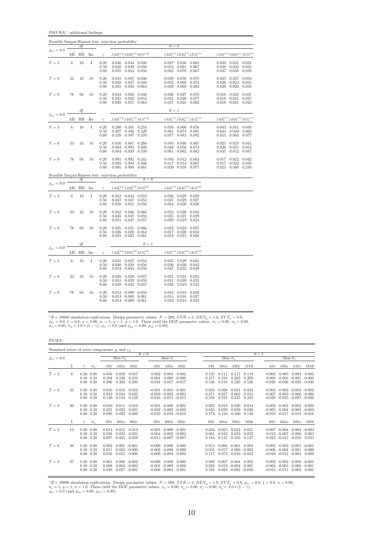P0fJ-WA<sup>∗</sup> : additional findings

|                                 |       |           |                |                                                     | Feasible Sargan-Hansen test: rejection probability                                                            |                                                                                                               |                                                                                |
|---------------------------------|-------|-----------|----------------|-----------------------------------------------------|---------------------------------------------------------------------------------------------------------------|---------------------------------------------------------------------------------------------------------------|--------------------------------------------------------------------------------|
| $\bar{\rho}_{x\varepsilon}=0.0$ |       | df        |                |                                                     |                                                                                                               | $\theta = 0$                                                                                                  |                                                                                |
|                                 | AB    | <b>BB</b> | Inc            | $\gamma$                                            | $JAB^{(1,0)}JBB^{(1,0)}_aJES^{(1,0)}$                                                                         | $JAB_a^{(1,1)}JBB_a^{(1,1)}JES_a^{(1,1)}$                                                                     | $JAB_c^{(1,1)}JBB_c^{(1,1)}JES_c^{(1,1)}$                                      |
| $T=3$                           | $\,6$ | 10        | $\overline{4}$ | 0.20<br>0.50<br>0.80                                | 0.046<br>0.044 0.046<br>0.048<br>0.049<br>0.050<br>0.054<br>0.056<br>0.055                                    | 0.047<br>0.056<br>0.065<br>0.053<br>0.061<br>0.067<br>0.062<br>0.070<br>0.067                                 | 0.039<br>0.031<br>0.031<br>0.038<br>0.032<br>0.032<br>0.047<br>0.038<br>0.039  |
| $T=6$                           | 33    | 43        | 10             | 0.20<br>0.50<br>0.80                                | 0.045<br>0.047<br>0.046<br>0.048<br>0.047<br>0.048<br>0.055<br>$\,0.058\,$<br>0.064                           | 0.049<br>0.058<br>0.075<br>0.052<br>0.060<br>0.074<br>0.059<br>0.069<br>0.082                                 | 0.027<br>0.025<br>0.034<br>0.026<br>0.023<br>0.033<br>0.029<br>0.026<br>0.039  |
| $T=9$                           | 78    | 94        | 16             | 0.20<br>0.50<br>0.80                                | 0.050<br>0.043<br>0.046<br>0.045<br>0.050<br>0.052<br>0.064<br>0.049<br>0.057                                 | 0.027<br>0.030<br>0.078<br>0.031<br>0.030<br>0.077<br>0.037<br>$\,0.035\,$<br>0.082                           | 0.022<br>0.018<br>0.037<br>0.018<br>0.021<br>0.037<br>0.018<br>0.021<br>0.043  |
|                                 |       | df        |                |                                                     |                                                                                                               | $\theta = 1$                                                                                                  |                                                                                |
| $\bar{\rho}_{x\varepsilon}=0.0$ | AB    | BB        | Inc            | $\gamma$                                            | $JAB^{\left( 1,0\right) }JBB_{a}^{\left( 1,0\right) }JES^{\left( 1,0\right) }$                                | $JAB_a^{\left( {1,1} \right)} JBB_a^{\left( {1,1} \right)} JES_a^{\left( {1,1} \right)}$                      | $JAB_c^{(1,1)}JBB_c^{(1,1)}JES_c^{(1,1)}$                                      |
| $T=3$                           | $\,6$ | 10        | $\overline{4}$ | 0.20<br>0.50<br>0.80                                | $0.290$ $0.391$<br>$\begin{array}{c} 0.255 \\ 0.320 \end{array}$<br>0.307<br>0.446<br>0.339<br>0.507<br>0.370 | $0.066$ 0.076<br>0.058<br>0.061<br>0.074<br>0.085<br>0.077<br>0.085<br>0.092                                  | $0.043$ $0.041$<br>0.049<br>0.044<br>0.049<br>0.060<br>0.055<br>0.063<br>0.077 |
| $T=6$                           | 33    | 43        | 10             | 0.20<br>0.50<br>0.80                                | 0.867<br>0.850<br>0.260<br>0.863<br>0.903<br>0.400<br>0.939<br>0.884<br>0.550                                 | 0.046<br>0.045<br>0.067<br>0.074<br>0.049<br>0.050<br>0.061<br>0.062<br>0.082                                 | 0.029<br>0.041<br>0.025<br>0.031<br>0.052<br>0.026<br>0.052<br>0.035<br>0.087  |
| $T=9$                           | 78    | 94        | 16             | 0.20<br>0.50<br>0.80                                | 0.991<br>0.992<br>0.241<br>0.406<br>0.993<br>0.994<br>0.995<br>0.998<br>0.661                                 | 0.016<br>0.012<br>0.063<br>$0.017\,$<br>0.013<br>0.067<br>0.020<br>0.016<br>0.077                             | 0.017<br>0.022<br>0.042<br>0.017<br>0.022<br>0.050<br>0.023<br>0.040<br>0.108  |
|                                 |       |           |                |                                                     | Feasible Sargan-Hansen test: rejection probability<br>$\theta = 0$                                            |                                                                                                               |                                                                                |
| $\bar{\rho}_{x\epsilon}=0.0$    | AВ    | dj<br>ΒB  | Inc            | $\gamma$                                            | $JAB_{a}^{\left( 2,2\right) }JBB_{a}^{\left( 2,2\right) }JES_{a}^{\left( 2,2\right) }$                        | $JAB_c^{(2,2)}JBB_c^{(2,2)}JES_c^{(2,2)}$                                                                     |                                                                                |
| $T=3$                           | 6     | 10        | $\overline{4}$ | 0.20<br>0.50<br>0.80                                | 0.044<br>0.053<br>0.042<br>0.053<br>0.047<br>0.047<br>0.058<br>0.051<br>0.050                                 | 0.036<br>$0.029$ 0.029<br>0.037<br>0.029<br>0.027<br>0.044<br>0.030<br>0.030                                  |                                                                                |
| $T=6$                           | 33    | 43        | 10             | 0.20<br>0.50<br>0.80                                | 0.042<br>0.046<br>0.060<br>0.045<br>0.047<br>0.058<br>0.051<br>0.047<br>0.057                                 | $\,0.024\,$<br>0.026<br>0.033<br>0.025<br>0.021<br>0.029<br>0.029<br>0.019<br>0.024                           |                                                                                |
| $T=9$                           | 78    | 94        | 16             | 0.20<br>0.50<br>0.80                                | $\,0.025\,$<br>0.021<br>0.066<br>0.026<br>0.020<br>0.064<br>0.031<br>0.023<br>0.061                           | 0.018<br>0.022<br>0.037<br>0.017<br>0.020<br>0.034<br>0.018<br>0.015<br>0.026                                 |                                                                                |
|                                 |       | df        |                |                                                     | $\theta = 1$                                                                                                  |                                                                                                               |                                                                                |
| $\bar{\rho}_{x\varepsilon}=0.0$ | AB    | BB        | Inc            | $\gamma$                                            | $JAB_a^{(2,2)}JBB_a^{(2,2)}JES_a^{(2,2)}$                                                                     | $JAB_c^{(2,2)}JBB_c^{(2,2)}JES_c^{(2,2)}$                                                                     |                                                                                |
| $T=3$                           | $\,6$ | 10        | $\overline{4}$ | 0.20<br>0.50<br>0.80                                | 0.035 0.037 0.053<br>0.039<br>0.056<br>0.040<br>0.054<br>0.044 0.058                                          | 0.033<br>$0.029$ $0.041$<br>0.036<br>0.030<br>0.043<br>0.047<br>0.033<br>0.048                                |                                                                                |
| $T=6$                           | 33    | 43        | 10             | $\begin{array}{c} 0.20 \\ 0.50 \end{array}$<br>0.80 | 0.028<br>0.028<br>0.057<br>0.031<br>0.029<br>0.059<br>0.032<br>0.039<br>0.057                                 | $\begin{array}{c} 0.021 \\ 0.021 \end{array}$<br>0.021<br>0.035<br>0.020<br>0.035<br>0.028<br>$0.019$ $0.033$ |                                                                                |
| $T=9$                           | 78    | 94        | 16             | 0.20<br>0.50<br>0.80                                | 0.009<br>0.058<br>0.012<br>0.009<br>0.013<br>0.061<br>0.009<br>0.014<br>0.061                                 | 0.018<br>0.016<br>0.039<br>0.015<br>0.016<br>0.037<br>0.019<br>0.014<br>0.033                                 |                                                                                |

P0-WA<sup>∗</sup>

|                                   |    | Standard errors of error components $\eta_i$ and $\varepsilon_{it}$ |                         |                                                       |                         |                                                                                      |                                   |                          |                         |                         |                                                       |                            |                 |                                                                                                                   |                                   |               |
|-----------------------------------|----|---------------------------------------------------------------------|-------------------------|-------------------------------------------------------|-------------------------|--------------------------------------------------------------------------------------|-----------------------------------|--------------------------|-------------------------|-------------------------|-------------------------------------------------------|----------------------------|-----------------|-------------------------------------------------------------------------------------------------------------------|-----------------------------------|---------------|
| $\bar{\rho}_{x\varepsilon} = 0.0$ |    |                                                                     |                         | Bias $\tilde{\sigma}_n$                               |                         | $\theta = 0$                                                                         | Bias $\hat{\sigma}_{\varepsilon}$ |                          |                         | Bias $\hat{\sigma}_n$   |                                                       |                            | $\theta = 1$    |                                                                                                                   | Bias $\hat{\sigma}_{\varepsilon}$ |               |
|                                   | L  | $\sigma_n$                                                          | AB1                     | AB2a                                                  | AB2c                    | AB1                                                                                  | AB2a                              | AB2c                     | AB1                     | AB2a                    | AB2c                                                  | MAB                        | AB1             | AB2a                                                                                                              | AB2c                              | MAB           |
| $T=3$                             | 8  | $0.20\ 0.80$<br>$0.50 \quad 0.50$<br>$0.80 \quad 0.20$              | 0.056<br>0.104<br>0.296 | 0.058<br>0.106<br>0.303                               | 0.057<br>0.104<br>0.295 | 0.002<br>$-0.001$<br>$-0.018$ $-0.017$ $-0.017$                                      | 0.003                             | 0.002<br>$0.000 - 0.000$ | 0.125<br>0.217<br>0.536 | 0.111<br>0.194<br>0.510 | 0.117<br>0.203<br>0.520                               | 0.119<br>0.209<br>0.526    | 0.005<br>0.000  | 0.005<br>$-0.028$ $-0.026$ $-0.030$ $-0.030$                                                                      | $0.001 - 0.001 - 0.000$           | $0.004$ 0.005 |
| $T=6$                             | 35 | $0.20\ 0.80$<br>$0.50 \quad 0.50$<br>$0.80\ 0.20$                   | 0.016<br>0.033<br>0.130 | 0.016<br>0.034<br>0.134                               | 0.016<br>0.032<br>0.128 | $-0.001 - 0.001 - 0.001$<br>$-0.003$ $-0.002$ $-0.003$<br>$-0.016$ $-0.015$ $-0.015$ |                                   |                          | 0.035<br>0.071<br>0.256 | 0.028<br>0.057<br>0.221 | 0.031<br>0.062<br>0.235                               | 0.024<br>0.053<br>0.223    |                 | $-0.003$ $-0.002$ $-0.003$ $-0.002$<br>$-0.007$ $-0.005$ $-0.006$ $-0.006$<br>$-0.029$ $-0.025$ $-0.027$ $-0.026$ |                                   |               |
| $T=9$                             | 80 | $0.20\ 0.80$<br>$0.50 \quad 0.50$<br>$0.80\ 0.20$                   | 0.010<br>0.021<br>0.090 | 0.011<br>0.022<br>0.092                               | 0.010<br>0.021<br>0.089 | $-0.001 - 0.000 - 0.001$<br>$-0.002$ $-0.002$ $-0.002$<br>$-0.010 - 0.010 - 0.010$   |                                   |                          | 0.023<br>0.045<br>0.174 | 0.019<br>0.039<br>0.156 | 0.020<br>0.039<br>0.160                               | 0.014<br>0.030<br>0.140    |                 | $-0.002$ $-0.002$ $-0.002$ $-0.002$<br>$-0.005$ $-0.004$ $-0.004$ $-0.003$<br>$-0.019 - 0.017 - 0.018 - 0.016$    |                                   |               |
|                                   | L  | $\sim$<br>$\sigma_n$                                                | B <sub>B1</sub>         | BB <sub>2a</sub>                                      | BB2c                    | B <sub>B1</sub>                                                                      | BB <sub>2a</sub>                  | BB2c                     | B <sub>B1</sub>         | BB <sub>2a</sub>        | BB2c                                                  | <b>MBB</b>                 | B <sub>B1</sub> | BB <sub>2a</sub>                                                                                                  | BB <sub>2c</sub>                  | <b>MBB</b>    |
| $T=3$                             | 13 | $0.20\ 0.80$<br>$0.50 \quad 0.50$<br>$0.80 \quad 0.20$              | 0.014<br>0.028<br>0.097 | 0.012<br>0.022<br>0.065                               | 0.013<br>0.021<br>0.059 | $-0.001 - 0.000 - 0.001$<br>$-0.004$ $-0.002$ $-0.003$<br>$-0.013 - 0.007 - 0.007$   |                                   |                          | 0.034<br>0.061<br>0.184 | 0.025<br>0.042<br>0.131 | 0.023<br>0.033<br>0.103                               | 0.021<br>0.022<br>0.137    |                 | $-0.007$ $-0.004$ $-0.004$ $-0.003$<br>$-0.012$ $-0.007$ $-0.006$ 0.003<br>$-0.025$ $-0.015$ $-0.010$             |                                   | 0.025         |
| $T=6$                             | 46 | $0.20\ 0.80$<br>$0.50 \quad 0.50$<br>$0.80\ 0.20$                   | 0.002<br>0.011<br>0.056 | $0.001 - 0.001$<br>$0.003 - 0.000$<br>0.021           | 0.006                   | $-0.000$<br>$-0.002 - 0.000 - 0.000$<br>$-0.009$ $-0.004$ $-0.002$                   | 0.000                             | 0.000                    | 0.013<br>0.031<br>0.117 | 0.017<br>0.073          | $0.006 - 0.001$<br>$0.000 - 0.002$<br>$0.010 - 0.052$ | 0.004                      |                 | $-0.003$ $-0.002$ $-0.001$ $-0.001$<br>$-0.006$ $-0.004$ $-0.001$ $-0.000$<br>$-0.018$ $-0.012$ $-0.004$ 0.009    |                                   |               |
| $T=9$                             | 97 | $0.20\ 0.80$<br>$0.50 \quad 0.50$<br>$0.80\ 0.20$                   | 0.001<br>0.008<br>0.049 | $0.000 - 0.002$<br>$0.004 - 0.003$<br>$0.027 - 0.001$ |                         | $-0.000$<br>$-0.001 - 0.000$<br>$-0.006$ $-0.004$ $-0.001$                           | 0.000                             | 0.000<br>0.000           | 0.009<br>0.024<br>0.101 | $0.019 - 0.004$         | $0.007 - 0.004$<br>$0.083 - 0.002$                    | 0.002<br>0.001<br>$-0.026$ |                 | $-0.002$ $-0.002$ $-0.000$ $-0.001$<br>$-0.004$ $-0.003$ $-0.000$ $-0.001$<br>$-0.013$ $-0.011$ $-0.002$          |                                   | 0.001         |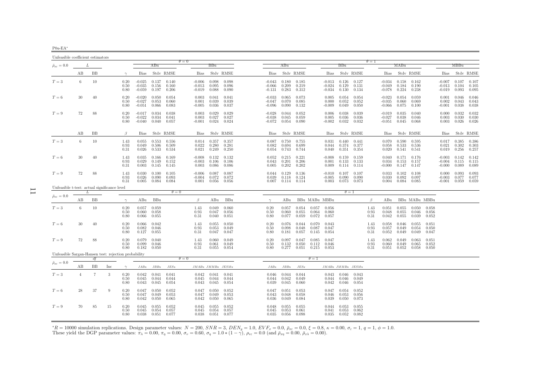| P0u-EA |
|--------|

<span id="page-10-0"></span>

| Unfeasible coefficient estimators                    |                |        |     |                      |                                  |                         |                                   |                                  |      |                         |                               |                                  |                                                     |                         |                         |                                  |                                   |                         |                      |                                  |                                           |                         |                         |                                  |                         |                         |
|------------------------------------------------------|----------------|--------|-----|----------------------|----------------------------------|-------------------------|-----------------------------------|----------------------------------|------|-------------------------|-------------------------------|----------------------------------|-----------------------------------------------------|-------------------------|-------------------------|----------------------------------|-----------------------------------|-------------------------|----------------------|----------------------------------|-------------------------------------------|-------------------------|-------------------------|----------------------------------|-------------------------|-------------------------|
| $\bar{\rho}_{x\varepsilon}=0.0$                      | L              |        |     |                      |                                  | ABu                     |                                   | $\theta = 0$                     |      | BBu                     |                               |                                  | ABu                                                 |                         |                         |                                  | BBu                               |                         | $\theta = 1$         |                                  | MABu                                      |                         |                         |                                  | <b>MBBu</b>             |                         |
|                                                      | AВ             | BB     |     | $\gamma$             | Bias                             |                         | Stdy RMSE                         |                                  | Bias |                         | Stdy RMSE                     | Bias                             |                                                     | Stdv RMSE               |                         | Bias                             |                                   | Stdy RMSE               |                      | <b>Bias</b>                      |                                           | Stdy RMSE               |                         | Bias                             |                         | Stdy RMSE               |
| $T=3$                                                | 6              | 10     |     | 0.20<br>0.50<br>0.80 | $-0.025$<br>$-0.035$<br>$-0.059$ | 0.156<br>0.197          | $0.137$ $0.140$<br>0.160<br>0.206 | $-0.006$<br>$-0.013$<br>$-0.019$ |      | 0.098<br>0.095<br>0.088 | 0.098<br>0.096<br>0.090       | -0.066<br>$-0.131$               | $-0.043$ 0.180<br>0.209<br>0.283                    | 0.185<br>0.219<br>0.312 |                         | $-0.013$<br>$-0.024$<br>$-0.034$ | 0.126<br>0.129<br>0.130           | 0.127<br>0.131<br>0.134 |                      | $-0.049$                         | $-0.034$ 0.158<br>0.184<br>$-0.078$ 0.224 | 0.162<br>0.190<br>0.238 |                         | $-0.007$<br>$-0.013$<br>$-0.019$ | 0.107<br>0.104<br>0.093 | 0.107<br>0.105<br>0.095 |
| $T=6$                                                | 30             | 40     |     | 0.20<br>0.50<br>0.80 | $-0.020$<br>$-0.027$<br>$-0.051$ | 0.053<br>0.066          | $0.050$ $0.054$<br>0.060<br>0.083 | 0.003<br>0.001<br>$-0.005$       |      | 0.041<br>0.039<br>0.036 | 0.041<br>0.039<br>0.037       | $-0.033$<br>$-0.047$<br>-0.096   | 0.065<br>0.070<br>0.090                             | 0.073<br>0.085<br>0.132 |                         | 0.005<br>0.000<br>$-0.009$       | 0.054<br>0.052<br>0.049           | 0.054<br>0.052<br>0.050 |                      | $-0.023$<br>$-0.035$<br>$-0.066$ | 0.054<br>0.060<br>0.075                   | 0.059<br>0.069<br>0.100 |                         | 0.001<br>0.002<br>$-0.001$       | 0.046<br>0.043<br>0.038 | 0.046<br>0.043<br>0.038 |
| $T=9$                                                | 72             | 88     |     | 0.20<br>0.50<br>0.80 | $-0.017$<br>$-0.022$<br>$-0.040$ | 0.034<br>0.040          | $0.034$ 0.038<br>0.041<br>0.057   | 0.003<br>0.003<br>$-0.001$       |      | 0.029<br>0.027<br>0.024 | 0.029<br>0.027<br>0.024       | $-0.028$<br>$-0.038$<br>$-0.072$ | 0.044<br>0.045<br>0.054                             | 0.052<br>0.059<br>0.090 |                         | 0.006<br>0.005<br>$-0.002$       | 0.038<br>0.036<br>0.032           | 0.039<br>0.036<br>0.032 |                      | $-0.019$<br>$-0.027$<br>$-0.051$ | 0.035<br>0.038<br>0.045                   | 0.040<br>0.046<br>0.068 |                         | 0.000<br>0.003<br>0.003          | 0.032<br>0.030<br>0.026 | 0.032<br>0.030<br>0.026 |
|                                                      | AВ             | BB     |     | $\beta$              | <b>Bias</b>                      |                         | Stdy RMSE                         | Bias                             |      |                         | Stdy RMSE                     | Bias                             |                                                     | Stdy RMSE               |                         | Bias                             |                                   | Stdy RMSE               |                      | Bias                             |                                           | Stdy RMSE               |                         | Bias                             |                         | Stdy RMSE               |
| $T=3$                                                | 6              | $10\,$ |     | 1.43<br>0.93<br>0.31 | 0.055<br>0.049<br>0.026          | 0.553<br>0.506<br>0.533 | 0.556<br>0.509<br>0.534           | 0.014<br>0.022<br>0.021          |      | 0.357<br>0.280<br>0.249 | 0.357<br>0.281<br>0.250       | 0.087<br>0.082<br>0.054          | 0.750<br>0.694<br>0.743                             | 0.755<br>0.699<br>0.744 |                         | 0.031<br>0.044<br>0.040          | 0.440<br>0.374<br>0.351           | 0.441<br>0.377<br>0.354 |                      | 0.070<br>0.058<br>0.020          | 0.590<br>0.533<br>0.541                   | 0.595<br>0.536<br>0.541 |                         | 0.017<br>0.021<br>0.019          | 0.385<br>0.302<br>0.256 | 0.386<br>0.303<br>0.257 |
| $T=6$                                                | 30             | 40     |     | 1.43<br>0.93<br>0.31 | 0.035<br>0.029<br>0.003          | 0.166<br>0.149<br>0.145 | 0.169<br>0.152<br>0.145           | $-0.008$<br>$-0.003$<br>0.003    |      | 0.132<br>0.106<br>0.086 | 0.132<br>0.106<br>0.086       | 0.052<br>0.043<br>0.005          | 0.215<br>0.201<br>0.202                             | 0.221<br>0.206<br>0.202 |                         | $-0.008$<br>0.001<br>0.009       | 0.159<br>0.133<br>0.114           | 0.159<br>0.133<br>0.114 |                      | 0.040<br>0.034                   | 0.171<br>0.153<br>$-0.000$ $0.147$        | 0.176<br>0.157<br>0.147 |                         | $-0.003$<br>$-0.004$<br>$-0.000$ | 0.142<br>0.115<br>0.089 | 0.142<br>0.115<br>0.089 |
| $T=9$                                                | 72             | 88     |     | 1.43<br>0.93<br>0.31 | 0.030<br>0.026<br>0.005          | 0.100<br>0.090<br>0.084 | 0.105<br>0.093<br>0.084           | $-0.006$<br>$-0.004$<br>0.001    |      | 0.087<br>0.072<br>0.056 | 0.087<br>0.072<br>0.056       |                                  | $0.044$ $0.129$<br>$0.039$ $0.118$<br>$0.007$ 0.114 | 0.136<br>0.124<br>0.114 |                         | $-0.010$<br>$-0.005$<br>0.003    | 0.107<br>0.090<br>0.073           | 0.107<br>0.090<br>0.073 |                      | 0.033<br>0.030                   | 0.102<br>0.092<br>$0.004$ 0.084           | 0.108<br>0.097<br>0.085 |                         | 0.000<br>$-0.003$<br>$-0.001$    | 0.093<br>0.077<br>0.059 | 0.093<br>0.077<br>0.059 |
| Unfeasible t-test: actual significance level         |                | L      |     |                      |                                  |                         | $\theta = 0$                      |                                  |      |                         |                               |                                  |                                                     |                         |                         |                                  | $\theta = 1$                      |                         |                      |                                  |                                           |                         |                         |                                  |                         |                         |
| $\bar{\rho}_{x\varepsilon}=0.0$                      | AВ             | BB     |     | $\gamma$             | ABu                              | BBu                     |                                   | $\beta$                          |      | ABu                     | BBu                           | $\gamma$                         | ABu                                                 |                         |                         | BBu MABu MBBu                    |                                   |                         | $\beta$              | ABu                              |                                           | BBu MABu MBBu           |                         |                                  |                         |                         |
| $T=3$                                                | 6              | 10     |     | 0.20<br>0.50<br>0.80 | 0.057<br>0.060<br>0.066          | 0.059<br>0.058<br>0.055 |                                   | 1.43<br>0.93<br>0.31             |      | 0.049<br>0.047<br>0.040 | 0.060<br>0.056<br>0.051       | 0.20<br>0.50<br>0.80             | 0.057<br>0.060<br>0.077                             | 0.054<br>0.055<br>0.059 | 0.057<br>0.064<br>0.072 | 0.056<br>0.060<br>0.057          |                                   |                         | 1.43<br>0.93<br>0.31 | 0.051<br>0.048<br>0.042          | 0.055<br>0.055<br>0.055                   | 0.050<br>0.046<br>0.039 | 0.058<br>0.056<br>0.052 |                                  |                         |                         |
| $T=6$                                                | 30             | 40     |     | 0.20<br>0.50<br>0.80 | 0.066<br>0.082<br>0.127          | 0.042<br>0.046<br>0.055 |                                   | 1.43<br>0.93<br>0.31             |      | 0.055<br>0.053<br>0.047 | 0.050<br>0.049<br>0.047       | 0.20<br>0.50<br>0.80             | 0.076<br>0.098<br>0.181                             | 0.044<br>0.048<br>0.057 | 0.070<br>0.087<br>0.145 | 0.043<br>0.047<br>0.054          |                                   |                         | 1.43<br>0.93<br>0.31 | 0.058<br>0.057<br>0.052          | 0.046<br>0.049<br>0.049                   | 0.055<br>0.054<br>0.049 | 0.051<br>0.050<br>0.047 |                                  |                         |                         |
| $T=9$                                                | 72             | 88     |     | 0.20<br>0.50<br>0.80 | 0.079<br>0.099<br>0.182          | 0.040<br>0.046<br>0.050 |                                   | 1.43<br>0.93<br>0.31             |      | 0.060<br>0.061<br>0.055 | 0.049<br>0.049<br>0.054       | 0.20<br>0.50<br>0.80             | 0.097<br>0.132<br>0.277                             | 0.047<br>0.050<br>0.051 | 0.085<br>0.112<br>0.215 | 0.047<br>0.046<br>0.053          |                                   |                         | 1.43<br>0.93<br>0.31 | 0.062<br>0.060<br>0.051          | 0.049<br>0.049<br>0.052                   | 0.063<br>0.065<br>0.058 | 0.051<br>0.052<br>0.050 |                                  |                         |                         |
| Unfeasible Sargan-Hansen test: rejection probability |                | df     |     |                      |                                  |                         |                                   | $\theta = 0$                     |      |                         |                               |                                  |                                                     |                         | $\theta = 1$            |                                  |                                   |                         |                      |                                  |                                           |                         |                         |                                  |                         |                         |
| $\bar{\rho}_{x\varepsilon}=0.0$                      | AВ             | BB     | Inc | $\gamma$             | $JABu$                           | $JBBu$                  | $JESu$                            |                                  |      |                         | $JMABu\quad JMMBu\quad JESMu$ | $JABu$                           | JBBu                                                | JESu                    |                         |                                  |                                   | $JMABu\ JMMBu\ JESMu$   |                      |                                  |                                           |                         |                         |                                  |                         |                         |
| $T=3$                                                | $\overline{4}$ | 7      | 3   | 0.20<br>0.50<br>0.80 | 0.042<br>0.045<br>0.043          | 0.041<br>0.044<br>0.045 | 0.041<br>0.044<br>0.054           | 0.042<br>0.045<br>0.043          |      | 0.041<br>0.044<br>0.045 | 0.041<br>0.044<br>0.054       | 0.046<br>0.044<br>0.039          | 0.044<br>0.042<br>0.045                             | 0.044<br>0.049<br>0.060 |                         | 0.044<br>0.042                   | $0.043$ 0.046<br>0.046<br>0.046   | 0.043<br>0.049<br>0.054 |                      |                                  |                                           |                         |                         |                                  |                         |                         |
| $T=6$                                                | 28             | 37     | 9   | 0.20<br>0.50<br>0.80 | 0.047<br>0.047<br>0.042          | 0.050<br>0.049<br>0.050 | 0.052<br>0.053<br>0.065           | 0.047<br>0.047<br>0.042          |      | 0.050<br>0.049<br>0.050 | 0.052<br>0.053<br>0.065       | 0.043<br>0.036                   | $0.047$ $0.051$<br>0.048<br>0.049                   | 0.053<br>0.058<br>0.084 |                         | 0.047<br>0.046<br>0.039          | 0.054<br>0.053<br>0.050           | 0.052<br>0.056<br>0.073 |                      |                                  |                                           |                         |                         |                                  |                         |                         |
| $T=9$                                                | 70             | 85     | 15  | 0.20<br>0.50<br>0.80 | 0.045<br>0.045<br>0.038          | 0.055<br>0.054<br>0.051 | 0.052<br>0.057<br>0.077           | 0.045<br>0.045<br>0.038          |      | 0.055<br>0.054<br>0.051 | 0.052<br>0.057<br>0.077       | 0.048<br>0.045                   | 0.055<br>0.053<br>$0.035$ 0.056                     | 0.055<br>0.061<br>0.098 |                         | 0.044<br>0.041                   | 0.053<br>0.053<br>$0.035$ $0.052$ | 0.055<br>0.062<br>0.082 |                      |                                  |                                           |                         |                         |                                  |                         |                         |

 $\overline{1}$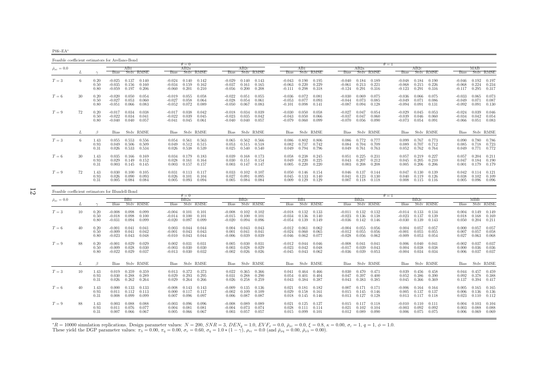P0fc-EA∗

Feasible coefficient estimators for Arellano-Bond

|                                 |    |                      |                                  |                         |                                   |                                  | $\theta = 0$            |                         |                                  |                         |                                   |                                  |                                    |                                 |                                  |                         |                         | $\theta = 1$                     |                         |                                   |                                  |                         |                                             |
|---------------------------------|----|----------------------|----------------------------------|-------------------------|-----------------------------------|----------------------------------|-------------------------|-------------------------|----------------------------------|-------------------------|-----------------------------------|----------------------------------|------------------------------------|---------------------------------|----------------------------------|-------------------------|-------------------------|----------------------------------|-------------------------|-----------------------------------|----------------------------------|-------------------------|---------------------------------------------|
| $\bar{\rho}_{x\varepsilon}=0.0$ |    |                      |                                  | AB1                     |                                   |                                  | AB2a                    |                         |                                  | AB2c                    |                                   |                                  | ABI                                |                                 |                                  | AB2a                    |                         |                                  | AB2c                    |                                   |                                  | МАВ                     |                                             |
|                                 |    |                      | <b>Bias</b>                      |                         | Stdy RMSE                         | Bias                             |                         | Stdy RMSE               | <b>Bias</b>                      |                         | Stdy RMSE                         | <b>Bias</b>                      |                                    | Stdy RMSE                       | <b>Bias</b>                      |                         | Stdy RMSE               | <b>Bias</b>                      |                         | Stdy RMSE                         | Bias                             |                         | Stdy RMSE                                   |
| $T=3$                           | 6  | 0.20<br>0.50<br>0.80 | $-0.025$<br>$-0.035$<br>$-0.059$ | 0.137<br>0.156          | 0.140<br>0.160<br>$0.197$ 0.206   | $-0.024$<br>$-0.034$<br>$-0.060$ | 0.140<br>0.159<br>0.201 | 0.142<br>0.162<br>0.210 | $-0.029$<br>$-0.037$<br>$-0.056$ | 0.140<br>0.161<br>0.200 | 0.143<br>0.165<br>0.208           | -0.043<br>$-0.063$               | 0.190<br>0.220<br>$-0.111$ $0.298$ | 0.195<br>0.229<br>0.318         | -0.040<br>$-0.061$<br>$-0.124$   | 0.184<br>0.213<br>0.291 | 0.189<br>0.221<br>0.316 | $-0.048$<br>$-0.068$<br>$-0.123$ | 0.184<br>0.215<br>0.291 | 0.190<br>0.226<br>0.316           | -0.046<br>$-0.068$<br>$-0.117$   | 0.224                   | $0.192$ $0.197$<br>0.234<br>$0.295$ $0.317$ |
| $T=6$                           | 30 | 0.20<br>0.50<br>0.80 | $-0.020$<br>$-0.027$<br>$-0.051$ | 0.050<br>0.053<br>0.066 | 0.054<br>0.060<br>0.083           | $-0.019$<br>$-0.027$<br>$-0.052$ | 0.055<br>0.058<br>0.072 | 0.058<br>0.064<br>0.089 | $-0.022$<br>$-0.028$<br>$-0.050$ | 0.051<br>0.054<br>0.067 | 0.055<br>0.061<br>0.083           | $-0.036$<br>$-0.053$<br>$-0.101$ | 0.072<br>0.077                     | 0.081<br>0.093<br>$0.098$ 0.141 | $-0.030$<br>$-0.044$<br>$-0.087$ | 0.069<br>0.073<br>0.094 | 0.075<br>0.085<br>0.128 | -0.036<br>$-0.049$<br>$-0.094$   | 0.066<br>0.071<br>0.091 | 0.075<br>0.086<br>0.131           | $-0.033$<br>$-0.049$<br>$-0.092$ | 0.071<br>0.091          | $0.065$ 0.073<br>0.087<br>0.130             |
| $T=9$                           | 72 | 0.20<br>0.50<br>0.80 | $-0.017$<br>$-0.022$<br>$-0.040$ | 0.034<br>0.034<br>0.040 | 0.038<br>0.041<br>0.057           | $-0.017$<br>$-0.022$<br>$-0.041$ | 0.038<br>0.039<br>0.045 | 0.042<br>0.045<br>0.061 | $-0.018$<br>$-0.023$<br>$-0.040$ | 0.034<br>0.035<br>0.040 | 0.039<br>0.042<br>0.057           | $-0.030$<br>$-0.043$<br>$-0.079$ | 0.050<br>0.050<br>0.060            | 0.058<br>0.066<br>0.099         | $-0.027$<br>$-0.037$<br>$-0.070$ | 0.047<br>0.047<br>0.056 | 0.054<br>0.060<br>0.090 | $-0.029$<br>$-0.039$<br>$-0.073$ | 0.045<br>0.046<br>0.054 | 0.053<br>0.060<br>0.091           | $-0.024$<br>$-0.034$<br>$-0.066$ | 0.039<br>0.042<br>0.051 | 0.046<br>0.054<br>0.083                     |
|                                 | L  | $\beta$              |                                  |                         | Bias Stdy RMSE                    | Bias                             |                         | Stdv RMSE               |                                  |                         | Bias Stdy RMSE                    |                                  |                                    | Bias Stdy RMSE                  |                                  |                         | Bias Stdy RMSE          |                                  |                         | Bias Stdv RMSE                    | Bias                             |                         | Stdv RMSE                                   |
| $T=3$                           | 6  | 1.43<br>0.93<br>0.31 | 0.055<br>0.049<br>0.026          | 0.553<br>0.506          | 0.556<br>0.509<br>0.533 0.534     | 0.054<br>0.049<br>0.026          | 0.561<br>0.512<br>0.538 | 0.563<br>0.515<br>0.539 | 0.065<br>0.053<br>0.025          | 0.562<br>0.540          | 0.566<br>$0.515$ $0.518$<br>0.540 | 0.082<br>0.049                   | 0.086 0.802<br>0.737<br>0.794      | 0.806<br>0.742<br>0.796         | 0.086<br>0.084<br>0.049          | 0.772<br>0.704<br>0.761 | 0.777<br>0.709<br>0.763 | 0.099<br>0.089<br>0.052          | 0.767<br>0.707<br>0.762 | 0.773<br>0.712<br>0.764           | 0.090<br>0.085<br>0.049          | 0.718                   | $0.780$ 0.786<br>0.723<br>$0.771$ $0.772$   |
| $T=6$                           | 30 | 1.43<br>0.93<br>0.31 | 0.035<br>0.029<br>0.003          | 0.166<br>0.149          | 0.169<br>0.152<br>$0.145$ $0.145$ | 0.034<br>0.028<br>0.003          | 0.179<br>0.161<br>0.157 | 0.183<br>0.164<br>0.157 | 0.039<br>0.030<br>0.003          | 0.168<br>0.151<br>0.147 | 0.173<br>0.154<br>0.147           | 0.058<br>0.049<br>0.005          | 0.238<br>0.220<br>0.220            | 0.245<br>0.225<br>0.220         | 0.051<br>0.043<br>0.003          | 0.225<br>0.207<br>0.208 | 0.231<br>0.212<br>0.208 | 0.057<br>0.045<br>0.005          | 0.219<br>0.205          | 0.227<br>0.210<br>$0.206$ $0.206$ | 0.057<br>0.047<br>0.001          | 0.184                   | $0.204$ $0.211$<br>0.190<br>$0.179$ $0.179$ |
| $T=9$                           | 72 | 1.43<br>0.93<br>0.31 | 0.030<br>0.026<br>0.005          | 0.100<br>0.090<br>0.084 | 0.105<br>0.093<br>0.084           | 0.031<br>0.026<br>0.005          | 0.113<br>0.101<br>0.093 | 0.117<br>0.104<br>0.094 | 0.033<br>0.027<br>0.005          | 0.102<br>0.091<br>0.084 | 0.107<br>0.095<br>0.084           | 0.050<br>0.045<br>0.009          | $0.146$ $0.154$<br>0.133<br>0.129  | 0.140<br>0.129                  | 0.046<br>0.041<br>0.007          | 0.137<br>0.123<br>0.118 | 0.144<br>0.130<br>0.118 | 0.047<br>0.040<br>0.008          | 0.130<br>0.119<br>0.115 | 0.139<br>0.126<br>0.116           | 0.042<br>0.038<br>0.005          | 0.114<br>0.102<br>0.096 | 0.121<br>0.109<br>0.096                     |

| Feasible coefficient estimators for Blundell-Bond |    |                      |                                  |                         |                         |                                  |                         |                         |                                  |                         |                         |                                  |                         |                         |                                  |                         |                         |                                  |                         |                         |                            |                         |                         |
|---------------------------------------------------|----|----------------------|----------------------------------|-------------------------|-------------------------|----------------------------------|-------------------------|-------------------------|----------------------------------|-------------------------|-------------------------|----------------------------------|-------------------------|-------------------------|----------------------------------|-------------------------|-------------------------|----------------------------------|-------------------------|-------------------------|----------------------------|-------------------------|-------------------------|
| $\bar{\rho}_{x\varepsilon}=0.0$                   |    |                      | <b>Bias</b>                      | BB1                     | Stdy RMSE               | <b>Bias</b>                      | $\theta = 0$<br>BB2a    | Stdy RMSE               | <b>Bias</b>                      | BB2c                    | Stdy RMSE               | <b>Bias</b>                      | BB1                     | Stdy RMSE               | <b>Bias</b>                      | BB2a                    | Stdy RMSE               | $\theta =$<br><b>Bias</b>        | BB2c                    | Stdy RMSE               | <b>Bias</b>                | МВВ                     | Stdy RMSE               |
| $T=3$                                             | 10 | 0.20<br>0.50<br>0.80 | $-0.008$<br>$-0.018$<br>$-0.031$ | 0.098<br>0.098<br>0.094 | 0.099<br>0.100<br>0.099 | $-0.004$<br>$-0.014$<br>$-0.020$ | 0.101<br>0.100<br>0.097 | 0.101<br>0.101<br>0.099 | $-0.008$<br>$-0.015$<br>$-0.020$ | 0.102<br>0.100<br>0.094 | 0.102<br>0.101<br>0.096 | $-0.018$<br>$-0.034$<br>$-0.054$ | 0.132<br>0.136<br>0.139 | 0.133<br>0.140<br>0.149 | $-0.011$<br>$-0.023$<br>$-0.036$ | 0.132<br>0.136<br>0.142 | 0.132<br>0.138<br>0.146 | $-0.014$<br>$-0.023$<br>$-0.030$ | 0.133<br>0.137<br>0.139 | 0.134<br>0.139<br>0.143 | 0.004<br>0.018<br>0.050    | 0.149<br>0.168<br>0.204 | 0.149<br>0.169<br>0.211 |
| $T=6$                                             | 40 | 0.20<br>0.50<br>0.80 | $-0.001$<br>$-0.009$<br>$-0.023$ | 0.041<br>0.041<br>0.043 | 0.041<br>0.042<br>0.048 | 0.003<br>$-0.001$<br>$-0.010$    | 0.044<br>0.043<br>0.043 | 0.044<br>0.043<br>0.044 | 0.004<br>0.001<br>$-0.006$       | 0.043<br>0.041<br>0.039 | 0.043<br>0.041<br>0.039 | $-0.012$<br>$-0.024$<br>$-0.046$ | 0.061<br>0.060<br>0.062 | 0.062<br>0.065<br>0.077 | $-0.004$<br>$-0.012$<br>$-0.028$ | 0.055<br>0.055<br>0.056 | 0.056<br>0.056<br>0.062 | 0.004<br>$-0.001$<br>$-0.009$    | 0.057<br>0.055<br>0.053 | 0.057<br>0.055<br>0.054 | 0.000<br>0.007<br>0.027    | 0.057<br>0.057<br>0.063 | 0.057<br>0.058<br>0.068 |
| $T=9$                                             | 88 | 0.20<br>0.50<br>0.80 | $-0.001$<br>$-0.009$<br>$-0.022$ | 0.029<br>0.028<br>0.029 | 0.029<br>0.030<br>0.037 | 0.002<br>$-0.003$<br>$-0.013$    | 0.031<br>0.030<br>0.030 | 0.031<br>0.030<br>0.032 | 0.005<br>0.003<br>$-0.002$       | 0.030<br>0.028<br>0.026 | 0.031<br>0.029<br>0.026 | $-0.012$<br>$-0.023$<br>$-0.045$ | 0.044<br>0.042<br>0.043 | 0.046<br>0.048<br>0.062 | $-0.008$<br>$-0.017$<br>$-0.036$ | 0.041<br>0.039<br>0.039 | 0.041<br>0.043<br>0.053 | 0.006<br>0.004<br>$-0.004$       | 0.040<br>0.038<br>0.034 | 0.041<br>0.038<br>0.034 | $-0.002$<br>0.000<br>0.006 | 0.037<br>0.036<br>0.037 | 0.037<br>0.036<br>0.037 |
|                                                   |    | $\beta$              | <b>Bias</b>                      |                         | Stdy RMSE               | Bias                             |                         | Stdy RMSE               | <b>Bias</b>                      |                         | Stdy RMSE               | Bias                             |                         | Stdy RMSE               | Bias                             |                         | Stdv RMSE               | Bias                             |                         | Stdy RMSE               | Bias                       |                         | Stdy RMSE               |
| $T=3$                                             | 10 | 1.43<br>0.93<br>0.31 | 0.019<br>0.030<br>0.026          | 0.359<br>0.288<br>0.262 | 0.359<br>0.289<br>0.264 | 0.013<br>0.029<br>0.029          | 0.372<br>0.293<br>0.264 | 0.373<br>0.295<br>0.266 | 0.022<br>0.031<br>0.026          | 0.365<br>0.288<br>0.258 | 0.366<br>0.290<br>0.259 | 0.041<br>0.054<br>0.043          | 0.464<br>0.401<br>0.384 | 0.466<br>0.404<br>0.387 | 0.030<br>0.047<br>0.043          | 0.470<br>0.397<br>0.383 | 0.471<br>0.400<br>0.385 | 0.039<br>0.052<br>0.045          | 0.456<br>0.386<br>0.366 | 0.458<br>0.390<br>0.369 | 0.044<br>0.092<br>0.137    | 0.457<br>0.378<br>0.394 | 0.459<br>0.388<br>0.417 |
| $T=6$                                             | 40 | 1.43<br>0.93<br>0.31 | 0.000<br>0.011<br>0.008          | 0.133<br>0.112<br>0.099 | 0.133<br>0.113<br>0.099 | $-0.008$<br>0.000<br>0.007       | 0.143<br>0.117<br>0.096 | 0.143<br>0.117<br>0.097 | $-0.009$<br>$-0.002$<br>0.006    | 0.135<br>0.109<br>0.087 | 0.136<br>0.109<br>0.087 | 0.021<br>0.029<br>0.018          | 0.181<br>0.158<br>0.145 | 0.182<br>0.161<br>0.146 | 0.007<br>0.015<br>0.013          | 0.171<br>0.145<br>0.127 | 0.171<br>0.146<br>0.128 | $-0.006$<br>0.005<br>0.013       | 0.164<br>0.137<br>0.117 | 0.164<br>0.137<br>0.118 | 0.005<br>0.006<br>0.023    | 0.165<br>0.136<br>0.110 | 0.165<br>0.136<br>0.112 |
| $T=9$                                             | 88 | 1.43<br>0.93<br>0.31 | 0.003<br>0.011<br>0.007          | 0.088<br>0.076<br>0.066 | 0.088<br>0.077<br>0.067 | $-0.003$<br>0.004<br>0.005       | 0.096<br>0.081<br>0.066 | 0.096<br>0.081<br>0.067 | $-0.008$<br>$-0.004$<br>0.003    | 0.089<br>0.073<br>0.057 | 0.089<br>0.074<br>0.057 | 0.021<br>0.028<br>0.015          | 0.125<br>0.11<br>0.099  | 0.127<br>0.114<br>0.101 | 0.015<br>0.021<br>0.012          | 0.117<br>0.102<br>0.089 | 0.118<br>0.104<br>0.090 | $-0.010$<br>$-0.003$<br>0.006    | 0.110<br>0.092<br>0.075 | 0.111<br>0.092<br>0.075 | 0.004<br>0.003<br>0.006    | 0.103<br>0.088<br>0.069 | 0.104<br>0.088<br>0.069 |

 ${}^*R = 10000$  simulation replications. Design parameter values:  $N = 200$ ,  $SNR = 3$ ,  $DEN_y = 1.0$ ,  $EVF_x = 0.0$ ,  $\bar{\rho}_{xc} = 0.0$ ,  $\xi = 0.8$ ,  $\kappa = 0.00$ ,  $\sigma_{\varepsilon} = 1$ ,  $q = 1$ ,  $\phi = 1.0$ .<br>These yield the DGP parameter values:  $\pi$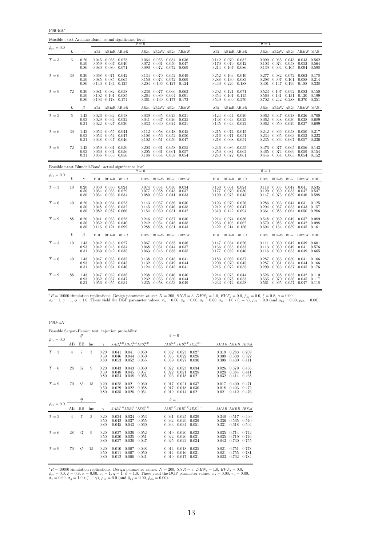P0ft-EA<sup>∗</sup>

| Feasible t-test Arellano-Bond: actual significance level |    |                                  |                         |                                                         |                                               |                         |                                                                     |                         |                         |                |                                                                               |                |                         |                                                                             |                         |                                                     |                |
|----------------------------------------------------------|----|----------------------------------|-------------------------|---------------------------------------------------------|-----------------------------------------------|-------------------------|---------------------------------------------------------------------|-------------------------|-------------------------|----------------|-------------------------------------------------------------------------------|----------------|-------------------------|-----------------------------------------------------------------------------|-------------------------|-----------------------------------------------------|----------------|
| $\bar{\rho}_{x\varepsilon}=0.0$                          |    |                                  |                         |                                                         |                                               | $\theta = 0$            |                                                                     |                         |                         |                |                                                                               |                | $\theta = 1$            |                                                                             |                         |                                                     |                |
|                                                          | L  | $\gamma$                         |                         |                                                         | AB1 AB1aR AB1cR                               |                         |                                                                     |                         | AB2a AB2aW AB2c AB2cW   |                | AB1 AB1aR AB1cR                                                               |                |                         | AB2a AB2aW AB2c AB2cW MAB                                                   |                         |                                                     |                |
| $T=3$                                                    | 6  | 0.20<br>0.50<br>0.80             | 0.059<br>0.080          | $0.045$ $0.055$ $0.028$<br>$0.080$ $0.071$              | $0.067$ 0.040                                 | 0.072<br>0.090          | $0.064$ $0.055$ $0.034$ $0.036$<br>0.061<br>0.072 0.072             | 0.050                   | 0.047<br>0.069          |                | $0.142$ $0.070$ $0.032$<br>0.170 0.079 0.042<br>$0.214$ $0.107$ $0.086$       |                | 0.103<br>0.139          | $0.090 \quad 0.065$<br>0.073<br>0.094                                       | 0.058<br>0.105          | $0.043$ $0.043$ $0.562$<br>0.052<br>0.094           | 0.564<br>0.598 |
| $T=6$                                                    | 30 | 0.20<br>0.50<br>0.80             | 0.068<br>0.085<br>0.140 |                                                         | 0.071 0.042<br>0.085 0.065<br>$0.134$ $0.125$ | 0.134<br>0.204          | $0.070 \quad 0.052$<br>0.150 0.073 0.072<br>$0.106$ $0.127$         |                         | 0.049<br>0.069<br>0.124 |                | $0.252$ $0.103$ $0.049$<br>$0.288$ $0.130$ $0.083$<br>$0.430$ $0.226$ $0.188$ |                | 0.277<br>0.298<br>0.401 | 0.082<br>0.097<br>0.147                                                     | 0.072<br>0.101<br>0.199 | $0.062$ $0.178$<br>0.088<br>0.188 0.338             | 0.214          |
| $T=9$                                                    | 72 | 0.20<br>0.50<br>0.80             | 0.081<br>0.102          | $0.082$ 0.058<br>$0.101$ $0.085$<br>0.193 0.178 0.174   |                                               | 0.236<br>0.264          | $0.077$ 0.066<br>0.089<br>$0.361$ $0.139$ $0.177$                   | 0.094                   | 0.063<br>0.091<br>0.172 |                | $0.292$ $0.121$ $0.071$<br>$0.354$ $0.161$ $0.115$<br>0.549 0.309 0.270       |                | 0.560                   | $0.523$ $0.107$ $0.092$ $0.082$ $0.150$<br>0.131<br>$0.702$ $0.242$ $0.288$ | 0.131                   | 0.120<br>$0.270$ $0.351$                            | 0.199          |
|                                                          | L  | $\beta$                          | AB1                     | AB1aR AB1cR                                             |                                               |                         |                                                                     |                         | AB2a AB2aW AB2c AB2cW   |                | AB1 AB1aR AB1cR                                                               |                |                         | AB2a AB2aW AB2c AB2cW MAB                                                   |                         |                                                     |                |
| $T=3$                                                    | 6  | 1.43<br>0.93<br>0.31             | 0.029<br>0.022          | $0.026$ $0.032$ $0.018$<br>0.034 0.022<br>$0.027$ 0.020 |                                               | 0.033                   | $0.039$ $0.035$ $0.023$ $0.021$<br>$0.041$ $0.037$ $0.026$<br>0.030 | 0.024                   | 0.025<br>0.021          |                | $0.124$ $0.044$ $0.020$<br>$0.138$ $0.043$ $0.023$<br>$0.135$ $0.043$ $0.022$ |                | 0.062<br>0.062          | $0.062$ $0.047$ $0.028$<br>0.048<br>0.050                                   | 0.030<br>0.029          | $0.026$ 0.700<br>0.028 0.689<br>$0.027$ 0.699       |                |
| $T=6$                                                    | 30 | 1.43<br>0.93<br>0.31             | 0.053<br>0.053<br>0.048 | $0.055$ $0.041$<br>0.054<br>$0.047$ 0.046               | 0.047                                         | 0.112<br>0.108<br>0.102 | 0.058 0.048<br>0.056<br>$0.051$ $0.050$                             | 0.052                   | 0.045<br>0.050<br>0.047 |                | $0.215$ $0.074$ $0.045$<br>$0.216$ $0.071$ $0.051$<br>0.218 0.068 0.054       |                | 0.234                   | $0.242$ 0.066<br>0.065<br>$0.235$ 0.063                                     | 0.058<br>0.063<br>0.067 | $0.050 \quad 0.217$<br>0.053<br>$0.057$ 0.236       | 0.223          |
| $T=9$                                                    | 72 | 1.43<br>0.93<br>0.31             | 0.059<br>0.060<br>0.056 | 0.061<br>$0.053$ 0.056                                  | $0.061$ $0.050$<br>0.056                      | 0.203<br>0.205<br>0.188 | $0.061$ $0.058$<br>0.061<br>0.054 0.058                             | 0.061                   | 0.055<br>0.057<br>0.054 |                | $0.246$ $0.086$ $0.055$<br>$0.250$ $0.084$ $0.062$<br>$0.243$ $0.072$ $0.061$ |                | 0.476<br>0.465          | 0.077<br>0.074<br>$0.446$ $0.064$ $0.065$                                   | 0.065<br>0.069          | $0.056$ $0.143$<br>0.059<br>$0.054$ $0.152$         | 0.154          |
| Feasible t-test Blundell-Bond: actual significance level |    |                                  |                         |                                                         |                                               |                         |                                                                     |                         |                         |                |                                                                               |                |                         |                                                                             |                         |                                                     |                |
| $\bar{\rho}_{x\varepsilon}=0.0$                          | L  |                                  |                         | BB1 BB1aR BB1cR                                         |                                               | $\theta = 0$            |                                                                     |                         | BB2a BB2aW BB2c BB2cW   |                | BB1 BB1aR BB1cR                                                               |                | $\theta = 1$            | BB2a BB2aW BB2c BB2cW MBB                                                   |                         |                                                     |                |
| $T=3$                                                    | 10 | $\gamma$<br>0.20<br>0.50<br>0.80 | 0.054<br>0.054          | $0.050$ $0.050$ $0.024$<br>0.055                        | 0.029<br>0.056 0.034                          | 0.077<br>0.080          | $0.074$ $0.054$ $0.036$ $0.034$<br>0.058<br>$0.052$ $0.041$         | 0.043                   | 0.037<br>0.033          | 0.177<br>0.199 | $0.160$ $0.064$ $0.024$<br>$0.070$ 0.030<br>0.075 0.043                       |                | 0.129                   | $0.118$ $0.065$ $0.047$ $0.041$ $0.535$<br>0.069<br>$0.147$ 0.073           | 0.055<br>0.059          | 0.047<br>0.046                                      | 0.547<br>0.598 |
| $T=6$                                                    | 40 | 0.20<br>0.50<br>0.80             | 0.048<br>0.082          | $0.040$ $0.054$ $0.023$<br>0.087                        | 0.056 0.032<br>0.066                          | 0.145<br>0.154          | $0.143$ $0.057$ $0.036$ $0.030$<br>0.059<br>$0.060$ $0.051$         | 0.046                   | 0.038<br>0.042          |                | 0.193 0.070 0.026<br>$0.212$ 0.089<br>$0.310$ $0.142$ $0.094$                 | 0.047          | 0.294<br>0.361          | $0.286$ 0.063<br>0.067<br>0.085                                             | 0.053<br>0.064          | $0.044$ $0.031$ $0.125$<br>0.043<br>0.050           | 0.157<br>0.286 |
| $T=9$                                                    | 88 | 0.20<br>0.50<br>0.80             | 0.041<br>0.052          | $0.053$ 0.028<br>0.062<br>0.115 0.121 0.099             | 0.040                                         | 0.246<br>0.242<br>0.288 | $0.057$ 0.037<br>0.054<br>$0.068$ $0.051$ $0.043$                   | 0.048                   | 0.030<br>0.038          |                | 0.214 0.074 0.036<br>$0.253$ $0.105$ $0.062$<br>$0.422$ $0.214$ $0.156$       |                | 0.548<br>0.570          | 0.069<br>0.085<br>$0.694$ $0.154$ $0.059$                                   | 0.049<br>0.056          | 0.037 0.089<br>$0.042$ 0.098<br>$0.045$ $0.161$     |                |
|                                                          | L  | $\beta$                          | BB1                     | BB1aR BB1cR                                             |                                               |                         |                                                                     |                         | BB2a BB2aW BB2c BB2cW   | BB1            | BB1aR BB1cR                                                                   |                |                         | BB2a BB2aW BB2c BB2cW MBB                                                   |                         |                                                     |                |
| $T=3$                                                    | 10 | 1.43<br>0.93<br>0.31             | 0.042<br>0.039          | $0.042$ $0.043$ $0.027$<br>0.045<br>0.042               | 0.034<br>0.035                                | 0.067<br>0.068<br>0.063 | 0.051 0.038 0.036<br>0.051<br>0.045                                 | 0.044<br>0.038          | 0.037<br>0.035          | 0.166          | $0.147$ $0.054$ $0.026$<br>0.055<br>$0.177$ 0.059                             | 0.033<br>0.040 | 0.113<br>0.116          | $0.111$ $0.060$ $0.042$<br>0.060<br>0.060                                   | 0.049<br>0.053          | 0.039 0.601<br>0.041<br>0.049                       | 0.576<br>0.665 |
| $T=6$                                                    | 40 | 1.43<br>0.93<br>0.31             | 0.047<br>0.049          | $0.053$ 0.035<br>0.052<br>$0.048$ $0.051$ $0.046$       | 0.043                                         | 0.138<br>0.132<br>0.124 | $0.059$ $0.045$<br>0.056<br>$0.053$ $0.045$ $0.041$                 | 0.049                   | 0.041<br>0.044          | 0.200          | 0.183 0.069<br>0.070<br>$0.215$ $0.072$ $0.055$                               | 0.037<br>0.045 | 0.287<br>0.287<br>0.299 | 0.063<br>0.061<br>0.063                                                     | 0.050<br>0.054<br>0.057 | $0.041$ $0.166$<br>$0.044$ $0.166$<br>$0.045$ 0.176 |                |
| $T=9$                                                    | 88 | 1.43<br>0.93<br>0.31             | 0.047<br>0.052          | 0.052<br>0.057<br>0.056 0.055                           | 0.038<br>0.047<br>0.054                       | 0.238<br>0.232<br>0.235 | 0.055<br>0.056<br>0.058                                             | 0.046<br>0.050<br>0.053 | 0.040<br>0.044<br>0.049 |                | 0.214 0.073<br>$0.230$ $0.078$<br>$0.233$ $0.072$ $0.058$                     | 0.044<br>0.053 | 0.526<br>0.535          | 0.068<br>0.070<br>0.561 0.065                                               | 0.053<br>0.056<br>0.057 | 0.042<br>0.045<br>$0.047$ $0.118$                   | 0.110<br>0.117 |

 ${}^*R = 10000$  simulation replications. Design parameter values:  $N = 200$ ,  $SNR = 3$ ,  $DEN_y = 1.0$ ,  $EVF_x = 0.0$ ,  $\bar{\rho}_{x\bar{x}} = 0.0$ ,  $\xi = 0.8$ ,  $\kappa = 0.00$ ,<br> $\sigma_{\bar{x}} = 1$ ,  $q = 1$ ,  $\phi = 1.0$ . These yield the DGP parameter values:

P0fJ-EA<sup>∗</sup>

|                                 |                |           |     |                      | Feasible Sargan-Hansen test: rejection probability |                         |                         |                         |                                           |                         |                         |                         |
|---------------------------------|----------------|-----------|-----|----------------------|----------------------------------------------------|-------------------------|-------------------------|-------------------------|-------------------------------------------|-------------------------|-------------------------|-------------------------|
|                                 |                | df        |     |                      |                                                    |                         | $\theta = 0$            |                         |                                           |                         |                         |                         |
| $\bar{\rho}_{x\varepsilon}=0.0$ | AВ             | BB        | Inc | $\sim$               | $JAB_a^{(2,1)}JBB_a^{(2,1)}JES_a^{(2,1)}$          |                         |                         |                         | $JAB_c^{(2,1)}JBB_c^{(2,1)}JES_c^{(2,1)}$ |                         | JMAB JMBB JESM          |                         |
| $T=3$                           | 4              | 7         | 3   | 0.20<br>0.50<br>0.80 | 0.041<br>0.041<br>0.046<br>0.044<br>0.053<br>0.052 | 0.050<br>0.050<br>0.055 | 0.032<br>0.035<br>0.039 | 0.023<br>0.022<br>0.027 | 0.027<br>0.026<br>0.030                   | 0.319<br>0.309<br>0.308 | 0.283<br>0.338<br>0.430 | 0.269<br>0.322<br>0.411 |
| $T=6$                           | 28             | 37        | 9   | 0.20<br>0.50<br>0.80 | 0.043<br>0.043<br>0.048<br>0.045<br>0.054<br>0.048 | 0.060<br>0.057<br>0.055 | 0.022<br>0.022<br>0.026 | 0.023<br>0.021<br>0.018 | 0.034<br>0.028<br>0.021                   | 0.026<br>0.028<br>0.032 | 0.379<br>0.384<br>0.414 | 0.436<br>0.441<br>0.468 |
| $T=9$                           | 70             | 85        | 15  | 0.20<br>0.50<br>0.80 | 0.028<br>0.021<br>0.029<br>0.022<br>0.035<br>0.026 | 0.060<br>0.058<br>0.054 | 0.017<br>0.017<br>0.019 | 0.021<br>0.018<br>0.014 | 0.037<br>0.030<br>0.021                   | 0.017<br>0.018<br>0.021 | 0.400<br>0.403<br>0.412 | 0.471<br>0.472<br>0.476 |
|                                 |                | df        |     |                      |                                                    |                         | $\theta=1$              |                         |                                           |                         |                         |                         |
| $\bar{\rho}_{x\varepsilon}=0.0$ | AВ             | <b>BB</b> | Inc | $\gamma$             | $JAB_a^{(2,1)}JBB_a^{(2,1)}JES_a^{(2,1)}$          |                         |                         |                         | $JAB_c^{(2,1)}JBB_c^{(2,1)}JES_c^{(2,1)}$ |                         | JMAB JMBB JESM          |                         |
| $T=3$                           | $\overline{4}$ | 7         | 3   | 0.20<br>0.50<br>0.80 | 0.034<br>0.034<br>0.042<br>0.037<br>0.045<br>0.043 | 0.053<br>0.055<br>0.060 | 0.031<br>0.032<br>0.033 | 0.025<br>0.029<br>0.034 | 0.039<br>0.039<br>0.051                   | 0.340<br>0.336<br>0.331 | 0.517<br>0.565<br>0.618 | 0.490<br>0.540<br>0.594 |
| $T=6$                           | 28             | 37        | 9   | 0.20<br>0.50<br>0.80 | 0.027<br>0.026<br>0.030<br>0.025<br>0.037<br>0.026 | 0.052<br>0.051<br>0.047 | 0.019<br>0.022<br>0.025 | 0.020<br>0.020<br>0.022 | 0.033<br>0.031<br>0.034                   | 0.035<br>0.035<br>0.043 | 0.714<br>0.719<br>0.730 | 0.742<br>0.746<br>0.755 |
| $T=9$                           | 70             | 85        | 15  | 0.20<br>0.50<br>0.80 | 0.010<br>0.007<br>0.011<br>0.007<br>0.012<br>0.006 | 0.048<br>0.050<br>0.041 | 0.014<br>0.014<br>0.019 | 0.018<br>0.016<br>0.017 | 0.035<br>0.031<br>0.031                   | 0.021<br>0.021<br>0.023 | 0.751<br>0.755<br>0.762 | 0.778<br>0.781<br>0.784 |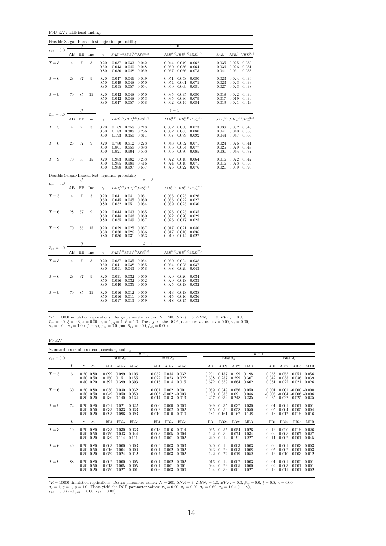P0fJ-EA<sup>∗</sup> : additional findings

|                                 |                |                   |     |                      | Feasible Sargan-Hansen test: rejection probability                                     |                                                                                |                                                                                  |
|---------------------------------|----------------|-------------------|-----|----------------------|----------------------------------------------------------------------------------------|--------------------------------------------------------------------------------|----------------------------------------------------------------------------------|
| $\bar{\rho}_{x\varepsilon}=0.0$ |                | df                |     |                      |                                                                                        | $\theta = 0$                                                                   |                                                                                  |
|                                 | AВ             | ΒB                | Inc | $\gamma$             | $JAB^{(1,0)}JBB^{(1,0)}_aJES^{(1,0)}$                                                  | $JAB_a^{(1,1)}JBB_a^{(1,1)}JES_a^{(1,1)}$                                      | $JAB_c^{(1,1)}JBB_c^{(1,1)}JES_c^{(1,1)}$                                        |
| $T=3$                           | $\overline{4}$ | $\overline{7}$    | 3   | 0.20<br>0.50<br>0.80 | 0.037<br>0.033 0.042<br>0.043<br>0.040<br>0.048<br>0.050<br>0.048<br>0.059             | 0.044<br>0.049<br>0.062<br>0.050<br>0.056<br>0.064<br>0.057<br>0.066<br>0.073  | 0.035 0.025<br>0.030<br>0.036<br>0.026<br>0.031<br>0.041<br>0.031<br>0.038       |
| $T=6$                           | 28             | 37                | 9   | 0.20<br>0.50<br>0.80 | 0.046<br>0.047<br>0.049<br>0.049<br>0.048<br>0.050<br>0.055<br>0.057<br>0.064          | 0.051<br>0.058<br>0.080<br>0.054<br>0.061<br>0.075<br>0.060<br>0.069<br>0.081  | 0.023<br>0.024<br>0.036<br>0.023<br>0.023<br>0.033<br>0.027<br>0.023<br>0.038    |
| $T=9$                           | 70             | 85                | 15  | 0.20<br>0.50<br>0.80 | 0.048<br>0.042<br>0.050<br>0.053<br>0.042<br>0.048<br>0.047<br>0.057<br>0.068          | 0.035<br>0.035<br>0.080<br>0.035<br>0.036<br>0.079<br>0.042<br>0.044 0.084     | 0.022<br>0.018<br>0.039<br>0.017<br>0.019<br>0.039<br>$0.019$ $0.021$<br>0.043   |
| $\bar{\rho}_{x\varepsilon}=0.0$ |                | df                |     |                      |                                                                                        | $\theta = 1$                                                                   |                                                                                  |
|                                 | AВ             | BB                | Inc | $\gamma$             | $JAB^{\left( 1,0\right) }JBB_{a}^{\left( 1,0\right) }JES^{\left( 1,0\right) }$         | $JAB_a^{(1,1)}JBB_a^{(1,1)}JES_a^{(1,1)}$                                      | $JAB_c^{(1,1)}JBB_c^{(1,1)}JES_c^{(1,1)}$                                        |
| $T=3$                           | $\overline{4}$ | $\overline{7}$    | 3   | 0.20<br>0.50<br>0.80 | 0.169<br>0.258<br>0.218<br>0.308<br>0.266<br>0.183<br>0.350<br>0.311<br>0.193          | 0.052<br>0.058<br>0.073<br>0.062<br>0.080<br>0.065<br>0.067<br>0.079<br>0.092  | 0.038 0.032<br>0.045<br>0.041<br>0.040<br>0.050<br>$\,0.044\,$<br>0.047<br>0.066 |
| $T=6$                           | 28             | 37                | 9   | 0.20<br>0.50<br>0.80 | 0.812<br>0.273<br>0.780<br>0.801<br>0.858<br>0.393<br>0.821<br>0.904<br>0.533          | 0.048<br>0.052<br>0.071<br>0.056<br>0.054<br>0.077<br>0.066<br>0.070<br>0.085  | 0.026<br>0.024<br>0.041<br>0.025<br>0.029<br>0.049<br>0.031<br>0.044<br>0.077    |
| $T=9$                           | 70             | 85                | 15  | 0.20<br>0.50<br>0.80 | 0.982<br>0.253<br>0.983<br>0.985<br>0.989<br>0.416<br>0.988<br>0.997<br>0.657          | 0.022<br>0.018<br>0.064<br>0.024<br>0.071<br>0.018<br>0.025<br>0.022<br>0.076  | 0.016<br>0.022<br>0.042<br>0.016<br>0.023<br>0.050<br>$0.021$ $0.039$<br>0.096   |
|                                 |                |                   |     |                      | Feasible Sargan-Hansen test: rejection probability<br>$\theta = 0$                     |                                                                                |                                                                                  |
| $\bar{\rho}_{x\varepsilon}=0.0$ | AВ             | df<br>ΒB          | Inc | $\gamma$             | $JAB_a^{(2,2)}JBB_a^{(2,2)}JES_a^{(2,2)}$                                              | $JAB_c^{(2,2)}JBB_c^{(2,2)}JES_c^{(2,2)}$                                      |                                                                                  |
| $T=3$                           | $\overline{4}$ | $\scriptstyle{7}$ | 3   | 0.20<br>0.50<br>0.80 | 0.041<br>$0.041$ $0.051$<br>0.050<br>0.045<br>0.045<br>0.052<br>0.051<br>0.054         | 0.033<br>0.023<br>0.026<br>0.035<br>0.022<br>0.027<br>0.039<br>0.023<br>0.030  |                                                                                  |
| $T=6$                           | 28             | 37                | 9   | 0.20<br>0.50<br>0.80 | 0.043<br>0.044<br>0.065<br>0.060<br>0.048<br>0.046<br>0.049<br>0.057<br>0.055          | 0.023<br>0.023<br>0.035<br>0.022<br>0.020<br>0.029<br>0.026<br>0.017<br>0.025  |                                                                                  |
| $T=9$                           | 70             | 85                | 15  | 0.20<br>0.50<br>0.80 | 0.029<br>0.025<br>0.067<br>0.026<br>0.066<br>0.030<br>0.031<br>0.063<br>0.036          | 0.017<br>0.021<br>0.040<br>0.017<br>0.018<br>0.036<br>0.019<br>$0.014$ $0.027$ |                                                                                  |
| $\bar{\rho}_{x\varepsilon}=0.0$ |                | df                |     |                      | $\theta=1$                                                                             |                                                                                |                                                                                  |
|                                 | AB             | BB                | Inc | $\gamma$             | $JAB_{a}^{\left( 2,2\right) }JBB_{a}^{\left( 2,2\right) }JES_{a}^{\left( 2,2\right) }$ | $JAB_c^{(2,2)}JBB_c^{(2,2)}JES_c^{(2,2)}$                                      |                                                                                  |
| $T=3$                           | $\overline{4}$ | $\scriptstyle{7}$ | 3   | 0.20<br>0.50<br>0.80 | 0.035<br>0.054<br>0.037<br>0.041<br>0.038<br>0.055<br>0.051<br>0.043<br>0.058          | 0.030<br>0.024 0.038<br>0.034<br>0.025<br>0.037<br>0.038<br>0.029<br>0.043     |                                                                                  |
| $T=6$                           | 28             | 37                | 9   | 0.20<br>0.50<br>0.80 | 0.031<br>0.032<br>0.060<br>0.036<br>0.032<br>0.062<br>0.035<br>0.060<br>0.040          | 0.020<br>0.020<br>0.034<br>0.020<br>0.018<br>0.033<br>0.025<br>0.018<br>0.032  |                                                                                  |
| $T=9$                           | 70             | 85                | 15  | 0.20<br>0.50<br>0.80 | $0.012$ 0.060<br>0.016<br>0.060<br>0.016<br>0.011<br>0.017<br>0.013<br>0.059           | 0.013<br>0.018<br>0.038<br>0.015<br>0.016<br>0.036<br>0.018<br>0.015<br>0.032  |                                                                                  |

P0-EA<sup>∗</sup>

| Standard errors of error components $\eta_i$ and $\varepsilon_{it}$ |    |                                                        |            |                         |                                                               |                         |                         |                                                                                 |                         |                         |                                             |                                                       |                            |                         |                                                                                                                   |                         |                         |
|---------------------------------------------------------------------|----|--------------------------------------------------------|------------|-------------------------|---------------------------------------------------------------|-------------------------|-------------------------|---------------------------------------------------------------------------------|-------------------------|-------------------------|---------------------------------------------|-------------------------------------------------------|----------------------------|-------------------------|-------------------------------------------------------------------------------------------------------------------|-------------------------|-------------------------|
|                                                                     |    |                                                        |            |                         |                                                               |                         | $\theta = 0$            |                                                                                 |                         |                         |                                             |                                                       |                            | $\theta = 1$            |                                                                                                                   |                         |                         |
| $\bar{\rho}_{x\varepsilon} = 0.0$                                   |    |                                                        |            |                         | Bias $\sigma_n$                                               |                         |                         | Bias $\hat{\sigma}_e$                                                           |                         |                         | Bias $\hat{\sigma}_n$                       |                                                       |                            |                         |                                                                                                                   | Bias $\hat{\sigma}_e$   |                         |
|                                                                     | L  |                                                        | $\sigma_n$ | AB1                     | AB2a                                                          | AB2c                    | AB1                     | AB2a                                                                            | AB2c                    | AB1                     | AB2a                                        | AB2c                                                  | MAB                        | AB1                     | AB2a                                                                                                              | AB2c                    | MAB                     |
| $T=3$                                                               | 6. | $0.20\ 0.80$<br>$0.50 \quad 0.50$<br>$0.80 \quad 0.20$ |            | 0.099<br>0.150<br>0.392 | 0.099<br>0.151<br>0.399                                       | 0.106<br>0.155<br>0.393 | 0.032<br>0.022<br>0.013 | 0.034<br>0.023<br>0.014                                                         | 0.032<br>0.022<br>0.015 | 0.201<br>0.308<br>0.672 | 0.187<br>0.287<br>0.659                     | 0.199<br>0.299<br>0.664                               | 0.198<br>0.307<br>0.662    | 0.058<br>0.042<br>0.031 | 0.055<br>0.038<br>0.022                                                                                           | 0.051<br>0.036<br>0.021 | 0.056<br>0.039<br>0.026 |
| $T=6$                                                               | 30 | $0.20\ 0.80$<br>$0.50 \quad 0.50$<br>$0.80\ 0.20$      |            | 0.030<br>0.049<br>0.136 | 0.030<br>0.050<br>0.140                                       | 0.032<br>0.050<br>0.134 |                         | $0.001 \quad 0.002$<br>$-0.003$ $-0.002$ $-0.003$<br>$-0.014$ $-0.013$ $-0.013$ | 0.001                   | 0.059<br>0.100<br>0.267 | 0.049<br>0.083<br>0.232                     | 0.056<br>0.091<br>0.248                               | 0.050<br>0.086<br>0.235    | 0.001                   | $-0.006$ $-0.004$ $-0.006$ $-0.006$<br>$-0.025$ $-0.022$ $-0.025$ $-0.025$                                        | $0.001 - 0.000 - 0.000$ |                         |
| $T=9$                                                               | 72 | $0.20\ 0.80$<br>$0.50 \quad 0.50$<br>$0.80\ 0.20$      |            | 0.021<br>0.033<br>0.093 | 0.021<br>0.033<br>0.096                                       | 0.022<br>0.033<br>0.093 | $-0.000$                | $-0.002 - 0.002 - 0.002$<br>$-0.010 - 0.010 - 0.010$                            | $0.000 - 0.000$         | 0.039<br>0.065<br>0.181 | 0.035<br>0.056<br>0.161                     | 0.037<br>0.058<br>0.167                               | 0.030<br>0.050<br>0.148    |                         | $-0.001$ $-0.001$ $-0.001$ $-0.001$<br>$-0.005$ $-0.004$ $-0.005$ $-0.004$<br>$-0.018$ $-0.017$ $-0.018$ $-0.016$ |                         |                         |
|                                                                     | L  |                                                        | $\sigma_n$ | B <sub>B1</sub>         | BB <sub>2a</sub>                                              | BB2c                    | B <sub>B1</sub>         | BB <sub>2a</sub>                                                                | BB2c                    | BB1                     | BB <sub>2a</sub>                            | BB <sub>2c</sub>                                      | <b>MBB</b>                 | BB1                     | BB <sub>2a</sub>                                                                                                  | BB2c                    | MBB                     |
| $T=3$                                                               | 10 | $0.20\ 0.80$<br>$0.50 \quad 0.50$<br>$0.80\ 0.20$      |            | 0.033<br>0.050<br>0.139 | 0.030<br>0.043<br>0.114                                       | 0.033<br>0.044<br>0.111 | 0.013<br>0.003          | 0.016<br>0.005<br>$-0.007 - 0.001 - 0.002$                                      | 0.014<br>0.004          | 0.065<br>0.102<br>0.249 | 0.055<br>0.080<br>0.212                     | 0.054<br>0.074<br>0.191                               | 0.026<br>0.034<br>0.227    | 0.016<br>0.002          | 0.020<br>0.008<br>$-0.011 - 0.002 - 0.001$                                                                        | 0.018<br>0.007          | 0.026<br>0.027<br>0.045 |
| $T=6$                                                               | 40 | $0.20\ 0.80$<br>$0.50 \quad 0.50$<br>$0.80\ 0.20$      |            | 0.016<br>0.059          | $0.003 - 0.000 - 0.003$<br>$0.004 - 0.000$<br>$0.024$ $0.012$ |                         | 0.002<br>$-0.001$       | 0.003<br>0.002<br>$-0.007 - 0.003 - 0.002$                                      | 0.003<br>0.002          | 0.020<br>0.043<br>0.122 | 0.023<br>0.074                              | $0.010 - 0.003$<br>$0.003 - 0.008$<br>$0.019 - 0.052$ | 0.003                      | $-0.000$                | 0.001<br>$-0.005 - 0.002$<br>$-0.016$ $-0.010$ $-0.003$                                                           | 0.003<br>0.001          | 0.003<br>0.003<br>0.012 |
| $T=9$                                                               | 88 | $0.20\ 0.80$<br>$0.50 \quad 0.50$<br>$0.80\ 0.20$      |            | 0.013<br>0.050          | $0.002 - 0.000 - 0.005$<br>$0.005 - 0.005$<br>0.027           | 0.001                   | 0.001<br>$-0.001$       | 0.002<br>0.001<br>$-0.006$ $-0.003$ $-0.000$                                    | 0.002<br>0.001          | 0.016<br>0.034<br>0.104 | $0.012 - 0.007$<br>$0.026 - 0.005$<br>0.083 | 0.001                                                 | 0.003<br>0.000<br>$-0.027$ |                         | $-0.001 - 0.001$<br>$-0.004 - 0.003$<br>$-0.013$ $-0.011$ $-0.001$                                                | 0.002<br>0.001          | 0.001<br>0.001<br>0.002 |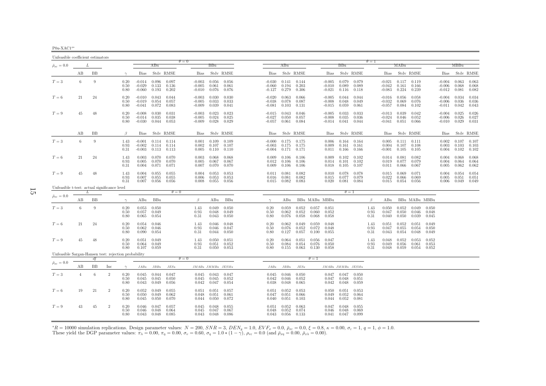| $P0u-XAC1^{x*}$ |  |
|-----------------|--|

<span id="page-14-0"></span>

| Unfeasible coefficient estimators                    |                |    |                |                      |                                  |                         |                         |                                  |                         |           |                         |                                  |                         |                         |                         |                                   |                                   |                         |                      |                                  |                         |                         |                         |                                  |                                 |                         |
|------------------------------------------------------|----------------|----|----------------|----------------------|----------------------------------|-------------------------|-------------------------|----------------------------------|-------------------------|-----------|-------------------------|----------------------------------|-------------------------|-------------------------|-------------------------|-----------------------------------|-----------------------------------|-------------------------|----------------------|----------------------------------|-------------------------|-------------------------|-------------------------|----------------------------------|---------------------------------|-------------------------|
| $\bar{\rho}_{x\epsilon}=0.0$                         |                | L  |                |                      |                                  | ABu                     |                         | $\theta = 0$                     | BBu                     |           |                         |                                  | ABu                     |                         |                         |                                   | BBu                               |                         | $\theta = 1$         |                                  | MABu                    |                         |                         |                                  | MBBu                            |                         |
|                                                      | AВ             | BB |                | $\gamma$             | <b>Bias</b>                      |                         | Stdy RMSE               | Bias                             |                         | Stdy RMSE |                         | Bias                             |                         | Stdv RMSE               |                         | Bias                              |                                   | Stdy RMSE               |                      | Bias                             |                         | Stdy RMSE               |                         | <b>Bias</b>                      |                                 | Stdy RMSE               |
| $T=3$                                                | 6              | 9  |                | 0.20<br>0.50<br>0.80 | $-0.014$<br>$-0.029$<br>$-0.060$ | 0.096<br>0.133<br>0.193 | 0.097<br>0.136<br>0.202 | $-0.003$<br>$-0.005$<br>$-0.010$ | 0.056<br>0.061<br>0.076 |           | 0.056<br>0.061<br>0.076 | $-0.030$<br>$-0.060$<br>$-0.127$ | 0.141<br>0.194<br>0.279 | 0.144<br>0.203<br>0.306 |                         | $-0.005$<br>$-0.010$<br>$-0.021$  | 0.079<br>0.089<br>0.116           | 0.079<br>0.089<br>0.118 |                      | $-0.021$<br>$-0.042$<br>$-0.083$ | 0.117<br>0.161<br>0.224 | 0.119<br>0.166<br>0.239 |                         | $-0.004$<br>$-0.006$<br>$-0.012$ | 0.063<br>0.068<br>0.081         | 0.063<br>0.068<br>0.082 |
| $T=6$                                                | 21             | 24 |                | 0.20<br>0.50<br>0.80 | $-0.010$<br>$-0.019$<br>$-0.041$ | 0.043<br>0.054<br>0.072 | 0.044<br>0.057<br>0.083 | $-0.003$<br>$-0.005$<br>$-0.009$ | 0.030<br>0.033<br>0.039 |           | 0.030<br>0.033<br>0.041 | $-0.020$<br>$-0.038$<br>$-0.081$ | 0.063<br>0.078<br>0.103 | 0.066<br>0.087<br>0.131 |                         | -0.005<br>$-0.008$<br>$-0.015$    | 0.044<br>0.048<br>0.059           | 0.044<br>0.049<br>0.061 |                      | $-0.016$<br>$-0.032$<br>$-0.057$ | 0.056<br>0.069<br>0.084 | 0.058<br>0.076<br>0.102 |                         | $-0.004$<br>$-0.006$<br>$-0.011$ | 0.034<br>0.036<br>0.042         | 0.034<br>0.036<br>0.043 |
| $T=9$                                                | 45             | 48 |                | 0.20<br>0.50<br>0.80 | $-0.008$<br>$-0.014$<br>$-0.030$ | 0.030<br>0.035<br>0.044 | 0.031<br>0.038<br>0.053 | $-0.003$<br>$-0.005$<br>$-0.009$ | 0.023<br>0.024<br>0.028 |           | 0.023<br>0.025<br>0.029 | $-0.015$<br>$-0.027$<br>$-0.057$ | 0.043<br>0.050<br>0.061 | 0.046<br>0.057<br>0.084 |                         | $-0.005$<br>$-0.008$<br>$-0.014$  | 0.033<br>0.035<br>0.041           | 0.033<br>0.036<br>0.044 |                      | $-0.013$<br>$-0.024$<br>-0.041   | 0.039<br>0.046<br>0.051 | 0.042<br>0.052<br>0.066 |                         | $-0.004$<br>$-0.006$<br>$-0.010$ | 0.025<br>0.026<br>0.029         | 0.026<br>0.027<br>0.031 |
|                                                      | AВ             | BB |                | $\beta$              | <b>Bias</b>                      |                         | Stdy RMSE               | Bias                             |                         | Stdy RMSE |                         | <b>Bias</b>                      |                         | Stdy RMSE               |                         | Bias                              |                                   | Stdy RMSE               |                      | <b>Bias</b>                      |                         | Stdy RMSE               |                         | Bias                             |                                 | Stdy RMSE               |
| $T=3$                                                | 6              | 9  |                | 1.43<br>0.93<br>0.31 | $-0.001$<br>$-0.002$<br>$-0.003$ | 0.114<br>0.114<br>0.113 | 0.114<br>0.114<br>0.113 | 0.001<br>0.002<br>0.005          | 0.109<br>0.107<br>0.110 |           | 0.109<br>0.107<br>0.110 | $-0.000$<br>$-0.003$<br>$-0.004$ | 0.175<br>0.175<br>0.171 | 0.175<br>0.175<br>0.171 |                         | 0.006<br>0.009<br>$0.011$ $0.166$ | 0.164<br>0.161                    | 0.164<br>0.161<br>0.166 |                      | 0.005<br>0.004<br>$-0.001$       | 0.111<br>0.107<br>0.105 | 0.111<br>0.108<br>0.105 |                         | 0.002<br>0.003                   | 0.107<br>0.103<br>$0.004$ 0.102 | 0.107<br>0.103<br>0.102 |
| $T=6$                                                | 21             | 24 |                | 1.43<br>0.93<br>0.31 | 0.003<br>0.005<br>0.004          | 0.070<br>0.070<br>0.071 | 0.070<br>0.070<br>0.071 | 0.003<br>0.005<br>0.007          | 0.068<br>0.067<br>0.070 |           | 0.068<br>0.067<br>0.070 | 0.009<br>0.012<br>0.009          | 0.106<br>0.106<br>0.106 | 0.106<br>0.106<br>0.106 |                         | 0.009<br>0.014<br>0.018           | 0.102<br>0.101<br>0.105           | 0.102<br>0.102<br>0.107 |                      | 0.014<br>0.019<br>0.011          | 0.081<br>0.077<br>0.066 | 0.082<br>0.079<br>0.067 |                         | 0.004<br>0.004<br>0.005          | 0.068<br>0.064<br>0.062         | 0.068<br>0.064<br>0.062 |
| $T=9$                                                | 45             | 48 |                | 1.43<br>0.93<br>0.31 | 0.004<br>0.007<br>0.007          | 0.055<br>0.055<br>0.056 | 0.055<br>0.055<br>0.056 | 0.004<br>0.006<br>0.008          | 0.053<br>0.053<br>0.055 |           | 0.053<br>0.053<br>0.056 | 0.011<br>0.016<br>0.015          | 0.081<br>0.081<br>0.082 | 0.082<br>0.082<br>0.083 |                         | 0.010<br>0.015<br>0.020           | 0.078<br>0.077<br>0.081           | 0.078<br>0.079<br>0.084 |                      | 0.015<br>0.022<br>0.015          | 0.069<br>0.066<br>0.054 | 0.071<br>0.069<br>0.056 |                         | 0.004<br>0.005<br>0.006          | 0.054<br>0.051<br>0.049         | 0.054<br>0.051<br>0.049 |
| Unfeasible t-test: actual significance level         |                | Ι. |                |                      |                                  |                         | $\theta = 0$            |                                  |                         |           |                         |                                  |                         |                         |                         |                                   | $\theta = 1$                      |                         |                      |                                  |                         |                         |                         |                                  |                                 |                         |
| $\bar{\rho}_{x\varepsilon}=0.0$                      | AВ             | BB |                | $\gamma$             | ABu                              | BBu                     |                         | $\beta$                          |                         | ABu       | BBu                     | $\gamma$                         | ABu                     |                         | BBu MABu MBBu           |                                   |                                   |                         | ß                    | ABu                              |                         | BBu MABu MBBu           |                         |                                  |                                 |                         |
| $T=3$                                                | 6              | 9  |                | 0.20<br>0.50<br>0.80 | 0.053<br>0.057<br>0.065          | 0.050<br>0.049<br>0.054 |                         | 1.43<br>0.93<br>0.31             | 0.048<br>0.043          | 0.049     | 0.050<br>0.049<br>0.050 | 0.20<br>0.50<br>0.80             | 0.059<br>0.062<br>0.076 | 0.052<br>0.052<br>0.058 | 0.057<br>0.060<br>0.068 | 0.051<br>0.052<br>0.058           |                                   |                         | 1.43<br>0.93<br>0.31 | 0.050<br>0.047<br>0.040          | 0.052<br>0.050<br>0.050 | 0.049<br>0.046<br>0.039 | 0.050<br>0.048<br>0.045 |                                  |                                 |                         |
| $T=6$                                                | 21             | 24 |                | 0.20<br>0.50<br>0.80 | 0.054<br>0.062<br>0.090          | 0.046<br>0.046<br>0.054 |                         | 1.43<br>0.93<br>0.31             | 0.046<br>0.046<br>0.044 |           | 0.048<br>0.047<br>0.050 | 0.20<br>0.50<br>0.80             | 0.062<br>0.076<br>0.127 | 0.049<br>0.052<br>0.057 | 0.059<br>0.072<br>0.100 | 0.048<br>0.048<br>0.055           |                                   |                         | 1.43<br>0.93<br>0.31 | 0.051<br>0.047<br>0.043          | 0.052<br>0.055<br>0.054 | 0.051<br>0.054<br>0.048 | 0.049<br>0.050<br>0.049 |                                  |                                 |                         |
| $T=9$                                                | 45             | 48 |                | 0.20<br>0.50<br>0.80 | 0.051<br>0.064<br>0.107          | 0.049<br>0.049<br>0.059 |                         | 1.43<br>0.93<br>0.31             | 0.050<br>0.051<br>0.050 |           | 0.051<br>0.052<br>0.053 | 0.20<br>0.50<br>0.80             | 0.064<br>0.084<br>0.155 | 0.051<br>0.054<br>0.063 | 0.056<br>0.076<br>0.130 | 0.047<br>0.050<br>0.058           |                                   |                         | 1.43<br>0.93<br>0.31 | 0.048<br>0.049<br>0.048          | 0.052<br>0.056<br>0.059 | 0.053<br>0.061<br>0.054 | 0.052<br>0.053<br>0.052 |                                  |                                 |                         |
| Unfeasible Sargan-Hansen test: rejection probability |                |    |                |                      |                                  |                         |                         | $\theta = 0$                     |                         |           |                         |                                  |                         |                         | $\theta=1$              |                                   |                                   |                         |                      |                                  |                         |                         |                         |                                  |                                 |                         |
| $\bar{\rho}_{x\varepsilon}=0.0$                      | AВ             | BB | Inc            | $\gamma$             | $JABu$                           | $JBBu$                  | JESu                    |                                  | JMABu JMMBu JESMu       |           |                         | JABu                             | JBBu                    | JESu                    |                         | $JMABu\ JMMBu\ JESMu$             |                                   |                         |                      |                                  |                         |                         |                         |                                  |                                 |                         |
| $T=3$                                                | $\overline{4}$ | 6  | $\overline{2}$ | 0.20<br>0.50<br>0.80 | 0.045<br>0.045<br>0.043          | 0.044<br>0.045<br>0.049 | 0.047<br>0.050<br>0.056 | 0.045<br>0.045<br>0.042          | 0.043<br>0.045<br>0.047 |           | 0.047<br>0.052<br>0.054 | 0.045<br>0.042<br>0.038          | 0.046<br>0.046<br>0.048 | 0.050<br>0.052<br>0.065 |                         | 0.047<br>0.047<br>0.042           | 0.047<br>0.048<br>0.048           | 0.050<br>0.051<br>0.059 |                      |                                  |                         |                         |                         |                                  |                                 |                         |
| $T=6$                                                | 19             | 21 | $\overline{2}$ | 0.20<br>0.50<br>0.80 | 0.052<br>0.050<br>0.045          | 0.049<br>0.049<br>0.050 | 0.055<br>0.062<br>0.070 | 0.051<br>0.048<br>0.044          | 0.051<br>0.051<br>0.050 |           | 0.057<br>0.061<br>0.072 | 0.051<br>0.047<br>0.040          | 0.052<br>0.051<br>0.051 | 0.053<br>0.066<br>0.103 |                         | 0.050<br>0.049<br>0.044           | 0.051<br>0.052<br>0.052           | 0.053<br>0.064<br>0.081 |                      |                                  |                         |                         |                         |                                  |                                 |                         |
| $T=9$                                                | 43             | 45 | $\overline{2}$ | 0.20<br>0.50<br>0.80 | 0.046<br>0.046<br>0.043          | 0.047<br>0.048<br>0.048 | 0.057<br>0.064<br>0.085 | 0.045<br>0.045<br>0.043          | 0.048<br>0.047<br>0.048 |           | 0.055<br>0.067<br>0.086 | 0.051<br>0.048<br>0.043          | 0.052<br>0.052<br>0.056 | 0.063<br>0.074<br>0.133 |                         | 0.047<br>0.046                    | 0.048<br>0.048<br>$0.041$ $0.047$ | 0.055<br>0.069<br>0.099 |                      |                                  |                         |                         |                         |                                  |                                 |                         |

 $\overline{\overline{5}}$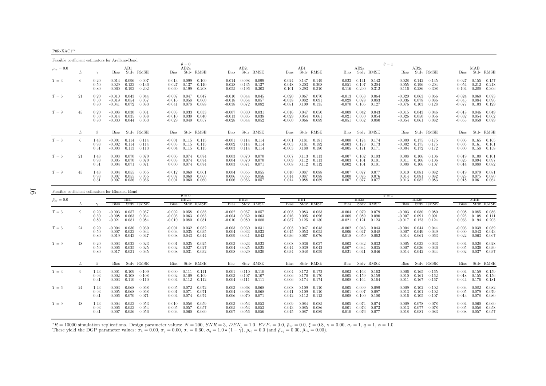P0fc-XAC1<sup>x∗</sup>

Feasible coefficient estimators for Arellano-Bond $\theta = 0$  $AB2a$  $\theta = 1$ <br>a  $\theta = 1$  $\bar{\rho}_{x\varepsilon}=0.0$  $_{\varepsilon}$  = 0.0  $_{\varepsilon}$   $_{\varepsilon}$   $_{\varepsilon}$   $_{\varepsilon}$   $_{\varepsilon}$   $_{\varepsilon}$   $_{\varepsilon}$   $_{\varepsilon}$   $_{\varepsilon}$   $_{\varepsilon}$   $_{\varepsilon}$   $_{\varepsilon}$   $_{\varepsilon}$   $_{\varepsilon}$   $_{\varepsilon}$   $_{\varepsilon}$   $_{\varepsilon}$   $_{\varepsilon}$   $_{\varepsilon}$   $_{\varepsilon}$   $_{\varepsilon}$   $_{\varepsilon}$   $_{\varepsilon}$ L  $\gamma$  Bias Stdv RMSE Bias Stdv RMSE Bias Stdv RMSE Bias Stdv RMSE Bias Stdv RMSE Bias Stdv RMSE Bias Stdv RMSE0.157  $T=3$  $T=3$  6 0.20 -0.014 0.096 0.097 -0.013 0.099 0.100 -0.014 0.098 0.099 -0.024 0.147 0.149 -0.023 0.141 0.143 -0.028 0.142 0.145 -0.027 0.155 0.157<br>0.137 -0.029 0.133 0.136 -0.027 0.137 0.140 -0.028 0.135 0.137 -0.048 0.203  $\begin{array}{cccccccccccc} 0.20 & -0.014 & 0.096 & 0.097 & -0.013 & 0.099 & 0.100 & -0.014 & 0.098 & 0.099 & -0.024 & 0.147 & 0.149 & -0.023 & 0.141 & 0.143 & -0.028 & 0.142 & 0.145 & -0.027 & 0.155 & 0.157 & 0.157 & 0.048 & 0.203 & 0.208 & -0.051 & 0.197 & 0.204 & -0.055 & 0$ 0.288 0.306 0.80 -0.060 0.193 0.202 -0.060 0.199 0.208 -0.055 0.196 0.203 -0.101 0.293 0.310 -0.116 0.290 0.312 -0.116 0.286 0.308 -0.104 0.288 0.3060.073  $T=6$  $T=6$   $21$   $0.20$   $-0.010$   $0.043$   $0.044$   $-0.007$   $0.047$   $-0.010$   $0.044$   $0.044$   $0.045$   $-0.020$   $0.067$   $0.070$   $-0.013$   $0.063$   $0.064$   $-0.020$   $0.063$   $0.066$   $-0.024$   $0.069$   $0.073$   $0.084$   $0.069$   $0.073$   $0.0$ 0.50 -0.019 0.054 0.057 -0.016 0.058 0.060 -0.018 0.054 0.057 -0.038 0.082 0.091 -0.029 0.078 0.083 -0.036 0.078 0.086 -0.045 0.084 0.096 $-0.077$   $0.103$   $0.129$  $0.80$   $-0.041$   $0.072$   $0.083$   $-0.041$   $0.078$   $0.088$   $-0.038$   $0.072$   $0.082$   $-0.081$   $0.109$   $0.135$   $-0.070$   $0.105$   $0.127$   $-0.076$   $0.103$   $0.128$  $-0.018$   $0.046$   $0.049$  $T=9$  $T=9 \hspace{1cm} 45 \hspace{1cm} 0.20 \hspace{1cm} 0.030 \hspace{1cm} 0.031 \hspace{1cm} 0.033 \hspace{1cm} 0.033 \hspace{1cm} 0.033 \hspace{1cm} -0.007 \hspace{1cm} 0.030 \hspace{1cm} 0.031 \hspace{1cm} 0.041 \hspace{1cm} 0.047 \hspace{1cm} 0.040 \hspace{1cm} 0.047 \hspace{1cm} 0.050 \hspace{1cm} 0.042 \hspace{1cm} 0.043$ 0.50 -0.014 0.035 -0.0310 0.039 0.044 0.049 -0.013 0.035 -0.060 0.066 0.064 -0.021 0.050 0.050 0.050 0.050 0.054 0.061 0.062 0.065 -0.032 0.054 0.067 0.062 0.054 0.067 0.062 0.054 0.067 0.053 0.059 0.079 0.079 0.079 0.079  $0.059$   $0.079$  $L \qquad \qquad \beta$ Bias Stdv RMSE Bias Stdv RMSE Bias Stdv RMSE Bias Stdv RMSE Bias Stdv RMSE Bias Stdv RMSE Bias Stdv RMSE Bias Stdv RMSE  $0.006$   $0.165$   $0.165$  $T=3$  $T=3$  6  $1.43$  -0.001 0.114 0.114 -0.001 0.115 0.115 -0.001 0.114 0.114 -0.001 0.181 0.181 0.181 -0.000 0.174 0.174 -0.000 0.175 0.175 0.006 0.165 0.165<br>0.93 -0.002 0.114 0.114 -0.003 0.115 0.115 -0.002 0.114 0.114 -0.003  $\begin{array}{cccccccccccc} 0.93 & -0.002 & 0.114 & 0.114 & -0.003 & 0.115 & 0.115 & -0.014 & 0.114 & 0.114 & -0.003 & 0.181 & 0.182 & -0.003 & 0.173 & 0.173 & -0.002 & 0.175 & 0.175 & 0.002 & 0.161 & 0.161 & 0.161 & 0.161 & 0.161 & 0.161 & 0.161 & 0.161 & 0.161 & 0.161 & 0$ 0.158 0.31 -0.003 0.113 0.113 -0.004 0.115 0.115 -0.003 0.114 0.114 -0.003 0.180 0.180 -0.005 0.171 0.171 -0.004 0.172 0.172 0.000 0.158 0.158 $0.019 - 0.100 - 0.101$  $T=6$  $T=6$   $21$   $1.43$   $0.003$   $0.070$   $-0.006$   $0.074$   $0.074$   $0.003$   $0.070$   $0.070$   $0.070$   $0.070$   $0.013$   $0.113$   $-0.007$   $0.102$   $0.103$   $0.008$   $0.106$   $0.106$   $0.019$   $0.100$   $0.101$   $0.008$   $0.016$   $0.019$   $0.010$  0.93 0.005 0.070 0.070 -0.003 0.074 0.074 0.004 0.070 0.070 0.009 0.112 0.113 -0.003 0.101 0.101 0.011 0.106 0.106 0.026 0.094 0.0970.082  $0.31$   $0.004$   $0.071$   $0.071$   $0.000$   $0.074$   $0.074$   $0.003$   $0.071$   $0.071$   $0.008$   $0.112$   $0.112$   $0.010$   $0.101$   $0.101$   $0.008$   $0.107$   $0.014$   $0.080$   $0.082$ 0.081  $T=9$  $T=9 \hspace{1cm} 45 \hspace{1cm} 1.43 \hspace{1cm} 0.004 \hspace{1cm} 0.055 \hspace{1cm} 0.055 \hspace{1cm} -0.012 \hspace{1cm} 0.060 \hspace{1cm} 0.061 \hspace{1cm} 0.004 \hspace{1cm} 0.055 \hspace{1cm} 0.055 \hspace{1cm} 0.010 \hspace{1cm} 0.087 \hspace{1cm} 0.088 \hspace{1cm} -0.007 \hspace{1cm} 0.077 \hspace{1cm} 0.079$ 0.93 0.007 0.055 0.055 -0.007 0.060 0.060 0.006 0.055 0.056 0.014 0.087 0.088 0.000 0.076 0.076 0.014 0.081 0.082 0.028 0.075 0.080 $0.018$   $0.061$   $0.064$  $0.31$   $0.007$   $0.056$   $0.056$   $0.001$   $0.060$   $0.060$   $0.006$   $0.056$   $0.057$   $0.014$   $0.088$   $0.089$   $0.007$   $0.077$   $0.077$   $0.077$   $0.013$   $0.082$   $0.083$ 

| Feasible coefficient estimators for Blundell-Bond |    |                      |                                  |                         |                         |                                  |                         |                         |                                  |                         |                         |                                  |                         |                         |                                  |                         |                         |                                  |                         |                         |                                  |                         |                         |
|---------------------------------------------------|----|----------------------|----------------------------------|-------------------------|-------------------------|----------------------------------|-------------------------|-------------------------|----------------------------------|-------------------------|-------------------------|----------------------------------|-------------------------|-------------------------|----------------------------------|-------------------------|-------------------------|----------------------------------|-------------------------|-------------------------|----------------------------------|-------------------------|-------------------------|
| $\bar{\rho}_{x\varepsilon} = 0.0$                 |    |                      | <b>Bias</b>                      | BB1                     | Stdy RMSE               | Bias                             | $\theta = 0$<br>BB2a    | Stdy RMSE               | <b>Bias</b>                      | BB2c                    | Stdy RMSE               | <b>Bias</b>                      | BB1                     | Stdy RMSE               | <b>Bias</b>                      | BB2a                    | Stdy RMSE               | $\theta =$<br><b>Bias</b>        | BB2c                    | Stdy RMSE               | <b>Bias</b>                      | МВВ                     | Stdy RMSE               |
| $T=3$                                             | 9  | 0.20<br>0.50<br>0.80 | $-0.003$<br>$-0.008$<br>$-0.021$ | 0.057<br>0.063<br>0.081 | 0.057<br>0.064<br>0.084 | $-0.002$<br>$-0.005$<br>$-0.010$ | 0.058<br>0.063<br>0.080 | 0.058<br>0.063<br>0.081 | $-0.002$<br>$-0.004$<br>$-0.010$ | 0.057<br>0.062<br>0.080 | 0.057<br>0.063<br>0.080 | $-0.008$<br>$-0.016$<br>$-0.037$ | 0.083<br>0.095<br>0.125 | 0.083<br>0.096<br>0.130 | $-0.004$<br>$-0.008$<br>$-0.021$ | 0.079<br>0.089<br>0.121 | 0.079<br>0.090<br>0.123 | $-0.003$<br>$-0.007$<br>$-0.017$ | 0.080<br>0.091<br>0.123 | 0.080<br>0.091<br>0.124 | 0.008<br>0.025<br>0.066          | 0.085<br>0.108<br>0.194 | 0.086<br>0.111<br>0.205 |
| $T=6$                                             | 24 | 0.20<br>0.50<br>0.80 | $-0.004$<br>$-0.007$<br>$-0.019$ | 0.030<br>0.033<br>0.043 | 0.030<br>0.034<br>0.047 | $-0.001$<br>$-0.003$<br>$-0.008$ | 0.032<br>0.035<br>0.043 | 0.032<br>0.035<br>0.044 | $-0.003$<br>$-0.004$<br>$-0.009$ | 0.030<br>0.033<br>0.041 | 0.031<br>0.033<br>0.042 | $-0.008$<br>$-0.015$<br>$-0.036$ | 0.047<br>0.053<br>0.067 | 0.048<br>0.055<br>0.076 | $-0.002$<br>$-0.006$<br>$-0.018$ | 0.043<br>0.047<br>0.059 | 0.043<br>0.048<br>0.062 | $-0.004$<br>$-0.007$<br>$-0.014$ | 0.044<br>0.049<br>0.061 | 0.044<br>0.049<br>0.063 | $-0.003$<br>$-0.000$<br>0.022    | 0.039<br>0.043<br>0.063 | 0.039<br>0.043<br>0.067 |
| $T=9$                                             | 48 | 0.20<br>0.50<br>0.80 | $-0.003$<br>$-0.006$<br>$-0.017$ | 0.023<br>0.025<br>0.031 | 0.023<br>0.025<br>0.035 | 0.001<br>$-0.002$<br>$-0.008$    | 0.025<br>0.027<br>0.031 | 0.025<br>0.027<br>0.032 | $-0.003$<br>$-0.004$<br>$-0.008$ | 0.023<br>0.025<br>0.029 | 0.023<br>0.025<br>0.030 | $-0.008$<br>$-0.014$<br>$-0.034$ | 0.036<br>0.039<br>0.048 | 0.037<br>0.042<br>0.059 | $-0.003$<br>$-0.007$<br>$-0.021$ | 0.032<br>0.034<br>0.041 | 0.032<br>0.035<br>0.046 | $-0.005$<br>$-0.007$<br>$-0.014$ | 0.033<br>0.036<br>0.042 | 0.033<br>0.036<br>0.044 | $-0.004$<br>$-0.005$<br>$-0.002$ | 0.028<br>0.030<br>0.037 | 0.028<br>0.030<br>0.037 |
|                                                   | ⊥  | $\beta$              | <b>Bias</b>                      |                         | Stdy RMSE               | Bias                             |                         | Stdy RMSE               | Bias                             |                         | Stdy RMSE               | Bias                             |                         | Stdy RMSE               | Bias                             |                         | Stdy RMSE               | <b>Bias</b>                      |                         | Stdy RMSE               | Bias                             |                         | Stdy RMSE               |
| $T=3$                                             | 9  | 1.43<br>0.93<br>0.31 | 0.001<br>0.002<br>0.003          | 0.109<br>0.108<br>0.110 | 0.109<br>0.108<br>0.110 | $-0.000$<br>0.002<br>0.004       | 0.111<br>0.109<br>0.112 | 0.111<br>0.109<br>0.112 | 0.001<br>0.003<br>0.004          | 0.110<br>0.107<br>0.111 | 0.110<br>0.107<br>0.111 | 0.004<br>0.006<br>0.006          | 0.172<br>0.170<br>0.174 | 0.172<br>0.170<br>0.174 | 0.002<br>0.005<br>0.008          | 0.163<br>0.159<br>0.164 | 0.163<br>0.159<br>0.164 | 0.006<br>0.010<br>0.011          | 0.165<br>0.161<br>0.167 | 0.165<br>0.162<br>0.167 | 0.004<br>0.018<br>0.044          | 0.159<br>0.155<br>0.176 | 0.159<br>0.156<br>0.181 |
| $T=6$                                             | 24 | 1.43<br>0.93<br>0.31 | 0.003<br>0.005<br>0.006          | 0.068<br>0.068<br>0.070 | 0.068<br>0.068<br>0.071 | $-0.005$<br>$-0.001$<br>0.004    | 0.072<br>0.071<br>0.074 | 0.072<br>0.071<br>0.074 | 0.003<br>0.004<br>0.006          | 0.068<br>0.068<br>0.070 | 0.068<br>0.068<br>0.071 | 0.008<br>0.011<br>0.012          | 0.109<br>0.109<br>0.112 | 0.110<br>0.110<br>0.113 | $-0.005$<br>0.001<br>0.008       | 0.099<br>0.097<br>0.100 | 0.099<br>0.097<br>0.100 | 0.009<br>0.013<br>0.016          | 0.102<br>0.101<br>0.105 | 0.102<br>0.102<br>0.107 | 0.003<br>0.005<br>0.013          | 0.082<br>0.079<br>0.078 | 0.082<br>0.079<br>0.080 |
| $T=9$                                             | 48 | 1.43<br>0.93<br>0.31 | 0.004<br>0.006<br>0.007          | 0.053<br>0.053<br>0.056 | 0.053<br>0.054<br>0.056 | $-0.010$<br>$-0.005$<br>0.003    | 0.058<br>0.057<br>0.060 | 0.059<br>0.057<br>0.060 | 0.003<br>0.005<br>0.007          | 0.053<br>0.053<br>0.056 | 0.053<br>0.053<br>0.056 | 0.009<br>0.013<br>0.015          | 0.084<br>0.085<br>0.087 | 0.085<br>0.086<br>0.089 | $-0.005$<br>0.001<br>0.010       | 0.074<br>0.073<br>0.076 | 0.074<br>0.073<br>0.077 | 0.009<br>0.013<br>0.018          | 0.078<br>0.077<br>0.081 | 0.078<br>0.078<br>0.083 | 0.004<br>0.005<br>0.008          | 0.060<br>0.058<br>0.057 | 0.060<br>0.058<br>0.057 |

 ${}^*R = 10000$  simulation replications. Design parameter values:  $N = 200$ ,  $SNR = 3$ ,  $DEN_y = 1.0$ ,  $EVF_x = 0.0$ ,  $\bar{p}_{xz} = 0.0$ ,  $\xi = 0.8$ ,  $\kappa = 0.00$ ,  $\sigma_{\varepsilon} = 1$ ,  $q = 1$ ,  $\phi = 1.0$ .<br>These yield the DGP parameter values:  $\pi$  $*R = 10000$  simulation replications. Design parameter values:  $N = 200$ ,  $SNR = 3$ ,  $DEN_y = 1.0$ ,  $EVF_x = 0.0$ ,  $\bar{p}_{xz} = 0.0$ ,  $\xi = 0.8$ , These yield the DGP parameter values:  $\pi_{\lambda} = 0.00$ ,  $\pi_{\eta} = 0.00$ ,  $\sigma_v = 0.60$ ,  $\sigma_{\eta}$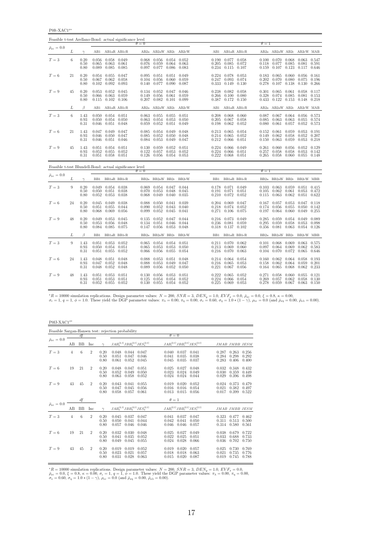P0ft-XAC1<sup> $x*$ </sup>

| Feasible t-test Arellano-Bond: actual significance level |    |                      |                         |                                                                       |                                  |                         |                                                                     |                |                         |                |                                                                         |       |                         |                                                   |                         |                                                         |                |
|----------------------------------------------------------|----|----------------------|-------------------------|-----------------------------------------------------------------------|----------------------------------|-------------------------|---------------------------------------------------------------------|----------------|-------------------------|----------------|-------------------------------------------------------------------------|-------|-------------------------|---------------------------------------------------|-------------------------|---------------------------------------------------------|----------------|
| $\bar{\rho}_{x\varepsilon}=0.0$                          |    |                      |                         |                                                                       |                                  | $\theta = 0$            |                                                                     |                |                         |                |                                                                         |       | $\theta = 1$            |                                                   |                         |                                                         |                |
|                                                          | L  | $\gamma$             |                         |                                                                       | AB1 AB1aR AB1cR                  |                         |                                                                     |                | AB2a AB2aW AB2c AB2cW   |                | AB1 AB1aR AB1cR                                                         |       |                         | AB2a AB2aW AB2c AB2cW MAB                         |                         |                                                         |                |
| $T=3$                                                    | 6  | 0.20<br>0.50<br>0.80 | 0.056<br>0.065<br>0.089 | 0.058 0.049<br>0.063<br>0.085                                         | 0.061<br>0.085                   | 0.076<br>0.097          | $0.068$ $0.056$ $0.054$ $0.052$<br>0.059<br>$0.077$ 0.086           | 0.064          | 0.063<br>0.083          | 0.205          | $0.190$ $0.077$ $0.058$<br>0.085<br>$0.234$ $0.115$ $0.107$             | 0.072 | 0.118<br>0.159          | $0.100$ $0.070$ $0.068$<br>0.077<br>0.107         | 0.085<br>0.123          | $0.063$ $0.547$<br>0.081<br>0.117                       | 0.591<br>0.646 |
| $T=6$                                                    | 21 | 0.20<br>0.50<br>0.80 | 0.054<br>0.067<br>0.102 | 0.055 0.047<br>0.062<br>0.092                                         | 0.058<br>0.093                   | 0.095<br>0.104<br>0.140 | $0.051$ $0.051$<br>0.056<br>0.077                                   | 0.060<br>0.090 | 0.049<br>0.059<br>0.087 |                | 0.224 0.078 0.053<br>0.247 0.093 0.074<br>$0.333$ $0.149$ $0.130$       |       | 0.183<br>0.202<br>0.278 | 0.065<br>0.070<br>0.107                           | 0.060<br>0.080<br>0.138 | $0.056$ $0.161$<br>0.075<br>$0.130 \quad 0.266$         | 0.196          |
| $T=9$                                                    | 45 | 0.20<br>0.50<br>0.80 | 0.066                   | $0.053$ $0.052$ $0.045$<br>0.063<br>$0.115$ $0.102$ $0.106$           | 0.059                            | 0.134<br>0.149          | $0.052$ $0.047$ $0.046$<br>0.056<br>$0.207$ $0.082$ $0.101$ $0.099$ | 0.061          | 0.059                   |                | 0.238 0.082 0.058<br>$0.266$ $0.100$ $0.080$<br>$0.387$ $0.172$ $0.150$ |       | 0.328<br>0.433          | 0.301 0.065<br>0.074<br>$0.122$ $0.153$           | 0.085                   | 0.061 0.058 0.117<br>$0.081$ $0.153$<br>$0.148$ $0.218$ |                |
|                                                          | L  | $\beta$              | AB1                     |                                                                       | AB1aR AB1cR                      |                         |                                                                     |                | AB2a AB2aW AB2c AB2cW   | AB1            | AB1aR AB1cR                                                             |       |                         | AB2a AB2aW AB2c AB2cW MAB                         |                         |                                                         |                |
| $T=3$                                                    | 6  | 1.43<br>0.93<br>0.31 | 0.046                   | $0.050$ $0.054$ $0.051$<br>$0.050$ $0.054$ $0.050$<br>$0.051$ $0.048$ |                                  | 0.063<br>0.059          | $0.063$ $0.055$ $0.055$ $0.051$<br>0.054<br>0.052                   | 0.053<br>0.051 | 0.050<br>0.049          | 0.205<br>0.198 | 0.208 0.068 0.060<br>$0.067$ 0.058<br>$0.062$ 0.052                     |       | 0.085<br>0.080          | 0.087 0.067 0.064 0.056 0.573<br>0.063<br>0.061   | 0.063<br>0.057          | 0.055 0.574<br>$0.052$ 0.573                            |                |
| $T=6$                                                    | 21 | 1.43<br>0.93<br>0.31 | 0.047<br>0.046          | 0.050<br>$0.046$ $0.051$ $0.046$                                      | 0.049 0.047<br>0.047             | 0.085<br>0.085<br>0.084 | 0.054 0.049<br>0.052<br>$0.053$ $0.049$ $0.047$                     | 0.050          | 0.048<br>0.048          |                | $0.213$ $0.065$ $0.054$<br>$0.214$ 0.065<br>$0.212$ $0.066$ $0.051$     | 0.052 | 0.152<br>0.149          | 0.061<br>0.062<br>$0.150 \quad 0.063$             | 0.059<br>0.058<br>0.059 | $0.053$ $0.191$<br>0.052<br>$0.053$ $0.218$             | 0.207          |
| $T=9$                                                    | 45 | 1.43<br>0.93<br>0.31 | 0.051<br>0.052          | 0.054 0.051<br>0.055<br>$0.051$ 0.058                                 | 0.052<br>0.051                   | 0.130<br>0.122          | 0.059<br>0.057<br>$0.126$ $0.056$ $0.054$ $0.053$                   | 0.052<br>0.053 | 0.051<br>0.052          |                | 0.224 0.066 0.049<br>0.224 0.066<br>$0.222$ $0.068$ $0.051$             | 0.051 | 0.261<br>0.257<br>0.265 | 0.060<br>0.058<br>0.058                           | 0.056<br>0.058<br>0.060 | $0.052$ $0.129$<br>0.053<br>0.055                       | 0.142<br>0.148 |
| Feasible t-test Blundell-Bond: actual significance level |    |                      |                         |                                                                       |                                  | $\theta = 0$            |                                                                     |                |                         |                |                                                                         |       | $\theta = 1$            |                                                   |                         |                                                         |                |
| $\bar{\rho}_{x\varepsilon}=0.0$                          | L  |                      |                         |                                                                       |                                  |                         |                                                                     |                |                         |                |                                                                         |       |                         |                                                   |                         |                                                         |                |
|                                                          |    | $\gamma$             |                         | BB1 BB1aR BB1cR                                                       |                                  |                         |                                                                     |                | BB2a BB2aW BB2c BB2cW   |                | BB1 BB1aR BB1cR                                                         |       |                         | BB2a BB2aW BB2c BB2cW MBB                         |                         |                                                         |                |
| $T=3$                                                    | 9  | 0.20<br>0.50<br>0.80 | 0.050<br>0.052          | $0.049$ $0.054$ $0.038$                                               | $0.051$ $0.038$<br>$0.053$ 0.038 | 0.070<br>0.068          | $0.069$ $0.054$ $0.047$ $0.044$<br>0.053<br>$0.049$ $0.040$         | 0.048          | 0.045<br>0.035          |                | 0.178 0.071 0.049<br>$0.191$ $0.071$ $0.051$<br>$0.210$ $0.072$ $0.052$ |       | 0.105<br>0.115          | $0.103$ $0.063$ $0.059$<br>0.062<br>0.063         | 0.061<br>0.062          | $0.051$ $0.415$<br>0.053 0.472<br>$0.051$ $0.622$       |                |
| $T=6$                                                    | 24 | 0.20<br>0.50<br>0.80 | 0.051<br>0.068          | $0.045$ $0.049$ $0.038$<br>0.055<br>0.069                             | 0.044<br>0.056                   | 0.088<br>0.090<br>0.099 | $0.050 \quad 0.041$<br>0.052<br>0.052                               | 0.043<br>0.045 | 0.039<br>0.040<br>0.041 |                | $0.204$ $0.069$ $0.047$<br>$0.218$ $0.074$ $0.052$<br>$0.271$ $0.106$   | 0.075 | 0.174<br>0.197          | $0.167$ $0.057$ $0.053$<br>0.056<br>0.064         | 0.055<br>0.060          | $0.047$ $0.118$<br>$0.050 \quad 0.142$<br>0.049         | 0.255          |
| $T=9$                                                    | 48 | 0.20<br>0.50<br>0.80 | 0.049<br>0.053          | 0.056<br>0.084 0.085 0.075                                            | $0.053$ $0.045$<br>0.048         | 0.135<br>0.134          | $0.052$ 0.047<br>0.051<br>$0.147$ $0.056$ $0.053$ $0.048$           | 0.046          | 0.044<br>0.044          |                | 0.216 0.073 0.049<br>0.236 0.081 0.059<br>$0.318$ $0.137$ $0.102$       |       | 0.285<br>0.295<br>0.356 | 0.059<br>0.059<br>0.081                           | 0.058<br>0.063          | $0.054$ $0.049$ $0.089$<br>0.053 0.098<br>$0.054$ 0.126 |                |
|                                                          | L  | β                    | BB1                     | BB1aR BB1cR                                                           |                                  |                         |                                                                     |                | BB2a BB2aW BB2c BB2cW   | BB1            | BB1aR BB1cR                                                             |       |                         | BB2a BB2aW BB2c                                   |                         | BB2cW MBB                                               |                |
| $T=3$                                                    | 9  | 1.43<br>0.93<br>0.31 | 0.050                   | $0.051$ $0.053$ $0.052$<br>0.054<br>$0.051$ $0.055$                   | 0.051<br>0.052                   | 0.065<br>0.066          | $0.065$ $0.054$ $0.054$ $0.051$<br>0.053<br>0.056                   | 0.053<br>0.055 | 0.050<br>0.054          | 0.213          | $0.211$ $0.070$ $0.062$<br>0.069<br>$0.216$ $0.070$ $0.063$             | 0.060 | 0.097<br>0.104          | $0.101$ $0.068$ $0.069$<br>0.064<br>0.070         | 0.069<br>0.072          | 0.063 0.575<br>0.062<br>0.065                           | 0.583<br>0.646 |
| $T=6$                                                    | 24 | 1.43<br>0.93<br>0.31 | 0.048<br>0.047          | 0.052<br>$0.048$ $0.052$ $0.048$                                      | $0.051$ $0.048$<br>0.048         | 0.088<br>0.088<br>0.089 | 0.053<br>0.053<br>$0.056$ $0.052$ $0.050$                           | 0.051<br>0.049 | 0.048<br>0.047          |                | 0.214 0.064 0.054<br>$0.216$ 0.065<br>$0.221$ $0.067$ $0.056$           | 0.053 | 0.160<br>0.158          | $0.062$ $0.064$ $0.058$<br>0.062<br>$0.164$ 0.065 | 0.064<br>0.068          | 0.059<br>$0.062$ 0.233                                  | 0.193<br>0.201 |

 ${}^*R = 10000$  simulation replications. Design parameter values:  $N = 200$ ,  $SNR = 3$ ,  $DEN_y = 1.0$ ,  $EVF_x = 0.0$ ,  $\bar{\rho}_{x\bar{x}} = 0.0$ ,  $\xi = 0.8$ ,  $\kappa = 0.00$ ,<br> $\sigma_{\bar{x}} = 1$ ,  $q = 1$ ,  $\phi = 1.0$ . These yield the DGP parameter values:

 $P0fJ-XAC1^{x*}$ 

|                                 |    |           |                |                      | Feasible Sargan-Hansen test: rejection probability |                         |                         |                         |                                           |                         |                         |                         |
|---------------------------------|----|-----------|----------------|----------------------|----------------------------------------------------|-------------------------|-------------------------|-------------------------|-------------------------------------------|-------------------------|-------------------------|-------------------------|
|                                 |    | df        |                |                      |                                                    |                         | $\theta = 0$            |                         |                                           |                         |                         |                         |
| $\bar{\rho}_{x\varepsilon}=0.0$ | AВ | <b>BB</b> | Inc            | $\sim$               | $JAB_a^{(2,1)}JBB_a^{(2,1)}JES_a^{(2,1)}$          |                         |                         |                         | $JAB_c^{(2,1)}JBB_c^{(2,1)}JES_c^{(2,1)}$ |                         | JMAB JMBB JESM          |                         |
| $T=3$                           | 4  | 6         | $\overline{2}$ | 0.20<br>0.50<br>0.80 | 0.048<br>0.044<br>0.051<br>0.047<br>0.061<br>0.052 | 0.047<br>0.046<br>0.045 | 0.040<br>0.041<br>0.045 | 0.037<br>0.035<br>0.035 | 0.041<br>0.038<br>0.037                   | 0.287<br>0.284<br>0.283 | 0.263<br>0.298<br>0.406 | 0.256<br>0.292<br>0.400 |
| $T=6$                           | 19 | 21        | $\overline{2}$ | 0.20<br>0.50<br>0.80 | 0.048<br>0.047<br>0.052<br>0.049<br>0.063<br>0.058 | 0.051<br>0.050<br>0.052 | 0.025<br>0.023<br>0.024 | 0.027<br>0.024<br>0.024 | 0.048<br>0.049<br>0.044                   | 0.032<br>0.030<br>0.029 | 0.348<br>0.359<br>0.396 | 0.432<br>0.449<br>0.498 |
| $T=9$                           | 43 | 45        | $\overline{2}$ | 0.20<br>0.50<br>0.80 | 0.043<br>0.041<br>0.047<br>0.045<br>0.058<br>0.057 | 0.055<br>0.056<br>0.061 | 0.019<br>0.016<br>0.013 | 0.020<br>0.016<br>0.015 | 0.052<br>0.054<br>0.056                   | 0.024<br>0.021<br>0.017 | 0.373<br>0.382<br>0.399 | 0.479<br>0.497<br>0.522 |
|                                 |    | df        |                |                      |                                                    |                         | $\theta=1$              |                         |                                           |                         |                         |                         |
| $\bar{\rho}_{x\varepsilon}=0.0$ | AВ | <b>BB</b> | Inc            | $\gamma$             | $JAB_a^{(2,1)}JBB_a^{(2,1)}JES_a^{(2,1)}$          |                         |                         |                         | $JAB_c^{(2,1)}JBB_c^{(2,1)}JES_c^{(2,1)}$ |                         | JMAB JMBB JESM          |                         |
| $T=3$                           | 4  | 6         | $\overline{2}$ | 0.20<br>0.50<br>0.80 | 0.045<br>0.037<br>0.050<br>0.041<br>0.057<br>0.046 | 0.047<br>0.044<br>0.046 | 0.041<br>0.042<br>0.046 | 0.037<br>0.041<br>0.046 | 0.047<br>0.050<br>0.057                   | 0.323<br>0.311<br>0.314 | 0.477<br>0.513<br>0.580 | 0.462<br>0.500<br>0.561 |
| $T=6$                           | 19 | 21        | $\overline{2}$ | 0.20<br>0.50<br>0.80 | 0.032<br>0.030<br>0.041<br>0.035<br>0.049<br>0.045 | 0.048<br>0.052<br>0.055 | 0.025<br>0.022<br>0.024 | 0.027<br>0.025<br>0.028 | 0.049<br>0.051<br>0.066                   | 0.038<br>0.033<br>0.036 | 0.679<br>0.688<br>0.702 | 0.722<br>0.733<br>0.750 |
| $T=9$                           | 43 | 45        | $\overline{2}$ | 0.20<br>0.50<br>0.80 | 0.019<br>0.019<br>0.023<br>0.021<br>0.031<br>0.028 | 0.052<br>0.057<br>0.063 | 0.019<br>0.018<br>0.015 | 0.020<br>0.018<br>0.020 | 0.057<br>0.063<br>0.087                   | 0.025<br>0.021<br>0.019 | 0.730<br>0.735<br>0.745 | 0.769<br>0.776<br>0.788 |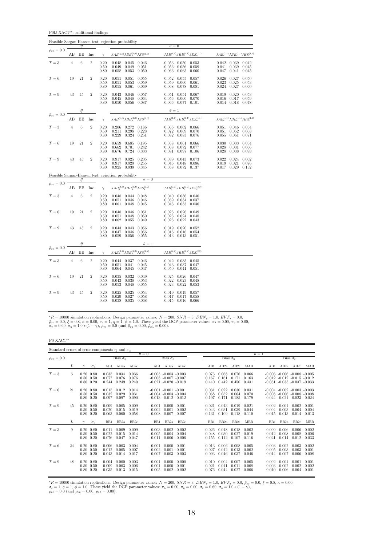P0fJ-XAC1<sup>x∗</sup>: additional findings

|                                   |                |             |                |                                                     | Feasible Sargan-Hansen test: rejection probability                                     |                                                                                 |                                                        |                                                   |                                             |                         |                                                       |                                           |
|-----------------------------------|----------------|-------------|----------------|-----------------------------------------------------|----------------------------------------------------------------------------------------|---------------------------------------------------------------------------------|--------------------------------------------------------|---------------------------------------------------|---------------------------------------------|-------------------------|-------------------------------------------------------|-------------------------------------------|
| $\bar{\rho}_{x\epsilon}=0.0$      |                | df          |                |                                                     |                                                                                        |                                                                                 | $\theta = 0$                                           |                                                   |                                             |                         |                                                       |                                           |
|                                   | AВ             | BB          | Inc            | $\gamma$                                            | $JAB^{\left(1,0\right)}JBB_{a}^{\left(1,0\right)}JES^{\left(1,0\right)}$               |                                                                                 |                                                        |                                                   | $JAB^{(1,1)}_a JBB^{(1,1)}_a JES^{(1,1)}_a$ |                         |                                                       | $JAB_c^{(1,1)}JBB_c^{(1,1)}JES_c^{(1,1)}$ |
| $T=3$                             | $\overline{4}$ | 6           | $\overline{2}$ | 0.20<br>0.50<br>0.80                                | 0.048<br>0.049<br>0.049<br>0.058<br>0.053                                              | $0.045$ 0.046<br>0.051<br>0.050                                                 | 0.053<br>0.056<br>0.066                                | $0.050$ $0.053$<br>0.056<br>0.065                 | 0.059<br>0.060                              | 0.041<br>0.047          | $0.042 \quad 0.039$<br>0.039<br>0.041                 | 0.042<br>0.045<br>0.045                   |
| ${\cal T}=6$                      | 19             | 21          | $\overline{2}$ | 0.20<br>0.50<br>0.80                                | 0.051<br>0.051<br>0.053<br>0.051<br>0.055<br>0.061                                     | 0.055<br>0.059<br>0.069                                                         | 0.052<br>0.059<br>0.068                                | 0.055<br>0.060<br>0.078                           | 0.057<br>0.061<br>0.081                     | 0.026<br>0.023<br>0.024 | 0.027<br>0.025<br>0.027                               | 0.050<br>0.053<br>0.060                   |
| $T=9$                             | 43             | 45          | $\overline{2}$ | 0.20<br>0.50<br>0.80                                | 0.046<br>0.043<br>0.045<br>0.048<br>$0.050$ $0.056$ $0.087$                            | 0.057<br>0.064                                                                  | 0.051<br>0.056                                         | $0.054$ 0.067<br>0.060<br>$0.066$ $0.077$ $0.101$ | 0.070                                       |                         | $0.019$ $0.020$<br>$0.016$ $0.017$<br>$0.014$ $0.018$ | 0.053<br>0.059<br>0.078                   |
|                                   |                | df          |                |                                                     |                                                                                        |                                                                                 | $\theta = 1$                                           |                                                   |                                             |                         |                                                       |                                           |
| $\bar{\rho}_{x\varepsilon}=0.0$   | AВ             | BB          | Inc            | $\gamma$                                            | $JAB^{(1,0)}JBB_a^{(1,0)}JES^{(1,0)}$                                                  |                                                                                 |                                                        |                                                   | $JAB_a^{(1,1)}JBB_a^{(1,1)}JES_a^{(1,1)}$   |                         |                                                       | $JAB_c^{(1,1)}JBB_c^{(1,1)}JES_c^{(1,1)}$ |
| $T=3$                             | $\overline{4}$ | 6           | $\,2$          | 0.20<br>0.50<br>0.80                                | 0.206<br>0.272<br>0.211<br>0.229                                                       | 0.186<br>$\begin{array}{r} 0.298 & 0.228 \\ 0.324 & 0.251 \end{array}$<br>0.228 | 0.066<br>$\begin{array}{c} 0.072 \\ 0.082 \end{array}$ | 0.069<br>0.083                                    | $0.062$ 0.066<br>0.070<br>0.076             | 0.051<br>0.055          | $0.051$ 0.046<br>0.052<br>0.061                       | 0.054<br>0.063<br>0.071                   |
| $T=6$                             | 19             | 21          | $\overline{2}$ | 0.20<br>0.50<br>0.80                                | 0.685<br>0.659<br>0.701<br>0.662<br>0.724<br>0.676                                     | 0.195<br>0.242<br>0.303                                                         | 0.058<br>0.068<br>0.081                                | 0.061<br>0.072<br>0.097                           | 0.066<br>0.077<br>0.106                     | 0.030<br>0.028<br>0.028 | 0.033<br>0.031<br>0.038                               | 0.054<br>0.066<br>0.093                   |
| $T=9$                             | 43             | 45          | $\overline{2}$ | 0.20<br>0.50<br>0.80                                | 0.925<br>0.917<br>0.917<br>0.929<br>0.925<br>0.939                                     | 0.205<br>0.255<br>0.345                                                         | 0.039<br>0.046<br>0.058                                | 0.043<br>0.048<br>0.072                           | 0.073<br>0.086<br>0.137                     | 0.022<br>0.019          | 0.024<br>0.021<br>$0.017$ 0.029                       | 0.062<br>0.076<br>0.132                   |
|                                   |                |             |                |                                                     | Feasible Sargan-Hansen test: rejection probability                                     |                                                                                 |                                                        |                                                   |                                             |                         |                                                       |                                           |
| $\bar{\rho}_{x\varepsilon} = 0.0$ | AB             | df<br>BB    | Inc            | $\gamma$                                            | $JAB_{a}^{\left( 2,2\right) }JBB_{a}^{\left( 2,2\right) }JES_{a}^{\left( 2,2\right) }$ | $\theta = 0$                                                                    |                                                        |                                                   | $JAB_c^{(2,2)}JBB_c^{(2,2)}JES_c^{(2,2)}$   |                         |                                                       |                                           |
| $T=3$                             | $\overline{4}$ | $\,$ 6 $\,$ | $\,2$          | 0.20<br>0.50<br>0.80                                | $0.048$ $0.044$ $0.048$<br>0.046<br>0.051<br>0.048<br>0.061                            | 0.046<br>0.045                                                                  | 0.039<br>0.043                                         | $0.040$ $0.036$ $0.040$<br>0.034<br>0.033         | 0.037<br>0.036                              |                         |                                                       |                                           |
| $T=6$                             | 19             | 21          | $\overline{2}$ | 0.20<br>0.50<br>0.80                                | 0.048<br>0.046<br>0.051<br>0.048<br>0.062<br>0.055                                     | 0.051<br>0.050<br>0.049                                                         | 0.025<br>0.023<br>0.023                                | 0.026<br>0.024<br>0.022                           | 0.049<br>0.048<br>0.043                     |                         |                                                       |                                           |
| $T=9$                             | 43             | 45          | $\,2$          | $\begin{array}{c} 0.20 \\ 0.50 \end{array}$<br>0.80 | 0.043<br>0.043<br>0.047<br>0.046<br>0.059<br>0.056                                     | 0.056<br>0.056<br>0.055                                                         | $0.019\,$<br>$\,0.016\,$<br>0.013                      | $0.020 \quad 0.052$<br>0.016<br>$0.013$ $0.051$   | 0.054                                       |                         |                                                       |                                           |
| $\bar{\rho}_{x\varepsilon}=0.0$   |                | df          |                |                                                     |                                                                                        | $\theta=1$                                                                      |                                                        |                                                   |                                             |                         |                                                       |                                           |
|                                   | AB             | BB          | Inc            | $\gamma$                                            | $JAB_a^{(2,2)}JBB_a^{(2,2)}JES_a^{(2,2)}$                                              |                                                                                 |                                                        |                                                   | $JAB_c^{(2,2)}JBB_c^{(2,2)}JES_c^{(2,2)}$   |                         |                                                       |                                           |
| $T=3$                             | $\overline{4}$ | $\,$ 6 $\,$ | $\overline{2}$ | 0.20<br>0.50<br>0.80                                | $0.044$ $0.037$ $0.046$<br>0.051<br>0.041<br>0.064<br>0.045                            | 0.045<br>0.047                                                                  | 0.042<br>0.043<br>0.050                                | 0.035 0.045<br>0.037<br>$0.041$ $0.051$           | 0.047                                       |                         |                                                       |                                           |
| $T=6$                             | 19             | 21          | $\overline{2}$ | 0.20<br>0.50<br>0.80                                | 0.035<br>0.032<br>0.043<br>0.038<br>0.053<br>0.048                                     | 0.049<br>0.053<br>0.055                                                         | 0.025<br>0.022<br>0.023                                | 0.026<br>0.023<br>0.022                           | 0.047<br>0.048<br>0.053                     |                         |                                                       |                                           |
| $T=9$                             | 43             | 45          | $\overline{2}$ | 0.20<br>0.50<br>0.80                                | 0.025<br>0.025<br>0.029<br>0.027<br>0.038<br>0.035                                     | 0.054<br>0.058<br>0.068                                                         | 0.019<br>0.017<br>0.015                                | $0.019$ $0.057$<br>0.017<br>$0.016$ 0.066         | 0.058                                       |                         |                                                       |                                           |

 $P0-XAC1^{x*}$ 

| Standard errors of error components $\eta_i$ and $\varepsilon_{it}$ |    |                                                        |            |                         |                         |                         |                 |                                                                                      |                          |                         |                         |                                   |                            |                 |                                                                                                                   |                                 |            |
|---------------------------------------------------------------------|----|--------------------------------------------------------|------------|-------------------------|-------------------------|-------------------------|-----------------|--------------------------------------------------------------------------------------|--------------------------|-------------------------|-------------------------|-----------------------------------|----------------------------|-----------------|-------------------------------------------------------------------------------------------------------------------|---------------------------------|------------|
|                                                                     |    |                                                        |            |                         |                         |                         | $\theta = 0$    |                                                                                      |                          |                         |                         |                                   |                            | $\theta = 1$    |                                                                                                                   |                                 |            |
| $\bar{\rho}_{x\varepsilon} = 0.0$                                   |    |                                                        |            |                         | Bias $\tilde{\sigma}_n$ |                         |                 | Bias $\hat{\sigma}_s$                                                                |                          |                         | Bias $\hat{\sigma}_n$   |                                   |                            |                 |                                                                                                                   | Bias $\hat{\sigma}_\varepsilon$ |            |
|                                                                     | L  |                                                        | $\sigma_n$ | AB1                     | AB2a                    | AB2c                    | AB1             | AB2a                                                                                 | AB2c                     | AB1                     | AB2a                    | AB2c                              | MAB                        | AB1             | AB2a                                                                                                              | AB2c                            | MAB        |
| $T=3$                                                               | 6  | $0.20\ 0.80$<br>$0.50 \quad 0.50$<br>$0.80 \quad 0.20$ |            | 0.035<br>0.077<br>0.244 | 0.034<br>0.076<br>0.249 | 0.036<br>0.076<br>0.240 |                 | $-0.003 - 0.003 - 0.003$<br>$-0.008$ $-0.007$ $-0.007$<br>$-0.021 - 0.020 - 0.019$   |                          | 0.073<br>0.167<br>0.440 | 0.068<br>0.161<br>0.442 | 0.076<br>0.171<br>0.450           | 0.066<br>0.163<br>0.431    |                 | $-0.006$ $-0.006$ $-0.008$ $-0.005$<br>$-0.012$ $-0.012$ $-0.015$ $-0.012$<br>$-0.031$ $-0.035$ $-0.037$ $-0.033$ |                                 |            |
| $T=6$                                                               | 21 | $0.20\ 0.80$<br>$0.50 \quad 0.50$<br>$0.80\ 0.20$      |            | 0.015<br>0.032<br>0.097 | 0.012<br>0.029<br>0.097 | 0.014<br>0.031<br>0.090 |                 | $-0.001$ $-0.001$ $-0.001$<br>$-0.004$ $-0.003$ $-0.004$<br>$-0.013 - 0.012 - 0.012$ |                          | 0.031<br>0.068<br>0.197 | 0.022<br>0.052<br>0.171 | 0.030<br>0.064<br>0.185           | 0.031<br>0.070<br>0.179    |                 | $-0.004$ $-0.002$ $-0.003$ $-0.003$<br>$-0.008$ $-0.006$ $-0.008$ $-0.008$<br>$-0.024$ $-0.021$ $-0.023$ $-0.024$ |                                 |            |
| $T=9$                                                               | 45 | $0.20\ 0.80$<br>$0.50 \quad 0.50$<br>$0.80\ 0.20$      |            | 0.009<br>0.020<br>0.063 | 0.005<br>0.015<br>0.060 | 0.009<br>0.019<br>0.058 | $-0.001$        | $0.000 - 0.001$<br>$-0.008$ $-0.007$ $-0.007$                                        | $-0.002 - 0.001 - 0.002$ | 0.021<br>0.043<br>0.131 | 0.013<br>0.031<br>0.109 | 0.019<br>0.039<br>0.118           | 0.021<br>0.044<br>0.110    |                 | $-0.002$ $-0.001$ $-0.002$ $-0.001$<br>$-0.004$ $-0.003$ $-0.004$ $-0.004$<br>$-0.015 - 0.013 - 0.014 - 0.013$    |                                 |            |
|                                                                     | L  |                                                        | $\sigma_n$ | B <sub>B1</sub>         | BB <sub>2a</sub>        | BB2c                    | B <sub>B1</sub> | BB <sub>2a</sub>                                                                     | BB2c                     | B <sub>B1</sub>         | BB <sub>2a</sub>        | BB <sub>2c</sub>                  | <b>MBB</b>                 | B <sub>B1</sub> | BB <sub>2a</sub>                                                                                                  | BB2c                            | <b>MBB</b> |
| $T=3$                                                               | 9  | $0.20\ 0.80$<br>$0.50 \quad 0.50$<br>$0.80 \quad 0.20$ |            | 0.011<br>0.022<br>0.076 | 0.009<br>0.015<br>0.047 | 0.009<br>0.014<br>0.047 |                 | $-0.003 - 0.002 - 0.002$<br>$-0.005 - 0.004 - 0.004$                                 | $-0.011 - 0.006 - 0.006$ | 0.026<br>0.048<br>0.155 | 0.018<br>0.030<br>0.112 | 0.018<br>$0.027 - 0.019$<br>0.107 | 0.002<br>0.116             |                 | $-0.009$ $-0.006$ $-0.006$ $-0.002$<br>$-0.012 - 0.008 - 0.008$<br>$-0.021$ $-0.014$ $-0.012$ 0.033               |                                 | - 0.006    |
| $T=6$                                                               | 24 | $0.20\ 0.80$<br>$0.50 \quad 0.50$<br>$0.80\ 0.20$      |            | 0.006<br>0.012<br>0.043 | 0.003<br>0.005<br>0.014 | 0.004<br>0.007<br>0.017 |                 | $-0.001 - 0.000 - 0.001$<br>$-0.002 - 0.001 - 0.001$<br>$-0.007 - 0.003 - 0.003$     |                          | 0.013<br>0.027<br>0.093 | 0.006<br>0.012<br>0.046 | 0.008<br>0.013<br>$0.037 - 0.046$ | 0.005<br>0.002             |                 | $-0.003$ $-0.002$ $-0.003$ $-0.002$<br>$-0.005$ $-0.003$ $-0.003$ $-0.001$<br>$-0.014$ $-0.007$ $-0.006$ 0.008    |                                 |            |
| $T=9$                                                               | 48 | $0.20\ 0.80$<br>$0.50 \quad 0.50$<br>$0.80\ 0.20$      |            | 0.004<br>0.009<br>0.035 | 0.000<br>0.003<br>0.013 | 0.003<br>0.006<br>0.015 | $-0.001$        | $-0.001 - 0.000 - 0.001$<br>$-0.005 - 0.002 - 0.002$                                 | $0.000 - 0.000$          | 0.010<br>0.021<br>0.076 | 0.004<br>0.011<br>0.044 | 0.007<br>0.011<br>0.027           | 0.005<br>0.008<br>$-0.006$ |                 | $-0.002$ $-0.001$ $-0.001$ $-0.001$<br>$-0.003$ $-0.002$ $-0.002$ $-0.002$<br>$-0.010$ $-0.006$ $-0.004$ $-0.001$ |                                 |            |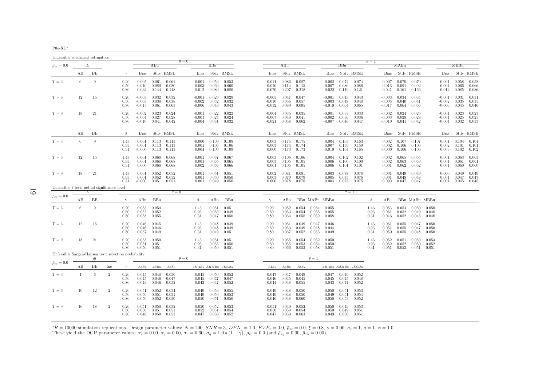| 2011- |  |
|-------|--|
|       |  |

<span id="page-18-0"></span>

| Unfeasible coefficient estimators                    |                |           |                |                      |                                  |                         |                         |                                  |                         |                         |                                  |                         |                         |                         |                                  |                         |                         |                      |                                  |                         |                         |                         |                                  |                         |                         |
|------------------------------------------------------|----------------|-----------|----------------|----------------------|----------------------------------|-------------------------|-------------------------|----------------------------------|-------------------------|-------------------------|----------------------------------|-------------------------|-------------------------|-------------------------|----------------------------------|-------------------------|-------------------------|----------------------|----------------------------------|-------------------------|-------------------------|-------------------------|----------------------------------|-------------------------|-------------------------|
| $\bar{\rho}_{x\epsilon}=0.0$                         |                | L         |                |                      |                                  | ABu                     |                         | $\theta = 0$                     | BBu                     |                         |                                  | ABu                     |                         |                         |                                  | <b>BBu</b>              |                         | $\theta = 1$         |                                  | MABu                    |                         |                         |                                  | MBBu                    |                         |
|                                                      | AВ             | BB        |                | $\gamma$             | Bias                             |                         | Stdy RMSE               | Bias                             |                         | Stdy RMSE               | Bias                             |                         | Stdy RMSE               |                         | Bias                             |                         | Stdy RMSE               |                      | Bias                             |                         | Stdy RMSE               |                         | Bias                             |                         | Stdy RMSE               |
| $T=3$                                                | 6              | 9         |                | 0.20<br>0.50<br>0.80 | $-0.005$<br>$-0.010$<br>$-0.033$ | 0.061<br>0.080<br>0.144 | 0.061<br>0.080<br>0.148 | $-0.001$<br>$-0.003$<br>$-0.012$ | 0.053<br>0.060<br>0.080 | 0.053<br>0.060<br>0.080 | $-0.011$<br>$-0.020$<br>-0.070   | 0.086<br>0.114<br>0.207 | 0.087<br>0.115<br>0.218 |                         | $-0.002$<br>$-0.007$<br>$-0.022$ | 0.074<br>0.086<br>0.119 | 0.074<br>0.086<br>0.121 |                      | $-0.007$<br>$-0.013$<br>$-0.041$ | 0.070<br>0.091<br>0.161 | 0.070<br>0.092<br>0.166 |                         | $-0.001$<br>$-0.004$<br>$-0.012$ | 0.058<br>0.066<br>0.085 | 0.058<br>0.066<br>0.086 |
| $T=6$                                                | 12             | 15        |                | 0.20<br>0.50<br>0.80 | $-0.003$<br>$-0.005$<br>$-0.015$ | 0.032<br>0.038<br>0.061 | 0.032<br>0.038<br>0.063 | $-0.001$<br>$-0.002$<br>$-0.006$ | 0.029<br>0.032<br>0.043 | 0.029<br>0.032<br>0.043 | $-0.005$<br>$-0.010$<br>$-0.032$ | 0.047<br>0.056<br>0.089 | 0.047<br>0.057<br>0.095 |                         | $-0.001$<br>$-0.003$<br>$-0.010$ | 0.043<br>0.048<br>0.064 | 0.043<br>0.048<br>0.065 |                      | $-0.003$<br>$-0.005$<br>$-0.017$ | 0.034<br>0.040<br>0.064 | 0.034<br>0.041<br>0.066 |                         | $-0.001$<br>$-0.002$<br>$-0.006$ | 0.031<br>0.035<br>0.045 | 0.031<br>0.035<br>0.046 |
| $T=9$                                                | 18             | $21\,$    |                | 0.20<br>0.50<br>0.80 | $-0.002$<br>$-0.004$<br>$-0.010$ | 0.023<br>0.027<br>0.041 | 0.024<br>0.028<br>0.042 | $-0.001$<br>$-0.001$<br>$-0.004$ | 0.022<br>0.024<br>0.031 | 0.022<br>0.024<br>0.032 | $-0.004$<br>$-0.007$<br>$-0.021$ | 0.035<br>0.040<br>0.058 | 0.035<br>0.041<br>0.062 |                         | $-0.001$<br>$-0.002$<br>$-0.007$ | 0.033<br>0.036<br>0.046 | 0.033<br>0.036<br>0.047 |                      | $-0.002$<br>$-0.003$<br>$-0.010$ | 0.024<br>0.028<br>0.041 | 0.025<br>0.028<br>0.042 |                         | $-0.001$<br>$-0.001$<br>$-0.004$ | 0.023<br>0.025<br>0.032 | 0.023<br>0.025<br>0.033 |
|                                                      | AВ             | <b>BB</b> |                | $\beta$              | Bias                             |                         | Stdy RMSE               | Bias                             |                         | Stdy RMSE               | Bias                             |                         | Stdy RMSE               |                         | Bias                             |                         | Stdy RMSE               |                      | Bias                             |                         | Stdy RMSE               |                         | Bias                             |                         | Stdy RMSE               |
| $T=3$                                                | 6              | 9         |                | 1.43<br>0.93<br>0.31 | 0.001<br>0.001<br>$-0.000$       | 0.113<br>0.113<br>0.113 | 0.113<br>0.113<br>0.113 | $-0.000$<br>0.001<br>0.004       | 0.109<br>0.106<br>0.109 | 0.109<br>0.106<br>0.109 | 0.003<br>0.003<br>0.000          | 0.175<br>0.174<br>0.173 | 0.175<br>0.174<br>0.173 |                         | 0.004<br>0.007<br>0.010          | 0.163<br>0.159<br>0.164 | 0.163<br>0.159<br>0.165 |                      | 0.002<br>0.002<br>$-0.000$       | 0.107<br>0.106<br>0.106 | 0.107<br>0.106<br>0.106 |                         | 0.001<br>0.002<br>0.003          | 0.104<br>0.101<br>0.102 | 0.104<br>0.101<br>0.102 |
| $T=6$                                                | 12             | 15        |                | 1.43<br>0.93<br>0.31 | 0.001<br>0.001<br>0.000          | 0.068<br>0.068<br>0.068 | 0.068<br>0.068<br>0.068 | 0.001<br>0.001<br>0.002          | 0.067<br>0.065<br>0.066 | 0.067<br>0.065<br>0.066 | 0.003<br>0.003<br>0.001          | 0.106<br>0.105<br>0.105 | 0.106<br>0.105<br>0.105 |                         | 0.004<br>0.006<br>0.006          | 0.102<br>0.100<br>0.101 | 0.102<br>0.100<br>0.101 |                      | 0.002<br>0.002<br>0.001          | 0.065<br>0.063<br>0.062 | 0.065<br>0.063<br>0.062 |                         | 0.001<br>0.001<br>0.001          | 0.063<br>0.061<br>0.060 | 0.063<br>0.061<br>0.060 |
| $T=9$                                                | 18             | 21        |                | 1.43<br>0.93<br>0.31 | 0.001<br>0.001<br>$-0.000$       | 0.052<br>0.052<br>0.051 | 0.052<br>0.052<br>0.051 | 0.001<br>0.001<br>0.001          | 0.051<br>0.050<br>0.049 | 0.051<br>0.050<br>0.050 | 0.002<br>0.003<br>0.000          | 0.081<br>0.079<br>0.078 | 0.081<br>0.079<br>0.078 |                         | 0.003<br>0.005<br>0.004          | 0.078<br>0.075<br>0.075 | 0.078<br>0.076<br>0.075 |                      | 0.001<br>0.001<br>0.000          | 0.049<br>0.048<br>0.047 | 0.049<br>0.048<br>0.047 |                         | 0.000<br>0.001<br>0.001          | 0.049<br>0.047<br>0.045 | 0.049<br>0.047<br>0.045 |
| Unfeasible t-test: actual significance level         |                | L         |                |                      |                                  |                         | $\theta = 0$            |                                  |                         |                         |                                  |                         |                         |                         |                                  | $\theta = 1$            |                         |                      |                                  |                         |                         |                         |                                  |                         |                         |
| $\bar{\rho}_{x\varepsilon}=0.0$                      | AВ             | <b>BB</b> |                | $\gamma$             | ABu                              | BBu                     |                         | β                                | ABu                     | BBu                     | $\gamma$                         | ABu                     |                         |                         | BBu MABu MBBu                    |                         |                         | B                    | ABu                              |                         | BBu MABu MBBu           |                         |                                  |                         |                         |
| $T=3$                                                | 6              | 9         |                | 0.20<br>0.50<br>0.80 | 0.053<br>0.052<br>0.058          | 0.054<br>0.052<br>0.055 |                         | 1.43<br>0.93<br>0.31             | 0.051<br>0.050<br>0.047 | 0.051<br>0.049<br>0.050 | 0.20<br>0.50<br>0.80             | 0.052<br>0.053<br>0.064 | 0.054<br>0.054<br>0.058 | 0.054<br>0.055<br>0.059 | 0.055<br>0.055<br>0.058          |                         |                         | 1.43<br>0.93<br>0.31 | 0.053<br>0.051<br>0.046          | 0.054<br>0.052<br>0.052 | 0.050<br>0.049<br>0.045 | 0.050<br>0.048<br>0.048 |                                  |                         |                         |
| $T=6$                                                | 12             | 15        |                | 0.20<br>0.50<br>0.80 | 0.046<br>0.046<br>0.057          | 0.045<br>0.046<br>0.049 |                         | 1.43<br>0.93<br>0.31             | 0.048<br>0.048<br>0.049 | 0.049<br>0.049<br>0.051 | 0.20<br>0.50<br>0.80             | 0.051<br>0.053<br>0.067 | 0.049<br>0.049<br>0.052 | 0.047<br>0.048<br>0.056 | 0.046<br>0.044<br>0.049          |                         |                         | 1.43<br>0.93<br>0.31 | 0.051<br>0.051<br>0.050          | 0.055<br>0.055<br>0.055 | 0.047<br>0.047<br>0.048 | 0.050<br>0.050<br>0.050 |                                  |                         |                         |
| $T=9$                                                | 18             | $21\,$    |                | 0.20<br>0.50<br>0.80 | 0.053<br>0.051<br>0.056          | 0.050<br>0.051<br>0.051 |                         | 1.43<br>0.93<br>0.31             | 0.051<br>0.053<br>0.050 | 0.051<br>0.050<br>0.051 | 0.20<br>0.50<br>0.80             | 0.055<br>0.055<br>0.066 | 0.054<br>0.053<br>0.053 | 0.052<br>0.054<br>0.058 | 0.050<br>0.050<br>0.051          |                         |                         | 1.43<br>0.93<br>0.31 | 0.052<br>0.052<br>0.051          | 0.051<br>0.052<br>0.053 | 0.050<br>0.050<br>0.051 | 0.053<br>0.052<br>0.051 |                                  |                         |                         |
| Unfeasible Sargan-Hansen test: rejection probability |                | df        |                |                      |                                  |                         |                         | $\theta = 0$                     |                         |                         |                                  |                         |                         | $\theta = 1$            |                                  |                         |                         |                      |                                  |                         |                         |                         |                                  |                         |                         |
| $\bar{\rho}_{x\varepsilon}=0.0$                      | АB             | BB        | Inc            | $\gamma$             | JABu                             | JBBu                    | JESu                    |                                  | JMABu JMMBu JESMu       |                         | JABu                             | JBBu                    | JESu                    |                         | $JMABu$ $JMMBu$ $JESMu$          |                         |                         |                      |                                  |                         |                         |                         |                                  |                         |                         |
| $T=3$                                                | $\overline{4}$ | 6         | $\overline{2}$ | 0.20<br>0.50<br>0.80 | 0.045<br>0.045<br>0.043          | 0.048<br>0.046<br>0.046 | 0.050<br>0.047<br>0.052 | 0.045<br>0.045<br>0.042          | 0.050<br>0.047<br>0.047 | 0.052<br>0.047<br>0.052 | 0.047<br>0.046<br>0.044          | 0.047<br>0.045<br>0.048 | 0.049<br>0.045<br>0.055 |                         | 0.047<br>0.045<br>0.043          | 0.049<br>0.045<br>0.047 | 0.052<br>0.048<br>0.052 |                      |                                  |                         |                         |                         |                                  |                         |                         |
| $T=6$                                                | 10             | 12        | $\overline{2}$ | 0.20<br>0.50<br>0.80 | 0.051<br>0.050<br>0.050          | 0.052<br>0.051<br>0.052 | 0.054<br>0.051<br>0.050 | 0.049<br>0.049<br>0.050          | 0.053<br>0.050<br>0.051 | 0.055<br>0.053<br>0.050 | 0.049<br>0.049<br>0.046          | 0.048<br>0.048<br>0.048 | 0.050<br>0.050<br>0.060 |                         | 0.050<br>0.049<br>0.050          | 0.051<br>0.051<br>0.053 | 0.053<br>0.054<br>0.052 |                      |                                  |                         |                         |                         |                                  |                         |                         |
| $T=9$                                                | 16             | 18        | $\overline{2}$ | 0.20<br>0.50<br>0.80 | 0.051<br>0.050<br>0.048          | 0.050<br>0.051<br>0.050 | 0.052<br>0.051<br>0.053 | 0.050<br>0.052<br>0.047          | 0.052<br>0.051<br>0.050 | 0.053<br>0.054<br>0.052 | 0.051<br>0.050<br>0.047          | 0.049<br>0.050<br>0.050 | 0.052<br>0.054<br>0.063 |                         | 0.050<br>0.050<br>0.049          | 0.049<br>0.049<br>0.050 | 0.053<br>0.051<br>0.051 |                      |                                  |                         |                         |                         |                                  |                         |                         |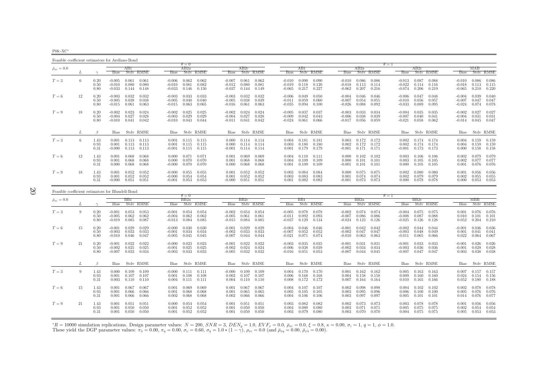P0fc-XC∗

Feasible coefficient estimators for Arellano-Bond $\theta = 0$  $AB2a$  $\theta = 1$ <br>a  $\theta = 1$  $\bar{\rho}_{x\varepsilon}=0.0$  $_{\varepsilon}$  = 0.0  $_{\varepsilon}$   $_{\varepsilon}$   $_{\varepsilon}$   $_{\varepsilon}$   $_{\varepsilon}$   $_{\varepsilon}$   $_{\varepsilon}$   $_{\varepsilon}$   $_{\varepsilon}$   $_{\varepsilon}$   $_{\varepsilon}$   $_{\varepsilon}$   $_{\varepsilon}$   $_{\varepsilon}$   $_{\varepsilon}$   $_{\varepsilon}$   $_{\varepsilon}$   $_{\varepsilon}$   $_{\varepsilon}$   $_{\varepsilon}$   $_{\varepsilon}$   $_{\varepsilon}$   $_{\varepsilon}$ L  $\gamma$  Bias Stdv RMSE Bias Stdv RMSE Bias Stdv RMSE Bias Stdv RMSE Bias Stdv RMSE Bias Stdv RMSE Bias Stdv RMSE0.086  $T=3$  $T=3$  6 0.20 -0.005 0.061 0.061 -0.006 0.062 0.062 -0.007 0.061 0.062 -0.010 0.090 0.090 -0.010 0.086 0.086 -0.013 0.087 0.088 -0.010 0.086 0.086<br>0.50 -0.010 0.080 0.080 -0.010 0.081 0.082 -0.012 0.080 0.081 -0.019 0.118  $0.50$   $-0.010$   $0.080$   $-0.010$   $0.081$   $0.082$   $-0.012$   $0.080$   $0.081$   $-0.019$   $0.118$   $0.120$   $-0.018$   $0.113$   $0.114$   $-0.022$   $0.114$   $0.116$   $-0.018$   $0.113$   $0.115$  $-0.065$   $0.210$   $0.220$ 0.80 -0.033 0.144 0.148 -0.033 0.146 0.150 -0.037 0.144 0.149 -0.065 0.217 0.227 -0.062 0.207 0.216 -0.074 0.206 0.219 -0.065 0.210 0.220 $0.040$  $T=6$  $T=6$   $12$   $0.20$   $-0.003$   $0.032$   $0.032$   $-0.003$   $0.033$   $-0.003$   $0.032$   $0.032$   $-0.003$   $0.032$   $-0.003$   $0.032$   $-0.004$   $0.049$   $0.050$   $-0.004$   $0.046$   $0.046$   $-0.006$   $0.047$   $0.048$   $-0.004$   $0.039$   $0.040$   $-$ 0.50 -0.005 0.038 0.038 -0.005 0.040 0.040 -0.005 0.038 0.039 -0.011 0.059 0.060 -0.007 0.054 0.055 -0.010 0.056 0.057 -0.007 0.047 0.047 $-0.024$   $0.074$   $0.078$  $0.80$   $-0.015$   $0.061$   $0.063$   $-0.015$   $0.063$   $0.065$   $-0.016$   $0.061$   $0.063$   $-0.035$   $0.094$   $0.100$   $-0.026$   $0.088$   $0.092$   $-0.033$   $0.089$   $0.095$  $-0.002$   $0.027$   $0.027$  $T=9$  $T=9$   $18$   $0.20$   $-0.002$   $0.023$   $0.024$   $-0.002$   $0.025$   $-0.002$   $0.024$   $0.024$   $0.024$   $-0.005$   $0.037$   $-0.003$   $0.033$   $0.034$   $-0.004$   $0.035$   $0.035$   $-0.002$   $0.027$   $0.025$   $-0.003$   $0.029$   $-0.005$   $0.027$   $0$ 0.50 -0.004 0.027 0.028 -0.004 0.027 0.028 -0.009 0.042 0.061 0.038 -0.039 0.039 -0.007 0.041 0.041 0.031<br>0.80 -0.010 0.041 0.042 -0.010 0.043 0.044 -0.011 0.041 0.042 -0.024 0.061 0.066 -0.017 0.056 0.059 -0.021 0.058 0.0  $\begin{array}{cccc} 0.031 & 0.031 \\ 0.045 & 0.047 \end{array}$  $L \qquad \qquad \beta$ Bias Stdv RMSE Bias Stdv RMSE Bias Stdv RMSE Bias Stdv RMSE Bias Stdv RMSE Bias Stdv RMSE Bias Stdv RMSE Bias Stdv RMSE  $0.004$   $0.159$   $0.159$  $T=3$  $T=3$  6  $1.43$   $0.001$   $0.113$   $0.113$   $0.001$   $0.115$   $0.115$   $0.000$   $0.114$   $0.114$   $0.004$   $0.181$   $0.181$   $0.003$   $0.172$   $0.172$   $0.002$   $0.174$   $0.174$   $0.174$   $0.004$   $0.159$   $0.159$   $0.159$   $0.159$   $0.159$   $0.159$ 0.93 0.001 0.113 0.104 0.115 0.115 0.000 0.114 0.114 0.003 0.179 0.002 0.172 0.10202 0.172 0.174 0.004 0.159 0<br>0.31 -0.000 0.113 0.113 -0.001 0.115 0.101 0.114 0.114 0.001 0.179 0.179 -0.001 0.171 0.171 -0.001 0.173 0.173 0.158  $0.002 - 0.079 - 0.079$  $T=6$  $T=6$   $12$   $1.43$   $0.001$   $0.068$   $0.068$   $0.000$   $0.071$   $0.001$   $0.069$   $0.069$   $0.004$   $0.110$   $0.111$   $0.000$   $0.102$   $0.102$   $0.003$   $0.106$   $0.106$   $0.016$   $0.001$   $0.070$   $0.070$   $0.001$   $0.068$   $0.068$   $0.006$   $0.$ 0.93 0.001 0.068 0.068 0.000 0.070 0.070 0.001 0.068 0.068 0.004 0.109 0.109 0.000 0.101 0.101 0.003 0.105 0.105 0.002 0.077 0.0770.076  $0.31$   $0.000$   $0.068$   $0.068$   $-0.000$   $0.070$   $0.070$   $0.000$   $0.068$   $0.068$   $0.001$   $0.109$   $0.109$   $-0.001$   $0.101$   $0.101$   $0.101$   $0.000$   $0.105$   $0.105$   $0.001$   $0.076$   $0.076$ 0.056  $T=9$  $T=9 \hspace{1cm} 18 \hspace{1cm} 1.43 \hspace{1cm} 0.001 \hspace{1cm} 0.052 \hspace{1cm} 0.052 \hspace{1cm} 0.001 \hspace{1cm} 0.055 \hspace{1cm} 0.051 \hspace{1cm} 0.052 \hspace{1cm} 0.055 \hspace{1.2cm} 0.001 \hspace{1cm} 0.052 \hspace{1cm} 0.052 \hspace{1cm} 0.051 \hspace{1.2cm} 0.052 \hspace{1.2cm} 0.052 \hspace{1.2$  $0.93$   $0.001$   $0.052$   $0.052$   $0.003$   $0.054$   $0.001$   $0.052$   $0.052$   $0.003$   $0.083$   $0.083$   $0.083$   $0.001$   $0.074$   $0.074$   $0.074$   $0.002$   $0.079$   $0.079$   $0.002$   $0.055$   $0.055$  $0.000$   $0.053$   $0.053$  $0.31$   $-0.000$   $0.051$   $-0.001$   $0.053$   $0.053$   $-0.000$   $0.051$   $0.051$   $0.001$   $0.082$   $0.082$   $-0.001$   $0.073$   $0.073$   $0.000$   $0.078$   $0.078$ 

| Feasible coefficient estimators for Blundell-Bond |    |                      |                                  |                         |                         |                                  |                         |                         |                                  |                         |                         |                                  |                         |                         |                                  |                         |                         |                                  |                         |                         |                               |                         |                         |
|---------------------------------------------------|----|----------------------|----------------------------------|-------------------------|-------------------------|----------------------------------|-------------------------|-------------------------|----------------------------------|-------------------------|-------------------------|----------------------------------|-------------------------|-------------------------|----------------------------------|-------------------------|-------------------------|----------------------------------|-------------------------|-------------------------|-------------------------------|-------------------------|-------------------------|
|                                                   |    |                      |                                  |                         |                         |                                  | $\theta = 0$            |                         |                                  |                         |                         |                                  |                         |                         |                                  |                         |                         | $\theta = 1$                     |                         |                         |                               |                         |                         |
| $\bar{\rho}_{x\varepsilon}=0.0$                   |    |                      |                                  | BB1                     |                         |                                  | BB2a                    |                         |                                  | BB2c                    |                         |                                  | BB1                     |                         |                                  | BB2a                    |                         |                                  | BB2c                    |                         |                               | МВВ                     |                         |
|                                                   |    |                      | <b>Bias</b>                      |                         | Stdy RMSE               | <b>Bias</b>                      |                         | Stdy RMSE               | <b>Bias</b>                      |                         | Stdy RMSE               | <b>Bias</b>                      |                         | Stdy RMSE               | <b>Bias</b>                      |                         | Stdy RMSE               | <b>Bias</b>                      |                         | Stdy RMSE               | <b>Bias</b>                   |                         | Stdy RMSE               |
| $T=3$                                             | Q  | 0.20<br>0.50<br>0.80 | $-0.001$<br>$-0.005$<br>$-0.019$ | 0.053<br>0.062<br>0.085 | 0.053<br>0.062<br>0.087 | $-0.001$<br>$-0.004$<br>$-0.013$ | 0.054<br>0.062<br>0.084 | 0.054<br>0.062<br>0.085 | $-0.002$<br>$-0.005$<br>$-0.015$ | 0.054<br>0.061<br>0.084 | 0.054<br>0.061<br>0.085 | $-0.005$<br>$-0.011$<br>$-0.037$ | 0.078<br>0.092<br>0.129 | 0.078<br>0.093<br>0.134 | $-0.002$<br>$-0.007$<br>$-0.024$ | 0.074<br>0.086<br>0.123 | 0.074<br>0.086<br>0.126 | $-0.004$<br>$-0.008$<br>$-0.025$ | 0.075<br>0.087<br>0.126 | 0.075<br>0.088<br>0.128 | 0.001<br>0.010<br>0.052       | 0.076<br>0.101<br>0.204 | 0.076<br>0.101<br>0.210 |
| $T=6$                                             | 15 | 0.20<br>0.50<br>0.80 | $-0.001$<br>$-0.003$<br>$-0.010$ | 0.029<br>0.033<br>0.046 | 0.029<br>0.033<br>0.047 | $-0.000$<br>$-0.001$<br>$-0.005$ | 0.030<br>0.034<br>0.045 | 0.030<br>0.034<br>0.045 | $-0.001$<br>$-0.002$<br>$-0.007$ | 0.029<br>0.033<br>0.044 | 0.029<br>0.033<br>0.044 | $-0.004$<br>$-0.007$<br>$-0.021$ | 0.046<br>0.052<br>0.071 | 0.046<br>0.052<br>0.074 | $-0.001$<br>$-0.002$<br>$-0.010$ | 0.042<br>0.047<br>0.063 | 0.042<br>0.047<br>0.063 | $-0.002$<br>$-0.003$<br>$-0.011$ | 0.044<br>0.048<br>0.065 | 0.044<br>0.049<br>0.066 | $-0.001$<br>0.001<br>0.022    | 0.036<br>0.041<br>0.064 | 0.036<br>0.041<br>0.067 |
| $T=9$                                             | 21 | 0.20<br>0.50<br>0.80 | $-0.001$<br>$-0.002$<br>$-0.007$ | 0.022<br>0.025<br>0.033 | 0.022<br>0.025<br>0.034 | $-0.000$<br>$-0.001$<br>$-0.003$ | 0.023<br>0.025<br>0.033 | 0.023<br>0.025<br>0.033 | $-0.001$<br>$-0.002$<br>$-0.005$ | 0.022<br>0.024<br>0.032 | 0.022<br>0.024<br>0.032 | $-0.003$<br>$-0.006$<br>$-0.016$ | 0.035<br>0.038<br>0.051 | 0.035<br>0.039<br>0.053 | $-0.001$<br>$-0.002$<br>$-0.007$ | 0.031<br>0.034<br>0.044 | 0.031<br>0.034<br>0.045 | $-0.001$<br>$-0.003$<br>$-0.007$ | 0.033<br>0.036<br>0.047 | 0.033<br>0.036<br>0.047 | $-0.001$<br>$-0.001$<br>0.003 | 0.026<br>0.028<br>0.038 | 0.026<br>0.028<br>0.038 |
|                                                   |    | $\beta$              | Bias                             |                         | Stdy RMSE               | Bias                             |                         | Stdv RMSE               |                                  |                         | Bias Stdv RMSE          |                                  |                         | Bias Stdy RMSE          |                                  |                         | Bias Stdv RMSE          |                                  | Bias Stdy RMSE          |                         | Bias                          |                         | Stdy RMSE               |
| $T=3$                                             |    | 1.43<br>0.93<br>0.31 | 0.000<br>0.001<br>0.003          | 0.109<br>0.107<br>0.110 | 0.109<br>0.107<br>0.110 | $-0.000$<br>0.001<br>0.004       | 0.111<br>0.108<br>0.111 | 0.111<br>0.108<br>0.111 | $-0.000$<br>0.002<br>0.004       | 0.109<br>0.107<br>0.110 | 0.109<br>0.107<br>0.110 | 0.004<br>0.006<br>0.008          | 0.170<br>0.168<br>0.172 | 0.170<br>0.168<br>0.172 | 0.001<br>0.004<br>0.007          | 0.162<br>0.158<br>0.164 | 0.162<br>0.158<br>0.164 | 0.005<br>0.009<br>0.010          | 0.163<br>0.160<br>0.165 | 0.163<br>0.160<br>0.166 | 0.007<br>0.024<br>0.052       | 0.157<br>0.154<br>0.180 | 0.157<br>0.156<br>0.188 |
| $T=6$                                             | 15 | 1.43<br>0.93<br>0.31 | 0.001<br>0.001<br>0.001          | 0.067<br>0.066<br>0.066 | 0.067<br>0.066<br>0.066 | 0.001<br>0.001<br>0.002          | 0.069<br>0.068<br>0.068 | 0.069<br>0.068<br>0.068 | 0.001<br>0.001<br>0.002          | 0.067<br>0.065<br>0.066 | 0.067<br>0.065<br>0.066 | 0.004<br>0.005<br>0.004          | 0.107<br>0.105<br>0.106 | 0.107<br>0.105<br>0.106 | 0.002<br>0.003<br>0.003          | 0.098<br>0.095<br>0.097 | 0.098<br>0.096<br>0.097 | 0.004<br>0.006<br>0.005          | 0.102<br>0.100<br>0.101 | 0.102<br>0.100<br>0.101 | 0.002<br>0.005<br>0.014       | 0.078<br>0.076<br>0.076 | 0.078<br>0.076<br>0.077 |
| $T=9$                                             | 21 | 1.43<br>0.93<br>0.31 | 0.001<br>0.001<br>0.001          | 0.051<br>0.050<br>0.050 | 0.051<br>0.050<br>0.050 | 0.000<br>0.001<br>0.001          | 0.054<br>0.052<br>0.052 | 0.054<br>0.052<br>0.052 | 0.001<br>0.001<br>0.001          | 0.051<br>0.050<br>0.050 | 0.051<br>0.050<br>0.050 | 0.003<br>0.004<br>0.003          | 0.082<br>0.080<br>0.079 | 0.082<br>0.080<br>0.080 | 0.002<br>0.003<br>0.003          | 0.073<br>0.071<br>0.070 | 0.073<br>0.071<br>0.070 | 0.003<br>0.005<br>0.004          | 0.078<br>0.075<br>0.075 | 0.078<br>0.075<br>0.075 | 0.001<br>0.002<br>0.005       | 0.056<br>0.054<br>0.053 | 0.056<br>0.054<br>0.053 |

 ${}^*R = 10000$  simulation replications. Design parameter values:  $N = 200$ ,  $SNR = 3$ ,  $DEN_y = 1.0$ ,  $EVF_x = 0.0$ ,  $\bar{p}_{xz} = 0.0$ ,  $\xi = 0.8$ ,  $\kappa = 0.00$ ,  $\sigma_{\varepsilon} = 1$ ,  $q = 1$ ,  $\phi = 1.0$ .<br>These yield the DGP parameter values:  $\pi$  $*R = 10000$  simulation replications. Design parameter values:  $N = 200$ ,  $SNR = 3$ ,  $DEN_y = 1.0$ ,  $EVF_x = 0.0$ ,  $\bar{p}_{xz} = 0.0$ ,  $\xi = 0.8$ , These yield the DGP parameter values:  $\pi_{\lambda} = 0.00$ ,  $\pi_{\eta} = 0.00$ ,  $\sigma_v = 0.60$ ,  $\sigma_{\eta}$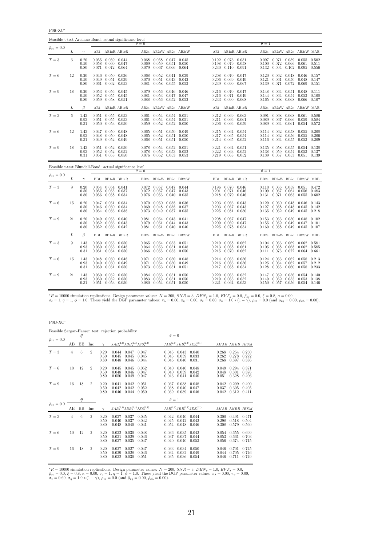P0ft-XC<sup>∗</sup>

| Feasible t-test Arellano-Bond: actual significance level |    |                      |                         |                                                                           |                 |                         |                                                           |                         |                         |                         |                                                                       |       |                         |                                                               |                         |                                             |                                         |
|----------------------------------------------------------|----|----------------------|-------------------------|---------------------------------------------------------------------------|-----------------|-------------------------|-----------------------------------------------------------|-------------------------|-------------------------|-------------------------|-----------------------------------------------------------------------|-------|-------------------------|---------------------------------------------------------------|-------------------------|---------------------------------------------|-----------------------------------------|
| $\bar{\rho}_{x\varepsilon}=0.0$                          |    |                      |                         |                                                                           |                 | $\theta = 0$            |                                                           |                         |                         |                         |                                                                       |       | $\theta = 1$            |                                                               |                         |                                             |                                         |
|                                                          | L  | $\gamma$             |                         |                                                                           | AB1 AB1aR AB1cR |                         |                                                           |                         | AB2a AB2aW AB2c AB2cW   |                         | AB1 AB1aR AB1cR                                                       |       |                         | AB2a AB2aW AB2c AB2cW MAB                                     |                         |                                             |                                         |
| $T=3$                                                    | 6  | 0.20<br>0.50<br>0.80 | 0.058<br>0.071          | 0.055 0.059 0.044<br>$0.060$ $0.047$<br>$0.072$ 0.064                     |                 | 0.069<br>0.079          | $0.068$ $0.058$ $0.047$ $0.045$<br>0.059<br>$0.067$ 0.066 | 0.051                   | 0.050<br>0.064          | 0.198                   | $0.192$ $0.073$ $0.051$<br>0.079<br>$0.230$ $0.110$ $0.091$           | 0.058 | 0.100<br>0.132          | $0.097$ 0.071<br>0.072<br>0.094                               | 0.066<br>0.102          | $0.059$ $0.055$ $0.502$<br>0.061<br>0.095   | 0.511<br>0.556                          |
| $T=6$                                                    | 12 | 0.20<br>0.50<br>0.80 | 0.049<br>0.061          | $0.046$ $0.050$ $0.036$<br>$0.051$ $0.039$<br>$0.062$ $0.053$             |                 | 0.068<br>0.070<br>0.081 | 0.052<br>0.051<br>0.058                                   | 0.041<br>0.043<br>0.055 | 0.039<br>0.042<br>0.053 | 0.208<br>0.206<br>0.239 | $0.070$ $0.047$<br>0.069 0.049<br>0.090                               | 0.067 | 0.121<br>0.139          | $0.120 \quad 0.062$<br>0.061<br>0.071                         | 0.048<br>0.050<br>0.072 | $0.046$ 0.157<br>0.048<br>0.069             | 0.147<br>0.151                          |
| $T=9$                                                    | 18 | 0.20<br>0.50<br>0.80 | 0.053<br>0.052<br>0.059 | 0.056 0.045<br>0.055<br>$0.058$ $0.051$                                   | 0.045           | 0.079<br>0.081<br>0.088 | 0.056 0.046 0.046<br>0.053<br>$0.056$ $0.052$ $0.052$     | 0.047                   | 0.047                   | 0.216                   | $0.216$ $0.070$ $0.047$<br>$0.071$ 0.049<br>$0.233$ $0.090$ $0.068$   |       | 0.144<br>0.165          | $0.148$ $0.064$ $0.051$ $0.048$ $0.111$<br>0.064<br>0.068     | 0.054<br>0.068          | $0.053$ $0.108$<br>$0.066$ $0.107$          |                                         |
|                                                          | L  | $\beta$              | AB1                     | AB1aR AB1cR                                                               |                 |                         |                                                           |                         | AB2a AB2aW AB2c AB2cW   |                         | AB1 AB1aR AB1cR                                                       |       |                         | AB2a AB2aW AB2c AB2cW MAB                                     |                         |                                             |                                         |
| $T=3$                                                    | 6  | 1.43<br>0.93<br>0.31 | 0.051<br>0.050          | $0.051$ $0.055$ $0.053$<br>0.055<br>0.053                                 | 0.053<br>0.050  | 0.061<br>0.059          | $0.061$ $0.054$ $0.054$ $0.051$<br>0.054<br>$0.052$ 0.052 | 0.054                   | 0.051<br>0.050          | 0.211<br>0.206          | $0.212$ $0.069$ $0.063$<br>$0.066$ $0.061$<br>0.066                   | 0.059 | 0.089<br>0.089          | $0.091$ 0.068<br>0.067<br>0.064                               | 0.068<br>0.066<br>0.061 | $0.061$ $0.586$<br>0.059<br>0.054 0.572     | 0.584                                   |
| $T=6$                                                    | 12 | 1.43<br>0.93<br>0.31 | 0.047<br>0.048          | $0.050 \quad 0.048$<br>0.050<br>$0.049$ $0.052$ $0.049$                   | 0.048           | 0.065<br>0.065<br>0.068 | $0.051$ $0.050$<br>0.052<br>$0.051$ $0.051$ $0.050$       | 0.051                   | 0.049<br>0.050          |                         | 0.215 0.064 0.054<br>$0.217$ 0.065<br>$0.214$ $0.065$ $0.052$         | 0.054 |                         | $0.114 \quad 0.062$<br>0.114 0.062<br>$0.116$ $0.064$ $0.055$ | 0.058<br>0.056          | $0.055$ $0.208$<br>0.055<br>$0.053$ $0.209$ | 0.206                                   |
| $T=9$                                                    | 18 | 1.43<br>0.93<br>0.31 | 0.051<br>0.052          | 0.052<br>0.052<br>$0.051$ $0.053$ $0.050$                                 | 0.050<br>0.052  | 0.078<br>0.078          | 0.054<br>0.053<br>$0.076$ $0.052$ $0.053$ $0.053$         | 0.052<br>0.053          | 0.051<br>0.052          | 0.222                   | $0.221$ $0.064$ $0.051$<br>$0.063$ $0.052$<br>$0.219$ $0.063$ $0.052$ |       | 0.135<br>0.138<br>0.139 | 0.058<br>0.059<br>$0.057$ 0.053                               | 0.055<br>0.054          | 0.054 0.138<br>0.053<br>$0.051$ $0.139$     | 0.137                                   |
| Feasible t-test Blundell-Bond: actual significance level |    |                      |                         |                                                                           |                 | $\theta = 0$            |                                                           |                         |                         |                         |                                                                       |       | $\theta = 1$            |                                                               |                         |                                             |                                         |
| $\bar{\rho}_{x\varepsilon}=0.0$                          | L  | $\gamma$             |                         | BB1 BB1aR BB1cR                                                           |                 |                         |                                                           |                         | BB2a BB2aW BB2c BB2cW   |                         | BB1 BB1aR BB1cR                                                       |       |                         | BB2a BB2aW BB2c BB2cW MBB                                     |                         |                                             |                                         |
| $T=3$                                                    | 9  | 0.20<br>0.50<br>0.80 | 0.055                   | $0.054$ $0.054$ $0.041$<br>0.055                                          | 0.037           |                         | $0.072$ $0.057$ $0.047$ $0.044$                           |                         |                         |                         | 0.196 0.070 0.046                                                     |       |                         |                                                               |                         |                                             | $0.110$ $0.066$ $0.058$ $0.051$ $0.472$ |
| $T=6$                                                    |    |                      | 0.056                   | 0.058                                                                     | 0.034           | 0.072<br>0.076          | 0.057<br>0.056 0.040                                      | 0.047                   | 0.043<br>0.035          | 0.201                   | 0.071 0.046<br>0.218 0.079                                            | 0.046 | 0.109<br>0.131 0.071    | 0.067                                                         | 0.064<br>0.063          | 0.056<br>0.055                              | 0.483<br>0.602                          |
|                                                          | 15 | 0.20<br>0.50<br>0.80 | 0.047<br>0.046<br>0.054 | $0.051$ $0.034$<br>$0.050$ $0.034$<br>0.056                               | 0.038           | 0.069<br>0.073          | $0.070 \quad 0.050$<br>0.048<br>0.049                     | 0.038<br>0.038<br>0.037 | 0.036<br>0.037<br>0.035 | 0.203<br>0.225          | $0.203$ $0.066$ $0.043$<br>0.067<br>$0.081$ $0.050$                   | 0.043 | 0.127<br>0.135          | $0.129$ $0.060$<br>0.058<br>0.062                             | 0.048<br>0.048<br>0.049 | $0.046$ 0.143<br>0.045<br>0.045             | 0.142<br>0.218                          |
| $T=9$                                                    | 21 | 0.20<br>0.50<br>0.80 | 0.049<br>0.052<br>0.052 | $0.053$ $0.040$<br>0.056<br>0.056 0.042                                   | 0.043           | 0.081<br>0.079          | $0.054$ 0.043<br>0.051<br>$0.081$ $0.051$ $0.040$ $0.040$ | 0.044                   | 0.041<br>0.043          | 0.208<br>0.209<br>0.225 | $0.067$ $0.047$<br>$0.069$ $0.047$<br>0.078 0.054                     |       | 0.153<br>0.155<br>0.160 | 0.063<br>0.059<br>0.058                                       | 0.050<br>0.049<br>0.049 | $0.048$ 0.102<br>0.047<br>$0.045$ 0.107     | 0.101                                   |
|                                                          | L  | $\beta$              | BB1                     | BB1aR BB1cR                                                               |                 |                         |                                                           |                         | BB2a BB2aW BB2c BB2cW   | BB1                     | BB1aR BB1cR                                                           |       |                         | BB2a BB2aW BB2c BB2cW MBB                                     |                         |                                             |                                         |
| $T=3$                                                    | 9  | 1.43<br>0.93<br>0.31 |                         | $0.050$ $0.053$ $0.050$<br>$0.050 \quad 0.053$<br>$0.051$ $0.054$ $0.050$ | 0.048           | 0.064<br>0.066          | $0.065$ $0.054$ $0.053$ $0.051$<br>0.053<br>0.055         | 0.051<br>0.053          | 0.048<br>0.050          |                         | $0.210$ $0.068$ $0.062$<br>$0.213$ 0.068<br>$0.215$ $0.070$ $0.062$   | 0.061 | 0.105                   | $0.104$ $0.066$ $0.069$<br>0.068<br>$0.111$ $0.073$           | 0.068<br>0.072          | $0.062$ $0.581$<br>0.062<br>$0.064$ $0.661$ | 0.585                                   |
| $T=6$                                                    | 15 | 1.43<br>0.93<br>0.31 | 0.048<br>0.049<br>0.050 | $0.050$ $0.048$<br>0.050<br>0.051                                         | 0.049<br>0.050  | 0.071<br>0.071<br>0.073 | 0.052<br>0.054<br>$0.053$ $0.051$                         | 0.050<br>0.050          | 0.048<br>0.049<br>0.051 | 0.216                   | $0.214$ $0.065$ $0.056$<br>0.066<br>0.217 0.068 0.054                 | 0.056 | 0.125<br>0.128          | $0.124$ $0.063$<br>0.064<br>0.065                             | 0.062<br>0.062<br>0.060 | $0.058$ $0.213$<br>0.057<br>0.058 0.233     | 0.212                                   |

 ${}^*R = 10000$  simulation replications. Design parameter values:  $N = 200$ ,  $SNR = 3$ ,  $DEN_y = 1.0$ ,  $EVF_x = 0.0$ ,  $\bar{\rho}_{x\bar{x}} = 0.0$ ,  $\xi = 0.8$ ,  $\kappa = 0.00$ ,<br> $\sigma_{\bar{x}} = 1$ ,  $q = 1$ ,  $\phi = 1.0$ . These yield the DGP parameter values:

P0fJ-XC<sup>∗</sup>

|                                 |    |           |                |                      | Feasible Sargan-Hansen test: rejection probability |                         |                         |                         |                                           |                         |                         |                         |
|---------------------------------|----|-----------|----------------|----------------------|----------------------------------------------------|-------------------------|-------------------------|-------------------------|-------------------------------------------|-------------------------|-------------------------|-------------------------|
|                                 |    | df        |                |                      |                                                    |                         | $\theta = 0$            |                         |                                           |                         |                         |                         |
| $\bar{\rho}_{x\varepsilon}=0.0$ | AВ | <b>BB</b> | Inc            | $\sim$               | $JAB_a^{(2,1)}JBB_a^{(2,1)}JES_a^{(2,1)}$          |                         |                         |                         | $JAB_c^{(2,1)}JBB_c^{(2,1)}JES_c^{(2,1)}$ |                         | JMAB JMBB JESM          |                         |
| $T=3$                           | 4  | 6         | $\overline{2}$ | 0.20<br>0.50<br>0.80 | 0.044<br>0.047<br>0.045<br>0.045<br>0.048<br>0.046 | 0.047<br>0.045<br>0.044 | 0.045<br>0.045<br>0.046 | 0.043<br>0.039<br>0.040 | 0.040<br>0.033<br>0.031                   | 0.268<br>0.262<br>0.268 | 0.254<br>0.278<br>0.397 | 0.250<br>0.272<br>0.386 |
| $T=6$                           | 10 | 12        | $\overline{2}$ | 0.20<br>0.50<br>0.80 | 0.045<br>0.045<br>0.048<br>0.046<br>0.050<br>0.049 | 0.052<br>0.047<br>0.047 | 0.040<br>0.040<br>0.043 | 0.040<br>0.039<br>0.041 | 0.048<br>0.042<br>0.040                   | 0.049<br>0.048<br>0.051 | 0.294<br>0.301<br>0.328 | 0.371<br>0.376<br>0.406 |
| $T=9$                           | 16 | 18        | $\overline{2}$ | 0.20<br>0.50<br>0.80 | 0.041<br>0.042<br>0.042<br>0.042<br>0.046<br>0.044 | 0.051<br>0.052<br>0.050 | 0.037<br>0.038<br>0.039 | 0.038<br>0.040<br>0.039 | 0.048<br>0.047<br>0.046                   | 0.042<br>0.037<br>0.042 | 0.299<br>0.305<br>0.312 | 0.400<br>0.405<br>0.411 |
|                                 |    | df        |                |                      |                                                    |                         | $\theta=1$              |                         |                                           |                         |                         |                         |
| $\bar{\rho}_{x\varepsilon}=0.0$ | AВ | <b>BB</b> | Inc            | $\gamma$             | $JAB_a^{(2,1)}JBB_a^{(2,1)}JES_a^{(2,1)}$          |                         |                         |                         | $JAB_c^{(2,1)}JBB_c^{(2,1)}JES_c^{(2,1)}$ |                         | JMAB JMBB JESM          |                         |
| $T=3$                           | 4  | 6         | $\overline{2}$ | 0.20<br>0.50<br>0.80 | 0.037<br>0.037<br>0.040<br>0.037<br>0.048<br>0.040 | 0.045<br>0.042<br>0.041 | 0.042<br>0.045<br>0.054 | 0.040<br>0.042<br>0.048 | 0.044<br>0.042<br>0.046                   | 0.300<br>0.298<br>0.308 | 0.491<br>0.518<br>0.579 | 0.471<br>0.504<br>0.560 |
| $T=6$                           | 10 | 12        | $\overline{2}$ | 0.20<br>0.50<br>0.80 | 0.032<br>0.030<br>0.031<br>0.029<br>0.037<br>0.035 | 0.048<br>0.046<br>0.047 | 0.036<br>0.037<br>0.040 | 0.035<br>0.037<br>0.040 | 0.042<br>0.044<br>0.053                   | 0.054<br>0.053<br>0.056 | 0.655<br>0.661<br>0.674 | 0.699<br>0.703<br>0.715 |
| $T=9$                           | 16 | 18        | $\overline{2}$ | 0.20<br>0.50<br>0.80 | 0.027<br>0.027<br>0.029<br>0.028<br>0.032<br>0.030 | 0.047<br>0.046<br>0.051 | 0.033<br>0.034<br>0.035 | 0.034<br>0.032<br>0.036 | 0.050<br>0.049<br>0.054                   | 0.046<br>0.044<br>0.046 | 0.701<br>0.705<br>0.711 | 0.745<br>0.746<br>0.749 |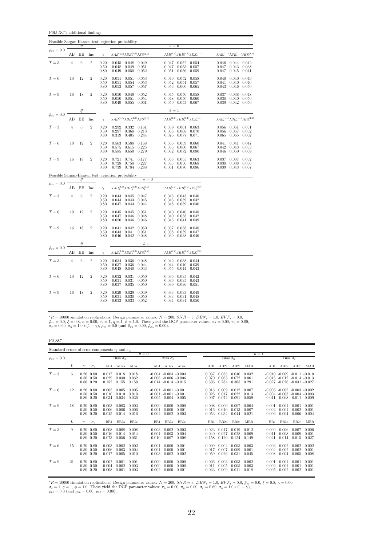P0fJ-XC<sup>∗</sup> : additional findings

|                                 |                |             |                |                                                     | Feasible Sargan-Hansen test: rejection probability                                  |                                                                                                                               |                                                                                |
|---------------------------------|----------------|-------------|----------------|-----------------------------------------------------|-------------------------------------------------------------------------------------|-------------------------------------------------------------------------------------------------------------------------------|--------------------------------------------------------------------------------|
| $\bar{\rho}_{x\epsilon}=0.0$    |                | df          |                |                                                     |                                                                                     | $\theta = 0$                                                                                                                  |                                                                                |
|                                 | AB             | BB          | Inc            | $\gamma$                                            | $JAB^{(1,0)}JBB^{(1,0)}_aJES^{(1,0)}$                                               | $JAB^{(1,1)}_aJBB^{(1,1)}_aJES^{(1,1)}_a$                                                                                     | $JAB_c^{(1,1)}JBB_c^{(1,1)}JES_c^{(1,1)}$                                      |
| $T=3$                           | $\overline{4}$ | 6           | $\overline{2}$ | 0.20<br>0.50<br>0.80                                | 0.045 0.048 0.049<br>0.051<br>0.048<br>0.049<br>0.050<br>0.052<br>0.049             | 0.047<br>$0.052$ 0.054<br>0.047<br>0.053<br>0.057<br>0.051<br>0.056<br>0.059                                                  | $0.046$ 0.044<br>0.042<br>0.047<br>0.043<br>0.038<br>0.047<br>0.045<br>0.041   |
| $T=6$                           | 10             | 12          | $\overline{2}$ | 0.20<br>0.50<br>0.80                                | 0.051<br>0.053<br>0.051<br>0.054<br>0.053<br>0.051<br>0.053<br>0.057<br>0.057       | 0.052<br>0.049<br>0.058<br>0.052<br>0.054<br>0.057<br>0.056<br>0.060<br>0.065                                                 | 0.040<br>0.040<br>0.049<br>0.041<br>0.040<br>0.046<br>0.043<br>0.046<br>0.050  |
| $T=9$                           | 16             | 18          | $\overline{2}$ | 0.20<br>0.50<br>0.80                                | 0.049<br>0.052<br>0.050<br>0.051<br>0.054<br>0.050<br>0.055<br>0.061<br>0.049       | 0.045<br>0.050<br>0.058<br>0.048<br>0.050<br>0.060<br>0.050<br>0.053 0.067                                                    | 0.038<br>0.048<br>0.037<br>0.040<br>0.038<br>0.050<br>$0.039$ $0.042$<br>0.056 |
|                                 |                | df          |                |                                                     |                                                                                     | $\theta = 1$                                                                                                                  |                                                                                |
| $\bar{\rho}_{x\varepsilon}=0.0$ | AB             | BB          | Inc            | $\gamma$                                            | $JAB^{\left( 1,0\right) }JBB_{a}^{\left( 1,0\right) }JES^{\left( 1,0\right) }$      | $JAB^{(1,1)}_aJBB^{(1,1)}_aJES^{(1,1)}_a$                                                                                     | $JAB_c^{(1,1)}JBB_c^{(1,1)}JES_c^{(1,1)}$                                      |
| $T=3$                           | $\overline{4}$ | 6           | $\overline{2}$ | 0.20<br>0.50<br>0.80                                | 0.292<br>0.332<br>0.161<br>0.297<br>0.368<br>0.213<br>0.319<br>0.405<br>0.244       | 0.059<br>0.061<br>0.063<br>0.063<br>0.068<br>0.070<br>0.076<br>0.077<br>0.071                                                 | $0.056$ $0.051$<br>0.051<br>0.056<br>0.057<br>0.052<br>0.065<br>0.065<br>0.062 |
| $T=6$                           | 10             | 12          | $\overline{2}$ | 0.20<br>0.50<br>0.80                                | 0.563<br>0.588<br>0.168<br>0.575<br>0.615<br>0.225<br>0.585<br>0.650<br>0.279       | 0.056<br>0.059<br>0.060<br>0.055<br>0.060<br>0.067<br>0.062<br>0.072<br>0.080                                                 | 0.041<br>0.041<br>0.047<br>0.042<br>0.043<br>0.053<br>0.046<br>0.050<br>0.069  |
| $T=9$                           | 16             | 18          | $\overline{2}$ | 0.20<br>0.50<br>0.80                                | 0.721<br>0.741<br>0.177<br>0.227<br>0.728<br>0.758<br>0.739<br>0.784 0.288          | 0.053<br>0.055<br>0.063<br>0.055<br>0.056<br>0.068<br>0.061<br>0.070<br>0.086                                                 | 0.037<br>0.037<br>0.052<br>0.038<br>0.038<br>0.056<br>0.039<br>0.043<br>0.067  |
|                                 |                |             |                |                                                     | Feasible Sargan-Hansen test: rejection probability                                  |                                                                                                                               |                                                                                |
| $\bar{\rho}_{x\varepsilon}=0.0$ | AВ             | df<br>BB    | Inc            | $\gamma$                                            | $\theta = 0$<br>$JAB_a^{(2,2)}JBB_a^{(2,2)}JES_a^{(2,2)}$                           | $JAB_c^{(2,2)}JBB_c^{(2,2)}JES_c^{(2,2)}$                                                                                     |                                                                                |
|                                 |                |             |                |                                                     |                                                                                     |                                                                                                                               |                                                                                |
| $T=3$                           | $\overline{4}$ | $\,6$       | $\,2$          | 0.20<br>0.50<br>0.80                                | $0.044$ $0.045$ $0.047$<br>0.045<br>0.044<br>0.044<br>0.047<br>0.044<br>0.044       | 0.045<br>$0.043$ $0.040$<br>$\overset{\scriptstyle\phantom{000}0.046}{\scriptstyle0.048}$<br>0.039<br>0.032<br>0.039<br>0.030 |                                                                                |
| $T=6$                           | 10             | 12          | $\overline{2}$ | 0.20<br>0.50<br>0.80                                | $\,0.045\,$<br>0.045<br>0.051<br>0.047<br>0.046<br>0.048<br>0.046<br>0.046<br>0.050 | 0.040<br>0.048<br>0.040<br>0.040<br>0.038<br>0.042<br>0.043<br>0.041<br>0.039                                                 |                                                                                |
| $T=9$                           | 16             | 18          | $\overline{2}$ | $\begin{array}{c} 0.20 \\ 0.50 \end{array}$<br>0.80 | 0.041<br>0.042<br>0.050<br>0.051<br>0.043<br>0.041<br>0.046 0.042 0.048             | $\begin{array}{c} 0.037 \\ 0.038 \end{array}$<br>0.038<br>0.048<br>0.039<br>0.047<br>0.039<br>0.038 0.046                     |                                                                                |
|                                 |                | df          |                |                                                     | $\theta=1$                                                                          |                                                                                                                               |                                                                                |
| $\bar{\rho}_{x\varepsilon}=0.0$ | AB             | BB          | Inc            | $\gamma$                                            | $JAB_a^{(2,2)}JBB_a^{(2,2)}JES_a^{(2,2)}$                                           | $JAB_c^{(2,2)}JBB_c^{(2,2)}JES_c^{(2,2)}$                                                                                     |                                                                                |
| $T=3$                           | $\overline{4}$ | $\,$ 6 $\,$ | $\overline{2}$ | 0.20<br>0.50<br>0.80                                | $0.034$ $0.036$ $0.048$<br>0.036<br>0.044<br>0.037<br>0.048<br>0.040<br>0.043       | 0.038 0.044<br>0.042<br>0.044<br>0.040<br>0.039<br>0.055<br>0.044<br>0.043                                                    |                                                                                |
| $T=6$                           | 10             | 12          | $\overline{2}$ | 0.20<br>0.50<br>0.80                                | 0.032<br>0.031<br>0.050<br>0.031<br>0.050<br>0.031<br>0.037<br>0.035<br>0.050       | 0.036<br>0.035<br>0.042<br>0.036<br>0.035<br>0.043<br>0.039<br>0.036<br>0.051                                                 |                                                                                |
| $T=9$                           | 16             | 18          | $\overline{2}$ | 0.20<br>0.50<br>0.80                                | 0.029<br>0.029<br>0.049<br>0.031<br>0.030<br>0.050<br>0.033<br>0.052<br>0.033       | 0.033<br>0.033<br>0.049<br>0.033<br>0.031<br>0.048<br>0.034<br>$0.034$ $0.050$                                                |                                                                                |

 $\rm P0\text{-}XC^*$ 

| Standard errors of error components $\eta_i$ and $\varepsilon_{it}$ |    |                                                        |            |                                   |                         |                         |                 |                                                      |                                                                                      |                         |                         |                         |                            |                 |                                                                                                                   |                                 |            |
|---------------------------------------------------------------------|----|--------------------------------------------------------|------------|-----------------------------------|-------------------------|-------------------------|-----------------|------------------------------------------------------|--------------------------------------------------------------------------------------|-------------------------|-------------------------|-------------------------|----------------------------|-----------------|-------------------------------------------------------------------------------------------------------------------|---------------------------------|------------|
|                                                                     |    |                                                        |            |                                   |                         |                         | $\theta = 0$    |                                                      |                                                                                      |                         |                         |                         |                            | $\theta = 1$    |                                                                                                                   |                                 |            |
| $\bar{\rho}_{x\varepsilon} = 0.0$                                   |    |                                                        |            |                                   | Bias $\tilde{\sigma}_n$ |                         |                 | Bias $\hat{\sigma}_s$                                |                                                                                      |                         | Bias $\hat{\sigma}_n$   |                         |                            |                 |                                                                                                                   | Bias $\hat{\sigma}_\varepsilon$ |            |
|                                                                     | L  |                                                        | $\sigma_n$ | AB1                               | AB2a                    | AB2c                    | AB1             | AB2a                                                 | AB2c                                                                                 | AB1                     | AB2a                    | AB2c                    | MAB                        | AB1             | AB2a                                                                                                              | AB2c                            | MAB        |
| $T=3$                                                               | 6  | $0.20\ 0.80$<br>$0.50 \quad 0.50$<br>$0.80 \quad 0.20$ |            | 0.017<br>0.029<br>0.152           | 0.018<br>0.030<br>0.155 | 0.018<br>0.032<br>0.159 |                 |                                                      | $-0.004$ $-0.004$ $-0.004$<br>$-0.006 - 0.006 - 0.006$<br>$-0.014$ $-0.013$ $-0.015$ | 0.037<br>0.070<br>0.306 | 0.035<br>0.063<br>0.284 | 0.040<br>0.072<br>0.305 | 0.032<br>0.061<br>0.291    |                 | $-0.010$ $-0.009$ $-0.011$ $-0.010$<br>$-0.013$ $-0.012$ $-0.014$ $-0.013$<br>$-0.027$ $-0.026$ $-0.031$ $-0.027$ |                                 |            |
| $T=6$                                                               | 12 | $0.20\ 0.80$<br>$0.50 \quad 0.50$<br>$0.80\ 0.20$      |            | 0.005<br>0.010<br>0.034           | 0.005<br>0.010<br>0.034 | 0.005<br>0.010<br>0.036 |                 | $-0.001$ $-0.001$ $-0.001$                           | $-0.001$ $-0.001$ $-0.001$<br>$-0.005$ $-0.004$ $-0.005$                             | 0.013<br>0.025<br>0.097 | 0.009<br>0.017<br>0.074 | 0.012<br>0.022<br>0.091 | 0.007<br>0.013<br>0.059    |                 | $-0.003$ $-0.002$ $-0.003$ $-0.002$<br>$-0.004$ $-0.003$ $-0.004$ $-0.003$<br>$-0.011 - 0.008 - 0.011 - 0.009$    |                                 |            |
| $T=9$                                                               | 18 | $0.20\ 0.80$<br>$0.50 \quad 0.50$<br>$0.80\ 0.20$      |            | 0.003<br>0.006<br>0.015           | 0.003<br>0.006<br>0.014 | 0.003<br>0.006<br>0.016 |                 |                                                      | $-0.000 - 0.000 - 0.000$<br>$-0.001 - 0.000 - 0.001$<br>$-0.002 - 0.002 - 0.003$     | 0.008<br>0.016<br>0.053 | 0.006<br>0.010<br>0.034 | 0.007<br>0.013<br>0.044 | 0.004<br>0.007<br>0.021    |                 | $-0.001 - 0.001 - 0.001 - 0.001$<br>$-0.002$ $-0.001$ $-0.002$ $-0.001$<br>$-0.006$ $-0.004$ $-0.006$ $-0.004$    |                                 |            |
|                                                                     | L  |                                                        | $\sigma_n$ | B <sub>B1</sub>                   | BB <sub>2a</sub>        | BB2c                    | B <sub>B1</sub> | BB <sub>2a</sub>                                     | BB2c                                                                                 | B <sub>B1</sub>         | BB <sub>2a</sub>        | BB <sub>2c</sub>        | <b>MBB</b>                 | B <sub>B1</sub> | BB <sub>2a</sub>                                                                                                  | BB <sub>2c</sub>                | <b>MBB</b> |
| $T=3$                                                               | 9  | $0.20\ 0.80$<br>$0.50 \quad 0.50$<br>$0.80 \quad 0.20$ |            | 0.008<br>0.016<br>0.073           | 0.008<br>0.014<br>0.056 | 0.008<br>0.014<br>0.061 |                 |                                                      | $-0.003 - 0.002 - 0.003$<br>$-0.004$ $-0.003$ $-0.004$<br>$-0.010$ $-0.007$ $-0.008$ | 0.023<br>0.040<br>0.158 | 0.017<br>0.027<br>0.120 | 0.019<br>0.028<br>0.124 | 0.012<br>0.009<br>0.149    |                 | $-0.009 - 0.006 - 0.007 - 0.006$<br>$-0.011 - 0.008 - 0.009 - 0.001$<br>$-0.021$ $-0.014$ $-0.015$ $0.027$        |                                 |            |
| $T=6$                                                               | 15 | $0.20\ 0.80$<br>$0.50 \quad 0.50$<br>$0.80\ 0.20$      |            | 0.003<br>0.006<br>0.017           | 0.002<br>0.003<br>0.005 | 0.002<br>0.004<br>0.010 |                 | $-0.001 - 0.000 - 0.001$<br>$-0.001 - 0.000 - 0.001$ | $-0.003$ $-0.002$ $-0.002$                                                           | 0.009<br>0.017<br>0.059 | 0.004<br>0.007<br>0.026 | 0.005<br>0.009<br>0.031 | 0.003<br>0.001<br>$-0.045$ |                 | $-0.003$ $-0.002$ $-0.002$ $-0.002$<br>$-0.004$ $-0.002$ $-0.002$ $-0.001$<br>$-0.008$ $-0.004$ $-0.005$ 0.008    |                                 |            |
| $T=9$                                                               | 21 | $0.20\ 0.80$<br>$0.50 \quad 0.50$<br>$0.80 \quad 0.20$ |            | 0.002<br>0.004<br>$0.008 - 0.001$ | 0.001<br>0.002          | 0.001<br>0.003<br>0.003 |                 | $-0.002 - 0.000 - 0.001$                             | $-0.000 - 0.000 - 0.000$<br>$-0.000 - 0.000 - 0.000$                                 | 0.006<br>0.011<br>0.033 | 0.003<br>0.005<br>0.009 | 0.003<br>0.005<br>0.011 | 0.002<br>0.003<br>$-0.018$ |                 | $-0.001$ $-0.001$ $-0.001$ $-0.001$<br>$-0.002$ $-0.001$ $-0.001$ $-0.001$<br>$-0.005$ $-0.002$ $-0.002$          |                                 | 0.001      |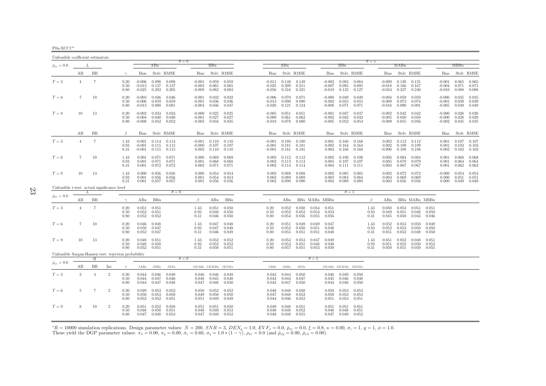<span id="page-22-0"></span>

| Unfeasible coefficient estimators                    |                |                |                |                      |                                  |                         |                                             |                                  |                                 |                         |                                  |                         |                         |                         |                                  |                                 |                         |                      |                                  |                         |                         |                         |                                  |                         |                         |
|------------------------------------------------------|----------------|----------------|----------------|----------------------|----------------------------------|-------------------------|---------------------------------------------|----------------------------------|---------------------------------|-------------------------|----------------------------------|-------------------------|-------------------------|-------------------------|----------------------------------|---------------------------------|-------------------------|----------------------|----------------------------------|-------------------------|-------------------------|-------------------------|----------------------------------|-------------------------|-------------------------|
| $\bar{\rho}_{x\epsilon}=0.0$                         |                | L              |                |                      |                                  | ABu                     |                                             | $\theta = 0$                     | BBu                             |                         |                                  | ABu                     |                         |                         |                                  | BBu                             |                         | $\theta = 1$         |                                  | MABu                    |                         |                         |                                  | MBBu                    |                         |
|                                                      | AВ             | BB             |                | $\gamma$             | <b>Bias</b>                      |                         | Stdy RMSE                                   | Bias                             |                                 | Stdy RMSE               | Bias                             |                         | Stdy RMSE               |                         | Bias                             |                                 | Stdy RMSE               |                      | Bias                             |                         | Stdy RMSE               |                         | Bias                             |                         | Stdy RMSE               |
| $T=3$                                                | $\overline{4}$ | $\tau$         |                | 0.20<br>0.50<br>0.80 | $-0.006$<br>$-0.012$<br>$-0.025$ | 0.098<br>0.137<br>0.203 | 0.098<br>0.137<br>0.205                     | $-0.001$<br>$-0.003$<br>$-0.009$ | 0.059<br>0.065<br>0.082         | 0.059<br>0.065<br>0.083 | $-0.011$<br>$-0.025$<br>$-0.056$ | 0.148<br>0.209<br>0.316 | 0.149<br>0.211<br>0.321 |                         | $-0.002$<br>$-0.007$<br>$-0.019$ | 0.083<br>0.095<br>0.125         | 0.084<br>0.095<br>0.127 |                      | $-0.009$<br>$-0.018$<br>$-0.034$ | 0.120<br>0.166<br>0.237 | 0.121<br>0.167<br>0.240 |                         | $-0.001$<br>$-0.004$<br>$-0.010$ | 0.065<br>0.071<br>0.088 | 0.065<br>0.071<br>0.088 |
| $T=6$                                                | 7              | 10             |                | 0.20<br>0.50<br>0.80 | $-0.003$<br>$-0.006$<br>$-0.013$ | 0.046<br>0.059<br>0.080 | 0.046<br>0.059<br>0.081                     | $-0.001$<br>$-0.001$<br>$-0.004$ | 0.032<br>0.036<br>0.046         | 0.032<br>0.036<br>0.047 | $-0.006$<br>$-0.013$<br>$-0.028$ | 0.070<br>0.090<br>0.121 | 0.071<br>0.090<br>0.124 |                         | $-0.000$<br>$-0.002$<br>$-0.008$ | 0.049<br>0.055<br>0.071         | 0.049<br>0.055<br>0.071 |                      | $-0.004$<br>$-0.009$<br>$-0.016$ | 0.059<br>0.073<br>0.090 | 0.059<br>0.074<br>0.091 |                         | $-0.000$<br>$-0.001$<br>$-0.005$ | 0.035<br>0.039<br>0.049 | 0.035<br>0.039<br>0.049 |
| $T=9$                                                | 10             | 13             |                | 0.20<br>0.50<br>0.80 | $-0.002$<br>$-0.004$<br>$-0.008$ | 0.033<br>0.040<br>0.052 | 0.033<br>0.040<br>0.052                     | $-0.000$<br>$-0.001$<br>$-0.003$ | 0.025<br>0.027<br>0.034         | 0.025<br>0.027<br>0.035 | $-0.005$<br>$-0.009$<br>$-0.018$ | 0.051<br>0.061<br>0.078 | 0.051<br>0.062<br>0.080 |                         | $-0.001$<br>$-0.002$<br>$-0.005$ | 0.037<br>0.042<br>0.052         | 0.037<br>0.042<br>0.053 |                      | $-0.002$<br>$-0.005$<br>$-0.009$ | 0.042<br>0.050<br>0.055 | 0.042<br>0.050<br>0.056 |                         | $-0.000$<br>$-0.000$<br>$-0.002$ | 0.026<br>0.028<br>0.035 | 0.026<br>0.028<br>0.035 |
|                                                      | AВ             | BB             |                | $\beta$              | Bias                             |                         | Stdy RMSE                                   | Bias                             |                                 | Stdy RMSE               | Bias                             |                         | Stdy RMSE               |                         | Bias                             |                                 | Stdy RMSE               |                      | Bias                             |                         | Stdy RMSE               |                         | Bias                             |                         | Stdy RMSE               |
| $T=3$                                                | $\overline{4}$ | $\tau$         |                | 1.43<br>0.93<br>0.31 | $-0.001$<br>$-0.001$<br>$-0.001$ | 0.115                   | $0.114$ $0.114$<br>0.115<br>$0.115$ $0.115$ | $-0.001$<br>$-0.000$<br>0.002    | 0.110<br>0.107<br>0.110         | 0.110<br>0.107<br>0.110 | $-0.001$<br>$-0.001$<br>$-0.001$ | 0.180<br>0.181<br>0.181 | 0.180<br>0.181<br>0.181 |                         | 0.001<br>0.002<br>0.004          | 0.168<br>0.164<br>0.168         | 0.168<br>0.164<br>0.168 |                      | 0.002<br>0.002<br>-0.000         | 0.112<br>0.109<br>0.108 | 0.112<br>0.109<br>0.108 |                         | 0.001<br>0.001<br>0.002          | 0.107<br>0.103<br>0.103 | 0.107<br>0.103<br>0.103 |
| $T=6$                                                | 7              | 10             |                | 1.43<br>0.93<br>0.31 | 0.001<br>0.001<br>0.001          | 0.071<br>0.071<br>0.072 | 0.071<br>0.071<br>0.072                     | 0.000<br>0.001<br>0.002          | 0.069<br>0.068<br>0.071         | 0.069<br>0.068<br>0.071 | 0.002<br>0.003<br>0.002          | 0.112<br>0.113<br>0.114 | 0.112<br>0.113<br>0.114 |                         | 0.002<br>0.003<br>0.004          | 0.108<br>0.107<br>0.111         | 0.108<br>0.107<br>0.111 |                      | 0.003<br>0.005<br>0.003          | 0.084<br>0.079<br>0.067 | 0.084<br>0.079<br>0.067 |                         | 0.001<br>0.001<br>0.001          | 0.068<br>0.064<br>0.062 | 0.068<br>0.064<br>0.062 |
| $T=9$                                                | 10             | 13             |                | 1.43<br>0.93<br>0.31 | 0.000<br>0.001<br>0.001          | 0.056<br>0.056<br>0.057 | 0.056<br>0.056<br>0.057                     | 0.000<br>0.001<br>0.001          | 0.054<br>0.054<br>0.056         | 0.054<br>0.054<br>0.056 | 0.002<br>0.003<br>0.003          | 0.088<br>0.089<br>0.090 | 0.088<br>0.089<br>0.090 |                         | 0.002<br>0.003<br>0.004          | 0.085<br>0.084<br>0.089         | 0.085<br>0.084<br>0.089 |                      | 0.002<br>0.004<br>0.003          | 0.072<br>0.069<br>0.056 | 0.072<br>0.069<br>0.056 |                         | $-0.000$<br>0.000<br>0.000       | 0.054<br>0.051<br>0.049 | 0.054<br>0.051<br>0.049 |
| Unfeasible t-test: actual significance level         |                |                |                |                      |                                  |                         | $\theta = 0$                                |                                  |                                 |                         |                                  |                         |                         |                         |                                  | $\theta = 1$                    |                         |                      |                                  |                         |                         |                         |                                  |                         |                         |
| $\bar{\rho}_{x\varepsilon}=0.0$                      | AВ             | BB             |                | $\gamma$             | ABu                              | BBu                     |                                             | B                                | ABu                             | BBu                     | $\gamma$                         | ABu                     |                         | BBu MABu MBBu           |                                  |                                 |                         | B                    | ABu                              |                         | BBu MABu MBBu           |                         |                                  |                         |                         |
| $T=3$                                                | $\overline{4}$ | 7              |                | 0.20<br>0.50<br>0.80 | 0.051<br>0.052<br>0.052          | 0.051<br>0.051<br>0.052 |                                             | 1.43<br>0.93<br>0.31             | 0.051<br>0.048<br>0.046         | 0.050<br>0.050<br>0.050 | 0.20<br>0.50<br>0.80             | 0.052<br>0.052<br>0.054 | 0.050<br>0.052<br>0.056 | 0.054<br>0.054<br>0.055 | 0.051<br>0.052<br>0.056          |                                 |                         | 1.43<br>0.93<br>0.31 | 0.050<br>0.049<br>0.045          | 0.053<br>0.051<br>0.050 | 0.051<br>0.048<br>0.043 | 0.051<br>0.050<br>0.046 |                                  |                         |                         |
| $T=6$                                                | 7              | 10             |                | 0.20<br>0.50<br>0.80 | 0.046<br>0.050<br>0.052          | 0.048<br>0.047<br>0.047 |                                             | 1.43<br>0.93<br>0.31             | 0.047<br>0.047<br>0.046         | 0.048<br>0.048<br>0.049 | 0.20<br>0.50<br>0.80             | 0.051<br>0.052<br>0.055 | 0.049<br>0.050<br>0.051 | 0.049<br>0.051<br>0.051 | 0.047<br>0.048<br>0.048          |                                 |                         | 1.43<br>0.93<br>0.31 | 0.052<br>0.052<br>0.051          | 0.053<br>0.053<br>0.052 | 0.050<br>0.050<br>0.048 | 0.049<br>0.050<br>0.050 |                                  |                         |                         |
| $T=9$                                                | 10             | 13             |                | 0.20<br>0.50<br>0.80 | 0.048<br>0.048<br>0.052          | 0.051<br>0.050<br>0.051 |                                             | 1.43<br>0.93<br>0.31             | 0.052<br>0.052<br>0.050         | 0.052<br>0.052<br>0.051 | 0.20<br>0.50<br>0.80             | 0.053<br>0.053<br>0.057 | 0.053<br>0.051<br>0.051 | 0.047<br>0.048<br>0.053 | 0.049<br>0.048<br>0.050          |                                 |                         | 1.43<br>0.93<br>0.31 | 0.051<br>0.051<br>0.050          | 0.052<br>0.052<br>0.051 | 0.048<br>0.050<br>0.050 | 0.051<br>0.053<br>0.055 |                                  |                         |                         |
| Unfeasible Sargan-Hansen test: rejection probability |                | d              |                |                      |                                  |                         |                                             | $\theta = 0$                     |                                 |                         |                                  |                         |                         | $\theta = 1$            |                                  |                                 |                         |                      |                                  |                         |                         |                         |                                  |                         |                         |
| $\bar{\rho}_{x\varepsilon}=0.0$                      | AВ             | BB             | Inc            |                      | JABu                             | JBBu                    | JESu                                        |                                  | JMABu JMMBu JESMu               |                         | JABu                             | JBBu                    | JESu                    |                         | JMABu JMMBu JESMu                |                                 |                         |                      |                                  |                         |                         |                         |                                  |                         |                         |
| $T=3$                                                | $\overline{2}$ | $\overline{4}$ | $\overline{2}$ | 0.20<br>0.50<br>0.80 | 0.044<br>0.044<br>0.044          | 0.046<br>0.047<br>0.047 | 0.049<br>0.046<br>0.048                     | 0.046<br>0.048<br>0.047          | 0.046<br>0.045<br>0.048         | 0.049<br>0.048<br>0.050 | 0.043<br>0.044<br>0.042          | 0.044<br>0.044<br>0.047 | 0.050<br>0.047<br>0.050 |                         | 0.045<br>0.044                   | $0.046$ 0.049<br>0.046<br>0.048 | 0.050<br>0.048<br>0.050 |                      |                                  |                         |                         |                         |                                  |                         |                         |
| $T=6$                                                | -5             | 7              | $\overline{2}$ | 0.20<br>0.50<br>0.80 | 0.049<br>0.050<br>0.052          | 0.053<br>0.053<br>0.052 | 0.052<br>0.050<br>0.051                     | 0.050<br>0.049<br>0.051          | 0.052<br>0.050<br>0.049         | 0.052<br>0.050<br>0.049 | 0.048<br>0.047<br>0.044          | 0.048<br>0.048<br>0.046 | 0.048<br>0.052<br>0.052 |                         | 0.050<br>0.050<br>0.051          | 0.053<br>0.053<br>0.053         | 0.053<br>0.053<br>0.051 |                      |                                  |                         |                         |                         |                                  |                         |                         |
| $T=9$                                                | $\mathbf{R}$   | 10             | $\overline{2}$ | 0.20<br>0.50<br>0.80 | 0.051<br>0.048<br>0.047          | 0.052<br>0.050<br>0.048 | 0.050<br>0.051<br>0.053                     | 0.051<br>0.048                   | 0.051<br>0.049<br>$0.047$ 0.049 | 0.050<br>0.053<br>0.052 | 0.049<br>0.048<br>0.048          | 0.048<br>0.048<br>0.048 | 0.051<br>0.052<br>0.055 |                         | 0.051<br>0.048                   | 0.051<br>0.048<br>$0.047$ 0.049 | 0.051<br>0.051<br>0.052 |                      |                                  |                         |                         |                         |                                  |                         |                         |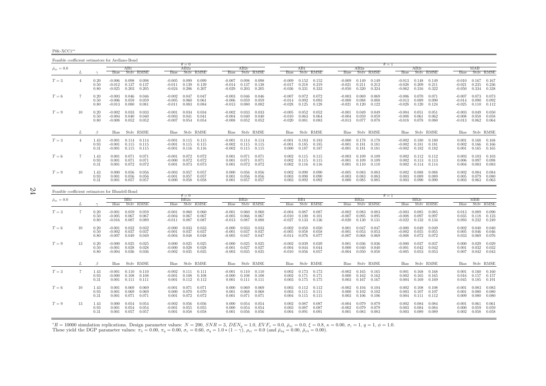P0fc-XCC1<sup>x∗</sup>

Feasible coefficient estimators for Arellano-Bond $\theta = 0$  $AB2a$  $\theta = 1$ <br>a  $\theta = 1$  $\bar{\rho}_{x\varepsilon}=0.0$  $_{\varepsilon}$  = 0.0  $_{\varepsilon}$   $_{\varepsilon}$   $_{\varepsilon}$   $_{\varepsilon}$   $_{\varepsilon}$   $_{\varepsilon}$   $_{\varepsilon}$   $_{\varepsilon}$   $_{\varepsilon}$   $_{\varepsilon}$   $_{\varepsilon}$   $_{\varepsilon}$   $_{\varepsilon}$   $_{\varepsilon}$   $_{\varepsilon}$   $_{\varepsilon}$   $_{\varepsilon}$   $_{\varepsilon}$   $_{\varepsilon}$   $_{\varepsilon}$   $_{\varepsilon}$   $_{\varepsilon}$   $_{\varepsilon}$ L  $\gamma$  Bias Stdv RMSE Bias Stdv RMSE Bias Stdv RMSE Bias Stdv RMSE Bias Stdv RMSE Bias Stdv RMSE Bias Stdv RMSE $T=3$  $T=3$   $4$   $0.20$   $-0.006$   $0.098$   $0.098$   $-0.005$   $0.099$   $0.099$   $-0.007$   $0.098$   $0.098$   $-0.009$   $0.152$   $0.152$   $-0.009$   $0.149$   $0.149$   $-0.013$   $0.148$   $0.149$   $-0.010$   $0.167$   $0.167$   $0.167$   $0.167$   $0.167$   $0.16$ 0.50 -0.012 0.137 0.137 -0.011 0.139 0.139 -0.014 0.137 0.138 -0.017 0.218 0.219 -0.021 0.211 0.212 -0.028 0.209 0.211 -0.021 0.235 0.236T

|       |    | 0.80                 | $-0.025$ $0.203$ $0.205$                                         |                |                         |                                |                                    | $-0.024$ $0.206$ $0.207$                                                         |                                |                                   | $-0.029$ $0.203$ $0.205$                                                         |                                                            | $-0.036$ $0.331$ $0.333$                                                      |                         | $-0.050$ $0.320$                 |                                             | 0.324                                      |                                | $-0.062$ $0.316$ $0.322$                      |                                                    |                                  | $-0.050$ $0.334$ $0.338$ |                                               |
|-------|----|----------------------|------------------------------------------------------------------|----------------|-------------------------|--------------------------------|------------------------------------|----------------------------------------------------------------------------------|--------------------------------|-----------------------------------|----------------------------------------------------------------------------------|------------------------------------------------------------|-------------------------------------------------------------------------------|-------------------------|----------------------------------|---------------------------------------------|--------------------------------------------|--------------------------------|-----------------------------------------------|----------------------------------------------------|----------------------------------|--------------------------|-----------------------------------------------|
| $T=6$ |    | 0.20<br>0.50<br>0.80 | $-0.003$ 0.046<br>$-0.006$ 0.059<br>$-0.013$ 0.080               |                | 0.046<br>0.059<br>0.081 | -0.002<br>$-0.011$             | 0.047<br>$-0.005$ 0.060<br>0.083   | 0.047<br>0.061<br>0.084                                                          | -0.003<br>-0.013               | $-0.006$ 0.059<br>0.080           | $0.046$ 0.046<br>0.059<br>0.082                                                  | $-0.007$ 0.072<br>$-0.014$ 0.092<br>$-0.028$ 0.125         |                                                                               | 0.072<br>0.093<br>0.128 | -0.003                           | 0.069<br>$-0.008$ 0.088<br>$-0.021$ $0.120$ | 0.069<br>0.088<br>0.122                    | $-0.013$<br>$-0.028$           | $-0.006$ $0.070$ $0.071$<br>0.089<br>0.120    | 0.090<br>0.124                                     | $-0.007$<br>$-0.014$<br>$-0.025$ | 0.110                    | $0.073$ 0.073<br>$0.090 \quad 0.092$<br>0.112 |
| $T=9$ | 10 | 0.20<br>0.50<br>0.80 | -0.002<br>$-0.004$<br>$-0.008$ 0.052                             | 0.033<br>0.040 | 0.033<br>0.040<br>0.052 | $-0.001$<br>-0.003<br>$-0.007$ | 0.034<br>0.041<br>0.054            | 0.034<br>0.041<br>0.054                                                          | $-0.002$<br>-0.004<br>$-0.008$ | 0.033<br>0.040                    | 0.033<br>0.040<br>$0.052$ 0.052                                                  | $-0.005$ 0.052<br>$-0.010 \quad 0.063$<br>$-0.020$ $0.081$ |                                                                               | 0.052<br>0.064<br>0.083 | $-0.001$ 0.049                   | $-0.004$ 0.059<br>$-0.013$ 0.077            | 0.049<br>0.059<br>0.078                    | -0.004<br>$-0.008$<br>$-0.018$ | 0.051<br>0.061<br>0.078                       | 0.051<br>0.062<br>0.080                            | $-0.003$<br>$-0.008$<br>$-0.013$ | 0.049<br>0.058<br>0.062  | 0.050<br>0.058<br>0.064                       |
|       |    | $\beta$              |                                                                  |                | Bias Stdy RMSE          |                                |                                    | Bias Stdy RMSE                                                                   |                                |                                   | Bias Stdy RMSE                                                                   |                                                            | Bias Stdy RMSE                                                                |                         |                                  |                                             | Bias Stdy RMSE                             |                                |                                               | Bias Stdy RMSE                                     | Bias                             |                          | Stdy RMSE                                     |
| $T=3$ |    | 1.43<br>0.93<br>0.31 | $-0.001$ $0.114$ $0.114$<br>$-0.001$<br>$-0.001$ $0.115$ $0.115$ | 0.115          | 0.115                   |                                |                                    | $-0.001$ $0.115$ $0.115$<br>$-0.001$ $0.115$ $0.115$<br>$-0.001$ $0.116$ $0.116$ |                                |                                   | $-0.001$ $0.114$ $0.114$<br>$-0.002$ $0.115$ $0.115$<br>$-0.002$ $0.115$ $0.115$ | $-0.001$ $0.183$ $0.183$<br>$-0.001$ 0.185                 | $0.000 \quad 0.187$                                                           | 0.185<br>0.187          | $-0.001$ $0.181$                 | $-0.001$ $0.181$                            | $-0.000$ $0.178$ $0.178$<br>0.181<br>0.181 |                                | $-0.002$ $0.181$<br>$-0.002$ $0.182$          | $-0.002$ $0.180$ $0.180$<br>0.181<br>0.182         | 0.001<br>0.002<br>0.001          | 0.166<br>0.165           | $0.168$ 0.168<br>0.166<br>0.165               |
| $T=6$ |    | 1.43<br>0.93<br>0.31 | $0.001$ $0.071$<br>0.001<br>0.001                                | 0.071<br>0.072 | 0.071<br>0.071<br>0.072 | $-0.001$<br>0.001              | 0.072<br>$-0.000$ $0.072$<br>0.073 | 0.072<br>0.072<br>0.073                                                          | 0.001<br>0.001                 | $0.001$ $0.071$<br>0.071          | 0.071<br>0.071<br>$0.072$ 0.072                                                  |                                                            | $0.002$ $0.115$ $0.115$<br>$0.002$ $0.115$ $0.115$<br>$0.002$ $0.116$ $0.116$ |                         | $-0.003$ 0.109<br>$-0.001$ 0.109 | $0.001$ $0.110$                             | 0.109<br>0.109<br>0.110                    |                                | $0.002$ $0.114$ $0.114$                       | $0.002$ $0.112$ $0.112$<br>$0.002$ $0.113$ $0.113$ | 0.003<br>0.006<br>0.004          | 0.103<br>0.097<br>0.083  | 0.103<br>0.098<br>0.083                       |
| $T=9$ | 10 | 1.43<br>0.93<br>0.31 | 0.000<br>0.001<br>$0.001$ $0.057$                                | 0.056<br>0.056 | 0.056<br>0.056<br>0.057 | $-0.003$<br>$-0.001$<br>0.000  | 0.057<br>0.057<br>0.058            | 0.057<br>0.057<br>0.058                                                          | 0.000<br>0.001                 | 0.056<br>0.056<br>$0.001$ $0.057$ | 0.056<br>0.056<br>0.057                                                          | 0.002<br>0.003                                             | 0.090<br>0.090<br>$0.003$ 0.092                                               | 0.090<br>0.090<br>0.092 | $-0.005$<br>-0.003<br>0.000      | 0.083<br>0.083<br>0.085                     | 0.083<br>0.083<br>0.085                    | 0.003                          | $0.002 \quad 0.088$<br>0.089<br>$0.003$ 0.090 | 0.088<br>0.089<br>0.090                            | 0.002<br>0.005<br>0.003          | 0.084<br>0.079<br>0.063  | 0.084<br>0.080<br>0.063                       |

 $-0.010$   $0.167$   $0.167$ 

Feasible coefficient estimators for Blundell-Bond $\theta = 0$  $-$  RR2a θ  $\theta = 1$ <br>a BR<sup>2</sup>e BR<sup>2</sup>e BR<sup>2</sup>e  $\bar{\rho}_{x\varepsilon}=0.0$  <sup>=</sup> <sup>0</sup>.<sup>0</sup> BB1 BB2a BB2c BB1 BB2a BB2c MBB $L \qquad \gamma$  $\gamma$  Bias Stdv RMSE Bias Stdv RMSE Bias Stdv RMSE Bias Stdv RMSE Bias Stdv RMSE Bias Stdv RMSE Bias Stdv RMSE 0.090  $T=3$  $T=3$   $T=3$   $T=0.001$   $0.059$   $0.059$   $-0.001$   $0.060$   $0.060$   $-0.001$   $0.060$   $0.060$   $-0.004$   $0.060$   $-0.004$   $0.087$   $-0.004$   $0.087$   $-0.003$   $0.083$   $-0.003$   $0.085$   $0.085$   $0.085$   $0.013$   $0.089$   $0.090$   $0.097$  0.50 -0.005 0.067 0.067 -0.004 0.067 0.067 -0.005 0.066 0.067 -0.010 0.100 0.101 -0.007 0.095 0.095 -0.008 0.097 0.097 0.035 0.118 0.123 $0.232 \quad 0.249$ 0.80 -0.016 0.087 0.089 -0.011 0.087 0.087 -0.013 0.087 0.088 -0.027 0.133 0.136 -0.020 0.130 0.131 -0.022 0.132 0.134 0.093 0.232 0.249 $T=6$  $T=6$   $10$   $0.20$   $-0.001$   $0.032$   $0.032$   $-0.000$   $0.033$   $0.033$   $-0.000$   $0.033$   $0.033$   $-0.002$   $0.050$   $0.050$   $0.047$   $0.047$   $-0.000$   $0.049$   $0.049$   $0.049$   $0.049$   $0.042$   $0.040$   $0.040$   $0.040$   $0.040$   $0.040$ 0.50 -0.002 0.037 0.037 -0.001 0.037 0.037 -0.001 0.037 0.037 -0.005 0.058 0.058 -0.001 0.053 0.053 -0.002 0.055 0.055 0.005 0.046 0.046 $0.076$  $0.80$   $-0.007$   $0.049$   $-0.004$   $0.048$   $0.048$   $-0.005$   $0.047$   $0.047$   $-0.014$   $0.076$   $0.077$   $-0.007$   $0.068$   $0.069$   $-0.008$   $0.072$   $0.072$   $0.072$   $0.033$   $0.069$   $0.076$  $0.000 - 0.029 - 0.029$  $T=9$  $T=9$   $13$   $0.20$   $-0.000$   $0.025$   $0.025$   $0.000$   $0.025$   $0.025$   $-0.000$   $0.025$   $0.025$   $-0.002$   $0.025$   $0.025$   $-0.002$   $0.025$   $-0.002$   $0.025$   $-0.002$   $0.039$   $0.039$   $0.039$   $0.030$   $0.036$   $-0.000$   $0.037$   $0.0$ 0.50 -0.001 0.028 0.028 -0.000 0.028 0.028 -0.001 0.027 0.027 -0.004 0.044 0.044 0.000 0.040 0.040 -0.001 0.042 0.042 0.001 0.032 0.0320.043  $0.80$   $-0.004$   $0.036$   $-0.002$   $0.035$   $0.035$   $-0.003$   $0.035$   $0.035$   $-0.010$   $0.056$   $0.057$   $-0.004$   $0.050$   $0.050$   $-0.005$   $0.053$   $0.053$   $0.053$   $0.007$   $0.042$   $0.043$  $L \qquad \qquad \beta$ Bias Stdv RMSE Bias Stdv RMSE Bias Stdv RMSE Bias Stdv RMSE Bias Stdv RMSE Bias Stdv RMSE Bias Stdv RMSE Bias Stdv RMSE  $0.001$   $0.160$   $0.160$  $T=3$  $T=3$   $T=1.43$   $-0.001$   $0.110$   $-0.002$   $0.111$   $-0.011$   $-0.010$   $0.110$   $-0.110$   $0.002$   $0.173$   $-0.073$   $-0.002$   $0.165$   $-0.001$   $0.168$   $-0.001$   $0.160$   $0.160$   $0.160$   $-0.160$   $-0.160$   $-0.160$   $-0.160$   $-0.160$   $\begin{array}{cccccccccccc} 0.93 & -0.000 & 0.108 & 0.108 & -0.001 & 0.108 & 0.108 & -0.000 & 0.108 & 0.108 & 0.108 & 0.002 & 0.171 & 0.171 & 0.000 & 0.162 & 0.162 & 0.002 & 0.165 & 0.165 & 0.016 & 0.157 & 0.157 & 0.157 & 0.157 & 0.165 & 0.165 & 0.165 & 0.167 & 0.167 & 0$ 0.191 0.31 0.001 0.111 0.111 0.001 0.112 0.112 0.001 0.111 0.111 0.003 0.175 0.175 0.003 0.167 0.167 0.004 0.169 0.169 0.045 0.185 0.191 $T=6$  $T=6$   $10$   $1.43$   $0.001$   $0.069$   $0.069$   $-0.001$   $0.071$   $0.000$   $0.069$   $0.069$   $0.069$   $0.003$   $0.112$   $0.112$   $-0.002$   $0.104$   $0.002$   $0.108$   $0.108$   $-0.001$   $0.083$   $0.083$   $0.083$   $0.080$ 0.93 0.001 0.069 0.069 0.000 0.070 0.070 0.001 0.068 0.068 0.003 0.111 0.111 0.000 0.102 0.102 0.003 0.107 0.107 0.001 0.080 0.080 $0.080$ 0.31 0.001 0.071 0.071 0.001 0.072 0.072 0.001 0.071 0.071 0.004 0.115 0.115 0.003 0.106 0.106 0.004 0.111 0.112 0.009 0.080 0.080 $T=9$  $T=9 \hspace{1.5mm} 13 \hspace{1.5mm} 1.43 \hspace{1.5mm} 0.000 \hspace{1.5mm} 0.054 \hspace{1.5mm} 0.02 \hspace{1.5mm} 0.056 \hspace{1.5mm} 0.065 \hspace{1.5mm} 0.000 \hspace{1.5mm} 0.056 \hspace{1.5mm} 0.005 \hspace{1.5mm} 0.000 \hspace{1.5mm} 0.054 \hspace{1.5mm} 0.004 \hspace{1.5mm} 0.055 \hspace{1.5mm} 0.$ 0.93 0.001 0.054 0.001 0.055 0.065 0.000 0.054 0.054 0.003 0.087 0.002 0.003 0.003 0.003 0.003 0.000 0.059 0.0<br>0.31 0.001 0.057 0.057 0.001 0.058 0.058 0.001 0.056 0.066 0.004 0.091 0.091 0.081 0.083 0.083 0.083 0.089 0.08  $0.002$   $0.058$   $0.058$ 

 ${}^*R = 10000$  simulation replications. Design parameter values:  $N = 200$ ,  $SNR = 3$ ,  $DEN_y = 1.0$ ,  $EVF_x = 0.0$ ,  $\bar{p}_{xz} = 0.0$ ,  $\xi = 0.8$ ,  $\kappa = 0.00$ ,  $\sigma_{\varepsilon} = 1$ ,  $q = 1$ ,  $\phi = 1.0$ .<br>These yield the DGP parameter values:  $\pi$  $*R = 10000$  simulation replications. Design parameter values:  $N = 200$ ,  $SNR = 3$ ,  $DEN_y = 1.0$ ,  $EVF_x = 0.0$ ,  $\bar{p}_{xz} = 0.0$ ,  $\xi = 0.8$ , These yield the DGP parameter values:  $\pi_{\lambda} = 0.00$ ,  $\pi_{\eta} = 0.00$ ,  $\sigma_v = 0.60$ ,  $\sigma_{\eta}$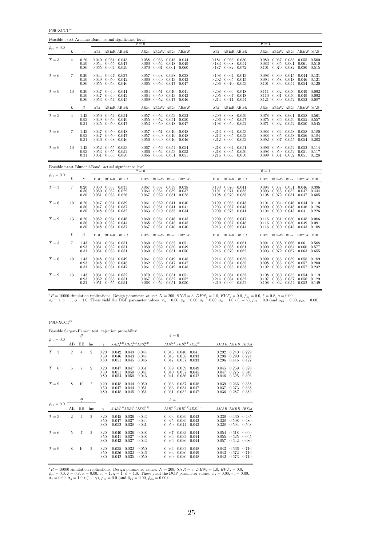P0ft-XCC1 $^{x*}$ 

| Feasible t-test Arellano-Bond: actual significance level |                |                      |                |                                                                       |                 |                         |                                                             |                         |                         |                         |                                                                       |                |                         |                                                                               |                         |                                                       |                |
|----------------------------------------------------------|----------------|----------------------|----------------|-----------------------------------------------------------------------|-----------------|-------------------------|-------------------------------------------------------------|-------------------------|-------------------------|-------------------------|-----------------------------------------------------------------------|----------------|-------------------------|-------------------------------------------------------------------------------|-------------------------|-------------------------------------------------------|----------------|
| $\bar{\rho}_{x\varepsilon}=0.0$                          |                |                      |                |                                                                       |                 | $\theta = 0$            |                                                             |                         |                         |                         |                                                                       |                | $\theta = 1$            |                                                                               |                         |                                                       |                |
|                                                          | L              | $\gamma$             |                | AB1 AB1aR AB1cR                                                       |                 |                         |                                                             |                         | AB2a AB2aW AB2c AB2cW   |                         | AB1 AB1aR AB1cR                                                       |                |                         | AB2a AB2aW AB2c AB2cW MAB                                                     |                         |                                                       |                |
| $T=3$                                                    | 4              | 0.20<br>0.50<br>0.80 | 0.054<br>0.065 | $0.049$ $0.051$ $0.043$<br>$0.055$ $0.047$<br>$0.064$ 0.059           |                 | 0.058<br>0.060<br>0.070 | $0.053$ $0.045$ $0.044$<br>0.054<br>$0.061$ $0.061$         | 0.048                   | 0.049<br>0.060          | 0.183                   | $0.181$ $0.066$ $0.050$<br>0.068<br>0.187 0.082 0.072                 | 0.054          | 0.083                   | $0.080$ $0.067$ $0.055$ $0.055$ $0.500$<br>0.065<br>$0.101$ $0.079$           | 0.061<br>0.082          | $0.061$ $0.510$<br>$0.080$ $0.515$                    |                |
| $T=6$                                                    | 7              | 0.20<br>0.50<br>0.80 | 0.055          | $0.044$ $0.047$ $0.037$<br>$0.049$ $0.050$ $0.042$<br>0.053 0.046     |                 | 0.057<br>0.060<br>0.065 | 0.048<br>0.049<br>0.053                                     | 0.038<br>0.043<br>0.047 | 0.038<br>0.043<br>0.047 | 0.198<br>0.202<br>0.206 | $0.064$ $0.043$<br>$0.065$ 0.045<br>$0.070$ $0.053$                   |                |                         | 0.098 0.060 0.045<br>$0.094$ 0.058<br>$0.101$ $0.063$                         | 0.048<br>0.054          | $0.044$ $0.131$<br>$0.046$ $0.121$<br>$0.054$ $0.120$ |                |
| $T=9$                                                    | 10             | 0.20<br>0.50<br>0.80 | 0.047          | 0.047 0.049 0.041<br>0.049 0.042<br>$0.053$ $0.054$ $0.045$           |                 | 0.064<br>0.064<br>0.069 | $0.051$ $0.040$<br>0.050<br>$0.052$ $0.047$ $0.046$         | 0.043                   | 0.041<br>0.043          | 0.208<br>0.205          | $0.066$ $0.048$<br>$0.067$ 0.048<br>$0.214$ $0.071$ $0.054$           |                |                         | $0.111$ $0.062$ $0.050$<br>$0.110$ $0.061$ $0.050$<br>$0.121$ $0.060$ $0.052$ |                         | 0.049 0.092<br>$0.049$ $0.092$<br>$0.052$ 0.087       |                |
|                                                          | L              | $\beta$              | AB1            | AB1aR AB1cR                                                           |                 |                         |                                                             |                         | AB2a AB2aW AB2c AB2cW   | AB1                     | AB1aR AB1cR                                                           |                |                         | AB2a AB2aW AB2c AB2cW MAB                                                     |                         |                                                       |                |
| $T=3$                                                    | $\overline{4}$ | 1.43<br>0.93<br>0.31 | 0.045          | $0.050$ $0.054$ $0.051$<br>$0.049$ $0.053$ $0.049$<br>$0.050$ $0.047$ |                 | 0.055<br>0.053          | $0.057$ $0.054$ $0.053$ $0.052$<br>0.052<br>0.050           | 0.051<br>0.048          | 0.050<br>0.047          | 0.209<br>0.206<br>0.198 | 0.068 0.059<br>$0.065$ 0.057<br>0.059 0.052                           |                | 0.075<br>0.071          | $0.078$ $0.068$ $0.061$ $0.058$ $0.561$<br>0.066<br>$0.062$ 0.052             | 0.059                   | $0.055$ $0.557$<br>$0.050$ $0.545$                    |                |
| $T=6$                                                    | 7              | 1.43<br>0.93<br>0.31 | 0.047<br>0.047 | $0.050$ $0.048$<br>0.050<br>$0.046$ $0.048$ $0.046$                   | 0.047           | 0.057<br>0.057<br>0.056 | 0.051 0.049<br>0.049<br>0.049 0.046 0.046                   | 0.049                   | 0.048<br>0.048          |                         | $0.213$ $0.064$ $0.053$<br>$0.213$ $0.065$<br>$0.212$ $0.066$ $0.053$ | 0.053          | 0.088<br>0.088          | $0.064$ 0.058<br>0.065<br>$0.092$ $0.067$ $0.055$                             | 0.058                   | 0.058<br>0.056<br>$0.054$ 0.203                       | 0.180<br>0.184 |
| $T=9$                                                    | 10             | 1.43<br>0.93<br>0.31 | 0.052<br>0.053 | 0.055 0.053<br>0.055<br>$0.051$ $0.055$ $0.050$                       | 0.052           | 0.067<br>0.066<br>0.066 | 0.056<br>0.054<br>$0.054$ $0.051$ $0.051$                   | 0.054<br>0.053          | 0.054<br>0.053          |                         | 0.218 0.064<br>0.218 0.065<br>$0.216$ $0.066$ $0.050$                 | 0.051<br>0.050 | 0.096<br>0.098<br>0.099 | 0.059<br>0.059<br>$0.061$ $0.052$ $0.051$ $0.128$                             | 0.052<br>0.052          | $0.052$ $0.114$<br>$0.051$ $0.117$                    |                |
| Feasible t-test Blundell-Bond: actual significance level |                |                      |                |                                                                       |                 | $\theta = 0$            |                                                             |                         |                         |                         |                                                                       |                | $\theta = 1$            |                                                                               |                         |                                                       |                |
| $\bar{\rho}_{x\varepsilon}=0.0$                          | L              | $\gamma$             |                | BB1 BB1aR BB1cR                                                       |                 |                         | BB2a BB2aW BB2c BB2cW                                       |                         |                         |                         | BB1 BB1aR BB1cR                                                       |                |                         |                                                                               |                         | BB2a BB2aW BB2c BB2cW MBB                             |                |
| $T=3$                                                    | 7              | 0.20                 |                |                                                                       |                 |                         |                                                             |                         |                         |                         |                                                                       |                |                         |                                                                               |                         |                                                       |                |
|                                                          |                | 0.50<br>0.80         | 0.050<br>0.051 | $0.050$ $0.055$ $0.033$<br>$0.052$ 0.029<br>$0.053$ $0.026$           |                 | 0.064<br>0.067          | $0.067$ $0.057$ $0.039$ $0.038$<br>0.054<br>$0.052$ $0.031$ | 0.039                   | 0.037<br>0.028          | 0.191<br>0.198          | 0.183 0.070 0.041<br>0.071<br>0.070 0.035                             | 0.038          | 0.093<br>0.108          | $0.094$ $0.067$ $0.051$ $0.046$ $0.396$<br>0.065<br>0.072                     | 0.052                   | 0.047<br>$0.051$ $0.047$ $0.605$                      | 0.444          |
| $T=6$                                                    | 10             | 0.20<br>0.50<br>0.80 | 0.047<br>0.048 | $0.047$ $0.051$ $0.039$<br>$0.051$ $0.037$<br>$0.051$ $0.032$         |                 | 0.061<br>0.064<br>0.063 | $0.052$ $0.041$ $0.040$<br>0.051<br>0.049                   | 0.041<br>0.035          | 0.041<br>0.034          | 0.199<br>0.203<br>0.209 | $0.066$ $0.043$<br>0.067<br>0.073                                     | 0.043<br>0.041 | 0.101<br>0.099          | 0.064 0.046<br>0.060<br>$0.104$ 0.060                                         | 0.048<br>0.043          | $0.044$ $0.110$<br>$0.046$ $0.126$<br>$0.041$ $0.226$ |                |
| $T=9$                                                    | 13             | 0.20<br>0.50<br>0.80 | 0.049          | $0.052$ $0.054$ $0.046$<br>$0.052$ 0.044<br>$0.048$ $0.051$ $0.037$   |                 | 0.069<br>0.068<br>0.067 | 0.054 0.046<br>0.051<br>$0.051$ $0.040$ $0.040$             | 0.045                   | 0.045<br>0.045          | 0.209<br>0.209          | $0.066$ $0.047$<br>$0.067$ 0.048<br>0.213 0.069 0.044                 |                | 0.116                   | $0.115$ $0.061$ $0.050$<br>0.060<br>$0.116$ $0.060$ $0.045$                   | 0.050                   | 0.048 0.086<br>$0.049$ $0.091$<br>$0.043$ $0.108$     |                |
|                                                          | L              | β                    | BB1            | BB1aR BB1cR                                                           |                 |                         |                                                             |                         | BB2a BB2aW BB2c BB2cW   | BB1                     | BB1aR BB1cR                                                           |                |                         | BB2a BB2aW BB2c                                                               |                         | BB2cW MBB                                             |                |
| $T=3$                                                    | 7              | 1.43<br>0.93<br>0.31 | 0.051          | $0.051$ $0.054$ $0.051$<br>$0.052$ $0.051$<br>$0.051$ $0.056$ $0.051$ |                 | 0.060<br>0.059<br>0.060 | $0.054$ $0.053$ $0.051$<br>0.052<br>0.054                   | 0.050<br>0.051          | 0.049<br>0.050          | 0.209<br>0.212<br>0.216 | $0.068$ 0.061<br>0.068<br>$0.070$ $0.062$                             | 0.061          | 0.090<br>0.093          | $0.091$ $0.068$ $0.066$ $0.061$ $0.568$<br>0.069<br>$0.072$ 0.067             | 0.064                   | 0.060 0.577<br>0.063 0.655                            |                |
| $T=6$                                                    | 10             | 1.43<br>0.93<br>0.31 | 0.048<br>0.048 | $0.051$ $0.049$<br>$0.046$ $0.051$ $0.047$                            | $0.050$ $0.048$ | 0.061<br>0.062<br>0.061 | $0.052 \quad 0.049$<br>0.053<br>$0.052$ $0.049$ $0.048$     | 0.047                   | 0.048<br>0.047          | 0.214                   | 0.214 0.063 0.055<br>0.064<br>0.216 0.065 0.053                       | 0.055          | 0.099<br>0.098<br>0.102 | 0.065<br>0.065<br>0.066                                                       | 0.059<br>0.059<br>0.058 | 0.058 0.189<br>$0.057$ 0.200<br>$0.057$ $0.232$       |                |

 ${}^*R = 10000$  simulation replications. Design parameter values:  $N = 200$ ,  $SNR = 3$ ,  $DEN_y = 1.0$ ,  $EVF_x = 0.0$ ,  $\bar{\rho}_{x\bar{x}} = 0.0$ ,  $\xi = 0.8$ ,  $\kappa = 0.00$ ,<br> $\sigma_{\bar{x}} = 1$ ,  $q = 1$ ,  $\phi = 1.0$ . These yield the DGP parameter values:

 $P0fJ-XCC1^{x*}$ 

|                                 |                |           |                |                      | Feasible Sargan-Hansen test: rejection probability |                         |                         |                         |                                           |                         |                         |                         |
|---------------------------------|----------------|-----------|----------------|----------------------|----------------------------------------------------|-------------------------|-------------------------|-------------------------|-------------------------------------------|-------------------------|-------------------------|-------------------------|
|                                 |                | df        |                |                      |                                                    |                         | $\theta = 0$            |                         |                                           |                         |                         |                         |
| $\bar{\rho}_{x\varepsilon}=0.0$ | AВ             | <b>BB</b> | Inc            | $\sim$               | $JAB_a^{(2,1)}JBB_a^{(2,1)}JES_a^{(2,1)}$          |                         |                         |                         | $JAB_c^{(2,1)}JBB_c^{(2,1)}JES_c^{(2,1)}$ |                         | JMAB JMBB JESM          |                         |
| $T=3$                           | $\overline{2}$ | 4         | $\overline{2}$ | 0.20<br>0.50<br>0.80 | 0.042<br>0.043<br>0.046<br>0.043<br>0.051<br>0.045 | 0.044<br>0.044<br>0.046 | 0.043<br>0.045<br>0.047 | 0.040<br>0.038<br>0.037 | 0.041<br>0.033<br>0.033                   | 0.292<br>0.298<br>0.296 | 0.240<br>0.290<br>0.446 | 0.229<br>0.274<br>0.427 |
| $T=6$                           | 5              | 7         | $\overline{2}$ | 0.20<br>0.50<br>0.80 | 0.047<br>0.047<br>0.051<br>0.050<br>0.054<br>0.050 | 0.051<br>0.047<br>0.046 | 0.039<br>0.040<br>0.041 | 0.039<br>0.037<br>0.036 | 0.049<br>0.045<br>0.042                   | 0.045<br>0.047<br>0.046 | 0.259<br>0.275<br>0.325 | 0.328<br>0.340<br>0.396 |
| $T=9$                           | 8              | 10        | $\overline{2}$ | 0.20<br>0.50<br>0.80 | 0.048<br>0.044<br>0.047<br>0.044<br>0.045<br>0.048 | 0.050<br>0.051<br>0.051 | 0.036<br>0.033<br>0.031 | 0.037<br>0.034<br>0.032 | 0.048<br>0.047<br>0.047                   | 0.039<br>0.037<br>0.036 | 0.266<br>0.273<br>0.287 | 0.358<br>0.368<br>0.382 |
|                                 |                | df        |                |                      |                                                    |                         | $\theta=1$              |                         |                                           |                         |                         |                         |
| $\bar{\rho}_{x\varepsilon}=0.0$ | AВ             | <b>BB</b> | Inc            | $\gamma$             | $JAB_a^{(2,1)}JBB_a^{(2,1)}JES_a^{(2,1)}$          |                         |                         |                         | $JAB_c^{(2,1)}JBB_c^{(2,1)}JES_c^{(2,1)}$ |                         | JMAB JMBB JESM          |                         |
| $T=3$                           | $\overline{2}$ | 4         | $\overline{2}$ | 0.20<br>0.50<br>0.80 | 0.045<br>0.036<br>0.047<br>0.037<br>0.052<br>0.038 | 0.043<br>0.044<br>0.041 | 0.043<br>0.045<br>0.050 | 0.039<br>0.039<br>0.044 | 0.042<br>0.042<br>0.043                   | 0.330<br>0.328<br>0.328 | 0.460<br>0.508<br>0.594 | 0.435<br>0.480<br>0.568 |
| $T=6$                           | 5              | 7         | $\overline{2}$ | 0.20<br>0.50<br>0.80 | 0.040<br>0.036<br>0.041<br>0.037<br>0.043<br>0.037 | 0.048<br>0.048<br>0.043 | 0.037<br>0.036<br>0.036 | 0.033<br>0.032<br>0.036 | 0.044<br>0.044<br>0.044                   | 0.054<br>0.055<br>0.057 | 0.618<br>0.625<br>0.642 | 0.660<br>0.665<br>0.680 |
| $T=9$                           | 8              | 10        | $\overline{2}$ | 0.20<br>0.50<br>0.80 | 0.035<br>0.032<br>0.036<br>0.032<br>0.042<br>0.035 | 0.050<br>0.046<br>0.050 | 0.034<br>0.033<br>0.030 | 0.032<br>0.030<br>0.030 | 0.048<br>0.049<br>0.048                   | 0.043<br>0.043<br>0.042 | 0.666<br>0.672<br>0.673 | 0.716<br>0.716<br>0.719 |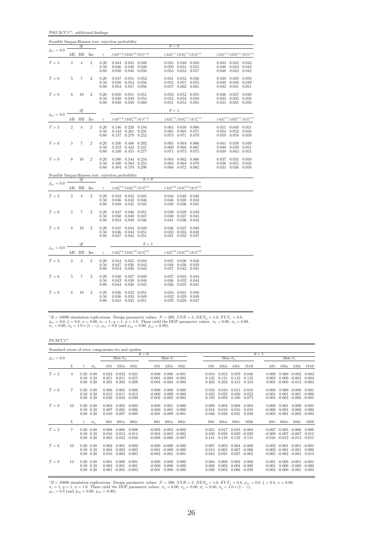P0fJ-XCC1<sup>x∗</sup>: additional findings

|                                   |                |                |                |                                                     | Feasible Sargan-Hansen test: rejection probability                             |                                                                                        |                                                          |                                           |                                           |                                                                                                |                                                     |                                           |
|-----------------------------------|----------------|----------------|----------------|-----------------------------------------------------|--------------------------------------------------------------------------------|----------------------------------------------------------------------------------------|----------------------------------------------------------|-------------------------------------------|-------------------------------------------|------------------------------------------------------------------------------------------------|-----------------------------------------------------|-------------------------------------------|
| $\bar{\rho}_{x\epsilon}=0.0$      |                | df             |                |                                                     |                                                                                |                                                                                        | $\theta = 0$                                             |                                           |                                           |                                                                                                |                                                     |                                           |
|                                   | AВ             | BB             | Inc            | $\gamma$                                            | $JAB^{\left( 1,0\right) }JBB_{a}^{\left( 1,0\right) }JES^{\left( 1,0\right) }$ |                                                                                        |                                                          |                                           |                                           | $JAB_a^{(1,1)}JBB_a^{(1,1)}JES_a^{(1,1)} \hspace{2cm} JAB_c^{(1,1)}JBB_c^{(1,1)}JES_c^{(1,1)}$ |                                                     |                                           |
| $T=3$                             | $\overline{2}$ | $\overline{4}$ | $\overline{2}$ | 0.20<br>0.50<br>0.80                                | $0.044$ $0.045$ $0.048$<br>0.046<br>0.049<br>0.050<br>0.048                    | 0.048<br>0.050                                                                         | 0.045<br>0.050<br>0.053                                  | 0.051<br>0.053                            | $0.048$ 0.050<br>0.055<br>0.057           | 0.046<br>0.048                                                                                 | $0.044$ $0.042$ $0.043$<br>0.044<br>$0.042$ $0.042$ | 0.042                                     |
| ${\cal T}=6$                      | 5              | 7              | $\overline{2}$ | 0.20<br>0.50<br>0.80                                | 0.051<br>0.047<br>0.054<br>0.050<br>0.054<br>0.057                             | 0.053<br>0.056<br>0.058                                                                | 0.051<br>0.055<br>0.057                                  | 0.052<br>0.057<br>0.062                   | 0.056<br>0.055<br>0.061                   | 0.039<br>0.040<br>0.042                                                                        | 0.039<br>0.040<br>0.041                             | 0.050<br>0.049<br>0.051                   |
| $T=9$                             | 8              | 10             | $\overline{2}$ | 0.20<br>0.50<br>0.80                                | 0.051<br>0.050<br>0.049<br>0.049<br>$0.048$ $0.050$ $0.060$                    | 0.051<br>0.053                                                                         | 0.052<br>0.052<br>0.051                                  | 0.052<br>0.054 0.065                      | 0.055<br>$0.052$ 0.058                    | 0.036                                                                                          | 0.037<br>0.033 0.035<br>$0.031$ $0.035$             | 0.049<br>0.050<br>0.056                   |
|                                   |                | df             |                |                                                     |                                                                                |                                                                                        | $\theta = 1$                                             |                                           |                                           |                                                                                                |                                                     |                                           |
| $\bar{\rho}_{x\varepsilon}=0.0$   | AВ             | BB             | Inc            | $\gamma$                                            |                                                                                | $JAB^{\left( 1,0\right) }JBB_{a}^{\left( 1,0\right) }JES^{\left( 1,0\right) }$         |                                                          |                                           | $JAB_a^{(1,1)}JBB_a^{(1,1)}JES_a^{(1,1)}$ |                                                                                                |                                                     | $JAB_c^{(1,1)}JBB_c^{(1,1)}JES_c^{(1,1)}$ |
| $T=3$                             | $\sqrt{2}$     | $\overline{4}$ | $\,2$          | 0.20<br>0.50<br>0.80                                | 0.146 0.228 0.194<br>0.261<br>0.143<br>0.279<br>0.157                          | 0.231<br>0.252                                                                         | 0.061<br>0.065<br>0.073                                  | 0.065<br>0.071                            | 0.058 0.066<br>0.071<br>0.070             | 0.051<br>0.053<br>0.059                                                                        | 0.048<br>0.052<br>0.058                             | 0.051<br>0.056<br>0.059                   |
| $T=6$                             | $\,$ 5         | 7              | $\overline{2}$ | 0.20<br>0.50<br>0.80                                | 0.408<br>0.356<br>0.352<br>0.434<br>0.455<br>0.350                             | 0.202<br>0.247<br>0.277                                                                | 0.065<br>0.069<br>0.071                                  | 0.064<br>0.068<br>0.073                   | 0.066<br>0.067<br>0.075                   | 0.041<br>0.040<br>0.039                                                                        | 0.039<br>0.039<br>0.043                             | 0.049<br>0.051<br>0.055                   |
| $T=9$                             | 8              | 10             | $\,2$          | $\begin{array}{c} 0.20 \\ 0.50 \end{array}$<br>0.80 | 0.544<br>0.500<br>0.500<br>0.564<br>0.578<br>0.494                             | 0.216<br>0.255<br>0.290                                                                | 0.064<br>0.063<br>0.068                                  | 0.062<br>0.064<br>0.072                   | 0.066<br>0.070<br>0.082                   | 0.037<br>0.036<br>$\,0.033\,$                                                                  | 0.035<br>0.035<br>0.036                             | 0.050<br>0.056<br>0.058                   |
|                                   |                | df             |                |                                                     | Feasible Sargan-Hansen test: rejection probability                             | $\theta = 0$                                                                           |                                                          |                                           |                                           |                                                                                                |                                                     |                                           |
| $\bar{\rho}_{x\varepsilon} = 0.0$ | AB             | BB             | Inc            | $\gamma$                                            |                                                                                | $JAB_{a}^{\left( 2,2\right) }JBB_{a}^{\left( 2,2\right) }JES_{a}^{\left( 2,2\right) }$ |                                                          |                                           | $JAB_c^{(2,2)}JBB_c^{(2,2)}JES_c^{(2,2)}$ |                                                                                                |                                                     |                                           |
| $T=3$                             | $\sqrt{2}$     | $\overline{4}$ | $\,2$          | 0.20<br>0.50<br>0.80                                | $0.042$ $0.042$ $0.045$<br>0.042<br>0.046<br>0.045<br>0.049                    | 0.046<br>0.045                                                                         | $\overset{\text{{\Large 0.046}}{\text{{\Large 0.048}}}}$ | $0.044$ $0.040$ $0.040$<br>0.038<br>0.036 | 0.033<br>0.031                            |                                                                                                |                                                     |                                           |
| $T=6$                             | 5              | $\overline{7}$ | $\overline{2}$ | 0.20<br>0.50<br>0.80                                | 0.047<br>0.046<br>0.050<br>0.049<br>0.049<br>0.053                             | 0.051<br>0.047<br>0.046                                                                | 0.039<br>0.040<br>0.041                                  | 0.039<br>0.037<br>0.036                   | 0.049<br>0.045<br>0.042                   |                                                                                                |                                                     |                                           |
| $T=9$                             | 8              | 10             | $\,2$          | $\begin{array}{c} 0.20 \\ 0.50 \end{array}$<br>0.80 | 0.047<br>0.046<br>0.044<br>$0.047$ $0.043$ $0.051$                             | $0.044$ 0.049<br>0.051                                                                 | $\begin{array}{c} 0.036 \\ 0.033 \\ 0.031 \end{array}$   | 0.037<br>0.033<br>$0.032 \quad 0.047$     | 0.048<br>0.048                            |                                                                                                |                                                     |                                           |
| $\bar{\rho}_{x\varepsilon}=0.0$   |                | df             |                |                                                     |                                                                                | $\theta = 1$                                                                           |                                                          |                                           |                                           |                                                                                                |                                                     |                                           |
|                                   | AB             | BB             | Inc            | $\gamma$                                            | $JAB_a^{(2,2)}JBB_a^{(2,2)}JES_a^{(2,2)}$                                      |                                                                                        |                                                          |                                           | $JAB_c^{(2,2)}JBB_c^{(2,2)}JES_c^{(2,2)}$ |                                                                                                |                                                     |                                           |
| $T=3$                             | $\overline{2}$ | $\overline{4}$ | $\overline{2}$ | 0.20<br>0.50<br>0.80                                | 0.044 0.035 0.044<br>0.047<br>0.036<br>0.054<br>0.038                          | 0.043<br>0.043                                                                         | 0.045<br>0.048<br>0.057                                  | 0.038<br>0.042                            | $0.036$ $0.040$<br>0.039<br>0.041         |                                                                                                |                                                     |                                           |
| $T=6$                             | 5              | $\overline{7}$ | $\overline{2}$ | 0.20<br>0.50<br>0.80                                | 0.040<br>0.037<br>0.042<br>0.038<br>0.044<br>0.038                             | 0.049<br>0.048<br>0.045                                                                | 0.037<br>0.036<br>0.036                                  | 0.033<br>0.032<br>0.035                   | 0.044<br>0.044<br>0.041                   |                                                                                                |                                                     |                                           |
| $T=9$                             | 8              | 10             | $\overline{2}$ | 0.20<br>0.50<br>0.80                                | 0.036<br>0.032<br>0.033<br>0.036<br>0.041<br>0.035                             | 0.051<br>0.049<br>0.051                                                                | 0.034<br>0.032<br>0.029                                  | 0.031<br>0.029                            | 0.048<br>0.049<br>$0.028$ 0.047           |                                                                                                |                                                     |                                           |

P0-XCC1<sup>x</sup><sup>\*</sup>

| Standard errors of error components eta and epsilon |    |                                                        |            |                         |                                           |                         |                                            |                          |                                                                           |                         |                         |                                                       |                         |                                  |                                                        |                                                                                 |                         |
|-----------------------------------------------------|----|--------------------------------------------------------|------------|-------------------------|-------------------------------------------|-------------------------|--------------------------------------------|--------------------------|---------------------------------------------------------------------------|-------------------------|-------------------------|-------------------------------------------------------|-------------------------|----------------------------------|--------------------------------------------------------|---------------------------------------------------------------------------------|-------------------------|
|                                                     |    |                                                        |            |                         |                                           |                         | $\theta = 0$                               |                          |                                                                           |                         |                         |                                                       |                         | $\theta = 1$                     |                                                        |                                                                                 |                         |
| $\bar{\rho}_{x\varepsilon} = 0.0$                   |    |                                                        |            |                         | Bias $\tilde{\sigma}_n$                   |                         |                                            | Bias $\hat{\sigma}_e$    |                                                                           |                         | Bias $\hat{\sigma}_n$   |                                                       |                         |                                  |                                                        | Bias $\hat{\sigma}_\varepsilon$                                                 |                         |
|                                                     | L  |                                                        | $\sigma_n$ | AB1                     | AB2a                                      | AB2c                    | AB1                                        | AB2a                     | AB2c                                                                      | AB1                     | AB2a                    | AB2c                                                  | MAB                     | AB1                              | AB2a                                                   | AB2c                                                                            | MAB                     |
| $T = 3$                                             | 4  | $0.20\ 0.80$<br>$0.50 \quad 0.50$<br>$0.80 \quad 0.20$ |            | 0.023<br>0.051<br>0.201 | 0.023<br>0.051<br>0.203                   | 0.025<br>0.055<br>0.208 | $-0.000$                                   |                          | $0.000 - 0.001$<br>$-0.001 - 0.000 - 0.002$<br>$-0.004$ $-0.004$ $-0.006$ | 0.054<br>0.135<br>0.402 | 0.052<br>0.131<br>0.392 | 0.059<br>0.143<br>0.413                               | 0.046<br>0.132<br>0.410 | 0.000<br>0.002<br>0.001          |                                                        | $0.000 - 0.002$<br>$0.000 - 0.003$<br>$-0.005$ $-0.012$ $-0.003$                | 0.003<br>0.004          |
| $T=6$                                               | 7  | $0.20\ 0.80$<br>$0.50 \quad 0.50$<br>$0.80 \quad 0.20$ |            | 0.006<br>0.013<br>0.036 | 0.005<br>0.011<br>0.034                   | 0.006<br>0.013<br>0.036 | 0.000<br>$-0.000$                          | 0.000<br>0.000           | 0.000<br>$-0.000$<br>$-0.002$ $-0.002$ $-0.002$                           | 0.016<br>0.032<br>0.103 | 0.010<br>0.022<br>0.084 | 0.015<br>0.030<br>0.100                               | 0.010<br>0.023<br>0.075 | $-0.000$<br>$-0.001$<br>$-0.005$ |                                                        | $0.000 - 0.000 0.001$<br>$0.001 - 0.001 - 0.000$<br>$-0.003 - 0.006 - 0.005$    |                         |
| $T=9$                                               | 10 | $0.20\ 0.80$<br>$0.50 \quad 0.50$<br>$0.80 \quad 0.20$ |            | 0.003<br>0.007<br>0.010 | 0.002<br>0.005<br>0.007                   | 0.003<br>0.006<br>0.009 | 0.000<br>0.000<br>$-0.001 - 0.000 - 0.001$ | 0.001<br>0.001           | 0.000<br>0.000                                                            | 0.009<br>0.018<br>0.046 | 0.004<br>0.010<br>0.030 | 0.008<br>0.016<br>0.041                               | 0.004<br>0.010<br>0.020 | 0.000<br>$-0.000$                | 0.001<br>0.001                                         | 0.000<br>0.000<br>$-0.003$ $-0.001$ $-0.002$ $-0.002$                           | 0.001<br>0.000          |
|                                                     | L  |                                                        | $\sigma_n$ | B <sub>B1</sub>         | BB <sub>2a</sub>                          | BB2c                    | BB1                                        | BB <sub>2a</sub>         | BB <sub>2c</sub>                                                          | B <sub>B1</sub>         | BB <sub>2a</sub>        | BB <sub>2c</sub>                                      | <b>MBB</b>              | B <sub>B1</sub>                  | BB <sub>2a</sub>                                       | BB <sub>2c</sub>                                                                | <b>MBB</b>              |
| $T=3$                                               | 7  | $0.20\ 0.80$<br>$0.50 \quad 0.50$<br>$0.80\ 0.20$      |            | 0.008<br>0.016<br>0.065 | 0.008<br>0.014<br>0.052                   | 0.008<br>0.014<br>0.056 | $-0.008$ $-0.006$ $-0.007$                 |                          | $-0.002$ $-0.002$ $-0.002$<br>$-0.004$ $-0.003$ $-0.003$                  | 0.021<br>0.039<br>0.141 | 0.017<br>0.028<br>0.118 | $0.018 - 0.004$<br>$0.029 - 0.029$<br>0.122           | 0.155                   |                                  | $-0.007 - 0.005 - 0.006$<br>$-0.009$ $-0.007$ $-0.007$ | $-0.016$ $-0.012$ $-0.013$                                                      | 0.000<br>0.012<br>0.051 |
| $T=6$                                               | 10 | $0.20\ 0.80$<br>$0.50 \quad 0.50$<br>$0.80\ 0.20$      |            | 0.002<br>0.004<br>0.010 | 0.001<br>0.002<br>0.003                   | 0.002<br>0.003<br>0.005 |                                            | $-0.002 - 0.001 - 0.001$ | $-0.000 - 0.000 - 0.000$<br>$-0.001 - 0.000 - 0.000$                      | 0.007<br>0.013<br>0.044 | 0.003<br>0.005<br>0.021 | $0.004 - 0.000$<br>$0.007 - 0.006$<br>$0.027 - 0.063$ |                         |                                  | $-0.002$ $-0.001$ $-0.001$                             | $-0.002 - 0.001 - 0.001 - 0.001$<br>$-0.005$ $-0.002$ $-0.003$                  | 0.000<br>0.013          |
| $T=9$                                               | 13 | $0.20\ 0.80$<br>$0.50 \quad 0.50$<br>$0.80\ 0.20$      |            | 0.001<br>0.002          | 0.000<br>0.001<br>$0.001 - 0.005 - 0.003$ | 0.001<br>0.001          | 0.000<br>$-0.000$<br>$-0.001$              | 0.000<br>0.000<br>0.000  | 0.000<br>0.000<br>$-0.000$                                                | 0.004<br>0.008<br>0.020 | 0.000<br>0.002<br>0.002 | 0.002<br>$0.004 - 0.000$<br>0.006                     | 0.000<br>$-0.029$       | $-0.001$<br>$-0.002$             |                                                        | $-0.001 - 0.000 - 0.001 - 0.001$<br>$0.000 - 0.000 - 0.000$<br>$-0.000 - 0.001$ | 0.003                   |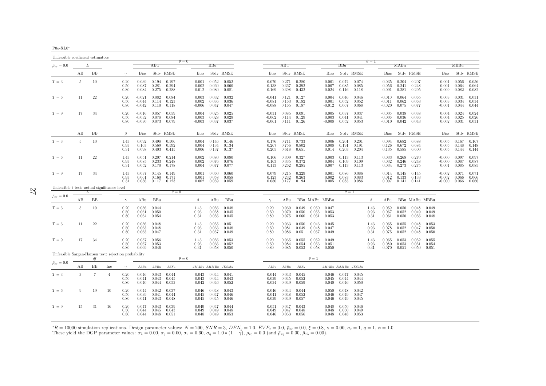| ćΙ<br>v<br>$P(111 - Y)$ |  |
|-------------------------|--|
|                         |  |

<span id="page-26-0"></span>

| Unfeasible coefficient estimators                    |                 |        |                |                      |                                  |                                 |                         |                               |                                 |                                   |                                  |                                   |                         |                         |                                  |                                 |                         |                      |                                  |                         |                         |                         |                                  |                         |                         |
|------------------------------------------------------|-----------------|--------|----------------|----------------------|----------------------------------|---------------------------------|-------------------------|-------------------------------|---------------------------------|-----------------------------------|----------------------------------|-----------------------------------|-------------------------|-------------------------|----------------------------------|---------------------------------|-------------------------|----------------------|----------------------------------|-------------------------|-------------------------|-------------------------|----------------------------------|-------------------------|-------------------------|
| $\bar{\rho}_{x\varepsilon}=0.0$                      |                 | L      |                |                      |                                  | ABu                             |                         | $\theta = 0$                  | BBu                             |                                   |                                  | ABu                               |                         |                         |                                  | BBu                             |                         | $\theta = 1$         |                                  | MABu                    |                         |                         |                                  | MBBu                    |                         |
|                                                      | AB              | BB     |                | $\gamma$             | Bias                             |                                 | Stdy RMSE               | Bias                          |                                 | Stdy RMSE                         | <b>Bias</b>                      |                                   | Stdy RMSE               |                         | Bias                             |                                 | Stdy RMSE               |                      | <b>Bias</b>                      |                         | Stdy RMSE               |                         | Bias                             |                         | Stdy RMSE               |
| $T=3$                                                | $5\phantom{.0}$ | 10     |                | 0.20<br>0.50<br>0.80 | $-0.039$<br>$-0.087$<br>$-0.084$ | 0.194<br>0.281<br>0.275         | 0.197<br>0.294<br>0.288 | 0.001<br>$-0.002$<br>$-0.012$ | 0.060<br>0.080                  | $0.052$ 0.052<br>0.060<br>0.081   | $-0.070$<br>-0.138<br>$-0.169$   | 0.271<br>0.367<br>0.398           | 0.280<br>0.392<br>0.432 |                         | $-0.001$<br>$-0.007$<br>$-0.024$ | 0.074<br>0.085<br>0.116         | 0.074<br>0.085<br>0.118 |                      | $-0.035$<br>$-0.056$<br>$-0.091$ | 0.204<br>0.241<br>0.281 | 0.207<br>0.248<br>0.295 |                         | 0.001<br>$-0.001$<br>$-0.009$    | 0.056<br>0.064<br>0.082 | 0.056<br>0.064<br>0.082 |
| $T=6$                                                | 11              | 22     |                | 0.20<br>0.50<br>0.80 | $-0.021$<br>$-0.044$<br>$-0.042$ | 0.082<br>0.114<br>0.110         | 0.084<br>0.123<br>0.118 | 0.003<br>0.002<br>$-0.006$    | 0.032<br>0.036<br>0.047         | 0.032<br>0.036<br>0.047           | $-0.041$<br>$-0.081$<br>$-0.088$ | 0.121<br>0.163<br>0.165           | 0.127<br>0.182<br>0.187 |                         | 0.004<br>0.001<br>$-0.012$       | 0.046<br>0.052<br>0.067         | 0.046<br>0.052<br>0.068 |                      | $-0.010$<br>$-0.011$<br>$-0.020$ | 0.064<br>0.062<br>0.075 | 0.065<br>0.063<br>0.077 |                         | 0.003<br>0.003<br>$-0.001$       | 0.031<br>0.034<br>0.044 | 0.031<br>0.034<br>0.044 |
| $T=9$                                                | 17              | 34     |                | 0.20<br>0.50<br>0.80 | $-0.016$<br>$-0.032$<br>$-0.030$ | 0.057<br>0.078<br>0.073         | 0.059<br>0.084<br>0.079 | 0.004<br>0.003<br>$-0.003$    | 0.025<br>0.028<br>0.037         | 0.025<br>0.029<br>0.037           | $-0.031$<br>$-0.062$<br>$-0.061$ | 0.085<br>0.114<br>$0.111$ $0.126$ | 0.091<br>0.129          |                         | 0.005<br>0.003<br>$-0.008$       | 0.037<br>0.041<br>0.052         | 0.037<br>0.041<br>0.053 |                      | $-0.005$<br>$-0.006$<br>$-0.010$ | 0.038<br>0.036<br>0.042 | 0.038<br>0.036<br>0.043 |                         | 0.004<br>0.004<br>0.002          | 0.024<br>0.025<br>0.031 | 0.024<br>0.026<br>0.031 |
|                                                      | AВ              | BB     |                | $\beta$              | Bias                             |                                 | Stdy RMSE               | Bias                          |                                 | Stdy RMSE                         | Bias                             |                                   | Stdy RMSE               |                         | Bias                             |                                 | Stdy RMSE               |                      | Bias                             |                         | Stdy RMSE               |                         | Bias                             |                         | Stdy RMSE               |
| $T=3$                                                | 5               | 10     |                | 1.43<br>0.93<br>0.31 | 0.092<br>0.163<br>0.098          | 0.498<br>0.569<br>0.403         | 0.506<br>0.592<br>0.415 | 0.004<br>0.004<br>0.006       | 0.134<br>0.137                  | $0.146$ $0.146$<br>0.134<br>0.137 | 0.176<br>0.267<br>0.205          | 0.711<br>0.756<br>0.618           | 0.733<br>0.802<br>0.651 |                         | 0.006<br>0.008<br>0.014          | 0.201<br>0.191<br>0.203         | 0.201<br>0.191<br>0.204 |                      | 0.094<br>0.126<br>0.135          | 0.682<br>0.672<br>0.585 | 0.688<br>0.684<br>0.600 |                         | 0.005<br>0.005<br>0.005          | 0.167<br>0.148<br>0.144 | 0.167<br>0.148<br>0.144 |
| $T=6$                                                | 11              | 22     |                | 1.43<br>0.93<br>0.31 | 0.051<br>0.085<br>0.052          | 0.207<br>0.233<br>0.170         | 0.214<br>0.248<br>0.178 | 0.002<br>0.002<br>0.004       | 0.080<br>0.076<br>0.077         | 0.080<br>0.076<br>0.077           | 0.106<br>0.163<br>0.113          | 0.309<br>0.335<br>0.262           | 0.327<br>0.372<br>0.285 |                         | 0.003<br>0.004<br>0.007          | 0.113<br>0.109<br>0.113         | 0.113<br>0.109<br>0.113 |                      | 0.033<br>0.032<br>0.034          | 0.268<br>0.246<br>0.273 | 0.270<br>0.248<br>0.275 |                         | $-0.000$<br>$-0.000$<br>0.001    | 0.097<br>0.087<br>0.085 | 0.097<br>0.087<br>0.085 |
| $T=9$                                                | 17              | 34     |                | 1.43<br>0.93<br>0.31 | 0.037<br>0.061<br>0.036          | 0.145<br>0.160<br>0.117         | 0.149<br>0.171<br>0.123 | 0.001<br>0.001<br>0.002       | 0.060<br>0.058<br>0.059         | 0.060<br>0.058<br>0.059           | 0.079<br>0.123<br>0.080          | 0.215<br>0.232<br>0.177           | 0.229<br>0.263<br>0.194 |                         | 0.001<br>0.002<br>0.005          | 0.086<br>0.083<br>0.085         | 0.086<br>0.083<br>0.086 |                      | 0.014<br>0.012<br>0.007          | 0.145<br>0.133<br>0.141 | 0.145<br>0.133<br>0.141 |                         | $-0.002$<br>$-0.002$<br>$-0.000$ | 0.071<br>0.066<br>0.066 | 0.071<br>0.066<br>0.066 |
| Unfeasible t-test: actual significance level         |                 | L      |                |                      |                                  |                                 | $\theta = 0$            |                               |                                 |                                   |                                  |                                   |                         |                         |                                  | $\theta = 1$                    |                         |                      |                                  |                         |                         |                         |                                  |                         |                         |
| $\bar{\rho}_{x\varepsilon}=0.0$                      | AВ              | BB     |                | $\gamma$             | ABu                              | BBu                             |                         | $\beta$                       | ABu                             | BBu                               | $\gamma$                         | ABu                               |                         | BBu MABu MBBu           |                                  |                                 |                         | $\beta$              | ABu                              |                         | BBu MABu MBBu           |                         |                                  |                         |                         |
| $T=3$                                                | 5               | $10\,$ |                | 0.20<br>0.50<br>0.80 | 0.056<br>0.061<br>0.064          | 0.044<br>0.050<br>0.054         |                         | 1.43<br>0.93<br>0.31          | 0.056<br>0.058<br>0.056         | 0.048<br>0.045<br>0.045           | 0.20<br>0.50<br>0.80             | 0.060<br>0.070<br>0.075           | 0.049<br>0.050<br>0.060 | 0.050<br>0.055<br>0.061 | 0.047<br>0.053<br>0.053          |                                 |                         | 1.43<br>0.93<br>0.31 | 0.059<br>0.067<br>0.061          | 0.050<br>0.052<br>0.050 | 0.048<br>0.049<br>0.056 | 0.049<br>0.049<br>0.048 |                                  |                         |                         |
| $T=6$                                                | 11              | 22     |                | 0.20<br>0.50<br>0.80 | 0.056<br>0.063<br>0.065          | 0.048<br>0.048<br>0.047         |                         | 1.43<br>0.93<br>0.31          | 0.055<br>0.063<br>0.057         | 0.051<br>0.048<br>0.049           | 0.20<br>0.50<br>0.80             | 0.063<br>0.081<br>0.086           | 0.050<br>0.049<br>0.051 | 0.046<br>0.048<br>0.057 | 0.045<br>0.047<br>0.049          |                                 |                         | 1.43<br>0.93<br>0.31 | 0.065<br>0.078<br>0.075          | 0.055<br>0.052<br>0.052 | 0.048<br>0.047<br>0.048 | 0.053<br>0.050<br>0.050 |                                  |                         |                         |
| $T=9$                                                | 17              | 34     |                | 0.20<br>0.50<br>0.80 | 0.057<br>0.067<br>0.069          | 0.056<br>0.053<br>0.046         |                         | 1.43<br>0.93<br>0.31          | 0.056<br>0.066<br>0.058         | 0.053<br>0.052<br>0.050           | 0.20<br>0.50<br>0.80             | 0.065<br>0.084<br>0.085           | 0.055<br>0.054<br>0.053 | 0.052<br>0.053<br>0.058 | 0.049<br>0.051<br>0.050          |                                 |                         | 1.43<br>0.93<br>0.31 | 0.065<br>0.080<br>0.070          | 0.053<br>0.053<br>0.051 | 0.052<br>0.051<br>0.050 | 0.055<br>0.054<br>0.051 |                                  |                         |                         |
| Unfeasible Sargan-Hansen test: rejection probability |                 | df     |                |                      |                                  |                                 |                         | $\theta = 0$                  |                                 |                                   |                                  |                                   |                         | $\theta = 1$            |                                  |                                 |                         |                      |                                  |                         |                         |                         |                                  |                         |                         |
| $\bar{\rho}_{x\varepsilon}=0.0$                      | AВ              | BB     | Inc            | $\gamma$             | $JABu$                           | $JBBu$                          | $JESu$                  |                               | $JMABu\quad JMMBu\quad JESMu$   |                                   | JABu                             | JBBu                              | JESu                    |                         | $JMABu\quad JMMBu\quad JESMu$    |                                 |                         |                      |                                  |                         |                         |                         |                                  |                         |                         |
| $T=3$                                                | 3               | $\tau$ | $\overline{4}$ | 0.20<br>0.50<br>0.80 | 0.046<br>0.041<br>0.040          | 0.043<br>0.043<br>0.044         | 0.044<br>0.045<br>0.053 | 0.043<br>0.042                | 0.043 0.044<br>0.044<br>0.046   | 0.041<br>0.043<br>0.052           | 0.044<br>0.039<br>0.034          | 0.043<br>0.045<br>0.049           | 0.045<br>0.052<br>0.059 |                         | 0.045<br>0.040                   | $0.046$ 0.047<br>0.044<br>0.046 | 0.045<br>0.044<br>0.050 |                      |                                  |                         |                         |                         |                                  |                         |                         |
| $T=6$                                                | 9               | 19     | 10             | 0.20<br>0.50<br>0.80 | 0.044<br>0.039<br>0.041          | 0.042<br>0.041<br>0.043         | 0.037<br>0.044<br>0.048 | 0.046<br>0.045<br>0.045       | 0.048<br>0.047<br>0.045         | 0.043<br>0.046<br>0.046           | 0.046<br>0.041<br>0.039          | 0.044<br>0.048<br>0.049           | 0.044<br>0.052<br>0.057 |                         | 0.050<br>0.046<br>0.046          | 0.048<br>0.049<br>0.049         | 0.042<br>0.047<br>0.045 |                      |                                  |                         |                         |                         |                                  |                         |                         |
| $T=9$                                                | 15              | 31     | 16             | 0.20<br>0.50<br>0.80 | 0.047<br>0.044                   | 0.043<br>0.045<br>$0.044$ 0.048 | 0.039<br>0.043<br>0.051 | 0.049<br>0.049                | 0.047<br>0.049<br>$0.048$ 0.049 | 0.044<br>0.048<br>0.053           | 0.051<br>0.049                   | 0.047<br>0.047<br>$0.046$ 0.053   | 0.043<br>0.048<br>0.056 |                         | 0.048<br>0.048<br>0.048          | 0.050<br>0.050<br>0.048         | 0.046<br>0.049<br>0.053 |                      |                                  |                         |                         |                         |                                  |                         |                         |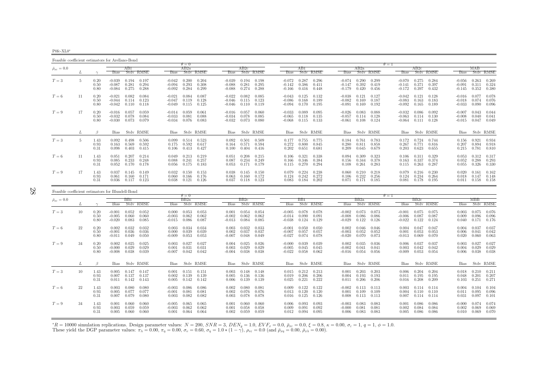P0fc-XL0∗

Feasible coefficient estimators for Arellano-Bond $\theta = 0$  $AB2a$  $\theta = 1$ <br>a  $\theta = 1$  $\bar{\rho}_{x\varepsilon}=0.0$  $_{\varepsilon}$  = 0.0  $_{\varepsilon}$   $_{\varepsilon}$   $_{\varepsilon}$   $_{\varepsilon}$   $_{\varepsilon}$   $_{\varepsilon}$   $_{\varepsilon}$   $_{\varepsilon}$   $_{\varepsilon}$   $_{\varepsilon}$   $_{\varepsilon}$   $_{\varepsilon}$   $_{\varepsilon}$   $_{\varepsilon}$   $_{\varepsilon}$   $_{\varepsilon}$   $_{\varepsilon}$   $_{\varepsilon}$   $_{\varepsilon}$   $_{\varepsilon}$   $_{\varepsilon}$   $_{\varepsilon}$   $_{\varepsilon}$ L  $\gamma$  Bias Stdv RMSE Bias Stdv RMSE Bias Stdv RMSE Bias Stdv RMSE Bias Stdv RMSE Bias Stdv RMSE Bias Stdv RMSE0.269  $T=3$  $T=3$   $5$   $0.20$   $-0.039$   $0.194$   $0.197$   $-0.042$   $0.200$   $0.204$   $-0.039$   $0.194$   $0.198$   $-0.072$   $0.287$   $0.296$   $-0.074$   $0.290$   $0.299$   $-0.070$   $0.275$   $0.284$   $-0.056$   $0.263$   $0.269$ <br> $0.50$   $0.031$   $0.324$   $-0.09$ 0.50 -0.087 0.281 0.294 -0.094 0.293 0.308 -0.088 0.281 0.295 -0.142 0.386 0.411 -0.147 0.392 0.419 -0.141 0.371 0.397 -0.091 0.311 0.3240.352 0.380 0.80 -0.084 0.275 0.288 -0.092 0.284 0.299 -0.088 0.274 0.288 -0.166 0.416 0.448 -0.179 0.420 0.456 -0.172 0.397 0.432 -0.145 0.352 0.3800.078  $T=6$  $T=6$   $11$   $0.20$   $-0.021$   $0.082$   $0.084$   $-0.021$   $0.084$   $0.087$   $-0.022$   $0.082$   $0.085$   $-0.043$   $0.125$   $0.132$   $-0.038$   $0.121$   $0.127$   $-0.042$   $0.121$   $0.128$   $-0.016$   $0.077$   $0.078$ <br> $0.159$   $0.183$   $-0.082$   $0.$ 0.50 -0.044 0.114 0.123 -0.047 0.119 0.128 -0.046 0.115 0.123 -0.086 0.168 0.189 -0.082 0.169 0.187 -0.083 0.163 0.183 -0.018 0.074 0.076 $0.090 0.096$ 0.80 -0.042 0.110 0.118 -0.049 0.115 0.125 -0.046 0.110 0.119 -0.094 0.170 0.195 -0.091 0.169 0.192 -0.092 0.165 0.189 -0.033 0.090 0.096 $0.044$  $T=9$  $T=9 \hspace{1cm} 17 \hspace{1cm} 0.20 \hspace{1cm} 0.057 \hspace{1cm} 0.059 \hspace{1cm} 0.043 \hspace{1cm} 0.041 \hspace{1cm} 0.059 \hspace{1cm} 0.061 \hspace{1cm} -0.016 \hspace{1cm} 0.057 \hspace{1cm} 0.060 \hspace{1cm} -0.033 \hspace{1cm} 0.089 \hspace{1cm} 0.095 \hspace{1cm} -0.026 \hspace{1cm} 0.083 \hspace{1cm} 0.088$ 0.50 -0.032 0.084 -0.033 0.081 0.085 -0.034 0.078 0.085 -0.065 0.118 0.128 -0.067 0.114 0.128 -0.064 0.111 0.12<br>0.80 -0.030 0.073 0.079 -0.034 0.076 0.083 -0.032 0.073 0.080 -0.068 0.115 0.133 -0.061 0.108 0.124 -0.064 0.1  $0.047$  0.049  $L \qquad \qquad \beta$ Bias Stdv RMSE Bias Stdv RMSE Bias Stdv RMSE Bias Stdv RMSE Bias Stdv RMSE Bias Stdv RMSE Bias Stdv RMSE Bias Stdv RMSE 0.934  $T=3$  $T=3 \hspace{1.5mm} 5 \hspace{1.5mm} 1.43 \hspace{1.5mm} 0.092 \hspace{1.5mm} 0.506 \hspace{1.5mm} 0.099 \hspace{1.5mm} 0.514 \hspace{1.5mm} 0.523 \hspace{1.5mm} 0.092 \hspace{1.5mm} 0.501 \hspace{1.5mm} 0.509 \hspace{1.5mm} 0.177 \hspace{1.5mm} 0.755 \hspace{1.5mm} 0.775 \hspace{1.5mm} 0.184 \hspace{1.5mm} 0.$ 0.93 0.163 0.569 0.592 0.175 0.592 0.617 0.164 0.571 0.594 0.272 0.800 0.845 0.280 0.811 0.858 0.267 0.771 0.816 0.207 0.894 0.9180.810 0.31 0.098 0.403 0.415 0.106 0.413 0.427 0.100 0.404 0.416 0.202 0.651 0.681 0.209 0.645 0.679 0.203 0.623 0.655 0.215 0.781 0.810 $0.053 - 0.312 - 0.317$  $T=6$  $T=6$   $11$   $1.43$   $0.051$   $0.207$   $0.214$   $0.049$   $0.213$   $0.219$   $0.051$   $0.208$   $0.215$   $0.106$   $0.321$   $0.338$   $0.094$   $0.309$   $0.323$   $0.106$   $0.311$   $0.329$   $0.053$   $0.312$   $0.312$   $0.317$   $0.35$   $0.312$   $0.317$   $0.3$ 0.93 0.085 0.233 0.248 0.088 0.241 0.257 0.087 0.234 0.249 0.166 0.346 0.384 0.156 0.344 0.378 0.163 0.337 0.374 0.052 0.288 0.2930.330 0.31 0.052 0.170 0.178 0.056 0.175 0.183 0.053 0.171 0.179 0.115 0.270 0.294 0.108 0.261 0.283 0.115 0.263 0.287 0.055 0.326 0.3300.162  $T=9$  $T=9 \hspace{1.5mm} 17 \hspace{1.5mm} 1.43 \hspace{1.5mm} 0.037 \hspace{1.9mm} 0.149 \hspace{1.5mm} 0.032 \hspace{1.5mm} 0.150 \hspace{1.5mm} 0.153 \hspace{1.5mm} 0.038 \hspace{1.5mm} 0.145 \hspace{1.5mm} 0.150 \hspace{1.5mm} 0.150 \hspace{1.5mm} 0.079 \hspace{1.5mm} 0.242 \hspace{1.5mm} 0.238 \hspace{1.5mm} 0$ 0.93 0.061 0.160 0.171 0.060 0.166 0.176 0.063 0.160 0.172 0.124 0.242 0.272 0.106 0.232 0.256 0.124 0.234 0.264 0.018 0.147 0.148 $0.011$   $0.158$   $0.158$ 0.31 0.036 0.117 0.123 0.038 0.121 0.126 0.037 0.118 0.123 0.083 0.184 0.202 0.071 0.171 0.185 0.081 0.178 0.195 0.011 0.158 0.158

| Feasible coefficient estimators for Blundell-Bond |    |                      |                                  |                         |                         |                               |                         |                         |                               |                         |                         |                                  |                         |                         |                                  |                         |                         |                                  |                         |                         |                            |                         |                         |
|---------------------------------------------------|----|----------------------|----------------------------------|-------------------------|-------------------------|-------------------------------|-------------------------|-------------------------|-------------------------------|-------------------------|-------------------------|----------------------------------|-------------------------|-------------------------|----------------------------------|-------------------------|-------------------------|----------------------------------|-------------------------|-------------------------|----------------------------|-------------------------|-------------------------|
|                                                   |    |                      |                                  |                         |                         |                               | $\theta = 0$            |                         |                               |                         |                         |                                  |                         |                         |                                  |                         |                         | $\theta = 1$                     |                         |                         |                            |                         |                         |
| $\bar{\rho}_{x\varepsilon}=0.0$                   |    |                      |                                  | BB1                     |                         |                               | BB2a                    |                         |                               | BB2c                    |                         |                                  | BB1                     |                         |                                  | BB2a                    |                         |                                  | BB2c                    |                         |                            | МВВ                     |                         |
|                                                   |    |                      | <b>Bias</b>                      |                         | Stdy RMSE               | Bias                          |                         | Stdy RMSE               | <b>Bias</b>                   |                         | Stdy RMSE               | <b>Bias</b>                      |                         | Stdy RMSE               | <b>Bias</b>                      |                         | Stdy RMSE               | <b>Bias</b>                      |                         | Stdy RMSE               | <b>Bias</b>                |                         | Stdy RMSE               |
| $T=3$                                             | 10 | 0.20<br>0.50<br>0.80 | $-0.001$<br>$-0.005$<br>$-0.020$ | 0.052<br>0.060<br>0.083 | 0.052<br>0.060<br>0.085 | 0.000<br>$-0.003$<br>$-0.015$ | 0.053<br>0.062<br>0.086 | 0.053<br>0.062<br>0.087 | 0.001<br>$-0.002$<br>$-0.013$ | 0.054<br>0.062<br>0.084 | 0.054<br>0.062<br>0.085 | $-0.005$<br>$-0.014$<br>$-0.038$ | 0.078<br>0.090<br>0.124 | 0.078<br>0.091<br>0.129 | $-0.002$<br>$-0.008$<br>$-0.029$ | 0.073<br>0.086<br>0.122 | 0.073<br>0.086<br>0.126 | $-0.001$<br>$-0.006$<br>$-0.022$ | 0.075<br>0.087<br>0.122 | 0.075<br>0.087<br>0.124 | 0.003<br>0.009<br>0.040    | 0.075<br>0.096<br>0.171 | 0.076<br>0.096<br>0.176 |
| $T=6$                                             | 22 | 0.20<br>0.50<br>0.80 | 0.002<br>$-0.001$<br>$-0.011$    | 0.032<br>0.036<br>0.049 | 0.032<br>0.036<br>0.050 | 0.003<br>0.000<br>$-0.009$    | 0.034<br>0.039<br>0.053 | 0.034<br>0.039<br>0.053 | 0.003<br>0.002<br>$-0.007$    | 0.032<br>0.037<br>0.048 | 0.033<br>0.037<br>0.049 | $-0.001$<br>$-0.007$<br>$-0.027$ | 0.050<br>0.057<br>0.074 | 0.050<br>0.057<br>0.078 | 0.002<br>$-0.003$<br>$-0.020$    | 0.046<br>0.052<br>0.070 | 0.046<br>0.052<br>0.073 | 0.004<br>0.001<br>$-0.013$       | 0.047<br>0.053<br>0.069 | 0.047<br>0.053<br>0.070 | 0.004<br>0.006<br>0.020    | 0.037<br>0.041<br>0.060 | 0.037<br>0.042<br>0.063 |
| $T=9$                                             | 34 | 0.20<br>0.50<br>0.80 | 0.002<br>$-0.000$<br>$-0.008$    | 0.025<br>0.029<br>0.038 | 0.025<br>0.029<br>0.039 | 0.003<br>0.001<br>$-0.007$    | 0.027<br>0.031<br>0.042 | 0.027<br>0.031<br>0.042 | 0.004<br>0.003<br>$-0.004$    | 0.025<br>0.029<br>0.038 | 0.026<br>0.029<br>0.038 | $-0.000$<br>$-0.005$<br>$-0.022$ | 0.039<br>0.045<br>0.058 | 0.039<br>0.045<br>0.062 | 0.002<br>$-0.002$<br>$-0.016$    | 0.035<br>0.041<br>0.054 | 0.036<br>0.041<br>0.056 | 0.006<br>0.003<br>$-0.009$       | 0.037<br>0.042<br>0.053 | 0.037<br>0.042<br>0.054 | 0.003<br>0.004<br>0.006    | 0.027<br>0.029<br>0.038 | 0.027<br>0.029<br>0.038 |
|                                                   |    | $\beta$              | Bias                             |                         | Stdy RMSE               | Bias                          |                         | Stdy RMSE               | Bias                          |                         | Stdy RMSE               | Bias                             |                         | Stdy RMSE               | Bias                             |                         | Stdv RMSE               | Bias                             |                         | Stdv RMSE               | Bias                       |                         | Stdv RMSE               |
| $T=3$                                             | 10 | 1.43<br>0.93<br>0.31 | 0.005<br>0.007<br>0.011          | 0.147<br>0.137<br>0.142 | 0.147<br>0.137<br>0.143 | 0.001<br>0.002<br>0.005       | 0.151<br>0.139<br>0.142 | 0.151<br>0.139<br>0.142 | 0.003<br>0.005<br>0.006       | 0.148<br>0.136<br>0.139 | 0.148<br>0.136<br>0.139 | 0.015<br>0.019<br>0.025          | 0.212<br>0.206<br>0.221 | 0.213<br>0.206<br>0.222 | 0.001<br>0.004<br>0.011          | 0.203<br>0.193<br>0.206 | 0.203<br>0.193<br>0.206 | 0.006<br>0.011<br>0.016          | 0.204<br>0.195<br>0.208 | 0.204<br>0.195<br>0.209 | 0.018<br>0.048<br>0.103    | 0.210<br>0.201<br>0.251 | 0.211<br>0.207<br>0.271 |
| $T=6$                                             | 22 | 1.43<br>0.93<br>0.31 | 0.003<br>0.005<br>0.007          | 0.080<br>0.077<br>0.079 | 0.080<br>0.077<br>0.080 | $-0.003$<br>$-0.001$<br>0.003 | 0.086<br>0.081<br>0.082 | 0.086<br>0.081<br>0.082 | 0.002<br>0.002<br>0.003       | 0.080<br>0.076<br>0.078 | 0.081<br>0.076<br>0.078 | 0.009<br>0.013<br>0.016          | 0.122<br>0.120<br>0.125 | 0.122<br>0.120<br>0.126 | $-0.002$<br>0.001<br>0.008       | 0.113<br>0.109<br>0.113 | 0.113<br>0.109<br>0.113 | 0.003<br>0.004<br>0.007          | 0.114<br>0.110<br>0.114 | 0.114<br>0.110<br>0.114 | 0.004<br>0.011<br>0.031    | 0.104<br>0.095<br>0.097 | 0.104<br>0.096<br>0.101 |
| $T=9$                                             | 34 | 1.43<br>0.93<br>0.31 | 0.001<br>0.003<br>0.005          | 0.060<br>0.059<br>0.060 | 0.060<br>0.059<br>0.060 | $-0.005$<br>$-0.003$<br>0.001 | 0.065<br>0.062<br>0.064 | 0.065<br>0.062<br>0.064 | 0.001<br>0.001<br>0.002       | 0.060<br>0.058<br>0.059 | 0.060<br>0.058<br>0.059 | 0.006<br>0.009<br>0.012          | 0.093<br>0.091<br>0.094 | 0.093<br>0.092<br>0.095 | $-0.003$<br>$-0.000$<br>0.006    | 0.083<br>0.081<br>0.083 | 0.083<br>0.081<br>0.083 | 0.001<br>0.002<br>0.005          | 0.086<br>0.084<br>0.086 | 0.086<br>0.084<br>0.086 | $-0.000$<br>0.002<br>0.010 | 0.074<br>0.069<br>0.069 | 0.074<br>0.069<br>0.070 |

 ${}^*R = 10000$  simulation replications. Design parameter values:  $N = 200$ ,  $SNR = 3$ ,  $DEN_y = 1.0$ ,  $EVF_x = 0.0$ ,  $\bar{p}_{xz} = 0.0$ ,  $\xi = 0.8$ ,  $\kappa = 0.00$ ,  $\sigma_{\varepsilon} = 1$ ,  $q = 1$ ,  $\phi = 1.0$ .<br>These yield the DGP parameter values:  $\pi$  $*R = 10000$  simulation replications. Design parameter values:  $N = 200$ ,  $SNR = 3$ ,  $DEN_y = 1.0$ ,  $EVF_x = 0.0$ ,  $\bar{p}_{xz} = 0.0$ ,  $\xi = 0.8$ , These yield the DGP parameter values:  $\pi_{\lambda} = 0.00$ ,  $\pi_{\eta} = 0.00$ ,  $\sigma_v = 0.60$ ,  $\sigma_{\eta}$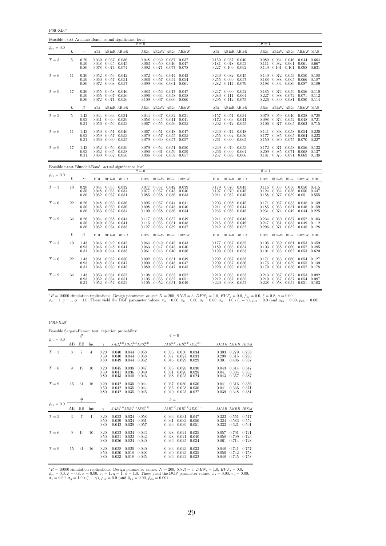P0ft-XL0<sup>∗</sup>

| Feasible t-test Arellano-Bond: actual significance level |    |                      |                         |                                                                     |                                         |                         |                                                                     |                |                                   |                |                                                                         |                |                         |                                                                     |                         |                                                         |                         |
|----------------------------------------------------------|----|----------------------|-------------------------|---------------------------------------------------------------------|-----------------------------------------|-------------------------|---------------------------------------------------------------------|----------------|-----------------------------------|----------------|-------------------------------------------------------------------------|----------------|-------------------------|---------------------------------------------------------------------|-------------------------|---------------------------------------------------------|-------------------------|
| $\bar{\rho}_{x\varepsilon}=0.0$                          |    |                      |                         |                                                                     |                                         | $\theta = 0$            |                                                                     |                |                                   |                |                                                                         |                | $\theta = 1$            |                                                                     |                         |                                                         |                         |
|                                                          | L  | $\gamma$             |                         |                                                                     | AB1 AB1aR AB1cR                         |                         |                                                                     |                | AB2a AB2aW AB2c AB2cW             |                | AB1 AB1aR AB1cR                                                         |                |                         | AB2a AB2aW AB2c AB2cW MAB                                           |                         |                                                         |                         |
| $T=3$                                                    | 5  | 0.20<br>0.50<br>0.80 | 0.048<br>0.078          | 0.039 0.037 0.036                                                   | $0.045$ 0.045<br>0.074 0.074            | 0.063<br>0.092          | $0.048$ $0.039$ $0.037$ $0.037$<br>0.050<br>$0.071$ 0.077           | 0.046          | 0.047<br>0.078                    | 0.181          | $0.159$ $0.057$ $0.040$<br>0.078<br>$0.227$ 0.109                       | 0.053<br>0.092 | 0.149                   | $0.089$ $0.064$ $0.046$ $0.044$ $0.664$<br>$0.111$ $0.082$<br>0.101 | 0.061<br>0.101          | 0.061<br>0.098                                          | 0.667<br>0.631          |
| $T=6$                                                    | 11 | 0.20<br>0.50<br>0.80 |                         | $0.052$ $0.053$ $0.042$<br>$0.060$ $0.057$ $0.051$<br>$0.072$ 0.068 | 0.057                                   | 0.072<br>0.086<br>0.099 | 0.054<br>$0.057$ 0.054<br>0.068                                     | 0.061          | $0.044$ $0.043$<br>0.054<br>0.061 |                | 0.230 0.082 0.045<br>$0.255$ $0.099$ $0.057$<br>$0.282$ $0.114$ $0.079$ |                | 0.188<br>0.198          | $0.149$ $0.072$<br>0.088<br>0.094                                   | 0.053<br>0.065<br>0.089 | $0.050 \quad 0.188$<br>$0.066$ $0.187$<br>$0.087$ 0.189 |                         |
| $T=9$                                                    | 17 | 0.20<br>0.50<br>0.80 | 0.055<br>0.065          | 0.058<br>0.067<br>$0.072$ $0.071$ $0.056$                           | 0.046<br>0.056                          | 0.083<br>0.096<br>0.109 | 0.056 0.047<br>0.064<br>$0.067$ 0.060                               | 0.058          | 0.047<br>0.058<br>0.060           |                | 0.247 0.090 0.052<br>$0.280$ $0.111$ $0.064$<br>$0.295$ $0.112$ $0.075$ |                | 0.185<br>0.227<br>0.226 | 0.074<br>0.088<br>$0.090 \quad 0.081$                               | 0.059<br>0.072          | $0.056$ $0.110$<br>0.071<br>$0.080$ $0.114$             | 0.112                   |
|                                                          | L  | $\beta$              | AB1                     | AB1aR AB1cR                                                         |                                         |                         |                                                                     |                | AB2a AB2aW AB2c AB2cW             | AB1            | AB1aR AB1cR                                                             |                |                         | AB2a AB2aW AB2c AB2cW MAB                                           |                         |                                                         |                         |
| $T=3$                                                    | 5  | 1.43<br>0.93<br>0.31 | 0.041<br>0.056          | 0.034 0.033 0.031<br>0.056                                          | $0.040$ $0.039$<br>0.053                | 0.058<br>0.067          | $0.044$ $0.037$ $0.032$ $0.031$<br>0.045<br>0.055                   | 0.041<br>0.056 | 0.041<br>0.055                    | 0.172          | 0.157 0.051 0.034<br>$0.063$ $0.041$<br>$0.202$ $0.072$ $0.055$         |                | 0.098<br>0.106          | 0.079 0.059 0.040 0.038 0.728<br>0.073<br>0.077                     | 0.052<br>0.065          | 0.048 0.721<br>$0.062$ 0.715                            |                         |
| $T=6$                                                    | 11 | 1.43<br>0.93<br>0.31 | 0.050<br>0.059          | 0.057<br>$0.060$ $0.060$ $0.055$                                    | $0.051$ $0.046$<br>0.053                | 0.067<br>0.079<br>0.079 | 0.051 0.048<br>0.057<br>$0.060$ $0.057$                             | 0.055          | 0.047<br>0.055<br>0.057           | 0.255          | $0.230$ $0.074$ $0.048$<br>$0.092$ 0.056<br>$0.261$ $0.090$ $0.065$     |                | 0.177                   | $0.141$ $0.068$<br>0.085<br>$0.159$ $0.080$                         | 0.058<br>0.065<br>0.075 | $0.054$ $0.220$<br>$0.064$ $0.223$<br>$0.070$ $0.227$   |                         |
| $T=9$                                                    | 17 | 1.43<br>0.93<br>0.31 | 0.052<br>0.062          | 0.056<br>0.065<br>$0.060$ $0.062$ $0.056$                           | 0.050<br>0.058                          | 0.079<br>0.090<br>0.086 | $0.054$ $0.051$<br>$0.061$ $0.059$<br>$0.061$ $0.058$ $0.057$       |                | 0.050<br>0.059                    | 0.239          | 0.079<br>0.266 0.099<br>$0.257$ 0.089 0.066                             | 0.053<br>0.064 | 0.172<br>0.209          | 0.071<br>0.085<br>$0.181$ $0.075$ $0.071$ $0.069$                   | 0.058<br>0.071          | 0.056<br>0.068                                          | 0.133<br>0.137<br>0.138 |
| Feasible t-test Blundell-Bond: actual significance level |    |                      |                         |                                                                     |                                         | $\theta = 0$            |                                                                     |                |                                   |                |                                                                         |                | $\theta = 1$            |                                                                     |                         |                                                         |                         |
| $\bar{\rho}_{x\varepsilon}=0.0$                          | L  | $\gamma$             |                         |                                                                     | BB1 BB1aR BB1cR                         |                         |                                                                     |                | BB2a BB2aW BB2c BB2cW             |                | BB1 BB1aR BB1cR                                                         |                |                         |                                                                     |                         | BB2a BB2aW BB2c BB2cW MBB                               |                         |
| ${\cal T}=3$                                             | 10 | 0.20                 |                         |                                                                     |                                         |                         |                                                                     |                |                                   |                |                                                                         |                |                         |                                                                     |                         |                                                         |                         |
|                                                          |    | 0.50<br>0.80         | 0.048<br>0.052          | $0.044$ $0.055$ $0.032$<br>0.055                                    | 0.034<br>$0.057$ $0.031$                | 0.077<br>0.085          | $0.077$ $0.057$ $0.042$ $0.039$<br>0.057<br>0.058                   | 0.043<br>0.036 | 0.040<br>0.033                    |                | 0.179 0.070 0.043<br>$0.197$ 0.070<br>$0.211$ $0.082$ $0.045$           | 0.045          | 0.124<br>0.158          | $0.116$ $0.065$ $0.056$ $0.050$ $0.415$<br>0.064<br>0.077           | 0.056<br>0.059          | 0.050<br>0.051                                          | 0.447<br>0.555          |
| $T=6$                                                    | 22 | 0.20<br>0.50<br>0.80 | 0.048<br>0.045<br>0.053 | 0.057                                                               | 0.053 0.036<br>$0.050$ $0.036$<br>0.034 | 0.095<br>0.098<br>0.109 | $0.057$ 0.044<br>0.054<br>0.058                                     | 0.043<br>0.036 | 0.041<br>0.040<br>0.034           | 0.235          | $0.203$ $0.068$ $0.045$<br>$0.211$ $0.069$<br>0.086                     | 0.044<br>0.048 | 0.185<br>0.231          | $0.171$ $0.067$ $0.053$<br>0.063<br>0.074                           | 0.051<br>0.049          | $0.048$ 0.139<br>$0.046$ $0.159$<br>$0.044$ $0.225$     |                         |
| $T=9$                                                    | 34 | 0.20<br>0.50<br>0.80 | 0.054<br>0.049          | 0.054<br>$0.052$ $0.054$ $0.038$                                    | 0.058 0.044<br>0.041                    | 0.115                   | $0.117$ $0.058$<br>0.055<br>$0.127$ $0.056$ $0.039$ $0.037$         | 0.051          | $0.052$ 0.049<br>0.048            |                | $0.211$ $0.067$ $0.048$<br>$0.215$ 0.068<br>$0.242$ $0.086$ $0.052$     | 0.049          | 0.247                   | $0.234$ $0.060$ $0.057$<br>0.061<br>$0.296$ $0.071$ $0.052$         | 0.053                   | $0.052$ 0.103<br>0.049<br>0.048 0.128                   | 0.112                   |
|                                                          | L  | β                    | BB1                     | BB1aR BB1cR                                                         |                                         |                         |                                                                     |                | BB2a BB2aW BB2c BB2cW             | BB1            | BB1aR BB1cR                                                             |                |                         | BB2a BB2aW BB2c                                                     |                         | BB2cW MBB                                               |                         |
| $T=3$                                                    | 10 | 1.43<br>0.93<br>0.31 | 0.046<br>0.040          | $0.046$ $0.049$ $0.042$<br>0.048<br>0.044 0.038                     | 0.041                                   | 0.063                   | $0.064$ $0.049$ $0.045$ $0.043$<br>0.047<br>$0.061$ $0.043$ $0.040$ | 0.043          | 0.040<br>0.036                    | 0.189<br>0.190 | $0.177$ $0.067$ $0.055$<br>$0.066$ $0.054$<br>$0.061$ $0.053$           |                | 0.103                   | $0.105$ $0.059$ $0.061$<br>0.058<br>$0.101$ $0.056$                 | 0.060<br>0.062          | 0.053 0.459<br>0.052<br>0.053                           | 0.495<br>0.620          |
| $T=6$                                                    | 22 | 1.43<br>0.93<br>0.31 | 0.051<br>0.048          | 0.051<br>$0.046$ $0.050$ $0.045$                                    | $0.052$ 0.050<br>0.047                  | 0.092<br>0.090<br>0.089 | 0.056<br>0.055<br>$0.052$ $0.047$ $0.045$                           | 0.051<br>0.048 | 0.049<br>0.047                    | 0.209          | $0.202$ $0.067$ $0.058$<br>$0.067$ 0.056<br>$0.220$ $0.069$ $0.055$     |                | 0.171<br>0.175<br>0.179 | 0.063<br>0.061<br>0.061                                             | 0.060<br>0.059<br>0.056 | $0.054$ $0.127$<br>0.055<br>$0.052$ 0.178               | 0.139                   |

 ${}^*R = 10000$  simulation replications. Design parameter values:  $N = 200$ ,  $SNR = 3$ ,  $DEN_y = 1.0$ ,  $EVF_x = 0.0$ ,  $\bar{\rho}_{x\bar{x}} = 0.0$ ,  $\xi = 0.8$ ,  $\kappa = 0.00$ ,<br> $\sigma_{\bar{x}} = 1$ ,  $q = 1$ ,  $\phi = 1.0$ . These yield the DGP parameter values:

P0fJ-XL0<sup>∗</sup>

|                                 |    |                |     |                      | Feasible Sargan-Hansen test: rejection probability |                         |                         |                         |                                           |                         |                         |                         |
|---------------------------------|----|----------------|-----|----------------------|----------------------------------------------------|-------------------------|-------------------------|-------------------------|-------------------------------------------|-------------------------|-------------------------|-------------------------|
|                                 |    | df             |     |                      |                                                    |                         | $\theta = 0$            |                         |                                           |                         |                         |                         |
| $\bar{\rho}_{x\varepsilon}=0.0$ | AВ | <b>BB</b>      | Inc | $\sim$               | $JAB_a^{(2,1)}JBB_a^{(2,1)}JES_a^{(2,1)}$          |                         |                         |                         | $JAB_c^{(2,1)}JBB_c^{(2,1)}JES_c^{(2,1)}$ |                         | JMAB JMBB JESM          |                         |
| $T=3$                           | 3  | 7              | 4   | 0.20<br>0.50<br>0.80 | 0.040<br>0.044<br>0.040<br>0.044<br>0.049<br>0.044 | 0.058<br>0.058<br>0.052 | 0.036<br>0.037<br>0.046 | 0.030<br>0.027<br>0.029 | 0.034<br>0.033<br>0.029                   | 0.303<br>0.299<br>0.301 | 0.279<br>0.315<br>0.406 | 0.258<br>0.295<br>0.387 |
| $T=6$                           | 9  | 19             | 10  | 0.20<br>0.50<br>0.80 | 0.045<br>0.038<br>0.041<br>0.036<br>0.043<br>0.040 | 0.047<br>0.049<br>0.046 | 0.035<br>0.031<br>0.038 | 0.028<br>0.026<br>0.025 | 0.030<br>0.028<br>0.024                   | 0.043<br>0.041<br>0.043 | 0.314<br>0.334<br>0.357 | 0.347<br>0.365<br>0.387 |
| $T=9$                           | 15 | 31             | 16  | 0.20<br>0.50<br>0.80 | 0.042<br>0.036<br>0.042<br>0.035<br>0.042<br>0.035 | 0.044<br>0.044<br>0.045 | 0.037<br>0.035<br>0.040 | 0.030<br>0.028<br>0.025 | 0.030<br>0.030<br>0.027                   | 0.041<br>0.041<br>0.039 | 0.316<br>0.336<br>0.348 | 0.356<br>0.371<br>0.381 |
|                                 |    | df             |     |                      |                                                    |                         | $\theta=1$              |                         |                                           |                         |                         |                         |
| $\bar{\rho}_{x\varepsilon}=0.0$ | AВ | <b>BB</b>      | Inc | $\sim$               | $JAB_a^{(2,1)}JBB_a^{(2,1)}JES_a^{(2,1)}$          |                         |                         |                         | $JAB_c^{(2,1)}JBB_c^{(2,1)}JES_c^{(2,1)}$ |                         | JMAB JMBB JESM          |                         |
| $T=3$                           | 3  | $\overline{7}$ | 4   | 0.20<br>0.50<br>0.80 | 0.032<br>0.034<br>0.029<br>0.034<br>0.042<br>0.039 | 0.058<br>0.061<br>0.057 | 0.033<br>0.031<br>0.043 | 0.031<br>0.033<br>0.039 | 0.047<br>0.050<br>0.051                   | 0.323<br>0.324<br>0.333 | 0.551<br>0.583<br>0.621 | 0.517<br>0.552<br>0.591 |
| $T=6$                           | 9  | 19             | 10  | 0.20<br>0.50<br>0.80 | 0.032<br>0.024<br>0.031<br>0.022<br>0.036<br>0.024 | 0.043<br>0.042<br>0.040 | 0.028<br>0.028<br>0.036 | 0.024<br>0.021<br>0.025 | 0.035<br>0.040<br>0.034                   | 0.057<br>0.058<br>0.061 | 0.701<br>0.709<br>0.714 | 0.721<br>0.723<br>0.728 |
| $T=9$                           | 15 | 31             | 16  | 0.20<br>0.50<br>0.80 | 0.028<br>0.020<br>0.030<br>0.018<br>0.033<br>0.018 | 0.040<br>0.038<br>0.035 | 0.033<br>0.030<br>0.036 | 0.023<br>0.023<br>0.022 | 0.033<br>0.035<br>0.032                   | 0.048<br>0.050<br>0.048 | 0.741<br>0.742<br>0.745 | 0.757<br>0.758<br>0.758 |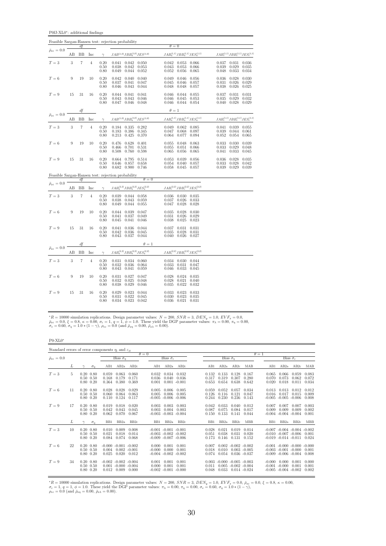P0fJ-XL0<sup>∗</sup> : additional findings

|                                   |                  |                   |                |                      | Feasible Sargan-Hansen test: rejection probability                                     |                         |                                                        |                                   |                                           |                                                                                                |                                       |                                           |
|-----------------------------------|------------------|-------------------|----------------|----------------------|----------------------------------------------------------------------------------------|-------------------------|--------------------------------------------------------|-----------------------------------|-------------------------------------------|------------------------------------------------------------------------------------------------|---------------------------------------|-------------------------------------------|
| $\bar{\rho}_{x\epsilon}=0.0$      |                  | df                |                |                      |                                                                                        |                         | $\theta = 0$                                           |                                   |                                           |                                                                                                |                                       |                                           |
|                                   | AВ               | BB                | Inc            | $\gamma$             | $JAB^{\left( 1,0\right) }JBB_{a}^{\left( 1,0\right) }JES^{\left( 1,0\right) }$         |                         |                                                        |                                   |                                           | $JAB_a^{(1,1)}JBB_a^{(1,1)}JES_a^{(1,1)} \hspace{2cm} JAB_c^{(1,1)}JBB_c^{(1,1)}JES_c^{(1,1)}$ |                                       |                                           |
| $T=3$                             | 3                | $\overline{7}$    | $\overline{4}$ | 0.20<br>0.50<br>0.80 | 0.041<br>$0.042$ 0.050<br>0.038<br>0.042<br>$0.044$ 0.052<br>0.049                     | 0.053                   | 0.042<br>0.043<br>0.052                                | 0.053<br>0.053<br>0.056           | 0.066<br>0.066<br>0.065                   | 0.039<br>0.048                                                                                 | $0.037$ $0.031$<br>0.029<br>0.033     | 0.036<br>0.035<br>0.034                   |
| $T=6$                             | 9                | 19                | 10             | 0.20<br>0.50<br>0.80 | 0.042<br>$0.040 \quad 0.040$<br>0.037<br>0.041<br>0.046<br>0.043                       | 0.047<br>0.044          | 0.049<br>0.045<br>0.048                                | 0.046<br>$\,0.046\,$<br>0.048     | 0.056<br>0.057<br>0.057                   | 0.036<br>0.031<br>0.038                                                                        | 0.028<br>0.026<br>0.026               | 0.030<br>0.029<br>0.025                   |
| $T=9$                             | 15               | 31                | 16             | 0.20<br>0.50<br>0.80 | 0.041<br>0.044<br>$0.043$ 0.046<br>0.043<br>$0.047$ $0.046$ $0.048$                    | 0.041                   | 0.046<br>0.046<br>0.046                                | 0.044<br>0.045<br>0.044 0.054     | 0.055<br>0.053                            | 0.037<br>0.035                                                                                 | 0.031<br>0.029<br>$0.040 \quad 0.028$ | 0.031<br>0.032<br>0.029                   |
| $\bar{\rho}_{x\varepsilon}=0.0$   |                  | df                |                |                      |                                                                                        |                         | $\theta = 1$                                           |                                   |                                           |                                                                                                |                                       |                                           |
|                                   | AB               | BB                | Inc            | $\gamma$             | $JAB^{\left( 1,0\right) }JBB_{a}^{\left( 1,0\right) }JES^{\left( 1,0\right) }$         |                         |                                                        |                                   | $JAB^{(1,1)}_aJBB^{(1,1)}_aJES^{(1,1)}_a$ |                                                                                                |                                       | $JAB_c^{(1,1)}JBB_c^{(1,1)}JES_c^{(1,1)}$ |
| $T=3$                             | $\sqrt{3}$       | 7                 | $\overline{4}$ | 0.20<br>0.50<br>0.80 | 0.184<br>0.335 0.282<br>0.183<br>0.386<br>0.425<br>0.213                               | 0.345<br>0.370          | 0.049<br>0.047<br>0.064                                | 0.062<br>0.068<br>0.077           | 0.085<br>0.097<br>0.094                   | 0.041<br>0.039<br>0.052                                                                        | 0.039<br>0.044<br>0.054               | 0.055<br>0.061<br>0.065                   |
| $T=6$                             | 9                | 19                | 10             | 0.20<br>0.50<br>0.80 | 0.476<br>0.628<br>0.466<br>0.701<br>0.760<br>0.508                                     | 0.401<br>0.531<br>0.598 | 0.055<br>0.055<br>0.065                                | 0.048<br>0.051<br>0.056           | 0.063<br>0.066<br>0.065                   | 0.033<br>0.033<br>0.041                                                                        | 0.030<br>0.029<br>0.033               | 0.039<br>0.048<br>0.045                   |
| $T=9$                             | 15               | 31                | 16             | 0.20<br>0.50<br>0.80 | 0.795<br>0.664<br>0.646<br>0.857<br>0.682<br>0.900                                     | 0.514<br>0.658<br>0.746 | 0.053<br>0.054<br>0.058                                | 0.039<br>0.040<br>0.045           | 0.056<br>0.057<br>0.057                   | 0.036<br>0.033<br>$\,0.039\,$                                                                  | 0.028<br>0.028<br>0.029               | 0.035<br>0.042<br>0.039                   |
|                                   |                  | df                |                |                      | Feasible Sargan-Hansen test: rejection probability                                     | $\theta = 0$            |                                                        |                                   |                                           |                                                                                                |                                       |                                           |
| $\bar{\rho}_{x\varepsilon} = 0.0$ | AB               | BB                | Inc            | $\gamma$             | $JAB_{a}^{\left( 2,2\right) }JBB_{a}^{\left( 2,2\right) }JES_{a}^{\left( 2,2\right) }$ |                         |                                                        |                                   | $JAB_c^{(2,2)}JBB_c^{(2,2)}JES_c^{(2,2)}$ |                                                                                                |                                       |                                           |
| $T=3$                             | $\boldsymbol{3}$ | $\scriptstyle{7}$ | $\overline{4}$ | 0.20<br>0.50<br>0.80 | $0.039$ $0.044$ $0.058$<br>0.038<br>0.043<br>0.049<br>0.044                            | 0.059<br>0.055          | 0.036<br>0.037<br>0.047                                | $0.030$ $0.035$<br>0.026<br>0.028 | 0.033<br>0.028                            |                                                                                                |                                       |                                           |
| $T=6$                             | 9                | 19                | 10             | 0.20<br>0.50<br>0.80 | 0.044<br>0.039<br>0.041<br>0.037<br>0.045<br>0.041                                     | 0.047<br>0.049<br>0.046 | 0.035<br>0.031<br>0.038                                | 0.028<br>0.026<br>0.025           | 0.030<br>0.029<br>0.023                   |                                                                                                |                                       |                                           |
| $T=9$                             | 15               | 31                | 16             | 0.20<br>0.50<br>0.80 | 0.041<br>0.036<br>0.042<br>0.036<br>0.037 0.044<br>0.043                               | 0.044<br>0.045          | $\begin{array}{c} 0.037 \\ 0.035 \\ 0.040 \end{array}$ | 0.031<br>0.028<br>0.026           | 0.031<br>0.031<br>0.027                   |                                                                                                |                                       |                                           |
| $\bar{\rho}_{x\varepsilon}=0.0$   |                  | $\mathcal{A}$ f   |                |                      |                                                                                        | $\theta = 1$            |                                                        |                                   |                                           |                                                                                                |                                       |                                           |
|                                   | AB               | BB                | Inc            | $\gamma$             | $JAB_a^{(2,2)}JBB_a^{(2,2)}JES_a^{(2,2)}$                                              |                         |                                                        |                                   | $JAB_c^{(2,2)}JBB_c^{(2,2)}JES_c^{(2,2)}$ |                                                                                                |                                       |                                           |
| $T=3$                             | 3                | $\scriptstyle{7}$ | $\overline{4}$ | 0.20<br>0.50<br>0.80 | 0.031<br>0.034 0.060<br>0.032<br>0.036<br>0.043<br>0.041                               | 0.064<br>0.059          | 0.034<br>0.033<br>0.046                                | 0.030 0.044<br>0.031<br>0.033     | 0.047<br>0.045                            |                                                                                                |                                       |                                           |
| $T=6$                             | 9                | 19                | 10             | 0.20<br>0.50<br>0.80 | 0.031<br>0.027<br>0.032<br>0.025<br>0.038<br>0.029                                     | 0.047<br>0.048<br>0.046 | 0.028<br>0.028<br>0.035                                | 0.024<br>0.021<br>0.022           | 0.035<br>0.040<br>0.032                   |                                                                                                |                                       |                                           |
| $T=9$                             | 15               | 31                | 16             | 0.20<br>0.50<br>0.80 | 0.029<br>0.023<br>0.022<br>0.031<br>0.034<br>0.023                                     | 0.044<br>0.045<br>0.042 | 0.033<br>0.030<br>0.036                                | 0.023<br>0.023<br>0.021           | 0.033<br>0.035<br>0.031                   |                                                                                                |                                       |                                           |

P0-XL0<sup>∗</sup>

| Standard errors of error components $\eta_i$ and $\varepsilon_{it}$ |    |                                                        |            |                            |                                                              |                         |                                                                                      |                       |                                   |                         |                         |                                                                               |                         |                            |                                                                                                       |                                 |                         |
|---------------------------------------------------------------------|----|--------------------------------------------------------|------------|----------------------------|--------------------------------------------------------------|-------------------------|--------------------------------------------------------------------------------------|-----------------------|-----------------------------------|-------------------------|-------------------------|-------------------------------------------------------------------------------|-------------------------|----------------------------|-------------------------------------------------------------------------------------------------------|---------------------------------|-------------------------|
| $\bar{\rho}_{x\varepsilon} = 0.0$                                   |    |                                                        |            |                            | Bias $\tilde{\sigma}_n$                                      |                         | $\theta = 0$                                                                         | Bias $\hat{\sigma}_e$ |                                   |                         | Bias $\hat{\sigma}_n$   |                                                                               |                         | $\theta = 1$               |                                                                                                       | Bias $\hat{\sigma}_\varepsilon$ |                         |
|                                                                     | L  |                                                        | $\sigma_n$ | AB1                        | AB2a                                                         | AB2c                    | AB1                                                                                  | AB2a                  | AB2c                              | AB1                     | AB2a                    | AB2c                                                                          | MAB                     | AB1                        | AB2a                                                                                                  | AB2c                            | MAB                     |
| $T=3$                                                               | 5. | $0.20\ 0.80$<br>$0.50 \quad 0.50$<br>$0.80 \quad 0.20$ |            | 0.059<br>0.168<br>0.364    | 0.063<br>0.179<br>0.380                                      | 0.060<br>0.171<br>0.369 | 0.032<br>0.036<br>0.001                                                              | 0.034<br>0.040        | 0.032<br>0.036<br>$0.001 - 0.001$ | 0.132<br>0.317<br>0.653 | 0.133<br>0.319<br>0.654 | 0.128<br>0.307<br>0.638                                                       | 0.167<br>0.280<br>0.642 | 0.065<br>0.070<br>0.020    | 0.066<br>0.073<br>0.018                                                                               | 0.059<br>0.062<br>0.011         | 0.083<br>0.072<br>0.034 |
| $T=6$                                                               | 11 | $0.20\ 0.80$<br>$0.50 \quad 0.50$<br>$0.80\ 0.20$      |            | 0.028<br>0.060<br>0.110    | 0.028<br>0.064<br>0.124                                      | 0.029<br>0.063<br>0.117 | 0.005<br>0.005<br>$-0.005 - 0.006 - 0.006$                                           | 0.006<br>0.006        | 0.005<br>0.005                    | 0.059<br>0.126<br>0.244 | 0.052<br>0.116<br>0.230 | 0.057<br>0.121<br>0.236                                                       | 0.034<br>0.047<br>0.143 | 0.013<br>0.016<br>$-0.005$ | 0.013<br>0.017<br>$-0.005 - 0.006$                                                                    | 0.012<br>0.015                  | 0.012<br>0.009<br>0.008 |
| $T=9$                                                               | 17 | $0.20\ 0.80$<br>$0.50 \quad 0.50$<br>$0.80\ 0.20$      |            | 0.019<br>0.042<br>0.062    | 0.018<br>0.043<br>0.070                                      | 0.020<br>0.045<br>0.067 | 0.003<br>0.003<br>$-0.003 - 0.003 - 0.004$                                           | 0.003<br>0.004        | 0.003<br>0.003                    | 0.042<br>0.087<br>0.150 | 0.033<br>0.075<br>0.133 | 0.040<br>0.084<br>0.141                                                       | 0.012<br>0.017<br>0.044 | 0.007<br>0.009             | 0.007<br>0.009<br>$-0.004$ $-0.004$ $-0.004$                                                          | 0.007<br>0.009                  | 0.003<br>0.002<br>0.001 |
|                                                                     | L  | $\sim$                                                 | $\sigma_n$ | B <sub>B1</sub>            | BB <sub>2a</sub>                                             | BB2c                    | B <sub>B1</sub>                                                                      | BB <sub>2a</sub>      | BB2c                              | B <sub>B1</sub>         | BB <sub>2a</sub>        | BB <sub>2c</sub>                                                              | <b>MBB</b>              | B <sub>B1</sub>            | BB <sub>2a</sub>                                                                                      | BB <sub>2c</sub>                | <b>MBB</b>              |
| $T=3$                                                               | 10 | $0.20\ 0.80$<br>$0.50 \quad 0.50$<br>$0.80 \quad 0.20$ |            | 0.010<br>0.021<br>0.084    | 0.009<br>0.018<br>0.074                                      | 0.008<br>0.014<br>0.068 | $-0.001 - 0.001 - 0.001$<br>$-0.003$ $-0.002$ $-0.002$<br>$-0.009$ $-0.007$ $-0.006$ |                       |                                   | 0.028<br>0.051<br>0.173 | 0.021<br>0.038<br>0.146 | 0.019<br>0.031<br>0.131                                                       | 0.014<br>0.020<br>0.152 |                            | $-0.007$ $-0.004$ $-0.004$ $-0.002$<br>$-0.010$ $-0.007$ $-0.006$ 0.001<br>$-0.019$ $-0.014$ $-0.011$ |                                 | 0.024                   |
| $T=6$                                                               | 22 | $0.20\ 0.80$<br>$0.50 \quad 0.50$<br>$0.80\ 0.20$      |            | $-0.000$<br>0.004<br>0.025 | $-0.001 - 0.002$<br>$0.002 - 0.001$                          | $0.020 \quad 0.012$     | 0.000<br>$-0.000$<br>$-0.004$ $-0.002$ $-0.002$                                      | 0.001<br>0.000        | 0.001<br>0.001                    | 0.007<br>0.018<br>0.074 | 0.010<br>0.054          | $0.002 - 0.002 - 0.002$<br>$0.003 - 0.005$<br>$0.036 - 0.037$                 |                         |                            | $-0.001$ $-0.000$ $-0.000$ $-0.000$<br>$-0.003$ $-0.001$ $-0.000$<br>$-0.009$ $-0.006$ $-0.004$       |                                 | 0.001<br>0.008          |
| $T=9$                                                               | 34 | $0.20\ 0.80$<br>$0.50 \quad 0.50$<br>$0.80\ 0.20$      |            | 0.012                      | $-0.002 - 0.002 - 0.004$<br>$0.001 - 0.000 - 0.004$<br>0.009 | 0.000                   | 0.001<br>0.000<br>$-0.002 - 0.001 - 0.000$                                           | 0.001<br>0.001        | 0.001<br>0.001                    | 0.011<br>0.048          | 0.033                   | $0.003 - 0.000 - 0.005 - 0.003$<br>$0.005 - 0.002 - 0.004$<br>$0.014 - 0.024$ |                         | $-0.000$<br>$-0.005$       | 0.000<br>$-0.001 - 0.000$<br>$-0.004 - 0.002$                                                         | 0.001<br>0.001                  | 0.000<br>0.001<br>0.002 |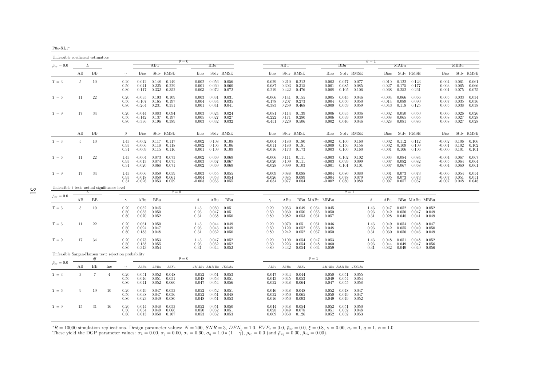| J()11- |
|--------|
|        |

<span id="page-30-0"></span>

| Unfeasible coefficient estimators                    |                 |           |                |                      |                                  |                         |                         |                                  |                               |                                   |                                  |                         |                         |                         |                                  |                         |                         |                      |                                  |                         |                         |                         |                                  |                         |                         |
|------------------------------------------------------|-----------------|-----------|----------------|----------------------|----------------------------------|-------------------------|-------------------------|----------------------------------|-------------------------------|-----------------------------------|----------------------------------|-------------------------|-------------------------|-------------------------|----------------------------------|-------------------------|-------------------------|----------------------|----------------------------------|-------------------------|-------------------------|-------------------------|----------------------------------|-------------------------|-------------------------|
| $\bar{\rho}_{x\varepsilon}=0.0$                      |                 | L         |                |                      |                                  | ABu                     |                         | $\theta = 0$                     | BBu                           |                                   |                                  | ABu                     |                         |                         |                                  | BBu                     |                         | $\theta = 1$         |                                  | MABu                    |                         |                         |                                  | MBBu                    |                         |
|                                                      | AB              | BB        |                | $\gamma$             | Bias                             |                         | Stdy RMSE               | Bias                             |                               | Stdy RMSE                         | Bias                             |                         | Stdy RMSE               |                         | Bias                             |                         | Stdy RMSE               |                      | <b>Bias</b>                      |                         | Stdy RMSE               |                         | Bias                             |                         | Stdv RMSE               |
| $T=3$                                                | $5\phantom{.0}$ | 10        |                | 0.20<br>0.50<br>0.80 | $-0.012$<br>$-0.041$<br>$-0.117$ | 0.148<br>0.225<br>0.332 | 0.149<br>0.229<br>0.352 | 0.002<br>0.001<br>$-0.003$       | 0.056<br>0.060<br>0.072       | 0.056<br>0.060<br>0.072           | $-0.029$<br>$-0.087$<br>$-0.219$ | 0.210<br>0.303<br>0.422 | 0.212<br>0.315<br>0.476 |                         | 0.002<br>$-0.001$<br>$-0.008$    | 0.077<br>0.085<br>0.105 | 0.077<br>0.085<br>0.106 |                      | $-0.010$<br>$-0.027$<br>$-0.068$ | 0.122<br>0.175<br>0.252 | 0.123<br>0.177<br>0.261 |                         | 0.004<br>0.003<br>$-0.001$       | 0.061<br>0.065<br>0.075 | 0.061<br>0.066<br>0.075 |
| $T=6$                                                | 11              | 22        |                | 0.20<br>0.50<br>0.80 | $-0.035$<br>$-0.107$<br>$-0.264$ | 0.103<br>0.165<br>0.231 | 0.109<br>0.197<br>0.351 | 0.003<br>0.004<br>0.001          | 0.031<br>0.034<br>0.041       | 0.031<br>0.035<br>0.041           | $-0.066$<br>$-0.178$<br>$-0.383$ | 0.141<br>0.207<br>0.269 | 0.155<br>0.273<br>0.468 |                         | 0.005<br>0.004<br>$-0.000$       | 0.045<br>0.050<br>0.059 | 0.046<br>0.050<br>0.059 |                      | $-0.004$<br>$-0.014$<br>$-0.043$ | 0.066<br>0.089<br>0.118 | 0.066<br>0.090<br>0.125 |                         | 0.005<br>0.007<br>0.005          | 0.033<br>0.035<br>0.038 | 0.034<br>0.036<br>0.038 |
| $T=9$                                                | 17              | 34        |                | 0.20<br>0.50<br>0.80 | $-0.044$<br>$-0.142$<br>$-0.336$ | 0.083<br>0.137<br>0.196 | 0.094<br>0.197<br>0.389 | 0.003<br>0.005<br>0.003          | 0.024<br>0.027<br>0.032       | 0.024<br>0.027<br>0.032           | $-0.081$<br>$-0.222$<br>$-0.451$ | 0.114<br>0.171<br>0.229 | 0.139<br>0.280<br>0.506 |                         | 0.006<br>0.006<br>0.002          | 0.035<br>0.039<br>0.046 | 0.036<br>0.039<br>0.046 |                      | $-0.002$<br>$-0.008$<br>$-0.028$ | 0.050<br>0.065<br>0.081 | 0.050<br>0.065<br>0.086 |                         | 0.006<br>0.008<br>0.008          | 0.026<br>0.027<br>0.027 | 0.026<br>0.028<br>0.028 |
|                                                      | AВ              | <b>BB</b> |                | $\beta$              | <b>Bias</b>                      |                         | Stdy RMSE               | Bias                             |                               | Stdy RMSE                         | <b>Bias</b>                      |                         | Stdy RMSE               |                         | <b>Bias</b>                      |                         | Stdy RMSE               |                      | <b>Bias</b>                      |                         | Stdy RMSE               |                         | <b>Bias</b>                      |                         | Stdy RMSE               |
| $T=3$                                                | -5              | 10        |                | 1.43<br>0.93<br>0.31 | $-0.002$<br>$-0.006$<br>$-0.009$ | 0.117<br>0.118<br>0.115 | 0.117<br>0.118<br>0.116 | $-0.002$<br>$-0.002$<br>0.001    | 0.108<br>0.106<br>0.109       | 0.108<br>0.106<br>0.109           | $-0.004$<br>$-0.011$<br>$-0.016$ | 0.180<br>0.180<br>0.173 | 0.180<br>0.181<br>0.173 |                         | $-0.002$<br>$-0.000$<br>0.003    | 0.160<br>0.156<br>0.160 | 0.160<br>0.156<br>0.160 |                      | 0.002<br>0.002<br>$-0.001$       | 0.112<br>0.109<br>0.106 | 0.112<br>0.109<br>0.106 |                         | $-0.002$<br>$-0.001$<br>$-0.000$ | 0.106<br>0.102<br>0.101 | 0.106<br>0.102<br>0.101 |
| $T=6$                                                | 11              | 22        |                | 1.43<br>0.93<br>0.31 | $-0.004$<br>$-0.013$<br>$-0.020$ | 0.073<br>0.074<br>0.068 | 0.073<br>0.075<br>0.071 | $-0.002$<br>$-0.003$<br>$-0.002$ | 0.069<br>0.067<br>0.069       | 0.069<br>0.067<br>0.069           | $-0.006$<br>$-0.020$<br>$-0.028$ | 0.111<br>0.109<br>0.099 | 0.111<br>0.111<br>0.103 |                         | $-0.003$<br>$-0.003$<br>$-0.001$ | 0.102<br>0.099<br>0.101 | 0.102<br>0.099<br>0.101 |                      | 0.003<br>0.007<br>0.007          | 0.084<br>0.082<br>0.067 | 0.084<br>0.082<br>0.068 |                         | $-0.004$<br>$-0.005$<br>$-0.004$ | 0.067<br>0.064<br>0.060 | 0.067<br>0.064<br>0.061 |
| $T=9$                                                | 17              | 34        |                | 1.43<br>0.93<br>0.31 | $-0.006$<br>$-0.018$<br>$-0.026$ | 0.059<br>0.059<br>0.053 | 0.059<br>0.061<br>0.059 | $-0.003$<br>$-0.004$<br>$-0.003$ | 0.055<br>0.053<br>0.055       | 0.055<br>0.054<br>0.055           | $-0.009$<br>$-0.026$<br>$-0.034$ | 0.088<br>0.085<br>0.077 | 0.088<br>0.089<br>0.084 |                         | $-0.004$<br>$-0.004$<br>$-0.002$ | 0.080<br>0.078<br>0.080 | 0.080<br>0.079<br>0.080 |                      | 0.001<br>0.005<br>0.007          | 0.073<br>0.073<br>0.057 | 0.073<br>0.073<br>0.057 |                         | $-0.006$<br>$-0.007$<br>$-0.007$ | 0.054<br>0.051<br>0.048 | 0.054<br>0.051<br>0.048 |
| Unfeasible t-test: actual significance level         |                 | L         |                |                      |                                  |                         | $\theta = 0$            |                                  |                               |                                   |                                  |                         |                         |                         |                                  | $\theta=1$              |                         |                      |                                  |                         |                         |                         |                                  |                         |                         |
| $\bar{\rho}_{x\varepsilon}=0.0$                      | AB              | BB        |                | $\gamma$             | ABu                              | BBu                     |                         | $\beta$                          | ABu                           | BBu                               | $\gamma$                         | ABu                     |                         | BBu MABu MBBu           |                                  |                         |                         | $\beta$              | ABu                              |                         | BBu MABu MBBu           |                         |                                  |                         |                         |
| $T=3$                                                | 5               | 10        |                | 0.20<br>0.50<br>0.80 | 0.052<br>0.055<br>0.070          | 0.045<br>0.050<br>0.052 |                         | 1.43<br>0.93<br>0.31             | 0.050<br>0.047<br>0.038       | 0.051<br>0.051<br>0.050           | 0.20<br>0.50<br>0.80             | 0.053<br>0.060<br>0.082 | 0.049<br>0.050<br>0.053 | 0.054<br>0.055<br>0.061 | 0.045<br>0.050<br>0.057          |                         |                         | 1.43<br>0.93<br>0.31 | 0.047<br>0.042<br>0.028          | 0.052<br>0.050<br>0.048 | 0.049<br>0.047<br>0.041 | 0.052<br>0.049<br>0.049 |                                  |                         |                         |
| $T=6$                                                | 11              | 22        |                | 0.20<br>0.50<br>0.80 | 0.061<br>0.094<br>0.183          | 0.050<br>0.047<br>0.048 |                         | 1.43<br>0.93<br>0.31             | 0.044<br>0.043<br>0.032       | 0.049<br>0.049<br>0.050           | 0.20<br>0.50<br>0.80             | 0.070<br>0.120<br>0.242 | 0.051<br>0.052<br>0.052 | 0.051<br>0.053<br>0.067 | 0.046<br>0.048<br>0.050          |                         |                         | 1.43<br>0.93<br>0.31 | 0.049<br>0.042<br>0.030          | 0.054<br>0.055<br>0.050 | 0.048<br>0.049<br>0.046 | 0.047<br>0.050<br>0.049 |                                  |                         |                         |
| $T=9$                                                | 17              | 34        |                | 0.20<br>0.50<br>0.80 | 0.073<br>0.158<br>0.343          | 0.053<br>0.055<br>0.054 |                         | 1.43<br>0.93<br>0.31             | 0.047<br>0.052                | 0.052<br>0.052<br>$0.044$ $0.052$ | 0.20<br>0.50<br>0.80             | 0.100<br>0.223<br>0.432 | 0.054<br>0.054<br>0.054 | 0.047<br>0.048<br>0.064 | 0.053<br>0.060<br>0.059          |                         |                         | 1.43<br>0.93<br>0.31 | 0.048<br>0.044<br>0.032          | 0.051<br>0.049<br>0.049 | 0.048<br>0.047<br>0.049 | 0.052<br>0.056<br>0.056 |                                  |                         |                         |
| Unfeasible Sargan-Hansen test: rejection probability |                 |           |                |                      |                                  |                         |                         | $\theta = 0$                     |                               |                                   |                                  |                         |                         | $\theta=1$              |                                  |                         |                         |                      |                                  |                         |                         |                         |                                  |                         |                         |
| $\bar{\rho}_{x\varepsilon}=0.0$                      | AВ              | BB        | Inc            | $\gamma$             | $JABu$                           | $JBBu$                  | $JESu$                  |                                  | $JMABu\quad JMMBu\quad JESMu$ |                                   | JABu                             | JBBu                    | JESu                    |                         | $JMABu\ JMMBu\ JESMu$            |                         |                         |                      |                                  |                         |                         |                         |                                  |                         |                         |
| $T=3$                                                | 3               | $\tau$    | $\overline{4}$ | 0.20<br>0.50<br>0.80 | 0.051<br>0.046<br>0.041          | 0.052<br>0.051<br>0.052 | 0.048<br>0.051<br>0.060 | 0.052<br>0.048<br>0.047          | 0.051<br>0.053<br>0.054       | 0.053<br>0.051<br>0.056           | 0.047<br>0.043<br>0.032          | 0.044<br>0.045<br>0.048 | 0.044<br>0.053<br>0.064 |                         | 0.050<br>0.049<br>0.047          | 0.051<br>0.054<br>0.055 | 0.055<br>0.054<br>0.058 |                      |                                  |                         |                         |                         |                                  |                         |                         |
| $T=6$                                                | 9               | 19        | 10             | 0.20<br>0.50<br>0.80 | 0.049<br>0.038<br>0.023          | 0.047<br>0.047<br>0.049 | 0.053<br>0.056<br>0.080 | 0.052<br>0.052<br>0.048          | 0.052<br>0.051<br>0.051       | 0.051<br>0.048<br>0.053           | 0.046<br>0.032<br>0.016          | 0.048<br>0.050<br>0.050 | 0.048<br>0.065<br>0.093 |                         | 0.052<br>0.050<br>0.049          | 0.048<br>0.049<br>0.049 | 0.047<br>0.047<br>0.052 |                      |                                  |                         |                         |                         |                                  |                         |                         |
| $T=9$                                                | 15              | 31        | 16             | 0.20<br>0.50<br>0.80 | 0.044<br>0.034<br>0.013          | 0.048<br>0.049<br>0.050 | 0.053<br>0.066<br>0.107 | 0.052<br>0.050<br>0.053          | 0.051<br>0.052<br>0.052       | 0.050<br>0.051<br>0.053           | 0.044<br>0.028<br>0.009          | 0.048<br>0.049<br>0.050 | 0.054<br>0.078<br>0.126 |                         | 0.052<br>0.051<br>0.052          | 0.051<br>0.052<br>0.052 | 0.050<br>0.048<br>0.053 |                      |                                  |                         |                         |                         |                                  |                         |                         |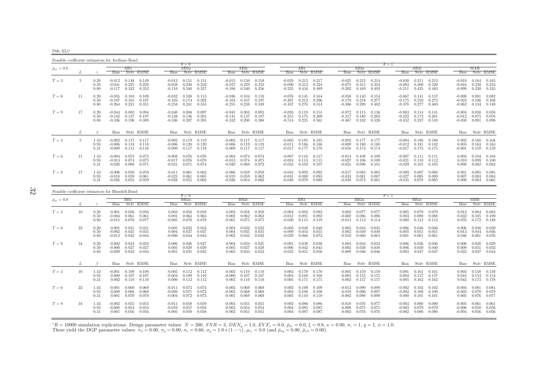P0fc-XL1∗

Feasible coefficient estimators for Arellano-Bond $\theta = 0$  $AB2a$  $\theta = 1$ <br>a  $\theta = 1$  $\bar{\rho}_{x\varepsilon}=0.0$  $_{\varepsilon}$  = 0.0  $_{\varepsilon}$   $_{\varepsilon}$   $_{\varepsilon}$   $_{\varepsilon}$   $_{\varepsilon}$   $_{\varepsilon}$   $_{\varepsilon}$   $_{\varepsilon}$   $_{\varepsilon}$   $_{\varepsilon}$   $_{\varepsilon}$   $_{\varepsilon}$   $_{\varepsilon}$   $_{\varepsilon}$   $_{\varepsilon}$   $_{\varepsilon}$   $_{\varepsilon}$   $_{\varepsilon}$   $_{\varepsilon}$   $_{\varepsilon}$   $_{\varepsilon}$   $_{\varepsilon}$   $_{\varepsilon}$ L  $\gamma$  Bias Stdv RMSE Bias Stdv RMSE Bias Stdv RMSE Bias Stdv RMSE Bias Stdv RMSE Bias Stdv RMSE Bias Stdv RMSE0.165  $T=3$  $T=3$   $5$   $0.20$   $-0.012$   $0.148$   $0.149$   $-0.012$   $0.151$   $-0.013$   $0.150$   $0.150$   $-0.029$   $0.213$   $-0.025$   $0.212$   $0.214$   $-0.030$   $0.211$   $0.213$   $-0.018$   $0.164$   $0.165$   $0.216$   $0.211$   $0.213$   $-0.018$   $0.164$   $0.1$  $\begin{array}{cccccccccccccccc} 0.20 & -0.012 & 0.148 & 0.149 & -0.012 & 0.151 & 0.151 & -0.013 & 0.150 & 0.150 & -0.029 & 0.215 & 0.217 & -0.025 & 0.212 & 0.214 & -0.030 & 0.211 & 0.213 & -0.018 & 0.164 & 0.165 & 0.164 & 0.165 & 0.164 & 0.165 & 0.164 & 0.165 & 0.164 & 0.165 &$ 0.335 0.80 -0.117 0.332 0.352 -0.110 0.340 0.357 -0.106 0.340 0.356 -0.225 0.434 0.489 -0.202 0.449 0.493 -0.211 0.435 0.483 -0.099 0.320 0.3350.082  $T=6$  $T=6$   $11$   $0.20$   $-0.035$   $0.103$   $0.109$   $-0.032$   $0.108$   $0.113$   $-0.036$   $0.104$   $0.110$   $-0.076$   $0.145$   $0.164$   $-0.058$   $0.143$   $0.154$   $-0.067$   $0.141$   $0.157$   $-0.008$   $0.081$   $0.082$   $0.106$   $0.108$ 0.50 -0.107 0.165 0.197 -0.103 0.174 0.202 -0.104 0.167 0.197 -0.207 0.212 0.296 -0.170 0.218 0.277 -0.175 0.210 0.273 -0.023 0.106 0.108 $-0.062$   $0.134$   $0.148$  $0.80$   $-0.264$   $0.231$   $0.351$   $-0.258$   $0.241$   $0.353$   $-0.255$   $0.238$   $0.349$   $-0.437$   $0.270$   $0.514$   $-0.386$   $0.289$   $0.482$   $-0.378$   $0.277$   $0.469$ 0.058  $T=9$  $T=9 \hspace{1cm} 17 \hspace{1cm} 0.20 \hspace{1cm} 0.048 \hspace{1cm} 0.040 \hspace{1cm} 0.088 \hspace{1cm} 0.097 \hspace{1.1cm} -0.040 \hspace{1cm} 0.088 \hspace{1cm} 0.097 \hspace{1.1cm} -0.040 \hspace{1cm} 0.088 \hspace{1.1cm} 0.097 \hspace{1.1cm} -0.040 \hspace{1.1cm} 0.088 \hspace{1.1cm} 0.097 \hspace{1.1cm} -0.04$ 0.50 -0.142 0.197 -0.138 0.146 0.201 -0.141 0.137 0.197 -0.255 0.175 0.309 -0.217 0.180 0.282 -0.222 0.237 0.510 -0.012 0.075 0.076 0.076 0.076 0.076<br>0.80 -0.336 0.196 0.389 -0.336 0.207 0.395 -0.332 0.200 0.388 -0.514 0.2  $0.091$  0.098  $L \qquad \qquad \beta$ Bias Stdv RMSE Bias Stdv RMSE Bias Stdv RMSE Bias Stdv RMSE Bias Stdv RMSE Bias Stdv RMSE Bias Stdv RMSE Bias Stdv RMSE 0.168  $T=3$  $T=3$   $5$   $1.43$   $-0.002$   $0.117$   $0.117$   $-0.002$   $0.119$   $-0.002$   $0.117$   $0.117$   $-0.003$   $0.185$   $0.185$   $-0.002$   $0.177$   $0.177$   $-0.004$   $0.180$   $0.180$   $0.180$   $0.002$   $0.168$   $0.168$   $0.163$   $0.163$   $0.163$   $0.163$ 0.93 -0.006 0.118 0.118 -0.006 0.120 0.120 -0.006 0.119 0.119 -0.011 0.186 0.186 -0.009 0.180 0.180 -0.012 0.181 0.182 0.003 0.163 0.1630.159  $0.31$   $-0.009$   $0.115$   $0.116$   $-0.009$   $0.117$   $0.118$   $-0.009$   $0.117$   $0.117$   $-0.017$   $0.177$   $0.178$   $-0.016$   $0.174$   $-0.174$   $-0.174$   $-0.017$   $0.175$   $0.175$   $-0.001$   $0.159$   $0.159$  $0.003 - 0.104 - 0.104$  $T=6$  $T=6$   $11$   $1.43$   $-0.004$   $0.073$   $0.073$   $-0.008$   $0.076$   $-0.004$   $0.074$   $0.074$   $-0.007$   $0.116$   $0.117$   $-0.014$   $0.108$   $0.109$   $-0.007$   $0.111$   $0.111$   $0.003$   $0.104$   $0.104$   $0.109$   $-0.021$   $0.11$ 0.93 -0.013 0.074 0.075 -0.017 0.076 0.078 -0.013 0.074 0.075 -0.024 0.113 0.115 -0.027 0.106 0.109 -0.021 0.110 0.112 0.010 0.099 0.1000.082  $0.31$   $-0.020$   $0.068$   $0.071$   $-0.021$   $0.074$   $-0.020$   $0.069$   $0.072$   $-0.033$   $0.102$   $0.107$   $-0.031$   $0.096$   $0.101$   $-0.029$   $0.101$   $0.105$   $-0.008$   $0.082$   $0.082$ 0.085  $T=9$  $T=9 \hspace{1cm} 17 \hspace{1cm} 1.43 \hspace{1cm} 0.005 \hspace{1cm} 0.059 \hspace{1cm} 0.059 \hspace{1cm} 0.061 \hspace{1cm} 0.061 \hspace{1cm} 0.062 \hspace{1cm} -0.010 \hspace{1cm} 0.059 \hspace{1cm} 0.059 \hspace{1cm} 0.059 \hspace{1cm} 0.062 \hspace{1cm} 0.031 \hspace{1cm} 0.082 \hspace{1cm} 0.092 \hspace{1cm} 0.047$ 0.93 -0.018 0.059 0.061 -0.023 0.061 0.065 -0.019 0.059 0.062 -0.031 0.088 0.093 -0.033 0.081 0.087 -0.027 0.085 0.089 0.007 0.083 0.084 $0.008$   $0.064$   $0.065$  $0.31$   $-0.026$   $0.053$   $0.059$   $-0.028$   $0.055$   $0.062$   $-0.026$   $0.054$   $0.060$   $-0.040$   $0.078$   $0.088$   $-0.038$   $0.072$   $0.081$   $-0.035$   $0.078$   $0.085$ 

|                                 | Feasible coefficient estimators for Blundell-Bond<br>$\theta = 0$<br>$\theta = 1$<br>BB2a<br>BB2c<br>МВВ<br>BB2a<br>BB2c<br>BB1 |                      |                               |                         |                         |                                  |                         |                         |                                  |                         |                         |                                  |                         |                         |                                  |                         |                         |                                  |                         |                         |                                  |                         |                         |
|---------------------------------|---------------------------------------------------------------------------------------------------------------------------------|----------------------|-------------------------------|-------------------------|-------------------------|----------------------------------|-------------------------|-------------------------|----------------------------------|-------------------------|-------------------------|----------------------------------|-------------------------|-------------------------|----------------------------------|-------------------------|-------------------------|----------------------------------|-------------------------|-------------------------|----------------------------------|-------------------------|-------------------------|
|                                 |                                                                                                                                 |                      |                               |                         |                         |                                  |                         |                         |                                  |                         |                         |                                  |                         |                         |                                  |                         |                         |                                  |                         |                         |                                  |                         |                         |
| $\bar{\rho}_{x\varepsilon}=0.0$ |                                                                                                                                 |                      |                               | BB1                     |                         |                                  |                         |                         |                                  |                         |                         |                                  |                         |                         |                                  |                         |                         |                                  |                         |                         |                                  |                         |                         |
|                                 |                                                                                                                                 |                      | <b>Bias</b>                   |                         | Stdy RMSE               | <b>Bias</b>                      |                         | Stdy RMSE               | <b>Bias</b>                      |                         | Stdy RMSE               | <b>Bias</b>                      |                         | Stdy RMSE               | <b>Bias</b>                      |                         | Stdy RMSE               | <b>Bias</b>                      |                         | Stdy RMSE               | <b>Bias</b>                      |                         | Stdy RMSE               |
| $T=3$                           | 10                                                                                                                              | 0.20<br>0.50<br>0.80 | 0.001<br>$-0.004$<br>$-0.015$ | 0.056<br>0.061<br>0.076 | 0.056<br>0.061<br>0.077 | 0.003<br>0.001<br>$-0.005$       | 0.058<br>0.063<br>0.078 | 0.058<br>0.063<br>0.078 | 0.003<br>0.002<br>$-0.001$       | 0.058<br>0.062<br>0.075 | 0.058<br>0.062<br>0.075 | $-0.004$<br>$-0.012$<br>$-0.030$ | 0.082<br>0.091<br>0.115 | 0.082<br>0.092<br>0.119 | 0.002<br>$-0.002$<br>$-0.013$    | 0.077<br>0.086<br>0.113 | 0.077<br>0.086<br>0.114 | 0.005<br>0.003<br>0.000          | 0.079<br>0.088<br>0.112 | 0.079<br>0.088<br>0.112 | 0.012<br>0.032<br>0.076          | 0.084<br>0.105<br>0.172 | 0.084<br>0.109<br>0.188 |
| $T=6$                           | 22                                                                                                                              | 0.20<br>0.50<br>0.80 | 0.001<br>$-0.002$<br>$-0.012$ | 0.031<br>0.035<br>0.042 | 0.031<br>0.035<br>0.044 | 0.005<br>0.004<br>$-0.000$       | 0.033<br>0.037<br>0.044 | 0.034<br>0.037<br>0.044 | 0.004<br>0.004<br>0.002          | 0.032<br>0.035<br>0.042 | 0.032<br>0.035<br>0.042 | $-0.003$<br>$-0.009$<br>$-0.029$ | 0.048<br>0.054<br>0.066 | 0.048<br>0.055<br>0.072 | 0.005<br>0.002<br>$-0.010$       | 0.044<br>0.049<br>0.060 | 0.045<br>0.049<br>0.061 | 0.006<br>0.005<br>0.001          | 0.046<br>0.051<br>0.061 | 0.046<br>0.051<br>0.061 | 0.006<br>0.013<br>0.046          | 0.038<br>0.044<br>0.061 | 0.039<br>0.046<br>0.076 |
| $T=9$                           | 34                                                                                                                              | 0.20<br>0.50<br>0.80 | 0.002<br>$-0.000$<br>$-0.009$ | 0.024<br>0.027<br>0.033 | 0.024<br>0.027<br>0.034 | 0.006<br>0.005<br>0.001          | 0.026<br>0.029<br>0.035 | 0.027<br>0.029<br>0.035 | 0.004<br>0.005<br>0.003          | 0.024<br>0.027<br>0.033 | 0.025<br>0.028<br>0.033 | $-0.001$<br>$-0.006$<br>$-0.023$ | 0.038<br>0.042<br>0.051 | 0.038<br>0.043<br>0.056 | 0.004<br>0.002<br>$-0.009$       | 0.034<br>0.038<br>0.046 | 0.034<br>0.038<br>0.046 | 0.006<br>0.006<br>0.003          | 0.036<br>0.039<br>0.047 | 0.036<br>0.040<br>0.047 | 0.006<br>0.009<br>0.023          | 0.028<br>0.031<br>0.037 | 0.029<br>0.032<br>0.044 |
|                                 |                                                                                                                                 | $\beta$              | Bias                          |                         | Stdy RMSE               | Bias                             |                         | Stdv RMSE               |                                  |                         | Bias Stdv RMSE          |                                  |                         | Bias Stdy RMSE          | Bias                             |                         | Stdy RMSE               |                                  |                         | Bias Stdy RMSE          | Bias                             |                         | Stdv RMSE               |
| $T=3$                           | 10                                                                                                                              | 1.43<br>0.93<br>0.31 | $-0.001$<br>0.000<br>0.002    | 0.109<br>0.107<br>0.110 | 0.109<br>0.107<br>0.110 | $-0.005$<br>$-0.004$<br>0.000    | 0.112<br>0.109<br>0.112 | 0.112<br>0.110<br>0.112 | $-0.002$<br>$-0.000$<br>0.002    | 0.110<br>0.107<br>0.110 | 0.110<br>0.107<br>0.110 | 0.003<br>0.004<br>0.005          | 0.170<br>0.168<br>0.171 | 0.170<br>0.168<br>0.171 | $-0.005$<br>$-0.003$<br>0.002    | 0.159<br>0.155<br>0.157 | 0.159<br>0.155<br>0.157 | 0.001<br>0.004<br>0.005          | 0.161<br>0.157<br>0.162 | 0.161<br>0.157<br>0.162 | 0.003<br>0.016<br>0.043          | 0.158<br>0.154<br>0.173 | 0.158<br>0.154<br>0.178 |
| $T=6$                           | 22                                                                                                                              | 1.43<br>0.93<br>0.31 | $-0.001$<br>0.000<br>0.001    | 0.069<br>0.068<br>0.070 | 0.069<br>0.068<br>0.070 | $-0.011$<br>$-0.009$<br>$-0.004$ | 0.073<br>0.071<br>0.072 | 0.074<br>0.072<br>0.073 | $-0.002$<br>$-0.003$<br>$-0.001$ | 0.069<br>0.068<br>0.069 | 0.069<br>0.068<br>0.069 | 0.002<br>0.004<br>0.005          | 0.109<br>0.108<br>0.110 | 0.109<br>0.108<br>0.110 | $-0.013$<br>$-0.010$<br>$-0.002$ | 0.099<br>0.096<br>0.098 | 0.099<br>0.097<br>0.098 | $-0.002$<br>$-0.002$<br>0.000    | 0.102<br>0.100<br>0.101 | 0.102<br>0.100<br>0.101 | $-0.004$<br>$-0.003$<br>0.005    | 0.081<br>0.078<br>0.076 | 0.081<br>0.078<br>0.077 |
| $T=9$                           | 34                                                                                                                              | 1.43<br>0.93<br>0.31 | $-0.002$<br>$-0.000$<br>0.001 | 0.055<br>0.054<br>0.056 | 0.055<br>0.054<br>0.056 | $-0.011$<br>$-0.010$<br>$-0.005$ | 0.058<br>0.057<br>0.058 | 0.059<br>0.058<br>0.058 | $-0.003$<br>$-0.003$<br>$-0.002$ | 0.055<br>0.054<br>0.055 | 0.055<br>0.054<br>0.055 | 0.002<br>0.004<br>0.004          | 0.086<br>0.085<br>0.087 | 0.086<br>0.085<br>0.087 | $-0.010$<br>$-0.008$<br>$-0.002$ | 0.076<br>0.075<br>0.076 | 0.077<br>0.075<br>0.076 | $-0.003$<br>$-0.003$<br>$-0.002$ | 0.080<br>0.079<br>0.080 | 0.080<br>0.079<br>0.080 | $-0.005$<br>$-0.006$<br>$-0.004$ | 0.061<br>0.058<br>0.056 | 0.061<br>0.058<br>0.056 |

 ${}^*R = 10000$  simulation replications. Design parameter values:  $N = 200$ ,  $SNR = 3$ ,  $DEN_y = 1.0$ ,  $EVF_x = 0.0$ ,  $\bar{p}_{xz} = 0.0$ ,  $\xi = 0.8$ ,  $\kappa = 0.00$ ,  $\sigma_{\varepsilon} = 1$ ,  $q = 1$ ,  $\phi = 1.0$ .<br>These yield the DGP parameter values:  $\pi$  $*R = 10000$  simulation replications. Design parameter values:  $N = 200$ ,  $SNR = 3$ ,  $DEN_y = 1.0$ ,  $EVF_x = 0.0$ ,  $\bar{p}_{xz} = 0.0$ ,  $\xi = 0.8$ , These yield the DGP parameter values:  $\pi_{\lambda} = 0.00$ ,  $\pi_{\eta} = 0.00$ ,  $\sigma_v = 0.60$ ,  $\sigma_{\eta}$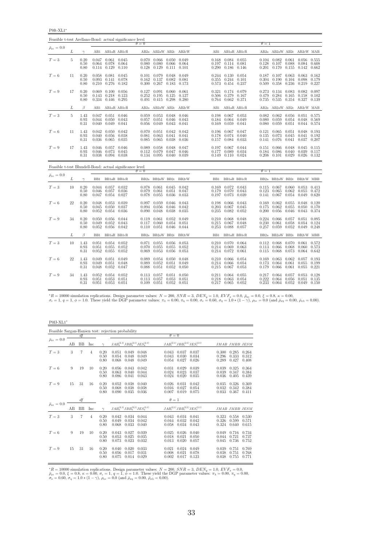P0ft-XL1<sup>∗</sup>

| Feasible t-test Arellano-Bond: actual significance level |    |                      |                         |                                                                           |                                       |                         |                                                                             |                |                         |       |                                                                               |       |                         |                                                                     |                         |                                                         |                |
|----------------------------------------------------------|----|----------------------|-------------------------|---------------------------------------------------------------------------|---------------------------------------|-------------------------|-----------------------------------------------------------------------------|----------------|-------------------------|-------|-------------------------------------------------------------------------------|-------|-------------------------|---------------------------------------------------------------------|-------------------------|---------------------------------------------------------|----------------|
| $\bar{\rho}_{x\varepsilon}=0.0$                          |    |                      |                         |                                                                           |                                       | $\theta = 0$            |                                                                             |                |                         |       |                                                                               |       | $\theta = 1$            |                                                                     |                         |                                                         |                |
|                                                          | L  | $\gamma$             |                         | AB1 AB1aR AB1cR                                                           |                                       |                         |                                                                             |                | AB2a AB2aW AB2c AB2cW   |       | AB1 AB1aR AB1cR                                                               |       |                         | AB2a AB2aW AB2c AB2cW MAB                                           |                         |                                                         |                |
| $T=3$                                                    | 5  | 0.20<br>0.50<br>0.80 |                         | $0.047$ $0.061$ $0.045$<br>$0.064$ 0.078<br>0.114 0.129                   | 0.064<br>0.110                        | 0.080<br>0.128          | $0.070$ $0.066$ $0.050$ $0.049$<br>0.080<br>$0.129$ $0.111$                 | 0.066          | 0.064<br>0.101          |       | $0.168$ $0.084$ $0.055$<br>$0.197$ $0.114$ $0.081$<br>0.290 0.186 0.146       |       | 0.128                   | $0.104$ 0.082<br>0.107<br>$0.201$ $0.170$                           | 0.088<br>0.155          | $0.061$ $0.056$ $0.555$<br>0.084 0.608<br>$0.142$ 0.662 |                |
| $T=6$                                                    | 11 | 0.20<br>0.50<br>0.80 |                         | 0.058 0.081 0.045<br>$0.093$ $0.141$ $0.078$<br>$0.210$ $0.276$ $0.182$   |                                       | 0.300                   | $0.101$ $0.079$ $0.048$ $0.049$<br>$0.162$ $0.137$ $0.082$<br>$0.267$ 0.183 |                | 0.081<br>0.173          |       | 0.244 0.130 0.054<br>$0.355$ $0.244$ $0.101$<br>0.573 0.454 0.237             |       | 0.187<br>0.304<br>0.509 | $0.107$ 0.063<br>0.190<br>0.358                                     | 0.104<br>0.236          | $0.063$ $0.162$<br>0.098<br>0.219                       | 0.179<br>0.227 |
| $T=9$                                                    | 17 | 0.20<br>0.50<br>0.80 | 0.143                   | $0.069$ $0.100$ $0.056$<br>0.218<br>0.334 0.446 0.295                     | 0.123                                 | 0.127<br>0.252          | $0.091$ 0.060<br>0.195<br>$0.491$ $0.415$ $0.298$                           | 0.125          | 0.061<br>0.127<br>0.280 |       | 0.321 0.174 0.079<br>0.506 0.379 0.167<br>0.764 0.662 0.371                   |       | 0.273<br>0.479<br>0.735 | 0.134<br>0.284<br>0.535 0.354                                       | 0.165                   | 0.083 0.082 0.097<br>0.158<br>$0.327$ $0.139$           | 0.102          |
|                                                          | L  | $\beta$              | AB1                     | AB1aR AB1cR                                                               |                                       |                         |                                                                             |                | AB2a AB2aW AB2c AB2cW   |       | AB1 AB1aR AB1cR                                                               |       |                         | AB2a AB2aW AB2c AB2cW MAB                                           |                         |                                                         |                |
| $T=3$                                                    | 5  | 1.43<br>0.93<br>0.31 |                         | $0.047$ $0.051$ $0.046$<br>$0.044$ $0.050$ $0.043$<br>$0.040 \quad 0.049$ | 0.041                                 | 0.057<br>0.056          | $0.059$ $0.053$ $0.048$ $0.046$<br>$0.051$ $0.046$ $0.043$<br>0.049         | 0.043          | 0.041                   |       | $0.198$ $0.067$ $0.053$<br>0.184 0.064 0.049<br>$0.169$ $0.059$ $0.041$       |       | 0.080<br>0.080          | $0.082$ $0.062$ $0.056$ $0.051$ $0.575$<br>0.059<br>0.059           | 0.051                   | 0.054 0.048 0.569<br>0.044 0.574                        |                |
| $T=6$                                                    | 11 | 1.43<br>0.93<br>0.31 | 0.042<br>0.040<br>0.036 | 0.056<br>0.065                                                            | $0.050 \quad 0.042$<br>0.038<br>0.035 | 0.070<br>0.081<br>0.085 | 0.051 0.042<br>0.063<br>0.065 0.038 0.036                                   | 0.041          | 0.042<br>0.041          | 0.178 | $0.196$ $0.067$ $0.047$<br>$0.074$ 0.040<br>0.157 0.084 0.033                 |       | 0.135                   | $0.121$ $0.065$<br>0.073<br>$0.141$ $0.076$                         | 0.051<br>0.045<br>0.041 | 0.048 0.193<br>$0.041$ $0.192$<br>$0.037$ 0.207         |                |
| $T=9$                                                    | 17 | 1.43<br>0.93<br>0.31 | 0.046<br>0.038          | $0.046$ $0.057$ $0.046$<br>$0.094$ 0.038                                  | 0.073 0.045                           | 0.089                   | 0.058 0.048<br>0.112 0.079<br>$0.134$ $0.095$ $0.040$ $0.039$               | 0.047          | 0.047<br>0.046          |       | $0.197$ $0.067$ $0.044$<br>0.177 0.089<br>$0.149$ $0.110$ $0.024$             | 0.034 | 0.184                   | $0.151$ $0.066$<br>0.086<br>$0.208$ $0.101$ $0.029$ $0.026$ $0.132$ | 0.048<br>0.040          | $0.045$ $0.115$<br>0.039                                | 0.117          |
| Feasible t-test Blundell-Bond: actual significance level |    |                      |                         |                                                                           |                                       | $\theta = 0$            |                                                                             |                |                         |       |                                                                               |       | $\theta = 1$            |                                                                     |                         |                                                         |                |
| $\bar{\rho}_{x\varepsilon}=0.0$                          | L  | $\gamma$             |                         | BB1 BB1aR BB1cR                                                           |                                       |                         |                                                                             |                | BB2a BB2aW BB2c BB2cW   |       | BB1 BB1aR BB1cR                                                               |       |                         | BB2a BB2aW BB2c BB2cW MBB                                           |                         |                                                         |                |
| $T=3$                                                    | 10 | 0.20<br>0.50<br>0.80 | 0.046<br>0.047          | $0.044$ $0.057$ $0.032$<br>$0.054$ 0.027                                  | $0.057$ 0.036                         | 0.079<br>0.078          | $0.078$ $0.061$ $0.045$ $0.042$<br>0.061<br>0.055                           | 0.051<br>0.036 | 0.047<br>0.033          | 0.179 | $0.169$ $0.072$ $0.043$<br>$0.070$ $0.043$<br>0.197 0.073 0.039               |       | 0.123                   | $0.115$ $0.067$ $0.060$ $0.053$ $0.413$<br>0.065<br>$0.141$ $0.067$ | 0.062<br>0.054          | 0.055<br>0.049                                          | 0.472<br>0.620 |
| $T=6$                                                    | 22 | 0.20<br>0.50<br>0.80 | 0.048<br>0.045<br>0.052 | 0.053 0.039                                                               | $0.050$ $0.037$<br>$0.054$ 0.036      | 0.094<br>0.090          | $0.097$ $0.059$ $0.046$ $0.043$<br>0.056<br>0.048                           | 0.046<br>0.038 | 0.042<br>0.035          | 0.235 | 0.198 0.066 0.043<br>$0.203$ 0.067<br>0.082 0.052                             | 0.045 | 0.175<br>0.200          | $0.169$ $0.062$<br>0.062<br>0.056                                   | 0.055<br>0.055<br>0.046 | $0.048$ $0.120$<br>$0.050 \quad 0.170$<br>0.043 0.374   |                |
| $T=9$                                                    | 34 | 0.20<br>0.50<br>0.80 | 0.050<br>0.049          | 0.056 0.044<br>0.052<br>$0.052$ $0.056$ $0.042$                           | 0.043                                 | 0.119<br>0.117          | $0.061$ $0.052$<br>0.060<br>$0.110$ $0.051$ $0.046$ $0.044$                 | 0.054          | 0.049<br>0.051          | 0.215 | $0.210$ $0.068$ $0.048$<br>$0.067$ 0.048<br>0.253 0.088 0.057                 |       | 0.230                   | $0.224$ 0.066<br>0.061<br>$0.257$ 0.059                             | 0.057<br>0.058<br>0.052 | $0.051$ 0.095<br>$0.054$ $0.124$<br>0.049 0.248         |                |
|                                                          | L  | $\beta$              | BB1                     | BB1aR BB1cR                                                               |                                       |                         |                                                                             |                | BB2a BB2aW BB2c BB2cW   | BB1   | BB1aR BB1cR                                                                   |       |                         | BB2a BB2aW BB2c BB2cW MBB                                           |                         |                                                         |                |
| $T=3$                                                    | 10 | 1.43<br>0.93<br>0.31 | 0.051<br>0.052          | $0.051$ $0.054$ $0.052$<br>0.055<br>0.055                                 | 0.052<br>0.052                        | 0.070<br>0.069          | $0.071$ $0.055$ $0.056$ $0.053$<br>0.055<br>0.053                           | 0.055<br>0.056 | 0.052<br>0.053          |       | $0.210$ $0.070$ $0.064$<br>$0.214$ $0.069$ $0.063$<br>$0.214$ $0.072$ $0.061$ |       | 0.113                   | $0.112 \quad 0.068$<br>0.066<br>$0.115$ 0.068                       | 0.070<br>0.068<br>0.073 | $0.061$ $0.572$<br>$0.060$ $0.573$<br>$0.064$ 0.642     |                |
| $T=6$                                                    | 22 | 1.43<br>0.93<br>0.31 | 0.049<br>0.049          | $0.051$ $0.049$<br>0.051<br>$0.048$ $0.052$ $0.047$                       | 0.048                                 | 0.089<br>0.089<br>0.088 | $0.054$ 0.050<br>0.052<br>$0.051$ $0.052$ $0.050$                           | 0.051          | 0.048<br>0.049          |       | $0.210$ $0.066$ $0.054$<br>$0.214$ 0.066<br>$0.215$ $0.067$ $0.053$           | 0.054 | 0.169<br>0.173<br>0.179 | 0.063<br>0.064<br>0.066                                             | 0.062<br>0.061<br>0.061 | $0.057$ 0.193<br>0.055<br>$0.055$ $0.221$               | 0.199          |
| $T=9$                                                    | 34 | 1.43<br>0.93<br>0.31 | 0.052<br>0.051          | 0.054<br>0.053<br>$0.051$ $0.053$ $0.051$                                 | 0.052<br>0.051                        | 0.113<br>0.113          | 0.057<br>0.057<br>$0.109$ $0.051$ $0.052$ $0.051$                           | 0.051<br>0.053 | 0.050<br>0.051          |       | $0.211$ $0.064$ $0.055$<br>0.218 0.063 0.054<br>$0.217$ $0.065$ $0.052$       |       | 0.217<br>0.222          | 0.064<br>0.064<br>$0.233$ $0.064$                                   | 0.057<br>0.056<br>0.052 | 0.053<br>0.051<br>$0.049$ $0.150$                       | 0.128<br>0.135 |

 ${}^*R = 10000$  simulation replications. Design parameter values:  $N = 200$ ,  $SNR = 3$ ,  $DEN_y = 1.0$ ,  $EVF_x = 0.0$ ,  $\bar{\rho}_{x\bar{x}} = 0.0$ ,  $\xi = 0.8$ ,  $\kappa = 0.00$ ,<br> $\sigma_{\bar{x}} = 1$ ,  $q = 1$ ,  $\phi = 1.0$ . These yield the DGP parameter values:

P0fJ-XL1<sup>∗</sup>

|                                 |    |           |     |                      | Feasible Sargan-Hansen test: rejection probability |                         |                         |                         |                                           |                         |                         |                         |
|---------------------------------|----|-----------|-----|----------------------|----------------------------------------------------|-------------------------|-------------------------|-------------------------|-------------------------------------------|-------------------------|-------------------------|-------------------------|
|                                 |    | df        |     |                      |                                                    |                         | $\theta = 0$            |                         |                                           |                         |                         |                         |
| $\bar{\rho}_{x\varepsilon}=0.0$ | AВ | BB        | Inc | $\sim$               | $JAB_a^{(2,1)}JBB_a^{(2,1)}JES_a^{(2,1)}$          |                         |                         |                         | $JAB_c^{(2,1)}JBB_c^{(2,1)}JES_c^{(2,1)}$ |                         | JMAB JMBB JESM          |                         |
| $T=3$                           | 3  | 7         | 4   | 0.20<br>0.50<br>0.80 | 0.051<br>0.049<br>0.054<br>0.048<br>0.068<br>0.048 | 0.048<br>0.049<br>0.049 | 0.043<br>0.043<br>0.054 | 0.037<br>0.030<br>0.027 | 0.037<br>0.034<br>0.026                   | 0.300<br>0.296<br>0.289 | 0.285<br>0.333<br>0.427 | 0.264<br>0.312<br>0.408 |
| $T=6$                           | 9  | 19        | 10  | 0.20<br>0.50<br>0.80 | 0.056<br>0.043<br>0.063<br>0.040<br>0.086<br>0.041 | 0.042<br>0.044<br>0.043 | 0.031<br>0.024<br>0.024 | 0.029<br>0.023<br>0.020 | 0.039<br>0.037<br>0.035                   | 0.039<br>0.039<br>0.036 | 0.325<br>0.347<br>0.405 | 0.364<br>0.384<br>0.439 |
| $T=9$                           | 15 | 31        | 16  | 0.20<br>0.50<br>0.80 | 0.052<br>0.038<br>0.068<br>0.038<br>0.090<br>0.035 | 0.040<br>0.038<br>0.036 | 0.026<br>0.016<br>0.007 | 0.031<br>0.027<br>0.019 | 0.042<br>0.054<br>0.075                   | 0.035<br>0.032<br>0.033 | 0.326<br>0.342<br>0.367 | 0.369<br>0.384<br>0.411 |
|                                 |    | df        |     |                      |                                                    |                         | $\theta=1$              |                         |                                           |                         |                         |                         |
| $\bar{\rho}_{x\varepsilon}=0.0$ | AВ | <b>BB</b> | Inc | $\gamma$             | $JAB_a^{(2,1)}JBB_a^{(2,1)}JES_a^{(2,1)}$          |                         |                         |                         | $JAB_c^{(2,1)}JBB_c^{(2,1)}JES_c^{(2,1)}$ |                         | JMAB JMBB JESM          |                         |
| $T=3$                           | 3  | 7         | 4   | 0.20<br>0.50<br>0.80 | 0.042<br>0.034<br>0.049<br>0.034<br>0.068<br>0.033 | 0.044<br>0.042<br>0.040 | 0.043<br>0.044<br>0.058 | 0.034<br>0.032<br>0.034 | 0.041<br>0.042<br>0.043                   | 0.323<br>0.326<br>0.324 | 0.558<br>0.599<br>0.640 | 0.530<br>0.571<br>0.615 |
| $T=6$                           | 9  | 19        | 10  | 0.20<br>0.50<br>0.80 | 0.043<br>0.027<br>0.053<br>0.025<br>0.073<br>0.023 | 0.039<br>0.035<br>0.032 | 0.025<br>0.018<br>0.013 | 0.026<br>0.021<br>0.020 | 0.040<br>0.050<br>0.057                   | 0.049<br>0.044<br>0.045 | 0.716<br>0.721<br>0.736 | 0.734<br>0.737<br>0.752 |
| $T=9$                           | 15 | 31        | 16  | 0.20<br>0.50<br>0.80 | 0.040<br>0.020<br>0.056<br>0.017<br>0.075<br>0.014 | 0.033<br>0.031<br>0.029 | 0.021<br>0.008<br>0.002 | 0.024<br>0.021<br>0.017 | 0.049<br>0.078<br>0.123                   | 0.039<br>0.038<br>0.038 | 0.751<br>0.751<br>0.755 | 0.769<br>0.768<br>0.771 |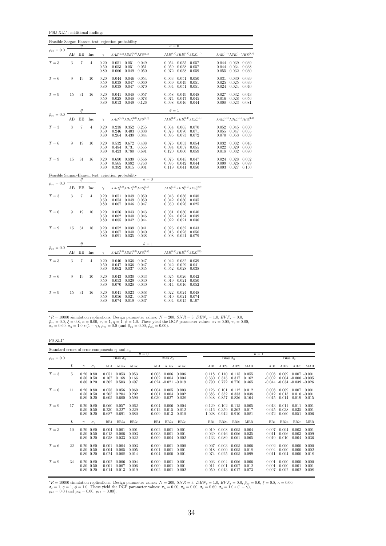P0fJ-XL1<sup>∗</sup> : additional findings

|                                 |            |                          |                |                      | Feasible Sargan-Hansen test: rejection probability                                     |                                                                                                                 |                                                                                     |
|---------------------------------|------------|--------------------------|----------------|----------------------|----------------------------------------------------------------------------------------|-----------------------------------------------------------------------------------------------------------------|-------------------------------------------------------------------------------------|
| $\bar{\rho}_{x\varepsilon}=0.0$ |            | df                       |                |                      |                                                                                        | $\theta = 0$                                                                                                    |                                                                                     |
|                                 | AB         | BB                       | Inc            | $\gamma$             | $JAB^{(1,0)}JBB^{(1,0)}_aJES^{(1,0)}$                                                  | $JAB_a^{(1,1)}JBB_a^{(1,1)}JES_a^{(1,1)}$                                                                       | $JAB_c^{(1,1)}JBB_c^{(1,1)}JES_c^{(1,1)}$                                           |
| $T=3$                           | $\sqrt{3}$ | $\scriptstyle{7}$        | $\overline{4}$ | 0.20<br>0.50<br>0.80 | 0.051<br>$0.051$ $0.049$<br>0.053<br>0.051<br>0.051<br>0.066<br>0.049<br>0.050         | 0.054<br>0.055<br>0.057<br>0.059<br>0.058<br>0.057<br>0.072<br>0.058<br>0.059                                   | 0.044 0.039<br>0.039<br>0.044<br>0.034<br>0.038<br>0.055<br>0.032<br>0.030          |
| $T=6$                           | 9          | 19                       | 10             | 0.20<br>0.50<br>0.80 | 0.044<br>0.046<br>0.054<br>0.038<br>0.047<br>0.060<br>0.038<br>0.047<br>0.070          | 0.063<br>0.051<br>0.050<br>0.069<br>0.049<br>0.051<br>0.094<br>0.051<br>0.051                                   | 0.031<br>0.030<br>0.039<br>0.025<br>0.025<br>0.039<br>0.024<br>0.024<br>0.040       |
| $T=9$                           | 15         | 31                       | 16             | 0.20<br>0.50<br>0.80 | 0.048<br>0.057<br>0.041<br>0.048<br>0.078<br>0.028<br>$0.013$ 0.049<br>0.126           | 0.058<br>0.049<br>0.048<br>0.074<br>0.047<br>0.045<br>0.098<br>0.046 0.044                                      | 0.027<br>0.032<br>0.043<br>0.016<br>0.028<br>0.056<br>0.008<br>0.023<br>0.081       |
| $\bar{\rho}_{x\varepsilon}=0.0$ |            | df                       |                |                      |                                                                                        | $\theta=1$                                                                                                      |                                                                                     |
|                                 | AB         | BB                       | Inc            | $\gamma$             | $JAB^{\left( 1,0\right) }JBB_{a}^{\left( 1,0\right) }JES^{\left( 1,0\right) }$         | $JAB_a^{(1,1)}JBB_a^{(1,1)}JES_a^{(1,1)}$                                                                       | $JAB_c^{(1,1)}JBB_c^{(1,1)}JES_c^{(1,1)}$                                           |
| $T=3$                           | 3          | $\overline{\phantom{a}}$ | $\overline{4}$ | 0.20<br>0.50<br>0.80 | 0.238<br>0.352<br>0.255<br>0.308<br>0.246<br>0.403<br>0.439<br>0.264<br>0.344          | 0.064<br>0.065 0.070<br>$\rm 0.073$<br>0.071<br>0.070<br>0.096<br>0.073<br>0.072                                | 0.052<br>0.045<br>0.050<br>0.055<br>0.047<br>0.055<br>0.070<br>0.053<br>0.059       |
| $T=6$                           | 9          | 19                       | 10             | 0.20<br>0.50<br>0.80 | 0.532<br>0.672<br>0.408<br>0.484<br>0.731<br>0.555<br>0.423<br>0.780<br>0.691          | 0.076<br>0.053<br>0.054<br>0.094<br>0.055<br>0.057<br>0.120<br>0.060<br>0.059                                   | 0.032<br>0.032<br>0.045<br>$\,0.022\,$<br>0.029<br>0.060<br>0.018<br>0.032<br>0.080 |
| $T=9$                           | 15         | 31                       | 16             | 0.20<br>0.50<br>0.80 | 0.839<br>0.690<br>0.566<br>0.882<br>0.763<br>0.565<br>0.915<br>0.382<br>0.901          | 0.076<br>0.045<br>0.047<br>$\overset{\textstyle+0.095}{\scriptstyle+0.119}$<br>0.044<br>0.042<br>0.041<br>0.050 | 0.024<br>0.028<br>0.052<br>0.009<br>0.026<br>0.089<br>$0.003$ $0.027$<br>0.150      |
|                                 |            |                          |                |                      | Feasible Sargan-Hansen test: rejection probability<br>$\theta = 0$                     |                                                                                                                 |                                                                                     |
| $\bar{\rho}_{x\varepsilon}=0.0$ | AВ         | df<br>BB                 | Inc            | $\gamma$             | $JAB_{a}^{\left( 2,2\right) }JBB_{a}^{\left( 2,2\right) }JES_{a}^{\left( 2,2\right) }$ | $JAB_c^{(2,2)}JBB_c^{(2,2)}JES_c^{(2,2)}$                                                                       |                                                                                     |
| $T=3$                           | $\sqrt{3}$ | $\scriptstyle{7}$        | $\overline{4}$ | 0.20<br>0.50<br>0.80 | $0.049$ 0.050<br>0.051<br>0.050<br>0.053<br>0.049<br>0.046<br>0.067<br>0.047           | 0.043<br>$0.036$ 0.038<br>0.042<br>0.030<br>0.035<br>0.050<br>0.026<br>0.025                                    |                                                                                     |
| $T=6$                           | 9          | 19                       | 10             | 0.20<br>0.50<br>0.80 | 0.056<br>0.043<br>0.043<br>0.040<br>0.046<br>0.062<br>0.085<br>0.042 0.044             | 0.030<br>0.031<br>0.040<br>0.024<br>0.024<br>0.039<br>0.022<br>0.021<br>0.036                                   |                                                                                     |
| $T=9$                           | 15         | 31                       | 16             | 0.20<br>0.50<br>0.80 | 0.039<br>0.041<br>0.052<br>$0.040\,$<br>0.040<br>0.067<br>0.091<br>0.035<br>0.038      | 0.032<br>0.026<br>0.043<br>0.016<br>0.028<br>0.056<br>0.008<br>0.021<br>0.079                                   |                                                                                     |
|                                 |            | df                       |                |                      | $\theta=1$                                                                             |                                                                                                                 |                                                                                     |
| $\bar{\rho}_{x\varepsilon}=0.0$ | AВ         | BB                       | Inc            | $\gamma$             | $JAB_{a}^{\left( 2,2\right) }JBB_{a}^{\left( 2,2\right) }JES_{a}^{\left( 2,2\right) }$ | $JAB_c^{(2,2)}JBB_c^{(2,2)}JES_c^{(2,2)}$                                                                       |                                                                                     |
| $T = 3$                         | 3          | $\scriptstyle{7}$        | $\overline{4}$ | 0.20<br>0.50<br>0.80 | 0.040<br>0.036 0.047<br>$\,0.036\,$<br>0.047<br>0.047<br>0.037<br>0.062<br>0.045       | 0.032 0.039<br>0.042<br>0.042<br>0.029<br>0.041<br>0.052<br>0.028<br>0.038                                      |                                                                                     |
| $T=6$                           | 9          | 19                       | 10             | 0.20<br>0.50<br>0.80 | 0.043<br>0.030<br>0.043<br>0.053<br>0.029<br>0.040<br>0.070<br>0.028<br>0.040          | 0.026<br>0.042<br>0.025<br>0.019<br>0.021<br>0.050<br>0.014<br>0.016<br>0.052                                   |                                                                                     |
| $T=9$                           | 15         | 31                       | 16             | 0.20<br>0.50<br>0.80 | 0.041<br>0.023<br>0.038<br>0.021<br>0.037<br>0.056<br>0.019<br>0.074<br>0.037          | 0.024<br>0.048<br>0.022<br>0.010<br>0.021<br>0.074<br>0.004<br>0.015<br>0.107                                   |                                                                                     |

 $\rm P0\text{-}XL1^*$ 

|                                   |    | Standard errors of error components $\eta_i$ and $\varepsilon_{it}$ |                            |                                                    |                         |                                                                                    |                         |                         |  |                         |                                                                    |                                                    |                                             |                                  |                                                                                            |                                    |                                    |
|-----------------------------------|----|---------------------------------------------------------------------|----------------------------|----------------------------------------------------|-------------------------|------------------------------------------------------------------------------------|-------------------------|-------------------------|--|-------------------------|--------------------------------------------------------------------|----------------------------------------------------|---------------------------------------------|----------------------------------|--------------------------------------------------------------------------------------------|------------------------------------|------------------------------------|
| $\bar{\rho}_{x\varepsilon} = 0.0$ |    |                                                                     |                            | Bias $\tilde{\sigma}_n$                            |                         | $\theta = 0$                                                                       | Bias $\hat{\sigma}_e$   |                         |  |                         | Bias $\hat{\sigma}_n$                                              |                                                    |                                             | $\theta = 1$                     |                                                                                            | Bias $\hat{\sigma}_\varepsilon$    |                                    |
|                                   | L  | $\sigma_n$                                                          | AB1                        | AB2a                                               | AB2c                    | AB1                                                                                | AB2a                    | AB2c                    |  | AB1                     | AB2a                                                               | AB2c                                               | MAB                                         | AB1                              | AB2a                                                                                       | AB2c                               | MAB                                |
| $T=3$                             | 5. | $0.20\ 0.80$<br>$0.50 \quad 0.50$<br>$0.80 \quad 0.20$              | 0.051<br>0.167<br>0.502    | 0.053<br>0.168<br>0.503                            | 0.053<br>0.166<br>0.497 | 0.005<br>0.002<br>$-0.024$ $-0.021$ $-0.019$                                       | 0.006<br>0.004          | 0.006<br>0.004          |  | 0.118<br>0.330<br>0.790 | 0.110<br>0.315<br>0.772                                            | 0.115<br>0.317<br>0.770                            | 0.055<br>0.162<br>0.465                     | 0.008<br>$-0.002$                | 0.009<br>$-0.044$ $-0.034$ $-0.039$ $-0.026$                                               | $0.004 - 0.000 - 0.005$            | $0.007 - 0.001$                    |
| $T=6$                             | 11 | $0.20\ 0.80$<br>$0.50 \quad 0.50$<br>$0.80\ 0.20$                   | 0.058<br>0.205<br>0.605    | 0.056<br>0.204<br>0.600                            | 0.060<br>0.202<br>0.590 | 0.004<br>0.001<br>$-0.030 - 0.027 - 0.028$                                         | 0.005<br>0.004          | 0.003<br>0.002          |  | 0.126<br>0.385<br>0.948 | 0.101<br>0.332<br>0.857                                            | 0.112<br>0.333<br>0.836                            | 0.012<br>0.038<br>0.164                     | 0.008<br>0.012                   | 0.009<br>0.013<br>$-0.015 - 0.014 - 0.019 - 0.015$                                         |                                    | $0.007$ $0.001$<br>$0.010 - 0.001$ |
| $T=9$                             | 17 | $0.20\ 0.80$<br>$0.50 \quad 0.50$<br>$0.80\ 0.20$                   | 0.060<br>0.230<br>0.687    | 0.057<br>0.227<br>0.691                            | 0.062<br>0.229<br>0.680 | 0.004<br>0.012<br>0.009                                                            | 0.006<br>0.015<br>0.013 | 0.004<br>0.012<br>0.010 |  | 0.129<br>0.416<br>1.028 | 0.102<br>0.359<br>0.942                                            | 0.115<br>0.362<br>0.910                            | 0.005<br>0.017<br>0.081                     | 0.013<br>0.045<br>0.072          | 0.011<br>0.038<br>0.060                                                                    | 0.011<br>0.035                     | 0.001<br>0.001<br>$0.051 - 0.006$  |
|                                   | L  | $\sim$<br>$\sigma_n$                                                | B <sub>B1</sub>            | BB <sub>2a</sub>                                   | BB2c                    | B <sub>B1</sub>                                                                    | BB <sub>2a</sub>        | BB2c                    |  | B <sub>B1</sub>         | BB <sub>2a</sub>                                                   | BB <sub>2c</sub>                                   | <b>MBB</b>                                  | B <sub>B1</sub>                  | BB <sub>2a</sub>                                                                           | BB <sub>2c</sub>                   | MBB                                |
| $T=3$                             | 10 | $0.20\ 0.80$<br>$0.50 \quad 0.50$<br>$0.80 \quad 0.20$              | 0.004<br>0.013<br>0.058    | 0.001<br>0.006<br>0.033                            | 0.001<br>0.003<br>0.022 | $-0.002 - 0.001 - 0.001$<br>$-0.003 - 0.001 - 0.001$<br>$-0.009$ $-0.004$ $-0.002$ |                         |                         |  | 0.019<br>0.039<br>0.133 | 0.008<br>0.016<br>0.089                                            | 0.061                                              | $0.005 - 0.004$<br>$0.006 - 0.035$<br>0.065 |                                  | $-0.007 - 0.004 - 0.003 - 0.001$<br>$-0.011$ $-0.006$ $-0.003$<br>$-0.019 - 0.010 - 0.004$ |                                    | 0.009<br>0.036                     |
| $T=6$                             | 22 | $0.20\ 0.80$<br>$0.50 \quad 0.50$<br>$0.80\ 0.20$                   | $-0.001$ $-0.004$ $-0.003$ | $0.004 - 0.005 - 0.005$<br>$0.024 - 0.008 - 0.014$ |                         | $-0.000$<br>$-0.001$<br>$-0.004$                                                   | 0.001<br>0.001<br>0.000 | 0.000<br>0.001<br>0.001 |  | 0.018<br>0.074          | $0.007 - 0.003 - 0.005 - 0.006$                                    | $0.000 - 0.005 - 0.018$<br>$0.025 - 0.005 - 0.099$ |                                             |                                  | $-0.002 - 0.000$<br>$-0.004 - 0.000$<br>$-0.011 - 0.004$                                   | $-0.000 - 0.000$<br>0.000<br>0.000 | 0.002<br>0.018                     |
| $T=9$                             | 34 | $0.20\ 0.80$<br>$0.50 \quad 0.50$<br>$0.80\ 0.20$                   | $-0.002 - 0.006 - 0.004$   | $0.001 - 0.007 - 0.006$<br>$0.014 - 0.013 - 0.019$ |                         | 0.000<br>0.000<br>$-0.002$                                                         | 0.001<br>0.001<br>0.001 | 0.001<br>0.001<br>0.002 |  | 0.050                   | $0.003 - 0.004 - 0.006 - 0.006$<br>$0.011 - 0.001 - 0.007 - 0.012$ | $0.013 - 0.017 - 0.073$                            |                                             | $-0.001$<br>$-0.001$<br>$-0.007$ | 0.000<br>0.000<br>$-0.002$                                                                 | 0.000<br>0.001<br>0.002            | 0.000<br>0.001<br>0.008            |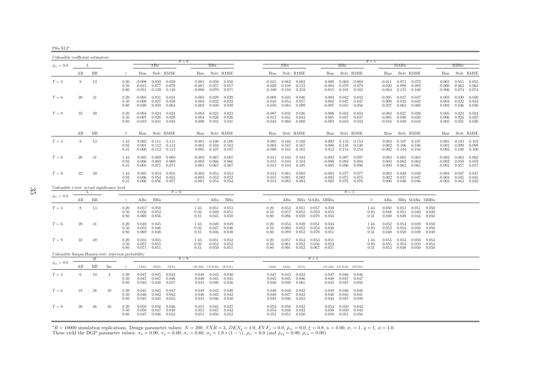| ∿<br>-1111- |  |
|-------------|--|
|             |  |

<span id="page-34-0"></span>

| Unfeasible coefficient estimators                    |    |    |                |                      |                                  |                         |                                             |                                  |                         |                         |                                        |                         |                         |                         |                               |                                    |                         |                      |                                  |                         |                         |                         |                                  |                         |                         |
|------------------------------------------------------|----|----|----------------|----------------------|----------------------------------|-------------------------|---------------------------------------------|----------------------------------|-------------------------|-------------------------|----------------------------------------|-------------------------|-------------------------|-------------------------|-------------------------------|------------------------------------|-------------------------|----------------------|----------------------------------|-------------------------|-------------------------|-------------------------|----------------------------------|-------------------------|-------------------------|
| $\bar{\rho}_{x\varepsilon}=0.0$                      |    | L  |                |                      |                                  | ABu                     |                                             | $\theta = 0$                     | BBu                     |                         |                                        | ABu                     |                         |                         |                               | <b>BBu</b>                         |                         | $\theta=1$           |                                  | MABu                    |                         |                         |                                  | MBBu                    |                         |
|                                                      | AВ | BB |                | $\gamma$             | Bias                             |                         | Stdy RMSE                                   | Bias                             |                         | Stdy RMSE               | Bias                                   |                         | Stdy RMSE               |                         | Bias                          |                                    | Stdy RMSE               |                      | Bias                             |                         | Stdy RMSE               |                         | Bias                             |                         | Stdy RMSE               |
| $T=3$                                                | 8  | 13 |                | 0.20<br>0.50<br>0.80 | $-0.008$<br>$-0.015$<br>$-0.051$ | 0.059<br>0.077<br>0.139 | 0.059<br>0.078<br>0.148                     | 0.001<br>$-0.001$<br>$-0.008$    | 0.050<br>0.057<br>0.070 | 0.050<br>0.057<br>0.071 | $-0.015$ 0.082<br>$-0.028$<br>$-0.100$ | 0.108<br>0.194          | 0.083<br>0.112<br>0.218 |                         | 0.000<br>$-0.004$<br>$-0.015$ | 0.069<br>0.079<br>0.101            | 0.069<br>0.079<br>0.102 |                      | $-0.011$<br>$-0.020$<br>$-0.064$ | 0.071<br>0.090<br>0.155 | 0.072<br>0.092<br>0.168 |                         | 0.001<br>$-0.000$<br>$-0.006$    | 0.055<br>0.062<br>0.074 | 0.055<br>0.062<br>0.074 |
| $T=6$                                                | 20 | 31 |                | 0.20<br>0.50<br>0.80 | $-0.005$<br>$-0.008$<br>$-0.026$ | 0.031<br>0.037<br>0.059 | 0.031<br>0.038<br>0.064                     | 0.003<br>0.003<br>$-0.002$       | 0.029<br>0.032<br>0.039 | 0.029<br>0.032<br>0.039 | $-0.008$<br>$-0.016$<br>$-0.050$       | 0.045<br>0.054<br>0.085 | 0.046<br>0.057<br>0.099 |                         | 0.004<br>0.002<br>$-0.007$    | 0.042<br>0.047<br>0.055            | 0.042<br>0.047<br>0.056 |                      | $-0.005$<br>$-0.009$<br>$-0.027$ | 0.037<br>0.042<br>0.063 | 0.037<br>0.042<br>0.068 |                         | 0.003<br>0.004<br>0.002          | 0.030<br>0.032<br>0.036 | 0.030<br>0.033<br>0.036 |
| $T=9$                                                | 32 | 49 |                | 0.20<br>0.50<br>0.80 | $-0.004$<br>$-0.007$<br>$-0.018$ | 0.024<br>0.028<br>0.041 | 0.024<br>0.029<br>0.045                     | 0.004<br>0.004<br>0.000          | 0.023<br>0.026<br>0.031 | 0.023<br>0.026<br>0.031 | $-0.007$<br>$-0.012$<br>$-0.034$       | 0.035<br>0.041<br>0.060 | 0.036<br>0.043<br>0.068 |                         | 0.006<br>0.005<br>$-0.003$    | 0.033<br>0.037<br>0.043            | 0.034<br>0.037<br>0.043 |                      | $-0.003$<br>$-0.005$<br>$-0.016$ | 0.027<br>0.030<br>0.040 | 0.028<br>0.030<br>0.043 |                         | 0.005<br>0.006<br>0.005          | 0.023<br>0.024<br>0.025 | 0.024<br>0.025<br>0.026 |
|                                                      | AВ | BB |                | $\beta$              | Bias                             |                         | Stdy RMSE                                   | Bias                             |                         | Stdy RMSE               | Bias                                   |                         | Stdy RMSE               |                         | Bias                          |                                    | Stdy RMSE               |                      | Bias                             |                         | Stdy RMSE               |                         | Bias                             |                         | Stdy RMSE               |
| $T=3$                                                | 8  | 13 |                | 1.43<br>0.93<br>0.31 | 0.002<br>0.001<br>$-0.000$       | 0.111                   | 0.111<br>$0.112$ $0.112$<br>$0.112$ $0.112$ | $-0.001$<br>0.001<br>0.005       | 0.106<br>0.103<br>0.107 | 0.106<br>0.103<br>0.107 | 0.005<br>0.004<br>-0.000               | 0.168<br>0.167<br>0.165 | 0.168<br>0.167<br>0.165 |                         | 0.002<br>0.006<br>0.012       | 0.153<br>0.148<br>0.154            | 0.153<br>0.149<br>0.154 |                      | 0.003<br>0.002<br>$-0.002$       | 0.107<br>0.106<br>0.104 | 0.107<br>0.106<br>0.104 |                         | 0.001<br>0.001<br>0.003          | 0.103<br>0.099<br>0.100 | 0.103<br>0.099<br>0.100 |
| $T=6$                                                | 20 | 31 |                | 1.43<br>0.93<br>0.31 | 0.005<br>0.006<br>0.005          | 0.069<br>0.069<br>0.071 | 0.069<br>0.069<br>0.071                     | $-0.002$<br>$-0.002$<br>0.001    | 0.067<br>0.066<br>0.067 | 0.067<br>0.066<br>0.067 | 0.011<br>0.013<br>0.011                | 0.103<br>0.103<br>0.104 | 0.104<br>0.104<br>0.105 |                         | $-0.002$<br>$-0.000$<br>0.005 | 0.097<br>0.094<br>0.096            | 0.097<br>0.094<br>0.096 |                      | 0.003<br>0.003<br>0.000          | 0.065<br>0.062<br>0.061 | 0.065<br>0.062<br>0.061 |                         | $-0.002$<br>$-0.002$<br>$-0.001$ | 0.062<br>0.059<br>0.057 | 0.062<br>0.059<br>0.057 |
| $T=9$                                                | 32 | 49 |                | 1.43<br>0.93<br>0.31 | 0.005<br>0.006<br>0.006          | 0.054<br>0.054<br>0.056 | 0.055<br>0.055<br>0.057                     | $-0.003$<br>$-0.003$<br>$-0.001$ | 0.053<br>0.052<br>0.054 | 0.053<br>0.052<br>0.054 | 0.012<br>0.015<br>0.014                | 0.081<br>0.081<br>0.083 | 0.082<br>0.082<br>0.084 |                         | $-0.003$<br>$-0.003$<br>0.002 | 0.077<br>0.075<br>0.076            | 0.077<br>0.075<br>0.076 |                      | 0.002<br>0.002<br>0.000          | 0.049<br>0.047<br>0.046 | 0.049<br>0.047<br>0.046 |                         | $-0.004$<br>$-0.004$<br>$-0.003$ | 0.047<br>0.045<br>0.043 | 0.047<br>0.045<br>0.043 |
| Unfeasible t-test: actual significance level         |    |    |                |                      |                                  |                         | $\theta = 0$                                |                                  |                         |                         |                                        |                         |                         |                         |                               | $\theta = 1$                       |                         |                      |                                  |                         |                         |                         |                                  |                         |                         |
| $\bar{\rho}_{x\varepsilon}=0.0$                      | AВ | BB |                | $\gamma$             | ABu                              | BBu                     |                                             | $\beta$                          | ABu                     | BBu                     | $\gamma$                               | ABu                     |                         | BBu MABu MBBu           |                               |                                    |                         | β                    | ABu                              |                         | BBu MABu MBBu           |                         |                                  |                         |                         |
| $T=3$                                                | 8  | 13 |                | 0.20<br>0.50<br>0.80 | 0.057<br>0.056<br>0.069          | 0.050<br>0.052<br>0.056 |                                             | 1.43<br>0.93<br>0.31             | 0.051<br>0.049<br>0.045 | 0.053<br>0.051<br>0.050 | 0.20<br>0.50<br>0.80                   | 0.053<br>0.057<br>0.086 | 0.051<br>0.052<br>0.059 | 0.057<br>0.059<br>0.070 | 0.050<br>0.055<br>0.056       |                                    |                         | 1.43<br>0.93<br>0.31 | 0.050<br>0.048<br>0.040          | 0.051<br>0.051<br>0.049 | 0.051<br>0.049<br>0.043 | 0.050<br>0.049<br>0.050 |                                  |                         |                         |
| $T=6$                                                | 20 | 31 |                | 0.20<br>0.50<br>0.80 | 0.048<br>0.052<br>0.069          | 0.045<br>0.046<br>0.048 |                                             | 1.43<br>0.93<br>0.31             | 0.049<br>0.047<br>0.046 | 0.049<br>0.046<br>0.048 | 0.20<br>0.50<br>0.80                   | 0.054<br>0.060<br>0.089 | 0.049<br>0.052<br>0.052 | 0.051<br>0.054<br>0.070 | 0.043<br>0.048<br>0.051       |                                    |                         | 1.43<br>0.93<br>0.31 | 0.052<br>0.052<br>0.048          | 0.054<br>0.053<br>0.050 | 0.049<br>0.050<br>0.049 | 0.050<br>0.050<br>0.049 |                                  |                         |                         |
| $T=9$                                                | 32 | 49 |                | 0.20<br>0.50<br>0.80 | 0.055<br>0.057<br>0.071          | 0.055<br>0.055<br>0.051 |                                             | 1.43<br>0.93<br>0.31             | 0.051<br>0.052<br>0.050 | 0.052<br>0.052<br>0.051 | 0.20<br>0.50<br>0.80                   | 0.057<br>0.061<br>0.091 | 0.054<br>0.052<br>0.052 | 0.053<br>0.056<br>0.067 | 0.051<br>0.054<br>0.057       |                                    |                         | 1.43<br>0.93<br>0.31 | 0.055<br>0.055<br>0.053          | 0.053<br>0.052<br>0.048 | 0.050<br>0.050<br>0.050 | 0.053<br>0.054<br>0.050 |                                  |                         |                         |
| Unfeasible Sargan-Hansen test: rejection probability |    | df |                |                      |                                  |                         |                                             | $\theta = 0$                     |                         |                         |                                        |                         |                         | $\theta = 1$            |                               |                                    |                         |                      |                                  |                         |                         |                         |                                  |                         |                         |
| $\bar{\rho}_{x\varepsilon}=0.0$                      | AВ | BB | Inc            | $\gamma$             | JABu                             | $JBBu$                  | JESu                                        |                                  | JMABu JMMBu JESMu       |                         | JABu                                   | JBBu                    | JESu                    |                         | $JMABu\quad JMMBu\quad JESMu$ |                                    |                         |                      |                                  |                         |                         |                         |                                  |                         |                         |
| $T=3$                                                | -6 | 10 | $\overline{4}$ | 0.20<br>0.50<br>0.80 | 0.047<br>0.047<br>0.043          | 0.045<br>0.047<br>0.048 | 0.043<br>0.046<br>0.057                     | 0.048<br>0.048<br>0.045          | 0.043<br>0.045<br>0.048 | 0.040<br>0.045<br>0.056 | 0.047<br>0.045<br>0.040                | 0.042<br>0.045<br>0.049 | 0.042<br>0.046<br>0.061 |                         | 0.047<br>0.048<br>0.043       | 0.046<br>0.047<br>0.047            | 0.046<br>0.047<br>0.056 |                      |                                  |                         |                         |                         |                                  |                         |                         |
| $T=6$                                                | 18 | 28 | 10             | 0.20<br>0.50<br>0.80 | 0.045<br>0.046<br>0.045          | 0.045<br>0.042<br>0.045 | 0.047<br>0.043<br>0.053                     | 0.049<br>0.046<br>0.045          | 0.043<br>0.043<br>0.046 | 0.040<br>0.042<br>0.050 | 0.049<br>0.048<br>0.045                | 0.048<br>0.047<br>0.046 | 0.042<br>0.043<br>0.053 |                         | 0.049<br>0.048<br>0.044       | 0.046<br>0.045<br>0.047            | 0.038<br>0.041<br>0.049 |                      |                                  |                         |                         |                         |                                  |                         |                         |
| $T=9$                                                | 30 | 46 | 16             | 0.20<br>0.50<br>0.80 | 0.050<br>0.050<br>0.047          | 0.050<br>0.047          | 0.046<br>0.048<br>$0.046$ $0.052$           | 0.051<br>0.051<br>0.051          | 0.045<br>0.047<br>0.050 | 0.037<br>0.043<br>0.052 | 0.053<br>0.054<br>$0.051$ $0.051$      | 0.050<br>0.048          | 0.042<br>0.043<br>0.050 |                         | 0.053<br>0.050                | 0.050<br>0.050<br>$0.050 \t 0.051$ | 0.042<br>0.044<br>0.050 |                      |                                  |                         |                         |                         |                                  |                         |                         |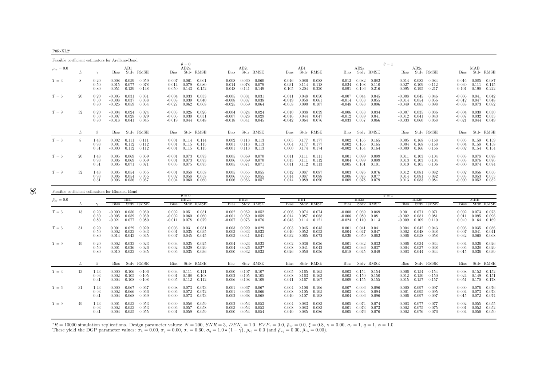P0fc-XL2∗

Feasible coefficient estimators for Arellano-Bond

| , waang ngawi waxaanganganaan waxaanaanaan ay ay ay ahaanaan ay waan |    |                      |                                  |                         |                         |                                  | $\theta = 0$                      |                         |                                  |                         |                                             |                                        |                         |                                                               |                                  |                         |                         | $\theta = 1$ |                                  |                         |                                   |                                  |                         |                         |
|----------------------------------------------------------------------|----|----------------------|----------------------------------|-------------------------|-------------------------|----------------------------------|-----------------------------------|-------------------------|----------------------------------|-------------------------|---------------------------------------------|----------------------------------------|-------------------------|---------------------------------------------------------------|----------------------------------|-------------------------|-------------------------|--------------|----------------------------------|-------------------------|-----------------------------------|----------------------------------|-------------------------|-------------------------|
| $\bar{\rho}_{x\varepsilon}=0.0$                                      |    |                      |                                  | ABI                     |                         |                                  | AB2a                              |                         |                                  | AB2c                    |                                             |                                        | ABI                     |                                                               |                                  | AB2a                    |                         |              |                                  | AB2c                    |                                   |                                  | МАВ                     |                         |
|                                                                      |    |                      | <b>Bias</b>                      |                         | Stdy RMSE               | Bias                             |                                   | Stdy RMSE               | <b>Bias</b>                      |                         | Stdy RMSE                                   | Bias                                   |                         | Stdy RMSE                                                     | <b>Bias</b>                      |                         | Stdy RMSE               |              | <b>Bias</b>                      |                         | Stdy RMSE                         | Bias                             |                         | Stdy RMSE               |
| $T=3$                                                                | 8  | 0.20<br>0.50<br>0.80 | $-0.008$<br>$-0.015$<br>$-0.051$ | 0.059<br>0.077<br>0.139 | 0.059<br>0.078<br>0.148 | $-0.007$<br>$-0.014$<br>$-0.050$ | 0.061<br>0.079<br>0.143           | 0.061<br>0.080<br>0.152 | $-0.008$<br>$-0.014$<br>$-0.048$ | 0.060<br>0.078<br>0.141 | 0.060<br>0.079<br>0.149                     | $-0.016$ 0.086<br>$-0.031$<br>$-0.105$ | 0.114<br>0.204          | 0.088<br>0.118<br>0.230                                       | $-0.012$<br>$-0.024$<br>$-0.091$ | 0.082<br>0.108<br>0.196 | 0.082<br>0.110<br>0.216 |              | $-0.014$<br>$-0.027$<br>$-0.095$ | 0.083<br>0.109<br>0.195 | 0.084<br>0.112<br>0.217           | $-0.016$<br>$-0.030$<br>$-0.101$ | 0.085<br>0.111<br>0.198 | 0.087<br>0.115<br>0.222 |
| $T=6$                                                                | 20 | 0.20<br>0.50<br>0.80 | $-0.005$<br>$-0.008$<br>$-0.026$ | 0.031<br>0.037<br>0.059 | 0.031<br>0.038<br>0.064 | $-0.004$<br>$-0.008$<br>$-0.027$ | 0.033<br>0.039<br>0.062           | 0.033<br>0.040<br>0.068 | $-0.005$<br>$-0.008$<br>$-0.025$ | 0.031<br>0.037<br>0.059 | 0.031<br>0.038<br>0.064                     | $-0.011$<br>$-0.019$<br>$-0.058$       | 0.048<br>0.058<br>0.090 | 0.050<br>0.061<br>0.107                                       | $-0.007$<br>$-0.014$<br>-0.048   | 0.044<br>0.053<br>0.083 | 0.045<br>0.055<br>0.096 |              | $-0.008$<br>$-0.014$<br>$-0.049$ | 0.045<br>0.054<br>0.085 | 0.046<br>0.056<br>0.098           | $-0.006$<br>$-0.012$<br>$-0.038$ | 0.041<br>0.047<br>0.073 | 0.042<br>0.048<br>0.082 |
| $T=9$                                                                | 32 | 0.20<br>0.50<br>0.80 | $-0.004$<br>$-0.007$<br>$-0.018$ | 0.024<br>0.028<br>0.041 | 0.024<br>0.029<br>0.045 | $-0.003$<br>-0.006<br>$-0.019$   | 0.026<br>0.030<br>0.044           | 0.026<br>0.031<br>0.048 | $-0.004$<br>$-0.007$<br>$-0.018$ | 0.024<br>0.028<br>0.041 | 0.024<br>0.029<br>0.045                     | $-0.010$<br>$-0.016$ 0.044<br>$-0.042$ | 0.038<br>0.064          | 0.039<br>0.047<br>0.076                                       | $-0.006$<br>$-0.012$<br>$-0.033$ | 0.033<br>0.039<br>0.057 | 0.034<br>0.041<br>0.066 |              | $-0.007$<br>$-0.012$<br>$-0.033$ | 0.035<br>0.041<br>0.060 | 0.036<br>0.043<br>0.068           | $-0.004$<br>$-0.007$<br>$-0.021$ | 0.030<br>0.032<br>0.044 | 0.030<br>0.033<br>0.049 |
|                                                                      | L  | $\beta$              | Bias                             |                         | Stdy RMSE               | Bias                             |                                   | Stdy RMSE               |                                  | Bias Stdv RMSE          |                                             |                                        |                         | Bias Stdy RMSE                                                |                                  |                         | Bias Stdy RMSE          |              |                                  |                         | Bias Stdy RMSE                    | Bias                             |                         | Stdv RMSE               |
| $T=3$                                                                |    | 1.43<br>0.93<br>0.31 | 0.002<br>0.001<br>$-0.000$       | 0.111<br>0.112<br>0.112 | 0.111<br>0.112<br>0.112 | 0.001<br>$-0.001$                | 0.114<br>$0.001$ $0.115$<br>0.115 | 0.114<br>0.115<br>0.115 | 0.002<br>0.001<br>$-0.001$       | 0.113                   | $0.113$ $0.113$<br>$0.113$ $0.113$<br>0.113 | 0.004<br>0.000                         |                         | $0.005$ $0.177$ $0.177$<br>$0.177$ $0.177$<br>$0.174$ $0.174$ | 0.002<br>0.002<br>$-0.002$       | 0.165<br>0.165<br>0.164 | 0.165<br>0.165<br>0.164 |              | 0.005<br>0.004<br>$-0.000$       | 0.168<br>0.168<br>0.166 | 0.168<br>0.168<br>0.166           | 0.005<br>0.004<br>$-0.002$       | 0.159<br>0.158<br>0.154 | 0.159<br>0.158<br>0.154 |
| $T=6$                                                                | 20 | 1.43<br>0.93<br>0.31 | 0.005<br>0.006<br>0.005          | 0.069<br>0.069<br>0.071 | 0.069<br>0.069<br>0.071 | $-0.001$<br>0.001<br>0.003       | 0.073<br>0.073<br>0.075           | 0.073<br>0.073<br>0.075 | 0.005<br>0.006<br>0.005          | 0.069<br>0.069<br>0.071 | 0.070<br>0.070<br>0.071                     | 0.011<br>0.013<br>0.011                | 0.111<br>0.111          | 0.111<br>0.112<br>$0.112$ $0.113$                             | 0.001<br>0.004<br>0.005          | 0.099<br>0.099<br>0.101 | 0.099<br>0.099<br>0.101 |              | 0.011<br>0.013<br>0.010          | 0.103<br>0.103          | 0.104<br>0.104<br>$0.105$ $0.106$ | 0.003<br>0.003<br>$-0.000$       | 0.078<br>0.076<br>0.074 | 0.078<br>0.076<br>0.074 |
| $T=9$                                                                | 32 | 1.43<br>0.93<br>0.31 | 0.005<br>0.006<br>0.006          | 0.054<br>0.054<br>0.056 | 0.055<br>0.055<br>0.057 | $-0.001$<br>0.002<br>0.004       | 0.058<br>0.058<br>0.060           | 0.058<br>0.058<br>0.060 | 0.005<br>0.006<br>0.006          | 0.055<br>0.055<br>0.056 | 0.055<br>0.055<br>0.057                     | 0.012<br>0.014<br>0.014                | 0.087<br>0.087<br>0.089 | 0.087<br>0.088<br>0.090                                       | 0.003<br>0.006<br>0.009          | 0.076<br>0.076<br>0.078 | 0.076<br>0.077<br>0.079 |              | 0.012<br>0.014<br>0.013          | 0.081<br>0.081<br>0.083 | 0.082<br>0.082<br>0.084           | 0.002<br>0.003<br>$-0.000$       | 0.056<br>0.053<br>0.052 | 0.056<br>0.053<br>0.052 |

Feasible coefficient estimators for Blundell-Bond $\theta = 0$  $-$  RR2a θ  $\theta = 1$ <br>a BR<sup>2</sup>e BR<sup>2</sup>e BR<sup>2</sup>e  $\bar{\rho}_{x\varepsilon}=0.0$  <sup>=</sup> <sup>0</sup>.<sup>0</sup> BB1 BB2a BB2c BB1 BB2a BB2c MBB $L \qquad \gamma$  $\gamma$  Bias Stdv RMSE Bias Stdv RMSE Bias Stdv RMSE Bias Stdv RMSE Bias Stdv RMSE Bias Stdv RMSE Bias Stdv RMSE  $0.002$   $0.073$   $0.073$  $T=3$  $T=3 \hskip 1.08in 13 \hskip 1.08in 0.20 \hskip 1.08in -0.000 \hskip 1.08in 0.050 \hskip 1.08in 0.002 \hskip 1.08in 0.051 \hskip 1.08in 0.002 \hskip 1.08in 0.052 \hskip 1.08in 0.052 \hskip 1.08in 0.052 \hskip 1.08in 0.060 \hskip 1.08in 0.074 \hskip 1.08in 0.074 \hskip 1.08in 0.074 \hskip 1.08in 0$ 0.50 -0.005 0.059 0.059 -0.002 0.060 0.060 -0.001 0.059 0.059 -0.014 0.087 0.088 -0.006 0.080 0.081 -0.002 0.081 0.081 0.011 0.095 0.096 $0.164$   $0.169$ 0.80 -0.021 0.077 0.080 -0.011 0.078 0.079 -0.007 0.075 0.076 -0.043 0.114 0.121 -0.024 0.110 0.113 -0.009 0.109 0.110 0.040 0.164 0.169 $T=6$  $T=6$  31 0.20 0.001 0.029 0.029 0.003 0.031 0.031 0.003 0.029 0.029 -0.003 0.045 0.045 0.001 0.041 0.041 0.041 0.042 0.043 0.003 0.035 0.036<br>0.01 0.047 0.002 0.033 0.033 0.001 0.035 0.035 0.003 0.033 0.033 -0.010 0.052 0. 0.50 -0.002 0.033 0.033 0.001 0.035 0.035 0.003 0.033 0.033 -0.010 0.052 0.053 -0.004 0.047 0.047 0.002 0.048 0.048 0.007 0.041 0.041 $0.068$  $0.80$   $-0.014$   $0.043$   $0.045$   $-0.007$   $0.045$   $0.045$   $-0.003$   $0.041$   $0.041$   $-0.032$   $0.065$   $0.072$   $-0.020$   $0.059$   $0.062$   $-0.006$   $0.058$   $0.058$   $0.058$   $0.032$   $0.060$   $0.068$  $0.004$   $0.026$   $0.026$  $T=9$  $T=9 \hspace{1cm} 49 \hspace{1cm} 0.002 \hspace{1cm} 0.002 \hspace{1cm} 0.023 \hspace{1cm} 0.032 \hspace{1cm} 0.033 \hspace{1cm} 0.025 \hspace{1cm} 0.004 \hspace{1cm} 0.023 \hspace{1cm} 0.023 \hspace{1cm} 0.023 \hspace{1cm} 0.023 \hspace{1cm} 0.024 \hspace{1cm} 0.023 \hspace{1.2cm} 0.023 \hspace{1.2cm} 0.023 \hspace{1.2cm$  $0.50$   $-0.001$   $0.026$   $0.026$   $0.002$   $0.029$   $0.029$   $0.004$   $0.026$   $0.027$   $-0.008$   $0.041$   $0.042$   $-0.003$   $0.036$   $0.037$   $0.037$   $0.037$   $0.037$   $0.038$   $0.006$   $0.028$   $0.029$ 0.039 0.80 -0.010 0.033 0.035 -0.006 0.035 0.036 -0.000 0.032 0.032 -0.026 0.050 0.056 -0.018 0.045 0.049 -0.003 0.044 0.044 0.015 0.036 0.039 $L \qquad \qquad \beta$ Bias Stdv RMSE Bias Stdv RMSE Bias Stdv RMSE Bias Stdv RMSE Bias Stdv RMSE Bias Stdv RMSE Bias Stdv RMSE Bias Stdv RMSE  $0.008$   $0.152$   $0.152$  $T=3$  $T=3 \hskip 1.08in 1.43 \hskip 1.08in 0.000 \hskip 1.08in 0.106 \hskip 1.08in 0.106 \hskip 1.08in 0.003 \hskip 1.08in 0.111 \hskip 1.08in 0.107 \hskip 1.08in 0.007 \hskip 1.08in 0.107 \hskip 1.08in 0.005 \hskip 1.08in 0.165 \hskip 1.08in 0.165 \hskip 1.08in 0.165 \hskip 1.08in 0.164 \hskip 1.08$  $\begin{array}{cccccccccccc} 0.93 & 0.002 & 0.105 & 0.105 & 0.106 & 0.108 & 0.108 & 0.108 & 0.002 & 0.105 & 0.105 & 0.105 & 0.008 & 0.163 & 0.163 & 0.163 & 0.002 & 0.150 & 0.150 & 0.012 & 0.160 & 0.151 & 0.161 & 0.151 & 0.161 & 0.151 & 0.161 & 0.151 & 0.162 & 0.162 & 0$  $0.170$   $0.178$  $0.31$   $0.004$   $0.108$   $0.108$   $0.005$   $0.112$   $0.112$   $0.006$   $0.108$   $0.109$   $0.011$   $0.167$   $0.167$   $0.009$   $0.155$   $0.155$   $0.155$   $0.015$   $0.157$   $0.157$   $0.051$  $T=6$  $T=6$  31  $1.43$   $-0.000$   $0.067$   $0.067$   $-0.008$   $0.073$   $-0.001$   $0.067$   $0.067$   $0.066$   $0.066$   $0.006$   $0.105$   $-0.003$   $0.094$   $0.094$   $0.094$   $0.001$   $0.095$   $0.003$   $0.095$   $0.001$   $0.095$   $0.095$   $0.095$   $0.095$  0.93 0.002 0.066 0.066 -0.006 0.072 0.072 -0.001 0.066 0.066 0.008 0.105 0.105 -0.003 0.094 0.094 0.001 0.095 0.095 0.004 0.073 0.073 $0.015$   $0.072$   $0.074$ 0.31 0.004 0.068 0.069 0.000 0.073 0.073 0.002 0.068 0.068 0.010 0.107 0.108 0.004 0.096 0.096 0.006 0.097 0.097 0.015 0.072 0.074 $T=9$  $T=9 \hspace{1cm} 49 \hspace{1cm} 1.43 \hspace{1cm} 0.005 \hspace{1cm} 0.053 \hspace{1cm} 0.053 \hspace{1cm} 0.055 \hspace{1cm} 0.055 \hspace{1cm} 0.059 \hspace{1cm} -0.002 \hspace{1cm} 0.053 \hspace{1cm} 0.053 \hspace{1cm} 0.064 \hspace{1cm} 0.083 \hspace{1cm} 0.083 \hspace{1cm} 0.083 \hspace{1cm} 0.083 \hspace{1cm} 0.053$  $0.93$   $0.002$   $0.053$   $0.053$   $0.065$   $0.057$   $0.058$   $0.053$   $0.053$   $0.053$   $0.008$   $0.083$   $0.083$   $0.003$   $0.073$   $0.073$   $0.073$   $0.075$   $0.075$   $0.075$   $0.001$   $0.052$   $0.052$  $0.004$   $0.050$   $0.050$  $\frac{0.31}{0.004}$   $\frac{0.055}{0.055}$   $\frac{0.001}{0.059}$   $\frac{0.054}{0.000}$   $\frac{0.054}{0.054}$   $\frac{0.010}{0.0085}$   $\frac{0.085}{0.086}$   $\frac{0.076}{0.076}$   $\frac{0.076}{0.076}$   $\frac{0.076}{0.076}$   $\frac{0.076}{0.076}$   $\frac{0.076}{0.076}$   $\frac{0$ 

 ${}^*R = 10000$  simulation replications. Design parameter values:  $N = 200$ ,  $SNR = 3$ ,  $DEN_y = 1.0$ ,  $EVF_x = 0.0$ ,  $\bar{p}_{xz} = 0.0$ ,  $\xi = 0.8$ ,  $\kappa = 0.00$ ,  $\sigma_{\varepsilon} = 1$ ,  $q = 1$ ,  $\phi = 1.0$ .<br>These yield the DGP parameter values:  $\pi$  $*R = 10000$  simulation replications. Design parameter values:  $N = 200$ ,  $SNR = 3$ ,  $DEN_y = 1.0$ ,  $EVF_x = 0.0$ ,  $\bar{p}_{xz} = 0.0$ ,  $\xi = 0.8$ , These yield the DGP parameter values:  $\pi_{\lambda} = 0.00$ ,  $\pi_{\eta} = 0.00$ ,  $\sigma_v = 0.60$ ,  $\sigma_{\eta}$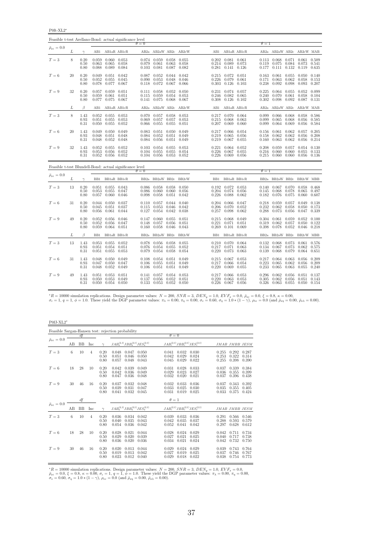P0ft-XL2<sup>∗</sup>

| Feasible t-test Arellano-Bond: actual significance level |    |                      |                         |                                           |                                                       |                         |                                                           |                |                         |                |                                                                               |                |                         |                                                           |                         |                                           |                          |
|----------------------------------------------------------|----|----------------------|-------------------------|-------------------------------------------|-------------------------------------------------------|-------------------------|-----------------------------------------------------------|----------------|-------------------------|----------------|-------------------------------------------------------------------------------|----------------|-------------------------|-----------------------------------------------------------|-------------------------|-------------------------------------------|--------------------------|
| $\bar{\rho}_{x\varepsilon}=0.0$                          |    |                      |                         |                                           |                                                       | $\theta = 0$            |                                                           |                |                         |                |                                                                               |                | $\theta = 1$            |                                                           |                         |                                           |                          |
|                                                          | L  | $\gamma$             |                         |                                           | AB1 AB1aR AB1cR                                       |                         |                                                           |                | AB2a AB2aW AB2c AB2cW   |                | AB1 AB1aR AB1cR                                                               |                |                         | AB2a AB2aW AB2c AB2cW MAB                                 |                         |                                           |                          |
| $T=3$                                                    | 8  | 0.20<br>0.50<br>0.80 | 0.063<br>0.088          | $0.059$ $0.060$ $0.053$<br>0.065<br>0.089 | 0.058<br>0.084                                        | 0.079<br>0.103          | $0.074$ $0.059$ $0.058$ $0.055$<br>0.061<br>$0.081$ 0.087 | 0.063          | 0.058<br>0.082          |                | $0.202$ $0.081$ $0.061$<br>0.214 0.089 0.073<br>$0.281$ $0.141$ $0.126$       |                | 0.119                   | 0.113 0.068<br>0.075<br>$0.177$ $0.111$                   | 0.071<br>0.084<br>0.132 | $0.061$ $0.509$<br>0.073<br>0.119         | 0.541<br>0.635           |
| $T=6$                                                    | 20 | 0.20<br>0.50<br>0.80 | 0.049<br>0.052<br>0.078 | 0.055<br>0.077 0.067                      | $0.051$ $0.042$<br>0.045                              | 0.087<br>0.118          | 0.052<br>$0.090 \quad 0.053$<br>0.072 0.067               | 0.044<br>0.048 | 0.042<br>0.046<br>0.066 |                | $0.215$ $0.072$ $0.051$<br>$0.226$ $0.079$ $0.061$<br>$0.303$ $0.126$ $0.103$ |                | 0.163<br>0.171<br>0.238 | 0.061<br>0.063<br>0.092                                   | 0.055<br>0.062<br>0.098 | $0.050 \quad 0.140$<br>0.058<br>0.093     | 0.153<br>0.207           |
| $T=9$                                                    | 32 | 0.20<br>0.50<br>0.80 | 0.057<br>0.059<br>0.077 | $0.059$ $0.051$<br>0.061                  | 0.051<br>0.075 0.067                                  | 0.111<br>0.115          | 0.058<br>0.059<br>$0.141$ $0.075$ $0.068$                 | 0.052<br>0.054 | 0.050<br>0.053<br>0.067 |                | 0.231 0.074 0.057<br>$0.246$ $0.082$ $0.065$<br>$0.308$ $0.126$ $0.102$       |                | 0.225<br>0.240<br>0.302 | 0.064<br>0.070<br>0.098                                   | 0.055<br>0.061<br>0.092 | 0.052 0.099<br>0.058<br>$0.087$ $0.131$   | 0.104                    |
|                                                          | L  | $\beta$              | AB1                     | AB1aR AB1cR                               |                                                       |                         |                                                           |                | AB2a AB2aW AB2c AB2cW   | AB1            | AB1aR AB1cR                                                                   |                |                         | AB2a AB2aW AB2c AB2cW MAB                                 |                         |                                           |                          |
| $T=3$                                                    | 8  | 1.43<br>0.93<br>0.31 | 0.051<br>0.050          | $0.052$ $0.055$ $0.053$<br>0.055<br>0.055 | 0.053<br>0.052                                        | 0.069<br>0.066          | $0.070$ $0.057$ $0.058$ $0.053$<br>0.057<br>0.055         | 0.057<br>0.055 | 0.053<br>0.051          | 0.215          | 0.217 0.070 0.064<br>$0.068$ 0.063<br>$0.207$ 0.069                           | 0.060          | 0.099<br>0.099          | $0.099$ $0.066$ $0.068$<br>0.065<br>0.064                 | 0.068<br>0.069          | 0.058 0.586<br>0.056 0.585<br>0.056       | 0.584                    |
| $T=6$                                                    | 20 | 1.43<br>0.93<br>0.31 | 0.049<br>0.048          | 0.051<br>$0.048$ $0.052$ $0.048$          | $0.050$ $0.049$<br>0.048                              | 0.083<br>0.084<br>0.084 | $0.051$ $0.050$<br>0.052<br>$0.056$ 0.051                 | 0.051          | 0.049<br>0.049<br>0.049 | 0.219          | $0.217$ $0.066$ $0.054$<br>0.065<br>$0.219$ $0.067$ $0.055$                   | 0.056          | 0.156<br>0.158<br>0.160 | 0.061<br>0.062<br>0.063                                   | 0.062<br>0.062<br>0.062 | 0.057<br>0.056<br>$0.056$ $0.214$         | 0.205<br>0.208           |
| $T=9$                                                    | 32 | 1.43<br>0.93<br>0.31 | 0.052<br>0.053          | 0.055<br>0.056<br>$0.052$ $0.056$ $0.052$ | 0.052<br>0.052                                        | 0.103<br>0.104          | 0.054<br>0.055<br>$0.104$ $0.056$ $0.053$ $0.052$         | 0.055<br>0.055 | 0.053<br>0.054          | 0.221<br>0.226 | $0.064$ $0.052$<br>0.067<br>$0.226$ $0.069$ $0.056$                           | 0.055          | 0.208<br>0.216          | 0.059<br>0.060<br>$0.215$ $0.060$ $0.060$                 | 0.057<br>0.060          | $0.054$ $0.130$<br>0.055<br>0.056         | 0.133<br>0.136           |
| Feasible t-test Blundell-Bond: actual significance level |    |                      |                         |                                           |                                                       | $\theta = 0$            |                                                           |                |                         |                |                                                                               |                | $\theta = 1$            |                                                           |                         |                                           |                          |
| $\bar{\rho}_{x\varepsilon}=0.0$                          | L  | $\gamma$             |                         |                                           | BB1 BB1aR BB1cR                                       |                         |                                                           |                | BB2a BB2aW BB2c BB2cW   |                | BB1 BB1aR BB1cR                                                               |                |                         | BB2a BB2aW BB2c BB2cW MBB                                 |                         |                                           |                          |
| ${\cal T}=3$                                             | 13 | 0.20<br>0.50<br>0.80 | 0.053<br>0.057          | $0.051$ $0.055$ $0.043$<br>0.055          | 0.047<br>$0.060$ $0.046$                              | 0.086<br>0.098          | $0.086$ $0.058$ $0.058$ $0.050$<br>0.060<br>0.058         | 0.060<br>0.051 | 0.056<br>0.042          | 0.226          | $0.192$ $0.072$ $0.053$<br>$0.204$ $0.074$ $0.056$<br>0.088                   | 0.062          | 0.145<br>0.182          | $0.140$ $0.067$ $0.070$ $0.058$ $0.468$<br>0.068<br>0.076 | 0.078<br>0.075          | 0.065<br>0.060                            | 0.497<br>0.607           |
| $T=6$                                                    | 31 | 0.20<br>0.50<br>0.80 | 0.044<br>0.045<br>0.056 |                                           | $0.050$ $0.037$<br>$0.051$ $0.037$<br>$0.061$ $0.044$ | 0.115<br>0.127          | $0.110$ $0.057$ $0.044$ $0.040$<br>0.053<br>0.054         | 0.046<br>0.042 | 0.042<br>0.038          | 0.206<br>0.257 | $0.204$ $0.066$ $0.047$<br>0.070<br>0.098                                     | 0.052<br>0.062 | 0.218<br>0.232<br>0.288 | 0.059<br>0.062<br>0.073                                   | 0.057<br>0.058<br>0.056 | $0.049$ 0.138<br>0.050<br>0.047           | 0.173<br>0.339           |
| $T=9$                                                    | 49 | 0.20<br>0.50<br>0.80 | 0.052<br>0.052<br>0.059 | 0.056<br>$0.064$ $0.051$                  | $0.056$ 0.046<br>0.047                                | 0.148<br>0.160          | $0.147$ $0.060$ $0.055$<br>0.057<br>0.058 0.046           | 0.056          | 0.051<br>0.051<br>0.043 | 0.221<br>0.269 | $0.215$ $0.068$ $0.049$<br>0.071<br>$0.101$ $0.069$                           | 0.051          | 0.319<br>0.398          | $0.304$ $0.061$<br>0.062<br>0.078                         | 0.059<br>0.057<br>0.052 | $0.052$ $0.100$<br>0.050<br>$0.046$ 0.218 | 0.122                    |
|                                                          | L  | β                    | BB1                     |                                           | BB1aR BB1cR                                           |                         |                                                           |                | BB2a BB2aW BB2c BB2cW   | BB1            | BB1aR BB1cR                                                                   |                |                         | BB2a BB2aW BB2c                                           |                         | BB2cW MBB                                 |                          |
| $T=3$                                                    | 13 | 1.43<br>0.93<br>0.31 | 0.051<br>0.051          | $0.053$ $0.055$ $0.052$<br>0.054<br>0.055 | 0.051<br>0.053                                        | 0.078<br>0.076<br>0.079 | 0.056 0.058 0.055<br>0.054<br>0.054                       | 0.055<br>0.058 | 0.052<br>0.054          | 0.217<br>0.220 | $0.210$ $0.070$ $0.064$<br>$0.071$ $0.063$<br>0.073 0.063                     |                | 0.134<br>0.139          | $0.132 \quad 0.068$<br>0.067<br>0.068                     | 0.073<br>0.079          | 0.073 0.061 0.576<br>0.062<br>0.064 0.651 | 0.575                    |
| $T=6$                                                    | 31 | 1.43<br>0.93<br>0.31 | 0.048<br>0.047          | 0.050<br>$0.048$ $0.052$ $0.049$          | $0.050 \quad 0.049$<br>0.047                          | 0.108<br>0.106<br>0.106 | 0.054 0.051<br>0.055<br>$0.051$ $0.051$ $0.049$           | 0.051          | 0.049<br>0.049          | 0.217          | $0.215$ $0.067$ $0.053$<br>0.066<br>$0.220$ $0.069$ $0.055$                   | 0.054          | 0.217<br>0.223<br>0.233 | 0.064<br>0.065<br>0.065                                   | 0.063<br>0.062<br>0.063 | $0.056$ $0.209$<br>0.056<br>0.055         | 0.209<br>0.240           |
| $T=9$                                                    | 49 | 1.43<br>0.93         | 0.051                   | 0.053<br>0.053                            | 0.051                                                 | 0.141                   | 0.057<br>0.056<br>0.052                                   | 0.054          | 0.053                   |                | $0.217$ 0.066<br>$0.220$ $0.063$                                              | 0.053<br>0.053 | 0.296<br>0.305          | 0.062<br>0.062                                            | 0.056                   | 0.051                                     | 0.137<br>$0.051$ $0.143$ |

 ${}^{*}R = 10000$  simulation replications. Design parameter values:  $N = 200$ ,  $SNR = 3$ ,  $DEN_y = 1.0$ ,  $EVF_x = 0.0$ ,  $\bar{\rho}_{x\bar{x}} = 0.0$ ,  $\xi = 0.8$ ,  $\kappa = 0.00$ ,<br> $\sigma_{\bar{x}} = 1$ ,  $q = 1$ ,  $\phi = 1.0$ . These yield the DGP parameter values:

P0fJ-XL2<sup>∗</sup>

|                                 |    |           |                |                      | Feasible Sargan-Hansen test: rejection probability |                         |                         |                         |                                           |                         |                         |                         |
|---------------------------------|----|-----------|----------------|----------------------|----------------------------------------------------|-------------------------|-------------------------|-------------------------|-------------------------------------------|-------------------------|-------------------------|-------------------------|
|                                 |    | df        |                |                      |                                                    |                         | $\theta = 0$            |                         |                                           |                         |                         |                         |
| $\bar{\rho}_{x\varepsilon}=0.0$ | AВ | <b>BB</b> | Inc            | $\sim$               | $JAB_a^{(2,1)}JBB_a^{(2,1)}JES_a^{(2,1)}$          |                         |                         |                         | $JAB_c^{(2,1)}JBB_c^{(2,1)}JES_c^{(2,1)}$ |                         | JMAB JMBB JESM          |                         |
| $T=3$                           | 6  | 10        | 4              | 0.20<br>0.50<br>0.80 | 0.048<br>0.047<br>0.051<br>0.046<br>0.057<br>0.048 | 0.050<br>0.050<br>0.043 | 0.041<br>0.042<br>0.045 | 0.032<br>0.029<br>0.029 | 0.030<br>0.024<br>0.022                   | 0.255<br>0.253<br>0.255 | 0.292<br>0.322<br>0.398 | 0.287<br>0.314<br>0.390 |
| $T=6$                           | 18 | 28        | 10             | 0.20<br>0.50<br>0.80 | 0.042<br>0.039<br>0.042<br>0.036<br>0.047<br>0.036 | 0.049<br>0.049<br>0.048 | 0.031<br>0.029<br>0.032 | 0.028<br>0.023<br>0.020 | 0.033<br>0.027<br>0.021                   | 0.037<br>0.036<br>0.037 | 0.339<br>0.355<br>0.396 | 0.384<br>0.399<br>0.438 |
| $T=9$                           | 30 | 46        | 16             | 0.20<br>0.50<br>0.80 | 0.037<br>0.032<br>0.039<br>0.031<br>0.041<br>0.032 | 0.048<br>0.047<br>0.045 | 0.032<br>0.033<br>0.031 | 0.033<br>0.025<br>0.019 | 0.036<br>0.030<br>0.025                   | 0.037<br>0.035<br>0.033 | 0.343<br>0.355<br>0.375 | 0.392<br>0.405<br>0.424 |
|                                 |    | df        |                |                      |                                                    |                         | $\theta=1$              |                         |                                           |                         |                         |                         |
| $\bar{\rho}_{x\varepsilon}=0.0$ | AВ | <b>BB</b> | Inc            | $\gamma$             | $JAB_a^{(2,1)}JBB_a^{(2,1)}JES_a^{(2,1)}$          |                         |                         |                         | $JAB_c^{(2,1)}JBB_c^{(2,1)}JES_c^{(2,1)}$ |                         | JMAB JMBB JESM          |                         |
| $T=3$                           | 6  | 10        | $\overline{4}$ | 0.20<br>0.50<br>0.80 | 0.036<br>0.034<br>0.040<br>0.035<br>0.054<br>0.036 | 0.042<br>0.043<br>0.042 | 0.039<br>0.042<br>0.052 | 0.033<br>0.035<br>0.041 | 0.036<br>0.037<br>0.042                   | 0.291<br>0.288<br>0.297 | 0.566<br>0.593<br>0.628 | 0.546<br>0.579<br>0.612 |
| $T=6$                           | 18 | 28        | 10             | 0.20<br>0.50<br>0.80 | 0.028<br>0.021<br>0.029<br>0.020<br>0.036<br>0.020 | 0.044<br>0.039<br>0.036 | 0.028<br>0.027<br>0.034 | 0.024<br>0.021<br>0.021 | 0.029<br>0.025<br>0.024                   | 0.042<br>0.040<br>0.042 | 0.711<br>0.717<br>0.732 | 0.734<br>0.738<br>0.750 |
| $T=9$                           | 30 | 46        | 16             | 0.20<br>0.50<br>0.80 | 0.020<br>0.013<br>0.019<br>0.013<br>0.023<br>0.012 | 0.044<br>0.042<br>0.040 | 0.029<br>0.027<br>0.029 | 0.024<br>0.019<br>0.018 | 0.029<br>0.025<br>0.022                   | 0.039<br>0.037<br>0.038 | 0.743<br>0.746<br>0.754 | 0.764<br>0.767<br>0.773 |

\*R = 10000 simulation replications. Design parameter values:  $N = 200$ ,  $SNR = 3$ ,  $DEN_y = 1.0$ ,  $EVF_x = 0.0$ ,  $\bar{\rho}_{xe} = 0.0$ ,  $\xi = 0.8$ ,  $\kappa = 0.00$ ,  $\sigma_e = 1$ ,  $q = 1$ ,  $\phi = 1.0$ . These yield the DGP parameter values:  $\pi_{\lambda} = 0.$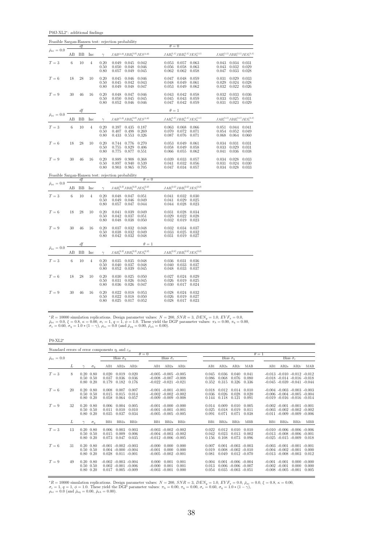P0fJ-XL2<sup>∗</sup> : additional findings

|                                 |       |          |                |                      | Feasible Sargan-Hansen test: rejection probability                                      |                                                                                                               |                                                                                |
|---------------------------------|-------|----------|----------------|----------------------|-----------------------------------------------------------------------------------------|---------------------------------------------------------------------------------------------------------------|--------------------------------------------------------------------------------|
| $\bar{\rho}_{x\varepsilon}=0.0$ |       | df       |                |                      |                                                                                         | $\theta = 0$                                                                                                  |                                                                                |
|                                 | AB    | BB       | Inc            | $\gamma$             | $JAB^{\left(1,0\right)}JBB_{a}^{\left(1,0\right)}JES^{\left(1,0\right)}$                | $JAB_a^{(1,1)}JBB_a^{(1,1)}JES_a^{(1,1)}$                                                                     | $JAB_c^{(1,1)}JBB_c^{(1,1)}JES_c^{(1,1)}$                                      |
| $T=3$                           | $\,6$ | 10       | $\overline{4}$ | 0.20<br>0.50<br>0.80 | 0.049 0.045 0.042<br>0.050<br>0.048<br>0.046<br>0.057<br>0.049<br>0.045                 | 0.053<br>0.057<br>0.063<br>0.056<br>0.058<br>0.063<br>0.062<br>0.062<br>0.058                                 | $0.043$ 0.034<br>0.031<br>0.043<br>0.032<br>0.029<br>0.047<br>0.033<br>0.028   |
| $T=6$                           | 18    | 28       | 10             | 0.20<br>0.50<br>0.80 | 0.045<br>0.046<br>0.046<br>0.045<br>0.042<br>0.043<br>0.049<br>0.048<br>0.047           | 0.047<br>0.048<br>0.059<br>0.048<br>0.049<br>0.061<br>0.053<br>0.049<br>0.062                                 | 0.031<br>0.029<br>0.033<br>0.029<br>0.024<br>0.028<br>0.032<br>0.022<br>0.026  |
| $T=9$                           | 30    | 46       | 16             | 0.20<br>0.50<br>0.80 | 0.048<br>0.047<br>0.046<br>0.045<br>0.045<br>0.050<br>0.052<br>$0.046$ 0.046            | 0.043<br>0.042<br>0.058<br>0.045<br>0.043<br>0.059<br>0.047<br>$0.042$ 0.059                                  | 0.032<br>0.033<br>0.036<br>0.033<br>0.025<br>0.031<br>$0.031$ $0.023$<br>0.029 |
|                                 |       | df       |                |                      |                                                                                         | $\theta=1$                                                                                                    |                                                                                |
| $\bar{\rho}_{x\varepsilon}=0.0$ | AB    | BB       | Inc            | $\gamma$             | $JAB^{\left( 1,0\right) }JBB_{a}^{\left( 1,0\right) }JES_{\cdot }^{\left( 1,0\right) }$ | $JAB_a^{\left( {1,1} \right)} JBB_a^{\left( {1,1} \right)} JES_a^{\left( {1,1} \right)}$                      | $JAB_c^{(1,1)}JBB_c^{(1,1)}JES_c^{(1,1)}$                                      |
| $T=3$                           | $\,6$ | 10       | $\overline{4}$ | 0.20<br>0.50<br>0.80 | 0.397<br>0.435<br>0.187<br>0.269<br>0.407<br>0.498<br>0.553<br>0.326<br>0.433           | 0.063<br>$0.068$ 0.066<br>$0.070\,$<br>0.072<br>0.071<br>0.087<br>0.076<br>0.071                              | $0.051$ 0.044<br>0.041<br>0.054<br>0.052<br>0.049<br>0.068<br>0.064<br>0.060   |
| $T=6$                           | 18    | 28       | 10             | 0.20<br>0.50<br>0.80 | 0.776<br>0.744<br>0.270<br>0.829<br>0.406<br>0.755<br>$0.877\,$<br>0.775<br>0.551       | 0.053<br>0.049<br>0.061<br>0.058<br>0.058<br>0.049<br>0.066<br>0.055<br>0.062                                 | 0.034<br>0.031<br>0.031<br>0.029<br>0.031<br>0.033<br>0.041<br>0.036<br>0.038  |
| $T=9$                           | 30    | 46       | 16             | 0.20<br>0.50<br>0.80 | 0.908<br>0.889<br>0.368<br>0.897<br>0.539<br>0.940<br>0.903<br>0.965<br>0.705           | 0.039<br>0.033<br>0.057<br>0.041<br>0.056<br>0.032<br>0.047<br>0.034<br>0.057                                 | 0.034<br>0.028<br>0.033<br>0.031<br>0.024<br>0.030<br>0.034 0.028<br>0.033     |
|                                 |       |          |                |                      | Feasible Sargan-Hansen test: rejection probability<br>$\theta = 0$                      |                                                                                                               |                                                                                |
| $\bar{\rho}_{x\varepsilon}=0.0$ | AВ    | df<br>BB | Inc            | $\gamma$             | $JAB_{a}^{\left( 2,2\right) }JBB_{a}^{\left( 2,2\right) }JES_{a}^{\left( 2,2\right) }$  | $JAB_c^{(2,2)}JBB_c^{(2,2)}JES_c^{(2,2)}$                                                                     |                                                                                |
| $T=3$                           | $\,6$ | 10       | $\overline{4}$ | 0.20<br>0.50<br>0.80 | $0.048\quad 0.047\quad 0.051$<br>0.049<br>0.049<br>0.046<br>0.047<br>0.057<br>0.044     | 0.041<br>$0.032$ $0.030$<br>0.041<br>0.029<br>0.025<br>0.044<br>0.028<br>0.023                                |                                                                                |
| $T=6$                           | 18    | 28       | 10             | 0.20<br>0.50<br>0.80 | 0.039<br>0.049<br>0.041<br>0.042<br>0.051<br>0.037<br>0.048<br>0.038<br>0.050           | 0.028<br>0.031<br>0.034<br>0.029<br>0.022<br>0.028<br>0.032<br>0.019<br>0.023                                 |                                                                                |
| $T=9$                           | 30    | 46       | 16             | 0.20<br>0.50<br>0.80 | 0.032<br>0.048<br>0.037<br>0.049<br>0.032<br>0.038<br>$0.042$ 0.032<br>0.048            | $\begin{array}{c} 0.032 \\ 0.033 \\ 0.031 \end{array}$<br>0.034<br>0.037<br>0.025<br>0.032<br>$0.019$ $0.027$ |                                                                                |
|                                 |       | df       |                |                      | $\theta=1$                                                                              |                                                                                                               |                                                                                |
| $\bar{\rho}_{x\varepsilon}=0.0$ | AВ    | BB       | Inc            | $\gamma$             | $JAB_{a}^{\left( 2,2\right) }JBB_{a}^{\left( 2,2\right) }JES_{a}^{\left( 2,2\right) }$  | $JAB_c^{(2,2)}JBB_c^{(2,2)}JES_c^{(2,2)}$                                                                     |                                                                                |
| $T = 3$                         | 6     | 10       | $\overline{4}$ | 0.20<br>0.50<br>0.80 | 0.035 0.035<br>0.048<br>0.037<br>0.048<br>0.040<br>0.052<br>0.039<br>0.045              | $0.031$ $0.036$<br>0.036<br>0.040<br>0.033<br>0.037<br>0.048<br>0.033<br>0.037                                |                                                                                |
| $T=6$                           | 18    | 28       | 10             | 0.20<br>0.50<br>0.80 | 0.030<br>0.025<br>0.050<br>0.026<br>0.045<br>0.031<br>0.036<br>0.026<br>0.047           | 0.024<br>0.027<br>0.029<br>0.026<br>$0.019\,$<br>0.025<br>0.030<br>0.017<br>0.024                             |                                                                                |
| $T=9$                           | 30    | 46       | 16             | 0.20<br>0.50<br>0.80 | 0.018<br>0.022<br>0.053<br>0.018<br>0.050<br>0.022<br>0.025<br>0.017<br>0.052           | 0.028<br>0.024<br>0.032<br>0.026<br>0.019<br>0.027<br>0.028<br>0.017<br>0.023                                 |                                                                                |

 ${}^*R = 10000$  simulation replications. Design parameter values:  $N = 200$ ,  $SNR = 3$ ,  $DEN_y = 1.0$ ,  $EVF_x = 0.0$ ,  $\bar{\rho}_{xe} = 0.0$ ,  $\xi = 0.8$ ,  $\kappa = 0.00$ ,  $\sigma_e = 1$ ,  $q = 1$ ,  $\phi = 1.0$ . These yield the DGP parameter values:  $\pi_{\lambda} =$ 

P0-XL2<sup>∗</sup>

| Standard errors of error components $\eta_i$ and $\varepsilon_{it}$ |    |                                                        |                         |                                                                        |                         |                                                                                    |                                   |                         |                         |                         |                                                                               |                         |                 |                                                                                                                |                                   |                                   |
|---------------------------------------------------------------------|----|--------------------------------------------------------|-------------------------|------------------------------------------------------------------------|-------------------------|------------------------------------------------------------------------------------|-----------------------------------|-------------------------|-------------------------|-------------------------|-------------------------------------------------------------------------------|-------------------------|-----------------|----------------------------------------------------------------------------------------------------------------|-----------------------------------|-----------------------------------|
| $\bar{\rho}_{x\varepsilon} = 0.0$                                   |    |                                                        |                         | Bias $\tilde{\sigma}_n$                                                |                         | $\theta = 0$                                                                       | Bias $\hat{\sigma}_{\varepsilon}$ |                         |                         | Bias $\hat{\sigma}_n$   |                                                                               |                         | $\theta = 1$    |                                                                                                                | Bias $\hat{\sigma}_{\varepsilon}$ |                                   |
|                                                                     | L  | $\sigma_n$                                             | AB1                     | AB2a                                                                   | AB2c                    | AB1                                                                                | AB2a                              | AB2c                    | AB1                     | AB2a                    | AB2c                                                                          | MAB                     | AB1             | AB2a                                                                                                           | AB2c                              | MAB                               |
| $T=3$                                                               | 8  | $0.20\ 0.80$<br>$0.50 \quad 0.50$<br>$0.80 \quad 0.20$ | 0.020<br>0.037<br>0.179 | 0.019<br>0.036<br>0.182                                                | 0.020<br>0.036<br>0.176 | $-0.005 - 0.005 - 0.005$<br>$-0.008$ $-0.007$ $-0.008$<br>$-0.022 - 0.021 - 0.021$ |                                   |                         | 0.045<br>0.086<br>0.352 | 0.036<br>0.068<br>0.315 | 0.040<br>0.076<br>0.326                                                       | 0.041<br>0.080<br>0.336 |                 | $-0.013 - 0.010 - 0.012 - 0.012$<br>$-0.018$ $-0.014$ $-0.016$ $-0.018$<br>$-0.045 - 0.039 - 0.041 - 0.044$    |                                   |                                   |
| $T=6$                                                               | 20 | $0.20\ 0.80$<br>$0.50 \quad 0.50$<br>$0.80\ 0.20$      | 0.008<br>0.015<br>0.058 | 0.007<br>0.015<br>0.064                                                | 0.007<br>0.014<br>0.057 | $-0.001 - 0.001 - 0.001$<br>$-0.002$ $-0.002$ $-0.002$<br>$-0.009 - 0.009 - 0.008$ |                                   |                         | 0.018<br>0.036<br>0.144 | 0.012<br>0.026<br>0.118 | 0.014<br>0.028<br>0.121                                                       | 0.010<br>0.020<br>0.091 |                 | $-0.004$ $-0.003$ $-0.003$ $-0.003$<br>$-0.006$ $-0.004$ $-0.005$ $-0.004$<br>$-0.019 - 0.016 - 0.016 - 0.014$ |                                   |                                   |
| $T=9$                                                               | 32 | $0.20\ 0.80$<br>$0.50 \quad 0.50$<br>$0.80\ 0.20$      | 0.006<br>0.011<br>0.035 | 0.004<br>0.010<br>0.037                                                | 0.005<br>0.010<br>0.034 | $-0.001 - 0.000 - 0.000$<br>$-0.001$ $-0.001$ $-0.001$<br>$-0.005 - 0.005 - 0.005$ |                                   |                         | 0.014<br>0.025<br>0.091 | 0.009<br>0.018<br>0.071 | 0.010<br>0.019<br>0.071                                                       | 0.005<br>0.011<br>0.038 |                 | $-0.002$ $-0.001$ $-0.001$ $-0.001$<br>$-0.003$ $-0.002$ $-0.002$ $-0.002$<br>$-0.011 - 0.009 - 0.009 - 0.006$ |                                   |                                   |
|                                                                     | L  | $\sim$<br>$\sigma_n$                                   | B <sub>B1</sub>         | BB <sub>2a</sub>                                                       | BB2c                    | B <sub>B1</sub>                                                                    | BB <sub>2a</sub>                  | BB2c                    | B <sub>B1</sub>         | BB <sub>2a</sub>        | BB2c                                                                          | <b>MBB</b>              | B <sub>B1</sub> | BB <sub>2a</sub>                                                                                               | BB <sub>2c</sub>                  | <b>MBB</b>                        |
| $T=3$                                                               | 13 | $0.20\ 0.80$<br>$0.50 \quad 0.50$<br>$0.80 \quad 0.20$ | 0.006<br>0.015<br>0.073 | 0.003<br>0.009<br>0.047                                                | 0.003<br>0.006<br>0.035 | $-0.003 - 0.002 - 0.002$<br>$-0.004$ $-0.003$ $-0.002$<br>$-0.012 - 0.006 - 0.005$ |                                   |                         | 0.022<br>0.042<br>0.156 | 0.012<br>0.023<br>0.108 | 0.010<br>0.013<br>0.073                                                       | 0.010<br>0.002<br>0.096 |                 | $-0.010 - 0.006 - 0.006 - 0.006$<br>$-0.013 - 0.008 - 0.006 - 0.001$<br>$-0.025$ $-0.015$ $-0.009$ $0.018$     |                                   |                                   |
| $T=6$                                                               | 31 | $0.20\ 0.80$<br>$0.50 \quad 0.50$<br>$0.80\ 0.20$      | 0.028                   | $-0.001 - 0.002 - 0.003$<br>$0.004 - 0.000 - 0.004$<br>$0.011 - 0.001$ |                         | $-0.000$<br>$-0.001$<br>$-0.005 - 0.002 - 0.001$                                   | 0.000<br>0.000                    | 0.000<br>0.000          | 0.007<br>0.019<br>0.081 | 0.049                   | $0.001 - 0.003 - 0.003$<br>$0.008 - 0.002 - 0.010$<br>$0.012 - 0.070$         |                         |                 | $-0.003$ $-0.001$ $-0.001$ $-0.001$<br>$-0.004$ $-0.002$ $-0.001$<br>$-0.013$ $-0.008$ $-0.003$                |                                   | 0.000<br>0.012                    |
| $T=9$                                                               | 49 | $0.20\ 0.80$<br>$0.50 \quad 0.50$<br>$0.80\ 0.20$      | 0.017                   | $-0.002 - 0.003 - 0.004$<br>$0.002 - 0.001 - 0.006$                    | $0.005 - 0.009$         | 0.000<br>$-0.000$<br>$-0.003 - 0.001$                                              | 0.001<br>0.001                    | 0.001<br>0.001<br>0.000 | 0.004<br>0.013<br>0.054 |                         | $0.001 - 0.006 - 0.004$<br>$0.006 - 0.006 - 0.007$<br>$0.035 - 0.003 - 0.051$ |                         | $-0.008$        | $-0.001 - 0.001$<br>$-0.002 - 0.001$<br>$-0.005 - 0.001$                                                       | 0.000                             | $0.000 - 0.000$<br>0.000<br>0.005 |

 ${}^*R = 10000$  simulation replications. Design parameter values:  $N = 200$ ,  $SNR = 3$ ,  $DEN_y = 1.0$ ,  $EVF_x = 0.0$ ,  $\bar{\rho}_{x\bar{z}} = 0.0$ ,  $\xi = 0.8$ ,  $\kappa = 0.00$ ,<br>  $\sigma_{\varepsilon} = 1$ ,  $q = 1$ ,  $\phi = 1.0$ . These yield the DGP parameter values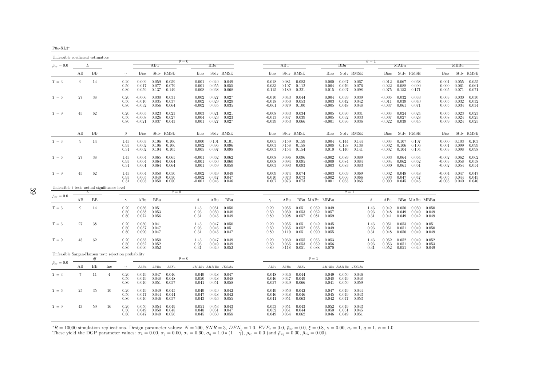| P011-X<br>J. |  |
|--------------|--|
|              |  |

| Unfeasible coefficient estimators                    |    |           |     |                      |                                  |                         |                                 |                                |                                 |                               |                                        |                                   |                         |                         |                                  |                                   |                         |                      |                                  |                         |                         |                         |                                  |                         |                         |
|------------------------------------------------------|----|-----------|-----|----------------------|----------------------------------|-------------------------|---------------------------------|--------------------------------|---------------------------------|-------------------------------|----------------------------------------|-----------------------------------|-------------------------|-------------------------|----------------------------------|-----------------------------------|-------------------------|----------------------|----------------------------------|-------------------------|-------------------------|-------------------------|----------------------------------|-------------------------|-------------------------|
| $\bar{\rho}_{x\varepsilon}=0.0$                      |    | L         |     |                      |                                  | ABu                     |                                 | $\theta = 0$                   | BBu                             |                               |                                        | ABu                               |                         |                         |                                  | BBu                               |                         | $\theta = 1$         |                                  | MABu                    |                         |                         |                                  | MBBu                    |                         |
|                                                      | AВ | BB        |     | $\gamma$             | Bias                             |                         | Stdy RMSE                       | Bias                           |                                 | Stdy RMSE                     | Bias                                   |                                   | Stdy RMSE               |                         | Bias                             |                                   | Stdy RMSE               |                      | <b>Bias</b>                      |                         | Stdy RMSE               |                         | Bias                             |                         | Stdy RMSE               |
| $T=3$                                                | 9  | 14        |     | 0.20<br>0.50<br>0.80 | $-0.009$<br>$-0.017$<br>$-0.059$ | 0.059<br>0.077<br>0.137 | 0.059<br>0.079<br>0.149         | 0.001<br>$-0.001$<br>$-0.008$  | 0.055<br>0.068                  | 0.049 0.049<br>0.055<br>0.068 | $-0.018$<br>$-0.033$<br>$-0.115$ 0.189 | 0.081<br>0.107                    | 0.083<br>0.112<br>0.221 |                         | $-0.000$<br>$-0.004$<br>$-0.015$ | 0.067<br>0.076<br>0.097           | 0.067<br>0.076<br>0.098 |                      | $-0.012$<br>$-0.022$<br>$-0.075$ | 0.067<br>0.088<br>0.153 | 0.068<br>0.090<br>0.171 |                         | 0.001<br>$-0.000$<br>$-0.005$    | 0.055<br>0.061<br>0.071 | 0.055<br>0.061<br>0.071 |
| $T=6$                                                | 27 | 38        |     | 0.20<br>0.50<br>0.80 | $-0.006$<br>$-0.010$<br>$-0.032$ | 0.030<br>0.035<br>0.056 | 0.031<br>0.037<br>0.064         | 0.002<br>0.002<br>$-0.002$     | 0.027<br>0.029<br>0.035         | 0.027<br>0.029<br>0.035       | $-0.010$<br>$-0.018$<br>$-0.061$       | 0.043<br>0.050<br>0.079           | 0.044<br>0.053<br>0.100 |                         | 0.004<br>0.003<br>$-0.005$       | 0.039<br>0.042<br>0.048           | 0.039<br>0.042<br>0.048 |                      | $-0.006$<br>$-0.011$<br>$-0.037$ | 0.032<br>0.039<br>0.061 | 0.033<br>0.040<br>0.071 |                         | 0.003<br>0.005<br>0.005          | 0.030<br>0.032<br>0.034 | 0.030<br>0.032<br>0.034 |
| $T=9$                                                | 45 | 62        |     | 0.20<br>0.50<br>0.80 | $-0.005$<br>$-0.008$<br>$-0.021$ | 0.023<br>0.026<br>0.037 | 0.023<br>0.027<br>0.043         | 0.003<br>0.004<br>0.001        | 0.021<br>0.023<br>0.027         | 0.021<br>0.023<br>0.027       | $-0.008$<br>$-0.013$<br>$-0.039$       | 0.033<br>0.037<br>0.053           | 0.034<br>0.039<br>0.066 |                         | 0.005<br>0.005<br>$-0.001$       | 0.030<br>0.032<br>0.036           | 0.031<br>0.033<br>0.036 |                      | $-0.003$<br>$-0.007$<br>$-0.022$ | 0.024<br>0.027<br>0.039 | 0.024<br>0.028<br>0.045 |                         | 0.005<br>0.008<br>0.009          | 0.023<br>0.024<br>0.024 | 0.023<br>0.025<br>0.025 |
|                                                      | AB | <b>BB</b> |     | $\beta$              | <b>Bias</b>                      |                         | Stdy RMSE                       | <b>Bias</b>                    |                                 | Stdy RMSE                     | Bias                                   |                                   | Stdy RMSE               |                         | Bias                             |                                   | Stdy RMSE               |                      | Bias                             |                         | Stdy RMSE               |                         | Bias                             |                         | Stdy RMSE               |
| $T=3$                                                | -9 | 14        |     | 1.43<br>0.93<br>0.31 | 0.003<br>0.002<br>$-0.002$       | 0.106<br>0.106<br>0.104 | 0.106<br>0.106<br>0.105         | 0.000<br>0.002<br>0.005        | 0.101<br>0.096<br>0.097         | 0.101<br>0.096<br>0.098       | 0.005<br>0.003<br>$-0.003$             | 0.159<br>0.158<br>0.154           | 0.159<br>0.158<br>0.154 |                         | 0.004<br>0.008<br>0.010          | 0.144<br>0.138<br>0.140           | 0.144<br>0.138<br>0.141 |                      | 0.003<br>0.002<br>$-0.002$       | 0.107<br>0.106<br>0.104 | 0.107<br>0.106<br>0.104 |                         | 0.000<br>0.001<br>0.003          | 0.103<br>0.099<br>0.098 | 0.103<br>0.099<br>0.098 |
| $T=6$                                                | 27 | 38        |     | 1.43<br>0.93<br>0.31 | 0.004<br>0.004<br>0.001          | 0.065<br>0.064<br>0.064 | 0.065<br>0.064<br>0.064         | $-0.001$<br>$-0.001$<br>0.001  | 0.062<br>0.060<br>0.059         | 0.062<br>0.060<br>0.059       | 0.008<br>0.008<br>0.003                | 0.096<br>0.094<br>0.093           | 0.096<br>0.095<br>0.093 |                         | $-0.002$<br>$-0.000$<br>0.003    | 0.089<br>0.084<br>0.083           | 0.089<br>0.084<br>0.083 |                      | 0.003<br>0.004<br>0.000          | 0.064<br>0.062<br>0.061 | 0.064<br>0.062<br>0.061 |                         | $-0.002$<br>$-0.003$<br>$-0.002$ | 0.062<br>0.058<br>0.054 | 0.062<br>0.058<br>0.054 |
| $T=9$                                                | 45 | 62        |     | 1.43<br>0.93<br>0.31 | 0.004<br>0.005<br>0.003          | 0.050<br>0.049<br>0.050 | 0.050<br>0.050<br>0.050         | $-0.002$<br>$-0.002$<br>-0.001 | 0.049<br>0.047<br>0.046         | 0.049<br>0.047<br>0.046       | 0.009<br>0.010<br>0.007                | 0.074<br>0.073<br>0.073           | 0.074<br>0.073<br>0.073 |                         | $-0.003$<br>$-0.002$<br>0.001    | 0.069<br>0.066<br>0.065           | 0.069<br>0.066<br>0.065 |                      | 0.002<br>0.003<br>0.000          | 0.048<br>0.047<br>0.045 | 0.048<br>0.047<br>0.045 |                         | $-0.004$<br>$-0.005$<br>$-0.003$ | 0.047<br>0.044<br>0.040 | 0.047<br>0.045<br>0.040 |
| Unfeasible t-test: actual significance level         |    | L         |     |                      |                                  |                         | $\theta = 0$                    |                                |                                 |                               |                                        |                                   |                         |                         |                                  | $\theta = 1$                      |                         |                      |                                  |                         |                         |                         |                                  |                         |                         |
| $\bar{\rho}_{x\varepsilon}=0.0$                      | AВ | BB        |     | $\gamma$             | ABu                              | BBu                     |                                 | $\beta$                        | ABu                             | BBu                           | $\gamma$                               | ABu                               |                         | BBu MABu MBBu           |                                  |                                   |                         | $\beta$              | ABu                              |                         | BBu MABu MBBu           |                         |                                  |                         |                         |
| $T=3$                                                | 9  | 14        |     | 0.20<br>0.50<br>0.80 | 0.056<br>0.058<br>0.074          | 0.051<br>0.053<br>0.056 |                                 | 1.43<br>0.93<br>0.31           | 0.051<br>0.050<br>0.045         | 0.050<br>0.048<br>0.049       | 0.20<br>0.50<br>0.80                   | 0.055<br>0.059<br>0.098           | 0.051<br>0.053<br>0.057 | 0.059<br>0.062<br>0.081 | 0.049<br>0.057<br>0.059          |                                   |                         | 1.43<br>0.93<br>0.31 | 0.049<br>0.048<br>0.041          | 0.050<br>0.049<br>0.049 | 0.050<br>0.049<br>0.042 | 0.050<br>0.049<br>0.049 |                                  |                         |                         |
| $T=6$                                                | 27 | 38        |     | 0.20<br>0.50<br>0.80 | 0.050<br>0.057<br>0.090          | 0.041<br>0.047<br>0.047 |                                 | 1.43<br>0.93<br>0.31           | 0.047<br>0.046<br>0.045         | 0.050<br>0.051<br>0.047       | 0.20<br>0.50<br>0.80                   | 0.055<br>0.065<br>0.119           | 0.051<br>0.052<br>0.051 | 0.049<br>0.055<br>0.090 | 0.045<br>0.049<br>0.055          |                                   |                         | 1.43<br>0.93<br>0.31 | 0.051<br>0.051<br>0.048          | 0.053<br>0.051<br>0.050 | 0.049<br>0.049<br>0.049 | 0.051<br>0.050<br>0.049 |                                  |                         |                         |
| $T=9$                                                | 45 | 62        |     | 0.20<br>0.50<br>0.80 | 0.055<br>0.062<br>0.090          | 0.050<br>0.052<br>0.052 |                                 | 1.43<br>0.93<br>0.31           | 0.047<br>0.049<br>0.049         | 0.049<br>0.049<br>0.052       | 0.20<br>0.50<br>0.80                   | 0.060<br>0.065<br>0.118           | 0.055<br>0.053<br>0.051 | 0.053<br>0.059<br>0.088 | 0.053<br>0.056<br>0.070          |                                   |                         | 1.43<br>0.93<br>0.31 | 0.052<br>0.053<br>0.052          | 0.052<br>0.051<br>0.051 | 0.049<br>0.049<br>0.049 | 0.052<br>0.053<br>0.049 |                                  |                         |                         |
| Unfeasible Sargan-Hansen test: rejection probability |    |           |     |                      |                                  |                         |                                 | $\theta = 0$                   |                                 |                               |                                        |                                   |                         | $\theta = 1$            |                                  |                                   |                         |                      |                                  |                         |                         |                         |                                  |                         |                         |
| $\bar{\rho}_{x\varepsilon}=0.0$                      | AB | BB        | Inc | $\gamma$             | JABu                             | $JBBu$                  | JESu                            |                                | $JMABu\quad JMMBu\quad JESMu$   |                               | JABu                                   | JBBu                              | JESu                    |                         | $JMABu\quad JMMBu\quad JESMu$    |                                   |                         |                      |                                  |                         |                         |                         |                                  |                         |                         |
| $T=3$                                                | 7  | 11        | 4   | 0.20<br>0.50<br>0.80 | 0.049<br>0.049<br>0.040          | 0.047<br>0.048<br>0.051 | 0.046<br>0.048<br>0.057         | 0.050<br>0.041                 | $0.049$ 0.048<br>0.048<br>0.051 | 0.047<br>0.048<br>0.058       | 0.048<br>0.046<br>0.037                | 0.046<br>0.047<br>0.049           | 0.044<br>0.049<br>0.066 |                         | 0.048<br>0.041                   | $0.049$ $0.050$<br>0.049<br>0.050 | 0.046<br>0.048<br>0.059 |                      |                                  |                         |                         |                         |                                  |                         |                         |
| $T=6$                                                | 25 | 35        | 10  | 0.20<br>0.50<br>0.80 | 0.049<br>0.047<br>0.040          | 0.049<br>0.044<br>0.046 | 0.045<br>0.044<br>0.057         | 0.049<br>0.047<br>0.043        | 0.049<br>0.048<br>0.046         | 0.042<br>0.042<br>0.055       | 0.049<br>0.046<br>0.041                | 0.050<br>0.048<br>0.051           | 0.042<br>0.046<br>0.063 |                         | 0.047<br>0.045<br>0.042          | 0.049<br>0.049<br>0.047           | 0.044<br>0.043<br>0.053 |                      |                                  |                         |                         |                         |                                  |                         |                         |
| $T=9$                                                | 43 | 59        | 16  | 0.20<br>0.50<br>0.80 | 0.050<br>0.049<br>0.047          | 0.054<br>0.050          | 0.049<br>0.048<br>$0.049$ 0.056 | 0.051<br>0.048                 | 0.053<br>0.051<br>$0.045$ 0.050 | 0.043<br>0.047<br>0.058       | 0.053<br>0.052                         | 0.051<br>0.051<br>$0.049$ $0.054$ | 0.043<br>0.044<br>0.062 |                         | 0.052<br>0.050                   | 0.049<br>0.051<br>$0.046$ 0.049   | 0.043<br>0.045<br>0.051 |                      |                                  |                         |                         |                         |                                  |                         |                         |

 ${}^*R = 10000$  simulation replications. Design parameter values:  $N = 200$ ,  $SNR = 3$ ,  $DEN_y = 1.0$ ,  $EVF_x = 0.0$ ,  $\bar{p}_{xz} = 0.0$ ,  $\xi = 0.8$ ,  $\kappa = 0.00$ ,  $\sigma_{\varepsilon} = 1$ ,  $q = 1$ ,  $\phi = 1.0$ .<br>These yield the DGP parameter values:  $\pi$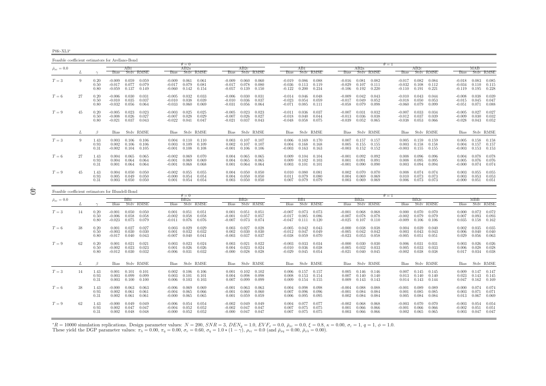P0fc-XL3∗

Feasible coefficient estimators for Arellano-Bond $\theta = 0$  $AB2a$  $\theta = 1$ <br>a  $\theta = 1$  $\bar{\rho}_{x\varepsilon}=0.0$  $_{\varepsilon}$  = 0.0  $_{\varepsilon}$   $_{\varepsilon}$   $_{\varepsilon}$   $_{\varepsilon}$   $_{\varepsilon}$   $_{\varepsilon}$   $_{\varepsilon}$   $_{\varepsilon}$   $_{\varepsilon}$   $_{\varepsilon}$   $_{\varepsilon}$   $_{\varepsilon}$   $_{\varepsilon}$   $_{\varepsilon}$   $_{\varepsilon}$   $_{\varepsilon}$   $_{\varepsilon}$   $_{\varepsilon}$   $_{\varepsilon}$   $_{\varepsilon}$   $_{\varepsilon}$   $_{\varepsilon}$   $_{\varepsilon}$ L  $\gamma$  Bias Stdv RMSE Bias Stdv RMSE Bias Stdv RMSE Bias Stdv RMSE Bias Stdv RMSE Bias Stdv RMSE Bias Stdv RMSE $T=3$  $T=3$  9 0.20 -0.009 0.059 0.059 -0.009 0.061 0.061 -0.009 0.060 0.060 -0.019 0.086 0.088 -0.016 0.081 0.082 -0.017 0.082 0.084 -0.018 0.083 0.085<br>0.50 -0.017 0.077 0.079 -0.017 0.079 0.081 -0.017 0.078 0.080 -0.036 0.113  $0.50$   $-0.017$   $0.079$   $-0.017$   $0.079$   $0.081$   $-0.017$   $0.078$   $0.080$   $-0.036$   $0.113$   $0.119$   $-0.029$   $0.107$   $0.111$   $-0.032$   $0.108$   $0.112$   $-0.034$   $0.110$   $0.115$ 0.80 -0.059 0.137 0.149 -0.060 0.142 0.154 -0.057 0.139 0.150 -0.122 0.200 0.234 -0.106 0.192 0.220 -0.110 0.191 0.221 -0.119 0.195 0.228 $T=6$  $T=6$   $27$   $0.20$   $-0.006$   $0.030$   $0.031$   $-0.005$   $0.032$   $0.033$   $-0.006$   $0.030$   $0.031$   $-0.014$   $0.046$   $0.048$   $-0.009$   $0.042$   $0.043$   $-0.010$   $0.043$   $0.044$   $-0.008$   $0.038$   $0.039$   $-0.010$   $0.036$   $0.037$   $-0$ 0.50 -0.010 0.035 0.037 -0.010 0.038 0.039 -0.010 0.036 0.037 -0.023 0.054 0.059 -0.017 0.049 0.052 -0.018 0.050 0.053 -0.015 0.045 0.0470.80 -0.032 0.056 0.064 -0.033 0.060 0.069 -0.031 0.056 0.064 -0.071 0.085 0.111 -0.058 0.079 0.098 -0.060 0.079 0.099 -0.051 0.071 0.088T

| $T=9$ |                | 0.20<br>0.50<br>$0.80^{\circ}$ | $-0.005$<br>$-0.008$ 0.026<br>$-0.021$ | 0.023<br>0.037                          | 0.023<br>0.027<br>0.043 | $-0.007$             | 0.028<br>$-0.022$ $0.041$ | $-0.003$ $0.025$ $0.025$<br>0.029<br>0.047 | $-0.005$<br>$-0.007$<br>$-0.021$ | 0.026<br>0.037          | 0.023 0.023<br>0.027<br>0.043   |                                             |       | $-0.011$ $0.036$ $0.037$<br>$-0.018$ $0.040$ $0.044$<br>$-0.048$ $0.058$ $0.075$ | $-0.007$ 0.031<br>$-0.013$ 0.036<br>$-0.039$ $0.052$ |                                       | 0.032<br>0.038<br>0.065 |  | $-0.007$ 0.033 0.034<br>$-0.012$ $0.037$ $0.039$<br>$-0.038$ $0.053$ $0.066$   | $-0.005$<br>$-0.009$<br>$-0.028$ | 0.030          | $0.027$ 0.027<br>0.032<br>$0.043$ $0.052$   |
|-------|----------------|--------------------------------|----------------------------------------|-----------------------------------------|-------------------------|----------------------|---------------------------|--------------------------------------------|----------------------------------|-------------------------|---------------------------------|---------------------------------------------|-------|----------------------------------------------------------------------------------|------------------------------------------------------|---------------------------------------|-------------------------|--|--------------------------------------------------------------------------------|----------------------------------|----------------|---------------------------------------------|
|       | $\overline{L}$ | $\beta$                        |                                        |                                         | Bias Stdy RMSE          |                      |                           | Bias Stdy RMSE                             |                                  |                         | Bias Stdy RMSE                  |                                             |       | Bias Stdy RMSE                                                                   |                                                      |                                       | Bias Stdy RMSE          |  | Bias Stdy RMSE                                                                 |                                  | Bias Stdy RMSE |                                             |
| $T=3$ | -9             | 1.43<br>0.93<br>0.31           | 0.003<br>$-0.002$ 0.104                | 0.106<br>$0.002 \quad 0.106$            | 0.106<br>0.106<br>0.105 | 0.004                | 0.110<br>0.003 0.109      | 0.110<br>0.109<br>$-0.001$ $0.108$ $0.108$ | 0.003<br>0.002<br>$-0.001$       | 0.107<br>0.107<br>0.106 | 0.107<br>0.107<br>0.106         | 0.006<br>$0.004$ 0.168<br>$-0.003$ 0.163    | 0.169 | 0.170<br>0.168<br>0.163                                                          | 0.007<br>$-0.003$ $0.152$                            | 0.157<br>$0.005$ $0.155$              | 0.157<br>0.155<br>0.152 |  | $0.005$ $0.159$ $0.159$<br>$0.003$ $0.158$ $0.158$<br>$-0.003$ $0.155$ $0.155$ | 0.005<br>0.004<br>$-0.003$       | 0.157          | $0.158$ $0.158$<br>0.157<br>$0.153$ $0.153$ |
| $T=6$ | 27             | 1.43<br>0.93<br>0.31           | 0.004<br>0.004                         | 0.065<br>0.064<br>$0.001$ $0.064$       | 0.065<br>0.064<br>0.064 | $-0.001$<br>$-0.001$ | 0.069<br>0.068            | $-0.002$ $0.069$ $0.070$<br>0.069<br>0.068 | 0.004<br>0.004<br>0.001          | 0.065<br>0.064          | $0.065$ 0.065<br>0.065<br>0.064 | $0.009$ $0.104$<br>0.009<br>$0.003$ $0.101$ | 0.102 | 0.104<br>0.103<br>0.101                                                          | $-0.001$<br>0.001<br>$-0.001$ 0.090                  | 0.092<br>0.091                        | 0.092<br>0.091<br>0.090 |  | $0.008$ $0.096$ $0.096$<br>$0.008$ $0.095$ $0.095$<br>$0.003$ $0.094$ $0.094$  | 0.004<br>0.005<br>$-0.000$       | 0.076<br>0.074 | 0.078 0.078<br>0.076<br>0.074               |
| $T=9$ | 45             | 1.43<br>0.93<br>0.31           | 0.004                                  | 0.050<br>$0.005$ 0.049<br>$0.003$ 0.050 | 0.050<br>0.050<br>0.050 | $-0.002$<br>$-0.000$ | 0.055<br>0.054            | 0.055<br>0.054<br>$0.001$ $0.054$ $0.054$  | 0.004<br>0.004<br>0.003          | 0.050<br>0.050          | 0.050<br>0.050<br>0.050 0.050   | $0.010 \quad 0.080$<br>$0.011$ $0.079$      |       | 0.081<br>0.080<br>$0.007$ $0.079$ $0.079$                                        | 0.002<br>0.004                                       | 0.070<br>0.069<br>$0.003 \quad 0.069$ | 0.070<br>0.069<br>0.069 |  | 0.008 0.074 0.074<br>$0.010$ $0.073$ $0.073$<br>0.006 0.073 0.073              | 0.003<br>0.003<br>$-0.000$       | 0.053<br>0.051 | $0.055$ $0.055$<br>0.053<br>0.051           |

0.085

0.228

0.039

0.088

 $0.025$ 

Feasible coefficient estimators for Blundell-Bond $\theta = 0$  $-$  RR2a θ  $\theta = 1$ <br>a BR2c BR2c BR1 BR2a  $\bar{\rho}_{x\varepsilon}=0.0$  <sup>=</sup> <sup>0</sup>.<sup>0</sup> BB1 BB2a BB2c BB1 BB2a BB2c MBB $L \qquad \gamma$  $\gamma$  Bias Stdv RMSE Bias Stdv RMSE Bias Stdv RMSE Bias Stdv RMSE Bias Stdv RMSE Bias Stdv RMSE Bias Stdv RMSE  $0.000$   $0.072$   $0.072$  $T=3$  $T=3$   $14$   $0.20$   $-0.001$   $0.050$   $0.050$   $0.001$   $0.051$   $0.001$   $0.051$   $0.051$   $-0.007$   $0.073$   $0.073$   $-0.001$   $0.068$   $0.068$   $0.000$   $0.070$   $0.070$   $0.070$   $0.000$   $0.072$   $0.073$   $0.033$   $0.093$   $0.093$   $0.093$   $0.50$   $-0.006$   $0.058$   $-0.002$   $0.058$   $0.058$   $-0.001$   $0.057$   $0.057$   $-0.017$   $0.085$   $0.086$   $-0.007$   $0.078$   $0.078$   $-0.002$   $0.079$   $0.079$   $0.079$   $0.093$   $0.093$   $0.093$  $0.158$   $0.162$ 0.80 -0.023 0.075 0.079 -0.011 0.076 0.076 -0.007 0.073 0.074 -0.047 0.111 0.120 -0.025 0.107 0.110 -0.009 0.106 0.106 0.035 0.158 0.162 $T=6$  $T=6$   $38$   $0.20$   $0.001$   $0.027$   $0.027$   $0.003$   $0.029$   $0.029$   $0.030$   $0.027$   $0.028$   $-0.005$   $0.043$   $-0.000$   $0.038$   $0.038$   $0.004$   $0.039$   $0.040$   $0.002$   $0.035$   $0.030$   $-0.003$   $0.030$   $-0.012$   $0.047$   $0.049$ 0.50 -0.003 0.030 0.030 0.001 0.032 0.032 0.002 0.030 0.030 -0.012 0.047 0.049 -0.005 0.042 0.042 0.003 0.043 0.043 0.006 0.040 0.040 $0.80$   $-0.017$   $0.040$   $0.043$   $-0.007$   $0.040$   $0.041$   $-0.003$   $0.037$   $0.058$   $0.059$   $0.059$   $0.070$   $-0.023$   $0.053$   $0.058$   $-0.005$   $0.051$   $0.051$   $0.051$   $0.029$   $0.056$   $0.063$  $0.026$  $T=9$  $T=9 \hspace{1.5mm} 62 \hspace{1.5mm} 0.001 \hspace{1.5mm} 0.021 \hspace{1.5mm} 0.031 \hspace{1.5mm} 0.021 \hspace{1.5mm} 0.032 \hspace{1.5mm} 0.024 \hspace{1.5mm} 0.003 \hspace{1.5mm} 0.021 \hspace{1.5mm} 0.022 \hspace{1.5mm} 0.033 \hspace{1.5mm} 0.033 \hspace{1.5mm} 0.033 \hspace{1.5mm} 0.030 \hspace{1.5mm}$  $0.50$   $-0.002$   $0.023$   $0.023$   $0.001$   $0.026$   $0.026$   $0.004$   $0.023$   $0.024$   $-0.010$   $0.036$   $0.038$   $-0.005$   $0.032$   $0.033$   $0.033$   $0.033$   $0.033$   $0.033$   $0.033$   $0.006$   $0.028$   $0.028$ 0.038 0.80 -0.012 0.030 0.032 -0.006 0.031 0.032 -0.000 0.028 0.028 -0.029 0.045 0.054 -0.021 0.040 0.045 -0.002 0.038 0.038 0.017 0.034 0.038 $L \qquad \qquad \beta$ Bias Stdv RMSE Bias Stdv RMSE Bias Stdv RMSE Bias Stdv RMSE Bias Stdv RMSE Bias Stdv RMSE Bias Stdv RMSE Bias Stdv RMSE  $0.009$   $0.147$   $0.147$  $T=3$  $T=3 \hskip 1.08in 14 \hskip 1.08in 1.43 \hskip 1.08in 0.001 \hskip 1.08in 0.101 \hskip 1.08in 0.002 \hskip 1.08in 0.106 \hskip 1.08in 0.011 \hskip 1.08in 0.010 \hskip 1.08in 0.010 \hskip 1.08in 0.004 \hskip 1.08in 0.098 \hskip 1.08in 0.008 \hskip 1.08in 0.015 \hskip 1.08in 0.157 \hskip 1.08in 0$ 0.93 0.003 0.099 0.099 0.003 0.101 0.101 0.004 0.098 0.098 0.008 0.153 0.154 0.007 0.140 0.140 0.013 0.140 0.140 0.023 0.143 0.145 $0.162$   $0.169$ 0.31 0.003 0.100 0.100 0.006 0.103 0.103 0.007 0.099 0.099 0.009 0.154 0.155 0.009 0.143 0.143 0.014 0.143 0.144 0.047 0.162 0.169 $T=6$  $T=6$  38  $1.43$   $-0.000$   $0.063$   $0.063$   $-0.006$   $0.069$   $-0.001$   $0.063$   $0.063$   $-0.004$   $0.098$   $-0.094$   $0.088$   $0.088$   $-0.001$   $0.089$   $0.089$   $-0.001$   $0.089$   $0.089$   $-0.001$   $0.089$   $0.089$   $-0.001$   $0.089$   $0.0$  $\frac{0.93}{0.002}\quad\frac{0.061}{0.061}\quad\frac{0.061}{0.004}\quad\frac{0.065}{0.066}\quad\frac{0.001}{0.060}\quad\frac{0.060}{0.060}\quad\frac{0.007}{0.007}\quad\frac{0.086}{0.096}\quad\frac{0.096}{0.004}\quad\frac{0.084}{0.084}\quad\frac{0.001}{0.085}\quad\frac{0.85}{0.085}\quad\frac{0.085}{0.003}\quad\frac{0.071}{0.071$  $0.069$ 0.31 0.002 0.061 0.061 -0.000 0.065 0.065 0.001 0.059 0.059 0.006 0.095 0.095 0.002 0.084 0.084 0.005 0.084 0.084 0.013 0.067 0.069 $T=9$  $T=9$   $62$   $1.43$   $-0.000$   $0.049$   $-0.004$   $-0.006$   $0.054$   $-0.002$   $0.049$   $0.049$   $0.049$   $0.077$   $-0.077$   $-0.002$   $0.068$   $-0.003$   $0.070$   $-0.007$   $-0.003$   $0.070$   $-0.003$   $0.070$   $-0.003$   $0.054$   $0.054$   $0.054$  0.93 0.002 0.047 0.047 -0.004 0.052 0.052 -0.002 0.047 0.047 0.007 0.075 0.075 0.001 0.066 0.066 -0.001 0.066 0.066 -0.002 0.051 0.051 $0.003$   $0.047$   $0.047$  $\frac{0.31}{0.002}$  0.048  $\frac{0.048}{0.048}$   $\frac{0.000}{0.065}$   $\frac{0.52}{0.052}$   $\frac{-0.000}{0.047}$   $\frac{0.047}{0.047}$   $\frac{0.047}{0.047}$  0.075  $\frac{0.075}{0.075}$   $\frac{0.075}{0.075}$   $\frac{0.075}{0.003}$   $\frac{0.066}{0.066}$   $\frac{0.066}{0.0$ 

*\*R* = 10000 simulation replications. Design parameter values:  $N = 200$ ,  $SNR = 3$ ,  $DEN_y = 1.0$ ,  $EVF_x = 0.0$ ,  $\bar{p}_{xz} = 0.0$ ,  $\xi = 0.8$ ,  $\kappa = 0.00$ ,  $\sigma_{\varepsilon} = 1$ ,  $q = 1$ ,  $\phi = 1.0$ .<br>These yield the DGP parameter values:  $\pi$  $*R = 10000$  simulation replications. Design parameter values:  $N = 200$ ,  $SNR = 3$ ,  $DEN_y = 1.0$ ,  $EVF_x = 0.0$ ,  $\bar{p}_{xz} = 0.0$ ,  $\xi = 0.8$ , These yield the DGP parameter values:  $\pi_{\lambda} = 0.00$ ,  $\pi_{\eta} = 0.00$ ,  $\sigma_v = 0.60$ ,  $\sigma_{\eta}$ 

 $\Rightarrow$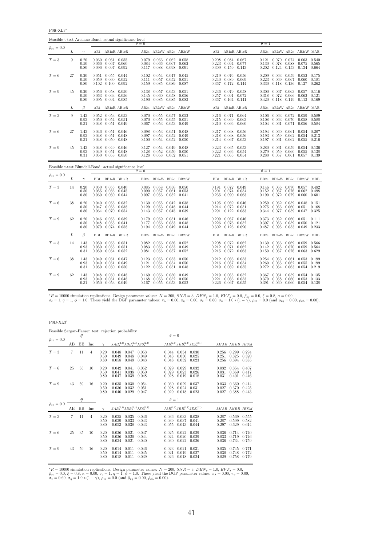P0ft-XL3<sup>∗</sup>

| Feasible t-test Arellano-Bond: actual significance level |    |                      |                         |                                                                       |                                |                         |                                                         |                         |                         |                         |                                                                           |                |                         |                                                           |                         |                                                       |                |
|----------------------------------------------------------|----|----------------------|-------------------------|-----------------------------------------------------------------------|--------------------------------|-------------------------|---------------------------------------------------------|-------------------------|-------------------------|-------------------------|---------------------------------------------------------------------------|----------------|-------------------------|-----------------------------------------------------------|-------------------------|-------------------------------------------------------|----------------|
| $\bar{\rho}_{x\varepsilon}=0.0$                          |    |                      |                         |                                                                       |                                | $\theta = 0$            |                                                         |                         |                         |                         |                                                                           |                | $\theta = 1$            |                                                           |                         |                                                       |                |
|                                                          | L  | $\gamma$             |                         |                                                                       | AB1 AB1aR AB1cR                |                         |                                                         |                         | AB2a AB2aW AB2c AB2cW   |                         | AB1 AB1aR AB1cR                                                           |                |                         | AB2a AB2aW AB2c AB2cW MAB                                 |                         |                                                       |                |
| $T=3$                                                    | 9  | 0.20<br>0.50<br>0.80 | 0.066<br>0.096          | $0.060$ $0.061$ $0.055$                                               | $0.067$ 0.060<br>$0.097$ 0.092 | 0.079<br>0.084<br>0.117 | $0.063$ $0.062$ $0.058$<br>0.066<br>0.088               | 0.067<br>0.098          | 0.062<br>0.091          | 0.208<br>0.223<br>0.309 | $0.084$ 0.067<br>0.094 0.077<br>0.159                                     | 0.143          | 0.130<br>0.202          | $0.121$ $0.070$ $0.074$<br>0.078<br>0.124                 | 0.088<br>0.153          | $0.063$ $0.540$<br>0.075<br>0.134                     | 0.565<br>0.664 |
| $T=6$                                                    | 27 | 0.20<br>0.50<br>0.80 | 0.051<br>0.059<br>0.102 | $0.100 \quad 0.092$                                                   | 0.055 0.044<br>$0.060$ $0.052$ | 0.102<br>0.111<br>0.159 | 0.054<br>0.057<br>0.085                                 | 0.047<br>0.052<br>0.089 | 0.045<br>0.051<br>0.087 | 0.219                   | 0.076 0.056<br>$0.240$ 0.089<br>0.367 0.172 0.144                         | 0.069          | 0.209<br>0.223<br>0.330 | 0.063<br>0.069<br>0.118                                   | 0.059<br>0.067<br>0.136 | $0.052$ $0.175$<br>$0.060$ $0.181$<br>$0.127$ $0.262$ |                |
| $T=9$                                                    | 45 | 0.20<br>0.50<br>0.80 | 0.056<br>0.063<br>0.095 | 0.058 0.050<br>0.063<br>0.094 0.085                                   | 0.056                          | 0.138<br>0.145<br>0.190 | $0.057$ 0.053<br>0.060<br>0.085 0.085                   | 0.058                   | 0.051<br>0.056<br>0.083 | 0.257                   | 0.236 0.079 0.058<br>$0.091$ $0.072$<br>$0.367$ $0.164$ $0.141$           |                | 0.300<br>0.318<br>0.420 | $0.067$ 0.063<br>0.072<br>0.118                           | 0.066<br>0.119          | $0.057$ $0.116$<br>$0.062$ $0.121$<br>$0.113$ $0.169$ |                |
|                                                          | L  | $\beta$              | AB1                     |                                                                       | AB1aR AB1cR                    |                         |                                                         |                         | AB2a AB2aW AB2c AB2cW   | AB1                     | AB1aR AB1cR                                                               |                |                         | AB2a AB2aW AB2c AB2cW MAB                                 |                         |                                                       |                |
| $T=3$                                                    | 9  | 1.43<br>0.93<br>0.31 | 0.048                   | $0.052$ $0.053$ $0.053$<br>$0.050$ $0.054$ $0.051$<br>$0.051$ $0.049$ |                                | 0.070<br>0.067          | $0.070$ $0.055$ $0.057$ $0.052$<br>0.055<br>0.053       | 0.055<br>0.053          | 0.051<br>0.049          |                         | $0.216$ $0.071$ $0.064$<br>$0.215$ $0.069$ $0.063$<br>$0.210 \quad 0.066$ | 0.060          | 0.108<br>0.104          | $0.106$ $0.063$ $0.072$ $0.059$ $0.589$<br>0.063<br>0.061 | 0.070<br>0.071          | 0.058 0.588<br>0.056                                  | 0.584          |
| $T=6$                                                    | 27 | 1.43<br>0.93<br>0.31 | 0.046<br>0.048          | 0.051<br>$0.048$ $0.050$ $0.048$                                      | $0.051$ $0.046$<br>0.048       | 0.098<br>0.097          | 0.053<br>0.053<br>$0.100$ $0.054$ $0.052$ $0.050$       | 0.051<br>0.052          | 0.048<br>0.049          |                         | $0.217$ 0.068<br>$0.218$ 0.068<br>$0.214$ $0.067$ $0.053$                 | 0.056<br>0.056 | 0.193                   | $0.194$ 0.060<br>0.059<br>$0.197$ $0.061$                 | 0.061<br>0.062<br>0.062 | $0.054$ 0.207<br>$0.054$ $0.213$<br>$0.055$ 0.216     |                |
| $T=9$                                                    | 45 | 1.43<br>0.93<br>0.31 | 0.048<br>0.049          | 0.049<br>0.051<br>$0.050$ $0.053$ $0.050$                             | 0.046<br>0.048                 | 0.127<br>0.128          | 0.054<br>0.052<br>$0.128$ $0.053$ $0.052$ $0.051$       | 0.049<br>0.050          | 0.048<br>0.050          |                         | $0.223$ $0.065$ $0.053$<br>$0.222$ 0.066<br>$0.221$ $0.065$ $0.054$       | 0.054          | 0.280<br>0.279<br>0.280 | 0.061<br>0.059<br>$0.057$ $0.061$ $0.057$ $0.139$         | 0.059<br>0.060          | $0.054$ $0.136$<br>0.055                              | 0.138          |
| Feasible t-test Blundell-Bond: actual significance level |    |                      |                         |                                                                       |                                | $\theta = 0$            |                                                         |                         |                         |                         |                                                                           |                | $\theta = 1$            |                                                           |                         |                                                       |                |
| $\bar{\rho}_{x\varepsilon}=0.0$                          | L  | $\gamma$             |                         |                                                                       |                                |                         |                                                         |                         |                         |                         |                                                                           |                |                         |                                                           |                         |                                                       |                |
| $T=3$                                                    |    |                      | BB1                     | BB1aR BB1cR                                                           |                                |                         |                                                         |                         | BB2a BB2aW BB2c BB2cW   | BB1 BB1aR BB1cR         |                                                                           |                |                         | BB2a BB2aW BB2c BB2cW MBB                                 |                         |                                                       |                |
|                                                          | 14 | 0.20<br>0.50<br>0.80 | 0.055<br>0.060          | $0.050$ $0.055$ $0.040$<br>0.056                                      | 0.045<br>$0.060$ $0.044$       | 0.090<br>0.097          | $0.085$ $0.058$ $0.056$ $0.050$<br>0.057<br>0.056 0.052 | 0.061                   | 0.053<br>0.041          | 0.201<br>0.235          | $0.191$ $0.072$ $0.049$<br>$0.074$ 0.054<br>0.090                         | 0.063          | 0.152<br>0.190          | $0.146$ $0.066$ $0.070$ $0.057$ $0.482$<br>0.067<br>0.072 | 0.076<br>0.079          | 0.062<br>0.060                                        | 0.498<br>0.601 |
| $T=6$                                                    | 38 | 0.20<br>0.50<br>0.80 | 0.040<br>0.047<br>0.064 | 0.053 0.032<br>0.053<br>0.070                                         | 0.038<br>0.054                 | 0.129<br>0.143          | $0.130 \quad 0.055 \quad 0.042$<br>0.053<br>0.057       | 0.048<br>0.045          | 0.038<br>0.044<br>0.039 |                         | $0.195$ $0.069$ $0.046$<br>$0.214$ $0.072$ $0.051$<br>$0.291$ $0.122$     | 0.083          | 0.259<br>0.275<br>0.344 | 0.062<br>0.063<br>0.077                                   | 0.059<br>0.060<br>0.059 | $0.048$ $0.151$<br>$0.051$ $0.168$<br>$0.047$ $0.325$ |                |
| $T=9$                                                    | 62 | 0.20<br>0.50<br>0.80 | 0.046<br>0.048          | 0.053 0.039<br>0.053<br>$0.070$ $0.074$ $0.058$                       | 0.041                          | 0.179<br>0.177          | 0.059<br>0.056<br>$0.194$ $0.059$ $0.049$ $0.044$       | 0.051<br>0.053          | 0.046<br>0.048          | 0.209<br>0.226          | $0.067$ 0.046<br>0.076 0.052<br>$0.302$ $0.126$ $0.090$                   |                | 0.373<br>0.397          | $0.062$ 0.060<br>0.063<br>0.487 0.095                     | 0.059<br>0.055          | $0.051$ $0.111$<br>0.050<br>$0.049$ $0.233$           | 0.121          |
|                                                          | L  | $\beta$              | BB1                     |                                                                       | BB1aR BB1cR                    |                         |                                                         |                         | BB2a BB2aW BB2c BB2cW   | BB1                     | BB1aR BB1cR                                                               |                |                         | BB2a BB2aW BB2c                                           |                         | BB2cW MBB                                             |                |
| $T=3$                                                    | 14 | 1.43<br>0.93<br>0.31 | 0.050<br>0.050          | $0.050$ $0.053$ $0.051$<br>0.053                                      | 0.051<br>$0.054$ $0.052$       | 0.082<br>0.083<br>0.081 | $0.056$ $0.056$ $0.052$<br>0.056<br>0.056               | 0.053<br>0.057          | 0.049<br>0.052          | 0.212                   | $0.208$ $0.072$ $0.062$<br>0.071<br>$0.215$ $0.072$ $0.063$               | 0.062          | 0.142<br>0.150          | $0.139$ $0.066$ $0.069$<br>0.065<br>0.067                 | 0.070<br>0.076          | $0.059$ 0.566<br>0.059<br>0.063                       | 0.564<br>0.629 |
| $T=6$                                                    | 38 | 1.43<br>0.93<br>0.31 | 0.049<br>0.049          | 0.051<br>$0.050$ $0.050$ $0.050$                                      | $0.051$ $0.047$<br>0.049       | 0.123<br>0.121<br>0.122 | 0.055<br>0.054<br>$0.055$ 0.051                         | 0.053<br>0.054          | 0.050<br>0.050<br>0.048 | 0.216                   | 0.212 0.066 0.053<br>0.067<br>$0.219$ $0.069$ $0.055$                     | 0.054          | 0.260<br>0.272          | $0.254$ 0.063<br>0.065<br>0.064                           | 0.061<br>0.062<br>0.063 | 0.053 0.199<br>0.055<br>$0.054$ $0.219$               | 0.199          |

 ${}^{*}R = 10000$  simulation replications. Design parameter values:  $N = 200$ ,  $SNR = 3$ ,  $DEN_y = 1.0$ ,  $EVF_x = 0.0$ ,  $\bar{\rho}_{x\bar{x}} = 0.0$ ,  $\xi = 0.8$ ,  $\kappa = 0.00$ ,<br> $\sigma_{\bar{x}} = 1$ ,  $q = 1$ ,  $\phi = 1.0$ . These yield the DGP parameter values:

P0fJ-XL3<sup>∗</sup>

|                                 |    |           |     |                      | Feasible Sargan-Hansen test: rejection probability |                         |                         |                         |                                           |                         |                         |                         |
|---------------------------------|----|-----------|-----|----------------------|----------------------------------------------------|-------------------------|-------------------------|-------------------------|-------------------------------------------|-------------------------|-------------------------|-------------------------|
|                                 |    | df        |     |                      |                                                    |                         | $\theta = 0$            |                         |                                           |                         |                         |                         |
| $\bar{\rho}_{x\varepsilon}=0.0$ | AВ | <b>BB</b> | Inc | $\sim$               | $JAB_a^{(2,1)}JBB_a^{(2,1)}JES_a^{(2,1)}$          |                         |                         |                         | $JAB_c^{(2,1)}JBB_c^{(2,1)}JES_c^{(2,1)}$ |                         | JMAB JMBB JESM          |                         |
| $T=3$                           | 7  | 11        | 4   | 0.20<br>0.50<br>0.80 | 0.048<br>0.047<br>0.049<br>0.048<br>0.058<br>0.049 | 0.053<br>0.049<br>0.043 | 0.044<br>0.043<br>0.048 | 0.034<br>0.030<br>0.032 | 0.030<br>0.025<br>0.023                   | 0.256<br>0.251<br>0.256 | 0.299<br>0.325<br>0.394 | 0.294<br>0.320<br>0.385 |
| $T=6$                           | 25 | 35        | 10  | 0.20<br>0.50<br>0.80 | 0.042<br>0.041<br>0.041<br>0.038<br>0.047<br>0.039 | 0.052<br>0.050<br>0.048 | 0.029<br>0.029<br>0.028 | 0.029<br>0.023<br>0.019 | 0.032<br>0.026<br>0.018                   | 0.032<br>0.031<br>0.031 | 0.354<br>0.369<br>0.401 | 0.407<br>0.417<br>0.446 |
| $T=9$                           | 43 | 59        | 16  | 0.20<br>0.50<br>0.80 | 0.035<br>0.030<br>0.036<br>0.032<br>0.040<br>0.029 | 0.054<br>0.051<br>0.047 | 0.030<br>0.028<br>0.029 | 0.029<br>0.024<br>0.018 | 0.037<br>0.031<br>0.023                   | 0.033<br>0.027<br>0.027 | 0.360<br>0.370<br>0.388 | 0.414<br>0.425<br>0.443 |
|                                 |    | df        |     |                      |                                                    |                         | $\theta=1$              |                         |                                           |                         |                         |                         |
| $\bar{\rho}_{x\varepsilon}=0.0$ | AB | <b>BB</b> | Inc | $\gamma$             | $JAB_a^{(2,1)}JBB_a^{(2,1)}JES_a^{(2,1)}$          |                         |                         |                         | $JAB_c^{(2,1)}JBB_c^{(2,1)}JES_c^{(2,1)}$ |                         | JMAB JMBB JESM          |                         |
| $T=3$                           | 7  | 11        | 4   | 0.20<br>0.50<br>0.80 | 0.035<br>0.035<br>0.039<br>0.033<br>0.053<br>0.038 | 0.046<br>0.043<br>0.043 | 0.036<br>0.039<br>0.055 | 0.033<br>0.037<br>0.043 | 0.038<br>0.041<br>0.044                   | 0.287<br>0.287<br>0.297 | 0.569<br>0.599<br>0.629 | 0.555<br>0.582<br>0.614 |
| $T=6$                           | 25 | 35        | 10  | 0.20<br>0.50<br>0.80 | 0.026<br>0.021<br>0.026<br>0.020<br>0.034<br>0.021 | 0.047<br>0.044<br>0.040 | 0.025<br>0.024<br>0.030 | 0.022<br>0.020<br>0.022 | 0.029<br>0.029<br>0.026                   | 0.036<br>0.033<br>0.036 | 0.714<br>0.719<br>0.734 | 0.740<br>0.746<br>0.759 |
| $T=9$                           | 43 | 59        | 16  | 0.20<br>0.50<br>0.80 | 0.014<br>0.011<br>0.014<br>0.011<br>0.018<br>0.011 | 0.046<br>0.045<br>0.039 | 0.023<br>0.021<br>0.026 | 0.021<br>0.019<br>0.018 | 0.031<br>0.027<br>0.024                   | 0.035<br>0.030<br>0.029 | 0.745<br>0.748<br>0.758 | 0.771<br>0.772<br>0.779 |

\*R = 10000 simulation replications. Design parameter values:  $N = 200$ ,  $SNR = 3$ ,  $DEN_y = 1.0$ ,  $EVF_x = 0.0$ ,  $\bar{\rho}_{xe} = 0.0$ ,  $\xi = 0.8$ ,  $\kappa = 0.00$ ,  $\sigma_e = 1$ ,  $q = 1$ ,  $\phi = 1.0$ . These yield the DGP parameter values:  $\pi_{\lambda} = 0.$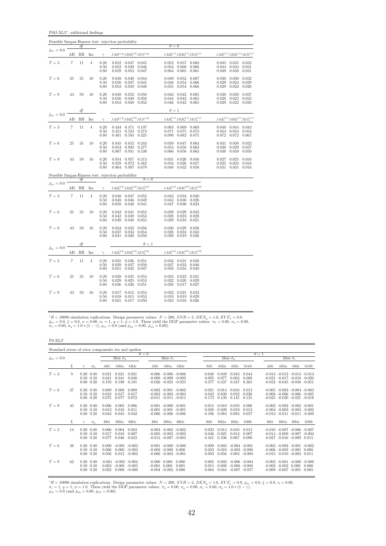P0fJ-XL3<sup>∗</sup> : additional findings

|                                 |                   |          |                |                      | Feasible Sargan-Hansen test: rejection probability                                                           |                                                                                                               |                                                                               |
|---------------------------------|-------------------|----------|----------------|----------------------|--------------------------------------------------------------------------------------------------------------|---------------------------------------------------------------------------------------------------------------|-------------------------------------------------------------------------------|
| $\bar{\rho}_{x\varepsilon}=0.0$ |                   | df       |                |                      |                                                                                                              | $\theta = 0$                                                                                                  |                                                                               |
|                                 | AB                | BB       | Inc            | $\gamma$             | $JAB^{\left( 1,0\right) }JBB_{a}^{\left( 1,0\right) }JES^{\left( 1,0\right) }$                               | $JAB_a^{(1,1)}JBB_a^{(1,1)}JES_a^{(1,1)}$                                                                     | $JAB_c^{(1,1)}JBB_c^{(1,1)}JES_c^{(1,1)}$                                     |
| $T=3$                           | $\overline{7}$    | 11       | $\overline{4}$ | 0.20<br>0.50<br>0.80 | $0.052$ $0.047$ $0.045$<br>0.052<br>0.049<br>0.046<br>0.059<br>0.053<br>0.047                                | 0.052<br>0.057<br>0.068<br>0.054<br>0.060<br>0.066<br>0.064<br>0.065<br>0.061                                 | $0.045$ 0.035<br>0.032<br>0.044<br>0.034<br>0.031<br>0.049<br>0.038<br>0.031  |
| $T=6$                           | 25                | 35       | 10             | 0.20<br>0.50<br>0.80 | 0.049<br>0.048<br>0.044<br>0.050<br>0.047<br>0.045<br>0.053<br>0.050<br>0.048                                | 0.049<br>0.052<br>0.067<br>0.048<br>0.053<br>0.066<br>0.055<br>0.054<br>0.068                                 | 0.030<br>0.032<br>0.030<br>0.029<br>0.024<br>0.029<br>0.029<br>0.022<br>0.026 |
| $T=9$                           | 43                | 59       | 16             | 0.20<br>0.50<br>0.80 | 0.049<br>0.052<br>0.050<br>0.049<br>0.050<br>0.050<br>0.053<br>$0.050 \quad 0.052$                           | 0.042<br>0.042<br>0.065<br>0.044<br>0.042<br>0.065<br>0.042<br>0.046<br>0.065                                 | 0.030<br>0.029<br>0.037<br>0.028<br>0.025<br>0.033<br>0.029<br>0.022<br>0.030 |
| $\bar{\rho}_{x\varepsilon}=0.0$ |                   | df       |                |                      |                                                                                                              | $\theta=1$                                                                                                    |                                                                               |
|                                 | AB                | BB       | Inc            | $\gamma$             | $JAB^{(1,0)}JBB^{(1,0)}_aJES^{(1,0)} \label{eq:JAB}$                                                         | $JAB_a^{(1,1)}JBB_a^{(1,1)}JES_a^{(1,1)}$                                                                     | $JAB_c^{(1,1)}JBB_c^{(1,1)}JES_c^{(1,1)}$                                     |
| $T=3$                           | $\scriptstyle{7}$ | 11       | $\overline{4}$ | 0.20<br>0.50<br>0.80 | 0.434 0.471<br>0.197<br>0.274<br>0.451<br>0.533<br>0.593<br>0.325<br>0.481                                   | 0.063<br>$0.069$ 0.069<br>$0.071\,$<br>0.073<br>0.075<br>0.090<br>0.082<br>0.075                              | 0.048 0.044<br>0.043<br>0.053<br>0.054<br>0.054<br>0.072<br>0.072<br>0.067    |
| $T=6$                           | 25                | 35       | 10             | 0.20<br>0.50<br>0.80 | 0.852<br>0.243<br>0.845<br>0.854<br>0.893<br>0.377<br>0.867<br>0.931<br>0.538                                | 0.050<br>0.047<br>0.063<br>0.054<br>0.063<br>0.050<br>0.066<br>0.056<br>0.063                                 | 0.031<br>0.030<br>0.032<br>0.029<br>0.037<br>0.030<br>0.038<br>0.039<br>0.050 |
| $T=9$                           | 43                | 59       | 16             | 0.20<br>0.50<br>0.80 | 0.954<br>0.957<br>0.313<br>$\begin{array}{c} 0.972 \\ 0.987 \end{array}$<br>0.482<br>0.959<br>0.964<br>0.679 | 0.031<br>0.026<br>0.056<br>0.034<br>0.057<br>0.026<br>0.040<br>0.032<br>0.058                                 | 0.027<br>0.025<br>0.034<br>0.025<br>0.024<br>0.034<br>0.031<br>0.031<br>0.044 |
|                                 |                   |          |                |                      | Feasible Sargan-Hansen test: rejection probability<br>$\theta = 0$                                           |                                                                                                               |                                                                               |
| $\bar{\rho}_{x\varepsilon}=0.0$ | AВ                | df<br>BB | Inc            | $\gamma$             | $JAB_{a}^{\left( 2,2\right) }JBB_{a}^{\left( 2,2\right) }JES_{a}^{\left( 2,2\right) }$                       | $JAB_c^{(2,2)}JBB_c^{(2,2)}JES_c^{(2,2)}$                                                                     |                                                                               |
| $T=3$                           | $\overline{7}$    | 11       | $\overline{4}$ | 0.20<br>0.50<br>0.80 | 0.047 0.052<br>0.048<br>0.049<br>0.048<br>0.046<br>0.048<br>0.058<br>0.045                                   | 0.043<br>$0.034$ $0.030$<br>$\begin{array}{c} 0.043 \\ 0.047 \end{array}$<br>0.030<br>0.026<br>0.030<br>0.024 |                                                                               |
| $T=6$                           | 25                | 35       | 10             | 0.20<br>0.50<br>0.80 | 0.042<br>0.041<br>0.052<br>0.042<br>0.039<br>0.053<br>0.049<br>$0.040$ $0.055$                               | 0.029<br>0.029<br>0.032<br>0.028<br>0.023<br>0.028<br>0.029<br>0.018<br>0.021                                 |                                                                               |
| $T=9$                           | 43                | 59       | 16             | 0.20<br>0.50<br>0.80 | 0.032<br>0.056<br>0.034<br>0.034<br>0.054<br>0.037<br>$0.041$ $0.030$<br>0.050                               | 0.029<br>$\begin{array}{c} 0.030 \\ 0.028 \\ 0.029 \end{array}$<br>0.038<br>0.024<br>0.033<br>$0.019$ $0.026$ |                                                                               |
|                                 |                   | df       |                |                      | $\theta=1$                                                                                                   |                                                                                                               |                                                                               |
| $\bar{\rho}_{x\varepsilon}=0.0$ | AB                | BB       | Inc            | $\gamma$             | $JAB_{a}^{\left( 2,2\right) }JBB_{a}^{\left( 2,2\right) }JES_{a}^{\left( 2,2\right) }$                       | $JAB_c^{(2,2)}JBB_c^{(2,2)}JES_c^{(2,2)}$                                                                     |                                                                               |
| $T = 3$                         | $\overline{7}$    | 11       | $\overline{4}$ | 0.20<br>0.50<br>0.80 | 0.035 0.036<br>0.051<br>0.037<br>0.050<br>0.039<br>0.042<br>0.051<br>0.047                                   | $0.031$ $0.038$<br>0.034<br>0.037<br>0.033<br>0.040<br>0.050<br>0.034<br>0.040                                |                                                                               |
| $T=6$                           | 25                | 35       | 10             | 0.20<br>0.50<br>0.80 | 0.028<br>0.025<br>0.053<br>0.029<br>0.025<br>0.053<br>0.036<br>0.026<br>0.051                                | 0.022<br>0.024<br>0.031<br>0.022<br>0.020<br>0.029<br>0.028<br>$0.017\,$<br>0.027                             |                                                                               |
| $T=9$                           | 43                | 59       | 16             | 0.20<br>0.50<br>0.80 | 0.015<br>0.053<br>0.017<br>0.015<br>0.053<br>0.018<br>0.017<br>0.021<br>0.050                                | 0.021<br>0.022<br>0.033<br>0.019<br>0.019<br>0.029<br>0.023<br>0.016<br>0.026                                 |                                                                               |

 ${}^*R = 10000$  simulation replications. Design parameter values:  $N = 200$ ,  $SNR = 3$ ,  $DEN_y = 1.0$ ,  $EVF_x = 0.0$ ,  $\bar{\rho}_{xe} = 0.0$ ,  $\xi = 0.8$ ,  $\kappa = 0.00$ ,  $\sigma_e = 1$ ,  $q = 1$ ,  $\phi = 1.0$ . These yield the DGP parameter values:  $\pi_{\lambda} =$ 

P0-XL3<sup>∗</sup>

| Standard errors of error components eta and epsilon |    |                                                        |            |                         |                                                       |                                    |                                                                                    |                                   |                         |                         |                         |                                                         |                         |              |                 |                                                                                                                   |                                   |                |
|-----------------------------------------------------|----|--------------------------------------------------------|------------|-------------------------|-------------------------------------------------------|------------------------------------|------------------------------------------------------------------------------------|-----------------------------------|-------------------------|-------------------------|-------------------------|---------------------------------------------------------|-------------------------|--------------|-----------------|-------------------------------------------------------------------------------------------------------------------|-----------------------------------|----------------|
| $\bar{\rho}_{x\varepsilon}=0.0$                     |    |                                                        |            |                         | Bias $\sigma_n$                                       |                                    | $\theta = 0$                                                                       | Bias $\hat{\sigma}_{\varepsilon}$ |                         |                         |                         | Bias $\hat{\sigma}_\eta$                                |                         | $\theta = 1$ |                 |                                                                                                                   | Bias $\hat{\sigma}_{\varepsilon}$ |                |
|                                                     | L  |                                                        | $\sigma_n$ | AB1                     | AB2a                                                  | AB2c                               | AB1                                                                                | AB2a                              | AB2c                    | AB1                     | AB2a                    | AB2c                                                    | MAB                     |              | AB1             | AB2a                                                                                                              | AB2c                              | MAB            |
| $T=3$                                               | 9  | $0.20\ 0.80$<br>$0.50 \quad 0.50$<br>$0.80\ 0.20$      |            | 0.021<br>0.041<br>0.193 | 0.021<br>0.041<br>0.198                               | 0.021<br>0.040<br>0.191            | $-0.006 - 0.006 - 0.006$<br>$-0.009 - 0.009 - 0.009$<br>$-0.026$ $-0.025$ $-0.025$ |                                   |                         | 0.048<br>0.095<br>0.377 | 0.039<br>0.077<br>0.337 | 0.043<br>0.083<br>0.347                                 | 0.044<br>0.088<br>0.365 |              |                 | $-0.014$ $-0.012$ $-0.013$ $-0.013$<br>$-0.021$ $-0.017$ $-0.018$ $-0.020$<br>$-0.052 - 0.045 - 0.048 - 0.051$    |                                   |                |
| $T=6$                                               | 27 | $0.20\ 0.80$<br>$0.50 \quad 0.50$<br>$0.80\ 0.20$      |            | 0.009<br>0.018<br>0.075 | 0.008<br>0.017<br>0.077                               | 0.009<br>0.017<br>0.072            | $-0.002$ $-0.001$ $-0.002$<br>$-0.003 - 0.003 - 0.003$                             | $-0.011 - 0.011 - 0.011$          |                         | 0.021<br>0.042<br>0.173 | 0.014<br>0.030<br>0.139 | 0.016<br>0.032<br>0.145                                 | 0.012<br>0.026<br>0.121 |              |                 | $-0.005$ $-0.003$ $-0.004$ $-0.003$<br>$-0.008$ $-0.006$ $-0.006$ $-0.005$<br>$-0.025 - 0.020 - 0.021 - 0.018$    |                                   |                |
| $T=9$                                               | 45 | $0.20\ 0.80$<br>$0.50 \quad 0.50$<br>$0.80 \quad 0.20$ |            | 0.006<br>0.012<br>0.044 | 0.005<br>0.010<br>0.045                               | 0.006<br>0.011<br>0.042            | $-0.001 - 0.000 - 0.001$<br>$-0.001 - 0.001 - 0.001$                               | $-0.006 - 0.006 - 0.006$          |                         | 0.015<br>0.028<br>0.106 | 0.010<br>0.020<br>0.084 | 0.010<br>0.019<br>0.083                                 | 0.006<br>0.013<br>0.057 |              |                 | $-0.002$ $-0.002$ $-0.002$ $-0.001$<br>$-0.004$ $-0.003$ $-0.003$ $-0.002$<br>$-0.013$ $-0.011$ $-0.011$ $-0.008$ |                                   |                |
|                                                     | L  | $\sim$                                                 | $\sigma_n$ | B <sub>B1</sub>         | BB <sub>2a</sub>                                      | BB2c                               | B <sub>B1</sub>                                                                    | BB <sub>2a</sub>                  | BB <sub>2c</sub>        | B <sub>B1</sub>         | BB <sub>2a</sub>        | BB2c                                                    | <b>MBB</b>              |              | B <sub>B1</sub> | BB <sub>2a</sub>                                                                                                  | BB <sub>2c</sub>                  | <b>MBB</b>     |
| $T = 3$                                             | 14 | $0.20\ 0.80$<br>$0.50 \quad 0.50$<br>$0.80\ 0.20$      |            | 0.006<br>0.017<br>0.077 | 0.004<br>0.010<br>0.046                               | 0.003<br>0.007<br>0.033            | $-0.003 - 0.002 - 0.002$<br>$-0.005 - 0.003 - 0.003$<br>$-0.013 - 0.007 - 0.005$   |                                   |                         | 0.023<br>0.046<br>0.161 | 0.013<br>0.025<br>0.106 | 0.010<br>0.013<br>0.067                                 | 0.012<br>0.007<br>0.090 |              |                 | $-0.010$ $-0.007$ $-0.006$ $-0.007$<br>$-0.014$ $-0.009$ $-0.007$ $-0.003$<br>$-0.027 - 0.016 - 0.009 0.015$      |                                   |                |
| $T=6$                                               | 38 | $0.20\ 0.80$<br>$0.50 \quad 0.50$<br>$0.80 \quad 0.20$ |            | 0.000<br>0.006<br>0.036 | $-0.001 - 0.003$                                      | $0.000 - 0.003$<br>$0.012 - 0.002$ | $-0.001 - 0.000 - 0.000$<br>$-0.002 - 0.000 0.000$<br>$-0.006 - 0.003 - 0.001$     |                                   |                         | 0.009<br>0.023<br>0.093 | 0.003<br>0.010<br>0.056 | $-0.004 - 0.001$<br>$-0.003 - 0.008$<br>$0.004 - 0.069$ |                         |              |                 | $-0.003$ $-0.002$ $-0.001$ $-0.002$<br>$-0.006$ $-0.003$ $-0.001$ $0.000$<br>$-0.015 - 0.010 - 0.003$ 0.011       |                                   |                |
| $T=9$                                               | 62 | $0.20\ 0.80$<br>$0.50 \quad 0.50$<br>$0.80\ 0.20$      |            | 0.003<br>0.023          | $-0.001 - 0.002 - 0.004$<br>$-0.001 - 0.005$<br>0.008 | $-0.009$                           | $-0.000 \quad 0.000$<br>$-0.001$ $0.000$<br>$-0.004$                               | $-0.002$                          | 0.000<br>0.001<br>0.000 | 0.005<br>0.015<br>0.064 | 0.002<br>0.008          | $-0.006 - 0.004$<br>$-0.006 - 0.008$<br>$0.044 - 0.007$ | $-0.057$                |              |                 | $-0.002 - 0.001 - 0.000 - 0.000$<br>$-0.003$ $-0.002$ $0.000$<br>$-0.009$ $-0.007$ $-0.001$                       |                                   | 0.000<br>0.005 |

 ${}^*R = 10000$  simulation replications. Design parameter values:  $N = 200$ ,  $SNR = 3$ ,  $DEN_y = 1.0$ ,  $EVF_x = 0.0$ ,  $\bar{\rho}_{x\bar{z}} = 0.0$ ,  $\xi = 0.8$ ,  $\kappa = 0.00$ ,<br>  $\sigma_{\varepsilon} = 1$ ,  $q = 1$ ,  $\phi = 1.0$ . These yield the DGP parameter values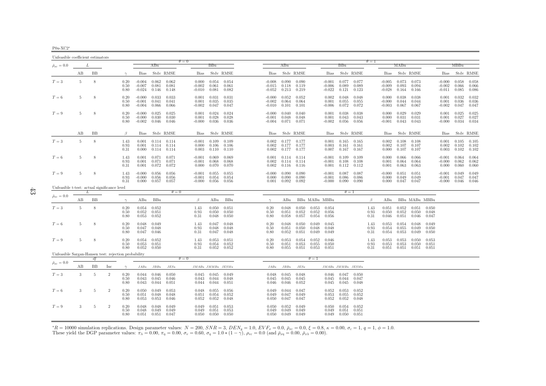| $P0u-XC2*$ |  |
|------------|--|
|            |  |

| Unfeasible coefficient estimators                    |    |    |                |                          |                                  |                         |                                                       |                                  |                                 |                         |                                  |                                       |                         |                         |                                  |                                             |                         |                      |                                  |                         |                         |                         |                                  |                                   |                         |
|------------------------------------------------------|----|----|----------------|--------------------------|----------------------------------|-------------------------|-------------------------------------------------------|----------------------------------|---------------------------------|-------------------------|----------------------------------|---------------------------------------|-------------------------|-------------------------|----------------------------------|---------------------------------------------|-------------------------|----------------------|----------------------------------|-------------------------|-------------------------|-------------------------|----------------------------------|-----------------------------------|-------------------------|
| $\bar{\rho}_{x\varepsilon}=0.0$                      | L  |    |                |                          |                                  | ABu                     |                                                       | $\theta = 0$                     | BBu                             |                         |                                  | ABu                                   |                         |                         |                                  | BBu                                         |                         | $\theta = 1$         |                                  | MABu                    |                         |                         |                                  | MBBu                              |                         |
|                                                      | AВ | ΒB |                | $\gamma$                 | <b>Bias</b>                      |                         | Stdy RMSE                                             | Bias                             |                                 | Stdy RMSE               | <b>Bias</b>                      |                                       | Stdy RMSE               |                         | Bias                             |                                             | Stdy RMSE               |                      | Bias                             |                         | Stdy RMSE               |                         | <b>Bias</b>                      |                                   | Stdy RMSE               |
| $T=3$                                                | 5  | 8  |                | 0.20<br>0.50<br>0.80     | $-0.004$<br>$-0.007$<br>$-0.024$ | 0.081<br>0.146          | $0.062$ 0.062<br>0.081<br>0.148                       | 0.000<br>$-0.002$<br>$-0.010$    | 0.054<br>0.061<br>0.081         | 0.054<br>0.061<br>0.082 | $-0.008$<br>$-0.015$<br>$-0.052$ | 0.090<br>0.118<br>0.213               | 0.090<br>0.119<br>0.219 |                         | -0.006<br>$-0.022$               | $-0.001$ 0.077<br>0.089<br>0.121            | 0.077<br>0.089<br>0.123 |                      | $-0.005$<br>$-0.009$<br>$-0.028$ | 0.073<br>0.093<br>0.164 | 0.073<br>0.094<br>0.166 |                         | $-0.000$<br>$-0.002$<br>$-0.011$ | 0.058<br>0.066<br>0.085           | 0.058<br>0.066<br>0.086 |
| $T=6$                                                | 5  | 8  |                | 0.20<br>0.50<br>0.80     | $-0.000$<br>$-0.001$<br>$-0.004$ | 0.033<br>0.041<br>0.066 | 0.033<br>0.041<br>0.066                               | 0.001<br>0.001<br>$-0.002$       | 0.031<br>0.035<br>0.047         | 0.031<br>0.035<br>0.047 | $-0.000$<br>$-0.002$<br>$-0.010$ | 0.052<br>0.064<br>0.101               | 0.052<br>0.064<br>0.101 |                         | 0.002<br>0.001<br>-0.006         | 0.048<br>0.055<br>0.072                     | 0.048<br>0.055<br>0.072 |                      | 0.000<br>$-0.000$<br>-0.003      | 0.038<br>0.044<br>0.067 | 0.038<br>0.044<br>0.067 |                         | 0.001<br>0.001<br>$-0.002$       | 0.032<br>0.036<br>0.047           | 0.032<br>0.036<br>0.047 |
| $T=9$                                                | 5  | 8  |                | 0.20<br>0.50<br>0.80     | $-0.000$<br>$-0.000$<br>$-0.002$ | 0.025<br>0.030<br>0.046 | 0.025<br>0.030<br>0.046                               | 0.001<br>0.001<br>$-0.000$       | 0.024<br>0.028<br>0.036         | 0.024<br>0.028<br>0.036 | $-0.000$<br>$-0.001$<br>$-0.004$ | 0.040<br>0.048<br>0.071               | 0.040<br>0.048<br>0.071 |                         | 0.001<br>0.001<br>-0.002         | 0.038<br>0.043<br>0.056                     | 0.038<br>0.043<br>0.056 |                      | 0.000<br>0.000<br>$-0.001$       | 0.029<br>0.031<br>0.043 | 0.029<br>0.031<br>0.043 |                         | 0.001<br>0.001<br>$-0.000$       | 0.025<br>0.027<br>0.034           | 0.025<br>0.027<br>0.034 |
|                                                      | AВ | BB |                | $\beta$                  | Bias                             |                         | Stdy RMSE                                             | Bias                             |                                 | Stdy RMSE               | Bias                             |                                       | Stdy RMSE               |                         | Bias                             |                                             | Stdy RMSE               |                      | Bias                             |                         | Stdy RMSE               |                         | Bias                             |                                   | Stdy RMSE               |
| $T=3$                                                | -5 | 8  |                | 1.43<br>0.93<br>0.31     | 0.001<br>0.001<br>0.000          |                         | $0.114$ $0.114$<br>$0.114$ $0.114$<br>$0.114$ $0.114$ | $-0.001$<br>0.000<br>0.003       | 0.109<br>0.106<br>0.110         | 0.109<br>0.106<br>0.110 | 0.002<br>0.002                   | 0.177<br>0.177<br>$0.002$ 0.177       | 0.177<br>0.177<br>0.177 |                         | 0.001<br>0.003<br>0.007          | 0.165<br>0.161<br>0.167                     | 0.165<br>0.161<br>0.167 |                      | 0.002<br>0.002<br>0.000          | 0.108<br>0.107<br>0.107 | 0.108<br>0.107<br>0.107 |                         | 0.001<br>0.002                   | 0.105<br>0.102<br>$0.003$ $0.102$ | 0.105<br>0.102<br>0.102 |
| $T=6$                                                | 5  | 8  |                | 1.43<br>0.93<br>0.31     | 0.001<br>0.001<br>0.001          | 0.071<br>0.071<br>0.072 | 0.071<br>0.071<br>0.072                               | $-0.001$<br>$-0.001$<br>0.000    | 0.069<br>0.068<br>0.070         | 0.069<br>0.068<br>0.070 | 0.001<br>0.002<br>0.002          | 0.114<br>0.114<br>0.116               | 0.114<br>0.114<br>0.116 |                         | $-0.001$<br>$-0.001$<br>0.001    | 0.109<br>0.108<br>0.112                     | 0.109<br>0.108<br>0.112 |                      | 0.000<br>0.001<br>0.001          | 0.066<br>0.064<br>0.063 | 0.066<br>0.064<br>0.063 |                         | $-0.001$<br>$-0.000$<br>0.000    | 0.064<br>0.062<br>0.060           | 0.064<br>0.062<br>0.060 |
| $T=9$                                                | -5 | 8  |                | 1.43<br>0.93<br>0.31     | $-0.000$<br>$-0.000$<br>0.000    | 0.056<br>0.056<br>0.057 | 0.056<br>0.056<br>0.057                               | $-0.001$<br>$-0.001$<br>$-0.000$ | 0.055<br>0.054<br>0.056         | 0.055<br>0.054<br>0.056 | $-0.000$<br>0.000<br>0.001       | 0.090<br>0.090<br>0.092               | 0.090<br>0.090<br>0.092 |                         | $-0.001$<br>$-0.001$<br>$-0.000$ | 0.087<br>0.086<br>0.090                     | 0.087<br>0.086<br>0.090 |                      | $-0.000$<br>0.000<br>0.000       | 0.051<br>0.049<br>0.047 | 0.051<br>0.049<br>0.047 |                         | $-0.001$<br>$-0.001$<br>$-0.000$ | 0.049<br>0.047<br>0.046           | 0.049<br>0.047<br>0.046 |
| Unfeasible t-test: actual significance level         |    | L  |                |                          |                                  |                         | $\theta = 0$                                          |                                  |                                 |                         |                                  |                                       |                         |                         |                                  | $\theta = 1$                                |                         |                      |                                  |                         |                         |                         |                                  |                                   |                         |
| $\bar{\rho}_{x\varepsilon}=0.0$                      | AВ | BB |                | $\gamma$                 | ABu                              | BBu                     |                                                       | $\beta$                          | ABu                             | BBu                     | $\gamma$                         | ABu                                   |                         |                         | BBu MABu MBBu                    |                                             |                         | β                    | ABu                              |                         | BBu MABu MBBu           |                         |                                  |                                   |                         |
| $T=3$                                                | 5  | 8  |                | 0.20<br>0.50<br>0.80     | 0.054<br>0.052<br>0.053          | 0.052<br>0.051<br>0.052 |                                                       | 1.43<br>0.93<br>0.31             | 0.050<br>0.050<br>0.048         | 0.051<br>0.050<br>0.050 | 0.20<br>0.50<br>0.80             | 0.048<br>0.051<br>0.058               | 0.050<br>0.052<br>0.057 | 0.053<br>0.052<br>0.054 | 0.054<br>0.056<br>0.056          |                                             |                         | 1.43<br>0.93<br>0.31 | 0.051<br>0.050<br>0.046          | 0.052<br>0.052<br>0.051 | 0.051<br>0.050<br>0.046 | 0.050<br>0.048<br>0.047 |                                  |                                   |                         |
| $T=6$                                                | 5  | 8  |                | 0.20<br>0.50<br>$0.80\,$ | 0.048<br>0.047<br>0.047          | 0.049<br>0.048<br>0.046 |                                                       | 1.43<br>0.93<br>0.31             | 0.047<br>0.048<br>0.047         | 0.048<br>0.048<br>0.048 | 0.20<br>0.50<br>0.80             | 0.048<br>0.051<br>0.052               | 0.050<br>0.050<br>0.051 | 0.049<br>0.048<br>0.049 | 0.045<br>0.048<br>0.049          |                                             |                         | 1.43<br>0.93<br>0.31 | 0.053<br>0.054<br>0.054          | 0.054<br>0.055<br>0.053 | 0.048<br>0.049<br>0.049 | 0.049<br>0.050<br>0.050 |                                  |                                   |                         |
| $T=9$                                                | -5 | 8  |                | 0.20<br>0.50<br>0.80     | 0.054<br>0.053<br>0.052          | 0.052<br>0.051<br>0.050 |                                                       | 1.43<br>0.93<br>0.31             | 0.053<br>0.054<br>0.052         | 0.051<br>0.052<br>0.052 | 0.20<br>0.50<br>0.80             | 0.053<br>0.051<br>0.055               | 0.054<br>0.053<br>0.051 | 0.052<br>0.055<br>0.053 | 0.046<br>0.050<br>0.051          |                                             |                         | 1.43<br>0.93<br>0.31 | 0.053<br>0.053<br>0.051          | 0.053<br>0.053<br>0.051 | 0.050<br>0.050<br>0.051 | 0.053<br>0.051<br>0.051 |                                  |                                   |                         |
| Unfeasible Sargan-Hansen test: rejection probability |    | df |                |                          |                                  |                         |                                                       | $\theta = 0$                     |                                 |                         |                                  |                                       |                         | $\theta = 1$            |                                  |                                             |                         |                      |                                  |                         |                         |                         |                                  |                                   |                         |
| $\bar{\rho}_{x\varepsilon}=0.0$                      | AВ | BB | Inc            | $\gamma$                 | JABu                             | JBBu                    | JESu                                                  |                                  |                                 | JMABu JMMBu JESMu       | JABu                             | JBBu                                  | JESu                    |                         | JMABu JMMBu JESMu                |                                             |                         |                      |                                  |                         |                         |                         |                                  |                                   |                         |
| $T=3$                                                | 3  | 5  | $\overline{2}$ | 0.20<br>0.50<br>0.80     | 0.044<br>0.043<br>0.043          | 0.046<br>0.045<br>0.044 | 0.050<br>0.046<br>0.051                               | 0.043<br>0.044                   | $0.045$ 0.045<br>0.044<br>0.044 | 0.049<br>0.048<br>0.051 | 0.048<br>0.045<br>0.046          | 0.045<br>0.045<br>0.046               | 0.048<br>0.045<br>0.052 |                         | 0.045<br>0.045                   | $0.046$ 0.047<br>0.044<br>0.045             | 0.050<br>0.047<br>0.048 |                      |                                  |                         |                         |                         |                                  |                                   |                         |
| $T=6$                                                | 3  | 5  | $\overline{2}$ | 0.20<br>0.50<br>0.80     | 0.050<br>0.051<br>0.053          | 0.049<br>0.048<br>0.053 | 0.053<br>0.048<br>0.046                               | 0.048<br>0.051<br>0.052          | 0.055<br>0.054<br>0.052         | 0.056<br>0.052<br>0.048 | 0.049<br>0.049<br>0.050          | 0.044<br>0.047<br>0.047               | 0.047<br>0.049<br>0.047 |                         | 0.053<br>0.052                   | $0.052$ 0.053<br>0.055<br>0.052             | 0.052<br>0.052<br>0.048 |                      |                                  |                         |                         |                         |                                  |                                   |                         |
| $T=9$                                                | 3  | 5  | $\overline{2}$ | 0.20<br>0.50<br>0.80     | 0.048<br>0.048<br>0.051          | 0.048<br>0.049<br>0.051 | 0.049<br>0.049<br>0.047                               | 0.049<br>0.049<br>0.050          | 0.051<br>0.051<br>0.050         | 0.053<br>0.053<br>0.050 | 0.050<br>0.049                   | 0.052<br>0.049<br>$0.050 \quad 0.049$ | 0.049<br>0.049<br>0.049 |                         | 0.049                            | $0.050$ $0.054$<br>0.051<br>$0.049$ $0.050$ | 0.052<br>0.051<br>0.051 |                      |                                  |                         |                         |                         |                                  |                                   |                         |

 ${}^*R = 10000$  simulation replications. Design parameter values:  $N = 200$ ,  $SNR = 3$ ,  $DEN_y = 1.0$ ,  $EVF_x = 0.0$ ,  $\bar{p}_{xz} = 0.0$ ,  $\xi = 0.8$ ,  $\kappa = 0.00$ ,  $\sigma_{\varepsilon} = 1$ ,  $q = 1$ ,  $\phi = 1.0$ .<br>These yield the DGP parameter values:  $\pi$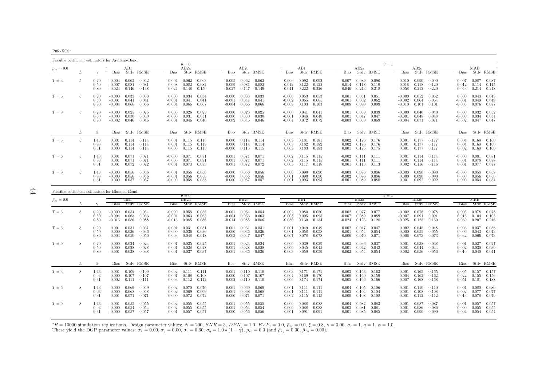P0fc-XC2∗

Feasible coefficient estimators for Arellano-Bond $\theta = 0$  $AB2a$  $\theta = 1$ <br>a  $\theta = 1$  $\bar{\rho}_{x\varepsilon}=0.0$  $_{\varepsilon}$  = 0.0  $_{\varepsilon}$   $_{\varepsilon}$   $_{\varepsilon}$   $_{\varepsilon}$   $_{\varepsilon}$   $_{\varepsilon}$   $_{\varepsilon}$   $_{\varepsilon}$   $_{\varepsilon}$   $_{\varepsilon}$   $_{\varepsilon}$   $_{\varepsilon}$   $_{\varepsilon}$   $_{\varepsilon}$   $_{\varepsilon}$   $_{\varepsilon}$   $_{\varepsilon}$   $_{\varepsilon}$   $_{\varepsilon}$   $_{\varepsilon}$   $_{\varepsilon}$   $_{\varepsilon}$   $_{\varepsilon}$ L  $\gamma$  Bias Stdv RMSE Bias Stdv RMSE Bias Stdv RMSE Bias Stdv RMSE Bias Stdv RMSE Bias Stdv RMSE Bias Stdv RMSE0.087  $T=3$  $T=3$   $5$   $0.20$   $-0.004$   $0.062$   $0.062$   $-0.004$   $0.062$   $0.063$   $-0.005$   $0.062$   $0.062$   $-0.006$   $0.092$   $-0.009$   $0.082$   $-0.012$   $0.122$   $-0.014$   $0.118$   $0.119$   $-0.018$   $0.118$   $0.120$   $-0.012$   $0.114$   $0.115$  $0.50$  - $0.007$   $0.081$   $0.081$  - $0.008$   $0.082$   $0.082$  - $0.009$   $0.081$   $0.082$  - $0.012$   $0.122$   $0.122$   $-0.014$   $0.118$   $0.119$  - $0.018$   $0.118$   $0.120$  - $0.012$   $0.114$   $0.115$  $-0.043$   $0.214$   $0.218$ 0.80 -0.024 0.146 0.148 -0.024 0.148 0.150 -0.027 0.147 0.149 -0.041 0.222 0.226 -0.046 0.213 0.218 -0.058 0.212 0.220 -0.043 0.214 0.218 $0.043$  $T=6$  $T=6$   $5$   $0.20$   $-0.000$   $0.033$   $0.033$   $0.000$   $0.034$   $-0.000$   $0.033$   $0.033$   $-0.000$   $0.053$   $0.053$   $-0.001$   $0.051$   $0.051$   $-0.000$   $0.052$   $0.052$   $0.052$   $0.050$   $0.043$   $0.043$   $0.043$   $0.043$   $0.041$   $-0.001$ 0.50 -0.001 0.041 0.041 -0.001 0.041 0.041 -0.001 0.041 0.041 -0.002 0.065 0.065 -0.001 0.062 0.062 -0.002 0.064 0.064 -0.001 0.049 0.049 $-0.005$  0.076 0.077  $0.80$   $-0.004$   $0.066$   $0.066$   $-0.004$   $0.066$   $0.067$   $-0.004$   $0.066$   $0.066$   $-0.008$   $0.103$   $0.103$   $-0.008$   $0.099$   $0.099$   $-0.010$   $0.101$   $0.101$  $0.032$   $0.032$  $T=9$  $T=9$   $5$   $0.20$   $-0.000$   $0.025$   $0.025$   $0.000$   $0.026$   $0.025$   $-0.000$   $0.025$   $0.025$   $-0.000$   $0.025$   $0.025$   $-0.000$   $0.030$   $-0.000$   $0.041$   $0.041$   $0.001$   $0.039$   $0.039$   $-0.000$   $0.040$   $0.040$   $0.040$   $0.040$ 0.50 -0.000 0.030 -0.000 0.031 0.034 -0.000 0.030 -0.000 0.046 -0.001 0.047 0.044 0.048 0.048 0.047 0.000 0.034<br>0.80 -0.002 0.046 0.046 -0.001 0.046 0.046 -0.002 0.046 -0.004 0.072 0.072 -0.003 0.069 0.069 -0.004 0.071 0.0  $0.047$   $0.047$  $L \qquad \qquad \beta$ Bias Stdv RMSE Bias Stdv RMSE Bias Stdv RMSE Bias Stdv RMSE Bias Stdv RMSE Bias Stdv RMSE Bias Stdv RMSE Bias Stdv RMSE  $0.004$   $0.160$   $0.160$  $T=3$  $T=3 \hspace{1.5mm} 5 \hspace{1.5mm} 1.43 \hspace{1.5mm} 0.001 \hspace{1.5mm} 0.114 \hspace{1.5mm} 0.114 \hspace{1.5mm} 0.010 \hspace{1.5mm} 0.115 \hspace{1.5mm} 0.000 \hspace{1.5mm} 0.114 \hspace{1.5mm} 0.001 \hspace{1.5mm} 0.114 \hspace{1.5mm} 0.001 \hspace{1.5mm} 0.114 \hspace{1.5mm} 0.000 \hspace{1.5mm} 0.$ 0.93 0.001 0.114 0.114 0.001 0.115 0.115 0.000 0.114 0.114 0.003 0.182 0.182 0.002 0.176 0.176 0.001 0.177 0.177 0.004 0.160 0.1600.160  $0.31$   $0.000$   $0.114$   $0.114$   $0.000$   $0.115$   $0.115$   $0.000$   $0.115$   $0.115$   $0.003$   $0.183$   $0.183$   $0.001$   $0.175$   $0.175$   $0.001$   $0.177$   $0.177$   $0.002$   $0.160$   $0.160$  $0.081 - 0.081$  $T=6$  $T=6$   $\qquad$  5  $\qquad$  1.43  $\qquad$  0.001 0.071  $\qquad$  0.001 0.071 0.071 0.071 0.071 0.001 0.071 0.071 0.071 0.071 0.071 0.071 0.071 0.071 0.071 0.071 0.071 0.071 0.071 0.071 0.071 0.071 0.071 0.071 0.002 0.115 0.115 0.110 0.11 0.93 0.001 0.071 0.071 -0.000 0.071 0.071 0.001 0.071 0.071 0.002 0.115 0.115 -0.001 0.111 0.111 0.001 0.114 0.114 0.001 0.078 0.0780.077  $0.31$   $0.001$   $0.072$   $0.072$   $0.001$   $0.073$   $0.073$   $0.001$   $0.072$   $0.072$   $0.003$   $0.117$   $0.118$   $0.001$   $0.113$   $0.113$   $0.002$   $0.116$   $0.116$   $0.001$   $0.077$   $0.077$ 0.058  $T=9$  $T=9$   $\phantom{10}\,$  5  $\phantom{10}\,$  1.43 -0.000 0.056  $\phantom{10}\,$  0.056 0.056  $\phantom{10}\,$  0.000 0.056 0.056 0.056 0.056 0.056 0.056 0.000 0.090 0.090 0.090 0.090 0.090 0.090 0.090 0.056 0.058 0.056 0.056 0.000 0.090 0.090 0.090 0 0.93 -0.000 0.056 0.056 -0.001 0.056 0.056 -0.000 0.056 0.056 0.001 0.090 0.090 -0.002 0.086 0.086 0.000 0.090 0.090 0.000 0.056 0.056 $0.000$   $0.054$   $0.054$  $0.31$   $0.000$   $0.057$   $0.057$   $-0.000$   $0.058$   $0.058$   $0.000$   $0.057$   $0.057$   $0.001$   $0.093$   $0.093$   $-0.001$   $0.089$   $0.088$   $0.001$   $0.092$   $0.092$ 

| Feasible coefficient estimators for Blundell-Bond |   |                      |                                  |                                   |                         |                                  |                         |                         |                                  |                         |                         |                                  |                         |                                   |                                  |                         |                         |                                  |                         |                         |                               |                         |                         |
|---------------------------------------------------|---|----------------------|----------------------------------|-----------------------------------|-------------------------|----------------------------------|-------------------------|-------------------------|----------------------------------|-------------------------|-------------------------|----------------------------------|-------------------------|-----------------------------------|----------------------------------|-------------------------|-------------------------|----------------------------------|-------------------------|-------------------------|-------------------------------|-------------------------|-------------------------|
|                                                   |   |                      |                                  |                                   |                         |                                  | $\theta = 0$            |                         |                                  |                         |                         |                                  |                         |                                   |                                  |                         |                         | $\theta = 1$                     |                         |                         |                               |                         |                         |
| $\bar{\rho}_{x\varepsilon}=0.0$                   |   |                      |                                  | BB1.                              |                         |                                  | BB2a                    |                         |                                  | BB2c                    |                         |                                  | BB1                     |                                   |                                  | BB2a                    |                         |                                  | BB2c                    |                         |                               | МВВ                     |                         |
|                                                   |   |                      | <b>Bias</b>                      |                                   | Stdy RMSE               | <b>Bias</b>                      |                         | Stdy RMSE               | <b>Bias</b>                      |                         | Stdy RMSE               | <b>Bias</b>                      |                         | Stdy RMSE                         | <b>Bias</b>                      |                         | Stdy RMSE               | <b>Bias</b>                      |                         | Stdy RMSE               | <b>Bias</b>                   |                         | Stdy RMSE               |
| $T=3$                                             | 8 | 0.20<br>0.50<br>0.80 | $-0.000$<br>$-0.004$<br>$-0.016$ | 0.054<br>0.063<br>0.086           | 0.054<br>0.063<br>0.088 | $-0.000$<br>$-0.004$<br>$-0.013$ | 0.055<br>0.063<br>0.085 | 0.055<br>0.063<br>0.086 | $-0.001$<br>$-0.004$<br>$-0.014$ | 0.054<br>0.063<br>0.085 | 0.054<br>0.063<br>0.086 | $-0.002$<br>$-0.008$<br>$-0.030$ | 0.080<br>0.095<br>0.130 | 0.080<br>0.095<br>0.134           | $-0.002$<br>$-0.007$<br>$-0.024$ | 0.077<br>0.089<br>0.126 | 0.077<br>0.089<br>0.128 | $-0.002$<br>$-0.007$<br>$-0.025$ | 0.078<br>0.091<br>0.128 | 0.078<br>0.091<br>0.130 | 0.005<br>0.016<br>0.059       | 0.078<br>0.104<br>0.207 | 0.078<br>0.105<br>0.216 |
| $T=6$                                             | 8 | 0.20<br>0.50<br>0.80 | 0.001<br>0.000<br>$-0.003$       | 0.031<br>0.036<br>0.050           | 0.031<br>0.036<br>0.050 | 0.001<br>0.000<br>$-0.003$       | 0.031<br>0.036<br>0.048 | 0.031<br>0.036<br>0.048 | 0.001<br>0.000<br>$-0.003$       | 0.031<br>0.036<br>0.047 | 0.031<br>0.036<br>0.047 | 0.001<br>$-0.001$<br>$-0.007$    | 0.049<br>0.058<br>0.078 | 0.049<br>0.058<br>0.078           | 0.002<br>0.001<br>$-0.006$       | 0.047<br>0.054<br>0.070 | 0.047<br>0.054<br>0.071 | 0.002<br>0.000<br>$-0.006$       | 0.048<br>0.055<br>0.073 | 0.048<br>0.055<br>0.073 | 0.003<br>0.006<br>0.032       | 0.037<br>0.043<br>0.066 | 0.038<br>0.043<br>0.073 |
| $T=9$                                             | 8 | 0.20<br>0.50<br>0.80 | 0.000<br>0.000<br>$-0.001$       | 0.024<br>0.028<br>0.038           | 0.024<br>0.028<br>0.038 | 0.001<br>0.001<br>$-0.001$       | 0.025<br>0.028<br>0.037 | 0.025<br>0.028<br>0.037 | 0.001<br>0.001<br>$-0.001$       | 0.024<br>0.028<br>0.036 | 0.024<br>0.028<br>0.036 | 0.000<br>$-0.000$<br>$-0.003$    | 0.039<br>0.045<br>0.059 | 0.039<br>0.045<br>0.059           | 0.002<br>0.001<br>$-0.002$       | 0.036<br>0.042<br>0.054 | 0.037<br>0.042<br>0.054 | 0.001<br>0.001<br>$-0.002$       | 0.038<br>0.044<br>0.056 | 0.038<br>0.044<br>0.056 | 0.001<br>0.002<br>0.010       | 0.027<br>0.030<br>0.040 | 0.027<br>0.030<br>0.041 |
|                                                   | L | $\beta$              | Bias                             |                                   | Stdy RMSE               | Bias                             |                         | Stdv RMSE               |                                  |                         | Bias Stdy RMSE          | Bias                             |                         | Stdy RMSE                         | Bias                             |                         | Stdy RMSE               | Bias                             |                         | Stdv RMSE               | Bias                          |                         | Stdy RMSE               |
| $T=3$                                             | 8 | 1.43<br>0.93<br>0.31 | $-0.001$<br>0.000                | 0.109<br>0.107<br>$0.002$ $0.111$ | 0.109<br>0.107<br>0.111 | $-0.002$<br>$-0.001$<br>0.003    | 0.111<br>0.108<br>0.112 | 0.111<br>0.108<br>0.112 | $-0.001$<br>0.000<br>0.002       | 0.110<br>0.107<br>0.110 | 0.110<br>0.107<br>0.110 | 0.003<br>0.004<br>0.006          | 0.171<br>0.169<br>0.174 | 0.171<br>0.170<br>0.174           | $-0.003$<br>$-0.000$<br>0.005    | 0.163<br>0.160<br>0.166 | 0.163<br>0.159<br>0.166 | 0.001<br>0.004<br>0.007          | 0.165<br>0.162<br>0.168 | 0.165<br>0.162<br>0.168 | 0.005<br>0.022<br>0.051       | 0.157<br>0.155<br>0.181 | 0.157<br>0.156<br>0.188 |
| $T=6$                                             | 8 | 1.43<br>0.93<br>0.31 | $-0.000$<br>0.000<br>0.001       | 0.069<br>0.068<br>0.071           | 0.069<br>0.068<br>0.071 | $-0.002$<br>$-0.002$<br>$-0.000$ | 0.070<br>0.069<br>0.072 | 0.070<br>0.069<br>0.072 | $-0.001$<br>$-0.001$<br>0.000    | 0.069<br>0.068<br>0.071 | 0.069<br>0.068<br>0.071 | 0.001<br>0.001<br>0.002          | 0.111<br>0.115          | $0.111$ $0.111$<br>0.111<br>0.115 | $-0.004$<br>$-0.003$<br>0.000    | 0.105<br>0.104<br>0.108 | 0.106<br>0.104<br>0.108 | $-0.001$<br>$-0.001$<br>0.001    | 0.110<br>0.108<br>0.112 | 0.110<br>0.108<br>0.112 | $-0.001$<br>0.002<br>0.013    | 0.080<br>0.077<br>0.078 | 0.080<br>0.077<br>0.079 |
| $T=9$                                             | 8 | 1.43<br>0.93<br>0.31 | $-0.001$<br>$-0.000$<br>$-0.000$ | 0.055<br>0.054<br>0.057           | 0.055<br>0.054<br>0.057 | $-0.002$<br>$-0.002$<br>$-0.001$ | 0.055<br>0.055<br>0.057 | 0.055<br>0.055<br>0.057 | $-0.001$<br>$-0.001$<br>$-0.000$ | 0.055<br>0.054<br>0.056 | 0.055<br>0.054<br>0.056 | $-0.000$<br>0.000<br>0.001       | 0.088<br>0.088<br>0.091 | 0.088<br>0.088<br>0.091           | $-0.004$<br>$-0.003$<br>$-0.001$ | 0.082<br>0.081<br>0.085 | 0.083<br>0.081<br>0.085 | $-0.001$<br>$-0.001$<br>$-0.001$ | 0.087<br>0.086<br>0.090 | 0.087<br>0.086<br>0.090 | $-0.001$<br>$-0.000$<br>0.004 | 0.057<br>0.055<br>0.054 | 0.057<br>0.055<br>0.054 |

*\*R* = 10000 simulation replications. Design parameter values:  $N = 200$ ,  $SNR = 3$ ,  $DEN_y = 1.0$ ,  $EVF_x = 0.0$ ,  $\bar{p}_{xz} = 0.0$ ,  $\xi = 0.8$ ,  $\kappa = 0.00$ ,  $\sigma_{\varepsilon} = 1$ ,  $q = 1$ ,  $\phi = 1.0$ .<br>These yield the DGP parameter values:  $\pi$  $*R = 10000$  simulation replications. Design parameter values:  $N = 200$ ,  $SNR = 3$ ,  $DEN_y = 1.0$ ,  $EVF_x = 0.0$ ,  $\bar{p}_{xz} = 0.0$ ,  $\xi = 0.8$ , These yield the DGP parameter values:  $\pi_{\lambda} = 0.00$ ,  $\pi_{\eta} = 0.00$ ,  $\sigma_v = 0.60$ ,  $\sigma_{\eta}$ 

 $#$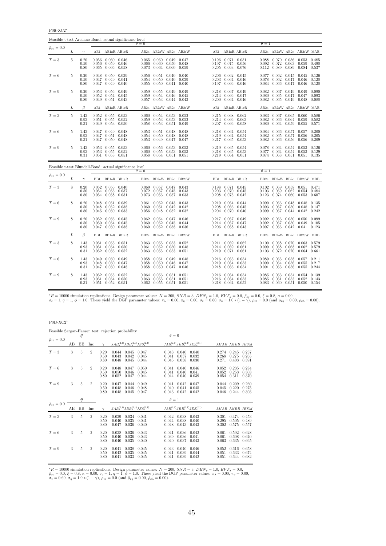P0ft-XC2<sup>∗</sup>

| Feasible t-test Arellano-Bond: actual significance level |   |                      |                         |                                                             |                                |                         |                                           |                                   |                                           |  |                         |                                                                               |                |                |                                                                 |                         |                                                         |                |
|----------------------------------------------------------|---|----------------------|-------------------------|-------------------------------------------------------------|--------------------------------|-------------------------|-------------------------------------------|-----------------------------------|-------------------------------------------|--|-------------------------|-------------------------------------------------------------------------------|----------------|----------------|-----------------------------------------------------------------|-------------------------|---------------------------------------------------------|----------------|
| $\bar{\rho}_{x\varepsilon}=0.0$                          |   |                      |                         |                                                             |                                | $\theta = 0$            |                                           |                                   |                                           |  |                         |                                                                               |                | $\theta = 1$   |                                                                 |                         |                                                         |                |
|                                                          | L | $\gamma$             |                         |                                                             | AB1 AB1aR AB1cR                |                         |                                           |                                   | AB2a AB2aW AB2c AB2cW                     |  |                         | AB1 AB1aR AB1cR                                                               |                |                | AB2a AB2aW AB2c AB2cW MAB                                       |                         |                                                         |                |
| $T=3$                                                    | 5 | 0.20<br>0.50<br>0.80 | 0.056<br>0.065          | $0.056$ $0.060$ $0.046$<br>0.059                            | 0.046<br>$0.066$ $0.058$       | 0.065<br>0.066<br>0.073 | 0.060<br>$0.064$ 0.060                    | 0.050                             | $0.060$ $0.049$ $0.047$<br>0.048<br>0.059 |  | 0.197<br>0.205          | $0.196$ $0.071$ $0.051$<br>0.075<br>0.093                                     | 0.056<br>0.076 | 0.092          | $0.088$ $0.070$ $0.056$ $0.053$ $0.485$<br>0.072<br>0.112 0.089 | 0.063<br>0.089          | 0.059<br>0.084 0.537                                    | 0.498          |
| $T=6$                                                    | 5 | 0.20<br>0.50<br>0.80 | 0.048<br>0.047<br>0.047 | $0.049$ $0.041$                                             | 0.050 0.039<br>$0.049$ $0.040$ | 0.056<br>0.054<br>0.055 | 0.051<br>0.050<br>0.050                   | 0.040<br>0.040<br>0.041           | 0.040<br>0.039<br>0.040                   |  | 0.206<br>0.203          | $0.062$ 0.045<br>$0.064$ 0.046<br>$0.197$ 0.066                               | 0.046          | 0.078          | 0.077 0.062<br>0.062<br>0.084 0.066                             | 0.045<br>0.047<br>0.047 | $0.045$ 0.126<br>0.046<br>0.046                         | 0.128<br>0.128 |
| $T=9$                                                    | 5 | 0.20<br>0.50<br>0.80 | 0.053<br>0.052<br>0.049 | 0.056 0.049<br>$0.051$ $0.043$                              | 0.054 0.045                    | 0.059<br>0.059<br>0.057 | 0.055<br>0.054<br>0.053 0.044             | 0.049<br>0.046                    | 0.049<br>0.045<br>0.043                   |  |                         | $0.218$ $0.067$ $0.049$<br>0.214 0.066 0.047<br>$0.200$ $0.064$ $0.046$       |                | 0.080          | $0.082$ 0.067<br>0.065<br>$0.082$ $0.065$ $0.049$               | 0.049<br>0.047          | $0.049$ 0.090<br>0.047 0.093<br>$0.048$ 0.088           |                |
|                                                          | L | $\beta$              | AB1                     |                                                             | AB1aR AB1cR                    |                         |                                           |                                   | AB2a AB2aW AB2c AB2cW                     |  | AB1                     | AB1aR AB1cR                                                                   |                |                | AB2a AB2aW AB2c AB2cW MAB                                       |                         |                                                         |                |
| $T=3$                                                    | 5 | 1.43<br>0.93<br>0.31 | 0.051<br>0.049          | $0.052$ $0.055$ $0.053$<br>0.055<br>$0.053$ 0.050           | 0.052                          | 0.060<br>0.059<br>0.058 | $0.054$ $0.053$ $0.052$<br>0.053<br>0.053 | 0.053<br>0.051                    | 0.052<br>0.049                            |  | 0.214<br>0.207          | $0.215$ $0.068$ $0.062$<br>0.066<br>0.066                                     | 0.063<br>0.058 | 0.082<br>0.080 | 0.083 0.067 0.065<br>0.066<br>0.064                             | 0.064<br>0.059          | $0.060$ $0.586$<br>0.059<br>0.055                       | 0.582<br>0.571 |
| $T=6$                                                    | 5 | 1.43<br>0.93<br>0.31 | 0.047<br>0.047          | $0.049$ 0.048<br>0.051<br>$0.047$ $0.050$ $0.048$           | 0.048                          | 0.053<br>0.054<br>0.053 | $0.051$ $0.048$<br>0.050<br>0.049         | 0.048                             | 0.048<br>0.048<br>$0.047$ 0.047           |  | 0.218<br>0.219          | $0.064$ 0.054<br>$0.064$ $0.054$<br>$0.217$ $0.065$ $0.053$                   |                | 0.082          | 0.084 0.066<br>0.065<br>0.082 0.066 0.056 0.056 0.209           | 0.057<br>0.057          | 0.057<br>0.056                                          | 0.200<br>0.205 |
| $T=9$                                                    | 5 | 1.43<br>0.93<br>0.31 | 0.053                   | $0.053$ $0.055$ $0.053$<br>0.055<br>$0.051$ $0.053$ $0.051$ | 0.052                          | 0.060<br>0.060<br>0.058 | 0.056<br>0.055<br>$0.054$ $0.051$ $0.051$ | 0.053<br>0.053                    | 0.053<br>0.053                            |  | 0.219<br>0.218          | $0.065$ $0.054$<br>0.065<br>$0.219$ $0.064$ $0.051$                           | 0.053          | 0.078<br>0.077 | 0.064<br>0.064<br>$0.074$ $0.063$ $0.051$ $0.051$ $0.135$       | 0.054<br>0.054          | $0.053$ 0.126<br>0.053                                  | 0.129          |
| Feasible t-test Blundell-Bond: actual significance level |   |                      |                         |                                                             |                                | $\theta = 0$            |                                           |                                   |                                           |  |                         |                                                                               |                | $\theta=1$     |                                                                 |                         |                                                         |                |
| $\bar{\rho}_{x\varepsilon}=0.0$                          | L | $\gamma$             |                         |                                                             | BB1 BB1aR BB1cR                |                         |                                           |                                   | BB2a BB2aW BB2c BB2cW                     |  |                         | BB1 BB1aR BB1cR                                                               |                |                | BB2a BB2aW BB2c BB2cW MBB                                       |                         |                                                         |                |
| $T=3$                                                    | 8 | 0.20<br>0.50<br>0.80 | 0.054<br>0.054          | $0.052$ $0.056$ $0.040$<br>0.053<br>0.058                   | 0.037<br>0.031                 | 0.069<br>0.072<br>0.073 | 0.057<br>0.056                            | 0.045<br>0.037                    | 0.057 0.047 0.043<br>0.043<br>0.033       |  | 0.198<br>0.203<br>0.208 | $0.071$ $0.045$<br>0.070<br>0.075                                             | 0.045<br>0.042 | 0.103<br>0.123 | $0.102 \quad 0.069$<br>0.069<br>0.074                           | 0.062<br>0.060          | 0.058 0.051 0.471<br>0.054 0.484<br>0.053               | 0.607          |
| $T=6$                                                    | 8 | 0.20<br>0.50<br>0.80 | 0.048<br>0.048<br>0.045 | $0.051$ $0.039$<br>0.050                                    | $0.052$ 0.038<br>0.033         | 0.061<br>0.060<br>0.056 | 0.052<br>0.051<br>0.048                   | 0.043<br>0.042<br>0.032           | 0.043<br>0.042<br>0.032                   |  | 0.210<br>0.208<br>0.204 | 0.064 0.044<br>0.066<br>0.070                                                 | 0.045<br>0.040 | 0.093<br>0.099 | $0.090 \quad 0.066$<br>0.067<br>0.067                           | 0.048<br>0.050<br>0.044 | $0.048$ $0.135$<br>$0.048$ 0.147<br>$0.042$ $0.242$     |                |
| $T=9$                                                    | 8 | 0.20<br>0.50<br>0.80 | 0.052<br>0.050          | 0.054<br>$0.047$ $0.050$ $0.038$                            | 0.056 0.045<br>0.045           | 0.062<br>0.060<br>0.060 | 0.054<br>0.052<br>0.052                   | 0.047<br>0.045<br>0.038           | 0.046<br>0.044<br>0.036                   |  | 0.206                   | $0.217$ $0.067$ $0.049$<br>$0.214$ $0.067$ $0.047$<br>0.068 0.043             |                | 0.092<br>0.092 | 0.066<br>0.067<br>$0.097$ $0.066$ $0.042$                       | 0.050<br>0.050          | $0.050$ 0.099<br>$0.049$ $0.105$<br>$0.041$ $0.123$     |                |
|                                                          | L | B                    | BB1                     | BB1aR BB1cR                                                 |                                |                         |                                           |                                   | BB2a BB2aW BB2c BB2cW                     |  | BB1                     | BB1aR BB1cR                                                                   |                |                | BB2a BB2aW BB2c                                                 |                         | BB2cW MBB                                               |                |
| $T=3$                                                    | 8 | 1.43<br>0.93<br>0.31 | 0.051<br>0.052          | $0.051$ $0.053$ $0.051$<br>0.054                            | 0.050<br>0.056 0.052           | 0.063<br>0.061<br>0.063 | 0.055<br>$\,0.052\,$<br>0.055             | 0.050<br>0.053                    | 0.053 0.052<br>0.048<br>0.051             |  | 0.214<br>0.219          | $0.211$ $0.069$ $0.062$<br>0.069<br>$0.071$ $0.061$                           | 0.061          | 0.099<br>0.103 | $0.100$ $0.068$ $0.070$<br>0.068<br>0.072                       | 0.068<br>0.070          | 0.063 0.579<br>0.062<br>$0.064$ 0.661                   | 0.579          |
| $T=6$                                                    | 8 | 1.43<br>0.93<br>0.31 | 0.049<br>0.048          | 0.050<br>$0.047$ $0.050$ $0.048$                            | 0.050 0.049<br>0.047           | 0.058<br>0.058<br>0.058 | 0.051<br>0.050<br>0.050                   | 0.049<br>0.048                    | 0.048<br>0.047<br>$0.047$ 0.046           |  | 0.216<br>0.219<br>0.218 | $0.063$ 0.054<br>0.064<br>$0.066$ $0.054$                                     | 0.053          | 0.089<br>0.090 | 0.065<br>0.064<br>$0.091$ $0.063$                               | 0.058<br>0.056<br>0.056 | $0.057$ $0.211$<br>0.055<br>0.055 0.244                 | 0.217          |
| $T=9$                                                    | 8 | 1.43<br>0.93<br>0.31 | 0.052<br>0.051          | $0.055$ $0.052$<br>0.054<br>$0.051$ $0.052$ $0.051$         | 0.050                          | 0.064<br>0.063          | 0.056<br>0.055<br>$0.062$ 0.055           | 0.051<br>0.051<br>$0.051$ $0.051$ | 0.051<br>0.051                            |  |                         | $0.216$ $0.064$ $0.054$<br>$0.216$ $0.064$ $0.053$<br>$0.218$ $0.064$ $0.052$ |                | 0.085<br>0.085 | 0.063<br>0.061<br>$0.083$ 0.060                                 | 0.054<br>0.053          | 0.054<br>$0.052 \quad 0.143$<br>$0.051$ $0.050$ $0.154$ | 0.139          |

 ${}^{*}R = 10000$  simulation replications. Design parameter values:  $N = 200$ ,  $SNR = 3$ ,  $DEN_y = 1.0$ ,  $EVF_x = 0.0$ ,  $\bar{\rho}_{x\bar{x}} = 0.0$ ,  $\xi = 0.8$ ,  $\kappa = 0.00$ ,<br> $\sigma_{\bar{x}} = 1$ ,  $q = 1$ ,  $\phi = 1.0$ . These yield the DGP parameter values:

P0fJ-XC2<sup>∗</sup>

|                                 |    |           |                |                      | Feasible Sargan-Hansen test: rejection probability |                         |                         |                         |                                           |                         |                         |                         |
|---------------------------------|----|-----------|----------------|----------------------|----------------------------------------------------|-------------------------|-------------------------|-------------------------|-------------------------------------------|-------------------------|-------------------------|-------------------------|
|                                 |    | df        |                |                      |                                                    |                         | $\theta = 0$            |                         |                                           |                         |                         |                         |
| $\bar{\rho}_{x\varepsilon}=0.0$ | AВ | <b>BB</b> | Inc            | $\sim$               | $JAB_a^{(2,1)}JBB_a^{(2,1)}JES_a^{(2,1)}$          |                         |                         |                         | $JAB_c^{(2,1)}JBB_c^{(2,1)}JES_c^{(2,1)}$ |                         | JMAB JMBB JESM          |                         |
| $T=3$                           | 3  | 5         | $\overline{2}$ | 0.20<br>0.50<br>0.80 | 0.044<br>0.045<br>0.043<br>0.042<br>0.045<br>0.048 | 0.047<br>0.045<br>0.044 | 0.043<br>0.041<br>0.045 | 0.040<br>0.037<br>0.038 | 0.040<br>0.032<br>0.030                   | 0.274<br>0.268<br>0.271 | 0.245<br>0.275<br>0.403 | 0.237<br>0.265<br>0.391 |
| $T=6$                           | 3  | 5         | $\overline{2}$ | 0.20<br>0.50<br>0.80 | 0.048<br>0.047<br>0.050<br>0.046<br>0.052<br>0.047 | 0.050<br>0.045<br>0.044 | 0.041<br>0.041<br>0.044 | 0.040<br>0.040<br>0.040 | 0.046<br>0.041<br>0.039                   | 0.052<br>0.052<br>0.054 | 0.235<br>0.253<br>0.311 | 0.284<br>0.303<br>0.370 |
| $T=9$                           | 3  | 5         | $\overline{2}$ | 0.20<br>0.50<br>0.80 | 0.047<br>0.044<br>0.048<br>0.046<br>0.048<br>0.045 | 0.049<br>0.048<br>0.047 | 0.041<br>0.040<br>0.043 | 0.042<br>0.041<br>0.042 | 0.047<br>0.045<br>0.042                   | 0.044<br>0.045<br>0.046 | 0.209<br>0.220<br>0.244 | 0.260<br>0.275<br>0.303 |
|                                 |    | df        |                |                      |                                                    |                         | $\theta=1$              |                         |                                           |                         |                         |                         |
| $\bar{\rho}_{x\varepsilon}=0.0$ | AВ | <b>BB</b> | Inc            | $\gamma$             | $JAB_a^{(2,1)}JBB_a^{(2,1)}JES_a^{(2,1)}$          |                         |                         |                         | $JAB_c^{(2,1)}JBB_c^{(2,1)}JES_c^{(2,1)}$ |                         | JMAB JMBB JESM          |                         |
| $T=3$                           | 3  | 5         | $\overline{2}$ | 0.20<br>0.50<br>0.80 | 0.039<br>0.034<br>0.040<br>0.035<br>0.047<br>0.036 | 0.041<br>0.041<br>0.040 | 0.042<br>0.044<br>0.048 | 0.038<br>0.038<br>0.043 | 0.043<br>0.040<br>0.043                   | 0.301<br>0.295<br>0.302 | 0.474<br>0.505<br>0.575 | 0.453<br>0.489<br>0.557 |
| $T=6$                           | 3  | 5         | $\overline{2}$ | 0.20<br>0.50<br>0.80 | 0.038<br>0.036<br>0.040<br>0.036<br>0.040<br>0.035 | 0.043<br>0.043<br>0.040 | 0.041<br>0.039<br>0.040 | 0.036<br>0.036<br>0.037 | 0.042<br>0.041<br>0.043                   | 0.061<br>0.061<br>0.063 | 0.592<br>0.608<br>0.635 | 0.628<br>0.640<br>0.665 |
| $T=9$                           | 3  | 5         | $\overline{2}$ | 0.20<br>0.50<br>0.80 | 0.041<br>0.038<br>0.042<br>0.035<br>0.041<br>0.033 | 0.045<br>0.045<br>0.045 | 0.043<br>0.041<br>0.041 | 0.040<br>0.039<br>0.039 | 0.046<br>0.044<br>0.042                   | 0.052<br>0.051<br>0.051 | 0.616<br>0.633<br>0.644 | 0.658<br>0.674<br>0.682 |

\*R = 10000 simulation replications. Design parameter values:  $N = 200$ ,  $SNR = 3$ ,  $DEN_y = 1.0$ ,  $EVF_x = 0.0$ ,  $\bar{\rho}_{xe} = 0.0$ ,  $\xi = 0.8$ ,  $\kappa = 0.00$ ,  $\sigma_e = 1$ ,  $q = 1$ ,  $\phi = 1.0$ . These yield the DGP parameter values:  $\pi_{\lambda} = 0.$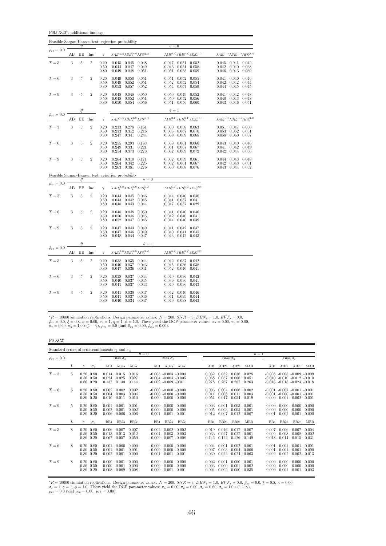P0fJ-XC2<sup>∗</sup> : additional findings

|                                   |                  |                |                |                      | Feasible Sargan-Hansen test: rejection probability                                                                |                                                                                                                    |                                                                                |
|-----------------------------------|------------------|----------------|----------------|----------------------|-------------------------------------------------------------------------------------------------------------------|--------------------------------------------------------------------------------------------------------------------|--------------------------------------------------------------------------------|
| $\bar{\rho}_{x\epsilon}=0.0$      | AВ               | df<br>BB       | Inc            | $\gamma$             | $JAB^{\left(1,0\right)}JBB_{a}^{\left(1,0\right)}JES^{\left(1,0\right)}$                                          | $\theta = 0$<br>$JAB_a^{(1,1)} JBB_a^{(1,1)} JES_a^{(1,1)} \hspace{2cm} JAB_c^{(1,1)} JBB_c^{(1,1)} JES_c^{(1,1)}$ |                                                                                |
| $T=3$                             | 3                | $\overline{5}$ | $\overline{2}$ | 0.20<br>0.50<br>0.80 | $0.045$ $0.045$ $0.048$<br>0.049<br>0.044<br>0.047<br>0.049<br>0.048<br>0.051                                     | 0.047<br>$0.051$ $0.052$<br>0.046<br>0.051<br>0.058<br>0.051<br>0.055<br>0.059                                     | $0.045$ $0.041$<br>0.042<br>0.042<br>0.040<br>0.038<br>0.046<br>0.043<br>0.039 |
| $T=6$                             | 3                | 5              | $\overline{2}$ | 0.20<br>0.50<br>0.80 | 0.049<br>$0.050$ $0.051$<br>0.049<br>0.052<br>0.051<br>0.053<br>0.057<br>0.052                                    | 0.051<br>0.052<br>0.055<br>0.052<br>0.052<br>0.054<br>0.054<br>0.057<br>0.059                                      | 0.041<br>0.040<br>0.046<br>0.042<br>0.042<br>0.044<br>0.044<br>0.045<br>0.045  |
| $T=9$                             | 3                | 5              | $\overline{2}$ | 0.20<br>0.50<br>0.80 | 0.048<br>0.050<br>0.048<br>$0.052 \quad 0.051$<br>0.048<br>$0.050$ $0.054$ $0.056$                                | $0.050 \quad 0.049$<br>0.052<br>0.050<br>$0.052$ 0.056<br>$0.051$ $0.056$ $0.060$                                  | $0.041$ $0.042$<br>0.048<br>$0.040$ $0.043$<br>0.048<br>$0.043$ 0.046<br>0.051 |
| $\bar{\rho}_{x\varepsilon}=0.0$   |                  | df             |                |                      |                                                                                                                   | $\theta=1$                                                                                                         |                                                                                |
|                                   | AB               | BB             | Inc            | $\gamma$             | $JAB^{\left( 1,0\right) }JBB_{a}^{\left( 1,0\right) }JES^{\left( 1,0\right) }$                                    | $JAB^{(1,1)}_a JBB^{(1,1)}_a JES^{(1,1)}_a \qquad \qquad JAB^{(1,1)}_c JBB^{(1,1)}_c JES^{(1,1)}_c$                |                                                                                |
| $T=3$                             | $\boldsymbol{3}$ | $\overline{5}$ | $\overline{2}$ | 0.20<br>0.50<br>0.80 | 0.233<br>$0.278$ 0.161<br>0.233<br>0.312<br>0.216<br>0.341<br>0.244<br>0.247                                      | 0.060<br>$0.058$ 0.063<br>0.063<br>0.067<br>0.070<br>0.069<br>0.069<br>0.068                                       | 0.051<br>0.047<br>0.050<br>0.053<br>0.052<br>0.051<br>0.058<br>0.060<br>0.057  |
| $T=6$                             | $\sqrt{3}$       | 5              | $\overline{2}$ | 0.20<br>0.50<br>0.80 | 0.255<br>0.293<br>0.163<br>0.249<br>0.331<br>0.221<br>0.373<br>0.254<br>0.273                                     | 0.059<br>0.061<br>0.060<br>0.061<br>0.067<br>0.067<br>0.062<br>0.069<br>0.072                                      | 0.043<br>0.040<br>0.046<br>0.041<br>0.042<br>0.049<br>0.042<br>0.044<br>0.056  |
| $T=9$                             | $\sqrt{3}$       | 5              | $\overline{2}$ | 0.20<br>0.50<br>0.80 | 0.310<br>0.264<br>0.171<br>$0.342$ $0.225$<br>0.264<br>0.263<br>0.276<br>0.381                                    | 0.062<br>0.059<br>0.061<br>0.062<br>0.061<br>0.067<br>0.060<br>0.068<br>0.076                                      | 0.044<br>0.043<br>0.048<br>0.042<br>0.043<br>0.051<br>$0.043$ 0.044<br>0.052   |
|                                   |                  | df             |                |                      | Feasible Sargan-Hansen test: rejection probability<br>$\theta = 0$                                                |                                                                                                                    |                                                                                |
| $\bar{\rho}_{x\varepsilon} = 0.0$ | AB               | BB             | Inc            |                      | $\gamma \qquad JAB_a^{(2,2)} JBB_a^{(2,2)} JES_a^{(2,2)} \qquad \qquad JAB_c^{(2,2)} JBB_c^{(2,2)} JES_c^{(2,2)}$ |                                                                                                                    |                                                                                |
| $T=3$                             | $\boldsymbol{3}$ | $\overline{5}$ | $\overline{2}$ | 0.20<br>0.50<br>0.80 | $0.044$ $0.045$ $0.046$<br>0.045<br>0.042<br>0.043<br>0.044<br>0.048<br>0.043                                     | $0.044$ $0.040$ $0.040$<br>0.041<br>0.037<br>0.031<br>0.047<br>0.037<br>0.029                                      |                                                                                |
| $T=6$                             | 3                | 5              | $\overline{2}$ | 0.20<br>0.50<br>0.80 | 0.048<br>0.048<br>0.050<br>0.045<br>0.050<br>0.046<br>0.052<br>0.047<br>0.045                                     | 0.041<br>0.040<br>0.046<br>0.042<br>0.040<br>0.041<br>0.044<br>0.040<br>0.039                                      |                                                                                |
| $T=9$                             | 3                | 5              | $\overline{2}$ | 0.20<br>0.50<br>0.80 | 0.047<br>$0.044$ 0.049<br>0.047<br>$0.046$ 0.049<br>0.048 0.044 0.047                                             | $0.042$ 0.047<br>0.041<br>0.040<br>0.041<br>0.045<br>$0.043$ $0.042$ $0.043$                                       |                                                                                |
| $\bar{\rho}_{x\varepsilon}=0.0$   |                  | df             |                |                      | $\theta = 1$                                                                                                      |                                                                                                                    |                                                                                |
|                                   | AB               | BB             | Inc            | $\gamma$             | $JAB_{a}^{\left( 2,2\right) }JBB_{a}^{\left( 2,2\right) }JES_{a}^{\left( 2,2\right) }$                            | $JAB_c^{(2,2)}JBB_c^{(2,2)}JES_c^{(2,2)}$                                                                          |                                                                                |
| $T=3$                             | 3                | $\overline{5}$ | $\overline{2}$ | 0.20<br>0.50<br>0.80 | 0.038<br>0.035 0.044<br>0.043<br>0.040<br>0.037<br>0.047<br>$0.036$ $0.041$                                       | 0.037 0.042<br>0.042<br>$0.045\,$<br>0.036<br>0.038<br>0.052<br>0.040<br>0.041                                     |                                                                                |
| $T=6$                             | 3                | 5              | $\overline{2}$ | 0.20<br>0.50<br>0.80 | 0.038<br>0.037<br>0.044<br>0.040<br>0.037<br>0.045<br>0.041<br>0.037 0.043                                        | 0.040<br>0.036<br>0.042<br>0.039<br>0.036<br>0.041<br>0.040<br>0.036<br>0.043                                      |                                                                                |
| $T=9$                             | 3                | 5              | $\overline{2}$ | 0.20<br>0.50<br>0.80 | 0.041<br>0.039<br>0.047<br>0.046<br>0.041<br>0.037<br>0.040<br>0.034 0.047                                        | 0.042<br>0.040<br>0.046<br>0.041<br>0.039<br>0.044<br>0.040<br>0.038 0.043                                         |                                                                                |

 ${}^*R = 10000$  simulation replications. Design parameter values:  $N = 200$ ,  $SNR = 3$ ,  $DEN_y = 1.0$ ,  $EVF_x = 0.0$ ,  $\bar{\rho}_{xe} = 0.0$ ,  $\xi = 0.8$ ,  $\kappa = 0.00$ ,  $\sigma_e = 1$ ,  $q = 1$ ,  $\phi = 1.0$ . These yield the DGP parameter values:  $\pi_{\lambda} =$ 

 $P0-XC2*$ 

| Standard errors of error components $\eta_i$ and $\varepsilon_{it}$ |    |                                                        |            |                         |                                                                                   |                                   |                         |                                                                                      |                         |                          |                          |                                                       |                            |                   |                                                                                                                   |                                   |                                    |
|---------------------------------------------------------------------|----|--------------------------------------------------------|------------|-------------------------|-----------------------------------------------------------------------------------|-----------------------------------|-------------------------|--------------------------------------------------------------------------------------|-------------------------|--------------------------|--------------------------|-------------------------------------------------------|----------------------------|-------------------|-------------------------------------------------------------------------------------------------------------------|-----------------------------------|------------------------------------|
| $\bar{\rho}_{x\varepsilon} = 0.0$                                   |    |                                                        |            |                         | Bias $\tilde{\sigma}_n$                                                           |                                   | $\theta = 0$            | Bias $\hat{\sigma}_{\varepsilon}$                                                    |                         |                          | Bias $\hat{\sigma}_n$    |                                                       |                            | $\theta = 1$      |                                                                                                                   | Bias $\hat{\sigma}_{\varepsilon}$ |                                    |
|                                                                     | L  |                                                        | $\sigma_n$ | AB1                     | AB2a                                                                              | AB2c                              | AB1                     | AB2a                                                                                 | AB2c                    | AB1                      | AB2a                     | AB2c                                                  | MAB                        | AB1               | AB2a                                                                                                              | AB2c                              | MAB                                |
| $T=3$                                                               | 5. | $0.20\ 0.80$<br>$0.50 \quad 0.50$<br>$0.80 \quad 0.20$ |            | 0.014<br>0.024<br>0.137 | 0.015<br>0.025<br>0.140                                                           | 0.016<br>0.027<br>0.144           |                         | $-0.003 - 0.003 - 0.004$<br>$-0.004$ $-0.004$ $-0.005$<br>$-0.009 - 0.009 - 0.011$   |                         | 0.032<br>0.058<br>0.278  | 0.032<br>0.057<br>0.267  | 0.036<br>0.066<br>0.287                               | 0.028<br>0.051<br>0.263    |                   | $-0.008$ $-0.008$ $-0.009$ $-0.009$<br>$-0.010 - 0.010 - 0.012 - 0.010$<br>$-0.016$ $-0.018$ $-0.024$ $-0.018$    |                                   |                                    |
| $T=6$                                                               | 5. | $0.20\ 0.80$<br>$0.50 \quad 0.50$<br>$0.80 \quad 0.20$ |            | 0.002<br>0.004<br>0.010 | 0.002<br>0.003<br>0.011                                                           | 0.002<br>0.004<br>0.010           |                         | $-0.000 - 0.000 - 0.000$<br>$-0.000 - 0.000 - 0.000$<br>$-0.000 - 0.000 - 0.000$     |                         | 0.006<br>0.011<br>0.051  | 0.004<br>0.008<br>0.047  | 0.006<br>0.011<br>0.054                               | 0.002<br>0.003<br>0.019    |                   | $-0.001$ $-0.001$ $-0.001$ $-0.001$<br>$-0.001$ $-0.000$ $-0.001$ $-0.001$<br>$-0.000$ $-0.001$ $-0.002$ $-0.001$ |                                   |                                    |
| $T=9$                                                               | 5. | $0.20\ 0.80$<br>$0.50 \quad 0.50$<br>$0.80$ $0.20$     |            | 0.001<br>0.002          | 0.001<br>0.001<br>$-0.006 - 0.006 - 0.006$                                        | 0.001<br>0.002                    | 0.000<br>0.000<br>0.001 | 0.000<br>0.000<br>0.001                                                              | 0.000<br>0.000<br>0.001 | 0.003<br>0.005<br>0.012  | 0.001<br>0.003<br>0.007  | 0.003<br>0.005<br>0.012                               | 0.001<br>0.001<br>$-0.007$ | 0.000<br>0.001    | $-0.000 - 0.000 - 0.000 - 0.000$<br>0.000<br>0.002                                                                |                                   | $0.000 - 0.000$<br>$0.001 - 0.000$ |
|                                                                     | L  | $\sim$                                                 | $\sigma_n$ | B <sub>B1</sub>         | BB <sub>2a</sub>                                                                  | BB2c                              | B <sub>B1</sub>         | BB <sub>2a</sub>                                                                     | BB2c                    | B <sub>B1</sub>          | BB <sub>2a</sub>         | BB2c                                                  | <b>MBB</b>                 | B <sub>B1</sub>   | BB <sub>2a</sub>                                                                                                  | BB <sub>2c</sub>                  | <b>MBB</b>                         |
| $T = 3$                                                             | 8  | $0.20\ 0.80$<br>$0.50 \quad 0.50$<br>$0.80 \quad 0.20$ |            | 0.006<br>0.013<br>0.067 | 0.007<br>0.013<br>0.057                                                           | 0.007<br>0.012<br>0.059           |                         | $-0.002 - 0.002 - 0.002$<br>$-0.004$ $-0.003$ $-0.003$<br>$-0.009$ $-0.007$ $-0.008$ |                         | 0.019<br>0.033<br>0.146  | 0.016<br>0.027<br>0.122  | 0.017<br>0.027<br>0.126                               | 0.007<br>0.001<br>0.149    |                   | $-0.007$ $-0.006$ $-0.007$ $-0.004$<br>$-0.009$ $-0.008$ $-0.008$<br>$-0.018$ $-0.014$ $-0.015$                   |                                   | 0.002<br>0.031                     |
| $T=6$                                                               | 8  | $0.20\ 0.80$<br>$0.50 \quad 0.50$<br>$0.80\ 0.20$      |            | 0.001<br>0.002          | $0.001 - 0.000$<br>0.001                                                          | 0.000<br>0.001<br>$0.001 - 0.000$ | $-0.000$                | $-0.000 - 0.000 - 0.000$<br>$-0.001$ $-0.001$ $-0.001$                               | $0.000 - 0.000$         | 0.004<br>0.007<br>0.030  | 0.001<br>0.003<br>0.022  | $0.002 - 0.001$<br>$0.004 - 0.006$<br>$0.024 - 0.063$ |                            |                   | $-0.001$ $-0.001$ $-0.001$ $-0.001$<br>$-0.001$ $-0.001$ $-0.001$<br>$-0.002$ $-0.002$ $-0.002$                   |                                   | 0.000<br>0.013                     |
| $T=9$                                                               | 8  | $0.20\ 0.80$<br>$0.50 \quad 0.50$<br>$0.80\ 0.20$      |            |                         | $-0.000 - 0.001 - 0.000$<br>$0.000 - 0.001 - 0.000$<br>$-0.008$ $-0.009$ $-0.008$ |                                   | 0.000<br>0.000<br>0.000 | 0.000<br>0.000<br>0.001                                                              | 0.000<br>0.000<br>0.001 | $0.002 - 0.001$<br>0.003 | 0.000<br>$0.004 - 0.002$ | $0.000 - 0.001$<br>$0.001 - 0.002$<br>$0.000 - 0.035$ |                            | $-0.000$<br>0.000 | $-0.000 - 0.000$<br>0.000<br>0.001                                                                                | $-0.000 - 0.000$<br>0.001         | $0.000 - 0.000$<br>0.003           |

 ${}^*R = 10000$  simulation replications. Design parameter values:  $N = 200$ ,  $SNR = 3$ ,  $DEN_y = 1.0$ ,  $EVF_x = 0.0$ ,  $\bar{\rho}_{x\bar{z}} = 0.0$ ,  $\xi = 0.8$ ,  $\kappa = 0.00$ ,<br>  $\sigma_{\varepsilon} = 1$ ,  $q = 1$ ,  $\phi = 1.0$ . These yield the DGP parameter values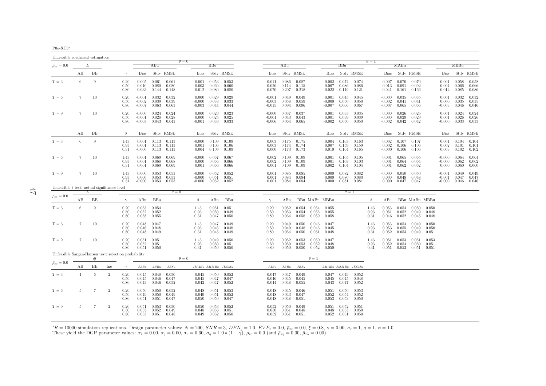| $P0u-XC3*$ |  |
|------------|--|
|------------|--|

| Unfeasible coefficient estimators |                |                |                                                      |                      |                                  |                         |                                             |                                  |                                           |                         |                                  |                                   |                         |                         |                                  |                                           |                         |                      |                                  |                         |                         |                         |                                  |                         |                         |
|-----------------------------------|----------------|----------------|------------------------------------------------------|----------------------|----------------------------------|-------------------------|---------------------------------------------|----------------------------------|-------------------------------------------|-------------------------|----------------------------------|-----------------------------------|-------------------------|-------------------------|----------------------------------|-------------------------------------------|-------------------------|----------------------|----------------------------------|-------------------------|-------------------------|-------------------------|----------------------------------|-------------------------|-------------------------|
| $\bar{\rho}_{x\varepsilon}=0.0$   | L              |                |                                                      |                      |                                  | ABu                     |                                             | $\theta = 0$                     | BBu                                       |                         |                                  | ABu                               |                         |                         |                                  | BBu                                       |                         | $\theta = 1$         |                                  | MABu                    |                         |                         |                                  | MBBu                    |                         |
|                                   | AВ             | BB             |                                                      | $\gamma$             | <b>Bias</b>                      |                         | Stdy RMSE                                   | Bias                             |                                           | Stdy RMSE               | <b>Bias</b>                      |                                   | Stdy RMSE               |                         | Bias                             |                                           | Stdy RMSE               |                      | <b>Bias</b>                      |                         | Stdy RMSE               |                         | <b>Bias</b>                      |                         | Stdy RMSE               |
| $T=3$                             | 6              | 9              |                                                      | 0.20<br>0.50<br>0.80 | $-0.005$<br>$-0.010$<br>$-0.033$ | 0.080<br>0.144          | $0.061$ $0.061$<br>0.080<br>0.148           | $-0.001$<br>$-0.003$<br>$-0.012$ | 0.053<br>0.060<br>0.080                   | 0.053<br>0.060<br>0.080 | $-0.011$<br>$-0.020$<br>-0.070   | 0.086<br>0.114<br>0.207           | 0.087<br>0.115<br>0.218 |                         | $-0.002$<br>$-0.007$<br>$-0.022$ | 0.074<br>0.086<br>0.119                   | 0.074<br>0.086<br>0.121 |                      | $-0.007$<br>$-0.013$<br>-0.041   | 0.070<br>0.091<br>0.161 | 0.070<br>0.092<br>0.166 |                         | $-0.001$<br>$-0.004$<br>$-0.012$ | 0.058<br>0.066<br>0.085 | 0.058<br>0.066<br>0.086 |
| $T=6$                             | 7              | 10             |                                                      | 0.20<br>0.50<br>0.80 | $-0.001$<br>$-0.002$<br>$-0.007$ | 0.032<br>0.039<br>0.063 | 0.032<br>0.039<br>0.063                     | 0.000<br>$-0.000$<br>$-0.003$    | 0.029<br>0.033<br>0.044                   | 0.029<br>0.033<br>0.044 | $-0.001$<br>$-0.003$<br>$-0.015$ | 0.049<br>0.058<br>0.094           | 0.049<br>0.059<br>0.096 |                         | 0.001<br>$-0.000$<br>$-0.007$    | 0.045<br>0.050<br>0.066                   | 0.045<br>0.050<br>0.067 |                      | $-0.000$<br>$-0.002$<br>$-0.007$ | 0.035<br>0.041<br>0.065 | 0.035<br>0.041<br>0.066 |                         | 0.001<br>0.000<br>$-0.003$       | 0.032<br>0.035<br>0.046 | 0.032<br>0.035<br>0.046 |
| $T=9$                             | 7              | 10             |                                                      | 0.20<br>0.50<br>0.80 | $-0.000$<br>$-0.001$<br>$-0.003$ | 0.024<br>0.028<br>0.043 | 0.024<br>0.028<br>0.043                     | 0.000<br>0.000<br>$-0.001$       | 0.023<br>0.025<br>0.033                   | 0.023<br>0.025<br>0.033 | $-0.000$<br>$-0.001$<br>$-0.006$ | 0.037<br>0.043<br>0.064           | 0.037<br>0.043<br>0.065 |                         | 0.001<br>0.001<br>-0.002         | 0.035<br>0.039<br>0.050                   | 0.035<br>0.039<br>0.050 |                      | 0.000<br>$-0.000$<br>$-0.002$    | 0.026<br>0.029<br>0.042 | 0.026<br>0.029<br>0.042 |                         | 0.001<br>0.001<br>$-0.000$       | 0.024<br>0.026<br>0.033 | 0.024<br>0.026<br>0.033 |
|                                   | AВ             | BB             |                                                      | $\beta$              | <b>Bias</b>                      |                         | Stdy RMSE                                   | Bias                             |                                           | Stdy RMSE               | Bias                             |                                   | Stdy RMSE               |                         | Bias                             |                                           | Stdy RMSE               |                      | Bias                             |                         | Stdy RMSE               |                         | Bias                             |                         | Stdy RMSE               |
| $T=3$                             | 6              | 9              |                                                      | 1.43<br>0.93<br>0.31 | 0.001<br>0.001<br>$-0.000$       | 0.113                   | $0.113$ $0.113$<br>0.113<br>$0.113$ $0.113$ | $-0.000$<br>0.001<br>0.004       | 0.109<br>0.106<br>0.109                   | 0.109<br>0.106<br>0.109 | 0.003<br>0.003<br>0.000          | 0.175<br>0.174<br>0.173           | 0.175<br>0.174<br>0.173 |                         | 0.004<br>0.007<br>0.010          | 0.163<br>0.159<br>0.164                   | 0.163<br>0.159<br>0.165 |                      | 0.002<br>0.002<br>$-0.000$       | 0.107<br>0.106<br>0.106 | 0.107<br>0.106<br>0.106 |                         | 0.001<br>0.002<br>0.003          | 0.104<br>0.101<br>0.102 | 0.104<br>0.101<br>0.102 |
| $T=6$                             | 7              | 10             |                                                      | 1.43<br>0.93<br>0.31 | 0.001<br>0.001<br>0.001          | 0.069<br>0.068<br>0.069 | 0.069<br>0.068<br>0.069                     | $-0.000$<br>0.000<br>0.001       | 0.067<br>0.066<br>0.066                   | 0.067<br>0.066<br>0.066 | 0.002<br>0.002<br>0.001          | 0.109<br>0.109<br>0.109           | 0.109<br>0.109<br>0.109 |                         | 0.001<br>0.001<br>0.002          | 0.105<br>0.103<br>0.104                   | 0.105<br>0.103<br>0.104 |                      | 0.001<br>0.001<br>0.001          | 0.065<br>0.064<br>0.062 | 0.065<br>0.064<br>0.062 |                         | $-0.000$<br>$-0.000$<br>0.000    | 0.064<br>0.062<br>0.060 | 0.064<br>0.062<br>0.060 |
| $T=9$                             | 7              | 10             |                                                      | 1.43<br>0.93<br>0.31 | 0.000<br>0.000<br>$-0.000$       | 0.053<br>0.053<br>0.053 | 0.053<br>0.053<br>0.053                     | $-0.000$<br>$-0.000$<br>$-0.000$ | 0.052<br>0.051<br>0.052                   | 0.052<br>0.051<br>0.052 | 0.001<br>0.001<br>0.001          | 0.085<br>0.084<br>0.084           | 0.085<br>0.084<br>0.084 |                         | $-0.000$<br>0.000<br>0.000       | 0.082<br>0.080<br>0.081                   | 0.082<br>0.080<br>0.081 |                      | $-0.000$<br>0.000<br>0.000       | 0.050<br>0.048<br>0.047 | 0.050<br>0.048<br>0.047 |                         | $-0.001$<br>$-0.001$<br>$-0.000$ | 0.049<br>0.047<br>0.046 | 0.049<br>0.047<br>0.046 |
|                                   |                | L              | Unfeasible t-test: actual significance level         |                      |                                  |                         | $\theta = 0$                                |                                  |                                           |                         |                                  |                                   |                         |                         |                                  | $\theta=1$                                |                         |                      |                                  |                         |                         |                         |                                  |                         |                         |
| $\bar{\rho}_{x\varepsilon}=0.0$   | AВ             | BB             |                                                      | $\gamma$             | ABu                              | BBu                     |                                             | $\beta$                          | ABu                                       | BBu                     | $\gamma$                         | ABu                               |                         | BBu MABu MBBu           |                                  |                                           |                         | β                    | ABu                              |                         | BBu MABu MBBu           |                         |                                  |                         |                         |
| $T=3$                             | 6              | 9              |                                                      | 0.20<br>0.50<br>0.80 | 0.053<br>0.052<br>0.058          | 0.054<br>0.052<br>0.055 |                                             | 1.43<br>0.93<br>0.31             | 0.051<br>0.050<br>0.047                   | 0.051<br>0.049<br>0.050 | 0.20<br>0.50<br>0.80             | 0.052<br>0.053<br>0.064           | 0.054<br>0.054<br>0.058 | 0.054<br>0.055<br>0.059 | 0.055<br>0.055<br>0.058          |                                           |                         | 1.43<br>0.93<br>0.31 | 0.053<br>0.051<br>0.046          | 0.054<br>0.052<br>0.052 | 0.050<br>0.049<br>0.045 | 0.050<br>0.048<br>0.048 |                                  |                         |                         |
| $T=6$                             | 7              | 10             |                                                      | 0.20<br>0.50<br>0.80 | 0.048<br>0.046<br>0.048          | 0.047<br>0.048<br>0.049 |                                             | 1.43<br>0.93<br>0.31             | 0.047<br>0.046<br>0.045                   | 0.049<br>0.048<br>0.049 | 0.20<br>0.50<br>0.80             | 0.049<br>0.049<br>0.054           | 0.050<br>0.048<br>0.050 | 0.046<br>0.046<br>0.051 | 0.047<br>0.045<br>0.048          |                                           |                         | 1.43<br>0.93<br>0.31 | 0.053<br>0.053<br>0.052          | 0.054<br>0.055<br>0.053 | 0.049<br>0.049<br>0.049 | 0.050<br>0.050<br>0.051 |                                  |                         |                         |
| $T=9$                             | $\overline{7}$ | 10             |                                                      | 0.20<br>0.50<br>0.80 | 0.051<br>0.052<br>0.051          | 0.051<br>0.051<br>0.050 |                                             | 1.43<br>0.93<br>0.31             | 0.049<br>0.050<br>0.050                   | 0.050<br>0.051<br>0.050 | 0.20<br>0.50<br>0.80             | 0.052<br>0.050<br>0.050           | 0.053<br>0.053<br>0.050 | 0.050<br>0.052<br>0.052 | 0.047<br>0.048<br>0.050          |                                           |                         | 1.43<br>0.93<br>0.31 | 0.051<br>0.052<br>0.051          | 0.053<br>0.054<br>0.052 | 0.051<br>0.050<br>0.051 | 0.053<br>0.051<br>0.051 |                                  |                         |                         |
|                                   |                | df             | Unfeasible Sargan-Hansen test: rejection probability |                      |                                  |                         |                                             | $\theta = 0$                     |                                           |                         |                                  |                                   |                         | $\theta = 1$            |                                  |                                           |                         |                      |                                  |                         |                         |                         |                                  |                         |                         |
| $\bar{\rho}_{x\varepsilon}=0.0$   | AВ             | ΒB             | Inc                                                  | $\gamma$             | JABu                             | JBBu                    | JESu                                        |                                  | JMABu JMMBu JESMu                         |                         | JABu                             | JBBu                              | JESu                    |                         | JMABu JMMBu JESMu                |                                           |                         |                      |                                  |                         |                         |                         |                                  |                         |                         |
| $T=3$                             | $\overline{4}$ | 6              | $\overline{2}$                                       | 0.20<br>0.50<br>0.80 | 0.045<br>0.045<br>0.043          | 0.048<br>0.046<br>0.046 | 0.050<br>0.047<br>0.052                     | 0.045<br>0.042                   | $0.045$ 0.050<br>0.047<br>0.047           | 0.052<br>0.047<br>0.052 | 0.047<br>0.046<br>0.044          | 0.047<br>0.045<br>0.048           | 0.049<br>0.045<br>0.055 |                         | 0.045<br>0.043                   | $0.047$ $0.049$ $0.052$<br>0.045<br>0.047 | 0.048<br>0.052          |                      |                                  |                         |                         |                         |                                  |                         |                         |
| $T=6$                             | 5              | $\overline{7}$ | $\overline{2}$                                       | 0.20<br>0.50<br>0.80 | 0.050<br>0.049<br>0.051          | 0.050<br>0.050<br>0.051 | 0.052<br>0.049<br>0.047                     | 0.048<br>0.049<br>0.050          | 0.051<br>0.051<br>0.050                   | 0.053<br>0.052<br>0.047 | 0.048<br>0.048<br>0.048          | 0.045<br>0.043<br>0.048           | 0.046<br>0.047<br>0.051 |                         | 0.051<br>0.052<br>0.053          | 0.050<br>0.054<br>0.053                   | 0.053<br>0.052<br>0.050 |                      |                                  |                         |                         |                         |                                  |                         |                         |
| $T=9$                             | 5              | 7              | $\overline{2}$                                       | 0.20<br>0.50<br>0.80 | 0.051<br>0.053<br>0.053          | 0.053<br>0.052<br>0.051 | 0.050<br>0.049<br>0.048                     | 0.050<br>0.048                   | 0.053<br>0.053<br>$0.049$ $0.052$ $0.050$ | 0.052<br>0.051          | 0.052<br>0.050                   | 0.050<br>0.051<br>$0.052$ $0.051$ | 0.049<br>0.048<br>0.051 |                         | 0.051<br>0.048                   | 0.052<br>0.053<br>$0.052$ $0.051$         | 0.051<br>0.050<br>0.050 |                      |                                  |                         |                         |                         |                                  |                         |                         |

 ${}^*R = 10000$  simulation replications. Design parameter values:  $N = 200$ ,  $SNR = 3$ ,  $DEN_y = 1.0$ ,  $EVF_x = 0.0$ ,  $\bar{p}_{xz} = 0.0$ ,  $\xi = 0.8$ ,  $\kappa = 0.00$ ,  $\sigma_{\varepsilon} = 1$ ,  $q = 1$ ,  $\phi = 1.0$ .<br>These yield the DGP parameter values:  $\pi$ 

 $\overline{4}$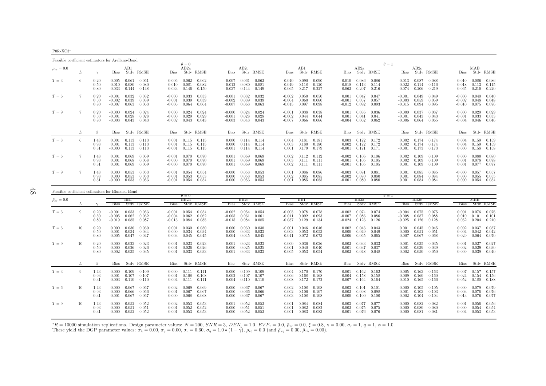P0fc-XC3∗

Feasible coefficient estimators for Arellano-Bond $\theta = 0$  $AB2a$  $\theta = 1$ <br>a  $\theta = 1$  $\bar{\rho}_{x\varepsilon}=0.0$  $_{\varepsilon}$  = 0.0  $_{\varepsilon}$   $_{\varepsilon}$   $_{\varepsilon}$   $_{\varepsilon}$   $_{\varepsilon}$   $_{\varepsilon}$   $_{\varepsilon}$   $_{\varepsilon}$   $_{\varepsilon}$   $_{\varepsilon}$   $_{\varepsilon}$   $_{\varepsilon}$   $_{\varepsilon}$   $_{\varepsilon}$   $_{\varepsilon}$   $_{\varepsilon}$   $_{\varepsilon}$   $_{\varepsilon}$   $_{\varepsilon}$   $_{\varepsilon}$   $_{\varepsilon}$   $_{\varepsilon}$   $_{\varepsilon}$ L  $\gamma$  Bias Stdv RMSE Bias Stdv RMSE Bias Stdv RMSE Bias Stdv RMSE Bias Stdv RMSE Bias Stdv RMSE Bias Stdv RMSE0.086  $T=3$  $T=3$  6 0.20 -0.005 0.061 0.061 -0.006 0.062 0.062 -0.007 0.061 0.062 -0.010 0.090 0.090 -0.010 0.086 0.086 -0.013 0.087 0.088 -0.010 0.086 0.086<br>0.50 -0.010 0.080 0.080 -0.010 0.081 0.082 -0.012 0.080 0.081 -0.019 0.118  $0.50$   $-0.010$   $0.080$   $-0.010$   $0.081$   $0.082$   $-0.012$   $0.080$   $0.081$   $-0.019$   $0.118$   $0.120$   $-0.018$   $0.113$   $0.114$   $-0.022$   $0.114$   $0.116$   $-0.018$   $0.113$   $0.115$  $0.210 \quad 0.220$ 0.80 -0.033 0.144 0.148 -0.033 0.146 0.150 -0.037 0.144 0.149 -0.065 0.217 0.227 -0.062 0.207 0.216 -0.074 0.206 0.219 -0.065 0.210 0.220 $0.040$  $T=6$  $T=6$   $\hphantom{0}7$   $\hphantom{0}0.20$   $-0.001$   $0.032$   $-0.032$   $-0.000$   $0.033$   $-0.033$   $-0.001$   $0.032$   $0.032$   $-0.002$   $0.032$   $-0.002$   $0.039$   $-0.003$   $-0.004$   $0.060$   $-0.001$   $0.047$   $0.047$   $-0.001$   $0.049$   $0.049$   $-0$ 0.50 -0.002 0.039 0.039 -0.001 0.039 0.039 -0.002 0.039 0.039 -0.004 0.060 0.060 -0.001 0.057 0.057 -0.003 0.059 0.059 -0.002 0.048 0.0480.075 0.076  $0.80$   $-0.007$   $0.063$   $0.063$   $-0.006$   $0.064$   $-0.007$   $0.063$   $0.063$   $-0.015$   $0.097$   $0.098$   $-0.012$   $0.092$   $0.093$   $-0.015$   $0.094$   $0.095$   $-0.010$  $0.029$   $0.029$  $T=9$  $T=9$   $T=1$   $T=0.000$   $0.024$   $0.024$   $0.000$   $0.024$   $0.024$   $0.024$   $0.024$   $0.024$   $0.024$   $0.024$   $0.024$   $0.024$   $0.024$   $0.024$   $0.024$   $0.024$   $0.024$   $0.024$   $0.024$   $0.024$   $0.024$   $0.024$   $0.024$   $0.024$   $0.038$  $0.50$   $-0.001$   $0.028$   $0.028$   $-0.000$   $0.029$   $0.029$   $-0.001$   $0.028$   $0.028$   $-0.002$   $0.044$   $0.044$   $0.001$   $0.041$   $0.041$   $-0.001$   $0.043$   $0.043$   $-0.001$   $0.033$   $0.033$  $0.046$  0.046 0.80 -0.003 0.043 0.043 -0.002 0.043 0.043 -0.003 0.043 0.043 -0.007 0.066 0.066 -0.004 0.062 0.062 -0.006 0.064 0.065 -0.004 0.046 0.046 $L \qquad \qquad \beta$ Bias Stdv RMSE Bias Stdv RMSE Bias Stdv RMSE Bias Stdv RMSE Bias Stdv RMSE Bias Stdv RMSE Bias Stdv RMSE Bias Stdv RMSE  $0.004$   $0.159$   $0.159$  $T=3$  $T=3$  6  $1.43$   $0.001$   $0.113$   $0.113$   $0.001$   $0.115$   $0.115$   $0.000$   $0.114$   $0.114$   $0.004$   $0.181$   $0.181$   $0.003$   $0.172$   $0.172$   $0.002$   $0.174$   $0.174$   $0.174$   $0.004$   $0.159$   $0.159$   $0.159$   $0.159$   $0.159$   $0.159$  $\begin{array}{cccccccccccc} 1.43 & 0.001 & 0.113 & 0.113 & 0.001 & 0.115 & 0.115 & 0.000 & 0.114 & 0.114 & 0.004 & 0.181 & 0.181 & 0.003 & 0.172 & 0.172 & 0.002 & 0.174 & 0.174 & 0.004 & 0.159 & 0.159 \\ 0.93 & 0.001 & 0.115 & 0.115 & 0.115 & 0.000 & 0.114 & 0.114 & 0.$ 0.158  $0.31$   $-0.000$   $0.113$   $-0.001$   $0.115$   $0.115$   $-0.001$   $0.114$   $-0.114$   $0.001$   $0.179$   $-0.179$   $-0.001$   $0.171$   $-0.171$   $-0.001$   $0.173$   $-0.173$   $-0.000$   $0.158$   $0.158$  $0.000 - 0.080 - 0.080$  $T=6$  $T=6$   $\hbox{--}7$   $\hbox{--}1.43$   $\hbox{--}0.001$   $\hbox{--}0.069$   $\hbox{--}0.001$   $\hbox{--}0.070$   $\hbox{--}0.001$   $\hbox{--}0.069$   $\hbox{--}0.069$   $\hbox{--}0.002$   $\hbox{--}0.110$   $\hbox{--}0.110$   $\hbox{--}0.106$   $\hbox{--}0.002$   $\hbox{--}0.109$   $\hbox{--}0.1$ 0.93 0.001 0.068 0.068 -0.000 0.070 0.070 0.001 0.069 0.069 0.003 0.111 0.111 -0.001 0.105 0.105 0.002 0.109 0.109 0.001 0.078 0.0780.077  $0.31$   $0.001$   $0.069$   $0.069$   $-0.000$   $0.070$   $0.070$   $0.001$   $0.069$   $0.069$   $0.002$   $0.111$   $0.111$   $-0.001$   $0.105$   $0.105$   $0.015$   $0.109$   $0.109$   $0.109$   $0.001$   $0.077$   $0.077$ 0.057  $T=9$  $T=9 \hspace{1.5mm} 7 \hspace{1.5mm} 1.43 \hspace{1.5mm} 0.000 \hspace{1.5mm} 0.053 \hspace{1.5mm} 0.053 \hspace{1.5mm} 0.054 \hspace{1.5mm} 0.054 \hspace{1.5mm} 0.000 \hspace{1.5mm} 0.053 \hspace{1.5mm} 0.053 \hspace{1.5mm} 0.053 \hspace{1.5mm} 0.065 \hspace{1.5mm} 0.065 \hspace{1.5mm} 0.086 \hspace{1.5mm} 0.$ 0.93 0.000 0.053 0.053 -0.001 0.053 0.053 0.000 0.053 0.053 0.002 0.085 0.085 -0.002 0.080 0.080 0.001 0.084 0.084 0.000 0.055 0.055 $0.000$   $0.054$   $0.054$ 0.31 -0.000 0.053 0.053 -0.001 0.054 0.054 -0.000 0.053 0.053 0.001 0.085 0.085 -0.001 0.080 0.080 0.001 0.084 0.084 0.000 0.054 0.054

| Feasible coefficient estimators for Blundell-Bond |    |                      |                                  |                         |                         |                                  |                         |                         |                                  |                         |                         |                                  |                         |                         |                                  |                         |                         |                                  |                         |                         |                            |                         |                         |
|---------------------------------------------------|----|----------------------|----------------------------------|-------------------------|-------------------------|----------------------------------|-------------------------|-------------------------|----------------------------------|-------------------------|-------------------------|----------------------------------|-------------------------|-------------------------|----------------------------------|-------------------------|-------------------------|----------------------------------|-------------------------|-------------------------|----------------------------|-------------------------|-------------------------|
| $\bar{\rho}_{x\varepsilon}=0.0$                   |    |                      | Bias                             | BB1                     | Stdy RMSE               | <b>Bias</b>                      | $\theta = 0$<br>BB2a    | Stdy RMSE               | <b>Bias</b>                      | BB2c                    | Stdy RMSE               | <b>Bias</b>                      | BB1                     | Stdy RMSE               | <b>Bias</b>                      | BB2a                    | Stdy RMSE               | $\theta = 1$<br><b>Bias</b>      | BB2c                    | Stdy RMSE               | <b>Bias</b>                | мвв                     | Stdy RMSE               |
| $T=3$                                             | 9  | 0.20<br>0.50<br>0.80 | $-0.001$<br>$-0.005$<br>$-0.019$ | 0.053<br>0.062<br>0.085 | 0.053<br>0.062<br>0.087 | $-0.001$<br>$-0.004$<br>$-0.013$ | 0.054<br>0.062<br>0.084 | 0.054<br>0.062<br>0.085 | $-0.002$<br>$-0.005$<br>$-0.015$ | 0.054<br>0.061<br>0.084 | 0.054<br>0.061<br>0.085 | $-0.005$<br>$-0.011$<br>$-0.037$ | 0.078<br>0.092<br>0.129 | 0.078<br>0.093<br>0.134 | $-0.002$<br>$-0.007$<br>$-0.024$ | 0.074<br>0.086<br>0.123 | 0.074<br>0.086<br>0.126 | $-0.004$<br>$-0.008$<br>$-0.025$ | 0.075<br>0.087<br>0.126 | 0.075<br>0.088<br>0.128 | 0.001<br>0.010<br>0.052    | 0.076<br>0.101<br>0.204 | 0.076<br>0.101<br>0.210 |
| $T=6$                                             | 10 | 0.20<br>0.50<br>0.80 | 0.000<br>$-0.001$<br>$-0.005$    | 0.030<br>0.034<br>0.047 | 0.030<br>0.034<br>0.047 | 0.001<br>0.000<br>$-0.003$       | 0.030<br>0.034<br>0.045 | 0.030<br>0.034<br>0.045 | 0.000<br>$-0.000$<br>$-0.004$    | 0.030<br>0.033<br>0.045 | 0.030<br>0.033<br>0.045 | $-0.001$<br>$-0.003$<br>$-0.011$ | 0.046<br>0.053<br>0.072 | 0.046<br>0.053<br>0.073 | 0.002<br>0.000<br>$-0.006$       | 0.043<br>0.049<br>0.065 | 0.043<br>0.049<br>0.065 | 0.001<br>$-0.000$<br>$-0.007$    | 0.045<br>0.051<br>0.067 | 0.045<br>0.051<br>0.068 | 0.002<br>0.004<br>0.029    | 0.037<br>0.042<br>0.064 | 0.037<br>0.042<br>0.070 |
| $T=9$                                             | 10 | 0.20<br>0.50<br>0.80 | 0.000<br>$-0.000$<br>$-0.002$    | 0.023<br>0.026<br>0.035 | 0.023<br>0.026<br>0.035 | 0.001<br>0.001<br>$-0.001$       | 0.023<br>0.026<br>0.033 | 0.023<br>0.026<br>0.033 | 0.001<br>0.000<br>$-0.001$       | 0.023<br>0.025<br>0.033 | 0.023<br>0.025<br>0.033 | $-0.000$<br>$-0.001$<br>$-0.005$ | 0.036<br>0.040<br>0.053 | 0.036<br>0.040<br>0.054 | 0.002<br>0.001<br>$-0.002$       | 0.033<br>0.037<br>0.048 | 0.033<br>0.037<br>0.048 | 0.001<br>0.001<br>$-0.002$       | 0.035<br>0.039<br>0.050 | 0.035<br>0.039<br>0.050 | 0.001<br>0.002<br>0.009    | 0.027<br>0.029<br>0.039 | 0.027<br>0.030<br>0.040 |
|                                                   |    | $\beta$              | <b>Bias</b>                      |                         | Stdy RMSE               | <b>Bias</b>                      |                         | Stdy RMSE               | Bias                             |                         | Stdy RMSE               | <b>Bias</b>                      |                         | Stdy RMSE               | <b>Bias</b>                      |                         | Stdy RMSE               | <b>Bias</b>                      |                         | Stdy RMSE               | <b>Bias</b>                |                         | Stdy RMSE               |
| $T=3$                                             | 9  | 1.43<br>0.93<br>0.31 | 0.000<br>0.001<br>0.003          | 0.109<br>0.107<br>0.110 | 0.109<br>0.107<br>0.110 | $-0.000$<br>0.001<br>0.004       | 0.111<br>0.108<br>0.111 | 0.111<br>0.108<br>0.111 | $-0.000$<br>0.002<br>0.004       | 0.109<br>0.107<br>0.110 | 0.109<br>0.107<br>0.110 | 0.004<br>0.006<br>0.008          | 0.170<br>0.168<br>0.172 | 0.170<br>0.168<br>0.172 | 0.001<br>0.004<br>0.007          | 0.162<br>0.158<br>0.164 | 0.162<br>0.158<br>0.164 | 0.005<br>0.009<br>0.010          | 0.163<br>0.160<br>0.165 | 0.163<br>0.160<br>0.166 | 0.007<br>0.024<br>0.052    | 0.157<br>0.154<br>0.180 | 0.157<br>0.156<br>0.188 |
| $T=6$                                             | 10 | 1.43<br>0.93<br>0.31 | $-0.000$<br>0.000<br>0.001       | 0.067<br>0.066<br>0.067 | 0.067<br>0.066<br>0.067 | $-0.002$<br>$-0.001$<br>$-0.000$ | 0.069<br>0.067<br>0.068 | 0.069<br>0.067<br>0.068 | $-0.000$<br>$-0.000$<br>0.000    | 0.067<br>0.066<br>0.067 | 0.067<br>0.066<br>0.067 | 0.002<br>0.002<br>0.003          | 0.108<br>0.106<br>0.108 | 0.108<br>0.107<br>0.108 | $-0.003$<br>$-0.002$<br>$-0.000$ | 0.101<br>0.098<br>0.100 | 0.101<br>0.098<br>0.100 | 0.000<br>0.001<br>0.002          | 0.105<br>0.103<br>0.104 | 0.105<br>0.103<br>0.104 | 0.000<br>0.003<br>0.013    | 0.079<br>0.076<br>0.076 | 0.079<br>0.076<br>0.077 |
| $T=9$                                             | 10 | 1.43<br>0.93<br>0.31 | $-0.000$<br>$-0.000$<br>$-0.000$ | 0.052<br>0.051<br>0.052 | 0.052<br>0.051<br>0.052 | $-0.002$<br>$-0.001$<br>$-0.001$ | 0.053<br>0.052<br>0.053 | 0.053<br>0.052<br>0.053 | $-0.001$<br>$-0.000$<br>$-0.000$ | 0.052<br>0.051<br>0.052 | 0.052<br>0.051<br>0.052 | 0.001<br>0.001<br>0.001          | 0.084<br>0.082<br>0.083 | 0.084<br>0.082<br>0.083 | $-0.003$<br>$-0.002$<br>$-0.001$ | 0.077<br>0.075<br>0.076 | 0.077<br>0.075<br>0.076 | $-0.000$<br>0.000<br>0.000       | 0.082<br>0.080<br>0.081 | 0.082<br>0.080<br>0.081 | $-0.001$<br>0.000<br>0.004 | 0.056<br>0.054<br>0.053 | 0.056<br>0.054<br>0.053 |

*\*R* = 10000 simulation replications. Design parameter values:  $N = 200$ ,  $SNR = 3$ ,  $DEN_y = 1.0$ ,  $EVF_x = 0.0$ ,  $\bar{p}_{xz} = 0.0$ ,  $\xi = 0.8$ ,  $\kappa = 0.00$ ,  $\sigma_{\varepsilon} = 1$ ,  $q = 1$ ,  $\phi = 1.0$ .<br>These yield the DGP parameter values:  $\pi$  $*R = 10000$  simulation replications. Design parameter values:  $N = 200$ ,  $SNR = 3$ ,  $DEN_y = 1.0$ ,  $EVF_x = 0.0$ ,  $\bar{p}_{xz} = 0.0$ ,  $\xi = 0.8$ , These yield the DGP parameter values:  $\pi_{\lambda} = 0.00$ ,  $\pi_{\eta} = 0.00$ ,  $\sigma_v = 0.60$ ,  $\sigma_{\eta}$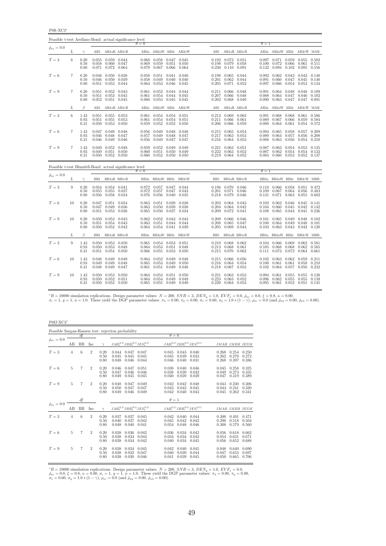P0ft-XC3<sup>∗</sup>

| Feasible t-test Arellano-Bond: actual significance level |    |                      |                         |                                                                   |                 |                         |                                                   |                         |                               |                         |                                                                       |                |                |                                                                                             |                |                                                   |                |
|----------------------------------------------------------|----|----------------------|-------------------------|-------------------------------------------------------------------|-----------------|-------------------------|---------------------------------------------------|-------------------------|-------------------------------|-------------------------|-----------------------------------------------------------------------|----------------|----------------|---------------------------------------------------------------------------------------------|----------------|---------------------------------------------------|----------------|
| $\bar{\rho}_{x\varepsilon}=0.0$                          |    |                      |                         |                                                                   |                 | $\theta = 0$            |                                                   |                         |                               |                         |                                                                       |                | $\theta = 1$   |                                                                                             |                |                                                   |                |
|                                                          | L  | $\gamma$             |                         |                                                                   | AB1 AB1aR AB1cR |                         |                                                   |                         | AB2a AB2aW AB2c AB2cW         |                         | AB1 AB1aR AB1cR                                                       |                |                | AB2a AB2aW AB2c AB2cW MAB                                                                   |                |                                                   |                |
| $T=3$                                                    | 6  | 0.20<br>0.50<br>0.80 | 0.058<br>0.071          | 0.055 0.059 0.044<br>$0.060$ $0.047$<br>0.072 0.064               |                 | 0.068<br>0.069<br>0.079 | 0.058 0.047 0.045<br>0.059<br>0.067               | 0.051<br>0.066          | 0.050<br>0.064                | 0.198<br>0.230          | $0.192$ $0.073$ $0.051$<br>0.079<br>0.110                             | 0.058<br>0.091 | 0.100          | $0.097$ $0.071$ $0.059$ $0.055$ $0.502$<br>0.072<br>$0.132$ $0.094$                         | 0.066<br>0.102 | 0.061<br>0.095                                    | 0.511<br>0.556 |
| $T=6$                                                    | 7  | 0.20<br>0.50<br>0.80 | 0.048<br>0.046<br>0.051 | $0.050$ $0.038$<br>0.050 0.039<br>0.053 0.044                     |                 | 0.058<br>0.058<br>0.064 | 0.051<br>0.049<br>0.053                           | 0.041<br>0.040<br>0.046 | 0.040<br>0.040<br>0.045       | 0.205                   | 0.198 0.065 0.044<br>$0.201$ $0.062$ $0.044$<br>0.071                 | 0.052          | 0.091<br>0.097 | $0.092 \quad 0.062$<br>0.060<br>0.066                                                       | 0.047<br>0.054 | $0.043$ $0.043$ $0.148$<br>$0.045$ 0.140<br>0.053 | 0.134          |
| $T=9$                                                    | 7  | 0.20<br>0.50<br>0.80 | 0.051                   | $0.051$ $0.052$ $0.043$<br>0.053 0.045<br>$0.052$ $0.051$ $0.045$ |                 | 0.061<br>0.061<br>0.060 | $0.052$ $0.044$ $0.044$<br>0.054<br>0.053         | 0.044<br>0.045          | 0.045<br>0.045                |                         | $0.211$ $0.066$ $0.048$<br>$0.207$ 0.066<br>$0.202$ $0.068$ $0.049$   | 0.048          | 0.088<br>0.090 | $0.091$ $0.064$ $0.048$ $0.048$ $0.109$<br>$0.063$ $0.047$ $0.047$ $0.091$                  |                | $0.064$ $0.047$ $0.046$ $0.102$                   |                |
|                                                          | L  | $\beta$              | AB1                     | AB1aR AB1cR                                                       |                 |                         |                                                   |                         | AB2a AB2aW AB2c AB2cW         |                         | AB1 AB1aR AB1cR                                                       |                |                | AB2a AB2aW AB2c AB2cW MAB                                                                   |                |                                                   |                |
| $T=3$                                                    | 6  | 1.43<br>0.93<br>0.31 | 0.051<br>0.050          | $0.051$ $0.055$ $0.053$<br>$0.055$ 0.053<br>0.053                 | 0.050           | 0.061<br>0.061<br>0.059 | $0.054$ $0.054$ $0.051$<br>0.054<br>0.052         | 0.054<br>0.052          | 0.051<br>0.050                | 0.211<br>0.206          | $0.212$ $0.069$ $0.063$<br>0.066<br>0.066                             | 0.061<br>0.059 | 0.089<br>0.089 | $0.091$ $0.068$ $0.068$ $0.061$ $0.586$<br>0.067<br>0.064                                   | 0.066<br>0.061 | 0.059 0.584<br>0.054 0.572                        |                |
| $T=6$                                                    | 7  | 1.43<br>0.93<br>0.31 | 0.047<br>0.046          | $0.049$ $0.048$<br>0.048<br>$0.046$ $0.049$ $0.046$               | 0.047           | 0.056<br>0.057<br>0.056 | 0.049<br>0.049<br>$0.049$ $0.047$ $0.047$         | 0.048<br>0.048          | 0.048<br>0.047                | 0.217                   | $0.215$ $0.065$ $0.054$<br>0.063<br>$0.216$ $0.064$ $0.053$           | 0.053          | 0.089          | $0.094$ 0.065<br>0.064<br>0.088 0.063 0.056 0.054 0.210                                     | 0.058<br>0.057 | $0.057$ 0.209<br>$0.056$ 0.208                    |                |
| $T=9$                                                    | 7  | 1.43<br>0.93<br>0.31 | 0.049                   | $0.049$ $0.052$ $0.048$<br>0.051<br>$0.050$ $0.052$ $0.050$       | 0.050           | 0.059<br>0.060          | 0.052<br>0.051<br>$0.060$ $0.052$ $0.050$ $0.050$ | 0.049<br>0.050          | 0.049<br>0.049                | 0.221<br>0.222          | $0.063$ $0.051$<br>0.063 0.052<br>$0.219$ $0.064$ $0.052$             |                |                | $0.087$ 0.063<br>0.087 0.062<br>$0.084$ $0.060$ $0.053$ $0.052$ $0.137$                     | 0.054<br>0.054 | $0.053$ $0.135$<br>$0.054$ $0.133$                |                |
| Feasible t-test Blundell-Bond: actual significance level |    |                      |                         |                                                                   |                 | $\theta = 0$            |                                                   |                         |                               |                         |                                                                       |                | $\theta = 1$   |                                                                                             |                |                                                   |                |
| $\bar{\rho}_{x\varepsilon}=0.0$                          | L  | $\gamma$             |                         |                                                                   | BB1 BB1aR BB1cR |                         |                                                   |                         | BB2a BB2aW BB2c BB2cW         |                         | BB1 BB1aR BB1cR                                                       |                |                | BB2a BB2aW BB2c BB2cW MBB                                                                   |                |                                                   |                |
| $T=3$                                                    | 9  | 0.20<br>0.50<br>0.80 | 0.055<br>0.056          | $0.054$ $0.054$ $0.041$<br>0.055 0.037<br>0.058                   | 0.034           | 0.072<br>0.072<br>0.076 | 0.057 0.047 0.044<br>0.057<br>0.056               | 0.047<br>0.040          | 0.043<br>0.035                | 0.201<br>0.218          | 0.196 0.070 0.046<br>0.071<br>0.079                                   | 0.046<br>0.046 | 0.109          | $0.110$ $0.066$ $0.058$<br>0.067<br>$0.131$ $0.071$                                         | 0.064<br>0.063 | $0.051$ $0.472$<br>0.056<br>0.055                 | 0.483<br>0.602 |
| $T=6$                                                    | 10 | 0.20<br>0.50<br>0.80 | 0.047<br>0.051          | $0.047$ $0.051$ $0.034$<br>0.049<br>0.053                         | 0.036<br>0.036  | 0.063<br>0.063<br>0.065 | 0.051 0.039<br>0.050<br>0.050                     | 0.039<br>0.037          | 0.038<br>0.038<br>0.034       | 0.209                   | $0.203$ $0.064$ $0.043$<br>$0.204$ $0.064$ $0.042$<br>$0.072$ $0.041$ |                | 0.104<br>0.108 | $0.102$ $0.062$ $0.046$ $0.045$ $0.141$<br>0.060<br>0.065                                   | 0.045<br>0.044 | $0.042 \quad 0.142$<br>$0.041$ $0.236$            |                |
| $T=9$                                                    | 10 | 0.20<br>0.50<br>0.80 | 0.051                   | $0.050$ $0.053$ $0.043$<br>0.054<br>$0.050$ $0.052$ $0.042$       | 0.043           | 0.062<br>0.063<br>0.064 | 0.052<br>0.051<br>0.054 0.041 0.039               | 0.043<br>0.044          | 0.043<br>0.044                | 0.209<br>0.208<br>0.205 | $0.066$ 0.046<br>0.065<br>0.069 0.044                                 | 0.047          | 0.100          | $0.101$ $0.065$ $0.049$ $0.048$ $0.102$<br>0.064<br>$0.103$ $0.063$ $0.043$ $0.042$ $0.120$ | 0.049          | 0.048                                             | 0.101          |
|                                                          | L  | $\beta$              | BB1                     | BB1aR BB1cR                                                       |                 |                         |                                                   |                         | BB2a BB2aW BB2c BB2cW         | BB1                     | BB1aR BB1cR                                                           |                |                | BB2a BB2aW BB2c BB2cW MBB                                                                   |                |                                                   |                |
| $T=3$                                                    | 9  | 1.43<br>0.93<br>0.31 | 0.050<br>0.051          | $0.050$ $0.053$ $0.050$<br>0.053<br>$0.054$ 0.050                 | 0.048           | 0.065<br>0.064<br>0.066 | $0.054$ $0.053$ $0.051$<br>0.053<br>0.055         | 0.051<br>0.053          | 0.048<br>0.050                | 0.213<br>0.215          | $0.210$ $0.068$ $0.062$<br>0.068<br>$0.070$ 0.062                     | 0.061          | 0.105          | $0.104$ $0.066$ $0.069$<br>0.068<br>$0.111$ $0.073$                                         | 0.068<br>0.072 | $0.062$ 0.581<br>0.062<br>$0.064$ 0.661           | 0.585          |
| $T=6$                                                    | 10 | 1.43<br>0.93<br>0.31 | 0.048<br>0.049          | $0.049$ 0.048<br>0.049<br>$0.048$ $0.049$ $0.047$                 | 0.048           | 0.064<br>0.065<br>0.061 | 0.052<br>0.053<br>0.051 0.049                     | 0.049<br>0.049          | 0.048<br>0.050<br>0.048       | 0.215<br>0.216<br>0.218 | $0.066$ 0.056<br>0.064<br>$0.067$ 0.053                               | 0.054          | 0.100          | $0.102$ $0.063$ $0.062$ $0.059$ $0.211$<br>0.061<br>$0.102$ $0.064$ $0.057$                 | 0.061          | 0.058<br>0.056 0.232                              | 0.210          |
| $T=9$                                                    | 10 | 1.43<br>0.93<br>0.31 | 0.050<br>0.050          | $0.053$ 0.050<br>0.052<br>$0.050$ $0.052$ $0.050$                 | 0.051           | 0.064<br>0.064          | 0.053<br>0.054<br>$0.065$ 0.055                   | 0.051<br>0.049          | 0.050<br>0.049<br>0.049 0.049 | 0.221                   | $0.063$ 0.053<br>$0.223$ 0.063<br>$0.220$ $0.064$ $0.053$             | 0.052          | 0.096          | $0.094$ $0.061$<br>0.062<br>$0.095$ $0.061$ $0.052$ $0.051$ $0.145$                         | 0.055<br>0.055 | $0.055$ $0.138$<br>0.055                          | 0.139          |

 ${}^{*}R = 10000$  simulation replications. Design parameter values:  $N = 200$ ,  $SNR = 3$ ,  $DEN_y = 1.0$ ,  $EVF_x = 0.0$ ,  $\bar{\rho}_{x\bar{x}} = 0.0$ ,  $\xi = 0.8$ ,  $\kappa = 0.00$ ,<br> $\sigma_{\bar{x}} = 1$ ,  $q = 1$ ,  $\phi = 1.0$ . These yield the DGP parameter values:

P0fJ-XC3<sup>∗</sup>

|                                 |    |                |                |                      | Feasible Sargan-Hansen test: rejection probability |                         |                         |                         |                                           |                         |                         |                         |
|---------------------------------|----|----------------|----------------|----------------------|----------------------------------------------------|-------------------------|-------------------------|-------------------------|-------------------------------------------|-------------------------|-------------------------|-------------------------|
|                                 |    | df             |                |                      |                                                    |                         | $\theta = 0$            |                         |                                           |                         |                         |                         |
| $\bar{\rho}_{x\varepsilon}=0.0$ | AВ | <b>BB</b>      | Inc            | $\sim$               | $JAB_a^{(2,1)}JBB_a^{(2,1)}JES_a^{(2,1)}$          |                         |                         |                         | $JAB_c^{(2,1)}JBB_c^{(2,1)}JES_c^{(2,1)}$ |                         | JMAB JMBB JESM          |                         |
| $T=3$                           | 4  | 6              | $\overline{2}$ | 0.20<br>0.50<br>0.80 | 0.044<br>0.047<br>0.045<br>0.045<br>0.048<br>0.046 | 0.047<br>0.045<br>0.044 | 0.045<br>0.045<br>0.046 | 0.043<br>0.039<br>0.040 | 0.040<br>0.033<br>0.031                   | 0.268<br>0.262<br>0.268 | 0.254<br>0.278<br>0.397 | 0.250<br>0.272<br>0.386 |
| $T=6$                           | 5  | 7              | $\overline{2}$ | 0.20<br>0.50<br>0.80 | 0.046<br>0.047<br>0.047<br>0.046<br>0.049<br>0.045 | 0.051<br>0.046<br>0.045 | 0.038<br>0.038<br>0.040 | 0.040<br>0.039<br>0.039 | 0.046<br>0.042<br>0.039                   | 0.045<br>0.049<br>0.047 | 0.258<br>0.273<br>0.319 | 0.325<br>0.335<br>0.389 |
| $T=9$                           | 5  | 7              | $\overline{2}$ | 0.20<br>0.50<br>0.80 | 0.048<br>0.047<br>0.050<br>0.047<br>0.049<br>0.046 | 0.049<br>0.047<br>0.049 | 0.042<br>0.043<br>0.042 | 0.042<br>0.042<br>0.040 | 0.048<br>0.045<br>0.043                   | 0.043<br>0.044<br>0.045 | 0.230<br>0.241<br>0.262 | 0.306<br>0.320<br>0.341 |
|                                 |    | df             |                |                      |                                                    |                         | $\theta=1$              |                         |                                           |                         |                         |                         |
| $\bar{\rho}_{x\varepsilon}=0.0$ | AВ | <b>BB</b>      | Inc            | $\gamma$             | $JAB_a^{(2,1)}JBB_a^{(2,1)}JES_a^{(2,1)}$          |                         |                         |                         | $JAB_c^{(2,1)}JBB_c^{(2,1)}JES_c^{(2,1)}$ |                         | JMAB JMBB JESM          |                         |
| $T=3$                           | 4  | 6              | $\overline{2}$ | 0.20<br>0.50<br>0.80 | 0.037<br>0.037<br>0.040<br>0.037<br>0.048<br>0.040 | 0.045<br>0.042<br>0.041 | 0.042<br>0.045<br>0.054 | 0.040<br>0.042<br>0.048 | 0.044<br>0.042<br>0.046                   | 0.300<br>0.298<br>0.308 | 0.491<br>0.518<br>0.579 | 0.471<br>0.504<br>0.560 |
| $T=6$                           | 5  | 7              | $\overline{2}$ | 0.20<br>0.50<br>0.80 | 0.038<br>0.036<br>0.038<br>0.034<br>0.038<br>0.034 | 0.042<br>0.044<br>0.042 | 0.036<br>0.034<br>0.040 | 0.034<br>0.034<br>0.034 | 0.042<br>0.042<br>0.045                   | 0.056<br>0.054<br>0.056 | 0.618<br>0.631<br>0.652 | 0.662<br>0.671<br>0.688 |
| $T=9$                           | 5  | $\overline{7}$ | $\overline{2}$ | 0.20<br>0.50<br>0.80 | 0.038<br>0.034<br>0.038<br>0.032<br>0.038<br>0.030 | 0.045<br>0.047<br>0.046 | 0.042<br>0.040<br>0.041 | 0.040<br>0.039<br>0.039 | 0.045<br>0.044<br>0.045                   | 0.048<br>0.047<br>0.050 | 0.640<br>0.653<br>0.665 | 0.690<br>0.697<br>0.706 |

\*R = 10000 simulation replications. Design parameter values:  $N = 200$ ,  $SNR = 3$ ,  $DEN_y = 1.0$ ,  $EVF_x = 0.0$ ,  $\bar{\rho}_{xe} = 0.0$ ,  $\xi = 0.8$ ,  $\kappa = 0.00$ ,  $\sigma_e = 1$ ,  $q = 1$ ,  $\phi = 1.0$ . These yield the DGP parameter values:  $\pi_{\lambda} = 0.$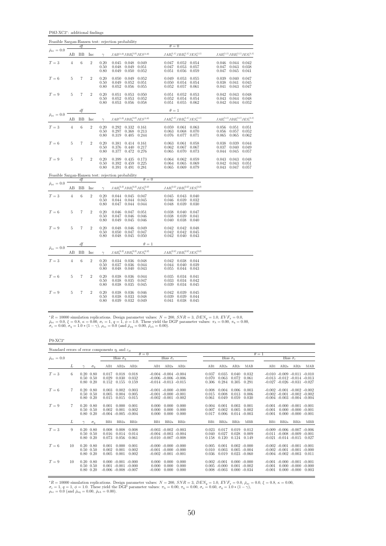P0fJ-XC3<sup>∗</sup> : additional findings

|                                 |                |                |                |                          | Feasible Sargan-Hansen test: rejection probability                                                                    |                                                                                                               |                                                                                    |
|---------------------------------|----------------|----------------|----------------|--------------------------|-----------------------------------------------------------------------------------------------------------------------|---------------------------------------------------------------------------------------------------------------|------------------------------------------------------------------------------------|
| $\bar{\rho}_{x\epsilon}=0.0$    |                | df             |                |                          |                                                                                                                       | $\theta = 0$                                                                                                  |                                                                                    |
|                                 | AB             | BB             | Inc            | $\gamma$                 | $JAB^{(1,0)}JBB_a^{(1,0)}JES^{(1,0)}$                                                                                 | $JAB_a^{(1,1)}JBB_a^{(1,1)}JES_a^{(1,1)}$ $JAB_c^{(1,1)}JBB_c^{(1,1)}JES_c^{(1,1)}$                           |                                                                                    |
| $T=3$                           | $\overline{4}$ | 6              | $\overline{2}$ | 0.20<br>0.50<br>0.80     | 0.045<br>0.048 0.049<br>0.048<br>0.049<br>0.051<br>0.050<br>0.052<br>0.049                                            | $0.052$ $0.054$<br>0.047<br>0.047<br>0.053<br>0.057<br>0.051<br>0.056<br>0.059                                | $0.046$ 0.044<br>0.042<br>0.047<br>0.043<br>0.038<br>0.047<br>0.045<br>0.041       |
| $T=6$                           | 5              | 7              | $\overline{2}$ | 0.20<br>0.50<br>0.80     | 0.050<br>$0.049$ $0.052$<br>0.049<br>0.052<br>0.051<br>0.052<br>0.056<br>0.055                                        | 0.049<br>0.053<br>0.055<br>0.050<br>0.054<br>0.054<br>0.052<br>0.057<br>0.061                                 | 0.039<br>0.040<br>0.047<br>0.038<br>0.041<br>0.045<br>0.041<br>0.043<br>0.047      |
| $T=9$                           | 5              | 7              | $\overline{2}$ | $0.20\,$<br>0.50<br>0.80 | 0.051<br>0.053<br>0.050<br>0.052<br>0.053 0.052<br>0.053<br>0.056 0.058                                               | 0.051<br>0.052<br>0.053<br>0.052<br>0.054<br>0.054<br>$0.051$ $0.055$<br>0.062                                | 0.042<br>0.043<br>0.048<br>0.043<br>0.044<br>0.048<br>$0.042 \quad 0.044$<br>0.052 |
| $\bar{\rho}_{x\varepsilon}=0.0$ |                | df             |                |                          |                                                                                                                       | $\theta=1$                                                                                                    |                                                                                    |
|                                 | AВ             | BB             | Inc            | $\gamma$                 | $JAB^{\left( 1,0\right) }JBB_{a}^{\left( 1,0\right) }JES^{\left( 1,0\right) }$                                        | $JAB^{(1,1)}_aJBB^{(1,1)}_aJES^{(1,1)}_a$                                                                     | $JAB_c^{(1,1)}JBB_c^{(1,1)}JES_c^{(1,1)}$                                          |
| $T=3$                           | $\overline{4}$ | $\overline{6}$ | $\sqrt{2}$     | 0.20<br>0.50<br>0.80     | 0.292<br>$0.332$ $0.161$<br>$0.368\,$<br>$\begin{array}{c} 0.213 \\ 0.244 \end{array}$<br>$0.297\,$<br>0.319<br>0.405 | 0.059<br>$0.061$ $0.063$<br>$\begin{array}{c} 0.063 \\ 0.076 \end{array}$<br>0.070<br>0.068<br>0.077<br>0.071 | $0.056$ $0.051$<br>0.051<br>0.056<br>0.052<br>0.057<br>0.065<br>0.065<br>0.062     |
| $T=6$                           | 5              | 7              | $\overline{2}$ | 0.20<br>0.50<br>0.80     | $0.414$ $0.161$<br>0.381<br>0.217<br>0.376<br>0.440<br>0.472<br>0.377<br>0.276                                        | 0.063<br>0.061<br>0.058<br>0.062<br>0.067<br>0.067<br>0.065<br>0.070<br>0.073                                 | 0.038<br>0.039<br>0.044<br>0.040<br>0.049<br>0.037<br>0.044<br>0.045<br>0.057      |
| $T=9$                           | 5              | 7              | $\overline{2}$ | 0.20<br>0.50<br>0.80     | 0.399<br>0.435<br>0.173<br>0.225<br>0.392<br>0.459<br>0.391<br>0.281<br>0.491                                         | 0.064<br>0.062<br>0.059<br>0.069<br>0.064<br>0.065<br>0.065<br>0.069<br>0.079                                 | 0.043<br>0.043<br>0.048<br>0.042<br>0.043<br>0.051<br>$0.043\quad 0.047$<br>0.057  |
|                                 |                |                |                |                          | Feasible Sargan-Hansen test: rejection probability<br>$\theta = 0$                                                    |                                                                                                               |                                                                                    |
| $\bar{\rho}_{x\varepsilon}=0.0$ | AВ             | df<br>BB       | Inc            |                          | $\gamma \qquad JAB_a^{(2,2)} JBB_a^{(2,2)} JES_a^{(2,2)} \qquad \qquad JAB_c^{(2,2)} JBB_c^{(2,2)} JES_c^{(2,2)}$     |                                                                                                               |                                                                                    |
| ${\cal T}=3$                    | $\overline{4}$ | 6              | $\sqrt{2}$     | 0.20<br>0.50<br>0.80     | $0.044$ $0.045$ $0.047$<br>0.045<br>0.044<br>0.044<br>0.044<br>0.047<br>0.044                                         | $0.043$ $0.040$<br>0.045<br>0.046<br>0.039<br>0.032<br>0.048<br>0.039<br>0.030                                |                                                                                    |
| $T=6$                           | 5              | 7              | $\overline{2}$ | 0.20<br>0.50<br>0.80     | 0.046<br>$0.047$ $0.051$<br>0.046<br>0.047<br>0.046<br>0.049<br>$0.045$ 0.046                                         | 0.040<br>0.038<br>0.047<br>0.038<br>0.039<br>0.041<br>0.040<br>0.038<br>0.040                                 |                                                                                    |
| $T=9$                           | $\,$ 5         | 7              | $\overline{2}$ | 0.20<br>0.50<br>0.80     | 0.048<br>0.046<br>0.049<br>0.047<br>0.047<br>0.050<br>$0.045$ 0.050<br>0.048                                          | 0.042<br>0.042<br>0.048<br>$\begin{array}{ccc} 0.042 & 0.042 & 0.045 \\ 0.042 & 0.040 & 0.043 \end{array}$    |                                                                                    |
| $\bar{\rho}_{x\varepsilon}=0.0$ |                | df             |                |                          | $\theta=1$                                                                                                            |                                                                                                               |                                                                                    |
|                                 | AВ             | BB             | Inc            | $\gamma$                 | $JAB_a^{(2,2)}JBB_a^{(2,2)}JES_a^{(2,2)}$                                                                             | $JAB_c^{(2,2)}JBB_c^{(2,2)}JES_c^{(2,2)}$                                                                     |                                                                                    |
| $T = 3$                         | $\overline{4}$ | 6              | $\overline{2}$ | 0.20<br>0.50<br>0.80     | 0.034<br>$0.036$ $0.048$<br>0.036<br>0.044<br>0.037<br>0.048<br>0.040<br>0.043                                        | 0.042 0.038 0.044<br>0.044<br>0.040<br>0.039<br>0.055<br>0.044 0.043                                          |                                                                                    |
| $T=6$                           | 5              | 7              | $\overline{2}$ | 0.20<br>0.50<br>0.80     | 0.038<br>0.036<br>0.044<br>0.038<br>0.035<br>0.047<br>0.038<br>0.035<br>0.045                                         | 0.034<br>0.035<br>0.041<br>0.033<br>0.034<br>0.042<br>0.039<br>0.034<br>0.045                                 |                                                                                    |
| $T=9$                           | 5              | 7              | $\overline{2}$ | 0.20<br>0.50<br>0.80     | 0.038<br>0.036<br>0.046<br>0.038<br>0.033<br>0.048<br>0.039<br>$0.032$ $0.049$                                        | 0.039<br>0.042<br>0.045<br>0.039<br>0.039<br>0.044<br>0.041<br>0.038<br>0.045                                 |                                                                                    |

 ${}^*R = 10000$  simulation replications. Design parameter values:  $N = 200$ ,  $SNR = 3$ ,  $DEN_y = 1.0$ ,  $EVF_x = 0.0$ ,  $\bar{\rho}_{xe} = 0.0$ ,  $\xi = 0.8$ ,  $\kappa = 0.00$ ,  $\sigma_e = 1$ ,  $q = 1$ ,  $\phi = 1.0$ . These yield the DGP parameter values:  $\pi_{\lambda} =$ 

P0-XC3<sup>∗</sup>

| Standard errors of error components $\eta_i$ and $\varepsilon_{it}$ |    |                                                        |            |                         |                                                                                |                         |                            |                                                                                        |                         |                         |                                                       |                                                       |                         |                      |                                                                                                                   |                                                    |       |
|---------------------------------------------------------------------|----|--------------------------------------------------------|------------|-------------------------|--------------------------------------------------------------------------------|-------------------------|----------------------------|----------------------------------------------------------------------------------------|-------------------------|-------------------------|-------------------------------------------------------|-------------------------------------------------------|-------------------------|----------------------|-------------------------------------------------------------------------------------------------------------------|----------------------------------------------------|-------|
|                                                                     |    |                                                        |            |                         |                                                                                |                         | $\theta = 0$               |                                                                                        |                         |                         |                                                       |                                                       |                         | $\theta = 1$         |                                                                                                                   |                                                    |       |
| $\bar{\rho}_{x\varepsilon} = 0.0$                                   |    |                                                        |            |                         | Bias $\hat{\sigma}_n$                                                          |                         |                            | Bias $\hat{\sigma}_e$                                                                  |                         |                         | Bias $\hat{\sigma}_n$                                 |                                                       |                         |                      |                                                                                                                   | Bias $\hat{\sigma}_e$                              |       |
|                                                                     | L  |                                                        | $\sigma_n$ | AB1                     | AB2a                                                                           | AB2c                    | AB1                        | AB2a                                                                                   | AB2c                    | AB1                     | AB2a                                                  | AB2c                                                  | MAB                     | AB1                  | AB2a                                                                                                              | AB2c                                               | MAB   |
| $T=3$                                                               | 6. | $0.20\ 0.80$<br>$0.50 \quad 0.50$<br>$0.80 \quad 0.20$ |            | 0.017<br>0.029<br>0.152 | 0.018<br>0.030<br>0.155                                                        | 0.018<br>0.032<br>0.159 |                            | $-0.004$ $-0.004$ $-0.004$<br>$-0.006 - 0.006 - 0.006$<br>$-0.014$ $-0.013$ $-0.015$   |                         | 0.037<br>0.070<br>0.306 | 0.035<br>0.063<br>0.284                               | 0.040<br>0.072<br>0.305                               | 0.032<br>0.061<br>0.291 |                      | $-0.010$ $-0.009$ $-0.011$ $-0.010$<br>$-0.013$ $-0.012$ $-0.014$ $-0.013$<br>$-0.027$ $-0.026$ $-0.031$ $-0.027$ |                                                    |       |
| $T=6$                                                               | 7  | $0.20\ 0.80$<br>$0.50 \quad 0.50$<br>$0.80\ 0.20$      |            | 0.003<br>0.005<br>0.015 | 0.002<br>0.004<br>0.015                                                        | 0.003<br>0.005<br>0.015 |                            | $-0.001 - 0.000 - 0.000$<br>$-0.001 - 0.000 - 0.001$<br>$-0.002$ $-0.001$ $-0.002$     |                         | 0.008<br>0.015<br>0.061 | 0.004<br>0.008<br>0.049                               | 0.006<br>0.013<br>0.059                               | 0.003<br>0.006<br>0.030 |                      | $-0.002$ $-0.001$ $-0.002$ $-0.002$<br>$-0.002$ $-0.001$ $-0.002$ $-0.002$<br>$-0.004$ $-0.003$ $-0.004$ $-0.004$ |                                                    |       |
| $T = 9$                                                             | 7  | $0.20\ 0.80$<br>$0.50 \quad 0.50$<br>$0.80\ 0.20$      |            | 0.001<br>0.002          | 0.000<br>0.001<br>$-0.004$ $-0.005$ $-0.004$                                   | 0.001<br>0.002          | 0.000<br>0.000<br>0.000    | 0.000<br>0.000<br>0.000                                                                | 0.000<br>0.000<br>0.000 | 0.004<br>0.007<br>0.017 | 0.001<br>0.002<br>0.006                               | 0.003<br>0.005<br>$0.014 - 0.003$                     | 0.001<br>0.002          | $-0.001$<br>$-0.001$ | $-0.001$ $-0.000$ $-0.001$ $-0.001$                                                                               | $0.000 - 0.000 - 0.001$<br>$0.000 - 0.000 - 0.001$ |       |
|                                                                     | L  |                                                        | $\sigma_n$ | B <sub>B1</sub>         | BB <sub>2a</sub>                                                               | BB2c                    | BB1                        | BB <sub>2a</sub>                                                                       | BB2c                    | BB1                     | BB <sub>2a</sub>                                      | BB <sub>2c</sub>                                      | <b>MBB</b>              | BB1                  | BB <sub>2a</sub>                                                                                                  | BB <sub>2c</sub>                                   | MBB   |
| $T = 3$                                                             | 9  | $0.20\ 0.80$<br>$0.50 \quad 0.50$<br>$0.80\ 0.20$      |            | 0.008<br>0.016<br>0.073 | 0.008<br>0.014<br>0.056                                                        | 0.008<br>0.014<br>0.061 |                            | $-0.003$ $-0.002$ $-0.003$<br>$-0.004$ $-0.003$ $-0.004$<br>$-0.010$ $-0.007$ $-0.008$ |                         | 0.023<br>0.040<br>0.158 | 0.017<br>0.027<br>0.120                               | 0.019<br>0.028<br>0.124                               | 0.012<br>0.009<br>0.149 |                      | $-0.009$ $-0.006$ $-0.007$ $-0.006$<br>$-0.011 - 0.008 - 0.009 - 0.001$<br>$-0.021$ $-0.014$ $-0.015$ $0.027$     |                                                    |       |
| $T=6$                                                               | 10 | $0.20\ 0.80$<br>$0.50 \quad 0.50$<br>$0.80\ 0.20$      |            | 0.001<br>0.002<br>0.005 | 0.000<br>0.001<br>0.001                                                        | 0.001<br>0.002<br>0.002 |                            | $-0.000 - 0.000 - 0.000$<br>$-0.001 - 0.000 - 0.000$<br>$-0.002 - 0.001 - 0.001$       |                         | 0.005<br>0.010<br>0.036 | 0.001<br>0.003<br>0.019                               | $0.002 - 0.000$<br>$0.005 - 0.004$<br>$0.023 - 0.060$ |                         |                      | $-0.002$ $-0.001$ $-0.001$ $-0.001$<br>$-0.002$ $-0.001$ $-0.001$ $-0.000$<br>$-0.004$ $-0.002$ $-0.003$ $0.011$  |                                                    |       |
| $T=9$                                                               | 10 | $0.20\ 0.80$<br>$0.50 \quad 0.50$<br>$0.80\ 0.20$      |            |                         | $0.000 - 0.001 - 0.000$<br>$0.001 - 0.001 - 0.000$<br>$-0.006 - 0.008 - 0.007$ |                         | 0.000<br>0.000<br>$-0.000$ | 0.000<br>0.000<br>0.000                                                                | 0.000<br>0.000<br>0.000 |                         | $0.002 - 0.001$<br>$0.005 - 0.000$<br>$0.008 - 0.003$ | $0.000 - 0.000$<br>$0.001 - 0.002$<br>$0.000 - 0.034$ |                         | $-0.001$<br>$-0.001$ | $-0.001 - 0.000 - 0.001 - 0.001$                                                                                  | $0.000 - 0.000 - 0.000$<br>$0.000 - 0.000$         | 0.003 |

 ${}^*R = 10000$  simulation replications. Design parameter values:  $N = 200$ ,  $SNR = 3$ ,  $DEN_y = 1.0$ ,  $EVF_x = 0.0$ ,  $\bar{\rho}_{x\bar{z}} = 0.0$ ,  $\xi = 0.8$ ,  $\kappa = 0.00$ ,<br>  $\sigma_{\varepsilon} = 1$ ,  $q = 1$ ,  $\phi = 1.0$ . These yield the DGP parameter values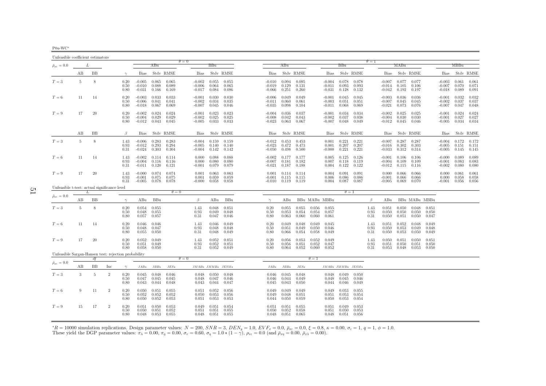| P0u-W0 |  |
|--------|--|
|        |  |

| Unfeasible coefficient estimators                    |                 |           |                |                      |                                  |                         |                         |                                  |                                   |                         |                                          |                                 |                         |                         |                                  |                                   |                         |                      |                                  |                         |                         |                         |                                  |                         |                         |
|------------------------------------------------------|-----------------|-----------|----------------|----------------------|----------------------------------|-------------------------|-------------------------|----------------------------------|-----------------------------------|-------------------------|------------------------------------------|---------------------------------|-------------------------|-------------------------|----------------------------------|-----------------------------------|-------------------------|----------------------|----------------------------------|-------------------------|-------------------------|-------------------------|----------------------------------|-------------------------|-------------------------|
| $\bar{\rho}_{x\varepsilon}=0.0$                      |                 | L         |                |                      |                                  | ABu                     |                         | $\theta = 0$                     | BBu                               |                         |                                          | ABu                             |                         |                         |                                  | <b>BBu</b>                        |                         | $\theta = 1$         |                                  | MABu                    |                         |                         |                                  | MBBu                    |                         |
|                                                      | AВ              | BB        |                | $\gamma$             | <b>Bias</b>                      |                         | Stdy RMSE               | Bias                             |                                   | Stdy RMSE               | Bias                                     |                                 | Stdy RMSE               |                         | <b>Bias</b>                      |                                   | Stdy RMSE               |                      | <b>Bias</b>                      |                         | Stdy RMSE               |                         | <b>Bias</b>                      |                         | Stdy RMSE               |
| $T=3$                                                | $5\phantom{.0}$ | 8         |                | 0.20<br>0.50<br>0.80 | $-0.005$<br>$-0.010$<br>$-0.031$ | 0.065<br>0.088<br>0.166 | 0.065<br>0.089<br>0.169 | $-0.002$<br>$-0.006$<br>$-0.017$ | 0.055<br>0.064<br>0.084           | 0.055<br>0.065<br>0.086 | $-0.010$ $0.094$<br>$-0.019$<br>$-0.066$ | 0.129<br>0.251                  | 0.095<br>0.131<br>0.260 |                         | $-0.004$<br>$-0.011$<br>$-0.031$ | 0.078<br>0.093<br>0.128           | 0.078<br>0.093<br>0.132 |                      | $-0.007$<br>-0.014<br>$-0.042$   | 0.077<br>0.105<br>0.192 | 0.077<br>0.106<br>0.197 |                         | $-0.003$<br>$-0.007$<br>$-0.018$ | 0.061<br>0.070<br>0.089 | 0.061<br>0.071<br>0.091 |
| $T=6$                                                | 11              | 14        |                | 0.20<br>0.50<br>0.80 | $-0.003$<br>$-0.006$<br>$-0.018$ | 0.033<br>0.041<br>0.067 | 0.033<br>0.041<br>0.069 | $-0.001$<br>$-0.002$<br>$-0.007$ | 0.030<br>0.034<br>0.045           | 0.030<br>0.035<br>0.046 | $-0.006$<br>$-0.011$<br>$-0.035$         | 0.049<br>0.060<br>0.098         | 0.049<br>0.061<br>0.104 |                         | $-0.001$<br>$-0.003$<br>$-0.011$ | 0.045<br>0.051<br>0.068           | 0.045<br>0.051<br>0.069 |                      | $-0.003$<br>$-0.007$<br>$-0.021$ | 0.036<br>0.045<br>0.073 | 0.036<br>0.045<br>0.076 |                         | $-0.001$<br>$-0.002$<br>$-0.007$ | 0.032<br>0.037<br>0.047 | 0.032<br>0.037<br>0.048 |
| $T=9$                                                | 17              | 20        |                | 0.20<br>0.50<br>0.80 | $-0.002$<br>$-0.004$<br>$-0.012$ | 0.024<br>0.029<br>0.043 | 0.024<br>0.029<br>0.045 | $-0.001$<br>$-0.002$<br>$-0.005$ | 0.023<br>0.025<br>0.033           | 0.023<br>0.025<br>0.033 | $-0.004$<br>$-0.008$<br>$-0.023$         | 0.036<br>0.042<br>0.063         | 0.037<br>0.043<br>0.067 |                         | $-0.001$<br>$-0.002$<br>$-0.007$ | 0.034<br>0.037<br>0.048           | 0.034<br>0.038<br>0.049 |                      | $-0.002$<br>$-0.004$<br>$-0.012$ | 0.025<br>0.030<br>0.045 | 0.025<br>0.030<br>0.046 |                         | $-0.001$<br>$-0.001$<br>$-0.005$ | 0.024<br>0.027<br>0.034 | 0.024<br>0.027<br>0.034 |
|                                                      | AВ              | <b>BB</b> |                | $\beta$              | <b>Bias</b>                      |                         | Stdy RMSE               | Bias                             |                                   | Stdy RMSE               | Bias                                     |                                 | Stdy RMSE               |                         | <b>Bias</b>                      |                                   | Stdy RMSE               |                      | Bias                             |                         | Stdy RMSE               |                         | <b>Bias</b>                      |                         | Stdy RMSE               |
| $T=3$                                                | -5              | 8         |                | 1.43<br>0.93<br>0.31 | $-0.006$<br>$-0.012$<br>$-0.024$ | 0.283<br>0.293<br>0.303 | 0.283<br>0.294<br>0.304 | $-0.004$<br>$-0.005$<br>$-0.004$ | 0.159<br>0.140<br>0.142           | 0.159<br>0.140<br>0.142 | $-0.012$<br>$-0.023$<br>$-0.050$         | 0.453<br>0.472<br>0.498         | 0.453<br>0.473<br>0.500 |                         | 0.001<br>0.001<br>$-0.000$       | 0.221<br>0.207<br>0.221           | 0.221<br>0.207<br>0.221 |                      | $-0.007$<br>$-0.016$<br>$-0.033$ | 0.287<br>0.302<br>0.312 | 0.287<br>0.303<br>0.314 |                         | $-0.004$<br>$-0.005$<br>$-0.005$ | 0.172<br>0.151<br>0.145 | 0.172<br>0.151<br>0.145 |
| $T=6$                                                | 11              | 14        |                | 1.43<br>0.93<br>0.31 | $-0.002$<br>$-0.004$<br>$-0.011$ | 0.114<br>0.116<br>0.120 | 0.114<br>0.116<br>0.121 | 0.000<br>0.000<br>$-0.001$       | 0.088<br>0.080<br>0.079           | 0.088<br>0.080<br>0.079 | $-0.002$<br>$-0.007$<br>$-0.021$         | 0.177<br>0.181<br>0.187         | 0.177<br>0.182<br>0.188 |                         | 0.005<br>0.007<br>0.004          | 0.125<br>0.118<br>0.122           | 0.126<br>0.119<br>0.122 |                      | $-0.001$<br>$-0.004$<br>$-0.012$ | 0.106<br>0.109<br>0.115 | 0.106<br>0.109<br>0.116 |                         | $-0.000$<br>$-0.001$<br>$-0.002$ | 0.089<br>0.083<br>0.080 | 0.089<br>0.083<br>0.080 |
| $T=9$                                                | 17              | 20        |                | 1.43<br>0.93<br>0.31 | $-0.000$<br>$-0.001$<br>$-0.005$ | 0.074<br>0.075<br>0.078 | 0.074<br>0.075<br>0.078 | 0.001<br>0.001<br>$-0.000$       | 0.063<br>0.059<br>0.058           | 0.063<br>0.059<br>0.058 | 0.001<br>$-0.001$<br>$-0.010$ $0.119$    | 0.114<br>0.115                  | 0.114<br>0.115<br>0.119 |                         | 0.004<br>0.006<br>0.004          | 0.091<br>0.086<br>0.087           | 0.091<br>0.086<br>0.087 |                      | 0.000<br>$-0.001$<br>$-0.005$    | 0.066<br>0.066<br>0.069 | 0.066<br>0.066<br>0.070 |                         | 0.000<br>0.000<br>$-0.001$       | 0.061<br>0.058<br>0.056 | 0.061<br>0.058<br>0.056 |
| Unfeasible t-test: actual significance level         |                 |           |                |                      |                                  |                         | $\theta = 0$            |                                  |                                   |                         |                                          |                                 |                         |                         |                                  | $\theta = 1$                      |                         |                      |                                  |                         |                         |                         |                                  |                         |                         |
| $\bar{\rho}_{x\varepsilon}=0.0$                      | AВ              | <b>BB</b> |                | $\gamma$             | ABu                              | BBu                     |                         | $\beta$                          | ABu                               | BBu                     | $\gamma$                                 | ABu                             |                         | BBu MABu MBBu           |                                  |                                   |                         | $\beta$              | ABu                              |                         | BBu MABu MBBu           |                         |                                  |                         |                         |
| $T=3$                                                | 5               | 8         |                | 0.20<br>0.50<br>0.80 | 0.054<br>0.048<br>0.057          | 0.055<br>0.055<br>0.057 |                         | 1.43<br>0.93<br>0.31             | 0.048<br>0.049<br>0.047           | 0.051<br>0.048<br>0.046 | 0.20<br>0.50<br>0.80                     | 0.055<br>0.053<br>0.063         | 0.055<br>0.054<br>0.060 | 0.056<br>0.054<br>0.060 | 0.055<br>0.057<br>0.061          |                                   |                         | 1.43<br>0.93<br>0.31 | 0.051<br>0.050<br>0.050          | 0.050<br>0.050<br>0.051 | 0.048<br>0.050<br>0.050 | 0.051<br>0.050<br>0.047 |                                  |                         |                         |
| $T=6$                                                | 11              | 14        |                | 0.20<br>0.50<br>0.80 | 0.046<br>0.048<br>0.055          | 0.046<br>0.047<br>0.050 |                         | 1.43<br>0.93<br>0.31             | 0.046<br>0.048<br>0.048           | 0.049<br>0.048<br>0.049 | 0.20<br>0.50<br>0.80                     | 0.049<br>0.051<br>0.066         | 0.048<br>0.049<br>0.054 | 0.049<br>0.050<br>0.058 | 0.045<br>0.046<br>0.049          |                                   |                         | 1.43<br>0.93<br>0.31 | 0.051<br>0.050<br>0.050          | 0.052<br>0.053<br>0.053 | 0.048<br>0.049<br>0.050 | 0.049<br>0.048<br>0.049 |                                  |                         |                         |
| $T=9$                                                | 17              | 20        |                | 0.20<br>0.50<br>0.80 | 0.052<br>0.051<br>0.058          | 0.049<br>0.049<br>0.050 |                         | 1.43<br>0.93<br>0.31             | 0.052<br>0.052<br>0.052           | 0.051<br>0.051<br>0.049 | 0.20<br>0.50<br>0.80                     | 0.056<br>0.056<br>0.064         | 0.053<br>0.051<br>0.052 | 0.052<br>0.052<br>0.060 | 0.049<br>0.047<br>0.052          |                                   |                         | 1.43<br>0.93<br>0.31 | 0.050<br>0.051<br>0.053          | 0.051<br>0.050<br>0.048 | 0.050<br>0.051<br>0.053 | 0.051<br>0.050<br>0.050 |                                  |                         |                         |
| Unfeasible Sargan-Hansen test: rejection probability |                 | df        |                |                      |                                  |                         |                         | $\theta = 0$                     |                                   |                         |                                          |                                 |                         | $\theta = 1$            |                                  |                                   |                         |                      |                                  |                         |                         |                         |                                  |                         |                         |
| $\bar{\rho}_{x\varepsilon}=0.0$                      | AВ              | BB        | Inc            | $\gamma$             | JABu                             | $JBBu$                  | JESu                    |                                  | $JMABu$ $JMMBu$ $JESMu$           |                         | JABu                                     | JBBu                            | JESu                    |                         | JMABu JMMBu JESMu                |                                   |                         |                      |                                  |                         |                         |                         |                                  |                         |                         |
| $T=3$                                                | 3               | 5         | $\overline{2}$ | 0.20<br>0.50<br>0.80 | 0.045<br>0.047<br>0.043          | 0.048<br>0.045<br>0.044 | 0.046<br>0.045<br>0.048 | 0.048<br>0.048<br>0.043          | 0.050<br>0.047<br>0.044           | 0.048<br>0.046<br>0.047 | 0.046<br>0.045                           | $0.046$ 0.045<br>0.044<br>0.043 | 0.048<br>0.049<br>0.050 |                         | 0.048<br>0.044                   | $0.048$ 0.049<br>0.045<br>0.046   | 0.050<br>0.046<br>0.049 |                      |                                  |                         |                         |                         |                                  |                         |                         |
| $T=6$                                                | -9              | 11        | $\,2$          | 0.20<br>0.50<br>0.80 | 0.050<br>0.052<br>0.050          | 0.051<br>0.052<br>0.052 | 0.055<br>0.052<br>0.053 | 0.051<br>0.050<br>0.051          | 0.052<br>0.053<br>0.053           | 0.056<br>0.056<br>0.053 | 0.049<br>0.049<br>0.044                  | 0.049<br>0.048<br>0.050         | 0.049<br>0.051<br>0.059 |                         | 0.049<br>0.051<br>0.050          | 0.053<br>0.053<br>0.053           | 0.055<br>0.054<br>0.054 |                      |                                  |                         |                         |                         |                                  |                         |                         |
| $T=9$                                                | 15              | 17        | $\overline{2}$ | 0.20<br>0.50<br>0.80 | 0.051<br>0.050<br>0.048          | 0.050<br>0.051<br>0.053 | 0.053<br>0.052<br>0.055 | 0.049<br>0.051                   | 0.051<br>0.051<br>$0.048$ $0.051$ | 0.054<br>0.055<br>0.055 | 0.051<br>0.050<br>0.048                  | 0.051<br>0.052<br>0.051         | 0.055<br>0.058<br>0.065 |                         | 0.051<br>0.051                   | 0.049<br>0.050<br>$0.048$ $0.051$ | 0.053<br>0.053<br>0.056 |                      |                                  |                         |                         |                         |                                  |                         |                         |

 ${}^*R = 10000$  simulation replications. Design parameter values:  $N = 200$ ,  $SNR = 3$ ,  $DEN_y = 1.0$ ,  $EVF_x = 0.0$ ,  $\bar{p}_{xz} = 0.0$ ,  $\xi = 0.8$ ,  $\kappa = 0.00$ ,  $\sigma_{\varepsilon} = 1$ ,  $q = 1$ ,  $\phi = 1.0$ .<br>These yield the DGP parameter values:  $\pi$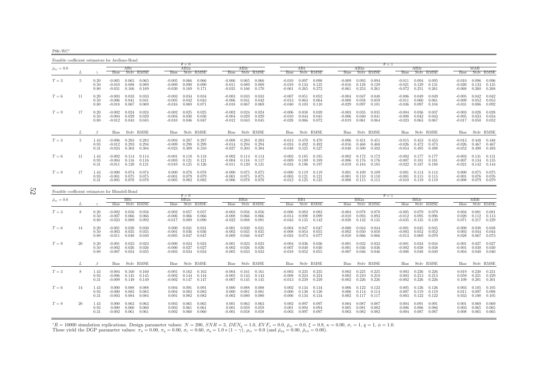P0fc-WC∗

Feasible coefficient estimators for Arellano-Bond $\theta = 0$  $AB2a$  $\theta = 1$ <br>a  $\theta = 1$  $\bar{\rho}_{x\varepsilon}=0.0$  $_{\varepsilon}$  = 0.0  $_{\varepsilon}$   $_{\varepsilon}$   $_{\varepsilon}$   $_{\varepsilon}$   $_{\varepsilon}$   $_{\varepsilon}$   $_{\varepsilon}$   $_{\varepsilon}$   $_{\varepsilon}$   $_{\varepsilon}$   $_{\varepsilon}$   $_{\varepsilon}$   $_{\varepsilon}$   $_{\varepsilon}$   $_{\varepsilon}$   $_{\varepsilon}$   $_{\varepsilon}$   $_{\varepsilon}$   $_{\varepsilon}$   $_{\varepsilon}$   $_{\varepsilon}$   $_{\varepsilon}$   $_{\varepsilon}$ L  $\gamma$  Bias Stdv RMSE Bias Stdv RMSE Bias Stdv RMSE Bias Stdv RMSE Bias Stdv RMSE Bias Stdv RMSE Bias Stdv RMSE0.096  $T=3$  $T=3$   $5$   $0.20$   $-0.005$   $0.065$   $0.065$   $-0.005$   $0.066$   $-0.006$   $0.065$   $0.066$   $-0.010$   $0.097$   $0.098$   $-0.009$   $0.093$   $0.094$   $-0.011$   $0.094$   $0.095$   $-0.010$   $0.096$   $0.096$   $-0.011$   $0.089$   $0.089$   $-0.010$   $0.$ 0.50 -0.010 0.088 0.089 -0.009 0.090 0.090 -0.011 0.089 0.089 -0.019 0.134 0.135 -0.016 0.128 0.129 -0.021 0.129 0.131 -0.020 0.133 0.1350.268 0.80 -0.031 0.166 0.169 -0.030 0.169 0.171 -0.035 0.166 0.170 -0.061 0.265 0.272 -0.061 0.253 0.261 -0.072 0.251 0.261 -0.068 0.260 0.268 $0.042$  $T=6$  $T=6$   $11$   $0.20$   $-0.003$   $0.033$   $-0.003$   $0.034$   $-0.003$   $0.033$   $0.033$   $-0.007$   $0.051$   $0.052$   $-0.004$   $0.047$   $0.048$   $-0.006$   $0.049$   $0.049$   $-0.005$   $0.042$   $0.052$   $0.053$   $0.064$   $-0.008$   $0.064$   $-0.008$   $0$ 0.50 -0.006 0.041 0.041 -0.005 0.042 0.043 -0.006 0.041 0.042 -0.013 0.063 0.064 -0.008 0.058 0.059 -0.011 0.060 0.061 -0.009 0.052 0.0530.086 0.092 0.80 -0.018 0.067 0.069 -0.016 0.069 0.071 -0.018 0.067 0.069 -0.040 0.103 0.110 -0.029 0.097 0.101 -0.036 0.097 0.104 -0.031 0.086 0.0920.028  $T=9$  $T=9 \hspace{1cm} 17 \hspace{1cm} 0.20 \hspace{1cm} 0.004 \hspace{1cm} 0.024 \hspace{1cm} 0.024 \hspace{1cm} 0.025 \hspace{1.25cm} 0.002 \hspace{1cm} 0.025 \hspace{1.25cm} -0.002 \hspace{1cm} 0.024 \hspace{1.25cm} 0.024 \hspace{1.25cm} 0.024 \hspace{1.25cm} 0.024 \hspace{1.25cm} 0.004 \hspace{1.25cm} 0.024 \hspace{1$ 0.50 -0.004 0.029 0.029 -0.030 0.030 -0.004 0.029 0.029 -0.001 0.041 0.045 -0.006 0.040 0.041 0.063 0.043 0.063 0.043 0.063 0.043 0.063 0.043 0.067 0.039 0.063 0.067 0.039 0.067 0.063 0.067 0.063 0.067 0.063 0.063 0.063 0.  $0.050$   $0.052$  $L \qquad \qquad \beta$ Bias Stdv RMSE Bias Stdv RMSE Bias Stdv RMSE Bias Stdv RMSE Bias Stdv RMSE Bias Stdv RMSE Bias Stdv RMSE Bias Stdv RMSE  $-0.013$   $0.448$   $0.448$  $T=3$  $T=3$  5  $1.43$  -0.006 0.283 0.283 -0.003 0.287 -0.008 0.283 0.283 -0.013 0.470 0.470 -0.006 0.451 0.451 -0.015 0.453 0.453 -0.013 0.448 0.448<br>0.93 -0.012 0.293 0.294 -0.009 0.298 0.299 -0.014 0.294 0.294 -0.024 0.492 0.49  $\begin{array}{cccccccccccccccc} 0.93 & -0.012 & 0.293 & 0.294 & -0.009 & 0.298 & 0.299 & -0.014 & 0.294 & 0.294 & -0.024 & 0.492 & 0.492 & -0.016 & 0.468 & 0.468 & 0.468 & -0.026 & 0.473 & -0.026 & 0.467 & 0.467 & 0.467 & 0.467 & 0.467 & 0.467 & 0.467 & 0.467 & 0.467 & 0.467 &$ 0.493 0.31 -0.024 0.303 0.304 -0.023 0.309 0.310 -0.027 0.303 0.304 -0.048 0.525 0.527 -0.048 0.500 0.502 -0.054 0.495 0.498 -0.052 0.490 0.493 $-0.003$   $0.131$   $0.131$  $T=6$  $T=6$   $11$   $1.43$   $-0.002$   $0.114$   $0.114$   $-0.001$   $0.118$   $0.118$   $-0.002$   $0.114$   $0.114$   $-0.003$   $0.185$   $0.185$   $-0.002$   $0.172$   $0.172$   $-0.002$   $0.177$   $0.177$   $-0.003$   $0.131$   $0.131$   $0.131$   $0.131$ 0.93 -0.004 0.116 0.116 -0.003 0.121 0.121 -0.004 0.116 0.117 -0.009 0.189 0.189 -0.006 0.176 0.176 -0.007 0.181 0.181 -0.007 0.134 0.1350.144 0.31 -0.011 0.120 0.121 -0.010 0.125 0.126 -0.011 0.120 0.121 -0.024 0.196 0.197 -0.019 0.184 0.185 -0.022 0.187 0.188 -0.021 0.142 0.1440.075  $T=9$  $T=9 \hspace{1.5mm} 17 \hspace{1.5mm} 1.43 \hspace{1.5mm} 1.000 \hspace{1.5mm} 0.074 \hspace{1.5mm} 0.000 \hspace{1.5mm} 0.078 \hspace{1.5mm} 0.078 \hspace{1.5mm} 0.000 \hspace{1.5mm} 0.075 \hspace{1.5mm} 0.000 \hspace{1.5mm} 0.075 \hspace{1.5mm} 0.000 \hspace{1.5mm} 0.075 \hspace{1.5mm} 0.001 \hspace{1.5mm} 0$ 0.93 -0.001 0.075 0.075 -0.001 0.079 0.079 -0.001 0.075 0.075 -0.003 0.121 0.121 -0.001 0.110 0.110 -0.001 0.115 0.115 -0.001 0.076 0.076 $-0.008$  0.079 0.079  $0.31$   $-0.005$   $0.078$   $0.078$   $-0.005$   $0.082$   $0.082$   $-0.006$   $0.078$   $0.078$   $-0.012$   $0.125$   $0.125$   $-0.008$   $0.115$   $0.115$   $-0.010$   $0.119$   $0.119$ 

| Feasible coefficient estimators for Blundell-Bond |    |                      |                                  |                                  |                         |                                  |                         |                         |                                  |                         |                         |                                  |                          |                         |                                  |                         |                         |                                  |                         |                         |                               |                         |                         |
|---------------------------------------------------|----|----------------------|----------------------------------|----------------------------------|-------------------------|----------------------------------|-------------------------|-------------------------|----------------------------------|-------------------------|-------------------------|----------------------------------|--------------------------|-------------------------|----------------------------------|-------------------------|-------------------------|----------------------------------|-------------------------|-------------------------|-------------------------------|-------------------------|-------------------------|
|                                                   |    |                      |                                  |                                  |                         |                                  | $\theta = 0$            |                         |                                  |                         |                         |                                  |                          |                         |                                  |                         |                         | $\theta = 1$                     |                         |                         |                               |                         |                         |
| $\bar{\rho}_{x\varepsilon}=0.0$                   |    |                      |                                  | BB1                              |                         |                                  | BB2a                    |                         |                                  | BB2c                    |                         |                                  | BB1.                     |                         |                                  | BB2a                    |                         |                                  | BB2c                    |                         |                               | МВВ                     |                         |
|                                                   |    |                      | <b>Bias</b>                      |                                  | Stdy RMSE               | <b>Bias</b>                      |                         | Stdy RMSE               | <b>Bias</b>                      |                         | Stdy RMSE               | <b>Bias</b>                      |                          | Stdy RMSE               | <b>Bias</b>                      |                         | Stdy RMSE               | <b>Bias</b>                      |                         | Stdy RMSE               | <b>Bias</b>                   |                         | Stdy RMSE               |
| $T=3$                                             | 8  | 0.20<br>0.50<br>0.80 | $-0.002$<br>$-0.007$<br>$-0.023$ | 0.056<br>0.066<br>0.089          | 0.056<br>0.066<br>0.092 | $-0.002$<br>$-0.006$<br>$-0.017$ | 0.057<br>0.066<br>0.089 | 0.057<br>0.066<br>0.090 | $-0.003$<br>$-0.008$<br>$-0.022$ | 0.056<br>0.066<br>0.088 | 0.056<br>0.066<br>0.091 | $-0.006$<br>$-0.014$<br>$-0.043$ | 0.082<br>0.098<br>0.135  | 0.082<br>0.099<br>0.142 | $-0.004$<br>$-0.010$<br>$-0.028$ | 0.078<br>0.093<br>0.132 | 0.078<br>0.093<br>0.135 | $-0.005$<br>$-0.012$<br>$-0.035$ | 0.079<br>0.095<br>0.135 | 0.079<br>0.096<br>0.139 | 0.004<br>0.020<br>0.071       | 0.081<br>0.112<br>0.217 | 0.081<br>0.113<br>0.229 |
| $T=6$                                             | 14 | 0.20<br>0.50<br>0.80 | $-0.001$<br>$-0.003$<br>$-0.011$ | 0.030<br>0.035<br>0.048          | 0.030<br>0.035<br>0.049 | 0.000<br>$-0.001$<br>$-0.005$    | 0.031<br>0.036<br>0.047 | 0.031<br>0.036<br>0.047 | $-0.001$<br>$-0.002$<br>$-0.009$ | 0.030<br>0.035<br>0.046 | 0.031<br>0.035<br>0.047 | $-0.004$<br>$-0.008$<br>$-0.024$ | 0.047<br>0.054<br>0.074  | 0.047<br>0.055<br>0.077 | $-0.000$<br>$-0.002$<br>$-0.010$ | 0.044<br>0.050<br>0.066 | 0.044<br>0.050<br>0.066 | $-0.001$<br>$-0.003$<br>$-0.013$ | 0.045<br>0.052<br>0.069 | 0.045<br>0.052<br>0.070 | $-0.000$<br>0.003<br>0.028    | 0.038<br>0.044<br>0.067 | 0.038<br>0.044<br>0.073 |
| $T=9$                                             | 20 | 0.20<br>0.50<br>0.80 | $-0.001$<br>$-0.002$<br>$-0.007$ | 0.023<br>0.026<br>0.034          | 0.023<br>0.026<br>0.035 | $-0.000$<br>$-0.000$<br>$-0.003$ | 0.024<br>0.027<br>0.034 | 0.024<br>0.027<br>0.034 | $-0.001$<br>$-0.002$<br>$-0.005$ | 0.023<br>0.026<br>0.033 | 0.023<br>0.026<br>0.033 | $-0.004$<br>$-0.007$<br>$-0.018$ | 0.036<br>0.040<br>0.052  | 0.036<br>0.040<br>0.055 | $-0.001$<br>$-0.001$<br>$-0.007$ | 0.032<br>0.036<br>0.046 | 0.032<br>0.036<br>0.046 | $-0.001$<br>$-0.002$<br>$-0.008$ | 0.034<br>0.038<br>0.048 | 0.034<br>0.038<br>0.049 | $-0.001$<br>$-0.001$<br>0.004 | 0.027<br>0.030<br>0.040 | 0.027<br>0.030<br>0.040 |
|                                                   |    | R                    | Bias                             |                                  | Stdy RMSE               | Bias                             |                         | Stdy RMSE               |                                  |                         | Bias Stdy RMSE          | Bias                             |                          | Stdy RMSE               |                                  |                         | Bias Stdy RMSE          | Bias                             |                         | Stdy RMSE               | <b>Bias</b>                   |                         | Stdy RMSE               |
| $T=3$                                             |    | 1.43<br>0.93<br>0.31 | $-0.004$<br>$-0.009$             | 0.160<br>$-0.006$ 0.145<br>0.149 | 0.160<br>0.145<br>0.149 | $-0.001$<br>$-0.002$<br>$-0.002$ | 0.162<br>0.144<br>0.147 | 0.162<br>0.144<br>0.147 | $-0.004$<br>$-0.005$<br>$-0.007$ | 0.161<br>0.143<br>0.145 | 0.161<br>0.143<br>0.145 | $-0.003$<br>$-0.008$<br>$-0.013$ | 0.235<br>0.224<br>0.239  | 0.235<br>0.224<br>0.239 | 0.002<br>0.002<br>$-0.002$       | 0.225<br>0.210<br>0.226 | 0.225<br>0.210<br>0.226 | 0.003<br>0.003<br>$-0.002$       | 0.226<br>0.213<br>0.226 | 0.226<br>0.213<br>0.226 | 0.019<br>0.059<br>0.109       | 0.230<br>0.221<br>0.281 | 0.231<br>0.229<br>0.301 |
| $T=6$                                             | 14 | 1.43<br>0.93<br>0.31 | 0.000<br>$-0.000$<br>$-0.003$    | 0.088<br>0.083<br>0.084          | 0.088<br>0.083<br>0.084 | 0.004<br>0.004<br>0.001          | 0.091<br>0.083<br>0.082 | 0.091<br>0.083<br>0.082 | 0.000<br>0.000<br>$-0.002$       | 0.088<br>0.081<br>0.080 | 0.088<br>0.081<br>0.080 | 0.000<br>$-0.006$ 0.134          | $0.002$ $0.134$<br>0.130 | 0.134<br>0.130<br>0.134 | 0.006<br>0.006<br>0.002          | 0.122<br>0.114<br>0.117 | 0.122<br>0.114<br>0.117 | 0.005<br>0.007<br>0.003          | 0.126<br>0.119<br>0.122 | 0.126<br>0.119<br>0.122 | 0.003<br>0.011<br>0.033       | 0.105<br>0.097<br>0.100 | 0.105<br>0.098<br>0.105 |
| $T=9$                                             | 20 | 1.43<br>0.93<br>0.31 | 0.000<br>0.000<br>$-0.002$       | 0.063<br>0.060<br>0.061          | 0.063<br>0.060<br>0.061 | 0.003<br>0.003<br>0.002          | 0.065<br>0.061<br>0.060 | 0.065<br>0.061<br>0.060 | 0.001<br>0.001<br>$-0.001$       | 0.063<br>0.059<br>0.058 | 0.063<br>0.059<br>0.058 | 0.002<br>0.001<br>$-0.003$       | 0.097<br>0.094<br>0.097  | 0.097<br>0.094<br>0.097 | 0.004<br>0.005<br>0.003          | 0.087<br>0.081<br>0.082 | 0.087<br>0.082<br>0.082 | 0.004<br>0.006<br>0.004          | 0.091<br>0.086<br>0.087 | 0.091<br>0.086<br>0.087 | 0.001<br>0.003<br>0.008       | 0.069<br>0.065<br>0.065 | 0.069<br>0.065<br>0.065 |

*\*R* = 10000 simulation replications. Design parameter values:  $N = 200$ ,  $SNR = 3$ ,  $DEN_y = 1.0$ ,  $EVF_x = 0.0$ ,  $\bar{p}_{xz} = 0.0$ ,  $\xi = 0.8$ ,  $\kappa = 0.00$ ,  $\sigma_{\varepsilon} = 1$ ,  $q = 1$ ,  $\phi = 1.0$ .<br>These yield the DGP parameter values:  $\pi$  $*R = 10000$  simulation replications. Design parameter values:  $N = 200$ ,  $SNR = 3$ ,  $DEN_y = 1.0$ ,  $EVF_x = 0.0$ ,  $\bar{p}_{xz} = 0.0$ ,  $\xi = 0.8$ , These yield the DGP parameter values:  $\pi_{\lambda} = 0.00$ ,  $\pi_{\eta} = 0.00$ ,  $\sigma_v = 0.60$ ,  $\sigma_{\eta}$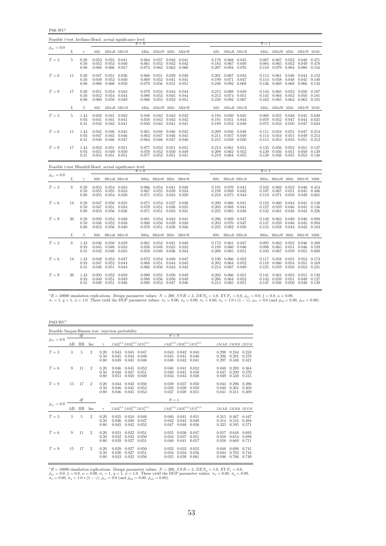P0ft-WC<sup>∗</sup>

| Feasible t-test Arellano-Bond: actual significance level |    |                      |                         |                                                                       |                                |                         |                                                   |                                   |                         |                         |                                                                     |                |                |                                                                               |                         |                                                               |                |
|----------------------------------------------------------|----|----------------------|-------------------------|-----------------------------------------------------------------------|--------------------------------|-------------------------|---------------------------------------------------|-----------------------------------|-------------------------|-------------------------|---------------------------------------------------------------------|----------------|----------------|-------------------------------------------------------------------------------|-------------------------|---------------------------------------------------------------|----------------|
| $\bar{\rho}_{x\varepsilon}=0.0$                          |    |                      |                         |                                                                       |                                | $\theta = 0$            |                                                   |                                   |                         |                         |                                                                     |                | $\theta = 1$   |                                                                               |                         |                                                               |                |
|                                                          | L  | $\gamma$             |                         |                                                                       | AB1 AB1aR AB1cR                |                         |                                                   |                                   | AB2a AB2aW AB2c AB2cW   |                         | AB1 AB1aR AB1cR                                                     |                |                | AB2a AB2aW AB2c AB2cW MAB                                                     |                         |                                                               |                |
| $T=3$                                                    | 5  | 0.20<br>0.50<br>0.80 | 0.053<br>0.052<br>0.068 | $0.055$ $0.041$<br>0.053                                              | 0.040<br>$0.066$ $0.057$       | 0.061<br>0.074          | $0.064$ $0.057$ $0.042$ $0.041$<br>0.052<br>0.062 | 0.042<br>0.062                    | 0.042<br>0.060          | 0.183                   | 0.178 0.068 0.045<br>$0.067$ 0.049<br>0.207 0.094 0.076             |                |                | $0.087$ $0.067$ $0.052$ $0.048$ $0.471$<br>0.084 0.065<br>$0.110 \quad 0.079$ | 0.052<br>0.084          | 0.049<br>$0.080$ $0.516$                                      | 0.478          |
| $T=6$                                                    | 11 | 0.20<br>0.50<br>0.80 | 0.047<br>0.060          | $0.051$ $0.036$<br>$0.049$ $0.052$ $0.040$<br>$0.060$ $0.050$         |                                | 0.068<br>0.069<br>0.079 | 0.051<br>0.052<br>0.056                           | 0.039<br>0.041<br>0.051           | 0.038<br>0.041<br>0.051 | 0.199<br>0.240          | $0.201$ $0.067$ $0.043$<br>0.071<br>$0.092$ 0.068                   | 0.047          | 0.114<br>0.136 | $0.113$ $0.061$<br>0.058<br>0.069                                             | 0.046<br>0.048<br>0.068 | $0.044$ $0.152$<br>$0.045$ 0.140<br>$0.066$ $0.142$           |                |
| $T=9$                                                    | 17 | 0.20<br>0.50<br>0.80 | 0.051<br>0.052<br>0.060 | 0.054 0.043<br>0.054 0.044<br>0.059 0.049                             |                                | 0.079<br>0.080<br>0.086 | 0.055<br>0.053<br>0.055                           | 0.044<br>0.045<br>$0.052$ $0.051$ | 0.044<br>0.044          | 0.213<br>0.238          | $0.215$ $0.069$ $0.049$<br>$0.074$ 0.051<br>$0.092$ 0.067           |                |                | 0.144 0.065<br>$0.145$ 0.064<br>$0.162$ $0.065$ $0.063$                       | 0.052                   | $0.052$ $0.050$ $0.107$<br>$0.050$ $0.101$<br>$0.062$ $0.105$ |                |
|                                                          | L  | B                    | AB1                     |                                                                       | AB1aR AB1cR                    |                         |                                                   |                                   | AB2a AB2aW AB2c AB2cW   | AB1                     | AB1aR AB1cR                                                         |                |                | AB2a AB2aW AB2c AB2cW MAB                                                     |                         |                                                               |                |
| $T=3$                                                    | 5  | 1.43<br>0.93<br>0.31 | 0.042                   | $0.042$ $0.041$ $0.042$<br>$0.041$ $0.041$ $0.041$<br>$0.042$ $0.041$ |                                | 0.050<br>0.050          | $0.048$ $0.042$ $0.043$ $0.042$<br>0.043<br>0.043 | 0.043 0.042<br>0.041              | 0.041                   | 0.189                   | $0.194$ $0.050$ $0.045$<br>$0.191$ $0.051$ $0.044$<br>$0.052$ 0.048 |                | 0.075          | $0.069$ $0.055$ $0.048$ $0.045$ $0.640$<br>$0.070$ $0.052$<br>0.053           | 0.047<br>0.050          | 0.044 0.635<br>$0.047$ 0.624                                  |                |
| $T=6$                                                    | 11 | 1.43<br>0.93<br>0.31 | 0.047                   | $0.045$ $0.046$ $0.045$<br>0.045<br>$0.049$ $0.046$ $0.047$           | 0.046                          | 0.061<br>0.063<br>0.064 | 0.048<br>0.047<br>0.048 0.047                     | 0.046<br>0.046                    | 0.045<br>0.045<br>0.046 | 0.211                   | $0.209$ $0.056$ $0.048$<br>0.057<br>$0.215$ $0.059$ $0.050$         | 0.049          | 0.114          | $0.111 \quad 0.054$<br>0.054<br>$0.115$ $0.053$ $0.053$                       | 0.051<br>0.051          | $0.047$ $0.214$<br>0.049<br>$0.051$ $0.212$                   | 0.213          |
| $T=9$                                                    | 17 | 1.43<br>0.93<br>0.31 | 0.051                   | $0.052$ $0.051$ $0.051$<br>$0.053$ $0.051$ $0.051$                    | 0.049 0.050                    | 0.077<br>0.078          | 0.052<br>0.052<br>$0.077$ $0.052$ $0.051$ $0.051$ | 0.051<br>0.050                    | 0.051<br>0.049          | 0.209                   | $0.213$ $0.061$ $0.051$<br>0.062<br>$0.219$ $0.064$ $0.055$         | 0.052          | 0.135<br>0.139 | 0.056<br>0.056<br>0.139 0.056 0.055                                           | 0.052<br>0.051          | $0.051$ $0.137$<br>0.050<br>$0.053$ $0.140$                   | 0.139          |
| Feasible t-test Blundell-Bond: actual significance level |    |                      |                         |                                                                       |                                | $\theta = 0$            |                                                   |                                   |                         |                         |                                                                     |                | $\theta = 1$   |                                                                               |                         |                                                               |                |
| $\bar{\rho}_{x\varepsilon}=0.0$                          | L  | $\gamma$             |                         |                                                                       | BB1 BB1aR BB1cR                |                         |                                                   |                                   | BB2a BB2aW BB2c BB2cW   |                         | BB1 BB1aR BB1cR                                                     |                |                | BB2a BB2aW BB2c BB2cW MBB                                                     |                         |                                                               |                |
| ${\cal T}=3$                                             | 8  | 0.20<br>0.50<br>0.80 | 0.055<br>0.055          | $0.053$ $0.054$ $0.034$                                               | $0.055$ 0.033<br>$0.054$ 0.030 | 0.066<br>0.067<br>0.071 | $0.054$ $0.041$ $0.038$<br>0.055<br>0.055         | 0.039<br>0.034                    | 0.034<br>0.029          | 0.198<br>0.218          | $0.191$ $0.070$ $0.041$<br>0.069<br>0.075                           | 0.042<br>0.044 | 0.107          | $0.102 \quad 0.069$<br>0.067<br>$0.119$ $0.071$                               | 0.051<br>0.058          | $0.052$ $0.046$ $0.454$<br>0.045<br>0.049                     | 0.486<br>0.601 |
| $T=6$                                                    | 14 | 0.20<br>0.50<br>0.80 | 0.047<br>0.053          | $0.047$ $0.050$ $0.035$<br>0.056                                      | $0.051$ $0.034$<br>0.036       | 0.071<br>0.070<br>0.071 | 0.053<br>0.051<br>0.051                           | 0.037<br>0.036<br>0.033           | 0.036<br>0.035<br>0.031 | 0.200<br>0.203<br>0.225 | $0.066$ $0.041$<br>0.068<br>0.085                                   | 0.041<br>0.048 | 0.127<br>0.132 | $0.124$ 0.060<br>0.059<br>0.061                                               | 0.046<br>0.048          | $0.044$ $0.041$ $0.138$<br>$0.041$ $0.136$<br>$0.043$ 0.226   |                |
| $T=9$                                                    | 20 | 0.20<br>0.50<br>0.80 | 0.050<br>0.048          | 0.052<br>0.053 0.056 0.040                                            | $0.054$ 0.040<br>0.038         | 0.081<br>0.080<br>0.078 | 0.054 0.042<br>0.050<br>$0.051$ 0.038             | 0.039                             | 0.041<br>0.038<br>0.036 | 0.206<br>0.203<br>0.225 | 0.069<br>0.070<br>$0.082$ 0.050                                     | 0.047<br>0.047 | 0.149<br>0.147 | 0.063<br>0.059<br>$0.155$ 0.058                                               | 0.049<br>0.046          | 0.046 0.098<br>0.045<br>$0.044$ $0.042$ $0.103$               | 0.094          |
|                                                          | L  | B                    | BB1                     |                                                                       | BB1aR BB1cR                    |                         |                                                   |                                   | BB2a BB2aW BB2c BB2cW   | BB1                     | BB1aR BB1cR                                                         |                |                | BB2a BB2aW BB2c BB2cW MBB                                                     |                         |                                                               |                |
| $T=3$                                                    | 8  | 1.43<br>0.93<br>0.31 | 0.045<br>0.042          | $0.046$ $0.050$ $0.039$<br>0.048<br>0.048 0.035                       | 0.033                          | 0.061<br>0.056<br>0.058 | 0.052<br>0.048<br>0.048                           | $0.041$ $0.040$<br>0.035<br>0.036 | 0.032<br>0.034          | 0.172<br>0.189<br>0.206 | $0.061$ $0.047$<br>0.060<br>0.065                                   | 0.046<br>0.051 | 0.098<br>0.103 | $0.095$ $0.063$ $0.052$<br>0.065<br>0.067                                     | 0.051<br>0.059          | 0.046 0.489<br>0.046<br>0.055                                 | 0.539<br>0.680 |
| $T=6$                                                    | 14 | 1.43                 | 0.049                   | 0.053 0.047                                                           |                                | 0.072                   | 0.054 0.049                                       |                                   | 0.047                   | 0.190                   | 0.066 0.052                                                         |                |                | $0.117$ $0.058$                                                               | 0.055                   | $0.052$ $0.174$                                               |                |
|                                                          |    | 0.93<br>0.31         | 0.047                   | 0.052<br>$0.048$ $0.051$ $0.044$                                      | 0.044                          | 0.068<br>0.066          | 0.051<br>0.050                                    | 0.044<br>0.043 0.042              | 0.043                   | 0.202                   | 0.064<br>0.214 0.067 0.049                                          | 0.052          | 0.118          | 0.060<br>$0.125$ 0.059                                                        | 0.054<br>0.056          | 0.051<br>$0.052$ $0.231$                                      | 0.169          |

 ${}^{*}R = 10000$  simulation replications. Design parameter values:  $N = 200$ ,  $SNR = 3$ ,  $DEN_y = 1.0$ ,  $EVF_x = 0.0$ ,  $\bar{\rho}_{x\bar{x}} = 0.0$ ,  $\xi = 0.8$ ,  $\kappa = 0.00$ ,<br> $\sigma_{\bar{x}} = 1$ ,  $q = 1$ ,  $\phi = 1.0$ . These yield the DGP parameter values:

P0fJ-WC<sup>∗</sup>

|                                 |    |           |                |                      | Feasible Sargan-Hansen test: rejection probability |                         |                         |                         |                                           |                         |                         |                         |
|---------------------------------|----|-----------|----------------|----------------------|----------------------------------------------------|-------------------------|-------------------------|-------------------------|-------------------------------------------|-------------------------|-------------------------|-------------------------|
|                                 |    | df        |                |                      |                                                    |                         | $\theta = 0$            |                         |                                           |                         |                         |                         |
| $\bar{\rho}_{x\varepsilon}=0.0$ | AВ | <b>BB</b> | Inc            | $\sim$               | $JAB_a^{(2,1)}JBB_a^{(2,1)}JES_a^{(2,1)}$          |                         |                         |                         | $JAB_c^{(2,1)}JBB_c^{(2,1)}JES_c^{(2,1)}$ |                         | JMAB JMBB JESM          |                         |
| $T=3$                           | 3  | 5         | $\overline{2}$ | 0.20<br>0.50<br>0.80 | 0.043<br>0.045<br>0.045<br>0.044<br>0.045<br>0.049 | 0.047<br>0.049<br>0.048 | 0.043<br>0.045<br>0.048 | 0.042<br>0.041<br>0.042 | 0.043<br>0.040<br>0.041                   | 0.298<br>0.296<br>0.297 | 0.244<br>0.291<br>0.438 | 0.233<br>0.278<br>0.421 |
| $T=6$                           | 9  | 11        | $\overline{2}$ | 0.20<br>0.50<br>0.80 | 0.046<br>0.045<br>0.048<br>0.047<br>0.051<br>0.050 | 0.052<br>0.051<br>0.049 | 0.040<br>0.040<br>0.044 | 0.041<br>0.041<br>0.043 | 0.052<br>0.050<br>0.048                   | 0.048<br>0.047<br>0.049 | 0.289<br>0.299<br>0.338 | 0.364<br>0.370<br>0.415 |
| $T=9$                           | 15 | 17        | $\overline{2}$ | 0.20<br>0.50<br>0.80 | 0.043<br>0.042<br>0.046<br>0.043<br>0.046<br>0.045 | 0.050<br>0.053<br>0.053 | 0.039<br>0.038<br>0.037 | 0.037<br>0.038<br>0.039 | 0.050<br>0.050<br>0.051                   | 0.043<br>0.040<br>0.041 | 0.296<br>0.301<br>0.311 | 0.396<br>0.403<br>0.409 |
|                                 |    | df        |                |                      |                                                    |                         | $\theta=1$              |                         |                                           |                         |                         |                         |
| $\bar{\rho}_{x\varepsilon}=0.0$ | AВ | <b>BB</b> | Inc            | $\gamma$             | $JAB_a^{(2,1)}JBB_a^{(2,1)}JES_a^{(2,1)}$          |                         |                         |                         | $JAB_c^{(2,1)}JBB_c^{(2,1)}JES_c^{(2,1)}$ |                         | JMAB JMBB JESM          |                         |
| $T=3$                           | 3  | 5         | $\overline{2}$ | 0.20<br>0.50<br>0.80 | 0.035<br>0.034<br>0.036<br>0.038<br>0.042<br>0.045 | 0.048<br>0.047<br>0.052 | 0.040<br>0.042<br>0.047 | 0.041<br>0.043<br>0.048 | 0.051<br>0.049<br>0.056                   | 0.315<br>0.314<br>0.325 | 0.467<br>0.516<br>0.595 | 0.447<br>0.494<br>0.571 |
| $T=6$                           | 9  | 11        | $\overline{2}$ | 0.20<br>0.50<br>0.80 | 0.031<br>0.032<br>0.032<br>0.033<br>0.039<br>0.037 | 0.051<br>0.050<br>0.051 | 0.035<br>0.034<br>0.040 | 0.036<br>0.037<br>0.041 | 0.047<br>0.051<br>0.057                   | 0.057<br>0.058<br>0.058 | 0.648<br>0.654<br>0.669 | 0.693<br>0.698<br>0.711 |
| $T=9$                           | 15 | 17        | $\overline{2}$ | 0.20<br>0.50<br>0.80 | 0.028<br>0.027<br>0.030<br>0.027<br>0.033<br>0.032 | 0.050<br>0.051<br>0.056 | 0.032<br>0.034<br>0.035 | 0.033<br>0.034<br>0.038 | 0.053<br>0.056<br>0.061                   | 0.048<br>0.044<br>0.046 | 0.698<br>0.702<br>0.706 | 0.741<br>0.744<br>0.749 |

\*R = 10000 simulation replications. Design parameter values:  $N = 200$ ,  $SNR = 3$ ,  $DEN_y = 1.0$ ,  $EVF_x = 0.0$ ,  $\bar{\rho}_{xe} = 0.0$ ,  $\xi = 0.8$ ,  $\kappa = 0.00$ ,  $\sigma_e = 1$ ,  $q = 1$ ,  $\phi = 1.0$ . These yield the DGP parameter values:  $\pi_{\lambda} = 0.$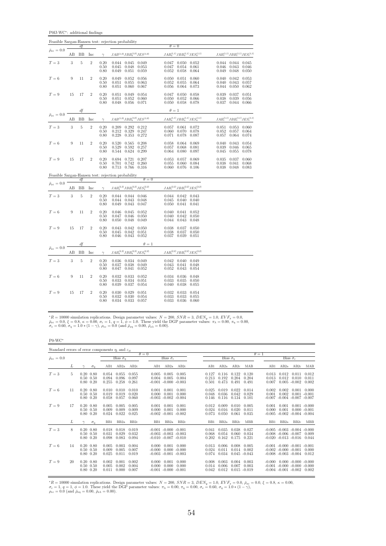P0fJ-WC<sup>∗</sup> : additional findings

|                                 |                  |                |                |                                                     | Feasible Sargan-Hansen test: rejection probability                                              |                                                                                                                       |                                                                                |
|---------------------------------|------------------|----------------|----------------|-----------------------------------------------------|-------------------------------------------------------------------------------------------------|-----------------------------------------------------------------------------------------------------------------------|--------------------------------------------------------------------------------|
| $\bar{\rho}_{x\epsilon}=0.0$    |                  | df             |                |                                                     |                                                                                                 | $\theta = 0$                                                                                                          |                                                                                |
|                                 | AB               | BB             | Inc            | $\gamma$                                            | $JAB^{\left( 1,0\right) }JBB_{a}^{\left( 1,0\right) }JES^{\left( 1,0\right) }$                  | $JAB^{(1,1)}_aJBB^{(1,1)}_aJES^{(1,1)}_a$                                                                             | $JAB_c^{(1,1)}JBB_c^{(1,1)}JES_c^{(1,1)}$                                      |
| $T=3$                           | 3                | $\overline{5}$ | $\overline{2}$ | 0.20<br>0.50<br>0.80                                | 0.044 0.045 0.049<br>0.045<br>0.048<br>0.053<br>0.049<br>0.051<br>0.059                         | 0.050<br>0.047<br>0.052<br>0.047<br>0.054<br>0.061<br>0.052<br>0.058<br>0.064                                         | $0.044$ 0.044<br>0.045<br>0.046<br>0.043<br>0.046<br>0.049<br>0.048<br>0.050   |
| $T=6$                           | 9                | 11             | $\overline{2}$ | 0.20<br>0.50<br>0.80                                | 0.049<br>0.052<br>0.056<br>0.051<br>0.055<br>0.063<br>0.051<br>0.060<br>0.067                   | 0.050<br>0.051<br>0.060<br>0.052<br>0.055<br>0.064<br>0.056<br>0.064<br>0.073                                         | 0.040<br>0.042<br>0.053<br>0.040<br>0.043<br>0.057<br>0.044<br>0.050<br>0.062  |
| $T=9$                           | 15               | 17             | $\overline{2}$ | $0.20\,$<br>0.50<br>0.80                            | 0.051<br>0.049<br>0.054<br>0.052<br>0.060<br>0.051<br>0.056<br>0.048<br>0.071                   | 0.047<br>0.050<br>0.058<br>0.050<br>0.052<br>0.066<br>0.050<br>0.058<br>0.078                                         | 0.039<br>0.037<br>0.051<br>0.038<br>0.039<br>0.056<br>$0.037$ 0.044<br>0.066   |
| $\bar{\rho}_{x\varepsilon}=0.0$ |                  | df             |                |                                                     |                                                                                                 | $\theta = 1$                                                                                                          |                                                                                |
|                                 | AB               | BB             | Inc            | $\gamma$                                            | $JAB^{\left( 1,0\right) }JBB_{a}^{\left( 1,0\right) }JES^{\left( 1,0\right) }$                  | $JAB_a^{(1,1)}JBB_a^{(1,1)}JES_a^{(1,1)}$                                                                             | $JAB_c^{(1,1)}JBB_c^{(1,1)}JES_c^{(1,1)}$                                      |
| $T=3$                           | $\boldsymbol{3}$ | $\sqrt{5}$     | $\sqrt{2}$     | 0.20<br>0.50<br>0.80                                | $0.292$ $0.212$<br>0.209<br>$\frac{0.329}{0.353}$<br>0.247<br>0.212<br>0.272<br>0.228           | 0.057<br>$0.061$ $0.072$<br>$\!\!\!\begin{array}{c}0.060\\0.071\end{array}\!\!\!$<br>0.078<br>0.070<br>0.078<br>0.087 | $0.051$ $0.053$<br>0.060<br>0.052<br>0.057<br>0.064<br>0.057<br>0.064<br>0.074 |
| $T=6$                           | 9                | 11             | $\overline{2}$ | 0.20<br>0.50<br>0.80                                | 0.565<br>0.520<br>0.208<br>0.529<br>0.592<br>0.257<br>0.624<br>0.544<br>0.299                   | 0.058<br>0.064<br>0.069<br>0.057<br>0.081<br>0.068<br>0.064<br>0.080<br>0.097                                         | 0.043<br>0.040<br>0.054<br>0.039<br>0.046<br>0.065<br>0.045<br>0.055<br>0.078  |
| $T=9$                           | 15               | 17             | $\overline{2}$ | 0.20<br>0.50<br>0.80                                | 0.721<br>0.694<br>0.207<br>0.260<br>0.701<br>0.742<br>0.713<br>0.766<br>0.316                   | 0.053<br>0.057<br>0.069<br>0.055<br>0.084<br>0.060<br>0.060<br>0.076<br>0.106                                         | 0.035<br>0.037<br>0.060<br>0.038<br>0.041<br>0.068<br>0.038<br>0.048<br>0.083  |
|                                 |                  |                |                |                                                     | Feasible Sargan-Hansen test: rejection probability<br>$\theta = 0$                              |                                                                                                                       |                                                                                |
| $\bar{\rho}_{x\varepsilon}=0.0$ | AВ               | df<br>BB       | Inc            | $\gamma$                                            | $JAB_a^{(2,2)}JBB_a^{(2,2)}JES_a^{(2,2)} \qquad \qquad JAB_c^{(2,2)}JBB_c^{(2,2)}JES_c^{(2,2)}$ |                                                                                                                       |                                                                                |
| ${\cal T}=3$                    | $\boldsymbol{3}$ | $\overline{5}$ | $\,2$          | 0.20<br>0.50<br>0.80                                | $0.044$ $0.044$ $0.046$<br>0.048<br>0.044<br>0.043<br>0.043<br>0.049<br>0.047                   | 0.044<br>$0.042$ 0.043<br>0.045<br>0.040<br>0.040<br>0.050<br>0.041<br>0.041                                          |                                                                                |
| $T=6$                           | 9                | 11             | $\overline{2}$ | 0.20<br>0.50<br>0.80                                | 0.046<br>0.045<br>0.052<br>0.050<br>0.047<br>0.046<br>0.050<br>0.048<br>0.049                   | 0.041<br>0.040<br>0.052<br>0.040<br>0.042<br>0.050<br>0.044<br>0.043<br>0.048                                         |                                                                                |
| $T=9$                           | 15               | 17             | $\,2$          | $\begin{array}{c} 0.20 \\ 0.50 \end{array}$<br>0.80 | 0.043<br>$0.042$ 0.050<br>0.042<br>0.051<br>0.045<br>0.043<br>0.052<br>0.046                    | $\begin{array}{c} 0.038 \\ 0.038 \\ 0.037 \end{array}$<br>0.037<br>0.050<br>0.037<br>0.050<br>0.039<br>0.051          |                                                                                |
| $\bar{\rho}_{x\varepsilon}=0.0$ |                  | df             |                |                                                     | $\theta=1$                                                                                      |                                                                                                                       |                                                                                |
|                                 | AВ               | BB             | Inc            | $\gamma$                                            | $JAB_{a}^{\left( 2,2\right) }JBB_{a}^{\left( 2,2\right) }JES_{a}^{\left( 2,2\right) }$          | $JAB_c^{(2,2)}JBB_c^{(2,2)}JES_c^{(2,2)}$                                                                             |                                                                                |
| $T = 3$                         | 3                | $\overline{5}$ | $\overline{2}$ | 0.20<br>0.50<br>0.80                                | 0.036<br>0.034 0.049<br>0.038<br>0.049<br>0.037<br>0.047<br>0.041<br>0.052                      | $0.040 \quad 0.049$<br>0.042<br>0.043<br>0.041<br>0.048<br>0.052<br>0.043<br>0.054                                    |                                                                                |
| $T=6$                           | 9                | 11             | $\overline{2}$ | 0.20<br>0.50<br>0.80                                | 0.032<br>0.033<br>0.052<br>0.033<br>0.034<br>0.051<br>$0.037\,$<br>0.039<br>0.054               | 0.036<br>0.048<br>0.034<br>0.033<br>0.035<br>0.050<br>0.040<br>0.038<br>0.055                                         |                                                                                |
| $T=9$                           | 15               | 17             | $\overline{2}$ | 0.20<br>0.50<br>0.80                                | 0.030<br>0.029<br>0.051<br>0.032<br>0.030<br>0.054<br>0.033<br>0.034<br>0.057                   | 0.033<br>0.032<br>0.054<br>0.033<br>0.033<br>0.055<br>0.033<br>0.036<br>0.060                                         |                                                                                |

 ${}^*R = 10000$  simulation replications. Design parameter values:  $N = 200$ ,  $SNR = 3$ ,  $DEN_y = 1.0$ ,  $EVF_x = 0.0$ ,  $\bar{\rho}_{xe} = 0.0$ ,  $\xi = 0.8$ ,  $\kappa = 0.00$ ,  $\sigma_e = 1$ ,  $q = 1$ ,  $\phi = 1.0$ . These yield the DGP parameter values:  $\pi_{\lambda} =$ 

 $\rm P0\text{-}WC^*$ 

|                                   |    | Standard errors of error components $\eta_i$ and $\varepsilon_{it}$ |                         |                         |                         |                                                                                  |                                            |                          |                         |                         |                                   |                            |                            |                                                                                                         |                                     |                                    |
|-----------------------------------|----|---------------------------------------------------------------------|-------------------------|-------------------------|-------------------------|----------------------------------------------------------------------------------|--------------------------------------------|--------------------------|-------------------------|-------------------------|-----------------------------------|----------------------------|----------------------------|---------------------------------------------------------------------------------------------------------|-------------------------------------|------------------------------------|
| $\bar{\rho}_{x\varepsilon} = 0.0$ |    |                                                                     |                         | Bias $\sigma_n$         |                         | $\theta = 0$                                                                     | Bias $\hat{\sigma}_{\varepsilon}$          |                          |                         | Bias $\hat{\sigma}_n$   |                                   |                            | $\theta = 1$               |                                                                                                         | Bias $\hat{\sigma}_\varepsilon$     |                                    |
|                                   | L  | $\sigma_n$                                                          | AB1                     | AB2a                    | AB2c                    | AB1                                                                              | AB2a                                       | AB2c                     | AB1                     | AB2a                    | AB2c                              | MAB                        | AB1                        | AB2a                                                                                                    | AB2c                                | MAB                                |
| $T=3$                             | 5. | $0.20\ 0.80$<br>$0.50 \quad 0.50$<br>$0.80 \quad 0.20$              | 0.054<br>0.094<br>0.255 | 0.055<br>0.096<br>0.258 | 0.055<br>0.097<br>0.261 | 0.005<br>0.004                                                                   | 0.005<br>0.005<br>$-0.001 - 0.000 - 0.003$ | 0.005<br>0.004           | 0.127<br>0.213<br>0.501 | 0.116<br>0.192<br>0.473 | 0.122<br>0.204<br>0.491           | 0.120<br>0.204<br>0.491    | 0.013<br>0.013<br>0.007    | 0.012<br>0.012                                                                                          | 0.011<br>0.010<br>$0.005 - 0.002$   | 0.012<br>0.011<br>0.002            |
| $T=6$                             | 11 | $0.20\ 0.80$<br>$0.50 \quad 0.50$<br>$0.80\ 0.20$                   | 0.010<br>0.019<br>0.058 | 0.010<br>0.019<br>0.057 | 0.010<br>0.020<br>0.060 | 0.001<br>0.000<br>$-0.003 - 0.002 - 0.004$                                       | 0.001<br>0.001                             | 0.001<br>0.000           | 0.025<br>0.048<br>0.146 | 0.019<br>0.036<br>0.116 | 0.022<br>0.042<br>0.134           | 0.014<br>0.029<br>0.101    | 0.002<br>0.001<br>$-0.007$ | 0.002<br>0.002                                                                                          | 0.001<br>$-0.004$ $-0.007$ $-0.007$ | 0.000<br>$0.001 - 0.001$           |
| $T=9$                             | 17 | $0.20\ 0.80$<br>$0.50 \quad 0.50$<br>$0.80\ 0.20$                   | 0.005<br>0.009<br>0.024 | 0.005<br>0.009<br>0.022 | 0.005<br>0.009<br>0.025 | 0.001<br>0.000<br>$-0.002 - 0.001 - 0.002$                                       | 0.001<br>0.001                             | 0.001<br>0.000           | 0.012<br>0.024<br>0.073 | 0.009<br>0.016<br>0.050 | 0.010<br>0.020<br>0.061           | 0.005<br>0.011<br>0.035    | 0.001<br>0.000<br>$-0.005$ | 0.001<br>0.001                                                                                          | $-0.002$ $-0.004$ $-0.004$          | $0.001 - 0.000$<br>$0.000 - 0.001$ |
|                                   | L  | $\sigma_n$                                                          | B <sub>B1</sub>         | BB <sub>2a</sub>        | BB <sub>2c</sub>        | B <sub>B1</sub>                                                                  | BB <sub>2a</sub>                           | BB2c                     | B <sub>B1</sub>         | BB <sub>2a</sub>        | BB <sub>2c</sub>                  | <b>MBB</b>                 | B <sub>B1</sub>            | BB <sub>2a</sub>                                                                                        | BB <sub>2c</sub>                    | <b>MBB</b>                         |
| $T=3$                             | 8  | $0.20\ 0.80$<br>$0.50 \quad 0.50$<br>$0.80 \quad 0.20$              | 0.018<br>0.031<br>0.098 | 0.018<br>0.029<br>0.083 | 0.019<br>0.032<br>0.094 | $-0.001 - 0.000 - 0.001$<br>$-0.003 - 0.003 - 0.003$<br>$-0.010 - 0.007 - 0.010$ |                                            |                          | 0.041<br>0.068<br>0.202 | 0.035<br>0.054<br>0.162 | 0.038<br>0.060<br>0.175           | 0.027<br>0.034<br>0.221    |                            | $-0.005$ $-0.003$ $-0.004$ $-0.000$<br>$-0.008$ $-0.006$ $-0.007$<br>$-0.020$ $-0.013$ $-0.016$ $0.044$ |                                     | 0.009                              |
| $T=6$                             | 14 | $0.20\ 0.80$<br>$0.50 \quad 0.50$<br>$0.80\ 0.20$                   | 0.005<br>0.009<br>0.025 | 0.003<br>0.005<br>0.011 | 0.004<br>0.007<br>0.019 | 0.000<br>$-0.000$<br>$-0.003 - 0.001 - 0.003$                                    | 0.001                                      | 0.000<br>$0.000 - 0.000$ | 0.013<br>0.024<br>0.074 | 0.006<br>0.011<br>0.034 | 0.008<br>0.014<br>$0.045 - 0.043$ | 0.005<br>0.002             |                            | $-0.001$ $-0.000$ $-0.001$ $-0.001$<br>$-0.002 - 0.000 - 0.001$<br>$-0.008$ $-0.003$ $-0.004$           |                                     | 0.000<br>0.012                     |
| $T=9$                             | 20 | $0.20\ 0.80$<br>$0.50 \quad 0.50$<br>$0.80\ 0.20$                   | 0.002<br>0.005<br>0.011 | 0.001<br>0.002<br>0.000 | 0.002<br>0.004<br>0.007 | 0.000<br>0.000<br>$-0.001 - 0.000 - 0.001$                                       | 0.001<br>0.000                             | 0.000<br>0.000           | 0.008<br>0.014<br>0.042 | 0.003<br>0.006<br>0.012 | 0.004<br>0.007<br>0.015           | 0.003<br>0.003<br>$-0.019$ | $-0.000$                   | $-0.001$ $-0.000$ $-0.000$ $-0.000$<br>$-0.004$ $-0.001$ $-0.002$                                       | $0.000 - 0.000 - 0.000$             | 0.002                              |

 ${}^*R = 10000$  simulation replications. Design parameter values:  $N = 200$ ,  $SNR = 3$ ,  $DEN_y = 1.0$ ,  $EVF_x = 0.0$ ,  $\bar{\rho}_{x\bar{z}} = 0.0$ ,  $\xi = 0.8$ ,  $\kappa = 0.00$ ,<br>  $\sigma_{\varepsilon} = 1$ ,  $q = 1$ ,  $\phi = 1.0$ . These yield the DGP parameter values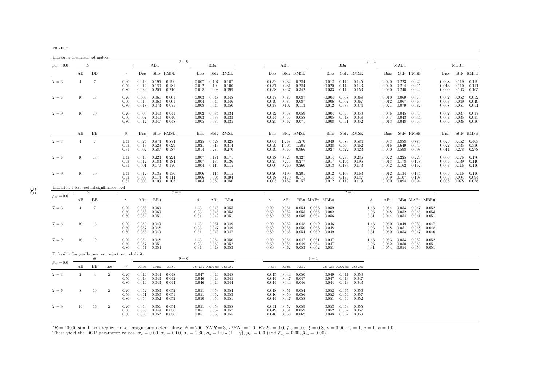| $P0u$ -EC |
|-----------|
|           |

| Unfeasible coefficient estimators                    |                |                |                |                      |                                  |                         |                                   |                                  |                         |                                   |                                  |                                   |                         |                         |                                  |                                         |                         |                      |                                  |                         |                         |                         |                                  |                                 |                         |
|------------------------------------------------------|----------------|----------------|----------------|----------------------|----------------------------------|-------------------------|-----------------------------------|----------------------------------|-------------------------|-----------------------------------|----------------------------------|-----------------------------------|-------------------------|-------------------------|----------------------------------|-----------------------------------------|-------------------------|----------------------|----------------------------------|-------------------------|-------------------------|-------------------------|----------------------------------|---------------------------------|-------------------------|
| $\bar{\rho}_{x\varepsilon}=0.0$                      |                | L              |                |                      |                                  | ABu                     |                                   | $\theta = 0$                     | BBu                     |                                   |                                  | ABu                               |                         |                         |                                  | BBu                                     |                         | $\theta = 1$         |                                  | MABu                    |                         |                         |                                  | MBBu                            |                         |
|                                                      | AВ             | BB             |                | $\gamma$             | Bias                             |                         | Stdy RMSE                         | Bias                             |                         | Stdy RMSE                         | Bias                             |                                   | Stdy RMSE               |                         | Bias                             |                                         | Stdy RMSE               |                      | Bias                             |                         | Stdy RMSE               |                         | Bias                             |                                 | Stdy RMSE               |
| $T=3$                                                | $\overline{4}$ | $\tau$         |                | 0.20<br>0.50<br>0.80 | $-0.013$<br>$-0.014$<br>$-0.022$ | 0.180<br>0.209          | $0.196$ $0.196$<br>0.181<br>0.210 | $-0.007$<br>$-0.012$<br>$-0.018$ | 0.100<br>0.098          | $0.107$ $0.107$<br>0.100<br>0.099 | $-0.032$<br>$-0.037$<br>$-0.058$ | 0.282<br>0.281<br>0.337           | 0.284<br>0.284<br>0.342 |                         | $-0.012$<br>$-0.020$             | 0.144<br>0.142<br>$-0.033$ 0.149        | 0.145<br>0.143<br>0.153 |                      | $-0.020$<br>$-0.020$<br>$-0.030$ | 0.223<br>0.214<br>0.240 | 0.224<br>0.215<br>0.242 |                         | $-0.008$<br>$-0.013$<br>$-0.020$ | 0.119<br>0.110<br>0.103         | 0.119<br>0.111<br>0.105 |
| $T=6$                                                | 10             | 13             |                | 0.20<br>0.50<br>0.80 | $-0.009$<br>$-0.010$<br>$-0.018$ | 0.061<br>0.060<br>0.073 | 0.061<br>0.061<br>0.075           | $-0.003$<br>$-0.004$<br>$-0.008$ | 0.048<br>0.046<br>0.049 | 0.048<br>0.046<br>0.050           | $-0.017$<br>$-0.019$<br>$-0.037$ | 0.086<br>0.085<br>0.107           | 0.087<br>0.087<br>0.113 |                         | $-0.004$<br>$-0.006$<br>$-0.012$ | 0.068<br>0.067<br>0.073                 | 0.068<br>0.067<br>0.074 |                      | $-0.010$<br>$-0.012$<br>$-0.021$ | 0.069<br>0.067<br>0.079 | 0.070<br>0.069<br>0.082 |                         | $-0.002$<br>$-0.003$<br>$-0.008$ | 0.052<br>0.049<br>0.051         | 0.052<br>0.049<br>0.051 |
| $T=9$                                                | 16             | 19             |                | 0.20<br>0.50<br>0.80 | $-0.006$<br>$-0.007$<br>$-0.012$ | 0.040<br>0.040<br>0.047 | 0.041<br>0.040<br>0.048           | $-0.002$<br>$-0.003$<br>$-0.005$ | 0.034<br>0.033<br>0.035 | 0.034<br>0.033<br>0.035           | $-0.012$<br>$-0.014$<br>$-0.025$ | 0.058<br>0.056<br>0.067           | 0.059<br>0.058<br>0.071 |                         | $-0.004$<br>$-0.005$<br>$-0.008$ | 0.050<br>0.048<br>0.051                 | 0.050<br>0.048<br>0.052 |                      | $-0.006$<br>$-0.007$<br>$-0.013$ | 0.045<br>0.043<br>0.048 | 0.045<br>0.044<br>0.050 |                         | $-0.002$<br>$-0.003$<br>$-0.005$ | 0.037<br>0.035<br>0.036         | 0.037<br>0.035<br>0.036 |
|                                                      | AВ             | BB             |                | $\beta$              | Bias                             |                         | Stdy RMSE                         | Bias                             |                         | Stdy RMSE                         | Bias                             |                                   | Stdy RMSE               |                         | Bias                             |                                         | Stdy RMSE               |                      | Bias                             |                         | Stdy RMSE               |                         | Bias                             |                                 | Stdy RMSE               |
| $T=3$                                                | $\overline{4}$ | 7              |                | 1.43<br>0.93<br>0.31 | 0.024<br>0.013<br>0.002          | 0.874<br>0.629<br>0.587 | 0.874<br>0.629<br>0.587           | 0.025<br>0.021<br>0.014          | 0.428<br>0.313<br>0.270 | 0.428<br>0.314<br>0.270           | 0.064<br>0.059<br>0.019          | 1.268<br>1.504<br>0.966           | 1.270<br>1.505<br>0.966 |                         | 0.040<br>0.038<br>0.027          | 0.583<br>0.460<br>0.422                 | 0.584<br>0.462<br>0.423 |                      | 0.033<br>0.016<br>0.000          | 0.888<br>0.649<br>0.598 | 0.889<br>0.649<br>0.598 |                         | 0.025<br>0.022                   | 0.462<br>0.335<br>$0.014$ 0.278 | 0.463<br>0.336<br>0.278 |
| $T=6$                                                | 10             | 13             |                | 1.43<br>0.93<br>0.31 | 0.019<br>0.012<br>$-0.001$       | 0.224<br>0.183<br>0.170 | 0.224<br>0.184<br>0.170           | 0.007<br>0.007<br>0.004          | 0.171<br>0.136<br>0.115 | 0.171<br>0.136<br>0.115           | 0.038<br>0.025<br>0.000          | 0.325<br>0.276<br>0.260           | 0.327<br>0.277<br>0.260 |                         | 0.017<br>0.013                   | $0.014$ 0.235<br>0.194<br>0.173         | 0.236<br>0.195<br>0.173 |                      | 0.022<br>0.013<br>$-0.002$       | 0.225<br>0.178<br>0.162 | 0.226<br>0.178<br>0.162 |                         | 0.006<br>0.005<br>0.003          | 0.176<br>0.139<br>0.116         | 0.176<br>0.140<br>0.116 |
| $T=9$                                                | 16             | 19             |                | 1.43<br>0.93<br>0.31 | 0.012<br>0.009<br>0.000          | 0.135<br>0.114<br>0.103 | 0.136<br>0.114<br>0.103           | 0.006<br>0.006<br>0.004          | 0.114<br>0.094<br>0.080 | 0.115<br>0.094<br>0.080           | 0.026<br>0.018<br>0.003          | 0.199<br>0.170<br>0.157           | 0.201<br>0.171<br>0.157 |                         | 0.012                            | 0.163<br>$0.014$ 0.136<br>$0.012$ 0.119 | 0.163<br>0.137<br>0.119 |                      | 0.012<br>0.009<br>0.000          | 0.134<br>0.107<br>0.094 | 0.134<br>0.108<br>0.094 |                         | 0.005<br>0.005                   | 0.116<br>0.094<br>$0.003$ 0.078 | 0.116<br>0.094<br>0.078 |
| Unfeasible t-test: actual significance level         |                | L              |                |                      |                                  |                         | $\theta = 0$                      |                                  |                         |                                   |                                  |                                   |                         |                         |                                  | $\theta = 1$                            |                         |                      |                                  |                         |                         |                         |                                  |                                 |                         |
| $\bar{\rho}_{x\varepsilon}=0.0$                      | AВ             | BB             |                | $\gamma$             | ABu                              | BBu                     |                                   | $\beta$                          | ABu                     | BBu                               | $\gamma$                         | ABu                               |                         |                         | BBu MABu MBBu                    |                                         |                         | β                    | ABu                              |                         |                         | BBu MABu MBBu           |                                  |                                 |                         |
| $T=3$                                                | 4              | 7              |                | 0.20<br>0.50<br>0.80 | 0.053<br>0.053<br>0.054          | 0.063<br>0.060<br>0.051 |                                   | 1.43<br>0.93<br>0.31             | 0.046<br>0.045<br>0.042 | 0.055<br>0.053<br>0.051           | 0.20<br>0.50<br>0.80             | 0.051<br>0.052<br>0.055           | 0.054<br>0.055<br>0.056 | 0.053<br>0.055<br>0.054 | 0.059<br>0.062<br>0.056          |                                         |                         | 1.43<br>0.93<br>0.31 | 0.054<br>0.048<br>0.044          | 0.053<br>0.052<br>0.054 | 0.047<br>0.046<br>0.041 | 0.052<br>0.053<br>0.051 |                                  |                                 |                         |
| $T=6$                                                | 10             | 13             |                | 0.20<br>0.50<br>0.80 | 0.050<br>0.057<br>0.056          | 0.049<br>0.048<br>0.049 |                                   | 1.43<br>0.93<br>0.31             | 0.051<br>0.047<br>0.046 | 0.049<br>0.049<br>0.047           | 0.20<br>0.50<br>0.80             | 0.052<br>0.055<br>0.065           | 0.048<br>0.050<br>0.054 | 0.049<br>0.053<br>0.059 | 0.046<br>0.048<br>0.049          |                                         |                         | 1.43<br>0.93<br>0.31 | 0.050<br>0.048<br>0.050          | 0.049<br>0.051<br>0.053 | 0.050<br>0.048<br>0.047 | 0.047<br>0.048<br>0.046 |                                  |                                 |                         |
| $T=9$                                                | -16            | 19             |                | 0.20<br>0.50<br>0.80 | 0.054<br>0.057<br>0.057          | 0.048<br>0.051<br>0.054 |                                   | 1.43<br>0.93<br>0.31             | 0.054<br>0.050<br>0.048 | 0.050<br>0.052<br>0.053           | 0.20<br>0.50<br>0.80             | 0.054<br>0.055<br>0.062           | 0.047<br>0.049<br>0.053 | 0.051<br>0.054<br>0.062 | 0.047<br>0.047<br>0.051          |                                         |                         | 1.43<br>0.93<br>0.31 | 0.053<br>0.052<br>0.054          | 0.053<br>0.050<br>0.054 | 0.052<br>0.050<br>0.050 | 0.052<br>0.051<br>0.051 |                                  |                                 |                         |
| Unfeasible Sargan-Hansen test: rejection probability |                | dt             |                |                      |                                  |                         |                                   | $\theta = 0$                     |                         |                                   |                                  |                                   |                         | $\theta = 1$            |                                  |                                         |                         |                      |                                  |                         |                         |                         |                                  |                                 |                         |
| $\bar{\rho}_{x\varepsilon}=0.0$                      | AВ             | ΒB             | Inc            | $\gamma$             | JABu                             | JBBu                    | JESu                              |                                  |                         | JMABu JMMBu JESMu                 | JABu                             | JBBu                              | JESu                    |                         | $JMABu$ $JMMBu$ $JESMu$          |                                         |                         |                      |                                  |                         |                         |                         |                                  |                                 |                         |
| $T=3$                                                | $\overline{2}$ | $\overline{4}$ | $\overline{2}$ | 0.20<br>0.50<br>0.80 | 0.044<br>0.043<br>0.044          | 0.044<br>0.043<br>0.043 | 0.048<br>0.042<br>0.044           | 0.047<br>0.046<br>0.046          | 0.046<br>0.043<br>0.044 | 0.048<br>0.045<br>0.044           | 0.045<br>0.044<br>0.044          | 0.044<br>0.047<br>0.044           | 0.050<br>0.047<br>0.046 |                         | 0.047<br>0.044                   | $0.049$ 0.047<br>0.043<br>0.043         | 0.050<br>0.047<br>0.043 |                      |                                  |                         |                         |                         |                                  |                                 |                         |
| $T=6$                                                | 8              | 10             | 2              | 0.20<br>0.50<br>0.80 | 0.052<br>0.051<br>0.050          | 0.053<br>0.050<br>0.052 | 0.052<br>0.051<br>0.052           | 0.051<br>0.051<br>0.050          | 0.053<br>0.052<br>0.054 | 0.054<br>0.053<br>0.051           | 0.048<br>0.046<br>0.044          | 0.051<br>0.050<br>0.047           | 0.054<br>0.056<br>0.058 |                         | 0.052<br>0.052<br>0.051          | 0.055<br>0.054<br>0.054                 | 0.056<br>0.057<br>0.052 |                      |                                  |                         |                         |                         |                                  |                                 |                         |
| $T=9$                                                | 14             | 16             | $\overline{2}$ | 0.20<br>0.50<br>0.80 | 0.050<br>0.053<br>0.050          | 0.051<br>0.049<br>0.052 | 0.054<br>0.056<br>0.056           | 0.051<br>0.051<br>0.051          | 0.053<br>0.052<br>0.053 | 0.058<br>0.057<br>0.055           | 0.051<br>0.049                   | 0.052<br>0.051<br>$0.046$ $0.050$ | 0.059<br>0.059<br>0.062 |                         | 0.053<br>0.052                   | 0.053<br>0.052<br>$0.048$ 0.052         | 0.055<br>0.057<br>0.058 |                      |                                  |                         |                         |                         |                                  |                                 |                         |

 ${}^*R = 10000$  simulation replications. Design parameter values:  $N = 200$ ,  $SNR = 3$ ,  $DEN_y = 1.0$ ,  $EVF_x = 0.0$ ,  $\bar{p}_{xz} = 0.0$ ,  $\xi = 0.8$ ,  $\kappa = 0.00$ ,  $\sigma_{\varepsilon} = 1$ ,  $q = 1$ ,  $\phi = 1.0$ .<br>These yield the DGP parameter values:  $\pi$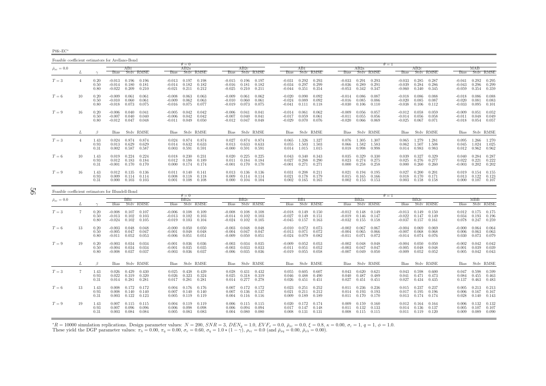P0fc-EC∗

Feasible coefficient estimators for Arellano-Bond $\theta = 0$  $AB2a$  $\theta = 1$ <br>a  $\theta = 1$  $\bar{\rho}_{x\varepsilon}=0.0$  $_{\varepsilon}$  = 0.0  $_{\varepsilon}$   $_{\varepsilon}$   $_{\varepsilon}$   $_{\varepsilon}$   $_{\varepsilon}$   $_{\varepsilon}$   $_{\varepsilon}$   $_{\varepsilon}$   $_{\varepsilon}$   $_{\varepsilon}$   $_{\varepsilon}$   $_{\varepsilon}$   $_{\varepsilon}$   $_{\varepsilon}$   $_{\varepsilon}$   $_{\varepsilon}$   $_{\varepsilon}$   $_{\varepsilon}$   $_{\varepsilon}$   $_{\varepsilon}$   $_{\varepsilon}$   $_{\varepsilon}$   $_{\varepsilon}$ L  $\gamma$  Bias Stdv RMSE Bias Stdv RMSE Bias Stdv RMSE Bias Stdv RMSE Bias Stdv RMSE Bias Stdv RMSE Bias Stdv RMSE $-0.041$   $0.292$   $0.295$  $T=3$  $T=3$   $4$   $0.20$   $-0.013$   $0.196$   $0.196$   $-0.013$   $0.197$   $0.198$   $-0.015$   $0.196$   $0.197$   $-0.031$   $0.292$   $0.293$   $-0.033$   $0.291$   $0.293$   $-0.033$   $0.285$   $0.287$   $-0.041$   $0.292$   $0.295$   $0.299$   $-0.036$   $0.289$   $0.2$  $0.50$   $-0.014$   $0.180$   $0.181$   $-0.014$   $0.182$   $0.182$   $-0.016$   $0.181$   $0.182$   $-0.034$   $0.297$   $0.299$   $-0.036$   $0.289$   $0.289$   $0.291$   $-0.039$   $0.284$   $0.286$   $-0.043$   $0.296$   $0.299$ 0.359 0.80 -0.022 0.209 0.210 -0.021 0.211 0.212 -0.025 0.210 0.211 -0.044 0.351 0.354 -0.053 0.342 0.347 -0.060 0.340 0.345 -0.059 0.354 0.3590.088  $T=6$  $T=6$   $10$   $0.20$   $-0.009$   $0.061$   $0.061$   $-0.008$   $0.063$   $-0.009$   $0.061$   $0.062$   $-0.020$   $0.090$   $0.092$   $-0.014$   $0.086$   $0.087$   $-0.018$   $0.086$   $-0.018$   $0.088$   $-0.018$   $0.086$   $0.088$   $-0.018$   $0.086$   $0.086$   $0$ 0.50 -0.010 0.060 0.061 -0.009 0.062 0.063 -0.010 0.060 0.061 -0.024 0.089 0.092 -0.016 0.085 0.086 -0.020 0.085 0.087 -0.020 0.081 0.083 $0.095$   $0.101$  $0.80$   $-0.018$   $0.073$   $0.075$   $-0.016$   $0.075$   $0.077$   $-0.019$   $0.073$   $0.075$   $-0.041$   $0.111$   $0.118$   $-0.030$   $0.106$   $0.110$   $-0.038$   $0.106$   $0.112$   $-0.033$  $0.051$   $0.052$  $T=9$  $T=9 \hskip 1.0in \hskip 1.0in 0.20 \hskip 1.0in 0.040 \hskip 1.0in 0.041 \hskip 1.0in -0.005 \hskip 1.0in 0.042 \hskip 1.0in 0.042 \hskip 1.0in -0.006 \hskip 1.0in 0.041 \hskip 1.0in 0.041 \hskip 1.0in -0.014 \hskip 1.0in 0.061 \hskip 1.0in 0.061 \hskip 1.0in 0.061 \hskip 1.0in 0.061 \hskip 1.0in 0.062$ 0.50 -0.004 0.040 -0.006 0.042 0.044 0.040 0.041 -0.012 0.060 0.061 -0.011 0.055 0.066 0.069 0.041 0.048 0.049<br>0.80 -0.012 0.047 0.043 -0.011 0.049 0.050 -0.012 0.047 0.048 -0.029 0.070 0.076 -0.020 0.066 0.069 -0.025 0.06  $-0.011$   $0.048$   $0.049$ <br> $-0.018$   $0.054$   $0.057$  $L \qquad \qquad \beta$ Bias Stdv RMSE Bias Stdv RMSE Bias Stdv RMSE Bias Stdv RMSE Bias Stdv RMSE Bias Stdv RMSE Bias Stdv RMSE Bias Stdv RMSE 1.270  $T=3$  $T=3$   $4$   $1.43$   $0.024$   $0.874$   $0.874$   $0.024$   $0.874$   $0.874$   $0.027$   $0.874$   $0.874$   $0.065$   $1.326$   $1.327$   $0.076$   $1.305$   $1.307$   $0.065$   $1.279$   $1.281$   $0.095$   $1.266$   $1.270$ <br> $0.095$   $1.266$   $1.270$ 0.93 0.013 0.629 0.629 0.014 0.632 0.633 0.013 0.633 0.633 0.055 1.503 1.503 0.066 1.582 1.583 0.062 1.507 1.508 0.045 1.024 1.0250.962  $0.31$   $0.002$   $0.587$   $0.587$   $0.003$   $0.591$   $0.591$   $0.016$   $0.591$   $0.591$   $0.014$   $1.015$   $1.015$   $0.018$   $0.998$   $0.998$   $0.998$   $0.014$   $0.983$   $0.983$   $0.012$   $0.962$   $0.962$ 0.287  $T=6$  $T=6$   $10$   $1.43$   $0.019$   $0.224$   $0.224$   $0.018$   $0.230$   $0.231$   $0.020$   $0.225$   $0.225$   $0.043$   $0.340$   $0.343$   $0.035$   $0.329$   $0.330$   $0.039$   $0.327$   $0.329$   $0.032$   $0.027$   $0.027$   $0.027$   $0.027$   $0.027$   $0.027$   $0.$ 0.93 0.012 0.183 0.184 0.012 0.188 0.189 0.011 0.184 0.184 0.027 0.288 0.290 0.023 0.274 0.275 0.025 0.276 0.277 0.022 0.221 0.2220.202  $0.31$   $-0.001$   $0.170$   $0.170$   $0.000$   $0.174$   $0.174$   $-0.001$   $0.170$   $-0.001$   $0.271$   $0.271$   $0.000$   $0.258$   $0.258$   $0.000$   $0.260$   $0.260$   $-0.003$   $0.202$   $0.202$ 0.155  $T=9$  $T=9 \hspace{1cm} 16 \hspace{1cm} 1.43 \hspace{1cm} 0.012 \hspace{1cm} 0.135 \hspace{1cm} 0.136 \hspace{1cm} 0.011 \hspace{1cm} 0.136 \hspace{1cm} 0.013 \hspace{1cm} 0.136 \hspace{1.4cm} 0.136 \hspace{1.4cm} 0.031 \hspace{1.4cm} 0.208 \hspace{1.4cm} 0.211 \hspace{1.4cm} 0.021 \hspace{1.4cm} 0.194 \hspace{1.4cm} 0.19$  $0.93$   $0.009$   $0.114$   $0.114$   $0.008$   $0.118$   $0.118$   $0.009$   $0.114$   $0.114$   $0.021$   $0.179$   $0.015$   $0.166$   $0.016$   $0.018$   $0.170$   $0.171$   $0.013$   $0.122$   $0.123$  $0.000$   $0.107$   $0.107$  $0.31$   $0.000$   $0.103$   $0.103$   $0.001$   $0.108$   $0.108$   $0.000$   $0.104$   $0.104$   $0.002$   $0.165$   $0.165$   $0.002$   $0.153$   $0.153$   $0.003$   $0.158$   $0.158$ 

| Feasible coefficient estimators for Blundell-Bond |    |                      |                                  |                         |                         |                                  |                                    |                         |                                  |                         |                         |                                  |                         |                         |                                  |                         |                         |                                  |                         |                         |                               |                         |                         |
|---------------------------------------------------|----|----------------------|----------------------------------|-------------------------|-------------------------|----------------------------------|------------------------------------|-------------------------|----------------------------------|-------------------------|-------------------------|----------------------------------|-------------------------|-------------------------|----------------------------------|-------------------------|-------------------------|----------------------------------|-------------------------|-------------------------|-------------------------------|-------------------------|-------------------------|
|                                                   |    |                      |                                  |                         |                         |                                  | $\theta = 0$                       |                         |                                  |                         |                         |                                  |                         |                         |                                  |                         |                         | $\theta = 1$                     |                         |                         |                               |                         |                         |
| $\bar{\rho}_{x\varepsilon}=0.0$                   |    |                      |                                  | BB1                     |                         |                                  | BB <sub>2a</sub>                   |                         |                                  | BB2c                    |                         |                                  | BB1                     |                         |                                  | BB2a                    |                         |                                  | BB2c                    |                         |                               | МВВ                     |                         |
|                                                   |    |                      | <b>Bias</b>                      |                         | Stdy RMSE               | Bias                             |                                    | Stdy RMSE               | <b>Bias</b>                      |                         | Stdy RMSE               | <b>Bias</b>                      |                         | Stdy RMSE               | <b>Bias</b>                      |                         | Stdy RMSE               | <b>Bias</b>                      |                         | Stdy RMSE               | <b>Bias</b>                   |                         | Stdy RMSE               |
| $T=3$                                             |    | 0.20<br>0.50<br>0.80 | $-0.008$<br>$-0.013$<br>$-0.024$ | 0.107<br>0.102<br>0.102 | 0.107<br>0.103<br>0.105 | $-0.006$<br>$-0.013$<br>$-0.019$ | 0.108<br>0.102<br>0.103            | 0.109<br>0.103<br>0.104 | $-0.008$<br>$-0.014$<br>$-0.024$ | 0.108<br>0.102<br>0.102 | 0.108<br>0.103<br>0.105 | $-0.018$<br>$-0.027$<br>$-0.045$ | 0.149<br>0.149<br>0.157 | 0.150<br>0.151<br>0.163 | $-0.012$<br>$-0.019$<br>$-0.032$ | 0.148<br>0.146<br>0.155 | 0.149<br>0.147<br>0.158 | $-0.013$<br>$-0.022$<br>$-0.037$ | 0.149<br>0.147<br>0.157 | 0.150<br>0.149<br>0.161 | 0.012<br>0.034<br>0.078       | 0.175<br>0.193<br>0.247 | 0.175<br>0.196<br>0.259 |
| $T=6$                                             | 13 | 0.20<br>0.50<br>0.80 | $-0.003$<br>$-0.005$<br>$-0.011$ | 0.048<br>0.047<br>0.052 | 0.048<br>0.047<br>0.053 | $-0.000$<br>$-0.001$             | 0.050<br>0.048<br>$-0.006$ $0.051$ | 0.050<br>0.048<br>0.051 | $-0.003$<br>$-0.004$<br>$-0.009$ | 0.048<br>0.047<br>0.050 | 0.048<br>0.047<br>0.051 | $-0.010$<br>$-0.013$<br>$-0.024$ | 0.072<br>0.071<br>0.079 | 0.073<br>0.072<br>0.082 | $-0.002$<br>$-0.004$<br>$-0.011$ | 0.067<br>0.065<br>0.071 | 0.067<br>0.066<br>0.072 | $-0.004$<br>$-0.007$<br>$-0.014$ | 0.069<br>0.068<br>0.074 | 0.069<br>0.068<br>0.076 | $-0.000$<br>0.006<br>0.030    | 0.064<br>0.063<br>0.073 | 0.064<br>0.063<br>0.079 |
| $T=9$                                             | 19 | 0.20<br>0.50<br>0.80 | $-0.003$<br>$-0.004$<br>$-0.008$ | 0.034<br>0.034<br>0.037 | 0.034<br>0.034<br>0.037 | $-0.001$<br>$-0.001$<br>$-0.003$ | 0.036<br>0.035<br>0.036            | 0.036<br>0.035<br>0.037 | $-0.003$<br>$-0.003$<br>$-0.006$ | 0.034<br>0.033<br>0.035 | 0.035<br>0.033<br>0.036 | $-0.009$<br>$-0.011$<br>$-0.019$ | 0.052<br>0.051<br>0.055 | 0.053<br>0.052<br>0.058 | $-0.002$<br>$-0.003$<br>$-0.007$ | 0.048<br>0.047<br>0.049 | 0.048<br>0.047<br>0.050 | $-0.004$<br>$-0.005$<br>$-0.009$ | 0.050<br>0.048<br>0.052 | 0.050<br>0.048<br>0.052 | $-0.002$<br>$-0.001$<br>0.005 | 0.042<br>0.039<br>0.042 | 0.042<br>0.039<br>0.043 |
|                                                   | L  | $\beta$              | Bias                             |                         | Stdv RMSE               | Bias                             |                                    | Stdv RMSE               | Bias                             |                         | Stdv RMSE               | Bias                             |                         | Stdy RMSE               |                                  | Bias Stdy RMSE          |                         |                                  |                         | Bias Stdy RMSE          |                               | Bias Stdy RMSE          |                         |
| $T=3$                                             |    | 1.43<br>0.93<br>0.31 | 0.026<br>0.022<br>0.014          | 0.429<br>0.319<br>0.281 | 0.430<br>0.320<br>0.281 | 0.025<br>0.026<br>0.017          | 0.438<br>0.323<br>0.281            | 0.439<br>0.324<br>0.281 | 0.028<br>0.025<br>0.014          | 0.431<br>0.318<br>0.277 | 0.432<br>0.319<br>0.278 | 0.055<br>0.046<br>0.026          | 0.605<br>0.488<br>0.451 | 0.607<br>0.490<br>0.451 | 0.043<br>0.040<br>0.027          | 0.620<br>0.487<br>0.451 | 0.621<br>0.489<br>0.451 | 0.043<br>0.041<br>0.027          | 0.598<br>0.471<br>0.434 | 0.600<br>0.473<br>0.435 | 0.047<br>0.084<br>0.137       | 0.598<br>0.455<br>0.463 | 0.599<br>0.463<br>0.483 |
| $T=6$                                             | 13 | 1.43<br>0.93<br>0.31 | 0.008<br>0.008<br>0.003          | 0.172<br>0.140<br>0.122 | 0.172<br>0.140<br>0.123 | 0.007<br>0.005                   | $0.004$ 0.176<br>0.140<br>0.119    | 0.176<br>0.140<br>0.119 | 0.007<br>0.007<br>0.004          | 0.172<br>0.136<br>0.116 | 0.172<br>0.137<br>0.116 | 0.023<br>0.021<br>0.009          | 0.251<br>0.211<br>0.189 | 0.252<br>0.212<br>0.189 | 0.011<br>0.014<br>0.011          | 0.236<br>0.193<br>0.170 | 0.236<br>0.193<br>0.170 | 0.015<br>0.017<br>0.013          | 0.237<br>0.195<br>0.174 | 0.237<br>0.196<br>0.174 | 0.005<br>0.006<br>0.028       | 0.213<br>0.167<br>0.140 | 0.213<br>0.167<br>0.143 |
| $T=9$                                             | 19 | 1.43<br>0.93<br>0.31 | 0.007<br>0.007<br>0.003          | 0.115<br>0.096<br>0.084 | 0.115<br>0.096<br>0.084 | 0.004<br>0.006<br>0.005          | 0.119<br>0.098<br>0.083            | 0.119<br>0.098<br>0.083 | 0.006<br>0.006<br>0.004          | 0.115<br>0.094<br>0.080 | 0.115<br>0.094<br>0.080 | 0.020<br>0.017<br>0.008          | 0.172<br>0.147<br>0.131 | 0.174<br>0.148<br>0.131 | 0.009<br>0.011<br>0.008          | 0.159<br>0.132<br>0.115 | 0.160<br>0.133<br>0.115 | 0.012<br>0.014<br>0.011          | 0.164<br>0.136<br>0.119 | 0.164<br>0.137<br>0.120 | 0.006<br>0.005<br>0.009       | 0.132<br>0.107<br>0.089 | 0.132<br>0.107<br>0.090 |

*\*R* = 10000 simulation replications. Design parameter values:  $N = 200$ ,  $SNR = 3$ ,  $DEN_y = 1.0$ ,  $EVF_x = 0.0$ ,  $\bar{p}_{xz} = 0.0$ ,  $\xi = 0.8$ ,  $\kappa = 0.00$ ,  $\sigma_{\varepsilon} = 1$ ,  $q = 1$ ,  $\phi = 1.0$ .<br>These yield the DGP parameter values:  $\pi$  $*R = 10000$  simulation replications. Design parameter values:  $N = 200$ ,  $SNR = 3$ ,  $DEN_y = 1.0$ ,  $EVF_x = 0.0$ ,  $\bar{p}_{xz} = 0.0$ ,  $\xi = 0.8$ , These yield the DGP parameter values:  $\pi_{\lambda} = 0.00$ ,  $\pi_{\eta} = 0.00$ ,  $\sigma_v = 0.60$ ,  $\sigma_{\eta}$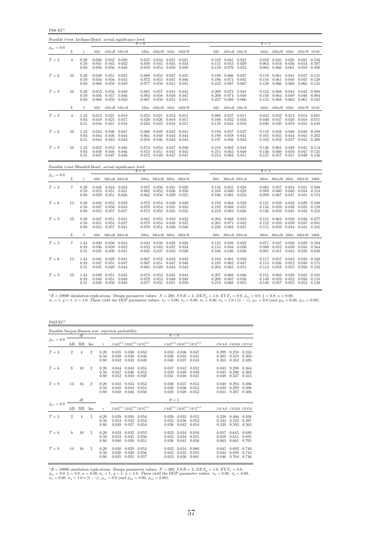P0ft-EC<sup>∗</sup>

| Feasible t-test Arellano-Bond: actual significance level |                |                      |                         |                                                             |                                         |                         |                                                                     |                         |                         |                |                                                                               |                |                |                                                                     |                         |                                                             |                |
|----------------------------------------------------------|----------------|----------------------|-------------------------|-------------------------------------------------------------|-----------------------------------------|-------------------------|---------------------------------------------------------------------|-------------------------|-------------------------|----------------|-------------------------------------------------------------------------------|----------------|----------------|---------------------------------------------------------------------|-------------------------|-------------------------------------------------------------|----------------|
| $\bar{\rho}_{x\varepsilon}=0.0$                          |                |                      |                         |                                                             |                                         | $\theta = 0$            |                                                                     |                         |                         |                |                                                                               |                | $\theta = 1$   |                                                                     |                         |                                                             |                |
|                                                          | L              | $\gamma$             |                         |                                                             | AB1 AB1aR AB1cR                         |                         |                                                                     |                         | AB2a AB2aW AB2c AB2cW   |                | AB1 AB1aR AB1cR                                                               |                |                | AB2a AB2aW AB2c AB2cW MAB                                           |                         |                                                             |                |
| $T=3$                                                    | $\overline{4}$ | 0.20<br>0.50<br>0.80 | 0.041<br>0.056          | $0.026$ $0.032$ $0.020$<br>0.045                            | 0.032<br>0.056 0.048                    | 0.050<br>0.059          | $0.037$ $0.034$ $0.021$ $0.021$<br>0.045<br>0.053                   | 0.035<br>0.050          | 0.034<br>0.050          | 0.131<br>0.159 | $0.102$ $0.041$ $0.021$<br>0.053 0.029<br>0.070 0.053                         |                | 0.063          | $0.052$ $0.045$ $0.026$ $0.025$ $0.544$<br>0.054<br>0.083 0.066     | 0.036<br>0.061          | 0.034<br>0.059                                              | 0.507<br>0.490 |
| $T=6$                                                    | 10             | 0.20<br>0.50<br>0.80 | 0.049<br>0.056<br>0.060 | 0.058                                                       | $0.051$ $0.035$<br>0.056 0.045<br>0.049 | 0.069<br>0.072<br>0.077 | 0.055<br>0.055<br>0.058                                             | 0.037<br>0.047<br>0.051 | 0.037<br>0.046<br>0.051 |                | 0.189 0.066 0.037<br>0.196 0.071 0.045<br>0.232 0.087 0.067                   |                | 0.128          | $0.119$ $0.061$<br>$0.116$ $0.061$<br>0.066                         | 0.041<br>0.048<br>0.068 | $0.037$ $0.131$<br>0.047<br>0.066                           | 0.128<br>0.135 |
| $T=9$                                                    | 16             | 0.20<br>0.50<br>0.80 | 0.053<br>0.056          | $0.056$ 0.040<br>0.057<br>$0.060$ $0.059$ $0.050$           | 0.046                                   | 0.081<br>0.083          | $0.057$ $0.041$ $0.041$<br>0.058<br>$0.087$ $0.058$ $0.051$ $0.051$ | 0.049                   | 0.047                   | 0.208          | $0.209$ $0.072$ $0.041$<br>0.074 0.048<br>$0.237$ $0.089$ $0.066$             |                | 0.150<br>0.155 | $0.152 \quad 0.068$<br>0.064<br>0.068                               | 0.049<br>0.062          | $0.044$ $0.042$ $0.088$<br>$0.048$ 0.094<br>$0.061$ $0.102$ |                |
|                                                          | L              | $\beta$              | AB1                     |                                                             | AB1aR AB1cR                             |                         |                                                                     |                         | AB2a AB2aW AB2c AB2cW   | AB1            | AB1aR AB1cR                                                                   |                |                | AB2a AB2aW AB2c AB2cW MAB                                           |                         |                                                             |                |
| $T=3$                                                    | $\overline{4}$ | 1.43<br>0.93<br>0.31 |                         | $0.013$ $0.021$ $0.010$<br>0.018 0.025<br>$0.016$ $0.021$   | 0.017<br>0.016                          | 0.028<br>0.024          | $0.024$ $0.021$ $0.012$ $0.011$<br>0.026<br>$0.023$ 0.018           | $0.018$ 0.017           | 0.017                   |                | $0.080$ $0.027$ $0.011$<br>$0.108$ $0.032$ $0.016$<br>$0.110$ $0.031$ $0.016$ |                | 0.040<br>0.040 | $0.033$ $0.032$ $0.014$ $0.014$ $0.691$<br>0.037<br>0.039           | 0.020<br>0.019          | 0.018 0.671<br>$0.018$ 0.648                                |                |
| $T=6$                                                    | 10             | 1.43<br>0.93<br>0.31 | 0.044                   | $0.043$ $0.046$ $0.041$<br>0.046<br>$0.044$ $0.043$ $0.043$ | 0.044                                   | 0.061<br>0.058          | $0.060$ $0.049$ $0.042$<br>0.048<br>$0.046$ $0.043$ $0.043$         | 0.044                   | 0.041<br>0.044          | 0.199          | $0.194$ $0.057$ $0.037$<br>0.058<br>$0.197$ $0.056$ $0.043$                   | 0.041          | 0.105          | $0.110 \quad 0.058$<br>0.055<br>$0.102 \quad 0.052$                 | 0.040<br>0.044          | 0.038 0.188<br>$0.041$ $0.202$<br>$0.047$ $0.043$ $0.209$   |                |
| $T=9$                                                    | 16             | 1.43<br>0.93<br>0.31 | 0.048                   | $0.052$ $0.052$<br>0.048<br>$0.047$ $0.047$ $0.046$         | 0.046<br>0.046                          | 0.074<br>0.073          | $0.053$ $0.047$ $0.046$<br>0.051<br>0.072 0.049 0.047 0.047         | 0.047                   | 0.045                   |                | 0.218 0.062 0.044<br>$0.215$ $0.063$ $0.048$<br>$0.213$ $0.062$ $0.051$       |                | 0.136          | $0.146$ $0.061$<br>0.060<br>$0.137$ $0.057$ $0.051$ $0.049$ $0.136$ | 0.048<br>0.050          | $0.045$ $0.114$<br>0.047                                    | 0.125          |
| Feasible t-test Blundell-Bond: actual significance level |                |                      |                         |                                                             |                                         | $\theta = 0$            |                                                                     |                         |                         |                |                                                                               |                | $\theta = 1$   |                                                                     |                         |                                                             |                |
| $\bar{\rho}_{x\varepsilon}=0.0$                          | L              | $\gamma$             |                         |                                                             | BB1 BB1aR BB1cR                         |                         |                                                                     |                         | BB2a BB2aW BB2c BB2cW   |                | BB1 BB1aR BB1cR                                                               |                |                | BB2a BB2aW BB2c BB2cW MBB                                           |                         |                                                             |                |
| $T=3$                                                    | 7              | 0.20<br>0.50<br>0.80 | 0.053<br>0.050          | 0.048  0.044  0.024<br>$0.051$ $0.031$                      | $0.051$ $0.026$                         | 0.062<br>0.062          | $0.057$ $0.050$ $0.031$ $0.029$<br>0.052<br>$0.050 \quad 0.029$     | 0.036                   | 0.030<br>0.025          | 0.168<br>0.186 | $0.145$ $0.055$ $0.024$<br>$0.060$ $0.028$<br>0.065 0.033                     |                | 0.089<br>0.099 | $0.083$ $0.057$ $0.034$ $0.031$ $0.508$<br>0.060<br>0.067           | 0.040<br>0.047          | 0.034 0.514<br>0.041                                        | 0.573          |
| $T=6$                                                    | 13             | 0.20<br>0.50<br>0.80 | 0.048<br>0.047<br>0.055 | $0.052$ 0.029<br>0.057                                      | $0.050$ $0.033$<br>0.037                | 0.070<br>0.072          | $0.072$ $0.054$ $0.030$<br>0.054<br>0.052                           | 0.035<br>0.035          | 0.030<br>0.033<br>0.033 | 0.192<br>0.218 | $0.192$ $0.064$ $0.029$<br>0.068<br>0.083                                     | 0.037<br>0.046 | 0.116<br>0.126 | $0.121$ $0.059$<br>0.059<br>0.059                                   | 0.032<br>0.038<br>0.045 | $0.029$ 0.109<br>0.035<br>$0.042$ 0.218                     | 0.128          |
| $T=9$                                                    | 19             | 0.20<br>0.50<br>0.80 | 0.047<br>0.051<br>0.055 | $0.051$ $0.031$<br>0.055<br>$0.057$ $0.041$                 | 0.037                                   | 0.081<br>0.079<br>0.078 | 0.055<br>0.053<br>$0.051$ $0.040$ $0.040$                           | 0.033<br>0.038          | 0.032<br>0.037          | 0.205          | $0.204$ $0.068$ $0.033$<br>0.071<br>$0.220$ $0.082$ $0.051$                   | 0.042          | 0.152          | $0.151$ $0.064$<br>0.059<br>$0.151$ $0.059$                         | 0.038<br>0.039          | 0.036 0.077<br>0.037<br>$0.044$ $0.041$ $0.101$             | 0.081          |
|                                                          | L              | $\beta$              | BB1                     |                                                             | BB1aR BB1cR                             |                         |                                                                     |                         | BB2a BB2aW BB2c BB2cW   | BB1            | BB1aR BB1cR                                                                   |                |                | BB2a BB2aW BB2c BB2cW MBB                                           |                         |                                                             |                |
| $T=3$                                                    | 7              | 1.43<br>0.93<br>0.31 | 0.036<br>0.035          | $0.030$ $0.030$ $0.024$<br>0.039<br>0.038                   | 0.032<br>0.031                          | 0.052<br>0.045          | $0.043$ $0.038$ $0.028$ $0.028$<br>0.043<br>0.037 0.033             | 0.037                   | 0.034<br>0.030          |                | $0.125$ $0.038$ $0.022$<br>0.153 0.044 0.030<br>$0.166$ $0.046$ $0.036$       |                | 0.080          | $0.071$ $0.047$ $0.030$<br>0.052<br>$0.081$ $0.051$                 | 0.039<br>0.043          | 0.029 0.594<br>0.033 0.564<br>0.038                         | 0.648          |
| $T=6$                                                    | 13             | 1.43                 | 0.045                   | $0.049$ $0.041$                                             |                                         | 0.067                   | 0.052 0.043                                                         | 0.047                   | 0.042<br>0.046          | 0.195          | 0.184 0.061 0.039<br>0.062                                                    | 0.047          | 0.113          | $0.117$ $0.057$<br>0.056                                            | 0.043                   | $0.039$ $0.168$                                             | 0.175          |
|                                                          |                | 0.93<br>0.31         | 0.047<br>0.045          | 0.051<br>0.049 0.044                                        | 0.047                                   | 0.067<br>0.063          | 0.051<br>$0.049$ $0.044$ $0.043$                                    |                         |                         |                | $0.204$ $0.063$ $0.051$                                                       |                |                | 0.114 0.058                                                         | 0.052<br>0.053          | 0.048<br>$0.050$ $0.192$                                    |                |

 ${}^{*}R = 10000$  simulation replications. Design parameter values:  $N = 200$ ,  $SNR = 3$ ,  $DEN_y = 1.0$ ,  $EVF_x = 0.0$ ,  $\bar{\rho}_{x\bar{x}} = 0.0$ ,  $\xi = 0.8$ ,  $\kappa = 0.00$ ,<br> $\sigma_{\bar{x}} = 1$ ,  $q = 1$ ,  $\phi = 1.0$ . These yield the DGP parameter values:

P0fJ-EC<sup>∗</sup>

|                                 |                |           |                |                      | Feasible Sargan-Hansen test: rejection probability |                         |                         |                         |                                           |                         |                         |                         |
|---------------------------------|----------------|-----------|----------------|----------------------|----------------------------------------------------|-------------------------|-------------------------|-------------------------|-------------------------------------------|-------------------------|-------------------------|-------------------------|
|                                 |                | df        |                |                      |                                                    |                         | $\theta = 0$            |                         |                                           |                         |                         |                         |
| $\bar{\rho}_{x\varepsilon}=0.0$ | AВ             | <b>BB</b> | Inc            | $\sim$               | $JAB_a^{(2,1)}JBB_a^{(2,1)}JES_a^{(2,1)}$          |                         |                         |                         | $JAB_c^{(2,1)}JBB_c^{(2,1)}JES_c^{(2,1)}$ |                         | JMAB JMBB JESM          |                         |
| $T=3$                           | $\overline{2}$ | 4         | $\overline{2}$ | 0.20<br>0.50<br>0.80 | 0.035<br>0.038<br>0.038<br>0.038<br>0.042<br>0.042 | 0.052<br>0.046<br>0.049 | 0.033<br>0.036<br>0.040 | 0.036<br>0.035<br>0.037 | 0.047<br>0.041<br>0.043                   | 0.299<br>0.305<br>0.301 | 0.250<br>0.319<br>0.452 | 0.233<br>0.303<br>0.426 |
| $T=6$                           | 8              | 10        | $\overline{2}$ | 0.20<br>0.50<br>0.80 | 0.044<br>0.043<br>0.047<br>0.046<br>0.052<br>0.050 | 0.055<br>0.052<br>0.048 | 0.037<br>0.039<br>0.041 | 0.042<br>0.040<br>0.040 | 0.052<br>0.049<br>0.047                   | 0.043<br>0.045<br>0.048 | 0.290<br>0.298<br>0.337 | 0.364<br>0.369<br>0.415 |
| $T=9$                           | 14             | 16        | $\overline{2}$ | 0.20<br>0.50<br>0.80 | 0.045<br>0.043<br>0.045<br>0.044<br>0.048<br>0.046 | 0.053<br>0.053<br>0.050 | 0.038<br>0.038<br>0.038 | 0.037<br>0.036<br>0.039 | 0.053<br>0.053<br>0.052                   | 0.040<br>0.039<br>0.041 | 0.293<br>0.299<br>0.307 | 0.396<br>0.398<br>0.406 |
|                                 |                | df        |                |                      |                                                    |                         | $\theta=1$              |                         |                                           |                         |                         |                         |
| $\bar{\rho}_{x\varepsilon}=0.0$ | AВ             | <b>BB</b> | Inc            | $\sim$               | $JAB_a^{(2,1)}JBB_a^{(2,1)}JES_a^{(2,1)}$          |                         |                         |                         | $JAB_c^{(2,1)}JBB_c^{(2,1)}JES_c^{(2,1)}$ |                         | JMAB JMBB JESM          |                         |
| $T=3$                           | $\overline{2}$ | 4         | $\overline{2}$ | 0.20<br>0.50<br>0.80 | 0.028<br>0.030<br>0.034<br>0.033<br>0.039<br>0.037 | 0.054<br>0.052<br>0.054 | 0.028<br>0.035<br>0.038 | 0.033<br>0.038<br>0.042 | 0.055<br>0.052<br>0.054                   | 0.338<br>0.333<br>0.339 | 0.466<br>0.522<br>0.593 | 0.438<br>0.497<br>0.563 |
| $T=6$                           | 8              | 10        | $\overline{2}$ | 0.20<br>0.50<br>0.80 | 0.033<br>0.032<br>0.034<br>0.035<br>0.040<br>0.038 | 0.053<br>0.050<br>0.051 | 0.033<br>0.033<br>0.038 | 0.034<br>0.034<br>0.041 | 0.058<br>0.055<br>0.058                   | 0.057<br>0.058<br>0.063 | 0.645<br>0.651<br>0.665 | 0.689<br>0.695<br>0.705 |
| $T=9$                           | 14             | 16        | $\overline{2}$ | 0.20<br>0.50<br>0.80 | 0.030<br>0.029<br>0.030<br>0.030<br>0.035<br>0.031 | 0.053<br>0.056<br>0.057 | 0.032<br>0.033<br>0.033 | 0.034<br>0.035<br>0.036 | 0.060<br>0.055<br>0.061                   | 0.045<br>0.044<br>0.046 | 0.693<br>0.698<br>0.704 | 0.740<br>0.743<br>0.746 |

\*R = 10000 simulation replications. Design parameter values:  $N = 200$ ,  $SNR = 3$ ,  $DEN_y = 1.0$ ,  $EVF_x = 0.0$ ,  $\bar{\rho}_{xe} = 0.0$ ,  $\xi = 0.8$ ,  $\kappa = 0.00$ ,  $\sigma_e = 1$ ,  $q = 1$ ,  $\phi = 1.0$ . These yield the DGP parameter values:  $\pi_{\lambda} = 0.$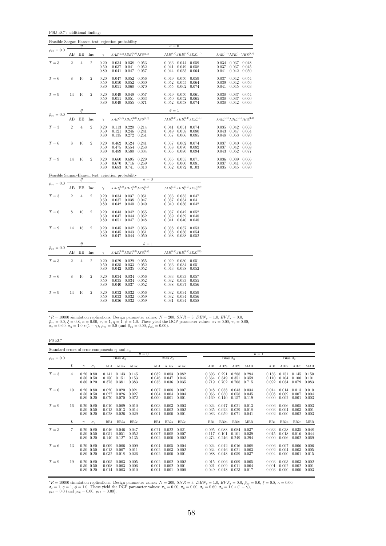P0fJ-EC<sup>∗</sup> : additional findings

|                                   |                |                |                |                                                     | Feasible Sargan-Hansen test: rejection probability                                |                                                                                                                   |                                                                                |
|-----------------------------------|----------------|----------------|----------------|-----------------------------------------------------|-----------------------------------------------------------------------------------|-------------------------------------------------------------------------------------------------------------------|--------------------------------------------------------------------------------|
| $\bar{\rho}_{x\epsilon}=0.0$      |                | df             |                |                                                     |                                                                                   | $\theta = 0$                                                                                                      |                                                                                |
|                                   | AВ             | BB             | Inc            | $\gamma$                                            | $JAB^{(1,0)}JBB^{(1,0)}_aJES^{(1,0)}$                                             | $JAB_a^{(1,1)}JBB_a^{(1,1)}JES_a^{(1,1)} \hspace{2cm} JAB_c^{(1,1)}JBB_c^{(1,1)}JES_c^{(1,1)}$                    |                                                                                |
| $T=3$                             | $\sqrt{2}$     | $\overline{4}$ | $\overline{2}$ | 0.20<br>0.50<br>0.80                                | 0.034 0.038 0.053<br>0.052<br>0.037<br>0.041<br>0.041<br>0.047<br>0.057           | 0.036<br>0.044 0.059<br>0.041<br>0.058<br>0.049<br>0.044<br>0.055<br>0.064                                        | 0.034 0.037<br>0.048<br>0.045<br>0.037<br>0.037<br>0.041<br>0.042<br>0.050     |
| $T=6$                             | 8              | 10             | $\overline{2}$ | 0.20<br>0.50<br>0.80                                | 0.047<br>$0.052$ 0.056<br>0.050<br>0.052<br>0.060<br>0.051<br>0.060<br>0.070      | 0.050<br>0.059<br>0.049<br>0.052<br>0.055<br>0.064<br>0.055<br>0.062<br>0.074                                     | 0.042<br>0.054<br>0.037<br>0.039<br>0.042<br>0.056<br>0.041<br>0.045<br>0.063  |
| $T=9$                             | 14             | 16             | $\overline{2}$ | 0.20<br>0.50<br>0.80                                | 0.049<br>0.049<br>0.057<br>0.063<br>0.051<br>0.051<br>0.049<br>0.055<br>0.071     | 0.049<br>0.050<br>0.061<br>0.050<br>0.065<br>0.052<br>$0.052$ 0.058<br>0.074                                      | 0.038<br>0.037<br>0.054<br>0.038<br>0.037<br>0.060<br>0.038 0.042<br>0.066     |
| $\bar{\rho}_{x\varepsilon}=0.0$   |                | df             |                |                                                     |                                                                                   | $\theta = 1$                                                                                                      |                                                                                |
|                                   | AB             | <b>BB</b>      | Inc            | $\gamma$                                            | $JAB^{\left( 1,0\right) }JBB_{a}^{\left( 1,0\right) }JES^{\left( 1,0\right) }$    | $JAB^{(1,1)}_aJBB^{(1,1)}_aJES^{(1,1)}_a$                                                                         | $JAB_c^{(1,1)}JBB_c^{(1,1)}JES_c^{(1,1)}$                                      |
| $T = 3$                           | $\overline{2}$ | $\overline{4}$ | $\overline{2}$ | 0.20<br>0.50<br>0.80                                | $0.220$ $0.214$<br>0.113<br>0.121<br>0.246<br>0.241<br>0.135<br>$0.272$ $0.261$   | 0.041<br>0.051<br>0.074<br>0.049<br>0.058<br>0.080<br>0.057<br>0.066<br>0.085                                     | $0.035$ $0.042$<br>0.063<br>0.043<br>0.047<br>0.064<br>0.048<br>0.053<br>0.070 |
| $T=6$                             | 8              | 10             | $\overline{2}$ | 0.20<br>0.50<br>0.80                                | $0.524$ $0.241$<br>0.462<br>0.475<br>0.554<br>0.268<br>0.489<br>0.580<br>0.304    | 0.057<br>0.062<br>0.074<br>0.058<br>0.082<br>0.070<br>0.065<br>0.080<br>0.094                                     | 0.040<br>0.037<br>0.064<br>0.037<br>0.042<br>0.068<br>0.043<br>0.052<br>0.077  |
| $T=9$                             | 14             | 16             | $\overline{2}$ | $\begin{array}{c} 0.20 \\ 0.50 \end{array}$<br>0.80 | 0.695<br>0.660<br>0.229<br>0.716<br>0.269<br>0.670<br>0.683<br>0.741<br>0.313     | 0.055<br>0.055<br>0.071<br>0.056<br>0.081<br>0.060<br>$0.062$ 0.072<br>0.103                                      | 0.039<br>0.036<br>0.066<br>0.037<br>0.041<br>0.069<br>0.035<br>0.045<br>0.080  |
|                                   |                | df             |                |                                                     | Feasible Sargan-Hansen test: rejection probability<br>$\theta = 0$                |                                                                                                                   |                                                                                |
| $\bar{\rho}_{x\varepsilon}=0.0$   | AВ             | ΒB             | Inc            | $\gamma$                                            | $JAB_a^{(2,2)}JBB_a^{(2,2)}JES_a^{(2,2)}$                                         | $JAB_c^{(2,2)}JBB_c^{(2,2)}JES_c^{(2,2)}$                                                                         |                                                                                |
| $T=3$                             | $\overline{2}$ | $\overline{4}$ | $\overline{2}$ | 0.20<br>0.50<br>0.80                                | $0.034$ $0.037$ $0.051$<br>0.037<br>0.038<br>0.047<br>0.042<br>0.040<br>0.049     | 0.033<br>0.035 0.047<br>0.037<br>0.034<br>0.041<br>0.040<br>0.036<br>0.042                                        |                                                                                |
| $T=6$                             | 8              | 10             | $\overline{2}$ | 0.20<br>0.50<br>0.80                                | 0.043<br>$0.042$ 0.055<br>0.044<br>0.052<br>0.047<br>0.047<br>0.048<br>0.051      | 0.042<br>0.037<br>0.052<br>0.039<br>0.039<br>0.048<br>0.041<br>0.040<br>0.048                                     |                                                                                |
| $T=9$                             | 14             | 16             | $\,2$          | $\begin{array}{c} 0.20 \\ 0.50 \end{array}$<br>0.80 | 0.045<br>0.042<br>0.053<br>$0.043\,$<br>0.051<br>0.045<br>$0.047$ $0.044$ $0.050$ | $\begin{array}{c} 0.038 \\ 0.038 \\ 0.038 \end{array}$<br>0.037<br>0.053<br>0.036<br>0.054<br>0.038<br>0.052      |                                                                                |
|                                   |                | $d\!f$         |                |                                                     | $\theta = 1$                                                                      |                                                                                                                   |                                                                                |
| $\bar{\rho}_{x\varepsilon} = 0.0$ | AΒ             | $_{\rm BB}$    | Inc            | $\gamma$                                            | $JAB_a^{(2,2)}JBB_a^{(2,2)}JES_a^{(2,2)}$                                         | $JAB_c^{(2,2)}JBB_c^{(2,2)}JES_c^{(2,2)}$                                                                         |                                                                                |
| $T=3$                             | $\overline{2}$ | $\overline{4}$ | $\overline{2}$ | 0.20<br>0.50<br>0.80                                | $0.029$ $0.029$ $0.055$<br>0.033<br>0.052<br>0.035<br>0.042<br>0.035<br>0.052     | 0.029<br>$0.030 \quad 0.051$<br>$\begin{array}{c} 0.036 \\ 0.043 \end{array}$<br>0.034<br>0.051<br>0.038<br>0.052 |                                                                                |
| $T=6$                             | 8              | 10             | $\overline{2}$ | 0.20<br>0.50<br>0.80                                | 0.034<br>0.034 0.056<br>0.034<br>0.052<br>0.035<br>0.052<br>0.040<br>0.037        | 0.033<br>0.033<br>0.057<br>0.032<br>0.033<br>0.055<br>0.038<br>0.037<br>0.056                                     |                                                                                |
| $T=9$                             | 14             | 16             | $\overline{2}$ | 0.20<br>0.50<br>0.80                                | 0.032<br>0.032<br>0.056<br>0.033<br>0.032<br>0.059<br>0.032 0.059<br>0.036        | 0.032<br>0.034<br>0.059<br>0.032<br>0.034<br>0.056<br>0.031<br>0.034 0.058                                        |                                                                                |

 ${}^*R = 10000$  simulation replications. Design parameter values:  $N = 200$ ,  $SNR = 3$ ,  $DEN_y = 1.0$ ,  $EVF_x = 0.0$ ,  $\bar{\rho}_{xe} = 0.0$ ,  $\xi = 0.8$ ,  $\kappa = 0.00$ ,  $\sigma_e = 1$ ,  $q = 1$ ,  $\phi = 1.0$ . These yield the DGP parameter values:  $\pi_{\lambda} =$ 

P0-EC<sup>∗</sup>

| Standard errors of error components $\eta_i$ and $\varepsilon_{it}$ |    |                                                   |            |                         |                               |                         |                            |                                   |                                   |                         |                         |                                   |                            |                            |                         |                                                         |                         |
|---------------------------------------------------------------------|----|---------------------------------------------------|------------|-------------------------|-------------------------------|-------------------------|----------------------------|-----------------------------------|-----------------------------------|-------------------------|-------------------------|-----------------------------------|----------------------------|----------------------------|-------------------------|---------------------------------------------------------|-------------------------|
| $\bar{\rho}_{x\varepsilon}=0.0$                                     |    |                                                   |            |                         | Bias $\sigma_n$               |                         | $\theta = 0$               | Bias $\hat{\sigma}_s$             |                                   |                         | Bias $\hat{\sigma}_n$   |                                   |                            | $\theta = 1$               |                         | Bias $\hat{\sigma}_\varepsilon$                         |                         |
|                                                                     | L  |                                                   | $\sigma_n$ | AB1                     | AB2a                          | AB2c                    | AB1                        | AB2a                              | AB2c                              | AB1                     | AB2a                    | AB2c                              | MAB                        | AB1                        | AB2a                    | AB2c                                                    | MAB                     |
| $T=3$                                                               | 4  | $0.20\ 0.80$<br>$0.50 \quad 0.50$<br>$0.80\ 0.20$ |            | 0.141<br>0.150<br>0.378 | 0.143<br>0.151<br>0.381       | 0.145<br>0.153<br>0.383 | 0.082<br>0.046<br>0.035    | 0.083<br>0.047<br>0.036           | 0.082<br>0.046<br>0.035           | 0.303<br>0.364<br>0.719 | 0.291<br>0.349<br>0.702 | 0.288<br>0.351<br>0.708           | 0.294<br>0.359<br>0.715    | 0.156<br>0.110<br>0.092    | 0.151<br>0.104<br>0.084 | 0.145<br>0.100<br>0.079                                 | 0.150<br>0.101<br>0.083 |
| $T=6$                                                               | 10 | $0.20\ 0.80$<br>$0.50 \quad 0.50$<br>$0.80\ 0.20$ |            | 0.020<br>0.027<br>0.070 | 0.020<br>0.026<br>0.070 0.072 | 0.021<br>0.027          | 0.007<br>0.004<br>$-0.000$ | 0.008<br>0.004<br>$0.001 - 0.001$ | 0.007<br>0.004                    | 0.048<br>0.066<br>0.169 | 0.038<br>0.050<br>0.140 | 0.043<br>0.058<br>0.157           | 0.034<br>0.045<br>0.119    | 0.014<br>0.008<br>$-0.000$ | 0.014<br>0.009          | $0.013 \quad 0.010$<br>0.007<br>$0.002 - 0.001 - 0.003$ | 0.004                   |
| $T=9$                                                               | 16 | $0.20\ 0.80$<br>$0.50 \quad 0.50$<br>$0.80\ 0.20$ |            | 0.010<br>0.013<br>0.028 | 0.009<br>0.013<br>0.026       | 0.010<br>0.014<br>0.029 | 0.003<br>0.002<br>$-0.001$ | 0.003<br>0.002                    | 0.003<br>0.002<br>$0.000 - 0.001$ | 0.024<br>0.035<br>0.083 | 0.017<br>0.023<br>0.059 | 0.021<br>0.029<br>0.071           | 0.013<br>0.018<br>0.041    | 0.006<br>0.003<br>$-0.002$ | 0.006<br>0.004          | 0.005<br>0.003<br>$-0.000 - 0.002 - 0.003$              | 0.003<br>0.001          |
|                                                                     | L  |                                                   | $\sigma_n$ | B <sub>B1</sub>         | BB <sub>2a</sub>              | BB2c                    | BB1                        | BB <sub>2a</sub>                  | BB2c                              | B <sub>B1</sub>         | BB <sub>2a</sub>        | BB <sub>2c</sub>                  | <b>MBB</b>                 | B <sub>B1</sub>            | BB <sub>2a</sub>        | BB2c                                                    | MBB                     |
| $T=3$                                                               | 7  | $0.20\ 0.80$<br>$0.50 \quad 0.50$<br>$0.80\ 0.20$ |            | 0.046<br>0.051<br>0.140 | 0.046<br>0.051<br>0.127       | 0.047<br>0.052<br>0.135 | 0.021<br>0.007<br>$-0.002$ | 0.022<br>0.008                    | 0.021<br>0.007<br>$0.000 - 0.002$ | 0.095<br>0.117<br>0.274 | 0.088<br>0.101<br>0.246 | 0.084<br>0.101<br>0.249           | 0.037<br>0.039<br>0.294    | 0.033<br>0.015<br>$-0.000$ | 0.038<br>0.018<br>0.006 | 0.035<br>0.016<br>0.002                                 | 0.048<br>0.044<br>0.069 |
| $T=6$                                                               | 13 | $0.20\ 0.80$<br>$0.50 \quad 0.50$<br>$0.80\ 0.20$ |            | 0.009<br>0.013<br>0.032 | 0.006<br>0.007<br>0.018       | 0.009<br>0.011<br>0.026 | 0.004<br>0.002<br>$-0.002$ | 0.005<br>0.003                    | 0.004<br>0.002<br>$0.000 - 0.001$ | 0.024<br>0.034<br>0.088 | 0.012<br>0.016<br>0.048 | 0.016<br>0.021<br>$0.059 - 0.037$ | 0.008<br>$-0.003$          | 0.006<br>0.002<br>$-0.004$ | 0.007<br>0.004          | 0.006<br>0.003<br>$0.000 - 0.001$                       | 0.006<br>0.005<br>0.015 |
| $T = 9$                                                             | 19 | $0.20\ 0.80$<br>$0.50 \quad 0.50$<br>$0.80\ 0.20$ |            | 0.005<br>0.008<br>0.014 | 0.003<br>0.003<br>0.003       | 0.005<br>0.006<br>0.010 | 0.002<br>0.001<br>$-0.001$ | 0.002<br>0.002                    | 0.002<br>0.001<br>$0.001 - 0.000$ | 0.015<br>0.021<br>0.049 | 0.006<br>0.009<br>0.018 | 0.009<br>0.011<br>0.023           | 0.005<br>0.004<br>$-0.017$ | 0.003<br>0.001<br>$-0.003$ | 0.003<br>0.002          | 0.003<br>0.002<br>$0.000 - 0.000$                       | 0.002<br>0.001<br>0.003 |

 ${}^*R = 10000$  simulation replications. Design parameter values:  $N = 200$ ,  $SNR = 3$ ,  $DEN_y = 1.0$ ,  $EVF_x = 0.0$ ,  $\bar{\rho}_{x\bar{z}} = 0.0$ ,  $\xi = 0.8$ ,  $\kappa = 0.00$ ,<br>  $\sigma_{\varepsilon} = 1$ ,  $q = 1$ ,  $\phi = 1.0$ . These yield the DGP parameter values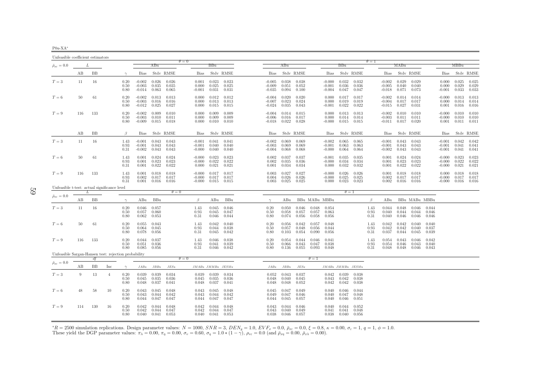| $P(0) = X$ |  |
|------------|--|

| Unfeasible coefficient estimators                    |     |           |                |                      |                                  |                         |                                   |                                  |                         |                                       |                                  |                                 |                         |                         |                                  |                                            |                         |                      |                                  |                                 |                         |                         |                                  |                         |                         |
|------------------------------------------------------|-----|-----------|----------------|----------------------|----------------------------------|-------------------------|-----------------------------------|----------------------------------|-------------------------|---------------------------------------|----------------------------------|---------------------------------|-------------------------|-------------------------|----------------------------------|--------------------------------------------|-------------------------|----------------------|----------------------------------|---------------------------------|-------------------------|-------------------------|----------------------------------|-------------------------|-------------------------|
| $\bar{\rho}_{x\varepsilon}=0.0$                      |     | L         |                |                      |                                  | ABu                     |                                   | $\theta = 0$                     | BBu                     |                                       |                                  | ABu                             |                         |                         |                                  | BBu                                        |                         | $\theta = 1$         |                                  | MABu                            |                         |                         |                                  | MBBu                    |                         |
|                                                      | AВ  | ΒB        |                | $\gamma$             | Bias                             |                         | Stdy RMSE                         | Bias                             |                         | Stdy RMSE                             | Bias                             |                                 | Stdy RMSE               |                         | Bias                             |                                            | Stdy RMSE               |                      | Bias                             |                                 | Stdy RMSE               |                         | <b>Bias</b>                      |                         | Stdy RMSE               |
| $T=3$                                                | 11  | 16        |                | 0.20<br>0.50<br>0.80 | $-0.002$<br>$-0.003$<br>$-0.014$ | 0.026<br>0.035<br>0.063 | 0.026<br>0.035<br>0.065           | 0.001<br>0.000<br>$-0.001$       | 0.023<br>0.025<br>0.031 | 0.023<br>0.025<br>0.031               | $-0.005$<br>-0.009<br>$-0.035$   | 0.038<br>0.051<br>0.094         | 0.038<br>0.052<br>0.100 |                         | -0.001<br>$-0.004$               | $-0.000$ $0.032$<br>0.036<br>0.047         | 0.032<br>0.036<br>0.047 |                      | $-0.002$<br>$-0.005$<br>$-0.018$ | 0.029<br>0.040<br>0.071         | 0.029<br>0.040<br>0.073 |                         | 0.000<br>0.000<br>$-0.001$       | 0.025<br>0.029<br>0.033 | 0.025<br>0.029<br>0.033 |
| $T=6$                                                | 50  | 61        |                | 0.20<br>0.50<br>0.80 | $-0.002$<br>$-0.003$<br>$-0.012$ | 0.016<br>0.025          | $0.013$ $0.013$<br>0.016<br>0.027 | 0.000<br>0.000<br>0.000          | 0.012<br>0.013<br>0.015 | 0.012<br>0.013<br>0.015               | $-0.004$<br>$-0.007$<br>$-0.024$ | 0.020<br>0.023<br>0.035         | 0.020<br>0.024<br>0.043 |                         | 0.000<br>$-0.001$                | $0.000 \quad 0.017$<br>0.019<br>0.022      | 0.017<br>0.019<br>0.022 |                      | $-0.002$<br>$-0.004$<br>$-0.015$ | 0.014<br>0.017<br>0.027         | 0.014<br>0.017<br>0.031 |                         | $-0.000$<br>0.000<br>0.001       | 0.013<br>0.014<br>0.016 | 0.013<br>0.014<br>0.016 |
| $T=9$                                                | 116 | 133       |                | 0.20<br>0.50<br>0.80 | $-0.002$<br>$-0.003$<br>$-0.009$ | 0.009<br>0.010          | 0.010<br>0.011<br>$0.015$ $0.018$ | 0.000<br>0.000<br>0.000          | 0.009<br>0.009          | 0.009<br>0.009<br>$0.010 \quad 0.010$ | $-0.004$<br>$-0.006$<br>$-0.018$ | 0.014<br>0.016<br>0.022         | 0.015<br>0.017<br>0.028 |                         | 0.000<br>0.000                   | 0.013<br>0.014<br>$-0.000$ $0.015$ $0.015$ | 0.013<br>0.014          |                      | $-0.002$<br>$-0.003$<br>-0.011   | 0.010<br>0.011<br>0.017         | 0.010<br>0.011<br>0.020 |                         | $-0.000$<br>$-0.000$<br>0.001    | 0.010<br>0.010<br>0.011 | 0.010<br>0.010<br>0.011 |
|                                                      | AВ  | <b>BB</b> |                | $\beta$              | <b>Bias</b>                      |                         | Stdy RMSE                         | Bias                             |                         | Stdy RMSE                             | <b>Bias</b>                      |                                 | Stdy RMSE               |                         | Bias                             |                                            | Stdy RMSE               |                      | <b>Bias</b>                      |                                 | Stdy RMSE               |                         | <b>Bias</b>                      |                         | Stdy RMSE               |
| $T=3$                                                | 11  | 16        |                | 1.43<br>0.93<br>0.31 | $-0.001$<br>$-0.001$<br>$-0.002$ | 0.043<br>0.043<br>0.043 | 0.043<br>0.043<br>0.043           | $-0.001$<br>$-0.001$<br>$-0.000$ | 0.041<br>0.040<br>0.040 | 0.041<br>0.040<br>0.040               | $-0.002$<br>$-0.003$<br>$-0.004$ | 0.069<br>0.069<br>0.068         | 0.069<br>0.069<br>0.068 |                         | $-0.002$<br>$-0.001$<br>$-0.000$ | 0.065<br>0.063<br>0.064                    | 0.065<br>0.063<br>0.064 |                      | $-0.001$<br>$-0.001$<br>$-0.002$ | 0.043<br>0.043<br>0.043         | 0.043<br>0.043<br>0.043 |                         | $-0.001$<br>$-0.001$<br>$-0.001$ | 0.042<br>0.041<br>0.041 | 0.042<br>0.041<br>0.041 |
| $T=6$                                                | 50  | 61        |                | 1.43<br>0.93<br>0.31 | 0.001<br>0.001<br>0.001          | 0.024<br>0.023<br>0.022 | 0.024<br>0.023<br>0.022           | $-0.000$<br>$-0.000$<br>0.000    | 0.023<br>0.022<br>0.021 | 0.023<br>0.022<br>0.021               | 0.002<br>0.002<br>0.001          | 0.037<br>0.035<br>0.034         | 0.037<br>0.036<br>0.034 |                         | $-0.001$<br>$-0.000$<br>0.000    | 0.035<br>0.034<br>0.032                    | 0.035<br>0.034<br>0.032 |                      | 0.001<br>0.001<br>0.001          | 0.024<br>0.023<br>0.022         | 0.024<br>0.023<br>0.022 |                         | $-0.000$<br>$-0.000$<br>$-0.000$ | 0.023<br>0.022<br>0.021 | 0.023<br>0.022<br>0.021 |
| $T=9$                                                | 116 | 133       |                | 1.43<br>0.93<br>0.31 | 0.001<br>0.002<br>0.001          | 0.018<br>0.017          | 0.018<br>0.017<br>$0.016$ $0.016$ | $-0.000$<br>$-0.000$<br>$-0.000$ | 0.017<br>0.017          | 0.017<br>0.017<br>$0.015$ 0.015       | 0.003<br>0.004                   | 0.027<br>0.026<br>$0.003$ 0.025 | 0.027<br>0.026<br>0.025 |                         | $-0.000$<br>-0.000<br>0.000      | 0.026<br>0.025<br>0.023                    | 0.026<br>0.025<br>0.023 |                      | 0.001<br>0.002                   | 0.018<br>0.017<br>$0.002$ 0.016 | 0.018<br>0.017<br>0.016 |                         | 0.000<br>$-0.000$<br>$-0.000$    | 0.018<br>0.017<br>0.016 | 0.018<br>0.017<br>0.016 |
| Unfeasible t-test: actual significance level         |     |           |                |                      |                                  |                         | $\theta = 0$                      |                                  |                         |                                       |                                  |                                 |                         |                         |                                  | $\theta = 1$                               |                         |                      |                                  |                                 |                         |                         |                                  |                         |                         |
| $\bar{\rho}_{x\varepsilon}=0.0$                      | AВ  | BB        |                | $\gamma$             | ABu                              | BBu                     |                                   | $\beta$                          | ABu                     | BBu                                   | $\gamma$                         | ABu                             |                         |                         | BBu MABu MBBu                    |                                            |                         | β                    | ABu                              |                                 | BBu MABu MBBu           |                         |                                  |                         |                         |
| $T=3$                                                | 11  | 16        |                | 0.20<br>0.50<br>0.80 | 0.046<br>0.057<br>0.062          | 0.057<br>0.060<br>0.053 |                                   | 1.43<br>0.93<br>0.31             | 0.045<br>0.045<br>0.046 | 0.046<br>0.047<br>0.044               | 0.20<br>0.50<br>0.80             | 0.050<br>0.058<br>0.074         | 0.046<br>0.057<br>0.056 | 0.048<br>0.057<br>0.058 | 0.054<br>0.063<br>0.056          |                                            |                         | 1.43<br>0.93<br>0.31 | 0.044<br>0.040<br>0.040          | 0.048<br>0.044<br>0.046         | 0.046<br>0.044<br>0.046 | 0.044<br>0.046<br>0.046 |                                  |                         |                         |
| $T=6$                                                | 50  | 61        |                | 0.20<br>0.50<br>0.80 | 0.055<br>0.064<br>0.078          | 0.043<br>0.045<br>0.056 |                                   | 1.43<br>0.93<br>0.31             | 0.042<br>0.044          | 0.040<br>0.038<br>$0.045$ $0.042$     | 0.20<br>0.50<br>0.80             | 0.056<br>0.057<br>0.103         | 0.042<br>0.048<br>0.054 | 0.057<br>0.056<br>0.090 | 0.048<br>0.044<br>0.056          |                                            |                         | 1.43<br>0.93<br>0.31 | 0.042<br>0.042<br>0.037          | 0.042<br>0.042<br>0.044         | 0.040<br>0.040<br>0.045 | 0.040<br>0.037<br>0.039 |                                  |                         |                         |
| $T=9$                                                | 116 | 133       |                | 0.20<br>0.50<br>0.80 | 0.044<br>0.051<br>0.085          | 0.037<br>0.036<br>0.056 |                                   | 1.43<br>0.93<br>0.31             | 0.046<br>0.041<br>0.046 | 0.038<br>0.039<br>0.042               | 0.20<br>0.50<br>0.80             | 0.054<br>0.066<br>0.136         | 0.044<br>0.043<br>0.055 | 0.046<br>0.047<br>0.093 | 0.041<br>0.038<br>0.048          |                                            |                         | 1.43<br>0.93<br>0.31 | 0.054<br>0.054<br>0.048          | 0.043<br>0.046<br>0.048         | 0.046<br>0.043<br>0.046 | 0.042<br>0.040<br>0.043 |                                  |                         |                         |
| Unfeasible Sargan-Hansen test: rejection probability |     | df        |                |                      |                                  |                         |                                   | $\theta = 0$                     |                         |                                       |                                  |                                 |                         | $\theta = 1$            |                                  |                                            |                         |                      |                                  |                                 |                         |                         |                                  |                         |                         |
| $\bar{\rho}_{x\varepsilon}=0.0$                      | AВ  | ΒB        | Inc            | $\gamma$             | JABu                             | JBBu                    | JESu                              |                                  |                         | $JMABu$ $JMMBu$ $JESMu$               | JABu                             | JBBu                            | JESu                    |                         | $JMABu$ $JMMBu$ $JESMu$          |                                            |                         |                      |                                  |                                 |                         |                         |                                  |                         |                         |
| $T=3$                                                | 9   | 13        | $\overline{4}$ | 0.20<br>0.50<br>0.80 | 0.039<br>0.045<br>0.048          | 0.039<br>0.035<br>0.037 | 0.034<br>0.036<br>0.041           | 0.039<br>0.045<br>0.048          | 0.039<br>0.035<br>0.037 | 0.034<br>0.036<br>0.041               | 0.052<br>0.048<br>0.048          | 0.043<br>0.040<br>0.048         | 0.037<br>0.045<br>0.052 |                         | 0.042<br>0.043<br>0.042          | 0.039<br>0.042<br>0.042                    | 0.038<br>0.038<br>0.038 |                      |                                  |                                 |                         |                         |                                  |                         |                         |
| $T=6$                                                | 48  | 58        | 10             | 0.20<br>0.50<br>0.80 | 0.043<br>0.043<br>0.044          | 0.045<br>0.044<br>0.047 | 0.048<br>0.042<br>0.047           | 0.043<br>0.043<br>0.044          | 0.045<br>0.044<br>0.047 | 0.048<br>0.042<br>0.047               | 0.045<br>0.049<br>0.044          | 0.047<br>0.047<br>0.045         | 0.049<br>0.046<br>0.057 |                         | 0.040<br>0.040                   | $0.040 \quad 0.046$<br>0.047<br>0.046      | 0.044<br>0.048<br>0.051 |                      |                                  |                                 |                         |                         |                                  |                         |                         |
| $T=9$                                                | 114 | 130       | 16             | 0.20<br>0.50<br>0.80 | 0.042<br>0.042<br>0.040          | 0.044<br>0.044<br>0.041 | 0.048<br>0.047<br>0.053           | 0.042<br>0.042<br>0.040          | 0.044<br>0.044<br>0.041 | 0.048<br>0.047<br>0.053               | 0.043<br>0.043<br>0.038          | 0.044<br>0.040<br>0.046         | 0.046<br>0.049<br>0.057 |                         | 0.040<br>0.041                   | 0.044<br>0.041<br>$0.038$ 0.040            | 0.052<br>0.048<br>0.056 |                      |                                  |                                 |                         |                         |                                  |                         |                         |

 ${}^*R = 2500$  simulation replications. Design parameter values:  $N = 1000$ ,  $SNR = 3$ ,  $DEN_y = 1.0$ ,  $EVF_x = 0.0$ ,  $\bar{\rho}_{xc} = 0.0$ ,  $\xi = 0.8$ ,  $\kappa = 0.00$ ,  $\sigma_{\varepsilon} = 1$ ,  $q = 1$ ,  $\phi = 1.0$ .<br>These yield the DGP parameter values:  $\pi$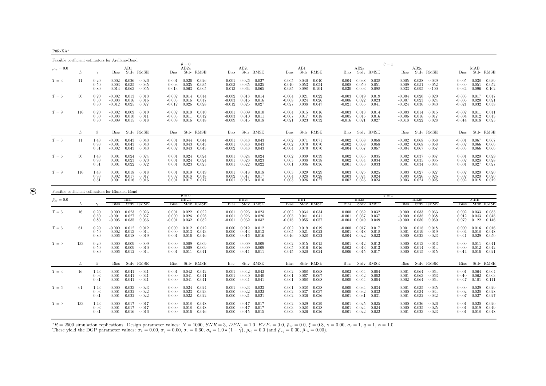P0fc-XA∗

Feasible coefficient estimators for Arellano-Bond $\theta = 0$  $AB2a$  $\theta = 1$ <br>a  $\theta = 1$  $\bar{\rho}_{x\varepsilon}=0.0$  $_{\varepsilon}$  = 0.0  $_{\varepsilon}$   $_{\varepsilon}$   $_{\varepsilon}$   $_{\varepsilon}$   $_{\varepsilon}$   $_{\varepsilon}$   $_{\varepsilon}$   $_{\varepsilon}$   $_{\varepsilon}$   $_{\varepsilon}$   $_{\varepsilon}$   $_{\varepsilon}$   $_{\varepsilon}$   $_{\varepsilon}$   $_{\varepsilon}$   $_{\varepsilon}$   $_{\varepsilon}$   $_{\varepsilon}$   $_{\varepsilon}$   $_{\varepsilon}$   $_{\varepsilon}$   $_{\varepsilon}$   $_{\varepsilon}$ L  $\gamma$  Bias Stdv RMSE Bias Stdv RMSE Bias Stdv RMSE Bias Stdv RMSE Bias Stdv RMSE Bias Stdv RMSE Bias Stdv RMSE $T=3$  $T=3 \hskip 1.0 11 \hskip 1.0 0.20 \hskip 1.0 1.002 \hskip 1.0 0.026 \hskip 1.0 0.026 \hskip 1.0 0.026 \hskip 1.0 0.026 \hskip 1.0 0.030 \hskip 1.0 0.026 \hskip 1.0 0.030 \hskip 1.0 0.026 \hskip 1.0 0.030 \hskip 1.0 0.026 \hskip 1.0 0.026 \hskip 1.0 0.030 \hskip 1.0 0.026 \hskip 1.0 0.030$  $0.50$   $-0.003$   $0.035$   $-0.003$   $0.035$   $0.035$   $-0.003$   $0.035$   $0.035$   $-0.010$   $0.053$   $0.054$   $-0.008$   $0.050$   $0.051$   $-0.009$   $0.051$   $0.052$   $-0.009$   $0.051$   $0.052$ 0.80 -0.014 0.063 0.065 -0.013 0.063 0.065 -0.013 0.064 0.065 -0.035 0.098 0.104 -0.030 0.093 0.098 -0.033 0.095 0.100 -0.034 0.096 0.102 $T=6$  $T=6$   $50$   $0.20$   $-0.002$   $0.013$   $0.013$   $-0.002$   $0.014$   $-0.002$   $0.013$   $0.014$   $-0.004$   $0.022$   $-0.003$   $0.019$   $0.019$   $-0.004$   $0.020$   $0.020$   $-0.003$   $0.017$   $0.020$   $0.021$   $-0.003$   $0.026$   $-0.003$   $0.020$   $\overline{0.50}$   $-0.003$   $\overline{0.016}$   $-0.003$   $\overline{0.017}$   $-0.003$   $\overline{0.016}$   $-0.008$   $\overline{0.024}$   $-0.008$   $\overline{0.026}$   $-0.006$   $\overline{0.022}$   $\overline{0.023}$   $-0.007$   $\overline{0.023}$   $-0.0024$   $-0.006$   $\overline{0.020}$   $\overline{0.021$ 0.032 0.038 0.80 -0.012 0.025 0.027 -0.012 0.026 0.028 -0.012 0.025 0.027 -0.027 0.038 0.047 -0.021 0.035 0.041 -0.024 0.036 0.043 -0.021 0.032 0.038 $-0.002$   $0.011$   $0.011$  $T=9$  $T=9 \hskip 1.0in 0.20 \hskip 1.0in 0.002 \hskip 1.0in 0.010 \hskip 1.0in 0.010 \hskip 1.0in 0.010 \hskip 1.0in 0.010 \hskip 1.0in 0.010 \hskip 1.0in 0.004 \hskip 1.0in 0.010 \hskip 1.0in 0.010 \hskip 1.0in 0.010 \hskip 1.0in 0.010 \hskip 1.0in 0.011 \hskip 1.0in 0.011 \hskip 1.0in 0.011 \hskip 1.0in$  $0.50$  - $0.003$   $0.010$   $0.011$  -0.003  $0.011$   $0.012$  -0.003  $0.010$   $0.011$  -0.007  $0.017$  0.018 -0.005  $0.016$  0.016 0.016 0.017 -0.004 0.012 0.013  $0.018$  0.023 0.80 -0.009 0.015 0.018 -0.009 0.016 0.018 -0.009 0.015 0.018 -0.021 0.023 0.032 -0.016 0.021 0.027 -0.018 0.022 0.028 -0.014 0.018 0.023 $L \qquad \qquad \beta$ Bias Stdv RMSE Bias Stdv RMSE Bias Stdv RMSE Bias Stdv RMSE Bias Stdv RMSE Bias Stdv RMSE Bias Stdv RMSE Bias Stdv RMSE  $-0.001$   $0.067$   $0.067$  $T=3$  $T=3 \hskip 1.0 \hskip 1.0 \hskip 1.0 \hskip 1.0 \hskip 1.0 \hskip 1.0 \hskip 1.0 \hskip 1.0 \hskip 1.0 \hskip 1.0 \hskip 1.0 \hskip 1.0 \hskip 1.0 \hskip 1.0 \hskip 1.0 \hskip 1.0 \hskip 1.0 \hskip 1.0 \hskip 1.0 \hskip 1.0 \hskip 1.0 \hskip 1.0 \hskip 1.0 \hskip 1.0 \hskip 1.0 \hskip 1.0 \hskip 1.0 \$ 0.93 -0.001 0.043 0.043 -0.001 0.043 0.043 -0.001 0.043 0.043 -0.002 0.070 0.070 -0.002 0.068 0.068 -0.002 0.068 0.068 -0.002 0.066 0.066 $0.31$   $-0.002$   $0.043$   $-0.002$   $0.043$   $0.043$   $-0.002$   $0.043$   $0.043$   $-0.004$   $0.070$   $-0.004$   $0.067$   $0.067$   $-0.004$   $0.067$   $0.067$   $-0.004$   $0.067$   $-0.003$   $0.066$   $0.066$  $T=6$  $T=6$   $50$   $1.43$   $0.001$   $0.024$   $0.024$   $0.001$   $0.024$   $0.024$   $0.001$   $0.024$   $0.024$   $0.024$   $0.002$   $0.039$   $0.035$   $0.035$   $0.037$   $0.037$   $0.037$   $0.001$   $0.029$   $0.029$   $0.024$   $0.001$   $0.024$   $0.023$   $0.023$   $0.$ 0.93 0.001 0.023 0.023 0.001 0.024 0.024 0.001 0.023 0.023 0.003 0.038 0.038 0.002 0.034 0.034 0.002 0.035 0.035 0.002 0.028 0.028 $0.31$   $0.001$   $0.022$   $0.022$   $0.001$   $0.023$   $0.023$   $0.001$   $0.022$   $0.022$   $0.001$   $0.036$   $0.036$   $0.033$   $0.033$   $0.033$   $0.001$   $0.034$   $0.034$   $0.001$   $0.027$   $0.027$  $T=9$  $T=9 \hspace{1.5mm} 116 \hspace{1.5mm} 1.43 \hspace{1.5mm} 0.001 \hspace{1.5mm} 0.018 \hspace{1.5mm} 0.018 \hspace{1.5mm} 0.019 \hspace{1.5mm} 0.019 \hspace{1.5mm} 0.018 \hspace{1.5mm} 0.018 \hspace{1.5mm} 0.018 \hspace{1.5mm} 0.018 \hspace{1.5mm} 0.018 \hspace{1.5mm} 0.018 \hspace{1.5mm} 0.002 \hspace{1.5mm}$ 0.93 0.002 0.017 0.017 0.002 0.018 0.018 0.002 0.017 0.017 0.004 0.028 0.028 0.003 0.024 0.024 0.003 0.026 0.026 0.002 0.020 0.020 $0.002$   $0.018$   $0.019$  $0.31$   $0.001$   $0.016$   $0.016$   $0.017$   $0.017$   $0.017$   $0.016$   $0.016$   $0.016$   $0.003$   $0.026$   $0.027$   $0.002$   $0.023$   $0.023$   $0.023$   $0.003$   $0.024$   $0.025$ 

0.039

0.102

0.017

0.066

 $0.029$ 

0.027

 $0.020$ 

| Feasible coefficient estimators for Blundell-Bond |     |                      |                                  |                         |                         |                               |                         |                         |                                  |                         |                         |                                  |                         |                         |                                  |                         |                         |                               |                         |                         |                            |                         |                         |
|---------------------------------------------------|-----|----------------------|----------------------------------|-------------------------|-------------------------|-------------------------------|-------------------------|-------------------------|----------------------------------|-------------------------|-------------------------|----------------------------------|-------------------------|-------------------------|----------------------------------|-------------------------|-------------------------|-------------------------------|-------------------------|-------------------------|----------------------------|-------------------------|-------------------------|
|                                                   |     |                      |                                  |                         |                         |                               | $\theta = 0$            |                         |                                  |                         |                         |                                  |                         |                         |                                  |                         |                         | $\theta = 1$                  |                         |                         |                            |                         |                         |
| $\bar{\rho}_{x\varepsilon}=0.0$                   |     |                      |                                  | BB1                     |                         |                               | BB2a                    |                         |                                  | BB2c                    |                         |                                  | BB1                     |                         |                                  | BB2a                    |                         |                               | BB2c                    |                         |                            | мвв                     |                         |
|                                                   |     |                      | <b>Bias</b>                      |                         | Stdy RMSE               | <b>Bias</b>                   |                         | Stdy RMSE               | <b>Bias</b>                      |                         | Stdy RMSE               | <b>Bias</b>                      |                         | Stdy RMSE               | <b>Bias</b>                      |                         | Stdy RMSE               | <b>Bias</b>                   |                         | Stdy RMSE               | <b>Bias</b>                |                         | Stdy RMSE               |
| $T=3$                                             | 16  | 0.20<br>0.50<br>0.80 | 0.000<br>$-0.001$<br>$-0.005$    | 0.023<br>0.027<br>0.035 | 0.023<br>0.027<br>0.036 | 0.001<br>0.000<br>$-0.001$    | 0.022<br>0.026<br>0.032 | 0.022<br>0.026<br>0.032 | 0.001<br>0.001<br>$-0.001$       | 0.023<br>0.026<br>0.032 | 0.023<br>0.026<br>0.032 | $-0.002$<br>$-0.005$<br>$-0.015$ | 0.034<br>0.041<br>0.055 | 0.034<br>0.041<br>0.057 | 0.000<br>$-0.001$<br>$-0.004$    | 0.032<br>0.037<br>0.049 | 0.032<br>0.037<br>0.049 | 0.000<br>$-0.000$<br>$-0.000$ | 0.033<br>0.038<br>0.050 | 0.033<br>0.038<br>0.050 | 0.002<br>0.012<br>0.079    | 0.033<br>0.043<br>0.122 | 0.033<br>0.045<br>0.146 |
| $T=6$                                             | 61  | 0.20<br>0.50<br>0.80 | $-0.000$<br>$-0.002$<br>$-0.006$ | 0.012<br>0.013<br>0.018 | 0.012<br>0.014<br>0.019 | 0.000<br>0.000<br>$-0.001$    | 0.012<br>0.013<br>0.016 | 0.012<br>0.013<br>0.016 | 0.000<br>0.000<br>0.000          | 0.012<br>0.013<br>0.016 | 0.012<br>0.013<br>0.016 | $-0.002$<br>$-0.005$<br>$-0.016$ | 0.019<br>0.021<br>0.028 | 0.019<br>0.022<br>0.032 | $-0.000$<br>$-0.001$<br>$-0.004$ | 0.017<br>0.018<br>0.022 | 0.017<br>0.018<br>0.023 | 0.001<br>0.001<br>0.000       | 0.018<br>0.019<br>0.023 | 0.018<br>0.019<br>0.023 | 0.000<br>0.004<br>0.041    | 0.016<br>0.018<br>0.029 | 0.016<br>0.018<br>0.050 |
| $T=9$                                             | 133 | 0.20<br>0.50<br>0.80 | $-0.000$<br>$-0.001$<br>$-0.006$ | 0.009<br>0.009<br>0.012 | 0.009<br>0.010<br>0.014 | 0.000<br>$-0.000$<br>$-0.001$ | 0.009<br>0.009<br>0.011 | 0.009<br>0.009<br>0.011 | 0.000<br>0.000<br>0.000          | 0.009<br>0.009<br>0.011 | 0.009<br>0.009<br>0.011 | $-0.002$<br>$-0.005$<br>$-0.015$ | 0.015<br>0.016<br>0.020 | 0.015<br>0.016<br>0.024 | $-0.001$<br>$-0.002$<br>$-0.006$ | 0.012<br>0.013<br>0.015 | 0.012<br>0.013<br>0.017 | 0.000<br>0.000<br>0.000       | 0.013<br>0.014<br>0.015 | 0.013<br>0.014<br>0.015 | $-0.000$<br>0.000<br>0.014 | 0.011<br>0.012<br>0.016 | 0.011<br>0.012<br>0.021 |
|                                                   |     |                      | Bias                             |                         | Stdy RMSE               | Bias                          |                         | Stdv RMSE               | Bias                             |                         | Stdv RMSE               | Bias                             |                         | Stdy RMSE               | Bias                             |                         | Stdv RMSE               | <b>Bias</b>                   |                         | Stdv RMSE               | <b>Bias</b>                |                         | Stdy RMSE               |
| $T=3$                                             | 16  | 1.43<br>0.93<br>0.31 | $-0.001$<br>$-0.001$<br>$-0.001$ | 0.041<br>0.041<br>0.041 | 0.041<br>0.041<br>0.041 | $-0.001$<br>$-0.000$<br>0.000 | 0.042<br>0.041<br>0.041 | 0.042<br>0.041<br>0.041 | $-0.001$<br>$-0.001$<br>0.000    | 0.042<br>0.040<br>0.041 | 0.042<br>0.040<br>0.041 | $-0.002$<br>$-0.001$<br>$-0.001$ | 0.068<br>0.067<br>0.068 | 0.068<br>0.067<br>0.068 | $-0.002$<br>$-0.001$<br>0.000    | 0.064<br>0.062<br>0.064 | 0.064<br>0.062<br>0.064 | $-0.001$<br>0.001<br>0.002    | 0.064<br>0.063<br>0.064 | 0.064<br>0.063<br>0.064 | 0.001<br>0.010<br>0.047    | 0.064<br>0.062<br>0.101 | 0.064<br>0.063<br>0.111 |
| $T=6$                                             | 61  | 1.43<br>0.93<br>0.31 | $-0.000$<br>0.001<br>0.001       | 0.023<br>0.022<br>0.022 | 0.023<br>0.022<br>0.022 | $-0.000$<br>$-0.000$<br>0.000 | 0.024<br>0.023<br>0.022 | 0.024<br>0.023<br>0.022 | $-0.001$<br>$-0.000$<br>0.000    | 0.023<br>0.022<br>0.021 | 0.023<br>0.022<br>0.021 | 0.001<br>0.002<br>0.002          | 0.038<br>0.037<br>0.036 | 0.038<br>0.037<br>0.036 | $-0.000$<br>0.000<br>0.001       | 0.034<br>0.032<br>0.031 | 0.034<br>0.032<br>0.031 | $-0.001$<br>0.000<br>0.001    | 0.035<br>0.034<br>0.032 | 0.035<br>0.034<br>0.032 | 0.000<br>0.002<br>0.007    | 0.029<br>0.028<br>0.027 | 0.029<br>0.028<br>0.027 |
| $T=9$                                             | 133 | 1.43<br>0.93<br>0.31 | 0.000<br>0.001<br>0.001          | 0.017<br>0.017<br>0.016 | 0.017<br>0.017<br>0.016 | $-0.000$<br>$-0.000$<br>0.000 | 0.018<br>0.018<br>0.016 | 0.018<br>0.018<br>0.016 | $-0.000$<br>$-0.000$<br>$-0.000$ | 0.017<br>0.017<br>0.015 | 0.017<br>0.017<br>0.015 | 0.002<br>0.003<br>0.003          | 0.029<br>0.028<br>0.026 | 0.029<br>0.028<br>0.026 | 0.001<br>0.001<br>0.001          | 0.025<br>0.024<br>0.022 | 0.025<br>0.024<br>0.022 | $-0.000$<br>$-0.000$<br>0.001 | 0.026<br>0.025<br>0.023 | 0.026<br>0.025<br>0.023 | 0.001<br>0.001<br>0.001    | 0.020<br>0.019<br>0.018 | 0.020<br>0.019<br>0.018 |

 ${}^*R = 2500$  simulation replications. Design parameter values:  $N = 1000$ ,  $SNR = 3$ ,  $DEN_y = 1.0$ ,  $EVF_x = 0.0$ ,  $\bar{\rho}_{xc} = 0.0$ ,  $\xi = 0.8$ ,  $\kappa = 0.00$ ,  $\sigma_{\varepsilon} = 1$ ,  $q = 1$ ,  $\phi = 1.0$ .<br>These yield the DGP parameter values:  $\pi$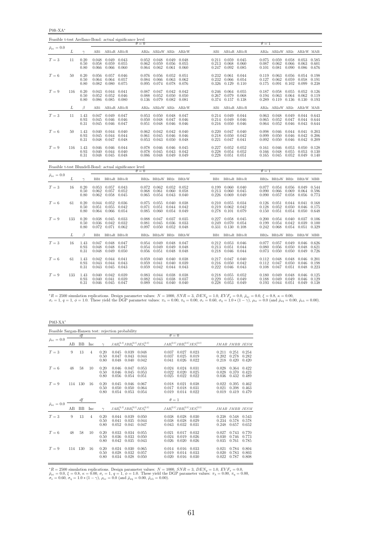P0ft-XA<sup>∗</sup>

| Feasible t-test Arellano-Bond: actual significance level |     |                      |                         |                                                             |                |                         |                                                             |                |                         |                |                                                                               |                |                         |                                                           |                         |                                                           |                |
|----------------------------------------------------------|-----|----------------------|-------------------------|-------------------------------------------------------------|----------------|-------------------------|-------------------------------------------------------------|----------------|-------------------------|----------------|-------------------------------------------------------------------------------|----------------|-------------------------|-----------------------------------------------------------|-------------------------|-----------------------------------------------------------|----------------|
| $\bar{\rho}_{x\varepsilon}=0.0$                          |     |                      |                         |                                                             |                | $\theta = 0$            |                                                             |                |                         |                |                                                                               |                | $\theta = 1$            |                                                           |                         |                                                           |                |
|                                                          | L   | $\gamma$             |                         | AB1 AB1aR AB1cR                                             |                |                         |                                                             |                | AB2a AB2aW AB2c AB2cW   |                | AB1 AB1aR AB1cR                                                               |                |                         | AB2a AB2aW AB2c AB2cW MAB                                 |                         |                                                           |                |
| $T=3$                                                    | 11  | 0.20<br>0.50<br>0.80 | 0.058<br>0.066          | $0.048$ $0.049$ $0.043$<br>$0.059$ $0.055$<br>$0.066$ 0.060 |                | 0.062<br>0.064          | $0.052$ $0.048$ $0.049$ $0.048$<br>0.059<br>$0.062$ 0.061   | 0.056          | 0.055<br>0.060          |                | $0.211$ $0.059$ $0.045$<br>$0.213$ 0.068<br>$0.247$ $0.092$ $0.085$           | 0.060          | 0.087                   | 0.075 0.059<br>0.062<br>$0.101$ $0.081$                   | 0.058<br>0.066<br>0.090 | $0.053$ $0.585$<br>0.063<br>0.086                         | 0.601<br>0.676 |
| $T=6$                                                    | 50  | 0.20<br>0.50<br>0.80 | 0.056<br>0.064<br>0.082 | $0.057$ 0.046<br>0.064 0.057<br>0.080 0.075                 |                | 0.076<br>0.084<br>0.095 | 0.056 0.052<br>0.066<br>0.074                               | 0.063<br>0.078 | 0.051<br>0.062<br>0.076 | 0.326          | $0.232$ $0.061$ $0.044$<br>0.232 0.066 0.054<br>0.129                         | 0.110          | 0.119<br>0.127<br>0.175 | 0.063<br>0.062<br>0.091                                   | 0.056<br>0.059<br>0.102 | $0.054$ 0.198<br>0.058<br>0.099                           | 0.191<br>0.238 |
| $T=9$                                                    | 116 | 0.20<br>0.50<br>0.80 | 0.052<br>0.086          | $0.043$ $0.044$ $0.041$<br>0.052<br>0.085 0.080             | 0.046          | 0.087<br>0.088<br>0.136 | $0.047$ 0.042<br>0.052<br>$0.079$ $0.082$ $0.081$           | 0.050          | 0.042<br>0.050          |                | 0.246 0.064 0.055<br>$0.267$ 0.079 0.068<br>0.374 0.157 0.138                 |                | 0.194<br>0.289          | $0.187$ 0.058<br>0.063<br>$0.119$ $0.136$                 | 0.055<br>0.064          | $0.052 \quad 0.126$<br>$0.062$ $0.119$<br>$0.130$ $0.193$ |                |
|                                                          | L   | $\beta$              | AB1                     | AB1aR AB1cR                                                 |                |                         |                                                             |                | AB2a AB2aW AB2c AB2cW   |                | AB1 AB1aR AB1cR                                                               |                |                         | AB2a AB2aW AB2c AB2cW MAB                                 |                         |                                                           |                |
| $T=3$                                                    | 11  | 1.43<br>0.93<br>0.31 | 0.045                   | $0.047$ $0.049$ $0.047$<br>$0.045$ $0.046$ $0.046$<br>0.046 | 0.047          | 0.050<br>0.051          | 0.053 0.050 0.048 0.047<br>0.048<br>0.048                   | 0.047<br>0.046 | 0.046<br>0.046          |                | $0.214$ $0.049$ $0.044$<br>$0.214$ $0.049$ $0.046$<br>$0.216$ $0.050$ $0.046$ |                | 0.065<br>0.064          | 0.063 0.048 0.049 0.044 0.643<br>0.052<br>0.052           | 0.047<br>0.046          | 0.044 0.644<br>$0.043$ $0.644$                            |                |
| $T=6$                                                    | 50  | 1.43<br>0.93<br>0.31 | 0.040<br>0.045<br>0.048 | 0.044 0.040<br>0.044<br>$0.047$ 0.048                       | 0.044          | 0.053                   | $0.062$ $0.042$ $0.042$<br>$0.061$ $0.045$<br>$0.043$ 0.050 | 0.046          | 0.040<br>0.046<br>0.048 | 0.218          | $0.220$ $0.047$ $0.040$<br>0.050<br>$0.221$ $0.047$ $0.041$                   | 0.042          | 0.098<br>0.099<br>0.092 | 0.046<br>0.050<br>0.050                                   | 0.046<br>0.046          | $0.044$ $0.041$ $0.203$<br>$0.042$ 0.206<br>$0.042$ 0.209 |                |
| $T=9$                                                    | 116 | 1.43<br>0.93<br>0.31 | 0.040<br>0.048          | $0.046$ $0.046$ $0.044$<br>$0.044$ $0.040$<br>$0.045$ 0.048 |                | 0.078<br>0.078<br>0.086 | 0.046 0.046 0.045<br>0.045<br>0.048 0.049 0.049             | 0.043          | 0.042                   | 0.228          | $0.227$ $0.052$ $0.052$<br>0.054 0.052<br>$0.228$ $0.051$ $0.051$             |                | 0.166<br>0.165          | $0.161$ $0.046$<br>0.048<br>0.045                         | 0.053<br>0.055          | $0.050$ $0.128$<br>0.053<br>$0.052$ $0.049$ $0.140$       | 0.130          |
| Feasible t-test Blundell-Bond: actual significance level |     |                      |                         |                                                             |                | $\theta = 0$            |                                                             |                |                         |                |                                                                               |                | $\theta = 1$            |                                                           |                         |                                                           |                |
| $\bar{\rho}_{x\varepsilon}=0.0$                          | L   | $\gamma$             |                         | BB1 BB1aR BB1cR                                             |                |                         |                                                             |                | BB2a BB2aW BB2c BB2cW   |                | BB1 BB1aR BB1cR                                                               |                |                         | BB2a BB2aW BB2c BB2cW MBB                                 |                         |                                                           |                |
| $T=3$                                                    | 16  | 0.20<br>0.50<br>0.80 | 0.062<br>0.062          | $0.053$ $0.057$ $0.043$<br>$0.057$ $0.052$<br>0.058         | 0.045          | 0.068<br>0.065          | $0.072$ $0.062$ $0.052$ $0.052$<br>0.061<br>$0.054$ 0.043   | 0.060          | 0.058<br>0.040          | 0.213<br>0.226 | $0.199$ $0.060$ $0.040$<br>$0.060$ $0.045$<br>0.069                           | 0.049          | 0.077<br>0.090<br>0.090 | 0.066<br>0.057                                            | 0.069<br>0.058          | $0.054$ $0.056$ $0.049$ $0.544$<br>0.064 0.596<br>0.056   | 0.773          |
| $T=6$                                                    | 61  | 0.20<br>0.50<br>0.80 | 0.051                   | $0.044$ $0.052$ $0.036$<br>0.055<br>$0.064$ 0.066           | 0.042<br>0.054 | 0.075<br>0.071<br>0.085 | $0.055$ $0.040$ $0.038$<br>0.051<br>0.060                   | 0.044<br>0.054 | 0.042<br>0.049          | 0.219<br>0.278 | 0.210 0.055 0.034<br>0.062<br>$0.101$ $0.079$                                 | 0.042          | 0.126<br>0.128<br>0.150 | 0.051<br>0.052<br>0.051                                   | 0.050<br>0.054          | $0.044$ $0.041$ $0.168$<br>0.046<br>0.050                 | 0.175<br>0.648 |
| $T=9$                                                    | 133 | 0.20<br>0.50<br>0.80 | 0.038<br>0.036          | 0.045<br>0.042<br>$0.072$ $0.071$ $0.062$                   | 0.033<br>0.032 | 0.088<br>0.081          | $0.047$ 0.037<br>0.045<br>$0.097$ $0.050$ $0.052$ $0.048$   | 0.036          | 0.035<br>0.033          |                | $0.227$ $0.058$ $0.045$<br>0.249 0.070 0.054<br>$0.331$ $0.130$ $0.108$       |                | 0.200<br>0.199          | 0.054<br>0.054<br>$0.242$ 0.068                           | 0.040<br>0.042          | $0.037$ $0.106$<br>0.039<br>$0.054$ $0.051$ $0.329$       | 0.100          |
|                                                          | L   | $\beta$              | BB1                     | BB1aR BB1cR                                                 |                |                         |                                                             |                | BB2a BB2aW BB2c BB2cW   | BB1            | BB1aR BB1cR                                                                   |                |                         | BB2a BB2aW BB2c BB2cW MBB                                 |                         |                                                           |                |
| $T=3$                                                    | 16  | 1.43<br>0.93<br>0.31 | 0.048<br>0.048          | $0.047$ $0.048$ $0.047$<br>0.048<br>0.049                   | 0.047<br>0.050 | 0.054<br>0.056          | 0.054 0.049 0.048 0.047<br>0.049 0.049<br>$0.051$ 0.048     |                | 0.048<br>0.048          |                | $0.212$ $0.053$ $0.046$<br>$0.213$ $0.051$ $0.044$<br>0.218 0.046 0.044       |                | 0.080<br>0.073          | $0.077$ $0.057$ $0.049$<br>0.056<br>0.050                 | 0.050<br>0.050          | $0.046$ 0.626<br>0.048 0.621<br>0.049                     | 0.726          |
| $T=6$                                                    | 61  | 1.43<br>0.93<br>0.31 | 0.042<br>0.043          | 0.044 0.041<br>0.044<br>$0.043$ $0.045$ $0.043$             | 0.043          | 0.059<br>0.059<br>0.059 | $0.040 \quad 0.040$<br>0.041<br>$0.042$ 0.044               | 0.040          | 0.038<br>0.039<br>0.043 | 0.216          | $0.217$ $0.047$ $0.040$<br>0.050<br>$0.222$ $0.046$ $0.043$                   | 0.042          | 0.112<br>0.108          | $0.112 \quad 0.048$<br>0.047<br>0.047                     | 0.048<br>0.050<br>0.051 | $0.046$ $0.201$<br>0.046<br>0.048                         | 0.198<br>0.223 |
| $T=9$                                                    | 133 | 1.43<br>0.93<br>0.31 | 0.040<br>0.046          | $0.040$ $0.042$ $0.039$<br>0.041<br>$0.045$ 0.047           | 0.039          | 0.083<br>0.082          | 0.044<br>0.043<br>$0.089$ $0.044$ $0.040$                   | 0.038<br>0.038 | 0.038<br>0.037<br>0.040 | 0.229          | 0.218 0.055<br>0.055<br>$0.228$ $0.053$ $0.049$                               | 0.052<br>0.049 | 0.180<br>0.188          | 0.049<br>0.049<br>$0.193$ $0.044$ $0.051$ $0.049$ $0.138$ | 0.048<br>0.049          | $0.046$ $0.125$<br>0.046                                  | 0.129          |

 ${}^{*}R = 2500$  simulation replications. Design parameter values:  $N = 1000$ ,  $SNR = 3$ ,  $DEN_y = 1.0$ ,  $EVF_x = 0.0$ ,  $\bar{\rho}_{x\bar{x}} = 0.0$ ,  $\xi = 0.8$ ,  $\kappa = 0.00$ ,<br> $\sigma_{\varepsilon} = 1$ ,  $q = 1$ ,  $\phi = 1.0$ . These yield the DGP parameter values:

P0fJ-XA<sup>∗</sup>

|                                 |     |           |                |                      | Feasible Sargan-Hansen test: rejection probability |                         |                         |                         |                                           |                         |                         |                         |
|---------------------------------|-----|-----------|----------------|----------------------|----------------------------------------------------|-------------------------|-------------------------|-------------------------|-------------------------------------------|-------------------------|-------------------------|-------------------------|
|                                 |     | df        |                |                      |                                                    |                         | $\theta = 0$            |                         |                                           |                         |                         |                         |
| $\bar{\rho}_{x\varepsilon}=0.0$ | AВ  | <b>BB</b> | Inc            | $\sim$               | $JAB_a^{(2,1)}JBB_a^{(2,1)}JES_a^{(2,1)}$          |                         |                         |                         | $JAB_c^{(2,1)}JBB_c^{(2,1)}JES_c^{(2,1)}$ |                         | JMAB JMBB JESM          |                         |
| $T=3$                           | 9   | 13        | 4              | 0.20<br>0.50<br>0.80 | 0.045<br>0.039<br>0.047<br>0.043<br>0.048<br>0.040 | 0.048<br>0.044<br>0.042 | 0.037<br>0.037<br>0.041 | 0.027<br>0.025<br>0.026 | 0.023<br>0.019<br>0.022                   | 0.211<br>0.202<br>0.218 | 0.251<br>0.278<br>0.420 | 0.254<br>0.282<br>0.420 |
| $T=6$                           | 48  | 58        | 10             | 0.20<br>0.50<br>0.80 | 0.046<br>0.047<br>0.046<br>0.045<br>0.056<br>0.054 | 0.053<br>0.053<br>0.051 | 0.024<br>0.022<br>0.025 | 0.024<br>0.020<br>0.022 | 0.031<br>0.025<br>0.022                   | 0.028<br>0.028<br>0.036 | 0.364<br>0.370<br>0.432 | 0.422<br>0.423<br>0.489 |
| $T=9$                           | 114 | 130       | 16             | 0.20<br>0.50<br>0.80 | 0.045<br>0.046<br>0.050<br>0.050<br>0.054<br>0.053 | 0.067<br>0.064<br>0.054 | 0.018<br>0.017<br>0.019 | 0.021<br>0.018<br>0.014 | 0.038<br>0.031<br>0.022                   | 0.022<br>0.021<br>0.019 | 0.395<br>0.398<br>0.419 | 0.462<br>0.463<br>0.479 |
|                                 |     | df        |                |                      |                                                    |                         | $\theta=1$              |                         |                                           |                         |                         |                         |
| $\bar{\rho}_{x\varepsilon}=0.0$ | AВ  | <b>BB</b> | Inc            | $\sim$               | $JAB_a^{(2,1)}JBB_a^{(2,1)}JES_a^{(2,1)}$          |                         |                         |                         | $JAB_c^{(2,1)}JBB_c^{(2,1)}JES_c^{(2,1)}$ |                         | JMAB JMBB JESM          |                         |
| $T=3$                           | 9   | 13        | $\overline{4}$ | 0.20<br>0.50<br>0.80 | 0.044<br>0.039<br>0.041<br>0.035<br>0.052<br>0.041 | 0.050<br>0.044<br>0.047 | 0.038<br>0.038<br>0.043 | 0.028<br>0.028<br>0.032 | 0.030<br>0.029<br>0.031                   | 0.238<br>0.234<br>0.248 | 0.548<br>0.578<br>0.657 | 0.543<br>0.578<br>0.652 |
| $T=6$                           | 48  | 58        | 10             | 0.20<br>0.50<br>0.80 | 0.033<br>0.034<br>0.033<br>0.036<br>0.042<br>0.035 | 0.055<br>0.050<br>0.043 | 0.021<br>0.024<br>0.026 | 0.017<br>0.019<br>0.020 | 0.032<br>0.026<br>0.026                   | 0.027<br>0.030<br>0.035 | 0.743<br>0.746<br>0.761 | 0.770<br>0.773<br>0.785 |
| $T=9$                           | 114 | 130       | 16             | 0.20<br>0.50<br>0.80 | 0.024<br>0.030<br>0.028<br>0.032<br>0.034<br>0.028 | 0.065<br>0.057<br>0.050 | 0.014<br>0.019<br>0.020 | 0.016<br>0.014<br>0.016 | 0.033<br>0.033<br>0.030                   | 0.021<br>0.020<br>0.022 | 0.784<br>0.783<br>0.787 | 0.804<br>0.803<br>0.808 |

\*R = 2500 simulation replications. Design parameter values:  $N = 1000$ ,  $SNR = 3$ ,  $DEN_y = 1.0$ ,  $EVF_x = 0.0$ ,  $\bar{\rho}_{xe} = 0.0$ ,  $\xi = 0.8$ ,  $\kappa = 0.00$ ,  $\sigma_x = 1$ ,  $q = 1$ ,  $\phi = 1.0$ . These yield the DGP parameter values:  $\pi_{\lambda} = 0.$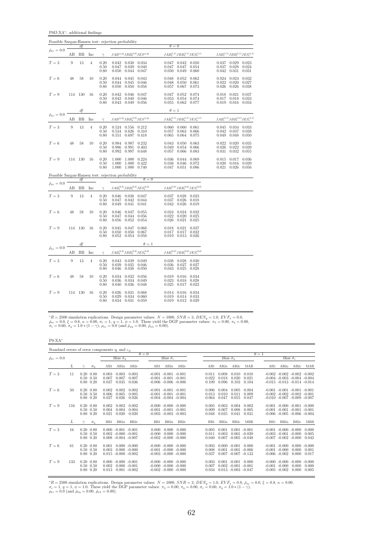P0fJ-XA<sup>∗</sup> : additional findings

|                                 |     |          |                |                                                     | Feasible Sargan-Hansen test: rejection probability                                     |                                                                                                              |                                                                                |
|---------------------------------|-----|----------|----------------|-----------------------------------------------------|----------------------------------------------------------------------------------------|--------------------------------------------------------------------------------------------------------------|--------------------------------------------------------------------------------|
| $\bar{\rho}_{x\varepsilon}=0.0$ |     | df       |                |                                                     |                                                                                        | $\theta = 0$                                                                                                 |                                                                                |
|                                 | AB  | BB       | Inc            | $\gamma$                                            | $JAB^{(1,0)}JBB^{(1,0)}_aJES^{(1,0)}$                                                  | $JAB_a^{(1,1)}JBB_a^{(1,1)}JES_a^{(1,1)}$                                                                    | $JAB_c^{(1,1)}JBB_c^{(1,1)}JES_c^{(1,1)}$                                      |
| $T=3$                           | 9   | 13       | $\overline{4}$ | 0.20<br>0.50<br>0.80                                | $0.042$ $0.038$ $0.034$<br>0.047<br>0.039<br>0.040<br>0.050<br>0.044<br>0.047          | 0.042<br>0.047<br>0.050<br>0.047<br>0.047<br>0.054<br>0.050<br>0.049<br>0.060                                | 0.037<br>0.029<br>0.023<br>0.037<br>0.028<br>0.024<br>0.042<br>0.031<br>0.031  |
| $T=6$                           | 48  | 58       | 10             | 0.20<br>0.50<br>0.80                                | 0.044<br>0.045<br>0.043<br>0.044<br>0.045<br>0.046<br>0.050<br>0.050<br>0.058          | 0.048<br>0.052<br>0.062<br>0.048<br>0.050<br>0.061<br>0.057<br>0.067<br>0.073                                | 0.024<br>0.024<br>0.032<br>0.022<br>0.020<br>0.027<br>0.026<br>0.026<br>0.038  |
| $T=9$                           | 114 | 130      | 16             | 0.20<br>0.50<br>0.80                                | 0.042<br>0.046<br>0.047<br>0.040<br>0.046<br>0.042<br>0.043<br>0.049<br>0.056          | 0.047<br>0.052<br>0.074<br>0.053<br>0.054<br>0.074<br>0.055<br>$0.062$ 0.077                                 | 0.021<br>0.018<br>0.037<br>0.017<br>0.018<br>0.033<br>$0.019$ $0.016$<br>0.034 |
|                                 |     | df       |                |                                                     |                                                                                        | $\theta=1$                                                                                                   |                                                                                |
| $\bar{\rho}_{x\varepsilon}=0.0$ | AВ  | BB       | Inc            | $\gamma$                                            | $JAB^{(1,0)}JBB^{(1,0)}_aJES^{(1,0)}$                                                  | $JAB^{(1,1)}_aJBB^{(1,1)}_aJES^{(1,1)}_a$                                                                    | $JAB_c^{(1,1)}JBB_c^{(1,1)}JES_c^{(1,1)}$                                      |
| $T=3$                           | 9   | 13       | $\overline{4}$ | $\begin{array}{c} 0.20 \\ 0.50 \end{array}$<br>0.80 | 0.524 0.556 0.212<br>0.310<br>0.534<br>0.626<br>0.551<br>0.697<br>0.418                | 0.060<br>$0.060$ $0.061$<br>$\frac{0.057}{0.065}$<br>0.066<br>0.063<br>0.064<br>0.075                        | 0.045 0.034<br>0.033<br>0.042<br>0.037<br>0.038<br>0.049<br>0.048<br>0.050     |
| $T=6$                           | 48  | 58       | 10             | 0.20<br>0.50<br>0.80                                | 0.984<br>0.987<br>0.232<br>$\!0.991\!$<br>0.986<br>0.403<br>0.992<br>0.997<br>0.648    | 0.043<br>0.050<br>0.063<br>0.049<br>0.054<br>0.066<br>0.057<br>0.066<br>0.083                                | 0.020<br>0.035<br>0.022<br>0.022<br>0.026<br>0.039<br>0.032<br>0.031<br>0.055  |
| $T=9$                           | 114 | 130      | 16             | 0.20<br>0.50<br>0.80                                | 1.000 0.224<br>1.000<br>0.422<br>1.000<br>1.000<br>0.740<br>1.000<br>1.000             | 0.036<br>0.044<br>0.069<br>0.038<br>0.072<br>0.046<br>0.047<br>0.051<br>0.086                                | 0.017<br>0.015<br>0.036<br>0.020<br>0.016<br>0.039<br>$0.021$ $0.026$<br>0.056 |
|                                 |     |          |                |                                                     | Feasible Sargan-Hansen test: rejection probability<br>$\theta = 0$                     |                                                                                                              |                                                                                |
| $\bar{\rho}_{x\varepsilon}=0.0$ | AB  | df<br>BB | Inc            | $\gamma$                                            | $JAB_{a}^{\left( 2,2\right) }JBB_{a}^{\left( 2,2\right) }JES_{a}^{\left( 2,2\right) }$ | $JAB_c^{(2,2)}JBB_c^{(2,2)}JES_c^{(2,2)}$                                                                    |                                                                                |
| $T=3$                           | 9   | 13       | $\overline{4}$ | 0.20<br>0.50<br>0.80                                | 0.038<br>0.047<br>0.046<br>0.047<br>0.042<br>0.044<br>0.049<br>$\,0.041\,$<br>0.041    | 0.037<br>0.028<br>0.023<br>0.037<br>0.026<br>0.018<br>0.042<br>0.026<br>0.019                                |                                                                                |
| $T=6$                           | 48  | 58       | 10             | 0.20<br>0.50<br>0.80                                | 0.046<br>0.047<br>0.055<br>0.044<br>0.056<br>0.047<br>0.052<br>0.054<br>0.056          | 0.024<br>0.024<br>0.032<br>0.022<br>0.020<br>0.025<br>0.026<br>0.021<br>0.025                                |                                                                                |
| $T=9$                           | 114 | 130      | 16             | $0.20\,$<br>0.50<br>0.80                            | $\,0.045\,$<br>0.047<br>0.068<br>0.050<br>0.050<br>0.067<br>0.052<br>0.054<br>0.058    | $\begin{array}{c} 0.018 \\ 0.017 \end{array}$<br>0.021<br>0.037<br>0.032<br>0.017<br>0.019<br>0.013<br>0.026 |                                                                                |
| $\bar{\rho}_{x\varepsilon}=0.0$ |     | df       |                |                                                     | $\theta=1$                                                                             |                                                                                                              |                                                                                |
|                                 | AВ  | ΒB       | Inc            | $\gamma$                                            | $JAB_a^{(2,2)}JBB_a^{(2,2)}JES_a^{(2,2)}$                                              | $JAB_c^{(2,2)}JBB_c^{(2,2)}JES_c^{(2,2)}$                                                                    |                                                                                |
| $T=3$                           | 9   | 13       | $\overline{4}$ | 0.20<br>0.50<br>0.80                                | $0.043$ $0.039$ $0.049$<br>0.035<br>0.046<br>0.039<br>0.046<br>0.038<br>0.050          | 0.028<br>0.038<br>0.030<br>0.036<br>0.027<br>0.027<br>0.043<br>0.025<br>0.028                                |                                                                                |
| $T=6$                           | 48  | 58       | 10             | 0.20<br>0.50<br>0.80                                | 0.034<br>0.032<br>0.056<br>0.034<br>0.049<br>0.036<br>0.036<br>0.040<br>0.048          | 0.016<br>0.034<br>0.019<br>$\frac{0.023}{0.025}$<br>0.018<br>0.028<br>0.017<br>0.022                         |                                                                                |
| $T=9$                           | 114 | 130      | 16             | 0.20<br>0.50<br>0.80                                | 0.031<br>0.026<br>0.068<br>0.034<br>0.060<br>0.029<br>0.034<br>0.031<br>0.059          | 0.014<br>0.016<br>0.034<br>0.019<br>0.014<br>0.033<br>0.019<br>$0.012$ $0.029$                               |                                                                                |

 ${}^*R = 2500$  simulation replications. Design parameter values:  $N = 1000$ ,  $SNR = 3$ ,  $DEN_y = 1.0$ ,  $EVF_x = 0.0$ ,  $\bar{\rho}_{xe} = 0.0$ ,  $\xi = 0.8$ ,  $\kappa = 0.00$ ,  $\sigma_e = 1$ ,  $q = 1$ ,  $\phi = 1.0$ . These yield the DGP parameter values:  $\pi_{\lambda} =$ 

P0-XA<sup>∗</sup>

| Standard errors of error components $\eta_i$ and $\varepsilon_{it}$ |     |                                                   |            |                         |                                                                               |                                    |                   |                                                          |                                                                                  |                         |                                   |                                                                        |                         |                 |                                                                                                                   |                                                 |                         |
|---------------------------------------------------------------------|-----|---------------------------------------------------|------------|-------------------------|-------------------------------------------------------------------------------|------------------------------------|-------------------|----------------------------------------------------------|----------------------------------------------------------------------------------|-------------------------|-----------------------------------|------------------------------------------------------------------------|-------------------------|-----------------|-------------------------------------------------------------------------------------------------------------------|-------------------------------------------------|-------------------------|
| $\bar{\rho}_{x\varepsilon}=0.0$                                     |     |                                                   |            |                         | Bias $\hat{\sigma}_n$                                                         |                                    | $\theta = 0$      | Bias $\hat{\sigma}_{\varepsilon}$                        |                                                                                  |                         | Bias $\hat{\sigma}_\eta$          |                                                                        |                         | $\theta = 1$    |                                                                                                                   | Bias $\hat{\sigma}_{\varepsilon}$               |                         |
|                                                                     | L   |                                                   | $\sigma_n$ |                         |                                                                               | AB1 AB2a AB2c                      |                   |                                                          | AB1 AB2a AB2c                                                                    | AB1                     | AB <sub>2a</sub> AB <sub>2c</sub> |                                                                        | MAB                     | AB1             |                                                                                                                   | AB <sub>2a</sub> AB <sub>2c</sub> MAB           |                         |
| $T=3$                                                               | 11  | $0.20\ 0.80$<br>$0.50 \quad 0.50$<br>$0.80\ 0.20$ |            | 0.003<br>0.007<br>0.037 | 0.003<br>0.007<br>0.035                                                       | 0.003<br>0.007<br>0.036            |                   | $-0.001$ $-0.001$ $-0.001$<br>$-0.001$ $-0.001$ $-0.001$ | $-0.006 - 0.006 - 0.006$                                                         | 0.011<br>0.022<br>0.109 | 0.008<br>0.018<br>$0.096$ $0.103$ | 0.010<br>0.020                                                         | 0.010<br>0.021<br>0.104 |                 | $-0.002$ $-0.002$ $-0.002$ $-0.002$<br>$-0.004$ $-0.003$ $-0.004$ $-0.004$<br>$-0.015 - 0.013 - 0.014 - 0.014$    |                                                 |                         |
| $T=6$                                                               | 50  | $0.20\ 0.80$<br>$0.50 \quad 0.50$<br>$0.80\ 0.20$ |            | 0.002<br>0.006<br>0.027 | 0.002<br>0.005<br>0.026                                                       | 0.002<br>0.005<br>0.026            |                   | $-0.001$ $-0.001$ $-0.001$<br>$-0.001$ $-0.001$ $-0.001$ | $-0.004$ $-0.004$ $-0.004$                                                       | 0.006<br>0.013<br>0.064 | 0.004<br>0.010<br>0.047           | 0.005<br>0.011<br>0.055                                                | 0.004<br>0.009<br>0.047 |                 | $-0.001$ $-0.001$ $-0.001$ $-0.001$<br>$-0.002$ $-0.002$ $-0.002$ $-0.001$<br>$-0.010$ $-0.007$ $-0.009$ $-0.007$ |                                                 |                         |
| $T=9$                                                               | 116 | $0.20\ 0.80$<br>$0.50 \quad 0.50$<br>$0.80\ 0.20$ |            | 0.002<br>0.004<br>0.021 | 0.002<br>0.004<br>0.020                                                       | 0.002<br>0.004<br>0.020            |                   | $-0.001$ $-0.001$ $-0.001$                               | $-0.000 - 0.000 - 0.000$<br>$-0.003 - 0.003 - 0.003$                             | 0.005<br>0.009<br>0.048 | 0.003<br>0.007<br>0.035           | 0.004<br>0.008<br>0.041                                                | 0.002<br>0.005<br>0.031 |                 | $-0.001$ $-0.000$ $-0.001$ $-0.000$<br>$-0.001$ $-0.001$ $-0.001$ $-0.001$<br>$-0.006$ $-0.005$ $-0.006$ $-0.004$ |                                                 |                         |
|                                                                     | L   |                                                   | $\sigma_n$ | B <sub>B1</sub>         | BB <sub>2a</sub>                                                              | BB2c                               | BB1               | BB <sub>2a</sub>                                         | BB2c                                                                             | B <sub>B1</sub>         | BB <sub>2a</sub>                  | BB <sub>2c</sub>                                                       | <b>MBB</b>              | B <sub>B1</sub> | BB <sub>2a</sub>                                                                                                  | BB2c                                            | MBB                     |
| $T = 3$                                                             | 16  | $0.20\ 0.80$<br>$0.50 \quad 0.50$<br>$0.80\ 0.20$ |            |                         | $0.000 - 0.001 - 0.001$<br>$0.002 - 0.000 - 0.001$<br>$0.008 - 0.004 - 0.007$ |                                    | 0.000<br>$-0.000$ | 0.000<br>0.000                                           | 0.000<br>0.000<br>$-0.002 - 0.000 - 0.000$                                       | 0.005<br>0.011<br>0.040 | 0.001                             | $0.001 - 0.001$<br>$0.003$ $0.001$ $-0.020$<br>$0.007 - 0.005 - 0.048$ |                         |                 | $-0.001 - 0.000 - 0.000$<br>$-0.003$ $-0.001$ $-0.000$<br>$-0.007$ $-0.002$ $-0.000$                              |                                                 | 0.000<br>0.005<br>0.042 |
| $T=6$                                                               | 61  | $0.20\ 0.80$<br>$0.50 \quad 0.50$<br>$0.80\ 0.20$ |            | 0.001<br>0.003          | $0.015 - 0.000 - 0.002$                                                       | $0.000 - 0.000$<br>$0.000 - 0.000$ |                   |                                                          | $-0.000 - 0.000 - 0.000$<br>$-0.001 - 0.000 - 0.000$<br>$-0.003 - 0.000 - 0.000$ | 0.003<br>0.008<br>0.037 | $0.000 - 0.001$                   | $0.001 - 0.001 - 0.006$<br>$0.007 - 0.007 - 0.133$                     | 0.000                   |                 | $-0.001 - 0.000$<br>$-0.001 - 0.000$<br>$-0.006 - 0.002$                                                          | $0.000 - 0.000$<br>$0.000 \quad 0.001$<br>0.000 | 0.017                   |
| $T=9$                                                               | 133 | $0.20\ 0.80$<br>$0.50 \quad 0.50$<br>$0.80\ 0.20$ |            | 0.002<br>0.013          | $0.000 - 0.000 - 0.001$                                                       | $0.000 - 0.001$<br>$0.001 - 0.002$ |                   |                                                          | $-0.000 - 0.000 - 0.000$<br>$-0.000 - 0.000 - 0.000$<br>$-0.002 - 0.000 - 0.000$ | 0.003<br>0.007<br>0.034 | $0.001 - 0.001$                   | $0.002 - 0.001 - 0.001$<br>$0.013 - 0.003 - 0.047$                     | 0.000                   | $-0.005$        | $-0.000 - 0.000 - 0.000 - 0.000$<br>$-0.001 - 0.000$<br>$-0.002$                                                  | 0.000<br>0.000                                  | 0.000<br>0.005          |

 ${}^*R = 2500$  simulation replications. Design parameter values:  $N = 1000$ ,  $SNR = 3$ ,  $DEN_y = 1.0$ ,  $EVF_x = 0.0$ ,  $\bar{\rho}_{x\bar{x}} = 0.0$ ,  $\xi = 0.8$ ,  $\kappa = 0.00$ ,<br>  $\sigma_{\varepsilon} = 1$ ,  $q = 1$ ,  $\phi = 1.0$ . These yield the DGP parameter values: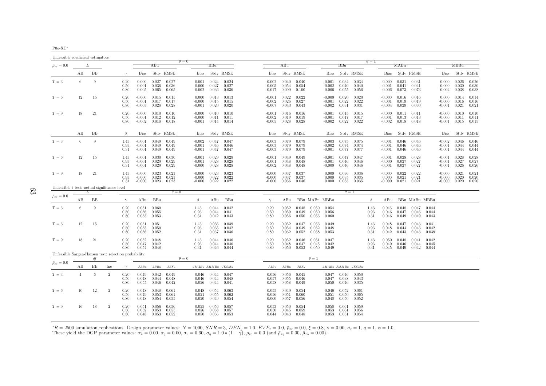| 2011. |
|-------|
|       |

| Unfeasible coefficient estimators                    |                |    |                |                      |                                  |                         |                                 |                                  |                                           |                                             |                                  |                         |                         |                         |                                  |                                   |                         |                      |                                  |                                                              |                         |                         |                                  |                         |                         |
|------------------------------------------------------|----------------|----|----------------|----------------------|----------------------------------|-------------------------|---------------------------------|----------------------------------|-------------------------------------------|---------------------------------------------|----------------------------------|-------------------------|-------------------------|-------------------------|----------------------------------|-----------------------------------|-------------------------|----------------------|----------------------------------|--------------------------------------------------------------|-------------------------|-------------------------|----------------------------------|-------------------------|-------------------------|
| $\bar{\rho}_{x\varepsilon}=0.0$                      |                | L  |                |                      |                                  | ABu                     |                                 | $\theta = 0$                     | BBu                                       |                                             |                                  | ABu                     |                         |                         |                                  | BBu                               |                         | $\theta = 1$         |                                  | MABu                                                         |                         |                         |                                  | MBBu                    |                         |
|                                                      | AВ             | ΒB |                | $\gamma$             | Bias                             |                         | Stdy RMSE                       | Bias                             |                                           | Stdy RMSE                                   | Bias                             |                         | Stdy RMSE               |                         | Bias                             |                                   | Stdy RMSE               |                      | Bias                             |                                                              | Stdy RMSE               |                         | Bias                             |                         | Stdy RMSE               |
| $T=3$                                                | 6              | 9  |                | 0.20<br>0.50<br>0.80 | $-0.000$<br>$-0.001$<br>$-0.005$ | 0.027<br>0.036<br>0.065 | 0.027<br>0.036<br>0.065         | 0.001<br>0.000<br>$-0.002$       | 0.024<br>0.027<br>0.036                   | 0.024<br>0.027<br>0.036                     | $-0.002$<br>$-0.005$<br>$-0.017$ | 0.040<br>0.054<br>0.099 | 0.040<br>0.054<br>0.100 |                         | $-0.001$<br>$-0.002$<br>$-0.006$ | 0.034<br>0.040<br>0.055           | 0.034<br>0.040<br>0.056 |                      | $-0.000$<br>-0.001<br>$-0.006$   | 0.031<br>0.041<br>0.073                                      | 0.031<br>0.041<br>0.073 |                         | 0.000<br>$-0.000$<br>$-0.002$    | 0.026<br>0.030<br>0.038 | 0.026<br>0.030<br>0.038 |
| $T=6$                                                | 12             | 15 |                | 0.20<br>0.50<br>0.80 | $-0.000$<br>$-0.001$<br>$-0.003$ | 0.015<br>0.017<br>0.028 | 0.015<br>0.017<br>0.028         | 0.000<br>$-0.000$<br>$-0.001$    | 0.015<br>0.020                            | $0.013$ $0.013$<br>0.015<br>0.020           | $-0.001$<br>$-0.002$<br>$-0.007$ | 0.022<br>0.026<br>0.043 | 0.022<br>0.027<br>0.043 |                         | $-0.000$<br>$-0.001$<br>$-0.002$ | 0.020<br>0.022<br>0.031           | 0.020<br>0.022<br>0.031 |                      | $-0.000$<br>$-0.001$<br>$-0.004$ | 0.016<br>0.019<br>0.029                                      | 0.016<br>0.019<br>0.030 |                         | 0.000<br>$-0.000$<br>$-0.001$    | 0.014<br>0.016<br>0.021 | 0.014<br>0.016<br>0.021 |
| $T=9$                                                | 18             | 21 |                | 0.20<br>0.50<br>0.80 | $-0.000$<br>$-0.001$<br>$-0.002$ | 0.010<br>0.012<br>0.018 | 0.010<br>0.012<br>0.018         | $-0.000$<br>$-0.000$<br>$-0.001$ | 0.011                                     | $0.010$ $0.010$<br>0.011<br>$0.014$ $0.014$ | $-0.001$<br>$-0.002$<br>$-0.005$ | 0.016<br>0.019<br>0.028 | 0.016<br>0.019<br>0.028 |                         | $-0.001$<br>$-0.001$<br>$-0.002$ | 0.015<br>0.017<br>0.022           | 0.015<br>0.017<br>0.022 |                      | $-0.000$                         | 0.011<br>$-0.001$ $0.013$<br>$-0.002$ 0.018                  | 0.011<br>0.013<br>0.018 |                         | $-0.000$<br>$-0.000$<br>$-0.001$ | 0.010<br>0.011<br>0.015 | 0.010<br>0.011<br>0.015 |
|                                                      | AB             | BB |                | $\beta$              | Bias                             |                         | Stdy RMSE                       | <b>Bias</b>                      |                                           | Stdy RMSE                                   | Bias                             |                         | Stdy RMSE               |                         | Bias                             |                                   | Stdy RMSE               |                      | Bias                             |                                                              | Stdy RMSE               |                         | Bias                             |                         | Stdy RMSE               |
| $T=3$                                                | 6              | 9  |                | 1.43<br>0.93<br>0.31 | $-0.001$<br>$-0.001$<br>$-0.001$ | 0.049<br>0.049          | $0.049$ 0.049<br>0.049<br>0.049 | $-0.002$<br>$-0.001$<br>$-0.001$ | 0.046<br>0.047                            | $0.047$ 0.047<br>0.046<br>0.047             | $-0.003$<br>$-0.003$<br>$-0.003$ | 0.079<br>0.079<br>0.079 | 0.079<br>0.079<br>0.079 |                         | $-0.003$<br>$-0.002$<br>$-0.001$ | 0.075<br>0.074<br>0.077           | 0.075<br>0.074<br>0.077 |                      | $-0.001$                         | 0.046<br>$-0.001$ 0.046<br>$-0.001$ 0.046                    | 0.046<br>0.046<br>0.046 |                         | $-0.002$<br>$-0.001$<br>$-0.001$ | 0.046<br>0.044<br>0.044 | 0.046<br>0.044<br>0.044 |
| $T=6$                                                | 12             | 15 |                | 1.43<br>0.93<br>0.31 | $-0.001$<br>$-0.001$<br>$-0.001$ | 0.030<br>0.029<br>0.029 | 0.030<br>0.029<br>0.029         | $-0.001$<br>$-0.001$<br>$-0.000$ | 0.029<br>0.028<br>0.028                   | 0.029<br>0.028<br>0.028                     | $-0.001$<br>$-0.001$<br>$-0.002$ | 0.049<br>0.048<br>0.048 | 0.049<br>0.048<br>0.048 |                         | $-0.001$<br>$-0.001$<br>$-0.000$ | 0.047<br>0.046<br>0.046           | 0.047<br>0.046<br>0.046 |                      | $-0.000$<br>$-0.001$             | $-0.001$ 0.028<br>0.027<br>0.027                             | 0.028<br>0.027<br>0.027 |                         | $-0.001$<br>$-0.001$<br>$-0.001$ | 0.028<br>0.027<br>0.026 | 0.028<br>0.027<br>0.026 |
| $T=9$                                                | 18             | 21 |                | 1.43<br>0.93<br>0.31 | $-0.000$<br>$-0.000$<br>$-0.000$ | 0.023<br>0.023<br>0.023 | 0.023<br>0.023<br>0.023         | $-0.000$<br>$-0.000$<br>$-0.000$ | 0.023<br>0.022<br>0.022                   | 0.023<br>0.022<br>0.022                     | $-0.000$<br>$-0.000$<br>$-0.000$ | 0.037<br>0.037<br>0.036 | 0.037<br>0.037<br>0.036 |                         | 0.000<br>0.000<br>0.000          | 0.036<br>0.035<br>0.035           | 0.036<br>0.035<br>0.035 |                      |                                  | $-0.000 \t 0.022$<br>$0.000 \quad 0.021$<br>$-0.000$ $0.021$ | 0.022<br>0.021<br>0.021 |                         | $-0.000$<br>$-0.000$<br>$-0.000$ | 0.021<br>0.020<br>0.020 | 0.021<br>0.020<br>0.020 |
| Unfeasible t-test: actual significance level         |                |    |                |                      |                                  |                         | $\theta = 0$                    |                                  |                                           |                                             |                                  |                         |                         |                         |                                  | $\theta = 1$                      |                         |                      |                                  |                                                              |                         |                         |                                  |                         |                         |
| $\bar{\rho}_{x\varepsilon}=0.0$                      | AВ             | BB |                | $\gamma$             | ABu                              | BBu                     |                                 | $\beta$                          | ABu                                       | BBu                                         | $\gamma$                         | ABu                     |                         |                         | BBu MABu MBBu                    |                                   |                         | $\beta$              | ABu                              |                                                              | BBu MABu MBBu           |                         |                                  |                         |                         |
| $T=3$                                                | 6              | 9  |                | 0.20<br>0.50<br>0.80 | 0.051<br>0.056<br>0.055          | 0.060<br>0.055<br>0.053 |                                 | 1.43<br>0.93<br>0.31             | 0.044<br>0.044<br>0.042                   | 0.042<br>0.041<br>0.043                     | 0.20<br>0.50<br>0.80             | 0.052<br>0.059<br>0.056 | 0.048<br>0.049<br>0.050 | 0.050<br>0.050<br>0.053 | 0.054<br>0.056<br>0.060          |                                   |                         | 1.43<br>0.93<br>0.31 | 0.046<br>0.046<br>0.046          | 0.048<br>0.047<br>0.049                                      | 0.047<br>0.046<br>0.049 | 0.044<br>0.044<br>0.043 |                                  |                         |                         |
| $T=6$                                                | 12             | 15 |                | 0.20<br>0.50<br>0.80 | 0.051<br>0.055<br>0.056          | 0.051<br>0.050<br>0.052 |                                 | 1.43<br>0.93<br>0.31             | 0.036<br>0.035<br>0.037                   | 0.039<br>0.042<br>0.036                     | 0.20<br>0.50<br>0.80             | 0.052<br>0.054<br>0.062 | 0.047<br>0.049<br>0.052 | 0.053<br>0.052<br>0.058 | 0.049<br>0.048<br>0.053          |                                   |                         | 1.43<br>0.93<br>0.31 | 0.048<br>0.048<br>0.042          | 0.047<br>0.044<br>0.043                                      | 0.043<br>0.043<br>0.043 | 0.041<br>0.042<br>0.039 |                                  |                         |                         |
| $T=9$                                                | 18             | 21 |                | 0.20<br>0.50<br>0.80 | 0.052<br>0.047<br>0.054          | 0.048<br>0.042<br>0.048 |                                 | 1.43<br>0.93<br>0.31             | 0.044<br>0.044<br>0.046                   | 0.046<br>0.046<br>0.044                     | 0.20<br>0.50<br>0.80             | 0.052<br>0.048<br>0.050 | 0.046<br>0.047<br>0.053 | 0.051<br>0.045<br>0.050 | 0.047<br>0.042<br>0.049          |                                   |                         | 1.43<br>0.93<br>0.31 | 0.050<br>0.049<br>0.045          | 0.048<br>0.046<br>0.049                                      | 0.041<br>0.044<br>0.042 | 0.042<br>0.045<br>0.044 |                                  |                         |                         |
| Unfeasible Sargan-Hansen test: rejection probability |                | df |                |                      |                                  |                         |                                 | $\theta = 0$                     |                                           |                                             |                                  |                         |                         | $\theta = 1$            |                                  |                                   |                         |                      |                                  |                                                              |                         |                         |                                  |                         |                         |
| $\bar{\rho}_{x\varepsilon}=0.0$                      | AВ             | BB | Inc            | $\gamma$             | JABu                             | JBBu                    | JESu                            |                                  | $JMABu\quad JMMBu\quad JESMu$             |                                             | JABu                             | $JBBu$                  | JESu                    |                         | JMABu JMMBu JESMu                |                                   |                         |                      |                                  |                                                              |                         |                         |                                  |                         |                         |
| $T=3$                                                | $\overline{4}$ | 6  | $\overline{2}$ | 0.20<br>0.50<br>0.80 | 0.049<br>0.048<br>0.055          | 0.042<br>0.044<br>0.046 | 0.049<br>0.048<br>0.042         | 0.046<br>0.056                   | $0.046$ $0.044$ $0.047$<br>0.044<br>0.044 | 0.048<br>0.041                              | 0.056<br>0.057<br>0.058          | 0.056<br>0.055<br>0.058 | 0.045<br>0.046<br>0.049 |                         | 0.047<br>0.047<br>0.050          | 0.046<br>0.038<br>0.046           | 0.050<br>0.043<br>0.035 |                      |                                  |                                                              |                         |                         |                                  |                         |                         |
| $T=6$                                                | 10             | 12 | $\overline{2}$ | 0.20<br>0.50<br>0.80 | 0.048<br>0.049<br>0.048          | 0.048<br>0.053<br>0.054 | 0.061<br>0.061<br>0.055         | 0.048<br>0.051<br>0.050          | 0.054<br>0.055<br>0.049                   | 0.063<br>0.062<br>0.054                     | 0.055<br>0.056<br>0.060          | 0.049<br>0.051<br>0.057 | 0.054<br>0.060<br>0.056 |                         | 0.046<br>0.051<br>0.048          | 0.052<br>0.050<br>0.050           | 0.061<br>0.065<br>0.052 |                      |                                  |                                                              |                         |                         |                                  |                         |                         |
| $T=9$                                                | 16             | 18 | $\overline{2}$ | 0.20<br>0.50<br>0.80 | 0.051<br>0.052<br>0.048          | 0.056<br>0.053<br>0.053 | 0.056<br>0.055<br>0.052         | 0.055<br>0.056<br>0.050          | 0.056<br>0.058<br>0.056                   | 0.057<br>0.057<br>0.053                     | 0.053<br>0.050<br>0.044          | 0.050<br>0.045<br>0.043 | 0.054<br>0.059<br>0.048 |                         | 0.058<br>0.053                   | 0.061<br>0.061<br>$0.053$ $0.051$ | 0.059<br>0.056<br>0.054 |                      |                                  |                                                              |                         |                         |                                  |                         |                         |

 ${}^*R = 2500$  simulation replications. Design parameter values:  $N = 1000$ ,  $SNR = 3$ ,  $DEN_y = 1.0$ ,  $EVF_x = 0.0$ ,  $\bar{\rho}_{xc} = 0.0$ ,  $\xi = 0.8$ ,  $\kappa = 0.00$ ,  $\sigma_{\varepsilon} = 1$ ,  $q = 1$ ,  $\phi = 1.0$ .<br>These yield the DGP parameter values:  $\pi$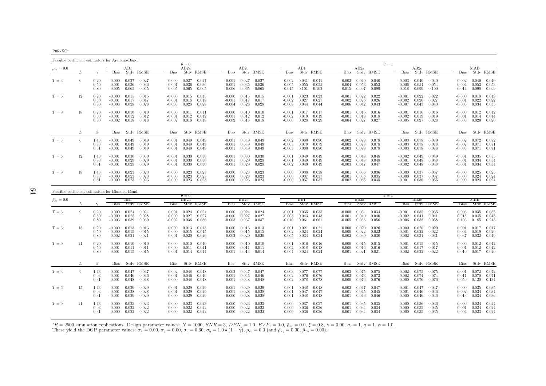P0fc-XC∗

Feasible coefficient estimators for Arellano-Bond $\theta = 0$  $AB2a$  $\theta = 1$ <br>a  $\theta = 1$  $\bar{\rho}_{x\varepsilon}=0.0$  $_{\varepsilon}$  = 0.0  $_{\varepsilon}$   $_{\varepsilon}$   $_{\varepsilon}$   $_{\varepsilon}$   $_{\varepsilon}$   $_{\varepsilon}$   $_{\varepsilon}$   $_{\varepsilon}$   $_{\varepsilon}$   $_{\varepsilon}$   $_{\varepsilon}$   $_{\varepsilon}$   $_{\varepsilon}$   $_{\varepsilon}$   $_{\varepsilon}$   $_{\varepsilon}$   $_{\varepsilon}$   $_{\varepsilon}$   $_{\varepsilon}$   $_{\varepsilon}$   $_{\varepsilon}$   $_{\varepsilon}$   $_{\varepsilon}$ L  $\gamma$  Bias Stdv RMSE Bias Stdv RMSE Bias Stdv RMSE Bias Stdv RMSE Bias Stdv RMSE Bias Stdv RMSE Bias Stdv RMSE $T=3$  $T=3$   $6$   $0.20$   $-0.000$   $0.027$   $0.027$   $-0.000$   $0.027$   $0.027$   $-0.001$   $0.027$   $0.027$   $-0.002$   $0.040$   $-0.004$   $-0.000$   $0.040$   $-0.004$   $-0.004$   $-0.003$   $0.040$   $-0.004$   $-0.004$   $-0.004$   $-0.005$   $-0.004$   $-0.00$  $0.50$   $-0.001$   $0.036$   $-0.001$   $0.036$   $0.036$   $-0.001$   $0.036$   $0.036$   $-0.005$   $0.055$   $0.055$   $-0.004$   $0.053$   $0.053$   $-0.006$   $0.054$   $0.054$   $-0.004$   $0.053$   $0.053$ 0.80 -0.005 0.065 0.065 -0.005 0.065 0.065 -0.006 0.065 0.065 -0.015 0.101 0.102 -0.015 0.097 0.099 -0.018 0.099 0.100 -0.014 0.098 0.099 $T=6$  $T=6$   $12$   $0.20$   $-0.000$   $0.015$   $0.015$   $-0.000$   $0.015$   $0.015$   $-0.000$   $0.015$   $0.015$   $-0.001$   $0.015$   $-0.001$   $0.023$   $0.023$   $-0.001$   $0.022$   $0.022$   $-0.001$   $0.022$   $-0.002$   $0.026$   $-0.002$   $0.026$   $-0.002$  0.50 -0.001 0.017 0.017 -0.001 0.018 0.018 -0.001 0.017 0.017 -0.002 0.027 0.027 -0.002 0.026 0.026 -0.002 0.026 0.027 -0.001 0.022 0.022  $0.80$   $-0.003$   $0.028$   $0.028$   $-0.003$   $0.028$   $0.028$   $0.028$   $0.028$   $-0.008$   $0.044$   $0.044$   $-0.006$   $0.042$   $0.043$   $-0.007$   $0.043$   $0.043$   $-0.005$   $0.034$  $0.012$   $0.012$  $T=9$  $T=9 \hspace{1cm} 18 \hspace{1cm} 0.20 \hspace{1cm} 0.010 \hspace{1cm} 0.010 \hspace{1cm} 0.011 \hspace{1cm} 0.011 \hspace{1cm} 0.011 \hspace{1cm} 0.011 \hspace{1cm} 0.010 \hspace{1cm} 0.010 \hspace{1cm} 0.010 \hspace{1cm} 0.011 \hspace{1cm} 0.011 \hspace{1cm} 0.011 \hspace{1cm} 0.010 \hspace{1cm} 0.010 \hspace{1cm} 0.010$  $\begin{array}{cccccccccccccccc} 0.50 & -0.001 & 0.012 & 0.012 & 0.012 & 0.012 & 0.012 & 0.012 & -0.001 & 0.012 & 0.012 & 0.012 & 0.012 & 0.012 & 0.012 & 0.012 & 0.002 & 0.019 & 0.019 & -0.001 & 0.018 & 0.014 & 0.014 & 0.014 & 0.014 & 0.014 & 0.014 & 0.014 & 0.014 & 0.012 &$  $0.020 \quad 0.020$ 0.80 -0.002 0.018 0.018 -0.002 0.018 0.018 -0.002 0.018 0.018 -0.006 0.028 0.029 -0.004 0.027 0.027 -0.005 0.027 0.028 -0.003 0.020 0.020 $L \qquad \qquad \beta$ Bias Stdv RMSE Bias Stdv RMSE Bias Stdv RMSE Bias Stdv RMSE Bias Stdv RMSE Bias Stdv RMSE Bias Stdv RMSE Bias Stdv RMSE  $-0.002$   $0.072$   $0.072$  $T=3$  $T=3$  6  $1.43$  -0.001 0.049 0.049 -0.001 0.049 0.049 -0.001 0.049 0.049 -0.002 0.080 0.080 -0.002 0.078 0.078 -0.003 0.078 -0.002 0.072 0.072 0.072<br>0.93 -0.001 0.049 0.049 -0.001 0.049 0.049 -0.001 0.049 0.049 -0.003 0.07  $0.93$   $-0.001$   $0.049$   $-0.001$   $0.049$   $0.049$   $-0.001$   $0.049$   $0.049$   $-0.003$   $0.079$   $-0.079$   $-0.003$   $0.078$   $0.078$   $0.078$   $0.078$   $-0.003$   $0.078$   $-0.002$   $0.071$   $0.071$  $0.31$   $-0.001$   $0.049$   $-0.001$   $0.049$   $0.049$   $-0.001$   $0.049$   $0.049$   $-0.003$   $0.080$   $0.080$   $-0.003$   $0.078$   $0.078$   $-0.003$   $0.078$   $-0.003$   $0.078$   $-0.003$   $0.071$   $0.071$  $T=6$  $T=6$   $12$   $1.43$   $-0.001$   $0.030$   $-0.001$   $0.030$   $0.030$   $-0.001$   $0.030$   $0.030$   $-0.001$   $0.029$   $0.029$   $-0.001$   $0.049$   $-0.001$   $0.049$   $-0.002$   $0.048$   $-0.001$   $0.048$   $-0.001$   $0.048$   $-0.001$   $0.048$   $-0.001$  0.93 -0.001 0.029 0.029 -0.001 0.030 0.030 -0.001 0.029 0.029 -0.001 0.049 0.049 -0.002 0.048 0.048 -0.001 0.048 0.048 -0.001 0.034 0.034 $0.31$   $-0.001$   $0.029$   $-0.001$   $0.030$   $0.030$   $-0.001$   $0.029$   $0.029$   $-0.002$   $0.049$   $0.049$   $-0.003$   $0.047$   $0.047$   $-0.007$   $0.048$   $0.048$   $-0.001$   $0.034$   $0.034$  $T=9$  $T=9$   $18$   $1.43$   $-0.000$   $0.023$   $0.023$   $-0.000$   $0.023$   $0.023$   $-0.000$   $0.023$   $0.023$   $0.023$   $0.023$   $0.023$   $0.023$   $0.023$   $0.023$   $0.000$   $0.037$   $0.035$   $-0.001$   $0.035$   $0.035$   $-0.000$   $0.037$   $0.037$   $0.037$  $0.93$   $-0.000$   $0.023$   $-0.000$   $0.023$   $0.023$   $-0.000$   $0.023$   $0.023$   $0.033$   $0.037$   $0.037$   $-0.001$   $0.035$   $0.035$   $-0.000$   $0.037$   $0.037$   $0.037$   $0.000$   $0.024$   $0.024$  $-0.000$   $0.024$   $0.024$  $0.31$   $-0.000$   $0.023$   $0.023$   $-0.000$   $0.023$   $0.023$   $-0.000$   $0.023$   $0.023$   $-0.000$   $0.037$   $0.037$   $-0.002$   $0.035$   $0.035$   $-0.001$   $0.036$   $0.036$ 

0.040

0.099

0.019

0.035

0.071

 $0.035$ 

0.034

0.025

| Feasible coefficient estimators for Blundell-Bond |    |                      |                                  |                         |                         |                                  |                         |                         |                                  |                         |                         |                                  |                         |                         |                                  |                         |                         |                                  |                         |                         |                            |                         |                         |
|---------------------------------------------------|----|----------------------|----------------------------------|-------------------------|-------------------------|----------------------------------|-------------------------|-------------------------|----------------------------------|-------------------------|-------------------------|----------------------------------|-------------------------|-------------------------|----------------------------------|-------------------------|-------------------------|----------------------------------|-------------------------|-------------------------|----------------------------|-------------------------|-------------------------|
| $\bar{\rho}_{x\varepsilon}=0.0$                   |    |                      | <b>Bias</b>                      | BB1                     | Stdy RMSE               | <b>Bias</b>                      | $\theta = 0$<br>BB2a    | Stdy RMSE               | <b>Bias</b>                      | BB2c                    | Stdy RMSE               | <b>Bias</b>                      | BB1                     | Stdy RMSE               | <b>Bias</b>                      | BB2a                    | Stdy RMSE               | $\theta = 1$<br>Bias             | BB2c                    | Stdy RMSE               | <b>Bias</b>                | МВВ                     | Stdy RMSE               |
| $T=3$                                             | 9  | 0.20<br>0.50<br>0.80 | 0.000<br>$-0.000$<br>$-0.003$    | 0.024<br>0.028<br>0.039 | 0.024<br>0.028<br>0.039 | 0.001<br>0.000<br>$-0.002$       | 0.024<br>0.027<br>0.036 | 0.024<br>0.027<br>0.036 | 0.000<br>$-0.000$<br>$-0.003$    | 0.024<br>0.027<br>0.037 | 0.024<br>0.027<br>0.037 | $-0.001$<br>$-0.003$<br>$-0.010$ | 0.035<br>0.043<br>0.061 | 0.035<br>0.043<br>0.061 | $-0.000$<br>$-0.001$<br>$-0.005$ | 0.034<br>0.040<br>0.055 | 0.034<br>0.040<br>0.056 | $-0.001$<br>$-0.002$<br>$-0.006$ | 0.035<br>0.041<br>0.058 | 0.035<br>0.041<br>0.058 | 0.003<br>0.015<br>0.106    | 0.035<br>0.045<br>0.185 | 0.035<br>0.048<br>0.213 |
| $T=6$                                             | 15 | 0.20<br>0.50<br>0.80 | $-0.000$<br>$-0.000$<br>$-0.002$ | 0.013<br>0.015<br>0.021 | 0.013<br>0.015<br>0.021 | 0.000<br>$-0.000$<br>$-0.001$    | 0.013<br>0.015<br>0.020 | 0.013<br>0.015<br>0.020 | 0.000<br>$-0.000$<br>$-0.002$    | 0.013<br>0.015<br>0.020 | 0.013<br>0.015<br>0.020 | $-0.001$<br>$-0.002$<br>$-0.005$ | 0.021<br>0.024<br>0.034 | 0.021<br>0.024<br>0.034 | 0.000<br>$-0.000$<br>$-0.002$    | 0.020<br>0.022<br>0.030 | 0.020<br>0.022<br>0.030 | $-0.000$<br>$-0.001$<br>$-0.002$ | 0.020<br>0.022<br>0.031 | 0.020<br>0.022<br>0.031 | 0.001<br>0.004<br>0.037    | 0.017<br>0.019<br>0.032 | 0.017<br>0.020<br>0.049 |
| $T=9$                                             | 21 | 0.20<br>0.50<br>0.80 | $-0.000$<br>$-0.001$<br>$-0.001$ | 0.010<br>0.011<br>0.015 | 0.010<br>0.011<br>0.015 | $-0.000$<br>$-0.000$<br>$-0.001$ | 0.010<br>0.011<br>0.014 | 0.010<br>0.011<br>0.014 | $-0.000$<br>$-0.000$<br>$-0.001$ | 0.010<br>0.011<br>0.014 | 0.010<br>0.011<br>0.014 | $-0.001$<br>$-0.002$<br>$-0.004$ | 0.016<br>0.018<br>0.024 | 0.016<br>0.018<br>0.024 | $-0.000$<br>$-0.000$<br>$-0.001$ | 0.015<br>0.016<br>0.021 | 0.015<br>0.016<br>0.021 | $-0.001$<br>$-0.001$<br>$-0.002$ | 0.015<br>0.017<br>0.022 | 0.015<br>0.017<br>0.022 | 0.000<br>0.001<br>0.010    | 0.012<br>0.012<br>0.017 | 0.012<br>0.012<br>0.020 |
|                                                   | ⊥  |                      | <b>Bias</b>                      |                         | Stdy RMSE               | Bias                             |                         | Stdy RMSE               | Bias                             |                         | Stdv RMSE               | Bias                             |                         | Stdy RMSE               | Bias                             |                         | Stdy RMSE               | Bias                             |                         | Stdy RMSE               | Bias                       |                         | Stdy RMSE               |
| $T=3$                                             | 9  | 1.43<br>0.93<br>0.31 | $-0.001$<br>$-0.001$<br>$-0.001$ | 0.047<br>0.046<br>0.048 | 0.047<br>0.046<br>0.048 | $-0.002$<br>$-0.001$<br>$-0.000$ | 0.048<br>0.046<br>0.048 | 0.048<br>0.046<br>0.048 | $-0.002$<br>$-0.001$<br>$-0.001$ | 0.047<br>0.046<br>0.048 | 0.047<br>0.046<br>0.048 | $-0.003$<br>$-0.002$<br>$-0.002$ | 0.077<br>0.076<br>0.078 | 0.077<br>0.076<br>0.078 | $-0.003$<br>$-0.002$<br>$-0.000$ | 0.075<br>0.073<br>0.076 | 0.075<br>0.073<br>0.076 | $-0.002$<br>$-0.002$<br>$-0.000$ | 0.075<br>0.074<br>0.076 | 0.075<br>0.074<br>0.076 | 0.001<br>0.011<br>0.059    | 0.072<br>0.070<br>0.120 | 0.072<br>0.071<br>0.134 |
| $T=6$                                             | 15 | 1.43<br>0.93<br>0.31 | $-0.001$<br>$-0.001$<br>$-0.001$ | 0.029<br>0.028<br>0.029 | 0.029<br>0.028<br>0.029 | $-0.001$<br>$-0.001$<br>$-0.000$ | 0.029<br>0.029<br>0.029 | 0.029<br>0.029<br>0.029 | $-0.001$<br>$-0.001$<br>$-0.000$ | 0.029<br>0.028<br>0.028 | 0.029<br>0.028<br>0.028 | $-0.001$<br>$-0.001$<br>$-0.001$ | 0.048<br>0.047<br>0.048 | 0.048<br>0.047<br>0.048 | $-0.002$<br>$-0.001$<br>$-0.001$ | 0.047<br>0.045<br>0.046 | 0.047<br>0.045<br>0.046 | $-0.001$<br>$-0.001$<br>$-0.000$ | 0.047<br>0.046<br>0.046 | 0.047<br>0.046<br>0.046 | $-0.000$<br>0.002<br>0.013 | 0.035<br>0.034<br>0.034 | 0.035<br>0.034<br>0.036 |
| $T=9$                                             | 21 | 1.43<br>0.93<br>0.31 | $-0.000$<br>$-0.000$<br>$-0.000$ | 0.023<br>0.022<br>0.022 | 0.023<br>0.022<br>0.022 | $-0.000$<br>$-0.000$<br>$-0.000$ | 0.023<br>0.022<br>0.022 | 0.023<br>0.022<br>0.022 | $-0.000$<br>$-0.000$<br>$-0.000$ | 0.023<br>0.022<br>0.022 | 0.023<br>0.022<br>0.022 | 0.000<br>0.000<br>$-0.000$       | 0.037<br>0.036<br>0.036 | 0.037<br>0.036<br>0.036 | $-0.001$<br>$-0.001$<br>$-0.001$ | 0.035<br>0.034<br>0.034 | 0.035<br>0.034<br>0.034 | 0.000<br>0.000<br>0.000          | 0.036<br>0.035<br>0.035 | 0.036<br>0.035<br>0.035 | $-0.000$<br>0.001<br>0.004 | 0.024<br>0.024<br>0.023 | 0.024<br>0.024<br>0.024 |

 ${}^*R = 2500$  simulation replications. Design parameter values:  $N = 1000$ ,  $SNR = 3$ ,  $DEN_y = 1.0$ ,  $EVF_x = 0.0$ ,  $\bar{\rho}_{xc} = 0.0$ ,  $\xi = 0.8$ ,  $\kappa = 0.00$ ,  $\sigma_{\varepsilon} = 1$ ,  $q = 1$ ,  $\phi = 1.0$ .<br>These yield the DGP parameter values:  $\pi$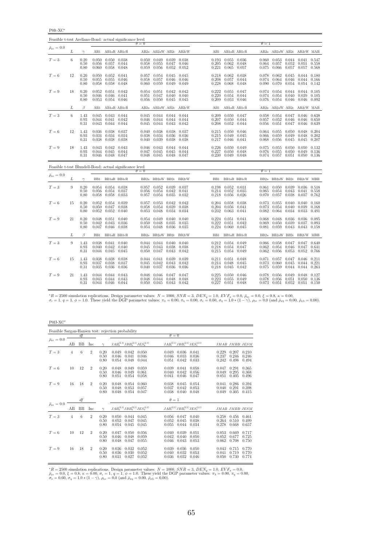P0ft-XC<sup>∗</sup>

| Feasible t-test Arellano-Bond: actual significance level |    |                      |                         |                                                               |                         |                         |                                                             |                |                                 |                         |                                                                       |                |                         |                                                                             |                         |                                                             |                         |
|----------------------------------------------------------|----|----------------------|-------------------------|---------------------------------------------------------------|-------------------------|-------------------------|-------------------------------------------------------------|----------------|---------------------------------|-------------------------|-----------------------------------------------------------------------|----------------|-------------------------|-----------------------------------------------------------------------------|-------------------------|-------------------------------------------------------------|-------------------------|
| $\bar{\rho}_{x\varepsilon}=0.0$                          |    |                      |                         |                                                               |                         | $\theta = 0$            |                                                             |                |                                 |                         |                                                                       |                | $\theta = 1$            |                                                                             |                         |                                                             |                         |
|                                                          | L  | $\gamma$             |                         |                                                               | AB1 AB1aR AB1cR         |                         |                                                             |                | AB2a AB2aW AB2c AB2cW           |                         | AB1 AB1aR AB1cR                                                       |                |                         | AB2a AB2aW AB2c AB2cW MAB                                                   |                         |                                                             |                         |
| $T=3$                                                    | 6  | 0.20<br>0.50<br>0.80 | 0.050<br>0.056<br>0.060 | $0.050$ $0.038$<br>0.057<br>0.058                             | 0.044<br>0.048          | 0.050<br>0.058<br>0.059 | $0.049$ $0.039$ $0.038$<br>0.055<br>0.056                   | 0.047<br>0.052 | 0.046<br>0.052                  | 0.205                   | $0.193$ $0.055$ $0.036$<br>0.062<br>$0.221$ $0.065$                   | 0.048<br>0.057 | 0.064<br>0.075          | $0.060$ $0.053$ $0.044$ $0.041$ $0.547$<br>0.057<br>0.066                   | 0.052<br>0.057          | 0.051<br>0.057                                              | 0.558<br>0.568          |
| $T=6$                                                    | 12 | 0.20<br>0.50<br>0.80 | 0.050<br>0.055<br>0.058 | 0.052<br>0.055<br>0.058                                       | 0.041<br>0.046<br>0.048 | 0.057<br>0.058<br>0.060 | 0.054<br>0.057<br>0.059                                     | 0.046<br>0.049 | $0.045$ 0.045<br>0.046<br>0.049 | 0.218<br>0.208<br>0.228 | $0.062$ 0.038<br>$0.057$ 0.044<br>0.068                               | 0.048          | 0.078<br>0.074<br>0.090 | 0.062<br>0.064<br>0.070                                                     | 0.046<br>0.054          | $0.045$ $0.044$ $0.180$<br>$0.044$ 0.166<br>$0.054$ $0.142$ |                         |
| $T=9$                                                    | 18 | 0.20<br>0.50<br>0.80 | 0.052<br>0.046          | $0.051$ $0.042$<br>$0.046$ $0.041$<br>$0.053$ $0.054$ $0.046$ |                         | 0.054<br>0.051<br>0.056 | $0.051$ $0.042$ $0.042$<br>0.047<br>$0.050$ $0.045$ $0.045$ | 0.040          | 0.040                           | 0.220<br>0.209          | $0.222$ $0.055$ $0.047$<br>$0.054$ 0.044<br>0.053 0.046               |                | 0.074                   | $0.074$ $0.054$ $0.044$ $0.044$ $0.105$<br>0.054<br>$0.076$ $0.054$ $0.046$ | 0.040                   | $0.039$ $0.105$<br>0.046 0.092                              |                         |
|                                                          | L  | $\beta$              | AB1                     | AB1aR AB1cR                                                   |                         |                         |                                                             |                | AB2a AB2aW AB2c AB2cW           | AB1                     | AB1aR AB1cR                                                           |                |                         | AB2a AB2aW AB2c AB2cW MAB                                                   |                         |                                                             |                         |
| $T=3$                                                    | 6  | 1.43<br>0.93<br>0.31 | 0.044<br>0.043          | $0.045$ $0.043$ $0.044$<br>0.041<br>0.044 0.044               | 0.042                   | 0.046<br>0.045          | $0.045$ $0.044$ $0.044$ $0.044$<br>0.044<br>0.044 0.043     | 0.044          | 0.044<br>0.042                  | 0.209<br>0.208          | $0.050 \quad 0.047$<br>$0.207$ $0.050$ $0.044$<br>$0.052$ 0.044       |                | 0.058<br>0.057<br>0.056 | $0.054$ $0.047$ $0.046$ $0.638$<br>0.052<br>0.051                           | 0.046<br>0.047          | 0.046<br>0.046                                              | 0.650<br>0.639          |
| $T=6$                                                    | 12 | 1.43<br>0.93<br>0.31 | 0.034                   | 0.036 0.038<br>0.034<br>0.038 0.038 0.038                     | 0.037<br>0.034          | 0.040<br>0.038          | 0.038 0.038<br>0.034<br>$0.040$ $0.039$ $0.038$             | 0.036          | 0.037<br>0.036<br>0.038         | 0.215                   | $0.215$ $0.050$ $0.046$<br>0.049<br>$0.217$ $0.046$ $0.041$           | 0.045          | 0.066<br>0.068          | 0.064 0.055<br>0.059<br>0.056                                               | 0.050<br>0.049<br>0.045 | 0.048<br>0.048<br>$0.045$ 0.207                             | 0.204<br>0.202          |
| $T=9$                                                    | 18 | 1.43<br>0.93<br>0.31 | 0.044                   | $0.043$ $0.042$<br>0.045<br>$0.046$ 0.048                     | 0.043<br>0.044<br>0.047 | 0.046<br>$0.047$ 0.045  | 0.043<br>$0.048$ $0.045$ $0.048$ $0.047$                    | 0.044<br>0.045 | 0.044<br>0.044                  | 0.226                   | 0.050<br>$0.227$ 0.050<br>$0.230$ $0.049$ $0.048$                     | 0.049<br>0.048 | 0.075<br>0.076          | 0.055<br>0.055<br>0.074 0.057                                               | 0.050<br>0.050          | 0.050<br>0.049<br>$0.051$ 0.050                             | 0.132<br>0.136<br>0.136 |
| Feasible t-test Blundell-Bond: actual significance level |    |                      |                         |                                                               |                         | $\theta = 0$            |                                                             |                |                                 |                         |                                                                       |                | $\theta = 1$            |                                                                             |                         |                                                             |                         |
| $\bar{\rho}_{x\varepsilon}=0.0$                          | L  |                      |                         |                                                               |                         |                         |                                                             |                |                                 |                         |                                                                       |                |                         |                                                                             |                         |                                                             |                         |
| $T=3$                                                    |    | $\gamma$             |                         |                                                               | BB1 BB1aR BB1cR         |                         |                                                             |                | BB2a BB2aW BB2c BB2cW           |                         | BB1 BB1aR BB1cR                                                       |                |                         | BB2a BB2aW BB2c BB2cW MBB                                                   |                         |                                                             |                         |
|                                                          | 9  | 0.20<br>0.50<br>0.80 | 0.056<br>0.058          | $0.054$ $0.054$ $0.038$<br>$0.054$ $0.037$<br>0.058           | 0.033                   | 0.056<br>0.057          | $0.057$ $0.052$ $0.039$ $0.037$<br>0.054<br>0.054 0.035     | 0.042          | 0.041<br>0.032                  |                         | $0.198$ $0.052$ $0.031$<br>$0.214$ $0.052$ $0.035$<br>$0.218$ 0.056   | 0.026          | 0.065<br>0.070          | $0.061$ $0.050$ $0.039$ $0.036$ $0.518$<br>0.054<br>0.057                   | 0.043<br>0.038          | 0.041<br>0.037                                              | 0.558<br>0.762          |
| $T=6$                                                    | 15 | 0.20<br>0.50<br>0.80 | 0.052<br>0.050<br>0.052 | 0.054 0.039<br>$0.052$ $0.040$                                | $0.047$ 0.038           | 0.057<br>0.058<br>0.053 | $0.053$ 0.042<br>0.054<br>0.048                             | 0.039<br>0.034 | 0.042<br>0.038<br>0.034         |                         | $0.204$ $0.058$ $0.038$<br>$0.204$ 0.056<br>$0.232$ $0.063$           | 0.041<br>0.041 | 0.073<br>0.082          | 0.073 0.055<br>0.054<br>0.064                                               | 0.040<br>0.040<br>0.034 | $0.040$ $0.160$<br>0.039<br>0.033                           | 0.168<br>0.491          |
| $T=9$                                                    | 21 | 0.20<br>0.50<br>0.80 | 0.048<br>0.042<br>0.047 | $0.051$ $0.040$<br>0.043                                      | 0.036<br>$0.046$ 0.038  | 0.054<br>0.050<br>0.054 | 0.049<br>0.048<br>0.048 0.036 0.035                         | 0.040<br>0.035 | 0.040<br>0.035                  | 0.222                   | $0.224$ $0.051$ $0.041$<br>$0.051$ $0.042$<br>0.224 0.060 0.045       |                | 0.068<br>0.069          | 0.048<br>0.050<br>$0.081$ $0.059$                                           | 0.036<br>0.039<br>0.043 | 0.036 0.095<br>0.037<br>$0.043$ $0.158$                     | 0.093                   |
|                                                          | L  | $\beta$              | BB1                     |                                                               | BB1aR BB1cR             |                         |                                                             |                | BB2a BB2aW BB2c BB2cW           | BB1                     | BB1aR BB1cR                                                           |                |                         | BB2a BB2aW BB2c BB2cW MBB                                                   |                         |                                                             |                         |
| $T=3$                                                    | 9  | 1.43<br>0.93<br>0.31 | 0.040                   | 0.038  0.041  0.040<br>0.042<br>0.044 0.045                   | 0.040<br>0.045          | 0.045<br>0.050          | $0.044$ $0.044$ $0.040$ $0.040$<br>0.043<br>$0.047$ 0.043   | 0.038          | 0.038<br>0.042                  | 0.218                   | $0.212$ $0.054$ $0.049$<br>$0.054$ 0.047<br>$0.215$ $0.054$ $0.049$   |                | 0.062<br>0.062          | $0.066$ $0.058$ $0.047$ $0.047$ $0.640$<br>0.054<br>0.056                   | 0.046<br>0.053          | $0.047$ $0.641$<br>$0.052$ 0.766                            |                         |
| $T=6$                                                    | 15 | 1.43<br>0.93<br>0.31 | 0.038<br>0.037<br>0.035 | 0.038<br>0.038<br>0.036                                       | 0.038<br>0.037<br>0.036 | 0.044<br>0.045<br>0.040 | 0.041 0.039<br>0.042<br>0.037 0.036                         | 0.043          | 0.039<br>0.042<br>0.036         |                         | $0.211$ $0.051$ $0.048$<br>$0.214$ $0.048$<br>$0.218$ $0.045$ $0.042$ | 0.045          | 0.071<br>0.073<br>0.075 | 0.057<br>0.060<br>0.059                                                     | 0.047<br>0.045<br>0.044 | $0.046$ $0.211$<br>0.044<br>$0.044$ 0.263                   | 0.221                   |

 ${}^{*}R = 2500$  simulation replications. Design parameter values:  $N = 1000$ ,  $SNR = 3$ ,  $DEN_y = 1.0$ ,  $EVF_x = 0.0$ ,  $\bar{\rho}_{x\bar{x}} = 0.0$ ,  $\xi = 0.8$ ,  $\kappa = 0.00$ ,<br> $\sigma_{\varepsilon} = 1$ ,  $q = 1$ ,  $\phi = 1.0$ . These yield the DGP parameter values:

P0fJ-XC<sup>∗</sup>

|                                 |    |           |                |                      | Feasible Sargan-Hansen test: rejection probability |                         |                         |                         |                                           |                         |                         |                         |
|---------------------------------|----|-----------|----------------|----------------------|----------------------------------------------------|-------------------------|-------------------------|-------------------------|-------------------------------------------|-------------------------|-------------------------|-------------------------|
|                                 |    | df        |                |                      |                                                    |                         | $\theta = 0$            |                         |                                           |                         |                         |                         |
| $\bar{\rho}_{x\varepsilon}=0.0$ | AВ | <b>BB</b> | Inc            | $\sim$               | $JAB_a^{(2,1)}JBB_a^{(2,1)}JES_a^{(2,1)}$          |                         |                         |                         | $JAB_c^{(2,1)}JBB_c^{(2,1)}JES_c^{(2,1)}$ |                         | JMAB JMBB JESM          |                         |
| $T=3$                           | 4  | 6         | $\overline{2}$ | 0.20<br>0.50<br>0.80 | 0.049<br>0.042<br>0.046<br>0.041<br>0.054<br>0.048 | 0.050<br>0.046<br>0.044 | 0.049<br>0.046<br>0.051 | 0.036<br>0.033<br>0.042 | 0.041<br>0.036<br>0.033                   | 0.229<br>0.237<br>0.242 | 0.207<br>0.246<br>0.498 | 0.210<br>0.246<br>0.494 |
| $T=6$                           | 10 | 12        | $\overline{2}$ | 0.20<br>0.50<br>0.80 | 0.048<br>0.049<br>0.046<br>0.049<br>0.051<br>0.054 | 0.059<br>0.061<br>0.058 | 0.039<br>0.040<br>0.041 | 0.041<br>0.042<br>0.046 | 0.058<br>0.056<br>0.047                   | 0.047<br>0.049<br>0.051 | 0.291<br>0.295<br>0.405 | 0.365<br>0.368<br>0.496 |
| $T=9$                           | 16 | 18        | $\overline{2}$ | 0.20<br>0.50<br>0.80 | 0.048<br>0.054<br>0.048<br>0.053<br>0.048<br>0.054 | 0.060<br>0.057<br>0.047 | 0.038<br>0.037<br>0.038 | 0.045<br>0.042<br>0.040 | 0.054<br>0.053<br>0.048                   | 0.041<br>0.040<br>0.049 | 0.286<br>0.291<br>0.305 | 0.394<br>0.398<br>0.415 |
|                                 |    | df        |                |                      |                                                    |                         | $\theta=1$              |                         |                                           |                         |                         |                         |
| $\bar{\rho}_{x\varepsilon}=0.0$ | AВ | <b>BB</b> | Inc            | $\gamma$             | $JAB_a^{(2,1)}JBB_a^{(2,1)}JES_a^{(2,1)}$          |                         |                         |                         | $JAB_c^{(2,1)}JBB_c^{(2,1)}JES_c^{(2,1)}$ |                         | JMAB JMBB JESM          |                         |
| $T=3$                           | 4  | 6         | $\overline{2}$ | 0.20<br>0.50<br>0.80 | 0.050<br>0.044<br>0.052<br>0.047<br>0.054<br>0.045 | 0.045<br>0.045<br>0.045 | 0.056<br>0.052<br>0.055 | 0.047<br>0.045<br>0.044 | 0.040<br>0.038<br>0.034                   | 0.258<br>0.264<br>0.278 | 0.456<br>0.510<br>0.668 | 0.461<br>0.499<br>0.657 |
| $T=6$                           | 10 | 12        | $\overline{2}$ | 0.20<br>0.50<br>0.80 | 0.047<br>0.050<br>0.046<br>0.048<br>0.048<br>0.047 | 0.056<br>0.059<br>0.055 | 0.040<br>0.042<br>0.046 | 0.039<br>0.040<br>0.043 | 0.051<br>0.050<br>0.053                   | 0.053<br>0.052<br>0.062 | 0.669<br>0.677<br>0.708 | 0.717<br>0.725<br>0.750 |
| $T=9$                           | 16 | 18        | $\overline{2}$ | 0.20<br>0.50<br>0.80 | 0.036<br>0.032<br>0.036<br>0.030<br>0.031<br>0.027 | 0.052<br>0.052<br>0.052 | 0.039<br>0.040<br>0.036 | 0.036<br>0.032<br>0.032 | 0.050<br>0.053<br>0.046                   | 0.043<br>0.041<br>0.050 | 0.715<br>0.719<br>0.730 | 0.770<br>0.770<br>0.774 |

\*R = 2500 simulation replications. Design parameter values:  $N = 1000$ ,  $SNR = 3$ ,  $DEN_y = 1.0$ ,  $EVF_x = 0.0$ ,  $\bar{\rho}_{xe} = 0.0$ ,  $\xi = 0.8$ ,  $\kappa = 0.00$ ,  $\sigma_x = 1$ ,  $q = 1$ ,  $\phi = 1.0$ . These yield the DGP parameter values:  $\pi_{\lambda} = 0.$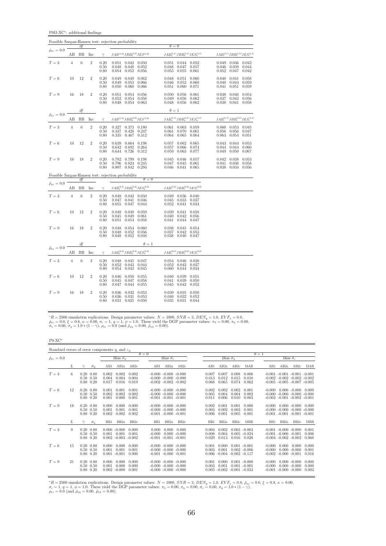P0fJ-XC<sup>∗</sup> : additional findings

|                                 |                |                |                |                                                     | Feasible Sargan-Hansen test: rejection probability                                     |                                                                                                                                        |                                                                                |
|---------------------------------|----------------|----------------|----------------|-----------------------------------------------------|----------------------------------------------------------------------------------------|----------------------------------------------------------------------------------------------------------------------------------------|--------------------------------------------------------------------------------|
| $\bar{\rho}_{x\varepsilon}=0.0$ |                | df             |                |                                                     |                                                                                        | $\theta = 0$                                                                                                                           |                                                                                |
|                                 | AВ             | BB             | Inc            | $\gamma$                                            | $JAB^{(1,0)}JBB^{(1,0)}_{a}JES^{(1,0)}$                                                | $JAB^{(1,1)}_aJBB^{(1,1)}_aJES^{(1,1)}_a$                                                                                              | $JAB_c^{(1,1)}JBB_c^{(1,1)}JES_c^{(1,1)}$                                      |
| $T=3$                           | $\,4\,$        | 6              | $\overline{2}$ | 0.20<br>0.50<br>0.80                                | 0.051<br>$0.042$ 0.050<br>0.052<br>0.048<br>0.048<br>0.054<br>0.052<br>0.056           | 0.051<br>0.044<br>0.052<br>0.048<br>0.047<br>0.057<br>0.055<br>0.055<br>0.061                                                          | $0.049$ 0.036<br>0.042<br>0.046<br>0.039<br>0.044<br>0.052<br>0.047<br>0.042   |
| $T=6$                           | 10             | 12             | $\overline{2}$ | 0.20<br>0.50<br>0.80                                | 0.049<br>0.062<br>0.049<br>0.049<br>0.053<br>0.066<br>0.050<br>0.060<br>0.066          | 0.048<br>0.051<br>0.060<br>0.046<br>0.068<br>0.052<br>0.051<br>0.060<br>0.071                                                          | 0.041<br>0.040<br>0.058<br>0.040<br>0.044<br>0.059<br>0.041<br>0.051<br>0.059  |
| $T=9$                           | 16             | 18             | $\overline{2}$ | 0.20<br>0.50<br>0.80                                | $0.054$ 0.056<br>0.051<br>$0.054$ 0.058<br>0.052<br>0.048<br>0.054 0.063               | 0.050<br>0.056<br>0.061<br>0.049<br>0.056<br>0.062<br>0.048<br>0.056<br>0.062                                                          | 0.046<br>0.038<br>0.054<br>0.042<br>0.056<br>0.037<br>$0.038$ $0.041$<br>0.058 |
| $\bar{\rho}_{x\varepsilon}=0.0$ |                | df             |                |                                                     |                                                                                        | $\theta = 1$                                                                                                                           |                                                                                |
|                                 | AB             | <b>BB</b>      | Inc            | $\gamma$                                            | $JAB^{\left( 1,0\right) }JBB_{a}^{\left( 1,0\right) }JES^{\left( 1,0\right) }$         | $JAB^{(1,1)}_aJBB^{(1,1)}_aJES^{(1,1)}_a$                                                                                              | $JAB_c^{(1,1)}JBB_c^{(1,1)}JES_c^{(1,1)}$                                      |
| $T=3$                           | $\,4\,$        | $\overline{6}$ | $\overline{2}$ | 0.20<br>0.50<br>0.80                                | 0.327<br>$0.373$ $0.180$<br>0.337<br>0.428<br>0.247<br>0.335<br>0.467<br>0.312         | 0.061<br>0.063<br>0.059<br>0.061<br>0.070<br>0.061<br>0.064<br>0.065<br>0.064                                                          | 0.060<br>0.053<br>0.045<br>0.056<br>0.056<br>0.047<br>0.063<br>0.054<br>0.051  |
| $T=6$                           | 10             | 12             | $\overline{2}$ | 0.20<br>0.50<br>0.80                                | 0.639<br>0.664<br>0.198<br>0.264<br>0.642<br>0.692<br>0.644<br>0.726<br>0.312          | 0.062<br>0.057<br>0.065<br>0.057<br>0.066<br>0.074<br>0.059<br>0.063<br>0.077                                                          | 0.043<br>0.044<br>0.053<br>0.044<br>0.044<br>0.060<br>0.049<br>0.050<br>0.067  |
| $T=9$                           | 16             | 18             | $\overline{2}$ | 0.20<br>0.50<br>0.80                                | 0.799<br>0.198<br>0.782<br>0.796<br>0.245<br>0.824<br>0.842<br>0.294<br>0.807          | 0.045<br>0.046<br>$0.057\,$<br>0.047<br>0.045<br>0.061<br>0.046<br>0.041<br>0.065                                                      | 0.038<br>0.053<br>0.042<br>0.041<br>0.036<br>0.058<br>0.038<br>0.034<br>0.056  |
|                                 |                |                |                |                                                     | Feasible Sargan-Hansen test: rejection probability<br>$\theta = 0$                     |                                                                                                                                        |                                                                                |
| $\bar{\rho}_{x\varepsilon}=0.0$ | AВ             | df<br>BB       | Inc            | $\gamma$                                            | $JAB_a^{(2,2)}JBB_a^{(2,2)}JES_a^{(2,2)}$                                              | $JAB_c^{(2,2)}JBB_c^{(2,2)}JES_c^{(2,2)}$                                                                                              |                                                                                |
| $T=3$                           | $\overline{4}$ | $\,6$          | $\overline{2}$ | 0.20<br>0.50<br>0.80                                | 0.048<br>$0.042$ 0.050<br>0.041<br>0.046<br>0.047<br>0.055<br>0.047<br>0.044           | 0.049<br>0.036 0.040<br>$\overset{\scriptstyle\phantom{000}0.045}{\scriptstyle\phantom{000}0.052}$<br>0.033<br>0.037<br>0.041<br>0.034 |                                                                                |
| $T=6$                           | 10             | 12             | $\overline{2}$ | $0.20\,$<br>0.50<br>0.80                            | 0.048<br>0.049<br>0.059<br>0.061<br>0.045<br>0.049<br>0.054<br>0.058<br>0.051          | 0.039<br>0.041<br>0.058<br>0.040<br>0.042<br>0.056<br>0.041<br>0.044<br>0.047                                                          |                                                                                |
| $T=9$                           | 16             | 18             | $\overline{2}$ | $\begin{array}{c} 0.20 \\ 0.50 \end{array}$<br>0.80 | 0.048<br>0.054<br>0.060<br>0.052<br>0.056<br>0.048<br>$0.052$ 0.048<br>0.048           | $\begin{array}{c} 0.038 \\ 0.037 \end{array}$<br>0.045<br>0.054<br>0.042<br>0.053<br>0.038<br>$0.040 \quad 0.047$                      |                                                                                |
| $\bar{\rho}_{x\varepsilon}=0.0$ |                | df             |                |                                                     | $\theta=1$                                                                             |                                                                                                                                        |                                                                                |
|                                 | AB             | ΒB             | Inc            | $\gamma$                                            | $JAB_{a}^{\left( 2,2\right) }JBB_{a}^{\left( 2,2\right) }JES_{a}^{\left( 2,2\right) }$ | $JAB_c^{(2,2)}JBB_c^{(2,2)}JES_c^{(2,2)}$                                                                                              |                                                                                |
| $T=3$                           | $\overline{4}$ | 6              | $\overline{2}$ | 0.20<br>0.50<br>0.80                                | $0.048\,$<br>0.045 0.047<br>0.044<br>0.052<br>0.043<br>0.054<br>0.043<br>0.045         | $0.046$ 0.038<br>0.054<br>0.052<br>0.042<br>0.037<br>0.060<br>0.044<br>0.034                                                           |                                                                                |
| $T=6$                           | 10             | 12             | $\overline{2}$ | 0.20<br>0.50<br>0.80                                | 0.046<br>0.050<br>0.055<br>0.058<br>0.045<br>0.047<br>0.047<br>0.044 0.055             | 0.040<br>0.039<br>0.051<br>0.041<br>0.039<br>0.050<br>0.045<br>0.042<br>0.052                                                          |                                                                                |
| $T=9$                           | 16             | 18             | $\overline{2}$ | 0.20<br>0.50<br>0.80                                | 0.032<br>0.053<br>0.036<br>0.036<br>0.031<br>0.053<br>0.025<br>0.031<br>0.050          | 0.039<br>0.035<br>0.050<br>0.040<br>0.032<br>0.052<br>0.035<br>0.031<br>0.044                                                          |                                                                                |

 ${}^*R = 2500$  simulation replications. Design parameter values:  $N = 1000$ ,  $SNR = 3$ ,  $DEN_y = 1.0$ ,  $EVF_x = 0.0$ ,  $\bar{\rho}_{xe} = 0.0$ ,  $\xi = 0.8$ ,  $\kappa = 0.00$ ,  $\sigma_e = 1$ ,  $q = 1$ ,  $\phi = 1.0$ . These yield the DGP parameter values:  $\pi_{\lambda} =$ 

 $\rm P0\text{-}XC^*$ 

| Standard errors of error components $\eta_i$ and $\varepsilon_{it}$ |    |                                                        |            |                                   |                                                     |                         |                                                                                    |                          |                          |                         |                                                   |                         |                                    |                                  |                                                                                                                   |                                                        |                         |
|---------------------------------------------------------------------|----|--------------------------------------------------------|------------|-----------------------------------|-----------------------------------------------------|-------------------------|------------------------------------------------------------------------------------|--------------------------|--------------------------|-------------------------|---------------------------------------------------|-------------------------|------------------------------------|----------------------------------|-------------------------------------------------------------------------------------------------------------------|--------------------------------------------------------|-------------------------|
|                                                                     |    |                                                        |            |                                   |                                                     |                         | $\theta = 0$                                                                       |                          |                          |                         |                                                   |                         |                                    | $\theta = 1$                     |                                                                                                                   |                                                        |                         |
| $\bar{\rho}_{x\varepsilon} = 0.0$                                   |    |                                                        |            |                                   | Bias $\tilde{\sigma}_n$                             |                         |                                                                                    | Bias $\hat{\sigma}_s$    |                          |                         | Bias $\hat{\sigma}_n$                             |                         |                                    |                                  |                                                                                                                   | Bias $\hat{\sigma}_e$                                  |                         |
|                                                                     | L  |                                                        | $\sigma_n$ | AB1                               | AB2a                                                | AB2c                    | AB1                                                                                | AB2a                     | AB2c                     | AB1                     | AB2a                                              | AB2c                    | MAB                                | AB1                              | AB2a                                                                                                              | AB2c                                                   | MAB                     |
| $T=3$                                                               | 6  | $0.20\ 0.80$<br>$0.50 \quad 0.50$<br>$0.80\ 0.20$      |            | 0.002<br>0.004<br>0.017           | 0.002<br>0.004<br>0.016                             | 0.002<br>0.004<br>0.019 | $-0.000 - 0.000 - 0.000$<br>$-0.000 - 0.000 - 0.000$<br>$-0.002 - 0.002 - 0.002$   |                          |                          | 0.007<br>0.013<br>0.068 | 0.007<br>0.012<br>0.065                           | 0.008<br>0.015<br>0.074 | 0.006<br>0.010<br>0.062            |                                  | $-0.001$ $-0.001$ $-0.001$ $-0.001$<br>$-0.002$ $-0.002$ $-0.002$ $-0.002$<br>$-0.005$ $-0.005$ $-0.007$ $-0.005$ |                                                        |                         |
| $T=6$                                                               | 12 | $0.20\ 0.80$<br>$0.50 \quad 0.50$<br>$0.80 \quad 0.20$ |            | 0.001<br>0.002<br>0.001           | 0.001<br>0.002<br>0.000                             | 0.001<br>0.002<br>0.001 | $-0.000 - 0.000 - 0.000$<br>$-0.000 - 0.000 - 0.000$<br>$-0.001$ $-0.001$ $-0.001$ |                          |                          | 0.002<br>0.005<br>0.011 | 0.002<br>0.004<br>0.006                           | 0.002<br>0.004<br>0.010 | 0.001<br>0.002<br>0.003            | $-0.000$                         | $-0.000 - 0.000 - 0.000 - 0.000$<br>$-0.002$ $-0.001$ $-0.002$ $-0.001$                                           | $0.000 - 0.000 0.000$                                  |                         |
| $T=9$                                                               | 18 | $0.20\ 0.80$<br>$0.50 \quad 0.50$<br>$0.80\ 0.20$      |            | 0.000<br>0.001<br>0.002           | 0.000<br>0.001<br>0.002                             | 0.000<br>0.001<br>0.002 | $-0.000 - 0.000 - 0.000$<br>$-0.000 - 0.000 - 0.000$<br>$-0.001 - 0.000 - 0.001$   |                          |                          | 0.002<br>0.003<br>0.006 | 0.001<br>0.002<br>0.001                           | 0.001<br>0.003<br>0.005 | 0.000<br>0.001<br>0.001            | $-0.000$                         | $-0.000 - 0.000 - 0.000 - 0.000$<br>$-0.001$ $-0.001$ $-0.001$ $-0.001$                                           | $0.000 - 0.000$                                        | 0.000                   |
|                                                                     | L  |                                                        | $\sigma_n$ | B <sub>B1</sub>                   | BB <sub>2a</sub>                                    | BB2c                    | B <sub>B1</sub>                                                                    | BB <sub>2a</sub>         | BB2c                     | B <sub>B1</sub>         | BB <sub>2a</sub>                                  | BB <sub>2c</sub>        | <b>MBB</b>                         | B <sub>B1</sub>                  | BB <sub>2a</sub>                                                                                                  | BB <sub>2c</sub>                                       | <b>MBB</b>              |
| $T=3$                                                               | 9  | $0.20\ 0.80$<br>$0.50 \quad 0.50$<br>$0.80 \quad 0.20$ |            | 0.001                             | $0.000 - 0.000$<br>0.001<br>$0.002 - 0.003 - 0.002$ | 0.000<br>0.001          | 0.000<br>$-0.000$<br>$-0.001$ $-0.001$ $-0.001$                                    | 0.000                    | 0.000<br>$0.000 - 0.000$ | 0.004<br>0.008<br>0.029 | 0.002<br>0.004<br>0.013                           | $0.016$ $0.028$         | $0.003 - 0.003$<br>$0.005 - 0.024$ |                                  | $-0.001 - 0.000 - 0.000$<br>$-0.001 - 0.000 - 0.001$<br>$-0.004$ $-0.002$ $-0.002$                                |                                                        | 0.001<br>0.006<br>0.060 |
| $T=6$                                                               | 15 | $0.20\ 0.80$<br>$0.50 \quad 0.50$<br>$0.80\ 0.20$      |            | 0.000<br>0.001<br>$0.001 - 0.001$ | 0.000<br>0.001                                      | 0.000<br>0.001<br>0.000 | $-0.000 - 0.000 - 0.000$<br>$-0.000 - 0.000 - 0.000$<br>$-0.001 - 0.000 - 0.001$   |                          |                          | 0.001<br>0.003          | 0.000<br>0.001<br>$0.006 - 0.004 - 0.002 - 0.117$ | $0.001 - 0.001$         | $0.002 - 0.006$                    | $-0.000$<br>$-0.000$<br>$-0.002$ | 0.000<br>$-0.000 - 0.001$                                                                                         | 0.000<br>$0.000 - 0.000$                               | 0.000<br>0.001<br>0.016 |
| $T=9$                                                               | 21 | $0.20\ 0.80$<br>$0.50 \quad 0.50$<br>$0.80\ 0.20$      |            | 0.000<br>0.001                    | 0.000<br>0.000<br>$0.002 - 0.000$                   | 0.000<br>0.000<br>0.001 | $-0.000 - 0.000 - 0.000$<br>$-0.000 - 0.000 - 0.000$                               | $-0.000 - 0.000 - 0.000$ |                          | 0.001<br>0.003          | 0.000<br>0.001<br>$0.005 - 0.002 - 0.001$         | $0.001 - 0.001$         | $0.001 - 0.000$<br>$-0.033$        | $-0.000$<br>$-0.000$<br>$-0.001$ |                                                                                                                   | $0.000 - 0.000$<br>$0.000 - 0.000$<br>$-0.000 - 0.000$ | 0.000<br>0.000<br>0.003 |

 ${}^*R = 2500$  simulation replications. Design parameter values:  $N = 1000$ ,  $SNR = 3$ ,  $DEN_y = 1.0$ ,  $EVF_x = 0.0$ ,  $\bar{\rho}_{x\bar{x}} = 0.0$ ,  $\xi = 0.8$ ,  $\kappa = 0.00$ ,<br>  $\sigma_{\varepsilon} = 1$ ,  $q = 1$ ,  $\phi = 1.0$ . These yield the DGP parameter values: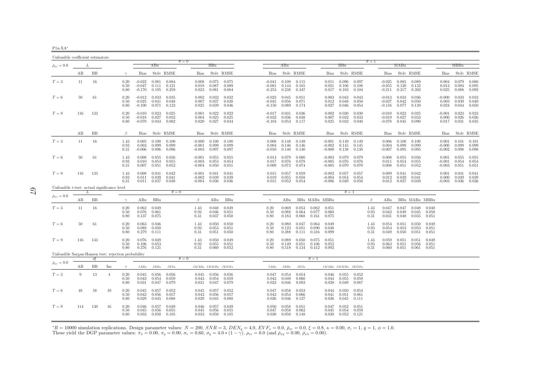| 11<br>ı- |  |
|----------|--|

| Unfeasible coefficient estimators                    |     |     |                |                      |                                  |                         |                         |                                  |                         |                         |                                  |                                       |                         |                         |                                  |                                       |                         |                      |                                  |                                  |                         |                         |                               |                         |                         |
|------------------------------------------------------|-----|-----|----------------|----------------------|----------------------------------|-------------------------|-------------------------|----------------------------------|-------------------------|-------------------------|----------------------------------|---------------------------------------|-------------------------|-------------------------|----------------------------------|---------------------------------------|-------------------------|----------------------|----------------------------------|----------------------------------|-------------------------|-------------------------|-------------------------------|-------------------------|-------------------------|
| $\bar{\rho}_{x\varepsilon} = 0.0$                    |     | L   |                |                      |                                  | ABu                     |                         | $\theta = 0$                     | BBu                     |                         |                                  | ABu                                   |                         |                         |                                  | BBu                                   |                         | $\theta = 1$         |                                  | MABu                             |                         |                         |                               | MBBu                    |                         |
|                                                      | AВ  | BB  |                | $\gamma$             | Bias                             |                         | Stdy RMSE               | <b>Bias</b>                      |                         | Stdy RMSE               | Bias                             |                                       | Stdy RMSE               |                         | Bias                             |                                       | Stdy RMSE               |                      | <b>Bias</b>                      |                                  | Stdy RMSE               |                         | <b>Bias</b>                   |                         | Stdy RMSE               |
| $T=3$                                                | 11  | 16  |                | 0.20<br>0.50<br>0.80 | $-0.022$<br>$-0.047$<br>$-0.170$ | 0.081<br>0.111<br>0.195 | 0.084<br>0.121<br>0.259 | 0.008<br>0.018<br>0.023          | 0.075<br>0.087<br>0.081 | 0.075<br>0.089<br>0.084 | -0.081<br>$-0.253$               | $-0.041$ $0.108$<br>0.144<br>0.238    | 0.115<br>0.165<br>0.347 |                         | 0.011<br>0.021<br>0.017          | 0.096<br>0.106<br>0.103               | 0.097<br>0.108<br>0.104 |                      | $-0.025$<br>$-0.055$<br>$-0.211$ | 0.085<br>0.120<br>0.217          | 0.089<br>0.132<br>0.302 |                         | 0.004<br>0.013<br>0.025       | 0.079<br>0.094<br>0.088 | 0.080<br>0.095<br>0.092 |
| $T=6$                                                | 50  | 61  |                | 0.20<br>0.50<br>0.80 | $-0.012$<br>$-0.025$<br>$-0.100$ | 0.033<br>0.041<br>0.071 | 0.035<br>0.048<br>0.123 | 0.002<br>0.007<br>0.025          | 0.032<br>0.037<br>0.039 | 0.032<br>0.038<br>0.046 | $-0.023$<br>$-0.045$<br>$-0.150$ | 0.045<br>0.056<br>0.089               | 0.051<br>0.071<br>0.174 |                         | 0.003<br>0.012<br>0.027          | 0.043<br>0.048<br>0.046               | 0.043<br>0.050<br>0.054 |                      | $-0.013$<br>$-0.027$             | 0.033<br>0.042<br>$-0.116$ 0.077 | 0.036<br>0.050<br>0.139 |                         | $-0.000$<br>0.003<br>0.024    | 0.033<br>0.039<br>0.044 | 0.033<br>0.040<br>0.050 |
| $T=9$                                                | 116 | 133 |                | 0.20<br>0.50<br>0.80 | $-0.010$<br>$-0.018$<br>$-0.070$ | 0.023<br>0.027<br>0.043 | 0.025<br>0.032<br>0.082 | 0.001<br>0.004<br>0.020          | 0.022<br>0.025<br>0.027 | 0.022<br>0.025<br>0.034 | $-0.017$<br>$-0.032$<br>$-0.104$ | 0.031<br>0.036<br>0.053               | 0.036<br>0.048<br>0.117 |                         | 0.002<br>0.007<br>0.025          | 0.030<br>0.032<br>0.032               | 0.030<br>0.033<br>0.040 |                      | $-0.010$<br>$-0.019$<br>-0.078   | 0.023<br>0.027<br>0.045          | 0.025<br>0.033<br>0.090 |                         | $-0.001$<br>0.000<br>0.017    | 0.023<br>0.026<br>0.031 | 0.023<br>0.026<br>0.035 |
|                                                      | AВ  | BB  |                | $\beta$              | Bias                             |                         | Stdy RMSE               | Bias                             |                         | Stdy RMSE               | Bias                             |                                       | Stdy RMSE               |                         | Bias                             |                                       | Stdy RMSE               |                      | Bias                             |                                  | Stdy RMSE               |                         | Bias                          |                         | Stdy RMSE               |
| $T=3$                                                | 11  | 16  |                | 1.43<br>0.93<br>0.31 | 0.005<br>0.003<br>$-0.006$       | 0.100<br>0.099<br>0.096 | 0.100<br>0.099<br>0.096 | $-0.000$<br>$-0.001$<br>$-0.003$ | 0.100<br>0.099<br>0.097 | 0.100<br>0.099<br>0.097 | 0.008<br>0.004                   | 0.148<br>0.146<br>$-0.010$ $0.140$    | 0.149<br>0.146<br>0.140 |                         | $-0.001$<br>$-0.002$<br>$-0.000$ | 0.149<br>0.145<br>0.138               | 0.149<br>0.145<br>0.138 |                      | 0.006<br>0.004<br>$-0.007$       | 0.100<br>0.099<br>0.095          | 0.100<br>0.099<br>0.095 |                         | 0.001<br>$-0.000$<br>$-0.002$ | 0.101<br>0.099<br>0.098 | 0.101<br>0.099<br>0.098 |
| $T=6$                                                | 50  | 61  |                | 1.43<br>0.93<br>0.31 | 0.008<br>0.010<br>0.007          | 0.055<br>0.054<br>0.051 | 0.056<br>0.055<br>0.052 | $-0.001$<br>$-0.003$<br>$-0.004$ | 0.055<br>0.053<br>0.050 | 0.055<br>0.054<br>0.051 | 0.017<br>0.009                   | $0.014$ 0.079<br>0.076<br>0.073       | 0.080<br>0.078<br>0.074 |                         | $-0.003$<br>$-0.005$<br>$-0.005$ | 0.079<br>0.076<br>0.070               | 0.079<br>0.076<br>0.070 |                      | 0.008<br>0.011<br>0.008          | 0.055<br>0.054<br>0.051          | 0.056<br>0.055<br>0.052 |                         | 0.001<br>$-0.001$<br>$-0.003$ | 0.055<br>0.054<br>0.051 | 0.055<br>0.054<br>0.051 |
| $T=9$                                                | 116 | 133 |                | 1.43<br>0.93<br>0.31 | 0.008<br>0.011<br>0.011          | 0.041<br>0.039<br>0.037 | 0.042<br>0.041<br>0.038 | $-0.001$<br>$-0.002$<br>$-0.004$ | 0.041<br>0.039<br>0.036 | 0.041<br>0.039<br>0.036 | 0.015<br>0.019                   | 0.057<br>0.055<br>$0.015$ $0.052$     | 0.059<br>0.058<br>0.054 |                         | $-0.002$<br>$-0.004$<br>$-0.006$ | 0.057<br>0.054<br>0.049               | 0.057<br>0.054<br>0.050 |                      | 0.009<br>0.012<br>0.012          | 0.041<br>0.039<br>0.037          | 0.042<br>0.041<br>0.039 |                         | 0.001<br>0.000<br>$-0.003$    | 0.041<br>0.039<br>0.036 | 0.041<br>0.039<br>0.036 |
| Unfeasible t-test: actual significance level         |     | L   |                |                      |                                  |                         | $\theta = 0$            |                                  |                         |                         |                                  |                                       |                         |                         |                                  | $\theta = 1$                          |                         |                      |                                  |                                  |                         |                         |                               |                         |                         |
| $\bar{\rho}_{x\epsilon}=0.0$                         | AВ  | BB  |                | $\gamma$             | ABu                              | BBu                     |                         | β                                | ABu                     | BBu                     | $\gamma$                         | ABu                                   |                         |                         | BBu MABu MBBu                    |                                       |                         | $\beta$              | ABu                              |                                  | BBu MABu MBBu           |                         |                               |                         |                         |
| $T=3$                                                | 11  | 16  |                | 0.20<br>0.50<br>0.80 | 0.062<br>0.076<br>0.137          | 0.049<br>0.061<br>0.075 |                         | 1.43<br>0.93<br>0.31             | 0.048<br>0.046<br>0.037 | 0.049<br>0.051<br>0.050 | 0.20<br>0.50<br>0.80             | 0.069<br>0.088<br>0.183               | 0.053<br>0.064<br>0.068 | 0.062<br>0.077<br>0.161 | 0.051<br>0.060<br>0.075          |                                       |                         | 1.43<br>0.93<br>0.31 | 0.047<br>0.042<br>0.031          | 0.047<br>0.049<br>0.048          | 0.048<br>0.045<br>0.035 | 0.048<br>0.050<br>0.051 |                               |                         |                         |
| $T=6$                                                | 50  | 61  |                | 0.20<br>0.50<br>0.80 | 0.063<br>0.088<br>0.279          | 0.046<br>0.050<br>0.111 |                         | 1.43<br>0.93<br>0.31             | 0.050<br>0.053<br>0.051 | 0.050<br>0.051<br>0.050 | 0.20<br>0.50<br>0.80             | 0.080<br>0.123<br>0.388               | 0.047<br>0.051<br>0.111 | 0.064<br>0.090<br>0.316 | 0.049<br>0.048<br>0.099          |                                       |                         | 1.43<br>0.93<br>0.31 | 0.054<br>0.054<br>0.049          | 0.051<br>0.053<br>0.050          | 0.050<br>0.053<br>0.051 | 0.049<br>0.051<br>0.051 |                               |                         |                         |
| $T=9$                                                | 116 | 133 |                | 0.20<br>0.50<br>0.80 | 0.076<br>0.106<br>0.376          | 0.049<br>0.053<br>0.121 |                         | 1.43<br>0.93<br>0.31             | 0.050<br>0.055<br>0.060 | 0.049<br>0.051<br>0.052 | 0.20<br>0.50<br>0.80             | 0.089<br>0.149<br>0.518               | 0.050<br>0.051<br>0.134 | 0.075<br>0.106<br>0.412 | 0.051<br>0.052<br>0.092          |                                       |                         | 1.43<br>0.93<br>0.31 | 0.059<br>0.063<br>0.060          | 0.051<br>0.051<br>0.051          | 0.051<br>0.056<br>0.061 | 0.049<br>0.051<br>0.051 |                               |                         |                         |
| Unfeasible Sargan-Hansen test: rejection probability |     | df  |                |                      |                                  |                         |                         | $\theta = 0$                     |                         |                         |                                  |                                       |                         | $\theta = 1$            |                                  |                                       |                         |                      |                                  |                                  |                         |                         |                               |                         |                         |
| $\bar{\rho}_{x\varepsilon}=0.0$                      | AВ  | BB  | Inc            | $\gamma$             | JABu                             | $JBBu$                  | JESu                    |                                  |                         | JMABu JMMBu JESMu       | JABu                             | JBBu                                  | JESu                    |                         | JMABu JMMBu JESMu                |                                       |                         |                      |                                  |                                  |                         |                         |                               |                         |                         |
| $T=3$                                                | 9   | 13  | $\overline{4}$ | 0.20<br>0.50<br>0.80 | 0.045<br>0.043<br>0.031          | 0.056<br>0.054<br>0.047 | 0.056<br>0.059<br>0.079 | 0.045<br>0.043<br>0.031          | 0.056<br>0.054<br>0.047 | 0.056<br>0.059<br>0.079 | 0.047<br>0.043<br>0.023          | 0.054<br>0.049<br>0.046               | 0.054<br>0.060<br>0.093 |                         | 0.044<br>0.028                   | 0.046 0.055<br>0.055<br>0.049         | 0.052<br>0.059<br>0.087 |                      |                                  |                                  |                         |                         |                               |                         |                         |
| $T=6$                                                | 48  | 58  | 10             | 0.20<br>0.50<br>0.80 | 0.045<br>0.042<br>0.029          | 0.057<br>0.056<br>0.045 | 0.052<br>0.057<br>0.088 | 0.045<br>0.042<br>0.029          | 0.057<br>0.056<br>0.045 | 0.052<br>0.057<br>0.088 | 0.047<br>0.043<br>0.026          | 0.058<br>0.054<br>0.046               | 0.053<br>0.066<br>0.127 |                         | 0.044<br>0.041<br>0.026          | 0.050<br>0.051<br>0.045               | 0.054<br>0.061<br>0.111 |                      |                                  |                                  |                         |                         |                               |                         |                         |
| $T=9$                                                | 114 | 130 | 16             | 0.20<br>0.50<br>0.80 | 0.046<br>0.045<br>0.033          | 0.057<br>0.056<br>0.050 | 0.049<br>0.055<br>0.105 | 0.046<br>0.045<br>0.033          | 0.057<br>0.056<br>0.050 | 0.049<br>0.055<br>0.105 | 0.050<br>0.047                   | 0.058<br>0.058<br>$0.030 \quad 0.050$ | 0.051<br>0.062<br>0.148 |                         | 0.047<br>0.045                   | 0.052<br>0.054<br>$0.030 \quad 0.052$ | 0.051<br>0.059<br>0.121 |                      |                                  |                                  |                         |                         |                               |                         |                         |

 ${}^*R = 10000$  simulation replications. Design parameter values:  $N = 200$ ,  $SNR = 3$ ,  $DEN_y = 4.0$ ,  $EVF_x = 0.0$ ,  $\bar{\rho}_{xc} = 0.0$ ,  $\xi = 0.8$ ,  $\kappa = 0.00$ ,  $\sigma_{\varepsilon} = 1$ ,  $q = 1$ ,  $\phi = 1.0$ .<br>These yield the DGP parameter values:  $\pi$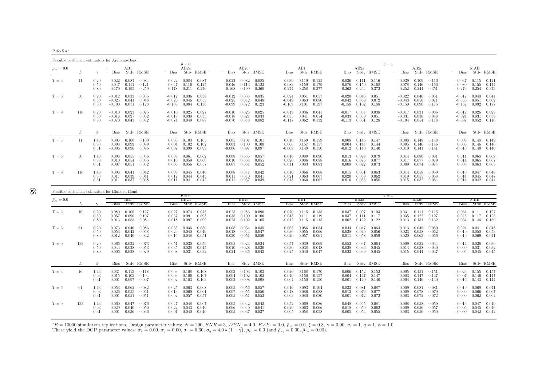P1fc-XA∗

Feasible coefficient estimators for Arellano-Bond $\theta = 0$  $AB2a$  $\theta = 1$ <br>a  $\theta = 1$  $\bar{\rho}_{x\varepsilon}=0.0$  $_{\varepsilon}$  = 0.0  $_{\varepsilon}$   $_{\varepsilon}$   $_{\varepsilon}$   $_{\varepsilon}$   $_{\varepsilon}$   $_{\varepsilon}$   $_{\varepsilon}$   $_{\varepsilon}$   $_{\varepsilon}$   $_{\varepsilon}$   $_{\varepsilon}$   $_{\varepsilon}$   $_{\varepsilon}$   $_{\varepsilon}$   $_{\varepsilon}$   $_{\varepsilon}$   $_{\varepsilon}$   $_{\varepsilon}$   $_{\varepsilon}$   $_{\varepsilon}$   $_{\varepsilon}$   $_{\varepsilon}$   $_{\varepsilon}$ L  $\gamma$  Bias Stdv RMSE Bias Stdv RMSE Bias Stdv RMSE Bias Stdv RMSE Bias Stdv RMSE Bias Stdv RMSE Bias Stdv RMSE $-0.037$   $0.115$   $0.121$  $T=3$  $T=3$   $11$   $0.20$   $-0.022$   $0.084$   $-0.022$   $0.084$   $0.087$   $-0.022$   $0.084$   $0.087$   $-0.022$   $0.082$   $0.085$   $-0.039$   $0.119$   $0.125$   $-0.036$   $0.111$   $0.116$   $-0.039$   $0.109$   $0.116$   $-0.037$   $0.116$   $-0.037$   $0.115$   $0$ 0.50 -0.047 0.111 0.121 -0.047 0.116 0.125 -0.046 0.113 0.122 -0.083 0.159 0.179 -0.076 0.150 0.168 -0.078 0.146 0.166 -0.080 0.155 0.1740.373 0.80 -0.170 0.195 0.259 -0.178 0.211 0.276 -0.168 0.199 0.260 -0.274 0.258 0.377 -0.262 0.264 0.372 -0.252 0.244 0.351 -0.273 0.254 0.3730.044  $T=6$  $T=6$   $50$   $0.20$   $-0.012$   $0.033$   $0.035$   $-0.012$   $0.036$   $0.038$   $-0.012$   $0.033$   $0.035$   $-0.024$   $0.051$   $-0.020$   $0.046$   $0.051$   $-0.022$   $0.046$   $0.051$   $-0.017$   $0.040$   $0.040$   $0.054$   $0.051$   $-0.020$   $0.040$   $0.$ 0.50 -0.025 0.041 0.048 -0.026 0.046 0.053 -0.025 0.042 0.048 -0.049 0.063 0.080 -0.042 0.058 0.072 -0.043 0.056 0.071 -0.036 0.051 0.062 $-0.152$   $0.092$   $0.177$  $0.80$   $-0.100$   $0.071$   $0.123$   $-0.108$   $0.084$   $0.136$   $-0.099$   $0.072$   $0.123$   $-0.169$   $0.101$   $0.197$   $-0.158$   $0.102$   $0.188$   $-0.150$   $0.090$   $0.175$  $-0.012$   $0.026$   $0.029$  $T=9$  $T=9 \hspace{1cm} 116 \hspace{1cm} 0.20 \hspace{1cm} 0.012 \hspace{1cm} 0.025 \hspace{1cm} 0.025 \hspace{1cm} 0.027 \hspace{1.05cm} 0.010 \hspace{1cm} 0.025 \hspace{1.05cm} 0.010 \hspace{1cm} 0.023 \hspace{1.05cm} 0.023 \hspace{1.05cm} 0.025 \hspace{1.05cm} 0.010 \hspace{1.05cm} 0.023 \hspace{1.05cm} 0.025 \hspace{$ 0.50 -0.018 0.022 -0.019 0.030 -0.019 0.027 0.033 -0.035 -0.035 -0.033 0.039 0.053 0.048 0.048 0.048 0.031 0.034<br>0.80 -0.070 0.043 0.082 -0.074 0.049 0.088 -0.070 0.043 0.082 -0.117 0.062 0.132 -0.113 0.061 0.128 -0.014 0.  $0.052$   $0.110$  $L \qquad \qquad \beta$ Bias Stdv RMSE Bias Stdv RMSE Bias Stdv RMSE Bias Stdv RMSE Bias Stdv RMSE Bias Stdv RMSE Bias Stdv RMSE Bias Stdv RMSE  $0.009$   $0.148$   $0.149$  $T=3$  $T=3 \hskip 1.08in 143 \hskip 1.08in 0.005 \hskip 1.08in 0.100 \hskip 1.08in 0.103 \hskip 1.08in 0.006 \hskip 1.08in 0.103 \hskip 1.08in 0.010 \hskip 1.08in 0.010 \hskip 1.08in 0.101 \hskip 1.08in 0.010 \hskip 1.08in 0.101 \hskip 1.08in 0.010 \hskip 1.08in 0.159 \hskip 1.08in 0.159 \hskip 1.08in$ 0.93 0.003 0.099 0.099 0.004 0.102 0.102 0.003 0.100 0.100 0.006 0.157 0.157 0.004 0.144 0.144 0.005 0.146 0.146 0.006 0.146 0.1460.140  $0.31$   $-0.006$   $0.096$   $-0.007$   $0.099$   $0.099$   $-0.006$   $0.097$   $0.097$   $-0.009$   $0.149$   $0.150$   $-0.012$   $0.140$   $0.140$   $-0.010$   $0.141$   $-0.010$   $0.141$   $-0.010$   $0.140$  $0.068$  $T=6$  $T=6 \hspace{1cm} 50 \hspace{1cm} 1.43 \hspace{1cm} 0.008 \hspace{1cm} 0.055 \hspace{1cm} 0.056 \hspace{1cm} 0.068 \hspace{1cm} 0.061 \hspace{1cm} 0.062 \hspace{1cm} 0.010 \hspace{1cm} 0.056 \hspace{1cm} 0.056 \hspace{1cm} 0.057 \hspace{1cm} 0.010 \hspace{1cm} 0.089 \hspace{1cm} 0.089 \hspace{1cm} 0.090 \hspace{1cm} 0.013$  $0.93 \qquad 0.010 \quad 0.054 \qquad 0.055 \qquad \qquad 0.010 \quad 0.059 \qquad 0.060 \qquad \qquad 0.010 \quad 0.054 \qquad 0.055 \qquad \qquad 0.020 \quad 0.086 \qquad 0.088 \qquad \qquad 0.016 \qquad 0.075 \qquad 0.077 \qquad \qquad 0.017 \qquad 0.077 \qquad \qquad 0.077 \qquad \qquad 0.014 \qquad 0.065 \qquad 0.067 \qquad 0.010 \$ 0.063  $0.31$   $0.007$   $0.051$   $0.052$   $0.006$   $0.056$   $0.057$   $0.007$   $0.051$   $0.052$   $0.011$   $0.083$   $0.083$   $0.083$   $0.009$   $0.072$   $0.073$   $0.073$   $0.009$   $0.074$   $0.074$   $0.009$   $0.063$   $0.063$ 0.048  $T=9$  $T=9 \hspace{1.5mm} 116 \hspace{1.5mm} 1.43 \hspace{1.5mm} 0.008 \hspace{1.5mm} 0.041 \hspace{1.5mm} 0.042 \hspace{1.5mm} 0.042 \hspace{1.5mm} 0.044 \hspace{1.5mm} 0.046 \hspace{1.5mm} 0.08 \hspace{1.5mm} 0.041 \hspace{1.5mm} 0.042 \hspace{1.5mm} 0.066 \hspace{1.5mm} 0.068 \hspace{1.5mm} 0.068 \hspace{1.5mm} 0$ 0.93 0.011 0.039 0.041 0.012 0.044 0.045 0.011 0.040 0.041 0.021 0.063 0.067 0.020 0.059 0.062 0.019 0.055 0.058 0.014 0.045 0.047 $0.014$   $0.042$   $0.044$  $0.31$   $0.011$   $0.037$   $0.038$   $0.011$   $0.041$   $0.042$   $0.011$   $0.037$   $0.039$   $0.018$   $0.060$   $0.062$   $0.016$   $0.055$   $0.058$   $0.015$   $0.052$   $0.054$ 

| Feasible coefficient estimators for Blundell-Bond |     |                      |                                  |                         |                         |                                  |                         |                         |                                  |                         |                         |                               |                         |                                             |                               |                         |                         |                                  |                         |                         |                                  |                         |                         |
|---------------------------------------------------|-----|----------------------|----------------------------------|-------------------------|-------------------------|----------------------------------|-------------------------|-------------------------|----------------------------------|-------------------------|-------------------------|-------------------------------|-------------------------|---------------------------------------------|-------------------------------|-------------------------|-------------------------|----------------------------------|-------------------------|-------------------------|----------------------------------|-------------------------|-------------------------|
|                                                   |     |                      |                                  |                         |                         |                                  | $\theta = 0$            |                         |                                  |                         |                         |                               |                         |                                             |                               |                         |                         | $\theta = 1$                     |                         |                         |                                  |                         |                         |
| $\bar{\rho}_{x\varepsilon} = 0.0$                 |     |                      |                                  | BB1                     |                         |                                  | BB2a                    |                         |                                  | BB2c                    |                         |                               | BB1.                    |                                             |                               | BB2a                    |                         |                                  | BB2c                    |                         |                                  | МВВ                     |                         |
|                                                   |     |                      | <b>Bias</b>                      |                         | Stdy RMSE               | <b>Bias</b>                      |                         | Stdy RMSE               | <b>Bias</b>                      |                         | Stdy RMSE               | <b>Bias</b>                   |                         | Stdy RMSE                                   | <b>Bias</b>                   |                         | Stdy RMSE               | <b>Bias</b>                      |                         | Stdy RMSE               | <b>Bias</b>                      |                         | Stdy RMSE               |
| $T=3$                                             | 16  | 0.20<br>0.50<br>0.80 | 0.080<br>0.057<br>0.013          | 0.100<br>0.090<br>0.083 | 0.127<br>0.107<br>0.084 | 0.027<br>0.037<br>0.018          | 0.074<br>0.091<br>0.097 | 0.078<br>0.098<br>0.099 | 0.025<br>0.035<br>0.023          | 0.086<br>0.100<br>0.102 | 0.090<br>0.106<br>0.105 | 0.070<br>0.043<br>$-0.012$    | 0.111                   | $0.115$ $0.135$<br>0.119<br>$0.115$ $0.115$ | 0.037<br>0.037<br>0.002       | 0.097<br>0.111<br>0.122 | 0.103<br>0.117<br>0.122 | 0.031<br>0.035<br>0.013          | 0.111<br>0.122<br>0.131 | 0.115<br>0.127<br>0.132 | 0.061<br>0.045<br>0.034          | 0.111<br>0.117<br>0.146 | 0.127<br>0.125<br>0.150 |
| $T=6$                                             | -61 | 0.20<br>0.50<br>0.80 | 0.073<br>0.053<br>0.012          | 0.046<br>0.042<br>0.040 | 0.086<br>0.068<br>0.042 | 0.035<br>0.029<br>0.016          | 0.036<br>0.040<br>0.048 | 0.050<br>0.049<br>0.051 | 0.008<br>0.018<br>0.030          | 0.034<br>0.044<br>0.051 | 0.035<br>0.047<br>0.059 | 0.063<br>0.036<br>$-0.020$    | 0.056<br>0.055<br>0.057 | 0.084<br>0.066<br>0.061                     | 0.044<br>0.028<br>$-0.011$    | 0.047<br>0.049<br>0.058 | 0.064<br>0.056<br>0.059 | 0.013<br>0.023<br>0.020          | 0.048<br>0.058<br>0.063 | 0.050<br>0.062<br>0.066 | 0.024<br>0.019<br>0.019          | 0.041<br>0.050<br>0.069 | 0.048<br>0.053<br>0.071 |
| $T=9$                                             | 133 | 0.20<br>0.50<br>0.80 | 0.066<br>0.044<br>0.006          | 0.032<br>0.028<br>0.028 | 0.073<br>0.053<br>0.029 | 0.051<br>0.035<br>0.008          | 0.030<br>0.028<br>0.031 | 0.059<br>0.045<br>0.032 | 0.005<br>0.010<br>0.024          | 0.024<br>0.028<br>0.036 | 0.024<br>0.030<br>0.043 | 0.057<br>0.030<br>$-0.025$    | 0.039<br>0.038<br>0.040 | 0.069<br>0.048<br>0.047                     | 0.052<br>0.028<br>$-0.022$    | 0.037<br>0.036<br>0.039 | 0.064<br>0.045<br>0.045 | 0.009<br>0.014<br>0.015          | 0.032<br>0.038<br>0.044 | 0.034<br>0.040<br>0.047 | 0.014<br>0.009<br>0.006          | 0.026<br>0.031<br>0.045 | 0.030<br>0.032<br>0.045 |
|                                                   | L   | $\beta$              | <b>Bias</b>                      |                         | Stdy RMSE               | Bias                             |                         | Stdv RMSE               | Bias                             |                         | Stdy RMSE               | Bias                          |                         | Stdy RMSE                                   | Bias                          |                         | Stdy RMSE               | Bias                             |                         | Stdv RMSE               | Bias                             |                         | Stdy RMSE               |
| $T=3$                                             | 16  | 1.43<br>0.93<br>0.31 | $-0.031$<br>$-0.015$<br>$-0.001$ | 0.113<br>0.103<br>0.097 | 0.118<br>0.104<br>0.097 | $-0.003$<br>$-0.003$<br>$-0.002$ | 0.108<br>0.106<br>0.103 | 0.108<br>0.107<br>0.103 | $-0.003$<br>$-0.004$<br>$-0.002$ | 0.103<br>0.102<br>0.098 | 0.103<br>0.102<br>0.098 | $-0.026$<br>$-0.010$<br>0.004 | 0.168<br>0.150          | 0.170<br>$0.156$ $0.157$<br>0.150           | $-0.006$<br>$-0.004$<br>0.001 | 0.152<br>0.147<br>0.140 | 0.152<br>0.147<br>0.140 | $-0.005$<br>$-0.003$<br>0.004    | 0.151<br>0.147<br>0.140 | 0.151<br>0.147<br>0.140 | $-0.023$<br>$-0.007$<br>0.016    | 0.155<br>0.146<br>0.143 | 0.157<br>0.147<br>0.144 |
| $T=6$                                             | 61  | 1.43<br>0.93<br>0.31 | $-0.053$<br>$-0.026$<br>$-0.001$ | 0.062<br>0.055<br>0.051 | 0.082<br>0.061<br>0.051 | $-0.025$<br>$-0.013$<br>$-0.002$ | 0.063<br>0.060<br>0.057 | 0.068<br>0.061<br>0.057 | $-0.005$<br>$-0.007$<br>$-0.005$ | 0.056<br>0.055<br>0.051 | 0.057<br>0.056<br>0.052 | $-0.046$<br>$-0.018$<br>0.003 | 0.093<br>0.086<br>0.080 | 0.104<br>0.088<br>0.080                     | $-0.032$<br>$-0.013$<br>0.001 | 0.081<br>0.076<br>0.072 | 0.087<br>0.077<br>0.072 | $-0.009$<br>$-0.009$<br>$-0.003$ | 0.081<br>0.078<br>0.072 | 0.081<br>0.079<br>0.072 | $-0.019$<br>$-0.009$<br>0.000    | 0.069<br>0.066<br>0.062 | 0.071<br>0.067<br>0.062 |
| $T=9$                                             | 133 | 1.43<br>0.93<br>0.31 | $-0.060$<br>$-0.029$<br>$-0.001$ | 0.047<br>0.040<br>0.036 | 0.076<br>0.050<br>0.036 | $-0.047$<br>$-0.022$<br>$-0.001$ | 0.048<br>0.043<br>0.040 | 0.067<br>0.049<br>0.040 | $-0.005$<br>$-0.006$<br>$-0.005$ | 0.042<br>0.040<br>0.037 | 0.042<br>0.041<br>0.037 | $-0.052$<br>$-0.020$<br>0.005 | 0.069<br>0.063<br>0.058 | 0.086<br>0.066<br>0.058                     | $-0.048$<br>$-0.018$<br>0.005 | 0.065<br>0.059<br>0.054 | 0.081<br>0.062<br>0.055 | $-0.008$<br>$-0.009$<br>$-0.003$ | 0.058<br>0.056<br>0.050 | 0.059<br>0.057<br>0.050 | $-0.013$<br>$-0.006$<br>$-0.000$ | 0.047<br>0.045<br>0.042 | 0.049<br>0.046<br>0.042 |

 ${}^*R = 10000$  simulation replications. Design parameter values:  $N = 200$ ,  $SNR = 3$ ,  $DEN_y = 4.0$ ,  $EVF_x = 0.0$ ,  $\bar{p}_{xz} = 0.0$ ,  $\xi = 0.8$ ,  $\kappa = 0.00$ ,  $\sigma_{\varepsilon} = 1$ ,  $q = 1$ ,  $\phi = 1.0$ .<br>These yield the DGP parameter values:  $\pi$  $*R = 10000$  simulation replications. Design parameter values:  $N = 200$ ,  $SNR = 3$ ,  $DEN_y = 4.0$ ,  $EVF_x = 0.0$ ,  $\bar{p}_{xz} = 0.0$ ,  $\xi = 0.8$ , These yield the DGP parameter values:  $\pi_{\lambda} = 0.00$ ,  $\pi_{\eta} = 0.00$ ,  $\sigma_v = 0.60$ ,  $\sigma_{\eta}$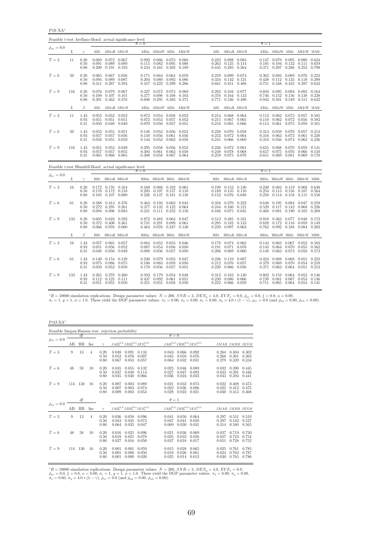P1ft-XA<sup>∗</sup>

| Feasible t-test Arellano-Bond: actual significance level |     |                      |                         |                                                               |                         |                         |                                                                   |                         |                         |                |                                                                         |                |                         |                                                                                   |                         |                                                       |                |
|----------------------------------------------------------|-----|----------------------|-------------------------|---------------------------------------------------------------|-------------------------|-------------------------|-------------------------------------------------------------------|-------------------------|-------------------------|----------------|-------------------------------------------------------------------------|----------------|-------------------------|-----------------------------------------------------------------------------------|-------------------------|-------------------------------------------------------|----------------|
| $\bar{\rho}_{x\varepsilon}=0.0$                          |     |                      |                         |                                                               |                         | $\theta = 0$            |                                                                   |                         |                         |                |                                                                         |                | $\theta = 1$            |                                                                                   |                         |                                                       |                |
|                                                          | L   | $\gamma$             |                         |                                                               | AB1 AB1aR AB1cR         |                         |                                                                   |                         | AB2a AB2aW AB2c AB2cW   |                | AB1 AB1aR AB1cR                                                         |                |                         | AB2a AB2aW AB2c AB2cW MAB                                                         |                         |                                                       |                |
| $T=3$                                                    | 11  | 0.20<br>0.50<br>0.80 | 0.091<br>0.200          | $0.069$ $0.072$ $0.067$<br>0.089<br>$0.191$ $0.193$           | 0.089                   | 0.115<br>0.234          | $0.092$ $0.066$ $0.073$ $0.068$<br>0.082<br>$0.165$ $0.202$       | 0.095                   | 0.088<br>0.189          | 0.263          | $0.223$ $0.098$ $0.083$<br>0.125<br>$0.445$ 0.285                       | 0.114<br>0.264 | 0.185                   | $0.147$ $0.079$ $0.095$ $0.080$ $0.624$<br>0.104<br>0.371 0.207                   | 0.132<br>0.286          | $0.111$ $0.659$<br>0.252                              | 0.798          |
| $T=6$                                                    | 50  | 0.20<br>0.50<br>0.80 |                         | $0.065$ $0.067$ $0.056$<br>$0.094$ 0.089<br>0.311 0.287 0.294 | 0.087                   | 0.171<br>0.204<br>0.457 | $0.064$ 0.064<br>0.080 0.092<br>0.222                             | 0.299                   | 0.059<br>0.086<br>0.286 |                | 0.259 0.099 0.074<br>$0.334$ $0.142$ $0.121$<br>$0.681$ $0.451$ $0.408$ |                | 0.362<br>0.438          | 0.083<br>0.112<br>0.751 0.348                                                     | 0.089<br>0.135<br>0.435 | $0.076$ 0.223<br>0.118 0.289<br>0.397 0.633           |                |
| $T=9$                                                    | 116 | 0.20<br>0.50<br>0.80 | 0.109<br>0.391          | 0.076 0.079 0.067<br>0.107<br>0.362 0.376                     | 0.101                   | 0.327<br>0.377          | 0.072 0.073<br>0.098<br>$0.690$ $0.295$ $0.383$ $0.371$           | 0.108                   | 0.069<br>0.103          |                | $0.282$ $0.104$ $0.077$<br>0.376 0.164 0.133<br>0.771 0.536 0.490       |                |                         | 0.694 0.095 0.094 0.082 0.164<br>0.746 0.152<br>$0.942$ $0.501$                   | 0.156<br>0.549          | 0.138<br>$0.511$ $0.622$                              | 0.228          |
|                                                          | L   | $\beta$              | AB1                     |                                                               | AB1aR AB1cR             |                         |                                                                   |                         | AB2a AB2aW AB2c AB2cW   | AB1            | AB1aR AB1cR                                                             |                |                         | AB2a AB2aW AB2c AB2cW MAB                                                         |                         |                                                       |                |
| $T=3$                                                    | 11  | 1.43<br>0.93<br>0.31 | 0.051                   | $0.052$ $0.052$ $0.052$<br>0.051<br>$0.050 \quad 0.049$       | 0.051<br>0.049          | 0.072<br>0.070          | $0.072$ $0.054$ $0.058$ $0.052$<br>0.053<br>$0.050 \quad 0.057$   | 0.057                   | 0.052<br>0.051          |                | 0.214 0.068 0.064<br>$0.215$ $0.067$ $0.065$<br>$0.216$ $0.065$ $0.066$ |                |                         | $0.112$ $0.062$ $0.073$ $0.057$ $0.585$<br>$0.110 \quad 0.062$<br>$0.113$ $0.061$ | 0.072<br>0.075          | 0.056 0.582<br>0.059 0.581                            |                |
| $T=6$                                                    | 50  | 1.43<br>0.93<br>0.31 | 0.052<br>0.057<br>0.058 | $0.055$ $0.051$<br>0.057<br>0.055                             | 0.056<br>0.059          | 0.148<br>0.150<br>0.144 | 0.053 0.056<br>0.056<br>$0.052$ $0.062$ $0.058$                   | 0.061                   | 0.052<br>0.056          |                | 0.228 0.070 0.058<br>$0.232 \quad 0.072$<br>$0.241$ $0.066$ $0.069$     | 0.064          | 0.316<br>0.310          | 0.313 0.059<br>0.063<br>0.056                                                     | 0.070<br>0.072<br>0.074 | $0.057$ $0.214$<br>$0.061$ $0.220$<br>$0.062$ 0.236   |                |
| $T=9$                                                    | 116 | 1.43<br>0.93<br>0.31 | 0.051<br>0.057<br>0.065 | 0.053 0.049<br>0.057<br>$0.060$ $0.065$                       | 0.055                   | 0.295<br>0.304<br>0.308 | 0.058 0.056 0.052<br>0.061<br>0.058 0.067 0.064                   | 0.063                   | 0.058                   | 0.248          | $0.236$ $0.072$ $0.061$<br>0.078<br>$0.259$ $0.075$ $0.078$             | 0.068          | 0.655<br>0.657          | 0.068<br>0.075<br>0.651 0.069                                                     | 0.076                   | $0.070$ $0.059$ $0.141$<br>0.066<br>$0.081$ 0.069     | 0.150<br>0.170 |
| Feasible t-test Blundell-Bond: actual significance level |     |                      |                         |                                                               |                         | $\theta = 0$            |                                                                   |                         |                         |                |                                                                         |                | $\theta = 1$            |                                                                                   |                         |                                                       |                |
| $\bar{\rho}_{x\varepsilon}=0.0$                          | L   | $\gamma$             |                         | BB1 BB1aR BB1cR                                               |                         |                         |                                                                   |                         | BB2a BB2aW BB2c BB2cW   |                | BB1 BB1aR BB1cR                                                         |                |                         | BB2a BB2aW BB2c BB2cW MBB                                                         |                         |                                                       |                |
| $T=3$                                                    | 16  | 0.20<br>0.50<br>0.80 | 0.170<br>0.105          | 0.172 0.176 0.164<br>$0.172$ $0.158$                          | $0.107$ 0.080           | 0.205<br>0.226          | $0.160$ $0.068$ $0.102$ $0.061$<br>$0.107$ $0.157$<br>0.137 0.181 |                         | 0.110<br>0.138          | 0.189          | $0.190$ $0.153$ $0.130$<br>$0.135$ $0.110$<br>$0.152$ $0.076$ $0.049$   |                | 0.254<br>0.250          | $0.230$ $0.083$ $0.119$<br>0.113<br>0.114                                         | 0.156<br>0.158          | 0.068 0.638<br>0.107<br>0.115                         | 0.564<br>0.558 |
| $T=6$                                                    | 61  | 0.20<br>0.50<br>0.80 | 0.388<br>0.272<br>0.094 | 0.413 0.376<br>0.295<br>0.096                                 | 0.261<br>0.083          | 0.377<br>0.331          | $0.464$ $0.193$ $0.063$<br>0.132<br>0.111 0.252                   | 0.122                   | 0.043<br>0.064<br>0.156 |                | $0.356$ $0.270$ $0.222$<br>$0.244$ $0.160$<br>0.166 0.075               | 0.121<br>0.045 | 0.648<br>0.529<br>0.460 | 0.117<br>0.081                                                                    | 0.142<br>0.190          | $0.195$ $0.084$ $0.047$ $0.259$<br>0.068<br>0.105     | 0.226<br>0.288 |
| $T=9$                                                    | 133 | 0.20<br>0.50<br>0.80 | 0.605<br>0.372          | 0.622<br>0.400<br>$0.066$ $0.076$ $0.060$                     | 0.592<br>0.361          | 0.872<br>0.731          | 0.482 0.064<br>0.291<br>$0.464$ $0.076$ $0.247$ $0.130$           | 0.099                   | 0.047<br>0.061          | 0.295<br>0.229 | 0.513 0.385 0.331<br>0.182<br>0.097 0.063                               | 0.133          | 0.918<br>0.828          | 0.363<br>0.172<br>$0.762$ 0.092                                                   | 0.077<br>0.116<br>0.188 | 0.048<br>0.059<br>0.084 0.202                         | 0.172<br>0.149 |
|                                                          | L   | $\beta$              | B <sub>B1</sub>         |                                                               | BB1aR BB1cR             |                         |                                                                   |                         | BB2a BB2aW BB2c BB2cW   | BB1            | BB1aR BB1cR                                                             |                |                         | BB2a BB2aW BB2c BB2cW MBB                                                         |                         |                                                       |                |
| $T=3$                                                    | 16  | 1.43<br>0.93<br>0.31 | 0.051<br>0.048          | $0.057$ $0.065$ $0.057$<br>0.056<br>0.050 0.049               | 0.052                   | 0.087<br>0.088          | $0.084$ $0.052$ $0.053$ $0.046$<br>0.054<br>0.056                 | 0.056<br>0.057          | 0.050<br>0.050          |                | 0.178 0.074 0.062<br>0.191 0.071 0.059<br>$0.206$ $0.069$ $0.060$       |                | 0.148                   | $0.143$ $0.063$ $0.067$ $0.052$ $0.583$<br>$0.143$ $0.064$<br>0.063               | 0.070<br>0.073          | $0.055$ $0.562$<br>0.058                              | 0.573          |
| $T=6$                                                    | 61  | 1.43<br>0.93<br>0.31 | 0.140<br>0.075<br>0.050 | 0.154 0.139<br>0.086<br>$0.052$ 0.050                         | 0.075                   | 0.230<br>0.186<br>0.170 | 0.079 0.053<br>0.063<br>0.056                                     | 0.059<br>0.057          | 0.047<br>0.050<br>0.051 | 0.212          | $0.236$ $0.110$ $0.087$<br>0.076<br>$0.220$ $0.066$ $0.056$             | 0.057          | 0.379                   | $0.424$ 0.088<br>0.069<br>0.371 0.063                                             | 0.068<br>0.070<br>0.064 | $0.051$ $0.223$<br>$0.054$ $0.210$<br>$0.051$ $0.212$ |                |
| $T=9$                                                    | 133 | 1.43<br>0.93<br>0.31 | 0.112                   | $0.265$ 0.278<br>0.125<br>$0.051$ $0.055$                     | 0.260<br>0.111<br>0.050 | 0.593<br>0.437          | 0.179<br>0.092<br>0.351 0.055                                     | 0.054<br>0.061<br>0.058 | 0.048<br>0.051<br>0.050 |                | $0.312$ $0.163$ $0.130$<br>0.230 0.086<br>$0.222$ $0.066$ $0.059$       | 0.066          | 0.739                   | $0.802$ $0.153$<br>0.081<br>0.711 0.065                                           | 0.064<br>0.067          | 0.052<br>$0.053$ $0.136$<br>$0.064$ $0.053$ $0.141$   | 0.146          |

 ${}^*R = 10000$  simulation replications. Design parameter values:  $N = 200$ ,  $SNR = 3$ ,  $DEN_y = 4.0$ ,  $EVF_x = 0.0$ ,  $\bar{\rho}_{x\bar{x}} = 0.0$ ,  $\xi = 0.8$ ,  $\kappa = 0.00$ ,<br> $\sigma_{\bar{x}} = 1$ ,  $q = 1$ ,  $\phi = 1.0$ . These yield the DGP parameter values:

P1fJ-XA<sup>∗</sup>

|                                 |     |           |     |                      | Feasible Sargan-Hansen test: rejection probability |                         |                         |                         |                                           |                         |                         |                         |
|---------------------------------|-----|-----------|-----|----------------------|----------------------------------------------------|-------------------------|-------------------------|-------------------------|-------------------------------------------|-------------------------|-------------------------|-------------------------|
|                                 |     | df        |     |                      |                                                    |                         | $\theta = 0$            |                         |                                           |                         |                         |                         |
| $\bar{\rho}_{x\varepsilon}=0.0$ | AВ  | <b>BB</b> | Inc | $\sim$               | $JAB_a^{(2,1)}JBB_a^{(2,1)}JES_a^{(2,1)}$          |                         |                         |                         | $JAB_c^{(2,1)}JBB_c^{(2,1)}JES_c^{(2,1)}$ |                         | JMAB JMBB JESM          |                         |
| $T=3$                           | 9   | 13        | 4   | 0.20<br>0.50<br>0.80 | 0.048<br>0.091<br>0.052<br>0.076<br>0.067<br>0.053 | 0.133<br>0.097<br>0.057 | 0.043<br>0.045<br>0.064 | 0.066<br>0.059<br>0.032 | 0.092<br>0.076<br>0.031                   | 0.264<br>0.268<br>0.279 | 0.304<br>0.301<br>0.339 | 0.302<br>0.303<br>0.334 |
| $T=6$                           | 48  | 58        | 10  | 0.20<br>0.50<br>0.80 | 0.035<br>0.055<br>0.037<br>0.048<br>0.045<br>0.040 | 0.132<br>0.114<br>0.066 | 0.025<br>0.027<br>0.036 | 0.046<br>0.047<br>0.024 | 0.089<br>0.093<br>0.023                   | 0.032<br>0.033<br>0.043 | 0.390<br>0.391<br>0.394 | 0.445<br>0.446<br>0.441 |
| $T=9$                           | 114 | 130       | 16  | 0.20<br>0.50<br>0.80 | 0.007<br>0.003<br>0.007<br>0.003<br>0.009<br>0.003 | 0.089<br>0.074<br>0.053 | 0.021<br>0.022<br>0.028 | 0.032<br>0.036<br>0.022 | 0.073<br>0.086<br>0.021                   | 0.022<br>0.022<br>0.030 | 0.408<br>0.412<br>0.413 | 0.473<br>0.475<br>0.468 |
|                                 |     | df        |     |                      |                                                    |                         | $\theta=1$              |                         |                                           |                         |                         |                         |
| $\bar{\rho}_{x\varepsilon}=0.0$ | AВ  | <b>BB</b> | Inc | $\gamma$             | $JAB_a^{(2,1)}JBB_a^{(2,1)}JES_a^{(2,1)}$          |                         |                         |                         | $JAB_c^{(2,1)}JBB_c^{(2,1)}JES_c^{(2,1)}$ |                         | JMAB JMBB JESM          |                         |
| $T=3$                           | 9   | 13        | 4   | 0.20<br>0.50<br>0.80 | 0.036<br>0.058<br>0.043<br>0.045<br>0.064<br>0.035 | 0.096<br>0.073<br>0.047 | 0.041<br>0.047<br>0.069 | 0.050<br>0.041<br>0.030 | 0.064<br>0.050<br>0.031                   | 0.297<br>0.297<br>0.314 | 0.531<br>0.542<br>0.580 | 0.519<br>0.527<br>0.565 |
| $T=6$                           | 48  | 58        | 10  | 0.20<br>0.50<br>0.80 | 0.016<br>0.025<br>0.018<br>0.021<br>0.027<br>0.016 | 0.096<br>0.078<br>0.050 | 0.021<br>0.025<br>0.037 | 0.036<br>0.032<br>0.018 | 0.069<br>0.056<br>0.017                   | 0.037<br>0.037<br>0.051 | 0.719<br>0.724<br>0.728 | 0.750<br>0.754<br>0.752 |
| $T=9$                           | 114 | 130       | 16  | 0.20<br>0.50<br>0.80 | 0.001<br>0.001<br>0.001<br>0.000<br>0.001<br>0.000 | 0.059<br>0.050<br>0.039 | 0.015<br>0.018<br>0.025 | 0.028<br>0.026<br>0.014 | 0.065<br>0.061<br>0.012                   | 0.025<br>0.024<br>0.030 | 0.761<br>0.763<br>0.765 | 0.785<br>0.787<br>0.786 |

\*R = 10000 simulation replications. Design parameter values:  $N = 200$ ,  $SNR = 3$ ,  $DEN_y = 4.0$ ,  $EVF_x = 0.0$ ,  $\bar{\rho}_{xe} = 0.0$ ,  $\xi = 0.8$ ,  $\kappa = 0.00$ ,  $\sigma_e = 1$ ,  $q = 1$ ,  $\phi = 1.0$ . These yield the DGP parameter values:  $\pi_{\lambda} = 0.$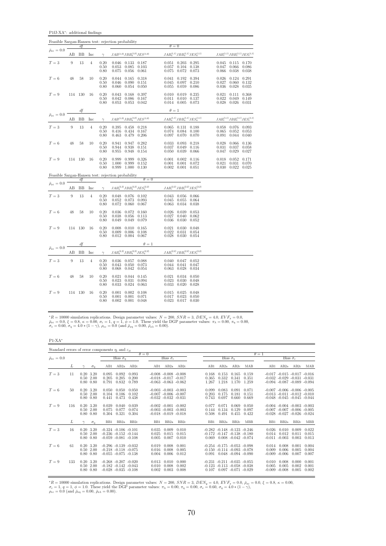P1fJ-XA<sup>∗</sup> : additional findings

|                                 |         |          |                |                                                     | Feasible Sargan-Hansen test: rejection probability                              |                                                                                |                                                        |                                                               |                                           |                         |                                   |                                           |
|---------------------------------|---------|----------|----------------|-----------------------------------------------------|---------------------------------------------------------------------------------|--------------------------------------------------------------------------------|--------------------------------------------------------|---------------------------------------------------------------|-------------------------------------------|-------------------------|-----------------------------------|-------------------------------------------|
| $\bar{\rho}_{x\epsilon}=0.0$    |         | df       |                |                                                     |                                                                                 |                                                                                | $\theta = 0$                                           |                                                               |                                           |                         |                                   |                                           |
|                                 | AВ      | BB       | Inc            | $\gamma$                                            | $JAB^{\left(1,0\right)}JBB_{a}^{\left(1,0\right)}JES^{\left(1,0\right)}$        |                                                                                |                                                        |                                                               | $JAB_a^{(1,1)}JBB_a^{(1,1)}JES_a^{(1,1)}$ |                         |                                   | $JAB_c^{(1,1)}JBB_c^{(1,1)}JES_c^{(1,1)}$ |
| $T=3$                           | 9       | 13       | $\overline{4}$ | 0.20<br>0.50<br>0.80                                | $0.046$ $0.133$ $0.187$<br>0.053<br>0.085<br>0.075<br>0.056                     | 0.103<br>0.061                                                                 | 0.051<br>0.057<br>0.075                                | $0.203$ $0.295$<br>0.104<br>0.072                             | 0.138<br>0.073                            | 0.047<br>0.066          | $0.045$ $0.115$<br>0.066<br>0.038 | 0.170<br>0.086<br>0.038                   |
| $T=6$                           | 48      | 58       | 10             | 0.20<br>0.50<br>0.80                                | 0.044<br>0.165<br>0.090<br>0.046<br>0.054<br>0.060                              | 0.318<br>0.151<br>0.050                                                        | 0.041<br>0.045<br>0.055                                | 0.192<br>0.097<br>0.059                                       | 0.394<br>0.210<br>0.086                   | 0.026<br>0.027<br>0.036 | 0.124<br>0.060<br>0.028           | 0.291<br>0.132<br>0.035                   |
| $T=9$                           | 114     | 130      | 16             | 0.20<br>0.50<br>0.80                                | 0.168<br>0.043<br>0.042<br>0.086<br>$0.053$ $0.053$ $0.042$                     | 0.397<br>0.167                                                                 | 0.010<br>0.011                                         | $0.019$ $0.235$<br>$0.010$ $0.137$<br>$0.014$ $0.005$ $0.073$ |                                           | 0.021<br>0.022          | 0.111<br>0.049<br>$0.028$ 0.026   | 0.368<br>0.149<br>0.031                   |
|                                 |         | df       |                |                                                     |                                                                                 |                                                                                | $\theta = 1$                                           |                                                               |                                           |                         |                                   |                                           |
| $\bar{\rho}_{x\varepsilon}=0.0$ | AВ      | BB       | Inc            | $\gamma$                                            |                                                                                 | $JAB^{\left( 1,0\right) }JBB_{a}^{\left( 1,0\right) }JES^{\left( 1,0\right) }$ |                                                        |                                                               | $JAB_a^{(1,1)}JBB_a^{(1,1)}JES_a^{(1,1)}$ |                         |                                   | $JAB_c^{(1,1)}JBB_c^{(1,1)}JES_c^{(1,1)}$ |
| $T=3$                           | 9       | 13       | $\overline{4}$ | 0.20<br>0.50<br>0.80                                | 0.395 0.458 0.218<br>0.434<br>0.416<br>0.479<br>0.463                           | 0.167<br>0.206                                                                 | 0.065<br>0.074<br>0.097                                | 0.084<br>0.070                                                | $0.131$ $0.188$<br>0.100<br>0.070         | 0.058<br>0.065<br>0.091 | 0.076<br>0.052<br>0.044           | 0.093<br>0.053<br>0.040                   |
| $T=6$                           | 48      | 58       | 10             | 0.20<br>0.50<br>0.80                                | 0.947<br>0.941<br>0.944<br>0.938<br>0.948<br>0.955                              | 0.282<br>0.151<br>0.154                                                        | 0.033<br>0.037<br>0.050                                | 0.093<br>0.049<br>0.039                                       | 0.218<br>0.116<br>0.066                   | 0.028<br>0.031<br>0.047 | 0.066<br>0.037<br>0.029           | 0.136<br>0.058<br>0.027                   |
| $T=9$                           | 114     | 130      | 16             | 0.20<br>0.50<br>0.80                                | 0.999<br>0.999<br>1.000<br>0.999<br>1.000<br>0.999                              | 0.326<br>0.152<br>0.130                                                        | 0.001<br>0.001<br>0.002                                | 0.002<br>0.001<br>$0.001$ $0.051$                             | 0.116<br>0.072                            | 0.018<br>0.021<br>0.030 | 0.052<br>0.031<br>0.022           | 0.171<br>0.070<br>0.025                   |
|                                 |         |          |                |                                                     | Feasible Sargan-Hansen test: rejection probability                              |                                                                                |                                                        |                                                               |                                           |                         |                                   |                                           |
| $\bar{\rho}_{x\varepsilon}=0.0$ | AB      | df<br>BB | Inc            | $\gamma$                                            | $JAB_a^{(2,2)}JBB_a^{(2,2)}JES_a^{(2,2)}$                                       | $\theta = 0$                                                                   |                                                        |                                                               | $JAB_c^{(2,2)}JBB_c^{(2,2)}JES_c^{(2,2)}$ |                         |                                   |                                           |
|                                 |         |          |                |                                                     |                                                                                 |                                                                                |                                                        |                                                               |                                           |                         |                                   |                                           |
| $T=3$                           | 9       | 13       | $\overline{4}$ | 0.20<br>0.50<br>0.80                                | $0.048$ $0.076$ $0.102$<br>0.052<br>0.073<br>0.060<br>0.072                     | 0.093<br>0.067                                                                 | 0.043<br>0.045<br>0.063                                | $0.056$ 0.066<br>0.055<br>0.034                               | 0.064<br>0.038                            |                         |                                   |                                           |
| $T=6$                           | 48      | 58       | 10             | 0.20<br>0.50<br>0.80                                | 0.036<br>0.072<br>0.038<br>0.056<br>0.049<br>0.049                              | 0.160<br>0.113<br>0.079                                                        | 0.026<br>0.027<br>0.036                                | 0.039<br>0.040<br>0.030                                       | 0.053<br>0.062<br>0.052                   |                         |                                   |                                           |
| $T=9$                           | 114     | 130      | 16             | $\begin{array}{c} 0.20 \\ 0.50 \end{array}$<br>0.80 | 0.008<br>$0.010$ $0.165$<br>0.009<br>$0.006$ $0.108$<br>$0.012$ $0.004$ $0.067$ |                                                                                | $\begin{array}{c} 0.021 \\ 0.022 \end{array}$<br>0.028 | 0.030<br>0.031<br>$0.030 \quad 0.054$                         | 0.048<br>0.054                            |                         |                                   |                                           |
|                                 |         | df       |                |                                                     |                                                                                 | $\theta=1$                                                                     |                                                        |                                                               |                                           |                         |                                   |                                           |
| $\bar{\rho}_{x\varepsilon}=0.0$ | AB      | BB       | Inc            | $\gamma$                                            | $JAB_a^{(2,2)}JBB_a^{(2,2)}JES_a^{(2,2)}$                                       |                                                                                |                                                        |                                                               | $JAB_c^{(2,2)}JBB_c^{(2,2)}JES_c^{(2,2)}$ |                         |                                   |                                           |
| $T=3$                           | 9       | 13       | $\overline{4}$ | 0.20<br>0.50<br>0.80                                | $0.036$ $0.057$ $0.088$<br>0.043<br>0.050<br>0.068<br>0.042                     | 0.073<br>0.054                                                                 | 0.044<br>0.063                                         | $0.040$ $0.047$ $0.052$<br>0.041<br>0.028                     | 0.047<br>0.034                            |                         |                                   |                                           |
| $T=6$                           | 48      | 58       | 10             | 0.20<br>0.50<br>0.80                                | 0.021<br>0.023<br>0.031<br>0.033                                                | $0.044$ $0.145$<br>0.094<br>$0.024$ 0.063                                      | 0.021<br>0.023<br>0.033                                | 0.034<br>0.030<br>$0.020 \quad 0.028$                         | 0.050<br>0.048                            |                         |                                   |                                           |
| $T=9$                           | 114 130 |          | 16             | 0.20<br>0.50<br>0.80                                | 0.001<br>0.001<br>0.001<br>0.002<br>0.001                                       | $0.002$ $0.108$<br>0.071<br>0.048                                              | 0.015<br>0.017<br>0.023                                | 0.025<br>0.023<br>$0.017$ 0.030                               | 0.048<br>0.050                            |                         |                                   |                                           |

 ${}^*R = 10000$  simulation replications. Design parameter values:  $N = 200$ ,  $SNR = 3$ ,  $DEN_y = 4.0$ ,  $EVF_x = 0.0$ ,  $\bar{\rho}_{xe} = 0.0$ ,  $\xi = 0.8$ ,  $\kappa = 0.00$ ,  $\sigma_e = 1$ ,  $q = 1$ ,  $\phi = 1.0$ . These yield the DGP parameter values:  $\pi_{\lambda} =$ 

 $\rm P1\text{-}XA^*$ 

| Standard errors of error components $\eta_i$ and $\varepsilon_{it}$ |     |                                                   |            |                                                                                        |                         |                         |                         |                                                                                        |                         |                         |                                                                                                              |                         |                         |                            |                                                                                                                   |                                   |                         |
|---------------------------------------------------------------------|-----|---------------------------------------------------|------------|----------------------------------------------------------------------------------------|-------------------------|-------------------------|-------------------------|----------------------------------------------------------------------------------------|-------------------------|-------------------------|--------------------------------------------------------------------------------------------------------------|-------------------------|-------------------------|----------------------------|-------------------------------------------------------------------------------------------------------------------|-----------------------------------|-------------------------|
| $\bar{\rho}_{x\varepsilon} = 0.0$                                   |     |                                                   |            |                                                                                        | Bias $\sigma_n$         |                         | $\theta = 0$            | Bias $\hat{\sigma}_e$                                                                  |                         |                         | Bias $\hat{\sigma}_n$                                                                                        |                         |                         | $\theta = 1$               |                                                                                                                   | Bias $\hat{\sigma}_{\varepsilon}$ |                         |
|                                                                     | L   |                                                   | $\sigma_n$ | AB1                                                                                    | AB2a                    | AB2c                    | AB1                     | AB2a                                                                                   | AB2c                    | AB1                     | AB2a                                                                                                         | AB2c                    | MAB                     | AB1                        | AB2a                                                                                                              | AB2c                              | MAB                     |
| $T=3$                                                               | 11  | $0.20\ 3.20$<br>$0.50 \t2.00$<br>$0.80\ 0.80$     |            | 0.095<br>0.205<br>0.791                                                                | 0.092<br>0.205<br>0.832 | 0.093<br>0.200<br>0.789 |                         | $-0.008$ $-0.008$ $-0.008$<br>$-0.018$ $-0.017$ $-0.017$<br>$-0.063$ $-0.063$ $-0.062$ |                         | 0.168<br>0.365<br>1.267 | 0.153<br>0.332<br>1.218                                                                                      | 0.165<br>0.341<br>1.170 | 0.159<br>0.351<br>1.259 |                            | $-0.017$ $-0.015$ $-0.017$ $-0.016$<br>$-0.032 - 0.029 - 0.031 - 0.031$<br>$-0.094$ $-0.087$ $-0.089$ $-0.094$    |                                   |                         |
| $T=6$                                                               | 50  | $0.20\ 3.20$<br>$0.50\ 2.00$<br>$0.80\ 0.80$      |            | 0.050<br>0.104<br>0.441                                                                | 0.050<br>0.106<br>0.473 | 0.050<br>0.102<br>0.438 |                         | $-0.003 - 0.003 - 0.003$<br>$-0.007 - 0.006 - 0.007$<br>$-0.032 - 0.032 - 0.031$       |                         | 0.099<br>0.203<br>0.743 | 0.083<br>0.175<br>0.697                                                                                      | 0.091<br>0.181<br>0.660 | 0.071<br>0.151<br>0.669 |                            | $-0.007 - 0.006 - 0.006 - 0.005$<br>$-0.013 - 0.011 - 0.012 - 0.010$<br>$-0.048$ $-0.045$ $-0.045$ $-0.044$       |                                   |                         |
| $T=9$                                                               | 116 | $0.20\ 3.20$<br>$0.50$ 2.00<br>$0.80\ 0.80$       |            | 0.039<br>0.075<br>0.304                                                                | 0.040<br>0.077<br>0.321 | 0.039<br>0.074<br>0.304 |                         | $-0.002$ $-0.001$ $-0.002$<br>$-0.003 - 0.003 - 0.003$<br>$-0.018$ $-0.019$ $-0.018$   |                         | 0.077<br>0.144<br>0.508 | 0.071<br>0.134<br>0.491                                                                                      | 0.069<br>0.129<br>0.455 | 0.050<br>0.097<br>0.422 |                            | $-0.004$ $-0.004$ $-0.003$ $-0.003$<br>$-0.007$ $-0.007$ $-0.006$ $-0.005$<br>$-0.028$ $-0.027$ $-0.026$ $-0.024$ |                                   |                         |
|                                                                     | L   | $\sim$                                            | $\sigma_n$ | B <sub>B1</sub>                                                                        | BB <sub>2a</sub>        | BB2c                    | B <sub>B1</sub>         | BB <sub>2a</sub>                                                                       | BB2c                    | B <sub>B1</sub>         | BB <sub>2a</sub>                                                                                             | BB <sub>2c</sub>        | <b>MBB</b>              | B <sub>B1</sub>            | BB <sub>2a</sub>                                                                                                  | BB <sub>2c</sub>                  | MBB                     |
| $T=3$                                                               | 16  | $0.20\ 3.20$<br>$0.50$ 2.00<br>$0.80\ 0.80$       |            | $-0.324$ $-0.106$ $-0.101$<br>$-0.236$ $-0.152$ $-0.144$<br>$-0.059 - 0.081 - 0.108$   |                         |                         | 0.035<br>0.025<br>0.005 | 0.009<br>0.015<br>0.007                                                                | 0.010<br>0.015<br>0.010 | 0.069                   | $-0.282$ $-0.148$ $-0.123$ $-0.246$<br>$-0.172$ $-0.147$ $-0.138$ $-0.180$                                   | $0.008 - 0.042 - 0.074$ |                         | 0.026<br>0.014<br>$-0.011$ | 0.010<br>0.012<br>$-0.003$                                                                                        | 0.009<br>0.011<br>0.003           | 0.022<br>0.015<br>0.013 |
| $T=6$                                                               | 61  | $0.20\ 3.20$<br>$0.50\ 2.00$<br>$0.80\ 0.80$      |            | $-0.296$ $-0.139$ $-0.032$<br>$-0.218$ $-0.118$ $-0.075$<br>$-0.055 - 0.075 - 0.138$   |                         |                         | 0.019<br>0.016<br>0.004 | 0.008<br>0.008<br>0.006                                                                | 0.001<br>0.005<br>0.012 |                         | $-0.254$ $-0.175$ $-0.053$ $-0.098$<br>$-0.150 - 0.114 - 0.093 - 0.078$<br>$0.091$ $0.048$ $-0.094$ $-0.090$ |                         |                         | 0.014<br>0.009<br>$-0.009$ | 0.008<br>0.006<br>$-0.006$                                                                                        | 0.001<br>0.005<br>0.007           | 0.004<br>0.004<br>0.007 |
| $T=9$                                                               | 133 | $0.20 \quad 3.20$<br>$0.50\ 2.00$<br>$0.80\ 0.80$ |            | $-0.268$ $-0.207$ $-0.020$<br>$-0.182$ $-0.142$ $-0.043$<br>$-0.028$ $-0.035$ $-0.108$ |                         |                         | 0.013<br>0.010<br>0.002 | 0.010<br>0.008<br>0.003                                                                | 0.000<br>0.002<br>0.008 | 0.107                   | $-0.231 - 0.211 - 0.035 - 0.055$<br>$-0.123 - 0.113 - 0.058 - 0.038$                                         | $0.097 - 0.071 - 0.029$ |                         | 0.010<br>0.005<br>$-0.009$ | 0.008<br>0.005<br>$-0.008$                                                                                        | 0.000<br>0.002<br>0.005           | 0.001<br>0.001<br>0.002 |

 ${}^*R = 10000$  simulation replications. Design parameter values:  $N = 200$ ,  $SNR = 3$ ,  $DEN_y = 4.0$ ,  $EVF_x = 0.0$ ,  $\bar{\rho}_{x\bar{z}} = 0.0$ ,  $\xi = 0.8$ ,  $\kappa = 0.00$ ,<br>  $\sigma_{\varepsilon} = 1$ ,  $q = 1$ ,  $\phi = 1.0$ . These yield the DGP parameter values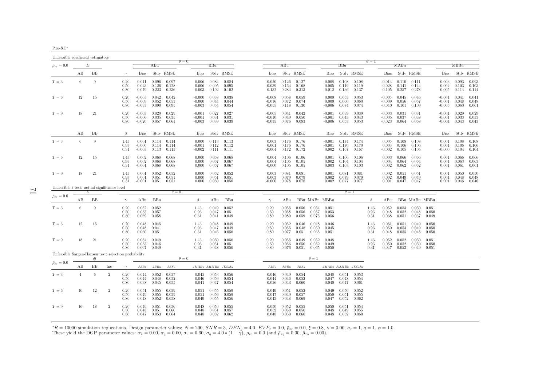| г |  |
|---|--|
|   |  |

| Unfeasible coefficient estimators                    |                |           |                |                      |                                  |                         |                         |                                  |                               |                                             |                                  |                         |                         |                         |                                  |                                   |                         |                      |                                  |                                             |                         |                         |                                  |                         |                         |
|------------------------------------------------------|----------------|-----------|----------------|----------------------|----------------------------------|-------------------------|-------------------------|----------------------------------|-------------------------------|---------------------------------------------|----------------------------------|-------------------------|-------------------------|-------------------------|----------------------------------|-----------------------------------|-------------------------|----------------------|----------------------------------|---------------------------------------------|-------------------------|-------------------------|----------------------------------|-------------------------|-------------------------|
| $\bar{\rho}_{x\epsilon}=0.0$                         | L              |           |                |                      |                                  | ABu                     |                         | $\theta = 0$                     | BBu                           |                                             |                                  | ABu                     |                         |                         |                                  | <b>BBu</b>                        |                         | $\theta = 1$         | MABu                             |                                             |                         |                         |                                  | MBBu                    |                         |
|                                                      | AВ             | BB        |                | $\gamma$             | Bias                             |                         | Stdy RMSE               | Bias                             |                               | Stdy RMSE                                   | Bias                             |                         | Stdy RMSE               |                         | Bias                             |                                   | Stdy RMSE               |                      | Bias                             |                                             | Stdy RMSE               |                         | Bias                             |                         | Stdy RMSE               |
| $T=3$                                                | 6              | 9         |                | 0.20<br>0.50<br>0.80 | $-0.011$<br>$-0.023$<br>$-0.079$ | 0.096<br>0.126<br>0.223 | 0.097<br>0.128<br>0.236 | 0.006<br>0.006<br>$-0.003$       | 0.084<br>0.095<br>0.102       | 0.084<br>0.095<br>0.102                     | $-0.020$<br>$-0.039$<br>$-0.132$ | 0.126<br>0.164<br>0.284 | 0.127<br>0.168<br>0.313 |                         | 0.008<br>0.005<br>$-0.012$       | 0.108<br>0.119<br>0.136           | 0.108<br>0.119<br>0.137 |                      | $-0.028$                         | $-0.014$ $0.110$<br>0.141<br>$-0.105$ 0.257 | 0.111<br>0.144<br>0.278 |                         | 0.003<br>0.002<br>$-0.005$       | 0.093<br>0.103<br>0.114 | 0.093<br>0.103<br>0.114 |
| $T=6$                                                | 12             | 15        |                | 0.20<br>0.50<br>0.80 | $-0.005$<br>$-0.009$<br>$-0.033$ | 0.042<br>0.052<br>0.090 | 0.042<br>0.053<br>0.095 | $-0.000$<br>$-0.000$<br>$-0.003$ | 0.038<br>0.044<br>0.054       | 0.038<br>0.044<br>0.054                     | $-0.008$<br>$-0.016$<br>$-0.055$ | 0.058<br>0.072<br>0.118 | 0.059<br>0.074<br>0.130 |                         | 0.000<br>0.000<br>$-0.006$       | 0.053<br>0.060<br>0.074           | 0.053<br>0.060<br>0.074 |                      | $-0.005$<br>$-0.009$<br>$-0.040$ | 0.045<br>0.056<br>0.101                     | 0.046<br>0.057<br>0.109 |                         | $-0.001$<br>$-0.001$<br>$-0.005$ | 0.041<br>0.048<br>0.060 | 0.041<br>0.048<br>0.061 |
| $T=9$                                                | 18             | $21\,$    |                | 0.20<br>0.50<br>0.80 | $-0.003$<br>$-0.006$<br>$-0.020$ | 0.029<br>0.035<br>0.057 | 0.029<br>0.035<br>0.061 | $-0.001$<br>$-0.001$<br>$-0.003$ | 0.027<br>0.031<br>0.039       | 0.027<br>0.031<br>0.039                     | $-0.005$<br>$-0.010$<br>$-0.035$ | 0.041<br>0.049<br>0.076 | 0.042<br>0.050<br>0.083 |                         | $-0.001$<br>$-0.001$<br>$-0.006$ | 0.039<br>0.043<br>0.053           | 0.039<br>0.043<br>0.053 |                      | $-0.003$<br>$-0.005$<br>$-0.023$ | 0.031<br>0.037<br>0.064                     | 0.031<br>0.038<br>0.068 |                         | $-0.001$<br>$-0.001$<br>$-0.004$ | 0.029<br>0.033<br>0.043 | 0.029<br>0.033<br>0.043 |
|                                                      | AB             | <b>BB</b> |                | $\beta$              | Bias                             |                         | Stdy RMSE               | Bias                             |                               | Stdy RMSE                                   | Bias                             |                         | Stdy RMSE               |                         | Bias                             |                                   | Stdy RMSE               |                      | Bias                             |                                             | Stdy RMSE               |                         | Bias                             |                         | Stdy RMSE               |
| $T=3$                                                | 6              | 9         |                | 1.43<br>0.93<br>0.31 | 0.001<br>$-0.000$<br>$-0.003$    | 0.114<br>0.114<br>0.113 | 0.114<br>0.114<br>0.113 | 0.000<br>-0.001<br>$-0.002$      | 0.112                         | $0.113$ $0.113$<br>0.112<br>$0.111$ $0.111$ | 0.003<br>0.001<br>-0.004         | 0.176<br>0.176<br>0.172 | 0.176<br>0.176<br>0.172 |                         | $-0.001$<br>$-0.001$<br>0.002    | 0.174<br>0.170<br>0.167           | 0.174<br>0.170<br>0.167 |                      | 0.005<br>0.003<br>$-0.002$       | 0.108<br>0.106<br>0.105                     | 0.108<br>0.106<br>0.105 |                         | 0.001<br>0.001<br>$-0.000$       | 0.108<br>0.106<br>0.104 | 0.108<br>0.106<br>0.104 |
| $T=6$                                                | 12             | 15        |                | 1.43<br>0.93<br>0.31 | 0.002<br>0.002<br>$-0.001$       | 0.068<br>0.068<br>0.068 | 0.068<br>0.068<br>0.068 | 0.000<br>0.000<br>0.000          | 0.068<br>0.067<br>0.067       | 0.068<br>0.067<br>0.067                     | 0.004<br>0.004<br>$-0.000$       | 0.106<br>0.105<br>0.105 | 0.106<br>0.105<br>0.105 |                         | 0.001<br>0.002<br>0.003          | 0.106<br>0.104<br>0.103           | 0.106<br>0.104<br>0.103 |                      | 0.003<br>0.004<br>0.002          | 0.066<br>0.064<br>0.062                     | 0.066<br>0.064<br>0.062 |                         | 0.001<br>0.001<br>0.001          | 0.066<br>0.063<br>0.061 | 0.066<br>0.063<br>0.061 |
| $T=9$                                                | 18             | 21        |                | 1.43<br>0.93<br>0.31 | 0.001<br>0.001<br>$-0.001$       | 0.052<br>0.051<br>0.051 | 0.052<br>0.051<br>0.051 | 0.000<br>0.000<br>0.000          | 0.052<br>0.051<br>0.050       | 0.052<br>0.051<br>0.050                     | 0.003<br>0.003<br>$-0.000$       | 0.081<br>0.079<br>0.078 | 0.081<br>0.079<br>0.078 |                         | 0.001<br>0.002<br>0.002          | 0.081<br>0.079<br>0.077           | 0.081<br>0.079<br>0.077 |                      | 0.002<br>0.002<br>0.001          | 0.051<br>0.049<br>0.047                     | 0.051<br>0.049<br>0.047 |                         | 0.001<br>0.001<br>0.001          | 0.050<br>0.048<br>0.046 | 0.050<br>0.048<br>0.046 |
| Unfeasible t-test: actual significance level         |                | L         |                |                      |                                  |                         | $\theta = 0$            |                                  |                               |                                             |                                  |                         |                         |                         |                                  | $\theta = 1$                      |                         |                      |                                  |                                             |                         |                         |                                  |                         |                         |
| $\bar{\rho}_{x\varepsilon}=0.0$                      | AВ             | BB        |                | $\gamma$             | ABu                              | BBu                     |                         | $\beta$                          | ABu                           | BBu                                         | $\gamma$                         | ABu                     |                         | BBu MABu MBBu           |                                  |                                   |                         | $\beta$              | ABu                              |                                             | BBu MABu MBBu           |                         |                                  |                         |                         |
| $T=3$                                                | 6              | 9         |                | 0.20<br>0.50<br>0.80 | 0.052<br>0.055<br>0.069          | 0.052<br>0.057<br>0.058 |                         | 1.43<br>0.93<br>0.31             | 0.049<br>0.047<br>0.041       | 0.052<br>0.051<br>0.049                     | 0.20<br>0.50<br>0.80             | 0.055<br>0.058<br>0.080 | 0.056<br>0.056<br>0.059 | 0.054<br>0.057<br>0.075 | 0.051<br>0.053<br>0.056          |                                   |                         | 1.43<br>0.93<br>0.31 | 0.052<br>0.048<br>0.038          | 0.053<br>0.052<br>0.051                     | 0.050<br>0.048<br>0.037 | 0.051<br>0.050<br>0.049 |                                  |                         |                         |
| $T=6$                                                | 12             | 15        |                | 0.20<br>0.50<br>0.80 | 0.048<br>0.048<br>0.060          | 0.045<br>0.041<br>0.051 |                         | 1.43<br>0.93<br>0.31             | 0.048<br>0.047<br>0.046       | 0.049<br>0.049<br>0.050                     | 0.20<br>0.50<br>0.80             | 0.052<br>0.055<br>0.077 | 0.046<br>0.048<br>0.051 | 0.048<br>0.050<br>0.065 | 0.046<br>0.045<br>0.051          |                                   |                         | 1.43<br>0.93<br>0.31 | 0.051<br>0.050<br>0.048          | 0.051<br>0.053<br>0.055                     | 0.049<br>0.049<br>0.045 | 0.050<br>0.050<br>0.050 |                                  |                         |                         |
| $T=9$                                                | 18             | 21        |                | 0.20<br>0.50<br>0.80 | 0.054<br>0.053<br>0.067          | 0.049<br>0.046<br>0.049 |                         | 1.43<br>0.93<br>0.31             | 0.050<br>0.051<br>0.048       | 0.050<br>0.051<br>0.050                     | 0.20<br>0.50<br>0.80             | 0.055<br>0.056<br>0.076 | 0.049<br>0.050<br>0.051 | 0.052<br>0.052<br>0.065 | 0.048<br>0.049<br>0.050          |                                   |                         | 1.43<br>0.93<br>0.31 | 0.052<br>0.050<br>0.047          | 0.052<br>0.052<br>0.053                     | 0.050<br>0.050<br>0.049 | 0.051<br>0.050<br>0.051 |                                  |                         |                         |
| Unfeasible Sargan-Hansen test: rejection probability |                | df        |                |                      |                                  |                         |                         | $\theta = 0$                     |                               |                                             |                                  |                         |                         | $\theta = 1$            |                                  |                                   |                         |                      |                                  |                                             |                         |                         |                                  |                         |                         |
| $\bar{\rho}_{x\varepsilon}=0.0$                      | АB             | BB        | Inc            | $\gamma$             | JABu                             | JBBu                    | JESu                    |                                  | $JMABu\quad JMMBu\quad JESMu$ |                                             | JABu                             | JBBu                    | JESu                    |                         | $JMABu$ $JMMBu$ $JESMu$          |                                   |                         |                      |                                  |                                             |                         |                         |                                  |                         |                         |
| $T=3$                                                | $\overline{4}$ | 6         | $\overline{2}$ | 0.20<br>0.50<br>0.80 | 0.044<br>0.044<br>0.038          | 0.052<br>0.048<br>0.045 | 0.057<br>0.052<br>0.055 | 0.045<br>0.046<br>0.041          | 0.053<br>0.050<br>0.047       | 0.056<br>0.054<br>0.054                     | 0.046<br>0.044<br>0.036          | 0.049<br>0.046<br>0.043 | 0.054<br>0.052<br>0.060 |                         | 0.048<br>0.047<br>0.040          | 0.051<br>0.048<br>0.047           | 0.053<br>0.054<br>0.061 |                      |                                  |                                             |                         |                         |                                  |                         |                         |
| $T=6$                                                | 10             | 12        | $\overline{2}$ | 0.20<br>0.50<br>0.80 | 0.051<br>0.049<br>0.048          | 0.055<br>0.055<br>0.052 | 0.059<br>0.059<br>0.058 | 0.051<br>0.051<br>0.049          | 0.055<br>0.056<br>0.055       | 0.059<br>0.059<br>0.056                     | 0.049<br>0.047<br>0.043          | 0.051<br>0.049<br>0.048 | 0.052<br>0.057<br>0.069 |                         | 0.049<br>0.050<br>0.047          | 0.050<br>0.051<br>0.052           | 0.052<br>0.055<br>0.062 |                      |                                  |                                             |                         |                         |                                  |                         |                         |
| $T=9$                                                | 16             | 18        | $\overline{2}$ | 0.20<br>0.50<br>0.80 | 0.049<br>0.048<br>0.047          | 0.051<br>0.051<br>0.053 | 0.056<br>0.060<br>0.064 | 0.048<br>0.048<br>0.048          | 0.050<br>0.051<br>0.052       | 0.055<br>0.057<br>0.062                     | 0.050<br>0.052<br>0.048          | 0.052<br>0.050<br>0.050 | 0.055<br>0.056<br>0.066 |                         | 0.050<br>0.048                   | 0.051<br>0.049<br>$0.048$ $0.052$ | 0.054<br>0.055<br>0.060 |                      |                                  |                                             |                         |                         |                                  |                         |                         |

 ${}^*R = 10000$  simulation replications. Design parameter values:  $N = 200$ ,  $SNR = 3$ ,  $DEN_y = 4.0$ ,  $EVF_x = 0.0$ ,  $\bar{\rho}_{xc} = 0.0$ ,  $\xi = 0.8$ ,  $\kappa = 0.00$ ,  $\sigma_{\varepsilon} = 1$ ,  $q = 1$ ,  $\phi = 1.0$ .<br>These yield the DGP parameter values:  $\pi$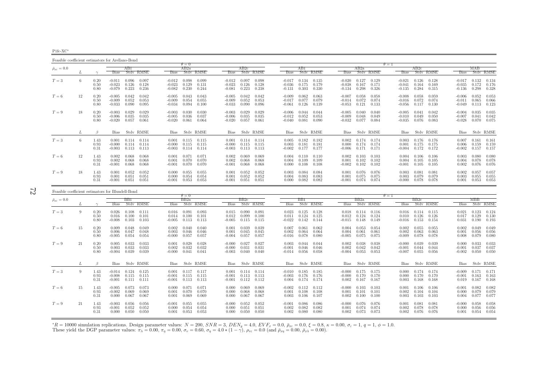P<sub>1fc-</sub>XC<sup>∗</sup>

Feasible coefficient estimators for Arellano-Bond $\theta = 0$  $AB2a$  $\theta = 1$ <br>a  $\theta = 1$  $\bar{\rho}_{x\varepsilon}=0.0$  $_{\varepsilon}$  = 0.0  $_{\varepsilon}$   $_{\varepsilon}$   $_{\varepsilon}$   $_{\varepsilon}$   $_{\varepsilon}$   $_{\varepsilon}$   $_{\varepsilon}$   $_{\varepsilon}$   $_{\varepsilon}$   $_{\varepsilon}$   $_{\varepsilon}$   $_{\varepsilon}$   $_{\varepsilon}$   $_{\varepsilon}$   $_{\varepsilon}$   $_{\varepsilon}$   $_{\varepsilon}$   $_{\varepsilon}$   $_{\varepsilon}$   $_{\varepsilon}$   $_{\varepsilon}$   $_{\varepsilon}$   $_{\varepsilon}$ L  $\gamma$  Bias Stdv RMSE Bias Stdv RMSE Bias Stdv RMSE Bias Stdv RMSE Bias Stdv RMSE Bias Stdv RMSE Bias Stdv RMSE $-0.017$   $0.132$   $0.134$  $T=3$  $T=3$  6 0.20 -0.011 0.096 0.097 -0.012 0.098 0.099 -0.012 0.097 0.098 -0.017 0.134 0.135 -0.020 0.127 0.129 -0.021 0.126 0.128 -0.017 0.132 0.134<br>0.56 0.171 -0.041 0.164 0.169 -0.033 0.128 -0.023 0.129 0.131 -0.023 0.126 0.50 -0.023 0.126 0.128 -0.023 0.129 0.131 -0.023 0.126 0.128 -0.036 0.175 0.179 -0.038 0.167 0.171 -0.041 0.164 0.169 -0.035 0.172 0.176 $-0.136$   $0.298$   $0.328$ 0.80 -0.079 0.223 0.236 -0.082 0.230 0.244 -0.081 0.223 0.238 -0.131 0.303 0.330 -0.134 0.298 0.326 -0.135 0.284 0.315 -0.136 0.298 0.328 $0.052 \quad 0.053$  $T=6$  $T=6$   $12$   $0.20$   $-0.005$   $0.042$   $0.042$   $-0.005$   $0.043$   $-0.005$   $0.042$   $0.042$   $-0.009$   $0.052$   $0.042$   $-0.009$   $0.052$   $-0.009$   $0.052$   $-0.003$   $-0.017$   $0.072$   $0.074$   $-0.016$   $0.072$   $0.074$   $-0.011$   $0.065$  0.50 -0.009 0.052 0.053 -0.009 0.054 0.055 -0.009 0.052 0.053 -0.017 0.077 0.079 -0.014 0.072 0.074 -0.016 0.072 0.074 -0.011 0.065 0.066 $0.113$   $0.123$  $0.80$   $-0.033$   $0.090$   $0.095$   $-0.034$   $0.100$   $-0.033$   $0.090$   $0.096$   $-0.061$   $0.126$   $0.139$   $-0.053$   $0.121$   $0.133$   $-0.056$   $0.117$   $0.130$   $-0.049$  $0.035$   $0.035$  $T=9$  $T=9$   $18$   $0.20$   $-0.003$   $0.029$   $-0.003$   $0.030$   $0.030$   $-0.003$   $0.029$   $0.029$   $-0.006$   $0.044$   $0.044$   $-0.005$   $0.040$   $0.040$   $-0.005$   $0.041$   $0.042$   $-0.004$   $0.035$   $0.035$   $-0.005$   $0.035$   $-0.006$   $0.035$   $0$  $0.50$  - $0.006$   $0.035$   $0.035$  -0.005  $0.036$   $0.037$  -0.006  $0.035$  0.035 -0.012  $0.052$   $0.053$  -0.009  $0.048$   $0.049$  -0.010  $0.049$   $0.050$  -0.007  $0.041$   $0.042$  $\begin{array}{cc} 0.041 & 0.042 \\ 0.070 & 0.075 \end{array}$ 0.80 -0.020 0.057 0.061 -0.020 0.061 0.064 -0.020 0.057 0.061 -0.040 0.081 0.090 -0.032 0.077 0.084 -0.035 0.076 0.083 -0.028 0.070 0.075  $L \qquad \qquad \beta$ Bias Stdv RMSE Bias Stdv RMSE Bias Stdv RMSE Bias Stdv RMSE Bias Stdv RMSE Bias Stdv RMSE Bias Stdv RMSE Bias Stdv RMSE  $0.007$   $0.161$   $0.161$  $T=3$  $T=3$  6  $1.43$   $0.001$   $0.114$   $0.114$   $0.001$   $0.115$   $0.115$   $0.001$   $0.114$   $0.114$   $0.005$   $0.182$   $0.182$   $0.182$   $0.002$   $0.174$   $0.174$   $0.003$   $0.176$   $0.176$   $0.007$   $0.161$   $0.161$   $0.161$   $0.161$   $0.161$   $0.161$  $\begin{matrix} 0.93 & -0.000 & 0.114 & 0.114 & -0.000 & 0.115 & 0.115 & -0.000 & 0.115 & 0.115 & 0.003 & 0.181 & 0.181 & 0.000 & 0.174 & 0.174 & 0.001 & 0.175 & 0.175 & 0.006 & 0.159 & 0.159 \end{matrix}$ 0.157  $0.31$   $-0.003$   $0.113$   $-0.003$   $0.114$   $0.114$   $-0.003$   $0.113$   $0.113$   $-0.002$   $0.177$   $-0.177$   $-0.006$   $0.171$   $0.171$   $-0.004$   $0.172$   $0.172$   $-0.002$   $0.157$   $0.157$  $0.080$  $T=6$  $T=6$   $12$   $1.43$   $0.002$   $0.068$   $0.068$   $0.001$   $0.071$   $0.002$   $0.069$   $0.069$   $0.004$   $0.110$   $0.110$   $0.002$   $0.010$   $0.103$   $0.004$   $0.106$   $0.106$   $0.106$   $0.004$   $0.106$   $0.016$   $0.003$   $0.080$   $0.080$   $0.080$   $0.$  $\begin{array}{cccccccccccc} 0.93 & 0.002 & 0.068 & 0.068 & 0.001 & 0.070 & 0.070 & 0.002 & 0.068 & 0.068 & 0.004 & 0.109 & 0.109 & 0.001 & 0.102 & 0.102 & 0.004 & 0.105 & 0.105 & 0.004 & 0.078 & 0.078 \end{array}$ 0.076  $0.31$   $-0.001$   $0.068$   $-0.001$   $0.070$   $0.070$   $-0.001$   $0.068$   $0.068$   $-0.000$   $0.108$   $0.108$   $-0.002$   $0.102$   $0.102$   $-0.001$   $0.105$   $0.105$   $-0.002$   $0.076$   $0.076$ 0.057  $T=9$  $T=9 \hspace{1cm} 18 \hspace{1cm} 1.43 \hspace{1cm} 0.001 \hspace{1cm} 0.052 \hspace{1cm} 0.032 \hspace{1cm} 0.000 \hspace{1cm} 0.055 \hspace{1cm} 0.055 \hspace{1cm} 0.001 \hspace{1cm} 0.052 \hspace{1cm} 0.001 \hspace{1cm} 0.052 \hspace{1cm} 0.052 \hspace{1cm} 0.003 \hspace{1cm} 0.084 \hspace{1cm} 0.004 \hspace{1cm} 0.084$  $0.93\quad 0.001\quad 0.051\quad 0.051\quad 0.000\quad 0.054\quad 0.054\quad 0.001\quad 0.052\quad 0.004\quad 0.083\quad 0.083\quad 0.001\quad 0.075\quad 0.075\quad 0.003\quad 0.079\quad 0.079\quad 0.003\quad 0.055\quad 0.055$  $0.001$   $0.053$   $0.053$  $0.31$   $-0.001$   $0.051$   $-0.001$   $0.053$   $0.053$   $-0.001$   $0.051$   $0.051$   $0.000$   $0.082$   $0.082$   $-0.001$   $0.074$   $0.074$   $-0.000$   $0.078$   $0.078$ 

| Feasible coefficient estimators for Blundell-Bond |    |                      |                                  |                                       |                         |                               |                         |                         |                                  |                         |                                   |                               |                         |                                                              |                               |                         |                         |                                  |                         |                                 |                               |                         |                         |  |
|---------------------------------------------------|----|----------------------|----------------------------------|---------------------------------------|-------------------------|-------------------------------|-------------------------|-------------------------|----------------------------------|-------------------------|-----------------------------------|-------------------------------|-------------------------|--------------------------------------------------------------|-------------------------------|-------------------------|-------------------------|----------------------------------|-------------------------|---------------------------------|-------------------------------|-------------------------|-------------------------|--|
|                                                   |    |                      |                                  |                                       |                         |                               | $\theta = 0$            |                         |                                  |                         |                                   |                               |                         |                                                              | $\theta = 1$                  |                         |                         |                                  |                         |                                 |                               |                         |                         |  |
| $\bar{\rho}_{x\varepsilon}=0.0$                   |    |                      |                                  | BB1                                   |                         |                               | BB2a                    |                         |                                  | BB2c                    |                                   |                               | BB1.                    |                                                              |                               | BB2a                    |                         |                                  | BB2c                    |                                 |                               | МВВ                     |                         |  |
|                                                   |    | $\sim$               | <b>Bias</b>                      |                                       | Stdy RMSE               | <b>Bias</b>                   |                         | Stdy RMSE               | <b>Bias</b>                      |                         | Stdy RMSE                         | <b>Bias</b>                   |                         | Stdy RMSE                                                    | <b>Bias</b>                   |                         | Stdy RMSE               | <b>Bias</b>                      |                         | Stdy RMSE                       | <b>Bias</b>                   |                         | Stdy RMSE               |  |
| $T=3$                                             | 9  | 0.20<br>0.50<br>0.80 | 0.026<br>0.016<br>$-0.008$       | 0.108<br>0.100<br>0.103               | 0.111<br>0.101<br>0.103 | 0.016<br>0.014<br>$-0.005$    | 0.091<br>0.100<br>0.113 | 0.093<br>0.101<br>0.113 | 0.015<br>0.012<br>$-0.005$       | 0.090<br>0.099<br>0.115 | 0.091<br>0.100<br>0.115           | 0.023<br>0.011<br>$-0.022$    | 0.125<br>0.124<br>0.142 | 0.128<br>0.125<br>0.144                                      | 0.018<br>0.012<br>$-0.015$    | 0.114<br>0.124<br>0.148 | 0.116<br>0.124<br>0.149 | 0.016<br>0.010<br>$-0.016$       | 0.114<br>0.126<br>0.153 | 0.115<br>0.126<br>0.154         | 0.021<br>0.017<br>0.031       | 0.123<br>0.129<br>0.190 | 0.124<br>0.130<br>0.193 |  |
| $T=6$                                             | 15 | 0.20<br>0.50<br>0.80 | 0.009<br>0.006<br>$-0.005$       | 0.048<br>0.047<br>0.054               | 0.049<br>0.048<br>0.054 | 0.002<br>0.003<br>$-0.000$    | 0.040<br>0.046<br>0.057 | 0.040<br>0.046<br>0.057 | 0.001<br>0.001<br>$-0.004$       | 0.039<br>0.045<br>0.057 | 0.039<br>0.045<br>0.057           | 0.007<br>0.002<br>$-0.016$    | 0.061<br>0.064<br>0.078 | 0.062<br>0.064<br>0.080                                      | 0.004<br>0.004<br>$-0.005$    | 0.053<br>0.061<br>0.075 | 0.054<br>0.061<br>0.075 | 0.002<br>0.002<br>$-0.009$       | 0.055<br>0.063<br>0.078 | 0.055<br>0.063<br>0.078         | 0.002<br>0.001<br>0.008       | 0.049<br>0.056<br>0.079 | 0.049<br>0.056<br>0.080 |  |
| $T=9$                                             | 21 | 0.20<br>0.50<br>0.80 | 0.005<br>0.003<br>$-0.004$       | 0.033<br>0.033<br>0.039               | 0.033<br>0.033<br>0.039 | 0.001<br>0.002<br>$-0.000$    | 0.028<br>0.032<br>0.041 | 0.028<br>0.032<br>0.041 | $-0.000$<br>$-0.000$<br>$-0.003$ | 0.027<br>0.031<br>0.040 | 0.027<br>0.031<br>0.040           | 0.003<br>$-0.001$<br>$-0.014$ | 0.044<br>0.046<br>0.056 | 0.044<br>0.046<br>0.058                                      | 0.002<br>0.002<br>$-0.004$    | 0.038<br>0.042<br>0.053 | 0.038<br>0.042<br>0.053 | $-0.000$<br>$-0.001$<br>$-0.007$ | 0.039<br>0.044<br>0.055 | 0.039<br>0.044<br>0.056         | 0.000<br>$-0.001$<br>$-0.002$ | 0.033<br>0.037<br>0.050 | 0.033<br>0.037<br>0.050 |  |
|                                                   |    |                      | Bias                             |                                       | Stdy RMSE               | Bias                          |                         | Stdy RMSE               | Bias                             |                         | Stdy RMSE                         | <b>Bias</b>                   |                         | Stdy RMSE                                                    | Bias                          |                         | Stdy RMSE               | Bias                             |                         | Stdy RMSE                       | <b>Bias</b>                   |                         | Stdy RMSE               |  |
| $T=3$                                             | 9  | 1.43<br>0.93<br>0.31 | $-0.014$<br>$-0.008$<br>$-0.001$ | 0.124<br>0.115<br>0.111               | 0.125<br>0.115<br>0.111 | 0.001<br>$-0.001$<br>$-0.001$ | 0.117<br>0.115<br>0.113 | 0.117<br>0.115<br>0.113 | 0.001<br>$-0.001$<br>$-0.001$    | 0.113<br>0.112          | $0.114$ $0.114$<br>0.113<br>0.112 | $-0.003$ 0.176                |                         | $-0.010$ $0.185$ $0.185$<br>0.176<br>$0.004$ $0.174$ $0.174$ | $-0.000$<br>$-0.000$<br>0.002 | 0.175<br>0.170<br>0.167 | 0.175<br>0.170<br>0.167 | 0.000<br>0.000<br>0.003          | 0.174<br>0.170          | 0.174<br>0.170<br>$0.168$ 0.168 | $-0.009$<br>$-0.001$<br>0.019 | 0.171<br>0.163<br>0.167 | 0.171<br>0.163<br>0.168 |  |
| $T=6$                                             | 15 | 1.43<br>0.93<br>0.31 | $-0.005$<br>$-0.002$<br>0.000    | 0.073<br>0.069<br>0.067               | 0.073<br>0.069<br>0.067 | 0.000<br>0.001<br>0.001       | 0.071<br>0.070<br>0.069 | 0.071<br>0.070<br>0.069 | 0.000<br>0.000<br>0.000          | 0.069<br>0.068<br>0.067 | 0.069<br>0.068<br>0.067           | $-0.002$<br>0.001<br>0.003    | 0.112<br>0.108<br>0.106 | 0.112<br>0.108<br>0.107                                      | $-0.000$<br>0.001<br>0.002    | 0.103<br>0.101<br>0.100 | 0.103<br>0.101<br>0.100 | 0.001<br>0.002<br>0.003          | 0.106<br>0.104<br>0.103 | 0.106<br>0.104<br>0.103         | $-0.001$<br>0.000<br>0.004    | 0.082<br>0.079<br>0.077 | 0.082<br>0.079<br>0.077 |  |
| $T=9$                                             | 21 | 1.43<br>0.93<br>0.31 | $-0.003$<br>$-0.001$             | 0.056<br>0.052<br>$0.000 \quad 0.050$ | 0.056<br>0.052<br>0.050 | $-0.001$<br>0.000<br>0.001    | 0.055<br>0.054<br>0.053 | 0.055<br>0.054<br>0.053 | $-0.000$<br>0.000<br>0.000       | 0.052<br>0.051<br>0.050 | 0.052<br>0.051<br>0.050           | $-0.001$<br>0.002<br>0.002    | 0.086<br>0.082<br>0.080 | 0.086<br>0.082<br>0.080                                      | $-0.000$<br>0.001<br>0.002    | 0.076<br>0.074<br>0.073 | 0.076<br>0.074<br>0.073 | 0.001<br>0.002<br>0.002          | 0.081<br>0.078          | 0.081<br>0.078<br>$0.076$ 0.076 | $-0.000$<br>0.000<br>0.001    | 0.058<br>0.056<br>0.054 | 0.058<br>0.056<br>0.054 |  |

 ${}^*R = 10000$  simulation replications. Design parameter values:  $N = 200$ ,  $SNR = 3$ ,  $DEN_y = 4.0$ ,  $EVF_x = 0.0$ ,  $\bar{p}_{xz} = 0.0$ ,  $\xi = 0.8$ ,  $\kappa = 0.00$ ,  $\sigma_{\varepsilon} = 1$ ,  $q = 1$ ,  $\phi = 1.0$ .<br>These yield the DGP parameter values:  $\pi$  $*R = 10000$  simulation replications. Design parameter values:  $N = 200$ ,  $SNR = 3$ ,  $DEN_y = 4.0$ ,  $EVF_x = 0.0$ ,  $\bar{p}_{xz} = 0.0$ ,  $\xi = 0.8$ , These yield the DGP parameter values:  $\pi_{\lambda} = 0.00$ ,  $\pi_{\eta} = 0.00$ ,  $\sigma_v = 0.60$ ,  $\sigma_{\eta}$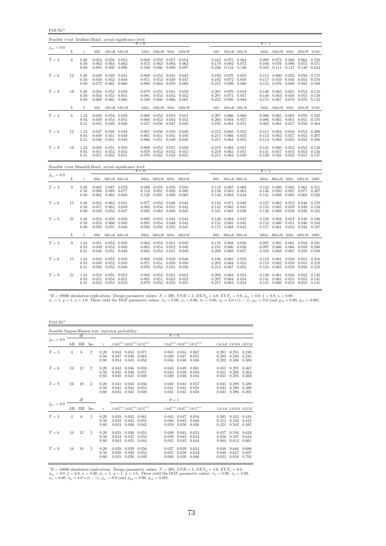P1ft-XC<sup>∗</sup>

| Feasible t-test Arellano-Bond: actual significance level |    |                      |                         |                                                             |                          |                         |                                                         |                          |                         |                         |                                                                               |                |                         |                                                                           |                         |                                                           |                |
|----------------------------------------------------------|----|----------------------|-------------------------|-------------------------------------------------------------|--------------------------|-------------------------|---------------------------------------------------------|--------------------------|-------------------------|-------------------------|-------------------------------------------------------------------------------|----------------|-------------------------|---------------------------------------------------------------------------|-------------------------|-----------------------------------------------------------|----------------|
| $\bar{\rho}_{x\varepsilon}=0.0$                          |    |                      |                         |                                                             |                          | $\theta = 0$            |                                                         |                          |                         |                         |                                                                               |                | $\theta = 1$            |                                                                           |                         |                                                           |                |
|                                                          | L  | $\gamma$             |                         |                                                             | AB1 AB1aR AB1cR          |                         |                                                         |                          | AB2a AB2aW AB2c AB2cW   |                         | AB1 AB1aR AB1cR                                                               |                |                         | AB2a AB2aW AB2c AB2cW MAB                                                 |                         |                                                           |                |
| $T=3$                                                    | 6  | 0.20<br>0.50<br>0.80 | 0.062<br>0.095          | $0.054$ $0.058$ $0.053$<br>$0.064$ $0.062$                  | $0.092$ 0.096            | 0.073<br>0.106          | $0.069$ $0.059$ $0.057$ $0.054$<br>0.062<br>0.086       | 0.064<br>0.099           | 0.062<br>0.097          | 0.179<br>0.236          | 0.165 0.075 0.064<br>0.082<br>$0.134$ $0.130$                                 | 0.073          | 0.106<br>0.165          | $0.099$ $0.072$ $0.068$ $0.063$ $0.558$<br>0.076<br>0.111                 | 0.080<br>0.137          | 0.073<br>0.130                                            | 0.571<br>0.623 |
| $T=6$                                                    | 12 | 0.20<br>0.50<br>0.80 | 0.049                   | 0.049 0.045<br>$0.050 \quad 0.052$<br>$0.072$ 0.065         | 0.048<br>0.068           | 0.069<br>0.071<br>0.094 | 0.053<br>0.053<br>0.064 0.070                           | $0.045$ 0.045<br>0.049   | 0.047<br>0.069          | 0.192<br>0.215          | $0.192$ $0.070$ $0.053$<br>0.072<br>0.099                                     | 0.058<br>0.086 | 0.115<br>0.117<br>0.155 | 0.060<br>0.059<br>0.076                                                   | 0.052<br>0.056<br>0.088 | $0.050 \quad 0.172$<br>$0.054$ $0.176$<br>0.085           | 0.188          |
| $T=9$                                                    | 18 | 0.20<br>0.50<br>0.80 | 0.054                   | $0.054$ $0.053$ $0.050$<br>0.055<br>$0.069$ $0.065$ $0.066$ | 0.051                    | 0.079<br>0.081          | $0.055$ $0.051$<br>0.053<br>$0.100$ $0.060$ $0.066$     | 0.053                    | 0.050<br>0.052<br>0.065 | 0.201<br>0.225          | 0.201 0.070 0.054<br>0.071<br>0.095 0.084                                     | 0.057          | 0.140                   | $0.140 \quad 0.063$<br>0.063<br>0.174 0.067                               | 0.055<br>0.058<br>0.078 | $0.053$ $0.116$<br>0.055<br>$0.076$ $0.132$               | 0.120          |
|                                                          | L  | $\beta$              | AB1                     | AB1aR AB1cR                                                 |                          |                         |                                                         |                          | AB2a AB2aW AB2c AB2cW   | AB1                     | AB1aR AB1cR                                                                   |                |                         | AB2a AB2aW AB2c AB2cW MAB                                                 |                         |                                                           |                |
| $T=3$                                                    | 6  | 1.43<br>0.93<br>0.31 | 0.049<br>0.045          | $0.050$ $0.054$ $0.050$<br>0.054<br>0.049                   | 0.051<br>0.046           | 0.060<br>0.057          | $0.060$ $0.052$ $0.054$ $0.051$<br>0.052<br>0.050       | 0.054<br>0.047           | 0.052<br>0.045          | 0.195                   | $0.207$ $0.066$ $0.060$<br>$0.204$ $0.064$ $0.057$<br>$0.061$ $0.051$         |                | 0.086<br>0.083          | $0.086$ $0.065$ $0.065$<br>0.065<br>0.061                                 | 0.061<br>0.057          | 0.058 0.582<br>0.055<br>0.050                             | 0.576<br>0.564 |
| $T=6$                                                    | 12 | 1.43<br>0.93<br>0.31 | 0.047<br>0.049          | $0.049$ 0.048<br>0.051<br>$0.048$ $0.051$ $0.048$           | 0.049                    | 0.067<br>0.065<br>0.066 | $0.050 \quad 0.050$<br>0.051<br>$0.051$ $0.049$ $0.049$ | 0.051                    | 0.049<br>0.050          | 0.215                   | $0.213$ $0.065$ $0.053$<br>0.066<br>$0.211$ $0.064$ $0.051$                   | 0.053          |                         | $0.111 \quad 0.064$<br>$0.112 \quad 0.062$<br>$0.114$ $0.062$             | 0.056<br>0.057<br>0.055 | 0.053<br>0.053<br>$0.052$ 0.206                           | 0.206<br>0.207 |
| $T=9$                                                    | 18 | 1.43<br>0.93<br>0.31 | 0.050<br>0.051          | $0.051$ $0.050$<br>0.052<br>$0.051$ $0.053$ $0.051$         | 0.052                    | 0.080<br>0.078          | 0.053<br>0.052<br>$0.076$ $0.052$ $0.052$ $0.051$       | $0.051$ $0.050$<br>0.052 | 0.052                   |                         | $0.219$ $0.063$ $0.051$<br>$0.219$ 0.063<br>$0.215$ $0.063$ $0.050$           | 0.051          |                         | $0.131$ $0.060$<br>0.131 0.057<br>$0.130$ $0.056$ $0.052$ $0.051$ $0.137$ | 0.053<br>0.054          | $0.052 \quad 0.134$<br>0.052                              | 0.136          |
| Feasible t-test Blundell-Bond: actual significance level |    |                      |                         |                                                             |                          | $\theta = 0$            |                                                         |                          |                         |                         |                                                                               |                | $\theta = 1$            |                                                                           |                         |                                                           |                |
| $\bar{\rho}_{x\varepsilon}=0.0$                          | L  | $\gamma$             | BB1                     |                                                             | BB1aR BB1cR              |                         |                                                         |                          | BB2a BB2aW BB2c BB2cW   |                         | BB1 BB1aR BB1cR                                                               |                |                         | BB2a BB2aW BB2c BB2cW MBB                                                 |                         |                                                           |                |
| $T=3$                                                    | 9  | 0.20<br>0.50<br>0.80 | 0.088<br>0.062          | 0.085 0.087 0.079<br>0.089                                  | 0.077<br>$0.064$ 0.038   | 0.098<br>0.118<br>0.120 | 0.070 0.076 0.059<br>0.091<br>0.091 0.089               | 0.092                    | 0.080<br>0.069          | 0.138                   | $0.118$ $0.087$ $0.068$<br>0.083 0.063<br>0.144 0.063 0.034                   |                | 0.146                   | $0.132 \quad 0.080$<br>0.093<br>0.141 0.088                               | 0.085<br>0.097<br>0.088 | $0.065$ $0.551$<br>0.077<br>0.069                         | 0.497<br>0.520 |
| $T=6$                                                    | 15 | 0.20<br>0.50<br>0.80 | 0.055<br>0.057<br>0.049 | $0.063$ $0.051$<br>0.053                                    | $0.063$ $0.050$<br>0.037 | 0.077<br>0.083<br>0.092 | $0.052$ 0.046<br>0.056<br>0.063                         | 0.051<br>0.058           | 0.042<br>0.042<br>0.045 |                         | 0.124 0.071 0.048<br>$0.141$ $0.065$<br>$0.161$ $0.065$                       | 0.045<br>0.038 | 0.133<br>0.138          | $0.127$ $0.062$<br>0.065<br>0.069                                         | 0.052<br>0.059<br>0.058 | $0.046$ $0.170$<br>0.049<br>0.048                         | 0.150<br>0.185 |
| $T=9$                                                    | 21 | 0.20<br>0.50<br>0.80 | 0.053<br>0.053<br>0.050 | 0.059<br>0.060<br>$0.055$ $0.040$                           | 0.050<br>0.048           | 0.089<br>0.085<br>0.092 | 0.055<br>0.054<br>$0.058$ $0.052$ $0.045$               | 0.045<br>0.048           | 0.043<br>0.043          | 0.138<br>0.155<br>0.175 | $0.064$ 0.047<br>$0.065$ 0.045<br>0.068 0.042                                 |                | 0.150<br>0.153          | 0.062<br>0.060<br>$0.157$ $0.061$                                         | 0.052<br>0.051<br>0.053 | $0.048$ 0.106<br>0.046<br>$0.044$ $0.107$                 | 0.104          |
|                                                          | L  | $\beta$              | B <sub>B1</sub>         |                                                             | BB1aR BB1cR              |                         |                                                         |                          | BB2a BB2aW BB2c BB2cW   | BB1                     | BB1aR BB1cR                                                                   |                |                         | BB2a BB2aW BB2c BB2cW MBB                                                 |                         |                                                           |                |
| $T=3$                                                    | 9  | 1.43<br>0.93<br>0.31 | 0.049<br>0.048          | $0.051$ $0.053$ $0.050$<br>0.052<br>$0.051$ $0.048$         | 0.049                    | 0.065<br>0.064          | $0.064$ $0.052$ $0.051$ $0.050$<br>0.054<br>0.053       | 0.052<br>0.051           | 0.049<br>0.049          | 0.191<br>0.208          | 0.176 0.068 0.058<br>$0.066$ 0.056<br>0.069 0.057                             |                | 0.097<br>0.103          | $0.097$ 0.065<br>0.066<br>0.068                                           | 0.065<br>0.066<br>0.067 | 0.058 0.591<br>0.059<br>0.059                             | 0.580<br>0.598 |
| $T=6$                                                    | 15 | 1.43<br>0.93<br>0.31 | 0.050<br>0.049<br>0.050 | 0.052<br>0.052<br>$0.052$ 0.049                             | 0.050<br>0.048           | 0.069<br>0.071<br>0.070 | $0.049$ $0.050$<br>0.051<br>$0.053$ $0.051$             | 0.050                    | 0.048<br>0.050<br>0.050 | 0.205                   | $0.196$ $0.065$ $0.055$<br>$0.064$ $0.053$<br>$0.214$ $0.067$ $0.053$         |                | 0.119<br>0.119          | 0.061<br>0.062<br>$0.124$ 0.063                                           | 0.058<br>0.059<br>0.059 | $0.055$ $0.216$<br>0.055<br>0.058                         | 0.218<br>0.218 |
| $T=9$                                                    | 21 | 1.43<br>0.93<br>0.31 | 0.052<br>0.051          | 0.055<br>0.054<br>$0.052$ $0.053$ $0.052$                   | 0.052<br>0.051           | 0.084<br>0.081          | 0.053<br>0.051<br>$0.079$ $0.053$ $0.052$               | 0.051<br>0.053           | 0.051<br>0.052<br>0.051 |                         | $0.200$ $0.063$ $0.053$<br>$0.207$ $0.064$ $0.054$<br>$0.217$ $0.063$ $0.054$ |                | 0.139                   | 0.061<br>$0.141$ $0.061$<br>$0.141$ $0.060$                               | 0.056<br>0.055<br>0.054 | $0.052 \quad 0.142$<br>$0.053$ $0.141$<br>$0.052$ $0.141$ |                |

 ${}^{*}R = 10000$  simulation replications. Design parameter values:  $N = 200$ ,  $SNR = 3$ ,  $DEN_y = 4.0$ ,  $EVF_x = 0.0$ ,  $\bar{\rho}_{x\bar{x}} = 0.0$ ,  $\xi = 0.8$ ,  $\kappa = 0.00$ ,<br> $\sigma_x = 1$ ,  $q = 1$ ,  $\phi = 1.0$ . These yield the DGP parameter values:  $\pi_{$ 

P1fJ-XC<sup>∗</sup>

|                                 |                |           |                |                      | Feasible Sargan-Hansen test: rejection probability |                         |                         |                         |                                           |                         |                         |                         |
|---------------------------------|----------------|-----------|----------------|----------------------|----------------------------------------------------|-------------------------|-------------------------|-------------------------|-------------------------------------------|-------------------------|-------------------------|-------------------------|
|                                 |                | df        |                |                      |                                                    |                         | $\theta = 0$            |                         |                                           |                         |                         |                         |
| $\bar{\rho}_{x\varepsilon}=0.0$ | AВ             | <b>BB</b> | Inc            | $\sim$               | $JAB_a^{(2,1)}JBB_a^{(2,1)}JES_a^{(2,1)}$          |                         |                         |                         | $JAB_c^{(2,1)}JBB_c^{(2,1)}JES_c^{(2,1)}$ |                         | JMAB JMBB JESM          |                         |
| $T=3$                           | 4              | 6         | $\overline{2}$ | 0.20<br>0.50<br>0.80 | 0.053<br>0.043<br>0.047<br>0.048<br>0.054<br>0.045 | 0.071<br>0.063<br>0.052 | 0.045<br>0.049<br>0.056 | 0.054<br>0.047<br>0.040 | 0.067<br>0.055<br>0.036                   | 0.281<br>0.280<br>0.282 | 0.255<br>0.249<br>0.306 | 0.249<br>0.245<br>0.300 |
| $T=6$                           | 10             | 12        | $\overline{2}$ | 0.20<br>0.50<br>0.80 | 0.043<br>0.046<br>0.045<br>0.048<br>0.048<br>0.047 | 0.059<br>0.057<br>0.048 | 0.043<br>0.044<br>0.049 | 0.049<br>0.050<br>0.046 | 0.061<br>0.058<br>0.044                   | 0.053<br>0.051<br>0.055 | 0.291<br>0.288<br>0.295 | 0.367<br>0.364<br>0.369 |
| $T=9$                           | 16             | 18        | $\overline{2}$ | 0.20<br>0.50<br>0.80 | 0.041<br>0.043<br>0.041<br>0.043<br>0.045<br>0.042 | 0.056<br>0.055<br>0.049 | 0.040<br>0.041<br>0.045 | 0.044<br>0.045<br>0.045 | 0.057<br>0.058<br>0.050                   | 0.045<br>0.043<br>0.045 | 0.289<br>0.290<br>0.296 | 0.388<br>0.389<br>0.391 |
|                                 |                | df        |                |                      |                                                    |                         | $\theta=1$              |                         |                                           |                         |                         |                         |
| $\bar{\rho}_{x\varepsilon}=0.0$ | AВ             | <b>BB</b> | Inc            | $\sim$               | $JAB_a^{(2,1)}JBB_a^{(2,1)}JES_a^{(2,1)}$          |                         |                         |                         | $JAB_c^{(2,1)}JBB_c^{(2,1)}JES_c^{(2,1)}$ |                         | JMAB JMBB JESM          |                         |
| $T=3$                           | $\overline{4}$ | 6         | $\overline{2}$ | 0.20<br>0.50<br>0.80 | 0.039<br>0.043<br>0.042<br>0.043<br>0.053<br>0.036 | 0.061<br>0.055<br>0.042 | 0.043<br>0.048<br>0.059 | 0.047<br>0.042<br>0.038 | 0.054<br>0.046<br>0.036                   | 0.305<br>0.313<br>0.321 | 0.432<br>0.438<br>0.502 | 0.418<br>0.425<br>0.485 |
| $T=6$                           | 10             | 12        | $\overline{2}$ | 0.20<br>0.50<br>0.80 | 0.035<br>0.036<br>0.034<br>0.035<br>0.043<br>0.035 | 0.055<br>0.052<br>0.044 | 0.039<br>0.039<br>0.045 | 0.041<br>0.042<br>0.042 | 0.053<br>0.054<br>0.044                   | 0.057<br>0.056<br>0.064 | 0.594<br>0.597<br>0.614 | 0.639<br>0.644<br>0.661 |
| $T=9$                           | 16             | 18        | $\overline{2}$ | 0.20<br>0.50<br>0.80 | 0.029<br>0.029<br>0.029<br>0.028<br>0.031<br>0.026 | 0.056<br>0.053<br>0.049 | 0.037<br>0.037<br>0.040 | 0.039<br>0.039<br>0.039 | 0.054<br>0.054<br>0.046                   | 0.048<br>0.048<br>0.053 | 0.646<br>0.647<br>0.658 | 0.696<br>0.697<br>0.703 |

\*R = 10000 simulation replications. Design parameter values:  $N = 200$ ,  $SNR = 3$ ,  $DEN_y = 4.0$ ,  $EVF_x = 0.0$ ,  $\bar{\rho}_{xe} = 0.0$ ,  $\xi = 0.8$ ,  $\kappa = 0.00$ ,  $\sigma_e = 1$ ,  $q = 1$ ,  $\phi = 1.0$ . These yield the DGP parameter values:  $\pi_{\lambda} = 0.$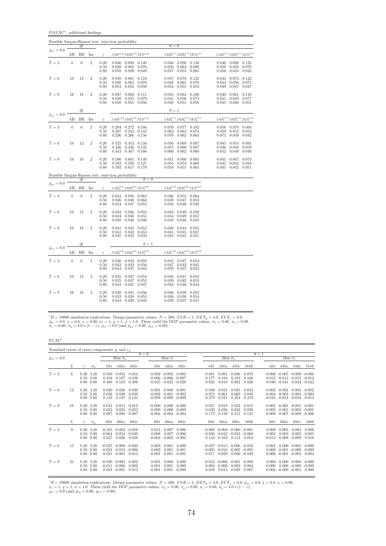P1fJ-XC<sup>∗</sup> : additional findings

|                                 |                |                |                |                                                     | Feasible Sargan-Hansen test: rejection probability                                  |                                                                                      |                                                                               |
|---------------------------------|----------------|----------------|----------------|-----------------------------------------------------|-------------------------------------------------------------------------------------|--------------------------------------------------------------------------------------|-------------------------------------------------------------------------------|
| $\bar{\rho}_{x\varepsilon}=0.0$ |                | df             |                |                                                     |                                                                                     | $\theta = 0$                                                                         |                                                                               |
|                                 | AB             | BB             | Inc            | $\gamma$                                            | $JAB^{\left( 1,0\right) }JBB_{a}^{\left( 1,0\right) }JES^{\left( 1,0\right) }$      | $JAB_a^{(1,1)}JBB_a^{(1,1)}JES_a^{(1,1)}$                                            | $JAB_c^{(1,1)}JBB_c^{(1,1)}JES_c^{(1,1)}$                                     |
| $T=3$                           | $\overline{4}$ | $\overline{6}$ | $\overline{2}$ | 0.20<br>0.50<br>0.80                                | 0.046<br>$0.098$ $0.140$<br>0.049<br>0.062<br>0.076<br>0.049<br>0.058<br>0.049      | 0.098<br>0.046<br>0.138<br>0.050<br>0.064<br>0.080<br>0.057<br>0.055<br>0.061        | $0.046$ 0.096<br>0.135<br>0.050<br>0.056<br>0.070<br>0.056<br>0.043<br>0.042  |
| $T=6$                           | 10             | 12             | $\overline{2}$ | 0.20<br>0.50<br>0.80                                | $\,0.049\,$<br>0.081<br>0.124<br>0.050<br>0.063<br>0.078<br>0.054<br>0.052<br>0.050 | 0.047<br>0.078<br>0.122<br>0.048<br>0.061<br>0.078<br>0.052<br>0.055<br>0.054        | 0.043<br>0.073<br>0.122<br>0.044<br>0.056<br>0.075<br>0.049<br>0.047<br>0.047 |
| $T=9$                           | 16             | 18             | $\overline{2}$ | 0.20<br>0.50<br>0.80                                | 0.047<br>0.068<br>0.111<br>0.048<br>0.055<br>0.079<br>0.050<br>0.051<br>0.056       | 0.045<br>0.063<br>0.106<br>0.045<br>0.056<br>0.074<br>0.048<br>0.051<br>0.058        | 0.061<br>0.040<br>0.110<br>0.041<br>0.049<br>0.077<br>0.045<br>0.046<br>0.051 |
| $\bar{\rho}_{x\varepsilon}=0.0$ |                | df             |                |                                                     |                                                                                     | $\theta=1$                                                                           |                                                                               |
|                                 | AВ             | BB             | Inc            | $\gamma$                                            | $JAB^{(1,0)}JBB^{(1,0)}_aJES^{(1,0)}$                                               | $JAB^{(1,1)}_aJBB^{(1,1)}_aJES^{(1,1)}_a$                                            | $JAB_c^{(1,1)}JBB_c^{(1,1)}JES_c^{(1,1)}$                                     |
| $T=3$                           | $\overline{4}$ | 6              | $\,2$          | $\begin{array}{c} 0.20 \\ 0.50 \end{array}$<br>0.80 | 0.204<br>$0.272$ 0.186<br>0.243<br>0.207<br>0.143<br>$0.266$ $0.156$<br>0.236       | 0.059<br>$0.077$ $0.102$<br>0.062<br>0.074<br>0.063<br>0.076<br>0.062<br>0.063       | 0.056 0.070<br>0.084<br>0.052<br>0.059<br>0.052<br>0.073<br>0.049<br>0.042    |
| $T=6$                           | 10             | 12             | $\overline{2}$ | 0.20<br>0.50<br>0.80                                | 0.425<br>0.453<br>0.158<br>0.426<br>0.436<br>0.135<br>0.443<br>0.467<br>0.166       | 0.056<br>0.069<br>0.087<br>0.057<br>0.067<br>0.060<br>0.066<br>0.062<br>0.060        | 0.045<br>0.054<br>0.081<br>0.059<br>0.046<br>0.048<br>0.052<br>0.048<br>0.048 |
| $T=9$                           | 16             | 18             | $\overline{2}$ | 0.20<br>0.50<br>0.80                                | 0.586<br>0.601<br>0.140<br>0.582<br>0.592<br>0.127<br>0.592<br>0.617<br>0.170       | 0.060<br>0.085<br>0.051<br>$\frac{0.054}{0.058}$<br>0.068<br>0.054<br>0.055<br>0.065 | 0.047<br>0.041<br>0.074<br>0.041<br>0.042<br>0.056<br>0.045<br>0.042<br>0.051 |
|                                 |                | df             |                |                                                     | Feasible Sargan-Hansen test: rejection probability<br>$\theta = 0$                  |                                                                                      |                                                                               |
| $\bar{\rho}_{x\varepsilon}=0.0$ | AB             | BB             | Inc            | $\gamma$                                            | $JAB_a^{(2,2)}JBB_a^{(2,2)}JES_a^{(2,2)}$                                           | $JAB_c^{(2,2)}JBB_c^{(2,2)}JES_c^{(2,2)}$                                            |                                                                               |
| $T=3$                           | $\overline{4}$ | $\,$ 6 $\,$    | $\overline{2}$ | 0.20<br>0.50<br>0.80                                | $0.043$ 0.050<br>0.063<br>0.046<br>0.048<br>0.064<br>0.047<br>0.054<br>0.055        | 0.046<br>0.055 0.064<br>0.049<br>0.047<br>0.053<br>0.056<br>0.040<br>0.038           |                                                                               |
| $T=6$                           | 10             | 12             | $\overline{2}$ | 0.20<br>0.50<br>0.80                                | 0.043<br>0.046<br>0.055<br>0.044<br>0.046<br>0.055<br>$0.046$ 0.048<br>0.048        | 0.043<br>0.049<br>0.058<br>0.044<br>0.049<br>0.057<br>0.049<br>0.046<br>0.045        |                                                                               |
| $T=9$                           | 16             | 18             | $\,2$          | $0.20\,$<br>0.50<br>0.80                            | 0.041<br>0.043<br>0.053<br>$\,0.041\,$<br>0.042<br>0.053<br>$0.045$ 0.042<br>0.050  | 0.040<br>0.044<br>0.055<br>0.041<br>0.045<br>0.057<br>0.045<br>0.045<br>0.051        |                                                                               |
| $\bar{\rho}_{x\varepsilon}=0.0$ |                | df             |                |                                                     | $\theta=1$                                                                          |                                                                                      |                                                                               |
|                                 | AВ             | BB             | Inc            | $\gamma$                                            | $JAB_a^{(2,2)}JBB_a^{(2,2)}JES_a^{(2,2)}$                                           | $JAB_c^{(2,2)}JBB_c^{(2,2)}JES_c^{(2,2)}$                                            |                                                                               |
| $T=3$                           | $\overline{4}$ | $\,$ 6 $\,$    | $\overline{2}$ | 0.20<br>0.50<br>0.80                                | 0.040<br>$0.042$ 0.059<br>0.042<br>0.056<br>0.042<br>0.054<br>0.037<br>0.044        | $0.047$ $0.054$<br>0.043<br>0.047<br>0.042<br>0.045<br>0.059<br>0.037<br>0.033       |                                                                               |
| $T=6$                           | 10             | 12             | $\overline{2}$ | 0.20<br>0.50<br>0.80                                | 0.035<br>0.037<br>0.054<br>0.037<br>0.053<br>0.035<br>0.035<br>0.043<br>0.047       | 0.038<br>0.041<br>0.052<br>0.039<br>0.053<br>0.042<br>0.044<br>0.040<br>0.044        |                                                                               |
| $T=9$                           | 16             | 18             | $\overline{2}$ | 0.20<br>0.50<br>0.80                                | 0.031<br>0.030<br>0.056<br>0.030<br>0.055<br>0.033<br>0.034<br>0.028<br>0.049       | 0.036<br>0.039<br>0.052<br>0.036<br>0.038<br>0.054<br>0.039<br>0.037<br>0.047        |                                                                               |

 ${}^*R = 10000$  simulation replications. Design parameter values:  $N = 200$ ,  $SNR = 3$ ,  $DEN_y = 4.0$ ,  $EVF_x = 0.0$ ,  $\bar{\rho}_{xe} = 0.0$ ,  $\xi = 0.8$ ,  $\kappa = 0.00$ ,  $\sigma_e = 1$ ,  $q = 1$ ,  $\phi = 1.0$ . These yield the DGP parameter values:  $\pi_{\lambda} =$ 

 $\mathrm{P1}\text{-}\mathrm{XC}^*$ 

| Standard errors of error components $\eta_i$ and $\varepsilon_{it}$ |    |                                               |              |                                                                 |                         |                         |                            |                       |                                                                                  |                           |                                                                                                        |                         |                            |                               |                                                                                                                   |                                                    |                         |
|---------------------------------------------------------------------|----|-----------------------------------------------|--------------|-----------------------------------------------------------------|-------------------------|-------------------------|----------------------------|-----------------------|----------------------------------------------------------------------------------|---------------------------|--------------------------------------------------------------------------------------------------------|-------------------------|----------------------------|-------------------------------|-------------------------------------------------------------------------------------------------------------------|----------------------------------------------------|-------------------------|
|                                                                     |    |                                               |              |                                                                 |                         |                         | $\theta = 0$               |                       |                                                                                  |                           |                                                                                                        |                         |                            | $\theta = 1$                  |                                                                                                                   |                                                    |                         |
| $\bar{\rho}_{x\varepsilon}=0.0$                                     |    |                                               |              |                                                                 | Bias $\tilde{\sigma}_n$ |                         |                            | Bias $\hat{\sigma}_s$ |                                                                                  |                           | Bias $\hat{\sigma}_n$                                                                                  |                         |                            |                               |                                                                                                                   | Bias $\hat{\sigma}_e$                              |                         |
|                                                                     | L  |                                               | $\sigma_n$   | AB1                                                             | AB2a                    | AB2c                    | AB1                        | AB2a                  | AB2c                                                                             | AB1                       | AB2a                                                                                                   | AB2c                    | MAB                        | AB1                           | AB2a                                                                                                              | AB2c                                               | MAB                     |
| $T=3$                                                               | 6  | $0.20\ 3.20$<br>$0.50 \t2.00$<br>$0.80\ 0.80$ |              | 0.050<br>0.104<br>0.490                                         | 0.053<br>0.107<br>0.510 | 0.053<br>0.108<br>0.498 |                            |                       | $-0.002 - 0.002 - 0.003$<br>$-0.006 - 0.006 - 0.007$<br>$-0.025 - 0.025 - 0.026$ | 0.081<br>0.177<br>0.823   | 0.091<br>0.184<br>0.810                                                                                | 0.096<br>0.193<br>0.802 | 0.078<br>0.168<br>0.826    |                               | $-0.006$ $-0.007$ $-0.008$ $-0.006$<br>$-0.012$ $-0.013$ $-0.015$ $-0.012$<br>$-0.040$ $-0.041$ $-0.044$ $-0.042$ |                                                    |                         |
| $T=6$                                                               | 12 | $0.20\ 3.20$<br>$0.50$ 2.00<br>$0.80\ 0.80$   |              | 0.020<br>0.038<br>0.143                                         | 0.020<br>0.038<br>0.147 | 0.020<br>0.038<br>0.144 | $-0.001 - 0.000 - 0.001$   |                       | $-0.002 - 0.001 - 0.002$<br>$-0.009 - 0.009 - 0.009$                             | 0.039<br>0.074<br>0.279   | 0.031<br>0.061<br>0.241                                                                                | 0.035<br>0.069<br>0.254 | 0.024<br>0.049<br>0.219    |                               | $-0.002$ $-0.001$ $-0.002$ $-0.002$<br>$-0.004$ $-0.003$ $-0.004$ $-0.003$<br>$-0.016$ $-0.014$ $-0.016$ $-0.014$ |                                                    |                         |
| $T = 9$                                                             | 18 | $0.20\ 3.20$<br>$0.50$ 2.00<br>$0.80\ 0.80$   |              | 0.012<br>0.023<br>0.087                                         | 0.013<br>0.023<br>0.086 | 0.012<br>0.023<br>0.087 | $-0.000$                   |                       | $0.000 - 0.000$<br>$-0.000 - 0.000 - 0.000$<br>$-0.004$ $-0.004$ $-0.004$        | 0.027<br>0.049<br>0.172   | 0.019<br>0.036<br>0.139                                                                                | 0.022<br>0.042<br>0.151 | 0.015<br>0.028<br>0.121    |                               | $-0.001 - 0.001 - 0.001 - 0.001$<br>$-0.002$ $-0.001$ $-0.002$ $-0.001$<br>$-0.009$ $-0.007$ $-0.008$ $-0.006$    |                                                    |                         |
|                                                                     | L  |                                               | $\sigma_n$   | B <sub>B1</sub>                                                 | BB <sub>2a</sub>        | BB2c                    | B <sub>B1</sub>            | BB <sub>2a</sub>      | BB2c                                                                             | BB1                       | BB <sub>2a</sub>                                                                                       | BB <sub>2c</sub>        | <b>MBB</b>                 | B <sub>B1</sub>               | BB <sub>2a</sub>                                                                                                  | BB <sub>2c</sub>                                   | <b>MBB</b>              |
| $T=3$                                                               | 9  | $0.20\ 3.20$<br>$0.50$ 2.00<br>$0.80\ 0.80$   |              | $-0.105 - 0.062 - 0.058$<br>$-0.064$ $-0.054$ $-0.049$<br>0.037 |                         | $0.026$ 0.028           | 0.014<br>0.008             | 0.007<br>0.007        | 0.006<br>0.006<br>$-0.004$ $-0.002$ $-0.002$                                     | 0.134                     | $-0.089 - 0.068 - 0.060 - 0.081$<br>$-0.036$ $-0.042$ $-0.033$ $-0.060$<br>$0.102$ $0.112$ $0.054$     |                         |                            | 0.009<br>0.002<br>$-0.013$    | 0.005<br>0.003<br>$-0.008 - 0.009$                                                                                | 0.004<br>0.002                                     | 0.008<br>0.005<br>0.016 |
| $T=6$                                                               | 15 | $0.20\ 3.20$<br>$0.50\ 2.00$<br>$0.80\ 0.80$  |              | $-0.037 - 0.008 - 0.003$<br>$-0.024$ $-0.013$ $-0.006$          | $0.021 - 0.001$         | 0.013                   | 0.003<br>0.002<br>$-0.001$ | 0.001<br>0.001        | 0.000<br>0.001<br>$0.001 - 0.001$                                                | 0.071                     | $-0.027$ $-0.015$ $-0.006$ $-0.010$<br>$-0.005$ $-0.016$ $-0.005$ $-0.005$<br>$0.020$ $0.036$ $-0.039$ |                         |                            | 0.001<br>0.000                | $-0.006$ $-0.001$ $-0.003$ $0.004$                                                                                | $0.000 - 0.001 - 0.000$<br>$0.001 - 0.000 - 0.000$ |                         |
| $T = 9$                                                             | 21 | $0.20\ 3.20$<br>$0.50$ 2.00                   | $0.80\ 0.80$ | $-0.020 - 0.003$<br>$-0.011 - 0.006$                            | $0.018 - 0.001$         | 0.002<br>0.002<br>0.013 | 0.001<br>0.001<br>$-0.001$ | 0.000<br>0.001        | 0.000<br>0.000<br>$0.001 - 0.000$                                                | $-0.012 - 0.006$<br>0.059 | $0.004 - 0.006$<br>0.015                                                                               | 0.001<br>0.003<br>0.028 | $-0.000$<br>0.004<br>0.007 | 0.000<br>$-0.000$<br>$-0.004$ | $-0.000 - 0.001$                                                                                                  | $0.000 - 0.000 - 0.000$<br>$0.000 - 0.000 - 0.000$ | 0.000                   |

 ${}^*R = 10000$  simulation replications. Design parameter values:  $N = 200$ ,  $SNR = 3$ ,  $DEN_y = 4.0$ ,  $EVF_x = 0.0$ ,  $\bar{\rho}_{x\bar{z}} = 0.0$ ,  $\xi = 0.8$ ,  $\kappa = 0.00$ ,<br>  $\sigma_{\varepsilon} = 1$ ,  $q = 1$ ,  $\phi = 1.0$ . These yield the DGP parameter values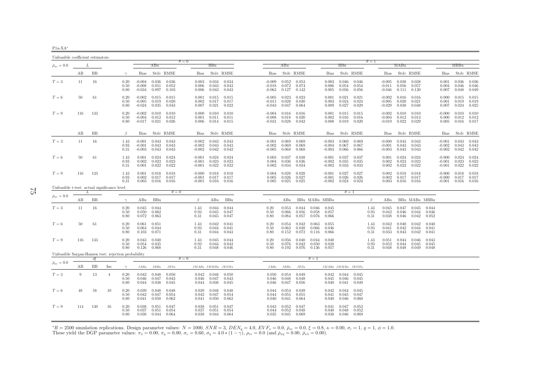| 11<br>ı- |  |
|----------|--|

| Unfeasible coefficient estimators                    |     |     |                |                      |                                  |                         |                         |                                  |                         |                                   |                                  |                                   |                         |                         |                                  |                         |                         |                      |                                  |                                 |                         |                         |                                  |                         |                         |
|------------------------------------------------------|-----|-----|----------------|----------------------|----------------------------------|-------------------------|-------------------------|----------------------------------|-------------------------|-----------------------------------|----------------------------------|-----------------------------------|-------------------------|-------------------------|----------------------------------|-------------------------|-------------------------|----------------------|----------------------------------|---------------------------------|-------------------------|-------------------------|----------------------------------|-------------------------|-------------------------|
| $\bar{\rho}_{x\varepsilon}=0.0$                      |     | L   |                |                      |                                  | ABu                     |                         | $\theta = 0$                     | BBu                     |                                   |                                  | ABu                               |                         |                         |                                  | BBu                     |                         | $\theta = 1$         |                                  | MABu                            |                         |                         |                                  | MBBu                    |                         |
|                                                      | AВ  | ΒB  |                | $\gamma$             | Bias                             |                         | Stdy RMSE               | Bias                             |                         | Stdy RMSE                         | Bias                             |                                   | Stdy RMSE               |                         | Bias                             |                         | Stdy RMSE               |                      | Bias                             |                                 | Stdy RMSE               |                         | <b>Bias</b>                      |                         | Stdy RMSE               |
| $T=3$                                                | 11  | 16  |                | 0.20<br>0.50<br>0.80 | $-0.004$<br>$-0.008$<br>$-0.034$ | 0.036<br>0.051<br>0.097 | 0.036<br>0.052<br>0.103 | 0.003<br>0.006<br>0.006          | 0.034<br>0.043<br>0.043 | 0.034<br>0.043<br>0.043           | $-0.009$<br>-0.018<br>$-0.063$   | 0.052<br>0.072<br>0.127           | 0.053<br>0.074<br>0.142 |                         | 0.003<br>0.006<br>0.005          | 0.046<br>0.054<br>0.056 | 0.046<br>0.054<br>0.056 |                      | $-0.005$<br>$-0.011$<br>$-0.046$ | 0.038<br>0.056<br>0.111         | 0.038<br>0.057<br>0.120 |                         | 0.001<br>0.004<br>0.007          | 0.036<br>0.046<br>0.048 | 0.036<br>0.046<br>0.049 |
| $T=6$                                                | 50  | 61  |                | 0.20<br>0.50<br>0.80 | $-0.002$<br>$-0.005$<br>$-0.024$ | 0.015<br>0.019<br>0.035 | 0.015<br>0.020<br>0.043 | 0.001<br>0.002<br>0.007          | 0.015<br>0.017<br>0.021 | 0.015<br>0.017<br>0.022           | $-0.005$<br>$-0.011$<br>$-0.043$ | 0.023<br>0.028<br>0.047           | 0.023<br>0.030<br>0.064 |                         | 0.001<br>0.003<br>0.009          | 0.021<br>0.024<br>0.027 | 0.021<br>0.024<br>0.029 |                      | $-0.002$<br>$-0.005$<br>$-0.029$ | 0.016<br>0.020<br>0.038         | 0.016<br>0.021<br>0.048 |                         | 0.000<br>0.001<br>0.007          | 0.015<br>0.019<br>0.024 | 0.015<br>0.019<br>0.025 |
| $T=9$                                                | 116 | 133 |                | 0.20<br>0.50<br>0.80 | $-0.002$<br>$-0.004$<br>$-0.017$ | 0.010<br>0.012<br>0.021 | 0.010<br>0.012<br>0.026 | 0.000<br>0.001<br>0.006          | 0.010<br>0.011          | 0.010<br>0.011<br>$0.014$ $0.015$ | $-0.004$<br>$-0.008$<br>$-0.031$ | 0.016<br>0.018<br>0.028           | 0.016<br>0.020<br>0.042 |                         | 0.001<br>0.002<br>0.008          | 0.015<br>0.016<br>0.019 | 0.015<br>0.016<br>0.020 |                      | $-0.002$<br>$-0.004$<br>$-0.019$ | 0.010<br>0.012<br>0.022         | 0.010<br>0.013<br>0.029 |                         | $-0.000$<br>0.000<br>0.005       | 0.010<br>0.012<br>0.016 | 0.010<br>0.012<br>0.017 |
|                                                      | AB  | BB  |                | $\beta$              | <b>Bias</b>                      |                         | Stdy RMSE               | Bias                             |                         | Stdy RMSE                         | Bias                             |                                   | Stdy RMSE               |                         | Bias                             |                         | Stdy RMSE               |                      | <b>Bias</b>                      |                                 | Stdy RMSE               |                         | <b>Bias</b>                      |                         | Stdy RMSE               |
| $T=3$                                                | 11  | 16  |                | 1.43<br>0.93<br>0.31 | $-0.001$<br>$-0.001$<br>$-0.003$ | 0.043<br>0.043<br>0.043 | 0.043<br>0.043<br>0.043 | $-0.002$<br>$-0.002$<br>$-0.002$ | 0.043<br>0.043<br>0.042 | 0.043<br>0.043<br>0.042           | $-0.001$<br>$-0.002$<br>$-0.005$ | 0.069<br>0.069<br>0.068           | 0.069<br>0.069<br>0.068 |                         | $-0.003$<br>$-0.004$<br>$-0.003$ | 0.069<br>0.067<br>0.066 | 0.069<br>0.067<br>0.066 |                      | $-0.000$<br>$-0.001$<br>$-0.003$ | 0.043<br>0.043<br>0.043         | 0.043<br>0.043<br>0.043 |                         | $-0.001$<br>$-0.002$<br>$-0.002$ | 0.043<br>0.043<br>0.042 | 0.043<br>0.043<br>0.042 |
| $T=6$                                                | 50  | -61 |                | 1.43<br>0.93<br>0.31 | 0.001<br>0.002<br>0.001          | 0.024<br>0.023<br>0.022 | 0.024<br>0.023<br>0.022 | $-0.001$<br>$-0.001$<br>$-0.001$ | 0.024<br>0.023<br>0.022 | 0.024<br>0.023<br>0.022           | 0.003<br>0.004<br>0.002          | 0.037<br>0.036<br>0.034           | 0.038<br>0.036<br>0.034 |                         | $-0.001$<br>$-0.002$<br>$-0.002$ | 0.037<br>0.035<br>0.033 | 0.037<br>0.035<br>0.033 |                      | 0.001<br>0.002<br>0.002          | 0.024<br>0.023<br>0.022         | 0.024<br>0.023<br>0.022 |                         | $-0.000$<br>$-0.001$<br>$-0.001$ | 0.024<br>0.023<br>0.022 | 0.024<br>0.023<br>0.022 |
| $T=9$                                                | 116 | 133 |                | 1.43<br>0.93<br>0.31 | 0.001<br>0.002<br>0.003          | 0.018<br>0.017<br>0.016 | 0.018<br>0.017<br>0.016 | $-0.000$<br>$-0.001$<br>$-0.001$ | 0.018<br>0.017          | 0.018<br>0.017<br>$0.016$ 0.016   | 0.004<br>0.005<br>0.005          | 0.028<br>0.026<br>0.025           | 0.028<br>0.027<br>0.025 |                         | $-0.001$<br>$-0.001$<br>$-0.002$ | 0.027<br>0.026<br>0.024 | 0.027<br>0.026<br>0.024 |                      | 0.002<br>0.002                   | 0.018<br>0.017<br>$0.003$ 0.016 | 0.018<br>0.017<br>0.016 |                         | $-0.000$<br>$-0.000$<br>$-0.001$ | 0.018<br>0.017<br>0.016 | 0.018<br>0.017<br>0.016 |
| Unfeasible t-test: actual significance level         |     |     |                |                      |                                  |                         | $\theta = 0$            |                                  |                         |                                   |                                  |                                   |                         |                         |                                  | $\theta=1$              |                         |                      |                                  |                                 |                         |                         |                                  |                         |                         |
| $\bar{\rho}_{x\varepsilon}=0.0$                      | AВ  | BB  |                | $\gamma$             | ABu                              | BBu                     |                         | $\beta$                          | ABu                     | BBu                               | $\gamma$                         | ABu                               |                         |                         | BBu MABu MBBu                    |                         |                         | β                    | ABu                              |                                 |                         | BBu MABu MBBu           |                                  |                         |                         |
| $T=3$                                                | 11  | 16  |                | 0.20<br>0.50<br>0.80 | 0.045<br>0.050<br>0.072          | 0.044<br>0.062<br>0.063 |                         | 1.43<br>0.93<br>0.31             | 0.044<br>0.045<br>0.045 | 0.044<br>0.047<br>0.047           | 0.20<br>0.50<br>0.80             | 0.053<br>0.066<br>0.084           | 0.044<br>0.056<br>0.057 | 0.046<br>0.058<br>0.076 | 0.045<br>0.057<br>0.066          |                         |                         | 1.43<br>0.93<br>0.31 | 0.045<br>0.042<br>0.038          | 0.047<br>0.046<br>0.046         | 0.045<br>0.044<br>0.042 | 0.044<br>0.046<br>0.052 |                                  |                         |                         |
| $T=6$                                                | 50  | 61  |                | 0.20<br>0.50<br>0.80 | 0.061<br>0.064<br>0.103          | 0.051<br>0.044<br>0.071 |                         | 1.43<br>0.93<br>0.31             | 0.042<br>0.044<br>0.044 | 0.041<br>0.041<br>0.043           | 0.20<br>0.50<br>0.80             | 0.054<br>0.062<br>0.152           | 0.042<br>0.038<br>0.072 | 0.063<br>0.066<br>0.116 | 0.055<br>0.046<br>0.066          |                         |                         | 1.43<br>0.93<br>0.31 | 0.042<br>0.041<br>0.033          | 0.040<br>0.042<br>0.043         | 0.042<br>0.044<br>0.042 | 0.040<br>0.041<br>0.041 |                                  |                         |                         |
| $T=9$                                                | 116 | 133 |                | 0.20<br>0.50<br>0.80 | 0.043<br>0.054<br>0.126          | 0.040<br>0.035<br>0.068 |                         | 1.43<br>0.93<br>0.31             | 0.045<br>0.044<br>0.048 | 0.044<br>0.042<br>0.046           | 0.20<br>0.50<br>0.80             | 0.056<br>0.076<br>0.192           | 0.040<br>0.042<br>0.076 | 0.044<br>0.050<br>0.136 | 0.040<br>0.038<br>0.057          |                         |                         | 1.43<br>0.93<br>0.31 | 0.051<br>0.052<br>0.048          | 0.044<br>0.044<br>0.048         | 0.046<br>0.045<br>0.049 | 0.043<br>0.045<br>0.048 |                                  |                         |                         |
| Unfeasible Sargan-Hansen test: rejection probability |     | df  |                |                      |                                  |                         |                         | $\theta = 0$                     |                         |                                   |                                  |                                   |                         | $\theta = 1$            |                                  |                         |                         |                      |                                  |                                 |                         |                         |                                  |                         |                         |
| $\bar{\rho}_{x\varepsilon}=0.0$                      | AВ  | ВB  | Inc            | $\gamma$             | JABu                             | JBBu                    | JESu                    |                                  | JMABu JMMBu JESMu       |                                   | JABu                             | JBBu                              | JESu                    |                         | $JMABu\quad JMMBu\quad JESMu$    |                         |                         |                      |                                  |                                 |                         |                         |                                  |                         |                         |
| $T=3$                                                | 9   | 13  | $\overline{4}$ | 0.20<br>0.50<br>0.80 | 0.042<br>0.046<br>0.044          | 0.048<br>0.047<br>0.038 | 0.050<br>0.043<br>0.045 | 0.042<br>0.046<br>0.044          | 0.048<br>0.047<br>0.038 | 0.050<br>0.043<br>0.045           | 0.050<br>0.046<br>0.046          | 0.054<br>0.048<br>0.047           | 0.049<br>0.048<br>0.056 |                         | 0.042<br>0.045<br>0.040          | 0.044<br>0.046<br>0.041 | 0.045<br>0.045<br>0.049 |                      |                                  |                                 |                         |                         |                                  |                         |                         |
| $T=6$                                                | 48  | 58  | 10             | 0.20<br>0.50<br>0.80 | 0.039<br>0.042<br>0.041          | 0.048<br>0.047<br>0.050 | 0.048<br>0.054<br>0.062 | 0.039<br>0.042<br>0.041          | 0.048<br>0.047<br>0.050 | 0.048<br>0.054<br>0.062           | 0.044<br>0.044<br>0.040          | 0.054<br>0.055<br>0.041           | 0.049<br>0.055<br>0.064 |                         | 0.042<br>0.041<br>0.040          | 0.044<br>0.045<br>0.046 | 0.045<br>0.047<br>0.060 |                      |                                  |                                 |                         |                         |                                  |                         |                         |
| $T=9$                                                | 114 | 130 | 16             | 0.20<br>0.50<br>0.80 | 0.038<br>0.037<br>0.038          | 0.051<br>0.051<br>0.044 | 0.047<br>0.054<br>0.064 | 0.038<br>0.037<br>0.038          | 0.051<br>0.051<br>0.044 | 0.047<br>0.054<br>0.064           | 0.043<br>0.044                   | 0.052<br>0.052<br>$0.035$ $0.045$ | 0.047<br>0.048<br>0.069 |                         | 0.041<br>0.040<br>0.038          | 0.047<br>0.048<br>0.046 | 0.053<br>0.052<br>0.069 |                      |                                  |                                 |                         |                         |                                  |                         |                         |

 ${}^*R = 2500$  simulation replications. Design parameter values:  $N = 1000$ ,  $SNR = 3$ ,  $DEN_y = 4.0$ ,  $EVF_x = 0.0$ ,  $\bar{\rho}_{xc} = 0.0$ ,  $\xi = 0.8$ ,  $\kappa = 0.00$ ,  $\sigma_{\varepsilon} = 1$ ,  $q = 1$ ,  $\phi = 1.0$ .<br>These yield the DGP parameter values:  $\pi$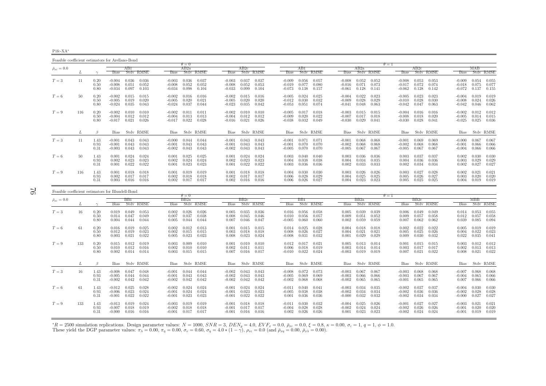P1fc-XA∗

Feasible coefficient estimators for Arellano-Bond

|                                 |     |                      |                                  |                                                    | $\theta = 0$                              |                                                    |                                  |                               |                         |                                  |                         |                         |                                  |                         |                         | $\theta = 1$                     |                         |                         |                                  |                         |                                 |
|---------------------------------|-----|----------------------|----------------------------------|----------------------------------------------------|-------------------------------------------|----------------------------------------------------|----------------------------------|-------------------------------|-------------------------|----------------------------------|-------------------------|-------------------------|----------------------------------|-------------------------|-------------------------|----------------------------------|-------------------------|-------------------------|----------------------------------|-------------------------|---------------------------------|
| $\bar{\rho}_{x\varepsilon}=0.0$ |     |                      |                                  | AB1                                                | AB2a                                      |                                                    |                                  | AB2c                          |                         |                                  | ABI                     |                         |                                  | AB2a                    |                         |                                  | AB2c                    |                         |                                  | МАВ                     |                                 |
|                                 |     |                      | <b>Bias</b>                      | Stdy RMSE                                          | <b>Bias</b>                               | Stdy RMSE                                          | <b>Bias</b>                      | Stdy RMSE                     |                         | <b>Bias</b>                      |                         | Stdy RMSE               | <b>Bias</b>                      |                         | Stdy RMSE               | <b>Bias</b>                      |                         | Stdy RMSE               | Bias                             |                         | Stdy RMSE                       |
| $T=3$                           | 11  | 0.20<br>0.50<br>0.80 | -0.004<br>$-0.008$<br>$-0.034$   | 0.036<br>0.036<br>0.051<br>0.052<br>0.097<br>0.103 | $-0.003$<br>0.036<br>$-0.008$<br>$-0.034$ | 0.037<br>0.052<br>0.052<br>0.098<br>0.104          | $-0.003$<br>$-0.008$<br>$-0.033$ | 0.037<br>0.052<br>0.099       | 0.037<br>0.053<br>0.104 | -0.009<br>$-0.019$<br>$-0.073$   | 0.056<br>0.077<br>0.138 | 0.057<br>0.080<br>0.157 | $-0.008$<br>$-0.016$<br>$-0.061$ | 0.052<br>0.071<br>0.128 | 0.052<br>0.073<br>0.141 | $-0.008$<br>$-0.017$<br>$-0.062$ | 0.053<br>0.072<br>0.128 | 0.053<br>0.074<br>0.142 | $-0.009$<br>$-0.018$<br>$-0.072$ | 0.075<br>0.137          | $0.054$ 0.055<br>0.077<br>0.155 |
| $T=6$                           | 50  | 0.20<br>0.50<br>0.80 | $-0.002$<br>$-0.005$<br>$-0.024$ | 0.015<br>0.015<br>0.019<br>0.020<br>0.035<br>0.043 | $-0.002$<br>$-0.005$<br>$-0.024$          | 0.016<br>0.016<br>0.020<br>0.021<br>0.037<br>0.044 | $-0.002$<br>$-0.005$<br>$-0.023$ | 0.015<br>0.020<br>0.035       | 0.016<br>0.020<br>0.042 | $-0.005$<br>$-0.012$<br>$-0.053$ | 0.024<br>0.030<br>0.051 | 0.025<br>0.032<br>0.074 | $-0.004$<br>$-0.009$<br>$-0.041$ | 0.022<br>0.028<br>0.048 | 0.023<br>0.029<br>0.063 | $-0.005$<br>$-0.010$<br>$-0.042$ | 0.023<br>0.028<br>0.047 | 0.023<br>0.030<br>0.063 | $-0.004$<br>$-0.008$<br>$-0.042$ | 0.019<br>0.024<br>0.046 | 0.019<br>0.026<br>0.062         |
| $T=9$                           | 116 | 0.20<br>0.50<br>0.80 | $-0.002$<br>$-0.004$<br>$-0.017$ | 0.010<br>0.010<br>0.012<br>0.012<br>0.021<br>0.026 | $-0.002$<br>0.011<br>$-0.004$<br>$-0.017$ | 0.011<br>0.013<br>0.013<br>0.022<br>0.028          | $-0.002$<br>$-0.004$<br>$-0.016$ | 0.010<br>0.012<br>0.021       | 0.010<br>0.012<br>0.026 | $-0.005$<br>$-0.009$<br>$-0.038$ | 0.017<br>0.020<br>0.032 | 0.018<br>0.022<br>0.049 | $-0.003$<br>$-0.007$<br>$-0.030$ | 0.015<br>0.017<br>0.029 | 0.015<br>0.018<br>0.041 | $-0.004$<br>$-0.008$<br>$-0.030$ | 0.016<br>0.018<br>0.028 | 0.016<br>0.020<br>0.041 | $-0.002$<br>$-0.005$<br>$-0.025$ | 0.012<br>0.014<br>0.025 | 0.012<br>0.015<br>0.036         |
|                                 | L   | $\beta$              |                                  | Bias Stdy RMSE                                     | Bias                                      | Stdy RMSE                                          |                                  | Bias Stdy RMSE                |                         |                                  |                         | Bias Stdy RMSE          |                                  |                         | Bias Stdy RMSE          |                                  |                         | Bias Stdv RMSE          | Bias                             |                         | Stdy RMSE                       |
| $T=3$                           | 11  | 1.43<br>0.93<br>0.31 | -0.001<br>$-0.001$<br>$-0.003$   | 0.043<br>0.043<br>0.043<br>0.043<br>0.043<br>0.043 | $-0.000$<br>$-0.001$<br>$-0.002$          | 0.044<br>0.044<br>0.043<br>0.043<br>0.043<br>0.043 | $-0.001$<br>$-0.001$<br>$-0.002$ | 0.043 0.043<br>0.043<br>0.043 | 0.043<br>0.043          | $-0.001$<br>$-0.001$<br>$-0.005$ | 0.071<br>0.070<br>0.070 | 0.071<br>0.070<br>0.070 | $-0.001$<br>$-0.002$<br>$-0.005$ | 0.068<br>0.068<br>0.067 | 0.068<br>0.068<br>0.067 | $-0.001$<br>$-0.002$<br>$-0.005$ | 0.069<br>0.068<br>0.067 | 0.069<br>0.068<br>0.067 | $-0.000$<br>$-0.001$<br>$-0.004$ | 0.067<br>0.066<br>0.066 | 0.067<br>0.066<br>0.066         |
| $T=6$                           | 50  | 1.43<br>0.93<br>0.31 | 0.001<br>0.002<br>0.001          | 0.024<br>0.024<br>0.023<br>0.023<br>0.022<br>0.022 | 0.001<br>0.002<br>0.001                   | 0.025<br>0.025<br>0.024<br>0.024<br>0.023<br>0.023 | 0.001<br>0.002<br>0.001          | 0.024<br>0.023<br>0.022       | 0.024<br>0.023<br>0.022 | 0.003<br>0.004<br>0.003          | 0.040<br>0.038<br>0.036 | 0.040<br>0.038<br>0.036 | 0.003<br>0.004<br>0.002          | 0.036<br>0.034<br>0.033 | 0.036<br>0.035<br>0.033 | 0.003<br>0.004<br>0.002          | 0.037<br>0.036<br>0.034 | 0.037<br>0.036<br>0.034 | 0.002<br>0.003<br>0.002          | 0.030<br>0.029<br>0.027 | 0.030<br>0.029<br>0.027         |
| $T=9$                           | 116 | 1.43<br>0.93<br>0.31 | 0.001<br>0.002<br>0.003          | 0.018<br>0.018<br>0.017<br>0.017<br>0.016<br>0.016 | 0.001<br>0.002<br>0.002                   | 0.019<br>0.019<br>0.018<br>0.018<br>0.017<br>0.017 | 0.001<br>0.002<br>0.002          | 0.018<br>0.017<br>0.016       | 0.018<br>0.017<br>0.016 | 0.004<br>0.006<br>0.006          | 0.030<br>0.028<br>0.026 | 0.030<br>0.029<br>0.027 | 0.003<br>0.004<br>0.004          | 0.026<br>0.025<br>0.023 | 0.026<br>0.025<br>0.023 | 0.003<br>0.005<br>0.005          | 0.027<br>0.026<br>0.025 | 0.028<br>0.027<br>0.025 | 0.002<br>0.003<br>0.004          | 0.021<br>0.020<br>0.019 | 0.021<br>0.020<br>0.019         |

| Feasible coefficient estimators for Blundell-Bond |     |                      |                                  |                         |                         |                                  |                         |                         |                                  |                         |                         |                                  |                         |                         |                                  |                         |                         |                                  |                         |                         |                                  |                         |                         |
|---------------------------------------------------|-----|----------------------|----------------------------------|-------------------------|-------------------------|----------------------------------|-------------------------|-------------------------|----------------------------------|-------------------------|-------------------------|----------------------------------|-------------------------|-------------------------|----------------------------------|-------------------------|-------------------------|----------------------------------|-------------------------|-------------------------|----------------------------------|-------------------------|-------------------------|
| $\bar{\rho}_{x\varepsilon}=0.0$                   |     |                      | <b>Bias</b>                      | BB1                     | Stdy RMSE               | <b>Bias</b>                      | $\theta = 0$<br>BB2a    | Stdy RMSE               | <b>Bias</b>                      | BB2c                    | Stdy RMSE               | <b>Bias</b>                      | BB1                     | Stdy RMSE               | <b>Bias</b>                      | BB2a                    | Stdy RMSE               | $\theta = 1$<br><b>Bias</b>      | BB2c                    | Stdy RMSE               | <b>Bias</b>                      | МВВ                     | Stdy RMSE               |
| $T=3$                                             | 16  | 0.20<br>0.50<br>0.80 | 0.019<br>0.014<br>0.004          | 0.049<br>0.047<br>0.044 | 0.053<br>0.049<br>0.044 | 0.002<br>0.007<br>0.005          | 0.026<br>0.037<br>0.044 | 0.026<br>0.038<br>0.044 | 0.005<br>0.008<br>0.007          | 0.035<br>0.045<br>0.046 | 0.036<br>0.046<br>0.047 | 0.016<br>0.010<br>$-0.005$       | 0.056<br>0.056<br>0.060 | 0.058<br>0.057<br>0.060 | 0.005<br>0.009<br>0.002          | 0.039<br>0.051<br>0.059 | 0.039<br>0.052<br>0.059 | 0.006<br>0.009<br>0.007          | 0.049<br>0.057<br>0.062 | 0.049<br>0.058<br>0.062 | 0.014<br>0.012<br>0.039          | 0.053<br>0.057<br>0.085 | 0.055<br>0.058<br>0.094 |
| $T=6$                                             | 61  | 0.20<br>0.50<br>0.80 | 0.016<br>0.012<br>0.003          | 0.019<br>0.019<br>0.021 | 0.025<br>0.023<br>0.022 | 0.002<br>0.002<br>0.005          | 0.012<br>0.015<br>0.023 | 0.013<br>0.015<br>0.023 | 0.001<br>0.003<br>0.008          | 0.015<br>0.018<br>0.023 | 0.015<br>0.018<br>0.024 | 0.014<br>0.008<br>$-0.008$       | 0.025<br>0.026<br>0.031 | 0.028<br>0.027<br>0.032 | 0.004<br>0.004<br>0.001          | 0.018<br>0.021<br>0.029 | 0.018<br>0.021<br>0.029 | 0.002<br>0.005<br>0.009          | 0.022<br>0.025<br>0.030 | 0.022<br>0.026<br>0.032 | 0.005<br>0.004<br>0.022          | 0.019<br>0.022<br>0.035 | 0.019<br>0.023<br>0.041 |
| $T=9$                                             | 133 | 0.20<br>0.50<br>0.80 | 0.015<br>0.010<br>0.002          | 0.012<br>0.012<br>0.014 | 0.019<br>0.016<br>0.014 | 0.003<br>0.002<br>0.003          | 0.009<br>0.010<br>0.015 | 0.010<br>0.010<br>0.015 | 0.001<br>0.002<br>0.007          | 0.010<br>0.011<br>0.016 | 0.010<br>0.011<br>0.017 | 0.012<br>0.006<br>$-0.010$       | 0.017<br>0.018<br>0.022 | 0.021<br>0.019<br>0.024 | 0.005<br>0.003<br>$-0.003$       | 0.013<br>0.014<br>0.019 | 0.014<br>0.014<br>0.019 | 0.001<br>0.003<br>0.007          | 0.015<br>0.017<br>0.021 | 0.015<br>0.017<br>0.022 | 0.003<br>0.002<br>0.008          | 0.012<br>0.013<br>0.021 | 0.012<br>0.013<br>0.022 |
|                                                   | L   |                      | <b>Bias</b>                      |                         | Stdy RMSE               | Bias                             |                         | Stdy RMSE               | Bias                             |                         | Stdy RMSE               | <b>Bias</b>                      |                         | Stdy RMSE               | <b>Bias</b>                      |                         | Stdy RMSE               | Bias                             |                         | Stdy RMSE               | <b>Bias</b>                      |                         | Stdy RMSE               |
| $T=3$                                             | 16  | 1.43<br>0.93<br>0.31 | $-0.008$<br>$-0.005$<br>$-0.002$ | 0.047<br>0.044<br>0.042 | 0.048<br>0.044<br>0.042 | $-0.001$<br>$-0.001$<br>$-0.002$ | 0.044<br>0.043<br>0.042 | 0.044<br>0.043<br>0.042 | $-0.002$<br>$-0.002$<br>$-0.002$ | 0.043<br>0.043<br>0.042 | 0.043<br>0.043<br>0.042 | $-0.008$<br>$-0.005$<br>$-0.002$ | 0.072<br>0.069<br>0.068 | 0.073<br>0.069<br>0.068 | $-0.003$<br>$-0.003$<br>$-0.002$ | 0.067<br>0.066<br>0.065 | 0.067<br>0.066<br>0.065 | $-0.003$<br>$-0.003$<br>$-0.001$ | 0.068<br>0.067<br>0.065 | 0.068<br>0.067<br>0.065 | $-0.007$<br>$-0.004$<br>0.007    | 0.068<br>0.065<br>0.066 | 0.068<br>0.066<br>0.066 |
| $T=6$                                             | 61  | 1.43<br>0.93<br>0.31 | $-0.012$<br>$-0.006$<br>$-0.001$ | 0.025<br>0.023<br>0.022 | 0.028<br>0.024<br>0.022 | $-0.002$<br>$-0.001$<br>$-0.001$ | 0.024<br>0.024<br>0.023 | 0.024<br>0.024<br>0.023 | $-0.001$<br>$-0.001$<br>$-0.001$ | 0.024<br>0.023<br>0.022 | 0.024<br>0.023<br>0.022 | $-0.011$<br>$-0.005$<br>0.001    | 0.040<br>0.038<br>0.036 | 0.041<br>0.038<br>0.036 | $-0.003$<br>$-0.002$<br>$-0.000$ | 0.034<br>0.034<br>0.032 | 0.035<br>0.034<br>0.032 | $-0.002$<br>$-0.002$<br>$-0.002$ | 0.037<br>0.036<br>0.034 | 0.037<br>0.036<br>0.034 | $-0.004$<br>$-0.002$<br>$-0.000$ | 0.030<br>0.028<br>0.027 | 0.030<br>0.028<br>0.027 |
| $T=9$                                             | 133 | 1.43<br>0.93<br>0.31 | $-0.013$<br>$-0.007$<br>$-0.000$ | 0.019<br>0.018<br>0.016 | 0.024<br>0.019<br>0.016 | $-0.003$<br>$-0.002$<br>$-0.001$ | 0.019<br>0.018<br>0.017 | 0.019<br>0.018<br>0.017 | $-0.001$<br>$-0.001$<br>$-0.001$ | 0.018<br>0.017<br>0.016 | 0.018<br>0.017<br>0.016 | $-0.011$<br>$-0.004$<br>0.002    | 0.030<br>0.028<br>0.026 | 0.032<br>0.028<br>0.026 | $-0.004$<br>$-0.002$<br>0.001    | 0.025<br>0.024<br>0.023 | 0.026<br>0.024<br>0.023 | $-0.001$<br>$-0.002$<br>$-0.002$ | 0.027<br>0.026<br>0.024 | 0.027<br>0.026<br>0.024 | $-0.003$<br>$-0.001$<br>$-0.001$ | 0.021<br>0.020<br>0.019 | 0.021<br>0.020<br>0.019 |

 ${}^*R = 2500$  simulation replications. Design parameter values:  $N = 1000$ ,  $SNR = 3$ ,  $DEN_y = 4.0$ ,  $EVF_x = 0.0$ ,  $\bar{\rho}_{xc} = 0.0$ ,  $\xi = 0.8$ ,  $\kappa = 0.00$ ,  $\sigma_{\varepsilon} = 1$ ,  $q = 1$ ,  $\phi = 1.0$ .<br>These yield the DGP parameter values:  $\pi$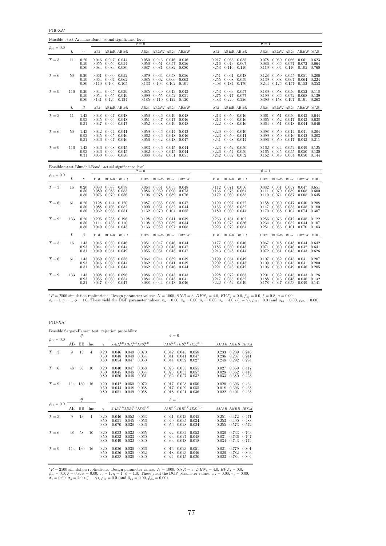P1ft-XA<sup>∗</sup>

| Feasible t-test Arellano-Bond: actual significance level |     |                      |                         |                                                                               |                              |                         |                                                                           |                |                         |                |                                                                               |       |                         |                                                                 |                         |                                                                     |                |
|----------------------------------------------------------|-----|----------------------|-------------------------|-------------------------------------------------------------------------------|------------------------------|-------------------------|---------------------------------------------------------------------------|----------------|-------------------------|----------------|-------------------------------------------------------------------------------|-------|-------------------------|-----------------------------------------------------------------|-------------------------|---------------------------------------------------------------------|----------------|
| $\bar{\rho}_{x\varepsilon}=0.0$                          |     |                      |                         |                                                                               |                              | $\theta = 0$            |                                                                           |                |                         |                |                                                                               |       | $\theta = 1$            |                                                                 |                         |                                                                     |                |
|                                                          | L   | $\gamma$             |                         |                                                                               | AB1 AB1aR AB1cR              |                         |                                                                           |                | AB2a AB2aW AB2c AB2cW   |                | AB1 AB1aR AB1cR                                                               |       |                         | AB2a AB2aW AB2c AB2cW MAB                                       |                         |                                                                     |                |
| $T=3$                                                    | 11  | 0.20<br>0.50<br>0.80 | 0.055<br>0.084          | $0.046$ $0.047$ $0.044$<br>0.056 0.054<br>0.083                               | 0.080                        | 0.056<br>0.087          | $0.050$ $0.046$ $0.046$ $0.046$<br>$0.051$ $0.057$<br>0.081 0.082         |                | 0.056<br>0.080          | 0.216          | $0.217$ $0.063$ $0.055$<br>$0.073$ 0.067<br>$0.253$ $0.116$ $0.110$           |       | 0.078<br>0.086<br>0.119 | 0.060<br>0.066<br>0.094                                         | 0.077<br>0.110          | $0.066$ $0.061$ $0.623$<br>0.072<br>0.105                           | 0.664<br>0.760 |
| $T=6$                                                    | 50  | 0.20<br>0.50<br>0.80 |                         | $0.061$ $0.060$ $0.052$<br>$0.064$ $0.064$ $0.062$<br>$0.110$ $0.106$ $0.105$ |                              | 0.079<br>0.133          | $0.064$ 0.058<br>$0.085$ $0.062$ $0.066$<br>0.103                         | 0.102          | 0.056<br>0.063<br>0.101 | 0.255<br>0.408 | $0.251$ $0.061$ $0.048$<br>0.068 0.059<br>$0.184$ $0.170$                     |       | 0.128<br>0.139<br>0.244 | 0.059<br>0.068<br>0.126                                         | 0.055<br>0.067<br>0.157 | $0.051$ $0.206$<br>$0.064$ 0.224<br>$0.152$ $0.353$                 |                |
| $T=9$                                                    | 116 | 0.20<br>0.50<br>0.80 |                         | $0.044$ $0.045$ $0.039$<br>$0.054$ 0.055<br>$0.131$ $0.126$ $0.124$           | 0.049                        | 0.085<br>0.099<br>0.185 | 0.049 0.043<br>0.055<br>$0.110$ $0.122$                                   | 0.052          | 0.043<br>0.051<br>0.120 | 0.275          | $0.253$ $0.063$ $0.057$<br>0.077<br>0.483 0.229 0.226                         | 0.077 | 0.199<br>0.390          | $0.189$ $0.058$<br>0.066<br>0.158                               | 0.056<br>0.072          | $0.052$ $0.118$<br>0.068<br>$0.197$ $0.191$ $0.263$                 | 0.139          |
|                                                          | L   | $\beta$              | AB1                     |                                                                               | AB1aR AB1cR                  |                         |                                                                           |                | AB2a AB2aW AB2c AB2cW   | AB1            | AB1aR AB1cR                                                                   |       |                         | AB2a AB2aW AB2c AB2cW MAB                                       |                         |                                                                     |                |
| $T=3$                                                    | 11  | 1.43<br>0.93<br>0.31 |                         | $0.048$ $0.047$ $0.048$<br>$0.045$ $0.046$ $0.048$<br>$0.047$ $0.046$ $0.047$ |                              | 0.051<br>0.052          | $0.050$ $0.046$ $0.049$ $0.048$<br>$0.047$ 0.047<br>0.048                 | 0.049          | 0.046<br>0.048          |                | $0.213$ $0.050$ $0.046$<br>$0.213$ $0.046$ $0.046$<br>$0.222$ $0.048$ $0.046$ |       | 0.065<br>0.064          | $0.061$ $0.051$ $0.050$ $0.043$ $0.644$<br>0.052<br>0.051       | 0.047<br>0.048          | 0.043 0.638<br>$0.044$ $0.646$                                      |                |
| $T=6$                                                    | 50  | 1.43<br>0.93<br>0.31 | 0.042<br>0.045<br>0.046 | $0.044$ $0.041$<br>0.045<br>$0.047$ 0.046                                     | 0.046                        | 0.059<br>0.062<br>0.056 | 0.046 0.044<br>0.046<br>0.042 0.048 0.047                                 | 0.048          | 0.042<br>0.046          |                | $0.220$ $0.046$ $0.040$<br>$0.223$ 0.050<br>0.231 0.048 0.044                 | 0.041 | 0.098<br>0.099<br>0.096 | 0.050<br>0.050<br>0.050                                         | 0.046                   | $0.044$ $0.041$ $0.204$<br>$0.042$ 0.203<br>$0.047$ $0.043$ $0.211$ |                |
| $T=9$                                                    | 116 | 1.43<br>0.93<br>0.31 | 0.046<br>0.050          | $0.046$ $0.048$ $0.045$<br>$0.046$ $0.045$<br>$0.050$ $0.050$                 |                              | 0.083<br>0.082          | $0.046$ $0.045$ $0.044$<br>0.049 0.045<br>$0.088$ $0.047$ $0.051$ $0.051$ |                | 0.044                   |                | $0.223$ $0.052$ $0.050$<br>$0.226$ $0.054$ $0.050$<br>$0.242$ $0.052$ $0.052$ |       | 0.162<br>0.165          | 0.044<br>0.045<br>$0.162$ 0.048                                 | 0.052<br>0.055          | $0.049$ $0.125$<br>0.050<br>$0.054$ $0.050$ $0.144$                 | 0.130          |
| Feasible t-test Blundell-Bond: actual significance level |     |                      |                         |                                                                               |                              | $\theta = 0$            |                                                                           |                |                         |                |                                                                               |       | $\theta = 1$            |                                                                 |                         |                                                                     |                |
| $\bar{\rho}_{x\varepsilon}=0.0$                          | L   | $\gamma$             |                         |                                                                               | BB1 BB1aR BB1cR              |                         |                                                                           |                | BB2a BB2aW BB2c BB2cW   |                | BB1 BB1aR BB1cR                                                               |       |                         | BB2a BB2aW BB2c BB2cW MBB                                       |                         |                                                                     |                |
| $T=3$                                                    | 16  | 0.20<br>0.50<br>0.80 | 0.089<br>0.076          | 0.083 0.088 0.078                                                             | 0.083 0.083<br>$0.070$ 0.056 | 0.086<br>0.106          | $0.064$ $0.051$ $0.055$ $0.048$<br>0.069<br>0.078                         | 0.090<br>0.089 | 0.073<br>0.076          | 0.136          | $0.112$ $0.071$ $0.056$<br>0.076 0.064<br>$0.172$ $0.060$ $0.038$             |       | 0.111                   | $0.082$ $0.051$ $0.057$ $0.047$ $0.651$<br>0.070<br>0.119 0.074 | 0.089<br>0.087          | 0.068<br>0.068                                                      | 0.600<br>0.645 |
| $T=6$                                                    | 61  | 0.20<br>0.50<br>0.80 | 0.128<br>0.088<br>0.062 | $0.144$ $0.120$<br>0.063                                                      | $0.103$ $0.082$<br>0.051     | 0.087<br>0.090<br>0.132 | 0.055 0.050<br>0.061<br>$0.070$ $0.104$                                   | 0.052          | 0.047<br>0.044<br>0.085 | 0.155<br>0.180 | $0.190$ $0.097$ $0.072$<br>0.065 0.052<br>0.060                               | 0.044 | 0.158<br>0.147<br>0.170 | 0.060<br>0.055<br>0.068                                         | 0.053<br>0.104          | $0.047$ $0.040$ $0.208$<br>0.038<br>0.074 0.307                     | 0.180          |
| $T=9$                                                    | 133 | 0.20<br>0.50<br>0.80 | 0.205<br>0.114          | 0.238<br>0.136<br>$0.049$ $0.054$ $0.043$                                     | 0.196<br>0.110               | 0.128<br>0.108          | $0.062$ $0.041$<br>0.050<br>$0.133$ $0.062$ $0.097$ $0.068$               | 0.039          | 0.039<br>0.034          | 0.263<br>0.190 | $0.131$ $0.102$<br>0.075<br>0.223 0.079 0.064                                 | 0.056 | 0.256<br>0.234          | 0.076<br>0.064<br>$0.251$ $0.056$ $0.101$ $0.070$ $0.163$       | 0.042<br>0.052          | $0.038$ $0.122$<br>$0.044$ $0.107$                                  |                |
|                                                          | L   | $\beta$              | BB1                     |                                                                               | BB1aR BB1cR                  |                         |                                                                           |                | BB2a BB2aW BB2c BB2cW   | BB1            | BB1aR BB1cR                                                                   |       |                         | BB2a BB2aW BB2c BB2cW MBB                                       |                         |                                                                     |                |
| $T=3$                                                    | 16  | 1.43<br>0.93<br>0.31 | 0.044<br>0.049          | $0.045$ $0.050$ $0.046$<br>0.046 0.044<br>$0.051$ $0.049$                     |                              | 0.052<br>0.055          | $0.051$ $0.047$ $0.046$ $0.044$<br>$0.049$ 0.048<br>$0.051$ 0.048         |                | 0.047<br>0.047          |                | 0.177 0.053 0.046<br>$0.185$ $0.050$ $0.043$<br>0.213 0.048 0.044             |       | 0.071<br>0.072          | 0.067 0.048 0.048 0.044 0.642<br>0.050<br>0.051                 | 0.046<br>0.045          | $0.042$ $0.641$<br>$0.043$ 0.626                                    |                |
| $T=6$                                                    | 61  | 1.43<br>0.93<br>0.31 | 0.059<br>0.046<br>0.043 | $0.066$ 0.058<br>0.050<br>0.044 0.044                                         | 0.044                        | 0.064<br>0.062<br>0.062 | 0.044 0.039<br>0.041<br>$0.040 \quad 0.046$                               | 0.041          | 0.039<br>0.039<br>0.044 | 0.199          | 0.054 0.049<br>$0.202$ 0.048<br>$0.221$ $0.043$ $0.042$                       | 0.043 | 0.107<br>0.109<br>0.106 | 0.052<br>0.050<br>0.050                                         | 0.043<br>0.045<br>0.049 | $0.041$ $0.207$<br>0.041<br>$0.046$ $0.205$                         | 0.200          |
| $T=9$                                                    | 133 | 1.43<br>0.93<br>0.31 | 0.098<br>0.055          | $0.103$ 0.096<br>$0.060$ $0.054$<br>$0.047$ $0.046$ $0.047$                   |                              | 0.086<br>0.084          | $0.050$ $0.043$<br>0.044<br>$0.088$ $0.044$ $0.048$                       | 0.043          | 0.043<br>0.041<br>0.046 |                | 0.228 0.072 0.063<br>$0.217$ $0.055$ $0.052$<br>$0.222$ $0.052$ $0.049$       |       | 0.201<br>0.188<br>0.178 | 0.052<br>0.046<br>$0.047$ 0.053                                 | 0.045<br>0.048          | $0.043$ $0.126$<br>$0.046$ $0.132$<br>$0.049$ $0.141$               |                |

 ${}^{*}R = 2500$  simulation replications. Design parameter values:  $N = 1000$ ,  $SNR = 3$ ,  $DEN_y = 4.0$ ,  $EVF_x = 0.0$ ,  $\bar{\rho}_{x\bar{x}} = 0.0$ ,  $\xi = 0.8$ ,  $\kappa = 0.00$ ,<br> $\sigma_x = 1$ ,  $q = 1$ ,  $\phi = 1.0$ . These yield the DGP parameter values:  $\pi_{$ 

P1fJ-XA<sup>∗</sup>

|                                 |     |           |     |                      | Feasible Sargan-Hansen test: rejection probability |                         |                         |                         |                                           |                         |                         |                         |
|---------------------------------|-----|-----------|-----|----------------------|----------------------------------------------------|-------------------------|-------------------------|-------------------------|-------------------------------------------|-------------------------|-------------------------|-------------------------|
|                                 |     | df        |     |                      |                                                    |                         | $\theta = 0$            |                         |                                           |                         |                         |                         |
| $\bar{\rho}_{x\varepsilon}=0.0$ | AВ  | <b>BB</b> | Inc | $\sim$               | $JAB_a^{(2,1)}JBB_a^{(2,1)}JES_a^{(2,1)}$          |                         |                         |                         | $JAB_c^{(2,1)}JBB_c^{(2,1)}JES_c^{(2,1)}$ |                         | JMAB JMBB JESM          |                         |
| $T=3$                           | 9   | 13        | 4   | 0.20<br>0.50<br>0.80 | 0.046<br>0.049<br>0.048<br>0.049<br>0.054<br>0.047 | 0.070<br>0.064<br>0.050 | 0.042<br>0.041<br>0.044 | 0.045<br>0.041<br>0.032 | 0.058<br>0.047<br>0.027                   | 0.233<br>0.236<br>0.248 | 0.239<br>0.237<br>0.292 | 0.246<br>0.241<br>0.294 |
| $T=6$                           | 48  | 58        | 10  | 0.20<br>0.50<br>0.80 | 0.040<br>0.047<br>0.045<br>0.048<br>0.056<br>0.046 | 0.068<br>0.064<br>0.051 | 0.023<br>0.023<br>0.032 | 0.035<br>0.033<br>0.027 | 0.055<br>0.057<br>0.032                   | 0.027<br>0.028<br>0.033 | 0.359<br>0.362<br>0.380 | 0.417<br>0.418<br>0.428 |
| $T=9$                           | 114 | 130       | 16  | 0.20<br>0.50<br>0.80 | 0.042<br>0.050<br>0.044<br>0.048<br>0.051<br>0.049 | 0.072<br>0.068<br>0.058 | 0.017<br>0.017<br>0.018 | 0.028<br>0.029<br>0.021 | 0.050<br>0.055<br>0.036                   | 0.020<br>0.018<br>0.022 | 0.396<br>0.396<br>0.401 | 0.464<br>0.468<br>0.468 |
|                                 |     | df        |     |                      |                                                    |                         | $\theta=1$              |                         |                                           |                         |                         |                         |
| $\bar{\rho}_{x\varepsilon}=0.0$ | AВ  | <b>BB</b> | Inc | $\gamma$             | $JAB_a^{(2,1)}JBB_a^{(2,1)}JES_a^{(2,1)}$          |                         |                         |                         | $JAB_c^{(2,1)}JBB_c^{(2,1)}JES_c^{(2,1)}$ |                         | JMAB JMBB JESM          |                         |
| $T=3$                           | 9   | 13        | 4   | 0.20<br>0.50<br>0.80 | 0.052<br>0.046<br>0.051<br>0.045<br>0.070<br>0.038 | 0.063<br>0.056<br>0.046 | 0.041<br>0.040<br>0.056 | 0.043<br>0.035<br>0.028 | 0.045<br>0.034<br>0.024                   | 0.251<br>0.253<br>0.255 | 0.472<br>0.490<br>0.573 | 0.471<br>0.488<br>0.572 |
| $T=6$                           | 48  | 58        | 10  | 0.20<br>0.50<br>0.80 | 0.032<br>0.032<br>0.033<br>0.033<br>0.049<br>0.032 | 0.065<br>0.060<br>0.040 | 0.022<br>0.023<br>0.033 | 0.032<br>0.027<br>0.018 | 0.053<br>0.048<br>0.018                   | 0.030<br>0.031<br>0.034 | 0.733<br>0.736<br>0.743 | 0.763<br>0.767<br>0.774 |
| $T=9$                           | 114 | 130       | 16  | 0.20<br>0.50<br>0.80 | 0.026<br>0.030<br>0.026<br>0.030<br>0.038<br>0.030 | 0.066<br>0.062<br>0.040 | 0.016<br>0.018<br>0.024 | 0.023<br>0.023<br>0.015 | 0.051<br>0.046<br>0.020                   | 0.021<br>0.020<br>0.023 | 0.779<br>0.782<br>0.784 | 0.801<br>0.803<br>0.804 |

\*R = 2500 simulation replications. Design parameter values:  $N = 1000$ ,  $SNR = 3$ ,  $DEN_y = 4.0$ ,  $EVF_x = 0.0$ ,  $\bar{\rho}_{xe} = 0.0$ ,  $\xi = 0.8$ ,  $\kappa = 0.00$ ,  $\sigma_x = 1$ ,  $q = 1$ ,  $\phi = 1.0$ . These yield the DGP parameter values:  $\pi_{\lambda} = 0.$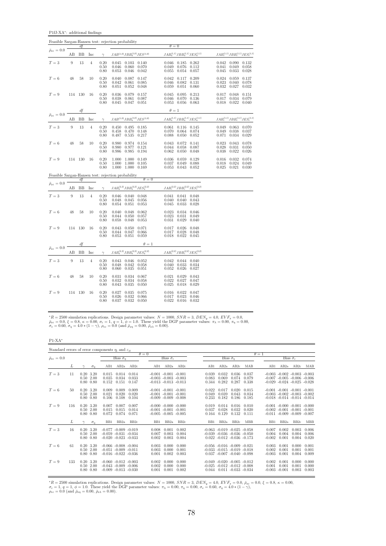P1fJ-XA<sup>∗</sup> : additional findings

|                                 |                  |          |                |                      | Feasible Sargan-Hansen test: rejection probability                                      |                                                                                                                                       |                                                                                     |
|---------------------------------|------------------|----------|----------------|----------------------|-----------------------------------------------------------------------------------------|---------------------------------------------------------------------------------------------------------------------------------------|-------------------------------------------------------------------------------------|
| $\bar{\rho}_{x\varepsilon}=0.0$ |                  | df       |                |                      |                                                                                         | $\theta = 0$                                                                                                                          |                                                                                     |
|                                 | AB               | BB       | Inc            | $\gamma$             | $JAB^{\left( 1,0\right) }JBB_{a}^{\left( 1,0\right) }JES^{\left( 1,0\right) }$          | $JAB_a^{(1,1)}JBB_a^{(1,1)}JES_a^{(1,1)}$                                                                                             | $JAB_c^{(1,1)}JBB_c^{(1,1)}JES_c^{(1,1)}$                                           |
| $T=3$                           | 9                | 13       | $\overline{4}$ | 0.20<br>0.50<br>0.80 | $0.045$ $0.103$ $0.140$<br>0.046<br>0.060<br>0.070<br>0.053<br>0.046<br>0.042           | 0.046<br>0.185<br>0.262<br>0.049<br>0.076<br>0.112<br>0.055<br>0.054<br>0.057                                                         | $0.042$ 0.090<br>0.132<br>0.041<br>0.049<br>0.058<br>0.045<br>0.033<br>0.028        |
| $T=6$                           | 48               | 58       | 10             | 0.20<br>0.50<br>0.80 | 0.040<br>0.087<br>0.147<br>0.042<br>0.061<br>0.085<br>0.051<br>0.052<br>0.048           | 0.042<br>0.117<br>0.209<br>0.046<br>0.082<br>0.131<br>0.059<br>0.051<br>0.060                                                         | 0.024<br>0.059<br>0.137<br>0.023<br>0.040<br>0.078<br>0.032<br>0.027<br>0.032       |
| $T=9$                           | 114              | 130      | 16             | 0.20<br>0.50<br>0.80 | 0.036<br>0.079<br>0.157<br>0.061<br>0.087<br>0.038<br>0.045<br>0.047<br>0.051           | 0.045<br>0.095<br>0.213<br>0.046<br>0.136<br>0.070<br>0.053<br>$0.056$ 0.063                                                          | 0.048<br>0.017<br>0.151<br>0.017<br>0.034<br>0.079<br>$0.018$ $0.022$<br>0.040      |
|                                 |                  | df       |                |                      |                                                                                         | $\theta=1$                                                                                                                            |                                                                                     |
| $\bar{\rho}_{x\varepsilon}=0.0$ | AB               | BB       | Inc            | $\gamma$             | $JAB^{\left( 1,0\right) }JBB_{a}^{\left( 1,0\right) }JES_{\cdot }^{\left( 1,0\right) }$ | $JAB_a^{\left( {1,1} \right)} JBB_a^{\left( {1,1} \right)} JES_a^{\left( {1,1} \right)}$                                              | $JAB_c^{(1,1)}JBB_c^{(1,1)}JES_c^{(1,1)}$                                           |
| $T=3$                           | $\boldsymbol{9}$ | 13       | $\overline{4}$ | 0.20<br>0.50<br>0.80 | 0.450<br>0.495 0.185<br>0.148<br>0.458<br>0.470<br>0.535<br>0.487<br>0.217              | 0.061<br>0.116 0.145<br>0.070<br>0.064<br>0.074<br>0.088<br>0.050<br>0.052                                                            | $0.049$ 0.063<br>0.070<br>0.049<br>0.038<br>0.037<br>0.071<br>0.034<br>0.029        |
| $T=6$                           | 48               | 58       | 10             | 0.20<br>0.50<br>0.80 | 0.974<br>0.980<br>0.154<br>0.980<br>0.977<br>0.121<br>0.986<br>0.985<br>0.194           | 0.043<br>0.072<br>0.141<br>0.044<br>0.058<br>0.087<br>0.062<br>0.050<br>0.048                                                         | 0.023<br>0.043<br>0.078<br>$\,0.028\,$<br>0.031<br>0.050<br>0.038<br>0.022<br>0.026 |
| $T=9$                           | 114              | 130      | 16             | 0.20<br>0.50<br>0.80 | 1.000<br>1.000<br>0.149<br>1.000<br>1.000<br>0.105<br>1.000<br>1.000<br>0.169           | 0.036<br>0.059<br>0.129<br>$\overset{\scriptstyle\phantom{000}0.037}{\scriptstyle\phantom{0000}}$<br>0.049<br>0.088<br>0.043<br>0.052 | 0.016<br>0.032<br>0.074<br>0.018<br>0.024<br>0.049<br>0.025<br>0.021<br>0.030       |
|                                 |                  |          |                |                      | Feasible Sargan-Hansen test: rejection probability<br>$\theta = 0$                      |                                                                                                                                       |                                                                                     |
| $\bar{\rho}_{x\varepsilon}=0.0$ | AВ               | df<br>BB | Inc            | $\gamma$             | $JAB_{a}^{\left( 2,2\right) }JBB_{a}^{\left( 2,2\right) }JES_{a}^{\left( 2,2\right) }$  | $JAB_c^{(2,2)}JBB_c^{(2,2)}JES_c^{(2,2)}$                                                                                             |                                                                                     |
| $T=3$                           | $\boldsymbol{9}$ | 13       | $\overline{4}$ | 0.20<br>0.50<br>0.80 | $0.046$ $0.040$ $0.048$<br>0.056<br>0.048<br>0.045<br>0.051<br>0.054<br>0.053           | $0.041$ $0.048$<br>0.041<br>0.040<br>0.040<br>0.043<br>0.045<br>0.033<br>0.028                                                        |                                                                                     |
| $T=6$                           | 48               | 58       | 10             | 0.20<br>0.50<br>0.80 | 0.048<br>0.062<br>0.040<br>0.050<br>0.057<br>0.044<br>0.058<br>$0.048$ 0.053            | 0.023<br>0.034<br>0.046<br>0.023<br>0.031<br>0.049<br>0.031<br>0.029<br>0.040                                                         |                                                                                     |
| $T=9$                           | 114              | 130      | 16             | 0.20<br>0.50<br>0.80 | 0.050<br>0.043<br>0.071<br>0.044<br>0.047<br>0.066<br>$0.053$ $0.051$<br>0.059          | 0.026<br>0.017<br>0.048<br>0.017<br>0.028<br>0.048<br>0.018<br>0.022<br>0.045                                                         |                                                                                     |
| $\bar{\rho}_{x\varepsilon}=0.0$ |                  | df       |                |                      | $\theta=1$                                                                              |                                                                                                                                       |                                                                                     |
|                                 | AВ               | BB       | Inc            | $\gamma$             | $JAB_a^{(2,2)}JBB_a^{(2,2)}JES_a^{(2,2)}$                                               | $JAB_c^{(2,2)}JBB_c^{(2,2)}JES_c^{(2,2)}$                                                                                             |                                                                                     |
| $T = 3$                         | 9                | 13       | $\overline{4}$ | 0.20<br>0.50<br>0.80 | 0.043 0.046 0.052<br>0.058<br>0.048<br>0.042<br>0.035<br>0.060<br>0.051                 | $0.044$ $0.040$<br>0.042<br>0.040<br>0.033<br>0.034<br>0.052<br>0.026<br>0.027                                                        |                                                                                     |
| $T=6$                           | 48               | 58       | 10             | 0.20<br>0.50<br>0.80 | 0.031<br>0.034<br>0.067<br>0.034<br>0.058<br>0.032<br>0.043<br>0.035<br>0.050           | 0.029<br>0.021<br>0.043<br>0.022<br>0.027<br>0.047<br>0.025<br>$0.018\,$<br>0.029                                                     |                                                                                     |
| $T=9$                           | 114              | 130      | 16             | 0.20<br>0.50<br>0.80 | 0.035<br>0.027<br>0.075<br>0.032<br>0.066<br>0.026<br>0.032<br>0.037<br>0.050           | 0.022<br>0.016<br>0.047<br>0.017<br>0.023<br>0.046<br>0.022<br>0.016<br>0.032                                                         |                                                                                     |

 ${}^*R = 2500$  simulation replications. Design parameter values:  $N = 1000$ ,  $SNR = 3$ ,  $DEN_y = 4.0$ ,  $EVF_x = 0.0$ ,  $\bar{\rho}_{xe} = 0.0$ ,  $\xi = 0.8$ ,  $\kappa = 0.00$ ,  $\sigma_e = 1$ ,  $q = 1$ ,  $\phi = 1.0$ . These yield the DGP parameter values:  $\pi_{\lambda} =$ 

 $\rm P1\text{-}XA^*$ 

| Standard errors of error components $\eta_i$ and $\varepsilon_{it}$ |     |                                               |            |                                                                                    |                         |                         |                         |                                                                                      |                         |                         |                                                                                                         |                         |                         |                            |                                                                                                                   |                         |                         |
|---------------------------------------------------------------------|-----|-----------------------------------------------|------------|------------------------------------------------------------------------------------|-------------------------|-------------------------|-------------------------|--------------------------------------------------------------------------------------|-------------------------|-------------------------|---------------------------------------------------------------------------------------------------------|-------------------------|-------------------------|----------------------------|-------------------------------------------------------------------------------------------------------------------|-------------------------|-------------------------|
| $\bar{\rho}_{x\varepsilon}=0.0$                                     |     |                                               |            |                                                                                    | Bias $\hat{\sigma}_n$   |                         | $\theta = 0$            | Bias $\hat{\sigma}_\varepsilon$                                                      |                         |                         | Bias $\hat{\sigma}_n$                                                                                   |                         |                         | $\theta = 1$               |                                                                                                                   | Bias $\hat{\sigma}_e$   |                         |
|                                                                     |     |                                               |            |                                                                                    |                         |                         |                         |                                                                                      |                         |                         |                                                                                                         |                         |                         |                            |                                                                                                                   |                         |                         |
|                                                                     | L   |                                               | $\sigma_n$ | AB1                                                                                | AB2a                    | AB2c                    | AB1                     | AB2a                                                                                 | AB2c                    | AB1                     | AB2a                                                                                                    | AB2c                    | MAB                     | AB1                        | AB2a                                                                                                              | AB2c                    | MAB                     |
| $T=3$                                                               | 11  | $0.20\ 3.20$<br>$0.50 \t2.00$<br>$0.80\ 0.80$ |            | 0.015<br>0.035<br>0.152                                                            | 0.014<br>0.034<br>0.151 | 0.014<br>0.033<br>0.147 |                         | $-0.001$ $-0.001$ $-0.001$<br>$-0.003 - 0.003 - 0.003$<br>$-0.013 - 0.013 - 0.013$   |                         | 0.039<br>0.083<br>0.344 | 0.032<br>0.069<br>0.282                                                                                 | 0.036<br>0.074<br>0.287 | 0.037<br>0.079<br>0.338 |                            | $-0.003$ $-0.002$ $-0.003$ $-0.003$<br>$-0.007$ $-0.005$ $-0.006$ $-0.006$<br>$-0.029$ $-0.024$ $-0.025$ $-0.028$ |                         |                         |
| $T=6$                                                               | 50  | $0.20\ 3.20$<br>$0.50\ 2.00$<br>$0.80\ 0.80$  |            | 0.009<br>0.021<br>0.106                                                            | 0.009<br>0.020<br>0.108 | 0.009<br>0.020<br>0.104 |                         | $-0.001$ $-0.001$ $-0.001$<br>$-0.001$ $-0.001$ $-0.001$<br>$-0.009 - 0.009 - 0.008$ |                         | 0.022<br>0.049<br>0.233 | 0.017<br>0.039<br>0.182                                                                                 | 0.020<br>0.043<br>0.186 | 0.015<br>0.034<br>0.185 |                            | $-0.001$ $-0.001$ $-0.001$ $-0.001$<br>$-0.003$ $-0.002$ $-0.003$ $-0.002$<br>$-0.018$ $-0.014$ $-0.014$ $-0.014$ |                         |                         |
| $T = 9$                                                             | 116 | $0.20\ 3.20$<br>$0.50$ 2.00<br>$0.80\ 0.80$   |            | 0.007<br>0.015<br>0.072                                                            | 0.007<br>0.015<br>0.074 | 0.007<br>0.014<br>0.071 |                         | $-0.000 - 0.000 - 0.000$<br>$-0.001$ $-0.001$ $-0.001$<br>$-0.005 - 0.005 - 0.005$   |                         | 0.019<br>0.037<br>0.164 | 0.014<br>0.028<br>0.129                                                                                 | 0.016<br>0.032<br>0.132 | 0.010<br>0.020<br>0.111 |                            | $-0.001$ $-0.000$ $-0.001$ $-0.000$<br>$-0.002$ $-0.001$ $-0.001$ $-0.001$<br>$-0.011 - 0.009 - 0.009 - 0.007$    |                         |                         |
|                                                                     | L   | $\sim$                                        | $\sigma_n$ | B <sub>B1</sub>                                                                    | BB <sub>2a</sub>        | BB2c                    | B <sub>B1</sub>         | BB <sub>2a</sub>                                                                     | BB2c                    | B <sub>B1</sub>         | BB <sub>2a</sub>                                                                                        | BB <sub>2c</sub>        | <b>MBB</b>              | B <sub>B1</sub>            | BB <sub>2a</sub>                                                                                                  | BB <sub>2c</sub>        | <b>MBB</b>              |
| $T=3$                                                               | 16  | $0.20\ 3.20$<br>$0.50$ 2.00<br>$0.80\ 0.80$   |            | $-0.077 - 0.009 - 0.019$<br>$-0.059 - 0.031 - 0.034$<br>$-0.020$ $-0.023$ $-0.033$ |                         |                         | 0.008<br>0.007<br>0.002 | 0.001<br>0.003<br>0.003                                                              | 0.002<br>0.004<br>0.004 |                         | $-0.063 - 0.019 - 0.025 - 0.058$<br>$-0.039 - 0.036 - 0.036 - 0.050$<br>$0.022 - 0.012 - 0.036 - 0.173$ |                         |                         | 0.007<br>0.004<br>$-0.002$ | 0.002<br>0.004<br>0.001                                                                                           | 0.003<br>0.004<br>0.004 | 0.006<br>0.006<br>0.020 |
| $T=6$                                                               | 61  | $0.20\ 3.20$<br>$0.50$ 2.00<br>$0.80\ 0.80$   |            | $-0.066 - 0.008 - 0.004$<br>$-0.051 - 0.009 - 0.011$<br>$-0.016$ $-0.022$ $-0.036$ |                         |                         | 0.003<br>0.003<br>0.001 | 0.000<br>0.000<br>0.002                                                              | 0.000<br>0.001<br>0.003 |                         | $-0.056 - 0.016 - 0.009 - 0.021$<br>$-0.033 - 0.015 - 0.019 - 0.018$<br>$0.037 - 0.007 - 0.040 - 0.098$ |                         |                         | 0.003<br>0.002<br>$-0.003$ | 0.001<br>0.001<br>0.001                                                                                           | 0.000<br>0.001<br>0.004 | 0.001<br>0.001<br>0.009 |
| $T=9$                                                               | 133 | $0.20\ 3.20$<br>$0.50$ 2.00<br>$0.80\ 0.80$   |            | $-0.060 - 0.012 - 0.003$<br>$-0.043 - 0.009 - 0.006$<br>$-0.009$ $-0.013$ $-0.030$ |                         |                         | 0.002<br>0.002<br>0.001 | 0.000<br>0.000<br>0.001                                                              | 0.000<br>0.000<br>0.002 | 0.044                   | $-0.049 - 0.020 - 0.005 - 0.012$<br>$-0.025$ $-0.012$ $-0.012$ $-0.008$<br>$0.011 - 0.033 - 0.034$      |                         |                         | 0.002<br>0.001<br>$-0.003$ | 0.001<br>0.001<br>$-0.001$                                                                                        | 0.000<br>0.001<br>0.003 | 0.000<br>0.000<br>0.003 |

 ${}^*R = 2500$  simulation replications. Design parameter values:  $N = 1000$ ,  $SNR = 3$ ,  $DEN_y = 4.0$ ,  $EVF_x = 0.0$ ,  $\bar{\rho}_{xz} = 0.0$ ,  $\xi = 0.8$ ,  $\kappa = 0.00$ ,<br>  $\sigma_{\varepsilon} = 1$ ,  $q = 1$ ,  $\phi = 1.0$ . These yield the DGP parameter values:  $\$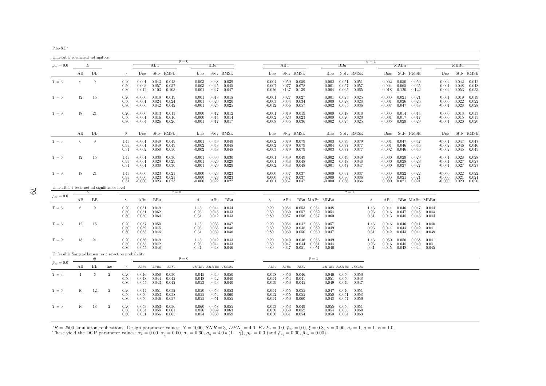| 111-2<br>ı |  |
|------------|--|
|            |  |

| Unfeasible coefficient estimators                    |                |    |                |                      |                                  |                         |                         |                                  |                               |                                   |                                  |                         |                         |                         |                                  |                         |                         |                      |                                  |                         |                         |                         |                                  |                         |                         |
|------------------------------------------------------|----------------|----|----------------|----------------------|----------------------------------|-------------------------|-------------------------|----------------------------------|-------------------------------|-----------------------------------|----------------------------------|-------------------------|-------------------------|-------------------------|----------------------------------|-------------------------|-------------------------|----------------------|----------------------------------|-------------------------|-------------------------|-------------------------|----------------------------------|-------------------------|-------------------------|
| $\bar{\rho}_{x\epsilon}=0.0$                         |                | L  |                |                      |                                  | ABu                     |                         | $\theta = 0$                     | BBu                           |                                   |                                  | ABu                     |                         |                         |                                  | <b>BBu</b>              |                         | $\theta = 1$         |                                  | MABu                    |                         |                         |                                  | MBBu                    |                         |
|                                                      | AВ             | BB |                | $\gamma$             | <b>Bias</b>                      |                         | Stdy RMSE               | Bias                             |                               | Stdy RMSE                         | Bias                             |                         | Stdy RMSE               |                         | Bias                             |                         | Stdy RMSE               |                      | Bias                             |                         | Stdy RMSE               |                         | Bias                             |                         | Stdy RMSE               |
| $T=3$                                                | 6              | 9  |                | 0.20<br>0.50<br>0.80 | $-0.001$<br>$-0.003$<br>$-0.012$ | 0.043<br>0.057<br>0.103 | 0.043<br>0.057<br>0.103 | 0.003<br>0.003<br>-0.001         | 0.038<br>0.045<br>0.047       | 0.039<br>0.045<br>0.047           | $-0.004$<br>$-0.007$<br>$-0.026$ | 0.059<br>0.077<br>0.137 | 0.059<br>0.078<br>0.139 |                         | 0.002<br>0.001<br>$-0.004$       | 0.051<br>0.057<br>0.065 | 0.051<br>0.057<br>0.065 |                      | $-0.002$<br>$-0.004$<br>$-0.018$ | 0.050<br>0.065<br>0.120 | 0.050<br>0.065<br>0.122 |                         | 0.002<br>0.001<br>$-0.002$       | 0.042<br>0.048<br>0.053 | 0.042<br>0.048<br>0.053 |
| $T=6$                                                | 12             | 15 |                | 0.20<br>0.50<br>0.80 | $-0.000$<br>$-0.001$<br>$-0.006$ | 0.019<br>0.024<br>0.042 | 0.019<br>0.024<br>0.042 | 0.001<br>0.001<br>$-0.001$       | 0.018<br>0.020<br>0.025       | 0.018<br>0.020<br>0.025           | $-0.001$<br>$-0.003$<br>$-0.012$ | 0.027<br>0.034<br>0.056 | 0.027<br>0.034<br>0.057 |                         | 0.001<br>0.000<br>$-0.002$       | 0.025<br>0.028<br>0.035 | 0.025<br>0.028<br>0.036 |                      | $-0.000$<br>$-0.001$<br>$-0.007$ | 0.021<br>0.026<br>0.047 | 0.021<br>0.026<br>0.048 |                         | 0.001<br>0.000<br>$-0.001$       | 0.019<br>0.022<br>0.028 | 0.019<br>0.022<br>0.028 |
| $T=9$                                                | 18             | 21 |                | 0.20<br>0.50<br>0.80 | $-0.000$<br>$-0.001$<br>$-0.004$ | 0.013<br>0.016<br>0.026 | 0.013<br>0.016<br>0.026 | 0.000<br>$-0.000$<br>$-0.001$    | 0.012<br>0.014                | 0.012<br>0.014<br>$0.017$ $0.017$ | $-0.001$<br>$-0.002$<br>$-0.008$ | 0.019<br>0.023<br>0.035 | 0.019<br>0.023<br>0.036 |                         | $-0.000$<br>$-0.000$<br>$-0.002$ | 0.018<br>0.020<br>0.025 | 0.018<br>0.020<br>0.025 |                      | $-0.000$<br>$-0.001$<br>$-0.005$ | 0.014<br>0.017<br>0.029 | 0.014<br>0.017<br>0.029 |                         | 0.000<br>$-0.000$<br>$-0.001$    | 0.013<br>0.015<br>0.020 | 0.013<br>0.015<br>0.020 |
|                                                      | AB             | BB |                | $\beta$              | Bias                             |                         | Stdv RMSE               | Bias                             |                               | Stdy RMSE                         | Bias                             |                         | Stdy RMSE               |                         | Bias                             |                         | Stdy RMSE               |                      | Bias                             |                         | Stdy RMSE               |                         | Bias                             |                         | Stdy RMSE               |
| $T=3$                                                | 6              | 9  |                | 1.43<br>0.93<br>0.31 | $-0.001$<br>$-0.001$<br>$-0.002$ | 0.049<br>0.049<br>0.050 | 0.049<br>0.049<br>0.050 | $-0.001$<br>$-0.002$<br>$-0.002$ | 0.049<br>0.048<br>0.048       | 0.049<br>0.048<br>0.048           | $-0.002$<br>$-0.002$<br>$-0.003$ | 0.079<br>0.079<br>0.079 | 0.079<br>0.079<br>0.079 |                         | $-0.003$<br>$-0.004$<br>$-0.003$ | 0.079<br>0.077<br>0.077 | 0.079<br>0.077<br>0.077 |                      | $-0.001$<br>$-0.001$<br>$-0.002$ | 0.047<br>0.046<br>0.046 | 0.047<br>0.046<br>0.046 |                         | $-0.001$<br>$-0.002$<br>$-0.002$ | 0.047<br>0.046<br>0.045 | 0.047<br>0.046<br>0.045 |
| $T=6$                                                | 12             | 15 |                | 1.43<br>0.93<br>0.31 | $-0.001$<br>$-0.001$<br>$-0.001$ | 0.030<br>0.029<br>0.030 | 0.030<br>0.029<br>0.030 | $-0.001$<br>$-0.001$<br>$-0.001$ | 0.030<br>0.029<br>0.029       | 0.030<br>0.029<br>0.029           | $-0.001$<br>$-0.001$<br>$-0.002$ | 0.049<br>0.048<br>0.048 | 0.049<br>0.048<br>0.048 |                         | $-0.002$<br>$-0.002$<br>$-0.001$ | 0.049<br>0.048<br>0.047 | 0.049<br>0.048<br>0.047 |                      | $-0.000$<br>$-0.000$<br>$-0.000$ | 0.029<br>0.028<br>0.027 | 0.029<br>0.028<br>0.027 |                         | $-0.001$<br>$-0.001$<br>$-0.001$ | 0.028<br>0.027<br>0.027 | 0.028<br>0.027<br>0.027 |
| $T=9$                                                | 18             | 21 |                | 1.43<br>0.93<br>0.31 | $-0.000$<br>$-0.000$<br>$-0.000$ | 0.023<br>0.023<br>0.023 | 0.023<br>0.023<br>0.023 | $-0.000$<br>$-0.000$<br>$-0.000$ | 0.023<br>0.023<br>0.022       | 0.023<br>0.023<br>0.022           | 0.000<br>0.000<br>$-0.001$       | 0.037<br>0.037<br>0.037 | 0.037<br>0.037<br>0.037 |                         | $-0.000$<br>$-0.000$<br>$-0.000$ | 0.037<br>0.036<br>0.036 | 0.037<br>0.036<br>0.036 |                      | $-0.000$<br>0.000<br>0.000       | 0.022<br>0.021<br>0.021 | 0.022<br>0.021<br>0.021 |                         | $-0.000$<br>$-0.000$<br>$-0.000$ | 0.022<br>0.021<br>0.020 | 0.022<br>0.021<br>0.020 |
| Unfeasible t-test: actual significance level         |                | L  |                |                      |                                  |                         | $\theta = 0$            |                                  |                               |                                   |                                  |                         |                         |                         |                                  | $\theta = 1$            |                         |                      |                                  |                         |                         |                         |                                  |                         |                         |
| $\bar{\rho}_{x\varepsilon}=0.0$                      | AВ             | BB |                | $\gamma$             | ABu                              | BBu                     |                         | $\beta$                          | ABu                           | BBu                               | $\gamma$                         | ABu                     |                         |                         | BBu MABu MBBu                    |                         |                         | β                    | ABu                              |                         | BBu MABu MBBu           |                         |                                  |                         |                         |
| $T=3$                                                | 6              | 9  |                | 0.20<br>0.50<br>0.80 | 0.051<br>0.051<br>0.050          | 0.049<br>0.062<br>0.064 |                         | 1.43<br>0.93<br>0.31             | 0.044<br>0.045<br>0.042       | 0.044<br>0.043<br>0.043           | 0.20<br>0.50<br>0.80             | 0.054<br>0.060<br>0.057 | 0.053<br>0.057<br>0.056 | 0.054<br>0.052<br>0.057 | 0.048<br>0.054<br>0.060          |                         |                         | 1.43<br>0.93<br>0.31 | 0.044<br>0.046<br>0.043          | 0.046<br>0.047<br>0.048 | 0.047<br>0.045<br>0.043 | 0.044<br>0.043<br>0.044 |                                  |                         |                         |
| $T=6$                                                | 12             | 15 |                | 0.20<br>0.50<br>0.80 | 0.057<br>0.059<br>0.053          | 0.050<br>0.045<br>0.046 |                         | 1.43<br>0.93<br>0.31             | 0.036<br>0.036<br>0.039       | 0.037<br>0.036<br>0.036           | 0.20<br>0.50<br>0.80             | 0.054<br>0.052<br>0.060 | 0.042<br>0.048<br>0.050 | 0.056<br>0.059<br>0.060 | 0.057<br>0.049<br>0.047          |                         |                         | 1.43<br>0.93<br>0.31 | 0.046<br>0.044<br>0.042          | 0.046<br>0.044<br>0.043 | 0.041<br>0.042<br>0.044 | 0.040<br>0.041<br>0.039 |                                  |                         |                         |
| $T=9$                                                | 18             | 21 |                | 0.20<br>0.50<br>0.80 | 0.056<br>0.055<br>0.055          | 0.049<br>0.042<br>0.048 |                         | 1.43<br>0.93<br>0.31             | 0.042<br>0.044<br>0.048       | 0.043<br>0.043<br>0.046           | 0.20<br>0.50<br>0.80             | 0.049<br>0.047<br>0.047 | 0.046<br>0.044<br>0.051 | 0.056<br>0.051<br>0.051 | 0.049<br>0.044<br>0.046          |                         |                         | 1.43<br>0.93<br>0.31 | 0.050<br>0.046<br>0.045          | 0.050<br>0.048<br>0.048 | 0.038<br>0.040<br>0.044 | 0.041<br>0.041<br>0.045 |                                  |                         |                         |
| Unfeasible Sargan-Hansen test: rejection probability |                | df |                |                      |                                  |                         |                         | $\theta = 0$                     |                               |                                   |                                  |                         |                         | $\theta = 1$            |                                  |                         |                         |                      |                                  |                         |                         |                         |                                  |                         |                         |
| $\bar{\rho}_{x\varepsilon}=0.0$                      | АB             | BB | Inc            | $\gamma$             | JABu                             | JBBu                    | JESu                    |                                  | $JMABu\quad JMMBu\quad JESMu$ |                                   | JABu                             | $JBBu$                  | JESu                    |                         | $JMABu\ JMMBu\ JESMu$            |                         |                         |                      |                                  |                         |                         |                         |                                  |                         |                         |
| $T=3$                                                | $\overline{4}$ | 6  | $\overline{2}$ | 0.20<br>0.50<br>0.80 | 0.046<br>0.048<br>0.055          | 0.050<br>0.044<br>0.043 | 0.050<br>0.042<br>0.042 | 0.045<br>0.048<br>0.053          | 0.049<br>0.042<br>0.043       | 0.050<br>0.040<br>0.040           | 0.058<br>0.054<br>0.059          | 0.056<br>0.054<br>0.050 | 0.046<br>0.041<br>0.045 |                         | 0.046<br>0.051<br>0.049          | 0.050<br>0.050<br>0.049 | 0.050<br>0.048<br>0.047 |                      |                                  |                         |                         |                         |                                  |                         |                         |
| $T=6$                                                | 10             | 12 | $\overline{2}$ | 0.20<br>0.50<br>0.80 | 0.044<br>0.050<br>0.050          | 0.051<br>0.053<br>0.046 | 0.052<br>0.058<br>0.057 | 0.050<br>0.055<br>0.055          | 0.053<br>0.054<br>0.051       | 0.053<br>0.060<br>0.055           | 0.054<br>0.052<br>0.054          | 0.055<br>0.055<br>0.050 | 0.055<br>0.055<br>0.060 |                         | 0.047<br>0.050<br>0.048          | 0.046<br>0.051<br>0.057 | 0.051<br>0.058<br>0.056 |                      |                                  |                         |                         |                         |                                  |                         |                         |
| $T=9$                                                | 16             | 18 | $\overline{2}$ | 0.20<br>0.50<br>0.80 | 0.053<br>0.054<br>0.051          | 0.053<br>0.058<br>0.056 | 0.056<br>0.061<br>0.065 | 0.060<br>0.056<br>0.054          | 0.058<br>0.059<br>0.060       | 0.055<br>0.063<br>0.059           | 0.053<br>0.050<br>0.050          | 0.053<br>0.050<br>0.051 | 0.049<br>0.052<br>0.054 |                         | 0.055<br>0.054<br>0.050          | 0.056<br>0.055<br>0.054 | 0.051<br>0.060<br>0.063 |                      |                                  |                         |                         |                         |                                  |                         |                         |

 ${}^*R = 2500$  simulation replications. Design parameter values:  $N = 1000$ ,  $SNR = 3$ ,  $DEN_y = 4.0$ ,  $EVF_x = 0.0$ ,  $\bar{\rho}_{xc} = 0.0$ ,  $\xi = 0.8$ ,  $\kappa = 0.00$ ,  $\sigma_{\varepsilon} = 1$ ,  $q = 1$ ,  $\phi = 1.0$ .<br>These yield the DGP parameter values:  $\pi$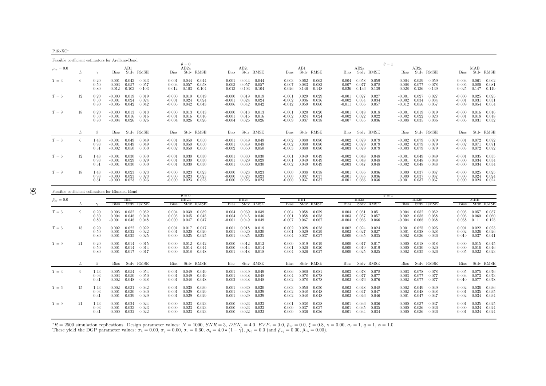P1fc-XC∗

Feasible coefficient estimators for Arellano-Bond $\theta = 0$  $AB2a$  $\theta = 1$ <br>a  $\theta = 1$  $\bar{\rho}_{x\varepsilon}=0.0$  $_{\varepsilon}$  = 0.0  $_{\varepsilon}$   $_{\varepsilon}$   $_{\varepsilon}$   $_{\varepsilon}$   $_{\varepsilon}$   $_{\varepsilon}$   $_{\varepsilon}$   $_{\varepsilon}$   $_{\varepsilon}$   $_{\varepsilon}$   $_{\varepsilon}$   $_{\varepsilon}$   $_{\varepsilon}$   $_{\varepsilon}$   $_{\varepsilon}$   $_{\varepsilon}$   $_{\varepsilon}$   $_{\varepsilon}$   $_{\varepsilon}$   $_{\varepsilon}$   $_{\varepsilon}$   $_{\varepsilon}$   $_{\varepsilon}$ L  $\gamma$  Bias Stdv RMSE Bias Stdv RMSE Bias Stdv RMSE Bias Stdv RMSE Bias Stdv RMSE Bias Stdv RMSE Bias Stdv RMSE $T=3$  $T=3$  6 0.20 -0.001 0.043 0.043 -0.001 0.044 0.044 -0.001 0.044 0.044 -0.003 0.063 -0.004 0.058 0.059 -0.004 0.059 0.059 -0.003 0.061 0.062 0.061 0.063 -0.004 0.059 0.059 -0.003 0.061 0.062<br>0.50 -0.003 0.057 0.057 -0.003  $0.50$  - $0.003$   $0.057$   $0.003$   $0.057$   $0.058$   $-0.003$   $0.057$   $0.057$   $-0.007$   $0.083$   $0.083$   $-0.007$   $0.077$   $0.078$   $-0.008$   $0.077$   $0.078$   $-0.006$   $0.080$   $0.080$ 0.80 -0.012 0.103 0.103 -0.012 0.103 0.104 -0.013 0.103 0.104 -0.026 0.146 0.148 -0.026 0.136 0.139 -0.028 0.136 0.139 -0.025 0.147 0.149 $T=6$  $T=6$   $12$   $0.20$   $-0.000$   $0.019$   $0.019$   $-0.000$   $0.019$   $0.019$   $-0.000$   $0.019$   $0.019$   $-0.001$   $0.024$   $-0.001$   $0.024$   $-0.002$   $0.036$   $0.036$   $-0.002$   $0.034$   $0.034$   $-0.002$   $0.034$   $-0.001$   $0.031$   $0.031$   $0$ 0.50 -0.001 0.024 0.024 -0.001 0.024 0.024 -0.001 0.024 0.024 -0.002 0.036 0.036 -0.002 0.034 0.034 -0.002 0.034 0.034 -0.001 0.031 0.031  $0.80$   $-0.006$   $0.042$   $0.042$   $-0.006$   $0.042$   $0.042$   $0.042$   $0.042$   $-0.012$   $0.050$   $-0.011$   $0.056$   $0.057$   $-0.012$   $0.056$   $0.057$   $-0.012$   $0.056$   $0.057$   $-0.009$   $0.054$  $T=9$  $T=9 \hspace{1cm} 18 \hspace{1cm} 0.20 \hspace{1cm} 0.001 \hspace{1cm} 0.013 \hspace{1cm} 0.013 \hspace{1cm} 0.013 \hspace{1.05cm} 0.013 \hspace{1.05cm} 0.013 \hspace{1.05cm} 0.013 \hspace{1.05cm} 0.013 \hspace{1.05cm} 0.013 \hspace{1.05cm} 0.013 \hspace{1.05cm} 0.013 \hspace{1.05cm} 0.013 \hspace{1.05cm} 0.01$  $0.50$   $-0.001$   $0.016$   $-0.001$   $0.016$   $0.016$   $-0.001$   $0.016$   $0.016$   $-0.002$   $0.024$   $-0.002$   $0.022$   $0.022$   $-0.002$   $0.022$   $0.022$   $-0.002$   $0.023$   $-0.001$   $0.018$   $0.018$ 0.80 -0.004 0.026 0.026 -0.004 0.026 0.026 -0.004 0.026 0.026 -0.009 0.037 0.038 -0.007 0.035 0.036 -0.008 0.035 0.036 -0.006 0.031 0.032 $\beta$ Bias Stdv RMSE Bias Stdv RMSE Bias Stdv RMSE Bias Stdv RMSE Bias Stdv RMSE Bias Stdv RMSE Bias Stdv RMSE Bias Stdv RMSE  $T=3$  $T=3$  6  $1.43$  -0.001 0.049 0.049 -0.001 0.050 0.050 -0.001 0.049 0.049 -0.002 0.080 0.080 -0.002 0.079 0.079 -0.002 0.079 0.079 -0.001 0.072 0.072 0.072<br>0.92 -0.002 0.001 0.049 0.049 -0.001 0.050 -0.001 0.049 0.049 -0.00 0.93 -0.001 0.049 0.049 -0.001 0.050 0.050 -0.001 0.049 0.049 -0.002 0.080 0.080 -0.002 0.079 0.079 -0.002 0.079 0.079 -0.002 0.071 0.071 $0.31$   $-0.002$   $0.050$   $-0.002$   $0.050$   $0.050$   $-0.003$   $0.050$   $-0.003$   $0.080$   $-0.003$   $0.079$   $0.079$   $-0.003$   $0.079$   $0.079$   $-0.003$   $0.072$   $0.072$   $0.072$  $T=6$  $T=6$   $12$   $1.43$   $-0.001$   $0.030$   $-0.001$   $0.030$   $0.030$   $-0.001$   $0.030$   $0.030$   $-0.001$   $0.030$   $0.030$   $-0.001$   $0.029$   $0.029$   $-0.001$   $0.049$   $-0.001$   $0.049$   $-0.002$   $0.048$   $-0.001$   $0.048$   $-0.001$   $0.048$  0.93 -0.001 0.029 0.029 -0.001 0.030 0.030 -0.001 0.029 0.029 -0.001 0.049 0.049 -0.002 0.048 0.048 -0.001 0.048 0.048 -0.000 0.034 0.034 $0.31$   $-0.001$   $0.030$   $-0.001$   $0.030$   $0.030$   $-0.001$   $0.030$   $0.030$   $-0.002$   $0.049$   $0.049$   $-0.003$   $0.047$   $0.048$   $-0.002$   $0.048$   $0.048$   $-0.000$   $0.034$   $0.034$  $T=9$  $T=9$   $18$   $1.43$   $-0.000$   $0.023$   $0.023$   $-0.000$   $0.023$   $0.023$   $-0.000$   $0.023$   $0.023$   $0.023$   $0.023$   $0.023$   $0.000$   $0.037$   $0.038$   $-0.001$   $0.036$   $0.036$   $0.036$   $0.000$   $0.037$   $0.037$   $-0.000$   $0.037$   $0.037$ 

0.062

 $0.025$ 

0.054

 $0.147$   $0.149$ 

 $0.016 - 0.016$ 

 $0.031$   $0.032$ 

0.072 0.072

 $0.000$   $0.024$   $0.024$ 

0.072

 $0.035$ 

0.034

0.025

Feasible coefficient estimators for Blundell-Bond $\theta = 0$  $-$  RR2a θ  $\theta = 1$ <br>a BR2c BR2c BR1 BR2a  $\bar{\rho}_{x\varepsilon}=0.0$  <sup>=</sup> <sup>0</sup>.<sup>0</sup> BB1 BB2a BB2c BB1 BB2a BB2c MBB $L \qquad \gamma$  $\gamma$  Bias Stdv RMSE Bias Stdv RMSE Bias Stdv RMSE Bias Stdv RMSE Bias Stdv RMSE Bias Stdv RMSE Bias Stdv RMSE  $0.005$   $0.057$   $0.057$  $T=3$  $T=3$   $9$   $0.20$   $0.006$   $0.052$   $0.052$   $0.004$   $0.039$   $0.039$   $0.039$   $0.039$   $0.039$   $0.039$   $0.039$   $0.004$   $0.058$   $0.059$   $0.004$   $0.051$   $0.051$   $0.004$   $0.052$   $0.052$   $0.055$   $0.057$   $0.051$   $0.004$   $0.052$   $0.0$ 0.50 0.004 0.048 0.049 0.005 0.045 0.045 0.004 0.045 0.046 0.001 0.058 0.058 0.003 0.057 0.057 0.002 0.058 0.058 0.006 0.060 0.060 $0.111$   $0.125$ 0.80 -0.001 0.048 0.048 -0.000 0.047 0.047 -0.001 0.049 0.049 -0.007 0.067 0.067 -0.004 0.066 0.066 -0.004 0.068 0.068 0.058 0.111 0.125 $T=6$  $T=6$   $15$   $0.20$   $0.002$   $0.022$   $0.022$   $0.001$   $0.01$   $0.017$   $0.010$   $0.018$   $0.018$   $0.003$   $0.020$   $0.028$   $0.028$   $0.028$   $0.024$   $0.001$   $0.025$   $0.025$   $0.025$   $0.001$   $0.022$   $0.023$   $0.026$   $0.020$   $0.020$   $0.0$ 0.50 0.001 0.022 0.022 0.001 0.020 0.020 0.001 0.020 0.020 0.001 0.029 0.029 0.002 0.027 0.027 0.001 0.028 0.028 0.002 0.026 0.0260.80 -0.001 0.025 0.025 0.000 0.025 0.025 -0.001 0.025 0.025 -0.004 0.037 0.037 -0.000 0.035 0.035 -0.002 0.036 0.036 0.019 0.037 0.041 $0.0000000150015$  $T=9$  $T=9 \hspace{1cm} 21 \hspace{1cm} 0.001 \hspace{1cm} 0.014 \hspace{1cm} 0.015 \hspace{1cm} 0.000 \hspace{1cm} 0.012 \hspace{1cm} 0.000 \hspace{1cm} 0.012 \hspace{1cm} 0.012 \hspace{1cm} 0.012 \hspace{1cm} 0.001 \hspace{1cm} 0.019 \hspace{1cm} 0.019 \hspace{1cm} 0.017 \hspace{1.40mm} 0.018 \hspace{1.40mm} 0.018 \hspace{1.$ 0.50 0.001 0.014 0.014 0.000 0.014 0.014 -0.000 0.014 0.014 -0.001 0.020 0.020 0.000 0.019 0.019 -0.000 0.020 0.020 0.000 0.016 0.0160.023 0.80 -0.001 0.017 0.017 0.000 0.018 0.018 -0.001 0.018 0.018 -0.004 0.026 0.027 -0.000 0.025 0.025 -0.002 0.025 0.026 0.005 0.022 0.023 $L \qquad \qquad \beta$ Bias Stdv RMSE Bias Stdv RMSE Bias Stdv RMSE Bias Stdv RMSE Bias Stdv RMSE Bias Stdv RMSE Bias Stdv RMSE Bias Stdv RMSE 0.076  $T=3$  $T=3$  9  $1.43$   $-0.005$   $0.054$   $-0.001$   $0.049$   $0.049$   $-0.001$   $0.049$   $0.049$   $-0.001$   $0.049$   $0.049$   $-0.004$   $-0.004$   $-0.004$   $-0.004$   $-0.004$   $-0.004$   $-0.004$   $-0.004$   $-0.004$   $-0.004$   $-0.004$   $-0.004$   $-0.00$  $0.93$   $-0.003$   $0.050$   $-0.001$   $0.049$   $0.049$   $-0.001$   $0.048$   $0.048$   $-0.004$   $0.078$   $0.078$   $-0.003$   $0.077$   $-0.003$   $0.077$   $-0.003$   $0.077$   $-0.003$   $0.077$   $-0.003$   $0.073$   $0.073$ 0.078 0.31 -0.002 0.048 0.048 -0.001 0.048 0.048 -0.002 0.048 0.048 -0.002 0.078 0.078 -0.002 0.076 0.076 -0.002 0.077 0.077 0.010 0.077 0.078 $T=6$  $T=6$   $15$   $1.43$   $-0.002$   $0.031$   $0.032$   $-0.001$   $0.030$   $0.030$   $-0.001$   $0.030$   $0.030$   $-0.001$   $0.029$   $0.029$   $-0.002$   $0.048$   $-0.002$   $0.048$   $-0.004$   $-0.002$   $0.048$   $-0.002$   $0.048$   $-0.002$   $0.048$   $-0.002$  0.93 -0.001 0.030 0.030 -0.001 0.029 0.029 -0.001 0.029 0.029 -0.002 0.048 0.048 -0.002 0.047 0.047 -0.002 0.048 0.048 -0.001 0.035 0.035 $0.034$  $0.31$   $-0.001$   $0.029$   $-0.001$   $0.029$   $0.029$   $-0.001$   $0.029$   $0.029$   $-0.002$   $0.048$   $0.048$   $-0.002$   $0.046$   $0.046$   $-0.001$   $0.047$   $0.047$   $-0.002$   $0.034$   $0.034$  $T=9$  $T=9$   $21$   $1.43$   $-0.001$   $0.024$   $0.024$   $-0.000$   $0.023$   $0.023$   $-0.000$   $0.023$   $0.023$   $-0.001$   $0.038$   $-0.035$   $-0.001$   $0.036$   $-0.000$   $0.037$   $-0.001$   $0.036$   $-0.000$   $0.037$   $-0.000$   $0.037$   $-0.000$   $0.036$   $0.93$   $-0.001$   $0.023$   $-0.000$   $0.023$   $0.023$   $-0.000$   $0.023$   $0.023$   $-0.000$   $0.037$   $0.037$   $-0.001$   $0.035$   $0.035$   $-0.000$   $0.036$   $0.036$   $-0.000$   $0.024$   $0.024$  $0.001$   $0.024$   $0.024$ 0.31 -0.000 0.022 -0.000 0.023 0.023 -0.000 0.022 0.022 -0.000 0.036 0.036 -0.001 0.034 0.034 -0.000 0.036 0.036 -0.001 0.024 0.024

 $0.31$   $-0.000$   $0.023$   $0.023$   $-0.000$   $0.023$   $0.023$   $-0.000$   $0.023$   $0.023$   $-0.000$   $0.037$   $0.037$   $-0.001$   $0.036$   $-0.001$   $0.036$   $-0.001$   $0.037$   $0.037$ 

 $0.93$   $-0.000$   $0.023$   $-0.000$   $0.023$   $0.023$   $-0.000$   $0.023$   $0.023$   $0.023$   $0.000$   $0.037$   $0.037$   $-0.001$   $0.036$   $0.036$   $0.036$   $0.037$   $0.000$   $0.037$   $0.037$   $0.000$   $0.024$   $0.024$ 

*\*R* = 2500 simulation replications. Design parameter values:  $N = 1000$ ,  $SNR = 3$ ,  $DEN_y = 4.0$ ,  $EVF_x = 0.0$ ,  $\bar{p}_{xz} = 0.0$ ,  $\xi = 0.8$ ,  $\kappa = 0.00$ ,  $\sigma_{\varepsilon} = 1$ ,  $q = 1$ ,  $\phi = 1.0$ .<br>These yield the DGP parameter values:  $\pi$  $*R = 2500$  simulation replications. Design parameter values:  $N = 1000$ ,  $SNR = 3$ ,  $DEN_y = 4.0$ ,  $EVF_x = 0.0$ ,  $\bar{\rho}_{xc} = 0.0$ ,  $\xi = 0.8$ , These yield the DGP parameter values:  $\pi_{\lambda} = 0.00$ ,  $\pi_{\eta} = 0.00$ ,  $\sigma_v = 0.60$ ,  $\sigma_{\eta}$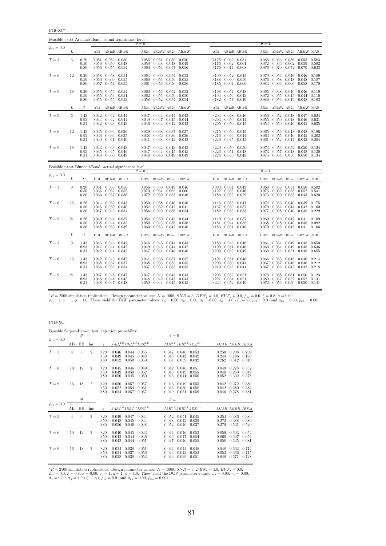P1ft-XC<sup>∗</sup>

| Feasible t-test Arellano-Bond: actual significance level |    |                      |                         |                                                         |                      |                         |                                                                                   |                         |                         |                |                                                                               |                |                         |                                                           |                         |                                                             |                |
|----------------------------------------------------------|----|----------------------|-------------------------|---------------------------------------------------------|----------------------|-------------------------|-----------------------------------------------------------------------------------|-------------------------|-------------------------|----------------|-------------------------------------------------------------------------------|----------------|-------------------------|-----------------------------------------------------------|-------------------------|-------------------------------------------------------------|----------------|
| $\bar{\rho}_{x\varepsilon}=0.0$                          |    |                      |                         |                                                         |                      | $\theta = 0$            |                                                                                   |                         |                         |                |                                                                               |                | $\theta = 1$            |                                                           |                         |                                                             |                |
|                                                          | L  | $\gamma$             |                         |                                                         | AB1 AB1aR AB1cR      |                         |                                                                                   |                         | AB2a AB2aW AB2c AB2cW   |                | AB1 AB1aR AB1cR                                                               |                |                         | AB2a AB2aW AB2c AB2cW MAB                                 |                         |                                                             |                |
| $T=3$                                                    | 6  | 0.20<br>0.50<br>0.80 | 0.050<br>0.056          | $0.051$ $0.052$ $0.050$<br>$0.050 \quad 0.048$          | 0.055 0.054          | 0.050<br>0.060          | $0.055$ $0.051$ $0.050$ $0.050$<br>0.048<br>0.054 0.057                           | 0.048                   | 0.049<br>0.056          | 0.176          | $0.175$ $0.062$ $0.054$<br>$0.062$ $0.061$<br>0.176 0.074 0.068               |                | 0.072<br>0.076          | $0.066$ $0.063$ $0.056$ $0.055$ $0.583$<br>0.066<br>0.070 | 0.062<br>0.072          | 0.059<br>0.070                                              | 0.592<br>0.633 |
| $T=6$                                                    | 12 | 0.20<br>0.50<br>0.80 | 0.058<br>0.060<br>0.057 | $0.058$ $0.051$<br>$0.060$ $0.055$<br>$0.054$ 0.055     |                      | 0.061                   | $0.064$ 0.060<br>$0.060$ $0.056$<br>0.056                                         | 0.054<br>0.056<br>0.056 | 0.053<br>0.055<br>0.056 | 0.199<br>0.185 | $0.052$ 0.045<br>$0.188$ $0.060$ $0.050$<br>$0.064$ 0.060                     |                | 0.070<br>0.076<br>0.084 | 0.054<br>0.058<br>0.066                                   | 0.046<br>0.048<br>0.060 | $0.046$ 0.189<br>0.048<br>0.058                             | 0.187<br>0.170 |
| $T=9$                                                    | 18 | 0.20<br>0.50<br>0.80 | 0.055<br>0.055<br>0.055 | 0.055 0.054<br>0.053<br>$0.055$ $0.053$                 | 0.051                | 0.060<br>0.062<br>0.058 | 0.056 0.052<br>0.055<br>$0.052$ 0.054                                             | 0.050                   | 0.052<br>0.050<br>0.054 |                | $0.198$ $0.054$ $0.048$<br>0.194 0.056 0.043<br>$0.182$ $0.057$ $0.049$       |                | 0.065<br>0.072<br>0.080 | 0.048<br>0.055<br>0.056                                   | 0.046<br>0.045<br>0.049 | $0.046$ 0.119<br>$0.044$ $0.116$<br>$0.048$ 0.103           |                |
|                                                          | L  | $\beta$              | AB1                     | AB1aR AB1cR                                             |                      |                         |                                                                                   |                         | AB2a AB2aW AB2c AB2cW   | AB1            | AB1aR AB1cR                                                                   |                |                         | AB2a AB2aW AB2c AB2cW MAB                                 |                         |                                                             |                |
| $T=3$                                                    | 6  | 1.43<br>0.93<br>0.31 |                         | $0.042$ $0.042$ $0.044$<br>0.044 0.042<br>$0.042$ 0.043 | 0.044<br>0.043       | 0.046                   | $0.047$ $0.044$ $0.044$ $0.043$<br>$0.049$ $0.047$ $0.045$ $0.044$<br>0.044 0.042 |                         | 0.042                   |                | 0.204 0.048 0.046<br>$0.204$ $0.050$ $0.044$<br>$0.205$ $0.050$ $0.045$       |                | 0.055<br>0.054          | $0.056$ $0.052$ $0.048$<br>0.050<br>0.050                 | 0.048<br>0.046          | $0.047$ 0.624<br>$0.046$ $0.631$<br>0.045                   | 0.635          |
| $T=6$                                                    | 12 | 1.43<br>0.93<br>0.31 | 0.036<br>0.040          | 0.035 0.036 0.036<br>0.036<br>$0.041$ $0.040$           | 0.035                | 0.039<br>0.038<br>0.041 | 0.038 0.037<br>0.036<br>$0.038$ $0.042$ $0.042$                                   | 0.036                   | 0.037<br>0.036          | 0.216          | $0.215$ $0.050$ $0.045$<br>0.046<br>$0.220$ $0.045$ $0.042$                   | 0.044          | 0.065<br>0.063<br>0.061 | 0.056<br>0.055<br>0.052                                   | 0.048<br>0.046          | 0.048<br>0.045<br>$0.044$ $0.043$ $0.204$                   | 0.196<br>0.202 |
| $T=9$                                                    | 18 | 1.43<br>0.93<br>0.31 | 0.043<br>0.045<br>0.048 | $0.043$ $0.043$<br>0.045<br>$0.050$ $0.048$             | 0.046                | 0.047                   | $0.042 \quad 0.043$<br>$0.047$ 0.044<br>$0.048$ $0.045$ $0.049$ $0.049$           | 0.045                   | 0.043<br>0.045          |                | $0.220$ $0.050$ $0.050$<br>$0.226$ 0.051<br>$0.224$ $0.053$ $0.048$           | 0.048          | 0.073<br>0.073          | 0.056<br>0.057<br>$0.075$ $0.054$ $0.050$                 | 0.052<br>0.048          | $0.050 \quad 0.124$<br>0.048<br>$0.050$ $0.134$             | 0.130          |
| Feasible t-test Blundell-Bond: actual significance level |    |                      |                         |                                                         |                      | $\theta = 0$            |                                                                                   |                         |                         |                |                                                                               |                | $\theta = 1$            |                                                           |                         |                                                             |                |
| $\bar{\rho}_{x\varepsilon}=0.0$                          | L  | $\gamma$             |                         | BB1 BB1aR BB1cR                                         |                      |                         |                                                                                   |                         | BB2a BB2aW BB2c BB2cW   |                | BB1 BB1aR BB1cR                                                               |                |                         | BB2a BB2aW BB2c BB2cW MBB                                 |                         |                                                             |                |
| $T=3$                                                    | 9  | 0.20<br>0.50<br>0.80 | 0.066<br>0.066          | $0.061$ $0.060$ $0.056$<br>0.062                        | 0.055<br>0.057 0.036 | 0.070<br>0.072          | $0.056$ $0.050$ $0.049$ $0.046$<br>0.061<br>0.059                                 | 0.065<br>0.053          | 0.060<br>0.046          | 0.122          | $0.093$ $0.054$ $0.043$<br>0.055<br>$0.180$ $0.052$ $0.029$                   | 0.046          | 0.068<br>0.075<br>0.073 | 0.056<br>0.062<br>0.059                                   | 0.054<br>0.058<br>0.053 | $0.050$ $0.592$<br>0.052<br>0.043                           | 0.531<br>0.620 |
| $T=6$                                                    | 15 | 0.20<br>0.50<br>0.80 | 0.044<br>0.046<br>0.047 | $0.052$ 0.043<br>0.050<br>0.045                         | 0.040<br>0.034       | 0.054<br>0.056          | $0.059$ 0.058<br>0.052<br>0.049                                                   | 0.046<br>0.042<br>0.036 | 0.046<br>0.041<br>0.034 | 0.182          | $0.116$ $0.055$ $0.041$<br>0.137 0.050<br>0.053                               | 0.037<br>0.033 | 0.070<br>0.077          | $0.074$ 0.056<br>0.054<br>0.058                           | 0.040<br>0.044<br>0.040 | 0.039 0.175<br>0.042<br>0.038                               | 0.160<br>0.229 |
| $T=9$                                                    | 21 | 0.20<br>0.50<br>0.80 | 0.040<br>0.038          | 0.044 0.037<br>0.044 0.033<br>$0.048$ $0.052$ $0.039$   |                      | 0.054<br>0.050<br>0.060 | $0.050 \quad 0.045$<br>0.045<br>$0.053$ $0.042$ $0.040$                           | 0.036                   | 0.044<br>0.036          |                | $0.140$ $0.044$ $0.037$<br>$0.151$ $0.044$ $0.038$<br>0.183 0.051 0.040       |                | 0.069<br>0.068<br>0.079 | 0.050<br>0.048<br>0.052                                   | 0.040                   | $0.042$ $0.041$ $0.109$<br>0.038<br>$0.042$ $0.041$ $0.106$ | 0.092          |
|                                                          | L  | $\beta$              | BB1                     |                                                         | BB1aR BB1cR          |                         |                                                                                   |                         | BB2a BB2aW BB2c BB2cW   | BB1            | BB1aR BB1cR                                                                   |                |                         | BB2a BB2aW BB2c BB2cW MBB                                 |                         |                                                             |                |
| $T=3$                                                    | 9  | 1.43<br>0.93<br>0.31 | 0.044<br>0.042          | $0.045$ $0.043$ $0.042$<br>0.044<br>$0.044$ $0.042$     | 0.042                | 0.049<br>0.047          | $0.046$ $0.043$ $0.044$ $0.043$<br>0.046<br>$0.044$ 0.040                         | 0.044                   | 0.042<br>0.040          | 0.199<br>0.209 | 0.186 0.046 0.046<br>$0.051$ $0.046$<br>0.052 0.049                           |                | 0.060<br>0.060          | $0.061$ $0.054$ $0.049$ $0.048$ $0.650$<br>0.054<br>0.055 | 0.049<br>0.051          | 0.048<br>0.048                                              | 0.646<br>0.655 |
| $T=6$                                                    | 15 | 1.43<br>0.93<br>0.31 | 0.042<br>0.038<br>0.036 | 0.043 0.042<br>0.037<br>$0.036$ $0.034$                 | 0.037                | 0.038<br>0.037          | $0.041$ $0.036$ $0.037$<br>0.035<br>0.036                                         | 0.035<br>0.035          | 0.037<br>0.035<br>0.035 | 0.200          | $0.191$ $0.051$ $0.046$<br>0.050<br>$0.219$ $0.045$ $0.041$                   | 0.044          | 0.067                   | 0.066 0.055<br>0.057<br>$0.067$ 0.056                     | 0.048<br>0.046<br>0.042 | $0.046$ $0.214$<br>0.046<br>$0.042$ 0.218                   | 0.212          |
| $T=9$                                                    | 21 | 1.43<br>0.93<br>0.31 | 0.047<br>0.045<br>0.048 | 0.048<br>$0.044$ $0.045$<br>$0.047$ 0.048               | 0.047                | 0.047<br>0.048          | 0.043<br>0.042<br>$0.050$ $0.044$ $0.045$                                         | 0.043<br>0.043          | 0.043<br>0.043<br>0.045 |                | $0.205$ $0.052$ $0.051$<br>$0.221$ $0.054$ $0.051$<br>$0.224$ $0.052$ $0.049$ |                | 0.079<br>0.080          | 0.058<br>0.057<br>$0.072$ 0.056                           | 0.051<br>0.052<br>0.050 | $0.050 \quad 0.123$<br>0.052<br>$0.050$ $0.141$             | 0.131          |

 ${}^{*}R = 2500$  simulation replications. Design parameter values:  $N = 1000$ ,  $SNR = 3$ ,  $DEN_y = 4.0$ ,  $EVF_x = 0.0$ ,  $\bar{\rho}_{x\bar{x}} = 0.0$ ,  $\xi = 0.8$ ,  $\kappa = 0.00$ ,<br> $\sigma_x = 1$ ,  $q = 1$ ,  $\phi = 1.0$ . These yield the DGP parameter values:  $\pi_{$ 

P1fJ-XC<sup>∗</sup>

|                                 |                |           |                |                      | Feasible Sargan-Hansen test: rejection probability |                         |                         |                         |                                           |                         |                         |                         |
|---------------------------------|----------------|-----------|----------------|----------------------|----------------------------------------------------|-------------------------|-------------------------|-------------------------|-------------------------------------------|-------------------------|-------------------------|-------------------------|
|                                 |                | df        |                |                      |                                                    |                         | $\theta = 0$            |                         |                                           |                         |                         |                         |
| $\bar{\rho}_{x\varepsilon}=0.0$ | AВ             | <b>BB</b> | Inc            | $\sim$               | $JAB_a^{(2,1)}JBB_a^{(2,1)}JES_a^{(2,1)}$          |                         |                         |                         | $JAB_c^{(2,1)}JBB_c^{(2,1)}JES_c^{(2,1)}$ |                         | JMAB JMBB JESM          |                         |
| $T=3$                           | 4              | 6         | $\overline{2}$ | 0.20<br>0.50<br>0.80 | 0.046<br>0.044<br>0.049<br>0.045<br>0.052<br>0.050 | 0.055<br>0.048<br>0.050 | 0.047<br>0.048<br>0.054 | 0.046<br>0.042<br>0.039 | 0.053<br>0.042<br>0.032                   | 0.250<br>0.244<br>0.262 | 0.208<br>0.196<br>0.312 | 0.209<br>0.196<br>0.310 |
| $T=6$                           | 10             | 12        | $\overline{2}$ | 0.20<br>0.50<br>0.80 | 0.045<br>0.046<br>0.049<br>0.050<br>0.050<br>0.045 | 0.049<br>0.052<br>0.050 | 0.042<br>0.046<br>0.046 | 0.046<br>0.049<br>0.041 | 0.051<br>0.058<br>0.050                   | 0.049<br>0.048<br>0.052 | 0.278<br>0.280<br>0.302 | 0.352<br>0.349<br>0.378 |
| $T=9$                           | 16             | 18        | $\overline{2}$ | 0.20<br>0.50<br>0.80 | 0.050<br>0.057<br>0.052<br>0.054<br>0.054<br>0.057 | 0.057<br>0.061<br>0.057 | 0.046<br>0.046<br>0.049 | 0.049<br>0.050<br>0.051 | 0.055<br>0.058<br>0.059                   | 0.042<br>0.042<br>0.046 | 0.272<br>0.280<br>0.278 | 0.380<br>0.383<br>0.381 |
|                                 |                | df        |                |                      |                                                    |                         | $\theta=1$              |                         |                                           |                         |                         |                         |
| $\bar{\rho}_{x\varepsilon}=0.0$ | AВ             | <b>BB</b> | Inc            | $\sim$               | $JAB_a^{(2,1)}JBB_a^{(2,1)}JES_a^{(2,1)}$          |                         |                         |                         | $JAB_c^{(2,1)}JBB_c^{(2,1)}JES_c^{(2,1)}$ |                         | JMAB JMBB JESM          |                         |
| $T=3$                           | $\overline{4}$ | 6         | $\overline{2}$ | 0.20<br>0.50<br>0.80 | 0.049<br>0.047<br>0.048<br>0.045<br>0.056<br>0.046 | 0.044<br>0.044<br>0.048 | 0.052<br>0.048<br>0.052 | 0.051<br>0.043<br>0.040 | 0.045<br>0.039<br>0.037                   | 0.254<br>0.272<br>0.270 | 0.386<br>0.388<br>0.531 | 0.389<br>0.386<br>0.520 |
| $T=6$                           | 10             | 12        | $\overline{2}$ | 0.20<br>0.50<br>0.80 | 0.040<br>0.045<br>0.042<br>0.044<br>0.042<br>0.044 | 0.043<br>0.046<br>0.051 | 0.044<br>0.046<br>0.047 | 0.046<br>0.047<br>0.046 | 0.053<br>0.054<br>0.055                   | 0.059<br>0.060<br>0.058 | 0.603<br>0.607<br>0.635 | 0.654<br>0.654<br>0.681 |
| $T=9$                           | 16             | 18        | $\overline{2}$ | 0.20<br>0.50<br>0.80 | 0.034<br>0.038<br>0.034<br>0.037<br>0.038<br>0.038 | 0.051<br>0.056<br>0.053 | 0.044<br>0.043<br>0.043 | 0.044<br>0.043<br>0.039 | 0.048<br>0.052<br>0.051                   | 0.048<br>0.053<br>0.048 | 0.662<br>0.666<br>0.671 | 0.714<br>0.715<br>0.728 |

\*R = 2500 simulation replications. Design parameter values:  $N = 1000$ ,  $SNR = 3$ ,  $DEN_y = 4.0$ ,  $EVF_x = 0.0$ ,  $\bar{\rho}_{xe} = 0.0$ ,  $\xi = 0.8$ ,  $\kappa = 0.00$ ,  $\sigma_x = 1$ ,  $q = 1$ ,  $\phi = 1.0$ . These yield the DGP parameter values:  $\pi_{\lambda} = 0.$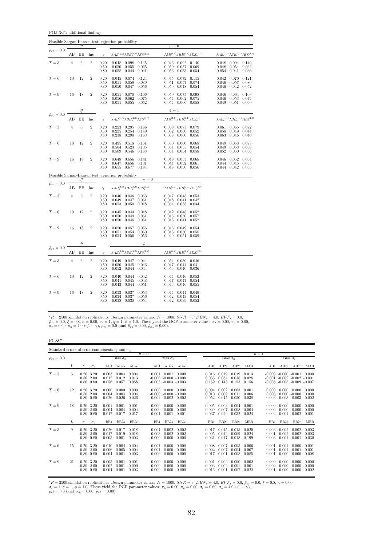P1fJ-XC<sup>∗</sup> : additional findings

|                                 |                |             |                |                                                     | Feasible Sargan-Hansen test: rejection probability                                     |                                                                                |                                           |                                           |                                           |                               |                                           |                                           |
|---------------------------------|----------------|-------------|----------------|-----------------------------------------------------|----------------------------------------------------------------------------------------|--------------------------------------------------------------------------------|-------------------------------------------|-------------------------------------------|-------------------------------------------|-------------------------------|-------------------------------------------|-------------------------------------------|
| $\bar{\rho}_{x\epsilon}=0.0$    |                | df          |                |                                                     |                                                                                        |                                                                                | $\theta = 0$                              |                                           |                                           |                               |                                           |                                           |
|                                 | AВ             | BB          | Inc            | $\gamma$                                            | $JAB^{\left( 1,0\right) }JBB_{a}^{\left( 1,0\right) }JES^{\left( 1,0\right) }$         |                                                                                |                                           |                                           | $JAB^{(1,1)}_aJBB^{(1,1)}_aJES^{(1,1)}_a$ |                               |                                           | $JAB_c^{(1,1)}JBB_c^{(1,1)}JES_c^{(1,1)}$ |
| $T=3$                           | $\overline{4}$ | 6           | $\overline{2}$ | 0.20<br>0.50<br>0.80                                | 0.048<br>0.055<br>0.050<br>0.058<br>0.044                                              | 0.098 0.145<br>0.065<br>0.041                                                  | 0.046<br>0.050<br>0.053                   | $0.092 \quad 0.140$<br>0.057<br>0.053     | 0.069<br>0.054                            | 0.048<br>0.054                | $0.048$ $0.094$ $0.140$<br>0.054<br>0.041 | 0.062<br>0.036                            |
| ${\cal T}=6$                    | 10             | 12          | $\overline{2}$ | 0.20<br>0.50<br>0.80                                | 0.045<br>0.059<br>0.051<br>0.050<br>0.047                                              | 0.074 0.124<br>0.080<br>0.056                                                  | 0.045<br>0.051<br>0.050                   | 0.072<br>0.057<br>0.048                   | 0.115<br>0.074<br>0.054                   | 0.042<br>$\,0.046\,$<br>0.046 | 0.070<br>0.057<br>0.042                   | 0.121<br>0.080<br>0.052                   |
| $T=9$                           | 16             | 18          | $\overline{2}$ | 0.20<br>0.50<br>0.80                                | 0.051<br>0.056<br>0.062<br>0.055<br>0.051                                              | $0.070$ $0.106$<br>0.075<br>0.062                                              | 0.050<br>0.054<br>0.054                   | 0.075<br>$0.062$ 0.075<br>$0.060$ $0.058$ | 0.098                                     | 0.046<br>0.046                | 0.064<br>0.053<br>$0.049$ $0.051$         | 0.103<br>0.074<br>0.060                   |
|                                 |                | df          |                |                                                     |                                                                                        |                                                                                | $\theta = 1$                              |                                           |                                           |                               |                                           |                                           |
| $\bar{\rho}_{x\varepsilon}=0.0$ | AВ             | BB          | Inc            | $\gamma$                                            |                                                                                        | $JAB^{\left( 1,0\right) }JBB_{a}^{\left( 1,0\right) }JES^{\left( 1,0\right) }$ |                                           |                                           | $JAB_a^{(1,1)}JBB_a^{(1,1)}JES_a^{(1,1)}$ |                               |                                           | $JAB_c^{(1,1)}JBB_c^{(1,1)}JES_c^{(1,1)}$ |
| $T=3$                           | $\overline{4}$ | 6           | $\,2$          | 0.20<br>0.50<br>0.80                                | 0.223<br>0.225<br>$\frac{0.254}{0.290}$<br>0.238                                       | $0.295$ 0.186<br>0.149<br>0.183                                                | 0.059<br>0.062<br>0.068                   | 0.060<br>0.060                            | 0.073 0.079<br>0.052<br>0.056             | 0.061<br>0.058<br>0.063       | 0.065<br>0.049<br>0.046                   | 0.072<br>0.044<br>0.040                   |
| $T=6$                           | 10             | 12          | $\overline{2}$ | 0.20<br>0.50<br>0.80                                | 0.495<br>0.518<br>0.504<br>0.523<br>0.546<br>0.509                                     | 0.151<br>0.135<br>0.183                                                        | 0.050<br>0.054<br>0.054                   | 0.060<br>0.055<br>0.054                   | 0.068<br>0.054<br>0.058                   | 0.049<br>0.049<br>0.052       | 0.058<br>0.053<br>0.050                   | 0.073<br>0.058<br>0.056                   |
| $T=9$                           | 16             | 18          | $\,2$          | 0.20<br>0.50<br>0.80                                | 0.648<br>0.656<br>0.647<br>0.656<br>0.655<br>0.677                                     | 0.141<br>0.131<br>0.184                                                        | 0.049<br>0.044<br>0.048                   | 0.053<br>0.052<br>0.050                   | 0.068<br>0.061<br>0.056                   | 0.046<br>0.044                | 0.052<br>0.045<br>$0.044$ $0.042$         | 0.064<br>0.055<br>0.055                   |
|                                 |                |             |                |                                                     | Feasible Sargan-Hansen test: rejection probability                                     | $\theta = 0$                                                                   |                                           |                                           |                                           |                               |                                           |                                           |
| $\bar{\rho}_{x\varepsilon}=0.0$ | AB             | df<br>BB    | Inc            | $\gamma$                                            | $JAB_{a}^{\left( 2,2\right) }JBB_{a}^{\left( 2,2\right) }JES_{a}^{\left( 2,2\right) }$ |                                                                                |                                           |                                           | $JAB_c^{(2,2)}JBB_c^{(2,2)}JES_c^{(2,2)}$ |                               |                                           |                                           |
| $T=3$                           | $\overline{4}$ | $\,$ 6 $\,$ | $\,2$          | 0.20<br>0.50<br>0.80                                | $0.046$ $0.046$ $0.053$<br>0.049<br>0.047<br>0.053<br>0.050                            | 0.051<br>0.048                                                                 | 0.047<br>0.048<br>0.054                   | 0.048 0.053<br>0.041<br>0.038             | 0.042<br>0.034                            |                               |                                           |                                           |
| $T=6$                           | 10             | 12          | $\overline{2}$ | 0.20<br>0.50<br>0.80                                | 0.045<br>0.044<br>0.050<br>0.049<br>0.046<br>0.050                                     | 0.048<br>0.051<br>0.051                                                        | 0.042<br>0.046<br>0.046                   | 0.048<br>0.050<br>0.041                   | 0.052<br>0.057<br>0.052                   |                               |                                           |                                           |
| $T=9$                           | 16             | 18          | $\,2$          | $\begin{array}{c} 0.20 \\ 0.50 \end{array}$<br>0.80 | 0.050<br>0.057<br>0.051<br>0.054<br>0.054<br>0.056                                     | 0.056<br>0.060<br>0.056                                                        | 0.046<br>0.046<br>0.049                   | 0.049<br>0.050<br>$0.051$ $0.059$         | 0.054<br>0.058                            |                               |                                           |                                           |
| $\bar{\rho}_{x\varepsilon}=0.0$ |                | df          |                |                                                     |                                                                                        | $\theta=1$                                                                     |                                           |                                           |                                           |                               |                                           |                                           |
|                                 | AB             | BB          | Inc            | $\gamma$                                            | $JAB_a^{(2,2)}JBB_a^{(2,2)}JES_a^{(2,2)}$                                              |                                                                                |                                           |                                           | $JAB_c^{(2,2)}JBB_c^{(2,2)}JES_c^{(2,2)}$ |                               |                                           |                                           |
| $T=3$                           | $\overline{4}$ | $\,$ 6 $\,$ | $\overline{2}$ | 0.20<br>0.50<br>0.80                                | 0.049 0.047 0.044<br>0.050<br>0.045<br>0.052<br>0.044                                  | 0.046<br>0.044                                                                 | 0.054<br>0.047<br>0.056                   | $0.050 \quad 0.046$<br>0.044<br>0.040     | 0.041<br>0.036                            |                               |                                           |                                           |
| $T=6$                           | 10             | 12          | $\overline{2}$ | 0.20<br>0.50<br>0.80                                | 0.040<br>0.041<br>0.045<br>0.043<br>0.044                                              | $0.044$ $0.042$<br>0.048<br>0.051                                              | 0.044<br>0.047<br>0.046                   | 0.046<br>0.047<br>0.046                   | 0.052<br>0.054<br>0.055                   |                               |                                           |                                           |
| $T=9$                           | 16             | 18          | $\overline{2}$ | 0.20<br>0.50<br>0.80                                | 0.033<br>0.037<br>0.037<br>0.034<br>0.038<br>0.038                                     | 0.053<br>0.056<br>0.054                                                        | 0.044<br>0.042<br>$0.042$ $0.039$ $0.052$ | 0.044<br>0.043                            | 0.049<br>0.054                            |                               |                                           |                                           |

 ${}^*R = 2500$  simulation replications. Design parameter values:  $N = 1000$ ,  $SNR = 3$ ,  $DEN_y = 4.0$ ,  $EVF_x = 0.0$ ,  $\bar{\rho}_{xe} = 0.0$ ,  $\xi = 0.8$ ,  $\kappa = 0.00$ ,  $\sigma_e = 1$ ,  $q = 1$ ,  $\phi = 1.0$ . These yield the DGP parameter values:  $\pi_{\lambda} =$ 

 $\mathrm{P1}\text{-}\mathrm{XC}^*$ 

| Standard errors of error components $\eta_i$ and $\varepsilon_{it}$ |    |                                                  |            |                                                                           |                         |                         |                                                                 |                         |                                   |                           |                                                                                     |                         |                                    |                               |                  |                                                                                                        |                         |
|---------------------------------------------------------------------|----|--------------------------------------------------|------------|---------------------------------------------------------------------------|-------------------------|-------------------------|-----------------------------------------------------------------|-------------------------|-----------------------------------|---------------------------|-------------------------------------------------------------------------------------|-------------------------|------------------------------------|-------------------------------|------------------|--------------------------------------------------------------------------------------------------------|-------------------------|
| $\bar{\rho}_{x\varepsilon}=0.0$                                     |    |                                                  |            |                                                                           | Bias $\tilde{\sigma}_n$ |                         | $\theta = 0$                                                    | Bias $\hat{\sigma}_e$   |                                   |                           | Bias $\hat{\sigma}_n$                                                               |                         |                                    | $\theta = 1$                  |                  | Bias $\hat{\sigma}_\varepsilon$                                                                        |                         |
|                                                                     | L  |                                                  | $\sigma_n$ | AB1                                                                       | AB2a                    | AB2c                    | AB1                                                             | AB2a                    | AB2c                              | AB1                       | AB2a                                                                                | AB2c                    | MAB                                | AB1                           | AB2a             | AB2c                                                                                                   | MAB                     |
| $T=3$                                                               | 6. | $0.20\ 3.20$<br>$0.50 \t2.00$<br>$0.80\ 0.80$    |            | 0.003<br>0.012<br>0.056                                                   | 0.004<br>0.012<br>0.057 | 0.004<br>0.013<br>0.058 | 0.001<br>$-0.000 - 0.000 - 0.000$<br>$-0.003 - 0.003 - 0.003$   | 0.001                   | 0.000                             | 0.016<br>0.033<br>0.159   | 0.019<br>0.034<br>0.143                                                             | 0.019<br>0.038<br>0.153 | 0.013<br>0.028<br>0.156            |                               |                  | $-0.000 - 0.000 - 0.001$<br>$-0.001$ $-0.002$ $-0.002$ $-0.001$<br>$-0.008$ $-0.008$ $-0.009$ $-0.007$ | 0.000                   |
| $T=6$                                                               | 12 | $0.20\ 3.20$<br>$0.50$ 2.00<br>$0.80\ 0.80$      |            | 0.000<br>0.004<br>0.026                                                   | 0.000<br>0.004<br>0.026 | 0.000<br>0.004<br>0.026 | 0.000<br>$-0.000 - 0.000 - 0.000$<br>$-0.002$ $-0.002$ $-0.002$ | 0.000                   | 0.000                             | 0.004<br>0.010<br>0.052   | 0.002<br>0.009<br>0.045                                                             | 0.003<br>0.011<br>0.050 | 0.001<br>0.006<br>0.038            | 0.000<br>0.000<br>$-0.003$    | 0.000            | 0.000<br>$0.000 - 0.000$<br>$-0.003 - 0.003 - 0.002$                                                   | 0.000<br>0.000          |
| $T=9$                                                               | 18 | $0.20\ 3.20$<br>$0.50$ 2.00<br>$0.80\ 0.80$      |            | 0.001<br>0.004<br>0.017                                                   | 0.001<br>0.004<br>0.017 | 0.001<br>0.004<br>0.017 | 0.000<br>$-0.000 - 0.000 - 0.000$<br>$-0.001$ $-0.001$ $-0.001$ | 0.000                   | 0.000                             | 0.005<br>0.009<br>0.037   | 0.003<br>0.007<br>0.029                                                             | 0.004<br>0.008<br>0.032 | 0.001<br>0.004<br>0.024            | 0.000<br>$-0.000$<br>$-0.002$ | 0.000            | 0.000<br>$0.000 - 0.000$<br>$-0.001 - 0.002 - 0.001$                                                   | 0.000<br>0.000          |
|                                                                     | L  | $\sim$                                           | $\sigma_n$ | B <sub>B1</sub>                                                           | BB <sub>2a</sub>        | BB2c                    | B <sub>B1</sub>                                                 | BB <sub>2a</sub>        | BB2c                              | B <sub>B1</sub>           | BB <sub>2a</sub>                                                                    | BB <sub>2c</sub>        | <b>MBB</b>                         | B <sub>B1</sub>               | BB <sub>2a</sub> | BB <sub>2c</sub>                                                                                       | MBB                     |
| $T=3$                                                               | 9  | $0.20\ 3.20$<br>$0.50$ 2.00<br>$0.80\ 0.80$      |            | $-0.026$ $-0.017$ $-0.018$<br>$-0.017 - 0.019 - 0.018$<br>0.005           | 0.001                   | 0.003                   | 0.004<br>0.003<br>$-0.000$                                      | 0.002<br>0.002<br>0.000 | 0.002<br>0.002<br>0.000           | 0.031                     | $-0.017 - 0.015 - 0.015 - 0.020$<br>$-0.005$ $-0.012$ $-0.009$ $-0.024$<br>0.017    | $0.018 - 0.199$         |                                    | 0.003<br>0.001<br>$-0.003$    | 0.002<br>0.002   | 0.002<br>0.002<br>$-0.001 - 0.001$                                                                     | 0.003<br>0.003<br>0.030 |
| $T=6$                                                               | 15 | $0.20\ 3.20$<br>$0.50$ 2.00<br>$0.80\ 0.80$      |            | $-0.010$ $-0.004$ $-0.004$<br>$-0.006$ $-0.005$ $-0.004$                  | $0.004 - 0.001 0.003$   |                         | 0.001<br>0.001<br>$-0.000$                                      | 0.000<br>0.000          | 0.000<br>0.000<br>$0.000 - 0.000$ | 0.017                     | $-0.008$ $-0.007$ $-0.005$ $-0.006$<br>$-0.002$ $-0.007$ $-0.004$ $-0.007$<br>0.001 | $0.008 - 0.085$         |                                    | 0.001<br>0.001<br>$-0.001$    | 0.001<br>0.001   | 0.000<br>0.001<br>$0.000 - 0.000$                                                                      | 0.001<br>0.001<br>0.008 |
| $T=9$                                                               | 21 | $0.20 \quad 3.20$<br>$0.50$ 2.00<br>$0.80\ 0.80$ |            | $-0.005 - 0.001 - 0.001$<br>$-0.002$ $-0.001$ $-0.000$<br>$0.004 - 0.001$ |                         | 0.003                   | 0.000<br>0.000<br>$-0.000$                                      | 0.000<br>0.000          | 0.000<br>0.000<br>$0.000 - 0.000$ | $-0.001 - 0.002$<br>0.016 | $0.003 - 0.002$<br>0.001                                                            | $0.001 - 0.001$         | $0.000 - 0.002$<br>$0.007 - 0.022$ | 0.000<br>0.000<br>$-0.001$    | 0.000<br>0.000   | 0.000<br>0.000<br>$0.000 - 0.000$                                                                      | 0.000<br>0.000<br>0.002 |

 ${}^*R = 2500$  simulation replications. Design parameter values:  $N = 1000$ ,  $SNR = 3$ ,  $DEN_y = 4.0$ ,  $EVF_x = 0.0$ ,  $\bar{\rho}_{xz} = 0.0$ ,  $\xi = 0.8$ ,  $\kappa = 0.00$ ,<br>  $\sigma_{\varepsilon} = 1$ ,  $q = 1$ ,  $\phi = 1.0$ . These yield the DGP parameter values:  $\$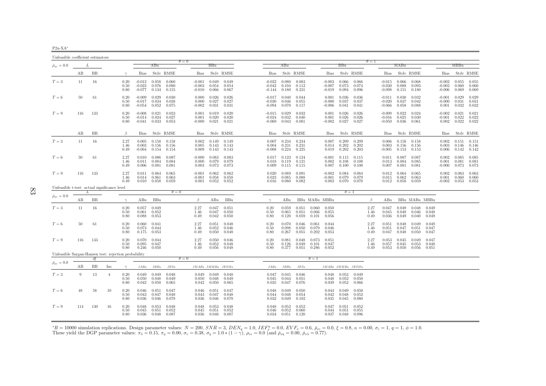| Unfeasible coefficient estimators                    |     |     |                |                      |                                  |                         |                                   |                                  |                         |                                             |                                  |                                    |                         |                         |                                      |                                    |                         |                      |                                  |                                 |                         |                         |                                  |                                   |                         |
|------------------------------------------------------|-----|-----|----------------|----------------------|----------------------------------|-------------------------|-----------------------------------|----------------------------------|-------------------------|---------------------------------------------|----------------------------------|------------------------------------|-------------------------|-------------------------|--------------------------------------|------------------------------------|-------------------------|----------------------|----------------------------------|---------------------------------|-------------------------|-------------------------|----------------------------------|-----------------------------------|-------------------------|
| $\bar{\rho}_{x\varepsilon}=0.0$                      | L   |     |                |                      |                                  | ABu                     |                                   | $\theta = 0$                     | BBu                     |                                             |                                  | ABu                                |                         |                         |                                      | <b>BBu</b>                         |                         | $\theta = 1$         |                                  | MABu                            |                         |                         |                                  | <b>MBBu</b>                       |                         |
|                                                      | AВ  | ΒB  |                | $\gamma$             | Bias                             |                         | Stdy RMSE                         | Bias                             |                         | Stdy RMSE                                   | Bias                             |                                    | Stdy RMSE               |                         | Bias                                 |                                    | Stdy RMSE               |                      | Bias                             |                                 | Stdy RMSE               |                         | Bias                             |                                   | Stdy RMSE               |
| $T=3$                                                | 11  | 16  |                | 0.20<br>0.50<br>0.80 | $-0.012$<br>$-0.023$<br>$-0.077$ | 0.076<br>0.134          | $0.058$ 0.060<br>0.080<br>0.155   | $-0.001$<br>$-0.003$<br>$-0.010$ | 0.049<br>0.054<br>0.066 | 0.049<br>0.054<br>0.067                     | $-0.022$<br>-0.042               | 0.080<br>0.104<br>$-0.144$ $0.180$ | 0.083<br>0.112<br>0.231 |                         | $-0.003$<br>-0.007<br>$-0.019$ 0.094 | 0.066<br>0.073                     | 0.066<br>0.074<br>0.096 |                      | $-0.015$<br>$-0.030$<br>$-0.098$ | 0.066<br>0.088<br>0.151         | 0.068<br>0.093<br>0.180 |                         | $-0.002$<br>$-0.003$<br>$-0.006$ | 0.055<br>0.060<br>0.069           | 0.055<br>0.060<br>0.069 |
| $T=6$                                                | 50  | 61  |                | 0.20<br>0.50<br>0.80 | $-0.009$<br>$-0.017$<br>$-0.054$ | 0.029<br>0.034<br>0.052 | 0.030<br>0.038<br>0.075           | 0.000<br>0.000<br>$-0.002$       | 0.026<br>0.027<br>0.031 | 0.026<br>0.027<br>0.031                     | $-0.017$<br>$-0.030$<br>$-0.094$ | 0.040<br>0.046<br>0.070            | 0.044<br>0.055<br>0.117 |                         | 0.001<br>$-0.000$<br>$-0.006$        | 0.036<br>0.037<br>0.041            | 0.036<br>0.037<br>0.041 |                      | $-0.011$<br>$-0.020$<br>$-0.066$ | 0.030<br>0.037<br>0.058         | 0.032<br>0.042<br>0.088 |                         | $-0.001$<br>$-0.000$<br>0.001    | 0.029<br>0.031<br>0.032           | 0.029<br>0.031<br>0.032 |
| $T=9$                                                | 116 | 133 |                | 0.20<br>0.50<br>0.80 | $-0.008$<br>$-0.014$<br>$-0.041$ | 0.021<br>0.024<br>0.033 | 0.023<br>0.027<br>0.053           | 0.001<br>0.001<br>$-0.000$       | 0.019<br>0.020<br>0.021 | 0.020<br>0.020<br>0.021                     | $-0.015$<br>$-0.024$<br>$-0.069$ | 0.029<br>0.032<br>0.043            | 0.032<br>0.040<br>0.081 |                         | 0.001<br>0.001<br>$-0.002$           | 0.026<br>0.026<br>0.027            | 0.026<br>0.026<br>0.027 |                      | $-0.009$<br>-0.016<br>$-0.050$   | 0.022<br>0.025<br>0.036         | 0.024<br>0.030<br>0.061 |                         | $-0.002$<br>$-0.001$<br>0.002    | 0.021<br>0.022<br>0.022           | 0.021<br>0.022<br>0.022 |
|                                                      | AB  | BB  |                | $\beta$              | <b>Bias</b>                      |                         | Stdy RMSE                         | Bias                             |                         | Stdy RMSE                                   | Bias                             |                                    | Stdy RMSE               |                         | Bias                                 |                                    | Stdy RMSE               |                      | Bias                             |                                 | Stdy RMSE               |                         | Bias                             |                                   | Stdy RMSE               |
| $T=3$                                                | 11  | 16  |                | 2.27<br>1.46<br>0.49 | 0.005<br>0.003<br>$-0.004$       | 0.156<br>0.154          | $0.158$ $0.158$<br>0.156<br>0.154 | 0.002<br>0.005<br>0.009          | 0.143                   | $0.149$ $0.149$<br>0.143<br>$0.143$ $0.143$ | 0.007<br>0.004<br>$-0.008$       | 0.234<br>0.231<br>0.224            | 0.234<br>0.231<br>0.225 |                         | 0.007<br>0.014                       | 0.209<br>0.202<br>$0.019$ $0.202$  | 0.209<br>0.202<br>0.203 |                      | 0.006<br>0.003<br>$-0.005$       | 0.158<br>0.156<br>0.153         | 0.158<br>0.156<br>0.153 |                         | 0.002<br>0.003                   | 0.151<br>0.146<br>$0.006$ $0.142$ | 0.151<br>0.146<br>0.142 |
| $T=6$                                                | 50  | 61  |                | 2.27<br>1.46<br>0.49 | 0.010<br>0.011<br>0.006          | 0.086<br>0.084<br>0.081 | 0.087<br>0.084<br>0.081           | $-0.000$<br>0.000<br>0.003       | 0.083<br>0.079<br>0.073 | 0.083<br>0.079<br>0.073                     | 0.018<br>0.009                   | $0.017$ 0.123<br>0.119<br>0.115    | 0.124<br>0.121<br>0.115 |                         | 0.002<br>0.007                       | $-0.001$ $0.115$<br>0.108<br>0.100 | 0.115<br>0.108<br>0.100 |                      | 0.011<br>0.013<br>0.007          | 0.087<br>0.084<br>0.081         | 0.087<br>0.085<br>0.081 |                         | 0.002<br>0.001<br>$-0.000$       | 0.085<br>0.081<br>0.073           | 0.085<br>0.081<br>0.073 |
| $T=9$                                                | 116 | 133 |                | 2.27<br>1.46<br>0.49 | 0.011<br>0.014<br>0.010          | 0.064<br>0.061<br>0.058 | 0.065<br>0.063<br>0.059           | $-0.001$<br>$-0.001$<br>0.001    | 0.062<br>0.058<br>0.052 | 0.062<br>0.058<br>0.052                     | 0.020<br>0.023                   | 0.089<br>0.085<br>$0.016$ 0.080    | 0.091<br>0.088<br>0.082 |                         | $-0.002$<br>$-0.001$<br>0.003        | 0.084<br>0.079<br>0.070            | 0.084<br>0.079<br>0.070 |                      | 0.012<br>0.015                   | 0.064<br>0.062<br>$0.012$ 0.058 | 0.065<br>0.063<br>0.059 |                         | 0.002<br>0.001<br>$-0.002$       | 0.063<br>0.060<br>0.053           | 0.063<br>0.060<br>0.053 |
| Unfeasible t-test: actual significance level         |     |     |                |                      |                                  |                         | $\theta = 0$                      |                                  |                         |                                             |                                  |                                    |                         |                         |                                      | $\theta = 1$                       |                         |                      |                                  |                                 |                         |                         |                                  |                                   |                         |
| $\bar{\rho}_{x\varepsilon}=0.0$                      | AВ  | BB  |                | $\gamma$             | ABu                              | BBu                     |                                   | $\beta$                          | ABu                     | BBu                                         | $\gamma$                         | ABu                                |                         |                         | BBu MABu MBBu                        |                                    |                         | β                    | ABu                              |                                 | BBu MABu MBBu           |                         |                                  |                                   |                         |
| $T=3$                                                | 11  | 16  |                | 0.20<br>0.50<br>0.80 | 0.057<br>0.061<br>0.088          | 0.049<br>0.052<br>0.053 |                                   | 2.27<br>1.46<br>0.49             | 0.047<br>0.047<br>0.042 | 0.051<br>0.050<br>0.050                     | 0.20<br>0.50<br>0.80             | 0.059<br>0.065<br>0.120            | 0.051<br>0.051<br>0.059 | 0.060<br>0.066<br>0.101 | 0.050<br>0.055<br>0.056              |                                    |                         | 2.27<br>1.46<br>0.49 | 0.047<br>0.045<br>0.036          | 0.049<br>0.048<br>0.049         | 0.048<br>0.046<br>0.040 | 0.049<br>0.048<br>0.049 |                                  |                                   |                         |
| $T=6$                                                | -50 | 61  |                | 0.20<br>0.50<br>0.80 | 0.060<br>0.073<br>0.175          | 0.041<br>0.044<br>0.053 |                                   | 2.27<br>1.46<br>0.49             | 0.051<br>0.052<br>0.050 | 0.048<br>0.046<br>0.048                     | 0.20<br>0.50<br>0.80             | 0.070<br>0.098<br>0.267            | 0.046<br>0.050<br>0.055 | 0.061<br>0.079<br>0.202 | 0.044<br>0.046<br>0.053              |                                    |                         | 2.27<br>1.46<br>0.49 | 0.051<br>0.051<br>0.047          | 0.048<br>0.047<br>0.048         | 0.049<br>0.051<br>0.050 | 0.049<br>0.047<br>0.047 |                                  |                                   |                         |
| $T=9$                                                | 116 | 133 |                | 0.20<br>0.50<br>0.80 | 0.070<br>0.095<br>0.246          | 0.044<br>0.047<br>0.050 |                                   | 2.27<br>1.46<br>0.49             | 0.050<br>0.052<br>0.056 | 0.046<br>0.048<br>0.048                     | 0.20<br>0.50<br>0.80             | 0.081<br>0.126<br>0.377            | 0.048<br>0.049<br>0.051 | 0.073<br>0.101<br>0.286 | 0.051<br>0.047<br>0.052              |                                    |                         | 2.27<br>1.46<br>0.49 | 0.053<br>0.057<br>0.053          | 0.045<br>0.045<br>0.050         | 0.049<br>0.053<br>0.056 | 0.047<br>0.048<br>0.051 |                                  |                                   |                         |
| Unfeasible Sargan-Hansen test: rejection probability |     | df  |                |                      |                                  |                         |                                   | $\theta = 0$                     |                         |                                             |                                  |                                    |                         | $\theta = 1$            |                                      |                                    |                         |                      |                                  |                                 |                         |                         |                                  |                                   |                         |
| $\bar{\rho}_{x\varepsilon}=0.0$                      | AВ  | BB  | Inc            | $\gamma$             | JABu                             | JBBu                    | JESu                              |                                  | $JMABu$ $JMMBu$ $JESMu$ |                                             | JABu                             | JBBu                               | JESu                    |                         | $JMABu$ $JMMBu$ $JESMu$              |                                    |                         |                      |                                  |                                 |                         |                         |                                  |                                   |                         |
| $T=3$                                                | 9   | 13  | $\overline{4}$ | 0.20<br>0.50<br>0.80 | 0.049<br>0.050<br>0.042          | 0.049<br>0.048<br>0.050 | 0.048<br>0.049<br>0.065           | 0.049<br>0.050<br>0.042          | 0.049<br>0.048<br>0.050 | 0.048<br>0.049<br>0.065                     | 0.047<br>0.045<br>0.035          | 0.045<br>0.044<br>0.047            | 0.046<br>0.051<br>0.076 |                         | 0.048<br>0.039                       | $0.048$ 0.053<br>0.052<br>0.052    | 0.049<br>0.050<br>0.066 |                      |                                  |                                 |                         |                         |                                  |                                   |                         |
| $T=6$                                                | 48  | 58  | 10             | 0.20<br>0.50<br>0.80 | 0.046<br>0.043<br>0.036          | 0.051<br>0.047<br>0.046 | 0.047<br>0.048<br>0.078           | 0.046<br>0.043<br>0.036          | 0.051<br>0.047<br>0.046 | 0.047<br>0.048<br>0.078                     | 0.048<br>0.044<br>0.032          | 0.049<br>0.048<br>0.049            | 0.050<br>0.054<br>0.102 |                         | 0.042<br>0.035                       | $0.044$ 0.049<br>0.048<br>0.045    | 0.050<br>0.052<br>0.080 |                      |                                  |                                 |                         |                         |                                  |                                   |                         |
| $T=9$                                                | 114 | 130 | 16             | 0.20<br>0.50<br>0.80 | 0.048<br>0.045<br>0.036          | 0.053<br>0.051<br>0.048 | 0.048<br>0.052<br>0.087           | 0.048<br>0.045<br>0.036          | 0.053<br>0.051<br>0.048 | 0.048<br>0.052<br>0.087                     | 0.048<br>0.046                   | 0.053<br>0.052<br>$0.034$ $0.051$  | 0.052<br>0.060<br>0.120 |                         | 0.047<br>0.044                       | 0.051<br>0.051<br>$0.037$ 0.048    | 0.052<br>0.055<br>0.096 |                      |                                  |                                 |                         |                         |                                  |                                   |                         |

 ${}^*R = 10000$  simulation replications. Design parameter values:  $N = 200$ ,  $SNR = 3$ ,  $DEN_y = 1.0$ ,  $IEF_x^{\eta} = 0.0$ ,  $EVF_x = 0.6$ ,  $\bar{\rho}_{xc} = 0.0$ ,  $\xi = 0.8$ ,  $\kappa = 0.00$ ,  $\sigma_{\varepsilon} = 1$ ,  $q = 1$ ,  $\phi = 1.0$ .<br>These yield the DGP param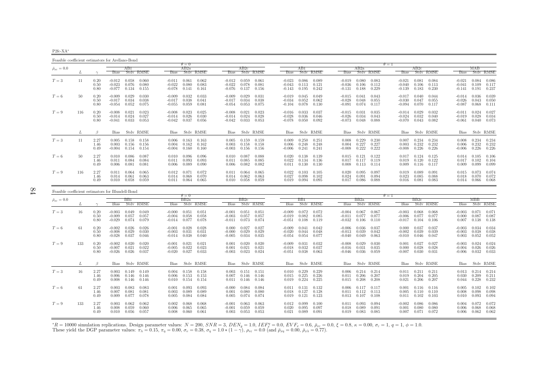P<sub>2fc-XA</sub><sup>\*</sup>

Feasible coefficient estimators for Arellano-Bond $\theta = 0$  $AB2a$  $\theta = 1$ <br>a  $\theta = 1$  $\bar{\rho}_{x\varepsilon}=0.0$  $_{\varepsilon}$  = 0.0  $_{\varepsilon}$   $_{\varepsilon}$   $_{\varepsilon}$   $_{\varepsilon}$   $_{\varepsilon}$   $_{\varepsilon}$   $_{\varepsilon}$   $_{\varepsilon}$   $_{\varepsilon}$   $_{\varepsilon}$   $_{\varepsilon}$   $_{\varepsilon}$   $_{\varepsilon}$   $_{\varepsilon}$   $_{\varepsilon}$   $_{\varepsilon}$   $_{\varepsilon}$   $_{\varepsilon}$   $_{\varepsilon}$   $_{\varepsilon}$   $_{\varepsilon}$   $_{\varepsilon}$   $_{\varepsilon}$ L  $\gamma$  Bias Stdv RMSE Bias Stdv RMSE Bias Stdv RMSE Bias Stdv RMSE Bias Stdv RMSE Bias Stdv RMSE Bias Stdv RMSE0.086  $T=3$  $T=3 \hskip 1.0 11 \hskip 1.0 0.20$   $-0.012$   $0.058$   $0.060$   $-0.011$   $0.061$   $0.062$   $-0.012$   $0.059$   $0.061$   $-0.023$   $0.086$   $0.089$   $-0.019$   $0.080$   $0.083$   $-0.021$   $0.084$   $-0.021$   $0.084$   $-0.021$   $0.084$   $-0.036$   $0.113$  0.50 -0.023 0.076 0.080 -0.022 0.080 0.083 -0.022 0.078 0.081 -0.043 0.113 0.121 -0.036 0.106 0.112 -0.040 0.106 0.113 -0.041 0.109 0.117 $-0.141$   $0.191$   $0.237$ 0.80 -0.077 0.134 0.155 -0.078 0.141 0.161 -0.076 0.137 0.156 -0.143 0.195 0.242 -0.131 0.188 0.229 -0.139 0.183 0.230 -0.141 0.191 0.237 $T=6$  $T=6$   $50$   $0.20$   $-0.009$   $0.029$   $0.030$   $-0.009$   $0.032$   $0.033$   $-0.009$   $0.029$   $0.031$   $-0.019$   $0.049$   $-0.015$   $0.041$   $0.043$   $-0.017$   $0.040$   $0.044$   $-0.014$   $-0.014$   $0.036$   $0.039$ <br> $-0.034$   $0.038$   $-0.017$  0.50 -0.017 0.034 0.038 -0.017 0.038 0.041 -0.017 0.034 0.038 -0.034 0.052 0.062 -0.028 0.048 0.055 -0.030 0.047 0.055 -0.026 0.043 0.050 $0.068$   $0.111$  $0.80$   $-0.054$   $0.052$   $0.075$   $-0.055$   $0.059$   $0.081$   $-0.054$   $0.053$   $0.075$   $-0.104$   $0.078$   $0.130$   $-0.091$   $0.074$   $0.117$   $-0.094$   $0.070$   $0.117$   $-0.087$  $0.024$  0.027  $T=9$  $T=9 \hspace{1.5mm} 116 \hspace{1.5mm} 0.20 \hspace{1.5mm} 0.011 \hspace{1.5mm} 0.023 \hspace{1.5mm} 0.023 \hspace{1.5mm} 0.023 \hspace{1.5mm} 0.025 \hspace{1.5mm} -0.008 \hspace{1.5mm} 0.021 \hspace{1.5mm} 0.021 \hspace{1.5mm} 0.023 \hspace{1.5mm} 0.021 \hspace{1.5mm} 0.023 \hspace{1.5mm} 0.031 \hspace{1.5mm}$ 0.50 -0.014 0.024 0.027 -0.014 0.024 0.023 0.023 0.024 0.024 0.046 0.044 0.043 0.044 0.024 0.040 0.023 0.052 0.044<br>0.80 -0.041 0.033 0.053 -0.042 0.037 0.056 -0.042 0.033 0.053 -0.078 0.050 0.092 -0.073 0.048 0.088 -0.070  $0.040 \qquad 0.073$  $L \qquad \qquad \beta$ Bias Stdv RMSE Bias Stdv RMSE Bias Stdv RMSE Bias Stdv RMSE Bias Stdv RMSE Bias Stdv RMSE Bias Stdv RMSE Bias Stdv RMSE 0.234  $T=3$  $T=3 \hskip 1.0 \hskip 1.0 \hskip 1.0 \hskip 1.0 \hskip 1.0 \hskip 1.0 \hskip 1.0 \hskip 1.0 \hskip 1.0 \hskip 1.0 \hskip 1.0 \hskip 1.0 \hskip 1.0 \hskip 1.0 \hskip 1.0 \hskip 1.0 \hskip 1.0 \hskip 1.0 \hskip 1.0 \hskip 1.0 \hskip 1.0 \hskip 1.0 \hskip 1.0 \hskip 1.0 \hskip 1.0 \hskip 1.0 \hskip 1.0 \$ 1.46 0.003 0.156 0.156 0.004 0.162 0.162 0.003 0.158 0.158 0.006 0.248 0.248 0.004 0.227 0.227 0.003 0.232 0.232 0.006 0.232 0.232 $0.226$  $\overline{0.49}$   $\overline{0.004}$   $\overline{0.154}$   $\overline{0.100}$   $\overline{0.160}$   $\overline{0.003}$   $\overline{0.156}$   $\overline{0.156}$   $\overline{0.006}$   $\overline{0.241}$   $\overline{0.241}$   $\overline{0.008}$   $\overline{0.222}$   $\overline{0.222}$   $\overline{0.222}$   $\overline{0.226}$   $\overline{0.226}$   $0.014$   $0.105$   $0.106$  $T=6$  $T=6 \hspace{1cm} 50 \hspace{1cm} 2.27 \hspace{1cm} 0.010 \hspace{1cm} 0.086 \hspace{1cm} 0.087 \hspace{1cm} 0.010 \hspace{1cm} 0.096 \hspace{1cm} 0.096 \hspace{1cm} 0.096 \hspace{1cm} 0.010 \hspace{1cm} 0.087 \hspace{1cm} 0.087 \hspace{1cm} 0.088 \hspace{1cm} 0.020 \hspace{1cm} 0.138 \hspace{1cm} 0.139 \hspace{1cm} 0.015$  $1.46 \qquad 0.011 \quad 0.084 \qquad 0.084 \qquad \qquad 0.011 \quad 0.093 \qquad \qquad 0.011 \quad 0.085 \qquad 0.085 \qquad \qquad 0.022 \quad 0.134 \quad 0.136 \qquad \qquad 0.017 \quad 0.117 \quad 0.119 \qquad \qquad 0.019 \quad 0.120 \quad 0.122 \qquad \qquad 0.017 \quad 0.102 \qquad 0.104 \qquad \qquad 0.015 \qquad \qquad 0.017 \qquad$ 0.49 0.006 0.081 0.081 0.006 0.089 0.090 0.006 0.082 0.082 0.011 0.130 0.130 0.008 0.113 0.114 0.009 0.116 0.117 0.009 0.099 0.0990.074  $T=9$  $T=9 \hspace{1.5mm} 116 \hspace{1.5mm} 2.27 \hspace{1.5mm} 0.011 \hspace{1.5mm} 0.064 \hspace{1.5mm} 0.012 \hspace{1.5mm} 0.071 \hspace{1.5mm} 0.072 \hspace{1.5mm} 0.011 \hspace{1.5mm} 0.064 \hspace{1.5mm} 0.064 \hspace{1.5mm} 0.064 \hspace{1.5mm} 0.064 \hspace{1.5mm} 0.064 \hspace{1.5mm} 0.064 \hspace{1.5mm}$ 1.46 0.014 0.061 0.063 0.014 0.068 0.070 0.014 0.062 0.063 0.027 0.098 0.102 0.024 0.091 0.094 0.023 0.085 0.088 0.018 0.070 0.072 $0.014$   $0.066$   $0.068$ 0.49 0.010 0.058 0.059 0.011 0.064 0.065 0.010 0.058 0.059 0.019 0.094 0.095 0.017 0.086 0.088 0.016 0.081 0.083 0.014 0.066 0.068

0.039

0.099

| Feasible coefficient estimators for Blundell-Bond |     |                      |                                  |                         |                         |                                  |                         |                         |                                |                         |                         |                                  |                         |                         |                                  |                         |                         |                                  |                         |                         |                                  |                         |                         |
|---------------------------------------------------|-----|----------------------|----------------------------------|-------------------------|-------------------------|----------------------------------|-------------------------|-------------------------|--------------------------------|-------------------------|-------------------------|----------------------------------|-------------------------|-------------------------|----------------------------------|-------------------------|-------------------------|----------------------------------|-------------------------|-------------------------|----------------------------------|-------------------------|-------------------------|
|                                                   |     |                      |                                  |                         |                         |                                  | $\theta = 0$            |                         |                                |                         |                         |                                  |                         |                         |                                  |                         |                         | $\theta = 1$                     |                         |                         |                                  |                         |                         |
| $\bar{\rho}_{x\varepsilon}=0.0$                   |     |                      |                                  | BB1                     |                         |                                  | BB2a                    |                         |                                | BB2c                    |                         |                                  | BB1                     |                         |                                  | BB2a                    |                         |                                  | BB2c                    |                         |                                  | МВВ                     |                         |
|                                                   |     |                      | <b>Bias</b>                      |                         | Stdy RMSE               | <b>Bias</b>                      |                         | Stdy RMSE               | <b>Bias</b>                    |                         | Stdy RMSE               | <b>Bias</b>                      |                         | Stdy RMSE               | <b>Bias</b>                      |                         | Stdy RMSE               | <b>Bias</b>                      |                         | Stdy RMSE               | <b>Bias</b>                      |                         | Stdy RMSE               |
| $T=3$                                             | 16  | 0.20<br>0.50<br>0.80 | $-0.003$<br>$-0.009$<br>$-0.029$ | 0.049<br>0.057<br>0.074 | 0.049<br>0.057<br>0.079 | $-0.000$<br>$-0.004$<br>$-0.014$ | 0.051<br>0.058<br>0.077 | 0.051<br>0.058<br>0.078 | $-0.001$<br>-0.003<br>$-0.011$ | 0.051<br>0.057<br>0.073 | 0.051<br>0.057<br>0.074 | -0.009<br>$-0.019$<br>$-0.051$   | 0.072<br>0.082<br>0.108 | 0.072<br>0.085<br>0.119 | $-0.004$<br>$-0.011$<br>$-0.032$ | 0.067<br>0.077<br>0.106 | 0.067<br>0.077<br>0.110 | $-0.003$<br>$-0.006$<br>$-0.017$ | 0.068<br>0.077<br>0.104 | 0.068<br>0.077<br>0.106 | $-0.003$<br>0.000<br>0.007       | 0.071<br>0.087<br>0.138 | 0.071<br>0.087<br>0.138 |
| $T=6$                                             | 61  | 0.20<br>0.50<br>0.80 | $-0.002$<br>$-0.008$<br>$-0.028$ | 0.026<br>0.029<br>0.037 | 0.026<br>0.030<br>0.046 | $-0.001$<br>$-0.003$<br>$-0.014$ | 0.028<br>0.031<br>0.038 | 0.028<br>0.031<br>0.040 | 0.000<br>$-0.000$<br>$-0.005$  | 0.027<br>0.029<br>0.034 | 0.027<br>0.029<br>0.035 | $-0.009$<br>$-0.020$<br>$-0.054$ | 0.041<br>0.044<br>0.054 | 0.042<br>0.048<br>0.077 | $-0.006$<br>$-0.013$<br>$-0.040$ | 0.036<br>0.039<br>0.049 | 0.037<br>0.042<br>0.063 | 0.000<br>$-0.002$<br>$-0.010$    | 0.037<br>0.039<br>0.046 | 0.037<br>0.039<br>0.047 | $-0.003$<br>$-0.003$<br>0.003    | 0.034<br>0.038<br>0.052 | 0.034<br>0.038<br>0.052 |
| $T=9$                                             | 133 | 0.20<br>0.50<br>0.80 | $-0.002$<br>$-0.007$<br>$-0.026$ | 0.020<br>0.021<br>0.026 | 0.020<br>0.022<br>0.037 | $-0.001$<br>$-0.005$<br>$-0.020$ | 0.021<br>0.022<br>0.027 | 0.021<br>0.023<br>0.033 | 0.001<br>0.001<br>$-0.003$     | 0.020<br>0.021<br>0.023 | 0.020<br>0.021<br>0.024 | $-0.009$<br>$-0.018$<br>$-0.051$ | 0.031<br>0.032<br>0.038 | 0.032<br>0.037<br>0.063 | $-0.008$<br>$-0.016$<br>-0.046   | 0.029<br>0.031<br>0.036 | 0.030<br>0.035<br>0.059 | 0.001<br>0.000<br>$-0.007$       | 0.027<br>0.028<br>0.030 | 0.027<br>0.028<br>0.031 | $-0.003$<br>$-0.004$<br>$-0.006$ | 0.024<br>0.026<br>0.032 | 0.024<br>0.026<br>0.033 |
|                                                   | L   | $\beta$              | <b>Bias</b>                      |                         | Stdy RMSE               | Bias                             |                         | Stdy RMSE               | Bias                           |                         | Stdy RMSE               | Bias                             |                         | Stdy RMSE               | Bias                             |                         | Stdy RMSE               | Bias                             |                         | Stdv RMSE               | <b>Bias</b>                      |                         | Stdy RMSE               |
| $T=3$                                             | 16  | 2.27<br>1.46<br>0.49 | 0.003<br>0.006<br>0.008          | 0.149<br>0.146<br>0.146 | 0.149<br>0.146<br>0.146 | 0.004<br>0.006<br>0.010          | 0.158<br>0.153<br>0.154 | 0.158<br>0.153<br>0.154 | 0.003<br>0.007<br>0.011        | 0.151<br>0.146<br>0.146 | 0.151<br>0.146<br>0.146 | 0.010<br>0.015<br>0.019          | 0.229<br>0.225<br>0.224 | 0.229<br>0.226<br>0.225 | 0.006<br>0.011<br>0.015          | 0.214<br>0.206<br>0.208 | 0.214<br>0.207<br>0.208 | 0.011<br>0.019<br>0.021          | 0.211<br>0.204<br>0.206 | 0.211<br>0.205<br>0.207 | 0.013<br>0.030<br>0.044          | 0.214<br>0.209<br>0.228 | 0.214<br>0.211<br>0.232 |
| $T=6$                                             | 61  | 2.27<br>1.46<br>0.49 | 0.003<br>0.007<br>0.009          | 0.083<br>0.081<br>0.077 | 0.083<br>0.081<br>0.078 | 0.001<br>0.003<br>0.005          | 0.093<br>0.089<br>0.084 | 0.093<br>0.089<br>0.084 | $-0.000$<br>0.001<br>0.005     | 0.084<br>0.080<br>0.074 | 0.084<br>0.080<br>0.074 | 0.011<br>0.018<br>0.019          | 0.131<br>0.127<br>0.121 | 0.132<br>0.128<br>0.123 | 0.006<br>0.011<br>0.013          | 0.117<br>0.112<br>0.107 | 0.117<br>0.113<br>0.108 | 0.001<br>0.005<br>0.011          | 0.116<br>0.110<br>0.102 | 0.116<br>0.110<br>0.103 | 0.005<br>0.008<br>0.010          | 0.102<br>0.098<br>0.093 | 0.102<br>0.098<br>0.094 |
| $T=9$                                             | 133 | 2.27<br>1.46<br>0.49 | 0.003<br>0.008<br>0.010          | 0.062<br>0.059<br>0.056 | 0.062<br>0.060<br>0.057 | 0.002<br>0.006<br>0.008          | 0.068<br>0.065<br>0.060 | 0.068<br>0.065<br>0.061 | $-0.001$<br>$-0.001$<br>0.003  | 0.063<br>0.059<br>0.053 | 0.063<br>0.059<br>0.053 | 0.012<br>0.020<br>0.021          | 0.099<br>0.095<br>0.089 | 0.100<br>0.097<br>0.091 | 0.011<br>0.018<br>0.019          | 0.093<br>0.089<br>0.083 | 0.094<br>0.091<br>0.085 | $-0.002$<br>0.001<br>0.007       | 0.086<br>0.080<br>0.071 | 0.086<br>0.080<br>0.072 | 0.004<br>0.006<br>0.006          | 0.072<br>0.068<br>0.062 | 0.072<br>0.068<br>0.062 |

 ${}^*R = 10000$  simulation replications. Design parameter values:  $N = 200$ ,  $SNR = 3$ ,  $DEN_y = 1.0$ ,  $IEF_x^{\eta} = 0.0$ ,  $EVF_x = 0.6$ ,  $\bar{\rho}_{xc} = 0.0$ ,  $\xi = 0.8$ ,  $\kappa = 0.00$ ,  $\sigma_{\varepsilon} = 1$ ,  $q = 1$ ,  $\phi = 1.0$ .<br>These yield the DGP param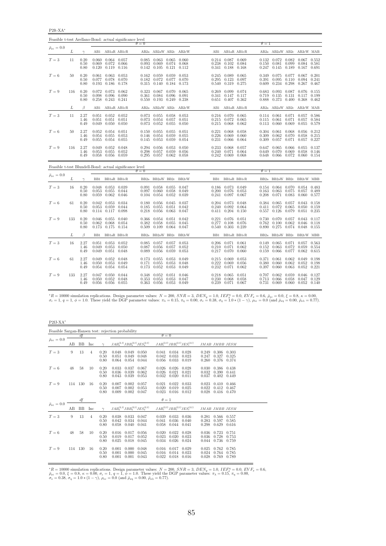P2ft-XA<sup>∗</sup>

| Feasible t-test Arellano-Bond: actual significance level |     |                      |                         |                                                                       |                        |                         |                                                         |                         |                         |                         |                                                                               |                         |                         |                                         |                         |                                                                       |                |
|----------------------------------------------------------|-----|----------------------|-------------------------|-----------------------------------------------------------------------|------------------------|-------------------------|---------------------------------------------------------|-------------------------|-------------------------|-------------------------|-------------------------------------------------------------------------------|-------------------------|-------------------------|-----------------------------------------|-------------------------|-----------------------------------------------------------------------|----------------|
| $\bar{\rho}_{x\varepsilon}=0.0$                          |     |                      |                         |                                                                       |                        | $\theta = 0$            |                                                         |                         |                         |                         |                                                                               |                         | $\theta = 1$            |                                         |                         |                                                                       |                |
|                                                          | L   | $\gamma$             |                         | AB1 AB1aR AB1cR                                                       |                        |                         |                                                         |                         | AB2a AB2aW AB2c AB2cW   |                         | AB1 AB1aR AB1cR                                                               |                         |                         |                                         |                         | AB2a AB2aW AB2c AB2cW MAB                                             |                |
| $T=3$                                                    | 11  | 0.20<br>0.50<br>0.80 | 0.069<br>0.120          | $0.060$ $0.064$ $0.057$<br>$0.119$ $0.116$                            | 0.072 0.066            | 0.085<br>0.093<br>0.142 | $0.063$ $0.065$ $0.060$<br>0.069<br>0.105               | 0.074<br>0.121          | 0.068<br>0.112          |                         | 0.214 0.087 0.069<br>0.238 0.102 0.084<br>0.341 0.188                         | 0.168                   | 0.132<br>0.150<br>0.247 | 0.072<br>0.081<br>0.145                 | 0.082<br>0.099<br>0.189 | $0.067$ $0.552$<br>0.084 0.581<br>$0.167$ 0.691                       |                |
| $T=6$                                                    | 50  | 0.20<br>0.50<br>0.80 | 0.061<br>0.077<br>0.193 | $0.063$ $0.053$<br>0.078<br>0.186                                     | 0.070<br>0.178         | 0.162<br>0.182<br>0.315 | 0.059<br>0.072 0.077<br>0.140                           | 0.059<br>0.184          | 0.053<br>0.070<br>0.173 | 0.295                   | $0.245$ $0.089$ $0.065$<br>$0.123$ 0.097<br>0.540 0.319 0.275                 |                         | 0.391<br>0.609          | 0.349 0.075<br>0.095<br>0.234           | 0.077<br>0.110<br>0.298 | $0.067$ $0.201$<br>$0.094$ $0.241$<br>$0.267$ 0.467                   |                |
| $T=9$                                                    | 116 | 0.20<br>0.50<br>0.80 | 0.072<br>0.098<br>0.258 | 0.073<br>0.096<br>$0.243$ $0.241$                                     | 0.062<br>0.090         | 0.323<br>0.361<br>0.550 | $0.067$ 0.070<br>0.084<br>0.193 0.249                   | 0.096                   | 0.065<br>0.091<br>0.238 |                         | $0.269$ $0.099$ $0.074$<br>$0.341$ $0.147$ $0.117$<br>$0.651$ $0.407$ $0.362$ |                         | 0.683<br>0.719<br>0.888 | 0.093<br>0.135<br>0.373                 | 0.087<br>0.131<br>0.400 | $0.076$ 0.155<br>0.117<br>0.368                                       | 0.199<br>0.462 |
|                                                          | L   | $\beta$              | AB1                     | AB1aR AB1cR                                                           |                        |                         |                                                         |                         | AB2a AB2aW AB2c AB2cW   | AB1                     | AB1aR AB1cR                                                                   |                         |                         |                                         |                         | AB2a AB2aW AB2c AB2cW MAB                                             |                |
| $T=3$                                                    | 11  | 2.27<br>1.46<br>0.49 | 0.051<br>0.049          | $0.051$ $0.052$ $0.052$<br>$0.051$ $0.051$<br>$0.050$ $0.050$         |                        | 0.073<br>0.073<br>0.073 | 0.055 0.058<br>0.054<br>0.052                           | 0.057<br>0.055          | 0.053<br>0.051<br>0.050 |                         | $0.216$ $0.070$ $0.065$<br>$0.215$ $0.072$ $0.065$<br>$0.215$ $0.068$ $0.062$ |                         | 0.115                   | 0.061<br>$0.113$ $0.060$                | 0.071<br>0.069          | $0.114$ $0.061$ $0.071$ $0.057$ $0.586$<br>0.057 0.584<br>0.055 0.579 |                |
| $T=6$                                                    | 50  | 2.27<br>1.46<br>0.49 | 0.052<br>0.054<br>0.055 | $0.054$ $0.051$<br>0.055<br>$0.054$ $0.055$                           | 0.053                  | 0.150<br>0.146<br>0.145 | 0.055 0.055<br>0.054<br>0.053                           | 0.059<br>0.059          | 0.051<br>0.055<br>0.054 | 0.221<br>0.226<br>0.231 | 0.068<br>0.069<br>0.066                                                       | 0.058<br>0.060<br>0.064 | 0.309<br>0.309          | $0.304$ $0.061$<br>0.062<br>0.057       | 0.068<br>0.070<br>0.071 | $0.056$ $0.212$<br>0.058<br>0.057                                     | 0.215<br>0.227 |
| $T=9$                                                    | 116 | 2.27<br>1.46<br>0.49 | 0.049<br>0.053<br>0.058 | 0.055<br>0.056 0.059                                                  | $0.052$ 0.048<br>0.052 | 0.294<br>0.298          | 0.056 0.053<br>0.057<br>$0.295$ $0.057$ $0.062$ $0.058$ | 0.059                   | 0.050<br>0.056          |                         | 0.233 0.068 0.057<br>$0.240$ $0.071$<br>$0.242$ $0.069$ $0.068$               | 0.064                   | 0.649                   | $0.647$ 0.065<br>0.070<br>$0.648$ 0.066 | 0.066<br>0.069<br>0.072 | $0.055$ 0.137<br>0.058<br>0.060                                       | 0.146<br>0.154 |
| Feasible t-test Blundell-Bond: actual significance level |     |                      |                         |                                                                       |                        | $\theta = 0$            |                                                         |                         |                         |                         |                                                                               |                         | $\theta = 1$            |                                         |                         |                                                                       |                |
| $\bar{\rho}_{x\varepsilon}=0.0$                          | L   | $\gamma$             |                         | BB1 BB1aR BB1cR                                                       |                        |                         |                                                         |                         | BB2a BB2aW BB2c BB2cW   |                         | BB1 BB1aR BB1cR                                                               |                         |                         |                                         |                         | BB2a BB2aW BB2c BB2cW MBB                                             |                |
| $T=3$                                                    | 16  | 0.20<br>0.50<br>0.80 | 0.053<br>0.059          | $0.048$ $0.053$ $0.039$<br>0.055                                      | 0.044<br>$0.062$ 0.046 | 0.097<br>0.104          | $0.091$ $0.058$ $0.055$ $0.047$<br>0.060<br>0.054       | 0.058<br>0.052          | 0.049<br>0.039          | 0.200                   | 0.186 0.073 0.049<br>0.076<br>$0.241$ $0.097$ $0.067$                         | 0.053                   | 0.163<br>0.208          | 0.154 0.064 0.070<br>0.063<br>0.071     | 0.075<br>0.083          | 0.054 0.483<br>0.057<br>0.060                                         | 0.489<br>0.577 |
| $T=6$                                                    | 61  | 0.20<br>0.50<br>0.80 | 0.042<br>0.053<br>0.114 | 0.053 0.034<br>0.059<br>0.117 0.098                                   | 0.044                  | 0.180<br>0.185<br>0.218 | $0.056$ $0.045$ $0.037$<br>0.055<br>0.056               | 0.051<br>0.063          | 0.042<br>0.047          |                         | $0.204$ $0.073$ $0.048$<br>$0.240$ $0.092$ $0.064$<br>$0.411$ $0.204$ $0.150$ |                         | 0.557                   | 0.384 0.065<br>0.411 0.072<br>0.126     | 0.057<br>0.065<br>0.079 | $0.043$ $0.158$<br>$0.050 \quad 0.159$<br>$0.051$ $0.235$             |                |
| $T=9$                                                    | 133 | 0.20<br>0.50<br>0.80 | 0.046<br>0.062<br>0.173 | $0.055$ 0.040<br>0.068<br>0.175                                       | 0.054<br>0.154         | 0.366<br>0.382<br>0.509 | 0.054<br>0.058<br>0.109                                 | 0.051<br>0.055<br>0.064 | 0.042<br>0.045<br>0.047 | 0.277                   | $0.221$ $0.076$ $0.051$<br>0.108<br>$0.540$ $0.303$ $0.239$                   | 0.076                   | 0.730<br>0.762<br>0.890 | 0.070<br>0.100<br>0.275                 | 0.057<br>0.062<br>0.074 | $0.043$ $0.117$<br>0.046<br>0.048 0.155                               | 0.118          |
|                                                          | L   | $\beta$              | BB1                     | BB1aR BB1cR                                                           |                        |                         |                                                         |                         | BB2a BB2aW BB2c BB2cW   | BB1                     | BB1aR BB1cR                                                                   |                         |                         |                                         |                         | BB2a BB2aW BB2c BB2cW MBB                                             |                |
| $T=3$                                                    | 16  | 2.27<br>1.46<br>0.49 | 0.049                   | $0.051$ $0.053$ $0.052$<br>$0.053$ $0.050$<br>$0.049$ $0.051$ $0.048$ |                        | 0.085<br>0.087<br>0.089 | 0.057 0.057<br>0.056<br>0.056 0.059                     | 0.057                   | 0.053<br>0.052<br>0.053 |                         | $0.206$ $0.071$ $0.061$<br>0.210 0.071 0.062<br>$0.217$ $0.070$ $0.060$       |                         | 0.149<br>0.152<br>0.159 | 0.063<br>0.066                          | 0.072<br>0.077          | $0.065$ $0.071$ $0.057$ $0.563$<br>0.059 0.554<br>$0.062$ $0.615$     |                |
| $T=6$                                                    | 61  | 2.27<br>1.46<br>0.49 | 0.049<br>0.050<br>0.054 | 0.052<br>0.053<br>0.054 0.054                                         | 0.048<br>0.049         | 0.173<br>0.171<br>0.173 | 0.055<br>0.055<br>0.052                                 | 0.053<br>0.053<br>0.053 | 0.049<br>0.048<br>0.049 | 0.222                   | $0.215$ 0.069<br>0.069<br>$0.232$ $0.071$ $0.062$                             | 0.053<br>0.056          | 0.371<br>0.380<br>0.397 | 0.061<br>0.060<br>0.060                 | 0.062<br>0.062<br>0.063 | $0.049$ $0.198$<br>0.052<br>0.052                                     | 0.198<br>0.221 |
| $T=9$                                                    | 133 | 2.27<br>1.46<br>0.49 | 0.047<br>0.050          | 0.050 0.044<br>0.052<br>$0.056$ $0.056$ $0.055$                       | 0.048                  | 0.348<br>0.353<br>0.363 | 0.052<br>0.053<br>$0.056$ 0.053                         | 0.051<br>0.053          | 0.046<br>0.047<br>0.049 |                         | $0.218$ $0.065$ $0.051$<br>$0.230$ $0.068$<br>0.239 0.071 0.067               | 0.058                   | 0.707<br>0.713          | 0.062<br>0.066<br>0.731 0.069           | 0.059<br>0.058<br>0.060 | $0.046$ $0.127$<br>0.047<br>$0.052$ $0.140$                           | 0.129          |

 ${}^*R = 10000$  simulation replications. Design parameter values:  $N = 200$ ,  $SNR = 3$ ,  $DEN_y = 1.0$ ,  $IEF''_x = 0.0$ ,  $EVF_x = 0.6$ ,  $\bar{\rho}_{xx} = 0.0$ ,  $\xi = 0.8$ ,  $\kappa = 0.00$ ,  $\sigma_{\varepsilon} = 1$ ,  $q = 1$ ,  $\phi = 1.0$ . These yield the DGP paramet

P2fJ-XA<sup>∗</sup>

| Feasible Sargan-Hansen test: rejection probability |     |     |     |                      |                         |                         |                                           |                         |                         |                                           |                         |                               |                         |  |
|----------------------------------------------------|-----|-----|-----|----------------------|-------------------------|-------------------------|-------------------------------------------|-------------------------|-------------------------|-------------------------------------------|-------------------------|-------------------------------|-------------------------|--|
|                                                    |     | df  |     |                      |                         |                         |                                           | $\theta = 0$            |                         |                                           |                         |                               |                         |  |
| $\bar{\rho}_{x\varepsilon}=0.0$                    | AВ  | BB  | Inc | $\sim$               |                         |                         | $JAB_a^{(2,1)}JBB_a^{(2,1)}JES_a^{(2,1)}$ |                         |                         | $JAB_c^{(2,1)}JBB_c^{(2,1)}JES_c^{(2,1)}$ | JMAB JMBB JESM          |                               |                         |  |
| $T=3$                                              | 9   | 13  | 4   | 0.20<br>0.50<br>0.80 | 0.048<br>0.051<br>0.064 | 0.049<br>0.049<br>0.054 | 0.050<br>0.048<br>0.044                   | 0.041<br>0.042<br>0.056 | 0.034<br>0.033<br>0.033 | 0.028<br>0.023<br>0.019                   | 0.249<br>0.247<br>0.260 | 0.306<br>0.327<br>0.376       | 0.303<br>0.325<br>0.374 |  |
| $T=6$                                              | 48  | 58  | 10  | 0.20<br>0.50<br>0.80 | 0.033<br>0.036<br>0.043 | 0.037<br>0.039<br>0.039 | 0.067<br>0.062<br>0.053                   | 0.026<br>0.026<br>0.032 | 0.026<br>0.021<br>0.020 | 0.028<br>0.021<br>0.011                   | 0.030<br>0.032<br>0.037 | 0.386 0.438<br>0.390<br>0.402 | 0.441<br>0.449          |  |
| $T=9$                                              | 114 | 130 | 16  | 0.20<br>0.50<br>0.80 | 0.007<br>0.007<br>0.009 | 0.002<br>0.002<br>0.002 | 0.057<br>0.053<br>0.047                   | 0.021<br>0.020<br>0.023 | 0.022<br>0.019<br>0.016 | 0.033<br>0.025<br>0.012                   | 0.023<br>0.022<br>0.028 | 0.410<br>0.412<br>0.416       | 0.466<br>0.467<br>0.470 |  |
|                                                    |     | df  |     |                      |                         |                         |                                           | $\theta = 1$            |                         |                                           |                         |                               |                         |  |
| $\bar{\rho}_{x\varepsilon}=0.0$                    | AВ  | BB  | Inc | $\gamma$             |                         |                         | $JAB_a^{(2,1)}JBB_a^{(2,1)}JES_a^{(2,1)}$ |                         |                         | $JAB_c^{(2,1)}JBB_c^{(2,1)}JES_c^{(2,1)}$ |                         | JMAB JMBB JESM                |                         |  |
| $T=3$                                              | 9   | 13  | 4   | 0.20<br>0.50<br>0.80 | 0.038<br>0.042<br>0.058 | 0.033<br>0.034<br>0.040 | 0.047<br>0.044<br>0.041                   | 0.039<br>0.041<br>0.058 | 0.033<br>0.036<br>0.044 | 0.036<br>0.040<br>0.041                   | 0.281<br>0.283<br>0.298 | 0.566<br>0.597<br>0.629       | 0.557<br>0.585<br>0.616 |  |
| $T=6$                                              | 48  | 58  | 10  | 0.20<br>0.50<br>0.80 | 0.016<br>0.019<br>0.025 | 0.017<br>0.017<br>0.018 | 0.056<br>0.052<br>0.045                   | 0.020<br>0.023<br>0.034 | 0.022<br>0.020<br>0.026 | 0.028<br>0.023<br>0.024                   | 0.036<br>0.036<br>0.044 | 0.723<br>0.728<br>0.736       | 0.751<br>0.753<br>0.759 |  |
| $T=9$                                              | 114 | 130 | 16  | 0.20<br>0.50<br>0.80 | 0.001<br>0.001<br>0.001 | 0.000<br>0.000<br>0.001 | 0.048<br>0.045<br>0.043                   | 0.016<br>0.016<br>0.022 | 0.017<br>0.014<br>0.018 | 0.029<br>0.023<br>0.016                   | 0.025<br>0.024<br>0.028 | 0.762<br>0.764<br>0.769 0.789 | 0.785<br>0.785          |  |

 ${}^*R = 10000$  simulation replications. Design parameter values:  $N = 200$ ,  $SNR = 3$ ,  $DEN_y = 1.0$ ,  $IEF_x^{\eta} = 0.0$ ,  $EVF_x = 0.6$ ,  $\bar{\rho}_{xe} = 0.0$ ,  $\xi = 0.8$ ,  $\kappa = 0.00$ ,  $\sigma_{\varepsilon} = 1$ ,  $q = 1$ ,  $\phi = 1.0$ . These yield the DGP param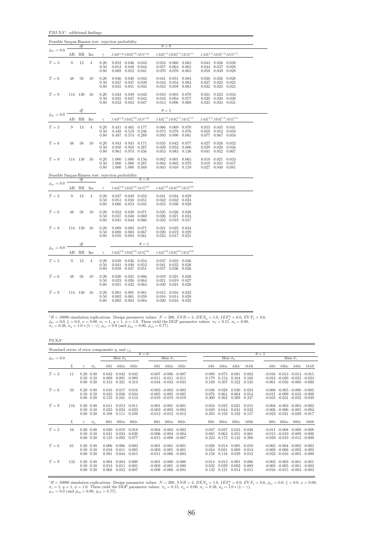P2fJ-XA<sup>∗</sup> : additional findings

|                                 |     |           |                |              | Feasible Sargan-Hansen test: rejection probability  |                                                              |                                                         |  |
|---------------------------------|-----|-----------|----------------|--------------|-----------------------------------------------------|--------------------------------------------------------------|---------------------------------------------------------|--|
| $\bar{\rho}_{x\varepsilon}=0.0$ |     | df        |                |              |                                                     | $\theta = 0$                                                 |                                                         |  |
|                                 | AВ  | <b>BB</b> | Inc            | $\gamma$     | $JAB^{(1,0)}JBB^{(1,0)}_aJES^{(1,0)}$               | $JAB_a^{(1,1)}JBB_a^{(1,1)}JES_a^{(1,1)}$                    | $JAB_c^{(1,1)}JBB_c^{(1,1)}JES_c^{(1,1)}$               |  |
| $T=3$                           | 9   | 13        | $\overline{4}$ | 0.20         | $0.052$ $0.046$ $0.043$                             | $0.060$ $0.065$<br>0.053                                     | 0.043 0.036 0.030                                       |  |
|                                 |     |           |                | 0.50<br>0.80 | 0.054 0.048 0.044<br>0.069<br>0.052<br>0.041        | 0.057<br>0.064<br>0.065<br>0.070<br>0.070<br>0.063           | 0.044<br>$0.037$ 0.028<br>0.039<br>0.058<br>0.028       |  |
| $T=6$                           | 48  | 58        | 10             | 0.20         | 0.046<br>0.048<br>0.043                             | 0.041<br>0.051<br>0.084                                      | 0.026<br>0.026<br>0.028                                 |  |
|                                 |     |           |                | 0.50<br>0.80 | 0.047<br>0.047<br>0.039<br>0.051<br>0.055<br>0.042  | 0.043<br>0.054<br>0.083<br>$\,0.052\,$<br>0.059<br>0.081     | 0.027<br>0.023<br>0.025<br>0.032<br>0.025<br>0.025      |  |
|                                 |     |           |                |              |                                                     |                                                              |                                                         |  |
| $T=9$                           | 114 | 130       | 16             | 0.20<br>0.50 | 0.049 0.042<br>0.043<br>0.045<br>0.047<br>0.043     | $0.010 \quad 0.005$<br>0.078<br>$0.010 \quad 0.004$<br>0.077 | 0.023<br>0.021<br>0.034<br>0.020<br>$0.020 \quad 0.030$ |  |
|                                 |     |           |                | 0.80         | $0.052$ $0.053$ $0.047$                             | $0.013$ $0.006$ $0.069$                                      | $0.023$ $0.024$ $0.031$                                 |  |
| $\bar{\rho}_{x\varepsilon}=0.0$ |     | df        |                |              |                                                     | $\theta = 1$                                                 |                                                         |  |
|                                 | AВ  | BB        | Inc            | $\gamma$     | $JAB^{(1,0)}JBB_a^{(1,0)}JES^{(1,0)}$               | $JAB^{(1,1)}_aJBB^{(1,1)}_aJES^{(1,1)}_a$                    | $JAB_c^{(1,1)}JBB_c^{(1,1)}JES_c^{(1,1)}$               |  |
| $T=3$                           | 9   | 13        | $\overline{4}$ | 0.20         | 0.431<br>0.465 0.177                                | 0.066<br>0.069 0.070                                         | 0.053 0.045 0.041                                       |  |
|                                 |     |           |                | 0.50<br>0.80 | 0.448<br>0.519<br>0.246<br>0.487<br>0.574 0.289     | 0.073<br>0.078<br>0.076<br>0.090<br>0.093<br>0.081           | 0.058<br>0.052<br>0.050<br>0.077<br>0.067<br>0.058      |  |
| $T=6$                           | 48  | 58        | 10             | 0.20         | 0.943<br>0.945<br>0.171                             | 0.077<br>0.035<br>0.042                                      | 0.026<br>0.027<br>0.032                                 |  |
|                                 |     |           |                | 0.50         | 0.950<br>0.958<br>0.287                             | 0.039<br>0.052<br>0.086                                      | 0.029<br>0.028<br>0.036                                 |  |
|                                 |     |           |                | 0.80         | 0.974<br>0.961<br>0.456                             | 0.083<br>0.053<br>0.136                                      | 0.041<br>0.052<br>0.067                                 |  |
| $T=9$                           | 114 | 130       | 16             | 0.20<br>0.50 | 1.000<br>1.000 0.156<br>1.000<br>1.000 0.287        | 0.001<br>0.002<br>0.065<br>0.003<br>0.002<br>0.070           | 0.018<br>0.021<br>0.033<br>0.019<br>0.021<br>0.037      |  |
|                                 |     |           |                | 0.80         | 1.000<br>1.000 0.569                                | 0.003<br>$0.010 \quad 0.159$                                 | 0.027<br>$0.040$ $0.081$                                |  |
|                                 |     |           |                |              | Feasible Sargan-Hansen test: rejection probability  |                                                              |                                                         |  |
| $\bar{\rho}_{x\epsilon}=0.0$    |     | df        |                |              | $\theta = 0$                                        |                                                              |                                                         |  |
|                                 | AВ  | ΒB        | Inc            | $\gamma$     | $JAB_a^{(2,2)}JBB_a^{(2,2)}JES_a^{(2,2)}$           | $JAB_c^{(2,2)}JBB_c^{(2,2)}JES_c^{(2,2)}$                    |                                                         |  |
| $T=3$                           | 9   | 13        | $\overline{4}$ |              | $0.047$ $0.049$ $0.052$                             | $0.041$ $0.034$ $0.029$                                      |                                                         |  |
|                                 |     |           |                | 0.20         |                                                     |                                                              |                                                         |  |
|                                 |     |           |                | 0.50<br>0.80 | 0.051<br>0.051<br>0.050<br>0.053<br>0.066<br>0.045  | 0.042<br>0.032<br>0.024<br>0.030<br>0.055<br>0.020           |                                                         |  |
| $T=6$                           | 48  | 58        | 10             |              | 0.039<br>0.033<br>0.071                             | 0.025<br>0.026<br>0.028                                      |                                                         |  |
|                                 |     |           |                | 0.20<br>0.50 | 0.040<br>0.069<br>0.037                             | 0.026<br>0.021<br>0.024                                      |                                                         |  |
|                                 |     |           |                | 0.80         | 0.045<br>0.044<br>0.060                             | 0.032<br>0.019<br>0.017                                      |                                                         |  |
| $T=9$                           | 114 | 130       | 16             | 0.20<br>0.50 | 0.009<br>0.003<br>0.071<br>0.008<br>0.003<br>0.067  | 0.022<br>0.021<br>0.034<br>0.020<br>0.019<br>0.029           |                                                         |  |
|                                 |     |           |                | 0.80         | $0.010$ $0.004$ $0.061$                             | $0.023$ $0.017$ $0.021$                                      |                                                         |  |
|                                 |     | df        |                |              | $\theta = 1$                                        |                                                              |                                                         |  |
| $\bar{\rho}_{x\varepsilon}=0.0$ | AВ  | BB        | Inc            | $\gamma$     | $JAB_a^{(2,2)}JBB_a^{(2,2)}JES_a^{(2,2)}$           | $JAB_c^{(2,2)}JBB_c^{(2,2)}JES_c^{(2,2)}$                    |                                                         |  |
| $T=3$                           | 9   | 13        | $\overline{4}$ | 0.20         | 0.039 0.036 0.054                                   | $0.037$ $0.032$ $0.036$                                      |                                                         |  |
|                                 |     |           |                | 0.50         | 0.053<br>0.041<br>0.040                             | 0.041<br>0.032<br>0.038                                      |                                                         |  |
|                                 |     |           |                | 0.80         | 0.058<br>0.047<br>0.051                             | 0.057<br>0.036<br>0.036                                      |                                                         |  |
| $T=6$                           | 48  | 58        | 10             | 0.20<br>0.50 | 0.020<br>0.025<br>0.066<br>0.023<br>0.026<br>0.064  | 0.021<br>0.030<br>0.019<br>0.019<br>0.021<br>0.027           |                                                         |  |
|                                 |     |           |                | 0.80         | $0.032$ 0.064<br>0.031                              | 0.030<br>0.021<br>0.026                                      |                                                         |  |
| $T=9$                           | 114 | - 130     | 16             | 0.20<br>0.50 | 0.001<br>$0.001$ $0.061$<br>0.002<br>0.001<br>0.059 | 0.015<br>$0.016$ 0.032<br>0.016<br>$0.014$ $0.028$           |                                                         |  |

 ${}^*R = 10000$  simulation replications. Design parameter values:  $N = 200$ ,  $SNR = 3$ ,  $DEN_y = 1.0$ ,  $IEF_x^{\eta} = 0.0$ ,  $EVF_x = 0.6$ ,  $\bar{\rho}_{xe} = 0.0$ ,  $\xi = 0.8$ ,  $\kappa = 0.00$ ,  $\sigma_{\varepsilon} = 1$ ,  $q = 1$ ,  $\phi = 1.0$ . These yield the DGP param

P2-XA<sup>∗</sup>

| Standard errors of error components $\eta_i$ and $\varepsilon_{it}$ |     |                                                   |            |                         |                         |                         |              |                                                                                      |                          |                         |                          |                         |                         |                 |                                                                                                                   |                                 |     |
|---------------------------------------------------------------------|-----|---------------------------------------------------|------------|-------------------------|-------------------------|-------------------------|--------------|--------------------------------------------------------------------------------------|--------------------------|-------------------------|--------------------------|-------------------------|-------------------------|-----------------|-------------------------------------------------------------------------------------------------------------------|---------------------------------|-----|
|                                                                     |     |                                                   |            |                         |                         |                         | $\theta = 0$ |                                                                                      |                          |                         |                          |                         |                         | $\theta = 1$    |                                                                                                                   |                                 |     |
| $\bar{\rho}_{x\varepsilon}=0.0$                                     |     |                                                   |            |                         | Bias $\hat{\sigma}_n$   |                         |              | Bias $\hat{\sigma}_{\varepsilon}$                                                    |                          |                         | Bias $\hat{\sigma}_\eta$ |                         |                         |                 |                                                                                                                   | Bias $\hat{\sigma}_\varepsilon$ |     |
|                                                                     | L   |                                                   | $\sigma_n$ | AB1                     | AB2a                    | AB2c                    | AB1          | AB2a                                                                                 | AB2c                     | AB1                     | AB2a                     | AB2c                    | MAB                     | AB1             | AB2a                                                                                                              | AB2c                            | MAB |
| $T=3$                                                               | 11  | $0.20\ 0.80$<br>$0.50 \quad 0.50$<br>$0.80\ 0.20$ |            | 0.042<br>0.089<br>0.313 | 0.042<br>0.091<br>0.321 | 0.042<br>0.089<br>0.313 |              | $-0.007 - 0.006 - 0.007$<br>$-0.011 - 0.011 - 0.011$<br>$-0.034$ $-0.033$ $-0.033$   |                          | 0.089<br>0.179<br>0.549 | 0.075<br>0.154<br>0.507  | 0.081<br>0.164<br>0.522 | 0.082<br>0.168<br>0.535 |                 | $-0.016$ $-0.013$ $-0.014$ $-0.015$<br>$-0.024$ $-0.020$ $-0.022$ $-0.023$<br>$-0.061$ $-0.056$ $-0.060$ $-0.060$ |                                 |     |
| $T=6$                                                               | 50  | $0.20\ 0.80$<br>$0.50 \quad 0.50$<br>$0.80\ 0.20$ |            | 0.016<br>0.035<br>0.155 | 0.017<br>0.036<br>0.161 | 0.016<br>0.034<br>0.154 |              | $-0.003$ $-0.002$ $-0.003$<br>$-0.005 - 0.005 - 0.005$<br>$-0.019 - 0.019 - 0.019$   |                          | 0.036<br>0.076<br>0.300 | 0.028<br>0.061<br>0.262  | 0.030<br>0.064<br>0.269 | 0.024<br>0.054<br>0.247 |                 | $-0.006 - 0.005 - 0.006 - 0.005$<br>$-0.011 - 0.009 - 0.010 - 0.008$<br>$-0.035 - 0.031 - 0.032 - 0.030$          |                                 |     |
| $T = 9$                                                             | 116 | $0.20\ 0.80$<br>$0.50 \quad 0.50$<br>$0.80\ 0.20$ |            | 0.011<br>0.023<br>0.108 | 0.012<br>0.024<br>0.111 | 0.011<br>0.023<br>0.108 |              | $-0.001$ $-0.001$ $-0.001$<br>$-0.012$ $-0.012$ $-0.012$                             | $-0.003 - 0.003 - 0.003$ | 0.024<br>0.049<br>0.205 | 0.022<br>0.044<br>0.192  | 0.021<br>0.041<br>0.182 | 0.015<br>0.032<br>0.157 |                 | $-0.004$ $-0.003$ $-0.003$ $-0.002$<br>$-0.006$ $-0.006$ $-0.005$ $-0.004$<br>$-0.022$ $-0.021$ $-0.020$ $-0.017$ |                                 |     |
|                                                                     | L   |                                                   | $\sigma_n$ | BB1                     | BB <sub>2a</sub>        | BB2c                    | BB1          | BB <sub>2a</sub>                                                                     | BB <sub>2c</sub>         | BB1                     | BB <sub>2a</sub>         | BB <sub>2c</sub>        | <b>MBB</b>              | B <sub>B1</sub> | BB <sub>2a</sub>                                                                                                  | BB <sub>2c</sub>                | MBB |
| $T=3$                                                               | 16  | $0.20\ 0.80$<br>$0.50 \quad 0.50$<br>$0.80\ 0.20$ |            | 0.020<br>0.041<br>0.125 | 0.019<br>0.034<br>0.092 | 0.018<br>0.030<br>0.077 |              | $-0.004$ $-0.003$ $-0.003$<br>$-0.006$ $-0.004$ $-0.004$<br>$-0.015 - 0.008 - 0.007$ |                          | 0.047<br>0.085<br>0.224 | 0.037<br>0.063<br>0.172  | 0.033<br>0.051<br>0.132 | 0.038<br>0.061<br>0.206 |                 | $-0.011 - 0.008 - 0.008 - 0.008$<br>$-0.015 - 0.010 - 0.009 - 0.006$<br>$-0.029$ $-0.019$ $-0.012$ $-0.000$       |                                 |     |
| $T=6$                                                               | 61  | $0.20\ 0.80$<br>$0.50 \quad 0.50$<br>$0.80\ 0.20$ |            | 0.006<br>0.018<br>0.081 | 0.006<br>0.011<br>0.044 | 0.003<br>0.005<br>0.015 |              | $-0.001 - 0.001 - 0.001$<br>$-0.003 - 0.001 - 0.001$<br>$-0.011 - 0.006 - 0.003$     |                          | 0.020<br>0.044<br>0.158 | 0.014<br>0.031<br>0.118  | 0.005<br>0.009<br>0.029 | 0.010<br>0.014<br>0.012 |                 | $-0.005$ $-0.004$ $-0.002$ $-0.003$<br>$-0.008$ $-0.006$ $-0.002$ $-0.003$<br>$-0.022$ $-0.016$ $-0.005$ $-0.000$ |                                 |     |
| $T=9$                                                               | 133 | $0.20\ 0.80$<br>$0.50 \quad 0.50$<br>$0.80\ 0.20$ |            | 0.004<br>0.013<br>0.068 | 0.004<br>0.011<br>0.053 | 0.000<br>0.001<br>0.007 |              | $-0.001$ $-0.000$ $-0.000$<br>$-0.002 - 0.001 - 0.000$<br>$-0.008$ $-0.006$ $-0.001$ |                          | 0.014<br>0.032<br>0.132 | 0.013<br>0.029<br>0.121  | 0.001<br>0.002<br>0.014 | 0.006<br>0.009<br>0.015 |                 | $-0.003$ $-0.003$ $-0.001$ $-0.001$<br>$-0.005$ $-0.005$ $-0.001$ $-0.002$<br>$-0.016$ $-0.015$ $-0.003$ $-0.003$ |                                 |     |

 ${}^{*}R = 10000$  simulation replications. Design parameter values:  $N = 200$ ,  $SNR = 3$ ,  $DEN_y = 1.0$ ,  $IEF_x^{\eta} = 0.0$ ,  $EVF_x = 0.6$ ,  $\bar{\rho}_{xz} = 0.0$ ,  $\xi = 0.8$ ,  $\kappa = 0.00$ ,<br>  $\sigma_{\varepsilon} = 1$ ,  $q = 1$ ,  $\phi = 1.0$ . These yield the DGP par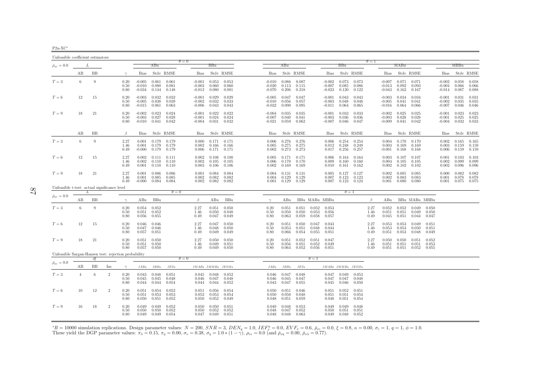| Unfeasible coefficient estimators                    |                |    |                |                      |                                  |                         |                         |                                  |                         |                         |                                  |                                   |                         |                         |                                  |                                 |                         |                      |                                  |                                 |                         |                         |                                  |                                 |                         |
|------------------------------------------------------|----------------|----|----------------|----------------------|----------------------------------|-------------------------|-------------------------|----------------------------------|-------------------------|-------------------------|----------------------------------|-----------------------------------|-------------------------|-------------------------|----------------------------------|---------------------------------|-------------------------|----------------------|----------------------------------|---------------------------------|-------------------------|-------------------------|----------------------------------|---------------------------------|-------------------------|
| $\bar{\rho}_{x\varepsilon}=0.0$                      |                | L  |                |                      |                                  | ABu                     |                         | $\theta = 0$                     | BBu                     |                         |                                  | ABu                               |                         |                         |                                  | BBu                             |                         | $\theta = 1$         |                                  | MABu                            |                         |                         |                                  | MBBu                            |                         |
|                                                      | AВ             | BB |                | $\gamma$             | <b>Bias</b>                      |                         | Stdy RMSE               | Bias                             |                         | Stdy RMSE               | Bias                             |                                   | Stdy RMSE               |                         | <b>Bias</b>                      |                                 | Stdy RMSE               |                      | Bias                             |                                 | Stdy RMSE               |                         | Bias                             |                                 | Stdy RMSE               |
| $T=3$                                                | 6              | 9  |                | 0.20<br>0.50<br>0.80 | $-0.005$<br>$-0.010$<br>$-0.034$ | 0.061<br>0.080<br>0.144 | 0.061<br>0.081<br>0.148 | $-0.001$<br>$-0.003$<br>-0.012   | 0.053<br>0.060<br>0.080 | 0.053<br>0.060<br>0.081 | $-0.010$<br>$-0.020$<br>$-0.070$ | 0.086<br>0.113<br>0.206           | 0.087<br>0.115<br>0.218 |                         | $-0.002$<br>$-0.007$<br>$-0.023$ | 0.073<br>0.085<br>0.120         | 0.073<br>0.086<br>0.122 |                      | $-0.007$<br>$-0.013$<br>$-0.043$ | 0.071<br>0.092<br>0.162         | 0.071<br>0.093<br>0.167 |                         | $-0.002$<br>$-0.004$<br>$-0.014$ | 0.058<br>0.066<br>0.087         | 0.058<br>0.066<br>0.088 |
| $T=6$                                                | 12             | 15 |                | 0.20<br>0.50<br>0.80 | $-0.003$<br>$-0.005$<br>$-0.015$ | 0.032<br>0.038<br>0.061 | 0.032<br>0.039<br>0.063 | $-0.001$<br>$-0.002$<br>$-0.006$ | 0.029<br>0.032<br>0.043 | 0.029<br>0.033<br>0.043 | $-0.005$<br>$-0.010$<br>$-0.032$ | 0.047<br>0.056<br>0.090           | 0.047<br>0.057<br>0.095 |                         | $-0.001$<br>$-0.003$<br>$-0.011$ | 0.043<br>0.048<br>0.064         | 0.043<br>0.048<br>0.065 |                      | $-0.003$<br>$-0.005$<br>$-0.016$ | 0.034<br>0.041<br>0.064         | 0.034<br>0.041<br>0.066 |                         | $-0.001$<br>$-0.002$<br>$-0.007$ | 0.031<br>0.035<br>0.046         | 0.031<br>0.035<br>0.046 |
| $T=9$                                                | 18             | 21 |                | 0.20<br>0.50<br>0.80 | $-0.002$<br>$-0.003$<br>$-0.010$ | 0.023<br>0.027<br>0.041 | 0.024<br>0.028<br>0.042 | $-0.001$<br>$-0.001$<br>$-0.004$ | 0.022<br>0.024<br>0.031 | 0.022<br>0.024<br>0.032 | $-0.004$<br>$-0.007$<br>$-0.021$ | 0.035<br>0.040<br>0.059           | 0.035<br>0.041<br>0.062 |                         | $-0.001$<br>$-0.003$<br>$-0.007$ | 0.033<br>0.036<br>0.046         | 0.033<br>0.036<br>0.047 |                      | $-0.002$<br>$-0.003$<br>$-0.009$ | 0.025<br>0.028<br>0.041         | 0.025<br>0.028<br>0.042 |                         | $-0.001$<br>$-0.001$<br>$-0.004$ | 0.023<br>0.025<br>0.032         | 0.023<br>0.025<br>0.033 |
|                                                      | AB             | BB |                | $\beta$              | <b>Bias</b>                      |                         | Stdy RMSE               | Bias                             |                         | Stdy RMSE               | Bias                             |                                   | Stdv RMSE               |                         | <b>Bias</b>                      |                                 | Stdy RMSE               |                      | Bias                             |                                 | Stdy RMSE               |                         | Bias                             |                                 | Stdv RMSE               |
| $T=3$                                                | 6              | 9  |                | 2.27<br>1.46<br>0.49 | 0.001<br>0.001<br>$-0.000$       | 0.179<br>0.179<br>0.179 | 0.179<br>0.179<br>0.179 | 0.000<br>0.002<br>0.006          | 0.171<br>0.166<br>0.171 | 0.171<br>0.166<br>0.171 | 0.006<br>0.005<br>0.002          | 0.276<br>0.275<br>0.273           | 0.276<br>0.275<br>0.273 |                         | 0.006<br>0.012                   | 0.254<br>0.248<br>$0.017$ 0.256 | 0.254<br>0.249<br>0.257 |                      | 0.004<br>0.003<br>$-0.001$       | 0.170<br>0.169<br>0.168         | 0.170<br>0.169<br>0.168 |                         | 0.002<br>0.003                   | 0.165<br>0.159<br>$0.006$ 0.159 | 0.165<br>0.159<br>0.159 |
| $T=6$                                                | 12             | 15 |                | 2.27<br>1.46<br>0.49 | 0.002<br>0.002<br>0.001          | 0.111<br>0.110<br>0.110 | 0.111<br>0.110<br>0.110 | 0.002<br>0.002<br>0.003          | 0.108<br>0.105<br>0.106 | 0.108<br>0.105<br>0.106 | 0.005<br>0.006<br>0.002          | 0.171<br>0.170<br>0.169           | 0.171<br>0.170<br>0.169 |                         | 0.006<br>0.009<br>0.010          | 0.164<br>0.160<br>0.161         | 0.164<br>0.160<br>0.162 |                      | 0.003<br>0.004<br>0.002          | 0.107<br>0.105<br>0.102         | 0.107<br>0.105<br>0.102 |                         | 0.001<br>0.002<br>0.002          | 0.103<br>0.099<br>0.096         | 0.103<br>0.099<br>0.096 |
| $T=9$                                                | 18             | 21 |                | 2.27<br>1.46<br>0.49 | 0.001<br>0.001<br>$-0.000$       | 0.086<br>0.085<br>0.084 | 0.086<br>0.085<br>0.084 | 0.001<br>0.002<br>0.002          | 0.084<br>0.082<br>0.082 | 0.084<br>0.082<br>0.082 | 0.004<br>0.004                   | 0.131<br>0.129<br>$0.001$ $0.129$ | 0.131<br>0.129<br>0.129 |                         | 0.005<br>0.007<br>0.007          | 0.127<br>0.123<br>0.123         | 0.127<br>0.123<br>0.124 |                      | 0.002<br>0.002                   | 0.085<br>0.083<br>$0.001$ 0.080 | 0.085<br>0.083<br>0.080 |                         | 0.000<br>0.001                   | 0.082<br>0.078<br>$0.001$ 0.075 | 0.082<br>0.078<br>0.075 |
| Unfeasible t-test: actual significance level         |                | L  |                |                      |                                  |                         | $\theta = 0$            |                                  |                         |                         |                                  |                                   |                         |                         |                                  | $\theta=1$                      |                         |                      |                                  |                                 |                         |                         |                                  |                                 |                         |
| $\bar{\rho}_{x\varepsilon}=0.0$                      | AВ             | BB |                | $\gamma$             | ABu                              | BBu                     |                         | β                                | ABu                     | BBu                     | $\gamma$                         | ABu                               |                         |                         | BBu MABu MBBu                    |                                 |                         | $\beta$              | ABu                              |                                 |                         | BBu MABu MBBu           |                                  |                                 |                         |
| $T=3$                                                | 6              | 9  |                | 0.20<br>0.50<br>0.80 | 0.054<br>0.051<br>0.056          | 0.052<br>0.052<br>0.055 |                         | 2.27<br>1.46<br>0.49             | 0.051<br>0.050<br>0.047 | 0.050<br>0.048<br>0.049 | 0.20<br>0.50<br>0.80             | 0.051<br>0.050<br>0.063           | 0.051<br>0.050<br>0.059 | 0.052<br>0.053<br>0.058 | 0.053<br>0.056<br>0.057          |                                 |                         | 2.27<br>1.46<br>0.49 | 0.052<br>0.051<br>0.045          | 0.052<br>0.051<br>0.051         | 0.049<br>0.049<br>0.044 | 0.050<br>0.050<br>0.047 |                                  |                                 |                         |
| $T=6$                                                | 12             | 15 |                | 0.20<br>0.50<br>0.80 | 0.046<br>0.047<br>0.057          | 0.046<br>0.046<br>0.051 |                         | 2.27<br>1.46<br>0.49             | 0.047<br>0.048<br>0.049 | 0.050<br>0.050<br>0.049 | 0.20<br>0.50<br>0.80             | 0.051<br>0.053<br>0.066           | 0.050<br>0.051<br>0.054 | 0.047<br>0.048<br>0.055 | 0.043<br>0.044<br>0.051          |                                 |                         | 2.27<br>1.46<br>0.49 | 0.053<br>0.053<br>0.051          | 0.053<br>0.054<br>0.053         | 0.049<br>0.050<br>0.048 | 0.051<br>0.051<br>0.049 |                                  |                                 |                         |
| $T=9$                                                | 18             | 21 |                | 0.20<br>0.50<br>0.80 | 0.051<br>0.051<br>0.057          | 0.050<br>0.050<br>0.050 |                         | 2.27<br>1.46<br>0.49             | 0.050<br>0.049<br>0.049 | 0.050<br>0.051<br>0.050 | 0.20<br>0.50<br>0.80             | 0.051<br>0.056<br>0.064           | 0.052<br>0.051<br>0.052 | 0.051<br>0.052<br>0.056 | 0.047<br>0.049<br>0.051          |                                 |                         | 2.27<br>1.46<br>0.49 | 0.050<br>0.051<br>0.051          | 0.050<br>0.051<br>0.051         | 0.051<br>0.051<br>0.052 | 0.052<br>0.053<br>0.055 |                                  |                                 |                         |
| Unfeasible Sargan-Hansen test: rejection probability |                |    |                |                      |                                  |                         |                         | $\theta = 0$                     |                         |                         |                                  |                                   |                         | $\theta = 1$            |                                  |                                 |                         |                      |                                  |                                 |                         |                         |                                  |                                 |                         |
| $\bar{\rho}_{x\varepsilon}=0.0$                      | AВ             | BB | Inc            | $\gamma$             | JABu                             | JBBu                    | JESu                    |                                  |                         | JMABu JMMBu JESMu       | JABu                             | $JBBu$                            | JESu                    |                         | $JMABu\ JMMBu\ JESMu$            |                                 |                         |                      |                                  |                                 |                         |                         |                                  |                                 |                         |
| $T=3$                                                | $\overline{4}$ | 6  | $\overline{2}$ | 0.20<br>0.50<br>0.80 | 0.043<br>0.045<br>0.044          | 0.048<br>0.045<br>0.044 | 0.051<br>0.048<br>0.054 | 0.045<br>0.046<br>0.044          | 0.048<br>0.047<br>0.044 | 0.052<br>0.048<br>0.052 | 0.046<br>0.046<br>0.043          | 0.047<br>0.045<br>0.047           | 0.048<br>0.047<br>0.055 |                         | 0.047<br>0.047<br>0.045          | 0.049<br>0.047<br>0.046         | 0.053<br>0.048<br>0.050 |                      |                                  |                                 |                         |                         |                                  |                                 |                         |
| $T=6$                                                | 10             | 12 | 2              | 0.20<br>0.50<br>0.80 | 0.051<br>0.051<br>0.050          | 0.054<br>0.053<br>0.051 | 0.052<br>0.053<br>0.052 | 0.051<br>0.052<br>0.050          | 0.056<br>0.053<br>0.052 | 0.054<br>0.054<br>0.049 | 0.050<br>0.050<br>0.048          | 0.051<br>0.050<br>0.051           | 0.046<br>0.048<br>0.059 |                         | 0.051<br>0.051<br>0.048          | 0.052<br>0.051<br>0.051         | 0.051<br>0.054<br>0.054 |                      |                                  |                                 |                         |                         |                                  |                                 |                         |
| $T=9$                                                | 16             | 18 | $\overline{2}$ | 0.20<br>0.50<br>0.80 | 0.049<br>0.050<br>0.049          | 0.049<br>0.050<br>0.049 | 0.052<br>0.052<br>0.054 | 0.050<br>0.050<br>0.047          | 0.050<br>0.052<br>0.049 | 0.051<br>0.052<br>0.051 | 0.049<br>0.048<br>0.048          | 0.048<br>0.047<br>0.048           | 0.053<br>0.052<br>0.063 |                         | 0.049<br>0.050<br>0.049          | 0.049<br>0.051<br>0.048         | 0.048<br>0.051<br>0.052 |                      |                                  |                                 |                         |                         |                                  |                                 |                         |

 ${}^*R = 10000$  simulation replications. Design parameter values:  $N = 200$ ,  $SNR = 3$ ,  $DEN_y = 1.0$ ,  $IEF_x^{\eta} = 0.0$ ,  $EVF_x = 0.6$ ,  $\bar{\rho}_{xc} = 0.0$ ,  $\xi = 0.8$ ,  $\kappa = 0.00$ ,  $\sigma_{\varepsilon} = 1$ ,  $q = 1$ ,  $\phi = 1.0$ .<br>These yield the DGP param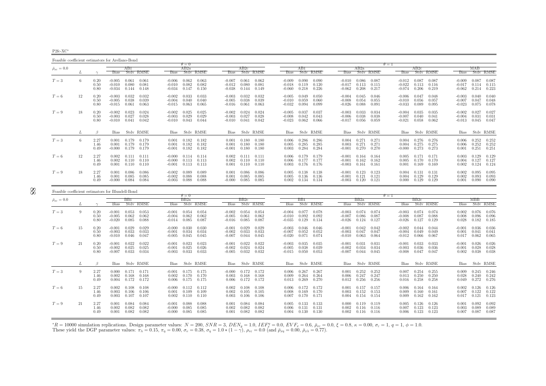P<sub>2fc</sub>-XC<sup>∗</sup>

Feasible coefficient estimators for Arellano-Bond $\theta = 0$  $AB2a$  $\theta = 1$ <br>a  $\theta = 1$  $\bar{\rho}_{x\varepsilon}=0.0$  $_{\varepsilon}$  = 0.0  $_{\varepsilon}$   $_{\varepsilon}$   $_{\varepsilon}$   $_{\varepsilon}$   $_{\varepsilon}$   $_{\varepsilon}$   $_{\varepsilon}$   $_{\varepsilon}$   $_{\varepsilon}$   $_{\varepsilon}$   $_{\varepsilon}$   $_{\varepsilon}$   $_{\varepsilon}$   $_{\varepsilon}$   $_{\varepsilon}$   $_{\varepsilon}$   $_{\varepsilon}$   $_{\varepsilon}$   $_{\varepsilon}$   $_{\varepsilon}$   $_{\varepsilon}$   $_{\varepsilon}$   $_{\varepsilon}$ L  $\gamma$  Bias Stdv RMSE Bias Stdv RMSE Bias Stdv RMSE Bias Stdv RMSE Bias Stdv RMSE Bias Stdv RMSE Bias Stdv RMSE0.087  $T=3$  $T=3$  6 0.20 -0.005 0.061 0.061 -0.006 0.062 0.063 -0.007 0.061 0.062 -0.009 0.090 0.090 -0.010 0.086 0.087 -0.012 0.087 0.087 -0.009 0.087 0.087 0.087 0.087 0.087 0.087 0.087 0.087 0.087 0.087 0.087 0.087 0.087 0.087 0.0  $0.50$  - $0.010$   $0.080$   $0.081$  -0.010  $0.082$   $0.082$  -0.012  $0.080$   $0.081$  -0.018  $0.119$   $0.120$  -0.017  $0.115$  -0.022  $0.113$   $0.116$  -0.017  $0.114$   $0.115$  $0.214$   $0.223$ 0.80 -0.034 0.144 0.148 -0.034 0.147 0.150 -0.038 0.144 0.149 -0.060 0.218 0.226 -0.062 0.208 0.217 -0.074 0.206 0.219 -0.062 0.214 0.223 $0.040$  $T=6$  $T=6$   $12$   $0.20$   $-0.003$   $0.032$   $0.032$   $-0.002$   $0.033$   $0.033$   $-0.003$   $0.032$   $0.032$   $-0.005$   $0.032$   $-0.005$   $0.049$   $0.050$   $-0.004$   $0.045$   $0.046$   $-0.006$   $0.047$   $0.048$   $-0.003$   $0.040$   $0.040$   $-0.005$   $0$ 0.50 -0.005 0.038 0.039 -0.004 0.040 0.040 -0.005 0.038 0.039 -0.010 0.059 0.060 -0.008 0.054 0.055 -0.010 0.056 0.057 -0.007 0.047 0.0480.075 0.078  $0.80$   $-0.015$   $0.061$   $0.063$   $-0.015$   $0.063$   $0.065$   $-0.016$   $0.061$   $0.063$   $-0.032$   $0.094$   $0.099$   $-0.026$   $0.088$   $0.091$   $-0.033$   $0.089$   $0.095$   $-0.023$  $-0.002$   $0.027$   $0.027$  $T=9$  $T=9$   $18$   $0.20$   $-0.002$   $0.023$   $0.024$   $-0.002$   $0.025$   $-0.002$   $0.024$   $0.024$   $-0.003$   $0.024$   $-0.005$   $0.037$   $-0.003$   $0.033$   $0.034$   $-0.004$   $0.035$   $0.035$   $-0.002$   $0.027$   $0.025$   $-0.003$   $0.027$   $0.027$   $0$  $\begin{array}{cccccccccccccccc} 0.50 & -0.003 & 0.027 & 0.028 & -0.003 & 0.029 & 0.029 & -0.003 & 0.027 & 0.028 & -0.003 & 0.027 & 0.028 & -0.003 & 0.027 & 0.028 & -0.003 & 0.041 & 0.042 & -0.008 & 0.043 & 0.043 & -0.006 & 0.038 & 0.038 & 0.038 & -0.007 & 0.040 & 0.041 & -0.004 & \begin{array}{cccc} 0.031 & 0.031 \\ 0.045 & 0.047 \end{array}$ 0.80 -0.010 0.041 0.042 -0.010 0.043 0.044 -0.010 0.041 0.042 -0.023 0.062 0.066 -0.017 0.056 0.059 -0.021 0.058 0.062 -0.013 0.045 0.047 $L \qquad \qquad \beta$ Bias Stdv RMSE Bias Stdv RMSE Bias Stdv RMSE Bias Stdv RMSE Bias Stdv RMSE Bias Stdv RMSE Bias Stdv RMSE Bias Stdv RMSE  $0.006$   $0.252$   $0.252$  $T=3$  $T=3$   $6$   $2.27$   $0.001$   $0.179$   $0.179$   $0.001$   $0.182$   $0.182$   $0.001$   $0.180$   $0.180$   $0.006$   $0.286$   $0.286$   $0.004$   $0.271$   $0.271$   $0.004$   $0.276$   $0.276$   $0.276$   $0.006$   $0.252$   $0.252$   $0.252$   $0.252$   $0.252$   $0.2$ 1.46 0.001 0.179 0.179 0.001 0.182 0.182 0.001 0.180 0.180 0.005 0.285 0.285 0.003 0.271 0.271 0.004 0.275 0.275 0.006 0.252 0.252 $0.251$  $0.49$   $-0.000$   $0.179$   $0.179$   $-0.001$   $0.182$   $0.182$   $-0.001$   $0.180$   $0.180$   $0.003$   $0.284$   $0.284$   $-0.001$   $0.270$   $0.270$   $-0.000$   $0.273$   $0.273$   $0.001$   $0.251$   $0.251$ 0.003 0.129 0.129  $T=6$  $T=6$   $12$   $2.27$   $0.002$   $0.111$   $0.111$   $-0.000$   $0.114$   $0.114$   $0.002$   $0.111$   $0.111$   $0.006$   $0.179$   $-1.001$   $0.164$   $0.164$   $0.005$   $0.171$   $0.171$   $0.003$   $0.129$   $0.129$   $0.129$   $0.129$   $0.120$   $0.120$   $0.120$   $1.46 \qquad 0.002 \quad 0.110 \qquad 0.110 \qquad \qquad 0.000 \quad 0.113 \qquad 0.113 \qquad \qquad 0.002 \quad 0.110 \qquad 0.110 \qquad \qquad 0.006 \quad 0.177 \qquad 0.177 \qquad \qquad -0.001 \quad 0.162 \qquad 0.162 \qquad \qquad 0.005 \quad 0.170 \qquad 0.170 \qquad \qquad 0.004 \quad 0.127 \quad 0.127$ 0.124  $0.49$   $0.001$   $0.110$   $0.110$   $0.113$   $0.113$   $0.001$   $0.110$   $0.110$   $0.003$   $0.176$   $0.176$   $0.003$   $0.161$   $0.161$   $0.001$   $0.169$   $0.169$   $0.169$   $0.002$   $0.124$   $0.124$ 0.095  $T=9$  $T=9 \hspace{1cm} 18 \hspace{1cm} 2.27 \hspace{1cm} 0.001 \hspace{1cm} 0.086 \hspace{1cm} 0.086 \hspace{1cm} 0.089 \hspace{1.2cm} 0.089 \hspace{1.2cm} 0.001 \hspace{1cm} 0.086 \hspace{1.2cm} 0.005 \hspace{1.2cm} 0.005 \hspace{1.2cm} 0.005 \hspace{1.2cm} 0.138 \hspace{1.2cm} 0.138 \hspace{1.2cm} 0.123 \hspace{1.2cm}$ 1.46 0.001 0.085 0.085 -0.002 0.088 0.088 0.001 0.085 0.085 0.005 0.136 0.136 -0.001 0.121 0.121 0.004 0.129 0.129 0.002 0.093 0.093 $0.001$   $0.090$   $0.090$ 0.49 -0.000 0.084 0.084 -0.003 0.088 0.088 -0.000 0.085 0.085 0.002 0.134 0.134 -0.003 0.120 0.121 0.000 0.129 0.129 0.001 0.090 0.090

| Feasible coefficient estimators for Blundell-Bond |    |                      |                                  |                         |                         |                                  |                         |                         |                                  |                         |                         |                                  |                         |                         |                                  |                         |                                   |                                  |                         |                         |                               |                         |                                 |
|---------------------------------------------------|----|----------------------|----------------------------------|-------------------------|-------------------------|----------------------------------|-------------------------|-------------------------|----------------------------------|-------------------------|-------------------------|----------------------------------|-------------------------|-------------------------|----------------------------------|-------------------------|-----------------------------------|----------------------------------|-------------------------|-------------------------|-------------------------------|-------------------------|---------------------------------|
|                                                   |    |                      |                                  |                         |                         |                                  | $\theta = 0$            |                         |                                  |                         |                         |                                  |                         |                         |                                  |                         |                                   | $\theta = 1$                     |                         |                         |                               |                         |                                 |
| $\bar{\rho}_{x\varepsilon}=0.0$                   |    |                      |                                  | BB1                     |                         |                                  | BB2a                    |                         |                                  | BB2c                    |                         |                                  | BB1                     |                         |                                  | BB2a                    |                                   |                                  | BB2c                    |                         |                               | МВВ                     |                                 |
|                                                   |    |                      | <b>Bias</b>                      |                         | Stdy RMSE               | <b>Bias</b>                      |                         | Stdy RMSE               | <b>Bias</b>                      |                         | Stdy RMSE               | <b>Bias</b>                      |                         | Stdy RMSE               | <b>Bias</b>                      |                         | Stdy RMSE                         | <b>Bias</b>                      |                         | Stdy RMSE               | <b>Bias</b>                   |                         | Stdy RMSE                       |
| $T=3$                                             | 9  | 0.20<br>0.50<br>0.80 | $-0.001$<br>$-0.005$<br>$-0.020$ | 0.053<br>0.062<br>0.085 | 0.053<br>0.062<br>0.088 | $-0.001$<br>$-0.004$<br>$-0.014$ | 0.054<br>0.062<br>0.085 | 0.054<br>0.062<br>0.087 | $-0.002$<br>$-0.005$<br>$-0.016$ | 0.054<br>0.061<br>0.085 | 0.054<br>0.062<br>0.087 | $-0.004$<br>$-0.010$<br>$-0.035$ | 0.077<br>0.092<br>0.129 | 0.078<br>0.092<br>0.134 | $-0.003$<br>$-0.007$<br>$-0.026$ | 0.074<br>0.086<br>0.124 | 0.074<br>0.087<br>0.127           | $-0.003$<br>$-0.008$<br>$-0.026$ | 0.074<br>0.087<br>0.127 | 0.074<br>0.088<br>0.129 | 0.002<br>0.008<br>0.028       | 0.096<br>0.182          | $0.076$ 0.076<br>0.096<br>0.185 |
| $T=6$                                             | 15 | 0.20<br>0.50<br>0.80 | $-0.001$<br>$-0.003$<br>$-0.010$ | 0.029<br>0.033<br>0.046 | 0.029<br>0.033<br>0.047 | $-0.000$<br>$-0.001$<br>$-0.005$ | 0.030<br>0.034<br>0.045 | 0.030<br>0.034<br>0.045 | $-0.001$<br>$-0.002$<br>$-0.007$ | 0.029<br>0.033<br>0.044 | 0.029<br>0.033<br>0.045 | $-0.003$<br>$-0.007$<br>$-0.020$ | 0.046<br>0.052<br>0.071 | 0.046<br>0.052<br>0.074 | $-0.001$<br>$-0.003$<br>$-0.010$ | 0.042<br>0.047<br>0.063 | 0.042<br>0.047<br>0.064           | $-0.002$<br>$-0.004$<br>$-0.012$ | 0.044<br>0.049<br>0.066 | 0.044<br>0.049<br>0.067 | $-0.001$<br>0.001<br>0.017    | 0.036<br>0.041<br>0.062 | 0.036<br>0.041<br>0.065         |
| $T=9$                                             | 21 | 0.20<br>0.50<br>0.80 | $-0.001$<br>$-0.002$<br>$-0.007$ | 0.022<br>0.025<br>0.033 | 0.022<br>0.025<br>0.034 | $-0.001$<br>$-0.001$<br>$-0.003$ | 0.023<br>0.025<br>0.033 | 0.023<br>0.026<br>0.033 | $-0.001$<br>$-0.002$<br>$-0.005$ | 0.022<br>0.024<br>0.032 | 0.022<br>0.024<br>0.032 | $-0.003$<br>$-0.005$<br>$-0.015$ | 0.035<br>0.038<br>0.050 | 0.035<br>0.039<br>0.053 | $-0.001$<br>$-0.002$<br>$-0.007$ | 0.031<br>0.034<br>0.044 | 0.031<br>0.034<br>0.045           | $-0.001$<br>$-0.003$<br>$-0.008$ | 0.033<br>0.036<br>0.047 | 0.033<br>0.036<br>0.047 | $-0.001$<br>$-0.001$<br>0.002 | 0.026<br>0.028<br>0.038 | 0.026<br>0.028<br>0.038         |
|                                                   |    |                      | <b>Bias</b>                      |                         | Stdy RMSE               | Bias                             |                         | Stdv RMSE               | Bias                             |                         | Stdv RMSE               | Bias                             |                         | Stdy RMSE               | Bias                             |                         | Stdv RMSE                         | Bias                             |                         | Stdv RMSE               | <b>Bias</b>                   |                         | Stdy RMSE                       |
| $T=3$                                             | 9  | 2.27<br>1.46<br>0.49 | 0.000<br>0.002<br>0.004          | 0.171<br>0.168<br>0.172 | 0.171<br>0.168<br>0.172 | $-0.001$<br>0.002<br>0.006       | 0.175<br>0.170<br>0.175 | 0.175<br>0.170<br>0.175 | $-0.000$<br>0.003<br>0.006       | 0.172<br>0.168<br>0.172 | 0.172<br>0.168<br>0.172 | 0.006<br>0.009<br>0.013          | 0.267<br>0.264<br>0.269 | 0.267<br>0.264<br>0.270 | 0.001<br>0.006<br>0.012          | 0.252<br>0.247<br>0.256 | 0.252<br>0.247<br>0.256           | 0.007<br>0.013<br>0.016          | 0.254<br>0.250<br>0.258 | 0.255<br>0.250<br>0.258 | 0.009<br>0.028<br>0.049       | 0.245<br>0.240<br>0.272 | 0.246<br>0.242<br>0.276         |
| $T=6$                                             | 15 | 2.27<br>1.46<br>0.49 | 0.002<br>0.003<br>0.003          | 0.108<br>0.106<br>0.107 | 0.108<br>0.106<br>0.107 | $-0.000$<br>0.001<br>0.002       | 0.112<br>0.109<br>0.110 | 0.112<br>0.109<br>0.110 | 0.002<br>0.002<br>0.003          | 0.108<br>0.105<br>0.106 | 0.108<br>0.105<br>0.106 | 0.006<br>0.008<br>0.007          | 0.172<br>0.169<br>0.170 | 0.172<br>0.170<br>0.171 | 0.001<br>0.003<br>0.004          | 0.157<br>0.152<br>0.154 | 0.157<br>0.153<br>0.154           | 0.006<br>0.009<br>0.009          | 0.164<br>0.160<br>0.162 | 0.164<br>0.161<br>0.162 | 0.002<br>0.007<br>0.017       | 0.126<br>0.122<br>0.121 | 0.126<br>0.122<br>0.123         |
| $T=9$                                             | 21 | 2.27<br>1.46<br>0.49 | 0.001<br>0.002<br>0.001          | 0.084<br>0.082<br>0.082 | 0.084<br>0.082<br>0.082 | $-0.001$<br>$-0.000$<br>$-0.000$ | 0.088<br>0.085<br>0.085 | 0.088<br>0.085<br>0.085 | 0.001<br>0.002<br>0.001          | 0.084<br>0.082<br>0.082 | 0.084<br>0.082<br>0.082 | 0.005<br>0.006<br>0.004          | 0.133<br>0.131<br>0.130 | 0.133<br>0.131<br>0.130 | 0.000<br>0.002<br>0.002          | 0.119<br>0.116          | 0.119<br>0.116<br>$0.116$ $0.116$ | 0.005<br>0.007<br>0.006          | 0.126<br>0.123<br>0.123 | 0.126<br>0.123<br>0.123 | 0.001<br>0.003<br>0.007       | 0.092<br>0.089<br>0.087 | 0.092<br>0.089<br>0.087         |

 ${}^*R = 10000$  simulation replications. Design parameter values:  $N = 200$ ,  $SNR = 3$ ,  $DEN_y = 1.0$ ,  $IEF_x^{\eta} = 0.0$ ,  $EVF_x = 0.6$ ,  $\bar{\rho}_{xc} = 0.0$ ,  $\xi = 0.8$ ,  $\kappa = 0.00$ ,  $\sigma_{\varepsilon} = 1$ ,  $q = 1$ ,  $\phi = 1.0$ .<br>These yield the DGP param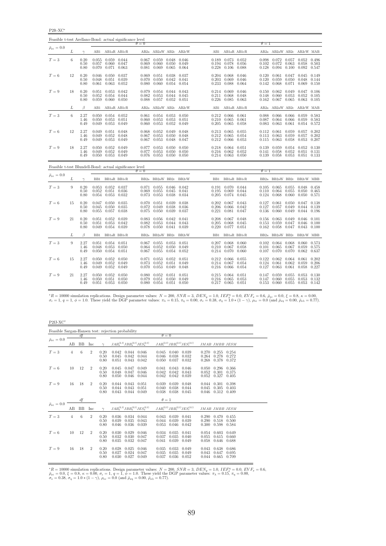P2ft-XC<sup>∗</sup>

| Feasible t-test Arellano-Bond: actual significance level |    |                      |                         |                                                             |                          |                         |                                                   |                         |                                 |                         |                                                                               |                         |                         |                                                       |                         |                                                         |                |
|----------------------------------------------------------|----|----------------------|-------------------------|-------------------------------------------------------------|--------------------------|-------------------------|---------------------------------------------------|-------------------------|---------------------------------|-------------------------|-------------------------------------------------------------------------------|-------------------------|-------------------------|-------------------------------------------------------|-------------------------|---------------------------------------------------------|----------------|
| $\bar{\rho}_{x\varepsilon}=0.0$                          |    |                      |                         |                                                             |                          | $\theta = 0$            |                                                   |                         |                                 |                         |                                                                               |                         | $\theta = 1$            |                                                       |                         |                                                         |                |
|                                                          | L  | $\gamma$             |                         | AB1 AB1aR AB1cR                                             |                          |                         |                                                   |                         | AB2a AB2aW AB2c AB2cW           |                         | AB1 AB1aR AB1cR                                                               |                         |                         | AB2a AB2aW AB2c AB2cW MAB                             |                         |                                                         |                |
| $T=3$                                                    | 6  | 0.20<br>0.50<br>0.80 | 0.055<br>0.057<br>0.070 | 0.059 0.044<br>0.071                                        | $0.060$ $0.047$<br>0.063 | 0.069<br>0.081          | $0.067$ $0.059$ $0.048$ $0.046$<br>0.060<br>0.069 | 0.050<br>0.065          | 0.049<br>0.064                  | 0.189<br>0.194<br>0.228 | 0.073 0.052<br>0.078<br>0.106                                                 | 0.056<br>0.088          | 0.098<br>0.102<br>0.128 | 0.072<br>0.072<br>0.094                               | 0.063<br>0.100          | $0.057$ $0.052$ $0.496$<br>0.058<br>0.092               | 0.503<br>0.547 |
| $T=6$                                                    | 12 | 0.20<br>0.50<br>0.80 | 0.046<br>0.048<br>0.061 | 0.050 0.037<br>$0.063$ $0.052$                              | $0.051$ $0.039$          | 0.069<br>0.070<br>0.080 | 0.051<br>0.050<br>0.060                           | 0.038<br>0.042<br>0.054 | 0.037<br>0.041<br>0.054         |                         | $0.204$ 0.068<br>$0.203$ 0.069<br>0.233 0.088                                 | 0.046<br>0.046<br>0.064 | 0.120<br>0.120<br>0.142 | 0.061<br>0.059<br>0.068                               | 0.047<br>0.050<br>0.071 | $0.045$ 0.149<br>0.048<br>0.069                         | 0.144<br>0.150 |
| $T=9$                                                    | 18 | 0.20<br>0.50<br>0.80 | 0.051<br>0.052<br>0.059 | 0.053 0.042<br>$0.054$ $0.044$                              | $0.060 \quad 0.050$      | 0.079<br>0.082<br>0.088 | 0.054 0.044<br>0.053<br>$0.057$ $0.052$ $0.051$   | 0.044                   | 0.043<br>0.045                  | 0.226                   | $0.214$ $0.069$ $0.046$<br>$0.211$ $0.068$<br>0.085 0.063                     | 0.048                   | 0.148<br>0.162          | $0.150 \quad 0.062$<br>0.060<br>0.067                 | 0.049<br>0.053<br>0.065 | $0.047$ 0.106<br>$0.052 \quad 0.105$<br>$0.063$ $0.105$ |                |
|                                                          | L  | $\beta$              | AB1                     |                                                             | AB1aR AB1cR              |                         |                                                   |                         | AB2a AB2aW AB2c AB2cW           | AB1                     | AB1aR AB1cR                                                                   |                         |                         | AB2a AB2aW AB2c                                       |                         | AB2cW MAB                                               |                |
| $T=3$                                                    | 6  | 2.27<br>1.46<br>0.49 | 0.050<br>0.049          | $0.050$ $0.054$ $0.052$<br>$0.053$ $0.051$<br>0.053 0.049   |                          | 0.060<br>0.060          | $0.061$ $0.054$ $0.053$ $0.050$<br>0.053<br>0.053 | 0.053<br>0.052          | 0.051<br>0.049                  | 0.210<br>0.205          | $0.212$ $0.066$ $0.061$<br>$0.065$ 0.061<br>0.065 0.058                       |                         | 0.088                   | $0.066$ 0.066<br>$0.087$ 0.064<br>$0.083$ 0.063       | 0.066<br>0.061          | 0.059 0.583<br>0.059 0.583<br>0.054 0.572               |                |
| $T=6$                                                    | 12 | 2.27<br>1.46<br>0.49 | 0.049<br>0.049<br>0.049 | 0.051<br>0.052<br>0.053                                     | 0.048<br>0.048<br>0.049  | 0.068<br>0.067<br>0.067 | 0.052<br>0.053<br>0.053                           | 0.049<br>0.050<br>0.048 | 0.048<br>0.048<br>0.047         |                         | $0.213$ $0.065$ $0.055$<br>$0.212$ $0.065$<br>$0.212$ 0.066                   | 0.054<br>0.053          | 0.112<br>0.113<br>0.115 | 0.061<br>0.063<br>0.063                               | 0.059<br>0.059<br>0.058 | $0.057$ $0.202$<br>0.057<br>$0.053$ $0.207$             | 0.202          |
| $T=9$                                                    | 18 | 2.27<br>1.46<br>0.49 | 0.049                   | $0.050$ $0.052$ $0.049$<br>0.052<br>$0.050$ $0.053$ $0.049$ | 0.049                    | 0.077<br>0.077          | 0.053<br>0.053<br>$0.076$ $0.053$ $0.050$         | 0.050<br>0.050          | 0.050<br>0.050<br>0.050         |                         | $0.218$ $0.064$ $0.051$<br>$0.216$ $0.062$<br>$0.214$ $0.063$ $0.050$         | 0.052                   |                         | $0.139$ $0.059$<br>$0.141$ $0.058$<br>$0.139$ $0.058$ | 0.052<br>0.053          | $0.054$ $0.052$ $0.130$<br>0.051<br>$0.051$ $0.133$     | 0.131          |
| Feasible t-test Blundell-Bond: actual significance level |    |                      |                         |                                                             |                          | $\theta = 0$            |                                                   |                         |                                 |                         |                                                                               |                         | $\theta = 1$            |                                                       |                         |                                                         |                |
| $\bar{\rho}_{x\varepsilon}=0.0$                          | L  | $\gamma$             |                         | BB1 BB1aR BB1cR                                             |                          |                         |                                                   |                         | BB2a BB2aW BB2c BB2cW           |                         | BB1 BB1aR BB1cR                                                               |                         |                         | BB2a BB2aW BB2c BB2cW MBB                             |                         |                                                         |                |
| $T=3$                                                    | 9  | 0.20<br>0.50<br>0.80 | 0.052<br>0.054          | $0.053$ $0.052$ $0.037$<br>0.051<br>0.053                   | 0.036<br>0.032           | 0.071<br>0.069<br>0.073 | 0.055<br>0.055<br>0.053                           | 0.045<br>0.038          | 0.046 0.042<br>0.041<br>0.034   | 0.195<br>0.205          | 0.191 0.070 0.044<br>0.069 0.044<br>0.074 0.045                               |                         | 0.110                   | $0.105$ 0.065<br>0.064<br>$0.124$ 0.068               | 0.055<br>0.055<br>0.060 | $0.048$ 0.458<br>0.050<br>0.050                         | 0.465<br>0.571 |
| $T=6$                                                    | 15 | 0.20<br>0.50<br>0.80 | 0.047<br>0.045<br>0.055 | $0.050$ $0.035$<br>$0.050$ $0.035$<br>0.057 0.038           |                          | 0.072<br>0.075          | $0.070$ $0.051$ $0.039$<br>0.049<br>0.050         | 0.038<br>0.039          | 0.038<br>0.036<br>0.037         |                         | $0.202$ $0.067$ $0.043$<br>$0.206$ $0.066$ $0.042$<br>$0.221$ $0.081$ $0.047$ |                         | 0.127<br>0.136          | $0.127$ $0.061$<br>0.057<br>0.060                     | 0.050<br>0.049<br>0.049 | $0.047$ $0.138$<br>0.044 0.139<br>0.044 0.196           |                |
| $T=9$                                                    | 21 | 0.20<br>0.50<br>0.80 | 0.051<br>0.051<br>0.049 | 0.052<br>0.053<br>0.054 0.039                               | 0.039<br>0.042           | 0.083<br>0.082<br>0.078 | 0.056 0.042<br>0.053<br>0.050                     | 0.044                   | 0.041<br>0.043<br>$0.041$ 0.039 | 0.208<br>0.205<br>0.220 | $0.067$ 0.048<br>0.068<br>$0.077$ 0.051                                       | 0.045                   | 0.156<br>0.153<br>0.162 | 0.063<br>0.059<br>0.058                               | 0.049<br>0.047<br>0.047 | $0.046$ $0.101$<br>0.046<br>$0.043$ $0.100$             | 0.100          |
|                                                          | L  | $\beta$              | BB1                     |                                                             | BB1aR BB1cR              |                         |                                                   |                         | BB2a BB2aW BB2c BB2cW           | BB1                     | BB1aR BB1cR                                                                   |                         |                         | BB2a BB2aW BB2c                                       |                         | BB2cW MBB                                               |                |
| $T=3$                                                    | 9  | 2.27<br>1.46<br>0.49 | 0.051<br>0.048<br>0.050 | $0.054$ $0.051$<br>$0.053$ $0.050$<br>$0.054$ $0.051$       |                          | 0.067<br>0.064<br>0.067 | 0.055<br>0.052<br>0.055 0.054                     | 0.053<br>0.050          | 0.051<br>0.049<br>0.052         |                         | $0.207$ $0.068$ $0.060$<br>$0.210$ $0.067$ $0.058$<br>$0.214$ $0.070$ $0.060$ |                         | 0.101                   | $0.102 \quad 0.064$<br>0.065<br>$0.107$ 0.070         | 0.068<br>0.067<br>0.070 | $0.060$ $0.573$<br>0.059<br>$0.062$ 0.637               | 0.575          |
| $T=6$                                                    | 15 | 2.27<br>1.46<br>0.49 | 0.050<br>0.049<br>0.049 | 0.052<br>0.052<br>0.052                                     | 0.050<br>0.049<br>0.049  | 0.071<br>0.073<br>0.070 | 0.053<br>0.052<br>0.053                           | 0.052<br>0.051<br>0.049 | 0.051<br>0.049<br>0.048         | 0.216                   | $0.212$ $0.066$ $0.055$<br>0.214 0.067<br>0.066                               | 0.054<br>0.054          | 0.124<br>0.127          | $0.122 \quad 0.062$<br>0.061<br>0.063                 | 0.064<br>0.062<br>0.061 | $0.061$ $0.202$<br>0.059<br>0.058                       | 0.206<br>0.227 |
| $T=9$                                                    | 21 | 2.27<br>1.46<br>0.49 | 0.050                   | $0.050$ $0.052$ $0.050$<br>0.051<br>$0.051$ $0.053$ $0.050$ | 0.050                    | 0.080<br>0.079          | 0.052<br>0.051<br>$0.080$ $0.054$ $0.051$ $0.050$ | 0.051<br>0.050          | 0.051<br>0.049                  |                         | $0.215$ $0.064$ $0.051$<br>$0.216$ 0.065<br>$0.217$ $0.065$ $0.051$           | 0.053                   | 0.147<br>0.147          | 0.059<br>0.060<br>$0.153$ 0.060                       | 0.055<br>0.055<br>0.055 | 0.053<br>0.053<br>0.053 0.142                           | 0.130<br>0.132 |

 ${}^*R = 10000$  simulation replications. Design parameter values:  $N = 200$ ,  $SNR = 3$ ,  $DEN_y = 1.0$ ,  $IEF''_x = 0.0$ ,  $EVF_x = 0.6$ ,  $\bar{\rho}_{xx} = 0.0$ ,  $\xi = 0.8$ ,  $\kappa = 0.00$ ,  $\sigma_{\varepsilon} = 1$ ,  $q = 1$ ,  $\phi = 1.0$ . These yield the DGP paramet

P2fJ-XC<sup>∗</sup>

| Feasible Sargan-Hansen test: rejection probability |                |    |                |                      |                         |                                   |                                           |                         |                         |                                           |                         |                               |                         |  |
|----------------------------------------------------|----------------|----|----------------|----------------------|-------------------------|-----------------------------------|-------------------------------------------|-------------------------|-------------------------|-------------------------------------------|-------------------------|-------------------------------|-------------------------|--|
|                                                    |                | df |                |                      |                         |                                   |                                           | $\theta = 0$            |                         |                                           |                         |                               |                         |  |
| $\bar{\rho}_{x\varepsilon}=0.0$                    | AВ             | BB | Inc            | $\sim$               |                         |                                   | $JAB_a^{(2,1)}JBB_a^{(2,1)}JES_a^{(2,1)}$ |                         |                         | $JAB_c^{(2,1)}JBB_c^{(2,1)}JES_c^{(2,1)}$ | JMAB JMBB JESM          |                               |                         |  |
| $T=3$                                              | 4              | 6  | $\overline{2}$ | 0.20<br>0.50<br>0.80 | 0.042<br>0.045<br>0.051 | $0.044$ $0.046$<br>0.042<br>0.043 | 0.044<br>0.042                            | 0.045<br>0.046<br>0.050 | 0.040<br>0.038<br>0.037 | 0.039<br>0.032<br>0.032                   | 0.270<br>0.264<br>0.268 | 0.255<br>0.278<br>0.378       | 0.254<br>0.272<br>0.372 |  |
| $T=6$                                              | 10             | 12 | $\overline{2}$ | 0.20<br>0.50<br>0.80 | 0.045<br>0.048<br>0.050 | 0.047<br>0.047<br>0.046           | 0.049<br>0.046<br>0.044                   | 0.041<br>0.042<br>0.042 | 0.043<br>0.042<br>0.042 | 0.046<br>0.043<br>0.039                   | 0.050<br>0.052<br>0.052 | 0.296<br>0.301<br>0.327       | 0.366<br>0.375<br>0.405 |  |
| $T=9$                                              | 16             | 18 | $\overline{2}$ | 0.20<br>0.50<br>0.80 | 0.044<br>0.044<br>0.043 | 0.043<br>0.043<br>0.044 0.049     | 0.051<br>0.051                            | 0.039<br>0.040<br>0.038 | 0.039<br>0.038<br>0.038 | 0.048<br>0.044<br>0.045                   | 0.044<br>0.045<br>0.046 | 0.301<br>0.305<br>0.312       | 0.398<br>0.403<br>0.409 |  |
|                                                    |                | df |                |                      |                         |                                   |                                           | $\theta = 1$            |                         |                                           |                         |                               |                         |  |
| $\bar{\rho}_{x\varepsilon}=0.0$                    | AВ             | BB | Inc            | $\gamma$             |                         |                                   | $JAB_a^{(2,1)}JBB_a^{(2,1)}JES_a^{(2,1)}$ |                         |                         | $JAB_c^{(2,1)}JBB_c^{(2,1)}JES_c^{(2,1)}$ |                         | JMAB JMBB JESM                |                         |  |
| $T=3$                                              | $\overline{4}$ | 6  | $\overline{2}$ | 0.20<br>0.50<br>0.80 | 0.036<br>0.039<br>0.046 | 0.034 0.044<br>0.035<br>0.036     | 0.043<br>0.039                            | 0.043<br>0.044<br>0.053 | 0.039<br>0.039<br>0.046 | 0.041<br>0.039<br>0.042                   | 0.290<br>0.290<br>0.300 | 0.470<br>0.518<br>0.598       | 0.455<br>0.500<br>0.584 |  |
| $T=6$                                              | 10             | 12 | $\overline{2}$ | 0.20<br>0.50<br>0.80 | 0.030<br>0.032<br>0.035 | 0.029<br>0.030<br>0.032           | 0.046<br>0.047<br>0.047                   | 0.034<br>0.037<br>0.041 | 0.035<br>0.035<br>0.039 | 0.041<br>0.040<br>0.049                   | 0.054<br>0.055<br>0.058 | 0.603<br>0.615<br>0.646       | 0.649<br>0.660<br>0.688 |  |
| $T=9$                                              | 16             | 18 | $\overline{2}$ | 0.20<br>0.50<br>0.80 | 0.028<br>0.027<br>0.030 | 0.025<br>0.024<br>0.027           | 0.046<br>0.047<br>0.049                   | 0.035<br>0.035<br>0.037 | 0.033<br>0.035<br>0.036 | 0.049<br>0.049<br>0.052                   | 0.043<br>0.043<br>0.044 | 0.638<br>0.647<br>0.665 0.709 | 0.686<br>0.695          |  |

 ${}^*R = 10000$  simulation replications. Design parameter values:  $N = 200$ ,  $SNR = 3$ ,  $DEN_y = 1.0$ ,  $IEF_x^{\eta} = 0.0$ ,  $EVF_x = 0.6$ ,  $\bar{\rho}_{xe} = 0.0$ ,  $\xi = 0.8$ ,  $\kappa = 0.00$ ,  $\sigma_{\varepsilon} = 1$ ,  $q = 1$ ,  $\phi = 1.0$ . These yield the DGP param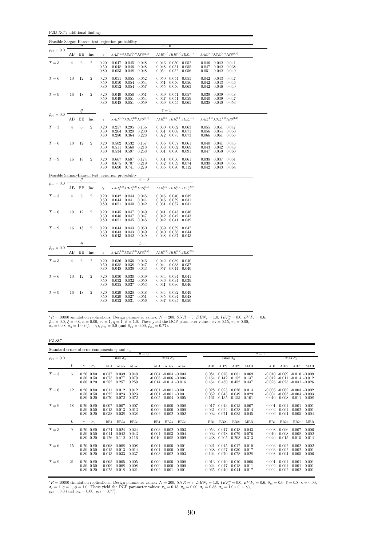P2fJ-XC<sup>∗</sup> : additional findings

|                                 |                |                 |                  |                      | Feasible Sargan-Hansen test: rejection probability                                     |                                                                                                                                                                |                                                     |  |
|---------------------------------|----------------|-----------------|------------------|----------------------|----------------------------------------------------------------------------------------|----------------------------------------------------------------------------------------------------------------------------------------------------------------|-----------------------------------------------------|--|
| $\bar{\rho}_{x\varepsilon}=0.0$ |                | df              |                  |                      |                                                                                        | $\theta = 0$                                                                                                                                                   |                                                     |  |
|                                 | AB             | BB              | Inc              | $\gamma$             |                                                                                        | $JAB^{\left(1,0\right)}JBB_{a}^{\left(1,0\right)}JES^{\left(1,0\right)} \qquad JAB_{a}^{\left(1,1\right)}JBB_{a}^{\left(1,1\right)}JES_{a}^{\left(1,1\right)}$ | $JAB_c^{(1,1)}JBB_c^{(1,1)}JES_c^{(1,1)}$           |  |
| $T=3$                           | $\overline{4}$ | 6               | $\sqrt{2}$       | 0.20<br>0.50         | $0.047$ $0.045$ $0.048$<br>0.048<br>$0.046$ $0.048$                                    | $0.046$ $0.050$ $0.052$<br>0.048<br>0.051<br>0.055                                                                                                             | $0.046$ $0.042$ $0.041$<br>0.047<br>$0.042$ 0.038   |  |
|                                 |                |                 |                  | 0.80                 | 0.053<br>0.048<br>0.048                                                                | 0.054<br>0.052<br>0.056                                                                                                                                        | 0.051<br>0.042<br>0.040                             |  |
| $T=6$                           | 10             | 12              | $\overline{2}$   | 0.20                 | 0.051<br>0.055<br>0.052                                                                | 0.054<br>0.055<br>0.050                                                                                                                                        | 0.042<br>0.043<br>0.047                             |  |
|                                 |                |                 |                  | 0.50<br>0.80         | 0.050<br>0.054<br>0.054<br>0.052<br>0.054<br>0.057                                     | 0.051<br>0.056<br>0.056<br>0.055<br>0.056<br>0.063                                                                                                             | 0.042<br>0.043<br>0.046<br>0.042<br>0.046<br>0.049  |  |
| $T=9$                           | 16             | 18              | $\overline{2}$   | 0.20                 | 0.049<br>$0.050 \quad 0.051$                                                           | 0.049<br>0.051<br>0.057                                                                                                                                        | 0.039<br>0.039 0.048                                |  |
|                                 |                |                 |                  | 0.50<br>0.80         | $0.051$ $0.054$<br>0.049<br>$0.048$ $0.051$ $0.059$                                    | 0.047<br>0.051<br>0.059<br>$0.049$ $0.055$ $0.065$                                                                                                             | 0.040<br>0.039 0.047<br>$0.038$ $0.040$ $0.053$     |  |
|                                 |                |                 |                  |                      |                                                                                        | $\theta=1$                                                                                                                                                     |                                                     |  |
| $\bar{\rho}_{x\varepsilon}=0.0$ |                | df              |                  |                      |                                                                                        |                                                                                                                                                                |                                                     |  |
|                                 | AВ             | BB              | Inc              | $\gamma$             | $JAB^{(1,0)}JBB^{(1,0)}_aJES^{(1,0)}$                                                  | $JAB_a^{(1,1)}JBB_a^{(1,1)}JES_a^{(1,1)}$                                                                                                                      | $JAB_c^{(1,1)}JBB_c^{(1,1)}JES_c^{(1,1)}$           |  |
| $T=3$                           | $\overline{4}$ | 6               | $\sqrt{2}$       | 0.20<br>0.50         | $0.257$ $0.295$ $0.156$<br>0.264<br>0.329<br>0.200                                     | 0.060<br>$0.062$ 0.063<br>0.068<br>0.071<br>0.061                                                                                                              | 0.055<br>$0.051$ $0.047$<br>0.056<br>$0.054$ 0.050  |  |
|                                 |                |                 |                  | 0.80                 | 0.280<br>0.364 0.228                                                                   | 0.075<br>0.072<br>0.073                                                                                                                                        | 0.061<br>0.066<br>0.055                             |  |
| $T=6$                           | 10             | 12              | $\overline{2}$   | 0.20                 | 0.502<br>0.532<br>0.167                                                                | 0.057<br>0.056<br>0.061                                                                                                                                        | 0.041<br>0.040<br>0.045                             |  |
|                                 |                |                 |                  | 0.50<br>0.80         | 0.218<br>0.511<br>0.560<br>0.534<br>0.597<br>0.268                                     | 0.058<br>0.062<br>0.069<br>0.061<br>0.080<br>0.091                                                                                                             | 0.043<br>0.042<br>0.048<br>0.047<br>0.050<br>0.060  |  |
| $T=9$                           | 16             | 18              | $\overline{2}$   | 0.20                 | 0.667<br>0.687 0.174                                                                   | 0.056<br>0.061<br>0.051                                                                                                                                        | 0.038<br>0.037<br>0.051                             |  |
|                                 |                |                 |                  | 0.50<br>0.80         | 0.675<br>0.219<br>0.707<br>$0.690$ $0.741$<br>0.279                                    | 0.052<br>0.059<br>0.074<br>0.056<br>$0.080$ $0.112$                                                                                                            | 0.039<br>$0.040$ $0.055$<br>$0.042$ $0.043$ $0.064$ |  |
|                                 |                |                 |                  |                      | Feasible Sargan-Hansen test: rejection probability                                     |                                                                                                                                                                |                                                     |  |
|                                 |                | df              |                  |                      | $\theta = 0$                                                                           |                                                                                                                                                                |                                                     |  |
| $\bar{\rho}_{x\varepsilon}=0.0$ | AB             | BB              | Inc              | $\gamma$             | $JAB_a^{(2,2)}JBB_a^{(2,2)}JES_a^{(2,2)}$                                              | $JAB_c^{(2,2)}JBB_c^{(2,2)}JES_c^{(2,2)}$                                                                                                                      |                                                     |  |
| $T=3$                           |                |                 |                  |                      |                                                                                        |                                                                                                                                                                |                                                     |  |
|                                 |                |                 |                  |                      |                                                                                        |                                                                                                                                                                |                                                     |  |
|                                 | $\overline{4}$ | $6\phantom{1}6$ | $\overline{2}$   | 0.20<br>0.50         | $0.042$ $0.044$ $0.045$<br>0.044<br>0.041 0.044                                        | $0.045$ $0.040$ $0.039$<br>0.046<br>0.039<br>0.031                                                                                                             |                                                     |  |
|                                 |                |                 |                  | 0.80                 | 0.042<br>0.051<br>0.040                                                                | 0.051<br>0.037<br>0.031                                                                                                                                        |                                                     |  |
| $T=6$                           | 10             | 12              | $\overline{2}$   | 0.20<br>0.50         | 0.045<br>0.047<br>0.049<br>0.048<br>0.047<br>0.047                                     | 0.043<br>0.046<br>0.041<br>0.042<br>0.042<br>0.043                                                                                                             |                                                     |  |
|                                 |                |                 |                  | 0.80                 | 0.051<br>0.045<br>0.045                                                                | 0.042<br>0.041<br>0.039                                                                                                                                        |                                                     |  |
| $T=9$                           | 16             | 18              | $\boldsymbol{2}$ | 0.20                 | 0.044 0.043<br>0.050<br>0.049                                                          | 0.039<br>0.039<br>0.047<br>0.044                                                                                                                               |                                                     |  |
|                                 |                |                 |                  | 0.50<br>0.80         | 0.043<br>0.043<br>$0.043$ $0.042$ $0.049$                                              | 0.040<br>0.038<br>0.038<br>$0.037$ 0.043                                                                                                                       |                                                     |  |
|                                 |                | df              |                  |                      | $\theta = 1$                                                                           |                                                                                                                                                                |                                                     |  |
| $\bar{\rho}_{x\varepsilon}=0.0$ | AB             | BB              | Inc              | $\gamma$             | $JAB_{a}^{\left( 2,2\right) }JBB_{a}^{\left( 2,2\right) }JES_{a}^{\left( 2,2\right) }$ | $JAB_c^{(2,2)}JBB_c^{(2,2)}JES_c^{(2,2)}$                                                                                                                      |                                                     |  |
| $T=3$                           | $\overline{4}$ | $6\phantom{1}6$ | $\overline{2}$   | 0.20                 | 0.036 0.036 0.046                                                                      | $0.042$ $0.039$ $0.040$                                                                                                                                        |                                                     |  |
|                                 |                |                 |                  | 0.50                 | 0.038<br>0.038<br>0.047                                                                | 0.044<br>0.038<br>0.037                                                                                                                                        |                                                     |  |
|                                 |                |                 |                  | 0.80                 | 0.048<br>0.039<br>0.043                                                                | 0.057<br>0.044<br>0.040                                                                                                                                        |                                                     |  |
| $T=6$                           | 10             | 12              | $\overline{2}$   | 0.20<br>0.50         | 0.030<br>0.030<br>0.049<br>0.032<br>0.032<br>0.050                                     | 0.034<br>0.041<br>0.034<br>0.036<br>0.034<br>0.039                                                                                                             |                                                     |  |
|                                 |                |                 |                  | 0.80                 | 0.035<br>0.037<br>0.053                                                                | 0.036<br>0.041<br>0.046                                                                                                                                        |                                                     |  |
| $T=9$                           | 16             | 18              | $\boldsymbol{2}$ | 0.20<br>0.50<br>0.80 | 0.029<br>0.028<br>0.048<br>0.027<br>0.051<br>0.029<br>$0.032$ $0.031$ $0.056$          | 0.034<br>0.032<br>0.049<br>0.035<br>0.034<br>0.048<br>0.037 0.035 0.050                                                                                        |                                                     |  |

 ${}^*R = 10000$  simulation replications. Design parameter values:  $N = 200$ ,  $SNR = 3$ ,  $DEN_y = 1.0$ ,  $IEF_x^{\eta} = 0.0$ ,  $EVF_x = 0.6$ ,  $\bar{\rho}_{xe} = 0.0$ ,  $\xi = 0.8$ ,  $\kappa = 0.00$ ,  $\sigma_{\varepsilon} = 1$ ,  $q = 1$ ,  $\phi = 1.0$ . These yield the DGP param

P2-XC<sup>∗</sup>

| Standard errors of error components $\eta_i$ and $\varepsilon_{it}$ |    |                                                   |            |                         |                          |                         |                      |                                                                                      |                                    |                         |                                       |                         |                         |                 |                                                                                                                   |                                       |            |
|---------------------------------------------------------------------|----|---------------------------------------------------|------------|-------------------------|--------------------------|-------------------------|----------------------|--------------------------------------------------------------------------------------|------------------------------------|-------------------------|---------------------------------------|-------------------------|-------------------------|-----------------|-------------------------------------------------------------------------------------------------------------------|---------------------------------------|------------|
|                                                                     |    |                                                   |            |                         |                          |                         | $\theta = 0$         |                                                                                      |                                    |                         |                                       |                         |                         | $\theta = 1$    |                                                                                                                   |                                       |            |
| $\bar{\rho}_{x\varepsilon} = 0.0$                                   |    |                                                   |            |                         | Bias $\hat{\sigma}_\eta$ |                         |                      | Bias $\hat{\sigma}_e$                                                                |                                    |                         | Bias $\hat{\sigma}_n$                 |                         |                         |                 |                                                                                                                   | Bias $\hat{\sigma}_\varepsilon$       |            |
|                                                                     | L  |                                                   | $\sigma_n$ |                         | AB1 AB2a                 | AB2c                    |                      | AB1 AB2a AB2c                                                                        |                                    | AB1                     | AB <sub>2a</sub> AB <sub>2c</sub>     |                         | MAB                     | AB1             |                                                                                                                   | AB <sub>2a</sub> AB <sub>2c</sub> MAB |            |
| $T=3$                                                               | 6. | $0.20\ 0.80$<br>$0.50 \quad 0.50$<br>$0.80\ 0.20$ |            | 0.037<br>0.075<br>0.252 | 0.039<br>0.077<br>0.257  | 0.040<br>0.079<br>0.259 |                      | $-0.004$ $-0.004$ $-0.004$<br>$-0.006 - 0.006 - 0.006$<br>$-0.014$ $-0.014$ $-0.016$ |                                    | 0.081<br>0.154          | 0.076<br>0.142<br>0.454 0.430         | 0.081<br>0.152<br>0.452 | 0.069<br>0.137<br>0.437 |                 | $-0.010$ $-0.009$ $-0.010$ $-0.009$<br>$-0.012$ $-0.011$ $-0.014$ $-0.012$<br>$-0.025$ $-0.025$ $-0.031$ $-0.026$ |                                       |            |
| $T=6$                                                               | 12 | $0.20\ 0.80$<br>$0.50 \quad 0.50$<br>$0.80\ 0.20$ |            | 0.011<br>0.022<br>0.070 | 0.012<br>0.023<br>0.072  | 0.012<br>0.023<br>0.072 |                      | $-0.001$ $-0.001$ $-0.001$<br>$-0.001$ $-0.001$ $-0.001$<br>$-0.005 - 0.004 - 0.005$ |                                    | 0.028<br>0.052<br>0.161 | 0.023<br>0.043<br>0.135               | 0.026<br>0.049<br>0.155 | 0.014<br>0.029<br>0.101 |                 | $-0.003$ $-0.002$ $-0.003$ $-0.002$<br>$-0.004$ $-0.003$ $-0.004$ $-0.003$<br>$-0.010$ $-0.008$ $-0.011$ $-0.008$ |                                       |            |
| $T=9$                                                               | 18 | $0.20\ 0.80$<br>$0.50 \quad 0.50$<br>$0.80\ 0.20$ |            | 0.007<br>0.013<br>0.038 | 0.007<br>0.013<br>0.038  | 0.007<br>0.013<br>0.038 |                      | $-0.000 - 0.000 - 0.000$<br>$-0.000 - 0.000 - 0.000$<br>$-0.002 - 0.002 - 0.002$     |                                    | 0.017<br>0.031<br>0.092 | 0.013<br>0.024<br>0.071               | 0.015<br>0.028<br>0.085 | 0.007<br>0.014<br>0.045 |                 | $-0.001$ $-0.001$ $-0.001$ $-0.001$<br>$-0.002$ $-0.001$ $-0.002$ $-0.001$<br>$-0.006$ $-0.004$ $-0.005$ $-0.004$ |                                       |            |
|                                                                     | L  |                                                   | $\sigma_n$ | BB1                     | BB <sub>2a</sub>         | BB2c                    | BB1                  | BB <sub>2a</sub>                                                                     | BB2c                               | BB1                     | BB <sub>2a</sub>                      | BB <sub>2c</sub>        | <b>MBB</b>              | B <sub>B1</sub> | BB <sub>2a</sub>                                                                                                  | BB2c                                  | <b>MBB</b> |
| $T=3$                                                               | 9  | $0.20\ 0.80$<br>$0.50 \quad 0.50$<br>$0.80\ 0.20$ |            | 0.024<br>0.044<br>0.126 | 0.024<br>0.042<br>0.112  | 0.024<br>0.043<br>0.116 |                      | $-0.003 - 0.002 - 0.003$<br>$-0.004$ $-0.003$ $-0.004$<br>$-0.010 - 0.008 - 0.009$   |                                    | 0.053<br>0.092<br>0.238 | 0.047<br>0.078<br>0.205               | 0.048<br>0.079<br>0.208 | 0.043<br>0.076<br>0.313 |                 | $-0.008$ $-0.006$ $-0.007$ $-0.006$<br>$-0.010$ $-0.008$ $-0.008$ $-0.002$<br>$-0.020$ $-0.015$ $-0.015$ $0.014$  |                                       |            |
| $T=6$                                                               | 15 | $0.20\ 0.80$<br>$0.50 \quad 0.50$<br>$0.80\ 0.20$ |            | 0.008<br>0.015<br>0.043 | 0.008<br>0.013<br>0.033  | 0.008<br>0.014<br>0.037 |                      | $-0.001 - 0.000 - 0.001$<br>$-0.001 - 0.000 - 0.001$<br>$-0.003 - 0.002 - 0.003$     |                                    | 0.021<br>0.038<br>0.104 | 0.015<br>0.027<br>0.070 0.078         | 0.017<br>0.030          | 0.010<br>0.017<br>0.028 |                 | $-0.003 - 0.002 - 0.002 - 0.002$<br>$-0.003$ $-0.002$ $-0.002$ $-0.001$<br>$-0.008$ $-0.004$ $-0.005$ 0.006       |                                       |            |
| $T=9$                                                               | 21 | $0.20\ 0.80$<br>$0.50 \quad 0.50$<br>$0.80\ 0.20$ |            | 0.005<br>0.009<br>0.025 | 0.005<br>0.008<br>0.018  | 0.005<br>0.008<br>0.021 | $-0.000$<br>$-0.000$ | $-0.002 - 0.001 - 0.001$                                                             | $0.000 - 0.000$<br>$0.000 - 0.000$ | 0.013<br>0.024<br>0.065 | 0.010<br>0.017<br>$0.040 \quad 0.044$ | 0.010<br>0.018          | 0.006<br>0.011<br>0.017 |                 | $-0.001$ $-0.001$ $-0.001$ $-0.001$<br>$-0.002$ $-0.001$ $-0.001$ $-0.001$<br>$-0.004$ $-0.002$ $-0.002$ 0.001    |                                       |            |

 ${}^{*}R = 10000$  simulation replications. Design parameter values:  $N = 200$ ,  $SNR = 3$ ,  $DEN_y = 1.0$ ,  $IEF_x^{\eta} = 0.0$ ,  $EVF_x = 0.6$ ,  $\bar{\rho}_{xz} = 0.0$ ,  $\xi = 0.8$ ,  $\kappa = 0.00$ ,<br>  $\sigma_{\varepsilon} = 1$ ,  $q = 1$ ,  $\phi = 1.0$ . These yield the DGP par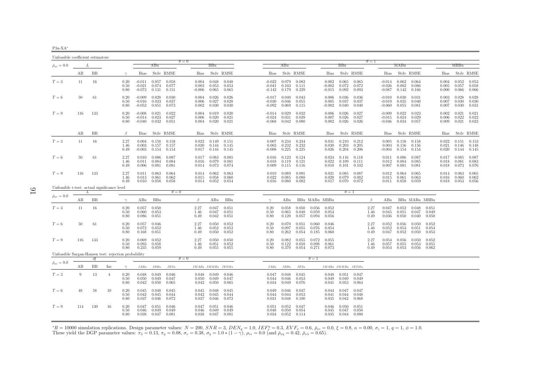| '311-<br>- 1<br><b>.</b> |  |
|--------------------------|--|
|                          |  |

| Unfeasible coefficient estimators                    |     |           |                |                      |                                  |                                       |                                             |                            |                                   |                                             |                                        |                                   |                         |                         |                               |                                   |                         |                      |                                  |                                             |                         |                         |                         |                         |                         |
|------------------------------------------------------|-----|-----------|----------------|----------------------|----------------------------------|---------------------------------------|---------------------------------------------|----------------------------|-----------------------------------|---------------------------------------------|----------------------------------------|-----------------------------------|-------------------------|-------------------------|-------------------------------|-----------------------------------|-------------------------|----------------------|----------------------------------|---------------------------------------------|-------------------------|-------------------------|-------------------------|-------------------------|-------------------------|
| $\bar{\rho}_{x\varepsilon}=0.0$                      |     | L         |                |                      |                                  | ABu                                   |                                             | $\theta = 0$               | BBu                               |                                             |                                        | ABu                               |                         |                         |                               | BBu                               |                         | $\theta = 1$         |                                  | MABu                                        |                         |                         |                         | <b>MBBu</b>             |                         |
|                                                      | AВ  | BB        |                | $\gamma$             | Bias                             |                                       | Stdy RMSE                                   | Bias                       |                                   | Stdy RMSE                                   | Bias                                   |                                   | Stdy RMSE               |                         | Bias                          |                                   | Stdy RMSE               |                      | Bias                             |                                             | Stdy RMSE               |                         | <b>Bias</b>             |                         | Stdy RMSE               |
| $T=3$                                                | 11  | 16        |                | 0.20<br>0.50<br>0.80 | $-0.011$<br>$-0.021$<br>$-0.073$ | 0.074<br>0.131                        | $0.057$ 0.058<br>0.077<br>0.151             | 0.004<br>0.003<br>$-0.006$ | 0.053<br>0.065                    | 0.048 0.048<br>0.053<br>0.065               | $-0.022$<br>-0.041<br>$-0.142$ 0.179   | 0.079<br>0.103                    | 0.082<br>0.111<br>0.229 |                         | 0.002<br>$-0.002$<br>$-0.015$ | 0.065<br>0.072<br>0.092           | 0.065<br>0.072<br>0.093 |                      | $-0.026$<br>$-0.087$             | $-0.014$ 0.062<br>0.082<br>0.142            | 0.064<br>0.086<br>0.166 |                         | 0.004<br>0.005<br>0.000 | 0.052<br>0.057<br>0.066 | 0.053<br>0.058<br>0.066 |
| $T=6$                                                | 50  | 61        |                | 0.20<br>0.50<br>0.80 | $-0.009$<br>$-0.016$<br>$-0.052$ | 0.028<br>0.033<br>0.051               | 0.030<br>0.037<br>0.073                     | 0.004<br>0.006<br>0.002    | 0.026<br>0.027<br>0.030           | 0.026<br>0.028<br>0.030                     | $-0.030$<br>-0.092                     | $-0.017$ 0.040<br>0.046<br>0.069  | 0.043<br>0.055<br>0.115 |                         | 0.006<br>0.005<br>$-0.002$    | 0.036<br>0.037<br>0.040           | 0.036<br>0.037<br>0.040 |                      | $-0.010$<br>$-0.019$<br>$-0.060$ | 0.030<br>0.035<br>0.055                     | 0.031<br>0.040<br>0.081 |                         | 0.003<br>0.007<br>0.007 | 0.028<br>0.030<br>0.030 | 0.028<br>0.030<br>0.031 |
| $T=9$                                                | 116 | 133       |                | 0.20<br>0.50<br>0.80 | $-0.008$<br>$-0.014$<br>$-0.040$ | 0.021<br>0.023<br>0.032               | 0.022<br>0.027<br>0.051                     | 0.004<br>0.006<br>0.004    | 0.019<br>0.020<br>0.020           | 0.020<br>0.021<br>0.021                     | $-0.014$ 0.029<br>$-0.024$<br>$-0.068$ | 0.031<br>0.042                    | 0.032<br>0.039<br>0.080 |                         | 0.006<br>0.007<br>0.002       | 0.026<br>0.026<br>0.026           | 0.027<br>0.027<br>0.026 |                      | $-0.009$<br>$-0.015$             | 0.022<br>0.024<br>$-0.046$ 0.034            | 0.023<br>0.029<br>0.057 |                         | 0.002<br>0.006<br>0.009 | 0.021<br>0.022<br>0.021 | 0.021<br>0.022<br>0.023 |
|                                                      | AВ  | BB        |                | $\beta$              | Bias                             |                                       | Stdy RMSE                                   | Bias                       |                                   | Stdy RMSE                                   | Bias                                   |                                   | Stdy RMSE               |                         | Bias                          |                                   | Stdy RMSE               |                      | Bias                             |                                             | Stdy RMSE               |                         | <b>Bias</b>             |                         | Stdy RMSE               |
| $T=3$                                                | 11  | 16        |                | 2.27<br>1.46<br>0.49 | 0.004<br>0.003<br>$-0.003$       | 0.157                                 | $0.158$ $0.158$<br>0.157<br>$0.154$ $0.154$ | 0.022<br>0.020<br>0.017    | 0.144                             | $0.149$ $0.151$<br>0.145<br>$0.144$ $0.145$ | 0.007<br>0.003<br>$-0.008$             | 0.234<br>0.232<br>0.225           | 0.234<br>0.232<br>0.225 |                         | 0.031<br>0.030<br>0.026       | 0.210<br>0.203<br>0.204           | 0.212<br>0.205<br>0.206 |                      | 0.005<br>0.003                   | 0.158<br>0.156<br>$-0.004$ 0.154            | 0.158<br>0.156<br>0.154 |                         | 0.022<br>0.021<br>0.020 | 0.151<br>0.146<br>0.144 | 0.153<br>0.148<br>0.145 |
| $T=6$                                                | 50  | 61        |                | 2.27<br>1.46<br>0.49 | 0.010<br>0.011<br>0.006          | 0.086<br>0.084<br>0.081               | 0.087<br>0.084<br>0.081                     | 0.017<br>0.016<br>0.014    | 0.083<br>0.079<br>0.073           | 0.085<br>0.081<br>0.074                     | 0.018<br>0.009                         | $0.016$ $0.123$<br>0.119<br>0.115 | 0.124<br>0.121<br>0.116 |                         | 0.024<br>0.022<br>0.018       | 0.116<br>0.109<br>0.101           | 0.118<br>0.111<br>0.102 |                      | 0.011<br>0.012<br>0.007          | 0.086<br>0.084<br>0.081                     | 0.087<br>0.085<br>0.081 |                         | 0.017<br>0.018<br>0.018 | 0.085<br>0.081<br>0.073 | 0.087<br>0.083<br>0.076 |
| $T=9$                                                | 116 | 133       |                | 2.27<br>1.46<br>0.49 | 0.011<br>0.013                   | 0.063<br>0.061<br>$0.010 \quad 0.058$ | 0.064<br>0.062<br>0.058                     | 0.014<br>0.015             | 0.062<br>0.058<br>$0.014$ $0.052$ | 0.063<br>0.060<br>0.054                     | 0.019<br>0.022                         | 0.089<br>0.085<br>$0.016$ 0.080   | 0.091<br>0.088<br>0.082 |                         | 0.021<br>0.020<br>0.017       | 0.085<br>0.079<br>0.070           | 0.087<br>0.082<br>0.072 |                      | 0.012                            | 0.064<br>$0.015$ $0.061$<br>$0.011$ $0.058$ | 0.065<br>0.063<br>0.059 |                         | 0.014<br>0.016<br>0.018 | 0.063<br>0.060<br>0.053 | 0.065<br>0.062<br>0.056 |
| Unfeasible t-test: actual significance level         |     | L         |                |                      |                                  |                                       | $\theta = 0$                                |                            |                                   |                                             |                                        |                                   |                         |                         |                               | $\theta = 1$                      |                         |                      |                                  |                                             |                         |                         |                         |                         |                         |
| $\bar{\rho}_{x\varepsilon}=0.0$                      | AВ  | <b>BB</b> |                | $\gamma$             | ABu                              | BBu                                   |                                             | $\beta$                    | ABu                               | BBu                                         | $\gamma$                               | ABu                               |                         |                         | BBu MABu MBBu                 |                                   |                         | $\beta$              | ABu                              |                                             | BBu MABu MBBu           |                         |                         |                         |                         |
| $T=3$                                                | 11  | 16        |                | 0.20<br>0.50<br>0.80 | 0.057<br>0.060<br>0.086          | 0.050<br>0.053<br>0.051               |                                             | 2.27<br>1.46<br>0.49       | 0.047<br>0.047<br>0.042           | 0.051<br>0.051<br>0.051                     | 0.20<br>0.50<br>0.80                   | 0.058<br>0.065<br>0.120           | 0.050<br>0.048<br>0.057 | 0.056<br>0.059<br>0.094 | 0.052<br>0.054<br>0.056       |                                   |                         | 2.27<br>1.46<br>0.49 | 0.047<br>0.045<br>0.036          | 0.052<br>0.051<br>0.050                     | 0.048<br>0.047<br>0.040 | 0.051<br>0.049<br>0.050 |                         |                         |                         |
| $T=6$                                                | 50  | 61        |                | 0.20<br>0.50<br>0.80 | 0.057<br>0.072<br>0.168          | 0.046<br>0.052<br>0.051               |                                             | 2.27<br>1.46<br>0.49       | 0.050<br>0.052<br>0.050           | 0.052<br>0.053<br>0.052                     | 0.20<br>0.50<br>0.80                   | 0.070<br>0.097<br>0.262           | 0.051<br>0.055<br>0.054 | 0.060<br>0.076<br>0.185 | 0.046<br>0.054<br>0.060       |                                   |                         | 2.27<br>1.46<br>0.49 | 0.052<br>0.052<br>0.047          | 0.056<br>0.053<br>0.052                     | 0.050<br>0.051<br>0.050 | 0.052<br>0.054<br>0.053 |                         |                         |                         |
| $T=9$                                                | 116 | 133       |                | 0.20<br>0.50<br>0.80 | 0.069<br>0.093<br>0.235          | 0.052<br>0.058<br>0.059               |                                             | 2.27<br>1.46<br>0.49       | 0.050<br>0.051<br>0.055           | 0.050<br>0.052<br>0.055                     | 0.20<br>0.50<br>0.80                   | 0.082<br>0.122<br>0.370           | 0.055<br>0.058<br>0.054 | 0.072<br>0.098<br>0.271 | 0.055<br>0.061<br>0.073       |                                   |                         | 2.27<br>1.46<br>0.49 | 0.054<br>0.057                   | 0.056<br>0.055<br>$0.054$ 0.053             | 0.050<br>0.053<br>0.056 | 0.052<br>0.055<br>0.062 |                         |                         |                         |
| Unfeasible Sargan-Hansen test: rejection probability |     | df        |                |                      |                                  |                                       |                                             | $\theta = 0$               |                                   |                                             |                                        |                                   |                         | $\theta = 1$            |                               |                                   |                         |                      |                                  |                                             |                         |                         |                         |                         |                         |
| $\bar{\rho}_{x\varepsilon}=0.0$                      | AВ  | BB        | Inc            | $\gamma$             | $JABu$                           | JBBu                                  | JESu                                        |                            |                                   | $JMABu$ $JMMBu$ $JESMu$                     | JABu                                   | JBBu                              | JESu                    |                         | $JMABu\quad JMMBu\quad JESMu$ |                                   |                         |                      |                                  |                                             |                         |                         |                         |                         |                         |
| $T=3$                                                | 9   | 13        | $\overline{4}$ | 0.20<br>0.50<br>0.80 | 0.048<br>0.050<br>0.042          | 0.049<br>0.049<br>0.050               | 0.046<br>0.047<br>0.065                     | 0.048<br>0.050<br>0.042    | 0.049<br>0.049<br>0.050           | 0.046<br>0.047<br>0.065                     | 0.047<br>0.044<br>0.034                | 0.048<br>0.046<br>0.049           | 0.045<br>0.053<br>0.076 |                         | 0.049<br>0.041                | $0.048$ $0.051$<br>0.049<br>0.053 | 0.047<br>0.049<br>0.064 |                      |                                  |                                             |                         |                         |                         |                         |                         |
| $T=6$                                                | 48  | 58        | 10             | 0.20<br>0.50<br>0.80 | 0.045<br>0.042<br>0.037          | 0.048<br>0.045<br>0.046               | 0.045<br>0.044<br>0.072                     | 0.045<br>0.042<br>0.037    | 0.048<br>0.045<br>0.046           | 0.045<br>0.044<br>0.072                     | 0.044<br>0.031                         | $0.049$ $0.046$<br>0.044<br>0.048 | 0.047<br>0.053<br>0.100 |                         | 0.041<br>0.035                | $0.044$ $0.047$<br>0.044<br>0.042 | 0.047<br>0.048<br>0.068 |                      |                                  |                                             |                         |                         |                         |                         |                         |
| $T=9$                                                | 114 | 130       | 16             | 0.20<br>0.50<br>0.80 | 0.047<br>0.046<br>0.038          | 0.051<br>0.049<br>0.047               | 0.046<br>0.049<br>0.081                     | 0.047<br>0.046             | 0.051<br>0.049<br>$0.038$ $0.047$ | 0.046<br>0.049<br>0.081                     | 0.051<br>0.048                         | 0.052<br>0.050<br>$0.034$ $0.052$ | 0.047<br>0.054<br>0.114 |                         | 0.046<br>0.045                | 0.050<br>0.047<br>0.035 0.044     | 0.051<br>0.050<br>0.080 |                      |                                  |                                             |                         |                         |                         |                         |                         |

 ${}^*R = 10000$  simulation replications. Design parameter values:  $N = 200$ ,  $SNR = 3$ ,  $DEN_y = 1.0$ ,  $IEF_x^T = 0.3$ ,  $EVF_x = 0.6$ ,  $\bar{\rho}_{xc} = 0.0$ ,  $\xi = 0.8$ ,  $\kappa = 0.00$ ,  $\sigma_{\varepsilon} = 1$ ,  $q = 1$ ,  $\phi = 1.0$ .<br>These yield the DGP paramet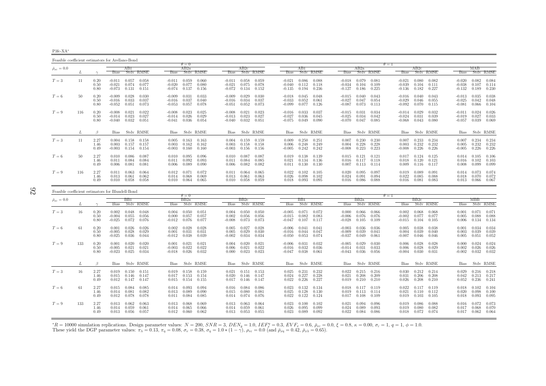P3fc-XA∗

Feasible coefficient estimators for Arellano-Bond $\theta = 0$  $AB2a$  $\theta = 1$ <br>a  $\theta = 1$  $\bar{\rho}_{x\varepsilon}=0.0$  $_{\varepsilon}$  = 0.0  $_{\varepsilon}$   $_{\varepsilon}$   $_{\varepsilon}$   $_{\varepsilon}$   $_{\varepsilon}$   $_{\varepsilon}$   $_{\varepsilon}$   $_{\varepsilon}$   $_{\varepsilon}$   $_{\varepsilon}$   $_{\varepsilon}$   $_{\varepsilon}$   $_{\varepsilon}$   $_{\varepsilon}$   $_{\varepsilon}$   $_{\varepsilon}$   $_{\varepsilon}$   $_{\varepsilon}$   $_{\varepsilon}$   $_{\varepsilon}$   $_{\varepsilon}$   $_{\varepsilon}$   $_{\varepsilon}$ L  $\gamma$  Bias Stdv RMSE Bias Stdv RMSE Bias Stdv RMSE Bias Stdv RMSE Bias Stdv RMSE Bias Stdv RMSE Bias Stdv RMSE0.084  $T=3$  $T=3 \hskip 1.0 11 \hskip 1.0 0.20$  -0.011 0.057 0.058 -0.011 0.059 0.060 -0.011 0.058 0.059 -0.021 0.086 0.088 -0.018 0.079 0.081 -0.021 0.080 0.082 -0.020 0.082 0.084<br>0.50 -0.021 0.077 -0.020 0.077 0.080 -0.021 0.075 0.075 0.07  $0.50$   $-0.021$   $0.074$   $0.077$   $-0.020$   $0.077$   $0.080$   $-0.021$   $0.075$   $0.078$   $-0.040$   $0.112$   $0.118$   $-0.034$   $0.104$   $0.109$   $-0.039$   $0.104$   $0.111$   $-0.038$   $0.107$   $0.114$  $0.189$   $0.230$ 0.80 -0.073 0.131 0.151 -0.074 0.137 0.156 -0.072 0.134 0.152 -0.135 0.194 0.236 -0.127 0.186 0.225 -0.136 0.182 0.227 -0.132 0.189 0.2300.038  $T=6$  $T=6$   $50$   $0.20$   $-0.009$   $0.028$   $0.030$   $-0.009$   $0.031$   $0.033$   $-0.009$   $0.029$   $0.030$   $-0.018$   $0.045$   $0.048$   $-0.015$   $0.040$   $0.043$   $-0.016$   $0.043$   $-0.013$   $0.035$   $0.038$   $0.037$   $-0.016$   $0.037$   $0.040$   $0.$ 0.50 -0.016 0.033 0.037 -0.016 0.037 0.040 -0.016 0.034 0.037 -0.033 0.052 0.061 -0.027 0.047 0.054 -0.029 0.046 0.055 -0.025 0.042 0.048 $0.066$   $0.104$  $0.80$   $-0.052$   $0.051$   $0.073$   $-0.053$   $0.057$   $0.078$   $-0.051$   $0.052$   $0.073$   $-0.099$   $0.077$   $0.126$   $-0.087$   $0.073$   $0.113$   $-0.092$   $0.070$   $0.115$   $-0.081$  $0.026$  $T=9$  $T=9 \hspace{1.5mm} 116 \hspace{1.5mm} 0.20 \hspace{1.5mm} 0.011 \hspace{1.5mm} 0.022 \hspace{1.5mm} 0.016 \hspace{1.5mm} 0.023 \hspace{1.5mm} 0.025 \hspace{1.5mm} 0.013 \hspace{1.5mm} 0.021 \hspace{1.5mm} 0.023 \hspace{1.5mm} 0.021 \hspace{1.5mm} 0.023 \hspace{1.5mm} 0.021 \hspace{1.5mm} 0.023 \hspace{1.5mm}$  $\begin{array}{cccccccccccc} 0.20 & -0.008 & 0.021 & 0.022 & -0.008 & 0.023 & 0.025 & -0.008 & 0.021 & 0.023 & -0.016 & 0.033 & 0.037 & -0.015 & 0.031 & 0.034 & -0.014 & 0.029 & 0.032 & -0.011 & 0.024 & 0.026 & 0.032 & -0.014 & 0.023 & 0.027 & 0.033 & 0.027 & 0.036 & 0.045 & -0$  $0.039$   $0.069$ 0.80 -0.040 0.032 0.051 -0.041 0.036 0.054 -0.040 0.032 0.051 -0.075 0.049 0.090 -0.070 0.047 0.085 -0.068 0.043 0.080 -0.057 0.039 0.069 $L \qquad \qquad \beta$ Bias Stdv RMSE Bias Stdv RMSE Bias Stdv RMSE Bias Stdv RMSE Bias Stdv RMSE Bias Stdv RMSE Bias Stdv RMSE Bias Stdv RMSE 0.234  $T=3$  $T=3 \hskip 1.0 \hskip 1.0 \hskip 1.0 \hskip 1.0 \hskip 1.0 \hskip 1.0 \hskip 1.0 \hskip 1.0 \hskip 1.0 \hskip 1.0 \hskip 1.0 \hskip 1.0 \hskip 1.0 \hskip 1.0 \hskip 1.0 \hskip 1.0 \hskip 1.0 \hskip 1.0 \hskip 1.0 \hskip 1.0 \hskip 1.0 \hskip 1.0 \hskip 1.0 \hskip 1.0 \hskip 1.0 \hskip 1.0 \hskip 1.0 \$  $\begin{array}{cccccccccccccccc} 2.27 & 0.004 & 0.158 & 0.158 & 0.005 & 0.163 & 0.163 & 0.004 & 0.159 & 0.159 & 0.009 & 0.250 & 0.251 & 0.007 & 0.230 & 0.230 & 0.007 & 0.233 & 0.234 & 0.007 & 0.234 & 0.234 & 0.232 & 0.232 & 0.232 & 0.232 & 0.232 & 0.232 & 0.232 & 0.232 &$  $0.226$  $0.49$   $-0.003$   $0.154$   $-0.003$   $0.160$   $0.160$   $-0.003$   $0.156$   $-0.005$   $0.242$   $0.242$   $-0.008$   $0.223$   $0.223$   $-0.008$   $0.226$   $0.226$   $-0.005$   $0.226$   $-0.005$   $0.226$   $0.226$ 0.014 0.105 0.106  $T=6$  $T=6 \hspace{1cm} 50 \hspace{1cm} 2.27 \hspace{1cm} 0.010 \hspace{1cm} 0.086 \hspace{1cm} 0.087 \hspace{1cm} 0.010 \hspace{1cm} 0.095 \hspace{1cm} 0.096 \hspace{1cm} 0.010 \hspace{1cm} 0.093 \hspace{1cm} 0.011 \hspace{1cm} 0.087 \hspace{1cm} 0.087 \hspace{1cm} 0.087 \hspace{1.2cm} 0.019 \hspace{1cm} 0.138 \hspace{1cm} 0.1$ 1.46 0.011 0.084 0.084 0.011 0.092 0.093 0.011 0.084 0.085 0.021 0.134 0.136 0.016 0.117 0.118 0.018 0.120 0.121 0.016 0.102 0.1030.099 0.49 0.006 0.081 0.081 0.006 0.089 0.090 0.006 0.082 0.082 0.011 0.130 0.130 0.007 0.113 0.114 0.009 0.116 0.117 0.008 0.099 0.0990.074  $T=9$  $T=9 \hspace{1.5mm} 116 \hspace{1.5mm} 2.27 \hspace{1.5mm} 0.011 \hspace{1.5mm} 0.063 \hspace{1.5mm} 0.064 \hspace{1.5mm} 0.012 \hspace{1.5mm} 0.071 \hspace{1.5mm} 0.072 \hspace{1.5mm} 0.011 \hspace{1.5mm} 0.064 \hspace{1.5mm} 0.064 \hspace{1.5mm} 0.064 \hspace{1.5mm} 0.064 \hspace{1.5mm} 0.065 \hspace{1.5mm}$ 1.46 0.013 0.061 0.062 0.014 0.068 0.069 0.013 0.061 0.063 0.026 0.098 0.102 0.024 0.091 0.094 0.022 0.085 0.088 0.018 0.070 0.072 $0.013$   $0.066$   $0.067$ 0.49 0.010 0.058 0.058 0.010 0.064 0.065 0.010 0.058 0.059 0.018 0.093 0.095 0.016 0.086 0.088 0.016 0.081 0.083 0.013 0.066 0.067

| Feasible coefficient estimators for Blundell-Bond |     |                      |                               |                         |                         |                               |                         |                         |                            |                         |                                   |                                  |                         |                         |                                  |                         |                         |                               |                         |                         |                            |                         |                         |
|---------------------------------------------------|-----|----------------------|-------------------------------|-------------------------|-------------------------|-------------------------------|-------------------------|-------------------------|----------------------------|-------------------------|-----------------------------------|----------------------------------|-------------------------|-------------------------|----------------------------------|-------------------------|-------------------------|-------------------------------|-------------------------|-------------------------|----------------------------|-------------------------|-------------------------|
|                                                   |     |                      |                               |                         |                         |                               | $\theta = 0$            |                         |                            |                         |                                   |                                  |                         |                         |                                  |                         |                         | $\theta = 1$                  |                         |                         |                            |                         |                         |
| $\bar{\rho}_{x\varepsilon}=0.0$                   |     |                      |                               | BB1                     |                         |                               | BB2a                    |                         |                            | BB2c                    |                                   |                                  | BB1                     |                         |                                  | BB2a                    |                         |                               | BB2c                    |                         |                            | МВВ                     |                         |
|                                                   |     |                      | <b>Bias</b>                   |                         | Stdy RMSE               | <b>Bias</b>                   |                         | Stdy RMSE               | <b>Bias</b>                |                         | Stdy RMSE                         | <b>Bias</b>                      |                         | Stdy RMSE               | <b>Bias</b>                      |                         | Stdy RMSE               | <b>Bias</b>                   |                         | Stdy RMSE               | <b>Bias</b>                |                         | Stdy RMSE               |
| $T=3$                                             | 16  | 0.20<br>0.50<br>0.80 | 0.002<br>$-0.004$<br>$-0.025$ | 0.048<br>0.055<br>0.072 | 0.048<br>0.056<br>0.076 | 0.004<br>0.000<br>$-0.012$    | 0.050<br>0.057<br>0.076 | 0.051<br>0.057<br>0.077 | 0.004<br>0.002<br>$-0.008$ | 0.050<br>0.056<br>0.073 | 0.050<br>0.056<br>0.073           | $-0.005$<br>$-0.015$<br>$-0.047$ | 0.071<br>0.082<br>0.107 | 0.072<br>0.083<br>0.117 | 0.000<br>$-0.006$<br>$-0.028$    | 0.066<br>0.076<br>0.105 | 0.066<br>0.076<br>0.109 | 0.002<br>$-0.002$<br>$-0.015$ | 0.068<br>0.077<br>0.104 | 0.068<br>0.077<br>0.105 | 0.001<br>0.005<br>0.006    | 0.071<br>0.088<br>0.134 | 0.071<br>0.088<br>0.134 |
| $T=6$                                             | 61  | 0.20<br>0.50<br>0.80 | 0.001<br>$-0.005$<br>$-0.025$ | 0.026<br>0.028<br>0.036 | 0.026<br>0.029<br>0.044 | 0.002<br>0.001<br>$-0.012$    | 0.028<br>0.031<br>0.038 | 0.028<br>0.031<br>0.039 | 0.005<br>0.005<br>$-0.002$ | 0.027<br>0.029<br>0.034 | 0.028<br>0.030<br>0.034           | $-0.006$<br>$-0.016$<br>$-0.050$ | 0.041<br>0.044<br>0.053 | 0.041<br>0.047<br>0.074 | $-0.003$<br>$-0.009$<br>$-0.037$ | 0.036<br>0.039<br>0.049 | 0.036<br>0.041<br>0.061 | 0.005<br>0.004<br>$-0.007$    | 0.038<br>0.039<br>0.046 | 0.038<br>0.040<br>0.046 | 0.001<br>0.003<br>0.005    | 0.034<br>0.039<br>0.051 | 0.034<br>0.039<br>0.052 |
| $T=9$                                             | 133 | 0.20<br>0.50<br>0.80 | 0.001<br>$-0.005$<br>$-0.023$ | 0.020<br>0.021<br>0.025 | 0.020<br>0.021<br>0.034 | 0.001<br>$-0.003$<br>$-0.018$ | 0.021<br>0.022<br>0.026 | 0.021<br>0.022<br>0.032 | 0.004<br>0.006<br>0.000    | 0.020<br>0.021<br>0.023 | 0.021<br>0.022<br>0.023           | $-0.006$<br>$-0.016$<br>$-0.047$ | 0.031<br>0.032<br>0.038 | 0.032<br>0.036<br>0.061 | $-0.005$<br>$-0.014$<br>$-0.043$ | 0.029<br>0.031<br>0.036 | 0.030<br>0.033<br>0.056 | 0.006<br>0.006<br>$-0.004$    | 0.028<br>0.028<br>0.030 | 0.028<br>0.029<br>0.031 | 0.000<br>0.002<br>$-0.002$ | 0.024<br>0.026<br>0.032 | 0.024<br>0.026<br>0.032 |
|                                                   |     |                      | Bias                          |                         | Stdy RMSE               | Bias                          |                         | Stdv RMSE               | Bias                       |                         | Stdv RMSE                         | Bias                             |                         | Stdy RMSE               | Bias                             |                         | Stdv RMSE               | Bias                          |                         | Stdv RMSE               | <b>Bias</b>                |                         | Stdy RMSE               |
| $T=3$                                             | 16  | 2.27<br>1.46<br>0.49 | 0.019<br>0.015<br>0.012       | 0.150<br>0.146<br>0.147 | 0.151<br>0.147<br>0.147 | 0.019<br>0.017<br>0.015       | 0.158<br>0.153<br>0.154 | 0.159<br>0.154<br>0.155 | 0.021<br>0.020<br>0.017    | 0.151<br>0.146          | 0.153<br>$0.146$ $0.147$<br>0.147 | 0.025<br>0.024<br>0.022          | 0.231<br>0.227<br>0.226 | 0.232<br>0.228<br>0.227 | 0.022<br>0.021<br>0.019          | 0.215<br>0.208<br>0.210 | 0.216<br>0.209<br>0.210 | 0.030<br>0.031<br>0.026       | 0.212<br>0.206<br>0.208 | 0.214<br>0.208<br>0.210 | 0.029<br>0.042<br>0.052    | 0.216<br>0.213<br>0.236 | 0.218<br>0.217<br>0.241 |
| $T=6$                                             | 61  | 2.27<br>1.46<br>0.49 | 0.015<br>0.014<br>0.012       | 0.084<br>0.081<br>0.078 | 0.085<br>0.082<br>0.078 | 0.014<br>0.013<br>0.011       | 0.093<br>0.089<br>0.084 | 0.094<br>0.090<br>0.085 | 0.016<br>0.015<br>0.014    | 0.084<br>0.080<br>0.074 | 0.086<br>0.081<br>0.076           | 0.023<br>0.025<br>0.022          | 0.132<br>0.128<br>0.122 | 0.134<br>0.130<br>0.124 | 0.018<br>0.019<br>0.017          | 0.117<br>0.113<br>0.108 | 0.119<br>0.114<br>0.109 | 0.022<br>0.021<br>0.019       | 0.117<br>0.110<br>0.103 | 0.119<br>0.112<br>0.105 | 0.018<br>0.020<br>0.018    | 0.102<br>0.098<br>0.093 | 0.104<br>0.100<br>0.095 |
| $T=9$                                             | 133 | 2.27<br>1.46<br>0.49 | 0.013<br>0.014<br>0.013       | 0.062<br>0.059<br>0.056 | 0.063<br>0.061<br>0.057 | 0.013<br>0.014<br>0.012       | 0.068<br>0.065<br>0.060 | 0.069<br>0.066<br>0.062 | 0.013<br>0.014<br>0.013    | 0.063<br>0.059<br>0.053 | 0.064<br>0.061<br>0.055           | 0.023<br>0.026<br>0.023          | 0.100<br>0.095<br>0.089 | 0.102<br>0.099<br>0.092 | 0.021<br>0.024<br>0.022          | 0.094<br>0.089<br>0.084 | 0.096<br>0.093<br>0.086 | 0.019<br>0.019<br>0.018       | 0.086<br>0.080<br>0.072 | 0.088<br>0.082<br>0.074 | 0.016<br>0.017<br>0.017    | 0.072<br>0.068<br>0.062 | 0.073<br>0.070<br>0.064 |

 ${}^*R = 10000$  simulation replications. Design parameter values:  $N = 200$ ,  $SNR = 3$ ,  $DEN_y = 1.0$ ,  $IEF_x^T = 0.3$ ,  $EVF_x = 0.6$ ,  $\bar{\rho}_{xc} = 0.0$ ,  $\xi = 0.8$ ,  $\kappa = 0.00$ ,  $\sigma_{\varepsilon} = 1$ ,  $q = 1$ ,  $\phi = 1.0$ .<br>These yield the DGP paramet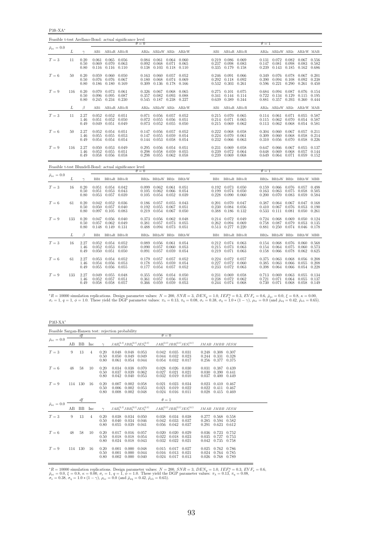P3ft-XA<sup>∗</sup>

| Feasible t-test Arellano-Bond: actual significance level |     |                                  |                         |                                                                       |                 |                         |                                                             |                         |                         |                         |                                                                               |                |                         |                                                                           |                         |                                                     |                |
|----------------------------------------------------------|-----|----------------------------------|-------------------------|-----------------------------------------------------------------------|-----------------|-------------------------|-------------------------------------------------------------|-------------------------|-------------------------|-------------------------|-------------------------------------------------------------------------------|----------------|-------------------------|---------------------------------------------------------------------------|-------------------------|-----------------------------------------------------|----------------|
| $\bar{\rho}_{x\varepsilon}=0.0$                          |     |                                  |                         |                                                                       |                 | $\theta = 0$            |                                                             |                         |                         |                         |                                                                               |                | $\theta = 1$            |                                                                           |                         |                                                     |                |
|                                                          | L   | $\gamma$                         |                         | AB1 AB1aR AB1cR                                                       |                 |                         |                                                             |                         | AB2a AB2aW AB2c AB2cW   |                         | AB1 AB1aR AB1cR                                                               |                |                         | AB2a AB2aW AB2c AB2cW MAB                                                 |                         |                                                     |                |
| $T=3$                                                    | 11  | 0.20<br>0.50<br>0.80             | 0.069                   | $0.061$ $0.065$ $0.056$<br>$0.070$ $0.063$<br>$0.116$ $0.116$ $0.110$ |                 | 0.092<br>0.138          | $0.084$ $0.061$ $0.064$ $0.060$<br>0.068<br>$0.103$ $0.118$ | 0.071                   | 0.065<br>0.110          | 0.219<br>0.237<br>0.335 | 0.086 0.069<br>0.098<br>0.179                                                 | 0.083<br>0.158 | 0.147<br>0.239          | $0.131$ $0.072$ $0.082$<br>0.081<br>0.143                                 | 0.098<br>0.185          | $0.067$ 0.556<br>0.083<br>$0.162$ 0.686             | 0.582          |
| $T=6$                                                    | 50  | 0.20<br>0.50<br>0.80             | 0.059<br>0.186          | 0.076 0.076 0.067<br>$0.180$ $0.169$                                  | $0.060$ $0.050$ | 0.163<br>0.180<br>0.309 | $0.060$ $0.057$<br>0.068<br>0.136                           | 0.074<br>0.178          | 0.052<br>0.069<br>0.166 | 0.292                   | $0.246$ $0.091$ $0.066$<br>0.118 0.092<br>$0.532$ $0.303$ $0.261$             |                | 0.349<br>0.390<br>0.596 | 0.076<br>0.094<br>0.221                                                   | 0.078<br>0.108<br>0.290 | $0.067$ $0.201$<br>$0.092$ 0.238<br>$0.261$ $0.450$ |                |
| $T=9$                                                    | 116 | 0.20<br>0.50<br>0.80             | 0.070<br>0.096<br>0.245 | 0.073<br>0.095<br>0.234 0.230                                         | 0.061<br>0.087  | 0.326<br>0.357<br>0.545 | $0.067$ 0.068<br>0.082<br>$0.187$ 0.238                     | 0.093                   | 0.065<br>0.088<br>0.227 |                         | $0.275$ $0.101$ $0.075$<br>0.341 0.144 0.114<br>0.639 0.389 0.344             |                | 0.722                   | 0.684 0.094 0.087<br>0.134<br>0.881 0.357 0.393                           | 0.129                   | $0.076$ 0.154<br>0.115<br>$0.360$ $0.444$           | 0.195          |
|                                                          | L   | $\beta$                          | AB1                     | AB1aR AB1cR                                                           |                 |                         |                                                             |                         | AB2a AB2aW AB2c AB2cW   | AB1                     | AB1aR AB1cR                                                                   |                |                         | AB2a AB2aW AB2c AB2cW MAB                                                 |                         |                                                     |                |
| $T=3$                                                    | 11  | 2.27<br>1.46<br>0.49             | 0.051                   | $0.052$ $0.052$ $0.051$<br>$0.052$ $0.050$<br>$0.049$ $0.051$ $0.049$ |                 | 0.072<br>0.073          | $0.071$ $0.056$ $0.057$ $0.052$<br>0.055<br>0.052           | 0.056<br>0.055          | 0.051<br>0.050          |                         | $0.215$ $0.070$ $0.065$<br>0.214 0.071 0.065<br>$0.215$ $0.069$ $0.062$       |                |                         | $0.114$ $0.061$ $0.071$ $0.055$ $0.587$<br>$0.115$ $0.062$<br>0.113 0.062 | 0.070<br>0.068          | 0.054 0.587<br>0.054 0.581                          |                |
| $T=6$                                                    | 50  | 2.27<br>1.46<br>0.49             | 0.052<br>0.055<br>0.054 | $0.054$ $0.051$<br>0.055<br>$0.054$ $0.054$                           | 0.053           | 0.147<br>0.147<br>0.144 | 0.056<br>0.055<br>0.053                                     | 0.057<br>0.059<br>0.058 | 0.052<br>0.054<br>0.054 | 0.222<br>0.224          | 0.068 0.058<br>0.070<br>$0.232$ 0.066                                         | 0.061<br>0.063 | 0.309<br>0.310          | $0.304$ $0.060$<br>0.060<br>0.056                                         | 0.067<br>0.068<br>0.070 | $0.057$ $0.211$<br>0.058<br>0.058                   | 0.214<br>0.226 |
| $T=9$                                                    | 116 | 2.27<br>1.46<br>0.49             | 0.050<br>0.052<br>0.058 | 0.053 0.049<br>0.055<br>0.056 0.058                                   | 0.051           | 0.295<br>0.298<br>0.298 | $0.056$ $0.054$ $0.051$<br>0.058<br>$0.055$ $0.062$ $0.058$ | 0.059                   | 0.055                   | 0.239                   | $0.231$ $0.069$ $0.058$<br>0.072<br>$0.239$ $0.069$ $0.068$                   | 0.064          | 0.648                   | $0.647$ 0.066<br>0.069<br>$0.649$ $0.064$ $0.071$                         | 0.067<br>0.068          | $0.055$ 0.137<br>0.057<br>0.059                     | 0.144<br>0.152 |
| Feasible t-test Blundell-Bond: actual significance level |     |                                  |                         |                                                                       |                 | $\theta = 0$            |                                                             |                         |                         |                         |                                                                               |                | $\theta = 1$            |                                                                           |                         |                                                     |                |
| $\bar{\rho}_{x\varepsilon}=0.0$                          | L   |                                  |                         | BB1 BB1aR BB1cR                                                       |                 |                         |                                                             |                         | BB2a BB2aW BB2c BB2cW   |                         | BB1 BB1aR BB1cR                                                               |                |                         | BB2a BB2aW BB2c BB2cW MBB                                                 |                         |                                                     |                |
| $T=3$                                                    | 16  | $\gamma$<br>0.20<br>0.50<br>0.80 | 0.051<br>0.053          | $0.051$ $0.054$ $0.042$<br>0.053<br>0.057 0.039                       | 0.043           | 0.105<br>0.105          | $0.099$ $0.062$ $0.061$ $0.051$<br>0.062<br>0.054           | 0.066<br>0.052          | 0.054<br>0.039          | 0.199<br>0.228          | $0.192$ $0.073$ $0.050$<br>0.074 0.050<br>$0.090 \quad 0.060$                 |                | 0.159<br>0.163<br>0.200 | $0.066$ 0.076<br>0.063<br>0.070                                           | 0.075<br>0.083          | $0.057$ 0.498<br>0.058<br>0.059                     | 0.505<br>0.584 |
| $T=6$                                                    | 61  | 0.20<br>0.50<br>0.80             | 0.042<br>0.050<br>0.097 | 0.052 0.036<br>0.057<br>0.105                                         | 0.040<br>0.083  | 0.186<br>0.192<br>0.219 | $0.057$ 0.055<br>0.055<br>0.054                             | 0.067<br>0.067          | 0.043<br>0.051<br>0.050 | 0.388                   | $0.201$ $0.070$ $0.047$<br>0.230 0.084 0.056<br>0.186                         | 0.132          | 0.387<br>0.410<br>0.533 | 0.064<br>0.067<br>0.111                                                   | 0.067<br>0.076<br>0.081 | $0.047$ 0.168<br>$0.053$ $0.190$<br>0.050           | 0.261          |
| $T=9$                                                    | 133 | 0.20<br>0.50<br>0.80             | 0.047<br>0.057<br>0.148 | $0.056$ $0.040$<br>0.062<br>$0.149$ $0.131$                           | 0.049           | 0.373<br>0.381<br>0.488 | 0.056 0.062<br>0.057<br>0.094 0.073                         | 0.073                   | 0.048<br>0.055<br>0.051 |                         | $0.214$ $0.072$ $0.049$<br>$0.262$ $0.094$ $0.069$<br>$0.513$ $0.277$ $0.220$ |                | 0.724<br>0.758<br>0.881 | 0.068<br>0.087<br>0.250                                                   | 0.069<br>0.079<br>0.074 | $0.050$ $0.124$<br>0.053<br>$0.046$ 0.178           | 0.135          |
|                                                          | L   | $\beta$                          | BB1                     | BB1aR BB1cR                                                           |                 |                         |                                                             |                         | BB2a BB2aW BB2c BB2cW   | BB1                     | BB1aR BB1cR                                                                   |                |                         | BB2a BB2aW BB2c BB2cW MBB                                                 |                         |                                                     |                |
| $T=3$                                                    | 16  | 2.27<br>1.46<br>0.49             | 0.052                   | $0.052$ $0.054$ $0.052$<br>$0.053$ $0.050$<br>$0.050$ $0.051$ $0.050$ |                 | 0.089<br>0.090<br>0.091 | $0.056$ $0.061$ $0.054$<br>0.057<br>0.057 0.059             | 0.060                   | 0.053<br>0.054          | 0.215                   | $0.212$ $0.074$ $0.063$<br>0.073 0.063<br>$0.219$ $0.071$ $0.063$             |                | 0.154<br>0.158          | 0.154 0.068<br>0.064<br>0.066                                             | 0.076<br>0.075<br>0.078 | $0.060$ $0.568$<br>0.060 0.573<br>$0.062$ 0.625     |                |
| $T=6$                                                    | 61  | 2.27<br>1.46<br>0.49             | 0.053<br>0.054<br>0.055 | 0.054 0.052<br>0.056<br>0.056                                         | 0.053<br>0.055  | 0.179<br>0.178<br>0.177 | 0.057<br>0.055<br>0.054                                     | 0.057<br>0.059<br>0.057 | 0.052<br>0.054<br>0.052 | 0.227                   | $0.224$ $0.072$ $0.057$<br>0.072<br>0.233 0.072 0.063                         | 0.060          | 0.375<br>0.385<br>0.398 | 0.063<br>0.063<br>0.064                                                   | 0.068<br>0.066<br>0.066 | $0.056$ 0.208<br>0.055<br>$0.054$ 0.228             | 0.208          |
| $T=9$                                                    | 133 | 2.27<br>1.46<br>0.49             | 0.049<br>0.052<br>0.058 | 0.055<br>0.057<br>0.058 0.057                                         | 0.048<br>0.051  | 0.355<br>0.361<br>0.366 | 0.056<br>0.057<br>0.059 0.059                               | 0.054<br>0.056          | 0.050<br>0.051<br>0.053 |                         | $0.231$ $0.069$ $0.058$<br>$0.238$ $0.072$ $0.062$<br>$0.244$ $0.074$ $0.068$ |                | 0.721                   | 0.713 0.069<br>0.071<br>$0.730$ $0.071$                                   | 0.063<br>0.064<br>0.068 | 0.055 0.134<br>0.055<br>0.058 0.149                 | 0.137          |

 ${}^*R = 10000$  simulation replications. Design parameter values:  $N = 200$ ,  $SNR = 3$ ,  $DEN_y = 1.0$ ,  $IEF''_x = 0.3$ ,  $EVF_x = 0.6$ ,  $\bar{\rho}_{xx} = 0.0$ ,  $\xi = 0.8$ ,  $\kappa = 0.00$ ,<br> $\sigma_{\varepsilon} = 1$ ,  $q = 1$ ,  $\phi = 1.0$ . These yield the DGP paramet

P3fJ-XA<sup>∗</sup>

| Feasible Sargan-Hansen test: rejection probability |     |     |     |                      |                         |                         |                                           |                         |                                   |                                           |                         |                               |                         |  |
|----------------------------------------------------|-----|-----|-----|----------------------|-------------------------|-------------------------|-------------------------------------------|-------------------------|-----------------------------------|-------------------------------------------|-------------------------|-------------------------------|-------------------------|--|
|                                                    |     | df  |     |                      |                         |                         |                                           | $\theta = 0$            |                                   |                                           |                         |                               |                         |  |
| $\bar{\rho}_{x\varepsilon}=0.0$                    | AВ  | BB  | Inc | $\sim$               |                         |                         | $JAB_a^{(2,1)}JBB_a^{(2,1)}JES_a^{(2,1)}$ |                         |                                   | $JAB_c^{(2,1)}JBB_c^{(2,1)}JES_c^{(2,1)}$ |                         | JMAB JMBB JESM                |                         |  |
| $T=3$                                              | 9   | 13  | 4   | 0.20<br>0.50<br>0.80 | 0.048<br>0.050<br>0.061 | 0.048<br>0.049<br>0.054 | 0.053<br>0.049<br>0.044                   | 0.042<br>0.044<br>0.054 | 0.035<br>0.032<br>0.032           | 0.031<br>0.023<br>0.017                   | 0.248<br>0.244<br>0.256 | 0.308<br>0.331<br>0.377       | 0.307<br>0.328<br>0.375 |  |
| $T=6$                                              | 48  | 58  | 10  | 0.20<br>0.50<br>0.80 | 0.034<br>0.037<br>0.042 | 0.038<br>0.039<br>0.040 | 0.070<br>0.062<br>0.053                   | 0.028<br>0.027<br>0.032 | 0.026<br>0.021<br>0.019           | 0.030<br>0.021<br>0.010                   | 0.031<br>0.030<br>0.037 | 0.387<br>0.390<br>0.400       | 0.439<br>0.441<br>0.449 |  |
| $T=9$                                              | 114 | 130 | 16  | 0.20<br>0.50<br>0.80 | 0.007<br>0.006<br>0.008 | 0.002<br>0.002<br>0.002 | 0.058<br>0.053<br>0.048                   | 0.021<br>0.021<br>0.024 | 0.023<br>0.019<br>0.016           | 0.034<br>0.022<br>0.011                   | 0.023<br>0.022<br>0.028 | 0.410<br>0.411<br>0.415       | 0.467<br>0.467<br>0.469 |  |
|                                                    |     | df  |     |                      |                         |                         |                                           | $\theta = 1$            |                                   |                                           |                         |                               |                         |  |
| $\bar{\rho}_{x\varepsilon}=0.0$                    | AВ  | BB  | Inc | $\sim$               |                         |                         | $JAB_a^{(2,1)}JBB_a^{(2,1)}JES_a^{(2,1)}$ |                         |                                   | $JAB_c^{(2,1)}JBB_c^{(2,1)}JES_c^{(2,1)}$ |                         | JMAB JMBB JESM                |                         |  |
| $T=3$                                              | 9   | 13  | 4   | 0.20<br>0.50<br>0.80 | 0.038<br>0.040<br>0.055 | 0.034<br>0.034<br>0.039 | 0.050<br>0.046<br>0.041                   | 0.038<br>0.042<br>0.056 | 0.034<br>0.033<br>0.042           | 0.038<br>0.037<br>0.037                   | 0.277<br>0.285<br>0.291 | 0.568<br>0.594<br>0.623       | 0.558<br>0.582<br>0.612 |  |
| $T=6$                                              | 48  | 58  | 10  | 0.20<br>0.50<br>0.80 | 0.017<br>0.018<br>0.024 | 0.016<br>0.018<br>0.018 | 0.057<br>0.054<br>0.043                   | 0.020<br>0.022<br>0.032 | 0.020<br>0.018<br>0.022           | 0.029<br>0.023<br>0.021                   | 0.036<br>0.035<br>0.042 | 0.723<br>0.727<br>0.735       | 0.752<br>0.753<br>0.758 |  |
| $T=9$                                              | 114 | 130 | 16  | 0.20<br>0.50<br>0.80 | 0.001<br>0.001<br>0.002 | 0.000<br>0.000<br>0.000 | 0.048<br>0.044<br>0.040                   | 0.015<br>0.016<br>0.024 | 0.017<br>0.013<br>$0.017$ $0.013$ | 0.027<br>0.021                            | 0.025<br>0.024<br>0.026 | 0.762<br>0.764<br>0.768 0.789 | 0.786<br>0.785          |  |

 ${}^*R = 10000$  simulation replications. Design parameter values:  $N = 200$ ,  $SNR = 3$ ,  $DEN_y = 1.0$ ,  $IEF_x^{\eta} = 0.3$ ,  $EVF_x = 0.6$ ,  $\bar{\rho}_{xe} = 0.0$ ,  $\xi = 0.8$ ,  $\kappa = 0.00$ ,  $\sigma_{\varepsilon} = 1$ ,  $q = 1$ ,  $\phi = 1.0$ . These yield the DGP param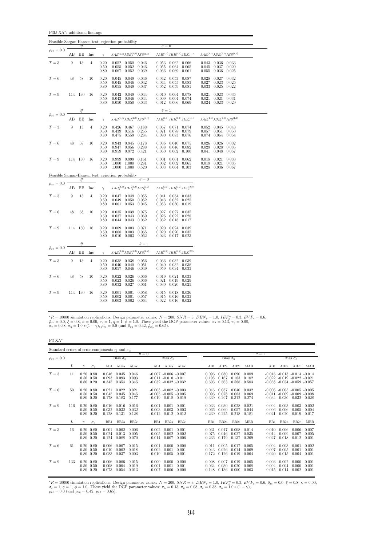P3fJ-XA<sup>∗</sup> : additional findings

|                                 | Feasible Sargan-Hansen test: rejection probability<br>$\theta = 0$<br>df |           |                |              |                                                                                |                                                         |                                                    |  |  |  |  |  |  |  |
|---------------------------------|--------------------------------------------------------------------------|-----------|----------------|--------------|--------------------------------------------------------------------------------|---------------------------------------------------------|----------------------------------------------------|--|--|--|--|--|--|--|
| $\bar{\rho}_{x\varepsilon}=0.0$ |                                                                          |           |                |              |                                                                                |                                                         |                                                    |  |  |  |  |  |  |  |
|                                 | AB                                                                       | <b>BB</b> | Inc            | $\gamma$     | $JAB^{(1,0)}JBB^{(1,0)}_aJES^{(1,0)}$                                          | $JAB_a^{(1,1)}JBB_a^{(1,1)}JES_a^{(1,1)}$               | $JAB_c^{(1,1)}JBB_c^{(1,1)}JES_c^{(1,1)}$          |  |  |  |  |  |  |  |
| $T=3$                           | 9                                                                        | 13        | $\overline{4}$ | 0.20<br>0.50 | $0.052$ $0.050$ $0.046$<br>0.055<br>$0.052$ 0.046                              | 0.053<br>$0.062$ 0.066<br>0.055<br>0.064<br>0.065       | $0.043$ $0.036$ $0.033$<br>0.045<br>0.037 0.029    |  |  |  |  |  |  |  |
|                                 |                                                                          |           |                | 0.80         | 0.052<br>0.067<br>0.039                                                        | 0.066<br>0.069<br>0.061                                 | 0.055<br>0.036<br>0.025                            |  |  |  |  |  |  |  |
| $T=6$                           | 48                                                                       | 58        | 10             | 0.20         | 0.045<br>0.049<br>0.046                                                        | 0.042<br>0.053<br>0.087                                 | 0.028<br>0.027<br>0.032                            |  |  |  |  |  |  |  |
|                                 |                                                                          |           |                | 0.50<br>0.80 | 0.045<br>0.046<br>0.042<br>0.055<br>0.049<br>0.037                             | 0.044<br>0.055<br>0.083<br>0.052<br>0.059<br>0.081      | 0.027<br>0.023<br>0.026<br>0.033<br>0.025<br>0.022 |  |  |  |  |  |  |  |
| $T=9$                           | 114                                                                      | 130       | 16             | 0.20         | 0.042<br>0.049<br>0.044                                                        | $0.010 \quad 0.004$<br>0.078                            | 0.021<br>0.023<br>0.036                            |  |  |  |  |  |  |  |
|                                 |                                                                          |           |                | 0.50<br>0.80 | 0.043<br>0.046<br>0.044<br>$0.050$ $0.050$ $0.043$                             | 0.009<br>0.004<br>0.074<br>$0.012$ $0.006$ $0.069$      | 0.021<br>0.021<br>0.031<br>0.024<br>$0.023$ 0.029  |  |  |  |  |  |  |  |
|                                 |                                                                          | df        |                |              |                                                                                | $\theta = 1$                                            |                                                    |  |  |  |  |  |  |  |
| $\bar{\rho}_{x\varepsilon}=0.0$ |                                                                          |           |                |              | $JAB^{\left( 1,0\right) }JBB_{a}^{\left( 1,0\right) }JES^{\left( 1,0\right) }$ | $JAB_a^{(1,1)}JBB_a^{(1,1)}JES_a^{(1,1)}$               |                                                    |  |  |  |  |  |  |  |
|                                 | AB                                                                       | BB        | Inc            | $\gamma$     |                                                                                |                                                         | $JAB_c^{(1,1)}JBB_c^{(1,1)}JES_c^{(1,1)}$          |  |  |  |  |  |  |  |
| $T=3$                           | 9                                                                        | 13        | $\overline{4}$ | 0.20<br>0.50 | 0.426 0.467 0.188<br>0.439<br>0.516<br>0.255                                   | 0.067<br>0.071<br>0.074<br>0.071<br>0.078<br>0.079      | 0.052<br>$0.045$ 0.043<br>0.057<br>0.051<br>0.050  |  |  |  |  |  |  |  |
|                                 |                                                                          |           |                | 0.80         | 0.475<br>0.284<br>0.559                                                        | 0.083<br>0.090<br>0.076                                 | 0.074<br>0.064<br>0.054                            |  |  |  |  |  |  |  |
| $T=6$                           | 48                                                                       | 58        | 10             | 0.20<br>0.50 | 0.943<br>0.945<br>0.178<br>0.947<br>0.956<br>0.288                             | 0.036<br>0.040<br>0.075<br>0.038<br>0.046<br>0.082      | 0.026<br>0.026<br>0.032<br>0.029<br>0.028<br>0.035 |  |  |  |  |  |  |  |
|                                 |                                                                          |           |                | 0.80         | 0.972<br>0.959<br>0.421                                                        | 0.050<br>0.062<br>0.100                                 | 0.041<br>0.048<br>0.057                            |  |  |  |  |  |  |  |
| $T=9$                           | 114                                                                      | 130       | 16             | 0.20         | 0.999<br>0.999<br>0.161                                                        | 0.001<br>0.001<br>0.062                                 | 0.018<br>0.021<br>0.033                            |  |  |  |  |  |  |  |
|                                 |                                                                          |           |                | 0.50<br>0.80 | 1.000<br>1.000<br>0.281<br>1.000<br>1.000<br>0.520                             | 0.002<br>0.002<br>0.065<br>$0.003$ $0.004$ $0.103$      | 0.019<br>0.021<br>0.035<br>0.028<br>0.036<br>0.067 |  |  |  |  |  |  |  |
|                                 |                                                                          |           |                |              | Feasible Sargan-Hansen test: rejection probability                             |                                                         |                                                    |  |  |  |  |  |  |  |
| $\bar{\rho}_{x\varepsilon}=0.0$ |                                                                          | df        |                |              | $\theta = 0$                                                                   |                                                         |                                                    |  |  |  |  |  |  |  |
|                                 | AВ                                                                       | ΒB        | Inc            |              | $JAB_a^{(2,2)}JBB_a^{(2,2)}JES_a^{(2,2)}$                                      | $JAB_c^{(2,2)}JBB_c^{(2,2)}JES_c^{(2,2)}$               |                                                    |  |  |  |  |  |  |  |
| $T=3$                           | 9                                                                        | 13        | $\overline{4}$ | 0.20         | $0.047$ $0.049$ $0.055$                                                        | 0.041 0.034 0.033                                       |                                                    |  |  |  |  |  |  |  |
|                                 |                                                                          |           |                |              | 0.052<br>0.049<br>0.050                                                        | 0.043<br>0.032<br>0.025                                 |                                                    |  |  |  |  |  |  |  |
|                                 |                                                                          |           |                | 0.50<br>0.80 | 0.061<br>0.053<br>0.045                                                        | 0.030<br>0.053<br>0.019                                 |                                                    |  |  |  |  |  |  |  |
| $T=6$                           | 48                                                                       |           |                |              | 0.035                                                                          | 0.035                                                   |                                                    |  |  |  |  |  |  |  |
|                                 |                                                                          | 58        | 10             | 0.20<br>0.50 | 0.039<br>0.075<br>0.043<br>0.069<br>0.037                                      | 0.027<br>0.027<br>0.022<br>0.026<br>0.028               |                                                    |  |  |  |  |  |  |  |
|                                 |                                                                          |           |                | 0.80         | 0.044<br>0.043<br>0.062                                                        | 0.032<br>0.018<br>0.017                                 |                                                    |  |  |  |  |  |  |  |
| $T=9$                           | 114                                                                      | 130       | 16             | 0.20<br>0.50 | 0.009<br>0.003<br>0.071<br>0.008<br>0.003<br>0.065                             | 0.024<br>0.020<br>0.039<br>0.020<br>0.020<br>0.035      |                                                    |  |  |  |  |  |  |  |
|                                 |                                                                          |           |                | 0.80         | $0.010 \quad 0.003$<br>0.062                                                   | $0.023$ $0.017$ $0.023$                                 |                                                    |  |  |  |  |  |  |  |
|                                 |                                                                          | df        |                |              | $\theta=1$                                                                     |                                                         |                                                    |  |  |  |  |  |  |  |
| $\bar{\rho}_{x\varepsilon}=0.0$ | AB                                                                       | BB        | Inc            | $\gamma$     | $JAB_a^{(2,2)}JBB_a^{(2,2)}JES_a^{(2,2)}$                                      | $JAB_c^{(2,2)}JBB_c^{(2,2)}JES_c^{(2,2)}$               |                                                    |  |  |  |  |  |  |  |
| $T=3$                           | 9                                                                        | 13        | $\overline{4}$ | 0.20         | 0.038 0.038 0.056                                                              | 0.036<br>0.032 0.039                                    |                                                    |  |  |  |  |  |  |  |
|                                 |                                                                          |           |                | 0.50<br>0.80 | 0.051<br>0.040<br>0.040<br>0.057<br>0.046<br>0.049                             | 0.040<br>0.032<br>0.038<br>0.059<br>0.034<br>0.033      |                                                    |  |  |  |  |  |  |  |
| $T=6$                           | 48                                                                       | 58        | 10             | 0.20         | 0.022<br>0.026<br>0.066                                                        | 0.021<br>0.033<br>0.019                                 |                                                    |  |  |  |  |  |  |  |
|                                 |                                                                          |           |                | 0.50<br>0.80 | 0.023<br>0.026<br>0.066<br>$0.032 \quad 0.027$<br>0.061                        | 0.019<br>0.021<br>0.029<br>$0.020 \quad 0.025$<br>0.030 |                                                    |  |  |  |  |  |  |  |
| $T=9$                           | 114 130                                                                  |           | 16             | 0.20         | 0.001<br>$0.001$ $0.058$                                                       | 0.015<br>$0.018$ 0.036                                  |                                                    |  |  |  |  |  |  |  |
|                                 |                                                                          |           |                | 0.50<br>0.80 | 0.057<br>0.002<br>0.001<br>$0.003$ $0.002$ $0.064$                             | 0.015<br>$0.016$ $0.033$<br>$0.022$ $0.016$ $0.022$     |                                                    |  |  |  |  |  |  |  |

 ${}^*R = 10000$  simulation replications. Design parameter values:  $N = 200$ ,  $SNR = 3$ ,  $DEN_y = 1.0$ ,  $IEF_x^{\eta} = 0.3$ ,  $EVF_x = 0.6$ ,  $\bar{\rho}_{xe} = 0.0$ ,  $\xi = 0.8$ ,  $\kappa = 0.00$ ,  $\sigma_{\varepsilon} = 1$ ,  $q = 1$ ,  $\phi = 1.0$ . These yield the DGP param

P3-XA<sup>∗</sup>

| Standard errors of error components $\eta_i$ and $\varepsilon_{it}$ |     |                                                   |            |                                            |                                                     |                               |                  |                                                                                        |                          |                         |                          |                                                    |                         |              |                                                                                                                   |                                 |     |
|---------------------------------------------------------------------|-----|---------------------------------------------------|------------|--------------------------------------------|-----------------------------------------------------|-------------------------------|------------------|----------------------------------------------------------------------------------------|--------------------------|-------------------------|--------------------------|----------------------------------------------------|-------------------------|--------------|-------------------------------------------------------------------------------------------------------------------|---------------------------------|-----|
|                                                                     |     |                                                   |            |                                            |                                                     |                               | $\theta = 0$     |                                                                                        |                          |                         |                          |                                                    |                         | $\theta = 1$ |                                                                                                                   |                                 |     |
| $\bar{\rho}_{x\varepsilon}=0.0$                                     |     |                                                   |            |                                            | Bias $\hat{\sigma}_n$                               |                               |                  | Bias $\hat{\sigma}_{\varepsilon}$                                                      |                          |                         | Bias $\hat{\sigma}_\eta$ |                                                    |                         |              |                                                                                                                   | Bias $\hat{\sigma}_\varepsilon$ |     |
|                                                                     | L   |                                                   | $\sigma_n$ | AB1                                        | AB2a                                                | AB2c                          | AB1              | AB2a                                                                                   | AB2c                     | AB1                     | AB2a                     | AB2c                                               | MAB                     | AB1          | AB2a                                                                                                              | AB2c                            | MAB |
| $T=3$                                                               | 11  | $0.20\ 0.80$<br>$0.50 \quad 0.50$<br>$0.80\ 0.20$ |            | 0.046<br>0.093<br>0.345                    | 0.045<br>0.093                                      | 0.046<br>0.093<br>0.354 0.345 |                  | $-0.007 - 0.006 - 0.007$<br>$-0.011 - 0.010 - 0.011$<br>$-0.032 - 0.032 - 0.032$       |                          | 0.096<br>0.195<br>0.603 | 0.080<br>0.167<br>0.563  | 0.090<br>0.183<br>0.588                            | 0.089<br>0.182<br>0.583 |              | $-0.015 - 0.013 - 0.014 - 0.014$<br>$-0.022$ $-0.019$ $-0.022$ $-0.021$<br>$-0.058$ $-0.054$ $-0.059$ $-0.057$    |                                 |     |
| $T=6$                                                               | 50  | $0.20\ 0.80$<br>$0.50 \quad 0.50$<br>$0.80\ 0.20$ |            | 0.021<br>0.045<br>0.178                    | 0.022<br>0.045<br>0.183                             | 0.021<br>0.045<br>0.177       |                  | $-0.003 - 0.002 - 0.003$<br>$-0.005 - 0.005 - 0.005$<br>$-0.019 - 0.018 - 0.019$       |                          | 0.046<br>0.096<br>0.339 | 0.037<br>0.078<br>0.297  | 0.040<br>0.083<br>0.312                            | 0.032<br>0.069<br>0.274 |              | $-0.006$ $-0.005$ $-0.005$ $-0.005$<br>$-0.011 - 0.009 - 0.009 - 0.008$<br>$-0.034$ $-0.030$ $-0.032$ $-0.028$    |                                 |     |
| $T=9$                                                               | 116 | $0.20\ 0.80$<br>$0.50 \quad 0.50$<br>$0.80\ 0.20$ |            | 0.016<br>0.032<br>0.128                    | 0.016<br>0.032<br>0.131                             | 0.016<br>0.032<br>0.128       |                  | $-0.001$ $-0.001$ $-0.001$<br>$-0.012$ $-0.012$ $-0.012$                               | $-0.003 - 0.003 - 0.003$ | 0.033<br>0.066<br>0.239 | 0.030<br>0.060<br>0.225  | 0.028<br>0.057<br>0.218                            | 0.021<br>0.044<br>0.181 |              | $-0.004$ $-0.003$ $-0.003$ $-0.002$<br>$-0.006$ $-0.006$ $-0.005$ $-0.004$<br>$-0.021$ $-0.020$ $-0.019$ $-0.017$ |                                 |     |
|                                                                     | L   |                                                   | $\sigma_n$ | BB1                                        | BB <sub>2a</sub>                                    | BB2c                          | BB1              | BB <sub>2a</sub>                                                                       | BB2c                     | BB1                     | BB <sub>2a</sub>         | BB <sub>2c</sub>                                   | <b>MBB</b>              | BB1          | BB <sub>2a</sub>                                                                                                  | BB <sub>2c</sub>                | MBB |
| $T=3$                                                               | 16  | $0.20\ 0.80$<br>$0.50 \quad 0.50$<br>$0.80\ 0.20$ |            | 0.024<br>0.124                             | $0.001 - 0.002 - 0.006$<br>0.013<br>0.088           | 0.005<br>0.070                |                  | $-0.002$ $-0.001$ $-0.001$<br>$-0.005$ $-0.002$ $-0.002$<br>$-0.014$ $-0.007$ $-0.006$ |                          | 0.031<br>0.075<br>0.236 | 0.017<br>0.046<br>0.179  | 0.008<br>0.027<br>0.137                            | 0.014<br>0.035<br>0.209 |              | $-0.010 - 0.006 - 0.006 - 0.007$<br>$-0.014$ $-0.009$ $-0.007$ $-0.005$<br>$-0.027 - 0.018 - 0.012 - 0.001$       |                                 |     |
| $T=6$                                                               | 61  | $0.20\ 0.80$<br>$0.50 \quad 0.50$<br>$0.80\ 0.20$ |            | $-0.006 - 0.007 - 0.015$                   | $0.010 - 0.002 - 0.018$<br>$0.083$ $0.037$ $-0.003$ |                               | $-0.002 - 0.001$ | $-0.001 - 0.000$<br>$-0.010 - 0.005 - 0.001$                                           | 0.000<br>0.001           | 0.011<br>0.043<br>0.172 | $0.126$ $0.019$ $-0.004$ | $0.005 - 0.017 - 0.005$<br>$0.026 - 0.014 - 0.009$ |                         |              | $-0.004$ $-0.003$ $-0.001$ $-0.002$<br>$-0.007$ $-0.005$ $-0.001$ $-0.001$<br>$-0.020$ $-0.015$ $-0.004$ $0.001$  |                                 |     |
| $T=9$                                                               | 133 | $0.20\ 0.80$<br>$0.50 \quad 0.50$<br>$0.80\ 0.20$ |            | $-0.006 - 0.006 - 0.015$<br>0.008<br>0.073 | $0.054 - 0.013$                                     | $0.004 - 0.019$               | $-0.001 - 0.001$ | $-0.000 - 0.000$<br>$-0.007 - 0.006 - 0.000$                                           | 0.000<br>0.001           | 0.008<br>0.034<br>0.148 | $0.136$ $0.000$ $-0.003$ | $0.007 - 0.019 - 0.005$<br>$0.030 - 0.020 - 0.008$ |                         |              | $-0.003$ $-0.002$ $-0.000$ $-0.001$<br>$-0.004$ $-0.004$ 0.000 $-0.001$<br>$-0.015$ $-0.014$ $-0.002$ $-0.001$    |                                 |     |

 ${}^{*}R = 10000$  simulation replications. Design parameter values:  $N = 200$ ,  $SNR = 3$ ,  $DEN_y = 1.0$ ,  $IEF_x^{\eta} = 0.3$ ,  $EVF_x = 0.6$ ,  $\bar{\rho}_{xz} = 0.0$ ,  $\xi = 0.8$ ,  $\kappa = 0.00$ ,<br>  $\sigma_{\varepsilon} = 1$ ,  $q = 1$ ,  $\phi = 1.0$ . These yield the DGP par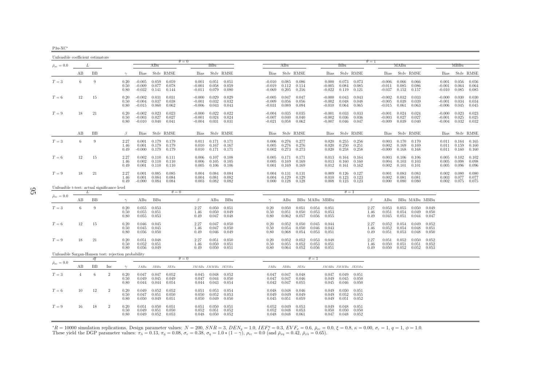| -511- |
|-------|

| Unfeasible coefficient estimators                    |                |    |                |                      |                                  |                         |                         |                                  |                         |                         |                                   |                                  |                                    |                         |                         |                                  |                                   |                         |                      |                                  |                         |                         |                         |                                  |                                   |                         |
|------------------------------------------------------|----------------|----|----------------|----------------------|----------------------------------|-------------------------|-------------------------|----------------------------------|-------------------------|-------------------------|-----------------------------------|----------------------------------|------------------------------------|-------------------------|-------------------------|----------------------------------|-----------------------------------|-------------------------|----------------------|----------------------------------|-------------------------|-------------------------|-------------------------|----------------------------------|-----------------------------------|-------------------------|
| $\bar{\rho}_{x\varepsilon}=0.0$                      |                | L  |                |                      |                                  | ABu                     |                         | $\theta = 0$                     |                         | BBu                     |                                   |                                  | ABu                                |                         |                         |                                  | BBu                               |                         | $\theta = 1$         |                                  | MABu                    |                         |                         |                                  | MBBu                              |                         |
|                                                      | AВ             | BB |                | $\gamma$             | <b>Bias</b>                      |                         | Stdy RMSE               |                                  | <b>Bias</b>             |                         | Stdy RMSE                         | <b>Bias</b>                      |                                    | Stdy RMSE               |                         | <b>Bias</b>                      |                                   | Stdy RMSE               |                      | Bias                             |                         | Stdy RMSE               |                         | Bias                             |                                   | Stdy RMSE               |
| $T=3$                                                | 6              | 9  |                | 0.20<br>0.50<br>0.80 | $-0.005$<br>$-0.009$<br>$-0.032$ | 0.059<br>0.077<br>0.141 | 0.059<br>0.078<br>0.144 | $-0.001$<br>$-0.011$             | 0.001                   | 0.051<br>0.058<br>0.079 | 0.051<br>0.059<br>0.080           | $-0.010$<br>$-0.019$<br>$-0.069$ | 0.085<br>0.112<br>0.205            | 0.086<br>0.114<br>0.216 |                         | 0.000<br>$-0.005$<br>$-0.022$    | 0.073<br>0.084<br>0.119           | 0.073<br>0.085<br>0.121 |                      | $-0.006$<br>$-0.011$<br>$-0.037$ | 0.066<br>0.085<br>0.152 | 0.066<br>0.086<br>0.157 |                         | 0.001<br>$-0.001$<br>$-0.010$    | 0.056<br>0.064<br>0.085           | 0.056<br>0.064<br>0.085 |
| $T=6$                                                | 12             | 15 |                | 0.20<br>0.50<br>0.80 | $-0.002$<br>$-0.004$<br>$-0.015$ | 0.031<br>0.037<br>0.060 | 0.031<br>0.038<br>0.062 | $-0.000$<br>$-0.001$<br>$-0.006$ |                         | 0.029<br>0.032<br>0.043 | 0.029<br>0.032<br>0.043           | $-0.005$<br>$-0.009$<br>$-0.031$ | 0.047<br>0.056<br>0.089            | 0.047<br>0.056<br>0.094 |                         | $-0.000$<br>$-0.002$<br>$-0.010$ | 0.043<br>0.048<br>0.064           | 0.043<br>0.048<br>0.065 |                      | $-0.002$<br>$-0.005$<br>$-0.015$ | 0.032<br>0.039<br>0.061 | 0.033<br>0.039<br>0.063 |                         | $-0.000$<br>$-0.001$<br>$-0.006$ | 0.030<br>0.034<br>0.045           | 0.030<br>0.034<br>0.045 |
| $T=9$                                                | 18             | 21 |                | 0.20<br>0.50<br>0.80 | $-0.002$<br>$-0.003$<br>$-0.010$ | 0.023<br>0.027<br>0.040 | 0.023<br>0.027<br>0.041 | $-0.000$<br>$-0.001$             | $-0.004$                | 0.022<br>0.024<br>0.031 | 0.022<br>0.024<br>0.031           | $-0.004$<br>$-0.007$<br>$-0.021$ | 0.035<br>0.040<br>0.058            | 0.035<br>0.040<br>0.062 |                         | $-0.001$<br>$-0.002$<br>$-0.007$ | 0.033<br>0.036<br>0.046           | 0.033<br>0.036<br>0.047 |                      | $-0.001$<br>$-0.003$<br>$-0.009$ | 0.024<br>0.027<br>0.039 | 0.024<br>0.027<br>0.040 |                         | $-0.000$<br>$-0.001$<br>$-0.004$ | 0.023<br>0.025<br>0.032           | 0.023<br>0.025<br>0.032 |
|                                                      | AВ             | BB |                | $\beta$              | Bias                             |                         | Stdy RMSE               |                                  | Bias                    |                         | Stdy RMSE                         | Bias                             |                                    | Stdy RMSE               |                         | Bias                             |                                   | Stdy RMSE               |                      | Bias                             |                         | Stdy RMSE               |                         | Bias                             |                                   | Stdy RMSE               |
| $T=3$                                                | 6              | 9  |                | 2.27<br>1.46<br>0.49 | 0.001<br>0.001<br>$-0.000$       | 0.179<br>0.179<br>0.179 | 0.179<br>0.179<br>0.179 |                                  | 0.011<br>0.010<br>0.010 | 0.171<br>0.167          | 0.171<br>0.167<br>$0.171$ $0.171$ | 0.006<br>0.005<br>0.002          | 0.276<br>0.276<br>0.273            | 0.277<br>0.276<br>0.273 |                         | 0.020<br>0.020<br>0.020          | 0.255<br>0.250<br>0.258           | 0.256<br>0.251<br>0.258 |                      | 0.003<br>0.002<br>$-0.000$       | 0.170<br>0.169<br>0.168 | 0.170<br>0.169<br>0.168 |                         | 0.011<br>0.011                   | 0.164<br>0.159<br>$0.011$ $0.160$ | 0.165<br>0.160<br>0.160 |
| $T=6$                                                | 12             | 15 |                | 2.27<br>1.46<br>0.49 | 0.002<br>0.002<br>0.001          | 0.110<br>0.110<br>0.110 | 0.111<br>0.110<br>0.110 | 0.006<br>0.005                   | 0.006                   | 0.107<br>0.105<br>0.106 | 0.108<br>0.105<br>0.106           | 0.005<br>0.005<br>0.001          | 0.171<br>0.169<br>0.169            | 0.171<br>0.169<br>0.169 |                         | 0.013<br>0.012                   | $0.013$ $0.164$<br>0.160<br>0.161 | 0.164<br>0.160<br>0.162 |                      | 0.003<br>0.004<br>0.002          | 0.106<br>0.103<br>0.101 | 0.106<br>0.103<br>0.101 |                         | 0.005<br>0.005<br>0.005          | 0.102<br>0.098<br>0.096           | 0.102<br>0.098<br>0.096 |
| $T=9$                                                | 18             | 21 |                | 2.27<br>1.46<br>0.49 | 0.001<br>0.001<br>$-0.000$       | 0.085<br>0.084<br>0.084 | 0.085<br>0.084<br>0.084 | 0.004                            | 0.004<br>0.003          | 0.084<br>0.081<br>0.082 | 0.084<br>0.082<br>0.082           | 0.004<br>0.004                   | 0.131<br>0.129<br>$0.000 \t 0.128$ | 0.131<br>0.129<br>0.128 |                         | 0.009<br>0.010<br>0.008          | 0.126<br>0.123<br>0.123           | 0.127<br>0.123<br>0.123 |                      | 0.001<br>0.002<br>0.000          | 0.083<br>0.081<br>0.080 | 0.083<br>0.081<br>0.080 |                         | 0.002<br>0.003<br>0.002          | 0.080<br>0.077<br>0.075           | 0.080<br>0.077<br>0.075 |
| Unfeasible t-test: actual significance level         |                | L  |                |                      |                                  |                         | $\theta = 0$            |                                  |                         |                         |                                   |                                  |                                    |                         |                         |                                  | $\theta = 1$                      |                         |                      |                                  |                         |                         |                         |                                  |                                   |                         |
| $\bar{\rho}_{x\varepsilon}=0.0$                      | AB             | BB |                | $\gamma$             | ABu                              | BBu                     |                         | $\beta$                          |                         | ABu                     | BBu                               | $\gamma$                         | ABu                                |                         |                         | BBu MABu MBBu                    |                                   |                         | $\beta$              | ABu                              |                         |                         | BBu MABu MBBu           |                                  |                                   |                         |
| $T=3$                                                | 6              | 9  |                | 0.20<br>0.50<br>0.80 | 0.055<br>0.055<br>0.055          | 0.053<br>0.051<br>0.053 |                         | 2.27<br>1.46<br>0.49             |                         | 0.050<br>0.050<br>0.047 | 0.051<br>0.049<br>0.048           | 0.20<br>0.50<br>0.80             | 0.050<br>0.051<br>0.062            | 0.051<br>0.050<br>0.057 | 0.054<br>0.053<br>0.056 | 0.051<br>0.053<br>0.055          |                                   |                         | 2.27<br>1.46<br>0.49 | 0.053<br>0.051<br>0.045          | 0.055<br>0.054<br>0.051 | 0.050<br>0.049<br>0.044 | 0.049<br>0.050<br>0.047 |                                  |                                   |                         |
| $T=6$                                                | 12             | 15 |                | 0.20<br>0.50<br>0.80 | 0.046<br>0.045<br>0.056          | 0.045<br>0.045<br>0.050 |                         | 2.27<br>1.46<br>0.49             |                         | 0.047<br>0.047<br>0.046 | 0.050<br>0.050<br>0.049           | 0.20<br>0.50<br>0.80             | 0.052<br>0.054<br>0.068            | 0.050<br>0.050<br>0.054 | 0.045<br>0.046<br>0.053 | 0.044<br>0.043<br>0.051          |                                   |                         | 2.27<br>1.46<br>0.49 | 0.052<br>0.052<br>0.051          | 0.054<br>0.054<br>0.053 | 0.049<br>0.048<br>0.048 | 0.052<br>0.051<br>0.050 |                                  |                                   |                         |
| $T=9$                                                | 18             | 21 |                | 0.20<br>0.50<br>0.80 | 0.051<br>0.052<br>0.056          | 0.048<br>0.051<br>0.049 |                         | 2.27<br>1.46<br>0.49             |                         | 0.051<br>0.050<br>0.050 | 0.050<br>0.051<br>$\,0.051\,$     | 0.20<br>0.50<br>0.80             | 0.052<br>0.055<br>0.064            | 0.052<br>0.052<br>0.052 | 0.053<br>0.053<br>0.056 | 0.048<br>0.051<br>0.051          |                                   |                         | 2.27<br>1.46<br>0.49 | 0.051<br>0.050<br>0.050          | 0.052<br>0.051<br>0.052 | 0.050<br>0.051<br>0.052 | 0.052<br>0.052<br>0.053 |                                  |                                   |                         |
| Unfeasible Sargan-Hansen test: rejection probability |                | df |                |                      |                                  |                         |                         | $\theta = 0$                     |                         |                         |                                   |                                  |                                    |                         | $\theta = 1$            |                                  |                                   |                         |                      |                                  |                         |                         |                         |                                  |                                   |                         |
| $\bar{\rho}_{x\varepsilon}=0.0$                      | AВ             | BB | Inc            | $\gamma$             | JABu                             | JBBu                    | JESu                    |                                  |                         |                         | $JMABu$ $JMMBu$ $JESMu$           | JABu                             | $JBBu$                             | JESu                    |                         | $JMABu\ JMMBu\ JESMu$            |                                   |                         |                      |                                  |                         |                         |                         |                                  |                                   |                         |
| $T=3$                                                | $\overline{4}$ | 6  | $\overline{2}$ | 0.20<br>0.50<br>0.80 | 0.047<br>0.049<br>0.044          | 0.047<br>0.045<br>0.044 | 0.052<br>0.049<br>0.054 | 0.047                            | 0.045<br>0.044          | 0.048<br>0.044<br>0.043 | 0.052<br>0.050<br>0.054           | 0.047<br>0.047<br>0.042          | 0.047<br>0.047<br>0.047            | 0.048<br>0.046<br>0.055 |                         | 0.047<br>0.049<br>0.045          | 0.049<br>0.045<br>0.046           | 0.051<br>0.050<br>0.050 |                      |                                  |                         |                         |                         |                                  |                                   |                         |
| $T=6$                                                | 10             | 12 | $\overline{2}$ | 0.20<br>0.50<br>0.80 | 0.049<br>0.047<br>0.050          | 0.052<br>0.051<br>0.049 | 0.052<br>0.050<br>0.051 | 0.051<br>0.050                   | 0.050                   | 0.053<br>0.052<br>0.049 | 0.054<br>0.053<br>0.050           | 0.048<br>0.049<br>0.045          | 0.048<br>0.049<br>0.051            | 0.046<br>0.049<br>0.059 |                         | 0.049<br>0.049<br>0.049          | 0.050<br>0.052<br>0.051           | 0.051<br>0.055<br>0.052 |                      |                                  |                         |                         |                         |                                  |                                   |                         |
| $T=9$                                                | 16             | 18 | $\overline{2}$ | 0.20<br>0.50<br>0.80 | 0.051<br>0.049<br>0.049          | 0.050<br>0.051<br>0.052 | 0.051<br>0.050<br>0.053 | 0.051                            | 0.052<br>0.048          | 0.050<br>0.051<br>0.050 | 0.051<br>0.052<br>0.052           | 0.052<br>0.052<br>0.048          | 0.049<br>0.048<br>0.048            | 0.053<br>0.053<br>0.061 |                         | 0.049<br>0.050<br>0.047          | 0.048<br>0.050<br>0.048           | 0.051<br>0.050<br>0.052 |                      |                                  |                         |                         |                         |                                  |                                   |                         |

 ${}^*R = 10000$  simulation replications. Design parameter values:  $N = 200$ ,  $SNR = 3$ ,  $DEN_y = 1.0$ ,  $IEF_x^T = 0.3$ ,  $EVF_x = 0.6$ ,  $\bar{\rho}_{xc} = 0.0$ ,  $\xi = 0.8$ ,  $\kappa = 0.00$ ,  $\sigma_{\varepsilon} = 1$ ,  $q = 1$ ,  $\phi = 1.0$ .<br>These yield the DGP paramet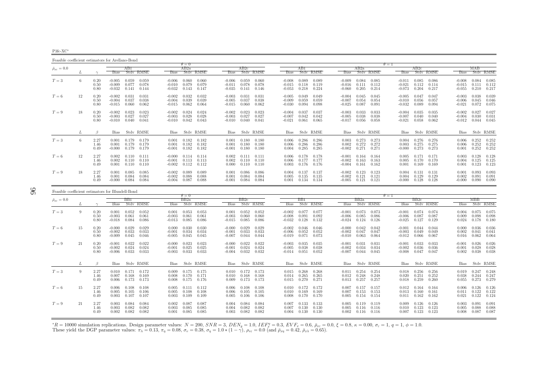P3fc-XC∗

Feasible coefficient estimators for Arellano-Bond $\theta = 0$  $AB2a$  $\theta = 1$ <br>a  $\theta = 1$  $\bar{\rho}_{x\varepsilon}=0.0$  $_{\varepsilon}$  = 0.0  $_{\varepsilon}$   $_{\varepsilon}$   $_{\varepsilon}$   $_{\varepsilon}$   $_{\varepsilon}$   $_{\varepsilon}$   $_{\varepsilon}$   $_{\varepsilon}$   $_{\varepsilon}$   $_{\varepsilon}$   $_{\varepsilon}$   $_{\varepsilon}$   $_{\varepsilon}$   $_{\varepsilon}$   $_{\varepsilon}$   $_{\varepsilon}$   $_{\varepsilon}$   $_{\varepsilon}$   $_{\varepsilon}$   $_{\varepsilon}$   $_{\varepsilon}$   $_{\varepsilon}$   $_{\varepsilon}$ L  $\gamma$  Bias Stdv RMSE Bias Stdv RMSE Bias Stdv RMSE Bias Stdv RMSE Bias Stdv RMSE Bias Stdv RMSE Bias Stdv RMSE0.085  $T=3$  $T=3$   $6$   $0.20$   $-0.005$   $0.059$   $-0.006$   $0.060$   $0.060$   $-0.006$   $0.059$   $0.060$   $-0.008$   $0.059$   $0.089$   $-0.089$   $0.089$   $-0.009$   $0.084$   $0.085$   $-0.011$   $0.085$   $0.086$   $-0.008$   $0.084$   $0.085$   $-0.011$   $0.086$   $0.$  $0.50$  - $0.009$   $0.077$   $0.078$  -0.010  $0.079$   $0.079$  -0.011  $0.078$   $0.078$  -0.015  $0.118$   $0.119$  -0.016  $0.111$   $0.112$  -0.021  $0.112$   $0.114$  -0.015  $0.111$   $0.112$  $0.210$   $0.217$ 0.80 -0.032 0.141 0.144 -0.032 0.143 0.147 -0.035 0.141 0.146 -0.053 0.218 0.224 -0.060 0.205 0.214 -0.073 0.204 0.217 -0.055 0.210 0.2170.039  $T=6$  $T=6$   $12$   $0.20$   $-0.002$   $0.031$   $0.031$   $-0.002$   $0.032$   $-0.003$   $0.031$   $0.031$   $-0.005$   $0.049$   $-0.004$   $0.049$   $-0.004$   $0.045$   $0.045$   $-0.005$   $0.047$   $0.047$   $-0.003$   $0.038$   $-0.003$   $0.039$   $-0.005$   $0.037$  0.50 -0.004 0.037 0.038 -0.004 0.039 0.039 -0.005 0.037 0.038 -0.009 0.059 0.059 -0.007 0.054 0.054 -0.010 0.056 0.057 -0.006 0.045 0.046 $-0.021$   $0.072$   $0.075$  $0.80$   $-0.015$   $0.060$   $0.062$   $-0.015$   $0.062$   $0.064$   $-0.015$   $0.060$   $0.062$   $-0.030$   $0.094$   $0.098$   $-0.025$   $0.087$   $0.091$   $-0.032$   $0.089$   $0.094$  $-0.002$   $0.027$   $0.027$  $T=9$  $T=9$   $18$   $0.20$   $-0.002$   $0.023$   $0.023$   $-0.002$   $0.024$   $-0.002$   $0.023$   $0.023$   $-0.004$   $0.037$   $-0.003$   $0.033$   $0.033$   $-0.004$   $0.035$   $0.035$   $-0.003$   $0.027$   $0.027$   $0.027$   $-0.003$   $0.027$   $0.027$   $-0.007$   $0$ 0.50 -0.003 0.027 -0.003 0.028 0.027 0.007 0.027 -0.027 0.042 0.025 0.038 0.038 -0.007 0.040 0.040 0.034 0.044<br>0.80 -0.010 0.040 0.041 -0.010 0.043 0.043 -0.010 0.040 0.041 -0.021 0.061 0.065 -0.017 0.056 0.058 -0.021 0.05  $0.044$   $0.045$  $L \qquad \qquad \beta$ Bias Stdv RMSE Bias Stdv RMSE Bias Stdv RMSE Bias Stdv RMSE Bias Stdv RMSE Bias Stdv RMSE Bias Stdv RMSE Bias Stdv RMSE  $0.006$   $0.252$   $0.252$  $T=3$  $T=3$   $6$   $2.27$   $0.001$   $0.179$   $0.179$   $0.001$   $0.182$   $0.182$   $0.001$   $0.180$   $0.180$   $0.006$   $0.286$   $0.286$   $0.003$   $0.273$   $0.273$   $0.004$   $0.276$   $0.276$   $0.076$   $0.276$   $0.006$   $0.252$   $0.252$   $0.252$   $0.252$ 1.46 0.001 0.179 0.179 0.001 0.182 0.182 0.001 0.180 0.180 0.006 0.286 0.286 0.002 0.272 0.272 0.003 0.275 0.275 0.006 0.252 0.252 $0.252$  $0.49$   $-0.000$   $0.179$   $0.179$   $-0.001$   $0.182$   $0.182$   $-0.001$   $0.180$   $0.180$   $0.004$   $0.285$   $0.285$   $-0.002$   $0.271$   $0.271$   $-0.000$   $0.273$   $0.273$   $0.001$   $0.252$   $0.252$ 0.128  $T=6$  $T=6$   $12$   $2.27$   $0.002$   $0.110$   $0.111$   $-0.000$   $0.114$   $0.114$   $0.002$   $0.111$   $0.111$   $0.006$   $0.178$   $-0.001$   $0.164$   $0.164$   $0.005$   $0.171$   $0.171$   $0.003$   $0.128$   $0.128$   $0.128$   $0.128$   $0.128$   $0.128$   $0.128$   $1.46 \qquad 0.002 \quad 0.110 \qquad 0.110 \qquad \qquad 0.001 \quad 0.113 \qquad \qquad 0.002 \quad 0.110 \qquad \qquad 0.110 \qquad \qquad 0.006 \quad 0.177 \qquad 0.177 \qquad \qquad -0.002 \quad 0.163 \qquad 0.163 \qquad \qquad 0.005 \quad 0.170 \qquad 0.170 \qquad \qquad 0.004 \quad 0.125 \quad 0.125$ 0.123  $0.49$   $0.001$   $0.110$   $0.110$   $0.002$   $0.112$   $0.112$   $0.000$   $0.110$   $0.110$   $0.003$   $0.176$   $0.176$   $0.004$   $0.161$   $0.162$   $0.001$   $0.169$   $0.169$   $0.001$   $0.123$   $0.123$ 0.093  $T=9$  $T=9 \hspace{1cm} 18 \hspace{1cm} 2.27 \hspace{1cm} 0.001 \hspace{1cm} 0.085 \hspace{1cm} 0.085 \hspace{1cm} 0.002 \hspace{1cm} 0.089 \hspace{1cm} 0.089 \hspace{1cm} 0.001 \hspace{1cm} 0.086 \hspace{1cm} 0.004 \hspace{1cm} 0.137 \hspace{1.4cm} 0.137 \hspace{1.4cm} 0.02 \hspace{1.4cm} 0.123 \hspace{1.4cm} 0.004 \hspace{1.$ 1.46 0.001 0.084 0.084 -0.002 0.088 0.088 0.001 0.084 0.084 0.005 0.135 0.135 -0.002 0.121 0.121 0.004 0.129 0.129 0.002 0.091 0.091 $-0.000$   $0.090$   $0.090$  $0.49$   $-0.000$   $0.084$   $-0.004$   $0.087$   $0.088$   $-0.001$   $0.084$   $0.084$   $0.001$   $0.134$   $0.134$   $-0.005$   $0.121$   $0.121$   $-0.000$   $0.128$   $0.128$ 

| Feasible coefficient estimators for Blundell-Bond |          |                      |                                  |                         |                         |                                  |                         |                         |                                  |                         |                         |                                  |                         |                         |                                  |                         |                         |                                  |                         |                         |                               |                         |                         |
|---------------------------------------------------|----------|----------------------|----------------------------------|-------------------------|-------------------------|----------------------------------|-------------------------|-------------------------|----------------------------------|-------------------------|-------------------------|----------------------------------|-------------------------|-------------------------|----------------------------------|-------------------------|-------------------------|----------------------------------|-------------------------|-------------------------|-------------------------------|-------------------------|-------------------------|
| $\bar{\rho}_{x\varepsilon}=0.0$                   |          |                      | <b>Bias</b>                      | BB1                     | Stdy RMSE               | <b>Bias</b>                      | $\theta = 0$<br>BB2a    | Stdy RMSE               | <b>Bias</b>                      | BB2c                    | Stdy RMSE               | <b>Bias</b>                      | BB1                     | Stdy RMSE               | <b>Bias</b>                      | BB2a                    | Stdy RMSE               | $\theta = 1$<br><b>Bias</b>      | BB2c                    | Stdy RMSE               | <b>Bias</b>                   | МВВ                     | Stdy RMSE               |
| $T=3$                                             | Q        | 0.20<br>0.50<br>0.80 | 0.001<br>$-0.003$<br>$-0.018$    | 0.052<br>0.061<br>0.084 | 0.052<br>0.061<br>0.086 | 0.001<br>$-0.003$<br>$-0.013$    | 0.053<br>0.061<br>0.085 | 0.053<br>0.061<br>0.086 | 0.001<br>$-0.003$<br>$-0.015$    | 0.052<br>0.060<br>0.085 | 0.052<br>0.060<br>0.086 | $-0.002$<br>$-0.008$<br>$-0.032$ | 0.077<br>0.091<br>0.128 | 0.077<br>0.092<br>0.132 | $-0.001$<br>$-0.006$<br>$-0.024$ | 0.073<br>0.085<br>0.124 | 0.073<br>0.086<br>0.126 | $-0.001$<br>$-0.006$<br>$-0.025$ | 0.074<br>0.087<br>0.127 | 0.074<br>0.087<br>0.129 | 0.004<br>0.009<br>0.024       | 0.075<br>0.098<br>0.178 | 0.075<br>0.098<br>0.180 |
| $T=6$                                             | 15       | 0.20<br>0.50<br>0.80 | $-0.000$<br>$-0.002$<br>$-0.009$ | 0.029<br>0.033<br>0.045 | 0.029<br>0.033<br>0.046 | 0.000<br>$-0.001$<br>$-0.005$    | 0.030<br>0.034<br>0.045 | 0.030<br>0.034<br>0.045 | $-0.000$<br>$-0.001$<br>$-0.007$ | 0.029<br>0.033<br>0.044 | 0.029<br>0.033<br>0.044 | $-0.002$<br>$-0.006$<br>$-0.019$ | 0.046<br>0.052<br>0.071 | 0.046<br>0.052<br>0.073 | $-0.000$<br>$-0.002$<br>$-0.010$ | 0.042<br>0.047<br>0.063 | 0.042<br>0.047<br>0.064 | $-0.001$<br>$-0.003$<br>$-0.012$ | 0.044<br>0.049<br>0.066 | 0.044<br>0.049<br>0.067 | 0.000<br>0.002<br>0.016       | 0.036<br>0.041<br>0.062 | 0.036<br>0.041<br>0.064 |
| $T=9$                                             | 21       | 0.20<br>0.50<br>0.80 | $-0.001$<br>$-0.002$<br>$-0.006$ | 0.022<br>0.024<br>0.033 | 0.022<br>0.024<br>0.033 | $-0.000$<br>$-0.001$<br>$-0.003$ | 0.023<br>0.025<br>0.033 | 0.023<br>0.025<br>0.033 | $-0.000$<br>$-0.001$<br>$-0.004$ | 0.022<br>0.024<br>0.032 | 0.022<br>0.024<br>0.032 | $-0.003$<br>$-0.005$<br>$-0.014$ | 0.035<br>0.038<br>0.051 | 0.035<br>0.038<br>0.052 | $-0.001$<br>$-0.002$<br>$-0.007$ | 0.031<br>0.034<br>0.044 | 0.031<br>0.034<br>0.045 | $-0.001$<br>$-0.002$<br>$-0.008$ | 0.033<br>0.036<br>0.047 | 0.033<br>0.036<br>0.047 | $-0.001$<br>$-0.001$<br>0.002 | 0.026<br>0.028<br>0.038 | 0.026<br>0.028<br>0.038 |
|                                                   |          |                      | <b>Bias</b>                      |                         | Stdy RMSE               | Bias                             |                         | Stdy RMSE               | Bias                             |                         | Stdy RMSE               | Bias                             |                         | Stdy RMSE               | Bias                             |                         | Stdy RMSE               | Bias                             |                         | Stdy RMSE               | <b>Bias</b>                   |                         | Stdy RMSE               |
| $T=3$                                             | $\Omega$ | 2.27<br>1.46<br>0.49 | 0.010<br>0.007<br>0.006          | 0.171<br>0.168<br>0.173 | 0.172<br>0.169<br>0.173 | 0.009<br>0.008<br>0.008          | 0.175<br>0.170<br>0.175 | 0.175<br>0.171<br>0.176 | 0.010<br>0.010<br>0.009          | 0.172<br>0.168<br>0.173 | 0.173<br>0.168<br>0.173 | 0.015<br>0.014<br>0.015          | 0.268<br>0.265<br>0.270 | 0.268<br>0.265<br>0.271 | 0.011<br>0.012<br>0.013          | 0.254<br>0.248<br>0.257 | 0.254<br>0.248<br>0.257 | 0.018<br>0.020<br>0.018          | 0.256<br>0.251<br>0.259 | 0.256<br>0.252<br>0.260 | 0.019<br>0.038<br>0.055       | 0.247<br>0.244<br>0.273 | 0.248<br>0.247<br>0.279 |
| $T=6$                                             | 15       | 2.27<br>1.46<br>0.49 | 0.006<br>0.005<br>0.003          | 0.108<br>0.105<br>0.107 | 0.108<br>0.106<br>0.107 | 0.005<br>0.005<br>0.003          | 0.111<br>0.108<br>0.109 | 0.112<br>0.108<br>0.109 | 0.006<br>0.006<br>0.005          | 0.108<br>0.105<br>0.106 | 0.108<br>0.105<br>0.106 | 0.010<br>0.010<br>0.008          | 0.172<br>0.169<br>0.170 | 0.172<br>0.169<br>0.170 | 0.007<br>0.007<br>0.005          | 0.157<br>0.153<br>0.154 | 0.157<br>0.153<br>0.154 | 0.012<br>0.013<br>0.011          | 0.164<br>0.160<br>0.162 | 0.164<br>0.161<br>0.162 | 0.006<br>0.011<br>0.021       | 0.126<br>0.122<br>0.122 | 0.126<br>0.122<br>0.124 |
| $T=9$                                             | 21       | 2.27<br>1.46<br>0.49 | 0.003<br>0.003<br>0.002          | 0.084<br>0.082<br>0.082 | 0.084<br>0.082<br>0.082 | 0.002<br>0.003<br>0.001          | 0.087<br>0.085<br>0.085 | 0.087<br>0.085<br>0.085 | 0.004<br>0.004<br>0.003          | 0.084<br>0.082<br>0.082 | 0.084<br>0.082<br>0.082 | 0.007<br>0.007<br>0.004          | 0.133<br>0.130<br>0.130 | 0.133<br>0.130<br>0.130 | 0.005<br>0.005<br>0.002          | 0.119<br>0.116<br>0.116 | 0.119<br>0.116<br>0.116 | 0.009<br>0.010<br>0.007          | 0.126<br>0.123<br>0.123 | 0.126<br>0.123<br>0.123 | 0.003<br>0.005<br>0.008       | 0.091<br>0.088<br>0.087 | 0.091<br>0.088<br>0.087 |

 ${}^*R = 10000$  simulation replications. Design parameter values:  $N = 200$ ,  $SNR = 3$ ,  $DEN_y = 1.0$ ,  $IEF_x^T = 0.3$ ,  $EVF_x = 0.6$ ,  $\bar{\rho}_{xc} = 0.0$ ,  $\xi = 0.8$ ,  $\kappa = 0.00$ ,  $\sigma_{\varepsilon} = 1$ ,  $q = 1$ ,  $\phi = 1.0$ .<br>These yield the DGP paramet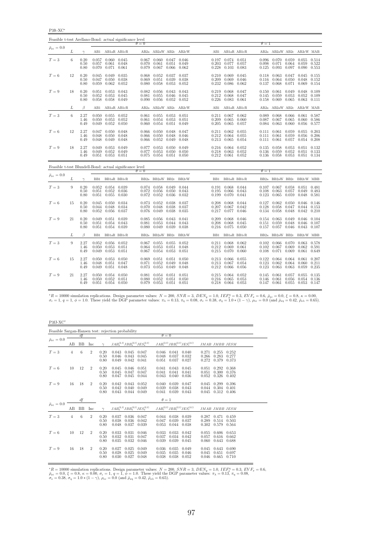P3ft-XC<sup>∗</sup>

| Feasible t-test Arellano-Bond: actual significance level |    |                      |                         |                                                                   |                                    |                         |                                                               |                         |                         |                |                                                                               |       |                         |                                                 |                         |                                                       |                |
|----------------------------------------------------------|----|----------------------|-------------------------|-------------------------------------------------------------------|------------------------------------|-------------------------|---------------------------------------------------------------|-------------------------|-------------------------|----------------|-------------------------------------------------------------------------------|-------|-------------------------|-------------------------------------------------|-------------------------|-------------------------------------------------------|----------------|
| $\bar{\rho}_{x\varepsilon}=0.0$                          |    |                      |                         |                                                                   |                                    | $\theta = 0$            |                                                               |                         |                         |                |                                                                               |       | $\theta = 1$            |                                                 |                         |                                                       |                |
|                                                          | L  | $\gamma$             |                         | AB1 AB1aR AB1cR                                                   |                                    |                         |                                                               |                         | AB2a AB2aW AB2c AB2cW   |                | AB1 AB1aR AB1cR                                                               |       |                         | AB2a AB2aW AB2c AB2cW MAB                       |                         |                                                       |                |
| $T=3$                                                    | 6  | 0.20<br>0.50<br>0.80 | 0.057<br>0.070          | 0.057 0.060 0.045<br>$0.071$ $0.061$                              | $0.061$ $0.048$                    | 0.067<br>0.070<br>0.079 | $0.060$ $0.047$ $0.046$<br>0.061<br>$0.067$ 0.066             | 0.051                   | 0.049<br>0.062          | 0.203<br>0.228 | 0.197 0.074 0.051<br>0.077 0.057<br>$0.103$ 0.083                             |       | 0.098<br>0.125          | $0.096$ $0.070$ $0.059$<br>0.071<br>0.093       | 0.064<br>0.097          | $0.055$ $0.514$<br>0.059<br>0.090                     | 0.522<br>0.553 |
| $T=6$                                                    | 12 | 0.20<br>0.50<br>0.80 | 0.045<br>0.047<br>0.059 | 0.049 0.035                                                       | $0.050$ $0.038$<br>$0.062$ $0.052$ | 0.068<br>0.069<br>0.080 | 0.052<br>0.051<br>0.058                                       | 0.037<br>0.039<br>0.053 | 0.037<br>0.038<br>0.052 | 0.209          | $0.210$ $0.069$ $0.045$<br>0.069 0.046<br>$0.232$ 0.086                       | 0.062 | 0.118<br>0.137          | 0.063<br>$0.116$ $0.064$<br>0.068               | 0.047<br>0.050<br>0.071 | $0.045$ 0.155<br>0.048<br>0.069                       | 0.152<br>0.154 |
| $T=9$                                                    | 18 | 0.20<br>0.50<br>0.80 | 0.051<br>0.052<br>0.058 | $0.053$ $0.043$<br>0.053<br>0.058                                 | 0.045<br>0.049                     | 0.082<br>0.081<br>0.090 | 0.056 0.043<br>0.055<br>$0.056$ 0.052                         | 0.046                   | 0.043<br>0.045<br>0.052 | 0.226          | 0.219 0.068 0.047<br>$0.212$ $0.068$<br>$0.083$ $0.061$                       | 0.047 | 0.145<br>0.158          | $0.150 \quad 0.061$<br>0.059<br>0.069           | 0.049<br>0.053<br>0.065 | $0.048$ 0.109<br>0.052<br>$0.063$ $0.111$             | 0.109          |
|                                                          | L  | $\beta$              | AB1                     | AB1aR AB1cR                                                       |                                    |                         |                                                               |                         | AB2a AB2aW AB2c AB2cW   | AB1            | AB1aR AB1cR                                                                   |       |                         | AB2a AB2aW AB2c AB2cW MAB                       |                         |                                                       |                |
| $T=3$                                                    | 6  | 2.27<br>1.46<br>0.49 | 0.050                   | $0.050$ $0.055$ $0.052$<br>0.053 0.052<br>$0.049$ $0.052$ $0.050$ |                                    | 0.061<br>0.060          | $0.061$ $0.055$ $0.053$ $0.051$<br>0.054<br>$0.054$ $0.051$   | 0.053                   | 0.051<br>0.049          | 0.209<br>0.205 | $0.211$ $0.067$ $0.062$<br>0.065 0.060<br>$0.065$ 0.057                       |       |                         | $0.089$ 0.068<br>$0.087$ 0.067<br>$0.084$ 0.063 | 0.066<br>0.065<br>0.060 | $0.061$ $0.587$<br>$0.060$ $0.586$<br>0.056 0.577     |                |
| $T=6$                                                    | 12 | 2.27<br>1.46<br>0.49 | 0.047<br>0.048<br>0.048 | $0.050$ $0.048$<br>0.050<br>0.049                                 | 0.048<br>0.048                     | 0.066<br>0.066<br>0.066 | $0.050$ $0.048$<br>0.050<br>0.052                             | 0.048<br>0.049          | 0.047<br>0.046<br>0.048 |                | $0.211$ $0.062$ $0.055$<br>$0.212$ $0.064$<br>$0.213$ $0.065$ $0.054$         | 0.055 | 0.111                   | $0.111$ $0.061$<br>0.061<br>$0.111$ $0.061$     | 0.059<br>0.059<br>0.057 | $0.055$ $0.203$<br>0.056<br>$0.054$ 0.208             | 0.206          |
| $T=9$                                                    | 18 | 2.27<br>1.46<br>0.49 | 0.049<br>0.049          | 0.052<br>$0.051$ $0.053$ $0.051$                                  | 0.053 0.049<br>0.049               | 0.077<br>0.077          | 0.053 0.050 0.049<br>0.053<br>$0.075$ $0.054$ $0.051$ $0.050$ | 0.050                   | 0.050                   |                | $0.216$ $0.064$ $0.052$<br>$0.218$ $0.063$ $0.052$<br>$0.212$ $0.061$ $0.052$ |       | 0.136                   | $0.135$ 0.058<br>0.059<br>$0.136$ $0.058$       | 0.053<br>0.052<br>0.053 | $0.051$ $0.132$<br>$0.051$ $0.133$<br>$0.051$ $0.134$ |                |
| Feasible t-test Blundell-Bond: actual significance level |    |                      |                         |                                                                   |                                    | $\theta = 0$            |                                                               |                         |                         |                |                                                                               |       | $\theta = 1$            |                                                 |                         |                                                       |                |
| $\bar{\rho}_{x\varepsilon} = 0.0$                        | L  | $\gamma$             |                         | BB1 BB1aR BB1cR                                                   |                                    |                         |                                                               |                         | BB2a BB2aW BB2c BB2cW   |                | BB1 BB1aR BB1cR                                                               |       |                         | BB2a BB2aW BB2c BB2cW MBB                       |                         |                                                       |                |
| $T=3$                                                    | 9  | 0.20<br>0.50<br>0.80 | 0.051<br>0.051          | $0.052$ $0.054$ $0.039$<br>0.052<br>0.055                         | 0.036<br>0.030                     | 0.072<br>0.072          | $0.074$ $0.058$ $0.049$ $0.044$<br>0.056<br>0.052             | 0.050<br>0.036          | 0.043<br>0.032          | 0.195<br>0.199 | 0.191 0.068 0.044<br>0.066<br>$0.070$ $0.041$                                 | 0.043 | 0.108<br>0.123          | $0.107$ 0.067<br>0.063<br>0.065                 | 0.058<br>0.057<br>0.059 | $0.051$ $0.481$<br>0.049<br>0.048                     | 0.483<br>0.581 |
| $T=6$                                                    | 15 | 0.20<br>0.50<br>0.80 | 0.044<br>0.052          | $0.045$ $0.050$ $0.034$<br>0.048<br>0.056                         | 0.034<br>0.037                     | 0.073<br>0.070<br>0.076 | 0.052 0.038<br>0.048<br>0.049                                 | 0.038<br>0.038          | 0.037<br>0.037<br>0.035 | 0.208<br>0.217 | 0.068 0.044<br>$0.207$ $0.067$ $0.042$<br>0.077 0.046                         |       | 0.128<br>0.134          | $0.127$ $0.062$<br>0.058<br>0.058               | 0.050<br>0.047<br>0.048 | $0.046$ 0.146<br>$0.044$ $0.153$<br>$0.042$ $0.210$   |                |
| $T=9$                                                    | 21 | 0.20<br>0.50<br>0.80 | 0.049<br>0.051<br>0.051 | 0.051 0.039<br>0.054<br>0.054 0.039                               | 0.043                              | 0.085<br>0.081<br>0.080 | 0.056 0.043<br>0.053<br>0.049                                 | 0.044<br>0.039          | 0.041<br>0.043<br>0.038 | 0.209<br>0.208 | $0.068$ 0.046<br>0.068<br>$0.216$ $0.075$ $0.050$                             | 0.045 | 0.151<br>0.157          | $0.154$ 0.063<br>0.059<br>0.057                 | 0.049<br>0.048<br>0.046 | $0.046$ $0.104$<br>0.046<br>$0.043$ $0.107$           | 0.107          |
|                                                          | L  | $\beta$              | BB1                     | BB1aR BB1cR                                                       |                                    |                         |                                                               |                         | BB2a BB2aW BB2c BB2cW   | BB1            | BB1aR BB1cR                                                                   |       |                         | BB2a BB2aW BB2c BB2cW MBB                       |                         |                                                       |                |
| $T=3$                                                    | 9  | 2.27<br>1.46<br>0.49 | 0.050<br>0.049          | $0.052$ $0.056$ $0.052$<br>0.053<br>$0.053$ $0.051$               | 0.051                              | 0.067<br>0.064<br>0.067 | $0.055$ $0.055$ $0.052$<br>0.053<br>$0.054$ 0.053             | 0.051                   | 0.048<br>0.051          |                | $0.211$ $0.068$ $0.062$<br>$0.212$ $0.069$ $0.061$<br>$0.215$ $0.070$ $0.060$ |       | 0.102<br>0.108          | $0.102$ $0.066$ $0.070$<br>0.067<br>0.071       | 0.069<br>0.069          | $0.063$ 0.578<br>$0.062$ $0.591$<br>0.061 0.649       |                |
| $T=6$                                                    | 15 | 2.27<br>1.46<br>0.49 | 0.050<br>0.048<br>0.049 | $0.053$ 0.050<br>0.051<br>0.051                                   | 0.047<br>0.048                     | 0.069<br>0.071<br>0.073 | $0.051$ $0.051$<br>0.052<br>0.053                             | 0.049<br>0.049          | 0.050<br>0.048<br>0.048 | 0.213          | $0.213$ $0.066$ $0.055$<br>0.067<br>$0.212$ $0.066$ $0.056$                   | 0.054 | 0.122<br>0.123<br>0.123 | 0.064<br>0.062<br>0.063                         | 0.064<br>0.064<br>0.063 | $0.061$ $0.207$<br>0.060<br>0.059                     | 0.211<br>0.235 |
| $T=9$                                                    | 21 | 2.27<br>1.46<br>0.49 | 0.050<br>0.051          | $0.050$ $0.054$ $0.050$<br>0.052<br>$0.054$ 0.050                 | 0.051                              | 0.081<br>0.080          | 0.054<br>0.052<br>$0.079$ $0.053$ $0.051$ $0.051$             | 0.051<br>0.051          | 0.051<br>0.050          |                | $0.215$ $0.064$ $0.052$<br>$0.216$ 0.065<br>$0.218$ $0.064$ $0.053$           | 0.053 | 0.145<br>0.146          | 0.061<br>0.061<br>$0.147$ $0.061$               | 0.057<br>0.056<br>0.055 | 0.055 0.135<br>$0.054$ $0.136$<br>$0.053$ $0.147$     |                |

 ${}^*R = 10000$  simulation replications. Design parameter values:  $N = 200$ ,  $SNR = 3$ ,  $DEN_y = 1.0$ ,  $IEF''_x = 0.3$ ,  $EVF_x = 0.6$ ,  $\bar{\rho}_{xx} = 0.0$ ,  $\xi = 0.8$ ,  $\kappa = 0.00$ ,<br> $\sigma_{\varepsilon} = 1$ ,  $q = 1$ ,  $\phi = 1.0$ . These yield the DGP paramet

P3fJ-XC<sup>∗</sup>

| Feasible Sargan-Hansen test: rejection probability |                |    |                |                      |                         |                               |                                           |                         |                         |                                           |                         |                               |                         |  |
|----------------------------------------------------|----------------|----|----------------|----------------------|-------------------------|-------------------------------|-------------------------------------------|-------------------------|-------------------------|-------------------------------------------|-------------------------|-------------------------------|-------------------------|--|
|                                                    |                | df |                |                      |                         |                               |                                           | $\theta = 0$            |                         |                                           |                         |                               |                         |  |
| $\bar{\rho}_{x\varepsilon}=0.0$                    | AВ             | BB | Inc            | $\sim$               |                         |                               | $JAB_a^{(2,1)}JBB_a^{(2,1)}JES_a^{(2,1)}$ |                         |                         | $JAB_c^{(2,1)}JBB_c^{(2,1)}JES_c^{(2,1)}$ | JMAB JMBB JESM          |                               |                         |  |
| $T=3$                                              | 4              | 6  | $\overline{2}$ | 0.20<br>0.50<br>0.80 | 0.043<br>0.046<br>0.049 | 0.045<br>0.043<br>0.042       | 0.047<br>0.045<br>0.041                   | 0.046<br>0.048<br>0.051 | 0.041<br>0.037<br>0.037 | 0.040<br>0.032<br>0.027                   | 0.271<br>0.266<br>0.272 | 0.255<br>0.283<br>0.379       | 0.252<br>0.277<br>0.373 |  |
| $T=6$                                              | 10             | 12 | $\overline{2}$ | 0.20<br>0.50<br>0.80 | 0.045<br>0.045<br>0.047 | 0.046<br>0.047<br>0.045       | 0.051<br>0.047<br>0.044                   | 0.041<br>0.041<br>0.043 | 0.043<br>0.041<br>0.040 | 0.045<br>0.041<br>0.036                   | 0.051<br>0.051<br>0.052 | 0.292<br>0.300<br>0.326       | 0.368<br>0.376<br>0.402 |  |
| $T=9$                                              | 16             | 18 | $\overline{2}$ | 0.20<br>0.50<br>0.80 | 0.042<br>0.042<br>0.043 | 0.043<br>0.040<br>0.044 0.049 | 0.052<br>0.049                            | 0.040<br>0.039<br>0.041 | 0.039<br>0.038<br>0.039 | 0.047<br>0.043<br>0.043                   | 0.045<br>0.044<br>0.045 | 0.299<br>0.304<br>0.312       | 0.396<br>0.401<br>0.406 |  |
|                                                    |                | df |                |                      |                         |                               |                                           | $\theta = 1$            |                         |                                           |                         |                               |                         |  |
| $\bar{\rho}_{x\varepsilon}=0.0$                    | AВ             | BB | Inc            | $\gamma$             |                         |                               | $JAB_a^{(2,1)}JBB_a^{(2,1)}JES_a^{(2,1)}$ |                         |                         | $JAB_c^{(2,1)}JBB_c^{(2,1)}JES_c^{(2,1)}$ | JMAB JMBB JESM          |                               |                         |  |
| $T=3$                                              | $\overline{4}$ | 6  | $\overline{2}$ | 0.20<br>0.50<br>0.80 | 0.037<br>0.038<br>0.048 | 0.036<br>0.036<br>0.037       | 0.047<br>0.042<br>0.039                   | 0.044<br>0.047<br>0.053 | 0.038<br>0.039<br>0.044 | 0.039<br>0.037<br>0.038                   | 0.287<br>0.289<br>0.302 | 0.471<br>0.514<br>0.579       | 0.459<br>0.503<br>0.564 |  |
| $T=6$                                              | 10             | 12 | $\overline{2}$ | 0.20<br>0.50<br>0.80 | 0.033<br>0.032<br>0.035 | 0.031<br>0.031<br>0.032       | 0.046<br>0.047<br>0.046                   | 0.033<br>0.037<br>0.039 | 0.033<br>0.034<br>0.039 | 0.042<br>0.042<br>0.045                   | 0.055<br>0.057<br>0.060 | 0.606<br>0.616<br>0.643       | 0.653<br>0.662<br>0.688 |  |
| $T=9$                                              | 16             | 18 | $\overline{2}$ | 0.20<br>0.50<br>0.80 | 0.027<br>0.028<br>0.030 | 0.025<br>0.025<br>0.027       | 0.049<br>0.049<br>0.048                   | 0.036<br>0.035<br>0.038 | 0.035<br>0.035<br>0.038 | 0.049<br>0.046<br>0.052                   | 0.045<br>0.045<br>0.046 | 0.643<br>0.651<br>0.665 0.710 | 0.690<br>0.697          |  |

 ${}^*R = 10000$  simulation replications. Design parameter values:  $N = 200$ ,  $SNR = 3$ ,  $DEN_y = 1.0$ ,  $IEF_x^{\eta} = 0.3$ ,  $EVF_x = 0.6$ ,  $\bar{\rho}_{xe} = 0.0$ ,  $\xi = 0.8$ ,  $\kappa = 0.00$ ,  $\sigma_{\varepsilon} = 1$ ,  $q = 1$ ,  $\phi = 1.0$ . These yield the DGP param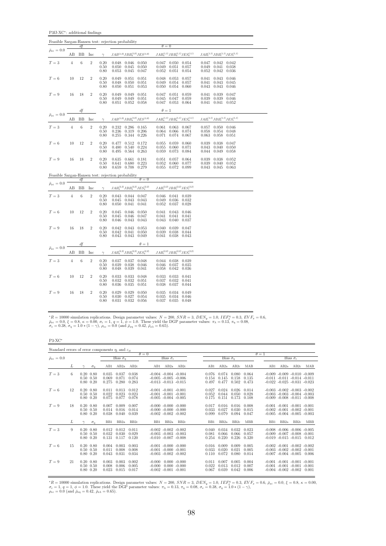P3fJ-XC<sup>∗</sup> : additional findings

|                                                          | Feasible Sargan-Hansen test: rejection probability<br>$\theta = 0$<br>df<br>$JAB^{(1,0)}JBB^{(1,0)}_aJES^{(1,0)} \qquad JAB^{(1,1)}_aJBB^{(1,1)}_aJES^{(1,1)}_a$<br>$JAB_c^{(1,1)}JBB_c^{(1,1)}JES_c^{(1,1)}$<br>$\gamma$<br>BB<br>AB<br>Inc |                 |                  |                      |                                                                                        |                                                                            |                                                     |  |  |  |  |  |  |  |
|----------------------------------------------------------|----------------------------------------------------------------------------------------------------------------------------------------------------------------------------------------------------------------------------------------------|-----------------|------------------|----------------------|----------------------------------------------------------------------------------------|----------------------------------------------------------------------------|-----------------------------------------------------|--|--|--|--|--|--|--|
| $\bar{\rho}_{x\varepsilon}=0.0$                          |                                                                                                                                                                                                                                              |                 |                  |                      |                                                                                        |                                                                            |                                                     |  |  |  |  |  |  |  |
|                                                          |                                                                                                                                                                                                                                              |                 |                  |                      |                                                                                        |                                                                            |                                                     |  |  |  |  |  |  |  |
| $T=3$                                                    | $\overline{4}$                                                                                                                                                                                                                               | 6               | $\overline{2}$   | 0.20<br>0.50         | $0.048$ $0.046$ $0.050$<br>0.050<br>0.045<br>0.050                                     | $0.047$ $0.050$ $0.054$<br>0.049<br>0.051<br>0.057                         | $0.047$ $0.042$ $0.042$<br>0.049<br>0.041<br>0.038  |  |  |  |  |  |  |  |
|                                                          |                                                                                                                                                                                                                                              |                 |                  | 0.80                 | 0.047<br>0.053<br>0.045                                                                | 0.052<br>0.051<br>0.054                                                    | 0.052<br>0.042<br>0.036                             |  |  |  |  |  |  |  |
| $T=6$                                                    | 10                                                                                                                                                                                                                                           | 12              | $\overline{2}$   | 0.20                 | 0.049<br>0.051<br>0.051                                                                | $\,0.053\,$<br>0.057<br>0.048                                              | 0.041<br>0.043<br>0.046                             |  |  |  |  |  |  |  |
|                                                          |                                                                                                                                                                                                                                              |                 |                  | 0.50<br>0.80         | 0.048<br>0.050<br>0.051<br>0.050<br>0.051<br>0.053                                     | 0.049<br>0.054<br>0.057<br>0.050<br>0.054<br>0.060                         | 0.041<br>0.043<br>0.045<br>0.043<br>0.043<br>0.046  |  |  |  |  |  |  |  |
| $T=9$                                                    | 16                                                                                                                                                                                                                                           | 18              | $\overline{2}$   | 0.20                 | 0.049<br>$0.049$ $0.051$                                                               | 0.047<br>0.051<br>0.059                                                    | 0.041 0.039<br>0.047                                |  |  |  |  |  |  |  |
|                                                          |                                                                                                                                                                                                                                              |                 |                  | 0.50<br>0.80         | 0.049 0.049<br>0.051<br>$0.051$ $0.052$ $0.058$                                        | 0.045<br>0.047<br>0.059<br>0.047<br>0.053 0.064                            | 0.039 0.039<br>0.046<br>$0.041$ $0.041$ $0.052$     |  |  |  |  |  |  |  |
|                                                          |                                                                                                                                                                                                                                              | df              |                  |                      |                                                                                        | $\theta = 1$                                                               |                                                     |  |  |  |  |  |  |  |
| $\bar{\rho}_{x\varepsilon}=0.0$                          | AВ                                                                                                                                                                                                                                           | BB              | Inc              | $\gamma$             | $JAB^{\left( 1,0\right) }JBB_{a}^{\left( 1,0\right) }JES^{\left( 1,0\right) }$         | $JAB_a^{(1,1)}JBB_a^{(1,1)}JES_a^{(1,1)}$                                  | $JAB_c^{(1,1)}JBB_c^{(1,1)}JES_c^{(1,1)}$           |  |  |  |  |  |  |  |
| $T=3$                                                    | $\overline{4}$                                                                                                                                                                                                                               | 6               | $\overline{2}$   | 0.20                 | $0.232$ $0.286$ $0.165$                                                                | 0.061<br>0.063 0.067                                                       | 0.057<br>0.050<br>0.046                             |  |  |  |  |  |  |  |
|                                                          |                                                                                                                                                                                                                                              |                 |                  | 0.50<br>0.80         | 0.236<br>0.319<br>0.206<br>0.255<br>0.344 0.226                                        | 0.064<br>0.066<br>0.074<br>$0.074\,$<br>0.071<br>0.067                     | 0.058<br>0.054<br>0.048<br>0.063<br>0.058<br>0.051  |  |  |  |  |  |  |  |
|                                                          |                                                                                                                                                                                                                                              |                 |                  |                      |                                                                                        |                                                                            |                                                     |  |  |  |  |  |  |  |
| $T=6$                                                    | 10                                                                                                                                                                                                                                           | 12              | $\overline{2}$   | 0.20<br>0.50         | 0.477<br>0.512 0.172<br>0.480<br>0.540<br>0.224                                        | 0.059<br>0.055<br>0.060<br>0.060<br>0.055<br>0.071                         | 0.039<br>0.038<br>0.047<br>0.043<br>0.040<br>0.050  |  |  |  |  |  |  |  |
|                                                          |                                                                                                                                                                                                                                              |                 |                  | 0.80                 | 0.495<br>0.564<br>0.263                                                                | 0.059<br>0.073<br>0.084                                                    | 0.044<br>0.049<br>0.058                             |  |  |  |  |  |  |  |
| $T=9$                                                    | 16                                                                                                                                                                                                                                           | 18              | $\overline{2}$   | 0.20<br>0.50         | 0.635<br>$0.661$ $0.181$<br>0.680 0.223<br>0.641                                       | 0.051<br>0.057<br>0.064<br>0.052<br>0.060<br>0.077                         | $0.039$ $0.038$<br>0.052<br>0.039<br>0.040<br>0.052 |  |  |  |  |  |  |  |
|                                                          |                                                                                                                                                                                                                                              |                 |                  | 0.80                 | 0.659<br>0.708 0.279                                                                   | 0.055<br>0.072 0.099                                                       | $0.043$ $0.045$<br>0.063                            |  |  |  |  |  |  |  |
|                                                          |                                                                                                                                                                                                                                              | df              |                  |                      | Feasible Sargan-Hansen test: rejection probability<br>$\theta = 0$                     |                                                                            |                                                     |  |  |  |  |  |  |  |
| $\bar{\rho}_{x\varepsilon}=0.0$                          |                                                                                                                                                                                                                                              |                 |                  |                      |                                                                                        |                                                                            |                                                     |  |  |  |  |  |  |  |
|                                                          | AB                                                                                                                                                                                                                                           | BB              | Inc              | $\gamma$             | $JAB_a^{(2,2)}JBB_a^{(2,2)}JES_a^{(2,2)}$                                              | $JAB_c^{(2,2)}JBB_c^{(2,2)}JES_c^{(2,2)}$                                  |                                                     |  |  |  |  |  |  |  |
| $T=3$                                                    |                                                                                                                                                                                                                                              |                 |                  |                      |                                                                                        |                                                                            |                                                     |  |  |  |  |  |  |  |
|                                                          | $\overline{4}$                                                                                                                                                                                                                               | $6\phantom{1}6$ | $\overline{2}$   | 0.20                 | $0.043$ $0.044$ $0.047$                                                                | $0.046$ $0.041$ $0.039$<br>0.032                                           |                                                     |  |  |  |  |  |  |  |
|                                                          |                                                                                                                                                                                                                                              |                 |                  | 0.50<br>0.80         | 0.045<br>0.043 0.043<br>0.041<br>0.050<br>0.041                                        | 0.049<br>0.036<br>0.052<br>0.037<br>0.028                                  |                                                     |  |  |  |  |  |  |  |
| $T=6$                                                    | 10                                                                                                                                                                                                                                           | 12              | $\overline{2}$   | 0.20                 | 0.045<br>$0.046$ 0.050                                                                 | 0.043<br>0.046<br>0.041                                                    |                                                     |  |  |  |  |  |  |  |
|                                                          |                                                                                                                                                                                                                                              |                 |                  | 0.50<br>0.80         | 0.045<br>0.047<br>0.046<br>0.046<br>0.043<br>0.043                                     | 0.041<br>0.041<br>0.041<br>0.043<br>0.040<br>0.037                         |                                                     |  |  |  |  |  |  |  |
| $T=9$                                                    | 16                                                                                                                                                                                                                                           | 18              | $\boldsymbol{2}$ | 0.20                 | 0.042<br>0.043<br>0.053                                                                | 0.040<br>0.039<br>0.047                                                    |                                                     |  |  |  |  |  |  |  |
|                                                          |                                                                                                                                                                                                                                              |                 |                  | 0.50<br>0.80         | 0.042<br>0.050<br>0.041<br>$0.043$ $0.043$ $0.049$                                     | 0.039<br>0.038<br>0.044<br>$0.041$ $0.038$ $0.043$                         |                                                     |  |  |  |  |  |  |  |
|                                                          |                                                                                                                                                                                                                                              | df              |                  |                      | $\theta = 1$                                                                           |                                                                            |                                                     |  |  |  |  |  |  |  |
| $\bar{\rho}_{x\varepsilon}=0.0$ $\overline{\phantom{0}}$ | AB                                                                                                                                                                                                                                           | BB              | Inc              | $\gamma$             | $JAB_{a}^{\left( 2,2\right) }JBB_{a}^{\left( 2,2\right) }JES_{a}^{\left( 2,2\right) }$ | $JAB_c^{(2,2)}JBB_c^{(2,2)}JES_c^{(2,2)}$                                  |                                                     |  |  |  |  |  |  |  |
| $T=3$                                                    | $\overline{4}$                                                                                                                                                                                                                               | 6               | $\overline{2}$   | 0.20                 | $0.037$ $0.037$ $0.048$                                                                | 0.044 0.038 0.039                                                          |                                                     |  |  |  |  |  |  |  |
|                                                          |                                                                                                                                                                                                                                              |                 |                  | 0.50<br>0.80         | 0.039<br>0.038<br>0.046<br>0.048<br>0.041                                              | 0.046<br>0.037<br>0.035<br>0.058<br>0.042<br>0.036                         |                                                     |  |  |  |  |  |  |  |
|                                                          |                                                                                                                                                                                                                                              |                 |                  |                      | 0.039                                                                                  |                                                                            |                                                     |  |  |  |  |  |  |  |
| $T=6$                                                    | 10                                                                                                                                                                                                                                           | 12              | $\overline{2}$   | 0.20<br>0.50         | 0.033<br>0.033<br>0.048<br>0.032<br>0.032<br>0.051                                     | 0.033<br>0.033<br>0.041<br>0.037<br>0.032<br>0.041                         |                                                     |  |  |  |  |  |  |  |
|                                                          |                                                                                                                                                                                                                                              |                 |                  | 0.80                 | 0.036<br>0.035<br>0.051                                                                | 0.038<br>0.037<br>0.044                                                    |                                                     |  |  |  |  |  |  |  |
| $T=9$                                                    | 16                                                                                                                                                                                                                                           | 18              | $\boldsymbol{2}$ | 0.20<br>0.50<br>0.80 | 0.029<br>0.029<br>0.050<br>0.030<br>0.027<br>0.054<br>$0.031$ $0.032$ $0.056$          | 0.035<br>0.034<br>0.049<br>0.035<br>0.034<br>0.046<br>0.037<br>0.035 0.048 |                                                     |  |  |  |  |  |  |  |

 ${}^*R = 10000$  simulation replications. Design parameter values:  $N = 200$ ,  $SNR = 3$ ,  $DEN_y = 1.0$ ,  $IEF_x^{\eta} = 0.3$ ,  $EVF_x = 0.6$ ,  $\bar{\rho}_{xe} = 0.0$ ,  $\xi = 0.8$ ,  $\kappa = 0.00$ ,  $\sigma_{\varepsilon} = 1$ ,  $q = 1$ ,  $\phi = 1.0$ . These yield the DGP param

P3-XC<sup>∗</sup>

| Standard errors of error components $\eta_i$ and $\varepsilon_{it}$ |    |                                                        |            |                         |                         |                         |                      |                                                                                      |                                    |                         |                                   |                         |                         |                 |                                                                                                                   |                                 |     |
|---------------------------------------------------------------------|----|--------------------------------------------------------|------------|-------------------------|-------------------------|-------------------------|----------------------|--------------------------------------------------------------------------------------|------------------------------------|-------------------------|-----------------------------------|-------------------------|-------------------------|-----------------|-------------------------------------------------------------------------------------------------------------------|---------------------------------|-----|
|                                                                     |    |                                                        |            |                         |                         |                         | $\theta = 0$         |                                                                                      |                                    |                         |                                   |                         |                         | $\theta = 1$    |                                                                                                                   |                                 |     |
| $\bar{\rho}_{x\epsilon}=0.0$                                        |    |                                                        |            |                         | Bias $\sigma_{\eta}$    |                         |                      | Bias $\hat{\sigma}_{\varepsilon}$                                                    |                                    |                         | Bias $\hat{\sigma}_n$             |                         |                         |                 |                                                                                                                   | Bias $\hat{\sigma}_\varepsilon$ |     |
|                                                                     | L  |                                                        | $\sigma_n$ | AB1                     | AB2a                    | AB2c                    |                      | AB1 AB2a AB2c                                                                        |                                    | AB1                     | AB <sub>2a</sub> AB <sub>2c</sub> |                         | MAB                     | AB1             | AB2a                                                                                                              | AB2c                            | MAB |
| $T=3$                                                               | 6. | $0.20\ 0.80$<br>$0.50 \quad 0.50$<br>$0.80\ 0.20$      |            | 0.035<br>0.069<br>0.275 | 0.037<br>0.071<br>0.280 | 0.038<br>0.074<br>0.283 |                      | $-0.004$ $-0.004$ $-0.004$<br>$-0.005 - 0.005 - 0.006$<br>$-0.013 - 0.013 - 0.015$   |                                    | 0.076<br>0.154<br>0.497 | 0.074<br>0.145<br>0.477           | 0.080<br>0.158<br>0.502 | 0.064<br>0.135<br>0.473 |                 | $-0.009 - 0.009 - 0.010 - 0.009$<br>$-0.011$ $-0.011$ $-0.014$ $-0.011$<br>$-0.022$ $-0.025$ $-0.031$ $-0.023$    |                                 |     |
| $T=6$                                                               | 12 | $0.20\ 0.80$<br>$0.50 \quad 0.50$<br>$0.80 \quad 0.20$ |            | 0.011<br>0.022<br>0.075 | 0.013<br>0.023<br>0.077 | 0.012<br>0.023<br>0.078 |                      | $-0.001$ $-0.001$ $-0.001$<br>$-0.001$ $-0.001$ $-0.001$<br>$-0.005 - 0.004 - 0.005$ |                                    | 0.027<br>0.052<br>0.175 | 0.024<br>0.044<br>$0.151$ $0.173$ | 0.026<br>0.050          | 0.014<br>0.028<br>0.108 |                 | $-0.003$ $-0.002$ $-0.003$ $-0.002$<br>$-0.003$ $-0.003$ $-0.004$ $-0.003$<br>$-0.009 - 0.008 - 0.011 - 0.008$    |                                 |     |
| $T=9$                                                               | 18 | $0.20\ 0.80$<br>$0.50 \quad 0.50$<br>$0.80 \quad 0.20$ |            | 0.007<br>0.014<br>0.038 | 0.009<br>0.016<br>0.040 | 0.007<br>0.014<br>0.039 |                      | $-0.000 - 0.000 - 0.000$<br>$-0.000 - 0.000 - 0.000$<br>$-0.002 - 0.002 - 0.002$     |                                    | 0.017<br>0.033<br>0.099 | 0.016<br>0.027<br>0.079           | 0.016<br>0.030<br>0.094 | 0.008<br>0.015<br>0.047 |                 | $-0.001$ $-0.001$ $-0.001$ $-0.001$<br>$-0.002$ $-0.001$ $-0.002$ $-0.001$<br>$-0.005$ $-0.004$ $-0.005$ $-0.003$ |                                 |     |
|                                                                     | L  |                                                        | $\sigma_n$ | B <sub>B1</sub>         | BB <sub>2a</sub>        | BB2c                    | BB1                  | BB <sub>2a</sub>                                                                     | BB2c                               | BB1                     | BB <sub>2a</sub>                  | BB <sub>2c</sub>        | <b>MBB</b>              | B <sub>B1</sub> | BB <sub>2a</sub>                                                                                                  | BB2c                            | MBB |
| $T=3$                                                               | 9  | $0.20\ 0.80$<br>$0.50 \quad 0.50$<br>$0.80 \quad 0.20$ |            | 0.012<br>0.032<br>0.131 | 0.012<br>0.030<br>0.117 | 0.011<br>0.029<br>0.120 |                      | $-0.002$ $-0.002$ $-0.002$<br>$-0.003$ $-0.003$ $-0.003$<br>$-0.010 - 0.007 - 0.008$ |                                    | 0.040<br>0.081<br>0.254 | 0.034<br>0.066<br>0.220           | 0.032<br>0.066<br>0.226 | 0.023<br>0.057<br>0.320 |                 | $-0.008$ $-0.006$ $-0.006$ $-0.005$<br>$-0.009$ $-0.007$ $-0.008$ $-0.001$<br>$-0.019 - 0.015 - 0.015$ 0.012      |                                 |     |
| $T=6$                                                               | 15 | $0.20\ 0.80$<br>$0.50 \quad 0.50$<br>$0.80 \quad 0.20$ |            | 0.004<br>0.011<br>0.043 | 0.003<br>0.008<br>0.031 | 0.003<br>0.008<br>0.034 |                      | $-0.001 - 0.000 - 0.000$<br>$-0.001 - 0.000 - 0.001$<br>$-0.003 - 0.002 - 0.002$     |                                    | 0.016<br>0.033<br>0.110 | 0.009<br>0.020<br>0.072           | 0.009<br>0.021<br>0.080 | 0.005<br>0.005<br>0.014 |                 | $-0.002 - 0.001 - 0.002 - 0.002$<br>$-0.003$ $-0.002$ $-0.002$ $-0.001$<br>$-0.007$ $-0.004$ $-0.005$ 0.006       |                                 |     |
| $T=9$                                                               | 21 | $0.20\ 0.80$<br>$0.50 \quad 0.50$<br>$0.80 \quad 0.20$ |            | 0.003<br>0.008<br>0.023 | 0.003<br>0.006<br>0.015 | 0.002<br>0.005<br>0.017 | $-0.000$<br>$-0.000$ | $-0.002 - 0.001 - 0.001$                                                             | $0.000 - 0.000$<br>$0.000 - 0.000$ | 0.011<br>0.022<br>0.067 | 0.007<br>0.013<br>0.039           | 0.005<br>0.012<br>0.042 | 0.004<br>0.007<br>0.006 |                 | $-0.001$ $-0.001$ $-0.001$ $-0.001$<br>$-0.001$ $-0.001$ $-0.001$ $-0.001$<br>$-0.004$ $-0.002$ $-0.002$ 0.001    |                                 |     |

 ${}^{*}R = 10000$  simulation replications. Design parameter values:  $N = 200$ ,  $SNR = 3$ ,  $DEN_y = 1.0$ ,  $IEF_x^{\eta} = 0.3$ ,  $EVF_x = 0.6$ ,  $\bar{\rho}_{xz} = 0.0$ ,  $\xi = 0.8$ ,  $\kappa = 0.00$ ,<br>  $\sigma_{\varepsilon} = 1$ ,  $q = 1$ ,  $\phi = 1.0$ . These yield the DGP par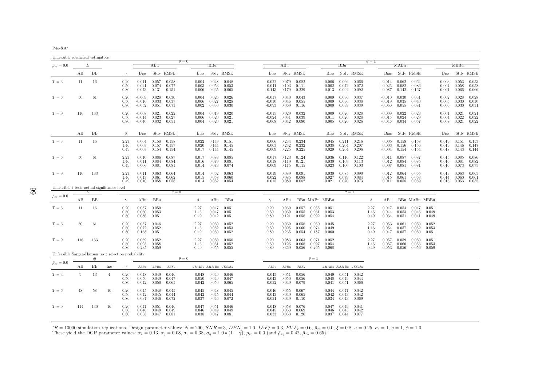| $411 - 2$ | ヽ |  |
|-----------|---|--|

| Unfeasible coefficient estimators                    |     |     |                |                      |                                  |                         |                         |                            |                                   |                         |                                  |                                 |                         |                         |                               |                                 |                         |                      |                                  |                                   |                         |                         |                            |                                 |                                   |
|------------------------------------------------------|-----|-----|----------------|----------------------|----------------------------------|-------------------------|-------------------------|----------------------------|-----------------------------------|-------------------------|----------------------------------|---------------------------------|-------------------------|-------------------------|-------------------------------|---------------------------------|-------------------------|----------------------|----------------------------------|-----------------------------------|-------------------------|-------------------------|----------------------------|---------------------------------|-----------------------------------|
| $\bar{\rho}_{x\varepsilon}=0.0$                      |     | L   |                |                      |                                  | ABu                     |                         | $\theta = 0$               | BBu                               |                         |                                  | ABu                             |                         |                         |                               | <b>BBu</b>                      |                         | $\theta=1$           |                                  | MABu                              |                         |                         |                            | MBBu                            |                                   |
|                                                      | AВ  | BB  |                | $\gamma$             | <b>Bias</b>                      |                         | Stdy RMSE               | Bias                       |                                   | Stdy RMSE               | Bias                             |                                 | Stdy RMSE               |                         | <b>Bias</b>                   |                                 | Stdy RMSE               |                      | Bias                             |                                   | Stdy RMSE               |                         | Bias                       |                                 | Stdy RMSE                         |
| $T=3$                                                | 11  | 16  |                | 0.20<br>0.50<br>0.80 | $-0.011$<br>$-0.021$<br>$-0.073$ | 0.057<br>0.074<br>0.131 | 0.058<br>0.077<br>0.151 | 0.004<br>0.003<br>$-0.006$ | 0.048<br>0.053<br>0.065           | 0.048<br>0.053<br>0.065 | $-0.022$<br>$-0.041$<br>$-0.143$ | 0.079<br>0.103<br>0.179         | 0.082<br>0.111<br>0.229 |                         | 0.006<br>0.002<br>$-0.013$    | 0.066<br>0.072<br>0.092         | 0.066<br>0.072<br>0.092 |                      | $-0.014$<br>$-0.026$<br>$-0.087$ | 0.062<br>0.082<br>0.142           | 0.064<br>0.086<br>0.167 |                         | 0.003<br>0.004<br>$-0.001$ | 0.053<br>0.058<br>0.066         | 0.053<br>0.058<br>0.066           |
| $T=6$                                                | 50  | 61  |                | 0.20<br>0.50<br>0.80 | $-0.009$<br>$-0.016$<br>$-0.052$ | 0.028<br>0.033<br>0.051 | 0.030<br>0.037<br>0.073 | 0.004<br>0.006<br>0.002    | 0.026<br>0.027<br>0.030           | 0.026<br>0.028<br>0.030 | $-0.017$<br>$-0.030$<br>-0.093   | 0.040<br>0.046<br>0.069         | 0.043<br>0.055<br>0.116 |                         | 0.009<br>0.009<br>0.000       | 0.036<br>0.036<br>0.039         | 0.037<br>0.038<br>0.039 |                      | $-0.010$<br>$-0.019$<br>$-0.060$ | 0.030<br>0.035<br>0.055           | 0.031<br>0.040<br>0.081 |                         | 0.002<br>0.005<br>0.006    | 0.028<br>0.030<br>0.030         | 0.028<br>0.030<br>0.031           |
| $T=9$                                                | 116 | 133 |                | 0.20<br>0.50<br>0.80 | $-0.008$<br>$-0.014$<br>$-0.040$ | 0.021<br>0.023<br>0.032 | 0.022<br>0.027<br>0.051 | 0.004<br>0.006<br>0.004    | 0.019<br>0.020<br>0.020           | 0.020<br>0.021<br>0.021 | $-0.015$<br>$-0.024$<br>$-0.068$ | 0.029<br>0.031<br>0.042         | 0.032<br>0.039<br>0.080 |                         | 0.009<br>0.011<br>0.005       | 0.026<br>0.026<br>0.026         | 0.028<br>0.028<br>0.026 |                      | $-0.009$<br>$-0.015$<br>$-0.046$ | 0.022<br>0.024<br>0.034           | 0.023<br>0.029<br>0.057 |                         | 0.001<br>0.004<br>0.008    | 0.021<br>0.022<br>0.021         | 0.021<br>0.022<br>0.022           |
|                                                      | AВ  | BB  |                | $\beta$              | Bias                             |                         | Stdy RMSE               | <b>Bias</b>                |                                   | Stdy RMSE               | Bias                             |                                 | Stdy RMSE               |                         | <b>Bias</b>                   |                                 | Stdy RMSE               |                      | <b>Bias</b>                      |                                   | Stdy RMSE               |                         | Bias                       |                                 | Stdy RMSE                         |
| $T=3$                                                | 11  | 16  |                | 2.27<br>1.46<br>0.49 | 0.004<br>0.003<br>$-0.003$       | 0.158<br>0.157<br>0.154 | 0.158<br>0.157<br>0.154 | 0.022<br>0.020             | 0.149<br>0.144<br>$0.017$ 0.144   | 0.151<br>0.145<br>0.145 | 0.006<br>0.003<br>$-0.009$       | 0.234<br>0.232<br>0.225         | 0.234<br>0.232<br>0.225 |                         | 0.045<br>0.038<br>0.029       | 0.211<br>0.204<br>0.204         | 0.216<br>0.207<br>0.206 |                      | 0.005<br>0.003                   | 0.158<br>0.156<br>$-0.004$ 0.154  | 0.158<br>0.156<br>0.154 |                         | 0.019<br>0.019             | 0.146<br>$0.018$ 0.143          | $0.151$ $0.153$<br>0.147<br>0.144 |
| $T=6$                                                | 50  | 61  |                | 2.27<br>1.46<br>0.49 | 0.010<br>0.011<br>0.006          | 0.086<br>0.084<br>0.081 | 0.087<br>0.084<br>0.081 | 0.017<br>0.016<br>0.014    | 0.083<br>0.079<br>0.073           | 0.085<br>0.081<br>0.074 | 0.018<br>0.009                   | $0.017$ 0.123<br>0.119<br>0.115 | 0.124<br>0.121<br>0.115 |                         | 0.036<br>0.030<br>0.023       | 0.116<br>0.109<br>0.100         | 0.122<br>0.113<br>0.103 |                      | 0.011<br>0.012<br>0.007          | 0.087<br>0.084<br>0.081           | 0.087<br>0.085<br>0.081 |                         | 0.015<br>0.016<br>0.016    | 0.085<br>0.081<br>0.073         | 0.086<br>0.082<br>0.075           |
| $T=9$                                                | 116 | 133 |                | 2.27<br>1.46<br>0.49 | 0.011<br>0.013<br>0.010          | 0.063<br>0.061<br>0.058 | 0.064<br>0.062<br>0.058 | 0.014<br>0.015             | 0.062<br>0.058<br>$0.014$ $0.052$ | 0.063<br>0.060<br>0.054 | 0.019<br>0.022                   | 0.089<br>0.085<br>$0.015$ 0.080 | 0.091<br>0.088<br>0.082 |                         | 0.030<br>0.027<br>0.021       | 0.085<br>0.079<br>0.070         | 0.090<br>0.084<br>0.073 |                      | 0.012<br>0.015                   | 0.064<br>0.061<br>$0.011$ $0.058$ | 0.065<br>0.063<br>0.059 |                         | 0.013<br>0.014             | 0.063<br>0.060<br>$0.016$ 0.053 | 0.065<br>0.061<br>0.055           |
| Unfeasible t-test: actual significance level         |     |     |                |                      |                                  |                         | $\theta = 0$            |                            |                                   |                         |                                  |                                 |                         |                         |                               | $\theta = 1$                    |                         |                      |                                  |                                   |                         |                         |                            |                                 |                                   |
| $\bar{\rho}_{x\varepsilon}=0.0$                      | AВ  | BB  |                | $\gamma$             | ABu                              | BBu                     |                         | B                          | ABu                               | BBu                     | $\gamma$                         | ABu                             |                         |                         | BBu MABu MBBu                 |                                 |                         | B                    | ABu                              |                                   |                         | BBu MABu MBBu           |                            |                                 |                                   |
| $T=3$                                                | 11  | 16  |                | 0.20<br>0.50<br>0.80 | 0.057<br>0.060<br>0.086          | 0.050<br>0.053<br>0.051 |                         | 2.27<br>1.46<br>0.49       | 0.047<br>0.047<br>0.042           | 0.051<br>0.051<br>0.051 | 0.20<br>0.50<br>0.80             | 0.060<br>0.069<br>0.121         | 0.057<br>0.055<br>0.058 | 0.055<br>0.061<br>0.092 | 0.051<br>0.053<br>0.054       |                                 |                         | 2.27<br>1.46<br>0.49 | 0.047<br>0.044<br>0.034          | 0.054<br>0.053<br>0.051           | 0.047<br>0.046<br>0.041 | 0.051<br>0.049<br>0.049 |                            |                                 |                                   |
| $T=6$                                                | 50  | 61  |                | 0.20<br>0.50<br>0.80 | 0.057<br>0.072<br>0.168          | 0.046<br>0.052<br>0.051 |                         | 2.27<br>1.46<br>0.49       | 0.050<br>0.052<br>0.050           | 0.052<br>0.053<br>0.052 | 0.20<br>0.50<br>0.80             | 0.069<br>0.095<br>0.265         | 0.058<br>0.060<br>0.054 | 0.060<br>0.074<br>0.187 | 0.045<br>0.049<br>0.060       |                                 |                         | 2.27<br>1.46<br>0.49 | 0.053<br>0.054<br>0.047          | 0.061<br>0.057<br>0.057           | 0.050<br>0.052<br>0.050 | 0.052<br>0.053<br>0.051 |                            |                                 |                                   |
| $T=9$                                                | 116 | 133 |                | 0.20<br>0.50<br>0.80 | 0.069<br>0.093<br>0.235          | 0.052<br>0.058<br>0.059 |                         | 2.27<br>1.46<br>0.49       | 0.050<br>0.051<br>0.055           | 0.050<br>0.052<br>0.055 | 0.20<br>0.50<br>0.80             | 0.083<br>0.125<br>0.369         | 0.063<br>0.068<br>0.056 | 0.071<br>0.097<br>0.265 | 0.052<br>0.054<br>0.068       |                                 |                         | 2.27<br>1.46<br>0.49 | 0.057<br>0.057<br>0.053          | 0.059<br>0.060<br>0.056           | 0.050<br>0.053<br>0.056 | 0.051<br>0.053<br>0.059 |                            |                                 |                                   |
| Unfeasible Sargan-Hansen test: rejection probability |     | df  |                |                      |                                  |                         |                         | $\theta = 0$               |                                   |                         |                                  |                                 |                         | $\theta = 1$            |                               |                                 |                         |                      |                                  |                                   |                         |                         |                            |                                 |                                   |
| $\bar{\rho}_{x\varepsilon}=0.0$                      | AВ  | BB  | Inc            | $\gamma$             | JABu                             | JBBu                    | JESu                    |                            | JMABu JMMBu JESMu                 |                         | JABu                             | JBBu                            | JESu                    |                         | $JMABu\quad JMMBu\quad JESMu$ |                                 |                         |                      |                                  |                                   |                         |                         |                            |                                 |                                   |
| $T=3$                                                | -9  | 13  | $\overline{4}$ | 0.20<br>0.50<br>0.80 | 0.048<br>0.050<br>0.042          | 0.049<br>0.049<br>0.050 | 0.046<br>0.047<br>0.065 | 0.048<br>0.050<br>0.042    | 0.049<br>0.049<br>0.050           | 0.046<br>0.047<br>0.065 | 0.045<br>0.043<br>0.032          | 0.051<br>0.050<br>0.049         | 0.056<br>0.056<br>0.079 |                         | 0.049<br>0.048<br>0.041       | 0.051<br>0.049<br>0.051         | 0.042<br>0.044<br>0.066 |                      |                                  |                                   |                         |                         |                            |                                 |                                   |
| $T=6$                                                | 48  | 58  | 10             | 0.20<br>0.50<br>0.80 | 0.045<br>0.042<br>0.037          | 0.048<br>0.045<br>0.046 | 0.045<br>0.044<br>0.072 | 0.045<br>0.042<br>0.037    | 0.048<br>0.045<br>0.046           | 0.045<br>0.044<br>0.072 | 0.046<br>0.043<br>0.031          | 0.055<br>0.049<br>0.049         | 0.067<br>0.065<br>0.110 |                         | 0.044<br>0.042<br>0.034       | 0.047<br>0.043<br>0.043         | 0.042<br>0.042<br>0.069 |                      |                                  |                                   |                         |                         |                            |                                 |                                   |
| $T=9$                                                | 114 | 130 | 16             | 0.20<br>0.50<br>0.80 | 0.047<br>0.046<br>0.038          | 0.051<br>0.049<br>0.047 | 0.046<br>0.049<br>0.081 | 0.047<br>0.046<br>0.038    | 0.051<br>0.049<br>0.047           | 0.046<br>0.049<br>0.081 | 0.048<br>0.045<br>0.033          | 0.058<br>0.053<br>0.053         | 0.076<br>0.069<br>0.120 |                         | 0.047<br>0.046                | 0.049<br>0.045<br>$0.037$ 0.044 | 0.041<br>0.042<br>0.077 |                      |                                  |                                   |                         |                         |                            |                                 |                                   |

 ${}^*R = 10000$  simulation replications. Design parameter values:  $N = 200$ ,  $SNR = 3$ ,  $DEN_y = 1.0$ ,  $IEF_x^{\eta} = 0.3$ ,  $EVF_x = 0.6$ ,  $\bar{\rho}_{xc} = 0.0$ ,  $\xi = 0.8$ ,  $\kappa = 0.25$ ,  $\sigma_{\varepsilon} = 1$ ,  $q = 1$ ,  $\phi = 1.0$ .<br>These yield the DGP param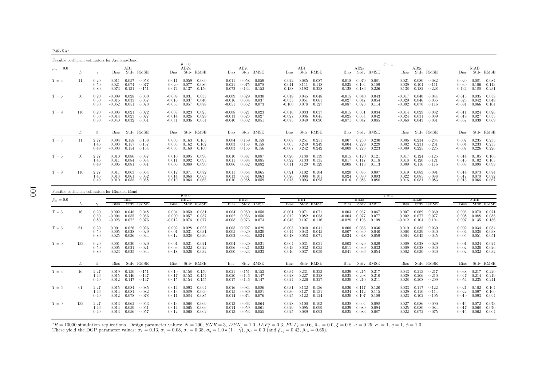P4fc-XA∗

Feasible coefficient estimators for Arellano-Bond

|                                 |     |              | . саатоте сосписките сачиналота тог тъгладио поли |                |          | $\theta = 0$ |                |             |                |           |          |       |                 |          |       |                | $\theta = 1$ |       |                |          |       |           |
|---------------------------------|-----|--------------|---------------------------------------------------|----------------|----------|--------------|----------------|-------------|----------------|-----------|----------|-------|-----------------|----------|-------|----------------|--------------|-------|----------------|----------|-------|-----------|
| $\bar{\rho}_{x\varepsilon}=0.0$ |     |              |                                                   | AB1            |          | AB2a         |                |             | AB2c           |           |          | AB1   |                 |          | AB2a  |                |              | AB2c  |                |          | МАВ   |           |
|                                 |     |              | <b>Bias</b>                                       | Stdy RMSE      | Bias     |              | Stdy RMSE      | <b>Bias</b> |                | Stdy RMSE | Bias     |       | Stdy RMSE       | Bias     |       | Stdy RMSE      | <b>Bias</b>  |       | Stdy RMSE      | Bias     |       | Stdy RMSE |
|                                 |     |              |                                                   |                |          |              |                |             |                |           |          |       |                 |          |       |                |              |       |                |          |       |           |
| $T=3$                           | 11  | 0.20         | $-0.011$                                          | 0.057<br>0.058 | $-0.011$ | 0.059        | 0.060          | $-0.011$    | 0.058          | 0.059     | $-0.022$ | 0.085 | 0.087           | $-0.018$ | 0.079 | 0.081          | $-0.021$     | 0.080 | 0.082          | $-0.020$ | 0.081 | 0.084     |
|                                 |     | 0.50         | $-0.021$                                          | 0.074<br>0.077 | $-0.020$ | 0.077        | 0.080          | $-0.021$    | 0.075          | 0.078     | $-0.041$ |       | $0.111$ $0.118$ | $-0.035$ | 0.104 | 0.109          | $-0.039$     | 0.104 | 0.111          | $-0.039$ | 0.106 | 0.113     |
|                                 |     | 0.80         | $-0.073$                                          | 0.131<br>0.151 | $-0.074$ | 0.137        | 0.156          | $-0.072$    | 0.134          | 0.152     | -0.138   | 0.193 | 0.238           | $-0.128$ | 0.186 | 0.226          | $-0.138$     | 0.182 | 0.228          | $-0.134$ | 0.188 | 0.231     |
|                                 |     |              |                                                   |                |          |              |                |             |                |           |          |       |                 |          |       |                |              |       |                |          |       |           |
| $T=6$                           | 50  | 0.20         | $-0.009$                                          | 0.028<br>0.030 | $-0.009$ | 0.031        | 0.033          | $-0.009$    | 0.029          | 0.030     | $-0.018$ | 0.045 | 0.048           | $-0.015$ | 0.040 | 0.043          | $-0.017$     | 0.040 | 0.044          | $-0.013$ | 0.035 | 0.038     |
|                                 |     | 0.50         | $-0.016$                                          | 0.033<br>0.037 | $-0.016$ | 0.037        | 0.040          | $-0.016$    | 0.034          | 0.037     | $-0.033$ | 0.051 | 0.061           | $-0.027$ | 0.047 | 0.054          | $-0.029$     | 0.046 | 0.055          | $-0.025$ | 0.042 | 0.049     |
|                                 |     | 0.80         | $-0.052$                                          | 0.051<br>0.073 | $-0.053$ | 0.057        | 0.078          | $-0.051$    | 0.052          | 0.073     | $-0.100$ |       | $0.078$ 0.127   | $-0.087$ | 0.073 | 0.114          | $-0.092$     | 0.070 | 0.116          | $-0.081$ | 0.066 | 0.104     |
| $T=9$                           | 116 | 0.20         | $-0.008$                                          | 0.021<br>0.022 | $-0.008$ | 0.023        | 0.025          | $-0.008$    | 0.021          | 0.023     | $-0.016$ | 0.033 | 0.037           | $-0.015$ | 0.031 | 0.034          | $-0.014$     | 0.029 | 0.032          | $-0.011$ | 0.024 | 0.026     |
|                                 |     | 0.50         | $-0.014$                                          | 0.023<br>0.027 | $-0.014$ | 0.026        | 0.029          | $-0.013$    | 0.023          | 0.027     | $-0.027$ | 0.036 | 0.045           | $-0.025$ | 0.034 | 0.042          | $-0.024$     | 0.031 | 0.039          | $-0.019$ | 0.027 | 0.033     |
|                                 |     | 0.80         | $-0.040$                                          | 0.032<br>0.051 | $-0.041$ | 0.036        | 0.054          | $-0.040$    | 0.032          | 0.051     | $-0.075$ | 0.049 | 0.090           | $-0.071$ | 0.047 | 0.085          | $-0.068$     | 0.043 | 0.081          | $-0.057$ | 0.039 | 0.069     |
|                                 |     |              |                                                   |                |          |              |                |             |                |           |          |       |                 |          |       |                |              |       |                |          |       |           |
|                                 |     |              |                                                   |                |          |              |                |             |                |           |          |       |                 |          |       |                |              |       |                |          |       |           |
|                                 | L   | B            | Bias                                              | Stdy RMSE      |          |              | Bias Stdv RMSE |             | Bias Stdy RMSE |           |          |       | Bias Stdy RMSE  |          |       | Bias Stdy RMSE |              |       | Bias Stdy RMSE | Bias     |       | Stdy RMSE |
| $T=3$                           | 11  | 2.27         | 0.004                                             | 0.158<br>0.158 | 0.005    | 0.163        | 0.163          | 0.004       | 0.159          | 0.159     | 0.008    | 0.251 | 0.251           | 0.007    | 0.230 | 0.230          | 0.006        | 0.234 | 0.234          | 0.007    | 0.235 | 0.235     |
|                                 |     | 1.46         | 0.003                                             | 0.157<br>0.157 | 0.003    | 0.162        | 0.162          | 0.003       | 0.158          | 0.158     | 0.005    | 0.249 | 0.249           | 0.004    | 0.229 | 0.229          | 0.002        | 0.231 | 0.231          | 0.004    | 0.233 | 0.233     |
|                                 |     | 0.49         | $-0.003$                                          | 0.154<br>0.154 | $-0.003$ | 0.160        | 0.160          | $-0.003$    | 0.156          | 0.156     | $-0.007$ | 0.242 | 0.242           | $-0.009$ | 0.223 | 0.223          | $-0.009$     | 0.225 | 0.225          | $-0.007$ | 0.226 | 0.226     |
|                                 |     |              |                                                   |                |          |              |                |             |                |           |          |       |                 |          |       |                |              |       |                |          |       |           |
| $T=6$                           | 50  | 2.27         | 0.010                                             | 0.086<br>0.087 | 0.010    | 0.095        | 0.096          | 0.010       | 0.087          | 0.087     | 0.020    | 0.138 | 0.139           | 0.015    | 0.120 | 0.121          | 0.017        | 0.124 | 0.125          | 0.014    | 0.105 | 0.106     |
|                                 |     | 1.46         | 0.011                                             | 0.084<br>0.084 | 0.011    | 0.092        | 0.093          | 0.011       | 0.084          | 0.085     | 0.022    | 0.133 | 0.135           | 0.017    | 0.117 | 0.118          | 0.018        | 0.120 | 0.121          | 0.016    | 0.102 | 0.103     |
|                                 |     | 0.49         | 0.006                                             | 0.081<br>0.081 | 0.006    | 0.089        | 0.090          | 0.006       | 0.082          | 0.082     | 0.011    | 0.129 | 0.129           | 0.008    | 0.113 | 0.113          | 0.009        | 0.116 | 0.116          | 0.008    | 0.098 | 0.099     |
|                                 |     |              |                                                   |                |          |              |                |             |                |           |          |       |                 |          |       |                |              |       |                |          |       |           |
| $T=9$                           | 116 | 2.27         | 0.011                                             | 0.063<br>0.064 | 0.012    | 0.071        | 0.072          | 0.011       | 0.064          | 0.065     | 0.021    | 0.102 | 0.104           | 0.020    | 0.095 | 0.097          | 0.019        | 0.089 | 0.091          | 0.014    | 0.073 | 0.074     |
|                                 |     | 1.46<br>0.49 | 0.013                                             | 0.061<br>0.062 | 0.014    | 0.068        | 0.069          | 0.013       | 0.061          | 0.063     | 0.026    | 0.098 | 0.101           | 0.024    | 0.090 | 0.093<br>0.088 | 0.022        | 0.085 | 0.088          | 0.017    | 0.070 | 0.072     |
|                                 |     |              | 0.010                                             | 0.058<br>0.058 | 0.010    | 0.064        | 0.065          | 0.010       | 0.058          | 0.059     | 0.018    | 0.093 | 0.095           | 0.016    | 0.086 |                | 0.016        | 0.081 | 0.083          | 0.013    | 0.066 | 0.067     |

| Feasible coefficient estimators for Blundell-Bond |     |                      |                               |                                           |                         |                               |                         |                         |                            |                         |                                   |                                  |                         |                         |                                  |                         |                         |                            |                         |                         |                            |                         |                         |
|---------------------------------------------------|-----|----------------------|-------------------------------|-------------------------------------------|-------------------------|-------------------------------|-------------------------|-------------------------|----------------------------|-------------------------|-----------------------------------|----------------------------------|-------------------------|-------------------------|----------------------------------|-------------------------|-------------------------|----------------------------|-------------------------|-------------------------|----------------------------|-------------------------|-------------------------|
|                                                   |     |                      |                               |                                           |                         |                               | $\theta = 0$            |                         |                            |                         |                                   |                                  |                         |                         |                                  |                         |                         | $\theta = 1$               |                         |                         |                            |                         |                         |
| $\bar{\rho}_{x\varepsilon}=0.0$                   |     |                      |                               | BB1                                       |                         |                               | BB2a                    |                         |                            | BB2c                    |                                   |                                  | BB1.                    |                         |                                  | BB2a                    |                         |                            | BB2c                    |                         |                            | МВВ                     |                         |
|                                                   |     |                      | <b>Bias</b>                   |                                           | Stdy RMSE               | <b>Bias</b>                   |                         | Stdy RMSE               | <b>Bias</b>                |                         | Stdy RMSE                         | <b>Bias</b>                      |                         | Stdy RMSE               | <b>Bias</b>                      |                         | Stdy RMSE               | <b>Bias</b>                |                         | Stdy RMSE               | <b>Bias</b>                |                         | Stdy RMSE               |
| $T=3$                                             | 16  | 0.20<br>0.50<br>0.80 | 0.002<br>$-0.004$<br>$-0.025$ | 0.048<br>0.055<br>0.072                   | 0.048<br>0.056<br>0.076 | 0.004<br>0.000<br>$-0.012$    | 0.050<br>0.057<br>0.076 | 0.051<br>0.057<br>0.077 | 0.004<br>0.002<br>$-0.008$ | 0.050<br>0.056<br>0.073 | 0.050<br>0.056<br>0.073           | $-0.001$<br>$-0.012$<br>$-0.045$ | 0.071<br>0.082<br>0.107 | 0.071<br>0.083<br>0.116 | 0.003<br>$-0.004$<br>$-0.028$    | 0.067<br>0.077<br>0.105 | 0.067<br>0.077<br>0.109 | 0.007<br>0.002<br>$-0.012$ | 0.069<br>0.077<br>0.104 | 0.069<br>0.077<br>0.104 | 0.005<br>0.008<br>0.007    | 0.070<br>0.088<br>0.135 | 0.071<br>0.088<br>0.136 |
| $T=6$                                             | 61  | 0.20<br>0.50<br>0.80 | 0.001<br>$-0.005$<br>$-0.025$ | 0.026<br>0.028<br>0.036                   | 0.026<br>0.029<br>0.044 | 0.002<br>0.001<br>$-0.012$    | 0.028<br>0.031<br>0.038 | 0.028<br>0.031<br>0.039 | 0.005<br>0.005<br>$-0.002$ | 0.027<br>0.029<br>0.034 | 0.028<br>0.030<br>0.034           | $-0.003$<br>$-0.014$<br>$-0.048$ | 0.040<br>0.043<br>0.053 | 0.041<br>0.045<br>0.071 | 0.000<br>$-0.007$<br>$-0.034$    | 0.036<br>0.039<br>0.048 | 0.036<br>0.040<br>0.059 | 0.010<br>0.008<br>$-0.004$ | 0.038<br>0.039<br>0.045 | 0.039<br>0.040<br>0.045 | 0.002<br>0.004<br>0.006    | 0.034<br>0.038<br>0.051 | 0.034<br>0.038<br>0.051 |
| $T=9$                                             | 133 | 0.20<br>0.50<br>0.80 | 0.001<br>$-0.005$<br>$-0.023$ | 0.020<br>0.021<br>0.025                   | 0.020<br>0.021<br>0.034 | 0.001<br>$-0.003$<br>$-0.018$ | 0.021<br>0.022<br>0.026 | 0.021<br>0.022<br>0.032 | 0.004<br>0.006<br>0.000    | 0.020<br>0.021<br>0.023 | 0.021<br>0.022<br>0.023           | $-0.004$<br>$-0.013$<br>$-0.046$ | 0.031<br>0.032<br>0.037 | 0.031<br>0.035<br>0.059 | $-0.003$<br>$-0.011$<br>$-0.041$ | 0.029<br>0.030<br>0.036 | 0.029<br>0.032<br>0.054 | 0.009<br>0.009<br>$-0.002$ | 0.028<br>0.028<br>0.030 | 0.029<br>0.030<br>0.030 | 0.001<br>0.002<br>$-0.002$ | 0.024<br>0.026<br>0.032 | 0.024<br>0.026<br>0.032 |
|                                                   |     | B                    | Bias                          |                                           | Stdy RMSE               |                               |                         | Bias Stdy RMSE          | Bias                       |                         | Stdy RMSE                         | Bias                             |                         | Stdy RMSE               |                                  |                         | Bias Stdy RMSE          | Bias                       |                         | Stdy RMSE               | <b>Bias</b>                |                         | Stdy RMSE               |
| $T=3$                                             | 16  | 2.27<br>1.46<br>0.49 | 0.019                         | 0.150<br>$0.015$ 0.146<br>$0.012$ $0.147$ | 0.151<br>0.147<br>0.147 | 0.019<br>0.017<br>0.015       | 0.158<br>0.153<br>0.154 | 0.159<br>0.154<br>0.155 | 0.021<br>0.020<br>0.017    | 0.151<br>0.146          | 0.153<br>$0.146$ $0.147$<br>0.147 | 0.034<br>0.028<br>0.024          | 0.231<br>0.227<br>0.226 | 0.233<br>0.228<br>0.227 | 0.029<br>0.025<br>0.020          | 0.215<br>0.208<br>0.210 | 0.217<br>0.210<br>0.211 | 0.043<br>0.039<br>0.028    | 0.213<br>0.206<br>0.208 | 0.217<br>0.210<br>0.209 | 0.038<br>0.047<br>0.054    | 0.217<br>0.214<br>0.235 | 0.220<br>0.219<br>0.241 |
| $T=6$                                             | 61  | 2.27<br>1.46<br>0.49 | 0.015<br>0.014<br>0.012       | 0.084<br>0.081<br>0.078                   | 0.085<br>0.082<br>0.078 | 0.014<br>0.013<br>0.011       | 0.093<br>0.089<br>0.084 | 0.094<br>0.090<br>0.085 | 0.016<br>0.015<br>0.014    | 0.084<br>0.080<br>0.074 | 0.086<br>0.081<br>0.076           | 0.031<br>0.030<br>0.025          | 0.132<br>0.127<br>0.122 | 0.136<br>0.131<br>0.124 | 0.026<br>0.024<br>0.020          | 0.117<br>0.112<br>0.107 | 0.120<br>0.115<br>0.109 | 0.033<br>0.029<br>0.023    | 0.117<br>0.110<br>0.102 | 0.122<br>0.114<br>0.105 | 0.021<br>0.022<br>0.019    | 0.102<br>0.097<br>0.093 | 0.104<br>0.100<br>0.094 |
| $T=9$                                             | 133 | 2.27<br>1.46<br>0.49 | 0.013<br>0.014<br>0.013       | 0.062<br>0.059<br>0.056                   | 0.063<br>0.061<br>0.057 | 0.013<br>0.014<br>0.012       | 0.068<br>0.065<br>0.060 | 0.069<br>0.066<br>0.062 | 0.013<br>0.014<br>0.013    | 0.063<br>0.059<br>0.053 | 0.064<br>0.061<br>0.055           | 0.028<br>0.029<br>0.025          | 0.100<br>0.095<br>0.089 | 0.103<br>0.099<br>0.092 | 0.028<br>0.029<br>0.025          | 0.094<br>0.089<br>0.083 | 0.098<br>0.094<br>0.087 | 0.027<br>0.025<br>0.022    | 0.086<br>0.080<br>0.072 | 0.090<br>0.084<br>0.075 | 0.016<br>0.017<br>0.016    | 0.072<br>0.068<br>0.062 | 0.073<br>0.070<br>0.064 |

 ${}^*R = 10000$  simulation replications. Design parameter values:  $N = 200$ ,  $SNR = 3$ ,  $DEN_y = 1.0$ ,  $IEF_x^{\eta} = 0.3$ ,  $EVF_x = 0.6$ ,  $\bar{\rho}_{xc} = 0.0$ ,  $\xi = 0.8$ ,  $\kappa = 0.25$ ,  $\sigma_{\varepsilon} = 1$ ,  $q = 1$ ,  $\phi = 1.0$ .<br>These yield the DGP param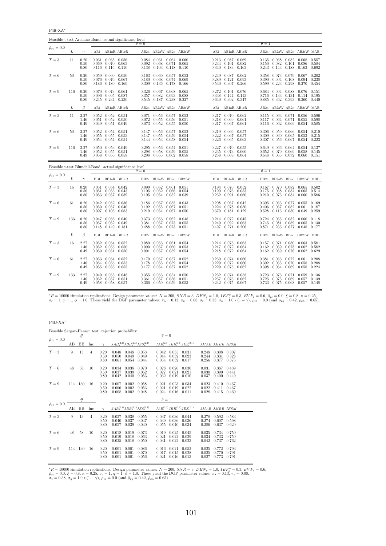P4ft-XA<sup>∗</sup>

| Feasible t-test Arellano-Bond: actual significance level |     |                      |                         |                                                                       |                 |                         |                                                             |                         |                         |                         |                                                                               |       |                         |                                                               |                         |                                                             |                |
|----------------------------------------------------------|-----|----------------------|-------------------------|-----------------------------------------------------------------------|-----------------|-------------------------|-------------------------------------------------------------|-------------------------|-------------------------|-------------------------|-------------------------------------------------------------------------------|-------|-------------------------|---------------------------------------------------------------|-------------------------|-------------------------------------------------------------|----------------|
| $\bar{\rho}_{x\varepsilon}=0.0$                          |     |                      |                         |                                                                       |                 | $\theta = 0$            |                                                             |                         |                         |                         |                                                                               |       | $\theta = 1$            |                                                               |                         |                                                             |                |
|                                                          | L   | $\gamma$             |                         | AB1 AB1aR AB1cR                                                       |                 |                         |                                                             |                         | AB2a AB2aW AB2c AB2cW   |                         | AB1 AB1aR AB1cR                                                               |       |                         | AB2a AB2aW AB2c AB2cW MAB                                     |                         |                                                             |                |
| $T=3$                                                    | 11  | 0.20<br>0.50<br>0.80 | 0.069                   | $0.061$ $0.065$ $0.056$<br>$0.070$ $0.063$<br>$0.116$ $0.116$ $0.110$ |                 | 0.092<br>0.138          | $0.084$ $0.061$ $0.064$ $0.060$<br>0.068<br>$0.103$ $0.118$ | 0.071                   | 0.065<br>0.110          |                         | 0.213 0.087 0.069<br>$0.234$ $0.101$ $0.082$<br>$0.340$ $0.183$ $0.163$       |       | 0.135<br>0.150<br>0.243 | 0.068<br>0.082<br>0.143                                       | 0.082<br>0.101<br>0.188 | 0.068 0.557<br>0.086<br>0.163                               | 0.584<br>0.692 |
| $T=6$                                                    | 50  | 0.20<br>0.50<br>0.80 | 0.059<br>0.186          | 0.076 0.076 0.067<br>$0.180$ $0.169$                                  | $0.060$ $0.050$ | 0.163<br>0.180<br>0.309 | $0.060$ $0.057$<br>0.068<br>0.136                           | 0.074<br>0.178          | 0.052<br>0.069<br>0.166 | 0.249<br>0.289          | $0.087$ 0.062<br>$0.121$ $0.093$<br>0.530 0.307 0.266                         |       | 0.358<br>0.390<br>0.599 | 0.073<br>0.094<br>0.223                                       | 0.079<br>0.108<br>0.298 | $0.067$ $0.202$<br>0.094 0.238<br>$0.270$ $0.454$           |                |
| $T=9$                                                    | 116 | 0.20<br>0.50<br>0.80 | 0.070<br>0.096<br>0.245 | 0.073<br>0.095<br>$0.234$ $0.230$                                     | 0.061<br>0.087  | 0.326<br>0.357<br>0.545 | $0.067$ 0.068<br>0.082<br>$0.187$ 0.238                     | 0.093                   | 0.065<br>0.088<br>0.227 | 0.338                   | $0.272$ $0.101$ $0.076$<br>$0.144$ $0.113$<br>0.640 0.392 0.347               |       | 0.716<br>0.885          | 0.684 0.094<br>0.133<br>0.362                                 | 0.088<br>0.131<br>0.393 | $0.076$ $0.151$<br>0.114 0.195<br>$0.360$ $0.440$           |                |
|                                                          | L   | $\beta$              | AB1                     | AB1aR AB1cR                                                           |                 |                         |                                                             |                         | AB2a AB2aW AB2c AB2cW   | AB1                     | AB1aR AB1cR                                                                   |       |                         | AB2a AB2aW AB2c AB2cW MAB                                     |                         |                                                             |                |
| $T=3$                                                    | 11  | 2.27<br>1.46<br>0.49 | 0.051                   | $0.052$ $0.052$ $0.051$<br>$0.052$ $0.050$<br>$0.049$ $0.051$ $0.049$ |                 | 0.072<br>0.073          | $0.071$ $0.056$ $0.057$ $0.052$<br>0.055<br>0.052           | 0.056<br>0.055          | 0.051<br>0.050          |                         | $0.217$ $0.070$ $0.062$<br>$0.218$ $0.069$ $0.061$<br>$0.217$ $0.067$ $0.061$ |       |                         | $0.115$ $0.063$ $0.071$<br>$0.117$ $0.064$<br>$0.116$ $0.062$ | 0.071<br>0.069          | 0.056 0.596<br>0.055 0.598<br>0.054 0.585                   |                |
| $T=6$                                                    | 50  | 2.27<br>1.46<br>0.49 | 0.052<br>0.055<br>0.054 | $0.054$ $0.051$<br>0.055<br>$0.054$ $0.054$                           | 0.053           | 0.147<br>0.147<br>0.144 | 0.056<br>0.055<br>0.053                                     | 0.057<br>0.059<br>0.058 | 0.052<br>0.054<br>0.054 | 0.219<br>0.222<br>0.226 | $0.066$ 0.057<br>0.067<br>$0.065$ 0.063                                       | 0.057 | 0.309<br>0.307          | $0.306$ $0.059$<br>0.060<br>0.056                             | 0.066<br>0.065<br>0.067 | $0.054$ $0.210$<br>0.053<br>$0.054$ 0.223                   | 0.215          |
| $T=9$                                                    | 116 | 2.27<br>1.46<br>0.49 | 0.050<br>0.052<br>0.058 | 0.053 0.049<br>0.055<br>0.056 0.058                                   | 0.051           | 0.295<br>0.298<br>0.298 | $0.056$ $0.054$ $0.051$<br>0.058<br>$0.055$ $0.062$ $0.058$ | 0.059                   | 0.055                   | 0.235                   | $0.227$ $0.070$ $0.055$<br>0.073<br>0.238 0.069 0.064                         | 0.060 | 0.649<br>0.652<br>0.648 | 0.066<br>0.070<br>0.065                                       | 0.069                   | $0.064$ $0.054$ $0.137$<br>0.058<br>$0.072$ $0.060$ $0.151$ | 0.145          |
| Feasible t-test Blundell-Bond: actual significance level |     |                      |                         |                                                                       |                 | $\theta = 0$            |                                                             |                         |                         |                         |                                                                               |       | $\theta = 1$            |                                                               |                         |                                                             |                |
| $\bar{\rho}_{x\varepsilon}=0.0$                          | L   | $\gamma$             |                         | BB1 BB1aR BB1cR                                                       |                 |                         |                                                             |                         | BB2a BB2aW BB2c BB2cW   |                         | BB1 BB1aR BB1cR                                                               |       |                         | BB2a BB2aW BB2c BB2cW MBB                                     |                         |                                                             |                |
| $T=3$                                                    | 16  | 0.20<br>0.50<br>0.80 | 0.051<br>0.053          | $0.051$ $0.054$ $0.042$<br>0.053<br>0.057 0.039                       | 0.043           | 0.105<br>0.105          | $0.099$ $0.062$ $0.061$ $0.051$<br>0.062<br>0.054           | 0.066<br>0.052          | 0.054<br>0.039          | 0.199<br>0.232          | 0.194 0.076 0.052<br>0.076<br>$0.091$ 0.060                                   | 0.053 | 0.175<br>0.210          | $0.167$ $0.070$ $0.082$<br>0.068<br>0.073                     | 0.084<br>0.084          | $0.065$ $0.502$<br>0.065<br>0.060                           | 0.514<br>0.586 |
| $T=6$                                                    | 61  | 0.20<br>0.50<br>0.80 | 0.042<br>0.050<br>0.097 | $0.052$ 0.036<br>0.057<br>0.105                                       | 0.040<br>0.083  | 0.186<br>0.192<br>0.219 | $0.057$ 0.055<br>0.055<br>0.054                             | 0.067<br>0.067          | 0.043<br>0.051<br>0.050 | 0.370                   | $0.208$ $0.067$ $0.042$<br>$0.224$ 0.078<br>$0.181$ $0.129$                   | 0.050 | 0.395<br>0.406<br>0.528 | 0.063<br>0.067<br>0.113                                       | 0.077<br>0.082<br>0.080 | $0.055$ 0.169<br>0.061<br>0.049                             | 0.187<br>0.259 |
| $T=9$                                                    | 133 | 0.20<br>0.50<br>0.80 | 0.047<br>0.057<br>0.148 | $0.056$ $0.040$<br>0.062<br>$0.149$ $0.131$                           | 0.049           | 0.373<br>0.381<br>0.488 | $0.056$ $0.062$<br>0.057<br>0.094 0.073                     | 0.073                   | 0.048<br>0.055<br>0.051 | 0.249                   | $0.214$ $0.072$ $0.045$<br>0.092<br>$0.497$ $0.271$ $0.206$                   | 0.063 | 0.724<br>0.745<br>0.871 | 0.065<br>0.081<br>0.233                                       | 0.082<br>0.089<br>0.077 | $0.060$ $0.118$<br>0.065<br>0.048                           | 0.130<br>0.177 |
|                                                          | L   | $\beta$              | BB1                     | BB1aR BB1cR                                                           |                 |                         |                                                             |                         | BB2a BB2aW BB2c BB2cW   | BB1                     | BB1aR BB1cR                                                                   |       |                         | BB2a BB2aW BB2c BB2cW MBB                                     |                         |                                                             |                |
| $T=3$                                                    | 16  | 2.27<br>1.46<br>0.49 | 0.052                   | $0.052$ $0.054$ $0.052$<br>$0.053$ $0.050$<br>$0.050$ $0.051$ $0.050$ |                 | 0.089<br>0.090<br>0.091 | $0.056$ $0.061$ $0.054$<br>0.057<br>0.057 0.059             | 0.060                   | 0.053<br>0.054          |                         | $0.214$ $0.073$ $0.063$<br>0.217 0.072 0.064<br>$0.218$ $0.072$ $0.064$       |       | 0.162<br>0.162          | $0.157$ 0.071<br>0.069<br>0.069                               | 0.080<br>0.078<br>0.076 | $0.063$ $0.581$<br>$0.062 \quad 0.582$<br>$0.062$ 0.629     |                |
| $T=6$                                                    | 61  | 2.27<br>1.46<br>0.49 | 0.053<br>0.054<br>0.055 | 0.054 0.052<br>0.056<br>0.056                                         | 0.053<br>0.055  | 0.179<br>0.178<br>0.177 | 0.057<br>0.055<br>0.054                                     | 0.057<br>0.059<br>0.057 | 0.052<br>0.054<br>0.052 | 0.230<br>0.229<br>0.229 | $0.074$ 0.060<br>0.072<br>0.075 0.062                                         | 0.060 | 0.381<br>0.392<br>0.398 | 0.066<br>0.065<br>0.064                                       | 0.072<br>0.070<br>0.069 | $0.061$ $0.208$<br>0.058<br>0.058                           | 0.208<br>0.224 |
| $T=9$                                                    | 133 | 2.27<br>1.46<br>0.49 | 0.049<br>0.052<br>0.058 | 0.055<br>0.057<br>0.058 0.057                                         | 0.048<br>0.051  | 0.355<br>0.361<br>0.366 | 0.056<br>0.057<br>0.059 0.059                               | 0.054<br>0.056          | 0.050<br>0.051<br>0.053 |                         | $0.232$ $0.074$ $0.058$<br>$0.237$ 0.076<br>$0.242$ $0.075$ $0.067$           | 0.062 | 0.723<br>0.725          | 0.076<br>0.075<br>0.733 0.075                                 | 0.071<br>0.069<br>0.068 | 0.059<br>0.057<br>$0.057$ 0.148                             | 0.136<br>0.139 |

 ${}^*R = 10000$  simulation replications. Design parameter values:  $N = 200$ ,  $SNR = 3$ ,  $DEN_y = 1.0$ ,  $IEF_y'' = 0.3$ ,  $EVF_x = 0.6$ ,  $\bar{\rho}_{xz} = 0.0$ ,  $\xi = 0.8$ ,  $\kappa = 0.25$ ,  $\sigma_z = 1$ ,  $q = 1$ ,  $\phi = 1.0$ . These yield the DGP parameter val

P4fJ-XA<sup>∗</sup>

| Feasible Sargan-Hansen test: rejection probability |     |     |     |                      |                         |                         |                                           |                         |                         |                                           |                         |                         |                         |  |
|----------------------------------------------------|-----|-----|-----|----------------------|-------------------------|-------------------------|-------------------------------------------|-------------------------|-------------------------|-------------------------------------------|-------------------------|-------------------------|-------------------------|--|
|                                                    |     | df  |     |                      |                         |                         |                                           | $\theta = 0$            |                         |                                           |                         |                         |                         |  |
| $\bar{\rho}_{x\varepsilon}=0.0$                    | AВ  | BB  | Inc | $\gamma$             |                         |                         | $JAB_a^{(2,1)}JBB_a^{(2,1)}JES_a^{(2,1)}$ |                         |                         | $JAB_c^{(2,1)}JBB_c^{(2,1)}JES_c^{(2,1)}$ |                         | JMAB JMBB JESM          |                         |  |
| $T=3$                                              | 9   | 13  | 4   | 0.20<br>0.50<br>0.80 | 0.048<br>0.050<br>0.061 | 0.048<br>0.049<br>0.054 | 0.053<br>0.049<br>0.044                   | 0.042<br>0.044<br>0.054 | 0.035<br>0.032<br>0.032 | 0.031<br>0.023<br>0.017                   | 0.248<br>0.244<br>0.256 | 0.308<br>0.331<br>0.377 | 0.307<br>0.328<br>0.375 |  |
| $T=6$                                              | 48  | 58  | 10  | 0.20<br>0.50<br>0.80 | 0.034<br>0.037<br>0.042 | 0.038<br>0.039<br>0.040 | 0.070<br>0.062<br>0.053                   | 0.028<br>0.027<br>0.032 | 0.026<br>0.021<br>0.019 | 0.030<br>0.021<br>0.010                   | 0.031<br>0.030<br>0.037 | 0.387<br>0.390<br>0.400 | 0.439<br>0.441<br>0.449 |  |
| $T=9$                                              | 114 | 130 | 16  | 0.20<br>0.50<br>0.80 | 0.007<br>0.006<br>0.008 | 0.002<br>0.002<br>0.002 | 0.058<br>0.053<br>0.048                   | 0.021<br>0.021<br>0.024 | 0.023<br>0.019<br>0.016 | 0.034<br>0.022<br>0.011                   | 0.023<br>0.022<br>0.028 | 0.410<br>0.411<br>0.415 | 0.467<br>0.467<br>0.469 |  |
|                                                    |     | df  |     |                      |                         |                         |                                           | $\theta = 1$            |                         |                                           |                         |                         |                         |  |
| $\bar{\rho}_{x\varepsilon}=0.0$                    | AВ  | BB  | Inc | $\sim$               |                         |                         | $JAB_a^{(2,1)}JBB_a^{(2,1)}JES_a^{(2,1)}$ |                         |                         | $JAB_c^{(2,1)}JBB_c^{(2,1)}JES_c^{(2,1)}$ |                         | JMAB JMBB JESM          |                         |  |
| $T=3$                                              | 9   | 13  | 4   | 0.20<br>0.50<br>0.80 | 0.037<br>0.040<br>0.057 | 0.038<br>0.037<br>0.039 | 0.055<br>0.047<br>0.040                   | 0.037<br>0.039<br>0.055 | 0.036<br>0.036<br>0.040 | 0.044<br>0.036<br>0.034                   | 0.278<br>0.274<br>0.286 | 0.592<br>0.607<br>0.637 | 0.583<br>0.598<br>0.629 |  |
| $T=6$                                              | 48  | 58  | 10  | 0.20<br>0.50<br>0.80 | 0.018<br>0.019<br>0.025 | 0.019<br>0.018<br>0.018 | 0.073<br>0.063<br>0.050                   | 0.019<br>0.021<br>0.031 | 0.025<br>0.022<br>0.022 | 0.045<br>0.029<br>0.023                   | 0.035<br>0.034<br>0.042 | 0.734<br>0.733<br>0.737 | 0.759<br>0.759<br>0.762 |  |
| $T=9$                                              | 114 | 130 | 16  | 0.20<br>0.50<br>0.80 | 0.001<br>0.001<br>0.001 | 0.001<br>0.001<br>0.001 | 0.086<br>0.070<br>0.056                   | 0.016<br>0.017<br>0.021 | 0.021<br>0.015<br>0.016 | 0.052<br>0.028<br>0.013                   | 0.025<br>0.025<br>0.027 | 0.772<br>0.770<br>0.773 | 0.793<br>0.791<br>0.791 |  |

 ${}^*R = 10000$  simulation replications. Design parameter values:  $N = 200$ ,  $SNR = 3$ ,  $DEN_y = 1.0$ ,  $IEF_x^{\eta} = 0.3$ ,  $EVF_x = 0.6$ ,  $\bar{\rho}_{xe} = 0.0$ ,  $\xi = 0.8$ ,  $\kappa = 0.25$ ,  $\sigma_{\varepsilon} = 1$ ,  $q = 1$ ,  $\phi = 1.0$ . These yield the DGP param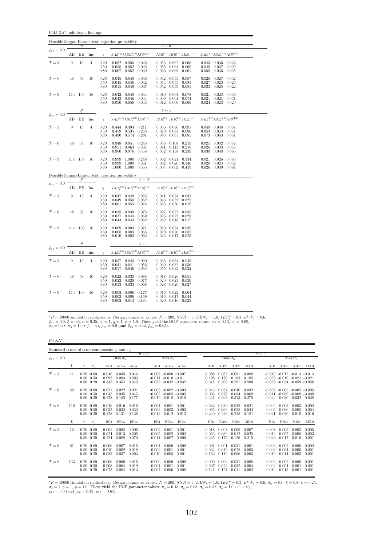P4fJ-XA<sup>∗</sup> : additional findings

|                                 |     |           |                |              | Feasible Sargan-Hansen test: rejection probability   |                |                        |                                  |                                           |                |                         |                                           |  |
|---------------------------------|-----|-----------|----------------|--------------|------------------------------------------------------|----------------|------------------------|----------------------------------|-------------------------------------------|----------------|-------------------------|-------------------------------------------|--|
| $\bar{\rho}_{x\varepsilon}=0.0$ |     | df        |                |              |                                                      |                | $\theta = 0$           |                                  |                                           |                |                         |                                           |  |
|                                 | AВ  | <b>BB</b> | Inc            | $\gamma$     | $JAB^{(1,0)}JBB^{(1,0)}_aJES^{(1,0)}$                |                |                        |                                  | $JAB_a^{(1,1)}JBB_a^{(1,1)}JES_a^{(1,1)}$ |                |                         | $JAB_c^{(1,1)}JBB_c^{(1,1)}JES_c^{(1,1)}$ |  |
| $T=3$                           | 9   | 13        | $\overline{4}$ | 0.20         | $0.052$ $0.050$ $0.046$                              |                | 0.053                  | $0.062$ 0.066                    |                                           |                | 0.043 0.036 0.033       |                                           |  |
|                                 |     |           |                | 0.50<br>0.80 | 0.055<br>0.052 0.046<br>0.052<br>0.067               | 0.039          | 0.055<br>0.066         | 0.064<br>0.069                   | 0.065<br>0.061                            | 0.045<br>0.055 | 0.037 0.029<br>0.036    | 0.025                                     |  |
| $T=6$                           | 48  | 58        | 10             | 0.20         | 0.045<br>0.049 0.046                                 |                | 0.042                  | 0.053                            | 0.087                                     | 0.028          | 0.027                   | 0.032                                     |  |
|                                 |     |           |                | 0.50<br>0.80 | 0.045<br>0.046<br>0.055<br>0.049                     | 0.042<br>0.037 | 0.044<br>0.052         | 0.055<br>0.059                   | 0.083<br>0.081                            | 0.027<br>0.033 | 0.023<br>0.025          | 0.026<br>0.022                            |  |
|                                 |     |           |                |              |                                                      |                |                        |                                  |                                           |                |                         |                                           |  |
| $T=9$                           | 114 | 130       | 16             | 0.20<br>0.50 | 0.049 0.044<br>0.042<br>0.043<br>$0.046$ 0.044       |                | 0.009                  | $0.010 \quad 0.004$<br>0.004     | 0.078<br>0.074                            | 0.021<br>0.021 | 0.023<br>0.021          | 0.036<br>0.031                            |  |
|                                 |     |           |                | 0.80         | $0.050$ $0.050$ $0.043$                              |                |                        | $0.012$ $0.006$ $0.069$          |                                           |                | $0.024$ $0.023$ $0.029$ |                                           |  |
| $\bar{\rho}_{x\varepsilon}=0.0$ |     | df        |                |              |                                                      |                | $\theta = 1$           |                                  |                                           |                |                         |                                           |  |
|                                 | AВ  | BB        | Inc            | $\gamma$     | $JAB^{(1,0)}JBB_a^{(1,0)}JES^{(1,0)}$                |                |                        |                                  | $JAB_a^{(1,1)}JBB_a^{(1,1)}JES_a^{(1,1)}$ |                |                         | $JAB_c^{(1,1)}JBB_c^{(1,1)}JES_c^{(1,1)}$ |  |
| $T=3$                           | 9   | 13        | $\overline{4}$ | 0.20         | 0.444 0.494 0.211                                    |                | 0.066                  | 0.086 0.091                      |                                           | 0.049          | $0.048$ $0.051$         |                                           |  |
|                                 |     |           |                | 0.50<br>0.80 | 0.459<br>0.535<br>0.574 0.291<br>0.490               | 0.263          | 0.070<br>0.093         | 0.087<br>0.095                   | 0.090<br>0.085                            | 0.053<br>0.073 | 0.053<br>0.063          | 0.051<br>0.051                            |  |
| $T=6$                           | 48  | 58        | 10             | 0.20         | 0.948<br>0.951                                       | 0.245          | 0.036                  | 0.108                            | 0.219                                     | 0.025          | 0.032                   | 0.052                                     |  |
|                                 |     |           |                | 0.50         | 0.951<br>0.963                                       | 0.337          | 0.041                  | 0.113                            | 0.216                                     | 0.026          | 0.033                   | 0.048                                     |  |
|                                 |     |           |                | 0.80         | 0.976<br>0.960                                       | 0.453          | 0.052                  | 0.138                            | 0.239                                     | 0.039          | 0.048                   | 0.065                                     |  |
| $T=9$                           | 114 | 130       | 16             | 0.20<br>0.50 | 0.999<br>1.000 0.248<br>0.999<br>$1.000 \quad 0.361$ |                | 0.002<br>$0.002$ 0.026 | 0.021                            | 0.334<br>0.346                            | 0.021<br>0.020 | 0.026<br>0.025          | 0.063<br>0.052                            |  |
|                                 |     |           |                | 0.80         | 1.000<br>$1.000 \quad 0.565$                         |                |                        | $0.004$ $0.062$ $0.419$          |                                           | 0.026          | 0.039                   | 0.081                                     |  |
|                                 |     |           |                |              | Feasible Sargan-Hansen test: rejection probability   |                |                        |                                  |                                           |                |                         |                                           |  |
| $\bar{\rho}_{x\epsilon}=0.0$    |     | df        |                |              |                                                      | $\theta = 0$   |                        |                                  |                                           |                |                         |                                           |  |
|                                 | AВ  | ΒB        | Inc            | $\gamma$     | $JAB_a^{(2,2)}JBB_a^{(2,2)}JES_a^{(2,2)}$            |                |                        |                                  | $JAB_c^{(2,2)}JBB_c^{(2,2)}JES_c^{(2,2)}$ |                |                         |                                           |  |
| $T=3$                           | 9   | 13        | $\overline{4}$ | 0.20         | $0.047$ $0.049$ $0.055$                              |                |                        | $0.041$ $0.034$ $0.033$<br>0.032 |                                           |                |                         |                                           |  |
|                                 |     |           |                | 0.50         | 0.049<br>0.050<br>0.053<br>0.061                     | 0.052          | 0.043                  |                                  | 0.025                                     |                |                         |                                           |  |
| $T=6$                           |     |           |                | 0.80         |                                                      | 0.045          | 0.053                  | 0.030                            | 0.019                                     |                |                         |                                           |  |
|                                 | 48  | 58        | 10             |              | 0.039<br>0.035                                       | 0.075          | 0.027                  | 0.027                            | 0.035                                     |                |                         |                                           |  |
|                                 |     |           |                | 0.20<br>0.50 | 0.043<br>0.037                                       | 0.069          | 0.026                  | 0.022                            | 0.028                                     |                |                         |                                           |  |
|                                 |     |           |                | 0.80         | $0.044$ 0.043                                        | 0.062          | 0.032                  | 0.018                            | 0.017                                     |                |                         |                                           |  |
| $T=9$                           | 114 | 130       | 16             | 0.20<br>0.50 | 0.009<br>0.003<br>0.008<br>0.003                     | 0.071<br>0.065 | 0.020<br>0.020         | 0.024<br>0.020                   | 0.039<br>0.035                            |                |                         |                                           |  |
|                                 |     |           |                | 0.80         | $0.010 \quad 0.003$                                  | 0.062          |                        | $0.023$ $0.017$ $0.023$          |                                           |                |                         |                                           |  |
|                                 |     | df        |                |              |                                                      | $\theta = 1$   |                        |                                  |                                           |                |                         |                                           |  |
| $\bar{\rho}_{x\varepsilon}=0.0$ | AВ  | BB        | Inc            | $\gamma$     | $JAB_a^{(2,2)}JBB_a^{(2,2)}JES_a^{(2,2)}$            |                |                        |                                  | $JAB_c^{(2,2)}JBB_c^{(2,2)}JES_c^{(2,2)}$ |                |                         |                                           |  |
| $T=3$                           | 9   | 13        | $\overline{4}$ | 0.20         | $0.037$ $0.040$ $0.060$                              |                |                        | 0.036 0.034 0.045                |                                           |                |                         |                                           |  |
|                                 |     |           |                | 0.50         | 0.041<br>0.041                                       | 0.056          | 0.039                  | 0.032                            | 0.036                                     |                |                         |                                           |  |
|                                 |     |           |                | 0.80         | 0.057<br>0.046                                       | 0.053          | 0.055                  | 0.033                            | 0.032                                     |                |                         |                                           |  |
| $T=6$                           | 48  | 58        | 10             | 0.20<br>0.50 | 0.022<br>$0.030$ $0.088$<br>0.022<br>0.029           | 0.077          | 0.018<br>0.020         | 0.026<br>0.023                   | 0.051<br>0.039                            |                |                         |                                           |  |
|                                 |     |           |                | 0.80         | 0.033 0.033                                          | 0.068          | 0.028                  | 0.020                            | 0.027                                     |                |                         |                                           |  |
| $T=9$                           | 114 | - 130     | 16             | 0.20<br>0.50 | 0.002<br>$0.006$ $0.177$<br>0.002<br>0.006           | 0.169          | 0.016<br>0.016         | 0.022<br>0.017                   | 0.064<br>0.044                            |                |                         |                                           |  |

 ${}^*R = 10000$  simulation replications. Design parameter values:  $N = 200$ ,  $SNR = 3$ ,  $DEN_y = 1.0$ ,  $IEF_x^{\eta} = 0.3$ ,  $EVF_x = 0.6$ ,  $\bar{\rho}_{xe} = 0.0$ ,  $\xi = 0.8$ ,  $\kappa = 0.25$ ,  $\sigma_{\varepsilon} = 1$ ,  $q = 1$ ,  $\phi = 1.0$ . These yield the DGP param

 $\rm P4\text{-}XA^*$ 

| Standard errors of error components $\eta_i$ and $\varepsilon_{it}$ |     |                                                   |                         |                                                                                   |                                    |                  |                                              |                                                                                    |                         |                                                       |                                            |                         |                 |                                                                                                                   |                                    |     |
|---------------------------------------------------------------------|-----|---------------------------------------------------|-------------------------|-----------------------------------------------------------------------------------|------------------------------------|------------------|----------------------------------------------|------------------------------------------------------------------------------------|-------------------------|-------------------------------------------------------|--------------------------------------------|-------------------------|-----------------|-------------------------------------------------------------------------------------------------------------------|------------------------------------|-----|
|                                                                     |     |                                                   |                         |                                                                                   |                                    | $\theta = 0$     |                                              |                                                                                    |                         |                                                       |                                            |                         | $\theta=1$      |                                                                                                                   |                                    |     |
| $\bar{\rho}_{x\varepsilon}=0.0$                                     |     |                                                   |                         | Bias $\tilde{\sigma}_n$                                                           |                                    |                  | Bias $\hat{\sigma}_s$                        |                                                                                    |                         | Bias $\hat{\sigma}_n$                                 |                                            |                         |                 |                                                                                                                   | Bias $\hat{\sigma}_{\varepsilon}$  |     |
|                                                                     | L   | $\sigma_n$                                        | AB1                     | AB2a                                                                              | AB2c                               | AB1              | AB2a                                         | AB2c                                                                               | AB1                     | AB <sub>2</sub> a                                     | AB2c                                       | MAB                     | AB1             | AB2a                                                                                                              | AB2c                               | МАВ |
| $T=3$                                                               | 11  | $0.20\ 0.80$<br>$0.50 \quad 0.50$<br>$0.80\ 0.20$ | 0.046<br>0.093<br>0.345 | 0.045<br>0.093<br>0.354                                                           | 0.046<br>0.093<br>0.345            |                  |                                              | $-0.007 - 0.006 - 0.007$<br>$-0.011 - 0.010 - 0.011$<br>$-0.032 - 0.032 - 0.032$   | 0.098<br>0.198<br>0.611 | 0.082<br>0.170<br>0.569                               | 0.091<br>0.183<br>0.591                    | 0.089<br>0.185<br>0.590 |                 | $-0.015 - 0.012 - 0.014 - 0.014$<br>$-0.023$ $-0.019$ $-0.021$ $-0.021$<br>$-0.059 - 0.054 - 0.059 - 0.058$       |                                    |     |
| $T=6$                                                               | 50  | $0.20\ 0.80$<br>$0.50 \quad 0.50$<br>$0.80\ 0.20$ | 0.021<br>0.045<br>0.178 | 0.022<br>0.045<br>0.183                                                           | 0.021<br>0.045<br>0.177            |                  |                                              | $-0.003$ $-0.002$ $-0.003$<br>$-0.005 - 0.005 - 0.005$<br>$-0.019 - 0.018 - 0.019$ | 0.045<br>0.095<br>0.341 | 0.037<br>0.078<br>0.298                               | 0.040<br>0.084<br>0.313                    | 0.032<br>0.069<br>0.275 |                 | $-0.006$ $-0.005$ $-0.005$ $-0.005$<br>$-0.011 - 0.009 - 0.009 - 0.008$<br>$-0.034$ $-0.030$ $-0.032$ $-0.028$    |                                    |     |
| $T=9$                                                               | 116 | $0.20\ 0.80$<br>$0.50 \quad 0.50$<br>$0.80\ 0.20$ | 0.016<br>0.032<br>0.128 | 0.016<br>0.032<br>0.131                                                           | 0.016<br>0.032<br>0.128            |                  | $-0.001$ $-0.001$ $-0.001$                   | $-0.003 - 0.003 - 0.003$<br>$-0.012 - 0.012 - 0.012$                               | 0.032<br>0.066<br>0.240 | 0.029<br>0.060<br>0.226                               | 0.029<br>0.058<br>0.218                    | 0.021<br>0.044<br>0.181 |                 | $-0.004$ $-0.003$ $-0.003$ $-0.002$<br>$-0.006$ $-0.006$ $-0.005$ $-0.004$<br>$-0.021$ $-0.020$ $-0.019$ $-0.016$ |                                    |     |
|                                                                     | L   | $\sigma_n$                                        | B <sub>B1</sub>         | BB <sub>2a</sub>                                                                  | BB2c                               | BB1              | BB <sub>2a</sub>                             | BB2c                                                                               | B <sub>B1</sub>         | BB <sub>2a</sub>                                      | BB <sub>2c</sub>                           | <b>MBB</b>              | B <sub>B1</sub> | BB <sub>2a</sub>                                                                                                  | BB <sub>2c</sub>                   | MBB |
| $T=3$                                                               | 16  | $0.20\ 0.80$<br>$0.50 \quad 0.50$<br>$0.80\ 0.20$ | 0.024<br>0.124          | $0.001 - 0.002 - 0.006$<br>0.013<br>0.088                                         | 0.005<br>0.070                     |                  | $-0.002$ $-0.001$ $-0.001$                   | $-0.005 - 0.002 - 0.002$<br>$-0.014$ $-0.007$ $-0.006$                             | 0.018<br>0.063<br>0.225 | $0.008 - 0.009$<br>0.039<br>0.175                     | 0.012<br>0.126                             | 0.007<br>0.025<br>0.215 |                 | $-0.008$ $-0.005$ $-0.003$ $-0.005$<br>$-0.012$ $-0.007$ $-0.005$ $-0.003$<br>$-0.026$ $-0.017$ $-0.010$ $0.001$  |                                    |     |
| $T=6$                                                               | 61  | $0.20\ 0.80$<br>$0.50 \quad 0.50$<br>$0.80\ 0.20$ |                         | $-0.006$ $-0.007$ $-0.015$<br>$0.010 - 0.002 - 0.018$<br>$0.083$ $0.037$ $-0.003$ |                                    | $-0.002 - 0.001$ | $-0.001 - 0.000$<br>$-0.010 - 0.005 - 0.001$ | 0.000<br>0.001                                                                     | 0.034<br>0.162          | $0.001 - 0.001 - 0.031$<br>0.119                      | $0.019 - 0.028 - 0.003$<br>$0.006 - 0.005$ | 0.001                   |                 | $-0.003$ $-0.002$ $-0.000$ $-0.002$<br>$-0.006 - 0.004$<br>$-0.019$ $-0.014$ $-0.003$ $0.001$                     | $0.000 - 0.001$                    |     |
| $T=9$                                                               | 133 | $0.20\ 0.80$<br>$0.50 \quad 0.50$<br>$0.80\ 0.20$ | 0.008<br>0.073          | $-0.006 - 0.006 - 0.015$                                                          | $0.004 - 0.019$<br>$0.054 - 0.013$ | $-0.001 - 0.001$ | $-0.000 - 0.000$                             | 0.000<br>0.001<br>$-0.007 - 0.006 - 0.000$                                         | 0.000<br>0.027<br>0.141 | $0.000 - 0.031$<br>$0.023 - 0.032$<br>$0.127 - 0.011$ |                                            | 0.005<br>0.004<br>0.002 |                 | $-0.002 - 0.002$<br>$-0.004 - 0.004$<br>$-0.014$ $-0.013$ $-0.001$ $-0.001$                                       | $0.000 - 0.001$<br>$0.001 - 0.001$ |     |

 ${}^{*}R = 10000$  simulation replications. Design parameter values:  $N = 200$ ,  $SNR = 3$ ,  $DEN_y = 1.0$ ,  $IEF_x^{\eta} = 0.3$ ,  $EVF_x = 0.6$ ,  $\bar{\rho}_{xz} = 0.0$ ,  $\xi = 0.8$ ,  $\kappa = 0.25$ ,  $\sigma_{\varepsilon} = 1$ ,  $q = 1$ ,  $\phi = 1.0$ . These yield the DGP para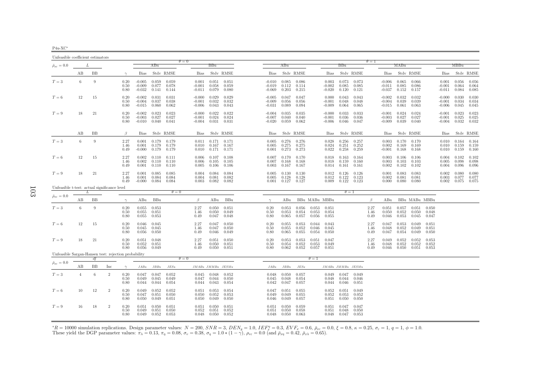| 311. |  |
|------|--|

| Unfeasible coefficient estimators                    |                |           |                |                      |                                  |                         |                                       |                                  |                         |                         |                                  |                                    |                         |                         |                                  |                                   |                         |                      |                                  |                                       |                         |                         |                                  |                                       |                         |
|------------------------------------------------------|----------------|-----------|----------------|----------------------|----------------------------------|-------------------------|---------------------------------------|----------------------------------|-------------------------|-------------------------|----------------------------------|------------------------------------|-------------------------|-------------------------|----------------------------------|-----------------------------------|-------------------------|----------------------|----------------------------------|---------------------------------------|-------------------------|-------------------------|----------------------------------|---------------------------------------|-------------------------|
| $\bar{\rho}_{x\varepsilon}=0.0$                      |                | L         |                |                      |                                  | ABu                     |                                       | $\theta = 0$                     | BBu                     |                         |                                  | ABu                                |                         |                         |                                  | BBu                               |                         | $\theta = 1$         |                                  | MABu                                  |                         |                         |                                  | MBBu                                  |                         |
|                                                      | AВ             | BB        |                | $\gamma$             | Bias                             |                         | Stdy RMSE                             | <b>Bias</b>                      |                         | Stdy RMSE               | <b>Bias</b>                      |                                    | Stdy RMSE               |                         | <b>Bias</b>                      |                                   | Stdy RMSE               |                      | <b>Bias</b>                      |                                       | Stdy RMSE               |                         | <b>Bias</b>                      |                                       | Stdy RMSE               |
| $T=3$                                                | 6              | 9         |                | 0.20<br>0.50<br>0.80 | $-0.005$<br>$-0.009$<br>$-0.032$ | 0.059<br>0.077<br>0.141 | 0.059<br>0.078<br>0.144               | 0.001<br>$-0.001$<br>$-0.011$    | 0.051<br>0.058<br>0.079 | 0.051<br>0.059<br>0.080 | $-0.019$<br>$-0.069$             | $-0.010$ $0.085$<br>0.112<br>0.203 | 0.086<br>0.114<br>0.215 |                         | 0.003<br>$-0.002$<br>$-0.020$    | 0.073<br>0.085<br>0.120           | 0.073<br>0.085<br>0.121 |                      | $-0.006$<br>$-0.011$<br>$-0.037$ | 0.065<br>0.085<br>0.152               | 0.066<br>0.086<br>0.157 |                         | 0.001<br>$-0.001$<br>$-0.011$    | 0.056<br>0.064<br>0.084               | 0.056<br>0.064<br>0.085 |
| $T=6$                                                | 12             | 15        |                | 0.20<br>0.50<br>0.80 | $-0.002$<br>$-0.004$<br>$-0.015$ | 0.031<br>0.037<br>0.060 | 0.031<br>0.038<br>0.062               | $-0.000$<br>$-0.001$<br>$-0.006$ | 0.029<br>0.032<br>0.043 | 0.029<br>0.032<br>0.043 | $-0.005$<br>$-0.009$<br>$-0.031$ | 0.047<br>0.056<br>0.089            | 0.047<br>0.056<br>0.094 |                         | 0.000<br>$-0.001$<br>$-0.009$    | 0.043<br>0.048<br>0.064           | 0.043<br>0.048<br>0.065 |                      | $-0.002$<br>$-0.004$<br>$-0.015$ | 0.032<br>0.039<br>0.061               | 0.032<br>0.039<br>0.063 |                         | $-0.000$<br>$-0.001$<br>$-0.006$ | 0.030<br>0.034<br>0.045               | 0.030<br>0.034<br>0.045 |
| $T=9$                                                | 18             | 21        |                | 0.20<br>0.50<br>0.80 | $-0.002$<br>$-0.003$<br>$-0.010$ | 0.023<br>0.027          | 0.023<br>0.027<br>$0.040 \quad 0.041$ | $-0.000$<br>$-0.001$<br>$-0.004$ | 0.022<br>0.024<br>0.031 | 0.022<br>0.024<br>0.031 | $-0.004$<br>$-0.007$<br>$-0.020$ | 0.035<br>0.040<br>0.059            | 0.035<br>0.040<br>0.062 |                         | $-0.000$<br>$-0.001$<br>$-0.006$ | 0.033<br>0.036<br>0.046           | 0.033<br>0.036<br>0.047 |                      | $-0.001$<br>$-0.003$<br>$-0.009$ | 0.024<br>0.027<br>0.039               | 0.024<br>0.027<br>0.040 |                         | $-0.001$<br>$-0.001$<br>$-0.004$ | 0.023<br>0.025<br>0.032               | 0.023<br>0.025<br>0.032 |
|                                                      | AВ             | <b>BB</b> |                | $\beta$              | Bias                             |                         | Stdy RMSE                             | <b>Bias</b>                      |                         | Stdy RMSE               | <b>Bias</b>                      |                                    | Stdy RMSE               |                         | <b>Bias</b>                      |                                   | Stdy RMSE               |                      | <b>Bias</b>                      |                                       | Stdy RMSE               |                         | <b>Bias</b>                      |                                       | Stdy RMSE               |
| $T=3$                                                | 6              | 9         |                | 2.27<br>1.46<br>0.49 | 0.001<br>0.001<br>$-0.000$       | 0.179<br>0.179          | 0.179<br>0.179<br>$0.179$ $0.179$     | 0.011<br>0.010<br>0.010          | 0.171<br>0.167<br>0.171 | 0.171<br>0.167<br>0.171 | 0.005<br>0.005<br>0.001          | 0.276<br>0.275<br>0.273            | 0.276<br>0.275<br>0.273 |                         | 0.028<br>0.024<br>0.022          | 0.256<br>0.251<br>0.258           | 0.257<br>0.252<br>0.259 |                      | 0.003<br>0.002                   | 0.170<br>0.169<br>$-0.001$ 0.168      | 0.170<br>0.169<br>0.168 |                         | 0.010<br>0.010                   | 0.164<br>0.159<br>$0.010 \quad 0.159$ | 0.164<br>0.159<br>0.160 |
| $T=6$                                                | 12             | 15        |                | 2.27<br>1.46<br>0.49 | 0.002<br>0.002<br>0.001          | 0.110<br>0.110          | $0.110$ $0.111$<br>0.110<br>0.110     | 0.006<br>0.006<br>0.005          | 0.107<br>0.105<br>0.106 | 0.108<br>0.105<br>0.106 | 0.007<br>0.003                   | $0.007$ 0.170<br>0.168<br>0.167    | 0.170<br>0.168<br>0.167 |                         | 0.018<br>0.018<br>0.014          | 0.163<br>0.159<br>0.161           | 0.164<br>0.160<br>0.161 |                      | 0.003<br>0.003<br>0.002          | 0.106<br>0.103<br>0.102               | 0.106<br>0.103<br>0.102 |                         | 0.004<br>0.005<br>0.004          | 0.102<br>0.098<br>0.096               | 0.102<br>0.098<br>0.096 |
| $T=9$                                                | 18             | 21        |                | 2.27<br>1.46<br>0.49 | 0.001<br>0.001<br>$-0.000$       | 0.085<br>0.084<br>0.084 | 0.085<br>0.084<br>0.084               | 0.004<br>0.004<br>0.003          | 0.084<br>0.081<br>0.082 | 0.084<br>0.082<br>0.082 | 0.005<br>0.005                   | 0.130<br>0.128<br>$0.001$ $0.127$  | 0.130<br>0.128<br>0.127 |                         | 0.012<br>0.012                   | 0.126<br>0.122<br>$0.009$ $0.122$ | 0.126<br>0.123<br>0.123 |                      | 0.001<br>0.002                   | 0.083<br>0.081<br>$0.000 \quad 0.080$ | 0.083<br>0.081<br>0.080 |                         | 0.002<br>0.003                   | 0.080<br>0.077<br>$0.002$ 0.075       | 0.080<br>0.077<br>0.075 |
| Unfeasible t-test: actual significance level         |                | L         |                |                      |                                  |                         | $\theta = 0$                          |                                  |                         |                         |                                  |                                    |                         |                         |                                  | $\theta=1$                        |                         |                      |                                  |                                       |                         |                         |                                  |                                       |                         |
| $\bar{\rho}_{x\varepsilon}=0.0$                      | AВ             | BB        |                | $\gamma$             | ABu                              | BBu                     |                                       | β                                | ABu                     | BBu                     | $\gamma$                         | ABu                                |                         |                         | BBu MABu MBBu                    |                                   |                         | $\beta$              | ABu                              |                                       |                         | BBu MABu MBBu           |                                  |                                       |                         |
| $T=3$                                                | 6              | 9         |                | 0.20<br>0.50<br>0.80 | 0.055<br>0.055<br>0.055          | 0.053<br>0.051<br>0.053 |                                       | 2.27<br>1.46<br>0.49             | 0.050<br>0.050<br>0.047 | 0.051<br>0.049<br>0.048 | 0.20<br>0.50<br>0.80             | 0.053<br>0.053<br>0.065            | 0.056<br>0.054<br>0.057 | 0.053<br>0.053<br>0.056 | 0.051<br>0.054<br>0.055          |                                   |                         | 2.27<br>1.46<br>0.49 | 0.051<br>0.050<br>0.046          | 0.057<br>0.052<br>0.053               | 0.051<br>0.050<br>0.045 | 0.050<br>0.048<br>0.047 |                                  |                                       |                         |
| $T=6$                                                | 12             | 15        |                | 0.20<br>0.50<br>0.80 | 0.046<br>0.045<br>0.056          | 0.045<br>0.045<br>0.050 |                                       | 2.27<br>1.46<br>0.49             | 0.047<br>0.047<br>0.046 | 0.050<br>0.050<br>0.049 | 0.20<br>0.50<br>0.80             | 0.055<br>0.055<br>0.065            | 0.053<br>0.052<br>0.055 | 0.044<br>0.046<br>0.054 | 0.043<br>0.045<br>0.050          |                                   |                         | 2.27<br>1.46<br>0.49 | 0.047<br>0.048<br>0.047          | 0.053<br>0.052<br>0.054               | 0.049<br>0.049<br>0.049 | 0.051<br>0.051<br>0.050 |                                  |                                       |                         |
| $T=9$                                                | 18             | 21        |                | 0.20<br>0.50<br>0.80 | 0.051<br>0.052<br>0.056          | 0.048<br>0.051<br>0.049 |                                       | 2.27<br>1.46<br>0.49             | 0.051<br>0.050<br>0.050 | 0.050<br>0.051<br>0.051 | 0.20<br>0.50<br>0.80             | 0.053<br>0.054<br>0.062            | 0.053<br>0.052<br>0.052 | 0.051<br>0.053<br>0.057 | 0.047<br>0.049<br>0.051          |                                   |                         | 2.27<br>1.46<br>0.49 | 0.049<br>0.048<br>0.046          | 0.052<br>0.052<br>0.050               | 0.052<br>0.052<br>0.051 | 0.053<br>0.052<br>0.053 |                                  |                                       |                         |
| Unfeasible Sargan-Hansen test: rejection probability |                | df        |                |                      |                                  |                         |                                       | $\theta = 0$                     |                         |                         |                                  |                                    |                         | $\theta = 1$            |                                  |                                   |                         |                      |                                  |                                       |                         |                         |                                  |                                       |                         |
| $\bar{\rho}_{x\varepsilon}=0.0$                      | AВ             | BB        | Inc            | $\gamma$             | JABu                             | $JBBu$                  | JESu                                  |                                  | $JMABu$ $JMMBu$ $JESMu$ |                         | JABu                             | JBBu                               | JESu                    |                         | JMABu JMMBu JESMu                |                                   |                         |                      |                                  |                                       |                         |                         |                                  |                                       |                         |
| $T=3$                                                | $\overline{4}$ | $\,6\,$   | $\overline{2}$ | 0.20<br>0.50<br>0.80 | 0.047<br>0.049<br>0.044          | 0.047<br>0.045<br>0.044 | 0.052<br>0.049<br>0.054               | 0.045<br>0.047<br>0.044          | 0.048<br>0.044<br>0.043 | 0.052<br>0.050<br>0.054 | 0.048<br>0.045<br>0.042          | 0.050<br>0.048<br>0.047            | 0.057<br>0.054<br>0.057 |                         | 0.049<br>0.048<br>0.044          | 0.047<br>0.044<br>0.046           | 0.049<br>0.046<br>0.051 |                      |                                  |                                       |                         |                         |                                  |                                       |                         |
| $T=6$                                                | 10             | 12        | $\overline{2}$ | 0.20<br>0.50<br>0.80 | 0.049<br>0.047<br>0.050          | 0.052<br>0.051<br>0.049 | 0.052<br>0.050<br>0.051               | 0.051<br>0.050<br>0.050          | 0.053<br>0.052<br>0.049 | 0.054<br>0.053<br>0.050 | 0.047<br>0.049<br>0.046          | 0.051<br>0.049<br>0.049            | 0.055<br>0.055<br>0.057 |                         | 0.052<br>0.052<br>0.051          | 0.051<br>0.053<br>0.050           | 0.049<br>0.052<br>0.050 |                      |                                  |                                       |                         |                         |                                  |                                       |                         |
| $T=9$                                                | 16             | 18        | $\overline{2}$ | 0.20<br>0.50<br>0.80 | 0.051<br>0.049<br>0.049          | 0.050<br>0.051<br>0.052 | 0.051<br>0.050<br>0.053               | 0.051<br>0.052<br>0.048          | 0.050<br>0.051<br>0.050 | 0.051<br>0.052<br>0.052 | 0.051<br>0.051<br>0.048          | 0.050<br>0.050<br>0.050            | 0.059<br>0.058<br>0.063 |                         | 0.051<br>0.051<br>0.048          | 0.047<br>0.048<br>0.047           | 0.047<br>0.050<br>0.053 |                      |                                  |                                       |                         |                         |                                  |                                       |                         |

 ${}^*R = 10000$  simulation replications. Design parameter values:  $N = 200$ ,  $SNR = 3$ ,  $DEN_y = 1.0$ ,  $IEF_x^{\eta} = 0.3$ ,  $EVF_x = 0.6$ ,  $\bar{\rho}_{xc} = 0.0$ ,  $\xi = 0.8$ ,  $\kappa = 0.25$ ,  $\sigma_{\varepsilon} = 1$ ,  $q = 1$ ,  $\phi = 1.0$ .<br>These yield the DGP param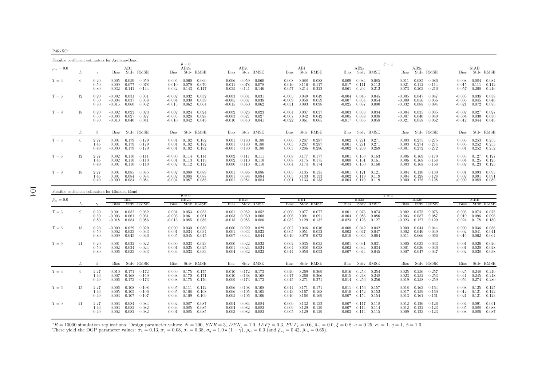P4fc-XC∗

Feasible coefficient estimators for Arellano-Bond $\theta = 0$  $AB2a$  $\theta = 1$ <br>a  $\theta = 1$  $\bar{\rho}_{x\varepsilon}=0.0$  $_{\varepsilon}$  = 0.0  $_{\varepsilon}$   $_{\varepsilon}$   $_{\varepsilon}$   $_{\varepsilon}$   $_{\varepsilon}$   $_{\varepsilon}$   $_{\varepsilon}$   $_{\varepsilon}$   $_{\varepsilon}$   $_{\varepsilon}$   $_{\varepsilon}$   $_{\varepsilon}$   $_{\varepsilon}$   $_{\varepsilon}$   $_{\varepsilon}$   $_{\varepsilon}$   $_{\varepsilon}$   $_{\varepsilon}$   $_{\varepsilon}$   $_{\varepsilon}$   $_{\varepsilon}$   $_{\varepsilon}$   $_{\varepsilon}$ L  $\gamma$  Bias Stdv RMSE Bias Stdv RMSE Bias Stdv RMSE Bias Stdv RMSE Bias Stdv RMSE Bias Stdv RMSE Bias Stdv RMSE0.084  $T=3$  $T=3$  6 0.20 -0.005 0.059 0.059 -0.006 0.060 -0.006 0.059 0.060 -0.008 0.088 0.088 -0.009 0.084 0.085 -0.011 0.085 0.086 -0.008 0.084 0.084<br>0.50 -0.009 0.077 0.078 -0.010 0.079 0.079 -0.011 0.078 0.078 -0.016 0.116 0.117  $0.50$  - $0.009$   $0.077$   $0.078$  -0.010  $0.079$   $0.079$  -0.011  $0.078$   $0.078$  -0.016  $0.116$   $0.117$  -0.017  $0.111$   $0.112$  -0.021  $0.112$   $0.114$  -0.015  $0.111$   $0.112$ 0.216 0.80 -0.032 0.141 0.144 -0.032 0.143 0.147 -0.035 0.141 0.146 -0.057 0.214 0.222 -0.061 0.204 0.212 -0.073 0.203 0.216 -0.057 0.208 0.2160.038  $T=6$  $T=6$   $12$   $0.20$   $-0.002$   $0.031$   $0.031$   $-0.002$   $0.032$   $-0.003$   $0.031$   $0.031$   $-0.005$   $0.049$   $-0.004$   $0.049$   $-0.004$   $0.045$   $0.045$   $-0.005$   $0.047$   $0.047$   $-0.003$   $0.038$   $-0.003$   $0.038$   $-0.005$   $0.037$  0.50 -0.004 0.037 0.038 -0.004 0.039 0.039 -0.005 0.037 0.038 -0.009 0.058 0.059 -0.007 0.054 0.054 -0.009 0.056 0.056 -0.006 0.045 0.046 $-0.021$   $0.072$   $0.075$  $0.80$   $-0.015$   $0.060$   $0.062$   $-0.015$   $0.062$   $0.064$   $-0.015$   $0.060$   $0.062$   $-0.031$   $0.093$   $0.098$   $-0.025$   $0.087$   $0.090$   $-0.032$   $0.088$   $0.094$  $-0.002$   $0.027$   $0.027$  $T=9$  $T=9$   $18$   $0.20$   $-0.002$   $0.023$   $0.023$   $-0.002$   $0.024$   $-0.002$   $0.023$   $0.023$   $-0.004$   $0.037$   $-0.033$   $0.033$   $0.034$   $-0.004$   $0.035$   $0.035$   $-0.002$   $0.027$   $0.027$   $-0.003$   $0.027$   $0.027$   $0.027$   $0.027$   $-0$  $0.50$   $-0.003$   $0.027$   $-0.003$   $0.028$   $0.028$   $-0.003$   $0.027$   $0.027$   $-0.007$   $0.042$   $0.042$   $-0.005$   $0.038$   $0.038$   $-0.007$   $0.040$   $0.040$   $-0.004$   $-0.004$   $0.030$   $0.030$  $0.044$   $0.045$ 0.80 -0.010 0.040 0.041 -0.010 0.042 0.043 -0.010 0.040 0.041 -0.022 0.061 0.065 -0.017 0.056 0.058 -0.021 0.058 0.062 -0.012 0.044 0.045 $L \qquad \qquad \beta$ Bias Stdv RMSE Bias Stdv RMSE Bias Stdv RMSE Bias Stdv RMSE Bias Stdv RMSE Bias Stdv RMSE Bias Stdv RMSE Bias Stdv RMSE 0.253  $T=3$  $T=3$   $6$   $2.27$   $0.001$   $0.179$   $0.179$   $0.001$   $0.182$   $0.182$   $0.001$   $0.180$   $0.180$   $0.006$   $0.287$   $0.287$   $0.002$   $0.271$   $0.271$   $0.003$   $0.275$   $0.275$   $0.006$   $0.253$   $0.253$   $0.253$   $0.253$   $0.253$   $0.253$   $0.2$ 1.46 0.001 0.179 0.179 0.001 0.182 0.182 0.001 0.180 0.180 0.005 0.287 0.287 0.001 0.271 0.271 0.003 0.274 0.274 0.006 0.252 0.253 $0.252$  $0.49$   $-0.000$   $0.179$   $0.179$   $-0.001$   $0.182$   $0.182$   $-0.001$   $0.180$   $0.180$   $0.003$   $0.286$   $0.286$   $-0.002$   $0.269$   $0.269$   $-0.001$   $0.272$   $0.272$   $0.001$   $0.252$   $0.252$ 0.003 0.127 0.127  $T=6$  $T=6$   $12$   $2.27$   $0.002$   $0.110$   $0.111$   $-0.000$   $0.114$   $0.114$   $0.002$   $0.111$   $0.111$   $0.008$   $0.177$   $0.077$   $0.001$   $0.163$   $0.163$   $0.06$   $0.169$   $0.170$   $0.003$   $0.127$   $0.125$   $0.125$   $0.125$   $0.125$   $0.127$  $1.46 \qquad 0.002 \quad 0.110 \qquad 0.110 \qquad \qquad -0.001 \quad 0.113 \qquad 0.113 \qquad \qquad 0.002 \quad 0.110 \qquad 0.110 \qquad \qquad 0.008 \quad 0.175 \qquad 0.175 \qquad \qquad 0.000 \quad 0.161 \qquad 0.161 \qquad \qquad 0.006 \quad 0.168 \qquad 0.168 \qquad \qquad 0.004 \quad 0.125 \quad 0.125 \qquad 0.141 \qquad \qquad 0$ 0.123  $0.49$   $0.001$   $0.110$   $0.110$   $0.002$   $0.112$   $0.112$   $0.000$   $0.110$   $0.110$   $0.004$   $0.174$   $0.174$   $-0.003$   $0.160$   $0.160$   $0.003$   $0.168$   $0.168$   $0.002$   $0.123$   $0.123$ 0.093  $T=9$  $T=9 \hspace{1cm} 18 \hspace{1cm} 2.27 \hspace{1cm} 0.001 \hspace{1cm} 0.085 \hspace{1cm} 0.085 \hspace{1cm} 0.085 \hspace{1cm} 0.089 \hspace{1cm} 0.089 \hspace{1cm} 0.001 \hspace{1cm} 0.086 \hspace{1cm} 0.005 \hspace{1cm} 0.013 \hspace{1cm} 0.135 \hspace{1.4cm} 0.135 \hspace{1.4cm} 0.010 \hspace{1.4cm} 0.121 \hspace{1.4$ 1.46 0.001 0.084 0.084 -0.002 0.088 0.088 0.001 0.084 0.084 0.005 0.133 0.133 -0.002 0.119 0.119 0.004 0.128 0.128 0.002 0.091 0.091 $-0.000$   $0.089$   $0.089$  $0.49$   $-0.000$   $0.084$   $-0.004$   $0.087$   $0.088$   $-0.001$   $0.084$   $0.084$   $0.001$   $0.133$   $0.133$   $-0.004$   $0.119$   $0.119$   $0.000$   $0.128$   $0.128$ 

| Feasible coefficient estimators for Blundell-Bond |          |                      |                                  |                         |                         |                                  |                         |                         |                                  |                         |                         |                                  |                                       |                         |                                  |                         |                         |                                  |                         |                         |                               |                         |                         |
|---------------------------------------------------|----------|----------------------|----------------------------------|-------------------------|-------------------------|----------------------------------|-------------------------|-------------------------|----------------------------------|-------------------------|-------------------------|----------------------------------|---------------------------------------|-------------------------|----------------------------------|-------------------------|-------------------------|----------------------------------|-------------------------|-------------------------|-------------------------------|-------------------------|-------------------------|
|                                                   |          |                      |                                  |                         |                         |                                  | $\theta = 0$            |                         |                                  |                         |                         |                                  |                                       |                         |                                  |                         |                         | $\theta = 1$                     |                         |                         |                               |                         |                         |
| $\bar{\rho}_{x\varepsilon}=0.0$                   |          |                      |                                  | BB1                     |                         |                                  | BB2a                    |                         |                                  | BB2c                    |                         |                                  | BB1                                   |                         |                                  | BB2a                    |                         |                                  | BB2c                    |                         |                               | МВВ                     |                         |
|                                                   |          |                      | <b>Bias</b>                      |                         | Stdy RMSE               | <b>Bias</b>                      |                         | Stdy RMSE               | <b>Bias</b>                      |                         | Stdy RMSE               | <b>Bias</b>                      |                                       | Stdy RMSE               | <b>Bias</b>                      |                         | Stdy RMSE               | <b>Bias</b>                      |                         | Stdy RMSE               | <b>Bias</b>                   |                         | Stdy RMSE               |
| $T=3$                                             | $\Omega$ | 0.20<br>0.50<br>0.80 | 0.001<br>$-0.003$<br>$-0.018$    | 0.052<br>0.061<br>0.084 | 0.052<br>0.061<br>0.086 | 0.001<br>$-0.003$<br>$-0.013$    | 0.053<br>0.061<br>0.085 | 0.053<br>0.061<br>0.086 | 0.001<br>$-0.003$<br>$-0.015$    | 0.052<br>0.060<br>0.085 | 0.052<br>0.060<br>0.086 | $-0.000$<br>$-0.006$             | 0.077<br>0.091<br>$-0.032$ 0.129      | 0.077<br>0.091<br>0.132 | 0.001<br>$-0.004$<br>$-0.023$    | 0.073<br>0.086<br>0.125 | 0.073<br>0.086<br>0.127 | 0.002<br>$-0.003$<br>$-0.023$    | 0.075<br>0.087<br>0.127 | 0.075<br>0.087<br>0.129 | 0.005<br>0.010<br>0.024       | 0.074<br>0.096<br>0.178 | 0.075<br>0.096<br>0.180 |
| $T=6$                                             | 15       | 0.20<br>0.50<br>0.80 | $-0.000$<br>$-0.002$<br>$-0.009$ | 0.029<br>0.033<br>0.045 | 0.029<br>0.033<br>0.046 | 0.000<br>$-0.001$<br>$-0.005$    | 0.030<br>0.034<br>0.045 | 0.030<br>0.034<br>0.045 | $-0.000$<br>$-0.001$<br>$-0.007$ | 0.029<br>0.033<br>0.044 | 0.029<br>0.033<br>0.044 | $-0.002$<br>$-0.005$<br>$-0.019$ | 0.046<br>0.051<br>0.070               | 0.046<br>0.052<br>0.073 | $-0.000$<br>$-0.002$<br>$-0.010$ | 0.042<br>0.047<br>0.063 | 0.042<br>0.047<br>0.064 | 0.000<br>$-0.002$<br>$-0.011$    | 0.044<br>0.049<br>0.066 | 0.044<br>0.049<br>0.066 | 0.000<br>0.002<br>0.016       | 0.036<br>0.041<br>0.062 | 0.036<br>0.041<br>0.064 |
| $T=9$                                             | 21       | 0.20<br>0.50<br>0.80 | $-0.001$<br>$-0.002$<br>$-0.006$ | 0.022<br>0.024<br>0.033 | 0.022<br>0.024<br>0.033 | $-0.000$<br>$-0.001$<br>$-0.003$ | 0.023<br>0.025<br>0.033 | 0.023<br>0.025<br>0.033 | $-0.000$<br>$-0.001$<br>$-0.004$ | 0.022<br>0.024<br>0.032 | 0.022<br>0.024<br>0.032 | $-0.002$<br>$-0.004$<br>$-0.014$ | 0.035<br>0.038<br>0.050               | 0.035<br>0.038<br>0.052 | $-0.001$<br>$-0.002$<br>$-0.007$ | 0.031<br>0.034<br>0.044 | 0.031<br>0.034<br>0.045 | $-0.000$<br>$-0.001$<br>$-0.007$ | 0.033<br>0.036<br>0.047 | 0.033<br>0.036<br>0.047 | $-0.001$<br>$-0.001$<br>0.002 | 0.026<br>0.028<br>0.038 | 0.026<br>0.028<br>0.038 |
|                                                   |          |                      | Bias                             |                         | Stdy RMSE               | Bias                             |                         | Stdy RMSE               | Bias                             |                         | Stdv RMSE               | Bias                             |                                       | Stdy RMSE               |                                  |                         | Bias Stdy RMSE          | Bias                             |                         | Stdv RMSE               | <b>Bias</b>                   |                         | Stdy RMSE               |
| $T=3$                                             | $\Omega$ | 2.27<br>1.46<br>0.49 | 0.010<br>0.007<br>0.006          | 0.171<br>0.168<br>0.173 | 0.172<br>0.169<br>0.173 | 0.009<br>0.008<br>0.008          | 0.175<br>0.170<br>0.175 | 0.175<br>0.171<br>0.176 | 0.010<br>0.010<br>0.009          | 0.172<br>0.168<br>0.173 | 0.173<br>0.168<br>0.173 | 0.020<br>0.017<br>0.015          | 0.269<br>0.266<br>0.271               | 0.269<br>0.266<br>0.271 | 0.016<br>0.015<br>0.014          | 0.253<br>0.248<br>0.256 | 0.254<br>0.248<br>0.256 | 0.025<br>0.023<br>0.019          | 0.256<br>0.252<br>0.258 | 0.257<br>0.253<br>0.259 | 0.025<br>0.041<br>0.056       | 0.248<br>0.245<br>0.274 | 0.249<br>0.248<br>0.280 |
| $T=6$                                             | 15       | 2.27<br>1.46<br>0.49 | 0.006<br>0.005<br>0.003          | 0.108<br>0.105<br>0.107 | 0.108<br>0.106<br>0.107 | 0.005<br>0.005<br>0.003          | 0.111<br>0.108<br>0.109 | 0.112<br>0.108<br>0.109 | 0.006<br>0.006<br>0.005          | 0.108<br>0.105<br>0.106 | 0.108<br>0.105<br>0.106 | 0.014<br>0.013                   | 0.171<br>0.167<br>$0.010 \quad 0.168$ | 0.171<br>0.168<br>0.169 | 0.011<br>0.010<br>0.007          | 0.156<br>0.152<br>0.154 | 0.157<br>0.152<br>0.154 | 0.018<br>0.017<br>0.013          | 0.163<br>0.159<br>0.161 | 0.164<br>0.160<br>0.161 | 0.008<br>0.012<br>0.021       | 0.125<br>0.121<br>0.121 | 0.125<br>0.122<br>0.123 |
| $T=9$                                             | 21       | 2.27<br>1.46<br>0.49 | 0.003<br>0.003<br>0.002          | 0.084<br>0.082<br>0.082 | 0.084<br>0.082<br>0.082 | 0.002<br>0.003<br>0.001          | 0.087<br>0.085<br>0.085 | 0.087<br>0.085<br>0.085 | 0.004<br>0.004<br>0.003          | 0.084<br>0.082<br>0.082 | 0.084<br>0.082<br>0.082 | 0.009<br>0.009<br>0.005          | 0.132<br>0.129<br>0.129               | 0.132<br>0.129<br>0.129 | 0.007<br>0.007<br>0.003          | 0.117<br>0.114<br>0.114 | 0.118<br>0.114<br>0.115 | 0.012<br>0.012<br>0.009          | 0.126<br>0.122<br>0.123 | 0.126<br>0.123<br>0.123 | 0.004<br>0.005<br>0.008       | 0.091<br>0.088<br>0.086 | 0.091<br>0.088<br>0.087 |

 ${}^*R = 10000$  simulation replications. Design parameter values:  $N = 200$ ,  $SNR = 3$ ,  $DEN_y = 1.0$ ,  $IEF_x^{\eta} = 0.3$ ,  $EVF_x = 0.6$ ,  $\bar{\rho}_{xc} = 0.0$ ,  $\xi = 0.8$ ,  $\kappa = 0.25$ ,  $\sigma_{\varepsilon} = 1$ ,  $q = 1$ ,  $\phi = 1.0$ .<br>These yield the DGP param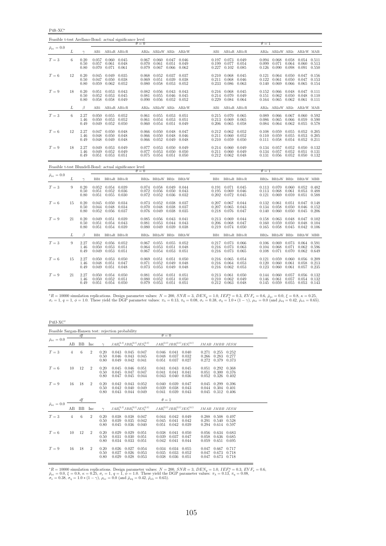P4ft-XC<sup>∗</sup>

| Feasible t-test Arellano-Bond: actual significance level |    |                      |                         |                                                                                     |                                    |                         |                                                               |                         |                         |       |                                                                               |                |                         |                                                             |                         |                                                       |                |
|----------------------------------------------------------|----|----------------------|-------------------------|-------------------------------------------------------------------------------------|------------------------------------|-------------------------|---------------------------------------------------------------|-------------------------|-------------------------|-------|-------------------------------------------------------------------------------|----------------|-------------------------|-------------------------------------------------------------|-------------------------|-------------------------------------------------------|----------------|
| $\bar{\rho}_{x\varepsilon}=0.0$                          |    |                      |                         |                                                                                     |                                    | $\theta = 0$            |                                                               |                         |                         |       |                                                                               |                | $\theta = 1$            |                                                             |                         |                                                       |                |
|                                                          | L  | $\gamma$             |                         | AB1 AB1aR AB1cR                                                                     |                                    |                         |                                                               |                         | AB2a AB2aW AB2c AB2cW   |       | AB1 AB1aR AB1cR                                                               |                |                         | AB2a AB2aW AB2c AB2cW MAB                                   |                         |                                                       |                |
| $T=3$                                                    | 6  | 0.20<br>0.50<br>0.80 | 0.057<br>0.070          | 0.057 0.060 0.045<br>$0.071$ $0.061$                                                | $0.061$ $0.048$                    | 0.067<br>0.070<br>0.079 | $0.060$ $0.047$ $0.046$<br>0.061<br>$0.067$ 0.066             | 0.051                   | 0.049<br>0.062          | 0.199 | 0.197 0.073 0.049<br>0.077 0.054<br>$0.227$ $0.102$ $0.085$                   |                | 0.099<br>0.126          | 0.094 0.068<br>0.071<br>0.090                               | 0.058<br>0.064<br>0.098 | $0.054$ $0.511$<br>$0.060$ $0.513$<br>0.091           | 0.550          |
| $T=6$                                                    | 12 | 0.20<br>0.50<br>0.80 | 0.045<br>0.047<br>0.059 | 0.049 0.035                                                                         | $0.050$ $0.038$<br>$0.062$ $0.052$ | 0.068<br>0.069<br>0.080 | 0.052<br>0.051<br>0.058                                       | 0.037<br>0.039<br>0.053 | 0.037<br>0.038<br>0.052 |       | 0.210 0.068 0.045<br>$0.211$ $0.068$<br>0.233 0.086                           | 0.046<br>0.063 | 0.121<br>0.122<br>0.140 | 0.064<br>0.061<br>0.069                                     | 0.050<br>0.050<br>0.066 | $0.047$ 0.156<br>$0.047$ $0.153$<br>$0.065$ $0.154$   |                |
| $T=9$                                                    | 18 | 0.20<br>0.50<br>0.80 | 0.051<br>0.052<br>0.058 | $0.053$ $0.043$<br>0.053<br>0.058                                                   | 0.045<br>0.049                     | 0.082<br>0.081<br>0.090 | 0.056 0.043<br>0.055<br>0.056 0.052                           | 0.046                   | 0.043<br>0.045<br>0.052 |       | $0.216$ $0.068$ $0.045$<br>$0.214$ $0.070$ $0.049$<br>0.229 0.084 0.064       |                | 0.151                   | $0.152$ 0.066<br>0.062<br>$0.164$ 0.065                     | 0.048<br>0.050<br>0.062 | $0.047$ $0.111$<br>$0.048$ $0.110$<br>$0.061$ $0.111$ |                |
|                                                          | L  | $\beta$              | AB1                     | AB1aR AB1cR                                                                         |                                    |                         |                                                               |                         | AB2a AB2aW AB2c AB2cW   | AB1   | AB1aR AB1cR                                                                   |                |                         | AB2a AB2aW AB2c AB2cW MAB                                   |                         |                                                       |                |
| $T=3$                                                    | 6  | 2.27<br>1.46<br>0.49 |                         | $0.050$ $0.055$ $0.052$<br>$0.050$ $0.053$ $0.052$<br>$0.049\quad 0.052\quad 0.050$ |                                    | 0.061<br>0.060          | $0.061$ $0.055$ $0.053$ $0.051$<br>0.054<br>$0.054$ $0.051$   | 0.053                   | 0.051<br>0.049          |       | $0.215$ $0.070$ $0.065$<br>$0.213$ $0.069$ $0.065$<br>$0.206$ $0.065$ $0.058$ |                |                         | 0.089 0.066 0.067 0.060 0.592<br>0.086 0.065<br>0.084 0.064 | 0.066<br>0.062          | 0.059 0.590<br>0.055                                  | 0.578          |
| $T=6$                                                    | 12 | 2.27<br>1.46<br>0.49 | 0.047<br>0.048<br>0.048 | $0.050$ $0.048$<br>0.050<br>0.049                                                   | 0.048<br>0.048                     | 0.066<br>0.066<br>0.066 | $0.050$ $0.048$<br>0.050<br>0.052                             | 0.048<br>0.049          | 0.047<br>0.046<br>0.048 |       | $0.212$ $0.062$ $0.052$<br>$0.211$ $0.060$<br>$0.210 \quad 0.059$             | 0.052<br>0.050 | 0.108<br>0.110          | 0.059<br>0.059<br>$0.111$ $0.058$                           | 0.055<br>0.055<br>0.054 | 0.052<br>0.053<br>$0.052$ $0.211$                     | 0.205<br>0.205 |
| $T=9$                                                    | 18 | 2.27<br>1.46<br>0.49 | 0.049<br>0.049          | 0.053 0.049<br>0.052<br>$0.051$ $0.053$ $0.051$                                     | 0.049                              | 0.077<br>0.077          | 0.053 0.050 0.049<br>0.053<br>$0.075$ $0.054$ $0.051$ $0.050$ | 0.050                   | 0.050                   |       | 0.214 0.060 0.049<br>$0.211$ $0.060$<br>$0.212$ $0.062$ $0.048$               | 0.049          |                         | 0.134 0.057<br>0.134 0.057<br>$0.131$ $0.056$ $0.052$       | 0.052                   | $0.052$ $0.050$ $0.132$<br>0.051<br>$0.050$ $0.132$   | 0.131          |
| Feasible t-test Blundell-Bond: actual significance level |    |                      |                         |                                                                                     |                                    | $\theta = 0$            |                                                               |                         |                         |       |                                                                               |                | $\theta = 1$            |                                                             |                         |                                                       |                |
| $\bar{\rho}_{x\varepsilon} = 0.0$                        | L  | $\gamma$             |                         | BB1 BB1aR BB1cR                                                                     |                                    |                         |                                                               |                         | BB2a BB2aW BB2c BB2cW   |       | BB1 BB1aR BB1cR                                                               |                |                         | BB2a BB2aW BB2c BB2cW MBB                                   |                         |                                                       |                |
| $T=3$                                                    | 9  | 0.20<br>0.50<br>0.80 | 0.051<br>0.051          | $0.052$ $0.054$ $0.039$<br>0.052<br>0.055                                           | 0.036<br>0.030                     | 0.072<br>0.072          | $0.074$ $0.058$ $0.049$ $0.044$<br>0.056<br>0.052             | 0.050<br>0.036          | 0.043<br>0.032          | 0.195 | 0.191 0.071 0.045<br>$0.069$ 0.046<br>$0.202$ $0.072$ $0.045$                 |                | 0.113                   | $0.113$ $0.070$<br>0.068<br>$0.121$ $0.069$                 | 0.060<br>0.061<br>0.059 | $0.052$ 0.482<br>0.053<br>$0.051$ $0.588$             | 0.488          |
| $T=6$                                                    | 15 | 0.20<br>0.50<br>0.80 | 0.044<br>0.052          | $0.045$ $0.050$ $0.034$<br>0.048<br>0.056                                           | 0.034<br>0.037                     | 0.073<br>0.070<br>0.076 | 0.052 0.038<br>0.048<br>0.049                                 | 0.038<br>0.038          | 0.037<br>0.037<br>0.035 | 0.218 | $0.207$ $0.067$ $0.044$<br>$0.207$ $0.065$ $0.043$<br>0.076                   | 0.047          | 0.134<br>0.140          | $0.132 \quad 0.061$<br>0.058<br>0.060                       | 0.051<br>0.050<br>0.050 | $0.047$ 0.148<br>$0.046$ $0.152$<br>0.045             | 0.206          |
| $T=9$                                                    | 21 | 0.20<br>0.50<br>0.80 | 0.049<br>0.051<br>0.051 | 0.051 0.039<br>0.054<br>0.054 0.039                                                 | 0.043                              | 0.085<br>0.081<br>0.080 | 0.056 0.043<br>0.053<br>0.049                                 | 0.044<br>0.039          | 0.041<br>0.043<br>0.038 | 0.206 | $0.213$ $0.069$ $0.044$<br>0.068<br>$0.219$ $0.074$ $0.050$                   | 0.047          | 0.158<br>0.160<br>0.165 | 0.063<br>0.059<br>0.058                                     | 0.048<br>0.050<br>0.045 | $0.047$ $0.102$<br>0.048<br>$0.042$ $0.106$           | 0.104          |
|                                                          | L  | $\beta$              | BB1                     | BB1aR BB1cR                                                                         |                                    |                         |                                                               |                         | BB2a BB2aW BB2c BB2cW   | BB1   | BB1aR BB1cR                                                                   |                |                         | BB2a BB2aW BB2c                                             |                         | BB2cW MBB                                             |                |
| $T=3$                                                    | 9  | 2.27<br>1.46<br>0.49 | 0.050<br>0.049          | $0.052$ $0.056$ $0.052$<br>0.053<br>$0.053$ $0.051$                                 | 0.051                              | 0.067<br>0.064<br>0.067 | $0.055$ $0.055$ $0.052$<br>0.053<br>$0.054$ 0.053             | 0.051                   | 0.048<br>0.051          |       | $0.217$ $0.073$ $0.066$<br>0.216 0.073 0.063<br>$0.216$ $0.073$ $0.065$       |                | 0.104<br>0.108          | $0.106$ 0.069<br>0.068<br>0.071                             | 0.073<br>0.071<br>0.070 | $0.064$ 0.591<br>$0.062$ $0.596$<br>0.062 0.649       |                |
| $T=6$                                                    | 15 | 2.27<br>1.46<br>0.49 | 0.050<br>0.048<br>0.049 | $0.053$ 0.050<br>0.051<br>0.051                                                     | 0.047<br>0.048                     | 0.069<br>0.071<br>0.073 | $0.051$ $0.051$<br>0.052<br>0.053                             | 0.049<br>0.049          | 0.050<br>0.048<br>0.048 | 0.216 | $0.216$ $0.065$ $0.054$<br>0.064<br>$0.216$ $0.062$ $0.053$                   | 0.053          | 0.120<br>0.123          | $0.121$ $0.059$<br>0.060<br>0.060                           | 0.060<br>0.061<br>0.061 | $0.056$ 0.209<br>0.058<br>0.057                       | 0.213<br>0.235 |
| $T=9$                                                    | 21 | 2.27<br>1.46<br>0.49 | 0.050<br>0.051          | $0.050$ $0.054$ $0.050$<br>0.052<br>$0.054$ $0.050$                                 | 0.051                              | 0.081<br>0.080          | 0.054<br>0.052<br>$0.079$ $0.053$ $0.051$ $0.051$             | 0.051<br>0.051          | 0.051<br>0.050          |       | $0.213$ $0.061$ $0.050$<br>$0.210$ $0.062$ $0.049$<br>$0.212$ $0.063$ $0.048$ |                | 0.144<br>0.146          | 0.060<br>0.061<br>$0.145$ 0.059                             | 0.057<br>0.057<br>0.055 | 0.056 0.132<br>$0.054$ $0.132$<br>$0.053$ $0.143$     |                |

 ${}^*R = 10000$  simulation replications. Design parameter values:  $N = 200$ ,  $SNR = 3$ ,  $DEN_y = 1.0$ ,  $IEF_y'' = 0.3$ ,  $EVF_x = 0.6$ ,  $\bar{\rho}_{xz} = 0.0$ ,  $\xi = 0.8$ ,  $\kappa = 0.25$ ,  $\sigma_z = 1$ ,  $q = 1$ ,  $\phi = 1.0$ . These yield the DGP parameter val

P4fJ-XC<sup>∗</sup>

| Feasible Sargan-Hansen test: rejection probability |                |    |                |                      |                         |                               |                                           |                         |                         |                                           |                         |                                       |                         |  |
|----------------------------------------------------|----------------|----|----------------|----------------------|-------------------------|-------------------------------|-------------------------------------------|-------------------------|-------------------------|-------------------------------------------|-------------------------|---------------------------------------|-------------------------|--|
|                                                    |                | df |                |                      |                         |                               |                                           | $\theta = 0$            |                         |                                           |                         |                                       |                         |  |
| $\bar{\rho}_{x\varepsilon}=0.0$                    | AВ             | BB | Inc            | $\sim$               |                         |                               | $JAB_a^{(2,1)}JBB_a^{(2,1)}JES_a^{(2,1)}$ |                         |                         | $JAB_c^{(2,1)}JBB_c^{(2,1)}JES_c^{(2,1)}$ | JMAB JMBB JESM          |                                       |                         |  |
| $T=3$                                              | 4              | 6  | $\overline{2}$ | 0.20<br>0.50<br>0.80 | 0.043<br>0.046<br>0.049 | 0.045<br>0.043<br>0.042       | 0.047<br>0.045<br>0.041                   | 0.046<br>0.048<br>0.051 | 0.041<br>0.037<br>0.037 | 0.040<br>0.032<br>0.027                   | 0.271<br>0.266<br>0.272 | 0.255<br>0.283<br>0.379               | 0.252<br>0.277<br>0.373 |  |
| $T=6$                                              | 10             | 12 | $\overline{2}$ | 0.20<br>0.50<br>0.80 | 0.045<br>0.045<br>0.047 | 0.046<br>0.047<br>0.045       | 0.051<br>0.047<br>0.044                   | 0.041<br>0.041<br>0.043 | 0.043<br>0.041<br>0.040 | 0.045<br>0.041<br>0.036                   | 0.051<br>0.051<br>0.052 | 0.292<br>0.300<br>0.326               | 0.368<br>0.376<br>0.402 |  |
| $T=9$                                              | 16             | 18 | $\overline{2}$ | 0.20<br>0.50<br>0.80 | 0.042<br>0.042<br>0.043 | 0.043<br>0.040<br>0.044 0.049 | 0.052<br>0.049                            | 0.040<br>0.039<br>0.041 | 0.039<br>0.038<br>0.039 | 0.047<br>0.043<br>0.043                   | 0.045<br>0.044<br>0.045 | 0.299<br>0.304<br>$0.312 \quad 0.406$ | 0.396<br>0.401          |  |
|                                                    |                | df |                |                      |                         |                               |                                           | $\theta = 1$            |                         |                                           |                         |                                       |                         |  |
| $\bar{\rho}_{x\varepsilon}=0.0$                    | AВ             | BB | Inc            | $\gamma$             |                         |                               | $JAB_a^{(2,1)}JBB_a^{(2,1)}JES_a^{(2,1)}$ |                         |                         | $JAB_c^{(2,1)}JBB_c^{(2,1)}JES_c^{(2,1)}$ | JMAB JMBB JESM          |                                       |                         |  |
| $T=3$                                              | $\overline{4}$ | 6  | $\overline{2}$ | 0.20<br>0.50<br>0.80 | 0.038<br>0.039<br>0.045 | 0.038<br>0.035<br>0.036       | 0.047<br>0.042<br>0.040                   | 0.044<br>0.045<br>0.051 | 0.042<br>0.041<br>0.042 | 0.049<br>0.042<br>0.039                   | 0.288<br>0.291<br>0.294 | 0.508<br>0.540<br>0.614 0.597         | 0.497<br>0.528          |  |
| $T=6$                                              | 10             | 12 | $\overline{2}$ | 0.20<br>0.50<br>0.80 | 0.029<br>0.031<br>0.034 | 0.029<br>0.030<br>0.033       | 0.051<br>0.051<br>0.051                   | 0.038<br>0.039<br>0.042 | 0.041<br>0.037<br>0.041 | 0.050<br>0.047<br>0.044                   | 0.056<br>0.058<br>0.059 | 0.634<br>0.636<br>0.651               | 0.683<br>0.685<br>0.695 |  |
| $T=9$                                              | 16             | 18 | $\overline{2}$ | 0.20<br>0.50<br>0.80 | 0.026<br>0.027<br>0.029 | 0.027<br>0.026<br>0.028       | 0.054<br>0.053<br>0.053                   | 0.034<br>0.035<br>0.038 | 0.034<br>0.033<br>0.036 | 0.055<br>0.052<br>0.051                   | 0.047<br>0.047<br>0.047 | 0.667<br>0.673<br>0.673 0.718         | 0.717<br>0.718          |  |

 ${}^*R = 10000$  simulation replications. Design parameter values:  $N = 200$ ,  $SNR = 3$ ,  $DEN_y = 1.0$ ,  $IEF_x^{\eta} = 0.3$ ,  $EVF_x = 0.6$ ,  $\bar{\rho}_{xe} = 0.0$ ,  $\xi = 0.8$ ,  $\kappa = 0.25$ ,  $\sigma_{\varepsilon} = 1$ ,  $q = 1$ ,  $\phi = 1.0$ . These yield the DGP param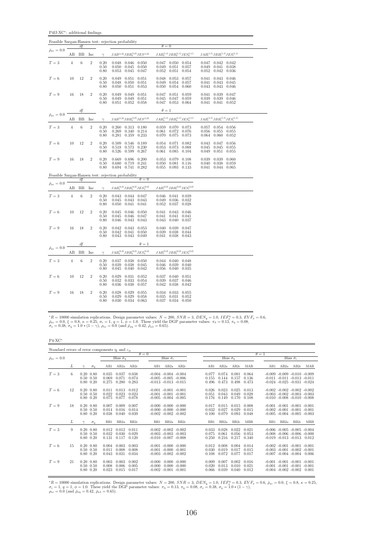P4fJ-XC<sup>∗</sup> : additional findings

|                                 |                |                 |                  |              | Feasible Sargan-Hansen test: rejection probability                                     |                                                                                          |                                                     |  |
|---------------------------------|----------------|-----------------|------------------|--------------|----------------------------------------------------------------------------------------|------------------------------------------------------------------------------------------|-----------------------------------------------------|--|
| $\bar{\rho}_{x\varepsilon}=0.0$ |                | df              |                  |              |                                                                                        | $\theta = 0$                                                                             |                                                     |  |
|                                 | $\rm AB$       | BB              | Inc              | $\gamma$     |                                                                                        | $JAB^{(1,0)}JBB^{(1,0)}_aJES^{(1,0)} \qquad JAB^{(1,1)}_aJBB^{(1,1)}_aJES^{(1,1)}_a$     | $JAB_c^{(1,1)}JBB_c^{(1,1)}JES_c^{(1,1)}$           |  |
| $T=3$                           | $\overline{4}$ | 6               | $\overline{2}$   | 0.20<br>0.50 | $0.048$ $0.046$ $0.050$<br>0.050<br>$0.045$ 0.050                                      | $0.047$ $0.050$ $0.054$<br>0.049<br>0.051<br>0.057                                       | $0.047$ $0.042$ $0.042$<br>$0.041$ $0.038$<br>0.049 |  |
|                                 |                |                 |                  | 0.80         | 0.053<br>0.045<br>0.047                                                                | 0.052<br>0.051<br>0.054                                                                  | 0.052<br>0.042<br>0.036                             |  |
| $T=6$                           | 10             | 12              | $\overline{2}$   | 0.20         | 0.049<br>$0.051$ $0.051$                                                               | 0.048<br>0.053<br>0.057                                                                  | 0.041<br>0.043<br>0.046                             |  |
|                                 |                |                 |                  | 0.50<br>0.80 | 0.048<br>0.050<br>0.051<br>0.050<br>0.051<br>0.053                                     | 0.049<br>0.054<br>0.057<br>0.050<br>0.054<br>0.060                                       | 0.043<br>0.041<br>0.045<br>0.043<br>0.043<br>0.046  |  |
| $T=9$                           | 16             | 18              | $\boldsymbol{2}$ | 0.20         | 0.049<br>$0.049$ $0.051$                                                               | 0.047<br>0.051<br>0.059                                                                  | 0.041<br>$0.039$ $0.047$                            |  |
|                                 |                |                 |                  | 0.50<br>0.80 | $0.049$ $0.049$ $0.051$<br>$0.051$ $0.052$ $0.058$                                     | 0.045<br>0.047<br>0.059<br>0.047 0.053 0.064                                             | 0.039<br>$0.039$ $0.046$<br>$0.041$ $0.041$ $0.052$ |  |
|                                 |                | df              |                  |              |                                                                                        | $\theta = 1$                                                                             |                                                     |  |
| $\bar{\rho}_{x\varepsilon}=0.0$ | AB             | BB              | Inc              |              |                                                                                        | $\gamma$ $JAB^{(1,0)}JBB_a^{(1,0)}JES^{(1,0)}$ $JAB_a^{(1,1)}JBB_a^{(1,1)}JES_a^{(1,1)}$ | $JAB_c^{(1,1)}JBB_c^{(1,1)}JES_c^{(1,1)}$           |  |
|                                 |                |                 |                  |              |                                                                                        |                                                                                          |                                                     |  |
| $T=3$                           | $\overline{4}$ | $6\phantom{1}6$ | $\overline{2}$   | 0.20<br>0.50 | $0.260$ $0.313$ $0.180$<br>0.269<br>0.340<br>0.214                                     | 0.059 0.070 0.073<br>0.061<br>0.072<br>0.076                                             | $0.057$ $0.054$ $0.056$<br>0.056<br>$0.055$ 0.055   |  |
|                                 |                |                 |                  | 0.80         | 0.281<br>0.359<br>0.233                                                                | 0.070<br>0.075<br>0.073                                                                  | 0.064<br>$0.060$ $0.052$                            |  |
| $T=6$                           | 10             | 12              | $\overline{2}$   | 0.20<br>0.50 | 0.509<br>0.546<br>0.189<br>0.518<br>0.573<br>0.230                                     | 0.054<br>0.071<br>0.082<br>0.053<br>0.073<br>0.088                                       | 0.043<br>0.047<br>0.056<br>0.045<br>0.045<br>0.055  |  |
|                                 |                |                 |                  | 0.80         | 0.599<br>0.526<br>0.267                                                                | 0.085<br>0.061<br>0.104                                                                  | 0.049<br>0.051<br>0.055                             |  |
| $T=9$                           | 16             | 18              | $\boldsymbol{2}$ | 0.20         | 0.669<br>0.696 0.200                                                                   | 0.079<br>0.053<br>0.108                                                                  | 0.039<br>0.039<br>0.060                             |  |
|                                 |                |                 |                  | 0.50<br>0.80 | 0.719 0.241<br>0.680<br>0.694 0.741<br>0.282                                           | 0.050<br>0.081<br>0.116<br>0.055<br>0.093 0.133                                          | 0.040<br>0.038 0.059<br>$0.041$ $0.044$ $0.065$     |  |
|                                 |                |                 |                  |              | Feasible Sargan-Hansen test: rejection probability                                     |                                                                                          |                                                     |  |
| $\bar{\rho}_{x\varepsilon}=0.0$ |                | df              |                  |              | $\theta = 0$                                                                           |                                                                                          |                                                     |  |
|                                 | AВ             | BB              | Inc              | $\gamma$     | $JAB_a^{(2,2)}JBB_a^{(2,2)}JES_a^{(2,2)}$                                              | $JAB_c^{(2,2)}JBB_c^{(2,2)}JES_c^{(2,2)}$                                                |                                                     |  |
| $T=3$                           | $\overline{4}$ | 6               | $\sqrt{2}$       | 0.20<br>0.50 | $0.043$ $0.044$ $0.047$<br>0.045<br>$0.043$ $0.043$                                    | $0.046$ $0.041$ $0.039$<br>0.049<br>0.036<br>0.032                                       |                                                     |  |
|                                 |                |                 |                  | 0.80         | 0.041<br>0.050<br>0.041                                                                | 0.052<br>0.037<br>0.028                                                                  |                                                     |  |
| $T=6$                           | 10             | 12              | $\overline{2}$   | 0.20         | 0.045<br>0.046 0.050                                                                   | 0.043<br>0.046<br>0.041                                                                  |                                                     |  |
|                                 |                |                 |                  | 0.50<br>0.80 | 0.045<br>0.046<br>0.047<br>0.043<br>0.043<br>0.046                                     | 0.041<br>0.041<br>0.041<br>0.040<br>0.043<br>0.037                                       |                                                     |  |
| $T=9$                           | 16             | 18              | $\overline{2}$   | 0.20         | 0.042<br>0.043<br>0.053                                                                | 0.039<br>0.047<br>0.040                                                                  |                                                     |  |
|                                 |                |                 |                  | 0.50<br>0.80 | 0.042<br>0.041<br>0.050<br>$0.043$ $0.043$ $0.049$                                     | 0.039<br>0.038<br>0.044<br>$0.041$ $0.038$ $0.043$                                       |                                                     |  |
|                                 |                | df              |                  |              | $\theta=1$                                                                             |                                                                                          |                                                     |  |
| $\bar{\rho}_{x\varepsilon}=0.0$ | AB             | BB              | Inc              | $\gamma$     | $JAB_{a}^{\left( 2,2\right) }JBB_{a}^{\left( 2,2\right) }JES_{a}^{\left( 2,2\right) }$ | $JAB_c^{(2,2)}JBB_c^{(2,2)}JES_c^{(2,2)}$                                                |                                                     |  |
|                                 |                |                 |                  |              |                                                                                        |                                                                                          |                                                     |  |
| $T=3$                           | $\overline{4}$ | $6\phantom{1}6$ | $\sqrt{2}$       | 0.20<br>0.50 | $0.037$ $0.038$ $0.050$<br>0.039<br>0.038<br>0.045                                     | $0.044$ $0.040$ $0.048$<br>0.046<br>0.039<br>0.040                                       |                                                     |  |
|                                 |                |                 |                  | 0.80         | 0.042<br>0.045<br>0.040                                                                | 0.056<br>0.040<br>0.035                                                                  |                                                     |  |
|                                 |                |                 |                  |              |                                                                                        |                                                                                          |                                                     |  |
| $T=6$                           | 10             | 12              | $\overline{2}$   | 0.20         | 0.029<br>0.031<br>0.052                                                                | 0.040<br>0.051<br>0.037                                                                  |                                                     |  |
|                                 |                |                 |                  | 0.50<br>0.80 | 0.032<br>0.033<br>0.054<br>0.038<br>0.057<br>0.036                                     | 0.039<br>0.037<br>0.046<br>0.042<br>0.038<br>0.042                                       |                                                     |  |
| $T=9$                           | 16             | 18              | $\overline{2}$   | 0.20         | 0.028<br>0.029<br>0.055                                                                | 0.033<br>0.055<br>0.034                                                                  |                                                     |  |
|                                 |                |                 |                  | 0.50<br>0.80 | 0.029<br>0.058<br>0.029<br>$0.030$ $0.034$ $0.063$                                     | 0.031<br>0.035<br>0.052<br>0.037<br>0.034 0.050                                          |                                                     |  |

 ${}^*R = 10000$  simulation replications. Design parameter values:  $N = 200$ ,  $SNR = 3$ ,  $DEN_y = 1.0$ ,  $IEF_x^{\eta} = 0.3$ ,  $EVF_x = 0.6$ ,  $\bar{\rho}_{xe} = 0.0$ ,  $\xi = 0.8$ ,  $\kappa = 0.25$ ,  $\sigma_{\varepsilon} = 1$ ,  $q = 1$ ,  $\phi = 1.0$ . These yield the DGP param

P4-XC<sup>∗</sup>

|                                 | Standard errors of error components $\eta_i$ and $\varepsilon_{it}$ |                                                   |            |                         |                          |                         |                      |                                                                                        |                                    |  |                                       |                         |                         |                         |                 |                                                                                                                   |      |     |  |  |  |
|---------------------------------|---------------------------------------------------------------------|---------------------------------------------------|------------|-------------------------|--------------------------|-------------------------|----------------------|----------------------------------------------------------------------------------------|------------------------------------|--|---------------------------------------|-------------------------|-------------------------|-------------------------|-----------------|-------------------------------------------------------------------------------------------------------------------|------|-----|--|--|--|
|                                 |                                                                     |                                                   |            |                         |                          |                         | $\theta = 0$         |                                                                                        |                                    |  | $\theta = 1$<br>Bias $\hat{\sigma}_n$ |                         |                         |                         |                 |                                                                                                                   |      |     |  |  |  |
| $\bar{\rho}_{x\varepsilon}=0.0$ |                                                                     |                                                   |            |                         | Bias $\hat{\sigma}_\eta$ |                         |                      | Bias $\hat{\sigma}_{\varepsilon}$                                                      |                                    |  |                                       |                         |                         |                         |                 | Bias $\hat{\sigma}_\varepsilon$                                                                                   |      |     |  |  |  |
|                                 | L                                                                   |                                                   | $\sigma_n$ | AB1                     | AB2a                     | AB2c                    | AB1                  | AB2a                                                                                   | AB2c                               |  | AB1                                   | AB2a                    | AB2c                    | MAB                     | AB1             | AB2a                                                                                                              | AB2c | MAB |  |  |  |
| $T=3$                           | 6.                                                                  | $0.20\ 0.80$<br>$0.50 \quad 0.50$<br>$0.80\ 0.20$ |            | 0.035<br>0.069<br>0.275 | 0.037<br>0.071<br>0.280  | 0.038<br>0.074<br>0.283 |                      | $-0.004$ $-0.004$ $-0.004$<br>$-0.005 - 0.005 - 0.006$<br>$-0.013 - 0.013 - 0.015$     |                                    |  | 0.077<br>0.155<br>0.496               | 0.074<br>0.144<br>0.473 | 0.081<br>0.157<br>0.498 | 0.064<br>0.136<br>0.473 |                 | $-0.009 - 0.009 - 0.010 - 0.009$<br>$-0.011$ $-0.011$ $-0.013$ $-0.011$<br>$-0.024$ $-0.025$ $-0.031$ $-0.024$    |      |     |  |  |  |
| $T=6$                           | 12                                                                  | $0.20\ 0.80$<br>$0.50 \quad 0.50$<br>$0.80\ 0.20$ |            | 0.011<br>0.022<br>0.075 | 0.013<br>0.023<br>0.077  | 0.012<br>0.023<br>0.078 |                      | $-0.001$ $-0.001$ $-0.001$<br>$-0.001$ $-0.001$ $-0.001$<br>$-0.005$ $-0.004$ $-0.005$ |                                    |  | 0.026<br>0.051<br>0.176               | 0.023<br>0.043<br>0.149 | 0.025<br>0.049<br>0.170 | 0.013<br>0.028<br>0.108 |                 | $-0.002$ $-0.002$ $-0.002$ $-0.002$<br>$-0.003$ $-0.002$ $-0.003$ $-0.003$<br>$-0.010$ $-0.008$ $-0.010$ $-0.008$ |      |     |  |  |  |
| $T = 9$                         | 18                                                                  | $0.20\ 0.80$<br>$0.50 \quad 0.50$<br>$0.80\ 0.20$ |            | 0.007<br>0.014<br>0.038 | 0.009<br>0.016<br>0.040  | 0.007<br>0.014<br>0.039 |                      | $-0.000 - 0.000 - 0.000$<br>$-0.000 - 0.000 - 0.000$<br>$-0.002$ $-0.002$ $-0.002$     |                                    |  | 0.017<br>0.032<br>0.100               | 0.015<br>0.027<br>0.079 | 0.015<br>0.029<br>0.093 | 0.008<br>0.015<br>0.048 |                 | $-0.001$ $-0.001$ $-0.001$ $-0.001$<br>$-0.002 - 0.001 - 0.001 - 0.001$<br>$-0.005$ $-0.004$ $-0.005$ $-0.003$    |      |     |  |  |  |
|                                 | L                                                                   |                                                   | $\sigma_n$ | B <sub>B1</sub>         | BB <sub>2a</sub>         | BB2c                    | B <sub>B1</sub>      | BB <sub>2a</sub>                                                                       | BB2c                               |  | BB1                                   | BB <sub>2a</sub>        | BB <sub>2c</sub>        | <b>MBB</b>              | B <sub>B1</sub> | BB <sub>2a</sub>                                                                                                  | BB2c | MBB |  |  |  |
| $T=3$                           | 9                                                                   | $0.20\ 0.80$<br>$0.50 \quad 0.50$<br>$0.80\ 0.20$ |            | 0.012<br>0.032<br>0.131 | 0.012<br>0.030<br>0.117  | 0.011<br>0.029<br>0.120 |                      | $-0.002$ $-0.002$ $-0.002$<br>$-0.003 - 0.003 - 0.003$<br>$-0.010$ $-0.007$ $-0.008$   |                                    |  | 0.033<br>0.075<br>0.250               | 0.028<br>0.061<br>0.216 | 0.022<br>0.056<br>0.217 | 0.021<br>0.053<br>0.340 |                 | $-0.006$ $-0.005$ $-0.005$ $-0.004$<br>$-0.008$ $-0.006$ $-0.006$ $-0.000$<br>$-0.019 - 0.013 - 0.013$ 0.012      |      |     |  |  |  |
| $T=6$                           | 15                                                                  | $0.20\ 0.80$<br>$0.50 \quad 0.50$<br>$0.80\ 0.20$ |            | 0.004<br>0.011<br>0.043 | 0.003<br>0.008<br>0.031  | 0.003<br>0.008<br>0.034 |                      | $-0.001 - 0.000 - 0.000$<br>$-0.001 - 0.000 - 0.001$<br>$-0.003$ $-0.002$ $-0.002$     |                                    |  | 0.012<br>0.030<br>0.108               | 0.008<br>0.019<br>0.072 | 0.004<br>0.017<br>0.077 | 0.014<br>0.015<br>0.017 |                 | $-0.002 - 0.001 - 0.001 - 0.001$<br>$-0.003$ $-0.001$ $-0.002$ $-0.001$<br>$-0.007$ $-0.004$ $-0.004$ 0.006       |      |     |  |  |  |
| $T=9$                           | 21                                                                  | $0.20\ 0.80$<br>$0.50 \quad 0.50$<br>$0.80\ 0.20$ |            | 0.003<br>0.008<br>0.023 | 0.003<br>0.006<br>0.015  | 0.002<br>0.005<br>0.017 | $-0.000$<br>$-0.000$ | $-0.002 - 0.001 - 0.001$                                                               | $0.000 - 0.000$<br>$0.000 - 0.000$ |  | 0.009<br>0.020<br>0.066               | 0.007<br>0.013<br>0.039 | 0.002<br>0.010<br>0.040 | 0.016<br>0.021<br>0.012 |                 | $-0.001$ $-0.001$ $-0.001$ $-0.001$<br>$-0.001$ $-0.001$ $-0.001$ $-0.001$<br>$-0.004$ $-0.002$ $-0.002$ 0.001    |      |     |  |  |  |

 ${}^{*}R = 10000$  simulation replications. Design parameter values:  $N = 200$ ,  $SNR = 3$ ,  $DEN_y = 1.0$ ,  $IEF_x^{\eta} = 0.3$ ,  $EVF_x = 0.6$ ,  $\bar{\rho}_{xz} = 0.0$ ,  $\xi = 0.8$ ,  $\kappa = 0.25$ ,  $\sigma_{\varepsilon} = 1$ ,  $q = 1$ ,  $\phi = 1.0$ . These yield the DGP para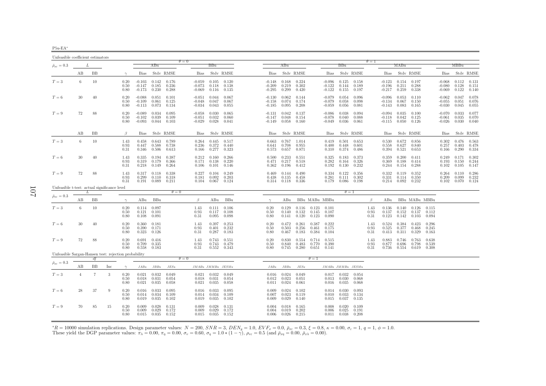| ю.    |  |
|-------|--|
| -111- |  |

| Unfeasible coefficient estimators                    |                                                   |        |     |                      |                                  |                         |                         |                                  |       |                         |                         |                                  |                                   |                         |                         |                                  |                                   |                         |                      |                                  |                                             |                         |                         |                                  |                                   |                         |
|------------------------------------------------------|---------------------------------------------------|--------|-----|----------------------|----------------------------------|-------------------------|-------------------------|----------------------------------|-------|-------------------------|-------------------------|----------------------------------|-----------------------------------|-------------------------|-------------------------|----------------------------------|-----------------------------------|-------------------------|----------------------|----------------------------------|---------------------------------------------|-------------------------|-------------------------|----------------------------------|-----------------------------------|-------------------------|
| $\bar{\rho}_{x\varepsilon}=0.3$                      |                                                   | L      |     |                      |                                  | ABu                     |                         | $\theta = 0$                     |       | BBu                     |                         |                                  | ABu                               |                         |                         |                                  | $\theta = 1$                      |                         | MABu                 |                                  |                                             | MBBu                    |                         |                                  |                                   |                         |
|                                                      | AВ                                                | ΒB     |     | $\gamma$             | Bias                             |                         | Stdy RMSE               |                                  | Bias  |                         | Stdy RMSE               | Bias                             |                                   | Stdy RMSE               |                         | Bias                             |                                   | Stdy RMSE               |                      | Bias                             |                                             | Stdy RMSE               |                         | Bias                             |                                   | Stdy RMSE               |
| $T=3$                                                | 6                                                 | 10     |     | 0.20<br>0.50<br>0.80 | $-0.103$<br>$-0.147$<br>$-0.173$ | 0.142<br>0.185<br>0.230 | 0.176<br>0.236<br>0.288 | $-0.059$<br>$-0.073$<br>$-0.069$ |       | 0.105<br>0.118<br>0.116 | 0.120<br>0.138<br>0.135 | $-0.148$<br>$-0.209$<br>$-0.295$ | 0.168<br>0.219<br>0.299           | 0.224<br>0.302<br>0.420 |                         | $-0.096$<br>$-0.122$<br>$-0.122$ | 0.125<br>0.144<br>0.155           | 0.158<br>0.189<br>0.197 |                      | $-0.123$<br>$-0.196$<br>$-0.217$ | 0.154<br>0.211<br>0.259                     | 0.197<br>0.288<br>0.338 |                         | $-0.068$<br>$-0.080$<br>$-0.069$ | 0.112<br>0.128<br>0.122           | 0.131<br>0.151<br>0.140 |
| $T=6$                                                | 30                                                | 40     |     | 0.20<br>0.50<br>0.80 | $-0.088$<br>$-0.109$<br>$-0.113$ | 0.051<br>0.061<br>0.073 | 0.101<br>0.125<br>0.134 | $-0.051$<br>$-0.048$<br>$-0.034$ |       | 0.044<br>0.047<br>0.043 | 0.067<br>0.067<br>0.055 | $-0.130$<br>$-0.158$<br>$-0.185$ | 0.062<br>0.074<br>0.095           | 0.144<br>0.174<br>0.208 |                         | $-0.079$<br>$-0.079$<br>$-0.059$ | 0.054<br>0.058<br>0.056           | 0.096<br>0.098<br>0.081 |                      | $-0.096$<br>$-0.134$<br>$-0.143$ | 0.053<br>0.067<br>0.083                     | 0.110<br>0.150<br>0.165 |                         | $-0.062$<br>$-0.055$<br>$-0.030$ | 0.047<br>0.051<br>0.045           | 0.078<br>0.076<br>0.055 |
| $T=9$                                                | 72                                                | 88     |     | 0.20<br>0.50<br>0.80 | $-0.089$<br>$-0.102$<br>$-0.093$ | 0.034<br>0.039<br>0.044 | 0.095<br>0.109<br>0.103 | $-0.058$<br>$-0.051$<br>$-0.029$ |       | 0.030<br>0.032<br>0.028 | 0.065<br>0.060<br>0.041 | $-0.131$<br>$-0.147$             | 0.042<br>0.048<br>$-0.149$ 0.058  | 0.137<br>0.154<br>0.160 |                         | $-0.086$<br>$-0.078$<br>$-0.049$ | 0.038<br>0.040<br>0.036           | 0.094<br>0.088<br>0.061 |                      | $-0.094$<br>$-0.118$<br>$-0.115$ | 0.035<br>0.042<br>0.050                     | 0.100<br>0.125<br>0.126 |                         | $-0.070$<br>$-0.061$<br>$-0.026$ | 0.033<br>0.035<br>0.030           | 0.077<br>0.070<br>0.040 |
|                                                      | AВ                                                | BB     |     | $\beta$              | Bias                             |                         | Stdy RMSE               |                                  | Bias  |                         | Stdy RMSE               | Bias                             |                                   | Stdy RMSE               |                         | Bias                             |                                   | Stdy RMSE               |                      | Bias                             |                                             | Stdy RMSE               |                         | Bias                             |                                   | Stdy RMSE               |
| $T=3$                                                | -6                                                | 10     |     | 1.43<br>0.93<br>0.31 | 0.458<br>0.447<br>0.346          | 0.643<br>0.588<br>0.506 | 0.789<br>0.738<br>0.613 | 0.264<br>0.236<br>0.166          |       | 0.445<br>0.372<br>0.277 | 0.517<br>0.440<br>0.323 | 0.663<br>0.641<br>0.573          | 0.767<br>0.708<br>0.657           | 1.014<br>0.955<br>0.871 |                         | 0.419<br>0.400<br>0.310          | 0.501<br>0.448<br>0.374           | 0.653<br>0.601<br>0.486 |                      | 0.530<br>0.558<br>0.394          | 0.672<br>0.627<br>0.521                     | 0.856<br>0.840<br>0.653 |                         | 0.302<br>0.257                   | 0.476<br>0.403<br>$0.166$ $0.290$ | 0.563<br>0.478<br>0.334 |
| $T=6$                                                | 30                                                | 40     |     | 1.43<br>0.93<br>0.31 | 0.335<br>0.319<br>0.218          | 0.194<br>0.179<br>0.149 | 0.387<br>0.366<br>0.264 | 0.212<br>0.171<br>0.106          |       | 0.160<br>0.138<br>0.101 | 0.266<br>0.220<br>0.146 | 0.500<br>0.471<br>0.362          | 0.233<br>0.217<br>0.196           | 0.551<br>0.518<br>0.412 |                         | 0.325<br>0.282<br>0.192          | 0.183<br>0.164<br>0.130           | 0.373<br>0.326<br>0.232 |                      | 0.359<br>0.369                   | 0.200<br>0.188<br>$0.244$ $0.154$           | 0.411<br>0.414<br>0.288 |                         | 0.249<br>0.193<br>0.102          | 0.171<br>0.150<br>0.105           | 0.302<br>0.244<br>0.147 |
| $T=9$                                                | 72                                                | 88     |     | 1.43<br>0.93<br>0.31 | 0.317<br>0.299<br>0.191          | 0.118<br>0.110<br>0.089 | 0.338<br>0.318<br>0.211 | 0.227<br>0.181                   | 0.104 | 0.104<br>0.092<br>0.067 | 0.249<br>0.203<br>0.124 | 0.469<br>0.438                   | 0.144<br>0.135<br>$0.314$ $0.118$ | 0.490<br>0.458<br>0.336 |                         | 0.334<br>0.281<br>0.179          | 0.122<br>0.111<br>0.086           | 0.356<br>0.302<br>0.198 |                      | 0.332                            | 0.119<br>$0.331$ $0.114$<br>$0.214$ $0.092$ | 0.352<br>0.350<br>0.232 |                         | 0.264<br>0.209                   | 0.110<br>0.099<br>$0.102$ 0.070   | 0.286<br>0.232<br>0.124 |
|                                                      | Unfeasible t-test: actual significance level<br>L |        |     |                      |                                  |                         |                         | $\theta = 0$                     |       |                         |                         |                                  |                                   |                         |                         |                                  | $\theta = 1$                      |                         |                      |                                  |                                             |                         |                         |                                  |                                   |                         |
| $\bar{\rho}_{x\varepsilon}=0.3$                      | AВ                                                | BB     |     | $\gamma$             | ABu                              | BBu                     |                         | $\beta$                          |       | ABu                     | BBu                     | $\gamma$                         | ABu                               |                         |                         | BBu MABu MBBu                    |                                   |                         | $\beta$              | ABu                              |                                             |                         | BBu MABu MBBu           |                                  |                                   |                         |
| $T=3$                                                | 6                                                 | 10     |     | 0.20<br>0.50<br>0.80 | 0.114<br>0.121<br>0.108          | 0.097<br>0.101<br>0.091 |                         | 1.43<br>0.93<br>0.31             |       | 0.111<br>0.117<br>0.095 | 0.106<br>0.108<br>0.098 | 0.20<br>0.50<br>0.80             | 0.129<br>0.140<br>0.141           | 0.116<br>0.132<br>0.120 | 0.123<br>0.145<br>0.123 | 0.101<br>0.107<br>0.090          |                                   |                         | 1.43<br>0.93<br>0.31 | 0.136<br>0.137<br>0.123          | 0.140<br>0.152<br>0.142                     | 0.126<br>0.137<br>0.103 | 0.115<br>0.112<br>0.094 |                                  |                                   |                         |
| $T=6$                                                | 30                                                | 40     |     | 0.20<br>0.50<br>0.80 | 0.360<br>0.390<br>0.323          | 0.181<br>0.171<br>0.126 |                         | 1.43<br>0.93<br>0.31             |       | 0.397<br>0.401<br>0.287 | 0.253<br>0.232<br>0.183 | 0.20<br>0.50<br>0.80             | 0.472<br>0.503<br>0.467           | 0.261<br>0.256<br>0.183 | 0.387<br>0.461<br>0.384 | 0.222<br>0.175<br>0.104          |                                   |                         | 1.43<br>0.93<br>0.31 | 0.524<br>0.525<br>0.413          | 0.384<br>0.377<br>0.311                     | 0.423<br>0.468<br>0.329 | 0.296<br>0.245<br>0.163 |                                  |                                   |                         |
| $T=9$                                                | 72                                                | 88     |     | 0.20<br>0.50<br>0.80 | 0.691<br>0.709<br>0.558          | 0.416<br>0.335<br>0.183 |                         | 1.43<br>0.93<br>0.31             |       | 0.743<br>0.743<br>0.552 | 0.551<br>0.479<br>0.343 | 0.20<br>0.50<br>0.80             | 0.830<br>0.840<br>0.745           | 0.554<br>0.483<br>0.280 | 0.714<br>0.770<br>0.651 | 0.515<br>0.390<br>0.141          |                                   |                         | 1.43<br>0.93<br>0.31 | 0.883<br>0.877<br>0.736          | 0.746<br>0.696<br>0.554                     | 0.763<br>0.798<br>0.619 | 0.638<br>0.539<br>0.308 |                                  |                                   |                         |
| Unfeasible Sargan-Hansen test: rejection probability |                                                   | df     |     |                      |                                  |                         |                         | $\theta = 0$                     |       |                         |                         |                                  |                                   |                         | $\theta = 1$            |                                  |                                   |                         |                      |                                  |                                             |                         |                         |                                  |                                   |                         |
| $\bar{\rho}_{x\varepsilon}=0.3$                      | AВ                                                | BB     | Inc | $\gamma$             | JABu                             | JBBu                    | JESu                    |                                  |       |                         | JMABu JMMBu JESMu       | JABu                             | JBBu                              | JESu                    |                         |                                  |                                   | JMABu JMMBu JESMu       |                      |                                  |                                             |                         |                         |                                  |                                   |                         |
| $T=3$                                                | $\overline{4}$                                    | $\tau$ | 3   | 0.20<br>0.50<br>0.80 | 0.021<br>0.018<br>0.021          | 0.032<br>0.031<br>0.035 | 0.049<br>0.054<br>0.058 | 0.021<br>0.018<br>0.021          |       | 0.032<br>0.031<br>0.035 | 0.049<br>0.054<br>0.058 | 0.016<br>0.012<br>0.011          | 0.024<br>0.023<br>0.024           | 0.049<br>0.051<br>0.061 |                         | 0.017<br>0.013<br>0.016          | 0.032<br>0.030<br>0.035           | 0.054<br>0.068<br>0.068 |                      |                                  |                                             |                         |                         |                                  |                                   |                         |
| $T=6$                                                | 28                                                | 37     | 9   | 0.20<br>0.50<br>0.80 | 0.016<br>0.014<br>0.019          | 0.033<br>0.034<br>0.035 | 0.095<br>0.109<br>0.102 | 0.016<br>0.014<br>0.019          |       | 0.033<br>0.034<br>0.035 | 0.095<br>0.109<br>0.102 | 0.009<br>0.007<br>0.009          | 0.024<br>0.023<br>0.029           | 0.102<br>0.119<br>0.140 |                         | 0.014<br>0.010<br>0.015          | 0.030<br>0.033<br>0.037           | 0.093<br>0.134<br>0.135 |                      |                                  |                                             |                         |                         |                                  |                                   |                         |
| $T=9$                                                | 70                                                | 85     | 15  | 0.20<br>0.50<br>0.80 | 0.009<br>0.009<br>0.015          | 0.028<br>0.029<br>0.035 | 0.131<br>0.172<br>0.152 | 0.009<br>0.009                   | 0.015 | 0.028<br>0.029<br>0.035 | 0.131<br>0.172<br>0.152 | 0.004<br>0.004                   | 0.018<br>0.019<br>$0.006$ 0.026   | 0.165<br>0.202<br>0.215 |                         | 0.008<br>0.006                   | 0.020<br>0.025<br>$0.011$ $0.038$ | 0.109<br>0.191<br>0.208 |                      |                                  |                                             |                         |                         |                                  |                                   |                         |

 ${}^*R = 10000$  simulation replications. Design parameter values:  $N = 200$ ,  $SNR = 3$ ,  $DEN_y = 1.0$ ,  $EVF_x = 0.0$ ,  $\bar{\rho}_{xc} = 0.3$ ,  $\xi = 0.8$ ,  $\kappa = 0.00$ ,  $\sigma_{\varepsilon} = 1$ ,  $q = 1$ ,  $\phi = 1.0$ .<br>These yield the DGP parameter values:  $\pi$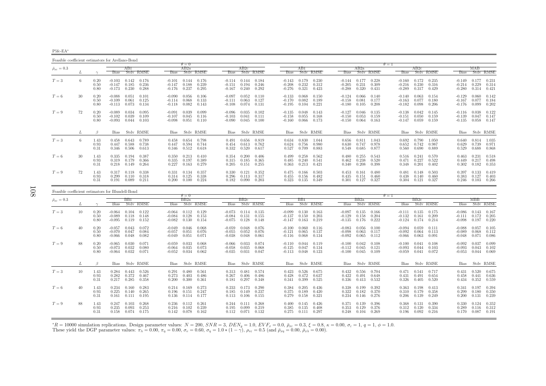P5fc-EA∗

Feasible coefficient estimators for Arellano-Bond

|                                 | $\theta = 0$ |                      |                                          |                                                             |                                        |                               |                         |                                          |                             |                         | $\theta = 1$                     |                         |                                   |  |                                  |                                    |                         |  |                                  |                         |                                       |                                  |                         |                                   |
|---------------------------------|--------------|----------------------|------------------------------------------|-------------------------------------------------------------|----------------------------------------|-------------------------------|-------------------------|------------------------------------------|-----------------------------|-------------------------|----------------------------------|-------------------------|-----------------------------------|--|----------------------------------|------------------------------------|-------------------------|--|----------------------------------|-------------------------|---------------------------------------|----------------------------------|-------------------------|-----------------------------------|
| $\bar{\rho}_{x\varepsilon}=0.3$ |              |                      |                                          | AB1                                                         |                                        | AB2a                          |                         |                                          | AB2c                        |                         |                                  | ABI                     |                                   |  |                                  | AB2a                               |                         |  |                                  | AB2c                    |                                       |                                  | МАВ                     |                                   |
|                                 |              |                      | <b>Bias</b>                              | Stdy RMSE                                                   | <b>Bias</b>                            | Stdy RMSE                     |                         | Bias                                     |                             | Stdy RMSE               | Bias                             |                         | Stdy RMSE                         |  | <b>Bias</b>                      |                                    | Stdy RMSE               |  | Bias                             |                         | Stdy RMSE                             |                                  |                         | Bias Stdy RMSE                    |
| $T=3$                           | 6.           | 0.20<br>0.50<br>0.80 | $-0.103$ $0.142$<br>$-0.147$<br>$-0.173$ | 0.176<br>0.185<br>0.236<br>0.230<br>0.288                   | $-0.101$ $0.144$<br>$-0.147$<br>-0.176 | 0.188<br>0.237                | 0.176<br>0.239<br>0.295 | $-0.114$ $0.144$<br>$-0.151$<br>$-0.167$ | 0.194<br>0.240              | 0.184<br>0.246<br>0.292 | -0.143<br>$-0.208$<br>-0.276     | 0.179<br>0.232<br>0.321 | 0.230<br>0.312<br>0.423           |  | $-0.205$<br>$-0.288$             | $-0.144$ $0.177$<br>0.231<br>0.320 | 0.228<br>0.309<br>0.431 |  | $-0.160$<br>$-0.216$<br>$-0.289$ | 0.172<br>0.230<br>0.317 | 0.235<br>0.316<br>0.429               | -0.149<br>$-0.214$<br>$-0.280$   | 0.177<br>0.229<br>0.314 | 0.231<br>0.314<br>0.421           |
| $T=6$                           | 30           | 0.20<br>0.50<br>0.80 | $-0.088$<br>$-0.109$<br>$-0.113$ 0.073   | 0.051<br>0.101<br>0.061<br>0.125<br>0.134                   | -0.090<br>$-0.114$<br>$-0.118$         | 0.056<br>0.068<br>0.082       | 0.106<br>0.133<br>0.143 | $-0.097$<br>$-0.111$<br>$-0.108$         | 0.052<br>0.063<br>0.074     | 0.110<br>0.127<br>0.131 | $-0.133$<br>$-0.170$<br>$-0.195$ | 0.068<br>0.082<br>0.104 | 0.150<br>0.189<br>0.221           |  | $-0.124$<br>$-0.158$<br>$-0.180$ | 0.066<br>0.081<br>0.105            | 0.140<br>0.177<br>0.208 |  | $-0.140$<br>$-0.163$<br>$-0.182$ | 0.063<br>0.077<br>0.098 | 0.154<br>0.180<br>0.206               | $-0.129$<br>$-0.167$<br>$-0.176$ | 0.077<br>0.099          | $0.060$ $0.142$<br>0.184<br>0.202 |
| $T=9$                           | 72           | 0.20<br>0.50<br>0.80 | $-0.089$<br>$-0.102$<br>$-0.093$         | 0.034<br>0.095<br>0.039<br>0.109<br>0.044<br>0.103          | $-0.091$<br>$-0.107$<br>$-0.098$       | 0.039<br>0.045<br>0.051       | 0.099<br>0.116<br>0.110 | -0.096<br>$-0.103$<br>$-0.090$           | 0.035<br>0.041<br>0.045     | 0.102<br>0.111<br>0.100 | $-0.135$<br>$-0.158$<br>$-0.160$ | 0.048<br>0.055<br>0.066 | 0.143<br>0.168<br>0.173           |  | $-0.127$<br>$-0.150$<br>$-0.150$ | 0.046<br>0.053<br>0.064            | 0.135<br>0.159<br>0.163 |  | $-0.138$<br>$-0.151$<br>$-0.147$ | 0.042<br>0.059          | 0.145<br>$0.050 \quad 0.159$<br>0.159 | $-0.116$<br>$-0.139$<br>$-0.135$ | 0.038<br>0.047<br>0.058 | 0.122<br>0.147<br>0.147           |
|                                 | L            | $\beta$              |                                          | Bias Stdy RMSE                                              |                                        | Bias Stdy RMSE                |                         |                                          |                             | Bias Stdy RMSE          |                                  |                         | Bias Stdy RMSE                    |  |                                  |                                    | Bias Stdy RMSE          |  |                                  |                         | Bias Stdy RMSE                        |                                  |                         | Bias Stdy RMSE                    |
| $T=3$                           | -6           | 1.43<br>0.93<br>0.31 | 0.458<br>0.447                           | 0.643<br>0.789<br>0.738<br>0.588<br>$0.346$ $0.506$ $0.613$ | 0.458<br>0.447                         | 0.654<br>0.594<br>0.346 0.512 | 0.798<br>0.744<br>0.618 | 0.491<br>0.454<br>0.332                  | $0.656\,$<br>0.613<br>0.520 | 0.819<br>0.762<br>0.617 | 0.634<br>0.624<br>0.527          | 0.830<br>0.756<br>0.709 | 1.044<br>0.980<br>0.883           |  | 0.656<br>0.630<br>0.548          | 0.811<br>0.747<br>0.685            | 1.043<br>0.978<br>0.877 |  | 0.692<br>0.652<br>0.560          | 0.790<br>0.742<br>0.690 | 1.050<br>0.987<br>0.889               | 0.640<br>0.629<br>0.529          | 0.814<br>0.739<br>0.688 | 1.035<br>0.971<br>0.868           |
| $T=6$                           | 30           | 1.43<br>0.93<br>0.31 | 0.335<br>0.319<br>0.218                  | 0.194<br>0.387<br>0.179<br>0.366<br>0.149<br>0.264          | 0.350<br>0.335<br>0.227                | 0.213<br>0.197<br>0.163       | 0.410<br>0.389<br>0.279 | 0.354<br>0.315<br>0.205                  | 0.200<br>0.185<br>0.151     | 0.406<br>0.365<br>0.255 | 0.499<br>0.485<br>0.363          | 0.258<br>0.240<br>0.213 | 0.562<br>0.541<br>0.421           |  | 0.480<br>0.462<br>0.340          | 0.255<br>0.238<br>0.208            | 0.543<br>0.520<br>0.398 |  | 0.516<br>0.471<br>0.348          | 0.241<br>0.227          | 0.570<br>0.522<br>$0.201$ $0.402$     | 0.463<br>0.449<br>0.302          | 0.231<br>0.217<br>0.182 | 0.518<br>0.498<br>0.353           |
| $T=9$                           | 72           | 1.43<br>0.93<br>0.31 | 0.317<br>0.299<br>0.191                  | 0.338<br>0.118<br>0.110<br>0.318<br>0.089<br>0.211          | 0.331<br>0.314<br>0.200                | 0.134<br>0.125<br>0.100       | 0.357<br>0.338<br>0.224 | 0.330<br>0.296<br>0.182                  | 0.121<br>0.113<br>0.090     | 0.352<br>0.317<br>0.203 | 0.475<br>0.455<br>0.323          | 0.156<br>0.135          | $0.166$ $0.503$<br>0.482<br>0.349 |  | 0.453<br>0.435<br>0.301          | 0.161<br>0.151<br>0.127            | 0.480<br>0.460<br>0.327 |  | 0.481<br>0.438<br>0.304          | 0.148<br>0.140<br>0.121 | 0.503<br>0.460<br>0.327               | 0.397<br>0.383<br>0.246          | 0.127<br>0.103          | $0.133$ $0.419$<br>0.403<br>0.266 |

| Feasible coefficient estimators for Blundell-Bond |    |                      |                                  |                         |                         |                                  |                         |                         |                                  |                         |                         |                                  |                         |                         |                                  |                         |                         |                                  |                         |                         |                                  |                         |                         |
|---------------------------------------------------|----|----------------------|----------------------------------|-------------------------|-------------------------|----------------------------------|-------------------------|-------------------------|----------------------------------|-------------------------|-------------------------|----------------------------------|-------------------------|-------------------------|----------------------------------|-------------------------|-------------------------|----------------------------------|-------------------------|-------------------------|----------------------------------|-------------------------|-------------------------|
|                                                   |    |                      |                                  |                         |                         |                                  | $\theta = 0$            |                         |                                  |                         |                         |                                  |                         |                         |                                  |                         | $\theta = 1$            |                                  |                         |                         |                                  |                         |                         |
| $\bar{\rho}_{x\varepsilon}=0.3$                   |    |                      |                                  | BB1                     |                         |                                  | BB2a                    |                         |                                  | BB2c                    |                         |                                  | BB1.                    |                         |                                  | BB2a                    |                         |                                  | BB2c                    |                         |                                  | МВВ                     |                         |
|                                                   |    |                      | <b>Bias</b>                      |                         | Stdy RMSE               | <b>Bias</b>                      |                         | Stdy RMSE               | <b>Bias</b>                      |                         | Stdy RMSE               | <b>Bias</b>                      |                         | Stdy RMSE               | <b>Bias</b>                      |                         | Stdy RMSE               | <b>Bias</b>                      |                         | Stdy RMSE               | <b>Bias</b>                      |                         | Stdy RMSE               |
| $T=3$                                             | 10 | 0.20<br>0.50<br>0.80 | $-0.064$<br>$-0.089$<br>$-0.095$ | 0.104<br>0.118<br>0.119 | 0.122<br>0.148<br>0.152 | $-0.064$<br>$-0.084$<br>$-0.082$ | 0.112<br>0.128<br>0.130 | 0.129<br>0.153<br>0.154 | $-0.073$<br>$-0.084$<br>$-0.075$ | 0.114<br>0.131<br>0.128 | 0.135<br>0.155<br>0.148 | $-0.099$<br>$-0.137$<br>$-0.147$ | 0.130<br>0.150<br>0.163 | 0.163<br>0.203<br>0.219 | $-0.097$<br>$-0.129$<br>$-0.135$ | 0.135<br>0.158<br>0.176 | 0.166<br>0.204<br>0.222 | $-0.111$<br>$-0.132$<br>$-0.124$ | 0.135<br>0.161<br>0.174 | 0.175<br>0.209<br>0.214 | $-0.086$<br>$-0.111$<br>$-0.098$ | 0.143<br>0.172<br>0.197 | 0.167<br>0.205<br>0.220 |
| $T=6$                                             | 40 | 0.20<br>0.50<br>0.80 | $-0.057$<br>$-0.070$<br>-0.066   | 0.043<br>0.047<br>0.048 | 0.072<br>0.084<br>0.082 | $-0.049$<br>$-0.057$<br>$-0.049$ | 0.046<br>0.051<br>0.051 | 0.068<br>0.076<br>0.071 | $-0.059$<br>$-0.055$<br>$-0.038$ | 0.048<br>0.052<br>0.048 | 0.076<br>0.076<br>0.061 | $-0.100$<br>$-0.121$<br>$-0.116$ | 0.060<br>0.065<br>0.068 | 0.116<br>0.137<br>0.134 | $-0.083$<br>$-0.098$<br>$-0.092$ | 0.056<br>0.063<br>0.065 | 0.100<br>0.117<br>0.112 | $-0.094$<br>$-0.092$<br>$-0.066$ | 0.059<br>0.064<br>0.063 | 0.111<br>0.113<br>0.091 | $-0.088$<br>$-0.089$<br>$-0.048$ | 0.057<br>0.068<br>0.071 | 0.105<br>0.112<br>0.086 |
| $T=9$                                             | 88 | 0.20<br>0.50<br>0.80 | $-0.065$<br>$-0.073$<br>$-0.064$ | 0.030<br>0.032<br>0.032 | 0.071<br>0.080<br>0.071 | $-0.059$<br>$-0.064$<br>$-0.052$ | 0.033<br>0.035<br>0.034 | 0.068<br>0.073<br>0.062 | $-0.066$<br>$-0.058$<br>$-0.035$ | 0.033<br>0.035<br>0.031 | 0.074<br>0.068<br>0.047 | $-0.110$<br>$-0.125$<br>$-0.113$ | 0.044<br>0.047<br>0.048 | 0.119<br>0.134<br>0.123 | $-0.100$<br>$-0.112$<br>$-0.100$ | 0.042<br>0.045<br>0.045 | 0.108<br>0.121<br>0.109 | $-0.100$<br>$-0.093$<br>$-0.059$ | 0.041<br>0.044<br>0.041 | 0.108<br>0.103<br>0.072 | $-0.092$<br>$-0.093$<br>$-0.053$ | 0.037<br>0.043<br>0.044 | 0.099<br>0.102<br>0.069 |
|                                                   | ⊥  | $\beta$              |                                  |                         | Bias Stdy RMSE          |                                  |                         | Bias Stdy RMSE          |                                  |                         | Bias Stdy RMSE          | Bias                             |                         | Stdy RMSE               |                                  |                         | Bias Stdy RMSE          |                                  | Bias Stdy RMSE          |                         | Bias                             |                         | Stdy RMSE               |
| $T=3$                                             | 10 | 1.43<br>0.93<br>0.31 | 0.284<br>0.282<br>0.217          | 0.443<br>0.372<br>0.285 | 0.526<br>0.467<br>0.358 | 0.291<br>0.273<br>0.200          | 0.480<br>0.403<br>0.300 | 0.561<br>0.486<br>0.361 | 0.313<br>0.267<br>0.181          | 0.481<br>0.406<br>0.297 | 0.574<br>0.486<br>0.348 | 0.423<br>0.428<br>0.341          | 0.526<br>0.472<br>0.399 | 0.675<br>0.637<br>0.525 | 0.432<br>0.422<br>0.336          | 0.556<br>0.491<br>0.413 | 0.704<br>0.648<br>0.532 | 0.471<br>0.431<br>0.326          | 0.541<br>0.491<br>0.405 | 0.717<br>0.654<br>0.520 | 0.431<br>0.458<br>0.434          | 0.520<br>0.441<br>0.352 | 0.675<br>0.636<br>0.559 |
| $T=6$                                             | 40 | 1.43<br>0.93<br>0.31 | 0.234<br>0.225<br>0.161          | 0.160<br>0.140<br>0.111 | 0.283<br>0.265<br>0.195 | 0.214<br>0.196<br>0.136          | 0.169<br>0.151<br>0.114 | 0.273<br>0.247<br>0.177 | 0.233<br>0.185<br>0.113          | 0.173<br>0.149<br>0.106 | 0.290<br>0.237<br>0.155 | 0.384<br>0.375<br>0.279          | 0.205<br>0.189<br>0.158 | 0.436<br>0.420<br>0.321 | 0.338<br>0.322<br>0.234          | 0.199<br>0.182<br>0.146 | 0.392<br>0.370<br>0.276 | 0.363<br>0.310<br>0.206          | 0.198<br>0.179<br>0.139 | 0.413<br>0.358<br>0.249 | 0.341<br>0.299<br>0.200          | 0.197<br>0.180<br>0.131 | 0.394<br>0.350<br>0.239 |
| $T=9$                                             | 88 | 1.43<br>0.93<br>0.31 | 0.247<br>0.235<br>0.158          | 0.103<br>0.093<br>0.074 | 0.268<br>0.253<br>0.175 | 0.236<br>0.216<br>0.142          | 0.112<br>0.102<br>0.078 | 0.261<br>0.239<br>0.162 | 0.244<br>0.195<br>0.112          | 0.111<br>0.099<br>0.071 | 0.268<br>0.219<br>0.132 | 0.400<br>0.385<br>0.275          | 0.145<br>0.135<br>0.111 | 0.426<br>0.408<br>0.297 | 0.371<br>0.353<br>0.248          | 0.139<br>0.129<br>0.104 | 0.396<br>0.376<br>0.269 | 0.368<br>0.312<br>0.196          | 0.131<br>0.120<br>0.092 | 0.390<br>0.334<br>0.216 | 0.330<br>0.289<br>0.170          | 0.124<br>0.116<br>0.087 | 0.352<br>0.312<br>0.191 |

 ${}^*R = 10000$  simulation replications. Design parameter values:  $N = 200$ ,  $SNR = 3$ ,  $DEN_y = 1.0$ ,  $EVF_x = 0.0$ ,  $\bar{\rho}_{xc} = 0.3$ ,  $\xi = 0.8$ ,  $\kappa = 0.00$ ,  $\sigma_{\varepsilon} = 1$ ,  $q = 1$ ,  $\phi = 1.0$ .<br>These yield the DGP parameter values:  $\pi$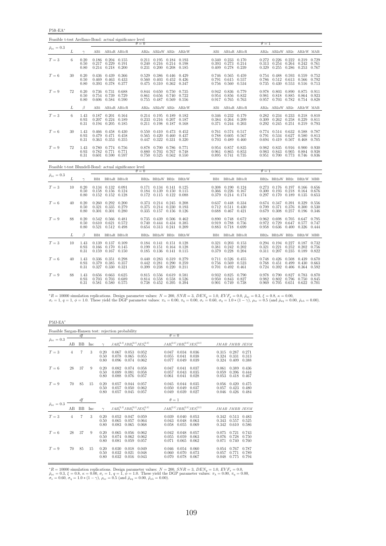P5ft-EA<sup>∗</sup>

| Feasible t-test Arellano-Bond: actual significance level |    |                      |                         |                                                                       |                               |                         |                                                                                               |                |                         |       |                                                                         |                |                         |                                                                             |                         |                                                       |                |
|----------------------------------------------------------|----|----------------------|-------------------------|-----------------------------------------------------------------------|-------------------------------|-------------------------|-----------------------------------------------------------------------------------------------|----------------|-------------------------|-------|-------------------------------------------------------------------------|----------------|-------------------------|-----------------------------------------------------------------------------|-------------------------|-------------------------------------------------------|----------------|
| $\bar{\rho}_{x\varepsilon}=0.3$                          |    |                      |                         |                                                                       |                               | $\theta = 0$            |                                                                                               |                |                         |       |                                                                         |                | $\theta = 1$            |                                                                             |                         |                                                       |                |
|                                                          | L  | $\gamma$             |                         |                                                                       | AB1 AB1aR AB1cR               |                         |                                                                                               |                | AB2a AB2aW AB2c AB2cW   |       | AB1 AB1aR AB1cR                                                         |                |                         | AB2a AB2aW AB2c AB2cW MAB                                                   |                         |                                                       |                |
| $T=3$                                                    | 6  | 0.20<br>0.50<br>0.80 | 0.217                   | 0.186 0.204 0.155<br>$0.229$ $0.191$<br>0.214 0.218 0.200             |                               | 0.240<br>0.231          | $0.211$ $0.195$ $0.184$ $0.193$<br>$0.216$ $0.214$ $0.198$<br>$0.200 \quad 0.208$             |                | 0.185                   |       | 0.340 0.233 0.170<br>0.393 0.273<br>$0.409$ 0.278                       | 0.214<br>0.239 | 0.272<br>0.313<br>0.329 | 0.226<br>0.254<br>0.255                                                     | 0.222<br>0.264<br>0.286 | $0.219$ $0.729$<br>0.242<br>0.253 0.767               | 0.761          |
| $T=6$                                                    | 30 | 0.20<br>0.50<br>0.80 | 0.469<br>0.393          | 0.436 0.439 0.366<br>$0.463$ $0.433$<br>0.378 0.377                   |                               | 0.529<br>0.475          | 0.386 0.446 0.429<br>$0.560$ $0.403$ $0.452$<br>0.310 0.362                                   |                | 0.426<br>0.347          |       | $0.746$ $0.565$ $0.459$<br>0.791 0.615 0.557<br>0.756 0.560 0.534       |                | 0.786<br>0.735          | 0.754 0.488<br>0.512<br>0.430                                               | 0.593<br>0.613<br>0.553 | 0.559 0.752<br>0.566 0.792<br>$0.516$ $0.713$         |                |
| $T=9$                                                    | 72 | 0.20<br>0.50<br>0.80 | 0.754                   | 0.736 0.731 0.688<br>0.739<br>0.606  0.584  0.590                     | 0.729                         | 0.844<br>0.861          | 0.650 0.750<br>0.656<br>0.755 0.487 0.569                                                     | 0.740          | 0.735<br>0.722<br>0.556 |       | 0.942 0.836 0.779<br>0.954 0.856 0.832<br>0.917 0.765 0.763             |                | 0.981                   | 0.978 0.803 0.890<br>0.818<br>0.957 0.703 0.782                             | 0.885                   | 0.875 0.911<br>0.864 0.923<br>0.754 0.828             |                |
|                                                          | L  | $\beta$              | AB1                     | AB1aR AB1cR                                                           |                               |                         |                                                                                               |                | AB2a AB2aW AB2c AB2cW   |       | AB1 AB1aR AB1cR                                                         |                |                         | AB2a AB2aW AB2c AB2cW MAB                                                   |                         |                                                       |                |
| $T=3$                                                    | 6  | 1.43<br>0.93<br>0.31 |                         | $0.187$ $0.201$ $0.164$<br>$0.207$ $0.224$ $0.189$<br>$0.194$ $0.205$ | 0.185                         | 0.211                   | $0.214$ $0.195$ $0.189$ $0.182$<br>$0.233$ $0.216$ $0.207$ $0.187$<br>0.198 0.187 0.168       |                |                         |       | 0.346 0.232 0.179<br>$0.384$ $0.264$ $0.209$<br>$0.371$ $0.244$ $0.203$ |                | 0.309<br>0.292          | $0.282$ $0.234$ $0.233$<br>0.262<br>0.245                                   | 0.258<br>0.251          | $0.218$ $0.810$<br>$0.229$ $0.811$<br>0.219           | 0.793          |
| $T=6$                                                    | 30 | 1.43<br>0.93<br>0.31 | 0.479<br>0.363          | 0.466 0.458 0.430<br>0.471<br>0.353                                   | 0.458<br>0.355                | 0.550<br>0.565<br>0.447 | 0.410 0.473<br>0.420<br>0.322 0.331                                                           | 0.460          | 0.452<br>0.437<br>0.320 | 0.788 | 0.761 0.574 0.517<br>0.605<br>0.703 0.489 0.460                         | 0.567          | 0.694                   | 0.774 0.514<br>0.791 0.534<br>0.419                                         | 0.632<br>0.627<br>0.507 | 0.588 0.787<br>0.580<br>0.468                         | 0.813<br>0.705 |
| $T=9$                                                    | 72 | 1.43<br>0.93<br>0.31 | 0.782                   | 0.780 0.774 0.756<br>0.771<br>$0.601$ $0.590$ $0.597$                 | 0.771                         | 0.880                   | 0.878 0.700 0.786 0.771<br>0.703 0.767<br>$0.750$ $0.525$ $0.562$ $0.550$                     |                | 0.748                   |       | 0.954 0.857 0.835<br>0.961 0.865 0.853<br>0.895 0.741 0.735             |                |                         | 0.982 0.835<br>0.983 0.843<br>0.951 0.700 0.773 0.746 0.836                 | 0.905                   | $0.916$ $0.900$ $0.930$<br>0.884                      | 0.938          |
| Feasible t-test Blundell-Bond: actual significance level |    |                      |                         |                                                                       |                               | $\theta = 0$            |                                                                                               |                |                         |       |                                                                         |                | $\theta = 1$            |                                                                             |                         |                                                       |                |
| $\bar{\rho}_{x\varepsilon}=0.3$                          | L  | $\gamma$             |                         |                                                                       | BB1 BB1aR BB1cR               |                         |                                                                                               |                | BB2a BB2aW BB2c BB2cW   |       | BB1 BB1aR BB1cR                                                         |                |                         | BB2a BB2aW BB2c BB2cW MBB                                                   |                         |                                                       |                |
| $T=3$                                                    | 10 | 0.20<br>0.50<br>0.80 | 0.158                   | $0.134$ $0.132$ $0.091$<br>$0.156$ $0.124$<br>$0.152$ $0.152$ $0.128$ |                               | 0.184                   | $0.171$ $0.134$ $0.141$ $0.125$<br>$0.139$ $0.150$ $0.115$<br>$0.172$ $0.115$ $0.122$ $0.088$ |                |                         |       | $0.308$ $0.190$ $0.124$<br>$0.366$ $0.226$ $0.167$<br>0.379 0.214 0.174 |                | 0.300                   | $0.273$ $0.176$ $0.197$ $0.166$ $0.656$<br>0.193<br>$0.297$ $0.170$         | 0.218<br>0.189          | 0.164<br>0.135                                        | 0.676<br>0.653 |
| $T=6$                                                    | 40 | 0.20<br>0.50<br>0.80 | 0.321<br>0.301          | $0.260$ $0.292$ $0.200$<br>0.335 0.279<br>0.301                       | 0.280                         | 0.373<br>0.375<br>0.335 | $0.214$ $0.245$ $0.208$<br>$0.214$ $0.230$ $0.193$<br>$0.157$ $0.156$                         |                | 0.126                   | 0.688 | 0.637 0.448 0.334<br>0.712 0.511 0.430<br>$0.467$ $0.421$               |                | 0.709<br>0.679          | 0.674 0.347 0.391<br>0.371<br>0.308                                         | 0.376<br>0.257          | 0.329 0.556<br>$0.300$ $0.530$<br>0.196               | 0.346          |
| $T=9$                                                    | 88 | 0.20<br>0.50<br>0.80 | 0.542<br>0.610          | 0.566 0.481<br>0.621<br>$0.521$ $0.512$ $0.498$                       | 0.572                         | 0.735<br>0.740<br>0.654 | 0.439 0.506<br>0.444<br>$0.313$ $0.241$ $0.209$                                               | 0.434          | 0.462<br>0.385          |       | 0.890 0.748 0.672<br>0.919 0.788<br>0.883 0.718 0.699                   | 0.756          | 0.962<br>0.972<br>0.958 | 0.698<br>0.729<br>0.636                                                     | 0.705<br>0.647<br>0.400 | 0.647 0.795<br>0.577<br>0.326 0.444                   | 0.747          |
|                                                          | L  | $\beta$              | BB1                     | BB1aR BB1cR                                                           |                               |                         |                                                                                               |                | BB2a BB2aW BB2c BB2cW   |       | BB1 BB1aR BB1cR                                                         |                |                         | BB2a BB2aW BB2c BB2cW MBB                                                   |                         |                                                       |                |
| $T=3$                                                    | 10 | 1.43<br>0.93<br>0.31 | 0.166<br>0.159          | $0.139$ $0.137$ $0.109$<br>$0.170$ $0.145$<br>$0.167$ $0.150$         |                               | 0.184<br>0.199<br>0.185 | $0.141$ $0.151$ $0.128$<br>$0.151$ $0.164$ $0.128$<br>$0.136$ $0.141$ $0.115$                 |                |                         |       | $0.321$ $0.203$ $0.153$<br>0.381 0.242 0.202<br>0.379 0.228             | 0.204          |                         | 0.294 0.194 0.227 0.187 0.732<br>$0.321$ $0.221$<br>$0.311$ $0.207$ $0.235$ | 0.252                   | $0.202 \quad 0.756$<br>0.189                          | 0.822          |
| $T=6$                                                    | 40 | 1.43<br>0.93<br>0.31 | 0.336<br>0.379<br>0.327 | 0.385<br>0.330                                                        | 0.351 0.298<br>0.357<br>0.321 | 0.440<br>0.442<br>0.399 | 0.283 0.319 0.279<br>0.281<br>0.238                                                           | 0.290<br>0.220 | 0.259<br>0.211          | 0.756 | 0.711 0.526 0.455<br>0.569<br>$0.701$ $0.492$ $0.461$                   | 0.523          | 0.768                   | 0.748 0.426 0.508<br>0.451<br>0.724 0.392                                   | 0.499<br>0.406          | 0.439<br>0.430<br>0.364 0.592                         | 0.670<br>0.663 |
| $T=9$                                                    | 88 | 1.43<br>0.93<br>0.31 | 0.656<br>0.703          | 0.663 0.625<br>0.703 0.689<br>0.581 0.580 0.575                       |                               | 0.815<br>0.814<br>0.738 | 0.556<br>0.558<br>0.452 0.395                                                                 | 0.619<br>0.558 | 0.581<br>0.526<br>0.394 |       | 0.932 0.825 0.790<br>0.950 0.843 0.827<br>0.901 0.749 0.738             |                | 0.978<br>0.982          | 0.790<br>0.802<br>0.969 0.705                                               | 0.827<br>0.796          | 0.783 0.870<br>0.750 0.845<br>$0.651$ $0.622$ $0.701$ |                |

 ${}^{*}R = 10000$  simulation replications. Design parameter values:  $N = 200$ ,  $SNR = 3$ ,  $DEN_y = 1.0$ ,  $EVF_x = 0.0$ ,  $E_{xz} = 0.3$ ,  $\xi = 0.8$ ,  $\kappa = 0.00$ ,<br> $\sigma_x = 1$ ,  $q = 1$ ,  $\phi = 1.0$ . These yield the DGP parameter values:  $\pi_{\lambda} =$ 

P5fJ-EA<sup>∗</sup>

|                                 |                |           |     |                      | Feasible Sargan-Hansen test: rejection probability |                         |                         |                         |                                           |                         |                         |                         |
|---------------------------------|----------------|-----------|-----|----------------------|----------------------------------------------------|-------------------------|-------------------------|-------------------------|-------------------------------------------|-------------------------|-------------------------|-------------------------|
|                                 |                | df        |     |                      |                                                    |                         | $\theta = 0$            |                         |                                           |                         |                         |                         |
| $\bar{\rho}_{x\varepsilon}=0.3$ | AВ             | <b>BB</b> | Inc | $\sim$               | $JAB_a^{(2,1)}JBB_a^{(2,1)}JES_a^{(2,1)}$          |                         |                         |                         | $JAB_c^{(2,1)}JBB_c^{(2,1)}JES_c^{(2,1)}$ |                         | JMAB JMBB JESM          |                         |
| $T=3$                           | 4              | 7         | 3   | 0.20<br>0.50<br>0.80 | 0.067<br>0.053<br>0.078<br>0.065<br>0.096<br>0.074 | 0.052<br>0.055<br>0.062 | 0.047<br>0.055<br>0.077 | 0.034<br>0.041<br>0.049 | 0.036<br>0.038<br>0.039                   | 0.315<br>0.324<br>0.324 | 0.287<br>0.331<br>0.409 | 0.271<br>0.313<br>0.388 |
| $T=6$                           | 28             | 37        | 9   | 0.20<br>0.50<br>0.80 | 0.082<br>0.074<br>0.089<br>0.081<br>0.088<br>0.076 | 0.058<br>0.058<br>0.057 | 0.047<br>0.057<br>0.061 | 0.041<br>0.043<br>0.041 | 0.037<br>0.035<br>0.028                   | 0.061<br>0.059<br>0.053 | 0.389<br>0.396<br>0.418 | 0.436<br>0.444<br>0.467 |
| $T=9$                           | 70             | 85        | 15  | 0.20<br>0.50<br>0.80 | 0.057<br>0.044<br>0.057<br>0.050<br>0.057<br>0.045 | 0.057<br>0.062<br>0.057 | 0.045<br>0.050<br>0.049 | 0.044<br>0.049<br>0.039 | 0.035<br>0.037<br>0.027                   | 0.056<br>0.057<br>0.046 | 0.420<br>0.423<br>0.426 | 0.475<br>0.480<br>0.484 |
|                                 |                | df        |     |                      |                                                    |                         | $\theta=1$              |                         |                                           |                         |                         |                         |
| $\bar{\rho}_{x\varepsilon}=0.3$ | AВ             | <b>BB</b> | Inc | $\gamma$             | $JAB_a^{(2,1)}JBB_a^{(2,1)}JES_a^{(2,1)}$          |                         |                         |                         | $JAB_c^{(2,1)}JBB_c^{(2,1)}JES_c^{(2,1)}$ |                         | JMAB JMBB JESM          |                         |
| $T=3$                           | $\overline{4}$ | 7         | 3   | 0.20<br>0.50<br>0.80 | 0.052<br>0.047<br>0.065<br>0.057<br>0.083<br>0.065 | 0.059<br>0.064<br>0.068 | 0.039<br>0.043<br>0.058 | 0.040<br>0.048<br>0.055 | 0.053<br>0.063<br>0.069                   | 0.342<br>0.343<br>0.342 | 0.513<br>0.557<br>0.610 | 0.483<br>0.525<br>0.586 |
| $T=6$                           | 28             | 37        | 9   | 0.20<br>0.50<br>0.80 | 0.065<br>0.056<br>0.074<br>0.062<br>0.081<br>0.059 | 0.062<br>0.062<br>0.057 | 0.042<br>0.055<br>0.071 | 0.048<br>0.059<br>0.065 | 0.057<br>0.063<br>0.062                   | 0.075<br>0.076<br>0.071 | 0.721<br>0.728<br>0.740 | 0.743<br>0.750<br>0.760 |
| $T=9$                           | 70             | 85        | 15  | 0.20<br>0.50<br>0.80 | 0.030<br>0.018<br>0.032<br>0.021<br>0.032<br>0.016 | 0.049<br>0.048<br>0.043 | 0.046<br>0.060<br>0.070 | 0.054<br>0.070<br>0.078 | 0.060<br>0.073<br>0.067                   | 0.054<br>0.057<br>0.048 | 0.767<br>0.771<br>0.775 | 0.787<br>0.789<br>0.794 |

\*R = 10000 simulation replications. Design parameter values:  $N = 200$ ,  $SNR = 3$ ,  $DEN_y = 1.0$ ,  $EVF_x = 0.0$ ,  $\bar{\rho}_{xe} = 0.3$ ,  $\xi = 0.8$ ,  $\kappa = 0.00$ ,  $\sigma_e = 1$ ,  $q = 1$ ,  $\phi = 1.0$ . These yield the DGP parameter values:  $\pi_{\lambda} = 0.$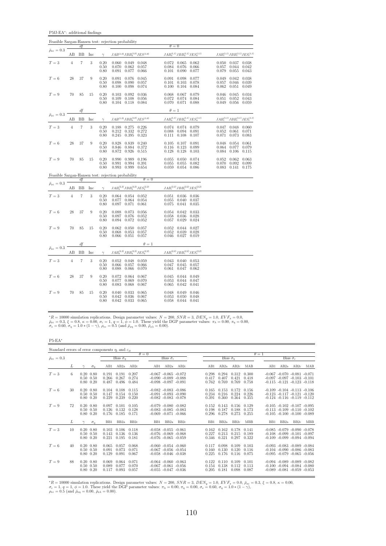P5fJ-EA<sup>∗</sup> : additional findings

|                                 |                |                          |     |                                                     | Feasible Sargan-Hansen test: rejection probability                                |                                                                                                              |                                                                                |
|---------------------------------|----------------|--------------------------|-----|-----------------------------------------------------|-----------------------------------------------------------------------------------|--------------------------------------------------------------------------------------------------------------|--------------------------------------------------------------------------------|
| $\bar{\rho}_{x\varepsilon}=0.3$ |                | df                       |     |                                                     |                                                                                   | $\theta = 0$                                                                                                 |                                                                                |
|                                 | AВ             | BB                       | Inc | $\gamma$                                            | $JAB^{\left( 1,0\right) }JBB_{a}^{\left( 1,0\right) }JES^{\left( 1,0\right) }$    | $JAB_a^{(1,1)}JBB_a^{(1,1)}JES_a^{(1,1)}$                                                                    | $JAB_c^{(1,1)}JBB_c^{(1,1)}JES_c^{(1,1)}$                                      |
| $T=3$                           | $\,4\,$        | $\overline{7}$           | 3   | 0.20<br>0.50<br>0.80                                | $0.060$ $0.049$ $0.048$<br>0.057<br>0.070<br>0.062<br>0.091<br>$0.077\,$<br>0.066 | 0.072<br>0.065<br>0.062<br>0.066<br>0.084<br>0.076<br>0.101<br>0.090<br>0.077                                | $0.050$ $0.037$<br>0.038<br>0.042<br>0.057<br>0.044<br>0.079<br>0.055<br>0.043 |
| $T=6$                           | 28             | 37                       | 9   | 0.20<br>0.50<br>0.80                                | 0.076<br>0.045<br>0.091<br>0.090<br>0.057<br>0.098<br>0.100<br>0.098<br>0.074     | 0.098<br>0.091<br>0.077<br>0.101<br>0.103<br>0.078<br>0.100<br>$\rm 0.104$<br>0.084                          | 0.042<br>0.038<br>0.049<br>0.057<br>0.046<br>0.039<br>0.062<br>0.051<br>0.049  |
| $T=9$                           | 70             | 85                       | 15  | 0.20<br>0.50<br>0.80                                | 0.092<br>0.036<br>0.103<br>0.108<br>0.056<br>0.109<br>0.104 0.118 0.084           | 0.068<br>0.067<br>0.079<br>0.072<br>0.074<br>0.084<br>0.070<br>0.071<br>0.088                                | 0.045<br>0.046<br>0.034<br>0.051<br>0.052<br>0.043<br>$0.049$ 0.056<br>0.059   |
| $\bar{\rho}_{x\varepsilon}=0.3$ |                | df                       |     |                                                     |                                                                                   | $\theta = 1$                                                                                                 |                                                                                |
|                                 | AB             | <b>BB</b>                | Inc | $\gamma$                                            | $JAB^{(1,0)}JBB^{(1,0)}_aJES^{(1,0)}$                                             | $JAB_a^{(1,1)}JBB_a^{(1,1)}JES_a^{(1,1)}$                                                                    | $JAB_c^{(1,1)}JBB_c^{(1,1)}JES_c^{(1,1)}$                                      |
| $T=3$                           | $\,4\,$        | $\overline{7}$           | 3   | 0.20<br>0.50<br>0.80                                | 0.188<br>0.275<br>0.226<br>0.272<br>0.212<br>0.332<br>0.245<br>0.395<br>0.323     | 0.074<br>0.074 0.079<br>0.091<br>0.088<br>0.094<br>0.111<br>0.108<br>0.107                                   | 0.047<br>0.048<br>0.060<br>0.052<br>0.061<br>0.071<br>0.071<br>0.073<br>0.083  |
| $T=6$                           | 28             | 37                       | 9   | 0.20<br>0.50<br>0.80                                | 0.828<br>0.839<br>0.240<br>0.846<br>0.884<br>0.372<br>0.872<br>0.926<br>0.515     | 0.105<br>0.107<br>0.091<br>0.116<br>0.123<br>0.099<br>0.128<br>0.128<br>0.103                                | 0.048<br>0.054<br>0.061<br>0.064<br>0.077<br>0.079<br>0.106<br>0.084<br>0.115  |
| $T=9$                           | 70             | 85                       | 15  | 0.20<br>0.50<br>0.80                                | 0.990<br>0.989<br>0.196<br>0.991<br>0.994<br>0.391<br>0.993<br>0.999<br>0.654     | 0.055<br>0.050<br>0.074<br>0.055<br>0.055<br>0.082<br>0.059<br>0.054<br>0.086                                | 0.062<br>0.063<br>0.052<br>0.070<br>0.092<br>0.099<br>$0.083$ $0.141$<br>0.175 |
|                                 |                | df                       |     |                                                     | Feasible Sargan-Hansen test: rejection probability<br>$\theta = 0$                |                                                                                                              |                                                                                |
| $\bar{\rho}_{x\varepsilon}=0.3$ | AВ             | BB                       | Inc | $\gamma$                                            | $JAB_a^{(2,2)}JBB_a^{(2,2)}JES_a^{(2,2)}$                                         | $JAB_c^{(2,2)}JBB_c^{(2,2)}JES_c^{(2,2)}$                                                                    |                                                                                |
| $T=3$                           | $\overline{4}$ | $\scriptstyle{7}$        | 3   | 0.20<br>0.50<br>0.80                                | 0.054 0.052<br>0.064<br>0.054<br>0.064<br>0.077<br>0.097<br>0.071<br>0.061        | 0.051<br>0.036 0.036<br>0.055<br>0.040<br>0.037<br>0.075<br>0.041<br>0.035                                   |                                                                                |
| $T=6$                           | 28             | 37                       | 9   | $0.20\,$<br>0.50<br>0.80                            | 0.088<br>0.073<br>0.056<br>0.052<br>0.097<br>0.076<br>0.094<br>0.072<br>0.052     | 0.054<br>0.042<br>0.033<br>0.058<br>0.036<br>0.028<br>0.057<br>0.029<br>0.024                                |                                                                                |
| $T=9$                           | 70             | 85                       | 15  | $\begin{array}{c} 0.20 \\ 0.50 \end{array}$<br>0.80 | 0.062<br>0.050<br>0.057<br>0.053<br>0.057<br>0.068<br>0.057<br>0.066<br>0.051     | $\begin{array}{c} 0.052 \\ 0.052 \end{array}$<br>0.044<br>0.027<br>0.039<br>0.028<br>0.046<br>0.027<br>0.019 |                                                                                |
| $\bar{\rho}_{x\varepsilon}=0.3$ |                | df                       |     |                                                     | $\theta = 1$                                                                      |                                                                                                              |                                                                                |
|                                 | AB             | BB                       | Inc | $\gamma$                                            | $JAB_a^{(2,2)}JBB_a^{(2,2)}JES_a^{(2,2)}$                                         | $JAB_c^{(2,2)}JBB_c^{(2,2)}JES_c^{(2,2)}$                                                                    |                                                                                |
| $T=3$                           | $\overline{4}$ | $\overline{\phantom{a}}$ | 3   | 0.20<br>0.50<br>0.80                                | 0.052<br>0.048 0.059<br>0.066<br>0.057<br>0.066<br>0.088<br>0.066<br>0.070        | $0.040$ $0.053$<br>0.043<br>0.047<br>0.045<br>0.057<br>0.061<br>0.047<br>0.062                               |                                                                                |
| $T=6$                           | 28             | 37                       | 9   | 0.20<br>0.50<br>0.80                                | 0.072<br>0.064<br>0.067<br>0.077<br>0.069<br>0.070<br>0.083<br>0.068<br>0.067     | 0.045<br>0.044<br>0.049<br>0.053<br>0.044<br>0.047<br>0.065<br>0.042<br>0.041                                |                                                                                |
| $T=9$                           | 70             | 85                       | 15  | 0.20<br>0.50<br>0.80                                | 0.033<br>0.065<br>0.040<br>0.036<br>0.067<br>0.042<br>0.033<br>0.042<br>0.065     | $0.048\,$<br>0.049<br>0.046<br>0.053<br>0.050<br>0.048<br>0.058<br>$0.044$ $0.041$                           |                                                                                |

 ${}^*R = 10000$  simulation replications. Design parameter values:  $N = 200$ ,  $SNR = 3$ ,  $DEN_y = 1.0$ ,  $EVF_x = 0.0$ ,  $\bar{\rho}_{xe} = 0.3$ ,  $\xi = 0.8$ ,  $\kappa = 0.00$ ,  $\sigma_e = 1$ ,  $q = 1$ ,  $\phi = 1.0$ . These yield the DGP parameter values:  $\pi_{\lambda} =$ 

 $\rm P5\text{-}EA^*$ 

| Standard errors of error components $\eta_i$ and $\varepsilon_{it}$ |    |                                                        |            |                         |                         |                         |                                                                                      |                          |                            |                         |                         |                         |                         |                 |                                                                                                                |                          |            |
|---------------------------------------------------------------------|----|--------------------------------------------------------|------------|-------------------------|-------------------------|-------------------------|--------------------------------------------------------------------------------------|--------------------------|----------------------------|-------------------------|-------------------------|-------------------------|-------------------------|-----------------|----------------------------------------------------------------------------------------------------------------|--------------------------|------------|
|                                                                     |    |                                                        |            |                         |                         |                         | $\theta = 0$                                                                         |                          |                            |                         |                         |                         |                         | $\theta = 1$    |                                                                                                                |                          |            |
| $\bar{\rho}_{x\varepsilon}=0.3$                                     |    |                                                        |            |                         | Bias $\hat{\sigma}_n$   |                         |                                                                                      | Bias $\hat{\sigma}_s$    |                            |                         | Bias $\hat{\sigma}_n$   |                         |                         |                 |                                                                                                                | Bias $\hat{\sigma}_e$    |            |
|                                                                     | L  |                                                        | $\sigma_n$ | AB1                     | AB2a                    | AB2c                    | AB1                                                                                  | AB2a                     | AB2c                       | AB1                     | AB2a                    | AB2c                    | MAB                     | AB1             | AB2a                                                                                                           | AB2c                     | MAB        |
| $T=3$                                                               | 6  | $0.20\ 0.80$<br>$0.50 \quad 0.50$<br>$0.80 \quad 0.20$ |            | 0.191<br>0.266<br>0.487 | 0.191<br>0.267<br>0.496 | 0.207<br>0.274<br>0.484 | $-0.067 - 0.065 - 0.072$<br>$-0.090 - 0.089 - 0.088$<br>$-0.098$ $-0.097$ $-0.091$   |                          |                            | 0.298<br>0.417<br>0.762 | 0.294<br>0.407<br>0.769 | 0.312<br>0.421<br>0.769 | 0.300<br>0.418<br>0.758 |                 | $-0.067$ $-0.070$ $-0.081$ $-0.071$<br>$-0.097$ $-0.097$ $-0.103$ $-0.101$<br>$-0.115 - 0.121 - 0.123 - 0.118$ |                          |            |
| $T=6$                                                               | 30 | $0.20\ 0.80$<br>$0.50 \quad 0.50$<br>$0.80\ 0.20$      |            | 0.104<br>0.147<br>0.229 | 0.108<br>0.154<br>0.239 | 0.115<br>0.150<br>0.220 | $-0.082$ $-0.083$ $-0.086$<br>$-0.082$ $-0.083$ $-0.078$                             |                          | $-0.091$ $-0.093$ $-0.090$ | 0.165<br>0.234<br>0.391 | 0.153<br>0.216<br>0.360 | 0.172<br>0.224<br>0.364 | 0.156<br>0.226<br>0.355 |                 | $-0.109 - 0.104 - 0.113 - 0.106$<br>$-0.123$ $-0.117$ $-0.121$ $-0.120$<br>$-0.124$ $-0.116$ $-0.119$ $-0.112$ |                          |            |
| $T=9$                                                               | 72 | $0.20\ 0.80$<br>$0.50 \quad 0.50$<br>$0.80\ 0.20$      |            | 0.097<br>0.126<br>0.176 | 0.101<br>0.132<br>0.185 | 0.105<br>0.128<br>0.171 | $-0.079 - 0.080 - 0.082$<br>$-0.083$ $-0.085$ $-0.083$<br>$-0.069 - 0.071 - 0.066$   |                          |                            | 0.152<br>0.198<br>0.296 | 0.143<br>0.187<br>0.278 | 0.156<br>0.188<br>0.273 | 0.129<br>0.173<br>0.255 |                 | $-0.105$ $-0.102$ $-0.107$ $-0.095$<br>$-0.113 - 0.109 - 0.110 - 0.102$<br>$-0.105 -0.100 -0.100 -0.089$       |                          |            |
|                                                                     | L  | $\sim$                                                 | $\sigma_n$ | B <sub>B1</sub>         | BB <sub>2a</sub>        | BB2c                    | B <sub>B1</sub>                                                                      | BB <sub>2a</sub>         | BB2c                       | B <sub>B1</sub>         | BB <sub>2a</sub>        | BB <sub>2c</sub>        | <b>MBB</b>              | B <sub>B1</sub> | BB <sub>2a</sub>                                                                                               | BB <sub>2c</sub>         | <b>MBB</b> |
| $T=3$                                                               | 10 | $0.20\ 0.80$<br>$0.50 \quad 0.50$<br>$0.80 \quad 0.20$ |            | 0.103<br>0.143<br>0.221 | 0.106<br>0.136<br>0.195 | 0.118<br>0.136<br>0.181 | $-0.058$ $-0.055$ $-0.061$<br>$-0.076 - 0.069 - 0.068$<br>$-0.076$ $-0.065$ $-0.059$ |                          |                            | 0.162<br>0.227<br>0.346 | 0.162<br>0.213<br>0.321 | 0.178<br>0.215<br>0.297 | 0.141<br>0.189<br>0.322 |                 | $-0.085 - 0.079 - 0.090 - 0.078$<br>$-0.108 - 0.099 - 0.101 - 0.097$<br>$-0.109 - 0.099 - 0.094 - 0.094$       |                          |            |
| $T=6$                                                               | 40 | $0.20\ 0.80$<br>$0.50 \quad 0.50$<br>$0.80 \quad 0.20$ |            | 0.065<br>0.091<br>0.129 | 0.057<br>0.073<br>0.091 | 0.068<br>0.071<br>0.067 | $-0.060 - 0.054 - 0.060$<br>$-0.067 - 0.056 - 0.054$<br>$-0.058$ $-0.046$ $-0.038$   |                          |                            | 0.117<br>0.160<br>0.225 | 0.098<br>0.130<br>0.176 | 0.109<br>0.120<br>0.116 | 0.103<br>0.116<br>0.075 |                 | $-0.093$ $-0.083$ $-0.089$ $-0.084$<br>$-0.104 - 0.090 - 0.086 - 0.083$<br>$-0.095$ $-0.079$ $-0.065$ $-0.056$ |                          |            |
| $T=9$                                                               | 88 | $0.20\ 0.80$<br>$0.50 \quad 0.50$<br>$0.80\ 0.20$      |            | 0.069<br>0.089<br>0.117 | 0.064<br>0.077<br>0.093 | 0.071<br>0.070<br>0.057 | $-0.064$ $-0.060$ $-0.063$<br>$-0.067 - 0.061 - 0.056$                               | $-0.055 - 0.047 - 0.036$ |                            | 0.122<br>0.154<br>0.205 | 0.110<br>0.138<br>0.181 | 0.109<br>0.112<br>0.098 | 0.101<br>0.113<br>0.087 | $-0.089$        | $-0.094$ $-0.089$ $-0.089$ $-0.082$<br>$-0.100 - 0.094 - 0.084 - 0.080$                                        | $-0.081 - 0.059 - 0.053$ |            |

 ${}^*R = 10000$  simulation replications. Design parameter values:  $N = 200$ ,  $SNR = 3$ ,  $DEN_y = 1.0$ ,  $EVF_x = 0.0$ ,  $\bar{\rho}_{x\bar{x}} = 0.3$ ,  $\xi = 0.8$ ,  $\kappa = 0.00$ ,<br>  $\sigma_{\varepsilon} = 1$ ,  $q = 1$ ,  $\phi = 1.0$ . These yield the DGP parameter values: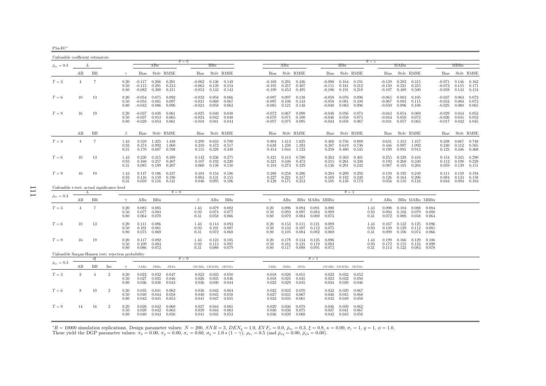| F<br>-ווה |
|-----------|
|           |

| Unfeasible coefficient estimators                    |                |                |                |                      |                                  |                         |                         |                                  |                         |                                   |                                  |                               |                         |                         |                                        |                         |                         |                      |                                  |                                           |                         |                         |                                  |                                 |                                 |
|------------------------------------------------------|----------------|----------------|----------------|----------------------|----------------------------------|-------------------------|-------------------------|----------------------------------|-------------------------|-----------------------------------|----------------------------------|-------------------------------|-------------------------|-------------------------|----------------------------------------|-------------------------|-------------------------|----------------------|----------------------------------|-------------------------------------------|-------------------------|-------------------------|----------------------------------|---------------------------------|---------------------------------|
| $\bar{\rho}_{x\varepsilon}=0.3$                      |                | L              |                |                      |                                  | ABu                     |                         | $\theta = 0$                     | BBu                     |                                   |                                  | ABu                           |                         |                         |                                        | BBu                     |                         | $\theta = 1$         |                                  | MABu                                      |                         |                         |                                  | MBBu                            |                                 |
|                                                      | AВ             | BB             |                | $\gamma$             | <b>Bias</b>                      |                         | Stdy RMSE               | Bias                             |                         | Stdy RMSE                         | Bias                             |                               | Stdy RMSE               |                         | <b>Bias</b>                            |                         | Stdy RMSE               |                      | Bias                             |                                           | Stdy RMSE               |                         | Bias                             |                                 | Stdy RMSE                       |
| $T=3$                                                | $\overline{4}$ | $\overline{7}$ |                | 0.20<br>0.50<br>0.80 | $-0.117$<br>$-0.115$<br>$-0.082$ | 0.266<br>0.291<br>0.300 | 0.291<br>0.313<br>0.311 | $-0.062$<br>$-0.063$<br>$-0.053$ | 0.139<br>0.133          | $0.136$ $0.149$<br>0.153<br>0.143 | $-0.169$<br>$-0.195$<br>$-0.199$ | 0.291<br>0.357<br>0.453       | 0.336<br>0.407<br>0.495 |                         | $-0.098$<br>$-0.111$<br>$-0.106$       | 0.164<br>0.181<br>0.191 | 0.191<br>0.212<br>0.218 |                      | $-0.139$<br>$-0.150$<br>$-0.107$ | 0.283<br>0.321<br>0.489                   | 0.315<br>0.355<br>0.500 |                         | $-0.071$<br>$-0.073$<br>$-0.058$ | 0.146<br>0.155<br>0.143         | 0.162<br>0.171<br>0.154         |
| $T=6$                                                | 10             | 13             |                | 0.20<br>0.50<br>0.80 | $-0.054$<br>$-0.053$<br>$-0.042$ | 0.075<br>0.081<br>0.086 | 0.092<br>0.097<br>0.096 | $-0.032$<br>$-0.031$<br>$-0.024$ | 0.058<br>0.060<br>0.058 | 0.066<br>0.067<br>0.063           | $-0.097$<br>$-0.097$<br>$-0.085$ | 0.097<br>0.106<br>0.121       | 0.138<br>0.143<br>0.148 |                         | $-0.058$<br>$-0.058$<br>$-0.048$       | 0.076<br>0.081<br>0.083 | 0.096<br>0.100<br>0.096 |                      | $-0.065$<br>$-0.067$<br>$-0.050$ | 0.083<br>0.093<br>0.096                   | 0.105<br>0.115<br>0.108 |                         | $-0.037$<br>$-0.034$<br>$-0.025$ | 0.063<br>0.064<br>0.060         | 0.072<br>0.073<br>0.065         |
| $T=9$                                                | 16             | 19             |                | 0.20<br>0.50<br>0.80 | $-0.037$<br>$-0.037$<br>$-0.028$ | 0.048<br>0.053<br>0.054 | 0.061<br>0.065<br>0.061 | $-0.025$<br>$-0.024$<br>$-0.018$ | 0.040<br>0.042<br>0.041 | 0.048<br>0.048<br>0.044           | $-0.072$<br>$-0.070$<br>$-0.057$ | 0.067<br>0.071<br>0.075       | 0.098<br>0.100<br>0.095 |                         | $-0.048$<br>$-0.046$<br>$-0.034$ 0.058 | 0.056<br>0.058          | 0.074<br>0.075<br>0.067 |                      | $-0.043$<br>$-0.044$<br>$-0.031$ | 0.054<br>0.059<br>0.057                   | 0.069<br>0.073<br>0.065 |                         | $-0.029$<br>$-0.026$<br>$-0.017$ | 0.044<br>0.045                  | 0.053<br>0.052<br>$0.042$ 0.045 |
|                                                      | AВ             | <b>BB</b>      |                | $\beta$              | <b>Bias</b>                      |                         | Stdy RMSE               | Bias                             |                         | Stdy RMSE                         | <b>Bias</b>                      |                               | Stdy RMSE               |                         | <b>Bias</b>                            |                         | Stdv RMSE               |                      | Bias                             |                                           | Stdy RMSE               |                         | Bias                             |                                 | Stdy RMSE                       |
| $T=3$                                                | $\overline{4}$ | $\overline{7}$ |                | 1.43<br>0.93<br>0.31 | 0.559<br>0.374<br>0.170          | 1.325<br>0.992<br>0.687 | 1.438<br>1.060<br>0.708 | 0.299<br>0.210<br>0.115          | 0.633<br>0.472<br>0.328 | 0.700<br>0.517<br>0.348           | 0.804<br>0.638                   | 1.413<br>1.238<br>0.414 1.044 | 1.625<br>1.393<br>1.123 |                         | 0.468<br>0.387<br>0.258                | 0.756<br>0.619<br>0.480 | 0.889<br>0.730<br>0.545 |                      | 0.631<br>0.446<br>0.199          | 1.313<br>0.997<br>0.891                   | 1.457<br>1.092<br>0.913 |                         | 0.338<br>0.240<br>0.125          | 0.667<br>0.512<br>0.346         | 0.748<br>0.565<br>0.368         |
| $T=6$                                                | 10             | 13             |                | 1.43<br>0.93<br>0.31 | 0.230<br>0.168<br>0.085          | 0.315<br>0.257<br>0.189 | 0.389<br>0.307<br>0.207 | 0.142<br>0.107<br>0.060          | 0.236<br>0.192<br>0.138 | 0.275<br>0.220<br>0.150           | 0.421<br>0.321<br>0.184          | 0.413<br>0.346<br>0.273       | 0.590<br>0.472<br>0.329 |                         | 0.263<br>0.215<br>0.136                | 0.303<br>0.261<br>0.201 | 0.401<br>0.338<br>0.242 |                      | 0.255<br>0.192<br>0.087          | 0.328<br>0.268<br>0.185                   | 0.416<br>0.330<br>0.204 |                         | 0.154<br>0.112<br>0.059          | 0.245<br>0.198<br>0.139         | 0.290<br>0.228<br>0.151         |
| $T=9$                                                | 16             | 19             |                | 1.43<br>0.93<br>0.31 | 0.147<br>0.116<br>0.059          | 0.186<br>0.159<br>0.116 | 0.237<br>0.196<br>0.131 | 0.104<br>0.083<br>0.046          | 0.154<br>0.131<br>0.095 | 0.186<br>0.155<br>0.106           | 0.288<br>0.227<br>0.128          | 0.258<br>0.221<br>0.171       | 0.386<br>0.317<br>0.213 |                         | 0.204<br>0.169<br>0.105                | 0.209<br>0.182<br>0.138 | 0.292<br>0.249<br>0.173 |                      | 0.159<br>0.126                   | 0.192<br>0.164<br>$0.056$ $0.110$ $0.124$ | 0.249<br>0.206          |                         | 0.111<br>0.084                   | 0.159<br>0.133<br>$0.044$ 0.094 | 0.194<br>0.158<br>0.104         |
| Unfeasible t-test: actual significance level         |                | L              |                |                      |                                  |                         | $\theta = 0$            |                                  |                         |                                   |                                  |                               |                         |                         |                                        | $\theta = 1$            |                         |                      |                                  |                                           |                         |                         |                                  |                                 |                                 |
| $\bar{\rho}_{x\varepsilon}=0.3$                      | AВ             | BB             |                | $\gamma$             | ABu                              | BBu                     |                         | β                                | ABu                     | BBu                               | $\gamma$                         | ABu                           |                         |                         | BBu MABu MBBu                          |                         |                         | β                    | ABu                              |                                           |                         | BBu MABu MBBu           |                                  |                                 |                                 |
| $T=3$                                                | $\overline{4}$ | 7              |                | 0.20<br>0.50<br>0.80 | 0.085<br>0.077<br>0.064          | 0.085<br>0.084<br>0.070 |                         | 1.43<br>0.93<br>0.31             | 0.079<br>0.074<br>0.058 | 0.082<br>0.077<br>0.066           | 0.20<br>0.50<br>0.80             | 0.096<br>0.093<br>0.079       | 0.094<br>0.097<br>0.084 | 0.091<br>0.084<br>0.069 | 0.090<br>0.089<br>0.073                |                         |                         | 1.43<br>0.93<br>0.31 | 0.098<br>0.094<br>0.072          | 0.104<br>0.102<br>0.088                   | 0.088<br>0.079<br>0.058 | 0.084<br>0.080<br>0.064 |                                  |                                 |                                 |
| $T=6$                                                | 10             | 13             |                | 0.20<br>0.50<br>0.80 | 0.111<br>0.101<br>0.075          | 0.086<br>0.081<br>0.069 |                         | 1.43<br>0.93<br>0.31             | 0.114<br>0.101<br>0.072 | 0.093<br>0.087<br>0.068           | 0.20<br>0.50<br>0.80             | 0.153<br>0.134<br>0.105       | 0.111<br>0.107<br>0.084 | 0.121<br>0.112<br>0.082 | 0.089<br>0.075<br>0.069                |                         |                         | 1.43<br>0.93<br>0.31 | 0.167<br>0.139<br>0.099          | 0.132<br>0.129<br>0.106                   | 0.125<br>0.112<br>0.074 | 0.096<br>0.085<br>0.066 |                                  |                                 |                                 |
| $T=9$                                                | 16             | 19             |                | 0.20<br>0.50<br>0.80 | 0.117<br>0.109<br>0.086          | 0.092<br>0.084<br>0.072 |                         | 1.43<br>0.93<br>0.31             | 0.123<br>0.113<br>0.080 | 0.105<br>0.097<br>0.079           | 0.20<br>0.50<br>0.80             | 0.178<br>0.161<br>0.117       | 0.134<br>0.121<br>0.088 | 0.125<br>0.119<br>0.091 | 0.096<br>0.083<br>0.073                |                         |                         | 1.43<br>0.93<br>0.31 | 0.199<br>0.172                   | 0.166<br>0.155<br>$0.114$ $0.122$         | 0.129<br>0.124<br>0.083 | 0.106<br>0.099<br>0.078 |                                  |                                 |                                 |
| Unfeasible Sargan-Hansen test: rejection probability |                | df             |                |                      |                                  |                         |                         | $\theta = 0$                     |                         |                                   |                                  |                               |                         | $\theta = 1$            |                                        |                         |                         |                      |                                  |                                           |                         |                         |                                  |                                 |                                 |
| $\bar{\rho}_{x\varepsilon}=0.3$                      | АB             | BB             | Inc            | $\gamma$             | JABu                             | JBBu                    | JESu                    |                                  | JMABu JMMBu JESMu       |                                   | JABu                             | JBBu                          | JESu                    |                         | JMABu JMMBu JESMu                      |                         |                         |                      |                                  |                                           |                         |                         |                                  |                                 |                                 |
| $T=3$                                                | $\overline{2}$ | $\overline{4}$ | $\sqrt{2}$     | 0.20<br>0.50<br>0.80 | 0.022<br>0.027<br>0.036          | 0.032<br>0.035<br>0.038 | 0.047<br>0.046<br>0.043 | 0.022<br>0.026<br>0.036          | 0.033<br>0.035<br>0.040 | 0.050<br>0.046<br>0.044           | 0.018<br>0.018<br>0.022          | 0.026<br>0.025<br>0.029       | 0.051<br>0.045<br>0.045 |                         | 0.022<br>0.023<br>0.034                | 0.032<br>0.032<br>0.039 | 0.052<br>0.050<br>0.046 |                      |                                  |                                           |                         |                         |                                  |                                 |                                 |
| $T=6$                                                | 8              | 10             | $\overline{2}$ | 0.20<br>0.50<br>0.80 | 0.035<br>0.040<br>0.042          | 0.041<br>0.044<br>0.045 | 0.062<br>0.058<br>0.053 | 0.036<br>0.040<br>0.041          | 0.042<br>0.045<br>0.047 | 0.064<br>0.058<br>0.055           | 0.023<br>0.027<br>0.032          | 0.032<br>0.031<br>0.035       | 0.070<br>0.067<br>0.061 |                         | 0.032<br>0.036<br>0.042                | 0.039<br>0.045<br>0.049 | 0.067<br>0.068<br>0.058 |                      |                                  |                                           |                         |                         |                                  |                                 |                                 |
| $T=9$                                                | 14             | 16             | $\overline{2}$ | 0.20<br>0.50<br>0.80 | 0.038<br>0.039<br>0.040          | 0.042<br>0.042<br>0.043 | 0.060<br>0.063<br>0.056 | 0.037<br>0.039<br>0.041          | 0.044<br>0.044<br>0.045 | 0.061<br>0.063<br>0.053           | 0.029<br>0.030<br>0.036          | 0.036<br>0.036<br>0.039       | 0.078<br>0.075<br>0.068 |                         | 0.036<br>0.037<br>0.042                | 0.039<br>0.041<br>0.045 | 0.062<br>0.067<br>0.058 |                      |                                  |                                           |                         |                         |                                  |                                 |                                 |

 ${}^*R = 10000$  simulation replications. Design parameter values:  $N = 200$ ,  $SNR = 3$ ,  $DEN_y = 1.0$ ,  $EVF_x = 0.0$ ,  $\bar{\rho}_{xc} = 0.3$ ,  $\xi = 0.8$ ,  $\kappa = 0.00$ ,  $\sigma_{\varepsilon} = 1$ ,  $q = 1$ ,  $\phi = 1.0$ .<br>These yield the DGP parameter values:  $\pi$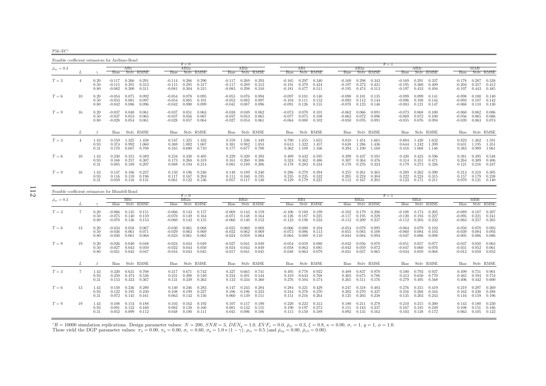P5fc-EC∗

Feasible coefficient estimators for Arellano-Bond $\theta = 0$  $AB2a$  $\theta = 1$ <br>a  $\theta = 1$  $\bar{\rho}_{x\varepsilon}=0.3$  $\epsilon = 0.3$   $I$   $\epsilon = 0.3$   $I$   $\epsilon = 0.3$   $I$   $\epsilon = 0.3$   $I$   $\epsilon = 0.3$   $I$   $\epsilon = 0.3$   $I$   $\epsilon = 0.3$   $I$   $\epsilon = 0.3$   $I$   $\epsilon = 0.3$   $I$   $\epsilon = 0.3$   $I$   $\epsilon = 0.3$   $I$   $\epsilon = 0.3$   $I$   $\epsilon = 0.3$   $I$   $\epsilon = 0.3$   $I$   $\epsilon = 0.3$   $I$   $\epsilon = 0.3$  L  $\gamma$  Bias Stdv RMSE Bias Stdv RMSE Bias Stdv RMSE Bias Stdv RMSE Bias Stdv RMSE Bias Stdv RMSE Bias Stdv RMSE $T=3$  $T=3$   $4$   $0.20$   $-0.117$   $0.266$   $0.291$   $-0.114$   $0.266$   $0.290$   $-0.117$   $0.269$   $0.293$   $-0.165$   $0.297$   $0.340$   $-0.169$   $0.298$   $0.343$   $-0.169$   $0.291$   $0.337$   $-0.178$   $0.287$   $0.338$ <br> $0.50$   $0.409$   $-0.204$   $0.35$ 0.50 -0.115 0.291 0.313 -0.115 0.295 0.317 -0.117 0.289 0.312 -0.191 0.379 0.424 -0.197 0.372 0.421 -0.195 0.360 0.409 -0.204 0.357 0.4120.80 -0.082 0.300 0.311 -0.081 0.304 0.315 -0.083 0.298 0.310 -0.181 0.477 0.511 -0.195 0.474 0.513 -0.197 0.453 0.494 -0.197 0.443 0.485 $T=6$  $T=6$   $10$   $0.20$   $-0.054$   $0.075$   $0.092$   $-0.054$   $0.078$   $0.095$   $-0.055$   $0.076$   $0.094$   $-0.097$   $0.101$   $0.140$   $-0.090$   $0.101$   $0.135$   $-0.099$   $0.099$   $0.141$   $-0.098$   $0.100$   $0.140$ <br> $0.50$   $0.053$   $0.081$   $0.09$ 0.50 -0.053 0.081 0.097 -0.054 0.085 0.101 -0.052 0.082 0.097 -0.104 0.111 0.152 -0.092 0.112 0.144 -0.096 0.108 0.144 -0.093 0.107 0.142 $0.80$   $-0.042$   $0.086$   $0.096$   $-0.042$   $0.090$   $0.099$   $-0.041$   $0.087$   $0.096$   $-0.091$   $0.126$   $0.155$   $-0.078$   $0.123$   $0.146$   $-0.083$   $0.121$   $0.147$   $-0.068$  $T=9$  $T=9 \hskip 1.0cm 16 \hskip 1.0cm 0.20 \hskip 1.0cm -0.037 \hskip 1.0cm 0.031 \hskip 1.0cm 0.051 \hskip 1.0cm 0.037 \hskip 1.0cm 0.063 \hskip 1.0cm -0.037 \hskip 1.0cm 0.063 \hskip 1.0cm -0.037 \hskip 1.0cm 0.037 \hskip 1.0cm 0.037 \hskip 1.0cm 0.053 \hskip 1.0cm 0.055 \hskip 1.0cm 0.073 \hskip 1.0cm 0.$ 0.50 -0.037 0.053 0.065 -0.037 0.056 0.067 -0.037 0.053 0.065 -0.077 0.075 0.108 -0.063 0.072 0.096 -0.069 0.072 0.100 -0.056 0.065 0.0860.80 -0.028 0.054 0.061 -0.028 0.057 0.064 -0.027 0.054 0.061 -0.064 0.080 0.102 -0.050 0.076 0.091 -0.055 0.076 0.094 -0.039 0.063 0.074 $L \qquad \qquad \beta$ Bias Stdv RMSE Bias Stdv RMSE Bias Stdv RMSE Bias Stdv RMSE Bias Stdv RMSE Bias Stdv RMSE Bias Stdv RMSE Bias Stdv RMSE  $T=3$  $T=3$   $4$   $1.43$   $0.559$   $1.325$   $1.438$   $0.547$   $1.325$   $1.433$   $0.559$   $1.336$   $1.449$   $0.790$   $1.455$   $1.655$   $0.810$   $1.451$   $1.661$   $0.804$   $1.420$   $1.632$   $0.823$   $1.362$   $1.591$   $1.351$   $1.351$   $1.351$   $1.351$   $1.3$ 0.93 0.374 0.992 1.060 0.369 1.002 1.067 0.381 0.982 1.053 0.613 1.322 1.457 0.638 1.286 1.436 0.644 1.242 1.399 0.631 1.195 1.351 $0.31$   $0.170$   $0.687$   $0.708$   $0.165$   $0.690$   $0.710$   $0.177$   $0.677$   $0.700$   $0.362$   $1.109$   $1.166$   $0.394$   $1.100$   $1.168$   $0.418$   $1.068$   $1.146$   $0.383$   $0.989$   $1.061$  $T=6$  $T=6$   $10$   $1.43$   $0.230$   $0.315$   $0.389$   $0.234$   $0.330$   $0.405$   $0.229$   $0.320$   $0.393$   $0.409$   $0.432$   $0.595$   $0.399$   $0.437$   $0.591$   $0.420$   $0.423$   $0.596$   $0.381$   $0.381$   $0.395$   $0.548$   $0.309$   $0.406$   $0.309$   $0.$ 0.93 0.168 0.257 0.307 0.173 0.268 0.319 0.161 0.260 0.306 0.324 0.362 0.486 0.307 0.364 0.476 0.314 0.351 0.471 0.264 0.309 0.4060.31 0.085 0.189 0.207 0.088 0.194 0.214 0.081 0.189 0.206 0.178 0.283 0.334 0.170 0.276 0.324 0.179 0.273 0.326 0.121 0.216 0.247 $T=9$  $T=9 \hspace{1cm} 16 \hspace{1cm} 1.43 \hspace{1cm} 0.147 \hspace{1cm} 0.186 \hspace{1cm} 0.237 \hspace{1cm} 0.150 \hspace{1cm} 0.196 \hspace{1cm} 0.246 \hspace{1cm} 0.148 \hspace{1cm} 0.189 \hspace{1cm} 0.240 \hspace{1cm} 0.286 \hspace{1cm} 0.270 \hspace{1cm} 0.394 \hspace{1cm} 0.255 \hspace{1cm} 0.261 \hspace{1cm} 0.365$ 0.93 0.116 0.159 0.196 0.117 0.167 0.204 0.111 0.160 0.195 0.235 0.235 0.332 0.205 0.224 0.304 0.222 0.224 0.315 0.157 0.179 0.238 $0.31$   $0.059$   $0.116$   $0.131$   $0.061$   $0.122$   $0.136$   $0.057$   $0.117$   $0.130$   $0.179$   $0.21$   $0.221$   $0.112$   $0.167$   $0.201$   $0.123$   $0.171$   $0.211$ 

0.338

0.485

 $0.140$ 

1.591

1.061

0.247

0.305

 $0.110$   $0.130$ 

 $0.062$  0.086

 $0.063$   $0.074$ 

0.381 0.395 0.548

 $0.070$   $0.121$   $0.140$ 

| Feasible coefficient estimators for Blundell-Bond |    |                      |                                  |                         |                         |                                  |                         |                         |                                  |                         |                         |                                  |                         |                         |                                  |                         |                         |                                  |                         |                         |                                  |                         |                         |
|---------------------------------------------------|----|----------------------|----------------------------------|-------------------------|-------------------------|----------------------------------|-------------------------|-------------------------|----------------------------------|-------------------------|-------------------------|----------------------------------|-------------------------|-------------------------|----------------------------------|-------------------------|-------------------------|----------------------------------|-------------------------|-------------------------|----------------------------------|-------------------------|-------------------------|
|                                                   |    |                      |                                  |                         |                         |                                  | $\theta = 0$            |                         |                                  |                         |                         |                                  |                         |                         |                                  |                         |                         | $\theta = 1$                     |                         |                         |                                  |                         |                         |
| $\bar{\rho}_{x\varepsilon}=0.3$                   |    |                      | Bias                             | BB1                     | Stdy RMSE               | <b>Bias</b>                      | BB2a                    | Stdy RMSE               | <b>Bias</b>                      | BB2c                    | Stdy RMSE               | Bias                             | BB1                     | Stdy RMSE               | <b>Bias</b>                      | BB2a                    | Stdy RMSE               | <b>Bias</b>                      | BB2c                    | Stdy RMSE               | <b>Bias</b>                      | мвв                     | Stdy RMSE               |
| $T=3$                                             |    | 0.20<br>0.50<br>0.80 | $-0.066$<br>$-0.075$<br>$-0.070$ | 0.135<br>0.140<br>0.136 | 0.151<br>0.159<br>0.153 | $-0.066$<br>$-0.070$<br>$-0.060$ | 0.143<br>0.149<br>0.142 | 0.157<br>0.164<br>0.155 | $-0.069$<br>$-0.071$<br>$-0.060$ | 0.143<br>0.148<br>0.140 | 0.159<br>0.164<br>0.152 | $-0.106$<br>$-0.126$<br>$-0.123$ | 0.169<br>0.187<br>0.198 | 0.199<br>0.225<br>0.233 | $-0.102$<br>$-0.117$<br>$-0.112$ | 0.179<br>0.195<br>0.209 | 0.206<br>0.228<br>0.237 | $-0.108$<br>$-0.120$<br>$-0.112$ | 0.174<br>0.193<br>0.203 | 0.205<br>0.227<br>0.232 | $-0.089$<br>$-0.095$<br>$-0.063$ | 0.187<br>0.221<br>0.257 | 0.207<br>0.241<br>0.265 |
| $T=6$                                             | 13 | 0.20<br>0.50<br>0.80 | $-0.034$<br>$-0.036$<br>$-0.030$ | 0.058<br>0.061<br>0.061 | 0.067<br>0.071<br>0.068 | $-0.030$<br>$-0.029$<br>$-0.023$ | 0.061<br>0.063<br>0.061 | 0.068<br>0.069<br>0.065 | $-0.035$<br>$-0.032$<br>$-0.024$ | 0.060<br>0.062<br>0.059 | 0.069<br>0.069<br>0.064 | -0.066<br>$-0.073$<br>$-0.064$   | 0.080<br>0.086<br>0.089 | 0.104<br>0.113<br>0.110 | $-0.054$<br>$-0.055$<br>$-0.044$ | 0.078<br>0.083<br>0.084 | 0.095<br>0.100<br>0.094 | $-0.064$<br>$-0.060$<br>$-0.047$ | 0.079<br>0.084<br>0.086 | 0.102<br>0.103<br>0.098 | $-0.050$<br>$-0.039$<br>$-0.005$ | 0.078<br>0.084<br>0.086 | 0.093<br>0.093<br>0.086 |
| $T=9$                                             | 19 | 0.20<br>0.50<br>0.80 | $-0.026$<br>$-0.027$<br>$-0.021$ | 0.040<br>0.043<br>0.042 | 0.048<br>0.050<br>0.047 | $-0.024$<br>$-0.022$<br>$-0.016$ | 0.043<br>0.044<br>0.043 | 0.049<br>0.050<br>0.045 | $-0.027$<br>$-0.024$<br>$-0.017$ | 0.041<br>0.043<br>0.041 | 0.049<br>0.049<br>0.045 | $-0.054$<br>$-0.058$<br>$-0.048$ | 0.059<br>0.063<br>0.063 | 0.080<br>0.085<br>0.079 | $-0.042$<br>$-0.042$<br>$-0.031$ | 0.056<br>0.059<br>0.057 | 0.070<br>0.072<br>0.065 | $-0.051$<br>$-0.047$<br>$-0.034$ | 0.057<br>0.060<br>0.059 | 0.077<br>0.076<br>0.068 | $-0.037$<br>$-0.031$<br>$-0.012$ | 0.050<br>0.052<br>0.050 | 0.063<br>0.061<br>0.052 |
|                                                   |    | $\beta$              | <b>Bias</b>                      |                         | Stdy RMSE               | Bias                             |                         | Stdy RMSE               | Bias                             |                         | Stdy RMSE               | <b>Bias</b>                      |                         | Stdy RMSE               | <b>Bias</b>                      |                         | Stdy RMSE               | <b>Bias</b>                      |                         | Stdy RMSE               | <b>Bias</b>                      |                         | Stdy RMSE               |
| $T=3$                                             |    | 1.43<br>0.93<br>0.31 | 0.320<br>0.250<br>0.153          | 0.631<br>0.474<br>0.333 | 0.708<br>0.536<br>0.367 | 0.317<br>0.231<br>0.131          | 0.671<br>0.498<br>0.339 | 0.742<br>0.549<br>0.363 | 0.327<br>0.234<br>0.133          | 0.665<br>0.491<br>0.334 | 0.741<br>0.544<br>0.360 | 0.495<br>0.419<br>0.276          | 0.778<br>0.643<br>0.504 | 0.922<br>0.768<br>0.574 | 0.489<br>0.403<br>0.265          | 0.837<br>0.675<br>0.511 | 0.970<br>0.786<br>0.576 | 0.500<br>0.413<br>0.279          | 0.793<br>0.650<br>0.495 | 0.937<br>0.770<br>0.568 | 0.499<br>0.465<br>0.406          | 0.751<br>0.594<br>0.442 | 0.901<br>0.754<br>0.600 |
| $T=6$                                             | 13 | 1.43<br>0.93<br>0.31 | 0.150<br>0.122<br>0.072          | 0.236<br>0.195<br>0.145 | 0.280<br>0.230<br>0.161 | 0.140<br>0.108<br>0.063          | 0.246<br>0.199<br>0.142 | 0.283<br>0.227<br>0.156 | 0.147<br>0.106<br>0.060          | 0.243<br>0.196<br>0.139 | 0.284<br>0.223<br>0.151 | 0.284<br>0.244<br>0.151          | 0.321<br>0.278<br>0.216 | 0.429<br>0.370<br>0.264 | 0.247<br>0.202<br>0.125          | 0.318<br>0.270<br>0.203 | 0.403<br>0.337<br>0.238 | 0.276<br>0.216<br>0.135          | 0.315<br>0.268<br>0.203 | 0.419<br>0.344<br>0.243 | 0.219<br>0.162<br>0.116          | 0.297<br>0.238<br>0.159 | 0.369<br>0.288<br>0.196 |
| $T=9$                                             | 19 | 1.43<br>0.93<br>0.31 | 0.108<br>0.091<br>0.052          | 0.154<br>0.132<br>0.099 | 0.188<br>0.160<br>0.112 | 0.103<br>0.082<br>0.048          | 0.162<br>0.138<br>0.100 | 0.192<br>0.160<br>0.111 | 0.107<br>0.081<br>0.045          | 0.157<br>0.132<br>0.096 | 0.190<br>0.155<br>0.106 | 0.220<br>0.190<br>0.115          | 0.223<br>0.197<br>0.150 | 0.313<br>0.273<br>0.189 | 0.180<br>0.151<br>0.092          | 0.211<br>0.183<br>0.135 | 0.278<br>0.237<br>0.163 | 0.210<br>0.167<br>0.103          | 0.215<br>0.185<br>0.138 | 0.300<br>0.249<br>0.172 | 0.143<br>0.108<br>0.063          | 0.180<br>0.151<br>0.105 | 0.230<br>0.186<br>0.122 |

 ${}^*R = 10000$  simulation replications. Design parameter values:  $N = 200$ ,  $SNR = 3$ ,  $DEN_y = 1.0$ ,  $EVF_x = 0.0$ ,  $\bar{p}_{xz} = 0.3$ ,  $\xi = 0.8$ ,  $\kappa = 0.00$ ,  $\sigma_{\varepsilon} = 1$ ,  $q = 1$ ,  $\phi = 1.0$ .<br>These yield the DGP parameter values:  $\pi$  $*R = 10000$  simulation replications. Design parameter values:  $N = 200$ ,  $SNR = 3$ ,  $DEN_y = 1.0$ ,  $EVF_x = 0.0$ ,  $\bar{\rho}_{xz} = 0.3$ ,  $\xi = 0.8$ , These yield the DGP parameter values:  $\pi_{\lambda} = 0.00$ ,  $\pi_{\eta} = 0.00$ ,  $\sigma_v = 0.60$ ,  $\sigma_{\eta}$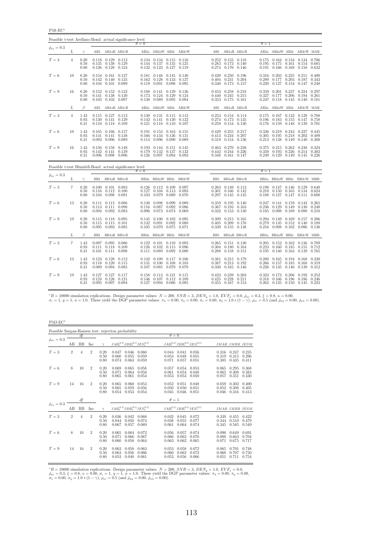P5ft-EC<sup>∗</sup>

| Feasible t-test Arellano-Bond: actual significance level |                |                      |       |                                                                               |                 |                |                                                                                                       |       |                       |                 |       |                                                                               |                 |                |                                                                                         |                         |                                                               |       |
|----------------------------------------------------------|----------------|----------------------|-------|-------------------------------------------------------------------------------|-----------------|----------------|-------------------------------------------------------------------------------------------------------|-------|-----------------------|-----------------|-------|-------------------------------------------------------------------------------|-----------------|----------------|-----------------------------------------------------------------------------------------|-------------------------|---------------------------------------------------------------|-------|
| $\bar{\rho}_{x\varepsilon}=0.3$                          |                |                      |       |                                                                               |                 | $\theta = 0$   |                                                                                                       |       |                       |                 |       |                                                                               |                 | $\theta = 1$   |                                                                                         |                         |                                                               |       |
|                                                          | L              | $\gamma$             |       |                                                                               | AB1 AB1aR AB1cR |                |                                                                                                       |       | AB2a AB2aW AB2c AB2cW |                 |       |                                                                               | AB1 AB1aR AB1cR |                | AB2a AB2aW AB2c AB2cW MAB                                                               |                         |                                                               |       |
| $T=3$                                                    | $\overline{4}$ | 0.20<br>0.50<br>0.80 |       | $0.118$ $0.129$ $0.112$<br>0.135 0.138 0.129<br>$0.126$ $0.128$ $0.124$       |                 |                | $0.134$ $0.134$ $0.115$ $0.116$<br>$0.144$ $0.137$ $0.135$ $0.125$<br>$0.132$ $0.123$ $0.127$ $0.119$ |       |                       |                 |       | $0.252$ $0.155$ $0.118$<br>0.283 0.173 0.140<br>$0.274$ $0.170$ $0.146$       |                 | 0.195          | $0.175$ $0.164$ $0.134$ $0.134$ $0.706$<br>0.175<br>$0.191$ $0.166$                     | 0.168                   | $0.161$ $0.154$ $0.685$<br>0.158 0.632                        |       |
| $T=6$                                                    | 10             | 0.20<br>0.50<br>0.80 |       | $0.154$ $0.161$ $0.137$<br>$0.142$ $0.140$ $0.135$<br>$0.104$ $0.101$ $0.099$ |                 |                | 0.181  0.148  0.145  0.140<br>$0.162$ $0.128$ $0.133$<br>$0.119$ $0.091$ $0.098$                      |       | 0.127<br>0.095        |                 |       | $0.420$ $0.250$ $0.196$<br>$0.404$ $0.231$ $0.204$<br>$0.340$ $0.173$ $0.157$ |                 | 0.289<br>0.220 | $0.316$ $0.203$<br>0.177<br>0.127                                                       | 0.225<br>0.203<br>0.154 | $0.211$ $0.400$<br>$0.187$ $0.343$<br>$0.147$ $0.248$         |       |
| $T=9$                                                    | 16             | 0.20<br>0.50<br>0.80 |       | $0.152$ $0.152$ $0.132$<br>$0.141$ $0.138$ $0.130$<br>$0.103$ $0.102$ $0.097$ |                 | 0.173          | $0.188$ $0.141$ $0.139$ $0.136$<br>$0.124$ $0.129$<br>$0.130$ $0.089$ $0.095$ $0.094$                 |       | 0.124                 |                 |       | $0.453$ $0.258$ $0.218$<br>$0.440$ $0.245$ $0.215$<br>$0.353$ $0.175$ $0.161$ |                 |                | 0.359 0.201<br>$0.327$ $0.177$<br>$0.247$ $0.118$ $0.145$                               | 0.206                   | $0.237$ $0.224$ $0.297$<br>$0.194$ $0.261$<br>$0.140$ $0.181$ |       |
|                                                          | L              | $\beta$              | AB1   | AB1aR AB1cR                                                                   |                 |                |                                                                                                       |       | AB2a AB2aW AB2c AB2cW | AB1 AB1aR AB1cR |       |                                                                               |                 |                | AB2a AB2aW AB2c AB2cW MAB                                                               |                         |                                                               |       |
| $T=3$                                                    | $\overline{4}$ | 1.43<br>0.93<br>0.31 |       | $0.115$ $0.127$ $0.112$<br>$0.130$ $0.141$ $0.129$<br>$0.110$ $0.118$ $0.109$ |                 | 0.121          | $0.130$ $0.131$ $0.115$ $0.112$<br>$0.142$ $0.141$ $0.130$ $0.122$<br>$0.118$ $0.110$ $0.107$         |       |                       |                 |       | $0.253$ $0.154$ $0.114$<br>$0.274$ $0.173$ $0.135$<br>$0.259$ $0.154$ $0.130$ |                 | 0.176          | 0.175 0.167 0.132 0.128 0.788<br>$0.196$ $0.183$ $0.155$<br>0.159                       | 0.148                   | $0.147$ 0.758<br>0.139 0.701                                  |       |
| $T=6$                                                    | 10             | 1.43<br>0.93<br>0.31 | 0.141 | $0.165$ $0.166$ $0.157$<br>0.141<br>$0.093$ $0.096$ $0.089$                   | 0.138           | 0.166          | $0.191$ $0.153$ $0.163$ $0.155$<br>0.134<br>0.114 0.096 0.090                                         | 0.136 | 0.131<br>0.089        |                 |       | $0.429$ $0.255$ $0.217$<br>$0.413$ $0.234$ $0.207$<br>0.319 0.154 0.136       |                 | 0.305          | 0.336 0.219<br>0.195<br>$0.213$ $0.138$                                                 | 0.243<br>0.218<br>0.149 | $0.227$ $0.445$<br>$0.202 \quad 0.409$<br>$0.140 \quad 0.308$ |       |
| $T=9$                                                    | 16             | 1.43<br>0.93<br>0.31 | 0.142 | 0.156 0.158 0.148<br>$0.141$ $0.139$<br>$0.096$ $0.098$ $0.096$               |                 |                | $0.193$ $0.144$ $0.151$ $0.145$<br>$0.179$ $0.132$ $0.137$ $0.132$<br>$0.126$ $0.097$ $0.094$ $0.093$ |       |                       |                 |       | 0.463 0.270 0.238<br>$0.443$ $0.244$ $0.226$<br>0.348 0.161 0.147             |                 |                | 0.375 0.215 0.262 0.248 0.324<br>0.350 0.193<br>$0.249$ $0.129$ $0.149$ $0.145$ $0.226$ | 0.226                   | 0.214                                                         | 0.302 |
| Feasible t-test Blundell-Bond: actual significance level |                |                      |       |                                                                               |                 | $\theta = 0$   |                                                                                                       |       |                       |                 |       |                                                                               |                 | $\theta = 1$   |                                                                                         |                         |                                                               |       |
| $\bar{\rho}_{x\varepsilon} = 0.3$                        | L              | $\gamma$             |       |                                                                               | BB1 BB1aR BB1cR |                |                                                                                                       |       | BB2a BB2aW BB2c BB2cW |                 |       | BB1 BB1aR BB1cR                                                               |                 |                | BB2a BB2aW BB2c BB2cW MBB                                                               |                         |                                                               |       |
| $T=3$                                                    | $\overline{7}$ | 0.20<br>0.50<br>0.80 |       | $0.100$ $0.101$ $0.083$<br>$0.116$ $0.112$ $0.100$<br>$0.104$ $0.098$ $0.091$ |                 |                | $0.126$ $0.112$ $0.109$ $0.097$<br>$0.127$ $0.104$ $0.113$<br>$0.103$ $0.079$ $0.089$                 |       | 0.093<br>0.070        |                 |       | $0.263$ $0.149$ $0.113$<br>$0.301$ $0.166$ $0.142$<br>$0.297$ $0.145$ $0.135$ |                 |                | 0.198 0.147 0.146 0.129 0.640<br>$0.210 \quad 0.150$<br>0.188 0.127                     | 0.165                   | $0.134$ $0.624$<br>$0.147$ $0.111$ $0.608$                    |       |
| $T=6$                                                    | 13             | 0.20<br>0.50<br>0.80 |       | $0.111$ $0.115$ $0.086$<br>$0.113$ $0.111$ $0.098$<br>$0.094$ $0.092$ $0.083$ |                 | 0.096          | $0.130$ $0.098$ $0.099$ $0.089$<br>$0.116$ $0.087$ $0.092$<br>0.073 0.074                             |       | 0.086<br>0.069        |                 |       | $0.359$ $0.195$ $0.140$<br>$0.367$ $0.193$ $0.163$<br>$0.332$ $0.153$ $0.130$ |                 | 0.236<br>0.185 | $0.247$ $0.141$ $0.159$<br>0.129<br>0.098                                               | 0.149<br>0.109          | $0.143$ $0.265$<br>$0.130 \quad 0.240$<br>$0.098$ $0.210$     |       |
| $T=9$                                                    | 19             | 0.20<br>0.50<br>0.80 | 0.115 | $0.115$ $0.118$ $0.095$<br>0.115<br>$0.095$ $0.093$ $0.085$                   | 0.101           | 0.145<br>0.132 | $0.100 \quad 0.102$<br>0.091 0.092<br>$0.105$ $0.070$ $0.075$ $0.071$                                 |       | 0.095<br>0.088        |                 | 0.405 | $0.399$ $0.215$ $0.165$<br>$0.209$ $0.176$<br>$0.339$ $0.155$ $0.138$         |                 | 0.279          | $0.294$ 0.149<br>0.135<br>$0.216$ 0.098                                                 | 0.169<br>0.152<br>0.102 | $0.157$ $0.206$<br>$0.140 \quad 0.189$<br>$0.096$ 0.138       |       |
|                                                          | L              | $\beta$              | BB1   | BB1aR BB1cR                                                                   |                 |                |                                                                                                       |       | BB2a BB2aW BB2c BB2cW | BB1 BB1aR BB1cR |       |                                                                               |                 |                | BB2a BB2aW BB2c BB2cW MBB                                                               |                         |                                                               |       |
| $T=3$                                                    | 7              | 1.43<br>0.93<br>0.31 |       | $0.097$ $0.095$ $0.086$<br>$0.111$ $0.118$ $0.109$<br>$0.101$ $0.111$ $0.098$ |                 | 0.126          | $0.122$ $0.101$ $0.110$ $0.093$<br>$0.102$ $0.115$ $0.096$<br>$0.111$ $0.089$ $0.092$                 |       | 0.080                 |                 |       | $0.265$ $0.151$ $0.130$<br>$0.304$ $0.180$ $0.164$<br>$0.288$ $0.158$ $0.151$ |                 | 0.223<br>0.195 | $0.205$ $0.152$ $0.162$ $0.136$ $0.709$<br>0.160<br>$0.140$ $0.163$                     | 0.185                   | 0.155 0.712<br>0.139 0.765                                    |       |
| $T=6$                                                    | 13             | 1.43<br>0.93<br>0.31 | 0.118 | $0.123$ $0.128$ $0.112$<br>0.120<br>$0.089$ $0.094$ $0.085$                   | 0.115           | 0.131          | $0.142$ $0.109$ $0.117$ $0.106$<br>0.100<br>$0.107$ $0.085$ $0.079$ $0.079$                           | 0.108 | 0.103                 |                 |       | $0.381$ $0.215$ $0.179$<br>$0.387$ $0.213$<br>0.330 0.165 0.146               | 0.192           | 0.266<br>0.226 | $0.280$ $0.165$ $0.194$ $0.168$ $0.330$<br>0.157<br>0.135                               | 0.185<br>0.146          | 0.168<br>0.139 0.312                                          | 0.319 |
| $T=9$                                                    | 19             | 1.43<br>0.93<br>0.31 |       | $0.127$ $0.127$ $0.117$<br>$0.124$ $0.126$ $0.121$<br>$0.095$ $0.097$ $0.094$ |                 | 0.158          | $0.113$ $0.121$ $0.115$<br>$0.146$ $0.107$ $0.112$ $0.109$<br>$0.127$ $0.094$ $0.086$ $0.085$         |       |                       |                 |       | $0.423$ $0.239$ $0.203$<br>$0.425$ 0.228<br>$0.355$ $0.167$ $0.153$           | 0.211           |                | 0.323 0.173<br>$0.318$ $0.166$<br>$0.262$ $0.135$                                       | 0.206<br>0.196<br>0.150 | $0.192$ $0.252$<br>$0.186$ $0.246$<br>$0.145$ $0.223$         |       |

 ${}^{*}R = 10000$  simulation replications. Design parameter values:  $N = 200$ ,  $SNR = 3$ ,  $DEN_y = 1.0$ ,  $EVF_x = 0.0$ ,  $E_{xz} = 0.3$ ,  $\xi = 0.8$ ,  $\kappa = 0.00$ ,<br> $\sigma_x = 1$ ,  $q = 1$ ,  $\phi = 1.0$ . These yield the DGP parameter values:  $\pi_{\lambda} =$ 

P5fJ-EC<sup>∗</sup>

|                                 |                |           |                |                      | Feasible Sargan-Hansen test: rejection probability |                         |                         |                         |                                           |                         |                         |                         |
|---------------------------------|----------------|-----------|----------------|----------------------|----------------------------------------------------|-------------------------|-------------------------|-------------------------|-------------------------------------------|-------------------------|-------------------------|-------------------------|
|                                 |                | df        |                |                      |                                                    |                         | $\theta = 0$            |                         |                                           |                         |                         |                         |
| $\bar{\rho}_{x\varepsilon}=0.3$ | AВ             | <b>BB</b> | Inc            | $\sim$               | $JAB_a^{(2,1)}JBB_a^{(2,1)}JES_a^{(2,1)}$          |                         |                         |                         | $JAB_c^{(2,1)}JBB_c^{(2,1)}JES_c^{(2,1)}$ |                         | JMAB JMBB JESM          |                         |
| $T=3$                           | $\overline{2}$ | 4         | $\overline{2}$ | 0.20<br>0.50<br>0.80 | 0.047<br>0.046<br>0.060<br>0.055<br>0.074<br>0.063 | 0.060<br>0.059<br>0.059 | 0.044<br>0.054<br>0.071 | 0.041<br>0.048<br>0.057 | 0.056<br>0.055<br>0.051                   | 0.316<br>0.319<br>0.305 | 0.247<br>0.315<br>0.435 | 0.235<br>0.296<br>0.411 |
| $T=6$                           | 8              | 10        | $\overline{2}$ | 0.20<br>0.50<br>0.80 | 0.069<br>0.065<br>0.071<br>0.064<br>0.065<br>0.061 | 0.058<br>0.058<br>0.054 | 0.057<br>0.061<br>0.053 | 0.054<br>0.054<br>0.053 | 0.053<br>0.048<br>0.050                   | 0.065<br>0.065<br>0.057 | 0.295<br>0.308<br>0.351 | 0.368<br>0.383<br>0.430 |
| $T=9$                           | 14             | 16        | $\overline{2}$ | 0.20<br>0.50<br>0.80 | 0.065<br>0.060<br>0.065<br>0.059<br>0.054<br>0.053 | 0.053<br>0.056<br>0.054 | 0.052<br>0.050<br>0.045 | 0.051<br>0.050<br>0.046 | 0.048<br>0.051<br>0.051                   | 0.059<br>0.052<br>0.046 | 0.302<br>0.308<br>0.316 | 0.400<br>0.405<br>0.413 |
|                                 |                | df        |                |                      |                                                    |                         | $\theta=1$              |                         |                                           |                         |                         |                         |
| $\bar{\rho}_{x\varepsilon}=0.3$ | AВ             | <b>BB</b> | Inc            | $\gamma$             | $JAB_a^{(2,1)}JBB_a^{(2,1)}JES_a^{(2,1)}$          |                         |                         |                         | $JAB_c^{(2,1)}JBB_c^{(2,1)}JES_c^{(2,1)}$ |                         | JMAB JMBB JESM          |                         |
| $T=3$                           | $\overline{2}$ | 4         | $\overline{2}$ | 0.20<br>0.50<br>0.80 | 0.036<br>0.042<br>0.044<br>0.050<br>0.067<br>0.057 | 0.068<br>0.074<br>0.069 | 0.032<br>0.038<br>0.061 | 0.045<br>0.055<br>0.064 | 0.072<br>0.077<br>0.074                   | 0.339<br>0.344<br>0.345 | 0.455<br>0.510<br>0.585 | 0.422<br>0.479<br>0.549 |
| $T=6$                           | 8              | 10        | $\overline{2}$ | 0.20<br>0.50<br>0.80 | 0.065<br>0.064<br>0.071<br>0.066<br>0.060<br>0.058 | 0.072<br>0.067<br>0.064 | 0.056<br>0.066<br>0.063 | 0.057<br>0.063<br>0.062 | 0.074<br>0.070<br>0.065                   | 0.090<br>0.088<br>0.071 | 0.649<br>0.663<br>0.675 | 0.691<br>0.704<br>0.717 |
| $T=9$                           | 14             | 16        | $\overline{2}$ | 0.20<br>0.50<br>0.80 | 0.063<br>0.058<br>0.063<br>0.056<br>0.053<br>0.048 | 0.063<br>0.066<br>0.061 | 0.053<br>0.060<br>0.053 | 0.058<br>0.062<br>0.056 | 0.072<br>0.072<br>0.066                   | 0.065<br>0.060<br>0.051 | 0.701<br>0.707<br>0.711 | 0.748<br>0.750<br>0.754 |

\*R = 10000 simulation replications. Design parameter values:  $N = 200$ ,  $SNR = 3$ ,  $DEN_y = 1.0$ ,  $EVF_x = 0.0$ ,  $\bar{\rho}_{xe} = 0.3$ ,  $\xi = 0.8$ ,  $\kappa = 0.00$ ,  $\sigma_e = 1$ ,  $q = 1$ ,  $\phi = 1.0$ . These yield the DGP parameter values:  $\pi_{\lambda} = 0.$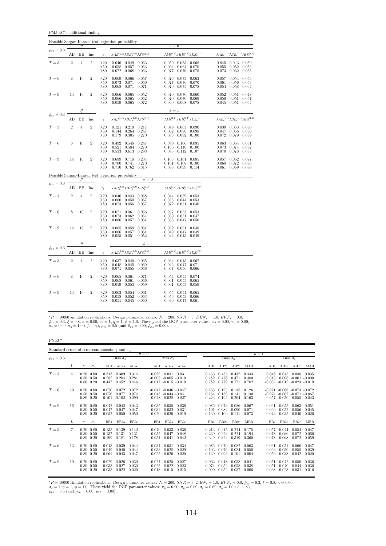P5fJ-EC<sup>∗</sup> : additional findings

|                                 |                |                |                |                                                     | Feasible Sargan-Hansen test: rejection probability                              |                                                                                                             |                                                                                |
|---------------------------------|----------------|----------------|----------------|-----------------------------------------------------|---------------------------------------------------------------------------------|-------------------------------------------------------------------------------------------------------------|--------------------------------------------------------------------------------|
| $\bar{\rho}_{x\varepsilon}=0.3$ |                | df             |                |                                                     |                                                                                 | $\theta = 0$                                                                                                |                                                                                |
|                                 | AВ             | BB             | Inc            | $\gamma$                                            | $JAB^{(1,0)}JBB^{(1,0)}_{a}JES^{(1,0)}$                                         | $JAB^{(1,1)}_aJBB^{(1,1)}_aJES^{(1,1)}_a$                                                                   | $JAB_c^{(1,1)}JBB_c^{(1,1)}JES_c^{(1,1)}$                                      |
| $T=3$                           | $\sqrt{2}$     | $\overline{4}$ | $\overline{2}$ | 0.20<br>0.50<br>0.80                                | 0.046<br>$0.049$ 0.063<br>0.063<br>0.058<br>0.057<br>0.072<br>0.068<br>0.063    | 0.050<br>0.053<br>0.068<br>0.064<br>0.064<br>0.070<br>0.077<br>0.076<br>0.075                               | $0.045$ 0.043<br>0.059<br>0.055<br>0.052<br>0.059<br>0.073<br>0.062<br>0.055   |
| $T=6$                           | 8              | 10             | $\overline{2}$ | 0.20<br>0.50<br>0.80                                | 0.066<br>0.057<br>0.069<br>0.073<br>0.071<br>0.060<br>0.068<br>0.071<br>0.071   | 0.076<br>0.073<br>0.063<br>0.077<br>0.070<br>0.076<br>0.070<br>0.075<br>0.078                               | 0.057<br>0.054<br>0.053<br>0.061<br>0.056<br>0.053<br>0.054<br>0.058<br>0.064  |
| $T=9$                           | 14             | 16             | $\overline{2}$ | 0.20<br>0.50<br>0.80                                | 0.066<br>0.065<br>0.052<br>0.062<br>0.066<br>0.065<br>0.059<br>0.065<br>0.072   | 0.070<br>0.070<br>0.060<br>0.070<br>0.070<br>0.069<br>0.060<br>0.068<br>0.078                               | 0.051<br>0.048<br>0.052<br>0.050<br>0.057<br>0.051<br>$0.045$ $0.051$<br>0.064 |
|                                 |                | df             |                |                                                     |                                                                                 | $\theta = 1$                                                                                                |                                                                                |
| $\bar{\rho}_{x\varepsilon}=0.3$ | AB             | BB             | Inc            | $\gamma$                                            | $JAB^{\left( 1,0\right) }JBB_{a}^{\left( 1,0\right) }JES^{\left( 1,0\right) }$  | $JAB_a^{(1,1)}JBB_a^{(1,1)}JES_a^{(1,1)}$                                                                   | $JAB_c^{(1,1)}JBB_c^{(1,1)}JES_c^{(1,1)}$                                      |
| $T=3$                           | $\,2\,$        | $\overline{4}$ | $\overline{2}$ | 0.20<br>0.50<br>0.80                                | 0.121<br>$0.219$ $0.217$<br>$0.264$ $0.247$<br>0.144<br>0.305<br>0.270<br>0.179 | 0.049<br>0.063<br>0.090<br>0.098<br>0.062<br>0.076<br>0.085<br>0.092<br>0.100                               | 0.039<br>0.053<br>0.080<br>0.047<br>0.066<br>0.086<br>0.072<br>0.079<br>0.089  |
| $T=6$                           | 8              | 10             | $\overline{2}$ | 0.20<br>0.50<br>0.80                                | 0.492<br>0.548<br>0.247<br>0.521<br>0.584<br>0.270<br>0.533<br>0.613<br>0.298   | 0.099<br>0.106<br>0.095<br>0.106<br>0.116<br>0.100<br>0.095<br>0.112<br>0.107                               | 0.064<br>0.081<br>0.063<br>0.073<br>0.074<br>0.082<br>0.070<br>0.078<br>0.083  |
| $T=9$                           | 14             | 16             | $\overline{2}$ | 0.20<br>0.50<br>0.80                                | 0.718<br>0.234<br>0.689<br>0.270<br>0.700<br>0.741<br>0.315<br>0.710 0.762      | 0.103<br>0.101<br>0.085<br>0.101<br>0.108<br>0.100<br>0.088<br>0.099<br>0.114                               | 0.062<br>0.057<br>0.077<br>0.068<br>0.072<br>0.086<br>0.061<br>0.069<br>0.088  |
|                                 |                |                |                |                                                     | Feasible Sargan-Hansen test: rejection probability<br>$\theta = 0$              |                                                                                                             |                                                                                |
| $\bar{\rho}_{x\varepsilon}=0.3$ | AВ             | df<br>BB       | Inc            | $\gamma$                                            | $JAB_a^{(2,2)}JBB_a^{(2,2)}JES_a^{(2,2)}$                                       | $JAB_c^{(2,2)}JBB_c^{(2,2)}JES_c^{(2,2)}$                                                                   |                                                                                |
| $T=3$                           | $\sqrt{2}$     | $\overline{4}$ | $\overline{2}$ | 0.20<br>0.50<br>0.80                                | $0.046$ $0.043$ $0.058$<br>0.057<br>0.050<br>0.060<br>0.073<br>0.056<br>0.057   | 0.044<br>0.039 0.053<br>0.053<br>0.044<br>0.053<br>0.072<br>0.051<br>0.046                                  |                                                                                |
| $T=6$                           | 8              | 10             | $\overline{2}$ | $0.20\,$<br>0.50<br>0.80                            | 0.071<br>0.061<br>0.056<br>0.054<br>0.073<br>0.062<br>0.066<br>0.051<br>0.057   | 0.057<br>0.053<br>0.053<br>0.059<br>0.051<br>0.047<br>0.053<br>0.047<br>0.050                               |                                                                                |
| $T=9$                           | 14             | 16             | $\overline{2}$ | $\begin{array}{c} 0.20 \\ 0.50 \end{array}$<br>0.80 | 0.065<br>0.059<br>0.051<br>0.057<br>0.051<br>0.066<br>0.051<br>0.052<br>0.055   | $\begin{array}{c} 0.052 \\ 0.049 \end{array}$<br>0.051<br>0.048<br>0.047<br>0.049<br>$0.044$ 0.043<br>0.049 |                                                                                |
| $\bar{\rho}_{x\varepsilon}=0.3$ |                | df             |                |                                                     | $\theta = 1$                                                                    |                                                                                                             |                                                                                |
|                                 | AB             | ΒB             | Inc            | $\gamma$                                            | $JAB_a^{(2,2)}JBB_a^{(2,2)}JES_a^{(2,2)}$                                       | $JAB_c^{(2,2)}JBB_c^{(2,2)}JES_c^{(2,2)}$                                                                   |                                                                                |
| $T=3$                           | $\overline{2}$ | $\overline{4}$ | $\overline{2}$ | 0.20<br>0.50<br>0.80                                | 0.037<br>$0.040$ $0.065$<br>0.069<br>0.048<br>0.045<br>0.071<br>0.055<br>0.066  | $0.043$ 0.067<br>0.034<br>0.042<br>0.047<br>0.071<br>0.067<br>0.056<br>0.066                                |                                                                                |
| $T=6$                           | 8              | 10             | $\overline{2}$ | 0.20<br>0.50<br>0.80                                | 0.065<br>0.061<br>0.071<br>0.061<br>0.066<br>0.068<br>0.059<br>0.053<br>0.059   | 0.054<br>0.055<br>0.074<br>0.061<br>0.055<br>0.065<br>0.061<br>0.053<br>0.059                               |                                                                                |
| $T=9$                           | 14             | 16             | $\overline{2}$ | 0.20<br>0.50<br>0.80                                | 0.063<br>0.054<br>0.061<br>0.058<br>0.052<br>0.063<br>0.060<br>0.051<br>0.045   | 0.055<br>0.054<br>0.065<br>0.056<br>0.053<br>0.066<br>0.049<br>0.047<br>0.061                               |                                                                                |

 ${}^*R = 10000$  simulation replications. Design parameter values:  $N = 200$ ,  $SNR = 3$ ,  $DEN_y = 1.0$ ,  $EVF_x = 0.0$ ,  $\bar{\rho}_{xe} = 0.3$ ,  $\xi = 0.8$ ,  $\kappa = 0.00$ ,  $\sigma_e = 1$ ,  $q = 1$ ,  $\phi = 1.0$ . These yield the DGP parameter values:  $\pi_{\lambda} =$ 

P5-EC<sup>∗</sup>

| Standard errors of error components $\eta_i$ and $\varepsilon_{it}$ |    |                                                        |            |                         |                         |                         |              |                                                                                      |       |                         |                               |                         |                         |                |                                                                                                                   |                                   |       |
|---------------------------------------------------------------------|----|--------------------------------------------------------|------------|-------------------------|-------------------------|-------------------------|--------------|--------------------------------------------------------------------------------------|-------|-------------------------|-------------------------------|-------------------------|-------------------------|----------------|-------------------------------------------------------------------------------------------------------------------|-----------------------------------|-------|
|                                                                     |    |                                                        |            |                         |                         |                         | $\theta = 0$ |                                                                                      |       |                         |                               |                         |                         | $\theta = 1$   |                                                                                                                   |                                   |       |
| $\bar{\rho}_{x\varepsilon}=0.3$                                     |    |                                                        |            |                         | Bias $\hat{\sigma}_n$   |                         |              | Bias $\hat{\sigma}_s$                                                                |       |                         | Bias $\hat{\sigma}_n$         |                         |                         |                |                                                                                                                   | Bias $\hat{\sigma}_{\varepsilon}$ |       |
|                                                                     | L  |                                                        | $\sigma_n$ | AB1                     | AB2a                    | AB2c                    | AB1          | AB2a                                                                                 | AB2c  | AB1                     | AB2a                          | AB2c                    | MAB                     | AB1            | AB2a                                                                                                              | AB2c                              | MAB   |
| $T=3$                                                               | 4  | $0.20\ 0.80$<br>$0.50 \quad 0.50$<br>$0.80 \quad 0.20$ |            | 0.313<br>0.282<br>0.447 | 0.309<br>0.284<br>0.452 | 0.314<br>0.281<br>0.446 | 0.029        | 0.031<br>$-0.008$ $-0.005$ $-0.010$<br>$-0.017 - 0.015 - 0.019$                      | 0.031 | 0.436<br>0.482<br>0.782 | 0.435<br>0.478<br>0.779       | 0.432<br>0.471<br>0.771 | 0.433<br>0.480<br>0.782 | 0.048<br>0.013 | 0.045<br>$-0.004$ $-0.012$ $-0.023$ $-0.019$                                                                      | 0.038<br>$0.008 - 0.001 - 0.000$  | 0.035 |
| $T=6$                                                               | 10 | $0.20\ 0.80$<br>$0.50 \quad 0.50$<br>$0.80 \quad 0.20$ |            | 0.070<br>0.076<br>0.101 | 0.072<br>0.077<br>0.102 | 0.072<br>0.074<br>0.099 |              | $-0.047 - 0.046 - 0.047$<br>$-0.043 - 0.043 - 0.041$<br>$-0.028$ $-0.028$ $-0.027$   |       | 0.133<br>0.154<br>0.223 | 0.125<br>0.136<br>0.194 0.204 | 0.135<br>0.141          | 0.126<br>0.130<br>0.163 |                | $-0.071$ $-0.066$ $-0.073$ $-0.072$<br>$-0.074$ $-0.067$ $-0.071$ $-0.067$<br>$-0.057 - 0.050 - 0.055 - 0.043$    |                                   |       |
| $T = 9$                                                             | 16 | $0.20\ 0.80$<br>$0.50 \quad 0.50$<br>$0.80\ 0.20$      |            | 0.042<br>0.047<br>0.052 | 0.042<br>0.047<br>0.050 | 0.043<br>0.047<br>0.050 |              | $-0.035 - 0.035 - 0.036$<br>$-0.032 - 0.032 - 0.031$<br>$-0.020 - 0.020 - 0.019$     |       | 0.086<br>0.101<br>0.130 | 0.073<br>0.082<br>0.100       | 0.086<br>0.090<br>0.111 | 0.067<br>0.071<br>0.073 |                | $-0.061$ $-0.055$ $-0.063$ $-0.051$<br>$-0.060$ $-0.052$ $-0.056$ $-0.045$<br>$-0.043$ $-0.035$ $-0.040$ $-0.026$ |                                   |       |
|                                                                     | L  |                                                        | $\sigma_n$ | B <sub>B1</sub>         | BB <sub>2</sub> a       | BB2c                    | BB1          | BB <sub>2a</sub>                                                                     | BB2c  | BB1                     | BB <sub>2a</sub>              | BB <sub>2c</sub>        | <b>MBB</b>              | BB1            | BB <sub>2a</sub>                                                                                                  | BB <sub>2c</sub>                  | MBB   |
| $T=3$                                                               | 7  | $0.20\ 0.80$<br>$0.50 \quad 0.50$<br>$0.80\ 0.20$      |            | 0.135<br>0.137<br>0.199 | 0.139<br>0.131<br>0.181 | 0.142<br>0.131<br>0.178 |              | $-0.040 - 0.033 - 0.036$<br>$-0.055 - 0.047 - 0.048$<br>$-0.051 - 0.041 - 0.042$     |       | 0.213<br>0.239<br>0.349 | 0.215<br>0.223<br>0.324       | 0.214<br>0.224<br>0.319 | 0.175<br>0.194<br>0.360 |                | $-0.057 - 0.044 - 0.054 - 0.047$<br>$-0.078$ $-0.066$ $-0.072$ $-0.066$<br>$-0.078$ $-0.068$ $-0.072$ $-0.059$    |                                   |       |
| $T=6$                                                               | 13 | $0.20\ 0.80$<br>$0.50 \quad 0.50$<br>$0.80\ 0.20$      |            | 0.043<br>0.049<br>0.061 | 0.039<br>0.040<br>0.043 | 0.044<br>0.044<br>0.047 |              | $-0.034$ $-0.031$ $-0.034$<br>$-0.033 - 0.028 - 0.029$<br>$-0.025 - 0.020 - 0.020$   |       | 0.086<br>0.103<br>0.139 | 0.070<br>0.076<br>0.093       | 0.082<br>0.084<br>0.101 | 0.063<br>0.050<br>0.004 |                | $-0.061$ $-0.051$ $-0.060$ $-0.047$<br>$-0.063$ $-0.050$ $-0.055$ $-0.039$<br>$-0.050 - 0.038 - 0.042 - 0.020$    |                                   |       |
| $T=9$                                                               | 19 | $0.20\ 0.80$<br>$0.50 \quad 0.50$<br>$0.80\ 0.20$      |            | 0.029<br>0.033<br>0.035 | 0.026<br>0.027<br>0.022 | 0.030<br>0.030<br>0.026 |              | $-0.027$ $-0.025$ $-0.027$<br>$-0.025 - 0.022 - 0.023$<br>$-0.018$ $-0.015$ $-0.015$ |       | 0.062<br>0.074<br>0.090 | 0.048<br>0.052<br>0.052       | 0.058<br>0.058<br>0.057 | 0.041<br>0.038<br>0.006 |                | $-0.051 - 0.042 - 0.050 - 0.036$<br>$-0.051$ $-0.040$ $-0.044$ $-0.030$<br>$-0.038 - 0.028 - 0.031 - 0.016$       |                                   |       |

 ${}^*R = 10000$  simulation replications. Design parameter values:  $N = 200$ ,  $SNR = 3$ ,  $DEN_y = 1.0$ ,  $EVF_x = 0.0$ ,  $\bar{\rho}_{x\bar{x}} = 0.3$ ,  $\xi = 0.8$ ,  $\kappa = 0.00$ ,<br>  $\sigma_{\varepsilon} = 1$ ,  $q = 1$ ,  $\phi = 1.0$ . These yield the DGP parameter values: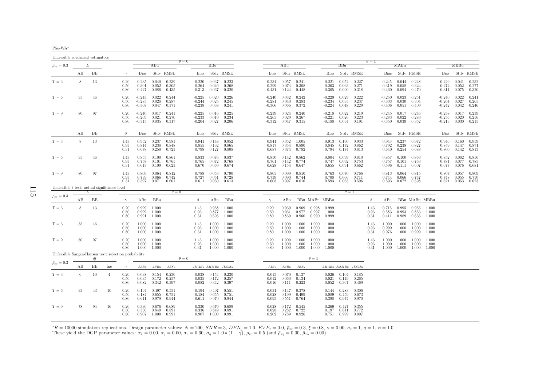| W,<br>511- |  |
|------------|--|

| Unfeasible coefficient estimators                    |    |           |                |                      |                                  |                         |                         |                                  |                                 |                                                     |                                  |                                    |                         |                         |                                        |                                         |                         |                      |                                  |                                       |                         |                         |                                  |                                        |                                    |
|------------------------------------------------------|----|-----------|----------------|----------------------|----------------------------------|-------------------------|-------------------------|----------------------------------|---------------------------------|-----------------------------------------------------|----------------------------------|------------------------------------|-------------------------|-------------------------|----------------------------------------|-----------------------------------------|-------------------------|----------------------|----------------------------------|---------------------------------------|-------------------------|-------------------------|----------------------------------|----------------------------------------|------------------------------------|
| $\bar{\rho}_{x\varepsilon}=0.3$                      |    | L         |                |                      |                                  | ABu                     |                         | $\theta = 0$                     | BBu                             |                                                     |                                  | ABu                                |                         |                         |                                        | <b>BBu</b>                              |                         | $\theta = 1$         |                                  | MABu                                  |                         |                         |                                  | MBBu                                   |                                    |
|                                                      | AВ | BB        |                | $\gamma$             | Bias                             |                         | Stdy RMSE               | Bias                             |                                 | Stdy RMSE                                           | Bias                             |                                    | Stdy RMSE               |                         | Bias                                   |                                         | Stdy RMSE               |                      | Bias                             |                                       | Stdy RMSE               |                         | Bias                             |                                        | Stdy RMSE                          |
| $T=3$                                                | 8  | 13        |                | 0.20<br>0.50<br>0.80 | $-0.235$<br>$-0.301$<br>$-0.427$ | 0.040<br>0.052<br>0.086 | 0.239<br>0.305<br>0.435 | $-0.220$<br>$-0.264$<br>$-0.313$ | 0.037<br>0.046<br>0.067         | 0.223<br>0.268<br>0.320                             | $-0.234$<br>$-0.299$<br>$-0.431$ | 0.057<br>0.074<br>0.124            | 0.241<br>0.308<br>0.448 |                         | $-0.221$<br>$-0.263$<br>$-0.305$       | 0.052<br>0.063<br>0.090                 | 0.227<br>0.271<br>0.318 |                      | $-0.245$<br>$-0.319$<br>$-0.460$ | 0.044<br>0.058<br>0.094               | 0.248<br>0.324<br>0.470 |                         | $-0.229$<br>$-0.272$<br>$-0.311$ | 0.041<br>0.052<br>0.075                | 0.232<br>0.277<br>0.320            |
| $T=6$                                                | 35 | 46        |                | 0.20<br>0.50<br>0.80 | $-0.243$<br>$-0.285$<br>$-0.368$ | 0.022<br>0.028<br>0.047 | 0.244<br>0.287<br>0.371 | $-0.225$<br>$-0.244$<br>$-0.238$ | 0.020<br>0.025<br>0.038         | 0.226<br>0.245<br>0.241                             | $-0.240$<br>$-0.281$<br>-0.366   | 0.032<br>0.040<br>0.066            | 0.242<br>0.283<br>0.372 |                         | $-0.220$<br>$-0.234$<br>$-0.224$       | 0.029<br>0.035<br>0.048                 | 0.222<br>0.237<br>0.229 |                      | $-0.250$<br>$-0.303$<br>-0.406   | 0.023<br>0.030<br>0.051               | 0.251<br>0.304<br>0.409 |                         | $-0.240$<br>$-0.264$<br>$-0.242$ | 0.022<br>0.027<br>0.042                | 0.241<br>0.265<br>0.246            |
| $T=9$                                                | 80 | 97        |                | 0.20<br>0.50<br>0.80 | $-0.240$<br>$-0.269$<br>$-0.315$ | 0.017<br>0.021<br>0.035 | 0.241<br>0.270<br>0.317 | $-0.225$<br>$-0.233$<br>$-0.204$ | 0.016<br>0.019                  | 0.225<br>0.234<br>$0.027$ 0.206                     | $-0.239$<br>$-0.265$             | 0.024<br>0.029<br>$-0.312$ $0.047$ | 0.240<br>0.267<br>0.315 |                         | $-0.218$<br>$-0.221$<br>$-0.188$ 0.034 | 0.022<br>0.026                          | 0.219<br>0.223<br>0.191 |                      | $-0.245$<br>$-0.283$<br>$-0.350$ | 0.017<br>0.022<br>0.039               | 0.246<br>0.283<br>0.352 |                         | $-0.238$<br>$-0.256$<br>$-0.213$ | 0.017<br>0.020                         | 0.239<br>0.256<br>$0.030 \t 0.215$ |
|                                                      | AВ | BB        |                | $\beta$              | Bias                             |                         | Stdy RMSE               | Bias                             |                                 | Stdy RMSE                                           | Bias                             |                                    | Stdy RMSE               |                         | Bias                                   |                                         | Stdy RMSE               |                      | Bias                             |                                       | Stdy RMSE               |                         | Bias                             |                                        | Stdv RMSE                          |
| $T=3$                                                | 8  | -13       |                | 1.43<br>0.93<br>0.31 | 0.952<br>0.814<br>0.678          | 0.237<br>0.238<br>0.250 | 0.981<br>0.848<br>0.723 | 0.941<br>0.855<br>0.798          | 0.148<br>0.132<br>0.127         | 0.952<br>0.865<br>0.808                             | 0.941<br>0.817<br>0.687          | 0.352<br>0.354<br>0.374            | 1.005<br>0.890<br>0.782 |                         | 0.913                                  | 0.190<br>0.845 0.172<br>$0.794$ $0.174$ | 0.933<br>0.862<br>0.813 |                      | 0.943<br>0.792<br>0.640          | 0.237<br>0.238<br>0.254               | 0.972<br>0.827<br>0.688 |                         | 0.946                            | $0.859$ $0.147$<br>$0.800 \quad 0.142$ | $0.160$ $0.959$<br>0.871<br>0.813  |
| $T=6$                                                | 35 | 46        |                | 1.43<br>0.93<br>0.31 | 0.855<br>0.758<br>0.613          | 0.100<br>0.101<br>0.109 | 0.861<br>0.765<br>0.623 | 0.833<br>0.765<br>0.670          | 0.076<br>0.072<br>0.069         | 0.837<br>0.768<br>0.674                             | 0.850<br>0.761<br>0.628          | 0.142<br>0.142<br>0.154            | 0.862<br>0.774<br>0.647 |                         | 0.804<br>0.747<br>0.655                | 0.099<br>0.092<br>0.091                 | 0.810<br>0.753<br>0.662 |                      | 0.857<br>0.757<br>0.596          | 0.100<br>0.101<br>0.111               | 0.863<br>0.763<br>0.607 |                         | 0.852<br>0.781<br>0.677          | 0.082<br>0.077<br>0.076                | 0.856<br>0.785<br>0.681            |
| $T=9$                                                | 80 | 97        |                | 1.43<br>0.93<br>0.31 | 0.809<br>0.739<br>0.597          | 0.064<br>0.066<br>0.071 | 0.812<br>0.742<br>0.601 | 0.788<br>0.727                   | 0.053<br>0.051                  | 0.790<br>0.728<br>$0.611$ $0.050$ $0.613$           | 0.805<br>0.739<br>0.608          | 0.090<br>0.090<br>0.097            | 0.810<br>0.744<br>0.616 |                         | 0.763<br>0.708<br>0.593                | 0.070<br>0.066<br>0.065                 | 0.766<br>0.711<br>0.596 |                      | 0.813                            | 0.064<br>$0.744$ 0.066<br>0.593 0.072 | 0.815<br>0.747<br>0.598 |                         | 0.807<br>0.748                   | 0.057<br>0.055<br>$0.621$ $0.053$      | 0.809<br>0.750<br>0.623            |
| Unfeasible t-test: actual significance level         |    | L         |                |                      |                                  |                         | $\theta = 0$            |                                  |                                 |                                                     |                                  |                                    |                         |                         |                                        | $\theta = 1$                            |                         |                      |                                  |                                       |                         |                         |                                  |                                        |                                    |
| $\bar{\rho}_{x\varepsilon}=0.3$                      | AВ | <b>BB</b> |                | $\gamma$             | ABu                              | BBu                     |                         | $\beta$                          | ABu                             | BBu                                                 | $\gamma$                         | ABu                                |                         |                         | BBu MABu MBBu                          |                                         |                         | B                    | ABu                              |                                       |                         | BBu MABu MBBu           |                                  |                                        |                                    |
| $T=3$                                                | 8  | 13        |                | 0.20<br>0.50<br>0.80 | 0.999<br>0.999<br>0.991          | 1.000<br>1.000<br>1.000 |                         | 1.43<br>0.93<br>0.31             | 0.958<br>0.877<br>0.695         | 1.000<br>1.000<br>1.000                             | 0.20<br>0.50<br>0.80             | 0.939<br>0.931<br>0.869            | 0.969<br>0.977<br>0.960 | 0.998<br>0.997<br>0.990 | 0.999<br>1.000<br>0.999                |                                         |                         | 1.43<br>0.93<br>0.31 | 0.715<br>0.583<br>0.411          | 0.995<br>0.993<br>0.989               | 0.955<br>0.853<br>0.636 | 1.000<br>1.000<br>1.000 |                                  |                                        |                                    |
| $T=6$                                                | 35 | 46        |                | 0.20<br>0.50<br>0.80 | 1.000<br>1.000<br>1.000          | 1.000<br>1.000<br>1.000 |                         | 1.43<br>0.93<br>0.31             | 1.000                           | $1.000 \quad 1.000$<br>1.000<br>$1.000 \quad 1.000$ | 0.20<br>0.50<br>0.80             | 1.000<br>1.000<br>1.000            | 1.000<br>1.000<br>1.000 | 1.000<br>1.000<br>1.000 | 1.000<br>1.000<br>1.000                |                                         |                         | 1.43<br>0.93<br>0.31 | 1.000<br>0.999<br>0.976          | 1.000<br>1.000<br>1.000               | 1.000<br>1.000<br>0.999 | 1.000<br>1.000<br>1.000 |                                  |                                        |                                    |
| $T=9$                                                | 80 | 97        |                | 0.20<br>0.50<br>0.80 | 1.000<br>1.000<br>1.000          | 1.000<br>1.000<br>1.000 |                         | 1.43<br>0.93<br>0.31             | 1.000<br>1.000<br>1.000         | 1.000<br>1.000<br>1.000                             | 0.20<br>0.50<br>0.80             | 1.000<br>1.000<br>1.000            | 1.000<br>1.000<br>1.000 | 1.000<br>1.000<br>1.000 | 1.000<br>1.000<br>1.000                |                                         |                         | 1.43<br>0.93<br>0.31 | 1.000<br>1.000<br>1.000          | 1.000<br>1.000<br>1.000               | 1.000<br>1.000<br>1.000 | 1.000<br>1.000<br>1.000 |                                  |                                        |                                    |
| Unfeasible Sargan-Hansen test: rejection probability |    | df        |                |                      |                                  |                         |                         | $\theta = 0$                     |                                 |                                                     |                                  |                                    |                         | $\theta=1$              |                                        |                                         |                         |                      |                                  |                                       |                         |                         |                                  |                                        |                                    |
| $\bar{\rho}_{x\varepsilon}=0.3$                      | АB | BB        | Inc            | $\gamma$             | JABu                             | JBBu                    | JESu                    |                                  |                                 | $JMABu$ $JMMBu$ $JESMu$                             | JABu                             | $JBBu$                             | JESu                    |                         | $JMABu\quad JMMBu\quad JESMu$          |                                         |                         |                      |                                  |                                       |                         |                         |                                  |                                        |                                    |
| $T=3$                                                | 6  | $10\,$    | $\overline{4}$ | 0.20<br>0.50<br>0.80 | 0.038<br>0.035<br>0.082          | 0.154<br>0.172<br>0.342 | 0.230<br>0.257<br>0.397 | 0.038<br>0.035<br>0.082          | 0.154<br>0.172<br>0.342         | 0.230<br>0.257<br>0.397                             | 0.015<br>0.012<br>0.016          | 0.070<br>0.060<br>0.111            | 0.137<br>0.134<br>0.223 |                         | 0.021                                  | $0.026$ 0.104<br>0.149<br>$0.052$ 0.367 | 0.185<br>0.265<br>0.469 |                      |                                  |                                       |                         |                         |                                  |                                        |                                    |
| $T=6$                                                | 33 | 43        | 10             | 0.20<br>0.50<br>0.80 | 0.194<br>0.184<br>0.611          | 0.497<br>0.655<br>0.979 | 0.551<br>0.751<br>0.944 | 0.194<br>0.184<br>0.611          | 0.497<br>0.655<br>0.979         | 0.551<br>0.751<br>0.944                             | 0.031<br>0.028<br>0.095          | 0.147<br>0.199<br>0.551            | 0.378<br>0.499<br>0.764 |                         | 0.089<br>0.398                         | $0.144$ $0.283$<br>0.459<br>0.974       | 0.306<br>0.673<br>0.970 |                      |                                  |                                       |                         |                         |                                  |                                        |                                    |
| $T=9$                                                | 78 | 94        | 16             | 0.20<br>0.50<br>0.80 | 0.330<br>0.336<br>0.907          | 0.676<br>0.849<br>1.000 | 0.689<br>0.891<br>0.991 | 0.330<br>0.336                   | 0.676<br>0.849<br>$0.907$ 1.000 | 0.689<br>0.891<br>0.991                             | 0.028<br>0.028                   | 0.172<br>0.282<br>$0.202$ 0.789    | 0.545<br>0.722<br>0.926 |                         | 0.269                                  | 0.427<br>$0.197$ $0.611$<br>0.751 0.999 | 0.355<br>0.772<br>0.997 |                      |                                  |                                       |                         |                         |                                  |                                        |                                    |

 ${}^*R = 10000$  simulation replications. Design parameter values:  $N = 200$ ,  $SNR = 3$ ,  $DEN_y = 1.0$ ,  $EVF_x = 0.0$ ,  $\bar{\rho}_{xc} = 0.3$ ,  $\xi = 0.8$ ,  $\kappa = 0.00$ ,  $\sigma_{\varepsilon} = 1$ ,  $q = 1$ ,  $\phi = 1.0$ .<br>These yield the DGP parameter values:  $\pi$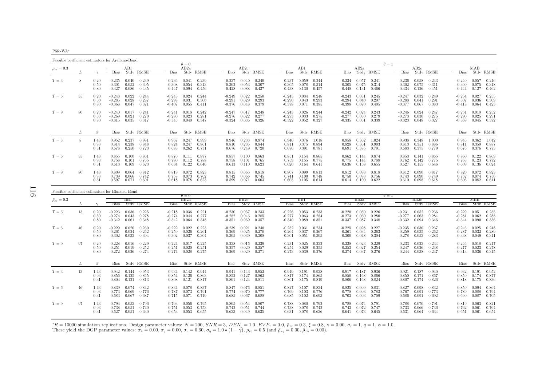P5fc-WA∗

Feasible coefficient estimators for Arellano-Bond

|                                   |    |                      |                                  |                                                    |                                  | $\theta = 0$            |                         |                                  |                         |                         |                                  |                         |                         |                                  |                         |                         | $\theta = 1$                     |                         |                                   |                                  |                         |                                   |
|-----------------------------------|----|----------------------|----------------------------------|----------------------------------------------------|----------------------------------|-------------------------|-------------------------|----------------------------------|-------------------------|-------------------------|----------------------------------|-------------------------|-------------------------|----------------------------------|-------------------------|-------------------------|----------------------------------|-------------------------|-----------------------------------|----------------------------------|-------------------------|-----------------------------------|
| $\bar{\rho}_{x\varepsilon} = 0.3$ |    |                      |                                  | AB1                                                |                                  | AB2a                    |                         |                                  | AB2c                    |                         |                                  | ABI                     |                         |                                  | AB2a                    |                         |                                  | AB2c                    |                                   |                                  | МАВ                     |                                   |
|                                   |    |                      | <b>Bias</b>                      | Stdy RMSE                                          | <b>Bias</b>                      |                         | Stdy RMSE               | <b>Bias</b>                      |                         | Stdy RMSE               | <b>Bias</b>                      |                         | Stdy RMSE               | <b>Bias</b>                      |                         | Stdy RMSE               | <b>Bias</b>                      |                         | Stdy RMSE                         |                                  |                         | Bias Stdy RMSE                    |
| $T=3$                             | -8 | 0.20<br>0.50<br>0.80 | $-0.235$<br>$-0.301$<br>$-0.427$ | 0.239<br>0.040<br>0.052<br>0.305<br>0.086<br>0.435 | $-0.236$<br>$-0.308$<br>$-0.447$ | 0.041<br>0.054<br>0.094 | 0.239<br>0.313<br>0.456 | $-0.237$<br>$-0.302$<br>$-0.428$ | 0.040<br>0.053<br>0.088 | 0.240<br>0.307<br>0.437 | $-0.237$<br>$-0.305$<br>$-0.438$ | 0.059<br>0.078<br>0.130 | 0.244<br>0.314<br>0.457 | $-0.234$<br>$-0.305$<br>$-0.448$ | 0.057<br>0.075<br>0.131 | 0.241<br>0.314<br>0.466 | $-0.236$<br>$-0.302$<br>$-0.434$ | 0.058<br>0.075          | 0.243<br>0.311<br>$0.126$ $0.451$ | $-0.240$<br>$-0.309$<br>$-0.444$ | 0.057<br>0.075          | 0.246<br>0.318<br>$0.127$ $0.462$ |
| $T=6$                             | 35 | 0.20<br>0.50<br>0.80 | $-0.243$<br>$-0.285$<br>$-0.368$ | 0.022<br>0.244<br>0.028<br>0.287<br>0.047<br>0.371 | $-0.243$<br>$-0.298$<br>$-0.407$ | 0.024<br>0.031<br>0.055 | 0.244<br>0.300<br>0.411 | $-0.249$<br>$-0.291$<br>$-0.376$ | 0.022<br>0.029<br>0.048 | 0.250<br>0.293<br>0.379 | $-0.245$<br>$-0.290$<br>$-0.378$ | 0.034<br>0.043<br>0.071 | 0.248<br>0.293<br>0.385 | $-0.243$<br>$-0.294$<br>$-0.398$ | 0.031<br>0.040<br>0.070 | 0.245<br>0.297<br>0.405 | $-0.247$<br>$-0.288$<br>$-0.377$ | 0.032<br>0.041<br>0.067 | 0.249<br>0.291<br>0.383           | $-0.254$<br>$-0.307$<br>$-0.418$ | 0.027<br>0.036<br>0.064 | 0.255<br>0.309<br>0.423           |
| $T=9$                             | 80 | 0.20<br>0.50<br>0.80 | $-0.240$<br>$-0.269$<br>$-0.315$ | 0.017<br>0.241<br>0.021<br>0.270<br>0.035<br>0.317 | $-0.241$<br>$-0.280$<br>$-0.345$ | 0.018<br>0.023<br>0.040 | 0.242<br>0.281<br>0.347 | $-0.247$<br>$-0.276$<br>$-0.324$ | 0.017<br>0.022<br>0.036 | 0.248<br>0.277<br>0.326 | $-0.243$<br>$-0.273$<br>$-0.322$ | 0.026<br>0.033<br>0.052 | 0.244<br>0.275<br>0.327 | $-0.242$<br>$-0.277$<br>$-0.335$ | 0.024<br>0.030<br>0.051 | 0.243<br>0.279<br>0.339 | $-0.246$<br>$-0.273$<br>$-0.323$ | 0.024<br>0.030<br>0.048 | 0.247<br>0.275<br>0.327           | $-0.251$<br>$-0.290$<br>$-0.369$ | 0.019<br>0.025<br>0.045 | 0.252<br>0.291<br>0.372           |
|                                   | L  |                      |                                  | Bias Stdv RMSE                                     |                                  |                         | Bias Stdy RMSE          |                                  |                         | Bias Stdy RMSE          |                                  |                         | Bias Stdy RMSE          |                                  |                         | Bias Stdy RMSE          |                                  |                         | Bias Stdy RMSE                    |                                  |                         | Bias Stdv RMSE                    |
| $T=3$                             | 8  | 1.43<br>0.93<br>0.31 | 0.952<br>0.814<br>0.678          | 0.237<br>0.981<br>0.238<br>0.848<br>0.250<br>0.723 | 0.967<br>0.824<br>0.683          | 0.247<br>0.247<br>0.262 | 0.999<br>0.861<br>0.731 | 0.946<br>0.810<br>0.676          | 0.233<br>0.235<br>0.249 | 0.974<br>0.844<br>0.720 | 0.946<br>0.811<br>0.676          | 0.376<br>0.375<br>0.391 | 1.018<br>0.894<br>0.781 | 0.958<br>0.828<br>0.691          | 0.362<br>0.361<br>0.385 | 1.024<br>0.903<br>0.791 | 0.938<br>0.813<br>0.683          | 0.348<br>0.351          | 1.000<br>0.886<br>0.375 0.779     | 0.946<br>0.811<br>0.676          | 0.362<br>0.359          | 1.012<br>0.887<br>0.376 0.773     |
| $T=6$                             | 35 | 1.43<br>0.93<br>0.31 | 0.855<br>0.758<br>0.613          | 0.100<br>0.861<br>0.101<br>0.765<br>0.109<br>0.623 | 0.870<br>0.780<br>0.634          | 0.111<br>0.112<br>0.122 | 0.877<br>0.788<br>0.646 | 0.857<br>0.758<br>0.613          | 0.100<br>0.101<br>0.110 | 0.863<br>0.765<br>0.623 | 0.851<br>0.759<br>0.620          | 0.154<br>0.155<br>0.164 | 0.865<br>0.775<br>0.641 | 0.862<br>0.775<br>0.636          | 0.144<br>0.144<br>0.158 | 0.874<br>0.788<br>0.655 | 0.853<br>0.762<br>0.627          | 0.141<br>0.142          | 0.865<br>0.775<br>$0.155$ $0.646$ | 0.860<br>0.763<br>0.609          | 0.122<br>0.123          | 0.869<br>0.772<br>$0.136$ $0.624$ |
| $T=9$                             | 80 | 1.43<br>0.93<br>0.31 | 0.809<br>0.739<br>0.597          | 0.812<br>0.064<br>0.066<br>0.742<br>0.071<br>0.601 | 0.819<br>0.758<br>0.618          | 0.072<br>0.073<br>0.078 | 0.823<br>0.762<br>0.623 | 0.815<br>0.742<br>0.599          | 0.065<br>0.066<br>0.071 | 0.818<br>0.745<br>0.603 | 0.807<br>0.741<br>0.605          | 0.099<br>0.100<br>0.105 | 0.813<br>0.748<br>0.614 | 0.812<br>0.750<br>0.614          | 0.093<br>0.093<br>0.100 | 0.818<br>0.756<br>0.622 | 0.812<br>0.743<br>0.610          | 0.090<br>0.090<br>0.098 | 0.817<br>0.749<br>0.618           | 0.820<br>0.752<br>0.606          | 0.072<br>0.074<br>0.082 | 0.823<br>0.756<br>0.611           |

| Feasible coefficient estimators for Blundell-Bond |    |                      |                                  |                         |                         |                                  |                         |                         |                                  |                         |                         |                                  |                         |                                 |                                  |                         |                         |                                  |                         |                           |                                  |                         |                         |
|---------------------------------------------------|----|----------------------|----------------------------------|-------------------------|-------------------------|----------------------------------|-------------------------|-------------------------|----------------------------------|-------------------------|-------------------------|----------------------------------|-------------------------|---------------------------------|----------------------------------|-------------------------|-------------------------|----------------------------------|-------------------------|---------------------------|----------------------------------|-------------------------|-------------------------|
|                                                   |    |                      |                                  |                         |                         |                                  | $\theta = 0$            |                         |                                  |                         |                         |                                  |                         |                                 |                                  |                         |                         | $\theta = 1$                     |                         |                           |                                  |                         |                         |
| $\bar{\rho}_{x\varepsilon}=0.3$                   |    |                      |                                  | BB1                     |                         |                                  | BB2a                    |                         |                                  | BB2c                    |                         |                                  | BB1.                    |                                 |                                  | BB2a                    |                         |                                  | BB2c                    |                           |                                  | МВВ                     |                         |
|                                                   |    |                      | <b>Bias</b>                      |                         | Stdy RMSE               | <b>Bias</b>                      |                         | Stdy RMSE               | <b>Bias</b>                      |                         | Stdy RMSE               | <b>Bias</b>                      |                         | Stdy RMSE                       | <b>Bias</b>                      |                         | Stdy RMSE               | <b>Bias</b>                      |                         | Stdy RMSE                 | <b>Bias</b>                      |                         | Stdy RMSE               |
| $T=3$                                             | 13 | 0.20<br>0.50<br>0.80 | $-0.223$<br>$-0.274$<br>$-0.342$ | 0.036<br>0.043<br>0.061 | 0.225<br>0.278<br>0.348 | $-0.218$<br>$-0.274$<br>$-0.342$ | 0.036<br>0.044<br>0.064 | 0.221<br>0.277<br>0.348 | $-0.230$<br>$-0.282$<br>$-0.351$ | 0.037<br>0.046<br>0.069 | 0.233<br>0.285<br>0.357 | $-0.226$<br>$-0.277$<br>-0.340   | 0.053<br>0.063<br>0.089 | 0.233<br>0.284<br>0.351         | $-0.220$<br>$-0.273$<br>$-0.337$ | 0.050<br>0.060<br>0.087 | 0.226<br>0.280<br>0.348 | $-0.231$<br>$-0.277$<br>$-0.332$ | 0.052<br>0.063<br>0.094 | 0.236<br>0.284<br>0.346   | $-0.229$<br>$-0.281$<br>$-0.344$ | 0.051<br>0.062<br>0.090 | 0.235<br>0.288<br>0.356 |
| $T=6$                                             | 46 | 0.20<br>0.50<br>0.80 | $-0.229$<br>$-0.261$<br>$-0.302$ | 0.020<br>0.024<br>0.033 | 0.230<br>0.262<br>0.304 | $-0.222$<br>$-0.259$<br>$-0.302$ | 0.022<br>0.026<br>0.037 | 0.223<br>0.261<br>0.304 | $-0.239$<br>$-0.269$<br>$-0.305$ | 0.021<br>0.025<br>0.039 | 0.240<br>0.270<br>0.308 | $-0.232$<br>$-0.264$<br>$-0.301$ | 0.031<br>0.037<br>0.051 | 0.234<br>0.267<br>0.305         | $-0.225$<br>$-0.261$<br>$-0.300$ | 0.028<br>0.034<br>0.048 | 0.227<br>0.263<br>0.304 | $-0.235$<br>$-0.259$<br>$-0.278$ | 0.030<br>0.035<br>0.053 | 0.237<br>0.262<br>0.283   | $-0.246$<br>$-0.287$<br>$-0.338$ | 0.025<br>0.032<br>0.049 | 0.248<br>0.289<br>0.341 |
| $T=9$                                             | 97 | 0.20<br>0.50<br>0.80 | $-0.228$<br>$-0.251$<br>$-0.272$ | 0.016<br>0.019<br>0.026 | 0.229<br>0.252<br>0.274 | $-0.224$<br>$-0.251$<br>$-0.274$ | 0.017<br>0.020<br>0.028 | 0.225<br>0.251<br>0.275 | $-0.238$<br>$-0.257$<br>$-0.269$ | 0.016<br>0.020<br>0.029 | 0.239<br>0.257<br>0.271 | $-0.231$<br>$-0.254$<br>$-0.273$ | 0.025<br>0.029<br>0.039 | 0.232<br>0.255<br>0.276         | $-0.228$<br>$-0.253$<br>$-0.274$ | 0.023<br>0.027<br>0.037 | 0.229<br>0.254<br>0.276 | $-0.233$<br>$-0.247$<br>$-0.244$ | 0.023<br>0.026<br>0.038 | 0.234<br>0.248<br>0.247   | $-0.246$<br>$-0.277$<br>$-0.313$ | 0.018<br>0.023<br>0.036 | 0.247<br>0.278<br>0.315 |
|                                                   |    |                      | Bias                             |                         | Stdy RMSE               |                                  |                         | Bias Stdv RMSE          | Bias                             |                         | Stdv RMSE               | Bias                             |                         | Stdy RMSE                       | Bias                             |                         | Stdv RMSE               | <b>Bias</b>                      |                         | Stdy RMSE                 | <b>Bias</b>                      |                         | Stdy RMSE               |
| $T=3$                                             | 13 | 1.43<br>0.93<br>0.31 | 0.942<br>0.856<br>0.804          | 0.144<br>0.125<br>0.121 | 0.953<br>0.865<br>0.813 | 0.934<br>0.854<br>0.808          | 0.142<br>0.126<br>0.121 | 0.944<br>0.863<br>0.817 | 0.941<br>0.852<br>0.801          | 0.143<br>0.127<br>0.124 | 0.952<br>0.862<br>0.811 | 0.919<br>0.847<br>0.801          | 0.191<br>0.175          | 0.938<br>$0.174$ 0.865<br>0.819 | 0.917<br>0.850<br>0.806          | 0.187<br>0.168<br>0.168 | 0.936<br>0.866<br>0.824 | 0.921<br>0.850<br>0.807          | 0.187<br>0.171<br>0.174 | 0.940<br>- 0.867<br>0.826 | 0.932<br>0.859<br>0.818          | 0.191<br>0.174<br>0.175 | 0.952<br>0.877<br>0.836 |
| $T=6$                                             | 46 | 1.43<br>0.93<br>0.31 | 0.839<br>0.773<br>0.683          | 0.074<br>0.069<br>0.067 | 0.842<br>0.776<br>0.687 | 0.834<br>0.787<br>0.715          | 0.078<br>0.073<br>0.071 | 0.837<br>0.791<br>0.719 | 0.847<br>0.774<br>0.685          | 0.076<br>0.070<br>0.067 | 0.851<br>0.777<br>0.688 | 0.827<br>0.769<br>0.685          | 0.107<br>0.103<br>0.102 | 0.834<br>0.776<br>0.693         | 0.825<br>0.778<br>0.703          | 0.099<br>0.093<br>0.093 | 0.831<br>0.783<br>0.709 | 0.827<br>0.767<br>0.686          | 0.098<br>0.091<br>0.091 | 0.832<br>0.773<br>0.692   | 0.859<br>0.789<br>0.699          | 0.094<br>0.088<br>0.087 | 0.864<br>0.794<br>0.705 |
| $T=9$                                             | 97 | 1.43<br>0.93<br>0.31 | 0.794<br>0.738<br>0.627          | 0.053<br>0.051<br>0.051 | 0.796<br>0.740<br>0.630 | 0.793<br>0.751<br>0.653          | 0.056<br>0.053<br>0.053 | 0.795<br>0.753<br>0.655 | 0.805<br>0.742<br>0.633          | 0.054<br>0.051<br>0.049 | 0.807<br>0.744<br>0.635 | 0.788<br>0.738<br>0.631          | 0.080<br>0.078<br>0.078 | 0.792<br>0.742<br>0.636         | 0.788<br>0.743<br>0.641          | 0.074<br>0.072<br>0.073 | 0.791<br>0.747<br>0.645 | 0.788<br>0.733<br>0.631          | 0.070<br>0.066<br>0.064 | 0.791<br>0.736<br>0.634   | 0.819<br>0.762<br>0.651          | 0.063<br>0.061<br>0.061 | 0.821<br>0.764<br>0.654 |

 ${}^*R = 10000$  simulation replications. Design parameter values:  $N = 200$ ,  $SNR = 3$ ,  $DEN_y = 1.0$ ,  $EVF_x = 0.0$ ,  $\bar{\rho}_{xc} = 0.3$ ,  $\xi = 0.8$ ,  $\kappa = 0.00$ ,  $\sigma_{\varepsilon} = 1$ ,  $q = 1$ ,  $\phi = 1.0$ .<br>These yield the DGP parameter values:  $\pi$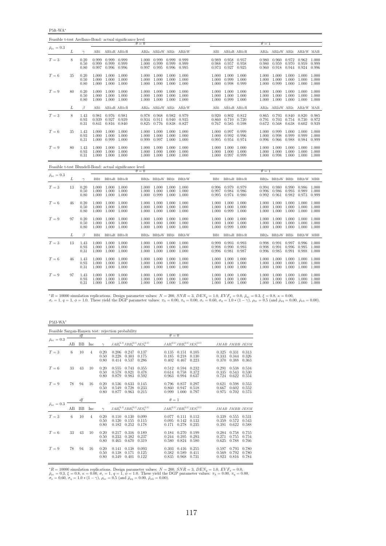P5ft-WA<sup>∗</sup>

| Feasible t-test Arellano-Bond: actual significance level |    |                      |                |                                                             |                            |                         |                                                             |                |                       |                |                                                       |       |                |                                                                               |                |                                     |       |
|----------------------------------------------------------|----|----------------------|----------------|-------------------------------------------------------------|----------------------------|-------------------------|-------------------------------------------------------------|----------------|-----------------------|----------------|-------------------------------------------------------|-------|----------------|-------------------------------------------------------------------------------|----------------|-------------------------------------|-------|
| $\bar{\rho}_{x\varepsilon} = 0.3$                        |    |                      |                |                                                             |                            | $\theta = 0$            |                                                             |                |                       |                |                                                       |       | $\theta = 1$   |                                                                               |                |                                     |       |
|                                                          | L  | $\gamma$             |                |                                                             | AB1 AB1aR AB1cR            |                         |                                                             |                | AB2a AB2aW AB2c AB2cW |                | AB1 AB1aR AB1cR                                       |       |                | AB2a AB2aW AB2c AB2cW MAB                                                     |                |                                     |       |
| $T=3$                                                    | 8  | 0.20<br>0.50<br>0.80 | 0.999<br>0.997 | 0.999 0.999 0.999                                           | 0.999 0.999<br>0.996 0.996 | 1.000<br>0.997          | 1.000 0.999 0.999 0.999<br>0.999<br>0.995                   | 0.999<br>0.996 | 0.999<br>0.995        | 0.988          | 0.989 0.958 0.957<br>0.957<br>0.973 0.927 0.925       | 0.958 | 0.980          | 0.980 0.960 0.972 0.962 1.000<br>0.959<br>0.960 0.918                         | 0.970          | 0.959 0.999<br>0.944 0.924 0.996    |       |
| $T=6$                                                    | 35 | 0.20<br>0.50<br>0.80 | 1.000          | 1.000 1.000 1.000<br>1.000 1.000 1.000                      | 1.000 1.000                | 1.000<br>1.000          | 1.000 1.000<br>1.000 1.000 1.000 1.000<br>1.000 1.000       |                | 1.000<br>1.000        | 1.000          | 1.000 1.000<br>1.000 0.999 1.000<br>1.000 0.998       | 0.999 | 1.000<br>1.000 | 1.000 1.000 1.000 1.000<br>1.000 1.000 1.000 1.000 1.000<br>0.999             |                | 1.000 1.000 1.000                   |       |
| $T=9$                                                    | 80 | 0.20<br>0.50<br>0.80 | 1.000          | 1.000 1.000 1.000<br>1.000 1.000<br>1.000 1.000 1.000       |                            | 1.000                   | 1.000 1.000 1.000 1.000<br>1.000<br>1.000 1.000 1.000 1.000 | 1.000          | 1.000                 | 1.000          | 1.000 1.000 1.000<br>1.000 1.000<br>1.000 0.999 1.000 |       | 1.000          | 1.000 1.000 1.000 1.000 1.000<br>1.000<br>1.000 1.000 1.000 1.000 1.000       | 1.000          | 1.000 1.000                         |       |
|                                                          | L  | $\beta$              | AB1            |                                                             | AB1aR AB1cR                |                         |                                                             |                | AB2a AB2aW AB2c AB2cW | AB1            | AB1aR AB1cR                                           |       |                | AB2a AB2aW AB2c AB2cW MAB                                                     |                |                                     |       |
| $T=3$                                                    | 8  | 1.43<br>0.93<br>0.31 |                | 0.981 0.976 0.981<br>0.939 0.927 0.939<br>0.841 0.816 0.840 |                            | 0.978<br>0.934<br>0.825 | 0.968 0.982 0.979<br>0.911<br>0.776                         | 0.940<br>0.838 | 0.935<br>0.827        | 0.860          | 0.920 0.802 0.812<br>$0.710$ $0.720$<br>0.767 0.585   | 0.598 | 0.672          | 0.865 0.793 0.840 0.820 0.985<br>0.791 0.703<br>0.568                         | 0.754<br>0.638 | 0.730 0.972<br>0.602 0.939          |       |
| $T=6$                                                    | 35 | 1.43<br>0.93<br>0.31 | 1.000          | 1.000 1.000 1.000<br>1.000 0.999 1.000                      | 1.000 1.000                | 1.000<br>1.000<br>0.999 | 1.000 1.000<br>1.000<br>0.997 1.000 1.000                   | 1.000          | 1.000<br>1.000        | 1.000<br>1.000 | 0.997 0.999<br>0.992<br>0.995 0.954 0.974             | 0.996 | 1.000          | 1.000 0.999<br>0.998<br>0.996 0.966 0.988                                     | 1.000<br>0.999 | 1.000 1.000<br>0.999<br>0.984 0.999 | 1.000 |
| $T=9$                                                    | 80 | 1.43<br>0.93<br>0.31 | 1.000<br>1.000 | 1.000 1.000<br>1.000 1.000<br>1.000 1.000 1.000             |                            | 1.000<br>1.000          | 1.000 1.000<br>1.000<br>1.000 1.000 1.000 1.000             | 1.000          | 1.000<br>1.000        |                | 1.000 1.000 1.000<br>1.000 1.000<br>1.000 0.997 0.999 | 1.000 | 1.000<br>1.000 | 1.000 1.000<br>1.000<br>1.000 0.998 1.000 1.000 1.000                         | 1.000          | 1.000 1.000<br>1.000                | 1.000 |
| Feasible t-test Blundell-Bond: actual significance level |    |                      |                |                                                             |                            | $\theta = 0$            |                                                             |                |                       |                |                                                       |       | $\theta = 1$   |                                                                               |                |                                     |       |
| $\bar{\rho}_{x\varepsilon}=0.3$                          | L  | $\gamma$             |                |                                                             | BB1 BB1aR BB1cR            |                         |                                                             |                | BB2a BB2aW BB2c BB2cW |                | BB1 BB1aR BB1cR                                       |       |                | BB2a BB2aW BB2c BB2cW MBB                                                     |                |                                     |       |
| $T=3$                                                    | 13 | 0.20<br>0.50<br>0.80 | 1.000<br>1.000 | 1.000 1.000 1.000<br>1.000 1.000                            | 1.000 1.000                | 1.000<br>1.000          | 1.000 1.000 1.000 1.000<br>1.000<br>0.999 1.000             | 1.000          | 1.000<br>1.000        | 0.997          | 0.996 0.979 0.979<br>0.984 0.986<br>0.995 0.974 0.980 |       | 0.996          | 0.994 0.980 0.990 0.986 1.000<br>0.986<br>$0.992$ $0.961$                     | 0.993<br>0.982 | 0.989<br>0.973 0.999                | 1.000 |
| $T=6$                                                    | 46 | 0.20<br>0.50<br>0.80 | 1.000<br>1.000 | 1.000 1.000 1.000                                           | 1.000 1.000<br>1.000 1.000 | 1.000<br>1.000          | 1.000 1.000 1.000 1.000<br>1.000<br>1.000                   | 1.000<br>1.000 | 1.000<br>1.000        | 1.000          | 1.000 1.000 1.000<br>1.000 1.000 1.000<br>0.999       | 1.000 | 1.000          | 1.000 1.000 1.000 1.000 1.000<br>1.000 1.000 1.000<br>1.000                   | 1.000          | 1.000 1.000<br>1.000 1.000          |       |
| $T=9$                                                    | 97 | 0.20<br>0.50<br>0.80 | 1.000          | 1.000 1.000 1.000<br>1.000 1.000<br>1.000 1.000 1.000       |                            | 1.000<br>1.000          | 1.000 1.000 1.000<br>1.000<br>1.000 1.000 1.000 1.000       | 1.000          | 1.000                 | 1.000          | 1.000 1.000 1.000<br>1.000 1.000<br>1.000 0.999 1.000 |       | 1.000          | 1.000 1.000 1.000 1.000 1.000<br>1.000 1.000<br>1.000 1.000 1.000 1.000 1.000 |                | 1.000 1.000                         |       |
|                                                          | L  | β                    | BB1            |                                                             | BB1aR BB1cR                |                         |                                                             |                | BB2a BB2aW BB2c BB2cW | BB1            | BB1aR BB1cR                                           |       |                | BB2a BB2aW BB2c                                                               |                | BB2cW MBB                           |       |
| $T=3$                                                    | 13 | 1.43<br>0.93         | 1.000          | 1.000 1.000 1.000<br>1.000 1.000                            |                            | 1.000                   | 1.000 1.000 1.000 1.000<br>1.000                            | 1.000          | 1.000                 | 0.999<br>0.998 | 0.993 0.993<br>0.990                                  | 0.993 | 0.998<br>0.998 | $0.991$ $0.997$ $0.996$ $1.000$<br>0.991                                      | 0.996          | 0.995 1.000                         |       |
|                                                          |    | 0.31                 | 1.000          |                                                             | 1.000 1.000                | 1.000                   | 1.000 1.000                                                 |                | 1.000                 | 0.996          | 0.981 0.987                                           |       | 0.996          | 0.985                                                                         | 0.991          | 0.988 1.000                         |       |
| $T=6$                                                    | 46 | 1.43<br>0.93<br>0.31 | 1.000          | 1.000 1.000 1.000<br>$1.000$ $1.000$ $1.000$                | 1.000 1.000                | 1.000<br>1.000          | 1.000 1.000 1.000<br>1.000<br>1.000 1.000 1.000 1.000       | 1.000          | 1.000                 | 1.000          | 1.000 1.000 1.000<br>1.000<br>1.000 1.000 1.000       | 1.000 | 1.000          | 1.000 1.000 1.000 1.000 1.000<br>1.000<br>1.000 1.000 1.000 1.000 1.000       | 1.000          | 1.000 1.000                         |       |

 ${}^{*}R = 10000$  simulation replications. Design parameter values:  $N = 200$ ,  $SNR = 3$ ,  $DEN_y = 1.0$ ,  $EVF_x = 0.0$ ,  $E_{xz} = 0.3$ ,  $\xi = 0.8$ ,  $\kappa = 0.00$ ,<br> $\sigma_x = 1$ ,  $q = 1$ ,  $\phi = 1.0$ . These yield the DGP parameter values:  $\pi_{\lambda} =$ 

P5fJ-WA<sup>∗</sup>

|                                 |    |           |                |                      | Feasible Sargan-Hansen test: rejection probability |                         |                         |                         |                                           |                         |                         |                         |
|---------------------------------|----|-----------|----------------|----------------------|----------------------------------------------------|-------------------------|-------------------------|-------------------------|-------------------------------------------|-------------------------|-------------------------|-------------------------|
|                                 |    | df        |                |                      |                                                    |                         | $\theta = 0$            |                         |                                           |                         |                         |                         |
| $\bar{\rho}_{x\varepsilon}=0.3$ | AВ | <b>BB</b> | Inc            |                      | $JAB_a^{(2,1)}JBB_a^{(2,1)}JES_a^{(2,1)}$          |                         |                         |                         | $JAB_c^{(2,1)}JBB_c^{(2,1)}JES_c^{(2,1)}$ |                         | JMAB JMBB JESM          |                         |
| $T=3$                           | 6  | 10        | 4              | 0.20<br>0.50<br>0.80 | 0.206<br>0.247<br>0.228<br>0.303<br>0.414<br>0.537 | 0.137<br>0.175<br>0.286 | 0.135<br>0.185<br>0.402 | 0.151<br>0.218<br>0.467 | 0.105<br>0.130<br>0.223                   | 0.325<br>0.333<br>0.370 | 0.331<br>0.344<br>0.388 | 0.313<br>0.326<br>0.363 |
| $T=6$                           | 33 | 43        | 10             | 0.20<br>0.50<br>0.80 | 0.555<br>0.743<br>0.578<br>0.821<br>0.879<br>0.983 | 0.355<br>0.478<br>0.592 | 0.512<br>0.614<br>0.963 | 0.594<br>0.758<br>0.994 | 0.232<br>0.372<br>0.637                   | 0.291<br>0.335<br>0.724 | 0.538<br>0.543<br>0.622 | 0.534<br>0.530<br>0.554 |
| $T=9$                           | 78 | 94        | 16             | 0.20<br>0.50<br>0.80 | 0.536<br>0.633<br>0.549<br>0.728<br>0.877<br>0.963 | 0.145<br>0.233<br>0.215 | 0.796<br>0.860<br>0.999 | 0.857<br>0.947<br>1.000 | 0.297<br>0.518<br>0.797                   | 0.621<br>0.667<br>0.975 | 0.598<br>0.602<br>0.702 | 0.553<br>0.552<br>0.573 |
|                                 |    | df        |                |                      |                                                    |                         | $\theta=1$              |                         |                                           |                         |                         |                         |
| $\bar{\rho}_{x\varepsilon}=0.3$ | AВ | <b>BB</b> | Inc            | $\sim$               | $JAB_a^{(2,1)}JBB_a^{(2,1)}JES_a^{(2,1)}$          |                         |                         |                         | $JAB_c^{(2,1)}JBB_c^{(2,1)}JES_c^{(2,1)}$ |                         | JMAB JMBB JESM          |                         |
| $T=3$                           | 6  | 10        | $\overline{4}$ | 0.20<br>0.50<br>0.80 | 0.110<br>0.130<br>0.120<br>0.155<br>0.182<br>0.252 | 0.099<br>0.115<br>0.178 | 0.077<br>0.095<br>0.171 | 0.111<br>0.142<br>0.278 | 0.112<br>0.133<br>0.235                   | 0.339<br>0.359<br>0.391 | 0.555<br>0.572<br>0.622 | 0.531<br>0.543<br>0.588 |
| $T=6$                           | 33 | 43        | 10             | 0.20<br>0.50<br>0.80 | 0.217<br>0.316<br>0.233<br>0.382<br>0.465<br>0.670 | 0.189<br>0.237<br>0.319 | 0.184<br>0.244<br>0.580 | 0.270<br>0.395<br>0.824 | 0.199<br>0.293<br>0.580                   | 0.284<br>0.271<br>0.625 | 0.758<br>0.755<br>0.788 | 0.755<br>0.754<br>0.766 |
| $T=9$                           | 78 | 94        | 16             | 0.20<br>0.50<br>0.80 | 0.141<br>0.138<br>0.138<br>0.171<br>0.349<br>0.401 | 0.093<br>0.125<br>0.122 | 0.303<br>0.382<br>0.835 | 0.416<br>0.589<br>0.968 | 0.255<br>0.411<br>0.731                   | 0.597<br>0.569<br>0.923 | 0.793<br>0.792<br>0.816 | 0.780<br>0.780<br>0.784 |

\*R = 10000 simulation replications. Design parameter values:  $N = 200$ ,  $SNR = 3$ ,  $DEN_y = 1.0$ ,  $EVF_x = 0.0$ ,  $\bar{\rho}_{xe} = 0.3$ ,  $\xi = 0.8$ ,  $\kappa = 0.00$ ,  $\sigma_e = 1$ ,  $q = 1$ ,  $\phi = 1.0$ . These yield the DGP parameter values:  $\pi_{\lambda} = 0.$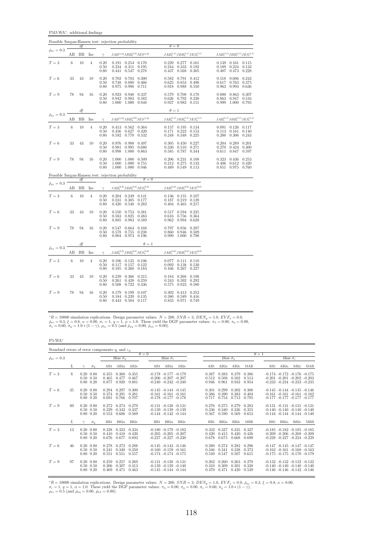P5fJ-WA<sup>∗</sup> : additional findings

|                                 |       |          |                |                                                     | Feasible Sargan-Hansen test: rejection probability                                |                                                                                                                     |                                                                                |
|---------------------------------|-------|----------|----------------|-----------------------------------------------------|-----------------------------------------------------------------------------------|---------------------------------------------------------------------------------------------------------------------|--------------------------------------------------------------------------------|
| $\bar{\rho}_{x\varepsilon}=0.3$ |       | df       |                |                                                     |                                                                                   | $\theta = 0$                                                                                                        |                                                                                |
|                                 | AB    | BB       | Inc            | $\gamma$                                            | $JAB^{\left( 1,0\right) }JBB_{a}^{\left( 1,0\right) }JES^{\left( 1,0\right) }$    | $JAB_a^{(1,1)}JBB_a^{(1,1)}JES_a^{(1,1)}$                                                                           | $JAB_c^{(1,1)}JBB_c^{(1,1)}JES_c^{(1,1)}$                                      |
| $T=3$                           | $\,6$ | 10       | $\overline{4}$ | 0.20<br>0.50<br>0.80                                | 0.191<br>0.254 0.170<br>0.234<br>0.311<br>0.195<br>0.441<br>0.547<br>0.278        | 0.220<br>0.277<br>0.161<br>0.244<br>0.333<br>0.192<br>0.437<br>0.568<br>0.305                                       | $0.139$ $0.161$<br>0.115<br>0.189<br>0.224<br>0.133<br>0.473<br>0.407<br>0.228 |
| $T=6$                           | 33    | 43       | 10             | 0.20<br>0.50<br>0.80                                | 0.783<br>0.702<br>0.300<br>0.748<br>0.880<br>0.466<br>0.975<br>0.998<br>0.711     | 0.791<br>0.582<br>0.412<br>0.625<br>0.853<br>0.498<br>0.918<br>0.550<br>0.988                                       | 0.518<br>0.606<br>0.242<br>0.617<br>0.763<br>0.375<br>0.963<br>0.994<br>0.636  |
| $T=9$                           | 78    | 94       | 16             | 0.20<br>0.50<br>0.80                                | 0.948<br>0.923<br>0.337<br>0.942<br>0.983 0.582<br>1.000<br>1.000<br>0.848        | 0.579<br>0.708<br>0.178<br>0.626<br>0.230<br>0.792<br>0.937<br>0.982<br>0.151                                       | 0.800<br>0.863<br>0.307<br>0.863<br>0.947<br>0.516<br>0.999<br>1.000<br>0.795  |
|                                 |       | df       |                |                                                     |                                                                                   | $\theta=1$                                                                                                          |                                                                                |
| $\bar{\rho}_{x\varepsilon}=0.3$ | AВ    | BB       | Inc            | $\gamma$                                            | $JAB^{\left( 1,0\right) }JBB_{a}^{\left( 1,0\right) }JES^{\left( 1,0\right) }$    | $JAB^{(1,1)}_aJBB^{(1,1)}_aJES^{(1,1)}_a$                                                                           | $JAB_c^{(1,1)}JBB_c^{(1,1)}JES_c^{(1,1)}$                                      |
| $T=3$                           | $\,6$ | 10       | $\overline{4}$ | $\begin{array}{c} 0.20 \\ 0.50 \end{array}$<br>0.80 | 0.413 0.562 0.364<br>0.420<br>0.627<br>0.456<br>0.778<br>0.532<br>0.592           | $\begin{array}{c} 0.157 \\ 0.171 \end{array}$<br>0.195 0.134<br>0.222<br>0.153<br>0.248<br>0.348<br>0.225           | $0.091$ $0.126$<br>0.117<br>0.113<br>0.161<br>0.140<br>0.200<br>0.306<br>0.243 |
| $T=6$                           | 33    | 43       | 10             | 0.20<br>0.50<br>0.80                                | 0.497<br>0.976<br>0.988<br>0.680<br>0.981<br>0.995<br>0.998<br>1.000<br>0.863     | 0.305<br>0.450<br>0.227<br>0.271<br>0.330<br>0.510<br>0.585<br>0.787<br>0.344                                       | 0.204<br>0.289<br>0.201<br>0.270<br>0.300<br>0.424<br>0.611<br>0.847<br>0.597  |
| $T=9$                           | 78    | 94       | 16             | $\begin{array}{c} 0.20 \\ 0.50 \end{array}$<br>0.80 | 1.000<br>1.000 0.509<br>0.755<br>1.000<br>1.000<br>1.000<br>0.946<br>1.000        | $\begin{array}{c} 0.206 \\ 0.212 \\ 0.489 \end{array}$<br>0.231<br>0.108<br>0.275<br>0.133<br>0.549<br>0.113        | 0.323<br>0.436<br>0.253<br>0.406<br>0.420<br>0.612<br>0.851 0.975<br>0.760     |
|                                 |       |          |                |                                                     | Feasible Sargan-Hansen test: rejection probability<br>$\theta = 0$                |                                                                                                                     |                                                                                |
| $\bar{\rho}_{x\epsilon}=0.3$    | AB    | df<br>BB | Inc            | $\gamma$                                            | $JAB_a^{(2,2)}JBB_a^{(2,2)}JES_a^{(2,2)}$                                         | $JAB_c^{(2,2)}JBB_c^{(2,2)}JES_c^{(2,2)}$                                                                           |                                                                                |
| $T=3$                           | $\,6$ | 10       | $\overline{4}$ | 0.20<br>0.50<br>0.80                                | $0.204$ $0.249$ $0.141$<br>0.305<br>0.231<br>0.177<br>0.540<br>0.420<br>0.282     | 0.136<br>$0.155$ $0.107$<br>$\overset{\scriptstyle\phantom{0}}{0.187}\:\:0.404$<br>0.219<br>0.128<br>0.465<br>0.217 |                                                                                |
| $T=6$                           | 33    | 43       | 10             | 0.20<br>0.50<br>0.80                                | 0.550<br>0.753<br>0.381<br>0.583<br>0.825<br>0.483<br>0.885<br>0.983<br>0.589     | 0.594<br>0.517<br>0.225<br>0.616<br>0.756<br>0.364<br>0.962<br>0.994<br>0.628                                       |                                                                                |
| $T=9\,$                         | 78    | 94       | 16             | 0.20<br>0.50<br>0.80                                | $0.547\,$<br>0.664<br>0.168<br>0.755<br>0.238<br>0.578<br>0.974<br>0.904<br>0.196 | 0.797<br>0.856<br>0.287<br>0.860<br>0.946<br>0.509<br>0.999<br>1.000<br>0.798                                       |                                                                                |
|                                 |       | df       |                |                                                     | $\theta=1$                                                                        |                                                                                                                     |                                                                                |
| $\bar{\rho}_{x\varepsilon}=0.3$ | AB    | BB       | Inc            | $\gamma$                                            | $JAB_a^{(2,2)}JBB_a^{(2,2)}JES_a^{(2,2)}$                                         | $JAB_c^{(2,2)}JBB_c^{(2,2)}JES_c^{(2,2)}$                                                                           |                                                                                |
| $T=3$                           | $\,6$ | 10       | $\overline{4}$ | 0.20<br>0.50<br>0.80                                | $0.106$ $0.135$ $0.106$<br>0.157<br>0.122<br>0.117<br>0.184<br>0.185<br>0.260     | $0.077$ $0.111$ $0.110$<br>0.092<br>0.138<br>0.130<br>0.166<br>0.267<br>0.227                                       |                                                                                |
| $T=6$                           | 33    | 43       | 10             | 0.20<br>0.50<br>0.80                                | 0.239<br>0.366<br>0.215<br>0.261<br>0.428<br>0.259<br>0.722 0.336<br>0.508        | $\begin{array}{c} 0.184 \\ 0.243 \\ 0.575 \end{array}$<br>0.268<br>0.198<br>0.392<br>0.292<br>0.823<br>0.580        |                                                                                |
| $T=9$                           | 78    | 94       | 16             | 0.20<br>0.50<br>0.80                                | 0.199<br>0.179<br>0.107<br>0.239<br>0.184<br>0.135<br>0.504<br>0.443<br>0.117     | 0.302<br>0.413<br>0.252<br>0.380<br>0.589<br>0.416<br>0.833<br>0.971<br>0.749                                       |                                                                                |

 ${}^*R = 10000$  simulation replications. Design parameter values:  $N = 200$ ,  $SNR = 3$ ,  $DEN_y = 1.0$ ,  $EVF_x = 0.0$ ,  $\bar{\rho}_{xe} = 0.3$ ,  $\xi = 0.8$ ,  $\kappa = 0.00$ ,  $\sigma_e = 1$ ,  $q = 1$ ,  $\phi = 1.0$ . These yield the DGP parameter values:  $\pi_{\lambda} =$ 

P5-WA<sup>∗</sup>

| Standard errors of error components $\eta_i$ and $\varepsilon_{it}$ |    |                                                        |            |                         |                               |                         |              |                                                                                      |                          |                         |                                   |                         |                         |              |                                                                                                                |                                 |     |
|---------------------------------------------------------------------|----|--------------------------------------------------------|------------|-------------------------|-------------------------------|-------------------------|--------------|--------------------------------------------------------------------------------------|--------------------------|-------------------------|-----------------------------------|-------------------------|-------------------------|--------------|----------------------------------------------------------------------------------------------------------------|---------------------------------|-----|
| $\bar{\rho}_{x\varepsilon}=0.3$                                     |    |                                                        |            |                         | Bias $\hat{\sigma}_n$         |                         | $\theta = 0$ | Bias $\hat{\sigma}_{\varepsilon}$                                                    |                          |                         | Bias $\hat{\sigma}_n$             |                         |                         | $\theta = 1$ |                                                                                                                | Bias $\hat{\sigma}_\varepsilon$ |     |
|                                                                     |    |                                                        |            |                         |                               |                         |              |                                                                                      |                          |                         |                                   |                         |                         |              |                                                                                                                |                                 |     |
|                                                                     | L  |                                                        | $\sigma_n$ | AB1                     | AB2a                          | AB2c                    |              |                                                                                      | AB1 AB2a AB2c            | AB1                     | AB <sub>2a</sub> AB <sub>2c</sub> |                         | MAB                     | AB1          | AB2a                                                                                                           | AB2c                            | MAB |
| $T=3$                                                               | 8  | $0.20\ 0.80$<br>$0.50 \quad 0.50$<br>$0.80\ 0.20$      |            | 0.355<br>0.465<br>0.877 | 0.360<br>0.477<br>0.920       | 0.355<br>0.467<br>0.881 |              | $-0.178$ $-0.177$ $-0.179$<br>$-0.206$ $-0.207$ $-0.207$<br>$-0.240 -0.242 -0.240$   |                          | 0.387<br>0.512<br>0.946 | 0.383<br>0.508<br>0.961           | 0.379<br>0.502<br>0.933 | 0.386<br>0.513<br>0.954 |              | $-0.174$ $-0.172$ $-0.176$ $-0.175$<br>$-0.201$ $-0.201$ $-0.202$ $-0.203$<br>$-0.233 - 0.234 - 0.233 - 0.235$ |                                 |     |
| $T=6$                                                               | 35 | $0.20\ 0.80$<br>$0.50 \quad 0.50$<br>$0.80\ 0.20$      |            | 0.294<br>0.374<br>0.691 | 0.297<br>0.391<br>0.766 0.707 | 0.300<br>0.381          |              | $-0.145 - 0.144 - 0.145$<br>$-0.161 - 0.161 - 0.161$<br>$-0.178$ $-0.177$ $-0.178$   |                          | 0.301<br>0.386<br>0.717 | 0.299<br>0.390<br>0.754           | 0.302<br>0.383<br>0.713 | 0.306<br>0.404<br>0.795 |              | $-0.145 - 0.144 - 0.145 - 0.146$<br>$-0.161 - 0.161 - 0.161 - 0.162$<br>$-0.177$ $-0.177$ $-0.177$ $-0.177$    |                                 |     |
| $T=9$                                                               | 80 | $0.20\ 0.80$<br>$0.50 \quad 0.50$<br>$0.80 \quad 0.20$ |            | 0.272<br>0.329<br>0.553 | 0.274<br>0.342<br>0.606       | 0.279<br>0.337<br>0.569 |              | $-0.131 - 0.130 - 0.131$<br>$-0.139 - 0.139 - 0.139$<br>$-0.144$ $-0.142$ $-0.144$   |                          | 0.276<br>0.336<br>0.567 | 0.275<br>0.340<br>0.590           | 0.279<br>0.336<br>0.569 | 0.283<br>0.355<br>0.653 |              | $-0.131 - 0.131 - 0.131 - 0.131$<br>$-0.140 - 0.140 - 0.140 - 0.140$<br>$-0.144$ $-0.144$ $-0.144$ $-0.140$    |                                 |     |
|                                                                     | L  |                                                        | $\sigma_n$ | B <sub>B1</sub>         | BB <sub>2a</sub>              | BB2c                    | BB1          | BB <sub>2</sub> a                                                                    | BB <sub>2c</sub>         | BB1                     | BB <sub>2a</sub>                  | BB <sub>2c</sub>        | <b>MBB</b>              | BB1          | BB <sub>2a</sub>                                                                                               | BB <sub>2c</sub>                | MBB |
| $T=3$                                                               | 13 | $0.20\ 0.80$<br>$0.50 \quad 0.50$<br>$0.80\ 0.20$      |            | 0.328<br>0.410<br>0.676 | 0.323<br>0.410<br>0.677       | 0.334<br>0.420<br>0.693 |              | $-0.180 - 0.179 - 0.182$<br>$-0.205$ $-0.205$ $-0.207$<br>$-0.227 - 0.227 - 0.230$   |                          | 0.332<br>0.420<br>0.678 | 0.327<br>0.415<br>0.675           | 0.335<br>0.420<br>0.668 | 0.337<br>0.426<br>0.690 |              | $-0.185 - 0.182 - 0.185 - 0.185$<br>$-0.209$ $-0.206$ $-0.208$ $-0.209$<br>$-0.228$ $-0.227$ $-0.224$ $-0.229$ |                                 |     |
| $T=6$                                                               | 46 | $0.20\ 0.80$<br>$0.50 \quad 0.50$<br>$0.80 \quad 0.20$ |            | 0.278<br>0.341<br>0.551 | 0.272<br>0.340<br>0.551       | 0.288<br>0.350<br>0.557 |              | $-0.145$ $-0.143$ $-0.146$<br>$-0.160 - 0.159 - 0.161$<br>$-0.174$ $-0.174$ $-0.175$ |                          | 0.280<br>0.346<br>0.549 | 0.274<br>0.341<br>0.547           | 0.282<br>0.338<br>0.507 | 0.296<br>0.373<br>0.615 |              | $-0.147$ $-0.145$ $-0.147$ $-0.147$<br>$-0.162 - 0.161 - 0.160 - 0.163$<br>$-0.175$ $-0.175$ $-0.170$ $-0.179$ |                                 |     |
| $T=9$                                                               | 97 | $0.20\ 0.80$<br>$0.50 \quad 0.50$<br>$0.80 \quad 0.20$ |            | 0.259<br>0.306<br>0.469 | 0.257<br>0.307<br>0.471       | 0.269<br>0.313<br>0.463 |              | $-0.131 - 0.130 - 0.131$<br>$-0.145 - 0.144 - 0.144$                                 | $-0.139 - 0.139 - 0.140$ | 0.262<br>0.310<br>0.470 | 0.260<br>0.309<br>0.471           | 0.263<br>0.301<br>0.420 | 0.278<br>0.338<br>0.539 |              | $-0.132 - 0.132 - 0.132 - 0.132$<br>$-0.140 -0.140 -0.140 -0.140$<br>$-0.146$ $-0.146$ $-0.142$ $-0.146$       |                                 |     |

 ${}^*R = 10000$  simulation replications. Design parameter values:  $N = 200$ ,  $SNR = 3$ ,  $DEN_y = 1.0$ ,  $EVF_x = 0.0$ ,  $\bar{\rho}_{x\bar{x}} = 0.3$ ,  $\xi = 0.8$ ,  $\kappa = 0.00$ ,<br>  $\sigma_{\varepsilon} = 1$ ,  $q = 1$ ,  $\phi = 1.0$ . These yield the DGP parameter values: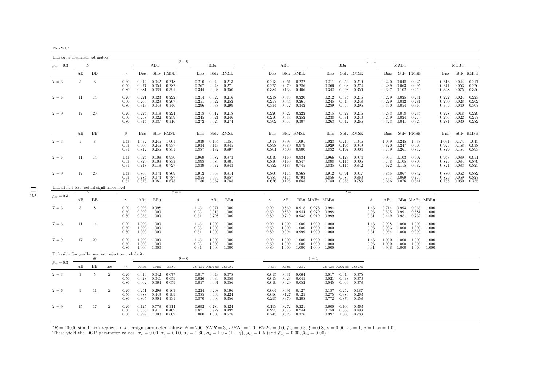| Unfeasible coefficient estimators                    |    |     |                |                      |                                  |                         |                         |                                  |                                 |                         |                                   |                         |                         |                         |                                  |                                 |                         |                      |                                  |                         |                         |                         |                                  |                               |                                                        |
|------------------------------------------------------|----|-----|----------------|----------------------|----------------------------------|-------------------------|-------------------------|----------------------------------|---------------------------------|-------------------------|-----------------------------------|-------------------------|-------------------------|-------------------------|----------------------------------|---------------------------------|-------------------------|----------------------|----------------------------------|-------------------------|-------------------------|-------------------------|----------------------------------|-------------------------------|--------------------------------------------------------|
| $\bar{\rho}_{x\varepsilon}=0.3$                      |    | L   |                |                      |                                  | ABu                     |                         | $\theta = 0$                     | BBu                             |                         |                                   | ABu                     |                         |                         |                                  | <b>BBu</b>                      |                         | $\theta = 1$         |                                  | MABu                    |                         |                         |                                  | MBBu                          |                                                        |
|                                                      | AВ | ΒB  |                | $\gamma$             | Bias                             |                         | Stdy RMSE               | Bias                             |                                 | Stdy RMSE               | Bias                              |                         | Stdy RMSE               |                         | Bias                             |                                 | Stdy RMSE               |                      | Bias                             |                         | Stdy RMSE               |                         | Bias                             |                               | Stdy RMSE                                              |
| $T=3$                                                | -5 | 8   |                | 0.20<br>0.50<br>0.80 | $-0.214$<br>$-0.277$<br>$-0.381$ | 0.042<br>0.054<br>0.089 | 0.218<br>0.282<br>0.391 | $-0.210$<br>$-0.267$<br>$-0.344$ | 0.040<br>0.048<br>0.068         | 0.213<br>0.271<br>0.350 | $-0.213$<br>$-0.275$<br>$-0.384$  | 0.061<br>0.079<br>0.133 | 0.222<br>0.286<br>0.406 |                         | $-0.211$<br>$-0.266$<br>$-0.342$ | 0.056<br>0.068<br>0.098         | 0.219<br>0.274<br>0.356 |                      | $-0.220$<br>$-0.289$<br>$-0.397$ | 0.048<br>0.063<br>0.102 | 0.225<br>0.295<br>0.410 |                         | $-0.212$<br>$-0.271$<br>$-0.348$ | 0.044<br>0.053<br>0.075       | 0.217<br>0.276<br>0.356                                |
| $T=6$                                                | 11 | -14 |                | 0.20<br>0.50<br>0.80 | $-0.221$<br>$-0.266$<br>$-0.343$ | 0.023<br>0.029<br>0.049 | 0.222<br>0.267<br>0.346 | $-0.214$<br>$-0.251$<br>$-0.296$ | 0.022<br>0.027<br>0.038         | 0.216<br>0.252<br>0.299 | $-0.218$<br>$-0.257$<br>$-0.334$  | 0.035<br>0.044<br>0.072 | 0.220<br>0.261<br>0.342 |                         | $-0.212$<br>$-0.245$<br>$-0.289$ | 0.034<br>0.040<br>0.056         | 0.215<br>0.248<br>0.295 |                      | $-0.229$<br>$-0.279$<br>$-0.360$ | 0.025<br>0.032<br>0.054 | 0.231<br>0.281<br>0.365 |                         | $-0.222$<br>$-0.260$<br>$-0.305$ | 0.024<br>0.028<br>0.040       | 0.223<br>0.262<br>0.307                                |
| $T=9$                                                | 17 | 20  |                | 0.20<br>0.50<br>0.80 | $-0.224$<br>$-0.258$<br>$-0.314$ | 0.018<br>0.022<br>0.037 | 0.224<br>0.259<br>0.316 | $-0.218$<br>$-0.245$<br>$-0.272$ | 0.017<br>0.021<br>0.029         | 0.218<br>0.246<br>0.274 | $-0.220$<br>$-0.250$<br>$-0.302$  | 0.027<br>0.033<br>0.055 | 0.222<br>0.252<br>0.307 |                         | $-0.215$<br>$-0.238$<br>$-0.263$ | 0.027<br>0.031<br>0.042         | 0.216<br>0.240<br>0.266 |                      | $-0.233$<br>$-0.269$<br>$-0.323$ | 0.018<br>0.024<br>0.041 | 0.234<br>0.270<br>0.325 |                         | $-0.228$<br>$-0.256$<br>$-0.281$ | 0.018<br>0.022<br>0.030       | $\begin{array}{c} 0.229 \\ 0.257 \end{array}$<br>0.282 |
|                                                      | AВ | BB  |                | $\beta$              | Bias                             |                         | Stdy RMSE               | Bias                             |                                 | Stdy RMSE               | Bias                              |                         | Stdy RMSE               |                         | Bias                             |                                 | Stdy RMSE               |                      | Bias                             |                         | Stdy RMSE               |                         | Bias                             |                               | Stdv RMSE                                              |
| $T=3$                                                | -5 | 8   |                | 1.43<br>0.93<br>0.31 | 1.032<br>0.905<br>0.812          | 0.245<br>0.245<br>0.255 | 1.061<br>0.937<br>0.851 | 1.039<br>0.934<br>0.887          | 0.164<br>0.143<br>0.137         | 1.051<br>0.945<br>0.897 | 1.017<br>0.898<br>0.801           | 0.393<br>0.389<br>0.409 | 1.091<br>0.979<br>0.900 |                         | 1.023<br>0.929<br>0.882          | 0.219<br>0.194<br>0.197         | 1.046<br>0.949<br>0.904 |                      | 1.009<br>0.870<br>0.769          | 0.245<br>0.247<br>0.261 | 1.038<br>0.905<br>0.812 |                         | 1.031<br>0.925                   | 0.174<br>0.158<br>0.879 0.154 | 1.045<br>0.938<br>0.893                                |
| $T=6$                                                | 11 | -14 |                | 1.43<br>0.93<br>0.31 | 0.924<br>0.826<br>0.718          | 0.108<br>0.109<br>0.118 | 0.930<br>0.833<br>0.727 | 0.969<br>0.898<br>0.839          | 0.087<br>0.080<br>0.077         | 0.973<br>0.901<br>0.843 | 0.919<br>0.830<br>0.722           | 0.169<br>0.169<br>0.183 | 0.934<br>0.847<br>0.745 |                         | 0.966<br>0.898<br>0.835          | 0.123<br>0.114<br>0.114         | 0.974<br>0.905<br>0.842 |                      | 0.901<br>0.798<br>0.672          | 0.103<br>0.105<br>0.115 | 0.907<br>0.805<br>0.682 |                         | 0.947<br>0.875<br>0.821          | 0.089<br>0.084<br>0.083       | 0.951<br>0.879<br>0.825                                |
| $T=9$                                                | 17 | 20  |                | 1.43<br>0.93<br>0.31 | 0.866<br>0.784<br>0.673          | 0.074<br>0.074<br>0.081 | 0.869<br>0.787<br>0.678 | 0.912<br>0.855<br>0.786          | 0.063<br>0.059<br>0.057         | 0.914<br>0.857<br>0.788 | 0.860<br>0.785<br>0.676           | 0.114<br>0.114<br>0.125 | 0.868<br>0.793<br>0.688 |                         | 0.912<br>0.856<br>0.780          | 0.091<br>0.085<br>0.085         | 0.917<br>0.860<br>0.785 |                      | 0.845<br>0.767<br>0.636          | 0.067<br>0.069<br>0.076 | 0.847<br>0.770<br>0.641 |                         | 0.880<br>0.825<br>0.753          | 0.062<br>0.059<br>0.059       | 0.882<br>0.827<br>0.755                                |
| Unfeasible t-test: actual significance level         |    | L   |                |                      |                                  |                         | $\theta = 0$            |                                  |                                 |                         |                                   |                         |                         |                         |                                  | $\theta=1$                      |                         |                      |                                  |                         |                         |                         |                                  |                               |                                                        |
| $\bar{\rho}_{x\varepsilon}=0.3$                      | AВ | BB  |                | $\gamma$             | ABu                              | BBu                     |                         | β                                | ABu                             | BBu                     | $\gamma$                          | ABu                     |                         | BBu MABu MBBu           |                                  |                                 |                         | β                    | ABu                              |                         | BBu MABu MBBu           |                         |                                  |                               |                                                        |
| $T=3$                                                | 5  | 8   |                | 0.20<br>0.50<br>0.80 | 0.993<br>0.992<br>0.955          | 0.998<br>1.000<br>1.000 |                         | 1.43<br>0.93<br>0.31             | 0.971<br>0.913<br>0.798         | 1.000<br>1.000<br>1.000 | 0.20<br>0.50<br>0.80              | 0.860<br>0.850<br>0.719 | 0.918<br>0.944<br>0.938 | 0.978<br>0.979<br>0.919 | 0.994<br>0.998<br>0.999          |                                 |                         | 1.43<br>0.93<br>0.31 | 0.714<br>0.595<br>0.449          | 0.993<br>0.991<br>0.981 | 0.965<br>0.881<br>0.732 | 1.000<br>1.000<br>1.000 |                                  |                               |                                                        |
| $T=6$                                                | 11 | 14  |                | 0.20<br>0.50<br>0.80 | 1.000<br>1.000<br>1.000          | 1.000<br>1.000<br>1.000 |                         | 1.43<br>0.93<br>0.31             | 1.000<br>1.000<br>1.000         | 1.000<br>1.000<br>1.000 | 0.20<br>0.50<br>0.80              | 1.000<br>1.000<br>0.994 | 1.000<br>1.000<br>0.999 | 1.000<br>1.000<br>1.000 | 1.000<br>1.000<br>1.000          |                                 |                         | 1.43<br>0.93<br>0.31 | 0.998<br>0.993<br>0.964          | 1.000<br>1.000<br>1.000 | 1.000<br>1.000<br>0.999 | 1.000<br>1.000<br>1.000 |                                  |                               |                                                        |
| $T=9$                                                | 17 | 20  |                | 0.20<br>0.50<br>0.80 | 1.000<br>1.000<br>1.000          | 1.000<br>1.000<br>1.000 |                         | 1.43<br>0.93<br>0.31             | 1.000<br>1.000<br>1.000         | 1.000<br>1.000<br>1.000 | 0.20<br>0.50<br>0.80              | 1.000<br>1.000<br>1.000 | 1.000<br>1.000<br>1.000 | 1.000<br>1.000<br>1.000 | 1.000<br>1.000<br>1.000          |                                 |                         | 1.43<br>0.93<br>0.31 | 1.000<br>1.000<br>0.998          | 1.000<br>1.000<br>1.000 | 1.000<br>1.000<br>1.000 | 1.000<br>1.000<br>1.000 |                                  |                               |                                                        |
| Unfeasible Sargan-Hansen test: rejection probability |    | df  |                |                      |                                  |                         |                         | $\theta = 0$                     |                                 |                         |                                   |                         |                         | $\theta = 1$            |                                  |                                 |                         |                      |                                  |                         |                         |                         |                                  |                               |                                                        |
| $\bar{\rho}_{x\varepsilon}=0.3$                      | AВ | ΒB  | Inc            | $\gamma$             | JABu                             | $JBBu$                  | JESu                    |                                  |                                 | JMABu JMMBu JESMu       | JABu                              | JBBu                    | JESu                    |                         | $JMABu$ $JMMBu$ $JESMu$          |                                 |                         |                      |                                  |                         |                         |                         |                                  |                               |                                                        |
| $T=3$                                                | 3  | 5   | $\overline{2}$ | 0.20<br>0.50<br>0.80 | 0.019<br>0.028<br>0.062          | 0.042<br>0.041<br>0.064 | 0.077<br>0.059<br>0.059 | 0.026<br>0.057                   | $0.017$ 0.043<br>0.039<br>0.061 | 0.078<br>0.059<br>0.056 | 0.015<br>0.013<br>0.019           | 0.031<br>0.023<br>0.029 | 0.064<br>0.045<br>0.052 |                         | 0.021<br>0.045                   | $0.017$ 0.040<br>0.038<br>0.066 | 0.075<br>0.070<br>0.078 |                      |                                  |                         |                         |                         |                                  |                               |                                                        |
| $T=6$                                                | 9  | -11 | $\overline{2}$ | 0.20<br>0.50<br>0.80 | 0.251<br>0.388<br>0.865          | 0.298<br>0.449<br>0.904 | 0.163<br>0.199<br>0.331 | 0.224<br>0.385<br>0.870          | 0.298<br>0.464<br>0.909         | 0.196<br>0.224<br>0.356 | 0.064<br>0.096<br>0.295           | 0.091<br>0.127<br>0.370 | 0.127<br>0.125<br>0.208 |                         | 0.187<br>0.275<br>0.772          | 0.252<br>0.386<br>0.876         | 0.187<br>0.263<br>0.458 |                      |                                  |                         |                         |                         |                                  |                               |                                                        |
| $T=9$                                                | 15 | 17  | $\overline{2}$ | 0.20<br>0.50<br>0.80 | 0.725<br>0.858<br>0.999          | 0.778<br>0.911<br>1.000 | 0.314<br>0.409<br>0.602 | 0.692<br>0.871<br>1.000          | 0.789<br>0.927<br>1.000         | 0.424<br>0.492<br>0.678 | 0.193<br>0.293<br>$0.743$ $0.825$ | 0.272<br>0.376          | 0.221<br>0.244<br>0.376 |                         | 0.600<br>0.750                   | 0.706<br>0.863<br>$0.997$ 1.000 | 0.363<br>0.498<br>0.738 |                      |                                  |                         |                         |                         |                                  |                               |                                                        |

 ${}^*R = 10000$  simulation replications. Design parameter values:  $N = 200$ ,  $SNR = 3$ ,  $DEN_y = 1.0$ ,  $EVF_x = 0.0$ ,  $\bar{\rho}_{xc} = 0.3$ ,  $\xi = 0.8$ ,  $\kappa = 0.00$ ,  $\sigma_{\varepsilon} = 1$ ,  $q = 1$ ,  $\phi = 1.0$ .<br>These yield the DGP parameter values:  $\pi$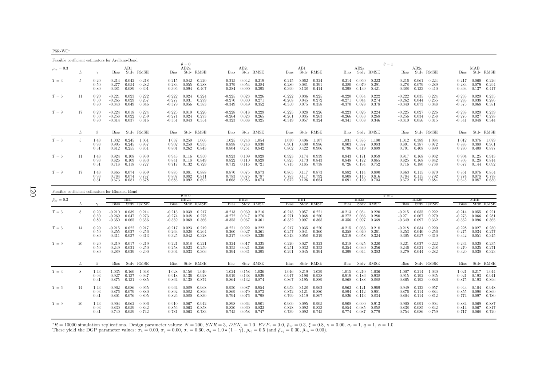P5fc-WC∗

Feasible coefficient estimators for Arellano-Bond $\theta = 0$  $AB2a$  $\theta = 1$ <br>a  $\theta = 1$  $\bar{\rho}_{x\varepsilon}=0.3$  $\epsilon = 0.3$   $I$   $\epsilon = 0.3$   $I$   $\epsilon = 0.3$   $I$   $\epsilon = 0.3$   $I$   $\epsilon = 0.3$   $I$   $\epsilon = 0.3$   $I$   $\epsilon = 0.3$   $I$   $\epsilon = 0.3$   $I$   $\epsilon = 0.3$   $I$   $\epsilon = 0.3$   $I$   $\epsilon = 0.3$   $I$   $\epsilon = 0.3$   $I$   $\epsilon = 0.3$   $I$   $\epsilon = 0.3$   $I$   $\epsilon = 0.3$   $I$   $\epsilon = 0.3$  L  $\gamma$  Bias Stdv RMSE Bias Stdv RMSE Bias Stdv RMSE Bias Stdv RMSE Bias Stdv RMSE Bias Stdv RMSE Bias Stdv RMSE0.226  $T=3$  $T=3$  5 0.20 -0.214 0.042 0.218 -0.215 0.042 0.220 -0.215 0.042 0.219 -0.215 0.062 0.224 -0.214 0.060 0.223 -0.216 0.061 0.224 -0.217 0.060 0.226<br>0.50 -0.277 0.054 0.282 -0.283 0.055 0.288 -0.279 0.054 0.284 -0.280 0.081 0.50 -0.277 0.054 0.282 -0.283 0.055 0.288 -0.279 0.054 0.284 -0.280 0.081 0.291 -0.280 0.079 0.291 -0.278 0.079 0.289 -0.283 0.079 0.2940.417 0.80 -0.381 0.089 0.391 -0.396 0.094 0.407 -0.384 0.090 0.395 -0.390 0.138 0.414 -0.398 0.139 0.421 -0.388 0.133 0.410 -0.393 0.137 0.4170.235  $T=6$  $T=6$   $11$   $0.20$   $-0.221$   $0.023$   $0.222$   $-0.222$   $0.024$   $0.224$   $-0.225$   $0.023$   $0.226$   $-0.222$   $0.036$   $0.225$   $-0.220$   $0.034$   $0.222$   $-0.222$   $0.035$   $0.224$   $-0.233$   $0.029$   $0.235$   $0.236$   $0.235$   $0.236$   $0.2$ 0.50 -0.266 0.029 0.267 -0.277 0.031 0.279 -0.270 0.030 0.271 -0.268 0.045 0.272 -0.271 0.044 0.274 -0.262 0.044 0.265 -0.283 0.038 0.2860.381 0.80 -0.343 0.049 0.346 -0.379 0.056 0.383 -0.349 0.049 0.352 -0.350 0.075 0.358 -0.370 0.078 0.378 -0.340 0.073 0.348 -0.375 0.068 0.381 $0.239$  $T=9$  $T=9$   $17$   $0.20$   $-0.224$   $0.018$   $0.224$   $-0.225$   $0.019$   $0.226$   $-0.228$   $0.018$   $0.229$   $-0.25$   $0.028$   $0.226$   $-0.223$   $0.026$   $0.224$   $-0.225$   $0.027$   $0.226$   $-0.238$   $0.020$   $0.239$ <br> $-0.266$   $0.033$   $0.268$   $-0.$ 0.50 -0.258 0.022 0.251 0.024 0.273 -0.264 0.023 0.266 -0.261 0.033 0.268 0.033 0.268 0.034 0.258 0.0327 0.276 0.376 0.376 0.376 0.377 0.376 0.377 0.037 0.375 -0.276 0.374 0.037 0.344 0.037 0.344 0.037 0.344 0.037 0.344 0. 0.344  $L \qquad \qquad \beta$ Bias Stdv RMSE Bias Stdv RMSE Bias Stdv RMSE Bias Stdv RMSE Bias Stdv RMSE Bias Stdv RMSE Bias Stdv RMSE Bias Stdv RMSE 1.012 0.376 1.079  $T=3$  $T=3 \hspace{1.5mm} 5 \hspace{1.5mm} 1.43 \hspace{1.5mm} 1.032 \hspace{1.5mm} 0.245 \hspace{1.5mm} 1.061 \hspace{1.5mm} 1.037 \hspace{1.5mm} 0.250 \hspace{1.5mm} 1.066 \hspace{1.5mm} 1.025 \hspace{1.5mm} 0.243 \hspace{1.5mm} 1.034 \hspace{1.5mm} 1.030 \hspace{1.5mm} 0.406 \hspace{1.5mm} 1.107 \hspace{1.5mm} 1.$ 0.93 0.905 0.245 0.937 0.902 0.250 0.935 0.898 0.243 0.930 0.901 0.400 0.986 0.903 0.387 0.983 0.891 0.387 0.972 0.883 0.380 0.9610.877 0.31 0.812 0.255 0.851 0.801 0.262 0.843 0.804 0.251 0.842 0.802 0.422 0.906 0.796 0.419 0.899 0.791 0.408 0.890 0.780 0.400 0.8770.904 0.125 0.913  $T=6$  $T=6$   $11$   $1.43$   $0.924$   $0.108$   $0.930$   $0.943$   $0.116$   $0.950$   $0.923$   $0.109$   $0.929$   $0.923$   $0.174$   $0.939$   $0.943$   $0.171$   $0.959$   $0.917$   $0.168$   $0.932$   $0.904$   $0.125$   $0.913$ <br> $0.842$   $0.803$   $0.128$   $0.814$   $0.$ 0.93 0.826 0.109 0.833 0.841 0.118 0.849 0.822 0.110 0.829 0.825 0.173 0.843 0.848 0.172 0.865 0.825 0.168 0.842 0.803 0.128 0.8140.692 0.31 0.718 0.118 0.727 0.717 0.132 0.729 0.712 0.116 0.721 0.715 0.185 0.738 0.726 0.194 0.752 0.716 0.180 0.738 0.677 0.144 0.6920.854  $T=9$  $T=9 \hspace{1.5mm} 17 \hspace{1.5mm} 1.43 \hspace{1.5mm} 0.866 \hspace{1.5mm} 0.074 \hspace{1.5mm} 0.869 \hspace{1.5mm} 0.855 \hspace{1.5mm} 0.081 \hspace{1.5mm} 0.888 \hspace{1.5mm} 0.870 \hspace{1.5mm} 0.075 \hspace{1.5mm} 0.873 \hspace{1.5mm} 0.865 \hspace{1.5mm} 0.117 \hspace{1.5mm} 0.873 \hspace{1.5mm} 0$ 0.93 0.784 0.074 0.787 0.807 0.082 0.811 0.783 0.076 0.787 0.783 0.117 0.792 0.808 0.115 0.816 0.784 0.115 0.792 0.774 0.078 0.778 $0.645$   $0.087$   $0.650$ 0.31 0.673 0.081 0.678 0.686 0.092 0.692 0.668 0.083 0.674 0.672 0.126 0.684 0.691 0.129 0.703 0.672 0.126 0.684 0.645 0.087 0.650

| Feasible coefficient estimators for Blundell-Bond |    |                      |                                  |                         |                         |                                  |                         |                         |                                  |                         |                         |                                  |                         |                         |                                  |                         |                         |                                  |                         |                         |                                  |                         |                         |
|---------------------------------------------------|----|----------------------|----------------------------------|-------------------------|-------------------------|----------------------------------|-------------------------|-------------------------|----------------------------------|-------------------------|-------------------------|----------------------------------|-------------------------|-------------------------|----------------------------------|-------------------------|-------------------------|----------------------------------|-------------------------|-------------------------|----------------------------------|-------------------------|-------------------------|
|                                                   |    |                      |                                  |                         |                         |                                  | $\theta = 0$            |                         |                                  |                         |                         |                                  |                         |                         |                                  |                         |                         | $\theta = 1$                     |                         |                         |                                  |                         |                         |
| $\bar{\rho}_{x\varepsilon}=0.3$                   |    |                      |                                  | BB1                     |                         |                                  | BB2a                    |                         |                                  | BB2c                    |                         |                                  | BB1.                    |                         |                                  | BB2a                    |                         |                                  | BB2c                    |                         |                                  | МВВ                     |                         |
|                                                   |    |                      | <b>Bias</b>                      |                         | Stdy RMSE               | <b>Bias</b>                      |                         | Stdy RMSE               | <b>Bias</b>                      |                         | Stdy RMSE               | <b>Bias</b>                      |                         | Stdy RMSE               | <b>Bias</b>                      |                         | Stdy RMSE               | <b>Bias</b>                      |                         | Stdy RMSE               | <b>Bias</b>                      |                         | Stdy RMSE               |
| $T=3$                                             | 8  | 0.20<br>0.50<br>0.80 | $-0.210$<br>$-0.269$<br>$-0.350$ | 0.039<br>0.047<br>0.065 | 0.214<br>0.273<br>0.356 | $-0.213$<br>$-0.274$<br>$-0.359$ | 0.039<br>0.048<br>0.069 | 0.217<br>0.278<br>0.366 | $-0.213$<br>$-0.272$<br>$-0.355$ | 0.039<br>0.047<br>0.067 | 0.216<br>0.276<br>0.361 | $-0.213$<br>$-0.271$<br>$-0.352$ | 0.057<br>0.068<br>0.097 | 0.221<br>0.280<br>0.365 | $-0.213$<br>$-0.272$<br>$-0.356$ | 0.054<br>0.066<br>0.097 | 0.220<br>0.280<br>0.369 | $-0.215$<br>$-0.271$<br>$-0.349$ | 0.055<br>0.067<br>0.097 | 0.222<br>0.279<br>0.362 | $-0.214$<br>$-0.273$<br>$-0.352$ | 0.055<br>0.066<br>0.096 | 0.221<br>0.281<br>0.365 |
| $T=6$                                             | 14 | 0.20<br>0.50<br>0.80 | $-0.215$<br>$-0.255$<br>$-0.311$ | 0.022<br>0.027<br>0.037 | 0.217<br>0.256<br>0.313 | $-0.217$<br>$-0.263$<br>$-0.325$ | 0.023<br>0.028<br>0.042 | 0.219<br>0.264<br>0.328 | $-0.221$<br>$-0.260$<br>$-0.317$ | 0.022<br>0.027<br>0.039 | 0.222<br>0.261<br>0.320 | $-0.217$<br>$-0.257$<br>$-0.313$ | 0.035<br>0.041<br>0.058 | 0.220<br>0.260<br>0.319 | $-0.215$<br>$-0.258$<br>$-0.319$ | 0.033<br>0.040<br>0.058 | 0.218<br>0.261<br>0.324 | $-0.218$<br>$-0.253$<br>$-0.305$ | 0.034<br>0.040<br>0.057 | 0.220<br>0.256<br>0.310 | $-0.228$<br>$-0.275$<br>$-0.342$ | 0.027<br>0.034<br>0.051 | 0.230<br>0.277<br>0.345 |
| $T=9$                                             | 20 | 0.20<br>0.50<br>0.80 | $-0.219$<br>$-0.249$<br>$-0.289$ | 0.017<br>0.021<br>0.029 | 0.219<br>0.250<br>0.290 | $-0.221$<br>$-0.258$<br>$-0.304$ | 0.018<br>0.023<br>0.033 | 0.221<br>0.259<br>0.306 | $-0.224$<br>$-0.255$<br>$-0.294$ | 0.017<br>0.021<br>0.031 | 0.225<br>0.256<br>0.295 | $-0.220$<br>$-0.251$<br>$-0.291$ | 0.027<br>0.032<br>0.045 | 0.222<br>0.253<br>0.294 | $-0.218$<br>$-0.254$<br>$-0.299$ | 0.025<br>0.030<br>0.044 | 0.220<br>0.256<br>0.302 | $-0.221$<br>$-0.246$<br>$-0.279$ | 0.027<br>0.031<br>0.044 | 0.222<br>0.248<br>0.282 | $-0.234$<br>$-0.270$<br>$-0.320$ | 0.020<br>0.025<br>0.038 | 0.235<br>0.271<br>0.323 |
|                                                   |    | $\beta$              |                                  |                         | Bias Stdy RMSE          |                                  |                         | Bias Stdy RMSE          |                                  |                         | Bias Stdy RMSE          | Bias                             |                         | Stdy RMSE               |                                  |                         | Bias Stdy RMSE          |                                  |                         | Bias Stdy RMSE          |                                  | Bias Stdy RMSE          |                         |
| $T=3$                                             |    | 1.43<br>0.93<br>0.31 | 1.035<br>0.927<br>0.875          | 0.160<br>0.137<br>0.131 | 1.048<br>0.937<br>0.885 | 1.028<br>0.918<br>0.864          | 0.158<br>0.136<br>0.130 | 1.040<br>0.928<br>0.874 | 1.024<br>0.919<br>0.864          | 0.158<br>0.138<br>0.132 | 1.036<br>0.929<br>0.874 | 1.016<br>0.917<br>0.867          | 0.219<br>0.196<br>0.195 | 1.039<br>0.938<br>0.889 | 1.015<br>0.919<br>0.868          | 0.210<br>0.186<br>0.188 | 1.036<br>0.938<br>0.888 | 1.007<br>0.915<br>0.865          | 0.214<br>0.192<br>0.193 | 1.030<br>0.935<br>0.886 | 1.021<br>0.921<br>0.875          | 0.217<br>0.193<br>0.193 | 1.044<br>0.941<br>0.896 |
| $T=6$                                             | 14 | 1.43<br>0.93<br>0.31 | 0.962<br>0.876<br>0.801          | 0.086<br>0.079<br>0.076 | 0.965<br>0.880<br>0.805 | 0.964<br>0.892<br>0.826          | 0.089<br>0.082<br>0.080 | 0.968<br>0.896<br>0.830 | 0.950<br>0.869<br>0.794          | 0.087<br>0.079<br>0.076 | 0.954<br>0.873<br>0.798 | 0.953<br>0.872<br>0.799          | 0.128<br>0.121<br>0.119 | 0.962<br>0.880<br>0.807 | 0.962<br>0.894<br>0.826          | 0.121<br>0.112<br>0.113 | 0.969<br>0.901<br>0.834 | 0.949<br>0.876<br>0.804          | 0.123<br>0.114<br>0.114 | 0.957<br>0.884<br>0.812 | 0.943<br>0.855<br>0.774          | 0.104<br>0.098<br>0.097 | 0.948<br>0.860<br>0.780 |
| $T=9$                                             | 20 | 1.43<br>0.93<br>0.31 | 0.904<br>0.830<br>0.740          | 0.062<br>0.059<br>0.059 | 0.906<br>0.832<br>0.742 | 0.910<br>0.856<br>0.781          | 0.067<br>0.063<br>0.063 | 0.912<br>0.858<br>0.783 | 0.898<br>0.830<br>0.745          | 0.064<br>0.060<br>0.058 | 0.901<br>0.832<br>0.747 | 0.900<br>0.828<br>0.739          | 0.095<br>0.092<br>0.092 | 0.905<br>0.833<br>0.745 | 0.908<br>0.854<br>0.774          | 0.090<br>0.085<br>0.087 | 0.913<br>0.858<br>0.779 | 0.900<br>0.838<br>0.754          | 0.091<br>0.085<br>0.086 | 0.904<br>0.842<br>0.759 | 0.884<br>0.814<br>0.717          | 0.069<br>0.067<br>0.068 | 0.887<br>0.817<br>0.720 |

 ${}^*R = 10000$  simulation replications. Design parameter values:  $N = 200$ ,  $SNR = 3$ ,  $DEN_y = 1.0$ ,  $EVF_x = 0.0$ ,  $\bar{p}_{xz} = 0.3$ ,  $\xi = 0.8$ ,  $\kappa = 0.00$ ,  $\sigma_{\varepsilon} = 1$ ,  $q = 1$ ,  $\phi = 1.0$ .<br>These yield the DGP parameter values:  $\pi$  $*R = 10000$  simulation replications. Design parameter values:  $N = 200$ ,  $SNR = 3$ ,  $DEN_y = 1.0$ ,  $EVF_x = 0.0$ ,  $\bar{\rho}_{xz} = 0.3$ ,  $\xi = 0.8$ , These yield the DGP parameter values:  $\pi_{\lambda} = 0.00$ ,  $\pi_{\eta} = 0.00$ ,  $\sigma_v = 0.60$ ,  $\sigma_{\eta}$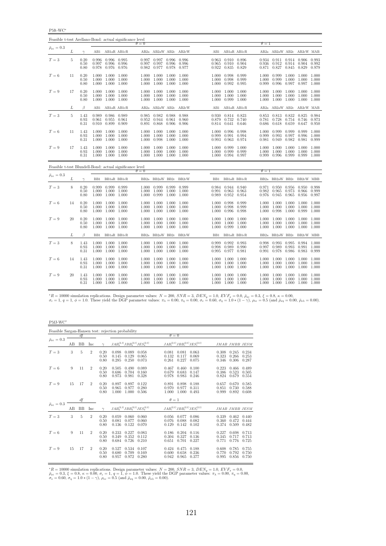P5ft-WC<sup>∗</sup>

| Feasible t-test Arellano-Bond: actual significance level |    |                      |                |                                                       |                 |                         |                                                             |                |                         |                         |                                                             |                         |                |                                                                               |                |                                             |                |
|----------------------------------------------------------|----|----------------------|----------------|-------------------------------------------------------|-----------------|-------------------------|-------------------------------------------------------------|----------------|-------------------------|-------------------------|-------------------------------------------------------------|-------------------------|----------------|-------------------------------------------------------------------------------|----------------|---------------------------------------------|----------------|
| $\bar{\rho}_{x\varepsilon}=0.3$                          |    |                      |                |                                                       |                 | $\theta = 0$            |                                                             |                |                         |                         |                                                             |                         | $\theta = 1$   |                                                                               |                |                                             |                |
|                                                          | L  | $\gamma$             |                |                                                       | AB1 AB1aR AB1cR |                         |                                                             |                | AB2a AB2aW AB2c AB2cW   |                         | AB1 AB1aR AB1cR                                             |                         |                | AB2a AB2aW AB2c AB2cW MAB                                                     |                |                                             |                |
| $T=3$                                                    | 5  | 0.20<br>0.50<br>0.80 | 0.997<br>0.978 | 0.996 0.996 0.995<br>0.996<br>0.976 0.976             | 0.996           | 0.997<br>0.997<br>0.982 | 0.997 0.996 0.996<br>0.997<br>0.977 0.978                   | 0.996          | 0.996<br>0.977          | 0.965<br>0.922          | 0.963 0.910 0.896<br>0.910<br>0.835                         | 0.904<br>0.829          | 0.936          | 0.934 0.911 0.914 0.906 0.993<br>0.912<br>0.871 0.827                         | 0.914<br>0.845 | 0.904<br>0.829                              | 0.992<br>0.979 |
| $T=6$                                                    | 11 | 0.20<br>0.50<br>0.80 | 1.000          | 1.000 1.000 1.000<br>1.000 1.000 1.000<br>1.000 1.000 |                 | 1.000<br>1.000<br>1.000 | 1.000 1.000<br>1.000<br>1.000 1.000                         | 1.000          | 1.000<br>1.000<br>1.000 | 1.000<br>1.000<br>1.000 | 0.998<br>0.998<br>0.992                                     | 0.999<br>0.999<br>0.995 | 1.000<br>0.999 | 1.000 0.999 1.000 1.000 1.000<br>0.999 1.000<br>0.996                         | 0.997          | 1.000 1.000<br>$0.997$ 1.000                |                |
| $T=9$                                                    | 17 | 0.20<br>0.50<br>0.80 | 1.000          | 1.000 1.000 1.000<br>1.000 1.000<br>1.000 1.000 1.000 |                 | 1.000                   | 1.000 1.000 1.000 1.000<br>1.000<br>1.000 1.000 1.000 1.000 | 1.000          | 1.000                   | 1.000                   | 1.000 1.000 1.000<br>1.000 1.000<br>1.000 0.999 1.000       |                         | 1.000          | 1.000 1.000 1.000 1.000 1.000<br>1.000 1.000<br>1.000 1.000 1.000 1.000 1.000 |                | 1.000 1.000                                 |                |
|                                                          | L  | $\beta$              | AB1            | AB1aR AB1cR                                           |                 |                         |                                                             |                | AB2a AB2aW AB2c AB2cW   | AB1                     | AB1aR AB1cR                                                 |                         |                | AB2a AB2aW AB2c AB2cW MAB                                                     |                |                                             |                |
| $T=3$                                                    | 5  | 1.43<br>0.93<br>0.31 |                | 0.989 0.986 0.989<br>0.961 0.955<br>0.910 0.899 0.909 | 0.961           | 0.985<br>0.952<br>0.891 | 0.982 0.988 0.988<br>0.944<br>0.868                         | 0.961<br>0.906 | 0.960<br>0.906          | 0.930<br>0.879          | 0.814 0.823<br>0.732 0.740<br>0.814 0.641 0.646             |                         | 0.781<br>0.686 | 0.853 0.813 0.832 0.825 0.984<br>0.728<br>0.618                               | 0.754<br>0.659 | 0.746<br>0.647                              | 0.973<br>0.950 |
| $T=6$                                                    | 11 | 1.43<br>0.93<br>0.31 | 1.000<br>1.000 | 1.000 1.000<br>1.000 1.000<br>1.000 1.000 1.000       |                 | 1.000<br>1.000          | 1.000 1.000<br>1.000<br>1.000  0.998  1.000  1.000          | 1.000          | 1.000<br>1.000          | 1.000<br>0.999          | 0.996 0.998<br>0.991<br>0.993 0.963 0.974                   | 0.994                   | 1.000<br>0.999 | 0.999<br>0.993<br>0.981 0.949 0.982 0.981 0.999                               | 0.999<br>0.997 | 0.999 1.000<br>0.996                        | 1.000          |
| $T=9$                                                    | 17 | 1.43<br>0.93<br>0.31 | 1.000          | 1.000 1.000 1.000<br>1.000 1.000<br>1.000 1.000 1.000 |                 | 1.000<br>1.000          | 1.000 1.000<br>1.000<br>1.000 1.000 1.000 1.000             | 1.000          | 1.000<br>1.000          | 1.000<br>1.000          | 0.999<br>0.999<br>1.000 0.994 0.997                         | 1.000<br>0.999          | 1.000<br>0.999 | 1.000 1.000 1.000<br>1.000<br>0.996 0.999                                     | 1.000          | 1.000 1.000<br>1.000<br>0.999 1.000         | 1.000          |
| Feasible t-test Blundell-Bond: actual significance level |    |                      |                |                                                       |                 | $\theta = 0$            |                                                             |                |                         |                         |                                                             |                         | $\theta=1$     |                                                                               |                |                                             |                |
| $\bar{\rho}_{x\varepsilon} = 0.3$                        | L  | $\gamma$             |                | BB1 BB1aR BB1cR                                       |                 |                         |                                                             |                | BB2a BB2aW BB2c BB2cW   |                         | BB1 BB1aR BB1cR                                             |                         |                | BB2a BB2aW BB2c BB2cW MBB                                                     |                |                                             |                |
| $T=3$                                                    | 8  | 0.20<br>0.50<br>0.80 | 1.000<br>1.000 | 0.999 0.999 0.999<br>1.000 1.000<br>1.000 1.000       |                 | 1.000<br>1.000<br>1.000 | 0.999 0.999 0.999<br>1.000<br>0.999                         | 1.000<br>1.000 | 1.000<br>1.000          | 0.991<br>0.989          | 0.984 0.944 0.940<br>0.963<br>0.952                         | 0.963<br>0.954          | 0.982          | 0.971 0.950 0.956 0.950 0.998<br>0.965<br>0.976 0.945                         | 0.973<br>0.965 | 0.966<br>0.956                              | 0.999<br>0.997 |
| $T=6$                                                    | 14 | 0.20<br>0.50<br>0.80 | 1.000<br>1.000 | 1.000 1.000 1.000<br>1.000 1.000<br>1.000 1.000       |                 | 1.000<br>1.000          | 1.000 1.000 1.000 1.000<br>1.000<br>1.000                   | 1.000<br>1.000 | 1.000<br>1.000          | 1.000<br>1.000          | 1.000 0.998<br>0.998<br>0.996                               | 0.999<br>0.999<br>0.998 | 1.000<br>1.000 | 1.000 1.000 1.000 1.000 1.000<br>1.000<br>0.998                               | 1.000<br>1.000 | 1.000 1.000<br>0.999                        | 1.000          |
| $T=9$                                                    | 20 | 0.20<br>0.50<br>0.80 | 1.000          | 1.000 1.000 1.000<br>1.000 1.000<br>1.000 1.000 1.000 |                 | 1.000<br>1.000          | 1.000 1.000 1.000<br>1.000<br>1.000 1.000 1.000 1.000       | 1.000          | 1.000                   | 1.000                   | 1.000 1.000 1.000<br>1.000 1.000<br>1.000 0.999 1.000       |                         | 1.000          | 1.000 1.000 1.000 1.000 1.000<br>1.000 1.000<br>1.000 1.000 1.000 1.000 1.000 |                | 1.000 1.000                                 |                |
|                                                          | L  | $\beta$              | BB1            | BB1aR BB1cR                                           |                 |                         | BB2a BB2aW BB2c BB2cW                                       |                |                         | BB1                     | BB1aR BB1cR                                                 |                         |                | BB2a BB2aW BB2c                                                               |                | BB2cW MBB                                   |                |
| $T=3$                                                    | 8  | 1.43<br>0.93<br>0.31 | 1.000<br>1.000 | 1.000 1.000 1.000<br>1.000 1.000<br>1.000 1.000       |                 | 1.000<br>1.000          | 1.000 1.000 1.000 1.000<br>1.000<br>1.000 1.000             | 1.000          | 1.000<br>1.000          | 0.999<br>0.998<br>0.995 | 0.992 0.993<br>0.989<br>0.977 0.981                         | 0.990                   | 0.997          | 0.998 0.993 0.995<br>0.989<br>0.991 0.978                                     | 0.993<br>0.986 | $0.994$ 1.000<br>0.991 1.000<br>0.983 0.999 |                |
| $T=6$                                                    | 14 | 1.43<br>0.93<br>0.31 | 1.000          | 1.000 1.000 1.000<br>1.000 1.000 1.000                | 1.000 1.000     | 1.000<br>1.000          | 1.000 1.000 1.000<br>1.000<br>1.000 1.000 1.000 1.000       | 1.000          | 1.000                   | 1.000                   | 1.000 1.000 1.000<br>1.000 1.000<br>1.000 1.000 1.000       |                         | 1.000          | 1.000 1.000 1.000 1.000 1.000<br>1.000<br>1.000 1.000 1.000 1.000 1.000       | 1.000          | 1.000 1.000                                 |                |
| $T=9$                                                    | 20 | 1.43<br>0.93<br>0.31 | 1.000<br>1.000 | 1.000 1.000<br>1.000 1.000<br>1.000 1.000 1.000       |                 | 1.000<br>1.000          | 1.000 1.000<br>1.000<br>1.000 1.000 1.000 1.000             | 1.000          | 1.000<br>1.000          |                         | 1.000 1.000 1.000<br>1.000 1.000 1.000<br>1.000 1.000 1.000 |                         | 1.000          | 1.000 1.000<br>1.000 1.000<br>1.000 1.000 1.000 1.000 1.000                   | 1.000          | 1.000 1.000<br>1.000 1.000                  |                |

 ${}^{*}R = 10000$  simulation replications. Design parameter values:  $N = 200$ ,  $SNR = 3$ ,  $DEN_y = 1.0$ ,  $EVF_x = 0.0$ ,  $E_{xz} = 0.3$ ,  $\xi = 0.8$ ,  $\kappa = 0.00$ ,<br> $\sigma_x = 1$ ,  $q = 1$ ,  $\phi = 1.0$ . These yield the DGP parameter values:  $\pi_{\lambda} =$ 

P5fJ-WC<sup>∗</sup>

|                                 |    |           |                |                      | Feasible Sargan-Hansen test: rejection probability |                         |                         |                         |                                           |                         |                         |                         |
|---------------------------------|----|-----------|----------------|----------------------|----------------------------------------------------|-------------------------|-------------------------|-------------------------|-------------------------------------------|-------------------------|-------------------------|-------------------------|
|                                 |    | df        |                |                      |                                                    |                         | $\theta = 0$            |                         |                                           |                         |                         |                         |
| $\bar{\rho}_{x\varepsilon}=0.3$ | AВ | <b>BB</b> | Inc            | $\sim$               | $JAB_a^{(2,1)}JBB_a^{(2,1)}JES_a^{(2,1)}$          |                         |                         |                         | $JAB_c^{(2,1)}JBB_c^{(2,1)}JES_c^{(2,1)}$ |                         | JMAB JMBB JESM          |                         |
| $T=3$                           | 3  | 5         | $\overline{2}$ | 0.20<br>0.50<br>0.80 | 0.098<br>0.089<br>0.145<br>0.129<br>0.285<br>0.250 | 0.058<br>0.065<br>0.073 | 0.081<br>0.132<br>0.261 | 0.081<br>0.117<br>0.227 | 0.063<br>0.069<br>0.075                   | 0.308<br>0.323<br>0.346 | 0.245<br>0.266<br>0.306 | 0.234<br>0.253<br>0.287 |
| $T=6$                           | 9  | 11        | $\overline{2}$ | 0.20<br>0.50<br>0.80 | 0.505<br>0.490<br>0.686<br>0.704<br>0.973<br>0.981 | 0.089<br>0.160<br>0.328 | 0.467<br>0.679<br>0.978 | 0.460<br>0.683<br>0.983 | 0.100<br>0.147<br>0.246                   | 0.223<br>0.386<br>0.824 | 0.466<br>0.523<br>0.679 | 0.489<br>0.505<br>0.554 |
| $T=9$                           | 15 | 17        | $\overline{2}$ | 0.20<br>0.50<br>0.80 | 0.897<br>0.897<br>0.965<br>0.977<br>1.000<br>1.000 | 0.122<br>0.280<br>0.506 | 0.891<br>0.970<br>1.000 | 0.898<br>0.977<br>1.000 | 0.188<br>0.311<br>0.493                   | 0.657<br>0.851<br>0.999 | 0.670<br>0.730<br>0.892 | 0.585<br>0.588<br>0.608 |
|                                 |    | df        |                |                      |                                                    |                         | $\theta=1$              |                         |                                           |                         |                         |                         |
| $\bar{\rho}_{x\varepsilon}=0.3$ | AВ | <b>BB</b> | Inc            | $\gamma$             | $JAB_a^{(2,1)}JBB_a^{(2,1)}JES_a^{(2,1)}$          |                         |                         |                         | $JAB_c^{(2,1)}JBB_c^{(2,1)}JES_c^{(2,1)}$ |                         | JMAB JMBB JESM          |                         |
| $T=3$                           | 3  | 5         | $\overline{2}$ | 0.20<br>0.50<br>0.80 | 0.059<br>0.060<br>0.081<br>0.077<br>0.136<br>0.122 | 0.060<br>0.060<br>0.070 | 0.056<br>0.076<br>0.129 | 0.077<br>0.088<br>0.142 | 0.086<br>0.082<br>0.102                   | 0.339<br>0.360<br>0.374 | 0.462<br>0.472<br>0.509 | 0.440<br>0.444<br>0.482 |
| $T=6$                           | 9  | 11        | $\overline{2}$ | 0.20<br>0.50<br>0.80 | 0.233<br>0.227<br>0.349<br>0.352<br>0.684<br>0.726 | 0.083<br>0.112<br>0.210 | 0.186<br>0.304<br>0.651 | 0.204<br>0.327<br>0.701 | 0.116<br>0.136<br>0.227                   | 0.227<br>0.345<br>0.771 | 0.698<br>0.717<br>0.776 | 0.713<br>0.713<br>0.725 |
| $T=9$                           | 15 | 17        | $\overline{2}$ | 0.20<br>0.50<br>0.80 | 0.527<br>0.534<br>0.680<br>0.709<br>0.957<br>0.972 | 0.107<br>0.169<br>0.280 | 0.424<br>0.600<br>0.942 | 0.475<br>0.658<br>0.965 | 0.188<br>0.236<br>0.377                   | 0.608<br>0.770<br>0.995 | 0.785<br>0.792<br>0.856 | 0.755<br>0.750<br>0.750 |

\*R = 10000 simulation replications. Design parameter values:  $N = 200$ ,  $SNR = 3$ ,  $DEN_y = 1.0$ ,  $EVF_x = 0.0$ ,  $\bar{\rho}_{xe} = 0.3$ ,  $\xi = 0.8$ ,  $\kappa = 0.00$ ,  $\sigma_e = 1$ ,  $q = 1$ ,  $\phi = 1.0$ . These yield the DGP parameter values:  $\pi_{\lambda} = 0.$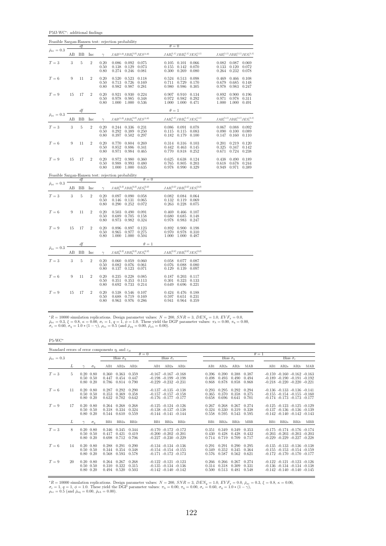P5fJ-WC<sup>∗</sup> : additional findings

|                                 |            |                |                |                                                     | Feasible Sargan-Hansen test: rejection probability                                         |                                                                                                              |                                                                               |
|---------------------------------|------------|----------------|----------------|-----------------------------------------------------|--------------------------------------------------------------------------------------------|--------------------------------------------------------------------------------------------------------------|-------------------------------------------------------------------------------|
| $\bar{\rho}_{x\epsilon}=0.3$    |            | df             |                |                                                     |                                                                                            | $\theta = 0$                                                                                                 |                                                                               |
|                                 | AB         | BB             | Inc            | $\gamma$                                            | $JAB^{\left( 1,0\right) }JBB_{a}^{\left( 1,0\right) }JES^{\left( 1,0\right) }$             | $JAB_a^{(1,1)}JBB_a^{(1,1)}JES_a^{(1,1)}$                                                                    | $JAB_c^{(1,1)}JBB_c^{(1,1)}JES_c^{(1,1)}$                                     |
| $T=3$                           | $\sqrt{3}$ | $\overline{5}$ | $\overline{2}$ | 0.20<br>0.50<br>0.80                                | 0.086<br>0.092 0.075<br>0.073<br>0.138<br>0.129<br>0.274<br>0.246<br>0.081                 | 0.105<br>$0.101$ $0.066$<br>0.155<br>0.142<br>0.070<br>0.300<br>0.269<br>0.080                               | $0.082$ 0.087<br>0.069<br>0.133<br>0.120<br>0.072<br>0.264<br>0.232<br>0.078  |
| $T=6$                           | 9          | 11             | $\overline{2}$ | 0.20<br>0.50<br>0.80                                | 0.520<br>0.523<br>0.118<br>0.713<br>0.726<br>0.169<br>0.982<br>0.987<br>0.281              | 0.524<br>0.513<br>0.098<br>0.711<br>0.729<br>0.170<br>0.980<br>0.986<br>0.305                                | 0.466<br>0.108<br>0.469<br>0.679<br>0.685<br>0.148<br>0.978<br>0.983<br>0.247 |
| $T=9$                           | 15         | 17             | $\overline{2}$ | $0.20\,$<br>0.50<br>0.80                            | 0.921<br>0.930<br>0.224<br>0.978<br>0.985<br>0.348<br>1.000 0.536<br>1.000                 | 0.907<br>0.910<br>0.134<br>0.972<br>0.982 0.292<br>1.000<br>1.000 0.471                                      | 0.892<br>0.900<br>0.196<br>0.971<br>0.978<br>0.311<br>1.000<br>1.000<br>0.491 |
|                                 |            | df             |                |                                                     |                                                                                            | $\theta = 1$                                                                                                 |                                                                               |
| $\bar{\rho}_{x\varepsilon}=0.3$ | AB         | BB             | Inc            | $\gamma$                                            | $JAB^{\left( 1,0\right) }JB\underline{B_{a}^{\left( 1,0\right) }}JES^{\left( 1,0\right) }$ | $JAB_a^{(1,1)} JBB_a^{(1,1)} JES_a^{(1,1)} \qquad \qquad JAB_c^{(1,1)} JBB_c^{(1,1)} JES_c^{(1,1)}$          |                                                                               |
| $T=3$                           | $\sqrt{3}$ | $\,$ 5 $\,$    | $\sqrt{2}$     | 0.20<br>0.50<br>0.80                                | 0.244 0.336 0.231<br>0.250<br>$0.292\,$<br>$0.389\,$<br>0.397<br>$0.502$ 0.297             | 0.086 0.091 0.078<br>$\overline{0.115}$<br>$\overline{0.182}$<br>0.083<br>0.115<br>0.179<br>0.100            | $0.067$ 0.088<br>0.092<br>0.090<br>0.100<br>0.089<br>0.147<br>0.160<br>0.110  |
| $T=6$                           | 9          | 11             | $\overline{2}$ | 0.20<br>0.50<br>0.80                                | 0.804<br>0.269<br>0.770<br>0.886<br>0.341<br>0.852<br>0.971<br>0.984<br>0.465              | 0.314<br>0.316<br>0.103<br>0.442<br>0.145<br>0.463<br>0.770<br>0.818<br>0.252                                | 0.219<br>0.201<br>0.120<br>0.325<br>0.347<br>0.142<br>0.724<br>0.671<br>0.238 |
| $T=9$                           | 15         | 17             | $\overline{2}$ | 0.20<br>0.50<br>0.80                                | 0.972<br>0.980<br>0.360<br>0.480<br>0.988<br>0.993<br>1.000<br>1.000<br>0.635              | $\begin{array}{c} 0.625 \\ 0.765 \\ 0.978 \end{array}$<br>0.638<br>0.124<br>0.203<br>0.805<br>0.990<br>0.329 | 0.438<br>0.490<br>0.189<br>0.618<br>0.678<br>0.244<br>0.949<br>0.971<br>0.389 |
|                                 |            |                |                |                                                     | Feasible Sargan-Hansen test: rejection probability<br>$\theta = 0$                         |                                                                                                              |                                                                               |
| $\bar{\rho}_{x\varepsilon}=0.3$ | AВ         | df<br>BB       | Inc            |                                                     | $\gamma \qquad JAB_a^{(2,2)} JBB_a^{(2,2)} JES_a^{(2,2)}$                                  | $JAB_c^{(2,2)}JBB_c^{(2,2)}JES_c^{(2,2)}$                                                                    |                                                                               |
| $T=3$                           | $\sqrt{3}$ | $\overline{5}$ | $\,2$          | 0.20<br>0.50<br>0.80                                | $0.097$ $0.090$ $0.058$<br>0.131<br>0.065<br>0.146<br>0.290<br>0.252<br>0.072              | 0.082<br>$0.084$ 0.064<br>0.132<br>0.119<br>0.069<br>0.263<br>0.228<br>0.075                                 |                                                                               |
| $T=6$                           | 9          | 11             | $\overline{2}$ | 0.20<br>0.50<br>0.80                                | 0.503<br>0.490<br>0.091<br>0.158<br>0.705<br>0.689<br>0.973<br>0.982 0.324                 | 0.466<br>0.469<br>0.107<br>0.680<br>0.685<br>0.148<br>0.978<br>0.983<br>0.247                                |                                                                               |
| $T=9$                           | 15         | 17             | $\,2$          | $\begin{array}{c} 0.20 \\ 0.50 \end{array}$<br>0.80 | 0.896<br>0.897<br>0.123<br>0.275<br>$0.977\,$<br>0.965<br>1.000<br>1.000<br>0.504          | $\begin{array}{c} 0.892 \\ 0.970 \\ 1.000 \end{array}$<br>0.900<br>0.198<br>0.978<br>0.310<br>1.000 0.487    |                                                                               |
| $\bar{\rho}_{x\varepsilon}=0.3$ |            | df             |                |                                                     | $\theta = 1$                                                                               |                                                                                                              |                                                                               |
|                                 | AВ         | BB             | Inc            | $\gamma$                                            | $JAB_{a}^{\left( 2,2\right) }JBB_{a}^{\left( 2,2\right) }JES_{a}^{\left( 2,2\right) }$     | $JAB_c^{(2,2)}JBB_c^{(2,2)}JES_c^{(2,2)}$                                                                    |                                                                               |
| $T = 3$                         | 3          | $\overline{5}$ | $\overline{2}$ | 0.20<br>0.50<br>0.80                                | 0.060<br>0.059 0.060<br>0.082<br>0.076<br>0.061<br>0.137<br>0.123<br>0.071                 | 0.077<br>0.058<br>0.087<br>0.076<br>0.088<br>0.080<br>0.129<br>0.139<br>0.097                                |                                                                               |
| $T=6$                           | 9          | 11             | $\overline{2}$ | 0.20<br>0.50<br>0.80                                | 0.235<br>0.228<br>0.085<br>0.351<br>0.353<br>0.113<br>0.733<br>0.692<br>0.214              | 0.203<br>0.187<br>0.117<br>0.301<br>0.323<br>0.133<br>0.649<br>0.696<br>0.221                                |                                                                               |
| $T=9$                           | 15         | 17             | $\overline{2}$ | 0.20<br>0.50<br>0.80                                | 0.538<br>0.546<br>0.107<br>0.719<br>0.169<br>0.688<br>0.976<br>0.963<br>0.286              | 0.476<br>0.424<br>0.188<br>0.597<br>0.651<br>0.231<br>0.941<br>0.964<br>0.359                                |                                                                               |

 ${}^*R = 10000$  simulation replications. Design parameter values:  $N = 200$ ,  $SNR = 3$ ,  $DEN_y = 1.0$ ,  $EVF_x = 0.0$ ,  $\bar{\rho}_{xe} = 0.3$ ,  $\xi = 0.8$ ,  $\kappa = 0.00$ ,  $\sigma_e = 1$ ,  $q = 1$ ,  $\phi = 1.0$ . These yield the DGP parameter values:  $\pi_{\lambda} =$ 

P5-WC<sup>∗</sup>

| Standard errors of error components $\eta_i$ and $\varepsilon_{it}$ |    |                                                        |                         |                         |                               |              |                       |                                                                                    |                         |                         |                         |                         |              |                                                                                                             |                       |     |
|---------------------------------------------------------------------|----|--------------------------------------------------------|-------------------------|-------------------------|-------------------------------|--------------|-----------------------|------------------------------------------------------------------------------------|-------------------------|-------------------------|-------------------------|-------------------------|--------------|-------------------------------------------------------------------------------------------------------------|-----------------------|-----|
|                                                                     |    |                                                        |                         |                         |                               | $\theta = 0$ |                       |                                                                                    |                         |                         |                         |                         | $\theta = 1$ |                                                                                                             |                       |     |
| $\bar{\rho}_{x\varepsilon}=0.3$                                     |    |                                                        |                         | Bias $\sigma_n$         |                               |              | Bias $\hat{\sigma}_e$ |                                                                                    |                         | Bias $\hat{\sigma}_n$   |                         |                         |              |                                                                                                             | Bias $\hat{\sigma}_e$ |     |
|                                                                     | L  | $\sigma_n$                                             | AB1                     | AB2a                    | AB2c                          | AB1          | AB2a                  | AB2c                                                                               | AB1                     | AB2a                    | AB2c                    | MAB                     | AB1          | AB2a                                                                                                        | AB2c                  | MAB |
| $T=3$                                                               | 5. | $0.20\ 0.80$<br>$0.50 \quad 0.50$<br>$0.80\ 0.20$      | 0.360<br>0.447<br>0.786 | 0.363<br>0.454          | 0.359<br>0.447<br>0.814 0.790 |              |                       | $-0.167 - 0.167 - 0.168$<br>$-0.198$ $-0.199$ $-0.198$<br>$-0.229 - 0.232 - 0.231$ | 0.396<br>0.498<br>0.868 | 0.390<br>0.493<br>0.878 | 0.388<br>0.490<br>0.858 | 0.387<br>0.494<br>0.868 |              | $-0.159 - 0.160 - 0.162 - 0.163$<br>$-0.189 - 0.190 - 0.191 - 0.192$<br>$-0.218$ $-0.220$ $-0.220$ $-0.221$ |                       |     |
| $T=6$                                                               | 11 | $0.20\ 0.80$<br>$0.50 \quad 0.50$<br>$0.80\ 0.20$      | 0.287<br>0.353<br>0.632 | 0.292<br>0.369<br>0.702 | 0.290<br>0.358<br>0.642       |              |                       | $-0.137 - 0.135 - 0.138$<br>$-0.157 - 0.157 - 0.158$<br>$-0.176$ $-0.177$ $-0.177$ | 0.293<br>0.365<br>0.658 | 0.295<br>0.370<br>0.696 | 0.292<br>0.358<br>0.641 | 0.294<br>0.375<br>0.701 |              | $-0.136 - 0.133 - 0.136 - 0.141$<br>$-0.155 - 0.154 - 0.155 - 0.160$<br>$-0.174$ $-0.173$ $-0.173$ $-0.177$ |                       |     |
| $T=9$                                                               | 17 | $0.20\ 0.80$<br>$0.50 \quad 0.50$<br>$0.80\ 0.20$      | 0.264<br>0.318<br>0.544 | 0.268<br>0.334<br>0.610 | 0.268<br>0.324<br>0.559       |              |                       | $-0.125 - 0.124 - 0.126$<br>$-0.138 - 0.137 - 0.138$<br>$-0.144$ $-0.141$ $-0.144$ | 0.267<br>0.324<br>0.558 | 0.268<br>0.330<br>0.595 | 0.267<br>0.319<br>0.543 | 0.274<br>0.338<br>0.595 |              | $-0.125 - 0.123 - 0.125 - 0.129$<br>$-0.137 - 0.136 - 0.136 - 0.139$<br>$-0.142 - 0.140 - 0.142 - 0.143$    |                       |     |
|                                                                     | L  | $\sigma_n$                                             | BB1                     | BB <sub>2a</sub>        | BB2c                          | BB1          | BB <sub>2a</sub>      | BB2c                                                                               | BB1                     | BB <sub>2a</sub>        | BB <sub>2c</sub>        | <b>MBB</b>              | BB1          | BB <sub>2a</sub>                                                                                            | BB2c                  | MBB |
| $T = 3$                                                             | 8  | $0.20\ 0.80$<br>$0.50 \quad 0.50$<br>$0.80\ 0.20$      | 0.346<br>0.417<br>0.698 | 0.345<br>0.421<br>0.712 | 0.344<br>0.419<br>0.706       |              |                       | $-0.170$ $-0.172$ $-0.172$<br>$-0.200 - 0.202 - 0.201$<br>$-0.227 -0.230 -0.229$   | 0.351<br>0.430<br>0.714 | 0.349<br>0.428<br>0.719 | 0.349<br>0.428<br>0.709 | 0.353<br>0.432<br>0.717 |              | $-0.175$ $-0.174$ $-0.176$ $-0.174$<br>$-0.203$ $-0.203$ $-0.203$ $-0.203$<br>$-0.229 -0.229 -0.227 -0.228$ |                       |     |
| $T=6$                                                               | 14 | $0.20\ 0.80$<br>$0.50 \quad 0.50$<br>$0.80 \quad 0.20$ | 0.288<br>0.344<br>0.568 | 0.291<br>0.354<br>0.593 | 0.290<br>0.348<br>0.578       |              |                       | $-0.134 - 0.134 - 0.136$<br>$-0.154 - 0.154 - 0.155$<br>$-0.171$ $-0.172$ $-0.173$ | 0.291<br>0.349<br>0.576 | 0.291<br>0.352<br>0.587 | 0.290<br>0.345<br>0.562 | 0.295<br>0.364<br>0.621 |              | $-0.135 - 0.133 - 0.136 - 0.138$<br>$-0.155 - 0.153 - 0.154 - 0.159$<br>$-0.172$ $-0.170$ $-0.170$ $-0.177$ |                       |     |
| $T=9$                                                               | 20 | $0.20\ 0.80$<br>$0.50 \quad 0.50$<br>$0.80\ 0.20$      | 0.264<br>0.310<br>0.494 | 0.267<br>0.322<br>0.520 | 0.268<br>0.315<br>0.503       |              |                       | $-0.122 - 0.121 - 0.123$<br>$-0.135 - 0.134 - 0.136$<br>$-0.142 - 0.140 - 0.142$   | 0.266<br>0.314<br>0.500 | 0.266<br>0.318<br>0.513 | 0.267<br>0.309<br>0.481 | 0.274<br>0.331<br>0.548 |              | $-0.122 - 0.121 - 0.123 - 0.126$<br>$-0.136$ $-0.134$ $-0.134$ $-0.138$<br>$-0.142 - 0.140 - 0.140 - 0.145$ |                       |     |

 ${}^*R = 10000$  simulation replications. Design parameter values:  $N = 200$ ,  $SNR = 3$ ,  $DEN_y = 1.0$ ,  $EVF_x = 0.0$ ,  $\bar{\rho}_{x\bar{x}} = 0.3$ ,  $\xi = 0.8$ ,  $\kappa = 0.00$ ,<br>  $\sigma_{\varepsilon} = 1$ ,  $q = 1$ ,  $\phi = 1.0$ . These yield the DGP parameter values: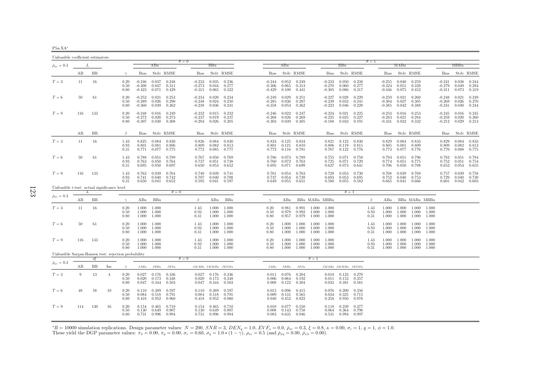| Unfeasible coefficient estimators                    |     |     |                |                      |                                  |                         |                         |                                  |                   |                         |                         |                                  |                                   |                         |                         |                                  |                                 |                         |                      |                                  |                         |                         |                         |                                  |                         |                         |
|------------------------------------------------------|-----|-----|----------------|----------------------|----------------------------------|-------------------------|-------------------------|----------------------------------|-------------------|-------------------------|-------------------------|----------------------------------|-----------------------------------|-------------------------|-------------------------|----------------------------------|---------------------------------|-------------------------|----------------------|----------------------------------|-------------------------|-------------------------|-------------------------|----------------------------------|-------------------------|-------------------------|
| $\bar{\rho}_{x\varepsilon}=0.3$                      |     | L   |                |                      |                                  | ABu                     |                         | $\theta = 0$                     |                   | BBu                     |                         |                                  | ABu                               |                         |                         |                                  | BBu                             |                         | $\theta = 1$         |                                  | MABu                    |                         |                         |                                  | MBBu                    |                         |
|                                                      | AВ  | BB  |                | $\gamma$             | Bias                             |                         | Stdy RMSE               |                                  | Bias              |                         | Stdy RMSE               | Bias                             |                                   | Stdy RMSE               |                         | Bias                             |                                 | Stdy RMSE               |                      | Bias                             |                         | Stdy RMSE               |                         | Bias                             |                         | Stdy RMSE               |
| $T=3$                                                | 11  | 16  |                | 0.20<br>0.50<br>0.80 | $-0.246$<br>$-0.308$<br>$-0.423$ | 0.037<br>0.047<br>0.071 | 0.248<br>0.311<br>0.429 | $-0.233$<br>$-0.273$<br>$-0.315$ |                   | 0.035<br>0.044<br>0.065 | 0.236<br>0.277<br>0.322 | $-0.244$<br>$-0.306$<br>$-0.429$ | 0.052<br>0.065<br>0.100           | 0.249<br>0.313<br>0.441 |                         | $-0.233$<br>$-0.270$<br>$-0.305$ | 0.050<br>0.060<br>0.086         | 0.238<br>0.277<br>0.317 |                      | $-0.255$<br>$-0.324$<br>$-0.446$ | 0.040<br>0.051<br>0.075 | 0.259<br>0.328<br>0.452 |                         | $-0.241$<br>$-0.279$<br>$-0.311$ | 0.038<br>0.049<br>0.073 | 0.244<br>0.284<br>0.319 |
| $T=6$                                                | 50  | 61  |                | 0.20<br>0.50<br>0.80 | $-0.252$<br>$-0.289$<br>$-0.360$ | 0.021<br>0.026<br>0.039 | 0.253<br>0.290<br>0.362 | $-0.234$<br>$-0.248$<br>$-0.238$ |                   | 0.020<br>0.024<br>0.036 | 0.234<br>0.250<br>0.241 | $-0.249$<br>$-0.285$<br>$-0.358$ | 0.029<br>0.036<br>0.053           | 0.251<br>0.287<br>0.362 |                         | $-0.227$<br>$-0.239$<br>$-0.223$ | 0.028<br>0.033<br>0.046         | 0.229<br>0.241<br>0.228 |                      | $-0.259$<br>$-0.304$<br>$-0.385$ | 0.021<br>0.027<br>0.042 | 0.260<br>0.305<br>0.388 |                         | $-0.248$<br>$-0.269$<br>$-0.241$ | 0.021<br>0.026<br>0.040 | 0.249<br>0.270<br>0.244 |
| $T=9$                                                | 116 | 133 |                | 0.20<br>0.50<br>0.80 | $-0.248$<br>$-0.272$<br>$-0.307$ | 0.016<br>0.020<br>0.030 | 0.249<br>0.273<br>0.308 | $-0.232$<br>$-0.237$<br>$-0.204$ |                   | 0.015<br>0.019<br>0.026 | 0.232<br>0.237<br>0.205 | $-0.246$<br>$-0.268$<br>$-0.303$ | 0.022<br>0.026<br>0.039           | 0.247<br>0.269<br>0.305 |                         | $-0.224$<br>$-0.225$<br>$-0.188$ | 0.021<br>0.025<br>0.033         | 0.225<br>0.227<br>0.191 |                      | $-0.253$<br>$-0.283$<br>$-0.331$ | 0.016<br>0.021<br>0.032 | 0.253<br>0.284<br>0.332 |                         | $-0.245$<br>$-0.259$<br>$-0.212$ | 0.016<br>0.020<br>0.029 | 0.245<br>0.260<br>0.213 |
|                                                      | AВ  | BB  |                | $\beta$              | Bias                             |                         | Stdy RMSE               |                                  | Bias              |                         | Stdy RMSE               | Bias                             |                                   | Stdy RMSE               |                         | Bias                             |                                 | Stdy RMSE               |                      | Bias                             |                         | Stdy RMSE               |                         | Bias                             |                         | Stdy RMSE               |
| $T=3$                                                | 11  | 16  |                | 1.43<br>0.93<br>0.31 | 0.825<br>0.801<br>0.771          | 0.084<br>0.081<br>0.077 | 0.830<br>0.806<br>0.775 | 0.826<br>0.809<br>0.772          |                   | 0.084<br>0.082<br>0.085 | 0.830<br>0.813<br>0.777 | 0.824<br>0.801<br>0.772          | 0.125<br>0.121<br>0.116           | 0.834<br>0.810<br>0.781 |                         | 0.821<br>0.806<br>0.767          | 0.123<br>0.119<br>0.122         | 0.830<br>0.815<br>0.776 |                      | 0.829<br>0.805<br>0.773          | 0.084<br>0.081<br>0.077 | 0.833<br>0.809<br>0.776 |                         | 0.829<br>0.809<br>0.770          | 0.084<br>0.082<br>0.088 | 0.833<br>0.813<br>0.775 |
| $T=6$                                                | 50  | 61  |                | 1.43<br>0.93<br>0.31 | 0.788<br>0.763<br>0.695          | 0.051<br>0.050<br>0.050 | 0.789<br>0.764<br>0.697 | 0.767<br>0.737<br>0.650          |                   | 0.050<br>0.051<br>0.053 | 0.769<br>0.738<br>0.652 | 0.786<br>0.760<br>0.695          | 0.073<br>0.072<br>0.071           | 0.789<br>0.763<br>0.699 |                         | 0.755<br>0.725<br>0.637          | 0.071<br>0.071<br>0.073         | 0.758<br>0.729<br>0.641 |                      | 0.794<br>0.774<br>0.706          | 0.051<br>0.051<br>0.050 | 0.796<br>0.775<br>0.708 |                         | 0.782<br>0.752<br>0.653          | 0.051<br>0.051<br>0.054 | 0.784<br>0.754<br>0.655 |
| $T=9$                                                | 116 | 133 |                | 1.43<br>0.93<br>0.31 | 0.763<br>0.741<br>0.650          | 0.039<br>0.040<br>0.041 | 0.764<br>0.742<br>0.652 | 0.740<br>0.707<br>0.595          |                   | 0.039<br>0.040<br>0.041 | 0.741<br>0.708<br>0.597 | 0.761<br>0.737<br>0.649          | 0.054<br>0.054<br>0.055           | 0.763<br>0.739<br>0.651 |                         | 0.728<br>0.693<br>0.580          | 0.053<br>0.053<br>0.055         | 0.730<br>0.695<br>0.582 |                      | 0.768<br>0.752<br>0.665          | 0.039<br>0.040<br>0.041 | 0.769<br>0.753<br>0.666 |                         | 0.757<br>0.729<br>0.601          | 0.039<br>0.040<br>0.042 | 0.758<br>0.730<br>0.603 |
| Unfeasible t-test: actual significance level         |     | L   |                |                      |                                  |                         | $\theta = 0$            |                                  |                   |                         |                         |                                  |                                   |                         |                         |                                  | $\theta = 1$                    |                         |                      |                                  |                         |                         |                         |                                  |                         |                         |
| $\bar{\rho}_{x\varepsilon}=0.3$                      | AВ  | BB  |                | $\gamma$             | ABu                              | BBu                     |                         | β                                |                   | ABu                     | BBu                     | $\gamma$                         | ABu                               |                         |                         | BBu MABu MBBu                    |                                 |                         | $\beta$              | ABu                              |                         |                         | BBu MABu MBBu           |                                  |                         |                         |
| $T=3$                                                | 11  | 16  |                | 0.20<br>0.50<br>0.80 | 1.000<br>1.000<br>1.000          | 1.000<br>1.000<br>1.000 |                         | 1.43<br>0.93<br>0.31             |                   | 1.000<br>1.000<br>1.000 | 1.000<br>1.000<br>1.000 | 0.20<br>0.50<br>0.80             | 0.981<br>0.979<br>0.957           | 0.991<br>0.992<br>0.979 | 1.000<br>1.000<br>1.000 | 1.000<br>1.000<br>1.000          |                                 |                         | 1.43<br>0.93<br>0.31 | 1.000<br>1.000<br>1.000          | 1.000<br>1.000<br>1.000 | 1.000<br>1.000<br>1.000 | 1.000<br>1.000<br>1.000 |                                  |                         |                         |
| $T=6$                                                | 50  | 61  |                | 0.20<br>0.50<br>0.80 | 1.000<br>1.000<br>1.000          | 1.000<br>1.000<br>1.000 |                         | 1.43<br>0.93<br>0.31             |                   | 1.000<br>1.000<br>1.000 | 1.000<br>1.000<br>1.000 | 0.20<br>0.50<br>0.80             | 1.000<br>1.000<br>1.000           | 1.000<br>1.000<br>1.000 | 1.000<br>1.000<br>1.000 | 1.000<br>1.000<br>1.000          |                                 |                         | 1.43<br>0.93<br>0.31 | 1.000<br>1.000<br>1.000          | 1.000<br>1.000<br>1.000 | 1.000<br>1.000<br>1.000 | 1.000<br>1.000<br>1.000 |                                  |                         |                         |
| $T=9$                                                | 116 | 133 |                | 0.20<br>0.50<br>0.80 | 1.000<br>1.000<br>1.000          | 1.000<br>1.000<br>1.000 |                         | 1.43<br>0.93<br>0.31             |                   | 1.000<br>1.000<br>1.000 | 1.000<br>1.000<br>1.000 | 0.20<br>0.50<br>0.80             | 1.000<br>1.000<br>1.000           | 1.000<br>1.000<br>1.000 | 1.000<br>1.000<br>1.000 | 1.000<br>1.000<br>1.000          |                                 |                         | 1.43<br>0.93<br>0.31 | 1.000<br>1.000<br>1.000          | 1.000<br>1.000<br>1.000 | 1.000<br>1.000<br>1.000 | 1.000<br>1.000<br>1.000 |                                  |                         |                         |
| Unfeasible Sargan-Hansen test: rejection probability |     | df  |                |                      |                                  |                         |                         | $\theta = 0$                     |                   |                         |                         |                                  |                                   |                         | $\theta = 1$            |                                  |                                 |                         |                      |                                  |                         |                         |                         |                                  |                         |                         |
| $\bar{\rho}_{x\varepsilon}=0.3$                      | АB  | ВB  | Inc            | $\gamma$             | JABu                             | JBBu                    | JESu                    |                                  | JMABu JMMBu JESMu |                         |                         | JABu                             | JBBu                              | JESu                    |                         | JMABu JMMBu JESMu                |                                 |                         |                      |                                  |                         |                         |                         |                                  |                         |                         |
| $T=3$                                                | 9   | 13  | $\overline{4}$ | 0.20<br>0.50<br>0.80 | 0.027<br>0.020<br>0.047          | 0.176<br>0.173<br>0.344 | 0.336<br>0.348<br>0.503 | 0.027<br>0.020<br>0.047          |                   | 0.176<br>0.173<br>0.344 | 0.336<br>0.348<br>0.503 | 0.011<br>0.006<br>0.008          | 0.076<br>0.064<br>0.122           | 0.204<br>0.192<br>0.304 |                         | 0.011<br>0.033                   | $0.018$ 0.123<br>0.153<br>0.381 | 0.270<br>0.357<br>0.581 |                      |                                  |                         |                         |                         |                                  |                         |                         |
| $T=6$                                                | 48  | 58  | 10             | 0.20<br>0.50<br>0.80 | 0.110<br>0.084<br>0.418          | 0.389<br>0.518<br>0.952 | 0.597<br>0.791<br>0.960 | 0.110<br>0.084<br>0.418          |                   | 0.389<br>0.518<br>0.952 | 0.597<br>0.791<br>0.960 | 0.015<br>0.009<br>0.040          | 0.096<br>0.131<br>0.452           | 0.415<br>0.565<br>0.822 |                         | 0.076<br>0.034<br>0.258          | 0.200<br>0.325<br>0.950         | 0.356<br>0.715<br>0.978 |                      |                                  |                         |                         |                         |                                  |                         |                         |
| $T=9$                                                | 114 | 130 | 16             | 0.20<br>0.50<br>0.80 | 0.154<br>0.130<br>0.731          | 0.465<br>0.649<br>0.996 | 0.710<br>0.907<br>0.994 | 0.154<br>0.130                   | $0.731$ 0.996     | 0.465<br>0.649          | 0.710<br>0.907<br>0.994 | 0.010<br>0.008                   | 0.077<br>0.143<br>$0.083$ $0.635$ | 0.550<br>0.758<br>0.946 |                         | 0.118<br>0.064                   | 0.239<br>0.364<br>0.531 0.994   | 0.377<br>0.796<br>0.997 |                      |                                  |                         |                         |                         |                                  |                         |                         |

 ${}^*R = 10000$  simulation replications. Design parameter values:  $N = 200$ ,  $SNR = 3$ ,  $DEN_y = 1.0$ ,  $EVF_x = 0.0$ ,  $\bar{\rho}_{xc} = 0.3$ ,  $\xi = 0.8$ ,  $\kappa = 0.00$ ,  $\sigma_{\varepsilon} = 1$ ,  $q = 1$ ,  $\phi = 1.0$ .<br>These yield the DGP parameter values:  $\pi$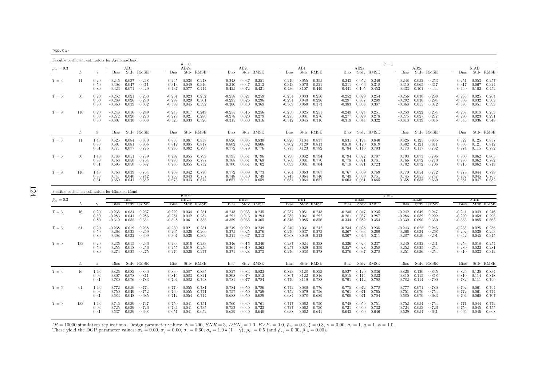P5fc-XA∗

Feasible coefficient estimators for Arellano-Bond $\theta = 0$  $AB2a$  $\theta = 1$ <br>a  $\theta = 1$  $\bar{\rho}_{x\varepsilon}=0.3$  $\epsilon = 0.3$   $I$   $\epsilon = 0.3$   $I$   $\epsilon = 0.3$   $I$   $\epsilon = 0.3$   $I$   $\epsilon = 0.3$   $I$   $\epsilon = 0.3$   $I$   $\epsilon = 0.3$   $I$   $\epsilon = 0.3$   $I$   $\epsilon = 0.3$   $I$   $\epsilon = 0.3$   $I$   $\epsilon = 0.3$   $I$   $\epsilon = 0.3$   $I$   $\epsilon = 0.3$   $I$   $\epsilon = 0.3$   $I$   $\epsilon = 0.3$   $I$   $\epsilon = 0.3$  L  $\gamma$  Bias Stdv RMSE Bias Stdv RMSE Bias Stdv RMSE Bias Stdv RMSE Bias Stdv RMSE Bias Stdv RMSE Bias Stdv RMSE $T=3$  $T=3$   $11$   $0.20$   $-0.246$   $0.037$   $0.248$   $-0.245$   $0.038$   $0.248$   $-0.248$   $0.037$   $0.251$   $-0.249$   $0.055$   $0.255$   $-0.243$   $0.052$   $0.249$   $-0.248$   $0.052$   $0.253$   $-0.251$   $0.053$   $0.257$   $0.257$   $0.257$   $0.257$   $0.2$ 0.50 -0.308 0.047 0.311 -0.313 0.049 0.316 -0.310 0.047 0.313 -0.313 0.070 0.321 -0.311 0.066 0.318 -0.310 0.065 0.317 -0.317 0.067 0.324 $0.102$   $0.452$ 0.80 -0.423 0.071 0.429 -0.437 0.077 0.444 -0.425 0.072 0.431 -0.436 0.107 0.449 -0.441 0.105 0.453 -0.433 0.101 0.444 -0.440 0.102 0.452 $T=6$  $T=6$   $50$   $0.20$   $-0.252$   $0.021$   $0.253$   $-0.251$   $0.023$   $0.252$   $-0.258$   $0.021$   $0.259$   $-0.259$   $-0.254$   $0.032$   $0.256$   $-0.252$   $0.029$   $0.254$   $-0.256$   $0.030$   $0.258$   $-0.263$   $0.025$   $0.264$ <br> $-0.297$   $0.037$   $0$ 0.50 -0.289 0.026 0.290 -0.299 0.029 0.301 -0.295 0.026 0.296 -0.294 0.040 0.296 -0.297 0.037 0.299 -0.292 0.036 0.294 -0.308 0.032 0.3090.80 -0.360 0.039 0.362 -0.389 0.045 0.392 -0.366 0.040 0.369 -0.369 0.060 0.373 -0.383 0.058 0.387 -0.368 0.055 0.372 -0.395 0.051 0.399 $T=9$  $T=9 \hspace{1.5mm} 116 \hspace{1.5mm} 0.20 \hspace{1.5mm} 0.016 \hspace{1.5mm} 0.0249 \hspace{1.5mm} 0.017 \hspace{1.5mm} 0.249 \hspace{1.5mm} 0.017 \hspace{1.5mm} 0.249 \hspace{1.5mm} 0.024 \hspace{1.5mm} 0.016 \hspace{1.5mm} 0.255 \hspace{1.5mm} 0.016 \hspace{1.5mm} 0.256 \hspace{1.5mm} 0.026 \hspace{1.5mm}$ 0.50 -0.027 0.020 0.273 -0.021 0.280 -0.275 0.020 0.277 -0.0275 0.031 0.278 0.029 0.277 0.029 0.275 -0.290 0.023 0.0231<br>0.80 -0.307 0.030 0.308 -0.325 0.033 0.326 -0.315 0.030 0.316 -0.312 0.045 0.316 -0.319 0.044 0.322 -0  $0.036$   $0.348$  $L \qquad \qquad \beta$ Bias Stdv RMSE Bias Stdv RMSE Bias Stdv RMSE Bias Stdv RMSE Bias Stdv RMSE Bias Stdv RMSE Bias Stdv RMSE Bias Stdv RMSE  $0.827$   $0.125$   $0.837$  $T=3$  $T=3 \hskip 1.08cm 11 \hskip 1.08cm 1.43 \hskip 1.08cm 0.825 \hskip 1.08cm 0.084 \hskip 1.08cm 0.830 \hskip 1.085cm 0.833 \hskip 1.085cm 0.838 \hskip 1.085cm 0.826 \hskip 1.085cm 0.830 \hskip 1.086cm 0.826 \hskip 1.086cm 0.808 \hskip 1.0877 \hskip 1.0877 \hskip 1.0888 \hskip 1.0878 \hskip 1.0887$ 0.93 0.801 0.081 0.806 0.812 0.085 0.817 0.802 0.082 0.806 0.802 0.129 0.813 0.810 0.120 0.819 0.802 0.121 0.811 0.803 0.121 0.812 $0.31$   $0.771$   $0.077$   $0.775$   $0.786$   $0.082$   $0.790$   $0.772$   $0.079$   $0.776$   $0.773$   $0.123$   $0.782$   $0.784$   $0.116$   $0.793$   $0.773$   $0.117$   $0.782$   $0.774$   $0.115$   $0.782$  $0.800$   $0.062$   $0.803$  $T=6$  $T=6$   $50$   $1.43$   $0.788$   $0.051$   $0.789$   $0.797$   $0.055$   $0.799$   $0.795$   $0.051$   $0.796$   $0.082$   $0.790$   $0.082$   $0.794$   $0.794$   $0.072$   $0.797$   $0.73$   $0.073$   $0.073$   $0.796$   $0.800$   $0.062$   $0.803$   $0.803$   $0.062$   $0.8$ 0.93 0.763 0.050 0.764 0.785 0.055 0.787 0.768 0.051 0.769 0.766 0.081 0.770 0.778 0.071 0.781 0.766 0.072 0.770 0.780 0.062 0.7820.31 0.695 0.050 0.697 0.730 0.055 0.732 0.700 0.051 0.702 0.699 0.081 0.704 0.719 0.071 0.723 0.702 0.072 0.706 0.716 0.062 0.719 $T=9$  $T=9 \hspace{1.5mm} 116 \hspace{1.5mm} 1.43 \hspace{1.5mm} 0.763 \hspace{1.5mm} 0.039 \hspace{1.5mm} 0.764 \hspace{1.5mm} 0.44 \hspace{1.5mm} 0.770 \hspace{1.5mm} 0.770 \hspace{1.5mm} 0.772 \hspace{1.5mm} 0.039 \hspace{1.5mm} 0.773 \hspace{1.5mm} 0.764 \hspace{1.5mm} 0.063 \hspace{1.5mm} 0.767 \hspace{1.5mm} 0$ 0.93 0.741 0.040 0.742 0.756 0.043 0.757 0.748 0.040 0.749 0.743 0.064 0.746 0.749 0.059 0.751 0.745 0.055 0.747 0.762 0.045 0.763 $0.681$   $0.047$   $0.682$  $0.31$   $0.650$   $0.041$   $0.652$   $0.673$   $0.043$   $0.674$   $0.657$   $0.041$   $0.659$   $0.654$   $0.064$   $0.657$   $0.663$   $0.061$   $0.665$   $0.055$   $0.660$ 

0.257

0.264

0.399

0.259

0.782

0.719

0.779

| Feasible coefficient estimators for Blundell-Bond |     |                      |                                  |                         |                         |                                  |                         |                         |                                  |                         |                         |                                  |                         |                         |                                  |                         |                         |                                  |                         |                         |                                  |                         |                         |
|---------------------------------------------------|-----|----------------------|----------------------------------|-------------------------|-------------------------|----------------------------------|-------------------------|-------------------------|----------------------------------|-------------------------|-------------------------|----------------------------------|-------------------------|-------------------------|----------------------------------|-------------------------|-------------------------|----------------------------------|-------------------------|-------------------------|----------------------------------|-------------------------|-------------------------|
| $\bar{\rho}_{x\varepsilon}=0.3$                   |     |                      | <b>Bias</b>                      | BB1                     | Stdy RMSE               | <b>Bias</b>                      | $\theta = 0$<br>BB2a    | Stdy RMSE               | <b>Bias</b>                      | BB2c                    | Stdy RMSE               | <b>Bias</b>                      | BB1                     | Stdy RMSE               | <b>Bias</b>                      | BB2a                    | Stdy RMSE               | $\theta = 1$<br><b>Bias</b>      | BB2c                    | Stdy RMSE               | <b>Bias</b>                      | МВВ                     | Stdy RMSE               |
| $T=3$                                             | 16  | 0.20<br>0.50<br>0.80 | $-0.235$<br>$-0.283$<br>$-0.349$ | 0.034<br>0.041<br>0.058 | 0.237<br>0.286<br>0.354 | $-0.229$<br>$-0.281$<br>$-0.348$ | 0.034<br>0.042<br>0.061 | 0.231<br>0.284<br>0.353 | $-0.243$<br>$-0.291$<br>$-0.359$ | 0.035<br>0.043<br>0.065 | 0.245<br>0.294<br>0.365 | $-0.237$<br>$-0.285$<br>-0.346   | 0.051<br>0.061<br>0.085 | 0.243<br>0.292<br>0.356 | $-0.230$<br>$-0.281$<br>$-0.344$ | 0.047<br>0.057<br>0.082 | 0.235<br>0.287<br>0.354 | $-0.242$<br>$-0.286$<br>$-0.339$ | 0.049<br>0.059<br>0.090 | 0.247<br>0.292<br>0.350 | $-0.241$<br>$-0.290$<br>$-0.353$ | 0.049<br>0.059<br>0.085 | 0.246<br>0.296<br>0.363 |
| $T=6$                                             | 61  | 0.20<br>0.50<br>0.80 | $-0.238$<br>$-0.268$<br>$-0.308$ | 0.019<br>0.023<br>0.032 | 0.238<br>0.269<br>0.309 | $-0.230$<br>$-0.265$<br>$-0.307$ | 0.021<br>0.026<br>0.036 | 0.231<br>0.266<br>0.309 | $-0.249$<br>$-0.275$<br>$-0.311$ | 0.020<br>0.025<br>0.037 | 0.249<br>0.276<br>0.313 | $-0.240$<br>$-0.270$<br>$-0.308$ | 0.031<br>0.037<br>0.049 | 0.242<br>0.273<br>0.312 | $-0.234$<br>$-0.267$<br>$-0.307$ | 0.028<br>0.033<br>0.046 | 0.235<br>0.269<br>0.311 | $-0.243$<br>$-0.266$<br>$-0.287$ | 0.028<br>0.034<br>0.050 | 0.245<br>0.268<br>0.291 | $-0.255$<br>$-0.292$<br>$-0.342$ | 0.025<br>0.030<br>0.045 | 0.256<br>0.293<br>0.345 |
| $T=9$                                             | 133 | 0.20<br>0.50<br>0.80 | $-0.236$<br>$-0.255$<br>$-0.274$ | 0.015<br>0.018<br>0.025 | 0.236<br>0.256<br>0.275 | $-0.233$<br>$-0.255$<br>$-0.276$ | 0.016<br>0.019<br>0.026 | 0.233<br>0.256<br>0.277 | $-0.246$<br>$-0.261$<br>$-0.271$ | 0.016<br>0.019<br>0.028 | 0.246<br>0.262<br>0.273 | $-0.237$<br>$-0.257$<br>-0.276   | 0.024<br>0.029<br>0.038 | 0.238<br>0.259<br>0.278 | $-0.236$<br>$-0.257$<br>-0.276   | 0.023<br>0.028<br>0.037 | 0.237<br>0.258<br>0.278 | $-0.240$<br>$-0.252$<br>$-0.251$ | 0.022<br>0.025<br>0.036 | 0.241<br>0.254<br>0.254 | $-0.253$<br>$-0.280$<br>$-0.310$ | 0.018<br>0.022<br>0.033 | 0.254<br>0.281<br>0.312 |
|                                                   |     | $\beta$              | <b>Bias</b>                      |                         | Stdy RMSE               | Bias                             |                         | Stdy RMSE               | Bias                             |                         | Stdy RMSE               | <b>Bias</b>                      |                         | Stdy RMSE               | <b>Bias</b>                      |                         | Stdy RMSE               | <b>Bias</b>                      |                         | Stdy RMSE               | <b>Bias</b>                      |                         | Stdy RMSE               |
| $T=3$                                             | 16  | 1.43<br>0.93<br>0.31 | 0.826<br>0.807<br>0.780          | 0.083<br>0.078<br>0.076 | 0.830<br>0.811<br>0.783 | 0.830<br>0.816<br>0.794          | 0.087<br>0.083<br>0.082 | 0.835<br>0.821<br>0.798 | 0.827<br>0.808<br>0.781          | 0.083<br>0.079<br>0.077 | 0.832<br>0.812<br>0.784 | 0.823<br>0.807<br>0.779          | 0.128<br>0.122<br>0.119 | 0.833<br>0.816<br>0.788 | 0.827<br>0.815<br>0.791          | 0.120<br>0.114<br>0.112 | 0.836<br>0.823<br>0.798 | 0.826<br>0.810<br>0.782          | 0.120<br>0.115<br>0.114 | 0.835<br>0.818<br>0.790 | 0.826<br>0.810<br>0.782          | 0.120<br>0.114<br>0.111 | 0.834<br>0.818<br>0.790 |
| $T=6$                                             | 61  | 1.43<br>0.93<br>0.31 | 0.772<br>0.750<br>0.683          | 0.050<br>0.049<br>0.048 | 0.774<br>0.752<br>0.685 | 0.779<br>0.769<br>0.712          | 0.055<br>0.055<br>0.054 | 0.781<br>0.771<br>0.714 | 0.784<br>0.757<br>0.688          | 0.050<br>0.050<br>0.050 | 0.786<br>0.759<br>0.689 | 0.772<br>0.752<br>0.684          | 0.080<br>0.079<br>0.078 | 0.776<br>0.756<br>0.689 | 0.775<br>0.761<br>0.700          | 0.072<br>0.071<br>0.071 | 0.778<br>0.765<br>0.704 | 0.777<br>0.751<br>0.680          | 0.071<br>0.070<br>0.070 | 0.780<br>0.754<br>0.683 | 0.792<br>0.772<br>0.704          | 0.061<br>0.061<br>0.060 | 0.794<br>0.774<br>0.707 |
| $T=9$                                             | 133 | 1.43<br>0.93<br>0.31 | 0.746<br>0.725<br>0.637          | 0.039<br>0.039<br>0.039 | 0.747<br>0.726<br>0.638 | 0.750<br>0.734<br>0.651          | 0.041<br>0.041<br>0.041 | 0.751<br>0.735<br>0.652 | 0.760<br>0.732<br>0.639          | 0.039<br>0.040<br>0.040 | 0.761<br>0.733<br>0.640 | 0.747<br>0.727<br>0.638          | 0.062<br>0.062<br>0.062 | 0.750<br>0.730<br>0.641 | 0.748<br>0.731<br>0.643          | 0.059<br>0.060<br>0.060 | 0.751<br>0.733<br>0.646 | 0.752<br>0.724<br>0.629          | 0.054<br>0.053<br>0.054 | 0.754<br>0.726<br>0.631 | 0.771<br>0.753<br>0.666          | 0.044<br>0.045<br>0.046 | 0.772<br>0.755<br>0.668 |

 ${}^*R = 10000$  simulation replications. Design parameter values:  $N = 200$ ,  $SNR = 3$ ,  $DEN_y = 1.0$ ,  $EVF_x = 0.0$ ,  $\bar{p}_{xz} = 0.3$ ,  $\xi = 0.8$ ,  $\kappa = 0.00$ ,  $\sigma_{\varepsilon} = 1$ ,  $q = 1$ ,  $\phi = 1.0$ .<br>These yield the DGP parameter values:  $\pi$  $*R = 10000$  simulation replications. Design parameter values:  $N = 200$ ,  $SNR = 3$ ,  $DEN_y = 1.0$ ,  $EVF_x = 0.0$ ,  $\bar{\rho}_{xz} = 0.3$ ,  $\xi = 0.8$ , These yield the DGP parameter values:  $\pi_{\lambda} = 0.00$ ,  $\pi_{\eta} = 0.00$ ,  $\sigma_v = 0.60$ ,  $\sigma_{\eta}$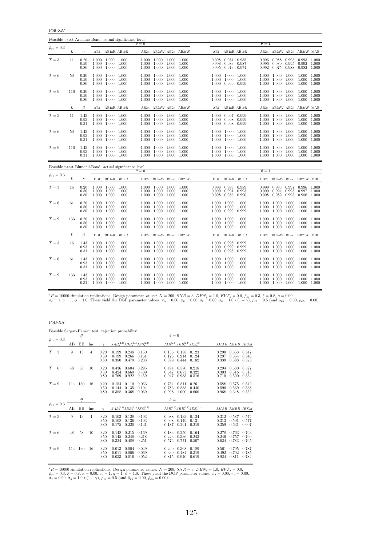P5ft-XA<sup>∗</sup>

| Feasible t-test Arellano-Bond: actual significance level |     |                      |       |                                                             |                         |                                                                   |       |                         |                |                                                             |       |                |                                                                                                 |                         |                                             |  |
|----------------------------------------------------------|-----|----------------------|-------|-------------------------------------------------------------|-------------------------|-------------------------------------------------------------------|-------|-------------------------|----------------|-------------------------------------------------------------|-------|----------------|-------------------------------------------------------------------------------------------------|-------------------------|---------------------------------------------|--|
| $\bar{\rho}_{x\varepsilon}=0.3$                          |     |                      |       |                                                             | $\theta = 0$            |                                                                   |       |                         |                |                                                             |       | $\theta = 1$   |                                                                                                 |                         |                                             |  |
|                                                          | L   | $\gamma$             |       | AB1 AB1aR AB1cR                                             |                         |                                                                   |       | AB2a AB2aW AB2c AB2cW   |                | AB1 AB1aR AB1cR                                             |       |                | AB2a AB2aW AB2c AB2cW MAB                                                                       |                         |                                             |  |
| $T=3$                                                    | 11  | 0.20<br>0.50<br>0.80 |       | 1.000 1.000 1.000<br>1.000 1.000 1.000<br>1.000 1.000 1.000 | 1.000<br>1.000          | 1.000 1.000 1.000 1.000<br>1.000 1.000<br>1.000 1.000             |       | 1.000<br>1.000          | 0.998          | 0.998 0.984 0.985<br>0.983 0.987<br>0.995 0.973 0.974       |       | 0.996<br>0.992 | 0.996 0.988<br>0.989<br>0.975                                                                   | 0.995<br>0.995<br>0.988 | 0.993 1.000<br>0.992 1.000<br>$0.982$ 1.000 |  |
| $T=6$                                                    | 50  | 0.20<br>0.50<br>0.80 |       | 1.000 1.000 1.000<br>1.000 1.000 1.000<br>1.000 1.000 1.000 | 1.000                   | 1.000 1.000 1.000 1.000<br>1.000 1.000 1.000 1.000<br>1.000 1.000 |       | 1.000                   |                | 1.000 1.000 1.000<br>1.000 1.000 1.000<br>1.000 0.999 0.999 |       | 1.000          | 1.000 1.000<br>1.000 1.000 1.000<br>1.000 1.000 1.000 1.000 1.000                               |                         | 1.000 1.000<br>1.000 1.000                  |  |
| $T=9$                                                    | 116 | 0.20<br>0.50<br>0.80 |       | 1.000 1.000 1.000<br>1.000 1.000 1.000<br>1.000 1.000 1.000 | 1.000                   | 1.000 1.000 1.000 1.000<br>1.000 1.000<br>1.000 1.000 1.000 1.000 |       | 1.000                   |                | 1.000 1.000 1.000<br>1.000 1.000 1.000<br>1.000 1.000 1.000 |       | 1.000          | 1.000 1.000 1.000 1.000 1.000<br>1.000<br>1.000 1.000 1.000 1.000 1.000                         | 1.000                   | 1.000 1.000                                 |  |
|                                                          | L   | $\beta$              | AB1   | AB1aR AB1cR                                                 |                         |                                                                   |       | AB2a AB2aW AB2c AB2cW   | AB1            | AB1aR AB1cR                                                 |       |                | AB2a AB2aW AB2c AB2cW MAB                                                                       |                         |                                             |  |
| $T=3$                                                    | 11  | 1.43<br>0.93<br>0.31 |       | 1.000 1.000 1.000<br>1.000 1.000 1.000<br>1.000 1.000 1.000 | 1.000                   | 1.000 1.000 1.000 1.000<br>1.000 1.000 1.000 1.000<br>1.000 1.000 |       | 1.000                   |                | 1.000 0.997 0.999<br>1.000 0.998 0.999<br>1.000 0.998 0.999 |       |                | 1.000 1.000 1.000 1.000 1.000<br>1.000 1.000 1.000 1.000 1.000<br>1.000 1.000 1.000 1.000 1.000 |                         |                                             |  |
| $T=6$                                                    | 50  | 1.43<br>0.93<br>0.31 | 1.000 | 1.000 1.000 1.000<br>1.000 1.000<br>1.000 1.000 1.000       | 1.000                   | 1.000 1.000 1.000 1.000<br>1.000<br>1.000 1.000 1.000             | 1.000 | 1.000<br>1.000          |                | 1.000 1.000 1.000<br>1.000 1.000 1.000<br>1.000 1.000 1.000 |       | 1.000          | 1.000 1.000 1.000 1.000 1.000<br>1.000 1.000<br>1.000 1.000                                     | 1.000                   | 1.000 1.000<br>1.000 1.000                  |  |
| $T=9$                                                    | 116 | 1.43<br>0.93<br>0.31 |       | 1.000 1.000 1.000<br>1.000 1.000 1.000<br>1.000 1.000 1.000 | 1.000<br>1.000          | 1.000 1.000 1.000<br>1.000 1.000<br>1.000 1.000 1.000             |       | 1.000<br>1.000          |                | 1.000 1.000 1.000<br>1.000 1.000 1.000<br>1.000 1.000 1.000 |       |                | 1.000 1.000 1.000 1.000 1.000<br>1.000 1.000<br>1.000 1.000 1.000 1.000 1.000                   | 1.000                   | 1.000 1.000                                 |  |
| Feasible t-test Blundell-Bond: actual significance level |     |                      |       |                                                             | $\theta = 0$            |                                                                   |       |                         |                |                                                             |       | $\theta = 1$   |                                                                                                 |                         |                                             |  |
| $\bar{\rho}_{x\varepsilon} = 0.3$                        | L   | $\gamma$             |       | BB1 BB1aR BB1cR                                             |                         |                                                                   |       | BB2a BB2aW BB2c BB2cW   |                | BB1 BB1aR BB1cR                                             |       |                | BB2a BB2aW BB2c BB2cW MBB                                                                       |                         |                                             |  |
| $T=3$                                                    | 16  | 0.20<br>0.50<br>0.80 |       | 1.000 1.000 1.000<br>1.000 1.000 1.000<br>1.000 1.000 1.000 | 1.000<br>1.000          | 1.000 1.000 1.000 1.000<br>1.000 1.000<br>1.000 1.000             |       | 1.000<br>1.000          | 0.999<br>0.998 | 0.998 0.989 0.989<br>0.991 0.993<br>0.986                   | 0.990 | 0.999<br>0.998 | 0.999 0.993 0.997 0.996 1.000<br>0.994<br>0.982                                                 | 0.998<br>0.993          | 0.997 1.000<br>0.986 1.000                  |  |
| $T=6$                                                    | 61  | 0.20<br>0.50<br>0.80 |       | 1.000 1.000 1.000<br>1.000 1.000 1.000<br>1.000 1.000 1.000 | 1.000                   | 1.000 1.000 1.000 1.000<br>1.000 1.000 1.000<br>1.000 1.000       |       | 1.000<br>1.000          | 1.000          | 1.000 1.000 1.000<br>1.000 1.000 1.000<br>0.999             | 0.999 | 1.000<br>1.000 | 1.000 1.000 1.000<br>1.000 1.000<br>1.000                                                       | 1.000                   | 1.000 1.000<br>1.000 1.000<br>1.000 1.000   |  |
| $T=9$                                                    | 133 | 0.20<br>0.50<br>0.80 | 1.000 | 1.000 1.000 1.000<br>1.000 1.000<br>1.000 1.000 1.000       | 1.000<br>1.000          | 1.000 1.000<br>1.000<br>1.000 1.000 1.000 1.000                   | 1.000 | 1.000<br>1.000          |                | 1.000 1.000 1.000<br>1.000 1.000 1.000<br>1.000 1.000 1.000 |       | 1.000          | 1.000 1.000 1.000 1.000 1.000<br>1.000<br>1.000 1.000 1.000 1.000 1.000                         | 1.000                   | 1.000 1.000                                 |  |
|                                                          | L   | $\beta$              | BB1   | BB1aR BB1cR                                                 |                         | BB2a BB2aW BB2c BB2cW                                             |       |                         | BB1            | BB1aR BB1cR                                                 |       |                | BB2a BB2aW BB2c BB2cW MBB                                                                       |                         |                                             |  |
| $T=3$                                                    | 16  | 1.43<br>0.93<br>0.31 |       | 1.000 1.000 1.000<br>1.000 1.000 1.000<br>1.000 1.000 1.000 | 1.000                   | 1.000 1.000 1.000 1.000<br>1.000 1.000 1.000 1.000<br>1.000 1.000 |       | 1.000                   |                | 1.000 0.998 0.999<br>1.000 0.999 0.999<br>1.000 0.998       | 0.999 |                | 1.000 1.000 1.000 1.000 1.000<br>1.000 1.000 1.000 1.000 1.000<br>1.000 1.000 1.000 1.000 1.000 |                         |                                             |  |
| $T=6$                                                    | 61  | 1.43<br>0.93<br>0.31 | 1.000 | 1.000 1.000 1.000<br>1.000 1.000<br>1.000 1.000 1.000       | 1.000<br>1.000<br>1.000 | 1.000 1.000 1.000<br>1.000<br>1.000 1.000                         | 1.000 | 1.000<br>1.000          |                | 1.000 1.000 1.000<br>1.000 1.000 1.000<br>1.000 1.000 1.000 |       | 1.000          | 1.000 1.000 1.000 1.000 1.000<br>1.000<br>1.000 1.000 1.000                                     | 1.000                   | 1.000 1.000<br>1.000 1.000                  |  |
| $T=9$                                                    | 133 | 1.43<br>0.93<br>0.31 |       | 1.000 1.000 1.000<br>1.000 1.000 1.000<br>1.000 1.000 1.000 | 1.000<br>1.000          | 1.000 1.000<br>1.000 1.000<br>1.000 1.000 1.000                   |       | 1.000<br>1.000<br>1.000 |                | 1.000 1.000 1.000<br>1.000 1.000 1.000<br>1.000 1.000 1.000 |       | 1.000          | 1.000<br>1.000 1.000<br>1.000 1.000 1.000 1.000 1.000                                           | 1.000<br>1.000          | 1.000 1.000<br>1.000 1.000                  |  |

 ${}^{*}R = 10000$  simulation replications. Design parameter values:  $N = 200$ ,  $SNR = 3$ ,  $DEN_y = 1.0$ ,  $EVF_x = 0.0$ ,  $E_{xz} = 0.3$ ,  $\xi = 0.8$ ,  $\kappa = 0.00$ ,<br> $\sigma_x = 1$ ,  $q = 1$ ,  $\phi = 1.0$ . These yield the DGP parameter values:  $\pi_{\lambda} =$ 

P5fJ-XA<sup>∗</sup>

|                                 |     |           |     |                      | Feasible Sargan-Hansen test: rejection probability |                         |                         |                         |                                           |                         |                         |                         |
|---------------------------------|-----|-----------|-----|----------------------|----------------------------------------------------|-------------------------|-------------------------|-------------------------|-------------------------------------------|-------------------------|-------------------------|-------------------------|
|                                 |     | df        |     |                      |                                                    |                         | $\theta = 0$            |                         |                                           |                         |                         |                         |
| $\bar{\rho}_{x\varepsilon}=0.3$ | AВ  | <b>BB</b> | Inc | $\sim$               | $JAB_a^{(2,1)}JBB_a^{(2,1)}JES_a^{(2,1)}$          |                         |                         |                         | $JAB_c^{(2,1)}JBB_c^{(2,1)}JES_c^{(2,1)}$ |                         | JMAB JMBB JESM          |                         |
| $T=3$                           | 9   | 13        | 4   | 0.20<br>0.50<br>0.80 | 0.199<br>0.248<br>0.199<br>0.266<br>0.380<br>0.479 | 0.150<br>0.161<br>0.233 | 0.156<br>0.176<br>0.399 | 0.188<br>0.214<br>0.444 | 0.123<br>0.124<br>0.182                   | 0.290<br>0.297<br>0.339 | 0.353<br>0.354<br>0.388 | 0.347<br>0.346<br>0.373 |
| $T=6$                           | 48  | 58        | 10  | 0.20<br>0.50<br>0.80 | 0.436<br>0.604<br>0.424<br>0.669<br>0.769<br>0.922 | 0.295<br>0.409<br>0.459 | 0.494<br>0.547<br>0.947 | 0.570<br>0.673<br>0.983 | 0.218<br>0.322<br>0.516                   | 0.294<br>0.303<br>0.710 | 0.530<br>0.516<br>0.590 | 0.527<br>0.515<br>0.534 |
| $T=9$                           | 114 | 130       | 16  | 0.20<br>0.50<br>0.80 | 0.154<br>0.110<br>0.135<br>0.144<br>0.388<br>0.368 | 0.063<br>0.104<br>0.069 | 0.754<br>0.783<br>0.998 | 0.811<br>0.885<br>1.000 | 0.261<br>0.440<br>0.660                   | 0.588<br>0.590<br>0.968 | 0.575<br>0.569<br>0.648 | 0.542<br>0.538<br>0.552 |
|                                 |     | df        |     |                      |                                                    |                         | $\theta=1$              |                         |                                           |                         |                         |                         |
| $\bar{\rho}_{x\varepsilon}=0.3$ | AВ  | <b>BB</b> | Inc | $\gamma$             | $JAB_a^{(2,1)}JBB_a^{(2,1)}JES_a^{(2,1)}$          |                         |                         |                         | $JAB_c^{(2,1)}JBB_c^{(2,1)}JES_c^{(2,1)}$ |                         | JMAB JMBB JESM          |                         |
| $T=3$                           | 9   | 13        | 4   | 0.20<br>0.50<br>0.80 | 0.103<br>0.128<br>0.108<br>0.136<br>0.175<br>0.220 | 0.103<br>0.103<br>0.141 | 0.088<br>0.098<br>0.187 | 0.133<br>0.149<br>0.291 | 0.124<br>0.131<br>0.219                   | 0.312<br>0.313<br>0.359 | 0.587<br>0.591<br>0.631 | 0.574<br>0.577<br>0.607 |
| $T=6$                           | 48  | 58        | 10  | 0.20<br>0.50<br>0.80 | 0.148<br>0.215<br>0.145<br>0.248<br>0.324<br>0.488 | 0.169<br>0.218<br>0.251 | 0.183<br>0.223<br>0.576 | 0.250<br>0.336<br>0.771 | 0.164<br>0.243<br>0.507                   | 0.278<br>0.246<br>0.624 | 0.763<br>0.757<br>0.783 | 0.763<br>0.760<br>0.765 |
| $T=9$                           | 114 | 130       | 16  | 0.20<br>0.50<br>0.80 | 0.013<br>0.004<br>0.011<br>0.006<br>0.033<br>0.016 | 0.049<br>0.069<br>0.052 | 0.290<br>0.339<br>0.815 | 0.368<br>0.484<br>0.940 | 0.189<br>0.319<br>0.619                   | 0.561<br>0.492<br>0.924 | 0.795<br>0.792<br>0.811 | 0.787<br>0.785<br>0.784 |

\*R = 10000 simulation replications. Design parameter values:  $N = 200$ ,  $SNR = 3$ ,  $DEN_y = 1.0$ ,  $EVF_x = 0.0$ ,  $\bar{\rho}_{xe} = 0.3$ ,  $\xi = 0.8$ ,  $\kappa = 0.00$ ,  $\sigma_e = 1$ ,  $q = 1$ ,  $\phi = 1.0$ . These yield the DGP parameter values:  $\pi_{\lambda} = 0.$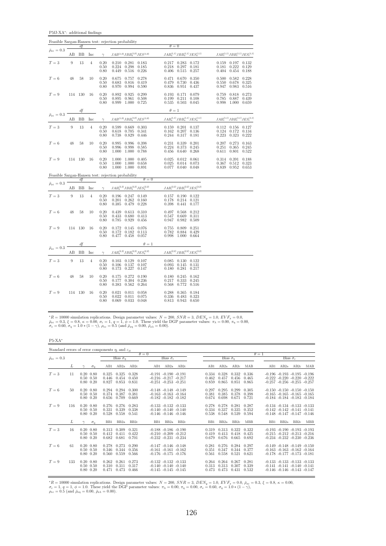P5fJ-XA<sup>∗</sup> : additional findings

|                                 |     |           |                |                                                     | Feasible Sargan-Hansen test: rejection probability                                     |                                                                                                              |                                                                                |
|---------------------------------|-----|-----------|----------------|-----------------------------------------------------|----------------------------------------------------------------------------------------|--------------------------------------------------------------------------------------------------------------|--------------------------------------------------------------------------------|
| $\bar{\rho}_{x\varepsilon}=0.3$ |     | df        |                |                                                     |                                                                                        | $\theta = 0$                                                                                                 |                                                                                |
|                                 | AB  | <b>BB</b> | Inc            | $\gamma$                                            | $JAB^{(1,0)}JBB^{(1,0)}_aJES^{(1,0)}$                                                  | $JAB_a^{(1,1)}JBB_a^{(1,1)}JES_a^{(1,1)}$                                                                    | $JAB_c^{(1,1)}JBB_c^{(1,1)}JES_c^{(1,1)}$                                      |
| $T=3$                           | 9   | 13        | $\overline{4}$ | 0.20<br>0.50<br>0.80                                | 0.210<br>0.183<br>0.281<br>0.224<br>0.298<br>0.185<br>0.449<br>0.516<br>0.226          | 0.217<br>0.283<br>0.172<br>0.218<br>0.297<br>0.181<br>0.406<br>0.515<br>0.257                                | 0.159 0.197<br>0.132<br>0.181<br>0.222<br>0.129<br>0.454<br>0.188<br>0.404     |
| $T=6$                           | 48  | 58        | 10             | 0.20<br>0.50<br>0.80                                | 0.757<br>0.675<br>0.278<br>0.683<br>0.816<br>0.419<br>0.970<br>0.994<br>0.590          | 0.670<br>0.471<br>0.350<br>0.479<br>0.436<br>0.730<br>0.836<br>0.951<br>0.437                                | 0.582<br>0.500<br>0.228<br>0.550<br>0.678<br>0.325<br>0.947<br>0.983<br>0.516  |
| $T=9$                           | 114 | 130       | 16             | 0.20<br>0.50<br>0.80                                | 0.892<br>0.925<br>0.299<br>0.961<br>0.508<br>0.895<br>0.999<br>1.000<br>0.725          | 0.193<br>0.171<br>0.079<br>0.199<br>0.211<br>0.108<br>0.535<br>0.503<br>0.045                                | 0.818<br>0.759<br>0.273<br>0.887<br>0.439<br>0.785<br>0.998<br>1.000<br>0.659  |
|                                 |     | df        |                |                                                     |                                                                                        | $\theta = 1$                                                                                                 |                                                                                |
| $\bar{\rho}_{x\varepsilon}=0.3$ | AВ  | BB        | Inc            | $\gamma$                                            | $JAB^{(1,0)}JBB^{(1,0)}_aJES^{(1,0)}$                                                  | $JAB^{(1,1)}_aJBB^{(1,1)}_aJES^{(1,1)}_a$                                                                    | $JAB_c^{(1,1)}JBB_c^{(1,1)}JES_c^{(1,1)}$                                      |
| $T=3$                           | 9   | 13        | $\overline{4}$ | $\begin{array}{c} 0.20 \\ 0.50 \end{array}$<br>0.80 | 0.599<br>0.669<br>0.303<br>0.705<br>0.341<br>0.618<br>0.738<br>0.829<br>0.446          | 0.159<br>0.201<br>0.137<br>0.162<br>0.136<br>$0.207\,$<br>0.244<br>0.317<br>0.181                            | $0.112$ $0.156$<br>0.127<br>0.124<br>0.172<br>0.134<br>0.223<br>0.323<br>0.222 |
| $T=6$                           | 48  | 58        | 10             | 0.20<br>0.50<br>0.80                                | 0.995<br>0.996<br>0.398<br>0.998<br>0.585<br>0.996<br>1.000<br>1.000<br>0.788          | 0.231<br>0.339<br>0.201<br>0.224<br>0.245<br>0.373<br>0.456<br>0.640<br>0.268                                | 0.273<br>0.163<br>0.207<br>0.251<br>0.365<br>0.245<br>0.611<br>0.801<br>0.522  |
| $T=9$                           | 114 | 130       | 16             | 0.20<br>0.50<br>0.80                                | 1.000 0.405<br>1.000<br>0.658<br>1.000<br>1.000<br>1.000<br>1.000<br>0.891             | 0.025<br>0.012<br>0.061<br>$0.025$<br>$0.077$<br>0.073<br>0.014<br>0.040<br>0.048                            | 0.391<br>0.314<br>0.188<br>0.367<br>0.512<br>0.323<br>0.839<br>0.952<br>0.653  |
|                                 |     |           |                |                                                     | Feasible Sargan-Hansen test: rejection probability<br>$\theta = 0$                     |                                                                                                              |                                                                                |
| $\bar{\rho}_{x\varepsilon}=0.3$ | AB  | df<br>BB  | Inc            | $\gamma$                                            | $JAB_a^{(2,2)}JBB_a^{(2,2)}JES_a^{(2,2)}$                                              | $JAB_c^{(2,2)}JBB_c^{(2,2)}JES_c^{(2,2)}$                                                                    |                                                                                |
| $T=3$                           | 9   | 13        | $\overline{4}$ | 0.20<br>0.50<br>0.80                                | $0.196$ $0.247$<br>0.149<br>0.201<br>0.262<br>0.160<br>0.385<br>0.479<br>0.228         | 0.157<br>$0.190$ $0.122$<br>0.178<br>0.214<br>0.121<br>0.398<br>0.441<br>0.177                               |                                                                                |
| $T=6$                           | 48  | 58        | 10             | 0.20<br>0.50<br>0.80                                | 0.439<br>0.613<br>0.310<br>0.433<br>0.680<br>0.413<br>0.785<br>0.929<br>0.456          | 0.497<br>0.568<br>0.212<br>0.547<br>0.311<br>0.669<br>0.947<br>0.982<br>0.509                                |                                                                                |
| $T=9$                           | 114 | 130       | 16             | $0.20\,$<br>0.50<br>0.80                            | 0.145<br>0.076<br>0.172<br>0.182<br>0.113<br>0.172<br>0.477<br>0.458<br>0.057          | 0.809<br>$\begin{array}{c} 0.755 \\ 0.782 \\ 0.998 \end{array}$<br>0.251<br>0.429<br>0.884<br>1.000<br>0.664 |                                                                                |
| $\bar{\rho}_{x\varepsilon}=0.3$ |     | df        |                |                                                     | $\theta=1$                                                                             |                                                                                                              |                                                                                |
|                                 | AВ  | ΒB        | Inc            | $\gamma$                                            | $JAB_{a}^{\left( 2,2\right) }JBB_{a}^{\left( 2,2\right) }JES_{a}^{\left( 2,2\right) }$ | $JAB_c^{(2,2)}JBB_c^{(2,2)}JES_c^{(2,2)}$                                                                    |                                                                                |
| $T=3$                           | 9   | 13        | $\overline{4}$ | 0.20<br>0.50<br>0.80                                | $0.103$ $0.129$ $0.107$<br>0.137<br>0.106<br>0.107<br>0.173<br>0.227<br>0.147          | 0.085<br>$0.130 \quad 0.122$<br>0.093<br>0.145<br>0.131<br>0.180<br>0.281<br>0.217                           |                                                                                |
| $T=6$                           | 48  | 58        | 10             | 0.20<br>0.50<br>0.80                                | 0.175<br>0.272<br>0.190<br>0.304<br>0.177<br>0.236<br>$0.562$ $0.264$<br>0.383         | 0.180<br>0.245<br>0.162<br>$\frac{0.217}{0.568}$<br>0.333<br>0.245<br>0.772<br>0.516                         |                                                                                |
| $T=9$                           | 114 | 130       | 16             | 0.20<br>0.50<br>0.80                                | 0.011<br>0.021<br>0.058<br>0.022<br>0.011<br>0.075<br>0.069<br>0.033<br>0.048          | 0.288<br>0.365<br>0.184<br>0.336<br>0.323<br>0.483<br>0.813<br>0.943<br>0.650                                |                                                                                |

 ${}^*R = 10000$  simulation replications. Design parameter values:  $N = 200$ ,  $SNR = 3$ ,  $DEN_y = 1.0$ ,  $EVF_x = 0.0$ ,  $\bar{\rho}_{xe} = 0.3$ ,  $\xi = 0.8$ ,  $\kappa = 0.00$ ,  $\sigma_e = 1$ ,  $q = 1$ ,  $\phi = 1.0$ . These yield the DGP parameter values:  $\pi_{\lambda} =$ 

P5-XA<sup>∗</sup>

| Standard errors of error components $\eta_i$ and $\varepsilon_{it}$ |     |                                                   |                         |                         |                         |              |                                   |                                                                                      |                               |                         |                                         |                         |              |                                                                                                                   |                                   |     |
|---------------------------------------------------------------------|-----|---------------------------------------------------|-------------------------|-------------------------|-------------------------|--------------|-----------------------------------|--------------------------------------------------------------------------------------|-------------------------------|-------------------------|-----------------------------------------|-------------------------|--------------|-------------------------------------------------------------------------------------------------------------------|-----------------------------------|-----|
|                                                                     |     |                                                   |                         |                         |                         | $\theta = 0$ |                                   |                                                                                      |                               |                         |                                         |                         | $\theta = 1$ |                                                                                                                   |                                   |     |
| $\bar{\rho}_{x\varepsilon}=0.3$                                     |     |                                                   |                         | Bias $\hat{\sigma}_n$   |                         |              | Bias $\hat{\sigma}_{\varepsilon}$ |                                                                                      |                               | Bias $\hat{\sigma}_n$   |                                         |                         |              |                                                                                                                   | Bias $\hat{\sigma}_{\varepsilon}$ |     |
|                                                                     | L   | $\sigma_n$                                        | AB1                     | AB2a                    | AB2c                    | AB1          | AB2a                              | AB2c                                                                                 | AB1                           | AB2a                    | AB2c                                    | MAB                     | AB1          | AB2a                                                                                                              | AB2c                              | MAB |
| $T=3$                                                               | 11  | $0.20\ 0.80$<br>$0.50 \quad 0.50$<br>$0.80\ 0.20$ | 0.325<br>0.446<br>0.827 | 0.325<br>0.454<br>0.853 | 0.328<br>0.450<br>0.831 |              | $-0.191 - 0.190 - 0.191$          | $-0.216$ $-0.217$ $-0.217$<br>$-0.251 - 0.253 - 0.251$                               | 0.334 0.328<br>0.462<br>0.859 | 0.457<br>0.865          | 0.332<br>0.456<br>0.851                 | 0.336<br>0.465<br>0.865 |              | $-0.196$ $-0.193$ $-0.195$ $-0.196$<br>$-0.222 - 0.220 - 0.220 - 0.222$<br>$-0.257 -0.256 -0.255 -0.257$          |                                   |     |
| $T=6$                                                               | 50  | $0.20\ 0.80$<br>$0.50 \quad 0.50$<br>$0.80\ 0.20$ | 0.294<br>0.374<br>0.656 | 0.294<br>0.387<br>0.709 | 0.300<br>0.381<br>0.669 |              |                                   | $-0.148$ $-0.148$ $-0.149$<br>$-0.163 - 0.163 - 0.164$<br>$-0.182$ $-0.182$ $-0.182$ | 0.297<br>0.381<br>0.674       | 0.295<br>0.385<br>0.698 | 0.299<br>0.378<br>0.671                 | 0.305<br>0.398<br>0.721 |              | $-0.150 - 0.150 - 0.150 - 0.150$<br>$-0.165 - 0.165 - 0.165 - 0.165$<br>$-0.184$ $-0.184$ $-0.183$ $-0.184$       |                                   |     |
| $T=9$                                                               | 116 | $0.20\ 0.80$<br>$0.50 \quad 0.50$<br>$0.80\ 0.20$ | 0.276<br>0.331<br>0.528 | 0.276<br>0.339<br>0.558 | 0.283<br>0.338<br>0.541 |              |                                   | $-0.133 - 0.132 - 0.133$<br>$-0.140 -0.140 -0.140$<br>$-0.146$ $-0.146$ $-0.146$     | 0.278<br>0.334<br>0.538       | 0.278<br>0.337<br>0.548 | 0.281<br>0.335<br>0.539                 | 0.287<br>0.352<br>0.594 |              | $-0.134$ $-0.134$ $-0.133$ $-0.133$<br>$-0.142$ $-0.142$ $-0.141$ $-0.141$<br>$-0.148$ $-0.147$ $-0.147$ $-0.146$ |                                   |     |
|                                                                     | L   | $\sigma_n$<br>$\sim$                              | B <sub>B1</sub>         | BB <sub>2a</sub>        | BB2c                    | BB1          | BB <sub>2a</sub>                  | BB2c                                                                                 | BB1                           | BB <sub>2a</sub>        | BB <sub>2c</sub>                        | <b>MBB</b>              | BB1          | BB <sub>2a</sub>                                                                                                  | BB <sub>2c</sub>                  | MBB |
| $T=3$                                                               | 16  | $0.20\ 0.80$<br>$0.50 \quad 0.50$<br>$0.80\ 0.20$ | 0.313<br>0.412<br>0.682 | 0.309<br>0.411<br>0.681 | 0.321<br>0.422<br>0.701 |              |                                   | $-0.188$ $-0.186$ $-0.190$<br>$-0.210 - 0.209 - 0.212$<br>$-0.232 - 0.231 - 0.234$   | 0.319<br>0.419<br>0.679       | 0.313<br>0.413<br>0.676 | 0.322<br>0.418<br>0.665                 | 0.322<br>0.425<br>0.692 |              | $-0.193 - 0.190 - 0.193 - 0.193$<br>$-0.215 -0.212 -0.213 -0.216$<br>$-0.234$ $-0.232$ $-0.230$ $-0.236$          |                                   |     |
| $T=6$                                                               | 61  | $0.20\ 0.80$<br>$0.50 \quad 0.50$<br>$0.80\ 0.20$ | 0.278<br>0.346<br>0.560 | 0.273<br>0.344<br>0.559 | 0.290<br>0.356<br>0.566 |              |                                   | $-0.147 - 0.146 - 0.148$<br>$-0.161 - 0.161 - 0.162$<br>$-0.176$ $-0.175$ $-0.176$   | 0.281<br>0.351<br>0.561       | 0.276<br>0.347<br>0.558 | 0.284 0.297<br>0.344<br>$0.521$ $0.621$ | 0.377                   |              | $-0.149 - 0.148 - 0.149 - 0.150$<br>$-0.163$ $-0.163$ $-0.162$ $-0.164$<br>$-0.178$ $-0.177$ $-0.173$ $-0.181$    |                                   |     |
| $T=9$                                                               | 133 | $0.20\ 0.80$<br>$0.50 \quad 0.50$<br>$0.80\ 0.20$ | 0.262<br>0.310<br>0.471 | 0.261<br>0.311<br>0.473 | 0.273<br>0.317<br>0.466 |              |                                   | $-0.132 - 0.132 - 0.133$<br>$-0.140 - 0.140 - 0.140$<br>$-0.145 - 0.145 - 0.145$     | 0.264<br>0.313<br>0.473       | 0.264<br>0.313<br>0.473 | 0.267<br>0.307<br>0.431                 | 0.281<br>0.339<br>0.532 |              | $-0.133 - 0.133 - 0.133 - 0.133$<br>$-0.141$ $-0.141$ $-0.140$ $-0.141$<br>$-0.146$ $-0.146$ $-0.143$ $-0.147$    |                                   |     |

 ${}^*R = 10000$  simulation replications. Design parameter values:  $N = 200$ ,  $SNR = 3$ ,  $DEN_y = 1.0$ ,  $EVF_x = 0.0$ ,  $\bar{\rho}_{x\bar{x}} = 0.3$ ,  $\xi = 0.8$ ,  $\kappa = 0.00$ ,<br>  $\sigma_{\varepsilon} = 1$ ,  $q = 1$ ,  $\phi = 1.0$ . These yield the DGP parameter values: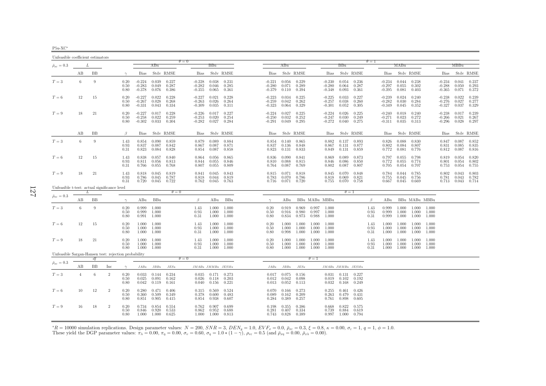| Unfeasible coefficient estimators                    |                |        |                |                      |                                  |                         |                         |                      |                                  |                               |                         |                                  |                                   |                         |                         |                                  |                                 |                         |                      |                                  |                                    |                         |                         |                                  |                                   |                         |
|------------------------------------------------------|----------------|--------|----------------|----------------------|----------------------------------|-------------------------|-------------------------|----------------------|----------------------------------|-------------------------------|-------------------------|----------------------------------|-----------------------------------|-------------------------|-------------------------|----------------------------------|---------------------------------|-------------------------|----------------------|----------------------------------|------------------------------------|-------------------------|-------------------------|----------------------------------|-----------------------------------|-------------------------|
| $\bar{\rho}_{x\varepsilon} = 0.3$                    |                | L      |                |                      |                                  | ABu                     |                         | $\theta = 0$         |                                  | BBu                           |                         |                                  | ABu                               |                         |                         |                                  | BBu                             |                         | $\theta = 1$         |                                  | MABu                               |                         |                         |                                  | MBBu                              |                         |
|                                                      | AВ             | ΒB     |                | $\gamma$             | Bias                             |                         | Stdy RMSE               |                      | Bias                             |                               | Stdy RMSE               | Bias                             |                                   | Stdy RMSE               |                         | Bias                             |                                 | Stdy RMSE               |                      | Bias                             |                                    | Stdy RMSE               |                         | Bias                             |                                   | Stdy RMSE               |
| $T=3$                                                | 6              | 9      |                | 0.20<br>0.50<br>0.80 | $-0.224$<br>$-0.283$<br>$-0.378$ | 0.039<br>0.049<br>0.076 | 0.227<br>0.287<br>0.386 |                      | $-0.228$<br>$-0.282$<br>$-0.355$ | 0.038<br>0.046<br>0.065       | 0.231<br>0.285<br>0.361 | $-0.221$<br>$-0.280$<br>$-0.379$ | 0.056<br>0.071<br>0.110           | 0.229<br>0.289<br>0.394 |                         | $-0.230$<br>$-0.280$<br>$-0.348$ | 0.054<br>0.064<br>0.093         | 0.236<br>0.287<br>0.361 |                      | $-0.234$<br>$-0.297$<br>$-0.395$ | 0.044<br>0.055<br>0.081            | 0.238<br>0.302<br>0.403 |                         | $-0.234$<br>$-0.288$<br>$-0.365$ | 0.041<br>0.050<br>0.071           | 0.237<br>0.293<br>0.372 |
| $T=6$                                                | 12             | 15     |                | 0.20<br>0.50<br>0.80 | $-0.227$<br>$-0.267$<br>$-0.331$ | 0.022<br>0.028<br>0.043 | 0.228<br>0.268<br>0.334 |                      | $-0.227$<br>$-0.263$<br>$-0.309$ | 0.021<br>0.026<br>0.035       | 0.228<br>0.264<br>0.311 | $-0.223$<br>$-0.259$<br>$-0.323$ | 0.034<br>0.042<br>0.064           | 0.225<br>0.262<br>0.329 |                         | $-0.225$<br>$-0.257$<br>$-0.301$ | 0.033<br>0.038<br>0.052         | 0.227<br>0.260<br>0.305 |                      | $-0.239$<br>$-0.282$<br>$-0.349$ | 0.024<br>0.030<br>0.045            | 0.240<br>0.284<br>0.352 |                         | $-0.238$<br>$-0.276$<br>$-0.327$ | 0.022<br>0.027<br>0.037           | 0.239<br>0.277<br>0.329 |
| $T=9$                                                | 18             | 21     |                | 0.20<br>0.50<br>0.80 | $-0.227$<br>$-0.258$<br>$-0.302$ | 0.017<br>0.022<br>0.033 | 0.228<br>0.259<br>0.304 |                      | $-0.226$<br>$-0.253$<br>$-0.282$ | 0.017<br>0.020<br>0.027       | 0.227<br>0.254<br>0.284 | $-0.224$<br>$-0.250$<br>$-0.291$ | 0.027<br>0.032<br>0.049           | 0.225<br>0.252<br>0.295 |                         | $-0.224$<br>$-0.247$<br>$-0.272$ | 0.026<br>0.030<br>0.040         | 0.225<br>0.249<br>0.275 |                      | $-0.240$<br>$-0.271$             | 0.018<br>0.023<br>$-0.311$ $0.035$ | 0.240<br>0.272<br>0.313 |                         | $-0.238$<br>$-0.266$<br>$-0.296$ | 0.017<br>0.021<br>0.028           | 0.239<br>0.267<br>0.297 |
|                                                      | AВ             | BB     |                | $\beta$              | Bias                             |                         | Stdy RMSE               |                      | Bias                             |                               | Stdy RMSE               | Bias                             |                                   | Stdy RMSE               |                         | Bias                             |                                 | Stdy RMSE               |                      | Bias                             |                                    | Stdy RMSE               |                         | Bias                             |                                   | Stdy RMSE               |
| $T=3$                                                | 6              | 9      |                | 1.43<br>0.93<br>0.31 | 0.854<br>0.837<br>0.823          | 0.090<br>0.087<br>0.084 | 0.859<br>0.842<br>0.828 |                      | 0.879<br>0.867<br>0.854          | 0.089<br>0.087<br>0.087       | 0.884<br>0.871<br>0.858 | 0.854<br>0.837<br>0.823          | 0.140<br>0.136<br>0.131           | 0.865<br>0.848<br>0.833 |                         | 0.882<br>0.867<br>0.849          | 0.137<br>0.131<br>0.131         | 0.893<br>0.877<br>0.859 |                      | 0.826<br>0.802<br>0.772          | 0.088<br>0.084<br>0.081            | 0.830<br>0.807<br>0.776 |                         | 0.847<br>0.831                   | 0.087<br>0.085<br>$0.812$ 0.087   | 0.852<br>0.835<br>0.816 |
| $T=6$                                                | 12             | 15     |                | 1.43<br>0.93<br>0.31 | 0.838<br>0.811<br>0.766          | 0.057<br>0.056<br>0.055 | 0.840<br>0.813<br>0.768 |                      | 0.864<br>0.844<br>0.807          | 0.056<br>0.055<br>0.055       | 0.865<br>0.846<br>0.809 | 0.836<br>0.810<br>0.764          | 0.090<br>0.088<br>0.087           | 0.841<br>0.815<br>0.769 |                         | 0.869<br>0.846<br>0.802          | 0.089<br>0.086<br>0.087         | 0.873<br>0.850<br>0.807 |                      | 0.797<br>0.772<br>0.705          | 0.055<br>0.055<br>0.054            | 0.798<br>0.774<br>0.707 |                         | 0.819<br>0.801<br>0.753          | 0.054<br>0.054<br>0.054           | 0.820<br>0.802<br>0.755 |
| $T=9$                                                | 18             | 21     |                | 1.43<br>0.93<br>0.31 | 0.818<br>0.786<br>0.720          | 0.045<br>0.045<br>0.045 | 0.819<br>0.787<br>0.722 |                      | 0.841<br>0.818<br>0.762          | 0.045<br>0.044<br>0.045       | 0.843<br>0.819<br>0.763 | 0.815<br>0.783                   | 0.071<br>0.070<br>$0.716$ $0.071$ | 0.818<br>0.786<br>0.720 |                         | 0.845<br>0.818<br>0.755          | 0.070<br>0.069<br>0.070         | 0.848<br>0.821<br>0.758 |                      | 0.784<br>0.755<br>0.667          | 0.044<br>0.045<br>0.045            | 0.785<br>0.756<br>0.669 |                         | 0.802<br>0.781                   | 0.043<br>0.043<br>$0.713$ $0.043$ | 0.803<br>0.782<br>0.714 |
| Unfeasible t-test: actual significance level         |                | L      |                |                      |                                  |                         | $\theta = 0$            |                      |                                  |                               |                         |                                  |                                   |                         |                         |                                  | $\theta = 1$                    |                         |                      |                                  |                                    |                         |                         |                                  |                                   |                         |
| $\bar{\rho}_{x\varepsilon}=0.3$                      | AВ             | BB     |                | $\gamma$             | ABu                              | BBu                     |                         |                      | $\beta$                          | ABu                           | BBu                     | $\gamma$                         | ABu                               |                         |                         | BBu MABu MBBu                    |                                 |                         | $\beta$              | ABu                              |                                    |                         | BBu MABu MBBu           |                                  |                                   |                         |
| $T=3$                                                | 6              | 9      |                | 0.20<br>0.50<br>0.80 | 0.999<br>0.999<br>0.991          | 1.000<br>1.000<br>1.000 |                         | 0.31                 | 1.43<br>0.93                     | 1.000<br>1.000<br>1.000       | 1.000<br>1.000<br>1.000 | 0.20<br>0.50<br>0.80             | 0.919<br>0.916<br>0.834           | 0.969<br>0.980<br>0.973 | 0.997<br>0.997<br>0.988 | 1.000<br>1.000<br>1.000          |                                 |                         | 1.43<br>0.93<br>0.31 | 0.999<br>0.999<br>0.999          | 1.000<br>1.000<br>1.000            | 1.000<br>1.000<br>1.000 | 1.000<br>1.000<br>1.000 |                                  |                                   |                         |
| $T=6$                                                | 12             | 15     |                | 0.20<br>0.50<br>0.80 | 1.000<br>1.000<br>1.000          | 1.000<br>1.000<br>1.000 |                         | 0.93<br>0.31         | 1.43                             | 1.000<br>1.000<br>1.000       | 1.000<br>1.000<br>1.000 | 0.20<br>0.50<br>0.80             | 1.000<br>1.000<br>0.998           | 1.000<br>1.000<br>1.000 | 1.000<br>1.000<br>1.000 | 1.000<br>1.000<br>1.000          |                                 |                         | 1.43<br>0.93<br>0.31 | 1.000<br>1.000<br>1.000          | 1.000<br>1.000<br>1.000            | 1.000<br>1.000<br>1.000 | 1.000<br>1.000<br>1.000 |                                  |                                   |                         |
| $T=9$                                                | 18             | 21     |                | 0.20<br>0.50<br>0.80 | 1.000<br>1.000<br>1.000          | 1.000<br>1.000<br>1.000 |                         | 1.43<br>0.93<br>0.31 |                                  | 1.000<br>1.000<br>1.000       | 1.000<br>1.000<br>1.000 | 0.20<br>0.50<br>0.80             | 1.000<br>1.000<br>1.000           | 1.000<br>1.000<br>1.000 | 1.000<br>1.000<br>1.000 | 1.000<br>1.000<br>1.000          |                                 |                         | 1.43<br>0.93<br>0.31 | 1.000<br>1.000<br>1.000          | 1.000<br>1.000<br>1.000            | 1.000<br>1.000<br>1.000 | 1.000<br>1.000<br>1.000 |                                  |                                   |                         |
| Unfeasible Sargan-Hansen test: rejection probability |                | df     |                |                      |                                  |                         |                         | $\theta = 0$         |                                  |                               |                         |                                  |                                   |                         | $\theta = 1$            |                                  |                                 |                         |                      |                                  |                                    |                         |                         |                                  |                                   |                         |
| $\bar{\rho}_{x\varepsilon}=0.3$                      | AВ             | BB     | Inc            | $\gamma$             | JABu                             | JBBu                    | JESu                    |                      |                                  | JMABu JMMBu JESMu             |                         | JABu                             | JBBu                              | JESu                    |                         | JMABu JMMBu JESMu                |                                 |                         |                      |                                  |                                    |                         |                         |                                  |                                   |                         |
| $T=3$                                                | $\overline{4}$ | 6      | $\overline{2}$ | 0.20<br>0.50<br>0.80 | 0.033<br>0.025<br>0.042          | 0.144<br>0.091<br>0.119 | 0.234<br>0.162<br>0.161 |                      | 0.035<br>0.026<br>0.040          | 0.171<br>0.118<br>0.156       | 0.273<br>0.203<br>0.221 | 0.017<br>0.012<br>0.013          | 0.075<br>0.042<br>0.052           | 0.156<br>0.098<br>0.113 |                         | 0.031<br>0.019<br>0.032          | 0.131<br>0.102<br>0.168         | 0.227<br>0.192<br>0.249 |                      |                                  |                                    |                         |                         |                                  |                                   |                         |
| $T=6$                                                | 10             | 12     | $\overline{2}$ | 0.20<br>0.50<br>0.80 | 0.280<br>0.360<br>0.851          | 0.471<br>0.509<br>0.905 | 0.406<br>0.349<br>0.415 |                      | 0.315<br>0.378<br>0.854          | 0.569<br>0.600<br>0.938       | 0.524<br>0.483<br>0.607 | 0.070<br>0.089<br>0.284          | 0.166<br>0.162<br>0.389           | 0.273<br>0.209<br>0.257 |                         | 0.255<br>0.263<br>0.761          | 0.461<br>0.479<br>0.898         | 0.426<br>0.431<br>0.605 |                      |                                  |                                    |                         |                         |                                  |                                   |                         |
| $T=9$                                                | 16             | $18\,$ | $\overline{2}$ | 0.20<br>0.50<br>0.80 | 0.734<br>0.846<br>1.000          | 0.854<br>0.920<br>1.000 | 0.554<br>0.533<br>0.625 |                      | 0.762<br>0.862                   | 0.907<br>0.952<br>1.000 1.000 | 0.699<br>0.688<br>0.813 | 0.198<br>0.281                   | 0.355<br>0.407<br>$0.743$ $0.828$ | 0.386<br>0.334<br>0.389 |                         | 0.668<br>0.739                   | 0.822<br>0.884<br>$0.997$ 1.000 | 0.575<br>0.619<br>0.794 |                      |                                  |                                    |                         |                         |                                  |                                   |                         |

 ${}^*R = 10000$  simulation replications. Design parameter values:  $N = 200$ ,  $SNR = 3$ ,  $DEN_y = 1.0$ ,  $EVF_x = 0.0$ ,  $\bar{\rho}_{xc} = 0.3$ ,  $\xi = 0.8$ ,  $\kappa = 0.00$ ,  $\sigma_{\varepsilon} = 1$ ,  $q = 1$ ,  $\phi = 1.0$ .<br>These yield the DGP parameter values:  $\pi$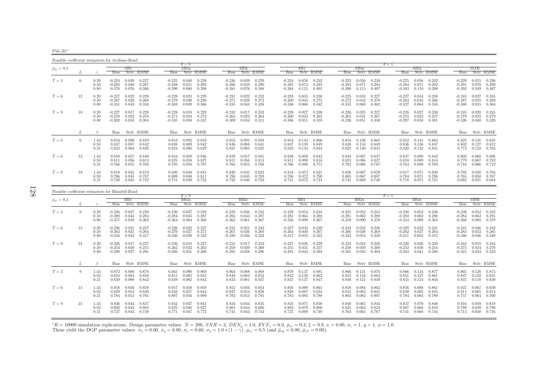P5fc-XC∗

Feasible coefficient estimators for Arellano-Bond $\theta = 0$  $AB2a$  $\theta = 1$ <br>a  $\theta = 1$  $\bar{\rho}_{x\varepsilon}=0.3$  $\epsilon = 0.3$   $I$   $\epsilon = 0.3$   $I$   $\epsilon = 0.3$   $I$   $\epsilon = 0.3$   $I$   $\epsilon = 0.3$   $I$   $\epsilon = 0.3$   $I$   $\epsilon = 0.3$   $I$   $\epsilon = 0.3$   $I$   $\epsilon = 0.3$   $I$   $\epsilon = 0.3$   $I$   $\epsilon = 0.3$   $I$   $\epsilon = 0.3$   $I$   $\epsilon = 0.3$   $I$   $\epsilon = 0.3$   $I$   $\epsilon = 0.3$   $I$   $\epsilon = 0.3$  L  $\gamma$  Bias Stdv RMSE Bias Stdv RMSE Bias Stdv RMSE Bias Stdv RMSE Bias Stdv RMSE Bias Stdv RMSE Bias Stdv RMSE0.236  $T=3$  $T=3$  6 0.20 -0.224 0.039 0.227 -0.225 0.040 0.228 -0.226 0.039 0.229 -0.224 0.058 0.232 -0.223 0.056 0.230 -0.225 0.056 0.232 -0.229 0.055 0.236<br>0.50 -0.283 0.049 0.287 -0.288 0.051 0.293 -0.286 0.050 0.290 -0.285 0.074  $0.50$   $-0.283$   $0.049$   $0.287$   $-0.288$   $0.051$   $0.293$   $-0.286$   $0.050$   $0.290$   $-0.285$   $0.074$   $0.295$   $-0.285$   $0.071$   $0.294$   $-0.284$   $0.071$   $0.292$   $-0.291$   $0.070$   $0.299$ 0.407 0.80 -0.378 0.076 0.386 -0.390 0.080 0.398 -0.381 0.076 0.388 -0.384 0.115 0.401 -0.390 0.115 0.407 -0.383 0.110 0.398 -0.392 0.109 0.4070.245  $T=6$  $T=6$   $12$   $0.20$   $-0.227$   $0.022$   $0.228$   $-0.228$   $0.023$   $0.229$   $-0.231$   $0.022$   $0.232$   $-0.233$   $0.023$   $0.230$   $-0.225$   $0.033$   $0.227$   $-0.227$   $0.034$   $0.230$   $-0.243$   $0.027$   $0.243$   $0.027$   $0.243$   $0.276$   $-0.$ 0.50 -0.267 0.028 0.268 -0.279 0.030 0.280 -0.271 0.028 0.272 -0.269 0.043 0.272 -0.272 0.042 0.276 -0.263 0.042 0.266 -0.287 0.035 0.2890.055 0.364 0.80 -0.331 0.043 0.334 -0.363 0.049 0.366 -0.335 0.043 0.338 -0.336 0.066 0.342 -0.355 0.068 0.362 -0.327 0.064 0.334 -0.360 0.055 0.3640.245  $T=9$  $T=9$   $18$   $0.20$   $-0.227$   $0.017$   $0.228$   $-0.228$   $0.018$   $0.229$   $-0.232$   $0.017$   $0.232$   $-0.230$   $-0.230$   $-0.230$   $-0.25$   $0.027$   $0.230$   $-0.230$   $-0.245$   $0.024$   $0.245$   $0.020$   $0.245$   $0.27$   $-0.265$   $0.031$   $0.$ 0.50 -0.258 0.2259 -0.2571 0.024 0.272 -0.263 0.022 0.264 -0.260 0.031 0.266 0.031 0.265 0.032 0.257 0.052 0.258 0.025 0.2678 0.040 0.378<br>0.80 -0.302 0.033 0.304 -0.335 0.038 0.337 -0.309 0.034 0.311 -0.306 0.051 0.310 -0.  $0.040 - 0.328$  $L \qquad \qquad \beta$ Bias Stdv RMSE Bias Stdv RMSE Bias Stdv RMSE Bias Stdv RMSE Bias Stdv RMSE Bias Stdv RMSE Bias Stdv RMSE Bias Stdv RMSE  $0.825$   $0.131$   $0.835$  $T=3$  $T=3 \hspace{1cm} 6 \hspace{1cm} 1.43 \hspace{1cm} 0.854 \hspace{1cm} 0.090 \hspace{1cm} 0.859 \hspace{1cm} 0.854 \hspace{1cm} 0.92 \hspace{1cm} 0.858 \hspace{1cm} 0.853 \hspace{1cm} 0.091 \hspace{1cm} 0.858 \hspace{1cm} 0.854 \hspace{1cm} 0.143 \hspace{1cm} 0.866 \hspace{1cm} 0.854 \hspace{1cm} 0.138 \hspace{1cm} 0.865 \hs$ 0.93 0.837 0.087 0.842 0.838 0.089 0.842 0.836 0.088 0.841 0.837 0.139 0.849 0.838 0.134 0.849 0.836 0.136 0.847 0.802 0.127 0.8120.783 0.31 0.823 0.084 0.828 0.824 0.086 0.829 0.821 0.085 0.825 0.823 0.134 0.834 0.825 0.130 0.835 0.820 0.132 0.831 0.773 0.122 0.783 $0.806$  $T=6$  $T=6$   $12$   $1.43$   $0.838$   $0.057$   $0.840$   $0.844$   $0.059$   $0.846$   $0.839$   $0.057$   $0.841$   $0.838$   $0.092$   $0.843$   $0.843$   $0.087$   $0.847$   $0.837$   $0.090$   $0.842$   $0.803$   $0.068$   $0.806$   $0.806$   $0.806$   $0.806$   $0.806$   $0.$ 0.93 0.811 0.056 0.813 0.825 0.058 0.827 0.811 0.056 0.813 0.811 0.090 0.816 0.823 0.086 0.827 0.810 0.089 0.814 0.779 0.067 0.7820.719 0.31 0.766 0.055 0.768 0.785 0.058 0.787 0.766 0.055 0.768 0.766 0.088 0.771 0.782 0.086 0.787 0.764 0.088 0.769 0.716 0.066 0.7190.794  $T=9$  $T=9 \hspace{1cm} 18 \hspace{1cm} 1.43 \hspace{1cm} 0.818 \hspace{1cm} 0.045 \hspace{1cm} 0.819 \hspace{1cm} 0.830 \hspace{1cm} 0.048 \hspace{1cm} 0.831 \hspace{1cm} 0.820 \hspace{1cm} 0.045 \hspace{1cm} 0.820 \hspace{1cm} 0.045 \hspace{1cm} 0.820 \hspace{1cm} 0.045 \hspace{1cm} 0.0822 \hspace{1cm} 0.818 \hspace{1cm} 0.07$ 0.93 0.786 0.045 0.787 0.809 0.048 0.811 0.788 0.045 0.789 0.786 0.072 0.790 0.805 0.067 0.807 0.784 0.071 0.788 0.765 0.050 0.767 $0.682$   $0.051$   $0.684$  $0.31$   $0.720$   $0.045$   $0.722$   $0.751$   $0.049$   $0.752$   $0.722$   $0.046$   $0.723$   $0.721$   $0.072$   $0.724$   $0.745$   $0.068$   $0.748$   $0.718$   $0.071$   $0.721$ 

| Feasible coefficient estimators for Blundell-Bond |    |                      |                                        |                         |                         |                                  |                         |                         |                                  |                         |                         |                                  |                         |                         |                                  |                         |                         |                                  |                         |                         |                                  |                         |                         |
|---------------------------------------------------|----|----------------------|----------------------------------------|-------------------------|-------------------------|----------------------------------|-------------------------|-------------------------|----------------------------------|-------------------------|-------------------------|----------------------------------|-------------------------|-------------------------|----------------------------------|-------------------------|-------------------------|----------------------------------|-------------------------|-------------------------|----------------------------------|-------------------------|-------------------------|
|                                                   |    |                      |                                        |                         |                         |                                  | $\theta = 0$            |                         |                                  |                         |                         |                                  |                         |                         |                                  |                         |                         | $\theta = 1$                     |                         |                         |                                  |                         |                         |
| $\bar{\rho}_{x\varepsilon}=0.3$                   |    |                      |                                        | BB1.                    |                         |                                  | BB2a                    |                         |                                  | BB2c                    |                         |                                  | BB1.                    |                         |                                  | BB2a                    |                         |                                  | BB2c                    |                         |                                  | МВВ                     |                         |
|                                                   |    |                      | <b>Bias</b>                            |                         | Stdy RMSE               | <b>Bias</b>                      |                         | Stdy RMSE               | <b>Bias</b>                      |                         | Stdy RMSE               | <b>Bias</b>                      |                         | Stdy RMSE               | <b>Bias</b>                      |                         | Stdy RMSE               | <b>Bias</b>                      |                         | Stdy RMSE               | <b>Bias</b>                      |                         | Stdy RMSE               |
| $T=3$                                             | 9  | 0.20<br>0.50<br>0.80 | $-0.226$<br>$-0.280$<br>$-0.357$       | 0.037<br>0.043<br>0.059 | 0.229<br>0.283<br>0.362 | $-0.226$<br>$-0.284$<br>$-0.364$ | 0.037<br>0.045<br>0.064 | 0.229<br>0.287<br>0.369 | $-0.229$<br>$-0.283$<br>$-0.362$ | 0.036<br>0.043<br>0.061 | 0.232<br>0.287<br>0.367 | $-0.228$<br>$-0.281$<br>$-0.356$ | 0.054<br>0.064<br>0.090 | 0.234<br>0.288<br>0.367 | $-0.225$<br>$-0.281$<br>$-0.359$ | 0.052<br>0.062<br>0.090 | 0.231<br>0.288<br>0.370 | $-0.230$<br>$-0.282$<br>$-0.354$ | 0.052<br>0.062<br>0.089 | 0.236<br>0.288<br>0.365 | $-0.230$<br>$-0.284$<br>$-0.360$ | 0.052<br>0.062<br>0.088 | 0.235<br>0.291<br>0.370 |
| $T=6$                                             | 15 | 0.20<br>0.50<br>0.80 | $-0.226$<br>$-0.263$<br>$-0.316$ 0.034 | 0.021<br>0.025          | 0.227<br>0.264<br>0.317 | $-0.226$<br>$-0.270$<br>$-0.330$ | 0.022<br>0.027<br>0.039 | 0.227<br>0.271<br>0.332 | $-0.231$<br>$-0.267$<br>$-0.320$ | 0.021<br>0.026<br>0.036 | 0.232<br>0.269<br>0.322 | $-0.227$<br>$-0.264$<br>$-0.317$ | 0.033<br>0.040<br>0.055 | 0.230<br>0.267<br>0.322 | $-0.224$<br>$-0.266$<br>$-0.324$ | 0.032<br>0.038<br>0.054 | 0.226<br>0.268<br>0.328 | $-0.229$<br>$-0.262$<br>$-0.311$ | 0.032<br>0.037<br>0.052 | 0.231<br>0.264<br>0.315 | $-0.241$<br>$-0.283$<br>$-0.346$ | 0.026<br>0.032<br>0.046 | 0.242<br>0.285<br>0.349 |
| $T=9$                                             | 21 | 0.20<br>0.50<br>0.80 | $-0.226$<br>$-0.254$<br>$-0.290$       | 0.017<br>0.020<br>0.027 | 0.227<br>0.255<br>0.291 | $-0.226$<br>$-0.262$<br>$-0.306$ | 0.018<br>0.022<br>0.031 | 0.227<br>0.263<br>0.308 | $-0.231$<br>$-0.259$<br>$-0.295$ | 0.017<br>0.020<br>0.028 | 0.232<br>0.260<br>0.296 | $-0.227$<br>$-0.255$<br>$-0.291$ | 0.026<br>0.031<br>0.043 | 0.229<br>0.257<br>0.294 | $-0.224$<br>$-0.258$<br>$-0.301$ | 0.024<br>0.029<br>0.042 | 0.226<br>0.260<br>0.304 | $-0.228$<br>$-0.252$<br>$-0.283$ | 0.026<br>0.030<br>0.041 | 0.230<br>0.254<br>0.286 | $-0.243$<br>$-0.275$<br>$-0.321$ | 0.019<br>0.024<br>0.034 | 0.244<br>0.276<br>0.323 |
|                                                   |    | $\beta$              |                                        |                         | Bias Stdy RMSE          |                                  |                         | Bias Stdy RMSE          |                                  |                         | Bias Stdy RMSE          |                                  |                         | Bias Stdy RMSE          |                                  |                         | Bias Stdy RMSE          |                                  | Bias Stdy RMSE          |                         | Bias                             |                         | Stdv RMSE               |
| $T=3$                                             | 9  | 1.43<br>0.93<br>0.31 | 0.873<br>0.854<br>0.839                | 0.088<br>0.084<br>0.080 | 0.878<br>0.858<br>0.843 | 0.865<br>0.851<br>0.839          | 0.090<br>0.085<br>0.082 | 0.869<br>0.855<br>0.843 | 0.864<br>0.848<br>0.833          | 0.088<br>0.084<br>0.081 | 0.868<br>0.852<br>0.837 | 0.870<br>0.852<br>0.837          | 0.137<br>0.130<br>0.127 | 0.881<br>0.862<br>0.847 | 0.866<br>0.853<br>0.840          | 0.131<br>0.124<br>0.121 | 0.876<br>0.862<br>0.849 | 0.866<br>0.851<br>0.835          | 0.134<br>0.127<br>0.124 | 0.877<br>0.861<br>0.844 | 0.865<br>0.847<br>0.831          | 0.128<br>0.122<br>0.118 | 0.875<br>0.855<br>0.839 |
| $T=6$                                             | 15 | 1.43<br>0.93<br>0.31 | 0.858<br>0.829<br>0.784                | 0.056<br>0.054<br>0.053 | 0.859<br>0.830<br>0.785 | 0.857<br>0.842<br>0.807          | 0.058<br>0.057<br>0.056 | 0.859<br>0.844<br>0.809 | 0.852<br>0.827<br>0.783          | 0.056<br>0.054<br>0.053 | 0.854<br>0.828<br>0.785 | 0.856<br>0.828<br>0.783          | 0.089<br>0.087<br>0.085 | 0.861<br>0.833<br>0.788 | 0.858<br>0.841<br>0.803          | 0.084<br>0.082<br>0.082 | 0.862<br>0.845<br>0.807 | 0.856<br>0.830<br>0.784          | 0.088<br>0.085<br>0.084 | 0.861<br>0.835<br>0.789 | 0.837<br>0.811<br>0.757          | 0.067<br>0.065<br>0.064 | 0.839<br>0.814<br>0.760 |
| $T=9$                                             | 21 | 1.43<br>0.93<br>0.31 | 0.836<br>0.802<br>0.737                | 0.044<br>0.044<br>0.043 | 0.837<br>0.804<br>0.738 | 0.842<br>0.825<br>0.771          | 0.047<br>0.046<br>0.047 | 0.843<br>0.827<br>0.772 | 0.834<br>0.805<br>0.741          | 0.044<br>0.044<br>0.043 | 0.835<br>0.806<br>0.743 | 0.835<br>0.803<br>0.737          | 0.071<br>0.070<br>0.069 | 0.838<br>0.806<br>0.740 | 0.840<br>0.821<br>0.764          | 0.065<br>0.064<br>0.065 | 0.843<br>0.824<br>0.767 | 0.837<br>0.807<br>0.741          | 0.070<br>0.068<br>0.068 | 0.840<br>0.810<br>0.744 | 0.816<br>0.789<br>0.714          | 0.049<br>0.049<br>0.048 | 0.818<br>0.790<br>0.716 |

 ${}^*R = 10000$  simulation replications. Design parameter values:  $N = 200$ ,  $SNR = 3$ ,  $DEN_y = 1.0$ ,  $EVF_x = 0.0$ ,  $\bar{p}_{xz} = 0.3$ ,  $\xi = 0.8$ ,  $\kappa = 0.00$ ,  $\sigma_{\varepsilon} = 1$ ,  $q = 1$ ,  $\phi = 1.0$ .<br>These yield the DGP parameter values:  $\pi$  $*R = 10000$  simulation replications. Design parameter values:  $N = 200$ ,  $SNR = 3$ ,  $DEN_y = 1.0$ ,  $EVF_x = 0.0$ ,  $\bar{\rho}_{xz} = 0.3$ ,  $\xi = 0.8$ , These yield the DGP parameter values:  $\pi_{\lambda} = 0.00$ ,  $\pi_{\eta} = 0.00$ ,  $\sigma_v = 0.60$ ,  $\sigma_{\eta}$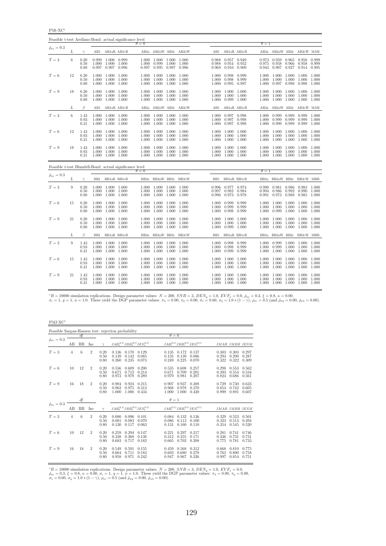P5ft-XC<sup>∗</sup>

| Feasible t-test Arellano-Bond: actual significance level |    |                      |       |                                                                   |                 |                |                                                                         |       |                         |                |                                                             |                         |                |                                                                               |                |                                           |                |
|----------------------------------------------------------|----|----------------------|-------|-------------------------------------------------------------------|-----------------|----------------|-------------------------------------------------------------------------|-------|-------------------------|----------------|-------------------------------------------------------------|-------------------------|----------------|-------------------------------------------------------------------------------|----------------|-------------------------------------------|----------------|
| $\bar{\rho}_{x\varepsilon}=0.3$                          |    |                      |       |                                                                   |                 | $\theta = 0$   |                                                                         |       |                         |                |                                                             |                         | $\theta = 1$   |                                                                               |                |                                           |                |
|                                                          | L  | $\gamma$             |       |                                                                   | AB1 AB1aR AB1cR |                |                                                                         |       | AB2a AB2aW AB2c AB2cW   |                | AB1 AB1aR AB1cR                                             |                         |                | AB2a AB2aW AB2c AB2cW MAB                                                     |                |                                           |                |
| $T=3$                                                    | 6  | 0.20<br>0.50<br>0.80 |       | $0.999$ $1.000$ $0.999$<br>1.000 1.000 1.000<br>0.997 0.997 0.996 |                 | 1.000<br>0.997 | 1.000 1.000 1.000 1.000<br>0.999<br>0.995 0.997                         | 1.000 | 1.000<br>0.996          | 0.988<br>0.969 | 0.988 0.957 0.949<br>0.954 0.952<br>0.910                   | 0.909                   | 0.975          | 0.973 0.959<br>0.958<br>0.943 0.907                                           | 0.966<br>0.927 | 0.965 0.958 0.999<br>0.958<br>0.914 0.995 | 0.999          |
| $T=6$                                                    | 12 | 0.20<br>0.50<br>0.80 |       | 1.000 1.000 1.000<br>1.000 1.000 1.000<br>1.000 1.000 1.000       |                 | 1.000          | 1.000 1.000 1.000 1.000<br>1.000 1.000 1.000<br>1.000 1.000             |       | 1.000<br>1.000          |                | 1.000 0.998<br>1.000 0.998<br>1.000 0.995                   | 0.999<br>0.999<br>0.997 | 1.000          | 1.000 1.000 1.000 1.000 1.000<br>1.000 1.000<br>0.997                         | 1.000<br>0.998 | 1.000 1.000<br>0.998                      | 1.000          |
| $T=9$                                                    | 18 | 0.20<br>0.50<br>0.80 |       | 1.000 1.000 1.000<br>1.000 1.000 1.000<br>1.000 1.000 1.000       |                 |                | 1.000 1.000 1.000 1.000<br>1.000 1.000 1.000<br>1.000 1.000 1.000 1.000 |       | 1.000                   |                | 1.000 1.000 1.000<br>1.000 1.000 1.000<br>1.000 0.999 1.000 |                         | 1.000          | 1.000 1.000 1.000 1.000 1.000<br>1.000 1.000<br>1.000 1.000 1.000 1.000 1.000 |                | 1.000 1.000                               |                |
|                                                          | L  | $\beta$              | AB1   | AB1aR AB1cR                                                       |                 |                |                                                                         |       | AB2a AB2aW AB2c AB2cW   |                | AB1 AB1aR AB1cR                                             |                         |                | AB2a AB2aW AB2c AB2cW MAB                                                     |                |                                           |                |
| $T=3$                                                    | 6  | 1.43<br>0.93<br>0.31 |       | 1.000 1.000 1.000<br>1.000 1.000 1.000<br>1.000 1.000 1.000       |                 | 1.000<br>1.000 | 1.000 1.000 1.000 1.000<br>1.000 1.000<br>1.000 1.000                   |       | 1.000<br>1.000          |                | 1.000 0.997 0.998<br>1.000 0.997 0.998<br>1.000 0.997 0.998 |                         | 1.000<br>1.000 | 1.000 0.999 0.999<br>0.999<br>0.999                                           | 0.999<br>0.999 | 0.999 1.000<br>0.999 1.000<br>0.999       | 1.000          |
| $T=6$                                                    | 12 | 1.43<br>0.93<br>0.31 |       | 1.000 1.000 1.000<br>1.000 1.000 1.000<br>1.000 1.000 1.000       |                 | 1.000          | 1.000 1.000 1.000 1.000<br>1.000 1.000<br>1.000 1.000 1.000 1.000       |       | 1.000                   |                | 1.000 1.000 1.000<br>1.000 1.000 1.000<br>1.000 1.000 1.000 |                         | 1.000          | 1.000 1.000 1.000<br>1.000<br>1.000 1.000 1.000 1.000 1.000                   | 1.000          | 1.000 1.000<br>1.000 1.000                |                |
| $T=9$                                                    | 18 | 1.43<br>0.93<br>0.31 |       | 1.000 1.000 1.000<br>1.000 1.000 1.000<br>1.000 1.000 1.000       |                 | 1.000<br>1.000 | 1.000 1.000<br>1.000 1.000<br>1.000 1.000 1.000                         |       | 1.000<br>1.000<br>1.000 |                | 1.000 1.000 1.000<br>1.000 1.000 1.000<br>1.000 1.000 1.000 |                         | 1.000<br>1.000 | 1.000 1.000<br>1.000<br>1.000 1.000 1.000 1.000 1.000                         | 1.000          | 1.000 1.000<br>1.000 1.000                |                |
| Feasible t-test Blundell-Bond: actual significance level |    |                      |       |                                                                   |                 | $\theta = 0$   |                                                                         |       |                         |                |                                                             |                         | $\theta = 1$   |                                                                               |                |                                           |                |
| $\bar{\rho}_{x\varepsilon} = 0.3$                        | L  | $\gamma$             |       |                                                                   | BB1 BB1aR BB1cR |                |                                                                         |       | BB2a BB2aW BB2c BB2cW   |                | BB1 BB1aR BB1cR                                             |                         |                | BB2a BB2aW BB2c BB2cW MBB                                                     |                |                                           |                |
| $T=3$                                                    | 9  | 0.20<br>0.50<br>0.80 | 1.000 | 1.000 1.000 1.000<br>1.000 1.000<br>1.000 1.000 1.000             |                 | 1.000<br>1.000 | 1.000 1.000 1.000 1.000<br>1.000<br>1.000 1.000                         | 1.000 | 1.000<br>1.000          |                | 0.996 0.977 0.974<br>0.997 0.982<br>0.996 0.973             | 0.984<br>0.978          | 0.994          | 0.990 0.981 0.986 0.983 1.000<br>0.986<br>0.991 0.973                         | 0.992<br>0.988 | 0.990<br>0.985                            | 1.000<br>1.000 |
| $T=6$                                                    | 15 | 0.20<br>0.50<br>0.80 |       | 1.000 1.000 1.000<br>1.000 1.000 1.000<br>1.000 1.000 1.000       |                 | 1.000<br>1.000 | 1.000 1.000 1.000 1.000<br>1.000<br>1.000 1.000                         | 1.000 | 1.000<br>1.000          |                | 1.000 0.999<br>1.000 0.999<br>1.000 0.998                   | 0.999<br>0.999<br>0.999 | 1.000<br>1.000 | 1.000 1.000 1.000 1.000 1.000<br>1.000<br>0.999                               | 1.000<br>1.000 | 1.000 1.000<br>1.000 1.000                |                |
| $T=9$                                                    | 21 | 0.20<br>0.50<br>0.80 |       | 1.000 1.000 1.000<br>1.000 1.000 1.000<br>1.000 1.000 1.000       |                 | 1.000          | 1.000 1.000 1.000 1.000<br>1.000<br>1.000 1.000 1.000 1.000             | 1.000 | 1.000                   |                | 1.000 1.000 1.000<br>1.000 1.000 1.000<br>1.000 0.999 1.000 |                         | 1.000          | 1.000 1.000 1.000 1.000 1.000<br>1.000<br>1.000 1.000 1.000 1.000 1.000       | 1.000          | 1.000 1.000                               |                |
|                                                          | L  | $\beta$              | BB1   |                                                                   | BB1aR BB1cR     |                |                                                                         |       | BB2a BB2aW BB2c BB2cW   | BB1            | BB1aR BB1cR                                                 |                         |                | BB2a BB2aW BB2c BB2cW MBB                                                     |                |                                           |                |
| $T=3$                                                    | 9  | 1.43<br>0.93<br>0.31 |       | 1.000 1.000 1.000<br>1.000 1.000 1.000<br>1.000 1.000 1.000       |                 | 1.000          | $1.000$ $1.000$ $1.000$ $1.000$<br>1.000 1.000 1.000<br>1.000 1.000     |       | 1.000<br>1.000          |                | 1.000 0.998 0.999<br>1.000 0.998<br>1.000 0.999             | 0.999<br>0.999          | 1.000          | 1.000 0.999 1.000 1.000 1.000<br>0.999 1.000<br>1.000 1.000 1.000 1.000 1.000 |                | 1.000 1.000                               |                |
| $T=6$                                                    | 15 | 1.43<br>0.93<br>0.31 | 1.000 | 1.000 1.000 1.000<br>1.000 1.000<br>1.000 1.000 1.000             |                 | 1.000<br>1.000 | 1.000 1.000 1.000<br>1.000<br>1.000 1.000 1.000 1.000                   | 1.000 | 1.000                   | 1.000          | 1.000 1.000 1.000<br>1.000<br>1.000 1.000 1.000             | 1.000                   | 1.000          | 1.000 1.000 1.000 1.000 1.000<br>1.000<br>1.000 1.000 1.000 1.000 1.000       | 1.000          | 1.000 1.000                               |                |
| $T=9$                                                    | 21 | 1.43<br>0.93<br>0.31 |       | 1.000 1.000 1.000<br>1.000 1.000 1.000<br>1.000 1.000 1.000       |                 | 1.000<br>1.000 | 1.000 1.000<br>1.000 1.000<br>1.000 1.000 1.000                         |       | 1.000<br>1.000<br>1.000 |                | 1.000 1.000 1.000<br>1.000 1.000 1.000<br>1.000 1.000 1.000 |                         | 1.000<br>1.000 | 1.000<br>1.000<br>1.000 1.000 1.000 1.000 1.000                               | 1.000<br>1.000 | 1.000 1.000<br>1.000 1.000                |                |

 ${}^{*}R = 10000$  simulation replications. Design parameter values:  $N = 200$ ,  $SNR = 3$ ,  $DEN_y = 1.0$ ,  $EVF_x = 0.0$ ,  $E_{xz} = 0.3$ ,  $\xi = 0.8$ ,  $\kappa = 0.00$ ,<br> $\sigma_x = 1$ ,  $q = 1$ ,  $\phi = 1.0$ . These yield the DGP parameter values:  $\pi_{\lambda} =$ 

P5fJ-XC<sup>∗</sup>

|                                 |                |           |                |                      | Feasible Sargan-Hansen test: rejection probability |                         |                         |                         |                                           |                         |                         |                         |
|---------------------------------|----------------|-----------|----------------|----------------------|----------------------------------------------------|-------------------------|-------------------------|-------------------------|-------------------------------------------|-------------------------|-------------------------|-------------------------|
|                                 |                | df        |                |                      |                                                    |                         | $\theta = 0$            |                         |                                           |                         |                         |                         |
| $\bar{\rho}_{x\varepsilon}=0.3$ | AВ             | <b>BB</b> | Inc            |                      | $JAB_a^{(2,1)}JBB_a^{(2,1)}JES_a^{(2,1)}$          |                         |                         |                         | $JAB_c^{(2,1)}JBB_c^{(2,1)}JES_c^{(2,1)}$ |                         | JMAB JMBB JESM          |                         |
| $T=3$                           | 4              | 6         | $\overline{2}$ | 0.20<br>0.50<br>0.80 | 0.136<br>0.170<br>0.139<br>0.142<br>0.260<br>0.235 | 0.129<br>0.085<br>0.073 | 0.135<br>0.135<br>0.249 | 0.172<br>0.139<br>0.225 | 0.137<br>0.086<br>0.070                   | 0.303<br>0.294<br>0.322 | 0.303<br>0.290<br>0.322 | 0.297<br>0.287<br>0.309 |
| $T=6$                           | 10             | 12        | $\overline{2}$ | 0.20<br>0.50<br>0.80 | 0.556<br>0.609<br>0.671<br>0.712<br>0.973<br>0.978 | 0.200<br>0.214<br>0.289 | 0.535<br>0.671<br>0.979 | 0.608<br>0.709<br>0.981 | 0.257<br>0.201<br>0.207                   | 0.298<br>0.393<br>0.824 | 0.553<br>0.554<br>0.686 | 0.562<br>0.534<br>0.561 |
| $T=9$                           | 16             | 18        | $\overline{2}$ | 0.20<br>0.50<br>0.80 | 0.904<br>0.924<br>0.962<br>0.975<br>1.000<br>1.000 | 0.215<br>0.312<br>0.434 | 0.907<br>0.968<br>1.000 | 0.937<br>0.978<br>1.000 | 0.388<br>0.370<br>0.420                   | 0.729<br>0.854<br>0.999 | 0.730<br>0.742<br>0.891 | 0.623<br>0.605<br>0.607 |
|                                 |                | df        |                |                      |                                                    |                         | $\theta=1$              |                         |                                           |                         |                         |                         |
| $\bar{\rho}_{x\varepsilon}=0.3$ | AВ             | <b>BB</b> | Inc            | $\sim$               | $JAB_a^{(2,1)}JBB_a^{(2,1)}JES_a^{(2,1)}$          |                         |                         |                         | $JAB_c^{(2,1)}JBB_c^{(2,1)}JES_c^{(2,1)}$ |                         | JMAB JMBB JESM          |                         |
| $T=3$                           | $\overline{4}$ | 6         | $\overline{2}$ | 0.20<br>0.50<br>0.80 | 0.080<br>0.096<br>0.081<br>0.083<br>0.130<br>0.117 | 0.101<br>0.070<br>0.063 | 0.084<br>0.086<br>0.131 | 0.132<br>0.113<br>0.160 | 0.136<br>0.100<br>0.110                   | 0.329<br>0.323<br>0.354 | 0.523<br>0.513<br>0.545 | 0.501<br>0.494<br>0.520 |
| $T=6$                           | 10             | 12        | $\overline{2}$ | 0.20<br>0.50<br>0.80 | 0.259<br>0.294<br>0.338<br>0.368<br>0.683<br>0.717 | 0.147<br>0.138<br>0.182 | 0.221<br>0.312<br>0.665 | 0.297<br>0.355<br>0.702 | 0.217<br>0.171<br>0.208                   | 0.281<br>0.336<br>0.775 | 0.741<br>0.731<br>0.781 | 0.746<br>0.731<br>0.733 |
| $T=9$                           | 16             | 18        | $\overline{2}$ | 0.20<br>0.50<br>0.80 | 0.549<br>0.591<br>0.664<br>0.711<br>0.958<br>0.971 | 0.155<br>0.183<br>0.242 | 0.459<br>0.603<br>0.947 | 0.568<br>0.680<br>0.967 | 0.312<br>0.278<br>0.326                   | 0.668<br>0.763<br>0.997 | 0.810<br>0.800<br>0.854 | 0.775<br>0.758<br>0.751 |

\*R = 10000 simulation replications. Design parameter values:  $N = 200$ ,  $SNR = 3$ ,  $DEN_y = 1.0$ ,  $EVF_x = 0.0$ ,  $\bar{\rho}_{xe} = 0.3$ ,  $\xi = 0.8$ ,  $\kappa = 0.00$ ,  $\sigma_e = 1$ ,  $q = 1$ ,  $\phi = 1.0$ . These yield the DGP parameter values:  $\pi_{\lambda} = 0.$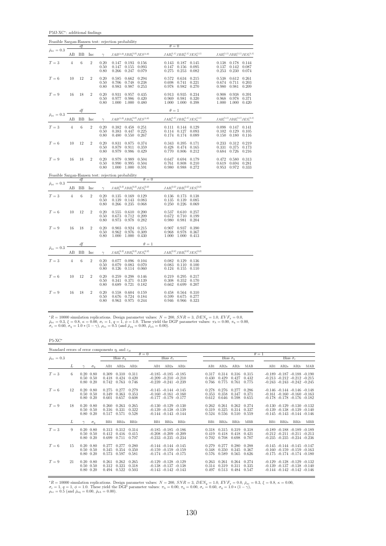P5fJ-XC<sup>∗</sup> : additional findings

|                                   |                |             |                |                      | Feasible Sargan-Hansen test: rejection probability                             |                                                                                        |                                                        |                                       |                                           |                                                                                                |                                           |                                           |
|-----------------------------------|----------------|-------------|----------------|----------------------|--------------------------------------------------------------------------------|----------------------------------------------------------------------------------------|--------------------------------------------------------|---------------------------------------|-------------------------------------------|------------------------------------------------------------------------------------------------|-------------------------------------------|-------------------------------------------|
| $\bar{\rho}_{x\varepsilon}=0.3$   |                | df          |                |                      |                                                                                |                                                                                        | $\theta = 0$                                           |                                       |                                           |                                                                                                |                                           |                                           |
|                                   | AВ             | BB          | Inc            | $\gamma$             | $JAB^{\left( 1,0\right) }JBB_{a}^{\left( 1,0\right) }JES^{\left( 1,0\right) }$ |                                                                                        |                                                        |                                       |                                           | $JAB_a^{(1,1)}JBB_a^{(1,1)}JES_a^{(1,1)} \hspace{2cm} JAB_c^{(1,1)}JBB_c^{(1,1)}JES_c^{(1,1)}$ |                                           |                                           |
| $T=3$                             | $\overline{4}$ | 6           | $\overline{2}$ | 0.20<br>0.50<br>0.80 | $0.147$ $0.193$ $0.156$<br>0.147<br>0.155<br>0.247<br>0.266                    | 0.093<br>0.079                                                                         | 0.143<br>0.147<br>0.275                                | 0.187<br>0.156<br>0.253               | 0.145<br>0.095<br>0.082                   | 0.137<br>0.253                                                                                 | 0.138 0.178<br>0.142<br>0.230             | 0.144<br>0.087<br>0.074                   |
| $T=6\,$                           | 10             | 12          | $\overline{2}$ | 0.20<br>0.50<br>0.80 | 0.662<br>0.585<br>0.748<br>0.706<br>0.987<br>0.983                             | 0.294<br>0.238<br>0.253                                                                | 0.572<br>0.698<br>0.978                                | 0.741<br>0.982                        | 0.634 0.215<br>0.221<br>0.270             | 0.538<br>0.674<br>0.980                                                                        | 0.612<br>0.711<br>0.981                   | 0.261<br>0.203<br>0.209                   |
| $T=9$                             | 16             | 18          | $\overline{2}$ | 0.20<br>0.50<br>0.80 | 0.957<br>0.931<br>0.977<br>0.986<br>1.000                                      | 0.435<br>0.420<br>1.000 0.480                                                          | 0.913<br>0.969<br>1.000                                | 0.935<br>0.981<br>1.000 0.398         | 0.234<br>0.320                            | 0.908<br>1.000                                                                                 | 0.938<br>0.968 0.978<br>1.000             | 0.391<br>0.371<br>0.420                   |
| $\bar{\rho}_{x\varepsilon}=0.3$   |                | df          |                |                      |                                                                                |                                                                                        | $\theta=1$                                             |                                       |                                           |                                                                                                |                                           |                                           |
|                                   | AВ             | BB          | Inc            | $\gamma$             |                                                                                | $JAB^{\left( 1,0\right) }JBB_{a}^{\left( 1,0\right) }JES^{\left( 1,0\right) }$         |                                                        |                                       | $JAB^{(1,1)}_aJBB^{(1,1)}_aJES^{(1,1)}_a$ |                                                                                                |                                           | $JAB_c^{(1,1)}JBB_c^{(1,1)}JES_c^{(1,1)}$ |
| $T=3$                             | $\overline{4}$ | 6           | $\,2$          | 0.20<br>0.50<br>0.80 | 0.382<br>0.458<br>0.383<br>0.447<br>0.550<br>0.480                             | 0.251<br>0.225<br>0.267                                                                | 0.111<br>0.114<br>0.174                                | 0.127<br>0.174 0.089                  | 0.144 0.129<br>0.093                      | 0.102<br>0.150                                                                                 | $0.098$ 0.147<br>0.129<br>$0.180$ $0.116$ | 0.141<br>0.105                            |
| $T=6$                             | 10             | 12          | $\overline{2}$ | 0.20<br>0.50<br>0.80 | 0.875<br>0.831<br>0.879<br>0.911<br>0.979<br>0.986                             | 0.374<br>0.359<br>0.429                                                                | 0.343<br>0.428<br>0.770                                | 0.395<br>0.474<br>0.806               | 0.171<br>0.165<br>0.212                   | 0.233<br>0.331<br>0.684                                                                        | 0.312<br>0.375<br>0.726                   | 0.219<br>0.173<br>0.216                   |
| $T=9$                             | 16             | 18          | $\overline{2}$ | 0.20<br>0.50<br>0.80 | 0.989<br>0.979<br>0.990<br>0.995<br>1.000<br>1.000                             | 0.504<br>0.504<br>0.591                                                                | 0.647<br>0.761<br>0.980                                | 0.694<br>0.808<br>0.988               | 0.179<br>0.210<br>0.272                   | 0.472<br>0.619                                                                                 | 0.580<br>0.694<br>0.953 0.972             | 0.313<br>0.281<br>0.333                   |
|                                   |                |             |                |                      | Feasible Sargan-Hansen test: rejection probability                             | $\theta = 0$                                                                           |                                                        |                                       |                                           |                                                                                                |                                           |                                           |
| $\bar{\rho}_{x\varepsilon} = 0.3$ | AB             | df<br>BB    | Inc            | $\gamma$             |                                                                                | $JAB_{a}^{\left( 2,2\right) }JBB_{a}^{\left( 2,2\right) }JES_{a}^{\left( 2,2\right) }$ |                                                        |                                       | $JAB_c^{(2,2)}JBB_c^{(2,2)}JES_c^{(2,2)}$ |                                                                                                |                                           |                                           |
| $T=3$                             | $\overline{4}$ | $\,$ 6 $\,$ | $\overline{2}$ | 0.20<br>0.50<br>0.80 | $0.135$ $0.169$ $0.129$<br>0.143<br>0.139<br>0.266<br>0.235                    | 0.083<br>0.068                                                                         | $\frac{0.135}{0.250}$                                  | 0.136 0.173 0.138<br>0.139<br>0.226   | 0.085<br>0.069                            |                                                                                                |                                           |                                           |
| $T=6$                             | 10             | 12          | $\overline{2}$ | 0.20<br>0.50<br>0.80 | 0.555<br>0.712<br>0.673<br>0.973<br>0.978                                      | $0.610 \quad 0.200$<br>0.209<br>0.282                                                  | 0.537<br>0.672<br>0.980                                | $0.610$ $0.257$<br>0.710<br>0.981     | 0.199<br>0.204                            |                                                                                                |                                           |                                           |
| $T=9$                             | 16             | 18          | $\,2$          | 0.20<br>0.50<br>0.80 | 0.903<br>0.962<br>0.976<br>1.000                                               | 0.924 0.215<br>0.309<br>1.000 0.430                                                    | $\begin{array}{c} 0.907 \\ 0.968 \\ 1.000 \end{array}$ | 0.937<br>0.978<br>$1.000 \quad 0.413$ | 0.390<br>0.367                            |                                                                                                |                                           |                                           |
| $\bar{\rho}_{x\varepsilon}=0.3$   |                | df          |                |                      |                                                                                | $\theta = 1$                                                                           |                                                        |                                       |                                           |                                                                                                |                                           |                                           |
|                                   | AB             | BB          | Inc            | $\gamma$             |                                                                                | $JAB_{a}^{\left( 2,2\right) }JBB_{a}^{\left( 2,2\right) }JES_{a}^{\left( 2,2\right) }$ |                                                        |                                       | $JAB_c^{(2,2)}JBB_c^{(2,2)}JES_c^{(2,2)}$ |                                                                                                |                                           |                                           |
| $T=3$                             | $\overline{4}$ | $\,$ 6 $\,$ | $\overline{2}$ | 0.20<br>0.50<br>0.80 | 0.077<br>0.079<br>0.083<br>0.126<br>0.114                                      | $0.096$ $0.104$<br>0.070<br>0.060                                                      | 0.082<br>0.083<br>0.124                                | $0.129$ $0.136$<br>0.110<br>0.155     | 0.100<br>0.110                            |                                                                                                |                                           |                                           |
| $T=6$                             | 10             | 12          | $\overline{2}$ | 0.20<br>0.50<br>0.80 | 0.259<br>0.298<br>0.371<br>0.341<br>0.721<br>0.689                             | 0.146<br>0.139<br>0.182                                                                | 0.219<br>0.308<br>0.662                                | 0.295<br>0.352<br>0.699               | 0.217<br>0.170<br>0.207                   |                                                                                                |                                           |                                           |
| $T=9$                             | 16             | 18          | $\overline{2}$ | 0.20<br>0.50<br>0.80 | 0.558<br>0.724<br>0.676<br>0.963<br>0.975                                      | $0.604$ $0.159$<br>0.184<br>0.244                                                      | 0.458<br>0.599<br>0.946                                | 0.564<br>0.675<br>0.966 0.323         | 0.310<br>0.277                            |                                                                                                |                                           |                                           |

 ${}^*R = 10000$  simulation replications. Design parameter values:  $N = 200$ ,  $SNR = 3$ ,  $DEN_y = 1.0$ ,  $EVF_x = 0.0$ ,  $\bar{\rho}_{xe} = 0.3$ ,  $\xi = 0.8$ ,  $\kappa = 0.00$ ,  $\sigma_e = 1$ ,  $q = 1$ ,  $\phi = 1.0$ . These yield the DGP parameter values:  $\pi_{\lambda} =$ 

P5-XC<sup>∗</sup>

| Standard errors of error components $\eta_i$ and $\varepsilon_{it}$ |    |                                                        |            |                         |                               |                         |              |                                                          |                                                        |                               |                               |                               |                         |              |                                                                                                                |                                 |     |
|---------------------------------------------------------------------|----|--------------------------------------------------------|------------|-------------------------|-------------------------------|-------------------------|--------------|----------------------------------------------------------|--------------------------------------------------------|-------------------------------|-------------------------------|-------------------------------|-------------------------|--------------|----------------------------------------------------------------------------------------------------------------|---------------------------------|-----|
| $\bar{\rho}_{x\varepsilon} = 0.3$                                   |    |                                                        |            |                         | Bias $\sigma_n$               |                         | $\theta = 0$ | Bias $\hat{\sigma}_{\varepsilon}$                        |                                                        |                               | Bias $\hat{\sigma}_n$         |                               |                         | $\theta = 1$ |                                                                                                                | Bias $\hat{\sigma}_\varepsilon$ |     |
|                                                                     | L  |                                                        | $\sigma_n$ | AB1                     | AB2a                          | AB2c                    | AB1          | AB2a                                                     | AB2c                                                   | AB1                           | AB2a                          | AB2c                          | MAB                     | AB1          | AB2a                                                                                                           | AB2c                            | MAB |
| $T=3$                                                               | 6. | $0.20\ 0.80$<br>$0.50 \quad 0.50$<br>$0.80\ 0.20$      |            | 0.309<br>0.418<br>0.742 | 0.310<br>0.424<br>0.763 0.746 | 0.311<br>0.420          |              | $-0.185 - 0.185 - 0.185$                                 | $-0.209 - 0.210 - 0.210$<br>$-0.239 - 0.241 - 0.239$   | 0.317<br>0.430                | 0.314<br>0.429<br>0.766 0.775 | 0.316<br>0.427<br>0.761 0.775 | 0.315<br>0.432          |              | $-0.189 - 0.187 - 0.188 - 0.190$<br>$-0.213 -0.212 -0.212 -0.215$<br>$-0.243$ $-0.243$ $-0.242$ $-0.245$       |                                 |     |
| $T=6$                                                               | 12 | $0.20\ 0.80$<br>$0.50 \quad 0.50$<br>$0.80\ 0.20$      |            | 0.275<br>0.349<br>0.601 | 0.277<br>0.363<br>0.657       | 0.279<br>0.353<br>0.608 |              | $-0.145 - 0.144 - 0.145$<br>$-0.177 - 0.179 - 0.177$     | $-0.160 - 0.161 - 0.160$                               | 0.278<br>0.353<br>0.612       | 0.276<br>0.358<br>0.646       | 0.277<br>0.347<br>0.598       | 0.286<br>0.371<br>0.655 |              | $-0.146$ $-0.144$ $-0.146$ $-0.148$<br>$-0.161 - 0.160 - 0.160 - 0.163$<br>$-0.178$ $-0.178$ $-0.176$ $-0.182$ |                                 |     |
| $T=9$                                                               | 18 | $0.20\ 0.80$<br>$0.50 \quad 0.50$<br>$0.80\ 0.20$      |            | 0.260<br>0.316<br>0.517 | 0.263<br>0.331<br>0.571       | 0.265<br>0.322<br>0.528 |              | $-0.130 - 0.129 - 0.130$<br>$-0.144$ $-0.143$ $-0.144$   | $-0.139 - 0.138 - 0.139$                               | 0.262<br>0.319<br>0.524       | 0.261<br>0.325<br>0.556       | 0.262<br>0.314<br>0.510       | 0.274<br>0.337<br>0.559 |              | $-0.130 - 0.129 - 0.130 - 0.132$<br>$-0.139 - 0.138 - 0.139 - 0.140$<br>$-0.145 - 0.143 - 0.144 - 0.146$       |                                 |     |
|                                                                     | L  |                                                        | $\sigma_n$ | BB1                     | BB <sub>2a</sub>              | BB <sub>2c</sub>        | BB1          | BB <sub>2a</sub>                                         | BB <sub>2c</sub>                                       | BB1                           | BB <sub>2a</sub>              | BB <sub>2c</sub>              | <b>MBB</b>              | BB1          | BB <sub>2a</sub>                                                                                               | BB2c                            | MBB |
| $T=3$                                                               | 9  | $0.20\ 0.80$<br>$0.50 \quad 0.50$<br>$0.80\ 0.20$      |            | 0.313<br>0.412<br>0.699 | 0.312<br>0.416<br>0.711       | 0.314<br>0.415<br>0.707 |              | $-0.233 - 0.235 - 0.234$                                 | $-0.185 - 0.185 - 0.186$<br>$-0.208$ $-0.209$ $-0.209$ | 0.318 0.315<br>0.419<br>0.702 | 0.418<br>0.708                | 0.319<br>0.418<br>0.698       | 0.318<br>0.421<br>0.707 |              | $-0.189 - 0.188 - 0.189 - 0.189$<br>$-0.212$ $-0.211$ $-0.211$ $-0.213$<br>$-0.235 -0.235 -0.234 -0.236$       |                                 |     |
| $T=6$                                                               | 15 | $0.20\ 0.80$<br>$0.50 \quad 0.50$<br>$0.80 \quad 0.20$ |            | 0.277<br>0.345<br>0.573 | 0.277<br>0.354<br>0.597       | 0.280<br>0.350<br>0.581 |              | $-0.144$ $-0.144$ $-0.145$<br>$-0.174$ $-0.174$ $-0.175$ | $-0.159 - 0.159 - 0.159$                               | 0.279<br>0.348<br>0.576       | 0.277<br>0.350<br>0.589       | 0.280<br>0.345<br>0.565       | 0.288<br>0.367<br>0.626 |              | $-0.145 - 0.144 - 0.145 - 0.147$<br>$-0.160 - 0.159 - 0.159 - 0.163$<br>$-0.175$ $-0.174$ $-0.174$ $-0.180$    |                                 |     |
| $T = 9$                                                             | 21 | $0.20\ 0.80$<br>$0.50 \quad 0.50$<br>$0.80\ 0.20$      |            | 0.261<br>0.312<br>0.494 | 0.262<br>0.323<br>0.522       | 0.265<br>0.318<br>0.503 |              | $-0.129 - 0.128 - 0.129$<br>$-0.143$ $-0.142$ $-0.143$   | $-0.138$ $-0.137$ $-0.138$                             | 0.263<br>0.314<br>0.497       | 0.261<br>0.319<br>0.513       | 0.264<br>0.311<br>0.484       | 0.274<br>0.335<br>0.547 |              | $-0.129 - 0.128 - 0.129 - 0.132$<br>$-0.139 - 0.137 - 0.138 - 0.140$<br>$-0.144$ $-0.142$ $-0.142$ $-0.146$    |                                 |     |

 ${}^*R = 10000$  simulation replications. Design parameter values:  $N = 200$ ,  $SNR = 3$ ,  $DEN_y = 1.0$ ,  $EVF_x = 0.0$ ,  $\bar{\rho}_{x\bar{x}} = 0.3$ ,  $\xi = 0.8$ ,  $\kappa = 0.00$ ,<br>  $\sigma_{\varepsilon} = 1$ ,  $q = 1$ ,  $\phi = 1.0$ . These yield the DGP parameter values: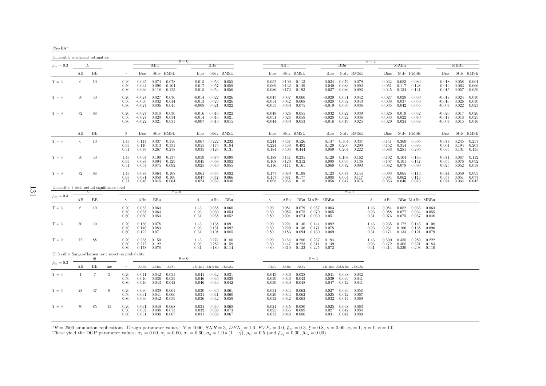| н<br>-ווה |  |
|-----------|--|
|           |  |

| Unfeasible coefficient estimators                    |                |    |     |                      |                                  |                         |                         |                                  |                         |                                   |                                  |                                   |                                   |                         |                                  |                         |                         |                      |                                  |                                   |                         |                         |                                  |                         |                         |
|------------------------------------------------------|----------------|----|-----|----------------------|----------------------------------|-------------------------|-------------------------|----------------------------------|-------------------------|-----------------------------------|----------------------------------|-----------------------------------|-----------------------------------|-------------------------|----------------------------------|-------------------------|-------------------------|----------------------|----------------------------------|-----------------------------------|-------------------------|-------------------------|----------------------------------|-------------------------|-------------------------|
| $\bar{\rho}_{x\varepsilon}=0.3$                      |                | L  |     |                      |                                  | ABu                     |                         | $\theta = 0$                     | BBu                     |                                   |                                  | ABu                               |                                   |                         |                                  | BBu                     |                         | $\theta = 1$         |                                  | MABu                              |                         |                         |                                  | MBBu                    |                         |
|                                                      | AВ             | ΒB |     | $\gamma$             | Bias                             |                         | Stdy RMSE               | <b>Bias</b>                      |                         | Stdy RMSE                         | <b>Bias</b>                      |                                   | Stdy RMSE                         |                         | <b>Bias</b>                      |                         | Stdy RMSE               |                      | Bias                             |                                   | Stdy RMSE               |                         | Bias                             |                         | Stdy RMSE               |
| $T=3$                                                | 6              | 10 |     | 0.20<br>0.50<br>0.80 | $-0.025$<br>$-0.034$<br>$-0.036$ | 0.074<br>0.098<br>0.118 | 0.078<br>0.104<br>0.123 | $-0.015$<br>$-0.017$<br>$-0.015$ | 0.053<br>0.057<br>0.054 | 0.055<br>0.059<br>0.056           | $-0.052$<br>$-0.069$<br>$-0.086$ | 0.100<br>0.132<br>0.172           | 0.113<br>0.149<br>0.193           |                         | $-0.034$<br>$-0.040$<br>$-0.037$ | 0.072<br>0.083<br>0.086 | 0.079<br>0.092<br>0.093 |                      | $-0.032$<br>$-0.051$<br>$-0.045$ | 0.083<br>0.117<br>0.134           | 0.089<br>0.128<br>0.141 |                         | $-0.018$<br>$-0.019$<br>$-0.015$ | 0.058<br>0.063<br>0.057 | 0.061<br>0.066<br>0.059 |
| $T=6$                                                | 30             | 40 |     | 0.20<br>0.50<br>0.80 | $-0.024$<br>$-0.030$<br>$-0.027$ | 0.027<br>0.032<br>0.036 | 0.036<br>0.044<br>0.045 | $-0.014$<br>$-0.013$<br>$-0.008$ | 0.022<br>0.023<br>0.021 | 0.026<br>0.026<br>0.022           | $-0.047$<br>$-0.054$<br>$-0.055$ | 0.037<br>0.042<br>0.050           | 0.060<br>0.068<br>0.075           |                         | $-0.029$<br>$-0.028$<br>$-0.019$ | 0.031<br>0.032<br>0.030 | 0.042<br>0.043<br>0.036 |                      | $-0.027$<br>$-0.038$<br>$-0.035$ | 0.028<br>0.037<br>0.042           | 0.039<br>0.053<br>0.055 |                         | $-0.018$<br>$-0.016$<br>$-0.007$ | 0.024<br>0.026<br>0.022 | 0.030<br>0.030<br>0.023 |
| $T=9$                                                | 72             | 88 |     | 0.20<br>0.50<br>0.80 | $-0.024$<br>$-0.027$<br>$-0.022$ | 0.018<br>0.020<br>0.021 | 0.030<br>0.034<br>0.031 | $-0.016$<br>$-0.014$<br>$-0.007$ | 0.016<br>0.016          | 0.022<br>0.021<br>$0.013$ $0.015$ | $-0.048$<br>$-0.051$             | 0.026<br>0.028<br>$-0.044$ 0.030  | 0.055<br>0.058<br>0.053           |                         | $-0.032$<br>$-0.028$<br>$-0.016$ | 0.022<br>0.022<br>0.019 | 0.039<br>0.036<br>0.025 |                      | $-0.026$<br>$-0.033$<br>$-0.029$ | 0.019<br>0.022<br>0.024           | 0.032<br>0.040<br>0.038 |                         | $-0.020$<br>$-0.017$<br>$-0.007$ | 0.017<br>0.018<br>0.015 | 0.026<br>0.025<br>0.016 |
|                                                      | AВ             | BB |     | $\beta$              | Bias                             |                         | Stdy RMSE               | Bias                             |                         | Stdy RMSE                         | Bias                             |                                   | Stdy RMSE                         |                         | Bias                             |                         | Stdy RMSE               |                      | <b>Bias</b>                      |                                   | Stdy RMSE               |                         | Bias                             |                         | Stdy RMSE               |
| $T=3$                                                | 6              | 10 |     | 1.43<br>0.93<br>0.31 | 0.114<br>0.110<br>0.078          | 0.337<br>0.313<br>0.267 | 0.356<br>0.331<br>0.278 | 0.067<br>0.055<br>0.035          | 0.222<br>0.175<br>0.126 | 0.232<br>0.184<br>0.131           | 0.241<br>0.224                   | 0.467<br>0.438<br>$0.184$ $0.404$ | 0.526<br>0.492<br>0.444           |                         | 0.147<br>0.129<br>0.089          | 0.304<br>0.260<br>0.204 | 0.337<br>0.290<br>0.222 |                      | 0.141<br>0.152<br>0.088          | 0.369<br>0.354<br>0.281           | 0.395<br>0.386<br>0.295 |                         | 0.077<br>0.061<br>0.035          | 0.245<br>0.194<br>0.131 | 0.257<br>0.203<br>0.135 |
| $T=6$                                                | 30             | 40 |     | 1.43<br>0.93<br>0.31 | 0.094<br>0.088<br>0.054          | 0.100<br>0.094<br>0.075 | 0.137<br>0.129<br>0.092 | 0.059<br>0.045<br>0.025          | 0.079<br>0.068<br>0.049 | 0.099<br>0.082<br>0.055           | 0.168<br>0.116                   | $0.188$ $0.141$<br>0.129<br>0.111 | 0.235<br>0.212<br>0.161           |                         | 0.120<br>0.098<br>0.060          | 0.108<br>0.095<br>0.072 | 0.162<br>0.136<br>0.093 |                      | 0.102<br>0.107<br>0.062          | 0.104<br>0.101<br>0.078           | 0.146<br>0.147<br>0.099 |                         | 0.071<br>0.053<br>0.025          | 0.087<br>0.076<br>0.052 | 0.112<br>0.092<br>0.058 |
| $T=9$                                                | 72             | 88 |     | 1.43<br>0.93<br>0.31 | 0.088<br>0.081<br>0.046          | 0.064<br>0.059<br>0.045 | 0.108<br>0.100<br>0.064 | 0.061<br>0.047<br>0.024          | 0.055<br>0.047<br>0.032 | 0.082<br>0.066<br>0.040           | 0.177<br>0.157<br>0.098          | 0.089<br>0.081<br>0.065           | 0.198<br>0.177<br>0.118           |                         | 0.123<br>0.098<br>0.056          | 0.074<br>0.064<br>0.047 | 0.144<br>0.117<br>0.073 |                      | 0.093<br>0.094                   | 0.065<br>0.062<br>$0.053$ 0.046   | 0.113<br>0.113<br>0.070 |                         | 0.074<br>0.057<br>0.024          | 0.059<br>0.051<br>0.034 | 0.095<br>0.077<br>0.042 |
| Unfeasible t-test: actual significance level         |                | L  |     |                      |                                  |                         | $\theta = 0$            |                                  |                         |                                   |                                  |                                   |                                   |                         |                                  | $\theta = 1$            |                         |                      |                                  |                                   |                         |                         |                                  |                         |                         |
| $\bar{\rho}_{x\varepsilon}=0.3$                      | AB             | BB |     | $\gamma$             | ABu                              | BBu                     |                         | $\beta$                          | ABu                     | BBu                               | $\gamma$                         | ABu                               |                                   |                         | BBu MABu MBBu                    |                         |                         | $\beta$              | ABu                              |                                   |                         | BBu MABu MBBu           |                                  |                         |                         |
| $T=3$                                                | 6              | 10 |     | 0.20<br>0.50<br>0.80 | 0.055<br>0.058<br>0.060          | 0.064<br>0.064<br>0.054 |                         | 1.43<br>0.93<br>0.31             | 0.058<br>0.060<br>0.058 | 0.060<br>0.054<br>0.052           | 0.20<br>0.50<br>0.80             | 0.081<br>0.085<br>0.091           | 0.079<br>0.075<br>0.074           | 0.057<br>0.070<br>0.060 | 0.063<br>0.065<br>0.051          |                         |                         | 1.43<br>0.93<br>0.31 | 0.084<br>0.088<br>0.076          | 0.082<br>0.077<br>0.075           | 0.065<br>0.064<br>0.057 | 0.064<br>0.055<br>0.048 |                                  |                         |                         |
| $T=6$                                                | 30             | 40 |     | 0.20<br>0.50<br>0.80 | 0.136<br>0.146<br>0.122          | 0.078<br>0.083<br>0.071 |                         | 1.43<br>0.93<br>0.31             | 0.138<br>0.151<br>0.108 | 0.091<br>0.092<br>0.085           | 0.20<br>0.50<br>0.80             | 0.221<br>0.229<br>0.183           | 0.140<br>0.136<br>0.094           | 0.144<br>0.171<br>0.130 | 0.092<br>0.078<br>0.069          |                         |                         | 1.43<br>0.93<br>0.31 | 0.235<br>0.231                   | 0.172<br>0.166<br>$0.171$ $0.134$ | 0.145<br>0.168<br>0.121 | 0.108<br>0.096<br>0.079 |                                  |                         |                         |
| $T=9$                                                | 72             | 88 |     | 0.20<br>0.50<br>0.80 | 0.258<br>0.272<br>0.178          | 0.150<br>0.122<br>0.078 |                         | 1.43<br>0.93<br>0.31             | 0.274<br>0.282<br>0.180 | 0.180<br>0.159<br>0.114           | 0.20<br>0.50<br>0.80             | 0.454<br>0.447                    | 0.280<br>0.223<br>$0.310$ $0.122$ | 0.267<br>0.311<br>0.225 | 0.194<br>0.149<br>0.072          |                         |                         | 1.43<br>0.93<br>0.31 | 0.500<br>0.472                   | 0.358<br>0.308<br>0.314 0.220     | 0.289<br>0.321<br>0.208 | 0.222<br>0.183<br>0.110 |                                  |                         |                         |
| Unfeasible Sargan-Hansen test: rejection probability |                |    |     |                      |                                  |                         |                         | $\theta = 0$                     |                         |                                   |                                  |                                   |                                   | $\theta=1$              |                                  |                         |                         |                      |                                  |                                   |                         |                         |                                  |                         |                         |
| $\bar{\rho}_{x\varepsilon}=0.3$                      | AВ             | ΒB | Inc | $\gamma$             | JABu                             | JBBu                    | JESu                    |                                  |                         | $JMABu\quad JMMBu\quad JESMu$     | JABu                             | $JBBu$                            | JESu                              |                         | $JMABu\quad JMMBu\quad JESMu$    |                         |                         |                      |                                  |                                   |                         |                         |                                  |                         |                         |
| $T=3$                                                | $\overline{4}$ | 7  | 3   | 0.20<br>0.50<br>0.80 | 0.041<br>0.046<br>0.046          | 0.042<br>0.036<br>0.043 | 0.031<br>0.039<br>0.042 | 0.041<br>0.046<br>0.046          | 0.042<br>0.036<br>0.043 | 0.031<br>0.039<br>0.042           | 0.043<br>0.039<br>0.039          | 0.036<br>0.040<br>0.040           | 0.038<br>0.043<br>0.048           |                         | 0.041<br>0.039<br>0.047          | 0.038<br>0.039<br>0.042 | 0.032<br>0.041<br>0.041 |                      |                                  |                                   |                         |                         |                                  |                         |                         |
| $T=6$                                                | 28             | 37 | 9   | 0.20<br>0.50<br>0.80 | 0.030<br>0.031<br>0.036          | 0.039<br>0.041<br>0.042 | 0.061<br>0.060<br>0.059 | 0.030<br>0.031<br>0.036          | 0.039<br>0.041<br>0.042 | 0.061<br>0.060<br>0.059           | 0.031<br>0.029<br>0.032          | 0.034<br>0.034<br>0.042           | 0.062<br>0.062<br>0.063           |                         | 0.027<br>0.025<br>0.032          | 0.039<br>0.042<br>0.044 | 0.058<br>0.067<br>0.069 |                      |                                  |                                   |                         |                         |                                  |                         |                         |
| $T=9$                                                | 70             | 85 | 15  | 0.20<br>0.50<br>0.80 | 0.031<br>0.032<br>0.031          | 0.040<br>0.038<br>0.038 | 0.068<br>0.073<br>0.067 | 0.031<br>0.032<br>0.031          | 0.040<br>0.038<br>0.038 | 0.068<br>0.073<br>0.067           | 0.024<br>0.025<br>0.033          | 0.035<br>0.035<br>0.040           | 0.080<br>0.089<br>0.086           |                         | 0.025<br>0.027<br>0.031          | 0.038<br>0.042<br>0.042 | 0.063<br>0.084<br>0.080 |                      |                                  |                                   |                         |                         |                                  |                         |                         |

 ${}^*R = 2500$  simulation replications. Design parameter values:  $N = 1000$ ,  $SNR = 3$ ,  $DEN_y = 1.0$ ,  $EVF_x = 0.0$ ,  $\bar{\rho}_{xc} = 0.3$ ,  $\xi = 0.8$ ,  $\kappa = 0.00$ ,  $\sigma_{\varepsilon} = 1$ ,  $q = 1$ ,  $\phi = 1.0$ .<br>These yield the DGP parameter values:  $\pi$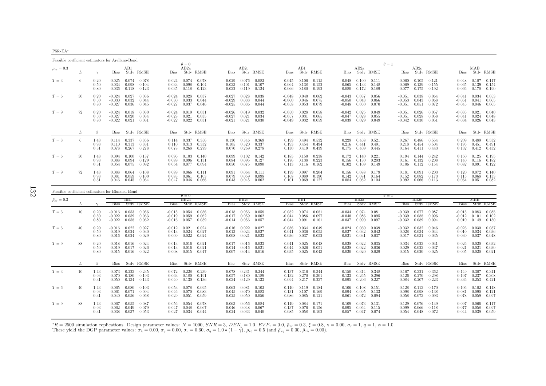P5fc-EA∗

Feasible coefficient estimators for Arellano-Bond

|                                 |    |                      |                                                 |                         |                                   |                                  | $\theta = 0$                      |                         |                                  |                         |                         |                                  |                          |                                                                               |                                  |                         |                         | $\theta = 1$                     |                         |                                             |                                  |                         |                                             |
|---------------------------------|----|----------------------|-------------------------------------------------|-------------------------|-----------------------------------|----------------------------------|-----------------------------------|-------------------------|----------------------------------|-------------------------|-------------------------|----------------------------------|--------------------------|-------------------------------------------------------------------------------|----------------------------------|-------------------------|-------------------------|----------------------------------|-------------------------|---------------------------------------------|----------------------------------|-------------------------|---------------------------------------------|
| $\bar{\rho}_{x\varepsilon}=0.3$ |    |                      |                                                 | AB1                     |                                   |                                  | AB2a                              |                         |                                  | AB2c                    |                         |                                  | ABI                      |                                                                               |                                  | AB2a                    |                         |                                  | AB2c                    |                                             |                                  | МАВ                     |                                             |
|                                 |    |                      | <b>Bias</b>                                     |                         | Stdy RMSE                         | Bias                             |                                   | Stdy RMSE               | <b>Bias</b>                      |                         | Stdy RMSE               | <b>Bias</b>                      |                          | Stdy RMSE                                                                     | <b>Bias</b>                      |                         | Stdy RMSE               |                                  | <b>Bias</b>             | Stdy RMSE                                   | Bias                             |                         | Stdy RMSE                                   |
| $T=3$                           | 6  | 0.20<br>0.50<br>0.80 | $-0.025$<br>$-0.034$<br>$-0.036$                | 0.074<br>0.098          | 0.078<br>0.104<br>$0.118$ $0.123$ | $-0.024$<br>$-0.033$<br>$-0.035$ | 0.074<br>0.098<br>0.118           | 0.078<br>0.104<br>0.123 | $-0.029$<br>$-0.033$<br>$-0.032$ | 0.076<br>0.101<br>0.119 | 0.082<br>0.107<br>0.124 | $-0.064$                         | 0.138                    | $-0.045$ $0.106$ $0.115$<br>0.152<br>$-0.066$ $0.180$ $0.192$                 | -0.048<br>$-0.065$<br>$-0.080$   | 0.100<br>0.133<br>0.172 | 0.111<br>0.148<br>0.189 | $-0.060$<br>$-0.069$<br>$-0.077$ | 0.105<br>0.139<br>0.175 | 0.121<br>0.155<br>0.192                     | $-0.048$<br>$-0.065$<br>$-0.066$ | 0.139                   | $0.107$ $0.117$<br>0.154<br>$0.178$ 0.190   |
| $T=6$                           | 30 | 0.20<br>0.50<br>0.80 | $-0.024$<br>$-0.030$<br>$-0.027$                | 0.027<br>0.032<br>0.036 | 0.036<br>0.044<br>0.045           | $-0.024$<br>$-0.030$<br>$-0.027$ | 0.028<br>0.033<br>0.037           | 0.037<br>0.044<br>0.046 | $-0.027$<br>$-0.029$<br>$-0.025$ | 0.028<br>0.033<br>0.036 | 0.038<br>0.044<br>0.044 | -0.048<br>$-0.060$<br>$-0.058$   | 0.040<br>0.046           | 0.062<br>0.075<br>$0.053$ 0.079                                               | $-0.043$<br>$-0.050$<br>$-0.048$ | 0.037<br>0.043<br>0.050 | 0.056<br>0.066<br>0.070 | $-0.051$<br>$-0.053$<br>$-0.051$ | 0.038<br>0.043<br>0.051 | 0.064<br>0.068<br>0.072                     | $-0.041$<br>$-0.051$<br>$-0.045$ | 0.034<br>0.041<br>0.046 | 0.053<br>0.065<br>0.065                     |
| $T=9$                           | 72 | 0.20<br>0.50<br>0.80 | $-0.024$<br>$-0.027$<br>$-0.022$                | 0.018<br>0.020<br>0.021 | 0.030<br>0.034<br>0.031           | $-0.024$<br>$-0.028$<br>$-0.022$ | 0.019<br>0.021<br>0.022           | 0.031<br>0.035<br>0.031 | $-0.026$<br>$-0.027$<br>$-0.021$ | 0.019<br>0.021<br>0.021 | 0.032<br>0.034<br>0.030 | $-0.050$<br>$-0.057$<br>$-0.049$ | 0.028<br>0.031<br>0.032  | 0.058<br>0.065<br>0.059                                                       | $-0.042$<br>$-0.047$<br>$-0.039$ | 0.025<br>0.028<br>0.029 | 0.049<br>0.055<br>0.049 | $-0.051$<br>$-0.051$<br>$-0.042$ | 0.026<br>0.028<br>0.030 | 0.057<br>0.058<br>0.051                     | $-0.035$<br>$-0.041$<br>$-0.034$ | 0.021<br>0.024<br>0.026 | 0.040<br>0.048<br>0.043                     |
|                                 | L  | $\beta$              |                                                 |                         | Bias Stdy RMSE                    |                                  |                                   | Bias Stdy RMSE          |                                  |                         | Bias Stdy RMSE          |                                  |                          | Bias Stdy RMSE                                                                |                                  |                         | Bias Stdy RMSE          |                                  |                         | Bias Stdv RMSE                              | Bias                             |                         | Stdv RMSE                                   |
| $T=3$                           | 6  | 1.43<br>0.93<br>0.31 | $0.114$ $0.337$<br>$0.110 \quad 0.313$<br>0.078 |                         | 0.356<br>0.331<br>$0.267$ 0.278   | 0.114<br>0.078                   | 0.337<br>$0.110$ $0.313$<br>0.268 | 0.356<br>0.332<br>0.279 | 0.130<br>0.105<br>0.070          | 0.346<br>0.320<br>0.269 | 0.369<br>0.337<br>0.278 |                                  |                          | $0.199$ $0.494$ $0.532$<br>$0.193$ $0.454$ $0.494$<br>$0.130$ $0.419$ $0.439$ | 0.229<br>0.216<br>0.175          | 0.468<br>0.441<br>0.409 | 0.521<br>0.491<br>0.445 | 0.267<br>0.218<br>0.164          | 0.486                   | 0.554<br>$0.454$ $0.504$<br>$0.411$ $0.443$ | 0.209<br>0.195<br>0.132          | 0.451                   | 0.489 0.532<br>0.491<br>$0.412$ $0.432$     |
| $T=6$                           | 30 | 1.43<br>0.93<br>0.31 | 0.094<br>0.088<br>0.054                         | 0.100<br>0.094          | 0.137<br>0.129<br>0.075 0.092     | 0.096<br>0.089<br>0.054          | 0.103<br>0.096<br>0.077           | 0.140<br>0.131<br>0.094 | 0.099<br>0.084<br>0.050          | 0.102<br>0.095<br>0.075 | 0.142<br>0.127<br>0.090 | 0.176                            | $0.185$ $0.150$<br>0.138 | 0.238<br>0.223<br>$0.113$ $0.116$ $0.162$                                     | 0.172<br>0.156<br>0.102          | 0.140<br>0.130<br>0.109 | 0.221<br>0.203<br>0.149 | 0.194<br>0.161<br>0.106          | 0.144<br>0.132          | 0.242<br>0.208<br>$0.112$ $0.154$           | 0.150<br>0.140<br>0.082          | 0.116                   | $0.125$ $0.195$<br>0.182<br>$0.091$ $0.122$ |
| $T=9$                           | 72 | 1.43<br>0.93<br>0.31 | 0.088<br>0.081<br>0.046                         | 0.064<br>0.059<br>0.045 | 0.108<br>0.100<br>0.064           | 0.089<br>0.083<br>0.047          | 0.066<br>0.061<br>0.046           | 0.111<br>0.103<br>0.066 | 0.091<br>0.079<br>0.043          | 0.064<br>0.059<br>0.045 | 0.111<br>0.098<br>0.062 | 0.179<br>0.168<br>0.101          | 0.097<br>0.089<br>0.069  | 0.204<br>0.190<br>0.122                                                       | 0.156<br>0.142<br>0.084          | 0.088<br>0.081<br>0.062 | 0.179<br>0.164<br>0.104 | 0.181<br>0.152<br>0.092          | 0.091<br>0.082<br>0.066 | 0.203<br>0.173<br>0.113                     | 0.120<br>0.115<br>0.064          | 0.072<br>0.068<br>0.051 | 0.140<br>0.133<br>0.082                     |

| Feasible coefficient estimators for Blundell-Bond |    |                      |                                  |                         |                         |                                  |                         |                         |                                  |                         |                         |                                |                         |                                           |                                  |                         |                         |                                  |                         |                         |                               |                         |                         |
|---------------------------------------------------|----|----------------------|----------------------------------|-------------------------|-------------------------|----------------------------------|-------------------------|-------------------------|----------------------------------|-------------------------|-------------------------|--------------------------------|-------------------------|-------------------------------------------|----------------------------------|-------------------------|-------------------------|----------------------------------|-------------------------|-------------------------|-------------------------------|-------------------------|-------------------------|
|                                                   |    |                      |                                  |                         |                         |                                  | $\theta = 0$            |                         |                                  |                         |                         |                                |                         |                                           |                                  |                         |                         | $\theta = 1$                     |                         |                         |                               |                         |                         |
| $\bar{\rho}_{x\varepsilon} = 0.3$                 |    |                      |                                  | BB1                     |                         |                                  | BB2a                    |                         |                                  | BB2c                    |                         |                                | BB1.                    |                                           |                                  | BB2a                    |                         |                                  | BB2c                    |                         |                               | МВВ                     |                         |
|                                                   |    |                      | <b>Bias</b>                      |                         | Stdy RMSE               | <b>Bias</b>                      |                         | Stdy RMSE               | <b>Bias</b>                      |                         | Stdy RMSE               | <b>Bias</b>                    |                         | Stdy RMSE                                 | <b>Bias</b>                      |                         | Stdy RMSE               | <b>Bias</b>                      |                         | Stdy RMSE               | <b>Bias</b>                   |                         | Stdy RMSE               |
| $T=3$                                             | 10 | 0.20<br>0.50<br>0.80 | $-0.016$<br>$-0.022$<br>$-0.022$ | 0.053<br>0.059<br>0.058 | 0.056<br>0.063<br>0.062 | $-0.015$<br>$-0.019$<br>$-0.016$ | 0.054<br>0.059<br>0.057 | 0.056<br>0.062<br>0.059 | $-0.018$<br>$-0.017$<br>$-0.014$ | 0.056<br>0.059<br>0.056 | 0.058<br>0.062<br>0.057 | $-0.032$<br>-0.044<br>-0.044   | 0.074<br>0.086<br>0.091 | 0.081<br>0.097<br>0.101                   | $-0.034$<br>$-0.040$<br>$-0.037$ | 0.074<br>0.086<br>0.090 | 0.081<br>0.095<br>0.097 | $-0.039$<br>$-0.039$<br>$-0.032$ | 0.077<br>0.088<br>0.089 | 0.087<br>0.096<br>0.094 | $-0.015$<br>$-0.012$<br>0.010 | 0.083<br>0.101<br>0.149 | 0.085<br>0.102<br>0.150 |
| $T=6$                                             | 40 | 0.20<br>0.50<br>0.80 | $-0.016$<br>$-0.019$<br>$-0.016$ | 0.022<br>0.024<br>0.024 | 0.027<br>0.030<br>0.029 | $-0.012$<br>$-0.013$<br>$-0.009$ | 0.021<br>0.024<br>0.022 | 0.024<br>0.027<br>0.024 | $-0.016$<br>$-0.013$<br>$-0.008$ | 0.022<br>0.024<br>0.021 | 0.027<br>0.027<br>0.023 | $-0.036$<br>-0.041<br>$-0.036$ | 0.034<br>0.036<br>0.037 | 0.049<br>0.055<br>0.052                   | $-0.024$<br>$-0.027$<br>$-0.021$ | 0.030<br>0.032<br>0.031 | 0.039<br>0.042<br>0.037 | $-0.032$<br>$-0.028$<br>$-0.017$ | 0.032<br>0.034<br>0.031 | 0.046<br>0.044<br>0.035 | $-0.023$<br>$-0.010$<br>0.030 | 0.030<br>0.034<br>0.037 | 0.037<br>0.036<br>0.048 |
| $T=9$                                             | 88 | 0.20<br>0.50<br>0.80 | $-0.018$<br>$-0.019$<br>$-0.015$ | 0.016<br>0.017<br>0.016 | 0.024<br>0.026<br>0.022 | $-0.013$<br>$-0.013$<br>$-0.008$ | 0.016<br>0.016<br>0.015 | 0.021<br>0.021<br>0.017 | $-0.017$<br>$-0.014$<br>$-0.007$ | 0.016<br>0.016<br>0.014 | 0.023<br>0.021<br>0.016 | -0.041<br>$-0.044$<br>$-0.035$ | 0.025<br>0.026<br>0.025 | 0.048<br>0.051<br>0.043                   | $-0.028$<br>$-0.028$<br>$-0.020$ | 0.022<br>0.022<br>0.020 | 0.035<br>0.036<br>0.029 | $-0.034$<br>$-0.029$<br>$-0.015$ | 0.023<br>0.023<br>0.020 | 0.041<br>0.037<br>0.025 | $-0.026$<br>$-0.021$<br>0.005 | 0.020<br>0.021<br>0.020 | 0.032<br>0.030<br>0.021 |
|                                                   | L  | $\beta$              | <b>Bias</b>                      |                         | Stdy RMSE               | Bias                             |                         | Stdv RMSE               | Bias                             |                         | Stdy RMSE               | Bias                           |                         | Stdy RMSE                                 | Bias                             |                         | Stdy RMSE               | Bias                             |                         | Stdv RMSE               | Bias                          |                         | Stdy RMSE               |
| $T=3$                                             | 10 | 1.43<br>0.93<br>0.31 | 0.073<br>0.070<br>0.050          | 0.223<br>0.180<br>0.134 | 0.235<br>0.193<br>0.143 | 0.072<br>0.063<br>0.040          | 0.228<br>0.180<br>0.130 | 0.239<br>0.191<br>0.136 | 0.078<br>0.057<br>0.034          | 0.231<br>0.180<br>0.129 | 0.244<br>0.189<br>0.133 | 0.137<br>0.132<br>0.094        | 0.270<br>0.217          | $0.316$ $0.344$<br>0.301<br>0.237         | 0.150<br>0.133<br>0.095          | 0.314<br>0.265<br>0.206 | 0.348<br>0.296<br>0.227 | 0.167<br>0.126<br>0.084          | 0.321<br>0.270<br>0.207 | 0.362<br>0.298<br>0.223 | 0.149<br>0.197<br>0.336       | 0.307<br>0.237<br>0.253 | 0.341<br>0.308<br>0.421 |
| $T=6$                                             | 40 | 1.43<br>0.93<br>0.31 | 0.065<br>0.061<br>0.040          | 0.080<br>0.071<br>0.056 | 0.103<br>0.094<br>0.068 | 0.053<br>0.046<br>0.029          | 0.078<br>0.070<br>0.051 | 0.095<br>0.083<br>0.059 | 0.062<br>0.045<br>0.025          | 0.081<br>0.070<br>0.050 | 0.102<br>0.083<br>0.056 | 0.131<br>0.086                 | 0.107<br>0.085          | $0.140$ $0.119$ $0.184$<br>0.169<br>0.121 | 0.106<br>0.094<br>0.061          | 0.108<br>0.095<br>0.072 | 0.151<br>0.133<br>0.094 | 0.128<br>0.098<br>0.058          | 0.113<br>0.098<br>0.073 | 0.170<br>0.138<br>0.093 | 0.106<br>0.081<br>0.078       | 0.102<br>0.090<br>0.059 | 0.148<br>0.121<br>0.097 |
| $T=9$                                             | 88 | 1.43<br>0.93<br>0.31 | 0.067<br>0.062<br>0.038          | 0.055<br>0.049<br>0.037 | 0.087<br>0.079<br>0.053 | 0.056<br>0.047<br>0.027          | 0.054<br>0.048<br>0.034 | 0.078<br>0.067<br>0.044 | 0.063<br>0.046<br>0.024          | 0.056<br>0.048<br>0.033 | 0.084<br>0.067<br>0.040 | 0.149<br>0.137<br>0.085        | 0.084<br>0.076<br>0.058 | 0.171<br>0.156<br>0.102                   | 0.109<br>0.095<br>0.057          | 0.073<br>0.064<br>0.047 | 0.131<br>0.115<br>0.074 | 0.129<br>0.099<br>0.054          | 0.076<br>0.066<br>0.048 | 0.149<br>0.118<br>0.072 | 0.097<br>0.077<br>0.044       | 0.066<br>0.058<br>0.039 | 0.117<br>0.097<br>0.059 |

 ${}^*R = 2500$  simulation replications. Design parameter values:  $N = 1000$ ,  $SNR = 3$ ,  $DEN_y = 1.0$ ,  $EVF_x = 0.0$ ,  $\bar{\rho}_{xc} = 0.3$ ,  $\xi = 0.8$ ,  $\kappa = 0.00$ ,  $\sigma_{\varepsilon} = 1$ ,  $q = 1$ ,  $\phi = 1.0$ .<br>These yield the DGP parameter values:  $\pi$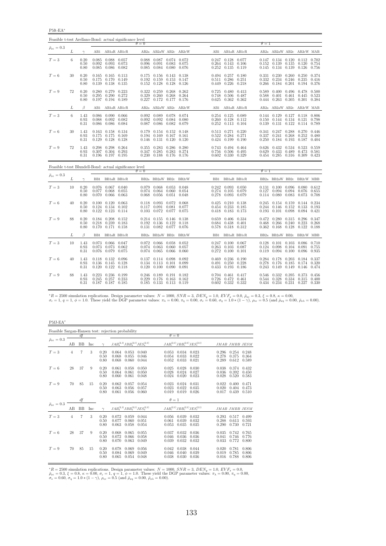P5ft-EA<sup>∗</sup>

| Feasible t-test Arellano-Bond: actual significance level |    |                      |                         |                                                                   |                            |                         |                                                                                       |                |                         |                 |       |                                                                               |                 |                |                                                                                   |                         |                                                   |       |
|----------------------------------------------------------|----|----------------------|-------------------------|-------------------------------------------------------------------|----------------------------|-------------------------|---------------------------------------------------------------------------------------|----------------|-------------------------|-----------------|-------|-------------------------------------------------------------------------------|-----------------|----------------|-----------------------------------------------------------------------------------|-------------------------|---------------------------------------------------|-------|
| $\bar{\rho}_{x\varepsilon}=0.3$                          |    |                      |                         |                                                                   |                            | $\theta = 0$            |                                                                                       |                |                         |                 |       |                                                                               |                 | $\theta = 1$   |                                                                                   |                         |                                                   |       |
|                                                          | L  | $\gamma$             |                         |                                                                   | AB1 AB1aR AB1cR            |                         |                                                                                       |                | AB2a AB2aW AB2c AB2cW   |                 |       |                                                                               | AB1 AB1aR AB1cR |                | AB2a AB2aW AB2c AB2cW MAB                                                         |                         |                                                   |       |
| $T=3$                                                    | 6  | 0.20<br>0.50<br>0.80 | 0.092<br>0.085          | 0.085 0.088 0.057                                                 | 0.093 0.073<br>0.086 0.082 | 0.096<br>0.085          | 0.088 0.087 0.074 0.072<br>0.091 0.083<br>0.084 0.080 0.076                           |                | 0.075                   |                 |       | $0.247$ $0.128$ $0.077$<br>$0.264$ $0.143$ $0.106$<br>$0.252$ $0.135$ $0.119$ |                 | 0.152          | $0.147$ $0.134$ $0.120$ $0.112$ $0.702$<br>0.139<br>$0.145$ $0.134$               | 0.135<br>0.139          | 0.120<br>$0.126$ 0.756                            | 0.754 |
| $T=6$                                                    | 30 | 0.20<br>0.50<br>0.80 | 0.165<br>0.175<br>0.139 | $0.165$ $0.113$<br>$0.170$ $0.149$                                | 0.138 0.135                | 0.152                   | $0.175$ $0.156$ $0.143$ $0.138$<br>$0.192$ $0.159$ $0.153$<br>$0.128$ 0.128           |                | 0.147<br>0.126          |                 |       | $0.494$ $0.257$ $0.180$<br>0.511 0.286 0.251<br>$0.449$ $0.226$ $0.218$       |                 | 0.331<br>0.266 | 0.230<br>0.332 0.234<br>$0.184$ $0.201$                                           | 0.260<br>0.246          | $0.250$ $0.374$<br>$0.235$ $0.416$<br>0.194 0.376 |       |
| $T=9$                                                    | 72 | 0.20<br>0.50<br>0.80 | 0.280<br>0.295          | $0.279$ $0.223$<br>$0.290$ $0.272$<br>$0.197$ $0.194$ $0.189$     |                            | 0.322<br>0.329<br>0.227 | 0.259 0.268<br>0.260<br>$0.172$ 0.177                                                 | 0.268          | 0.262<br>0.264<br>0.176 |                 |       | 0.725 0.480 0.413<br>0.748  0.506  0.487<br>$0.625$ $0.362$ $0.362$           |                 | 0.588          | 0.589 0.400 0.496<br>0.401<br>$0.444$ $0.263$ $0.305$                             | 0.461                   | 0.478 0.500<br>0.445<br>0.301 0.384               | 0.523 |
|                                                          | L  | $\beta$              | AB1                     |                                                                   | AB1aR AB1cR                |                         |                                                                                       |                | AB2a AB2aW AB2c AB2cW   | AB1 AB1aR AB1cR |       |                                                                               |                 |                | AB2a AB2aW AB2c AB2cW MAB                                                         |                         |                                                   |       |
| $T=3$                                                    | 6  | 1.43<br>0.93<br>0.31 | 0.086                   | $0.086$ $0.090$ $0.066$<br>$0.088$ $0.092$ $0.082$<br>0.086 0.084 |                            | 0.092<br>0.087          | $0.092$ $0.089$ $0.078$ $0.074$<br>$0.092$ $0.084$ $0.080$<br>0.086                   | 0.082          | 0.079                   |                 |       | $0.254$ $0.125$ $0.089$<br>$0.260$ $0.128$ $0.112$<br>$0.252$ $0.113$ $0.104$ |                 |                | 0.144 0.129 0.127 0.118 0.806<br>0.150 0.144 0.134 0.121 0.798<br>$0.139$ $0.131$ | 0.122                   | 0.114 0.789                                       |       |
| $T=6$                                                    | 30 | 1.43<br>0.93<br>0.31 | 0.175<br>0.129          | $0.163$ $0.158$ $0.134$<br>0.175<br>$0.128$ $0.128$               | 0.169                      | 0.194                   | $0.179$ $0.154$ $0.152$ $0.148$<br>0.169<br>$0.146$ $0.131$ $0.120$ $0.120$           | 0.167          | 0.161                   |                 |       | $0.513$ $0.271$ $0.220$<br>0.522 0.284 0.271<br>$0.424$ $0.199$ $0.190$       |                 | 0.337<br>0.250 | $0.341$ $0.247$<br>0.241<br>0.184                                                 | 0.288<br>0.268<br>0.193 | $0.270$ $0.446$<br>0.252<br>$0.187$ $0.404$       | 0.480 |
| $T=9$                                                    | 72 | 1.43<br>0.93<br>0.31 | 0.298<br>0.307<br>0.196 | 0.298 0.264<br>$0.197$ $0.195$                                    | 0.304 0.293                | 0.355                   | 0.283 0.286 0.280<br>$0.347$ $0.285$ $0.283$<br>$0.230$ $0.188$ $0.176$ $0.176$       |                | 0.274                   |                 |       | 0.743 0.494 0.464<br>0.756 0.506 0.495<br>0.602 0.330 0.329                   |                 | 0.629          | 0.626 0.432 0.534 0.523 0.559<br>0.433<br>$0.454$ 0.285                           | 0.489                   | 0.473<br>0.316 0.309 0.423                        | 0.581 |
| Feasible t-test Blundell-Bond: actual significance level |    |                      |                         |                                                                   |                            | $\theta = 0$            |                                                                                       |                |                         |                 |       |                                                                               |                 | $\theta = 1$   |                                                                                   |                         |                                                   |       |
| $\bar{\rho}_{x\varepsilon}=0.3$                          | L  | $\gamma$             |                         |                                                                   | BB1 BB1aR BB1cR            |                         |                                                                                       |                | BB2a BB2aW BB2c BB2cW   |                 |       | BB1 BB1aR BB1cR                                                               |                 |                | BB2a BB2aW BB2c BB2cW MBB                                                         |                         |                                                   |       |
| $T=3$                                                    | 10 | 0.20<br>0.50<br>0.80 | 0.077<br>0.070          | 0.076 0.067 0.040<br>0.068<br>$0.066$ 0.063                       | 0.055                      | 0.074<br>0.068          | $0.079$ $0.068$ $0.053$ $0.048$<br>0.064<br>0.056 0.051                               | 0.060          | 0.054<br>0.048          |                 |       | $0.242$ $0.093$ $0.050$<br>$0.274$ $0.105$ $0.079$<br>0.278 0.093 0.079       |                 |                | $0.131$ $0.100$ $0.096$ $0.080$ $0.612$<br>$0.127$ $0.094$<br>0.114 0.080         | 0.094<br>0.083          | 0.076<br>0.073 0.708                              | 0.655 |
| $T=6$                                                    | 40 | 0.20<br>0.50<br>0.80 | 0.122                   | $0.100$ $0.120$ $0.063$<br>$0.124$ $0.134$ $0.102$<br>0.123       | 0.114                      | 0.103                   | $0.118$ $0.093$ $0.072$ $0.068$<br>$0.117$ $0.091$ $0.081$<br>0.072 0.077             |                | 0.077<br>0.075          |                 |       | $0.425$ $0.210$ $0.138$<br>$0.454$ $0.233$ $0.185$<br>0.418 0.183 0.173       |                 | 0.193          | $0.245$ $0.154$ $0.159$<br>$0.244$ $0.146$<br>0.101                               | 0.152<br>0.098          | 0.144 0.234<br>0.133 0.193<br>$0.094$ $0.421$     |       |
| $T=9$                                                    | 88 | 0.20<br>0.50<br>0.80 | 0.218                   | $0.184$ $0.208$<br>0.239<br>$0.170$ $0.171$ $0.158$               | 0.152<br>0.183             | 0.192                   | $0.214$ $0.155$ $0.146$<br>0.136<br>0.131 0.082 0.077 0.076                           | 0.122          | 0.138<br>0.118          |                 |       | 0.659 0.406 0.334<br>0.684 0.438 0.401<br>0.578 0.318 0.312                   |                 | 0.468          | $0.472$ 0.280<br>0.266<br>$0.362$ $0.168$                                         | 0.315<br>0.240<br>0.128 | 0.296 0.347<br>0.223<br>$0.122$ $0.188$           | 0.268 |
|                                                          | L  | $\beta$              | BB1                     | BB1aR BB1cR                                                       |                            |                         |                                                                                       |                | BB2a BB2aW BB2c BB2cW   |                 |       | BB1 BB1aR BB1cR                                                               |                 |                | BB2a BB2aW BB2c BB2cW MBB                                                         |                         |                                                   |       |
| $T=3$                                                    | 10 | 1.43<br>0.93<br>0.31 | 0.076                   | 0.073 0.066 0.047<br>0.073 0.073 0.062<br>0.079                   | 0.075                      | 0.074<br>0.074          | $0.072$ $0.066$ $0.058$ $0.052$<br>0.063<br>0.065                                     | 0.060<br>0.066 | 0.057<br>0.060          |                 |       | $0.247$ $0.100$ $0.067$<br>$0.263$ $0.103$ $0.087$<br>$0.272$ $0.100$ $0.101$ |                 | 0.124<br>0.119 | $0.128$ $0.101$ $0.103$ $0.086$ $0.710$<br>0.098<br>0.094                         | 0.104<br>0.100          | 0.091 0.755<br>0.096 0.935                        |       |
| $T=6$                                                    | 40 | 1.43<br>0.93<br>0.31 | 0.136<br>0.120          | $0.118$ $0.132$ $0.096$<br>0.145<br>$0.122$ $0.118$               | 0.128                      | 0.134                   | $0.137$ $0.114$ $0.098$<br>0.113<br>$0.120$ $0.100$ $0.090$ $0.091$                   | 0.101          | 0.092<br>0.099          |                 | 0.469 | $0.236$ $0.190$<br>$0.491$ $0.250$<br>0.433 0.193 0.186                       | 0.228           | 0.278          | 0.284 0.178<br>0.176<br>$0.243$ $0.149$                                           | 0.203<br>0.185<br>0.149 | 0.184 0.337<br>0.174<br>$0.146$ $0.474$           | 0.320 |
| $T=9$                                                    | 88 | 1.43<br>0.93<br>0.31 | 0.223                   | $0.245$ $0.257$ $0.233$<br>$0.187$ $0.187$ $0.185$                | $0.236$ $0.199$            | 0.246<br>0.229          | $0.189$ $0.191$ $0.182$<br>$0.176$ $0.163$ $0.162$<br>$0.185$ $0.133$ $0.113$ $0.119$ |                |                         |                 |       | 0.704  0.461  0.417<br>$0.726$ $0.472$ $0.461$<br>0.602 0.332 0.332           |                 |                | 0.546 0.332<br>0.544 0.328<br>0.434 0.234 0.231 0.227 0.330                       | 0.395<br>0.334          | 0.373 0.456<br>$0.315$ $0.400$                    |       |

 ${}^{*}R = 2500$  simulation replications. Design parameter values:  $N = 1000$ ,  $SNR = 3$ ,  $DEN_y = 1.0$ ,  $EVF_x = 0.0$ ,  $E_{xz} = 0.3$ ,  $\xi = 0.8$ ,  $\kappa = 0.00$ ,<br> $\sigma_x = 1$ ,  $q = 1$ ,  $\phi = 1.0$ . These yield the DGP parameter values:  $\pi_{\lambda} =$ 

P5fJ-EA<sup>∗</sup>

|                                 |    |           |     |                      | Feasible Sargan-Hansen test: rejection probability                            |                                                                               |                                                                               |
|---------------------------------|----|-----------|-----|----------------------|-------------------------------------------------------------------------------|-------------------------------------------------------------------------------|-------------------------------------------------------------------------------|
|                                 |    | df        |     |                      |                                                                               | $\theta = 0$                                                                  |                                                                               |
| $\bar{\rho}_{x\varepsilon}=0.3$ | AВ | <b>BB</b> | Inc | $\sim$               | $JAB_a^{(2,1)}JBB_a^{(2,1)}JES_a^{(2,1)}$                                     | $JAB_c^{(2,1)}JBB_c^{(2,1)}JES_c^{(2,1)}$                                     | JMAB JMBB JESM                                                                |
| $T=3$                           | 4  | 7         | 3   | 0.20<br>0.50<br>0.80 | 0.064<br>0.053<br>0.040<br>0.068<br>0.055<br>0.046<br>0.068<br>0.060<br>0.044 | 0.053<br>0.034<br>0.023<br>0.033<br>0.054<br>0.022<br>0.052<br>0.033<br>0.021 | 0.248<br>0.296<br>0.254<br>0.375<br>0.278<br>0.364<br>0.289<br>0.612<br>0.589 |
| $T=6$                           | 28 | 37        | 9   | 0.20<br>0.50<br>0.80 | 0.061<br>0.058<br>0.050<br>0.064<br>0.061<br>0.050<br>0.060<br>0.061<br>0.048 | 0.028<br>0.025<br>0.030<br>0.028<br>0.024<br>0.027<br>0.024<br>0.020<br>0.023 | 0.374<br>0.038<br>0.432<br>0.392<br>0.450<br>0.036<br>0.520<br>0.028<br>0.583 |
| $T=9$                           | 70 | 85        | 15  | 0.20<br>0.50<br>0.80 | 0.062<br>0.054<br>0.057<br>0.063<br>0.056<br>0.057<br>0.061<br>0.056<br>0.060 | 0.023<br>0.024<br>0.031<br>0.023<br>0.022<br>0.035<br>0.019<br>0.019<br>0.026 | 0.022<br>0.400<br>0.471<br>0.404<br>0.020<br>0.473<br>0.017<br>0.439<br>0.510 |
|                                 |    | df        |     |                      |                                                                               | $\theta=1$                                                                    |                                                                               |
| $\bar{\rho}_{x\varepsilon}=0.3$ | AB | <b>BB</b> | Inc | $\sim$               | $JAB_a^{(2,1)}JBB_a^{(2,1)}JES_a^{(2,1)}$                                     | $JAB_c^{(2,1)}JBB_c^{(2,1)}JES_c^{(2,1)}$                                     | JMAB JMBB JESM                                                                |
| $T=3$                           | 4  | 7         | 3   | 0.20<br>0.50<br>0.80 | 0.072<br>0.059<br>0.044<br>0.077<br>0.060<br>0.051<br>0.063<br>0.058<br>0.054 | 0.039<br>0.032<br>0.056<br>0.061<br>0.039<br>0.032<br>0.053<br>0.035<br>0.035 | 0.293<br>0.517<br>0.499<br>0.288<br>0.613<br>0.593<br>0.730<br>0.290<br>0.721 |
| $T=6$                           | 28 | 37        | 9   | 0.20<br>0.50<br>0.80 | 0.068<br>0.065<br>0.055<br>0.072<br>0.066<br>0.058<br>0.070<br>0.063<br>0.049 | 0.037<br>0.032<br>0.036<br>0.046<br>0.036<br>0.036<br>0.039<br>0.032<br>0.032 | 0.035<br>0.742<br>0.765<br>0.041<br>0.746<br>0.776<br>0.033<br>0.772<br>0.800 |
|                                 |    |           |     |                      |                                                                               |                                                                               |                                                                               |

\*R = 2500 simulation replications. Design parameter values:  $N = 1000$ ,  $SNR = 3$ ,  $DEN_y = 1.0$ ,  $EVF_x = 0.0$ ,  $\bar{\rho}_{xe} = 0.3$ ,  $\xi = 0.8$ ,  $\kappa = 0.00$ ,  $\sigma_x = 1$ ,  $q = 1$ ,  $\phi = 1.0$ . These yield the DGP parameter values:  $\pi_{\lambda} = 0.$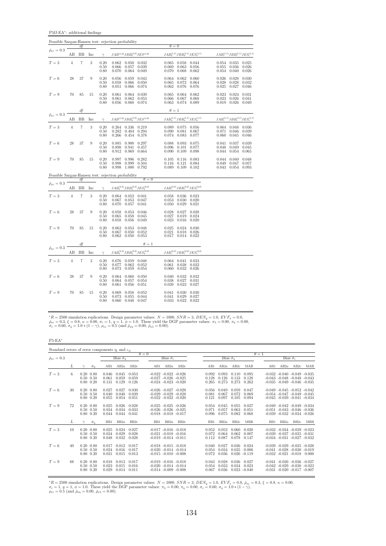P5fJ-EA<sup>∗</sup> : additional findings

|                                 |                |                   |     |                                                     | Feasible Sargan-Hansen test: rejection probability                             |                                                                                    |                                                                                |
|---------------------------------|----------------|-------------------|-----|-----------------------------------------------------|--------------------------------------------------------------------------------|------------------------------------------------------------------------------------|--------------------------------------------------------------------------------|
| $\bar{\rho}_{x\varepsilon}=0.3$ |                | df                |     |                                                     |                                                                                | $\theta = 0$                                                                       |                                                                                |
|                                 | AB             | BB                | Inc | $\gamma$                                            | $JAB^{(1,0)}JBB^{(1,0)}_aJES^{(1,0)}$                                          | $JAB_a^{(1,1)}JBB_a^{(1,1)}JES_a^{(1,1)}$                                          | $JAB_c^{(1,1)}JBB_c^{(1,1)}JES_c^{(1,1)}$                                      |
| $T=3$                           | $\overline{4}$ | 7                 | 3   | 0.20<br>0.50<br>0.80                                | 0.062<br>0.050 0.032<br>0.066<br>0.039<br>0.057<br>0.070<br>0.064 0.049        | 0.065<br>0.058<br>0.044<br>0.069<br>0.063<br>0.056<br>0.070<br>0.068<br>0.062      | 0.054<br>0.035<br>0.025<br>0.055<br>0.036<br>0.026<br>0.054<br>0.040<br>0.026  |
| $T=6$                           | 28             | 37                | 9   | 0.20<br>0.50<br>0.80                                | 0.056<br>0.059<br>0.043<br>0.058<br>0.066<br>0.050<br>0.051<br>0.066<br>0.074  | 0.064<br>0.062<br>0.060<br>0.065<br>0.072<br>0.064<br>0.062<br>0.076<br>0.076      | 0.026<br>0.028<br>0.030<br>0.028<br>0.032<br>0.028<br>0.025<br>0.027<br>0.046  |
| $T=9$                           | 70             | 85                | 15  | 0.20<br>0.50<br>0.80                                | 0.061<br>0.064<br>0.039<br>0.061<br>0.062<br>0.053<br>0.056<br>0.068<br>0.074  | 0.065<br>0.064<br>0.062<br>0.066<br>0.067<br>0.068<br>0.063<br>0.074<br>0.089      | 0.023<br>0.024<br>0.031<br>0.023<br>0.026<br>0.041<br>$0.019$ $0.026$<br>0.049 |
| $\bar{\rho}_{x\varepsilon}=0.3$ |                | df                |     |                                                     |                                                                                | $\theta = 1$                                                                       |                                                                                |
|                                 | AВ             | BB                | Inc | $\gamma$                                            | $JAB^{(1,0)}JBB_a^{(1,0)}JES^{(1,0)}$                                          | $JAB_a^{(1,1)}JBB_a^{(1,1)}JES_a^{(1,1)}$                                          | $JAB_c^{(1,1)}JBB_c^{(1,1)}JES_c^{(1,1)}$                                      |
| $T=3$                           | $\overline{4}$ | $\scriptstyle{7}$ | 3   | $\begin{array}{c} 0.20 \\ 0.50 \end{array}$<br>0.80 | 0.264 0.336 0.219<br>0.294<br>0.282<br>0.404<br>0.266<br>0.454 0.378           | 0.089<br>$0.075$ 0.056<br>0.090<br>0.067<br>0.081<br>0.074<br>0.083<br>0.077       | $0.064$ 0.048<br>0.036<br>0.071<br>0.046<br>0.039<br>0.060<br>0.045<br>0.046   |
| $T=6$                           | 28             | 37                | 9   | 0.20<br>0.50<br>0.80                                | 0.885<br>0.900<br>0.297<br>0.457<br>0.898<br>0.941<br>0.912<br>0.969<br>0.664  | 0.088<br>0.093<br>0.075<br>0.096<br>0.077<br>0.101<br>0.090<br>0.109<br>0.098      | 0.037<br>0.039<br>0.041<br>0.048<br>0.049<br>0.045<br>0.054<br>0.044<br>0.065  |
| $T=9$                           | 70             | 85                | 15  | 0.20<br>0.50<br>0.80                                | 0.996<br>0.282<br>0.997<br>0.998<br>0.999<br>0.504<br>0.998<br>1.000<br>0.792  | 0.083<br>0.105<br>0.116<br>0.116<br>0.084<br>0.121<br>0.089<br>0.109<br>0.102      | 0.040<br>0.044<br>0.048<br>0.049<br>0.047<br>0.057<br>$0.043$ 0.054<br>0.093   |
|                                 |                |                   |     |                                                     | Feasible Sargan-Hansen test: rejection probability<br>$\theta = 0$             |                                                                                    |                                                                                |
| $\bar{\rho}_{x\varepsilon}=0.3$ | AВ             | df<br>ΒB          | Inc | $\gamma$                                            | $JAB_a^{(2,2)}JBB_a^{(2,2)}JES_a^{(2,2)}$                                      | $JAB_c^{(2,2)}JBB_c^{(2,2)}JES_c^{(2,2)}$                                          |                                                                                |
| $T=3$                           | $\overline{4}$ | $\scriptstyle{7}$ | 3   | 0.20<br>0.50<br>0.80                                | 0.064<br>$0.052$ $0.041$<br>0.067<br>0.053<br>0.047<br>0.070<br>0.057<br>0.041 | 0.036<br>0.058<br>0.023<br>0.053<br>0.030<br>0.020<br>0.050<br>0.029<br>0.021      |                                                                                |
| $T=6$                           | 28             | 37                | 9   | 0.20<br>0.50<br>0.80                                | 0.058<br>0.053<br>0.046<br>0.065<br>0.058<br>0.045<br>0.058<br>0.056<br>0.049  | 0.028<br>0.027<br>0.028<br>0.027<br>0.019<br>0.024<br>0.023<br>0.016<br>0.020      |                                                                                |
| $T=9$                           | 70             | 85                | 15  | $\begin{array}{c} 0.20 \\ 0.50 \end{array}$<br>0.80 | 0.063<br>0.053<br>0.048<br>0.050<br>0.052<br>0.067<br>0.062<br>0.050<br>0.053  | $0.025$<br>$0.021$<br>0.024<br>0.030<br>0.018<br>0.026<br>0.017<br>$0.014$ $0.022$ |                                                                                |
| $\bar{\rho}_{x\varepsilon}=0.3$ |                | df                |     |                                                     | $\theta=1$                                                                     |                                                                                    |                                                                                |
|                                 | AB             | BB                | Inc | $\gamma$                                            | $JAB_a^{(2,2)}JBB_a^{(2,2)}JES_a^{(2,2)}$                                      | $JAB_c^{(2,2)}JBB_c^{(2,2)}JES_c^{(2,2)}$                                          |                                                                                |
| $T = 3$                         | $\overline{4}$ | $\scriptstyle{7}$ | 3   | 0.20<br>0.50<br>0.80                                | 0.076<br>0.059<br>0.048<br>0.077<br>0.062<br>0.052<br>0.073<br>0.059<br>0.054  | 0.041<br>0.064<br>0.033<br>0.061<br>0.038<br>0.032<br>0.060<br>0.032<br>0.026      |                                                                                |
| $T=6$                           | 28             | 37                | 9   | 0.20<br>0.50<br>0.80                                | 0.064<br>0.060<br>0.050<br>0.064<br>0.057<br>0.054<br>0.061<br>0.056<br>0.051  | 0.032<br>0.040<br>0.032<br>0.038<br>0.027<br>0.031<br>0.039<br>0.023<br>0.027      |                                                                                |
| $T=9$                           | 70             | 85                | 15  | 0.20<br>0.50<br>0.80                                | 0.069<br>0.058<br>0.052<br>0.055<br>0.073<br>0.044<br>0.060<br>0.048<br>0.047  | 0.030<br>0.041<br>0.030<br>0.041<br>0.029<br>0.027<br>0.033<br>0.022<br>0.022      |                                                                                |

 ${}^*R = 2500$  simulation replications. Design parameter values:  $N = 1000$ ,  $SNR = 3$ ,  $DEN_y = 1.0$ ,  $EVF_x = 0.0$ ,  $\bar{\rho}_{xe} = 0.3$ ,  $\xi = 0.8$ ,  $\kappa = 0.00$ ,  $\sigma_e = 1$ ,  $q = 1$ ,  $\phi = 1.0$ . These yield the DGP parameter values:  $\pi_{\lambda} =$ 

P5-EA<sup>∗</sup>

| Standard errors of error components $\eta_i$ and $\varepsilon_{it}$ |    |                                                        |                         |                         |                         |              |                                                                                      |                                                        |                         |                         |                                   |                         |              |                                                                                                                |                       |     |
|---------------------------------------------------------------------|----|--------------------------------------------------------|-------------------------|-------------------------|-------------------------|--------------|--------------------------------------------------------------------------------------|--------------------------------------------------------|-------------------------|-------------------------|-----------------------------------|-------------------------|--------------|----------------------------------------------------------------------------------------------------------------|-----------------------|-----|
|                                                                     |    |                                                        |                         |                         |                         | $\theta = 0$ |                                                                                      |                                                        |                         |                         |                                   |                         | $\theta = 1$ |                                                                                                                |                       |     |
| $\bar{\rho}_{x\varepsilon}=0.3$                                     |    |                                                        |                         | Bias $\hat{\sigma}_n$   |                         |              | Bias $\hat{\sigma}_e$                                                                |                                                        |                         | Bias $\hat{\sigma}_n$   |                                   |                         |              |                                                                                                                | Bias $\hat{\sigma}_e$ |     |
|                                                                     | L  | $\sigma_n$                                             | AB1                     | AB2a                    | AB2c                    | AB1          | AB2a                                                                                 | AB2c                                                   | AB1                     | AB2a                    | AB2c                              | MAB                     | AB1          | AB2a                                                                                                           | AB2c                  | MAB |
| $T=3$                                                               | 6. | $0.20\ 0.80$<br>$0.50 \quad 0.50$<br>$0.80 \quad 0.20$ | 0.046<br>0.061<br>0.131 | 0.045<br>0.059<br>0.129 | 0.053<br>0.059<br>0.126 |              | $-0.022 - 0.022 - 0.026$                                                             | $-0.027 - 0.026 - 0.025$<br>$-0.024$ $-0.023$ $-0.020$ | 0.092<br>0.128<br>0.265 | 0.093<br>0.126<br>0.273 | 0.110<br>0.133<br>0.273           | 0.095<br>0.128<br>0.262 |              | $-0.032$ $-0.040$ $-0.049$ $-0.035$<br>$-0.043$ $-0.048$ $-0.048$ $-0.043$<br>$-0.035 - 0.049 - 0.046 - 0.035$ |                       |     |
| $T=6$                                                               | 30 | $0.20\ 0.80$<br>$0.50 \quad 0.50$<br>$0.80\ 0.20$      | 0.027<br>0.040<br>0.055 | 0.027<br>0.040<br>0.054 | 0.030<br>0.039<br>0.051 |              | $-0.026$ $-0.027$ $-0.028$<br>$-0.022 - 0.022 - 0.020$                               | $-0.029 - 0.029 - 0.028$                               | 0.056<br>0.081<br>0.121 | 0.049<br>0.067<br>0.097 | 0.059<br>0.072<br>0.105           | 0.047<br>0.069<br>0.094 |              | $-0.049 - 0.045 - 0.052 - 0.042$<br>$-0.054$ $-0.047$ $-0.049$ $-0.045$<br>$-0.045 - 0.039 - 0.041 - 0.034$    |                       |     |
| $T=9$                                                               | 72 | $0.20\ 0.80$<br>$0.50 \quad 0.50$<br>$0.80\ 0.20$      | 0.025<br>0.034<br>0.044 | 0.026<br>0.034<br>0.044 | 0.028<br>0.033<br>0.041 |              | $-0.025 - 0.025 - 0.026$<br>$-0.026$ $-0.026$ $-0.025$<br>$-0.018$ $-0.018$ $-0.017$ |                                                        | 0.054<br>0.071<br>0.096 | 0.045<br>0.057<br>0.075 | 0.055<br>0.063<br>0.082           | 0.037<br>0.051<br>0.068 |              | $-0.049 - 0.042 - 0.049 - 0.034$<br>$-0.051 - 0.043 - 0.046 - 0.036$<br>$-0.039 - 0.032 - 0.034 - 0.026$       |                       |     |
|                                                                     | L  | $\sigma_n$                                             | B <sub>B1</sub>         | BB <sub>2a</sub>        | BB2c                    | BB1          | BB <sub>2a</sub>                                                                     | BB2c                                                   | BB1                     | BB <sub>2a</sub>        | BB <sub>2c</sub>                  | <b>MBB</b>              | BB1          | BB <sub>2a</sub>                                                                                               | BB <sub>2c</sub>      | MBB |
| $T = 3$                                                             | 10 | $0.20\ 0.80$<br>$0.50 \quad 0.50$<br>$0.80 \quad 0.20$ | 0.025<br>0.034<br>0.048 | 0.024<br>0.029<br>0.032 | 0.027<br>0.028<br>0.028 |              | $-0.017 - 0.016 - 0.018$<br>$-0.019 - 0.014 - 0.011$                                 | $-0.021$ $-0.018$ $-0.016$                             | 0.052<br>0.072<br>0.112 | 0.052<br>0.064<br>0.087 | 0.060<br>0.062<br>0.078           | 0.020<br>0.007<br>0.147 |              | $-0.032 - 0.034 - 0.039 - 0.023$<br>$-0.039$ $-0.037$ $-0.035$ $-0.031$<br>$-0.034$ $-0.031$ $-0.027$ $-0.032$ |                       |     |
| $T=6$                                                               | 40 | $0.20\ 0.80$<br>$0.50 \quad 0.50$<br>$0.80\ 0.20$      | 0.017<br>0.024<br>0.031 | 0.012<br>0.016<br>0.015 | 0.017<br>0.017<br>0.013 |              | $-0.018$ $-0.015$ $-0.018$<br>$-0.020 - 0.014 - 0.014$<br>$-0.015 - 0.010 - 0.008$   |                                                        | 0.040<br>0.054<br>0.072 | 0.027<br>0.034<br>0.036 | 0.036<br>0.035<br>$0.026 - 0.119$ | 0.024<br>0.006          |              | $-0.039 - 0.029 - 0.035 - 0.028$<br>$-0.041$ $-0.028$ $-0.030$ $-0.019$<br>$-0.032$ $-0.021$ $-0.018$ 0.000    |                       |     |
| $T=9$                                                               | 88 | $0.20\ 0.80$<br>$0.50 \quad 0.50$<br>$0.80\ 0.20$      | 0.018<br>0.023<br>0.029 | 0.013<br>0.015<br>0.014 | 0.017<br>0.016<br>0.011 |              | $-0.020 - 0.014 - 0.014$<br>$-0.014 - 0.009 - 0.008$                                 | $-0.019 - 0.016 - 0.018$                               | 0.043<br>0.054<br>0.067 | 0.028<br>0.033<br>0.036 | 0.036<br>0.034<br>$0.023 - 0.040$ | 0.027<br>0.023          |              | $-0.041$ $-0.030$ $-0.036$ $-0.027$<br>$-0.042 - 0.029 - 0.030 - 0.023$<br>$-0.031 - 0.020 - 0.017 - 0.007$    |                       |     |

 ${}^*R = 2500$  simulation replications. Design parameter values:  $N = 1000$ ,  $SNR = 3$ ,  $DEN_y = 1.0$ ,  $EVF_x = 0.0$ ,  $\bar{\rho}_{x\bar{x}} = 0.3$ ,  $\xi = 0.8$ ,  $\kappa = 0.00$ ,<br>  $\sigma_{\varepsilon} = 1$ ,  $q = 1$ ,  $\phi = 1.0$ . These yield the DGP parameter values: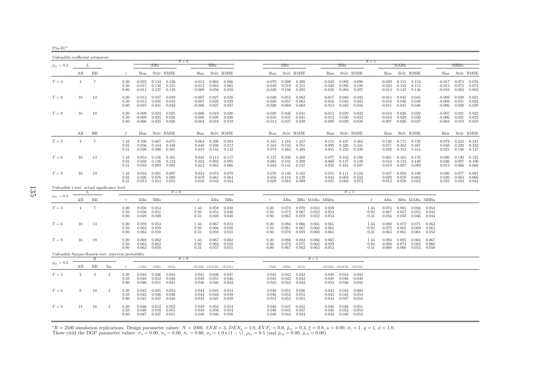| F<br>-ווה |
|-----------|
|           |

| Unfeasible coefficient estimators                    |                |                |                |                          |                                  |                         |                         |                                  |                                       |                         |                                  |                         |                         |                         |                                  |                                 |                         |                      |                                  |                                 |                         |                         |                                  |                                       |                         |
|------------------------------------------------------|----------------|----------------|----------------|--------------------------|----------------------------------|-------------------------|-------------------------|----------------------------------|---------------------------------------|-------------------------|----------------------------------|-------------------------|-------------------------|-------------------------|----------------------------------|---------------------------------|-------------------------|----------------------|----------------------------------|---------------------------------|-------------------------|-------------------------|----------------------------------|---------------------------------------|-------------------------|
| $\bar{\rho}_{x\varepsilon}=0.3$                      |                | L              |                |                          |                                  | ABu                     |                         | $\theta = 0$                     | BBu                                   |                         |                                  | ABu                     |                         |                         |                                  | BBu                             |                         | $\theta = 1$         |                                  | MABu                            |                         |                         |                                  | MBBu                                  |                         |
|                                                      | AВ             | BB             |                | $\gamma$                 | <b>Bias</b>                      |                         | Stdy RMSE               | Bias                             |                                       | Stdy RMSE               | Bias                             |                         | Stdy RMSE               |                         | <b>Bias</b>                      |                                 | Stdy RMSE               |                      | <b>Bias</b>                      |                                 | Stdy RMSE               |                         | Bias                             |                                       | Stdy RMSE               |
| $T=3$                                                | $\overline{4}$ | $\overline{7}$ |                | $0.20\,$<br>0.50<br>0.80 | $-0.022$<br>$-0.017$<br>$-0.011$ | 0.134<br>0.130<br>0.127 | 0.136<br>0.131<br>0.128 | $-0.013$<br>-0.012<br>$-0.009$   | 0.065<br>0.063<br>0.058               | 0.066<br>0.065<br>0.059 | $-0.070$<br>$-0.049$<br>$-0.038$ | 0.300<br>0.210<br>0.198 | 0.308<br>0.215<br>0.201 |                         | $-0.032$<br>$-0.030$<br>$-0.026$ | 0.092<br>0.096<br>0.094         | 0.098<br>0.100<br>0.097 |                      | $-0.029$<br>$-0.023$<br>$-0.013$ | 0.151<br>0.153<br>0.145         | 0.154<br>0.155<br>0.146 |                         | $-0.017$<br>$-0.015$<br>$-0.010$ | 0.074<br>0.072<br>0.062               | 0.076<br>0.074<br>0.063 |
| $T=6$                                                | 10             | 13             |                | 0.20<br>0.50<br>0.80     | $-0.013$<br>$-0.012$<br>$-0.010$ | 0.037<br>0.040<br>0.041 | 0.039<br>0.042<br>0.042 | $-0.007$<br>$-0.007$<br>$-0.006$ | 0.027<br>0.028<br>0.027               | 0.028<br>0.029<br>0.027 | $-0.030$<br>$-0.026$<br>$-0.020$ | 0.055<br>0.057<br>0.060 | 0.062<br>0.063<br>0.063 |                         | $-0.017$<br>$-0.016$<br>$-0.013$ | 0.040<br>0.042<br>0.042         | 0.043<br>0.045<br>0.044 |                      | $-0.015$<br>$-0.016$<br>$-0.011$ | 0.042<br>0.046<br>0.045         | 0.045<br>0.048<br>0.046 |                         | $-0.009$<br>$-0.008$<br>$-0.006$ | 0.030<br>0.031<br>0.028               | 0.031<br>0.032<br>0.029 |
| $T=9$                                                | 16             | 19             |                | 0.20<br>0.50<br>0.80     | $-0.009$<br>$-0.009$<br>$-0.006$ | 0.024<br>0.025<br>0.025 | 0.025<br>0.026<br>0.026 | $-0.006$<br>$-0.006$<br>-0.004   | 0.019<br>0.020<br>0.018               | 0.020<br>0.020<br>0.019 | $-0.020$<br>$-0.018$<br>-0.013   | 0.036<br>0.037<br>0.037 | 0.041<br>0.041<br>0.039 |                         | $-0.013$<br>$-0.012$<br>$-0.009$ | 0.029<br>0.030<br>0.029         | 0.032<br>0.032<br>0.030 |                      | $-0.010$<br>$-0.010$<br>$-0.007$ | 0.026<br>0.028<br>0.026         | 0.028<br>0.030<br>0.027 |                         | $-0.007$<br>$-0.006$<br>$-0.004$ | 0.021<br>0.021<br>0.019               | 0.022<br>0.022<br>0.019 |
|                                                      | AВ             | <b>BB</b>      |                | $\beta$                  | <b>Bias</b>                      |                         | Stdy RMSE               | Bias                             |                                       | Stdy RMSE               | Bias                             |                         | Stdv RMSE               |                         | <b>Bias</b>                      |                                 | Stdy RMSE               |                      | Bias                             |                                 | Stdy RMSE               |                         | Bias                             |                                       | Stdy RMSE               |
| $T=3$                                                | $\overline{4}$ | $\overline{7}$ |                | 1.43<br>0.93<br>0.31     | 0.106<br>0.056<br>0.026          | 0.667<br>0.444<br>0.300 | 0.675<br>0.448<br>0.301 | 0.064<br>0.040<br>0.019          | 0.298<br>0.208<br>0.141               | 0.304<br>0.212<br>0.142 | 0.345<br>0.164<br>0.079          | 1.416<br>0.743<br>0.482 | 1.457<br>0.761<br>0.488 |                         | 0.151<br>0.099<br>0.055          | 0.437<br>0.326<br>0.232         | 0.463<br>0.341<br>0.239 |                      | 0.136<br>0.071<br>0.028          | 0.715<br>0.482<br>0.313         | 0.728<br>0.487<br>0.314 |                         | 0.078<br>0.048<br>0.021          | 0.332<br>0.228<br>0.146               | 0.341<br>0.232<br>0.147 |
| $T=6$                                                | 10             | 13             |                | 1.43<br>0.93<br>0.31     | 0.053<br>0.038<br>0.018          | 0.156<br>0.126<br>0.089 | 0.165<br>0.132<br>0.091 | 0.032<br>0.024<br>0.013          | 0.113<br>0.092<br>0.065               | 0.117<br>0.095<br>0.066 | 0.127<br>0.085<br>0.043          | 0.236<br>0.191<br>0.141 | 0.268<br>0.209<br>0.147 |                         | 0.077<br>0.060<br>0.035          | 0.163<br>0.137<br>0.101         | 0.180<br>0.149<br>0.107 |                      | 0.061<br>0.044<br>0.019          | 0.165<br>0.133<br>0.087         | 0.176<br>0.140<br>0.089 |                         | 0.036<br>0.026<br>0.013          | 0.120<br>0.097<br>0.066               | 0.125<br>0.100<br>0.068 |
| $T=9$                                                | 16             | 19             |                | 1.43<br>0.93<br>0.31     | 0.034<br>0.026<br>0.013          | 0.091<br>0.076<br>0.054 | 0.097<br>0.080<br>0.055 | 0.024<br>0.019                   | 0.074<br>0.061<br>$0.010 \quad 0.043$ | 0.078<br>0.064<br>0.044 | 0.078<br>0.058<br>0.029          | 0.140<br>0.116<br>0.084 | 0.161<br>0.129<br>0.089 |                         | 0.055<br>0.044<br>0.025          | 0.111<br>0.093<br>0.068         | 0.124<br>0.103<br>0.072 |                      | 0.037<br>0.029                   | 0.093<br>0.078<br>$0.012$ 0.050 | 0.100<br>0.083<br>0.052 |                         | 0.026<br>0.020                   | 0.077<br>0.063<br>$0.010 \quad 0.043$ | 0.081<br>0.066<br>0.044 |
| Unfeasible t-test: actual significance level         |                | L              |                |                          |                                  |                         | $\theta = 0$            |                                  |                                       |                         |                                  |                         |                         |                         |                                  | $\theta = 1$                    |                         |                      |                                  |                                 |                         |                         |                                  |                                       |                         |
| $\bar{\rho}_{x\varepsilon}=0.3$                      | AВ             | BB             |                | $\gamma$                 | ABu                              | BBu                     |                         | β                                | ABu                                   | BBu                     | $\gamma$                         | ABu                     |                         |                         | BBu MABu MBBu                    |                                 |                         | β                    | ABu                              |                                 |                         | BBu MABu MBBu           |                                  |                                       |                         |
| $T=3\,$                                              | $\overline{4}$ | 7              |                | 0.20<br>0.50<br>0.80     | 0.050<br>0.050<br>0.049          | 0.054<br>0.051<br>0.049 |                         | 1.43<br>0.93<br>0.31             | 0.058<br>0.054<br>0.048               | 0.048<br>0.046<br>0.048 | 0.20<br>0.50<br>0.80             | 0.078<br>0.072<br>0.065 | 0.070<br>0.067<br>0.059 | 0.053<br>0.052<br>0.052 | 0.059<br>0.054<br>0.054          |                                 |                         | 1.43<br>0.93<br>0.31 | 0.074<br>0.067<br>0.056          | 0.065<br>0.057<br>0.050         | 0.056<br>0.053<br>0.046 | 0.054<br>0.042<br>0.044 |                                  |                                       |                         |
| $T=6$                                                | 10             | 13             |                | 0.20<br>0.50<br>0.80     | 0.059<br>0.062<br>0.064          | 0.053<br>0.059<br>0.058 |                         | 1.43<br>0.93<br>0.31             | 0.067<br>0.066<br>0.058               | 0.055<br>0.058<br>0.055 | 0.20<br>0.50<br>0.80             | 0.086<br>0.081<br>0.070 | 0.066<br>0.067<br>0.059 | 0.065<br>0.062<br>0.060 | 0.061<br>0.061<br>0.061          |                                 |                         | 1.43<br>0.93<br>0.31 | 0.080<br>0.072<br>0.063          | 0.072<br>0.065<br>0.061         | 0.071<br>0.069<br>0.061 | 0.063<br>0.061<br>0.052 |                                  |                                       |                         |
| $T=9$                                                | 16             | 19             |                | 0.20<br>0.50<br>0.80     | 0.069<br>0.064<br>0.063          | 0.062<br>0.062<br>0.050 |                         | 1.43<br>0.93<br>0.31             | 0.067<br>0.063<br>0.057               | 0.062<br>0.058<br>0.051 | 0.20<br>0.50<br>0.80             | 0.086<br>0.078<br>0.067 | 0.083<br>0.075<br>0.062 | 0.066<br>0.062<br>0.063 | 0.067<br>0.059<br>0.053          |                                 |                         | 1.43<br>0.93<br>0.31 | 0.093<br>0.080<br>0.060          | 0.085<br>0.074<br>0.066         | 0.065<br>0.062<br>0.054 | 0.067<br>0.060<br>0.050 |                                  |                                       |                         |
| Unfeasible Sargan-Hansen test: rejection probability |                | df             |                |                          |                                  |                         |                         | $\theta = 0$                     |                                       |                         |                                  |                         |                         | $\theta = 1$            |                                  |                                 |                         |                      |                                  |                                 |                         |                         |                                  |                                       |                         |
| $\bar{\rho}_{x\varepsilon}=0.3$                      | АB             | BB             | Inc            | $\gamma$                 | JABu                             | JBBu                    | JESu                    |                                  |                                       | JMABu JMMBu JESMu       | JABu                             | JBBu                    | JESu                    |                         | JMABu JMMBu JESMu                |                                 |                         |                      |                                  |                                 |                         |                         |                                  |                                       |                         |
| $T=3$                                                | $\overline{2}$ | $\overline{4}$ | $\sqrt{2}$     | 0.20<br>0.50<br>0.80     | 0.044<br>0.048<br>0.046          | 0.046<br>0.052<br>0.051 | 0.044<br>0.046<br>0.041 | 0.045<br>0.049<br>0.046          | 0.046<br>0.051<br>0.048               | 0.047<br>0.046<br>0.042 | 0.045<br>0.045<br>0.045          | 0.042<br>0.043<br>0.043 | 0.042<br>0.043<br>0.042 |                         | 0.049<br>0.049<br>0.053          | 0.044<br>0.046<br>0.046         | 0.042<br>0.040<br>0.043 |                      |                                  |                                 |                         |                         |                                  |                                       |                         |
| $T=6$                                                | 8              | 10             | $\overline{2}$ | 0.20<br>0.50<br>0.80     | 0.042<br>0.043<br>0.045          | 0.045<br>0.046<br>0.047 | 0.053<br>0.046<br>0.048 | 0.044<br>0.044<br>0.043          | 0.045<br>0.044<br>0.047               | 0.054<br>0.049<br>0.050 | 0.048<br>0.046<br>0.051          | 0.051<br>0.052<br>0.052 | 0.056<br>0.051<br>0.055 |                         | 0.043<br>0.043<br>0.044          | 0.044<br>0.045<br>0.047         | 0.060<br>0.054<br>0.054 |                      |                                  |                                 |                         |                         |                                  |                                       |                         |
| $T=9$                                                | 14             | 16             | $\overline{2}$ | 0.20<br>0.50<br>0.80     | 0.046<br>0.048<br>0.047          | 0.052<br>0.050<br>0.047 | 0.052<br>0.055<br>0.051 | 0.049<br>0.049<br>0.048          | 0.052<br>0.050<br>0.048               | 0.054<br>0.054<br>0.056 | 0.048<br>0.046<br>0.046          | 0.047<br>0.045<br>0.044 | 0.055<br>0.047<br>0.044 |                         | 0.048<br>0.048                   | 0.048<br>0.052<br>$0.044$ 0.048 | 0.051<br>0.054<br>0.053 |                      |                                  |                                 |                         |                         |                                  |                                       |                         |

 ${}^*R = 2500$  simulation replications. Design parameter values:  $N = 1000$ ,  $SNR = 3$ ,  $DEN_y = 1.0$ ,  $EVF_x = 0.0$ ,  $\bar{\rho}_{xc} = 0.3$ ,  $\xi = 0.8$ ,  $\kappa = 0.00$ ,  $\sigma_{\varepsilon} = 1$ ,  $q = 1$ ,  $\phi = 1.0$ .<br>These yield the DGP parameter values:  $\pi$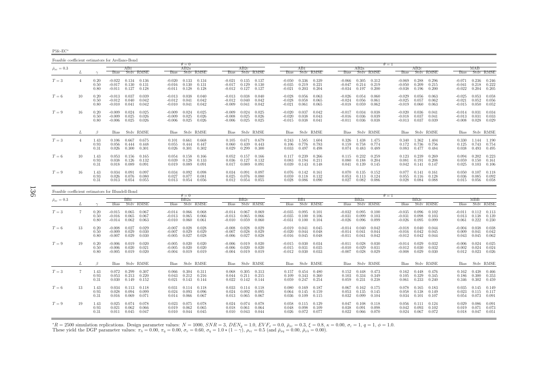P5fc-EC∗

Feasible coefficient estimators for Arellano-Bond

|                                 |    |                      |                                  |                         |                         |                                  | $\theta = 0$            |                         |                                  |                         |                         |                                  |                         |                                   |                                  |                               |                         | $\theta = 1$                     |                         |                         |                                  |                         |                                   |
|---------------------------------|----|----------------------|----------------------------------|-------------------------|-------------------------|----------------------------------|-------------------------|-------------------------|----------------------------------|-------------------------|-------------------------|----------------------------------|-------------------------|-----------------------------------|----------------------------------|-------------------------------|-------------------------|----------------------------------|-------------------------|-------------------------|----------------------------------|-------------------------|-----------------------------------|
| $\bar{\rho}_{x\varepsilon}=0.3$ |    |                      |                                  | ABI                     |                         |                                  | AB2a                    |                         |                                  | AB2c                    |                         |                                  | ABI                     |                                   |                                  | AB2a                          |                         |                                  | AB2c                    |                         |                                  | МАВ                     |                                   |
|                                 |    |                      | <b>Bias</b>                      |                         | Stdy RMSE               | Bias                             |                         | Stdy RMSE               | <b>Bias</b>                      |                         | Stdy RMSE               | <b>Bias</b>                      |                         | Stdy RMSE                         | <b>Bias</b>                      |                               | Stdy RMSE               | <b>Bias</b>                      |                         | Stdy RMSE               | <b>Bias</b>                      |                         | Stdy RMSE                         |
| $T=3$                           |    | 0.20<br>0.50<br>0.80 | $-0.022$<br>$-0.017$<br>$-0.011$ | 0.134<br>0.130<br>0.127 | 0.136<br>0.131<br>0.128 | $-0.020$<br>$-0.016$<br>$-0.011$ | 0.133<br>0.130<br>0.128 | 0.134<br>0.131<br>0.128 | $-0.021$<br>$-0.017$<br>$-0.012$ | 0.135<br>0.129<br>0.127 | 0.137<br>0.130<br>0.127 | $-0.050$<br>$-0.035$<br>$-0.021$ | 0.336<br>0.219<br>0.203 | 0.339<br>0.221<br>0.204           | $-0.066$<br>$-0.047$<br>$-0.034$ | 0.305<br>0.214<br>0.197       | 0.312<br>0.219<br>0.200 | $-0.069$<br>$-0.050$<br>$-0.038$ | 0.288<br>0.209<br>0.196 | 0.296<br>0.215<br>0.200 | $-0.071$<br>$-0.041$<br>$-0.022$ | 0.218<br>0.204          | $0.236$ $0.246$<br>0.222<br>0.205 |
| $T=6$                           | 10 | 0.20<br>0.50<br>0.80 | $-0.013$<br>$-0.012$<br>$-0.010$ | 0.037<br>0.040<br>0.041 | 0.039<br>0.042<br>0.042 | $-0.013$<br>$-0.012$<br>$-0.010$ | 0.038<br>0.041<br>0.041 | 0.040<br>0.042<br>0.042 | $-0.013$<br>$-0.012$<br>$-0.009$ | 0.038<br>0.040<br>0.041 | 0.040<br>0.042<br>0.042 | $-0.028$<br>$-0.028$<br>$-0.021$ | 0.056<br>0.058<br>0.061 | 0.063<br>0.065<br>0.065           | $-0.026$<br>$-0.024$<br>$-0.018$ | 0.054<br>0.056<br>0.059       | 0.060<br>0.061<br>0.062 | $-0.029$<br>$-0.025$<br>$-0.019$ | 0.056<br>0.057<br>0.060 | 0.063<br>0.062<br>0.063 | $-0.025$<br>$-0.021$<br>$-0.015$ | 0.053<br>0.052<br>0.050 | 0.058<br>0.056<br>0.052           |
| $T=9$                           | 16 | 0.20<br>0.50<br>0.80 | $-0.009$<br>$-0.009$<br>$-0.006$ | 0.024<br>0.025<br>0.025 | 0.025<br>0.026<br>0.026 | $-0.009$<br>$-0.009$<br>$-0.006$ | 0.024<br>0.025<br>0.025 | 0.025<br>0.026<br>0.026 | $-0.009$<br>$-0.008$<br>$-0.006$ | 0.024<br>0.025<br>0.025 | 0.025<br>0.026<br>0.025 | $-0.020$<br>$-0.020$<br>$-0.015$ | 0.037<br>0.038<br>0.038 | 0.042<br>0.043<br>0.041           | $-0.017$<br>$-0.016$<br>$-0.011$ | 0.034<br>0.036<br>0.036       | 0.038<br>0.039<br>0.038 | $-0.020$<br>$-0.018$<br>$-0.013$ | 0.036<br>0.037<br>0.037 | 0.041<br>0.041<br>0.039 | $-0.014$<br>$-0.013$<br>$-0.008$ | 0.031<br>0.031<br>0.028 | 0.034<br>0.033<br>0.029           |
|                                 | L  | ß                    | Bias                             |                         | Stdy RMSE               |                                  |                         | Bias Stdy RMSE          |                                  |                         | Bias Stdy RMSE          |                                  |                         | Bias Stdy RMSE                    |                                  |                               | Bias Stdy RMSE          |                                  |                         | Bias Stdy RMSE          | Bias                             |                         | Stdy RMSE                         |
| $T=3$                           |    | 1.43<br>0.93<br>0.31 | 0.106<br>0.056<br>0.026          | 0.667<br>0.444<br>0.300 | 0.675<br>0.448<br>0.301 | 0.101<br>0.055<br>0.026          | 0.661<br>0.444<br>0.301 | 0.668<br>0.447<br>0.302 | 0.105<br>0.060<br>0.029          | 0.671<br>0.439<br>0.299 | 0.679<br>0.443<br>0.300 | 0.243<br>0.106<br>0.033          | 1.585<br>0.776<br>0.497 | 1.604<br>0.783<br>0.498           | 0.326<br>0.159                   | 1.438<br>0.758<br>0.074 0.483 | 1.475<br>0.774<br>0.489 | 0.340<br>0.172<br>0.083          | 1.362<br>0.736<br>0.477 | 1.404<br>0.756<br>0.484 | 0.330<br>0.125<br>0.038          | 1.144<br>0.743          | 1.190<br>0.754<br>$0.493$ $0.495$ |
| $T=6$                           | 10 | 1.43<br>0.93<br>0.31 | 0.053<br>0.038<br>0.018          | 0.156<br>0.126<br>0.089 | 0.165<br>0.132<br>0.091 | 0.054<br>0.039<br>0.019          | 0.158<br>0.128<br>0.089 | 0.166<br>0.133<br>0.091 | 0.052<br>0.036<br>0.017          | 0.157<br>0.127<br>0.089 | 0.166<br>0.132<br>0.091 | 0.117<br>0.083<br>0.039          | 0.239<br>0.194<br>0.143 | 0.266<br>0.211<br>0.148           | 0.115<br>0.080<br>0.041          | 0.232<br>0.188<br>0.139       | 0.259<br>0.204<br>0.145 | 0.123<br>0.081<br>0.042          | 0.239<br>0.191<br>0.141 | 0.269<br>0.208<br>0.147 | 0.094<br>0.059<br>0.025          | 0.202<br>0.150<br>0.103 | 0.223<br>0.161<br>0.106           |
| $T=9$                           | 16 | 1.43<br>0.93<br>0.31 | 0.034<br>0.026<br>0.013          | 0.091<br>0.076<br>0.054 | 0.097<br>0.080<br>0.055 | 0.034<br>0.027<br>0.013          | 0.092<br>0.077<br>0.054 | 0.098<br>0.081<br>0.056 | 0.034<br>0.025<br>0.012          | 0.091<br>0.076<br>0.054 | 0.097<br>0.080<br>0.055 | 0.076<br>0.059<br>0.028          | 0.118<br>0.086          | $0.142$ $0.161$<br>0.132<br>0.090 | 0.070<br>0.053<br>0.027          | 0.135<br>0.113<br>0.082       | 0.152<br>0.124<br>0.086 | 0.077<br>0.055<br>0.028          | 0.141<br>0.116<br>0.084 | 0.161<br>0.128<br>0.088 | 0.050<br>0.036<br>0.015          | 0.085<br>0.056          | $0.107$ $0.118$<br>0.092<br>0.058 |

| Feasible coefficient estimators for Blundell-Bond |    |                      |                                  |                         |                         |                                  |                         |                         |                                  |                         |                         |                                  |                         |                                   |                                  |                         |                         |                                  |                         |                         |                               |                         |                                   |
|---------------------------------------------------|----|----------------------|----------------------------------|-------------------------|-------------------------|----------------------------------|-------------------------|-------------------------|----------------------------------|-------------------------|-------------------------|----------------------------------|-------------------------|-----------------------------------|----------------------------------|-------------------------|-------------------------|----------------------------------|-------------------------|-------------------------|-------------------------------|-------------------------|-----------------------------------|
|                                                   |    |                      |                                  |                         |                         |                                  | $\theta = 0$            |                         |                                  |                         |                         |                                  |                         |                                   |                                  |                         |                         | $\theta = 1$                     |                         |                         |                               |                         |                                   |
| $\bar{\rho}_{x\varepsilon}=0.3$                   |    |                      |                                  | BB1.                    |                         |                                  | BB2a                    |                         |                                  | BB2c                    |                         |                                  | BB1.                    |                                   |                                  | BB2a                    |                         |                                  | BB2c                    |                         |                               | МВВ                     |                                   |
|                                                   |    |                      | <b>Bias</b>                      |                         | Stdy RMSE               | <b>Bias</b>                      |                         | Stdy RMSE               | <b>Bias</b>                      |                         | Stdy RMSE               | <b>Bias</b>                      |                         | Stdy RMSE                         | <b>Bias</b>                      |                         | Stdy RMSE               | <b>Bias</b>                      |                         | Stdy RMSE               | <b>Bias</b>                   |                         | Stdy RMSE                         |
| $T=3$                                             |    | 0.20<br>0.50<br>0.80 | $-0.015$<br>$-0.016$<br>$-0.014$ | 0.065<br>0.065<br>0.062 | 0.067<br>0.067<br>0.063 | $-0.014$<br>$-0.013$<br>$-0.010$ | 0.066<br>0.065<br>0.060 | 0.068<br>0.066<br>0.061 | $-0.014$<br>$-0.013$<br>$-0.010$ | 0.067<br>0.065<br>0.059 | 0.069<br>0.066<br>0.060 | $-0.035$<br>$-0.035$<br>$-0.031$ | 0.095<br>0.100<br>0.100 | 0.101<br>0.106<br>0.104           | $-0.032$<br>$-0.031$<br>$-0.026$ | 0.095<br>0.099<br>0.096 | 0.100<br>0.103<br>0.099 | $-0.035$<br>$-0.031$<br>$-0.026$ | 0.096<br>0.098<br>0.095 | 0.102<br>0.103<br>0.099 | $-0.011$<br>0.013<br>0.061    | 0.112<br>0.138<br>0.222 | 0.113<br>0.139<br>0.230           |
| $T=6$                                             | 13 | 0.20<br>0.50<br>0.80 | $-0.008$<br>$-0.009$<br>$-0.007$ | 0.027<br>0.029<br>0.029 | 0.029<br>0.030<br>0.030 | $-0.007$<br>$-0.007$<br>$-0.005$ | 0.028<br>0.029<br>0.027 | 0.028<br>0.029<br>0.028 | $-0.008$<br>$-0.007$<br>$-0.006$ | 0.028<br>0.028<br>0.027 | 0.029<br>0.029<br>0.028 | $-0.019$<br>$-0.020$<br>$-0.016$ | 0.041<br>0.044<br>0.045 | 0.045<br>0.048<br>0.048           | $-0.014$<br>$-0.014$<br>$-0.011$ | 0.040<br>0.041<br>0.041 | 0.042<br>0.044<br>0.042 | $-0.018$<br>$-0.016$<br>$-0.012$ | 0.040<br>0.042<br>0.042 | 0.044<br>0.045<br>0.044 | $-0.004$<br>0.009<br>0.043    | 0.038<br>0.041<br>0.045 | 0.038<br>0.042<br>0.062           |
| $T=9$                                             | 19 | 0.20<br>0.50<br>0.80 | $-0.006$<br>$-0.006$<br>$-0.005$ | 0.019<br>0.020<br>0.019 | 0.020<br>0.021<br>0.020 | $-0.005$<br>$-0.005$<br>$-0.004$ | 0.020<br>0.020<br>0.019 | 0.020<br>0.020<br>0.019 | $-0.006$<br>$-0.006$<br>$-0.004$ | 0.019<br>0.020<br>0.019 | 0.020<br>0.020<br>0.019 | $-0.015$<br>$-0.015$<br>$-0.012$ | 0.030<br>0.031<br>0.030 | 0.034<br>0.035<br>0.033           | $-0.011$<br>$-0.010$<br>$-0.007$ | 0.028<br>0.029<br>0.028 | 0.030<br>0.031<br>0.029 | $-0.014$<br>$-0.012$<br>$-0.008$ | 0.029<br>0.030<br>0.029 | 0.032<br>0.032<br>0.030 | $-0.006$<br>$-0.002$<br>0.012 | 0.024<br>0.024<br>0.023 | 0.025<br>0.024<br>0.026           |
|                                                   | L  |                      | Bias                             |                         | Stdy RMSE               | Bias                             |                         | Stdv RMSE               | Bias                             |                         | Stdv RMSE               | Bias                             |                         | Stdy RMSE                         | Bias                             |                         | Stdv RMSE               |                                  | Bias Stdy RMSE          |                         | Bias                          |                         | Stdy RMSE                         |
| $T=3$                                             |    | 1.43<br>0.93<br>0.31 | 0.072<br>0.053<br>0.030          | 0.299<br>0.213<br>0.149 | 0.307<br>0.220<br>0.152 | 0.066<br>0.043<br>0.021          | 0.304<br>0.212<br>0.143 | 0.311<br>0.216<br>0.144 | 0.068<br>0.044<br>0.022          | 0.305<br>0.211<br>0.142 | 0.313<br>0.215<br>0.144 | 0.157<br>0.109<br>0.059          | 0.454<br>0.343<br>0.247 | 0.480<br>0.360<br>0.254           | 0.152<br>0.103<br>0.059          | 0.448<br>0.334<br>0.231 | 0.473<br>0.349<br>0.238 | 0.162<br>0.105<br>0.061          | 0.448<br>0.329<br>0.233 | 0.476<br>0.345<br>0.240 | 0.162<br>0.186<br>0.346       | 0.438<br>0.300<br>0.302 | 0.466<br>0.353<br>0.459           |
| $T=6$                                             | 13 | 1.43<br>0.93<br>0.31 | 0.034<br>0.028<br>0.016          | 0.113<br>0.094<br>0.069 | 0.118<br>0.099<br>0.071 | 0.031<br>0.024<br>0.014          | 0.114<br>0.093<br>0.066 | 0.118<br>0.096<br>0.067 | 0.033<br>0.024<br>0.013          | 0.114<br>0.092<br>0.065 | 0.118<br>0.095<br>0.067 | 0.080<br>0.064<br>0.036          | 0.145<br>0.109          | $0.169$ $0.187$<br>0.159<br>0.115 | 0.067<br>0.053<br>0.032          | 0.162<br>0.135<br>0.099 | 0.175<br>0.145<br>0.104 | 0.078<br>0.058<br>0.034          | 0.165<br>0.138<br>0.101 | 0.183<br>0.149<br>0.107 | 0.035<br>0.023<br>0.054       | 0.115<br>0.073          | $0.145$ $0.149$<br>0.117<br>0.091 |
| $T=9$                                             | 19 | 1.43<br>0.93<br>0.31 | 0.025<br>0.021<br>0.011          | 0.074<br>0.062<br>0.045 | 0.078<br>0.066<br>0.047 | 0.023<br>0.019<br>0.010          | 0.075<br>0.062<br>0.044 | 0.078<br>0.065<br>0.045 | 0.024<br>0.018<br>0.010          | 0.074<br>0.061<br>0.043 | 0.078<br>0.064<br>0.044 | 0.058<br>0.048<br>0.026          | 0.115<br>0.098<br>0.072 | 0.129<br>0.109<br>0.077           | 0.047<br>0.038<br>0.022          | 0.108<br>0.091<br>0.066 | 0.118<br>0.098<br>0.070 | 0.056<br>0.042<br>0.024          | 0.111<br>0.093<br>0.067 | 0.124<br>0.102<br>0.072 | 0.029<br>0.019<br>0.018       | 0.086<br>0.071<br>0.047 | 0.091<br>0.073<br>0.051           |

 ${}^*R = 2500$  simulation replications. Design parameter values:  $N = 1000$ ,  $SNR = 3$ ,  $DEN_y = 1.0$ ,  $EVF_x = 0.0$ ,  $\bar{\rho}_{xc} = 0.3$ ,  $\xi = 0.8$ ,  $\kappa = 0.00$ ,  $\sigma_{\varepsilon} = 1$ ,  $q = 1$ ,  $\phi = 1.0$ .<br>These yield the DGP parameter values:  $\pi$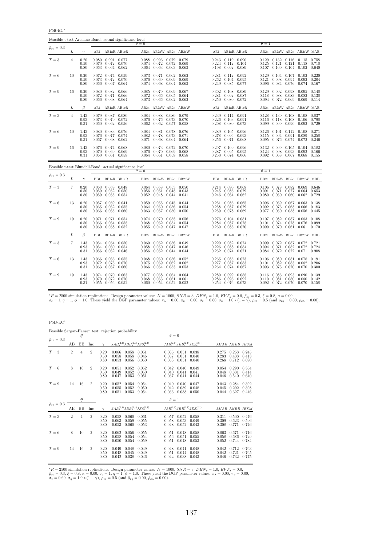P5ft-EC<sup>∗</sup>

| Feasible t-test Arellano-Bond: actual significance level |                |                      |                         |                                                       |                                |                         |                                                   |                         |                               |                         |                                                                         |       |                         |                                                                     |                         |                                                                             |                |
|----------------------------------------------------------|----------------|----------------------|-------------------------|-------------------------------------------------------|--------------------------------|-------------------------|---------------------------------------------------|-------------------------|-------------------------------|-------------------------|-------------------------------------------------------------------------|-------|-------------------------|---------------------------------------------------------------------|-------------------------|-----------------------------------------------------------------------------|----------------|
| $\bar{\rho}_{x\varepsilon}=0.3$                          |                |                      |                         |                                                       |                                | $\theta = 0$            |                                                   |                         |                               |                         |                                                                         |       | $\theta = 1$            |                                                                     |                         |                                                                             |                |
|                                                          | L              | $\gamma$             |                         |                                                       | AB1 AB1aR AB1cR                |                         |                                                   |                         | AB2a AB2aW AB2c AB2cW         |                         | AB1 AB1aR AB1cR                                                         |       |                         | AB2a AB2aW AB2c AB2cW MAB                                           |                         |                                                                             |                |
| $T=3$                                                    | $\overline{4}$ | 0.20<br>0.50<br>0.80 | 0.070<br>0.063          | 0.080 0.091 0.077                                     | 0.072 0.070<br>$0.064$ $0.062$ | 0.074<br>0.064          | 0.088 0.093 0.079 0.079<br>0.072<br>0.063         | 0.072<br>0.063          | 0.069<br>0.063                |                         | $0.243$ $0.119$ $0.090$<br>$0.224$ $0.112$ $0.104$<br>0.198 0.092 0.089 |       | 0.125                   | $0.129$ $0.132$ $0.116$ $0.115$ $0.758$<br>0.121<br>$0.107$ $0.100$ | 0.121                   | 0.118<br>$0.104$ $0.102$                                                    | 0.718<br>0.640 |
| $T=6$                                                    | 10             | 0.20<br>0.50<br>0.80 | 0.072<br>0.073<br>0.066 | 0.074 0.059<br>0.072                                  | 0.070<br>$0.067$ 0.064         | 0.073<br>0.076<br>0.074 | 0.071<br>0.069<br>0.068                           | 0.062<br>0.069<br>0.064 | 0.062<br>0.069<br>0.063       |                         | $0.281$ $0.112$ $0.092$<br>$0.262$ $0.104$ $0.095$<br>0.249 0.085 0.077 |       | 0.129<br>0.121<br>0.096 | 0.098<br>0.084                                                      | 0.076                   | $0.104$ $0.107$ $0.102$ $0.220$<br>$0.094$ $0.092$ $0.204$<br>$0.074$ 0.167 |                |
| $T=9$                                                    | 16             | 0.20<br>0.50<br>0.80 | 0.080<br>0.072<br>0.066 | $0.082$ 0.066<br>0.071<br>0.068                       | 0.066<br>0.064                 | 0.085<br>0.072<br>0.073 | 0.079 0.069<br>0.066<br>$0.066$ 0.062             | 0.065                   | 0.067<br>0.064<br>0.062       |                         | $0.302$ $0.108$ $0.089$<br>$0.281$ $0.092$ $0.087$<br>0.250 0.080 0.072 |       | 0.129<br>0.118          | $0.092$ 0.098<br>0.088<br>0.094 0.072                               | 0.083<br>0.069          | $0.095$ 0.148<br>$0.082$ $0.138$<br>$0.069$ $0.114$                         |                |
|                                                          | L              | $\beta$              | AB1                     |                                                       | AB1aR AB1cR                    |                         |                                                   |                         | AB2a AB2aW AB2c AB2cW         | AB1                     | AB1aR AB1cR                                                             |       |                         | AB2a AB2aW AB2c AB2cW MAB                                           |                         |                                                                             |                |
| $T=3$                                                    | $\overline{4}$ | 1.43<br>0.93<br>0.31 | 0.060                   | 0.079 0.087 0.080<br>0.073 0.079<br>0.062             | 0.072<br>0.056                 | 0.076<br>0.062          | $0.084$ $0.088$ $0.080$ $0.079$<br>0.076<br>0.062 | 0.073<br>0.057          | 0.070<br>0.058                | 0.239<br>0.226<br>0.208 | $0.114$ $0.091$<br>$0.103$ $0.091$<br>0.080 0.073                       |       | 0.116<br>0.099          | $0.128$ $0.139$ $0.108$<br>0.118<br>0.099                           | 0.108<br>0.090          | $0.108$ 0.837<br>$0.106$ 0.798<br>$0.092$ 0.729                             |                |
| $T=6$                                                    | 10             | 1.43<br>0.93<br>0.31 | 0.080<br>0.076          | 0.077<br>$0.067$ $0.068$ $0.062$                      | 0.083 0.076<br>0.074           | 0.084<br>0.082          | 0.081 0.078<br>0.078<br>$0.071$ $0.068$ $0.064$   | 0.073                   | 0.076<br>0.071<br>0.064       | 0.278                   | $0.289$ $0.105$ $0.096$<br>0.096<br>$0.256$ $0.071$ $0.068$             | 0.093 | 0.115<br>0.095          | $0.126$ $0.101$<br>0.094<br>0.076                                   | 0.112<br>0.091          | 0.108<br>0.089<br>$0.074$ $0.072$ $0.246$                                   | 0.271<br>0.258 |
| $T=9$                                                    | 16             | 1.43<br>0.93<br>0.31 | 0.070                   | 0.076 0.074 0.068<br>0.069<br>$0.060$ $0.061$ $0.058$ | 0.069                          | 0.080<br>0.076          | 0.073 0.072<br>0.070<br>$0.064$ $0.061$ $0.058$   | 0.069                   | 0.070<br>0.068<br>0.058       |                         | 0.297 0.109 0.096<br>$0.287$ 0.095<br>$0.250$ $0.074$ $0.066$           | 0.095 | 0.132<br>0.124          | 0.099<br>0.098<br>$0.092$ 0.068                                     | 0.105<br>0.093          | $0.104$ $0.182$<br>0.092<br>$0.067$ 0.068                                   | 0.166<br>0.155 |
| Feasible t-test Blundell-Bond: actual significance level |                |                      |                         |                                                       |                                | $\theta = 0$            |                                                   |                         |                               |                         |                                                                         |       | $\theta = 1$            |                                                                     |                         |                                                                             |                |
| $\bar{\rho}_{x\varepsilon}=0.3$                          | L              | $\gamma$             | BB1                     | BB1aR BB1cR                                           |                                |                         |                                                   |                         | BB2a BB2aW BB2c BB2cW         |                         | BB1 BB1aR BB1cR                                                         |       |                         | BB2a BB2aW BB2c BB2cW MBB                                           |                         |                                                                             |                |
| $T=3$                                                    | 7              | 0.20<br>0.50<br>0.80 | 0.059<br>0.059          | $0.063$ $0.059$ $0.048$<br>0.052<br>0.055             | 0.050<br>0.054                 | 0.056<br>0.052          | $0.064$ $0.058$ $0.055$ $0.050$<br>0.051<br>0.048 | 0.048<br>0.044          | 0.043<br>0.041                | 0.245<br>0.246          | $0.214$ $0.090$ $0.068$<br>0.086<br>$0.064$ 0.062                       | 0.079 | 0.091<br>0.080          | $0.106$ 0.078<br>0.071<br>0.060                                     | 0.082<br>0.077<br>0.060 | $0.069$ $0.646$<br>0.064<br>0.062                                           | 0.653<br>0.729 |
| $T=6$                                                    | 13             | 0.20<br>0.50<br>0.80 | 0.057<br>0.065<br>0.066 | $0.059$ $0.041$<br>0.062<br>0.065                     | 0.055<br>0.060                 | 0.064<br>0.063          | $0.059$ 0.055<br>0.060<br>0.057                   | 0.056<br>0.050          | 0.045 0.044<br>0.054<br>0.050 | 0.258<br>0.259          | 0.251 0.086 0.065<br>0.087 0.079<br>0.078                               | 0.069 | 0.096<br>0.092<br>0.077 | 0.069<br>0.076<br>0.060                                             | 0.067<br>0.068<br>0.058 | $0.063$ $0.138$<br>0.066<br>0.056                                           | 0.183<br>0.445 |
| $T=9$                                                    | 19             | 0.20<br>0.50<br>0.80 | 0.071<br>0.066          | 0.064<br>$0.060$ $0.058$ $0.052$                      | 0.071 0.054<br>0.058           | 0.074<br>0.068<br>0.055 | 0.070<br>0.062<br>$0.049$ $0.047$ $0.047$         | 0.058<br>0.054          | 0.056<br>0.054                |                         | $0.276$ $0.104$ $0.081$<br>0.284 0.087<br>0.260 0.083 0.070             | 0.078 | 0.101<br>0.090          | $0.107$ 0.082<br>0.074<br>0.070                                     | 0.087<br>0.078<br>0.061 | $0.083$ $0.108$<br>0.076<br>$0.061$ $0.170$                                 | 0.099          |
|                                                          | L              | $\beta$              | BB1                     |                                                       | BB1aR BB1cR                    |                         |                                                   |                         | BB2a BB2aW BB2c BB2cW         | BB1                     | BB1aR BB1cR                                                             |       |                         | BB2a BB2aW BB2c BB2cW MBB                                           |                         |                                                                             |                |
| $T=3$                                                    | 7              | 1.43<br>0.93<br>0.31 | 0.054<br>0.056          | $0.054$ $0.054$ $0.050$<br>$0.062$ 0.046              | $0.060$ $0.054$                | 0.058<br>0.056          | $0.060$ $0.052$ $0.056$ $0.049$<br>0.050<br>0.052 | 0.047<br>0.044          | 0.046<br>0.044                | 0.226                   | $0.220$ $0.082$ $0.074$<br>0.088 0.084<br>$0.232$ $0.074$ $0.071$       |       | 0.094<br>0.084          | $0.099$ $0.072$ $0.087$ $0.072$ $0.721$<br>0.071<br>0.072           | 0.082<br>0.072          | 0.072<br>$0.071$ 0.908                                                      | 0.724          |
| $T=6$                                                    | 13             | 1.43<br>0.93<br>0.31 | 0.066<br>0.072          | 0.073<br>$0.063$ $0.067$ $0.060$                      | 0.066 0.055<br>0.070           | 0.068<br>0.075<br>0.066 | $0.060$ $0.056$<br>0.069<br>0.064 0.053           | 0.062                   | 0.052<br>0.062<br>0.053       | 0.277                   | $0.265$ $0.085$ $0.073$<br>0.087<br>$0.264$ $0.074$ $0.067$             | 0.083 | 0.101                   | $0.106$ 0.080<br>0.082<br>$0.093$ $0.073$                           | 0.081<br>0.083<br>0.070 | $0.078$ 0.191<br>0.082<br>$0.070$ $0.300$                                   | 0.206          |
| $T=9$                                                    | 19             | 1.43<br>0.93<br>0.31 | 0.070<br>0.055          | $0.074$ $0.070$ $0.063$<br>0.072<br>0.056             | 0.070<br>0.052                 | 0.077<br>0.068<br>0.060 | 0.068<br>0.063<br>$0.054$ $0.052$ $0.052$         | 0.064<br>0.061          | 0.064<br>0.061                |                         | $0.280$ $0.099$ $0.088$<br>$0.286$ 0.096<br>0.254 0.076 0.073           | 0.092 | 0.110                   | 0.116 0.085<br>0.081<br>$0.092 \quad 0.072$                         | 0.093<br>0.080<br>0.070 | $0.090 \quad 0.139$<br>0.080<br>$0.070$ $0.158$                             | 0.142          |

 ${}^{*}R = 2500$  simulation replications. Design parameter values:  $N = 1000$ ,  $SNR = 3$ ,  $DEN_y = 1.0$ ,  $EVF_x = 0.0$ ,  $E_{xz} = 0.3$ ,  $\xi = 0.8$ ,  $\kappa = 0.00$ ,<br> $\sigma_x = 1$ ,  $q = 1$ ,  $\phi = 1.0$ . These yield the DGP parameter values:  $\pi_{\lambda} =$ 

P5fJ-EC<sup>∗</sup>

|                                 |                |           |                |                      | Feasible Sargan-Hansen test: rejection probability |                         |                         |                         |                                           |                         |                         |                         |
|---------------------------------|----------------|-----------|----------------|----------------------|----------------------------------------------------|-------------------------|-------------------------|-------------------------|-------------------------------------------|-------------------------|-------------------------|-------------------------|
|                                 |                | df        |                |                      |                                                    |                         | $\theta = 0$            |                         |                                           |                         |                         |                         |
| $\bar{\rho}_{x\varepsilon}=0.3$ | AВ             | <b>BB</b> | Inc            | $\sim$               | $JAB_a^{(2,1)}JBB_a^{(2,1)}JES_a^{(2,1)}$          |                         |                         |                         | $JAB_c^{(2,1)}JBB_c^{(2,1)}JES_c^{(2,1)}$ |                         | JMAB JMBB JESM          |                         |
| $T=3$                           | $\overline{2}$ | 4         | $\overline{2}$ | 0.20<br>0.50<br>0.80 | 0.066<br>0.058<br>0.058<br>0.058<br>0.053<br>0.056 | 0.051<br>0.046<br>0.050 | 0.065<br>0.057<br>0.053 | 0.051<br>0.051<br>0.051 | 0.038<br>0.040<br>0.040                   | 0.275<br>0.283<br>0.268 | 0.253<br>0.433<br>0.712 | 0.245<br>0.413<br>0.690 |
| $T=6$                           | 8              | 10        | $\overline{2}$ | 0.20<br>0.50<br>0.80 | 0.051<br>0.052<br>0.052<br>0.049<br>0.047<br>0.053 | 0.052<br>0.050<br>0.051 | 0.042<br>0.040<br>0.037 | 0.040<br>0.041<br>0.041 | 0.049<br>0.041<br>0.044                   | 0.054<br>0.048<br>0.046 | 0.290<br>0.331<br>0.540 | 0.364<br>0.414<br>0.640 |
| $T=9$                           | 14             | 16        | $\overline{2}$ | 0.20<br>0.50<br>0.80 | 0.052<br>0.054<br>0.055<br>0.052<br>0.051<br>0.053 | 0.054<br>0.050<br>0.054 | 0.040<br>0.042<br>0.036 | 0.040<br>0.039<br>0.038 | 0.047<br>0.048<br>0.050                   | 0.043<br>0.045<br>0.044 | 0.284<br>0.292<br>0.327 | 0.392<br>0.398<br>0.446 |
|                                 |                | df        |                |                      |                                                    |                         | $\theta=1$              |                         |                                           |                         |                         |                         |
| $\bar{\rho}_{x\varepsilon}=0.3$ | AВ             | <b>BB</b> | Inc            | $\gamma$             | $JAB_a^{(2,1)}JBB_a^{(2,1)}JES_a^{(2,1)}$          |                         |                         |                         | $JAB_c^{(2,1)}JBB_c^{(2,1)}JES_c^{(2,1)}$ |                         | JMAB JMBB JESM          |                         |
| $T=3$                           | $\overline{2}$ | 4         | $\overline{2}$ | 0.20<br>0.50<br>0.80 | 0.058<br>0.060<br>0.063<br>0.059<br>0.053<br>0.060 | 0.061<br>0.055<br>0.053 | 0.057<br>0.058<br>0.048 | 0.052<br>0.053<br>0.052 | 0.058<br>0.049<br>0.043                   | 0.311<br>0.309<br>0.308 | 0.500<br>0.623<br>0.771 | 0.476<br>0.596<br>0.746 |
| $T=6$                           | 8              | 10        | $\overline{2}$ | 0.20<br>0.50<br>0.80 | 0.062<br>0.056<br>0.058<br>0.054<br>0.050<br>0.054 | 0.055<br>0.054<br>0.059 | 0.051<br>0.056<br>0.051 | 0.048<br>0.051<br>0.048 | 0.058<br>0.055<br>0.053                   | 0.063<br>0.058<br>0.052 | 0.671<br>0.686<br>0.744 | 0.716<br>0.729<br>0.784 |
| $T=9$                           | 14             | 16        | $\overline{2}$ | 0.20<br>0.50<br>0.80 | 0.049<br>0.048<br>0.045<br>0.048<br>0.042<br>0.038 | 0.049<br>0.049<br>0.046 | 0.048<br>0.051<br>0.042 | 0.041<br>0.044<br>0.038 | 0.048<br>0.048<br>0.043                   | 0.042<br>0.042<br>0.046 | 0.712<br>0.721<br>0.732 | 0.763<br>0.765<br>0.775 |

\*R = 2500 simulation replications. Design parameter values:  $N = 1000$ ,  $SNR = 3$ ,  $DEN_y = 1.0$ ,  $EVF_x = 0.0$ ,  $\bar{\rho}_{xe} = 0.3$ ,  $\xi = 0.8$ ,  $\kappa = 0.00$ ,  $\sigma_x = 1$ ,  $q = 1$ ,  $\phi = 1.0$ . These yield the DGP parameter values:  $\pi_{\lambda} = 0.$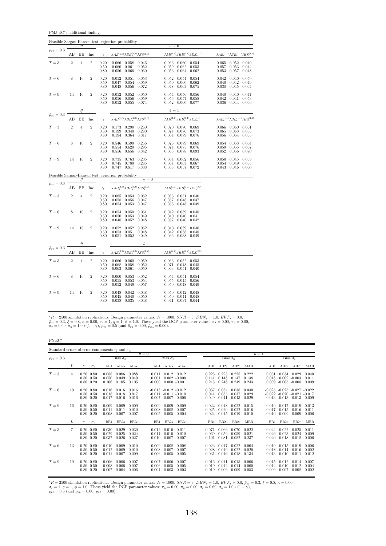P5fJ-EC<sup>∗</sup> : additional findings

|                                   |                |                |                |                                                     | Feasible Sargan-Hansen test: rejection probability                             |                                                                                |                                                        |                                           |                                           |                                                                                                |                                 |                                           |
|-----------------------------------|----------------|----------------|----------------|-----------------------------------------------------|--------------------------------------------------------------------------------|--------------------------------------------------------------------------------|--------------------------------------------------------|-------------------------------------------|-------------------------------------------|------------------------------------------------------------------------------------------------|---------------------------------|-------------------------------------------|
| $\bar{\rho}_{x\varepsilon}=0.3$   |                | df             |                |                                                     |                                                                                |                                                                                | $\theta = 0$                                           |                                           |                                           |                                                                                                |                                 |                                           |
|                                   | AВ             | BB             | Inc            | $\gamma$                                            | $JAB^{\left( 1,0\right) }JBB_{a}^{\left( 1,0\right) }JES^{\left( 1,0\right) }$ |                                                                                |                                                        |                                           |                                           | $JAB_a^{(1,1)}JBB_a^{(1,1)}JES_a^{(1,1)} \hspace{2cm} JAB_c^{(1,1)}JBB_c^{(1,1)}JES_c^{(1,1)}$ |                                 |                                           |
| $T=3$                             | $\sqrt{2}$     | $\overline{4}$ | $\overline{2}$ | 0.20<br>0.50<br>0.80                                | 0.066<br>0.058 0.046<br>0.060<br>0.061<br>0.056<br>0.066                       | 0.052<br>0.060                                                                 | 0.066<br>0.059<br>0.053                                | 0.062<br>0.064                            | $0.060$ $0.054$<br>0.053<br>0.062         | 0.057<br>0.053                                                                                 | $0.065$ 0.052<br>0.053<br>0.057 | 0.040<br>0.044<br>0.048                   |
| $T=6$                             | 8              | 10             | $\overline{2}$ | 0.20<br>0.50<br>0.80                                | 0.052<br>0.051<br>0.047<br>0.054<br>0.048<br>0.056                             | 0.053<br>0.059<br>0.072                                                        | 0.052<br>0.050<br>0.048                                | 0.054<br>0.060<br>0.063                   | 0.054<br>0.062<br>0.075                   | 0.042<br>0.040<br>0.038                                                                        | 0.040<br>0.042<br>0.045         | 0.050<br>0.049<br>0.064                   |
| $T=9$                             | 14             | 16             | $\overline{2}$ | 0.20<br>0.50<br>0.80                                | 0.052<br>0.052<br>0.056<br>0.056<br>0.052<br>0.055                             | 0.050<br>0.059<br>0.074                                                        | 0.054<br>0.056                                         | 0.056<br>0.057<br>$0.052$ $0.060$ $0.077$ | 0.056<br>0.058                            | 0.040<br>$0.042$ $0.041$                                                                       | 0.040<br>0.036 0.044            | 0.047<br>0.053<br>0.066                   |
| $\bar{\rho}_{x\varepsilon}=0.3$   |                | df             |                |                                                     |                                                                                |                                                                                | $\theta=1$                                             |                                           |                                           |                                                                                                |                                 |                                           |
|                                   | AB             | BB             | Inc            | $\gamma$                                            |                                                                                | $JAB^{\left( 1,0\right) }JBB_{a}^{\left( 1,0\right) }JES^{\left( 1,0\right) }$ |                                                        |                                           | $JAB_a^{(1,1)}JBB_a^{(1,1)}JES_a^{(1,1)}$ |                                                                                                |                                 | $JAB_c^{(1,1)}JBB_c^{(1,1)}JES_c^{(1,1)}$ |
| $T = 3$                           | $\overline{2}$ | $\overline{4}$ | $\overline{2}$ | 0.20<br>0.50<br>0.80                                | 0.173<br>0.199<br>0.340<br>0.194                                               | $0.290$ $0.260$<br>0.280<br>0.364 0.317                                        | 0.070<br>0.074<br>0.064                                | 0.070<br>0.076<br>0.079                   | 0.069<br>0.073<br>0.076                   | $0.066$ 0.060<br>0.065<br>0.056                                                                | 0.063<br>0.064                  | 0.061<br>0.055<br>0.055                   |
| $T=6$                             | 8              | 10             | $\overline{2}$ | 0.20<br>0.50<br>0.80                                | 0.599<br>0.546<br>0.554<br>0.629<br>0.556<br>0.656                             | 0.256<br>0.295<br>0.342                                                        | 0.076<br>0.074<br>0.063                                | 0.079<br>0.075<br>0.078                   | 0.069<br>0.076<br>0.093                   | 0.054<br>0.059<br>0.052                                                                        | 0.053<br>0.055<br>$\,0.056\,$   | 0.064<br>0.067<br>0.070                   |
| $T=9$                             | 14             | 16             | $\overline{2}$ | 0.20<br>0.50<br>0.80                                | 0.763<br>0.735<br>0.745<br>0.789<br>0.747                                      | 0.235<br>0.285<br>0.817 0.338                                                  | 0.064<br>0.064<br>0.053                                | 0.062<br>0.063<br>0.057                   | 0.056<br>0.067<br>0.072                   | 0.050<br>0.054                                                                                 | 0.045<br>0.049<br>$0.043$ 0.046 | 0.053<br>0.055<br>0.060                   |
|                                   |                | df             |                |                                                     | Feasible Sargan-Hansen test: rejection probability                             | $\theta = 0$                                                                   |                                                        |                                           |                                           |                                                                                                |                                 |                                           |
| $\bar{\rho}_{x\varepsilon}=0.3$   | AВ             | ΒB             | Inc            | $\gamma$                                            |                                                                                | $JAB_a^{(2,2)}JBB_a^{(2,2)}JES_a^{(2,2)}$                                      |                                                        |                                           | $JAB_c^{(2,2)}JBB_c^{(2,2)}JES_c^{(2,2)}$ |                                                                                                |                                 |                                           |
| $T=3$                             | $\overline{2}$ | $\overline{4}$ | $\overline{2}$ | 0.20<br>0.50<br>0.80                                | 0.065<br>$0.054$ $0.052$<br>0.058<br>0.056<br>0.054<br>0.053                   | 0.047<br>0.047                                                                 | 0.066<br>0.057<br>0.053                                | 0.048<br>0.048                            | $0.051$ $0.040$<br>0.037<br>0.039         |                                                                                                |                                 |                                           |
| $T=6$                             | 8              | 10             | $\overline{2}$ | 0.20<br>0.50<br>0.80                                | 0.050<br>0.054<br>0.053<br>0.050<br>0.052<br>0.048                             | 0.051<br>0.049<br>0.048                                                        | 0.042<br>0.040<br>0.037                                | 0.039<br>0.040<br>0.040                   | 0.048<br>0.041<br>0.042                   |                                                                                                |                                 |                                           |
| $T=9$                             | 14             | 16             | $\,2$          | $\begin{array}{c} 0.20 \\ 0.50 \end{array}$<br>0.80 | 0.052<br>0.052<br>0.053<br>0.051<br>0.051<br>0.052 0.049                       | 0.052<br>0.048                                                                 | $\begin{array}{c} 0.040 \\ 0.042 \end{array}$<br>0.036 | 0.039<br>0.038<br>0.038                   | 0.046<br>0.048<br>0.049                   |                                                                                                |                                 |                                           |
|                                   |                | df             |                |                                                     |                                                                                | $\theta = 1$                                                                   |                                                        |                                           |                                           |                                                                                                |                                 |                                           |
| $\bar{\rho}_{x\varepsilon} = 0.3$ | AΒ             | $_{\rm BB}$    | Inc            | $\gamma$                                            |                                                                                | $JAB_a^{(2,2)}JBB_a^{(2,2)}JES_a^{(2,2)}$                                      |                                                        |                                           | $JAB_c^{(2,2)}JBB_c^{(2,2)}JES_c^{(2,2)}$ |                                                                                                |                                 |                                           |
| $T=3$                             | $\overline{2}$ | $\overline{4}$ | $\overline{2}$ | 0.20<br>0.50<br>0.80                                | $0.060$ $0.059$<br>0.066<br>0.058<br>0.068<br>0.063<br>0.061                   | 0.052<br>0.050                                                                 | 0.066<br>0.071<br>0.063                                | $0.052$ 0.053<br>0.048<br>0.051           | 0.045<br>0.040                            |                                                                                                |                                 |                                           |
| $T=6$                             | 8              | 10             | $\overline{2}$ | 0.20<br>0.50<br>0.80                                | 0.060<br>0.053<br>0.053<br>0.055<br>0.052<br>0.049                             | 0.052<br>0.054<br>0.057                                                        | 0.054<br>0.055<br>0.050                                | 0.051<br>0.045<br>0.048                   | 0.054<br>0.056<br>0.049                   |                                                                                                |                                 |                                           |
| $T=9$                             | 14             | 16             | $\overline{2}$ | 0.20<br>0.50<br>0.80                                | 0.048<br>0.042<br>0.045<br>0.040<br>0.038<br>0.035                             | 0.048<br>0.050<br>0.048                                                        | 0.050<br>0.050<br>0.041                                | 0.042<br>0.041<br>0.037                   | 0.048<br>0.048<br>0.044                   |                                                                                                |                                 |                                           |

 ${}^*R = 2500$  simulation replications. Design parameter values:  $N = 1000$ ,  $SNR = 3$ ,  $DEN_y = 1.0$ ,  $EVF_x = 0.0$ ,  $\bar{\rho}_{xe} = 0.3$ ,  $\xi = 0.8$ ,  $\kappa = 0.00$ ,  $\sigma_e = 1$ ,  $q = 1$ ,  $\phi = 1.0$ . These yield the DGP parameter values:  $\pi_{\lambda} =$ 

P5-EC<sup>∗</sup>

| Standard errors of error components $\eta_i$ and $\varepsilon_{it}$ |    |                                                        |                         |                                 |                         |                            |                                   |                                                                                    |                         |                         |                                                      |                         |              |                |                                                                                                                   |                          |                         |
|---------------------------------------------------------------------|----|--------------------------------------------------------|-------------------------|---------------------------------|-------------------------|----------------------------|-----------------------------------|------------------------------------------------------------------------------------|-------------------------|-------------------------|------------------------------------------------------|-------------------------|--------------|----------------|-------------------------------------------------------------------------------------------------------------------|--------------------------|-------------------------|
| $\bar{\rho}_{x\varepsilon}=0.3$                                     |    |                                                        |                         | Bias $\hat{\sigma}_n$           |                         | $\theta = 0$               | Bias $\hat{\sigma}_{\varepsilon}$ |                                                                                    |                         | Bias $\hat{\sigma}_n$   |                                                      |                         | $\theta = 1$ |                | Bias $\hat{\sigma}_\varepsilon$                                                                                   |                          |                         |
|                                                                     | L  | $\sigma_n$                                             | AB1                     | AB2a                            | AB2c                    | AB1                        | AB2a                              | AB2c                                                                               | AB1                     | AB2a                    | AB2c                                                 | MAB                     |              | AB1            | AB2a                                                                                                              | AB2c                     | MAB                     |
| $T=3$                                                               | 4  | $0.20\ 0.80$<br>$0.50 \quad 0.50$<br>$0.80\ 0.20$      | 0.088<br>0.050<br>0.106 | 0.086<br>0.049<br>0.105         | 0.088<br>0.049<br>0.105 | 0.011<br>0.001<br>$-0.000$ | 0.012                             | 0.012<br>$0.002 - 0.000$<br>$0.000 - 0.001$                                        | 0.225<br>0.141<br>0.245 | 0.223<br>0.148<br>0.248 | 0.225<br>0.147<br>0.249                              | 0.222<br>0.138<br>0.243 |              | 0.061<br>0.018 | 0.034<br>$0.009 - 0.005 - 0.008$                                                                                  | 0.029<br>$0.002 - 0.003$ | 0.040<br>0.011<br>0.009 |
| $T=6$                                                               | 10 | $0.20\ 0.80$<br>$0.50 \quad 0.50$<br>$0.80\ 0.20$      | 0.016<br>0.018<br>0.017 | 0.016<br>0.018<br>$0.016$ 0.016 | 0.016<br>0.017          |                            |                                   | $-0.013$ $-0.012$ $-0.012$<br>$-0.011 - 0.011 - 0.010$<br>$-0.007 - 0.007 - 0.006$ | 0.037<br>0.041<br>0.049 | 0.034<br>0.035<br>0.041 | 0.038<br>0.037<br>0.043                              | 0.030<br>0.029<br>0.029 |              |                | $-0.025$ $-0.025$ $-0.027$ $-0.022$<br>$-0.022$ $-0.020$ $-0.021$ $-0.017$<br>$-0.013$ $-0.013$ $-0.013$ $-0.009$ |                          |                         |
| $T=9$                                                               | 16 | $0.20\ 0.80$<br>$0.50 \quad 0.50$<br>$0.80\ 0.20$      | 0.009<br>0.011<br>0.008 | 0.009<br>0.011<br>0.007         | 0.009<br>0.010<br>0.007 |                            |                                   | $-0.009 - 0.009 - 0.009$<br>$-0.008$ $-0.008$ $-0.007$<br>$-0.005 - 0.005 - 0.004$ | 0.022<br>0.025<br>0.024 | 0.018<br>0.020<br>0.015 | 0.022<br>0.022<br>0.019                              | 0.015<br>0.016<br>0.010 |              |                | $-0.019 - 0.017 - 0.019 - 0.013$<br>$-0.017 - 0.015 - 0.016 - 0.011$<br>$-0.010$ $-0.009$ $-0.009$ $-0.006$       |                          |                         |
|                                                                     | L  | $\sigma_n$                                             | B <sub>B1</sub>         | BB <sub>2</sub> a               | BB2c                    | BB1                        | BB <sub>2a</sub>                  | BB2c                                                                               | BB1                     | BB <sub>2a</sub>        | BB2c                                                 | <b>MBB</b>              |              | BB1            | BB <sub>2a</sub>                                                                                                  | BB2c                     | MBB                     |
| $T=3$                                                               | 7  | $0.20\ 0.80$<br>$0.50 \quad 0.50$<br>$0.80\ 0.20$      | 0.030<br>0.029<br>0.037 | 0.029<br>0.025<br>0.026         | 0.030<br>0.024<br>0.027 |                            | $-0.012 - 0.010 - 0.011$          | $-0.014 - 0.010 - 0.010$<br>$-0.010 - 0.007 - 0.007$                               | 0.071<br>0.069<br>0.101 | 0.066<br>0.059<br>0.081 | 0.070<br>$0.059 - 0.021$<br>0.082                    | 0.022<br>0.237          |              |                | $-0.024$ $-0.022$ $-0.025$ $-0.011$<br>$-0.026$ $-0.023$ $-0.024$ $-0.009$<br>$-0.020$ $-0.018$ $-0.018$ 0.006    |                          |                         |
| $T=6$                                                               | 13 | $0.20\ 0.80$<br>$0.50 \quad 0.50$<br>$0.80 \quad 0.20$ | 0.010<br>0.012<br>0.011 | 0.009<br>0.009<br>0.007         | 0.010<br>0.010<br>0.009 |                            | $-0.006$ $-0.005$ $-0.005$        | $-0.009 - 0.008 - 0.008$<br>$-0.008$ $-0.007$ $-0.007$                             | 0.023<br>0.028<br>0.031 | 0.017<br>0.019          | 0.022<br>$0.022 - 0.020$<br>$0.016$ $0.018$ $-0.134$ | 0.004                   |              |                | $-0.019 - 0.015 - 0.019 - 0.006$<br>$-0.018$ $-0.014$ $-0.016$ $0.002$<br>$-0.013 - 0.010 - 0.011$ $0.012$        |                          |                         |
| $T=9$                                                               | 19 | $0.20\ 0.80$<br>$0.50 \quad 0.50$<br>$0.80\ 0.20$      | 0.006<br>0.008<br>0.007 | 0.006<br>0.006<br>0.004         | 0.007<br>0.007<br>0.006 | $-0.007 - 0.006 - 0.007$   |                                   | $-0.006$ $-0.005$ $-0.005$<br>$-0.004$ $-0.003$ $-0.003$                           | 0.016<br>0.019<br>0.019 | 0.011<br>0.012<br>0.006 | 0.015<br>0.014<br>$0.009 - 0.053$                    | 0.006<br>0.000          |              |                | $-0.015 - 0.012 - 0.014 - 0.007$<br>$-0.014$ $-0.010$ $-0.012$ $-0.004$<br>$-0.009$ $-0.007$ $-0.008$ $0.002$     |                          |                         |

 ${}^*R = 2500$  simulation replications. Design parameter values:  $N = 1000$ ,  $SNR = 3$ ,  $DEN_y = 1.0$ ,  $EVF_x = 0.0$ ,  $\bar{\rho}_{x\bar{x}} = 0.3$ ,  $\xi = 0.8$ ,  $\kappa = 0.00$ ,<br>  $\sigma_{\varepsilon} = 1$ ,  $q = 1$ ,  $\phi = 1.0$ . These yield the DGP parameter values: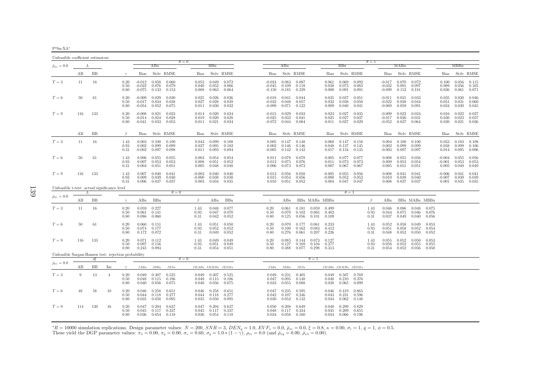| P@0u-XA |
|---------|
|         |

| Unfeasible coefficient estimators                    |     |     |     |                      |                                  |                         |                         |                               |      |                         |                                 |                                  |                         |                         |                         |                               |                                 |                         |                      |                                  |                         |                         |                         |                               |                         |                         |
|------------------------------------------------------|-----|-----|-----|----------------------|----------------------------------|-------------------------|-------------------------|-------------------------------|------|-------------------------|---------------------------------|----------------------------------|-------------------------|-------------------------|-------------------------|-------------------------------|---------------------------------|-------------------------|----------------------|----------------------------------|-------------------------|-------------------------|-------------------------|-------------------------------|-------------------------|-------------------------|
| $\bar{\rho}_{x\varepsilon}=0.0$                      | L   |     |     |                      |                                  | ABu                     |                         | $\theta = 0$                  |      | BBu                     |                                 |                                  | ABu                     |                         |                         |                               | BBu                             |                         | $\theta = 1$         |                                  | MABu                    |                         |                         |                               | MBBu                    |                         |
|                                                      | AВ  | BB  |     | $\gamma$             | Bias                             |                         | Stdy RMSE               |                               | Bias |                         | Stdy RMSE                       | Bias                             |                         | Stdy RMSE               |                         | <b>Bias</b>                   |                                 | Stdy RMSE               |                      | Bias                             |                         | Stdy RMSE               |                         | Bias                          |                         | Stdv RMSE               |
| $T=3$                                                | 11  | 16  |     | 0.20<br>0.50<br>0.80 | $-0.012$<br>$-0.022$<br>$-0.075$ | 0.058<br>0.076<br>0.133 | 0.060<br>0.079<br>0.153 | 0.053<br>0.040<br>0.008       |      | 0.049<br>0.052<br>0.063 | 0.072<br>0.066<br>0.064         | $-0.024$<br>$-0.045$<br>$-0.150$ | 0.083<br>0.109<br>0.185 | 0.087<br>0.118<br>0.239 |                         | 0.061<br>0.038<br>0.000       | 0.069<br>0.073<br>0.091         | 0.092<br>0.083<br>0.091 |                      | $-0.017$<br>$-0.032$<br>$-0.099$ | 0.070<br>0.091<br>0.152 | 0.072<br>0.097<br>0.181 |                         | 0.100<br>0.089<br>0.036       | 0.056<br>0.056<br>0.061 | 0.115<br>0.105<br>0.071 |
| $T=6$                                                | 50  | 61  |     | 0.20<br>0.50<br>0.80 | $-0.009$<br>$-0.017$<br>$-0.054$ | 0.029<br>0.034<br>0.052 | 0.030<br>0.038<br>0.075 | 0.025<br>0.027<br>0.011       |      | 0.026<br>0.028<br>0.030 | 0.036<br>0.039<br>0.032         | $-0.018$<br>$-0.032$<br>$-0.099$ | 0.041<br>0.048<br>0.071 | 0.044<br>0.057<br>0.122 |                         | 0.035<br>0.032<br>0.009       | 0.037<br>0.038<br>0.040         | 0.051<br>0.050<br>0.041 |                      | $-0.011$<br>$-0.022$<br>$-0.069$ | 0.031<br>0.038<br>0.059 | 0.033<br>0.044<br>0.091 |                         | 0.035<br>0.051<br>0.034       | 0.030<br>0.031<br>0.030 | 0.046<br>0.060<br>0.045 |
| $T=9$                                                | 116 | 133 |     | 0.20<br>0.50<br>0.80 | $-0.008$<br>$-0.014$<br>$-0.041$ | 0.021<br>0.024<br>0.033 | 0.023<br>0.028<br>0.053 | 0.014<br>0.019<br>0.011       |      | 0.020<br>0.020<br>0.021 | 0.024<br>0.028<br>0.024         | $-0.015$<br>$-0.025$<br>$-0.072$ | 0.029<br>0.032<br>0.044 | 0.033<br>0.041<br>0.084 |                         | 0.023<br>0.025<br>0.011       | 0.027<br>0.027<br>0.027         | 0.035<br>0.037<br>0.029 |                      | $-0.009$<br>$-0.017$<br>$-0.052$ | 0.022<br>0.026<br>0.037 | 0.024<br>0.031<br>0.064 |                         | 0.016<br>0.030<br>0.030       | 0.022<br>0.023<br>0.021 | 0.027<br>0.037<br>0.036 |
|                                                      | AВ  | BB  |     | $\beta$              | Bias                             |                         | Stdy RMSE               |                               | Bias |                         | Stdy RMSE                       | Bias                             |                         | Stdy RMSE               |                         | Bias                          |                                 | Stdy RMSE               |                      | Bias                             |                         | Stdy RMSE               |                         | Bias                          |                         | Stdy RMSE               |
| $T=3$                                                | 11  | 16  |     | 1.43<br>0.93<br>0.31 | 0.003<br>0.002<br>$-0.002$       | 0.100<br>0.099<br>0.097 | 0.100<br>0.099<br>0.098 | 0.043<br>0.037<br>0.011       |      | 0.099<br>0.095<br>0.093 | 0.108<br>0.102<br>0.094         | 0.005<br>0.002<br>$-0.005$       | 0.147<br>0.146<br>0.142 | 0.148<br>0.146<br>0.142 |                         | 0.060<br>0.048<br>0.017       | 0.147<br>0.137<br>0.134         | 0.158<br>0.145<br>0.135 |                      | 0.004<br>0.002<br>$-0.003$       | 0.100<br>0.099<br>0.097 | 0.100<br>0.099<br>0.097 |                         | 0.033<br>0.038<br>0.014       | 0.103<br>0.099<br>0.095 | 0.108<br>0.106<br>0.096 |
| $T=6$                                                | -50 | 61  |     | 1.43<br>0.93<br>0.31 | 0.006<br>0.007<br>0.004          | 0.055<br>0.053<br>0.051 | 0.055<br>0.053<br>0.051 | 0.003<br>0.008<br>0.005       |      | 0.054<br>0.051<br>0.048 | 0.054<br>0.052<br>0.048         | 0.011<br>0.012<br>0.006          | 0.078<br>0.075<br>0.073 | 0.078<br>0.076<br>0.073 |                         | 0.005<br>0.011<br>0.007       | 0.077<br>0.073<br>0.067         | 0.077<br>0.073<br>0.067 |                      | 0.008<br>0.009<br>0.005          | 0.055<br>0.053<br>0.051 | 0.056<br>0.054<br>0.051 |                         | $-0.004$<br>$-0.001$<br>0.005 | 0.055<br>0.053<br>0.049 | 0.056<br>0.053<br>0.049 |
| $T=9$                                                | 116 | 133 |     | 1.43<br>0.93<br>0.31 | 0.007<br>0.009<br>0.006          | 0.040<br>0.039<br>0.037 | 0.041<br>0.040<br>0.037 | $-0.003$<br>$-0.000$<br>0.003 |      | 0.040<br>0.038<br>0.034 | 0.040<br>0.038<br>0.035         | 0.013<br>0.015<br>0.010          | 0.056<br>0.054<br>0.051 | 0.058<br>0.056<br>0.052 |                         | $-0.005$<br>$-0.000$<br>0.004 | 0.055<br>0.052<br>0.047         | 0.056<br>0.052<br>0.047 |                      | 0.008<br>0.010<br>0.008          | 0.041<br>0.039<br>0.037 | 0.041<br>0.040<br>0.037 |                         | $-0.006$<br>-0.007<br>0.001   | 0.041<br>0.039<br>0.035 | 0.041<br>0.039<br>0.035 |
| Unfeasible t-test: actual significance level         |     | Ι.  |     |                      |                                  |                         | $\theta = 0$            |                               |      |                         |                                 |                                  |                         |                         |                         |                               | $\theta = 1$                    |                         |                      |                                  |                         |                         |                         |                               |                         |                         |
| $\bar{\rho}_{x\varepsilon}=0.0$                      | AВ  | BB  |     | $\gamma$             | ABu                              | BBu                     |                         | β                             |      | ABu                     | BBu                             | $\gamma$                         | ABu                     |                         | BBu MABu MBBu           |                               |                                 |                         | β                    | ABu                              |                         | BBu MABu MBBu           |                         |                               |                         |                         |
| $T=3$                                                | 11  | 16  |     | 0.20<br>0.50<br>0.80 | 0.059<br>0.061<br>0.086          | 0.227<br>0.141<br>0.060 |                         | 1.43<br>0.93<br>0.31          |      | 0.048<br>0.047<br>0.042 | 0.077<br>0.070<br>0.052         | 0.20<br>0.50<br>0.80             | 0.061<br>0.070<br>0.125 | 0.181<br>0.102<br>0.056 | 0.059<br>0.065<br>0.101 | 0.499<br>0.402<br>0.109       |                                 |                         | 1.43<br>0.93<br>0.31 | 0.046<br>0.044<br>0.037          | 0.086<br>0.071<br>0.049 | 0.048<br>0.046<br>0.040 | 0.075<br>0.076<br>0.056 |                               |                         |                         |
| $T=6$                                                | 50  | 61  |     | 0.20<br>0.50<br>0.80 | 0.060<br>0.074<br>0.172          | 0.151<br>0.177<br>0.072 |                         | 1.43<br>0.93<br>0.31          |      | 0.051<br>0.052<br>0.049 | 0.050<br>0.052<br>0.052         | 0.20<br>0.50<br>0.80             | 0.070<br>0.100<br>0.276 | 0.177<br>0.162<br>0.061 | 0.061<br>0.083<br>0.207 | 0.233<br>0.412<br>0.226       |                                 |                         | 1.43<br>0.93<br>0.31 | 0.052<br>0.051<br>0.048          | 0.058<br>0.058<br>0.052 | 0.049<br>0.052<br>0.050 | 0.053<br>0.054<br>0.052 |                               |                         |                         |
| $T=9$                                                | 116 | 133 |     | 0.20<br>0.50<br>0.80 | 0.071<br>0.097<br>0.245          | 0.112<br>0.156<br>0.094 |                         | 1.43<br>0.93<br>0.31          |      | 0.049<br>0.051<br>0.054 | 0.049<br>0.049<br>0.051         | 0.20<br>0.50<br>0.80             | 0.085<br>0.127<br>0.388 | 0.144<br>0.169<br>0.077 | 0.073<br>0.104<br>0.298 | 0.127<br>0.277<br>0.313       |                                 |                         | 1.43<br>0.93<br>0.31 | 0.055<br>0.058<br>0.054          | 0.052<br>0.052<br>0.052 | 0.050<br>0.055<br>0.056 | 0.053<br>0.055<br>0.050 |                               |                         |                         |
| Unfeasible Sargan-Hansen test: rejection probability |     | dt  |     |                      |                                  |                         |                         | $\theta = 0$                  |      |                         |                                 |                                  |                         |                         | $\theta = 1$            |                               |                                 |                         |                      |                                  |                         |                         |                         |                               |                         |                         |
| $\bar{\rho}_{x\varepsilon}=0.0$                      | AВ  | ΒB  | Inc | $\gamma$             | JABu                             | $JBBu$                  | JESu                    |                               |      |                         | $JMABu\quad JMMBu\quad JESMu$   | JABu                             | JBBu                    | JESu                    |                         | $JMABu\quad JMMBu\quad JESMu$ |                                 |                         |                      |                                  |                         |                         |                         |                               |                         |                         |
| $T=3$                                                | 9   | 13  | 4   | 0.20<br>0.50<br>0.80 | 0.049<br>0.048<br>0.040          | 0.307<br>0.115<br>0.056 | 0.525<br>0.186<br>0.075 | 0.049<br>0.048<br>0.040       |      | 0.307<br>0.115<br>0.056 | 0.525<br>0.186<br>0.075         | 0.049<br>0.047<br>0.033          | 0.231<br>0.095<br>0.055 | 0.405<br>0.148<br>0.088 |                         | 0.048<br>0.038                | $0.049$ 0.507<br>0.210<br>0.065 | 0.769<br>0.376<br>0.099 |                      |                                  |                         |                         |                         |                               |                         |                         |
| $T=6$                                                | 48  | 58  | 10  | 0.20<br>0.50<br>0.80 | 0.046<br>0.044<br>0.035          | 0.258<br>0.118<br>0.050 | 0.651<br>0.277<br>0.095 | 0.046<br>0.044<br>0.035       |      | 0.258<br>0.118<br>0.050 | 0.651<br>0.277<br>0.095         | 0.047<br>0.042<br>0.030          | 0.235<br>0.107<br>0.052 | 0.595<br>0.246<br>0.132 |                         | 0.046<br>0.043<br>0.034       | 0.419<br>0.231<br>0.062         | 0.865<br>0.596<br>0.148 |                      |                                  |                         |                         |                         |                               |                         |                         |
| $T=9$                                                | 114 | 130 | -16 | 0.20<br>0.50<br>0.80 | 0.047<br>0.045<br>0.036          | 0.204<br>0.117<br>0.054 | 0.637<br>0.337<br>0.118 | 0.047<br>0.045<br>0.036       |      | 0.204<br>0.117          | 0.637<br>0.337<br>$0.054$ 0.118 | 0.050<br>0.048<br>0.034          | 0.208<br>0.117<br>0.058 | 0.649<br>0.334<br>0.160 |                         | 0.048<br>0.045                | 0.299<br>0.209<br>$0.034$ 0.066 | 0.829<br>0.655<br>0.196 |                      |                                  |                         |                         |                         |                               |                         |                         |

 ${}^*R = 10000$  simulation replications. Design parameter values:  $N = 200$ ,  $SNR = 3$ ,  $DEN_y = 1.0$ ,  $EVF_x = 0.0$ ,  $\bar{\rho}_{xc} = 0.0$ ,  $\xi = 0.8$ ,  $\kappa = 0.00$ ,  $\sigma_{\varepsilon} = 1$ ,  $q = 1$ ,  $\phi = 0.5$ .<br>These yield the DGP parameter values:  $\pi$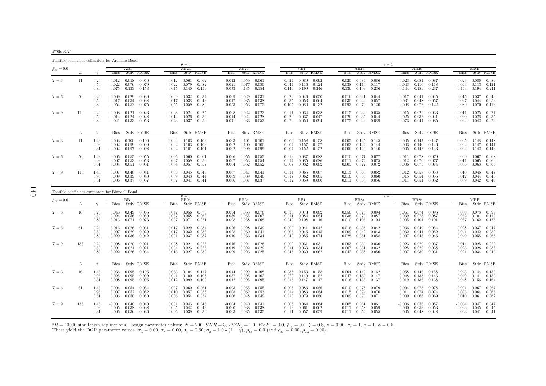$P^{\phi}$ 0fc-XA<sup>∗</sup>

Feasible coefficient estimators for Arellano-Bond

| т самые соспиские сминаемы пог тиспано-понц |     |                      |                                  |                                                    |                                  | $\theta = 0$                                       |                                  |                                                    |                                  |                         |                         |                                  |                                                     | $\theta = 1$                     |                                                     |                                  |                         |                                             |
|---------------------------------------------|-----|----------------------|----------------------------------|----------------------------------------------------|----------------------------------|----------------------------------------------------|----------------------------------|----------------------------------------------------|----------------------------------|-------------------------|-------------------------|----------------------------------|-----------------------------------------------------|----------------------------------|-----------------------------------------------------|----------------------------------|-------------------------|---------------------------------------------|
| $\bar{\rho}_{x\varepsilon}=0.0$             |     |                      |                                  | ABI                                                |                                  | AB2a                                               |                                  | AB2c                                               |                                  | ABI                     |                         |                                  | AB2a                                                |                                  | AB2c                                                |                                  | МАВ                     |                                             |
|                                             |     |                      | Bias                             | Stdy RMSE                                          | Bias                             | Stdy RMSE                                          | <b>Bias</b>                      | Stdy RMSE                                          | <b>Bias</b>                      | Stdy RMSE               |                         | <b>Bias</b>                      | Stdy RMSE                                           | Bias                             | Stdy RMSE                                           | <b>Bias</b>                      |                         | Stdy RMSE                                   |
| $T=3$                                       | 11  | 0.20<br>0.50<br>0.80 | $-0.012$<br>$-0.022$<br>$-0.075$ | 0.058<br>0.060<br>0.076<br>0.079<br>0.133<br>0.153 | $-0.012$<br>$-0.022$<br>$-0.075$ | 0.062<br>0.061<br>0.079<br>0.082<br>0.159<br>0.140 | $-0.012$<br>$-0.021$<br>$-0.073$ | 0.059<br>0.061<br>0.077<br>0.080<br>0.135<br>0.154 | $-0.024$<br>$-0.044$<br>$-0.146$ | 0.089<br>0.116<br>0.199 | 0.092<br>0.124<br>0.246 | $-0.020$<br>$-0.038$<br>$-0.136$ | 0.084<br>0.086<br>0.110<br>0.117<br>0.193<br>0.236  | $-0.023$<br>$-0.043$<br>$-0.144$ | 0.084<br>0.087<br>0.110<br>0.118<br>0.189<br>0.237  | $-0.023$<br>$-0.043$<br>$-0.143$ | 0.086<br>0.113<br>0.194 | 0.089<br>0.121<br>0.241                     |
| $T=6$                                       | 50  | 0.20<br>0.50<br>0.80 | $-0.009$<br>$-0.017$<br>$-0.054$ | 0.029<br>0.030<br>0.034<br>0.038<br>0.052<br>0.075 | $-0.009$<br>$-0.017$<br>$-0.055$ | 0.032<br>0.034<br>0.038<br>0.042<br>0.059<br>0.080 | -0.009<br>$-0.017$<br>$-0.053$   | 0.029<br>0.031<br>0.035<br>0.038<br>0.053<br>0.075 | $-0.020$<br>$-0.035$<br>$-0.105$ | 0.046<br>0.053<br>0.080 | 0.050<br>0.064<br>0.132 | $-0.016$<br>$-0.030$<br>$-0.093$ | 0.041<br>0.044<br>0.049<br>0.057<br>0.076<br>0.120  | $-0.017$<br>$-0.031$<br>-0.098   | 0.045<br>0.041<br>0.048<br>0.057<br>0.072<br>0.122  | $-0.015$<br>$-0.027$<br>$-0.089$ | 0.037<br>0.044<br>0.070 | 0.040<br>0.052<br>0.113                     |
| $T=9$                                       | 116 | 0.20<br>0.50<br>0.80 | $-0.008$<br>$-0.014$<br>$-0.041$ | 0.021<br>0.023<br>0.024<br>0.028<br>0.033<br>0.053 | $-0.008$<br>$-0.014$<br>$-0.043$ | 0.025<br>0.024<br>0.030<br>0.026<br>0.056<br>0.037 | $-0.008$<br>$-0.014$<br>$-0.041$ | 0.022<br>0.023<br>0.024<br>0.028<br>0.033<br>0.053 | $-0.017$<br>$-0.029$<br>$-0.079$ | 0.034<br>0.037<br>0.050 | 0.038<br>0.047<br>0.094 | $-0.015$<br>$-0.026$<br>$-0.075$ | 0.032<br>0.035<br>0.035<br>0.044<br>0.049<br>0.089  | $-0.015$<br>$-0.025$<br>$-0.073$ | 0.033<br>0.029<br>0.032<br>0.041<br>0.085<br>0.044  | $-0.011$<br>$-0.020$<br>$-0.064$ | 0.025<br>0.028<br>0.042 | 0.027<br>0.035<br>0.076                     |
|                                             | L   | $\beta$              | Bias                             | Stdy RMSE                                          |                                  | Bias Stdy RMSE                                     |                                  | Bias Stdy RMSE                                     |                                  | Bias Stdv RMSE          |                         |                                  | Bias Stdy RMSE                                      |                                  | Bias Stdv RMSE                                      | Bias                             |                         | Stdy RMSE                                   |
| $T=3$                                       | 11  | 1.43<br>0.93<br>0.31 | 0.003<br>0.002<br>$-0.002$       | 0.100<br>0.100<br>0.099<br>0.099<br>0.097<br>0.098 | 0.004<br>0.002<br>$-0.002$       | 0.103<br>0.103<br>0.103<br>0.103<br>0.101<br>0.101 | 0.003<br>0.002<br>$-0.002$       | 0.101<br>0.101<br>0.100<br>0.100<br>0.099<br>0.099 | 0.006<br>0.004<br>$-0.004$       | 0.158<br>0.157<br>0.152 | 0.158<br>0.157<br>0.152 | 0.005<br>0.003<br>$-0.006$       | $0.145$ $0.145$<br>0.144<br>0.144<br>0.140<br>0.140 | 0.005<br>0.003<br>$-0.005$       | $0.147$ $0.147$<br>0.146<br>0.146<br>0.142<br>0.143 | 0.005<br>0.004<br>$-0.004$       | 0.147                   | $0.148$ $0.148$<br>0.147<br>$0.142$ $0.142$ |
| $T=6$                                       | 50  | 1.43<br>0.93<br>0.31 | 0.006<br>0.007<br>0.004          | 0.055<br>0.055<br>0.053<br>0.053<br>0.051<br>0.051 | 0.006<br>0.007<br>0.004          | 0.060<br>0.061<br>0.059<br>0.059<br>0.057<br>0.057 | 0.006<br>0.007<br>0.004          | 0.055<br>0.055<br>0.053<br>0.054<br>0.052<br>0.052 | 0.013<br>0.014<br>0.007          | 0.087<br>0.085<br>0.082 | 0.088<br>0.086<br>0.082 | 0.010<br>0.011<br>0.005          | 0.077<br>0.077<br>0.074<br>0.075<br>0.072<br>0.072  | 0.011<br>0.012<br>0.006          | 0.078<br>0.079<br>0.076<br>0.077<br>0.073<br>0.074  | 0.009<br>0.011<br>0.006          | 0.067<br>0.065<br>0.063 | 0.068<br>0.066<br>0.063                     |
| $T=9$                                       | 116 | 1.43<br>0.93<br>0.31 | 0.007<br>0.009<br>0.006          | 0.040<br>0.041<br>0.039<br>0.040<br>0.037<br>0.037 | 0.008<br>0.009<br>0.007          | 0.045<br>0.045<br>0.044<br>0.043<br>0.041<br>0.041 | 0.007<br>0.009<br>0.006          | 0.041<br>0.041<br>0.039<br>0.040<br>0.037<br>0.037 | 0.014<br>0.017<br>0.012          | 0.065<br>0.062<br>0.059 | 0.067<br>0.065<br>0.060 | 0.013<br>0.016<br>0.011          | 0.060<br>0.062<br>0.058<br>0.060<br>0.055<br>0.056  | 0.012<br>0.015<br>0.011          | 0.057<br>0.058<br>0.054<br>0.056<br>0.052<br>0.051  | 0.010<br>0.012<br>0.009          | 0.044<br>0.042          | $0.046$ 0.047<br>0.046<br>0.043             |

| Feasible coefficient estimators for Blundell-Bond |     |                      |                            |                         |                         |                            |                         |                         |                               |                         |                         |                               |                         |                         |                               |                         |                         |                               |                         |                         |                               |                         |                                 |
|---------------------------------------------------|-----|----------------------|----------------------------|-------------------------|-------------------------|----------------------------|-------------------------|-------------------------|-------------------------------|-------------------------|-------------------------|-------------------------------|-------------------------|-------------------------|-------------------------------|-------------------------|-------------------------|-------------------------------|-------------------------|-------------------------|-------------------------------|-------------------------|---------------------------------|
|                                                   |     |                      |                            |                         |                         |                            | $\theta = 0$            |                         |                               |                         |                         |                               |                         |                         |                               |                         |                         | $\theta = 1$                  |                         |                         |                               |                         |                                 |
| $\bar{\rho}_{x\varepsilon}=0.0$                   |     |                      |                            | BB1                     |                         |                            | BB2a                    |                         |                               | BB2c                    |                         |                               | BB1                     |                         |                               | BB2a                    |                         |                               | BB2c                    |                         |                               | МВВ                     |                                 |
|                                                   |     |                      | <b>Bias</b>                |                         | Stdy RMSE               | <b>Bias</b>                |                         | Stdy RMSE               | <b>Bias</b>                   |                         | Stdy RMSE               | <b>Bias</b>                   |                         | Stdy RMSE               | <b>Bias</b>                   |                         | Stdy RMSE               | <b>Bias</b>                   |                         | Stdy RMSE               | <b>Bias</b>                   |                         | Stdy RMSE                       |
| $T=3$                                             | 16  | 0.20<br>0.50<br>0.80 | 0.043<br>0.024<br>$-0.013$ | 0.049<br>0.056<br>0.071 | 0.066<br>0.060<br>0.073 | 0.047<br>0.037<br>0.007    | 0.056<br>0.058<br>0.071 | 0.073<br>0.069<br>0.071 | 0.054<br>0.039<br>0.008       | 0.053<br>0.055<br>0.068 | 0.076<br>0.067<br>0.068 | 0.036<br>0.011<br>$-0.040$    | 0.073<br>0.084<br>0.108 | 0.082<br>0.084<br>0.116 | 0.056<br>0.036<br>$-0.010$    | 0.075<br>0.079<br>0.103 | 0.094<br>0.087<br>0.104 | 0.061<br>0.039<br>0.005       | 0.074<br>0.078<br>0.101 | 0.096<br>0.087<br>0.101 | 0.060<br>0.062<br>0.067       | 0.101<br>0.162          | $0.078$ 0.099<br>0.119<br>0.176 |
| $T=6$                                             | 61  | 0.20<br>0.50<br>0.80 | 0.016<br>0.007<br>$-0.020$ | 0.026<br>0.029<br>0.036 | 0.031<br>0.029<br>0.042 | 0.017<br>0.017<br>$-0.001$ | 0.029<br>0.032<br>0.037 | 0.034<br>0.036<br>0.037 | 0.026<br>0.028<br>0.010       | 0.028<br>0.030<br>0.033 | 0.039<br>0.041<br>0.034 | 0.009<br>$-0.006$<br>-0.049   | 0.041<br>0.045<br>0.055 | 0.042<br>0.045<br>0.074 | 0.016<br>0.009<br>$-0.028$    | 0.038<br>0.042<br>0.051 | 0.042<br>0.043<br>0.058 | 0.036<br>0.032<br>0.007       | 0.040<br>0.041<br>0.045 | 0.054<br>0.052<br>0.045 | 0.028<br>0.041<br>0.040       | 0.037<br>0.042<br>0.055 | 0.047<br>0.059<br>0.068         |
| $T=9$                                             | 133 | 0.20<br>0.50<br>0.80 | 0.008<br>0.001<br>$-0.022$ | 0.020<br>0.021<br>0.026 | 0.021<br>0.021<br>0.034 | 0.008<br>0.004<br>$-0.013$ | 0.021<br>0.023<br>0.027 | 0.023<br>0.023<br>0.030 | 0.016<br>0.019<br>0.009       | 0.021<br>0.022<br>0.023 | 0.026<br>0.029<br>0.025 | 0.002<br>$-0.011$<br>$-0.048$ | 0.031<br>0.033<br>0.039 | 0.031<br>0.034<br>0.062 | 0.003<br>$-0.007$<br>$-0.042$ | 0.030<br>0.031<br>0.038 | 0.030<br>0.032<br>0.056 | 0.023<br>0.025<br>0.007       | 0.029<br>0.029<br>0.030 | 0.037<br>0.038<br>0.031 | 0.014<br>0.023<br>0.021       | 0.025<br>0.028<br>0.034 | 0.029<br>0.036<br>0.040         |
|                                                   |     | $\beta$              |                            |                         | Bias Stdy RMSE          | Bias                       |                         | Stdv RMSE               | Bias                          |                         | Stdv RMSE               | Bias                          |                         | Stdy RMSE               | Bias                          |                         | Stdv RMSE               |                               |                         | Bias Stdy RMSE          | Bias                          |                         | Stdy RMSE                       |
| $T=3$                                             | 16  | 1.43<br>0.93<br>0.31 | 0.036<br>0.025<br>0.008    | 0.098<br>0.095<br>0.095 | 0.105<br>0.099<br>0.095 | 0.053<br>0.041<br>0.012    | 0.104<br>0.100<br>0.099 | 0.117<br>0.108<br>0.100 | 0.044<br>0.037<br>0.012       | 0.099<br>0.095<br>0.095 | 0.108<br>0.102<br>0.095 | 0.038<br>0.029<br>0.013       | 0.153<br>0.149<br>0.147 | 0.158<br>0.152<br>0.147 | 0.064<br>0.047<br>0.016       | 0.149<br>0.139<br>0.136 | 0.162<br>0.147<br>0.137 | 0.058<br>0.048<br>0.019       | 0.146<br>0.138<br>0.136 | 0.158<br>0.146<br>0.138 | 0.043<br>0.049<br>0.048       | 0.144<br>0.141<br>0.156 | 0.150<br>0.150<br>0.164         |
| $T=6$                                             | -61 | 1.43<br>0.93<br>0.31 | 0.004<br>0.007<br>0.006    | 0.054<br>0.052<br>0.050 | 0.054<br>0.052<br>0.050 | 0.007<br>0.010<br>0.006    | 0.060<br>0.057<br>0.054 | 0.061<br>0.058<br>0.054 | 0.003<br>0.008<br>0.006       | 0.055<br>0.052<br>0.048 | 0.055<br>0.053<br>0.049 | 0.008<br>0.014<br>0.010       | 0.086<br>0.083<br>0.079 | 0.086<br>0.084<br>0.080 | 0.010<br>0.015<br>0.009       | 0.078<br>0.074<br>0.070 | 0.079<br>0.076<br>0.071 | 0.004<br>0.011<br>0.009       | 0.078<br>0.074<br>0.068 | 0.078<br>0.074<br>0.069 | $-0.001$<br>0.003<br>0.010    | 0.067<br>0.064<br>0.061 | 0.067<br>0.065<br>0.062         |
| $T=9$                                             | 133 | 1.43<br>0.93<br>0.31 | $-0.001$<br>0.005<br>0.006 | 0.040<br>0.038<br>0.036 | 0.040<br>0.038<br>0.036 | 0.001<br>0.005<br>0.006    | 0.043<br>0.042<br>0.039 | 0.043<br>0.042<br>0.039 | $-0.004$<br>$-0.000$<br>0.003 | 0.040<br>0.038<br>0.035 | 0.041<br>0.038<br>0.035 | 0.005<br>0.012<br>0.011       | 0.064<br>0.061<br>0.057 | 0.064<br>0.062<br>0.059 | 0.005<br>0.011<br>0.011       | 0.061<br>0.058<br>0.054 | 0.061<br>0.059<br>0.055 | $-0.006$<br>$-0.000$<br>0.005 | 0.056<br>0.053<br>0.048 | 0.057<br>0.053<br>0.048 | $-0.004$<br>$-0.003$<br>0.003 | 0.047<br>0.045<br>0.041 | 0.047<br>0.045<br>0.041         |

 ${}^*R = 10000$  simulation replications. Design parameter values:  $N = 200$ ,  $SNR = 3$ ,  $DEN_y = 1.0$ ,  $EVF_x = 0.0$ ,  $\bar{\rho}_{xc} = 0.0$ ,  $\xi = 0.8$ ,  $\kappa = 0.00$ ,  $\sigma_{\varepsilon} = 1$ ,  $q = 1$ ,  $\phi = 0.5$ .<br>These yield the DGP parameter values:  $\pi$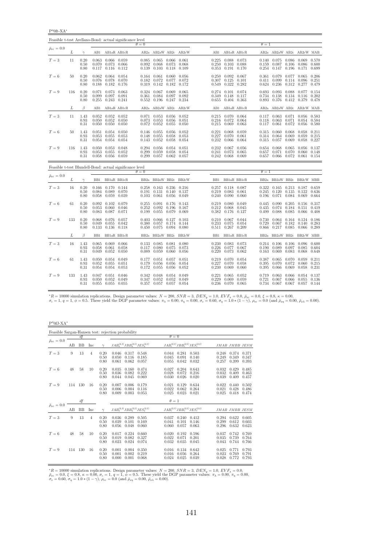P <sup>φ</sup>0ft-XA<sup>∗</sup>

| Feasible t-test Arellano-Bond: actual significance level |     |                          |                         |                                                                       |                      |                         |                                                           |                |                         |  |                         |                                                                         |                |                         |                                                                     |                         |                                                     |                |
|----------------------------------------------------------|-----|--------------------------|-------------------------|-----------------------------------------------------------------------|----------------------|-------------------------|-----------------------------------------------------------|----------------|-------------------------|--|-------------------------|-------------------------------------------------------------------------|----------------|-------------------------|---------------------------------------------------------------------|-------------------------|-----------------------------------------------------|----------------|
| $\bar{\rho}_{x\varepsilon} = 0.0$                        |     |                          |                         |                                                                       |                      | $\theta = 0$            |                                                           |                |                         |  |                         |                                                                         |                | $\theta=1$              |                                                                     |                         |                                                     |                |
|                                                          | L   | $\gamma$                 |                         |                                                                       | AB1 AB1aR AB1cR      |                         |                                                           |                | AB2a AB2aW AB2c AB2cW   |  |                         | AB1 AB1aR AB1cR                                                         |                |                         | AB2a AB2aW AB2c AB2cW MAB                                           |                         |                                                     |                |
| $T=3$                                                    | 11  | 0.20<br>0.50<br>0.80     | 0.070<br>0.117          | $0.063$ $0.066$ $0.059$<br>0.073 0.066<br>$0.116$ $0.112$             |                      | 0.085<br>0.092<br>0.139 | $0.065$ $0.066$ $0.061$<br>0.068<br>$0.103$ $0.118$       | 0.073          | 0.068<br>0.109          |  | 0.250                   | 0.225 0.088 0.073<br>$0.103$ 0.088<br>0.353 0.191 0.170                 |                | 0.140<br>0.159          | 0.075<br>0.087<br>$0.254$ $0.147$                                   | 0.086<br>0.106<br>0.196 | $0.069$ $0.570$<br>0.086<br>0.171                   | 0.600<br>0.699 |
| $T=6$                                                    | 50  | 0.20<br>0.50<br>0.80     | 0.076<br>0.188          | $0.062$ $0.064$ $0.054$<br>0.078<br>0.182                             | 0.070<br>0.176       | 0.164<br>0.182<br>0.319 | $0.061$ 0.060<br>0.072<br>0.142                           | 0.077<br>0.182 | 0.056<br>0.072<br>0.172 |  | 0.549                   | 0.250 0.092 0.067<br>$0.307$ $0.125$<br>0.322                           | 0.101<br>0.282 | 0.361<br>0.411<br>0.624 | 0.079<br>0.099<br>0.236                                             | 0.077<br>0.114<br>0.312 | $0.065$ 0.206<br>0.096<br>0.277                     | 0.251<br>0.479 |
| $T=9$                                                    | 116 | 0.20<br>0.50<br>0.80     | 0.071<br>0.099<br>0.255 | 0.073 0.063<br>0.097<br>$0.243$ $0.241$                               | 0.091                | 0.324<br>0.361          | $0.067$ 0.069<br>0.084<br>$0.552$ $0.196$ $0.247$ $0.234$ | 0.097          | 0.065<br>0.092          |  |                         | $0.274$ $0.101$ $0.074$<br>0.349 0.148 0.117<br>$0.655$ $0.404$ $0.363$ |                | 0.734                   | 0.693 0.093<br>0.138<br>0.893 0.376 0.412                           | 0.088<br>0.134          | $0.077$ $0.154$<br>0.116<br>0.379 0.478             | 0.202          |
|                                                          | L   | $\beta$                  | AB1                     | AB1aR AB1cR                                                           |                      |                         |                                                           |                | AB2a AB2aW AB2c AB2cW   |  | AB1                     | AB1aR AB1cR                                                             |                |                         | AB2a AB2aW AB2c AB2cW MAB                                           |                         |                                                     |                |
| $T=3$                                                    | 11  | 1.43<br>0.93<br>0.31     |                         | $0.052$ $0.052$ $0.052$<br>$0.050 \quad 0.052$<br>$0.050 \quad 0.050$ | 0.050<br>0.050       | 0.073<br>0.072          | $0.071$ $0.053$ $0.056$ $0.052$<br>0.053<br>0.052         | 0.056<br>0.055 | 0.051<br>0.050          |  |                         | 0.215 0.070 0.064<br>$0.216$ $0.072$ $0.064$<br>$0.215$ 0.069           | 0.063          | 0.118                   | $0.117$ $0.063$ $0.071$ $0.056$ $0.583$<br>0.063<br>$0.117$ $0.061$ | 0.071<br>0.072          | 0.054 0.584<br>0.056                                | 0.580          |
| $T=6$                                                    | 50  | 1.43<br>0.93<br>0.31     | 0.051<br>0.053<br>0.054 | $0.054$ 0.050<br>0.055<br>$0.054$ 0.054                               | 0.053                | 0.146<br>0.148<br>0.143 | 0.055 0.056<br>0.055<br>0.052 0.058                       | 0.058          | 0.052<br>0.053<br>0.054 |  | 0.227<br>0.232          | $0.221$ $0.068$ $0.059$<br>0.070<br>$0.066$ 0.064                       | 0.061          | 0.314                   | $0.315$ $0.060$ $0.068$<br>0.064<br>0.315 0.057                     | 0.069<br>0.069          | $0.058$ $0.211$<br>0.059<br>0.058                   | 0.215<br>0.227 |
| $T=9$                                                    | 116 | 1.43<br>$0.93\,$<br>0.31 | 0.050<br>0.053<br>0.058 | $0.053$ 0.048<br>0.055<br>0.056 0.059                                 | 0.052                | 0.294<br>0.299<br>0.299 | 0.056 0.054<br>0.059<br>$0.057$ $0.062$ $0.057$           | 0.058          | 0.051<br>0.054          |  |                         | $0.232$ $0.067$ $0.056$<br>0.241 0.073<br>0.242 0.068 0.069             | 0.065          | 0.657                   | 0.654 0.068<br>0.071<br>0.657 0.066                                 | 0.065<br>0.070          | $0.056$ $0.137$<br>0.060<br>$0.072$ $0.061$ $0.154$ | 0.148          |
| Feasible t-test Blundell-Bond: actual significance level |     |                          |                         |                                                                       |                      | $\theta = 0$            |                                                           |                |                         |  |                         |                                                                         |                | $\theta=1$              |                                                                     |                         |                                                     |                |
| $\bar{\rho}_{x\varepsilon}=0.0$                          | L   | $\gamma$                 |                         |                                                                       | BB1 BB1aR BB1cR      |                         |                                                           |                | BB2a BB2aW BB2c BB2cW   |  |                         | BB1 BB1aR BB1cR                                                         |                |                         | BB2a BB2aW BB2c BB2cW MBB                                           |                         |                                                     |                |
| $T=3$                                                    | 16  | 0.20<br>0.50<br>0.80     | 0.084<br>0.058          | 0.166 0.170 0.144<br>0.089                                            | 0.070<br>0.059 0.039 | 0.258<br>0.191<br>0.103 | $0.163$ $0.236$ $0.216$<br>0.131<br>$0.061$ $0.056$       | 0.140          | 0.137<br>0.049          |  | 0.219                   | $0.257$ $0.118$ $0.087$<br>0.083<br>$0.240$ $0.090$ $0.060$             | 0.061          | 0.245<br>0.196          | 0.322 0.165 0.213 0.187 0.659<br>0.120<br>0.071                     | 0.135<br>0.084          | 0.122<br>0.069                                      | 0.636<br>0.664 |
| $T=6$                                                    | 61  | 0.20<br>0.50<br>0.80     | 0.092<br>0.053<br>0.083 | $0.102$ 0.079<br>0.060<br>0.087 0.071                                 | 0.046                | 0.255<br>0.252<br>0.199 | $0.091$ $0.176$ $0.143$<br>0.092<br>0.055                 | 0.196<br>0.079 | 0.167<br>0.069          |  |                         | 0.219 0.080 0.049<br>$0.212$ 0.068<br>0.382 0.176                       | 0.045<br>0.127 | 0.445<br>0.435<br>0.499 | 0.090<br>0.074<br>0.088                                             | 0.205<br>0.184<br>0.085 | $0.156$ $0.317$<br>0.151<br>0.066                   | 0.419<br>0.408 |
| $T=9$                                                    | 133 | 0.20<br>0.50<br>0.80     | 0.068<br>0.049          | 0.076 0.057<br>0.055<br>$0.133$ $0.136$ $0.118$                       | 0.042                | 0.403<br>0.380          | $0.066$ 0.127<br>0.057<br>$0.450$ $0.075$ $0.094$ $0.080$ | 0.174          | 0.103<br>0.144          |  | 0.233                   | 0.210 0.067 0.044<br>0.075<br>$0.511$ $0.267$ $0.209$                   | 0.054          | 0.730<br>0.729          | 0.064<br>0.067<br>0.866 0.217 0.085                                 | 0.164<br>0.182          | $0.124$ $0.186$<br>0.140<br>0.066 0.289             | 0.283          |
|                                                          | L   | $\beta$                  | BB1                     | BB1aR BB1cR                                                           |                      |                         |                                                           |                | BB2a BB2aW BB2c BB2cW   |  | BB1                     | BB1aR BB1cR                                                             |                |                         | BB2a BB2aW BB2c                                                     |                         | BB2cW MBB                                           |                |
| $T=3$                                                    | 16  | 1.43<br>0.93<br>0.31     | 0.058<br>0.049          | $0.065$ $0.069$ $0.066$<br>0.061<br>$0.052$ 0.050                     | 0.058                | 0.117<br>0.089          | 0.133 0.085 0.081 0.080<br>0.080<br>0.059                 | 0.075<br>0.060 | 0.073<br>0.056          |  | 0.230<br>0.226<br>0.220 | 0.083 0.073<br>$0.077$ 0.067<br>0.073 0.062                             |                | 0.190                   | $0.214$ $0.106$ $0.106$<br>0.089<br>$0.163$ 0.069                   | 0.097<br>0.083          | $0.096$ 0.600<br>0.085<br>0.068                     | 0.604<br>0.648 |
| $T=6$                                                    | 61  | 1.43<br>0.93<br>0.31     | 0.050<br>0.052          | 0.054 0.049<br>0.055<br>$0.054$ $0.054$ $0.053$                       | 0.051                | 0.177<br>0.179<br>0.172 | $0.051$ $0.057$<br>0.056<br>0.055 0.056                   | 0.056          | 0.051<br>0.054<br>0.052 |  | 0.219<br>0.227          | 0.070 0.054<br>0.070<br>$0.230$ $0.069$ $0.060$                         | 0.058          | 0.387<br>0.395<br>0.395 | 0.065<br>0.070<br>0.066                                             | 0.070<br>0.072<br>0.069 | 0.059<br>0.060<br>$0.058$ $0.231$                   | 0.211<br>0.215 |
| $T=9$                                                    | 133 | 1.43<br>0.93<br>0.31     | 0.047<br>0.050          | 0.051<br>0.052<br>$0.055$ $0.055$ $0.055$                             | 0.046<br>0.049       | 0.342<br>0.347          | 0.048<br>0.052<br>$0.357$ $0.057$ $0.057$ $0.054$         | 0.054<br>0.052 | 0.049<br>0.049          |  | 0.221<br>0.229          | 0.065<br>0.069<br>0.236 0.070 0.065                                     | 0.052<br>0.059 | 0.719                   | 0.063<br>$0.721$ $0.067$<br>0.734 0.067                             | 0.066<br>0.066<br>0.067 | 0.054<br>0.055<br>$0.057$ 0.144                     | 0.137<br>0.136 |

 ${}^*R = 10000$  simulation replications. Design parameter values:  $N = 200$ ,  $SNR = 3$ ,  $DEN_y = 1.0$ ,  $EVF_x = 0.0$ ,  $\bar{p}_{x\xi} = 0.0$ ,  $\xi = 0.8$ ,  $\kappa = 0.00$ ,<br> $\sigma_x = 1$ ,  $q = 1$ ,  $\phi = 0.5$ . These yield the DGP parameter values:  $\pi_{\lambda$ 

| $P^{\phi}$ Of.J-XA*             |     |           |     |                      |                                                    |                         |                         |                         |                                           |                         |                         |                         |
|---------------------------------|-----|-----------|-----|----------------------|----------------------------------------------------|-------------------------|-------------------------|-------------------------|-------------------------------------------|-------------------------|-------------------------|-------------------------|
|                                 |     |           |     |                      | Feasible Sargan-Hansen test: rejection probability |                         |                         |                         |                                           |                         |                         |                         |
|                                 |     | df        |     |                      |                                                    |                         | $\theta = 0$            |                         |                                           |                         |                         |                         |
| $\bar{\rho}_{x\varepsilon}=0.0$ | AB  | <b>BB</b> | Inc | $\sim$               | $JAB_a^{(2,1)}JBB_a^{(2,1)}JES_a^{(2,1)}$          |                         |                         |                         | $JAB_c^{(2,1)}JBB_c^{(2,1)}JES_c^{(2,1)}$ |                         | JMAB JMBB JESM          |                         |
| $T=3$                           | 9   | 13        | 4   | 0.20<br>0.50<br>0.80 | 0.317<br>0.046<br>0.050<br>0.116<br>0.062<br>0.061 | 0.548<br>0.185<br>0.057 | 0.044<br>0.045<br>0.055 | 0.281<br>0.091<br>0.042 | 0.503<br>0.140<br>0.032                   | 0.248<br>0.249<br>0.257 | 0.374<br>0.349<br>0.399 | 0.371<br>0.347<br>0.393 |
| $T=6$                           | 48  | 58        | 10  | 0.20<br>0.50<br>0.80 | 0.035<br>0.160<br>0.036<br>0.082<br>0.044<br>0.045 | 0.474<br>0.222<br>0.069 | 0.027<br>0.028<br>0.030 | 0.204<br>0.072<br>0.026 | 0.643<br>0.216<br>0.020                   | 0.032<br>0.032<br>0.039 | 0.429<br>0.409<br>0.409 | 0.485<br>0.463<br>0.457 |
| $T=9$                           | 114 | 130       | 16  | 0.20<br>0.50<br>0.80 | 0.007<br>0.006<br>0.006<br>0.004<br>0.009<br>0.003 | 0.179<br>0.116<br>0.053 | 0.021<br>0.022<br>0.025 | 0.129<br>0.062<br>0.023 | 0.634<br>0.264<br>0.021                   | 0.022<br>0.021<br>0.025 | 0.440<br>0.428<br>0.418 | 0.502<br>0.486<br>0.474 |
|                                 |     | df        |     |                      |                                                    |                         | $\theta=1$              |                         |                                           |                         |                         |                         |
| $\bar{\rho}_{x\varepsilon}=0.0$ | AB  | <b>BB</b> | Inc | $\gamma$             | $JAB_a^{(2,1)}JBB_a^{(2,1)}JES_a^{(2,1)}$          |                         |                         |                         | $JAB_c^{(2,1)}JBB_c^{(2,1)}JES_c^{(2,1)}$ |                         | JMAB JMBB JESM          |                         |
| $T=3$                           | 9   | 13        | 4   | 0.20<br>0.50<br>0.80 | 0.036<br>0.289<br>0.039<br>0.101<br>0.056<br>0.048 | 0.505<br>0.169<br>0.060 | 0.037<br>0.041<br>0.060 | 0.240<br>0.101<br>0.057 | 0.412<br>0.146<br>0.063                   | 0.294<br>0.299<br>0.296 | 0.622<br>0.612<br>0.632 | 0.605<br>0.603<br>0.623 |
| $T=6$                           | 48  | 58        | 10  | 0.20<br>0.50<br>0.80 | 0.017<br>0.224<br>0.082<br>0.019<br>0.023<br>0.024 | 0.660<br>0.327<br>0.074 | 0.020<br>0.022<br>0.032 | 0.192<br>0.071<br>0.035 | 0.596<br>0.201<br>0.045                   | 0.037<br>0.035<br>0.043 | 0.742<br>0.739<br>0.744 | 0.769<br>0.764<br>0.766 |
| $T=9$                           | 114 | 130       | 16  | 0.20<br>0.50<br>0.80 | 0.001<br>0.004<br>0.001<br>0.002<br>0.001<br>0.000 | 0.350<br>0.219<br>0.068 | 0.016<br>0.016<br>0.024 | 0.134<br>0.056<br>0.025 | 0.642<br>0.264<br>0.039                   | 0.025<br>0.023<br>0.028 | 0.771<br>0.769<br>0.772 | 0.793<br>0.791<br>0.793 |

 ${}^*R = 10000$  simulation replications. Design parameter values:  $N = 200$ ,  $SNR = 3$ ,  $DEN_y = 1.0$ ,  $EVF_x = 0.0$ ,  $\bar{\rho}_{xe} = 0.0$ ,  $\xi = 0.8$ ,  $\kappa = 0.00$ ,  $\sigma_e = 1$ ,  $q = 1$ ,  $\phi = 0.5$ . These yield the DGP parameter values:  $\pi_{\lambda} =$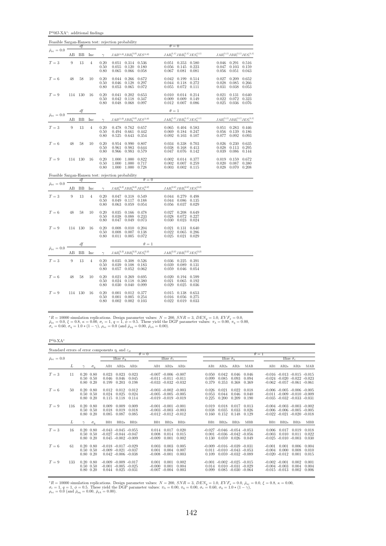$\mathbf{P}^{\phi}$ 0fJ-XA\*: additional findings

|                                      |                  |             |                |                                                     | Feasible Sargan-Hansen test: rejection probability                                 | $\theta = 0$                                                                                                                                                            |                                                                                |
|--------------------------------------|------------------|-------------|----------------|-----------------------------------------------------|------------------------------------------------------------------------------------|-------------------------------------------------------------------------------------------------------------------------------------------------------------------------|--------------------------------------------------------------------------------|
| $\bar{\rho}_{x\epsilon}=0.0$         | $\rm AB$         | df<br>BB    | Inc            | $\gamma$                                            | $JAB^{(1,0)}JBB_a^{(1,0)}JES^{(1,0)}$                                              | $JAB_a^{(1,1)}JBB_a^{(1,1)}JES_a^{(1,1)} \hspace{2cm} JAB_c^{(1,1)}JBB_c^{(1,1)}JES_c^{(1,1)}$                                                                          |                                                                                |
| $T=3$                                | $\boldsymbol{9}$ | 13          | $\overline{4}$ | $\begin{array}{c} 0.20 \\ 0.50 \end{array}$<br>0.80 | 0.051<br>0.314 0.536<br>0.055<br>0.120<br>0.180<br>0.065<br>$0.066$ $0.058$        | 0.051<br>0.353 0.580<br>0.056<br>0.145<br>0.223<br>0.067<br>0.081<br>0.081                                                                                              | $0.046$ $0.291$<br>0.516<br>0.047<br>0.103<br>0.159<br>0.056<br>0.051<br>0.043 |
| $T=6$                                | 48               | 58          | 10             | 0.20<br>0.50<br>0.80                                | 0.044<br>0.266 0.672<br>0.128<br>0.297<br>0.046<br>0.053<br>0.065<br>0.072         | 0.042<br>0.199 0.514<br>0.044<br>0.118<br>0.272<br>0.055<br>$0.072$ $0.111$                                                                                             | 0.027<br>0.209<br>0.652<br>0.028<br>0.266<br>0.085<br>0.031<br>0.038<br>0.053  |
| $T=9$                                | 114              | 130         | 16             | 0.20<br>0.50<br>0.80                                | $0.202$ 0.653<br>0.041<br>0.118<br>0.347<br>0.042<br>0.048 0.068 0.097             | 0.010<br>$0.014$ $0.214$<br>0.009<br>0.009<br>0.149<br>$0.012$ $0.007$ $0.086$                                                                                          | 0.021<br>0.131<br>0.640<br>0.022<br>0.072<br>0.323<br>$0.025$ 0.036<br>0.076   |
|                                      |                  | $\sqrt{df}$ |                |                                                     |                                                                                    | $\theta = 1$                                                                                                                                                            |                                                                                |
| $\bar{\rho}_{x\varepsilon}=0.0$ $\,$ | AB               | BB          | Inc            |                                                     |                                                                                    | $\gamma \qquad JAB^{(1,0)} JBB^{(1,0)}_a JES^{(1,0)}_a \qquad \qquad JAB^{(1,1)}_a JBB^{(1,1)}_a JES^{(1,1)}_a \qquad \qquad JAB^{(1,1)}_c JBB^{(1,1)}_c JES^{(1,1)}_c$ |                                                                                |
| $T=3$                                | 9                | 13          | $\overline{4}$ | 0.20<br>0.50<br>0.80                                | 0.478<br>$0.762\quad 0.657$<br>0.442<br>0.494<br>0.661<br>$0.643$ $0.354$<br>0.525 | 0.065<br>0.404 0.583<br>0.184 0.247<br>0.069<br>0.092<br>$0.103$ $0.107$                                                                                                | $0.051$ $0.283$<br>0.446<br>0.056<br>0.139<br>0.186<br>$0.077$ 0.092<br>0.093  |
| $T=6$                                | 48               | 58          | 10             | 0.20<br>0.50<br>0.80                                | 0.954<br>0.990 0.807<br>0.644<br>0.961<br>0.983<br>0.983<br>0.579<br>0.966         | 0.034<br>0.338<br>0.703<br>0.038<br>0.413<br>0.168<br>0.047<br>0.076<br>0.142                                                                                           | 0.230<br>0.635<br>0.026<br>0.028<br>0.113<br>0.295<br>0.039<br>0.086<br>0.144  |
| $T=9$                                | 114              | 130         | 16             | $\begin{array}{c} 0.20 \\ 0.50 \end{array}$<br>0.80 | 1.000<br>1.000 0.822<br>1.000 0.717<br>1.000<br>1.000<br>1.000 0.728               | 0.002<br>0.014 0.377<br>0.002<br>0.259<br>0.007<br>$0.003$ $0.002$ $0.115$                                                                                              | 0.019<br>0.159<br>0.672<br>0.020<br>0.087<br>0.380<br>$0.028$ 0.070<br>0.208   |
|                                      |                  |             |                |                                                     | Feasible Sargan-Hansen test: rejection probability<br>$\theta = 0$                 |                                                                                                                                                                         |                                                                                |
| $\bar{\rho}_{x\varepsilon}=0.0$      | AВ               | df<br>BB    | Inc            | $\gamma$                                            | $JAB_a^{(2,2)}J\!BB_a^{(2,2)}J\!ES_a^{(2,2)}$                                      | $JAB_c^{(2,2)}JBB_c^{(2,2)}JES_c^{(2,2)}$                                                                                                                               |                                                                                |
| $T=3$                                | 9                | 13          | $\overline{4}$ | $\begin{array}{c} 0.20 \\ 0.50 \end{array}$<br>0.80 | 0.047 0.318 0.549<br>0.188<br>0.117<br>0.049<br>0.063<br>0.059<br>0.054            | 0.044 0.279 0.498<br>$0.044\,$<br>0.086<br>0.135<br>0.056<br>0.037<br>0.029                                                                                             |                                                                                |
| $T=6$                                | 48               | 58          | 10             | 0.20<br>0.50<br>0.80                                | 0.035<br>0.166<br>0.478<br>0.038<br>0.233<br>0.088<br>0.047<br>0.049<br>0.073      | 0.027<br>0.208<br>0.649<br>0.028<br>0.072<br>0.227<br>0.030<br>0.023<br>0.024                                                                                           |                                                                                |
| $T=9$                                | 114 130          |             | 16             | 0.20<br>0.50<br>0.80                                | 0.008<br>0.010<br>0.204<br>0.138<br>0.008<br>0.007<br>$0.011$ $0.005$ $0.072$      | $\begin{array}{c} 0.021 \\ 0.022 \\ 0.025 \end{array}$<br>0.131<br>0.640<br>0.065<br>0.286<br>$0.021$ $0.029$                                                           |                                                                                |
|                                      |                  | df          |                |                                                     | $\theta=1$                                                                         |                                                                                                                                                                         |                                                                                |
| $\bar{\rho}_{x\varepsilon}=0.0$      | AB               | ΒB          | Inc            | $\gamma$                                            | $JAB_a^{(2,2)}JBB_a^{(2,2)}JES_a^{(2,2)}$                                          | $JAB_c^{(2,2)}JBB_c^{(2,2)}JES_c^{(2,2)}$                                                                                                                               |                                                                                |
| $T=3$                                | 9                | 13          | $\overline{4}$ | 0.20<br>0.50<br>0.80                                | 0.035 0.308 0.526<br>0.183<br>0.039<br>0.108<br>$0.052\,$<br>0.057<br>0.062        | 0.036 0.225 0.391<br>0.039<br>0.089<br>0.131<br>0.059<br>0.046<br>0.054                                                                                                 |                                                                                |
| $T=6$                                | 48               | 58          | 10             | 0.20<br>0.50<br>0.80                                | 0.021<br>0.269<br>0.695<br>0.118<br>0.380<br>0.024<br>0.030<br>0.040<br>0.099      | 0.194<br>0.599<br>0.020<br>0.021<br>0.065<br>0.192<br>0.029<br>0.025<br>0.036                                                                                           |                                                                                |
| $T=9$                                | 114 130          |             | 16             | 0.20<br>0.50<br>0.80                                | 0.001<br>0.012<br>0.377<br>0.254<br>0.005<br>0.001<br>$0.002$ $0.002$ $0.103$      | 0.138<br>0.653<br>0.015<br>$\begin{array}{c} 0.016 \\ 0.022 \end{array}$<br>0.056<br>0.275<br>$0.019$ $0.033$                                                           |                                                                                |

\*R = 10000 simulation replications. Design parameter values:  $N = 200$ ,  $SNR = 3$ ,  $DEN_y = 1.0$ ,  $EVF_x = 0.0$ ,  $\bar{\rho}_{xe} = 0.0$ ,  $\xi = 0.8$ ,  $\kappa = 0.00$ ,  $\sigma_e = 1$ ,  $q = 1$ ,  $\phi = 0.5$ . These yield the DGP parameter values:  $\pi_{\lambda} = 0.$ 

 $P^{\phi}$ 0-XA $^*$ 

| Standard errors of error components $\eta_i$ and $\varepsilon_{it}$<br>$\theta = 0$<br>$\theta = 1$ |     |                                                        |            |                                                                 |                         |                         |                                                                                    |                                   |                         |  |                         |                                                                                                |                         |                         |                                  |                                                                                                                   |                                    |                         |
|-----------------------------------------------------------------------------------------------------|-----|--------------------------------------------------------|------------|-----------------------------------------------------------------|-------------------------|-------------------------|------------------------------------------------------------------------------------|-----------------------------------|-------------------------|--|-------------------------|------------------------------------------------------------------------------------------------|-------------------------|-------------------------|----------------------------------|-------------------------------------------------------------------------------------------------------------------|------------------------------------|-------------------------|
| $\bar{\rho}_{x\varepsilon}=0.0$                                                                     |     |                                                        |            |                                                                 | Bias $\tilde{\sigma}_n$ |                         |                                                                                    | Bias $\hat{\sigma}_{\varepsilon}$ |                         |  |                         | Bias $\tilde{\sigma}_n$                                                                        |                         |                         |                                  |                                                                                                                   | Bias $\hat{\sigma}_e$              |                         |
|                                                                                                     | L   |                                                        | $\sigma_n$ | AB1                                                             | AB2a                    | AB2c                    | AB1                                                                                | AB2a                              | AB2c                    |  | AB1                     | AB2a                                                                                           | AB2c                    | MAB                     | AB1                              | AB2a                                                                                                              | AB2c                               | MAB                     |
| $T=3$                                                                                               | 11  | $0.20\ 0.80$<br>$0.50 \quad 0.50$<br>$0.80 \quad 0.20$ |            | 0.023<br>0.046<br>0.199                                         | 0.023<br>0.046<br>0.203 | 0.023<br>0.045<br>0.198 | $-0.007 - 0.006 - 0.007$<br>$-0.011 - 0.011 - 0.011$<br>$-0.033 - 0.032 - 0.032$   |                                   |                         |  | 0.050<br>0.099<br>0.379 | 0.042<br>0.085<br>0.353                                                                        | 0.046<br>0.093<br>0.368 | 0.046<br>0.094<br>0.369 |                                  | $-0.016$ $-0.013$ $-0.015$ $-0.015$<br>$-0.024$ $-0.020$ $-0.022$ $-0.023$<br>$-0.062$ $-0.057$ $-0.061$ $-0.061$ |                                    |                         |
| $T=6$                                                                                               | 50  | $0.20\ 0.80$<br>$0.50 \quad 0.50$<br>$0.80\ 0.20$      |            | 0.012<br>0.024<br>0.115                                         | 0.012<br>0.025<br>0.118 | 0.012<br>0.024<br>0.114 | $-0.003$ $-0.002$ $-0.003$<br>$-0.005 - 0.005 - 0.005$<br>$-0.019 - 0.019 - 0.019$ |                                   |                         |  | 0.026<br>0.053<br>0.225 | 0.021<br>0.044<br>0.200                                                                        | 0.022<br>0.046<br>0.209 | 0.018<br>0.040<br>0.190 |                                  | $-0.006$ $-0.005$ $-0.006$ $-0.005$<br>$-0.011 - 0.009 - 0.010 - 0.009$<br>$-0.035$ $-0.032$ $-0.033$ $-0.031$    |                                    |                         |
| $T=9$                                                                                               | 116 | $0.20\ 0.80$<br>$0.50 \quad 0.50$<br>$0.80\ 0.20$      |            | 0.009<br>0.018<br>0.085                                         | 0.009<br>0.019<br>0.087 | 0.009<br>0.018<br>0.085 | $-0.001 - 0.001 - 0.001$<br>$-0.003 - 0.003 - 0.003$<br>$-0.012 - 0.012 - 0.012$   |                                   |                         |  | 0.019<br>0.038<br>0.160 | 0.018<br>0.035<br>0.152                                                                        | 0.017<br>0.033<br>0.148 | 0.013<br>0.026<br>0.129 |                                  | $-0.004$ $-0.003$ $-0.003$ $-0.002$<br>$-0.006$ $-0.006$ $-0.005$ $-0.005$<br>$-0.022$ $-0.021$ $-0.020$ $-0.018$ |                                    |                         |
|                                                                                                     | L   |                                                        | $\sigma_n$ | B <sub>B1</sub>                                                 | BB <sub>2</sub> a       | BB <sub>2c</sub>        | B <sub>B1</sub>                                                                    | BB <sub>2a</sub>                  | BB2c                    |  | B <sub>B1</sub>         | BB <sub>2a</sub>                                                                               | BB <sub>2c</sub>        | <b>MBB</b>              | B <sub>B1</sub>                  | BB <sub>2a</sub>                                                                                                  | BB2c                               | <b>MBB</b>              |
| $T=3$                                                                                               | 16  | $0.20\ 0.80$<br>$0.50 \quad 0.50$<br>$0.80 \quad 0.20$ |            | $-0.043 - 0.045 - 0.055$<br>$-0.027 - 0.044 - 0.047$            | $0.045 - 0.002 - 0.009$ |                         | 0.014<br>0.008<br>$-0.009$                                                         | 0.017<br>0.014<br>0.001           | 0.020<br>0.015<br>0.002 |  | 0.130                   | $-0.027$ $-0.046$ $-0.054$ $-0.053$<br>$0.001 - 0.036 - 0.042 - 0.056$<br>0.059                | 0.026                   | 0.049                   | 0.006<br>$-0.003$<br>$-0.025$    | 0.017<br>0.010                                                                                                    | 0.019<br>0.011<br>$-0.010 - 0.003$ | 0.018<br>0.022<br>0.030 |
| $T=6$                                                                                               | 61  | $0.20\ 0.80$<br>$0.50 \quad 0.50$<br>$0.80\ 0.20$      |            | $-0.018$ $-0.017$ $-0.029$<br>$-0.009 - 0.021 - 0.037$          | $0.042 - 0.006 - 0.038$ |                         | 0.003<br>0.001<br>$-0.008 - 0.001$                                                 | 0.003<br>0.004                    | 0.005<br>0.007<br>0.003 |  | 0.109                   | $-0.009 - 0.016 - 0.039 - 0.031$<br>$0.011 - 0.010 - 0.043 - 0.053$<br>$0.059 - 0.032 - 0.089$ |                         |                         | $-0.001$<br>$-0.004$<br>$-0.020$ | 0.001<br>0.000<br>$-0.012$                                                                                        | 0.006<br>0.008<br>0.001            | 0.004<br>0.010<br>0.015 |
| $T=9$                                                                                               | 133 | $0.20\ 0.80$<br>$0.50 \quad 0.50$<br>$0.80\ 0.20$      |            | $-0.009 - 0.009 - 0.017$<br>$-0.001$ $-0.005$ $-0.025$<br>0.044 | 0.025                   | $-0.031$                | 0.001<br>$-0.000$<br>$-0.007 - 0.004$                                              | 0.001<br>0.001                    | 0.002<br>0.004<br>0.003 |  | 0.014<br>0.099          | $-0.001$ $-0.002$ $-0.025$ $-0.015$<br>$0.010 - 0.031 - 0.029$                                 | $0.085 - 0.030 - 0.064$ |                         |                                  | $-0.002 - 0.001$<br>$-0.004 - 0.003$<br>$-0.015 - 0.013$                                                          | 0.002<br>0.004<br>0.002            | 0.001<br>0.004<br>0.006 |

 ${}^*R = 10000$  simulation replications. Design parameter values:  $N = 200$ ,  $SNR = 3$ ,  $DEN_y = 1.0$ ,  $EVF_x = 0.0$ ,  $\bar{\rho}_{x\bar{z}} = 0.0$ ,  $\xi = 0.8$ ,  $\kappa = 0.00$ ,<br>  $\sigma_{\varepsilon} = 1$ ,  $q = 1$ ,  $\phi = 0.5$ . These yield the DGP parameter values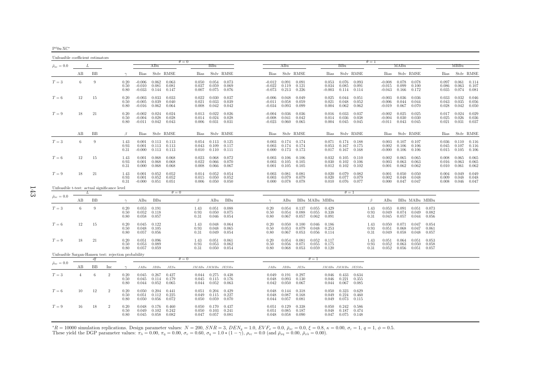| $P^{\varphi}$ 0u-XC |  |
|---------------------|--|
|                     |  |

| Unfeasible coefficient estimators                    |                                                   |    |                |                      |                                  |                         |                         |                         |                                 |                                             |                                  |                                  |                         |                         |                         |                                    |                         |                      |                                  |                                  |                         |                         |                         |                         |                                   |
|------------------------------------------------------|---------------------------------------------------|----|----------------|----------------------|----------------------------------|-------------------------|-------------------------|-------------------------|---------------------------------|---------------------------------------------|----------------------------------|----------------------------------|-------------------------|-------------------------|-------------------------|------------------------------------|-------------------------|----------------------|----------------------------------|----------------------------------|-------------------------|-------------------------|-------------------------|-------------------------|-----------------------------------|
| $\bar{\rho}_{x\varepsilon}=0.0$                      |                                                   | L  |                |                      |                                  | ABu                     |                         | $\theta = 0$            | BBu                             |                                             |                                  | ABu                              |                         |                         |                         | BBu                                |                         | $\theta = 1$         |                                  | MABu                             |                         |                         | MBBu                    |                         |                                   |
|                                                      | AВ                                                | BB |                | $\gamma$             | Bias                             |                         | Stdy RMSE               | Bias                    |                                 | Stdy RMSE                                   | Bias                             |                                  | Stdv RMSE               |                         | Bias                    |                                    | Stdy RMSE               |                      | <b>Bias</b>                      |                                  | Stdy RMSE               |                         | Bias                    |                         | Stdy RMSE                         |
| $T=3$                                                | 6                                                 | 9  |                | 0.20<br>0.50<br>0.80 | $-0.006$<br>$-0.010$<br>$-0.033$ | 0.062<br>0.081<br>0.144 | 0.063<br>0.081<br>0.147 | 0.050<br>0.037<br>0.007 | 0.054<br>0.059<br>0.075         | 0.073<br>0.069<br>0.076                     | $-0.012$<br>$-0.022$             | 0.091<br>0.119<br>$-0.073$ 0.213 | 0.091<br>0.121<br>0.226 |                         | 0.053<br>0.034          | 0.076<br>0.085<br>$-0.003$ $0.114$ | 0.093<br>0.091<br>0.114 |                      | $-0.008$<br>$-0.015$             | 0.078<br>0.099<br>$-0.043$ 0.166 | 0.078<br>0.100<br>0.172 |                         | 0.097<br>0.086<br>0.035 | 0.061<br>0.063<br>0.074 | 0.114<br>0.107<br>0.081           |
| $T=6$                                                | 12                                                | 15 |                | 0.20<br>0.50<br>0.80 | $-0.003$<br>$-0.005$<br>$-0.016$ | 0.033<br>0.039<br>0.062 | 0.033<br>0.040<br>0.064 | 0.022<br>0.021<br>0.008 | 0.030<br>0.033<br>0.042         | 0.037<br>0.039<br>0.042                     | $-0.006$<br>$-0.011$<br>$-0.034$ | 0.048<br>0.058<br>0.093          | 0.049<br>0.059<br>0.099 |                         | 0.025<br>0.021<br>0.004 | 0.044<br>0.048<br>0.062            | 0.051<br>0.052<br>0.062 |                      | $-0.003$<br>$-0.006$<br>$-0.019$ | 0.036<br>0.044<br>0.067          | 0.036<br>0.044<br>0.070 |                         | 0.033<br>0.043<br>0.028 | 0.032<br>0.035<br>0.042 | 0.046<br>0.056<br>0.050           |
| $T=9$                                                | 18                                                | 21 |                | 0.20<br>0.50<br>0.80 | $-0.002$<br>$-0.004$<br>$-0.011$ | 0.024<br>0.028<br>0.042 | 0.024<br>0.028<br>0.043 | 0.013<br>0.014<br>0.006 | 0.022<br>0.024<br>0.031         | 0.026<br>0.028<br>0.031                     | $-0.004$<br>$-0.008$<br>$-0.023$ | 0.036<br>0.041<br>0.060          | 0.036<br>0.042<br>0.065 |                         | 0.016<br>0.014<br>0.004 | 0.033<br>0.036<br>0.045            | 0.037<br>0.038<br>0.045 |                      | $-0.002$<br>$-0.004$             | 0.025<br>0.030<br>$-0.011$ 0.043 | 0.025<br>0.030<br>0.045 |                         | 0.017<br>0.025<br>0.021 | 0.024<br>0.026<br>0.031 | 0.029<br>0.036<br>0.037           |
|                                                      | AB                                                | BB |                | $\beta$              | Bias                             |                         | Stdy RMSE               | Bias                    |                                 | Stdy RMSE                                   | Bias                             |                                  | Stdy RMSE               |                         | Bias                    |                                    | Stdy RMSE               |                      | Bias                             |                                  | Stdy RMSE               |                         | Bias                    |                         | Stdy RMSE                         |
| $T=3$                                                | 6                                                 | 9  |                | 1.43<br>0.93<br>0.31 | 0.001<br>0.001<br>$-0.000$       | 0.113<br>0.113<br>0.113 | 0.113<br>0.113<br>0.113 | 0.054<br>0.043<br>0.010 | 0.109                           | $0.113$ $0.125$<br>0.117<br>$0.110$ $0.111$ | 0.003<br>0.003<br>0.000          | 0.174<br>0.174<br>0.173          | 0.174<br>0.174<br>0.173 |                         | 0.071<br>0.053<br>0.017 | 0.174<br>0.167<br>0.167            | 0.188<br>0.175<br>0.168 |                      | 0.003<br>0.002<br>$-0.000$       | 0.107<br>0.106<br>0.106          | 0.107<br>0.106<br>0.106 |                         | 0.036<br>0.045<br>0.015 | 0.107<br>0.105          | $0.110$ $0.116$<br>0.116<br>0.106 |
| $T=6$                                                | 12                                                | 15 |                | 1.43<br>0.93<br>0.31 | 0.001<br>0.001<br>0.000          | 0.068<br>0.068<br>0.068 | 0.068<br>0.068<br>0.068 | 0.023<br>0.022<br>0.008 | 0.068<br>0.066<br>0.066         | 0.072<br>0.070<br>0.067                     | 0.003<br>0.003<br>0.001          | 0.106<br>0.105<br>0.105          | 0.106<br>0.105<br>0.105 |                         | 0.032<br>0.030<br>0.012 | 0.105<br>0.102<br>0.102            | 0.110<br>0.106<br>0.102 |                      | 0.002<br>0.003<br>0.001          | 0.065<br>0.063<br>0.062          | 0.065<br>0.063<br>0.062 |                         | 0.008<br>0.016<br>0.010 | 0.065<br>0.063<br>0.061 | 0.065<br>0.065<br>0.062           |
| $T=9$                                                | 18                                                | 21 |                | 1.43<br>0.93<br>0.31 | 0.001<br>0.001<br>$-0.000$       | 0.052<br>0.052<br>0.051 | 0.052<br>0.052<br>0.051 | 0.014<br>0.015<br>0.006 | 0.052<br>0.050<br>0.050         | 0.054<br>0.052<br>0.050                     | 0.003<br>0.003<br>0.000          | 0.081<br>0.079<br>0.078          | 0.081<br>0.079<br>0.078 |                         | 0.020<br>0.020<br>0.010 | 0.079<br>0.077<br>0.076            | 0.082<br>0.079<br>0.077 |                      | 0.001<br>0.002<br>0.000          | 0.050<br>0.048<br>0.047          | 0.050<br>0.048<br>0.047 |                         | 0.004<br>0.009<br>0.008 | 0.049<br>0.048<br>0.046 | 0.049<br>0.048<br>0.047           |
|                                                      | Unfeasible t-test: actual significance level<br>L |    |                |                      |                                  |                         | $\theta = 0$            |                         |                                 |                                             |                                  |                                  |                         |                         |                         | $\theta=1$                         |                         |                      |                                  |                                  |                         |                         |                         |                         |                                   |
| $\bar{\rho}_{x\varepsilon}=0.0$                      | AВ                                                | BB |                | $\gamma$             | ABu                              | BBu                     |                         | $\beta$                 | ABu                             | BBu                                         | $\gamma$                         | ABu                              |                         |                         | BBu MABu MBBu           |                                    |                         | $\beta$              | ABu                              |                                  | BBu MABu MBBu           |                         |                         |                         |                                   |
| $T=3$                                                | 6                                                 | 9  |                | 0.20<br>0.50<br>0.80 | 0.053<br>0.052<br>0.058          | 0.191<br>0.118<br>0.057 |                         | 1.43<br>0.93<br>0.31    | 0.051<br>0.050<br>0.046         | 0.088<br>0.075<br>0.054                     | 0.20<br>0.50<br>0.80             | 0.054<br>0.054<br>0.067          | 0.137<br>0.088<br>0.057 | 0.055<br>0.055<br>0.062 | 0.429<br>0.338<br>0.091 |                                    |                         | 1.43<br>0.93<br>0.31 | 0.053<br>0.049<br>0.045          | 0.091<br>0.074<br>0.057          | 0.051<br>0.049<br>0.044 | 0.073<br>0.082<br>0.056 |                         |                         |                                   |
| $T=6$                                                | 12                                                | 15 |                | 0.20<br>0.50<br>0.80 | 0.045<br>0.048<br>0.057          | 0.122<br>0.105<br>0.056 |                         | 1.43<br>0.93<br>0.31    | 0.048<br>0.048<br>0.049         | 0.064<br>0.065<br>0.054                     | 0.20<br>0.50<br>0.80             | 0.050<br>0.053<br>0.067          | 0.100<br>0.079<br>0.053 | 0.046<br>0.048<br>0.056 | 0.186<br>0.253<br>0.114 |                                    |                         | 1.43<br>0.93<br>0.31 | 0.050<br>0.051<br>0.049          | 0.071<br>0.068<br>0.058          | 0.047<br>0.047<br>0.048 | 0.054<br>0.061<br>0.057 |                         |                         |                                   |
| $T=9$                                                | 18                                                | 21 |                | 0.20<br>0.50<br>0.80 | 0.051<br>0.053<br>0.057          | 0.096<br>0.089<br>0.059 |                         | 1.43<br>0.93<br>0.31    | 0.051<br>0.053<br>0.050         | 0.061<br>0.062<br>0.054                     | 0.20<br>0.50<br>0.80             | 0.054<br>0.056<br>0.068          | 0.081<br>0.071<br>0.053 | 0.052<br>0.055<br>0.059 | 0.117<br>0.175<br>0.120 |                                    |                         | 1.43<br>0.93<br>0.31 | 0.051<br>0.052<br>0.052          | 0.064<br>0.063<br>0.056          | 0.051<br>0.050<br>0.051 | 0.053<br>0.058<br>0.057 |                         |                         |                                   |
| Unfeasible Sargan-Hansen test: rejection probability |                                                   | dt |                |                      |                                  |                         |                         | $\theta = 0$            |                                 |                                             |                                  |                                  |                         | $\theta = 1$            |                         |                                    |                         |                      |                                  |                                  |                         |                         |                         |                         |                                   |
| $\bar{\rho}_{x\varepsilon}=0.0$                      | AВ                                                | BB | Inc            | $\gamma$             | JABu                             | JBBu                    | JESu                    |                         | JMABu JMMBu JESMu               |                                             | JABu                             | $JBBu$                           | JESu                    |                         | JMABu JMMBu JESMu       |                                    |                         |                      |                                  |                                  |                         |                         |                         |                         |                                   |
| $T=3$                                                | $\overline{4}$                                    | 6  | $\overline{2}$ | 0.20<br>0.50<br>0.80 | 0.045<br>0.045<br>0.044          | 0.267<br>0.114<br>0.052 | 0.427<br>0.179<br>0.065 | 0.045<br>0.044          | $0.044$ 0.275<br>0.115<br>0.052 | 0.438<br>0.176<br>0.063                     | 0.049<br>0.048<br>0.042          | 0.191<br>0.093<br>0.050          | 0.297<br>0.130<br>0.067 |                         | 0.046<br>0.044          | $0.046$ 0.433<br>0.221<br>0.067    | 0.634<br>0.355<br>0.085 |                      |                                  |                                  |                         |                         |                         |                         |                                   |
| $T=6$                                                | 10                                                | 12 | $\overline{2}$ | 0.20<br>0.50<br>0.80 | 0.050<br>0.051<br>0.050          | 0.204<br>0.112<br>0.056 | 0.441<br>0.225<br>0.072 | 0.051<br>0.049<br>0.050 | 0.204<br>0.115<br>0.059         | 0.429<br>0.227<br>0.070                     | 0.048<br>0.048<br>0.044          | 0.144<br>0.087<br>0.057          | 0.318<br>0.168<br>0.081 |                         | 0.050<br>0.049<br>0.049 | 0.323<br>0.224<br>0.073            | 0.629<br>0.460<br>0.115 |                      |                                  |                                  |                         |                         |                         |                         |                                   |
| $T=9$                                                | 16                                                | 18 | $\overline{2}$ | 0.20<br>0.50<br>0.80 | 0.048<br>0.049<br>0.045          | 0.176<br>0.102<br>0.058 | 0.460<br>0.242<br>0.082 | 0.050<br>0.050          | 0.170<br>0.103<br>$0.047$ 0.057 | 0.437<br>0.241<br>0.081                     | 0.051<br>0.051                   | 0.129<br>0.085<br>$0.048$ 0.058  | 0.338<br>0.187<br>0.090 |                         | 0.050<br>0.048          | 0.242<br>0.187<br>$0.047$ 0.075    | 0.586<br>0.474<br>0.148 |                      |                                  |                                  |                         |                         |                         |                         |                                   |

 ${}^*R = 10000$  simulation replications. Design parameter values:  $N = 200$ ,  $SNR = 3$ ,  $DEN_y = 1.0$ ,  $EVF_x = 0.0$ ,  $\bar{\rho}_{xc} = 0.0$ ,  $\xi = 0.8$ ,  $\kappa = 0.00$ ,  $\sigma_{\varepsilon} = 1$ ,  $q = 1$ ,  $\phi = 0.5$ .<br>These yield the DGP parameter values:  $\pi$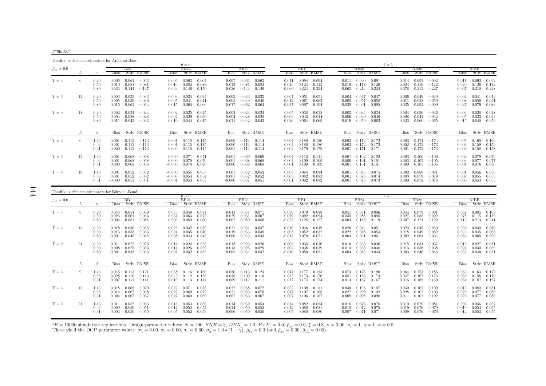$P^{\phi}$ 0fc-XC<sup>\*</sup>

Feasible coefficient estimators for Arellano-Bond $\theta$  – 0 AB2a<br>Bias Stdv RMSE  $\frac{\theta}{\theta} = 1$   $\frac{\theta}{AB2c}$   $\frac{\theta}{AB2a}$  $\bar{\rho}_{x\varepsilon}=0.0$  $_{\varepsilon}$  = 0.0  $_{\varepsilon}$   $_{\varepsilon}$   $_{\varepsilon}$   $_{\varepsilon}$   $_{\varepsilon}$   $_{\varepsilon}$   $_{\varepsilon}$   $_{\varepsilon}$   $_{\varepsilon}$   $_{\varepsilon}$   $_{\varepsilon}$   $_{\varepsilon}$   $_{\varepsilon}$   $_{\varepsilon}$   $_{\varepsilon}$   $_{\varepsilon}$   $_{\varepsilon}$   $_{\varepsilon}$   $_{\varepsilon}$   $_{\varepsilon}$   $_{\varepsilon}$   $_{\varepsilon}$   $_{\varepsilon}$ L  $\gamma$  Bias Stdv RMSE Bias Stdv RMSE Bias Stdv RMSE Bias Stdv RMSE Bias Stdv RMSE Bias Stdv RMSE Bias Stdv RMSE $0.092$   $0.092$  $T=3$  $T=3$   $6$   $0.20$   $-0.006$   $0.062$   $0.063$   $-0.006$   $0.063$   $0.064$   $-0.007$   $0.063$   $0.063$   $-0.011$   $0.094$   $-0.011$   $0.090$   $0.091$   $-0.014$   $0.091$   $0.092$   $-0.011$   $0.092$   $-0.011$   $0.092$   $-0.011$   $0.092$   $-0.011$   $0$ 0.50 -0.010 0.081 0.081 -0.010 0.082 0.083 -0.012 0.081 0.082 -0.020 0.124 0.125 -0.019 0.118 0.120 -0.024 0.119 0.122 -0.020 0.120 0.1220.80 -0.033 0.144 0.147 -0.033 0.146 0.150 -0.036 0.144 0.149 -0.066 0.224 0.234 -0.065 0.214 0.224 -0.078 0.213 0.227 -0.067 0.218 0.228 $0.042$  $T=6$  $T=6$   $12$   $0.20$   $-0.003$   $0.033$   $-0.003$   $0.034$   $-0.003$   $0.033$   $0.033$   $-0.007$   $0.051$   $-0.004$   $0.047$   $0.047$   $-0.006$   $0.049$   $0.049$   $-0.004$   $0.041$   $0.042$   $-0.005$   $0.050$   $0.050$   $0.050$   $0.051$   $-0.006$   $0$ 0.50 -0.005 0.039 0.040 -0.005 0.041 0.041 -0.005 0.040 0.040 -0.012 0.061 0.062 -0.008 0.057 0.058 -0.011 0.058 0.059 -0.008 0.050 0.051  $0.083$  $0.80$   $-0.016$   $0.062$   $0.064$   $-0.015$   $0.064$   $0.066$   $-0.017$   $0.062$   $0.064$   $-0.037$   $0.097$   $0.104$   $-0.028$   $0.091$   $0.095$   $-0.035$   $0.092$   $0.099$   $-0.027$   $0.079$   $0.083$  $T=9$  $T=9$   $18$   $0.20$   $-0.002$   $0.024$   $0.024$   $-0.002$   $0.025$   $-0.002$   $0.024$   $0.024$   $-0.005$   $0.038$   $-0.038$   $0.033$   $0.034$   $-0.004$   $0.036$   $-0.003$   $0.036$   $-0.003$   $0.036$   $-0.003$   $0.028$   $0.028$   $0.036$   $-0.003$   $\begin{array}{cccccccccccccccc} 0.20 & -0.002 & 0.024 & 0.024 & -0.002 & 0.025 & 0.025 & -0.002 & 0.024 & 0.024 & -0.005 & 0.038 & 0.038 & -0.003 & 0.034 & 0.034 & -0.004 & 0.036 & 0.036 & -0.003 & 0.028 & 0.028 & 0.033 & 0.040 & -0.006 & 0.039 & 0.040 & -0.008 & 0.041 & 0.042 & 0.048$   $0.050$ 0.80 -0.011 0.042 0.043 -0.010 0.044 0.045 -0.011 0.042 0.043 -0.026 0.064 0.069 -0.019 0.059 0.062 -0.023 0.060 0.065 -0.015 0.048 0.050 $L \qquad \qquad \beta$ Bias Stdv RMSE Bias Stdv RMSE Bias Stdv RMSE Bias Stdv RMSE Bias Stdv RMSE Bias Stdv RMSE Bias Stdv RMSE Bias<br>
Bias Stdv RMSE Bias Stdv RMSE  $-0.160$  $T=3$  $T=3$  6  $1.43$   $0.001$   $0.113$   $0.113$   $0.001$   $0.115$   $0.105$   $0.000$   $0.114$   $0.114$   $0.004$   $0.180$   $0.180$   $0.003$   $0.172$   $0.172$   $0.003$   $0.174$   $0.174$   $0.174$   $0.005$   $0.160$   $0.160$   $0.160$   $0.160$   $0.160$   $0.160$ 0.93 0.001 0.113 0.113 0.001 0.115 0.115 0.000 0.114 0.114 0.004 0.180 0.180 0.002 0.172 0.172 0.002 0.173 0.173 0.004 0.159 0.1590.158 0.31 -0.000 0.113 0.113 -0.000 0.115 0.115 -0.001 0.114 0.114 0.002 0.179 0.179 -0.001 0.171 0.171 -0.001 0.173 0.173 0.000 0.158 0.1580.079  $T=6$  $T=6$   $12$   $1.43$   $0.001$   $0.068$   $0.068$   $0.000$   $0.071$   $0.001$   $0.069$   $0.069$   $0.004$   $0.110$   $0.111$   $0.001$   $0.102$   $0.102$   $0.103$   $0.106$   $0.106$   $0.106$   $0.016$   $0.003$   $0.106$   $0.016$   $0.002$   $0.079$   $0.077$   $0.$ 0.93 0.001 0.068 0.068 0.000 0.070 0.070 0.001 0.068 0.068 0.004 0.109 0.109 0.000 0.101 0.101 0.003 0.105 0.105 0.003 0.077 0.0770.076  $0.31$   $0.000$   $0.068$   $0.068$   $-0.000$   $0.070$   $0.070$   $0.000$   $0.068$   $0.068$   $0.001$   $0.109$   $0.109$   $-0.001$   $0.101$   $0.101$   $0.101$   $0.000$   $0.105$   $0.105$   $0.001$   $0.076$   $0.076$  $T=9$  $T=9 \hspace{1cm} 18 \hspace{1cm} 1.43 \hspace{1cm} 0.001 \hspace{1cm} 0.052 \hspace{1cm} 0.052 \hspace{1cm} 0.001 \hspace{1cm} 0.055 \hspace{1cm} 0.055 \hspace{1cm} 0.001 \hspace{1cm} 0.052 \hspace{1cm} 0.001 \hspace{1cm} 0.052 \hspace{1cm} 0.003 \hspace{1cm} 0.084 \hspace{1cm} 0.004 \hspace{1cm} 0.004 \hspace{1cm} 0.001$  $0.93$   $0.001$   $0.052$   $0.052$   $0.003$   $0.054$   $0.001$   $0.052$   $0.052$   $0.003$   $0.082$   $0.083$   $0.001$   $0.074$   $0.074$   $0.074$   $0.003$   $0.079$   $0.079$   $0.002$   $0.055$   $0.055$  $0.053$  $0.31$   $-0.000$   $0.051$   $-0.001$   $0.053$   $-0.053$   $-0.000$   $0.051$   $0.051$   $0.082$   $0.082$   $-0.001$   $0.073$   $0.073$   $-0.073$   $0.000$   $0.078$   $0.078$   $-0.000$   $0.053$   $0.053$ 

| Feasible coefficient estimators for Blundell-Bond |    |                      |                            |                         |                         |                         |                         |                         |                         |                         |                         |                            |                         |                                                               |                            |                         |                         |                            |                         |                         |                         |                         |                         |  |  |
|---------------------------------------------------|----|----------------------|----------------------------|-------------------------|-------------------------|-------------------------|-------------------------|-------------------------|-------------------------|-------------------------|-------------------------|----------------------------|-------------------------|---------------------------------------------------------------|----------------------------|-------------------------|-------------------------|----------------------------|-------------------------|-------------------------|-------------------------|-------------------------|-------------------------|--|--|
|                                                   |    |                      |                            |                         |                         |                         | $\theta = 0$            |                         |                         |                         |                         |                            |                         |                                                               | $\theta = 1$               |                         |                         |                            |                         |                         |                         |                         |                         |  |  |
| $\bar{\rho}_{x\varepsilon}=0.0$                   |    |                      |                            | BBI                     |                         |                         | BB2a                    |                         |                         | BB2c                    |                         |                            | BB1                     |                                                               |                            | BB2a                    |                         |                            | BB2c                    |                         |                         | МВВ                     |                         |  |  |
|                                                   |    |                      | <b>Bias</b>                |                         | Stdy RMSE               | <b>Bias</b>             |                         | Stdy RMSE               | <b>Bias</b>             |                         | Stdy RMSE               | <b>Bias</b>                |                         | Stdy RMSE                                                     | <b>Bias</b>                |                         | Stdy RMSE               | <b>Bias</b>                |                         | Stdy RMSE               | <b>Bias</b>             |                         | Stdy RMSE               |  |  |
| $T=3$                                             | 9  | 0.20<br>0.50<br>0.80 | 0.043<br>0.026<br>$-0.004$ | 0.054<br>0.061<br>0.081 | 0.069<br>0.066<br>0.081 | 0.045<br>0.034<br>0.006 | 0.059<br>0.063<br>0.080 | 0.074<br>0.072<br>0.080 | 0.043<br>0.029<br>0.002 | 0.057<br>0.061<br>0.080 | 0.071<br>0.067<br>0.080 | 0.039<br>0.019<br>$-0.023$ | 0.079<br>0.092<br>0.125 | 0.088<br>0.094<br>0.127                                       | 0.051<br>0.035<br>$-0.004$ | 0.081<br>0.088<br>0.119 | 0.096<br>0.095<br>0.119 | 0.044<br>0.027<br>$-0.007$ | 0.079<br>0.088<br>0.121 | 0.091<br>0.092<br>0.122 | 0.067<br>0.078<br>0.113 | 0.085<br>0.115<br>0.213 | 0.108<br>0.139<br>0.241 |  |  |
| $T=6$                                             | 15 | 0.20<br>0.50<br>0.80 | 0.018<br>0.013<br>$-0.001$ | 0.030<br>0.033<br>0.045 | 0.035<br>0.036<br>0.045 | 0.022<br>0.021<br>0.008 | 0.032<br>0.035<br>0.044 | 0.039<br>0.040<br>0.045 | 0.021<br>0.019<br>0.006 | 0.031<br>0.033<br>0.043 | 0.037<br>0.038<br>0.043 | 0.016<br>0.008<br>$-0.013$ | 0.052<br>0.070          | $0.046$ 0.049<br>0.052<br>0.071                               | 0.026<br>0.022<br>0.004    | 0.044<br>0.048<br>0.061 | 0.051<br>0.053<br>0.061 | 0.023<br>0.018<br>0.002    | 0.045<br>0.049<br>0.064 | 0.050<br>0.052<br>0.064 | 0.030<br>0.043<br>0.063 | 0.039<br>0.045<br>0.065 | 0.049<br>0.063<br>0.090 |  |  |
| $T=9$                                             | 21 | 0.20<br>0.50<br>0.80 | 0.011<br>0.008<br>$-0.001$ | 0.022<br>0.025<br>0.033 | 0.025<br>0.026<br>0.033 | 0.014<br>0.014<br>0.007 | 0.024<br>0.026<br>0.032 | 0.028<br>0.029<br>0.033 | 0.013<br>0.013<br>0.005 | 0.023<br>0.025<br>0.031 | 0.026<br>0.028<br>0.032 | 0.008<br>0.004<br>$-0.010$ | 0.035<br>0.038<br>0.050 | 0.036<br>0.039<br>0.051                                       | 0.016<br>0.014<br>0.004    | 0.033<br>0.035<br>0.043 | 0.036<br>0.038<br>0.043 | 0.015<br>0.013<br>0.003    | 0.034<br>0.036<br>0.046 | 0.037<br>0.038<br>0.046 | 0.016<br>0.024<br>0.032 | 0.027<br>0.030<br>0.040 | 0.031<br>0.039<br>0.051 |  |  |
|                                                   |    | $\beta$              |                            |                         | Bias Stdy RMSE          |                         |                         | Bias Stdy RMSE          |                         |                         | Bias Stdy RMSE          |                            |                         | Bias Stdy RMSE                                                |                            |                         | Bias Stdy RMSE          |                            |                         | Bias Stdy RMSE          |                         | Bias Stdy RMSE          |                         |  |  |
| $T=3$                                             | 9  | 1.43<br>0.93<br>0.31 | 0.045<br>0.028<br>0.007    | 0.113<br>0.110<br>0.111 | 0.121<br>0.113<br>0.111 | 0.058<br>0.043<br>0.010 | 0.116<br>0.112<br>0.113 | 0.130<br>0.120<br>0.114 | 0.050<br>0.038<br>0.009 | 0.113<br>0.109<br>0.111 | 0.123<br>0.116<br>0.111 | 0.032                      | 0.173                   | $0.047$ $0.177$ $0.183$<br>- 0.176<br>$0.012$ $0.174$ $0.174$ | 0.073<br>0.051<br>0.014    | 0.176<br>0.166<br>0.167 | 0.190<br>0.174<br>0.167 | 0.064<br>0.047<br>0.016    | 0.173<br>0.167<br>0.168 | 0.185<br>0.173<br>0.169 | 0.053<br>0.060<br>0.061 | 0.163<br>0.158<br>0.187 | 0.172<br>0.170<br>0.197 |  |  |
| $T=6$                                             | 15 | 1.43<br>0.93<br>0.31 | 0.018<br>0.014<br>0.004    | 0.068<br>0.067<br>0.067 | 0.070<br>0.068<br>0.067 | 0.022<br>0.022<br>0.007 | 0.071<br>0.069<br>0.069 | 0.075<br>0.072<br>0.069 | 0.022<br>0.021<br>0.007 | 0.068<br>0.066<br>0.066 | 0.072<br>0.070<br>0.067 | 0.022<br>0.017<br>0.007    | 0.109<br>0.107          | 0.111<br>0.108<br>$0.106$ $0.107$                             | 0.030<br>0.027<br>0.009    | 0.103<br>0.099<br>0.098 | 0.107<br>0.102<br>0.098 | 0.030<br>0.028<br>0.011    | 0.105<br>0.102<br>0.102 | 0.109<br>0.106<br>0.102 | 0.012<br>0.020<br>0.022 | 0.080<br>0.077<br>0.077 | 0.081<br>0.080<br>0.080 |  |  |
| $T=9$                                             | 21 | 1.43<br>0.93<br>0.31 | 0.011<br>0.009<br>0.003    | 0.052<br>0.050<br>0.050 | 0.053<br>0.051<br>0.050 | 0.013<br>0.014<br>0.005 | 0.054<br>0.053<br>0.052 | 0.056<br>0.054<br>0.053 | 0.014<br>0.014<br>0.006 | 0.052<br>0.050<br>0.050 | 0.054<br>0.052<br>0.050 | 0.014<br>0.012<br>0.005    | 0.082<br>0.080<br>0.080 | 0.084<br>0.081<br>0.080                                       | 0.018<br>0.018<br>0.007    | 0.076<br>0.072<br>0.071 | 0.078<br>0.075<br>0.071 | 0.019<br>0.019<br>0.009    | 0.079<br>0.076<br>0.076 | 0.081<br>0.079<br>0.076 | 0.006<br>0.010<br>0.012 | 0.056<br>0.054<br>0.053 | 0.057<br>0.055<br>0.055 |  |  |

 ${}^*R = 10000$  simulation replications. Design parameter values:  $N = 200$ ,  $SNR = 3$ ,  $DEN_y = 1.0$ ,  $EVF_x = 0.0$ ,  $\bar{\rho}_{xc} = 0.0$ ,  $\xi = 0.8$ ,  $\kappa = 0.00$ ,  $\sigma_{\varepsilon} = 1$ ,  $q = 1$ ,  $\phi = 0.5$ .<br>These yield the DGP parameter values:  $\pi$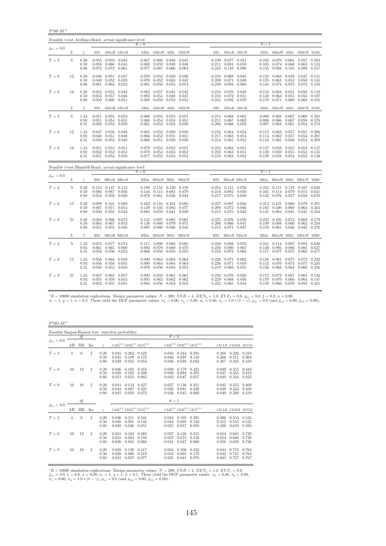$P^{\phi}$ 0ft-XC $^*$ 

| Feasible t-test Arellano-Bond: actual significance level |    |                      |                         |                                                                           |                          |                         |                                                   |                         |                                           |                         |                                                             |                |                         |                                                                             |                         |                                                     |                |
|----------------------------------------------------------|----|----------------------|-------------------------|---------------------------------------------------------------------------|--------------------------|-------------------------|---------------------------------------------------|-------------------------|-------------------------------------------|-------------------------|-------------------------------------------------------------|----------------|-------------------------|-----------------------------------------------------------------------------|-------------------------|-----------------------------------------------------|----------------|
|                                                          |    |                      |                         |                                                                           |                          | $\theta = 0$            |                                                   |                         |                                           |                         |                                                             |                | $\theta = 1$            |                                                                             |                         |                                                     |                |
| $\bar{\rho}_{x\varepsilon}=0.0$                          | L  | $\gamma$             |                         |                                                                           | AB1 AB1aR AB1cR          |                         |                                                   |                         | AB2a AB2aW AB2c AB2cW                     | AB1                     | AB1aR AB1cR                                                 |                |                         | AB2a AB2aW AB2c AB2cW MAB                                                   |                         |                                                     |                |
| $T=3$                                                    | 6  | 0.20<br>0.50<br>0.80 | 0.055<br>0.058<br>0.072 | $0.059$ $0.043$<br>0.060<br>$0.072$ $0.061$                               | 0.045                    | 0.067<br>0.069<br>0.077 | 0.059<br>$0.067$ 0.066                            | 0.049                   | $0.060$ $0.048$ $0.045$<br>0.048<br>0.063 | 0.199<br>0.211<br>0.245 | $0.077$ $0.051$<br>0.081<br>0.110                           | 0.059<br>0.090 | 0.105<br>0.135          | $0.102 \quad 0.070$<br>0.074<br>0.094                                       | 0.068<br>0.105          | $0.061$ $0.057$ $0.503$<br>0.063<br>0.099           | 0.513<br>0.557 |
| $T=6$                                                    | 12 | 0.20<br>0.50<br>0.80 | 0.049<br>0.061          | $0.046$ $0.051$ $0.037$<br>0.052 0.039<br>$0.064$ 0.052                   |                          | 0.070<br>0.070<br>0.081 | 0.053<br>0.052<br>0.059                           | 0.039<br>0.043<br>0.055 | 0.038<br>0.042<br>0.054                   | 0.210<br>0.209<br>0.249 | 0.069 0.045<br>0.071 0.049<br>$0.094$ 0.068                 |                | 0.125                   | $0.123$ $0.063$ $0.049$<br>0.061<br>0.144 0.074                             | 0.052<br>0.075          | $0.047$ $0.151$<br>$0.050$ $0.145$<br>$0.072$ 0.150 |                |
| $T=9$                                                    | 18 | 0.20<br>0.50<br>0.80 | 0.052<br>0.053<br>0.059 | $0.055$ 0.043<br>0.057<br>$0.060$ $0.051$                                 | 0.046                    | 0.082<br>0.082<br>0.089 | $0.057$ 0.045<br>0.054<br>0.059 0.052             | 0.048                   | 0.045<br>0.047<br>0.052                   | 0.216                   | $0.218$ $0.070$ $0.048$<br>0.072<br>$0.241$ $0.092$ $0.070$ | 0.051          | 0.148                   | $0.152$ $0.064$ $0.051$ $0.050$ $0.110$<br>0.064<br>$0.170$ $0.071$ $0.069$ | 0.055                   | $0.053$ $0.107$<br>$0.068$ 0.105                    |                |
|                                                          | L  | $\beta$              | AB1                     |                                                                           | AB1aR AB1cR              |                         |                                                   |                         | AB2a AB2aW AB2c AB2cW                     | AB1                     | AB1aR AB1cR                                                 |                |                         | AB2a AB2aW AB2c AB2cW MAB                                                   |                         |                                                     |                |
| $T=3$                                                    | 6  | 1.43<br>0.93<br>0.31 | 0.050                   | $0.051$ $0.055$ $0.053$<br>$0.051$ $0.054$ $0.051$<br>$0.052$ 0.050       |                          | 0.060<br>0.060<br>0.061 | $0.053$ $0.055$ $0.051$<br>0.054<br>0.053         | 0.054<br>0.052          | 0.051<br>0.050                            | 0.211<br>0.206          | $0.213$ $0.068$ $0.062$<br>$0.067$ 0.062<br>0.066           | 0.058          | 0.088<br>0.087          | $0.089$ $0.068$ $0.067$ $0.060$ $0.585$<br>0.066<br>0.064                   | 0.067<br>0.061          | 0.059<br>0.054 0.574                                | 0.578          |
| $T=6$                                                    | 12 | 1.43<br>0.93<br>0.31 | 0.048                   | $0.047$ $0.050$ $0.048$<br>0.051<br>$0.049$ $0.052$ $0.049$               | 0.048                    | 0.065<br>0.066<br>0.068 | $0.052$ 0.050<br>0.052<br>$0.051$ $0.050$         | 0.051                   | 0.050<br>0.051<br>0.050                   | 0.217                   | $0.216$ $0.064$ $0.054$<br>0.065<br>$0.214$ $0.065$ $0.052$ | 0.054          |                         | $0.115$ 0.063<br>0.114 0.062<br>$0.116$ $0.065$                             | 0.057<br>0.056          | $0.057$ $0.055$ $0.206$<br>0.054<br>0.053 0.209     | 0.207          |
| $T=9$                                                    | 18 | 1.43<br>0.93<br>0.31 |                         | $0.051$ $0.053$ $0.051$<br>$0.052 \quad 0.052$<br>$0.051$ $0.053$ $0.050$ | 0.052                    | 0.079<br>0.079          | 0.053<br>0.054<br>$0.077$ $0.052$ $0.054$ $0.053$ | 0.052<br>0.053          | 0.051<br>0.052                            | 0.222                   | $0.223$ $0.063$ $0.051$<br>0.063<br>$0.218$ $0.063$ $0.052$ | 0.051          | 0.139                   | $0.137$ $0.059$<br>0.059<br>$0.139$ $0.058$                                 | 0.055<br>0.055          | $0.054$ 0.137<br>0.053<br>$0.054$ $0.052$ $0.138$   | 0.135          |
| Feasible t-test Blundell-Bond: actual significance level |    |                      |                         |                                                                           |                          | $\theta = 0$            |                                                   |                         |                                           |                         |                                                             |                | $\theta=1$              |                                                                             |                         |                                                     |                |
| $\bar{\rho}_{x\varepsilon}=0.0$                          | L  | $\gamma$             |                         |                                                                           | BB1 BB1aR BB1cR          |                         |                                                   |                         | BB2a BB2aW BB2c BB2cW                     | BB1                     | BB1aR BB1cR                                                 |                |                         | BB2a BB2aW BB2c BB2cW MBB                                                   |                         |                                                     |                |
| $T=3$                                                    | 9  | 0.20<br>0.50<br>0.80 | 0.086<br>0.054          | $0.153$ $0.147$ $0.112$<br>$0.087$ 0.056<br>0.059                         | 0.028                    | 0.199<br>0.144<br>0.078 | 0.115<br>$0.061$ 0.036                            | 0.081                   | $0.152$ $0.139$ $0.129$<br>0.079<br>0.034 | 0.218                   | $0.254$ $0.115$ $0.076$<br>0.082<br>$0.217$ $0.075$         | 0.050<br>0.039 | 0.165                   | $0.224$ $0.151$ $0.118$ $0.107$ $0.630$<br>0.114<br>$0.132 \quad 0.076$     | 0.079<br>0.057          | 0.074<br>0.050                                      | 0.631<br>0.670 |
| $T=6$                                                    | 15 | 0.20<br>0.50<br>0.80 | 0.067<br>0.050          | $0.098$ $0.101$ $0.080$<br>0.071                                          | 0.054<br>$0.052$ 0.034   | 0.162<br>0.139<br>0.083 | $0.116$ $0.101$ $0.095$<br>0.103<br>0.059         | 0.083<br>0.041          | 0.077<br>0.039                            | 0.208<br>0.215          | $0.227$ $0.087$ $0.056$<br>0.072<br>0.075                   | 0.046<br>0.043 | 0.141                   | $0.213$ $0.121$<br>$0.183 \quad 0.100$<br>0.064                             | 0.088<br>0.069<br>0.045 | $0.079$ 0.281<br>0.064 0.363<br>0.041               | 0.434          |
| $T=9$                                                    | 21 | 0.20<br>0.50<br>0.80 | 0.082<br>0.064          | 0.086 0.072<br>0.067<br>$0.051$ $0.055$ $0.038$                           | 0.053                    | 0.145<br>0.136<br>0.095 | 0.097<br>0.089<br>$0.060 \quad 0.046$             | 0.085<br>0.079          | 0.081<br>0.075<br>0.045                   | 0.225<br>0.206          | 0.076 0.050<br>0.066<br>$0.213$ $0.071$ $0.047$             | 0.047          | 0.223<br>0.199          | 0.103<br>0.088<br>$0.159$ $0.061$ $0.046$                                   | 0.073<br>0.066          | $0.069$ $0.179$<br>0.062<br>0.043 0.276             | 0.234          |
|                                                          | L  | β                    | BB1                     |                                                                           | BB1aR BB1cR              | BB <sub>2a</sub>        |                                                   |                         | BB2aW BB2c BB2cW                          | BB1                     | BB1aR BB1cR                                                 |                |                         | BB2a BB2aW BB2c BB2cW MBB                                                   |                         |                                                     |                |
| $T=3$                                                    | 9  | 1.43<br>0.93<br>0.31 | 0.061<br>0.053          | 0.074 0.077 0.074<br>0.065                                                | 0.060<br>$0.056$ $0.052$ | 0.111<br>0.094<br>0.069 | 0.090 0.083 0.085<br>0.078<br>0.058               | 0.069<br>0.055          | 0.070<br>0.053                            | 0.238<br>0.230<br>0.218 | 0.088 0.076<br>0.080<br>$0.072$ 0.062                       | 0.067          | 0.139                   | $0.161$ $0.114$ $0.097$ $0.094$ $0.620$<br>0.095<br>$0.117$ $0.077$         | 0.086                   | $0.082$ $0.627$<br>0.075 0.068 0.677                |                |
| $T=6$                                                    | 15 | 1.43<br>0.93<br>0.31 | 0.058<br>0.056<br>0.050 | 0.058<br>$0.052 \quad 0.050$                                              | 0.064 0.059<br>0.055     | 0.090<br>0.090<br>0.078 | 0.063<br>0.064<br>0.056                           | 0.063<br>0.064<br>0.054 | 0.063<br>0.064<br>0.053                   | 0.228<br>0.226<br>0.219 | $0.071$ $0.062$<br>0.071<br>0.069                           | 0.059<br>0.055 | 0.158<br>0.152<br>0.136 | 0.081<br>0.076<br>0.068                                                     | 0.075<br>0.074<br>0.064 | $0.072$ $0.222$<br>0.071<br>$0.060$ $0.256$         | 0.235          |
| $T=9$                                                    | 21 | 1.43<br>0.93<br>0.31 | 0.057<br>0.055          | 0.062<br>0.059<br>$0.052$ $0.055$ $0.051$                                 | 0.057<br>0.055           | 0.093<br>0.093          | 0.059<br>0.062<br>$0.083$ $0.056$ $0.054$ $0.053$ | 0.061<br>0.062          | 0.061<br>0.062                            | 0.230<br>0.229          | 0.070<br>0.068<br>$0.224$ $0.065$ $0.054$                   | 0.058<br>0.056 | 0.173                   | 0.072<br>$0.170 \quad 0.070$<br>$0.159$ $0.060$ $0.059$ $0.058$ $0.161$     | 0.067<br>0.066          | 0.065<br>$0.064$ 0.147                              | 0.143          |

 ${}^*R = 10000$  simulation replications. Design parameter values:  $N = 200$ ,  $SNR = 3$ ,  $DEN_y = 1.0$ ,  $EVF_x = 0.0$ ,  $\bar{p}_{x\xi} = 0.0$ ,  $\xi = 0.8$ ,  $\kappa = 0.00$ ,<br> $\sigma_x = 1$ ,  $q = 1$ ,  $\phi = 0.5$ . These yield the DGP parameter values:  $\pi_{\lambda$ 

| $P^{\phi}$ Of.J-XC*             |                |           |                |                      |                                                    |                         |                         |                         |                                           |                         |                         |                         |
|---------------------------------|----------------|-----------|----------------|----------------------|----------------------------------------------------|-------------------------|-------------------------|-------------------------|-------------------------------------------|-------------------------|-------------------------|-------------------------|
|                                 |                |           |                |                      | Feasible Sargan-Hansen test: rejection probability |                         |                         |                         |                                           |                         |                         |                         |
|                                 |                | df        |                |                      |                                                    |                         | $\theta = 0$            |                         |                                           |                         |                         |                         |
| $\bar{\rho}_{x\varepsilon}=0.0$ | AВ             | BB        | Inc            | $\sim$               | $JAB_a^{(2,1)}JBB_a^{(2,1)}JES_a^{(2,1)}$          |                         |                         |                         | $JAB_c^{(2,1)}JBB_c^{(2,1)}JES_c^{(2,1)}$ |                         | JMAB JMBB JESM          |                         |
| $T=3$                           | 4              | 6         | $\overline{2}$ | 0.20<br>0.50<br>0.80 | 0.045<br>0.262<br>0.045<br>0.109<br>0.049<br>0.052 | 0.423<br>0.172<br>0.054 | 0.044<br>0.046<br>0.046 | 0.244<br>0.097<br>0.048 | 0.395<br>0.149<br>0.042                   | 0.268<br>0.268<br>0.267 | 0.326<br>0.311<br>0.425 | 0.319<br>0.304<br>0.418 |
| $T=6$                           | 10             | 12        | $\overline{2}$ | 0.20<br>0.50<br>0.80 | 0.183<br>0.046<br>0.048<br>0.105<br>0.051<br>0.053 | 0.418<br>0.209<br>0.062 | 0.039<br>0.040<br>0.042 | 0.179<br>0.094<br>0.047 | 0.425<br>0.205<br>0.057                   | 0.049<br>0.047<br>0.049 | 0.355<br>0.335<br>0.343 | 0.444<br>0.410<br>0.422 |
| $T=9$                           | 16             | 18        | $\overline{2}$ | 0.20<br>0.50<br>0.80 | 0.041<br>0.154<br>0.043<br>0.087<br>0.045<br>0.050 | 0.427<br>0.225<br>0.072 | 0.037<br>0.036<br>0.036 | 0.146<br>0.081<br>0.045 | 0.451<br>0.228<br>0.069                   | 0.042<br>0.038<br>0.040 | 0.355<br>0.333<br>0.320 | 0.468<br>0.439<br>0.419 |
|                                 |                | df        |                |                      |                                                    |                         | $\theta=1$              |                         |                                           |                         |                         |                         |
| $\bar{\rho}_{x\varepsilon}=0.0$ | AВ             | <b>BB</b> | Inc            | $\sim$               | $JAB_a^{(2,1)}JBB_a^{(2,1)}JES_a^{(2,1)}$          |                         |                         |                         | $JAB_c^{(2,1)}JBB_c^{(2,1)}JES_c^{(2,1)}$ |                         | JMAB JMBB JESM          |                         |
| $T=3$                           | $\overline{4}$ | 6         | $\overline{2}$ | 0.20<br>0.50<br>0.80 | 0.036<br>0.211<br>0.040<br>0.091<br>0.049<br>0.046 | 0.341<br>0.142<br>0.051 | 0.043<br>0.044<br>0.055 | 0.195<br>0.095<br>0.057 | 0.295<br>0.130<br>0.059                   | 0.306<br>0.312<br>0.308 | 0.554<br>0.555<br>0.610 | 0.533<br>0.535<br>0.594 |
| $T=6$                           | 10             | 12        | $\overline{2}$ | 0.20<br>0.50<br>0.80 | 0.031<br>0.162<br>0.031<br>0.083<br>0.036<br>0.041 | 0.382<br>0.194<br>0.068 | 0.037<br>0.037<br>0.041 | 0.128<br>0.073<br>0.047 | 0.315<br>0.158<br>0.069                   | 0.054<br>0.054<br>0.056 | 0.685<br>0.686<br>0.698 | 0.729<br>0.728<br>0.736 |
| $T=9$                           | 16             | 18        | $\overline{2}$ | 0.20<br>0.50<br>0.80 | 0.028<br>0.130<br>0.028<br>0.066<br>0.031<br>0.037 | 0.417<br>0.219<br>0.077 | 0.034<br>0.035<br>0.035 | 0.108<br>0.065<br>0.041 | 0.332<br>0.178<br>0.078                   | 0.044<br>0.042<br>0.043 | 0.719<br>0.721<br>0.727 | 0.764<br>0.763<br>0.767 |

 ${}^*R = 10000$  simulation replications. Design parameter values:  $N = 200$ ,  $SNR = 3$ ,  $DEN_y = 1.0$ ,  $EVF_x = 0.0$ ,  $\bar{\rho}_{xe} = 0.0$ ,  $\xi = 0.8$ ,  $\kappa = 0.00$ ,  $\sigma_e = 1$ ,  $q = 1$ ,  $\phi = 0.5$ . These yield the DGP parameter values:  $\pi_{\lambda} =$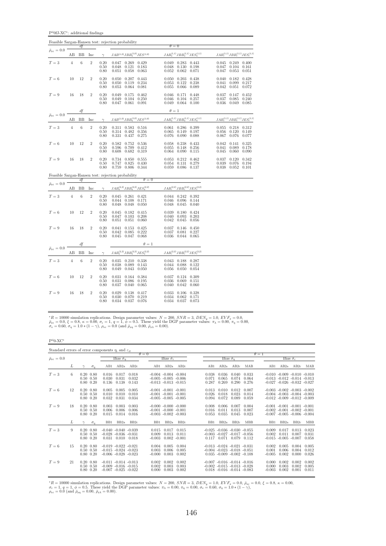$\mathbf{P}^{\phi} \mathbf{0} \mathbf{f} \mathbf{J}$ -XC<sup>∗</sup>: additional findings

|                                        |                |             |                |                                                     | Feasible Sargan-Hansen test: rejection probability                                                     |                                                                                                           |                                                                                   |
|----------------------------------------|----------------|-------------|----------------|-----------------------------------------------------|--------------------------------------------------------------------------------------------------------|-----------------------------------------------------------------------------------------------------------|-----------------------------------------------------------------------------------|
| $\bar{\rho}_{x\epsilon}=0.0$           |                | df          |                |                                                     |                                                                                                        | $\theta = 0$                                                                                              |                                                                                   |
|                                        | AВ             | BB          | Inc            | $\gamma$                                            | $JAB^{(1,0)}JBB_a^{(1,0)}JES^{(1,0)}$                                                                  | $JAB_a^{(1,1)}JBB_a^{(1,1)}JES_a^{(1,1)} \hspace{2cm} JAB_c^{(1,1)}JBB_c^{(1,1)}JES_c^{(1,1)}$            |                                                                                   |
| $T=3$                                  | $\,4\,$        | 6           | $\overline{2}$ | 0.20<br>0.50<br>0.80                                | 0.047<br>0.269 0.429<br>0.121<br>0.183<br>0.048<br>0.051<br>0.058<br>0.063                             | 0.283<br>0.049<br>0.443<br>0.048<br>0.130<br>0.198<br>0.052<br>0.062<br>0.071                             | $0.045$ 0.249<br>0.400<br>0.047<br>0.104<br>0.161<br>0.047<br>0.053<br>0.051      |
| $T=6$                                  | 10             | 12          | $\overline{2}$ | 0.20<br>0.50<br>0.80                                | 0.050<br>$0.207$ 0.443<br>0.050<br>0.119<br>0.234<br>0.053<br>$0.064$ $0.081$                          | 0.050<br>0.203<br>0.438<br>0.053<br>0.122<br>0.238<br>0.055<br>0.066<br>0.089                             | 0.182<br>0.428<br>0.040<br>0.041<br>0.099<br>0.217<br>0.042<br>0.051<br>0.072     |
| $T=9$                                  | 16             | 18          | $\overline{2}$ | 0.20<br>0.50<br>0.80                                | 0.049<br>0.175<br>0.462<br>$0.104$ $0.250$<br>0.049<br>$0.047$ $0.061$ $0.091$                         | 0.046<br>0.171<br>0.448<br>0.046<br>0.104<br>0.257<br>0.049<br>$0.064$ $0.100$                            | 0.037<br>0.147<br>0.452<br>0.037<br>0.085<br>0.240<br>0.036 0.049<br>0.085        |
| $\bar{\rho}_{x\varepsilon}=0.0$        |                | df          |                |                                                     |                                                                                                        | $\theta=1$                                                                                                |                                                                                   |
|                                        | AB             | <b>BB</b>   | Inc            | $\gamma$                                            |                                                                                                        | $JAB^{(1,0)}JBB^{(1,0)}_aJES^{(1,0)} \qquad \qquad JAB^{(1,1)}_aJBB^{(1,1)}_aJES^{(1,1)}_a$               | $JAB_c^{(1,1)}JBB_c^{(1,1)}JES_c^{(1,1)}$                                         |
| $T=3$                                  | $\overline{4}$ | 6           | $\overline{2}$ | 0.20<br>0.50<br>0.80                                | 0.583 0.516<br>0.311<br>0.314<br>0.482<br>0.356<br>0.331<br>0.437<br>0.275                             | 0.286<br>0.061<br>0.399<br>0.065<br>0.149<br>0.197<br>0.076<br>0.090<br>0.088                             | $0.055 \quad 0.218$<br>0.312<br>0.056<br>0.120<br>0.149<br>$0.067$ 0.076<br>0.077 |
| $T=6$                                  | 10             | 12          | $\overline{2}$ | 0.20<br>0.50<br>0.80                                | 0.582<br>0.752<br>0.536<br>0.596<br>0.709<br>0.412<br>0.608<br>0.682<br>0.319                          | 0.058<br>0.238<br>0.433<br>0.055<br>0.148<br>0.256<br>0.064<br>0.090<br>0.115                             | 0.042<br>0.141<br>0.325<br>0.041<br>0.089<br>0.178<br>0.045<br>0.060<br>0.090     |
| $T=9$                                  | 16             | 18          | $\overline{2}$ | 0.20<br>0.50<br>0.80                                | 0.850<br>0.734<br>0.555<br>0.430<br>0.747<br>0.825<br>0.759<br>0.806<br>0.344                          | 0.053<br>0.212<br>0.462<br>0.054<br>0.131<br>0.279<br>0.059<br>0.086<br>0.137                             | 0.037<br>0.120<br>0.342<br>0.039<br>0.076<br>0.194<br>$0.038$ $0.052$<br>0.101    |
|                                        |                |             |                |                                                     | Feasible Sargan-Hansen test: rejection probability<br>$\theta = 0$                                     |                                                                                                           |                                                                                   |
| $\bar{\rho}_{x\varepsilon}=0.0$ $^{-}$ | AВ             | df<br>ΒB    | Inc            | $\gamma$                                            | $JAB_{a}^{\left( 2,2\right) }JBB_{a}^{\left( 2,2\right) }JES_{a}^{\left( 2,2\right) }$                 | $JAB_c^{(2,2)}JBB_c^{(2,2)}JES_c^{(2,2)}$                                                                 |                                                                                   |
| $T=3$                                  | $\overline{4}$ | 6           | $\overline{2}$ | 0.20<br>0.50<br>0.80                                | $0.045$ $0.261$ $0.421$<br>0.171<br>0.044<br>0.108<br>0.048<br>0.048<br>0.050                          | 0.044 0.242 0.392<br>0.046<br>0.096<br>0.144<br>0.048<br>0.045<br>0.040                                   |                                                                                   |
| $T=6$                                  | 10             | 12          | $\overline{2}$ | 0.20<br>0.50<br>0.80                                | 0.045<br>0.182<br>0.415<br>0.103<br>0.208<br>0.047<br>0.060<br>0.051<br>0.051                          | 0.180<br>0.039<br>0.424<br>0.040<br>0.093<br>0.203<br>0.042<br>0.045<br>0.056                             |                                                                                   |
| $T=9$                                  | 16             | 18          | $\,2$          | $\begin{array}{c} 0.20 \\ 0.50 \end{array}$<br>0.80 | 0.041<br>0.153<br>$\begin{array}{c} 0.425 \\ 0.222 \end{array}$<br>0.042<br>0.085<br>0.045 0.047 0.068 | $\begin{array}{c} 0.037 \\ 0.037 \\ 0.036 \end{array}$<br>0.146<br>0.450<br>0.081<br>0.227<br>0.044 0.065 |                                                                                   |
|                                        |                | df          |                |                                                     | $\theta = 1$                                                                                           |                                                                                                           |                                                                                   |
| $\bar{\rho}_{x\varepsilon}=0.0$        | AΒ             | $_{\rm BB}$ | Inc            | $\gamma$                                            | $JAB_{a}^{\left( 2,2\right) }JBB_{a}^{\left( 2,2\right) }JES_{a}^{\left( 2,2\right) }$                 | $JAB_c^{(2,2)}JBB_c^{(2,2)}JES_c^{(2,2)}$                                                                 |                                                                                   |
| $T=3$                                  | $\overline{4}$ | 6           | $\overline{2}$ | 0.20<br>0.50<br>0.80                                | 0.210 0.338<br>0.035<br>0.143<br>0.038<br>0.089<br>0.049<br>$0.043$ 0.050                              | 0.043 0.188 0.287<br>$\begin{array}{c} 0.044 \\ 0.056 \end{array}$<br>0.088<br>0.122<br>0.050<br>0.054    |                                                                                   |
| $T=6$                                  | 10             | 12          | $\overline{2}$ | 0.20<br>0.50<br>0.80                                | 0.031<br>0.164 0.384<br>0.195<br>0.031<br>0.086<br>0.037<br>$0.040$ $0.065$                            | 0.037<br>0.124<br>0.309<br>0.036<br>0.069<br>0.151<br>0.040<br>0.042<br>0.060                             |                                                                                   |
| $T=9$                                  | 16             | 18          | $\overline{2}$ | 0.20<br>0.50<br>0.80                                | 0.029<br>0.138<br>0.417<br>0.030<br>0.070<br>0.219<br>0.034 0.037 0.076                                | 0.033<br>0.106<br>0.328<br>0.034<br>0.062<br>0.171<br>$0.034$ $0.037$ $0.073$                             |                                                                                   |

\*R = 10000 simulation replications. Design parameter values:  $N = 200$ ,  $SNR = 3$ ,  $DEN_y = 1.0$ ,  $EVF_x = 0.0$ ,<br> $\bar{\rho}_{xe} = 0.0$ ,  $\xi = 0.8$ ,  $\kappa = 0.00$ ,  $\sigma_e = 1$ ,  $q = 1$ ,  $\phi = 0.5$ . These yield the DGP parameter values:  $\pi_{\lambda} = 0.$ 

 $P^{\phi}$ 0-XC $^*$ 

| Standard errors of error components $\eta_i$ and $\varepsilon_{it}$ |    |                                                        |            |                          |                                                                 |                         |                                                                                    |                                   |                                   |                         |                                                                                                            |                         |                         |                            |                                                                                                                   |                         |                         |
|---------------------------------------------------------------------|----|--------------------------------------------------------|------------|--------------------------|-----------------------------------------------------------------|-------------------------|------------------------------------------------------------------------------------|-----------------------------------|-----------------------------------|-------------------------|------------------------------------------------------------------------------------------------------------|-------------------------|-------------------------|----------------------------|-------------------------------------------------------------------------------------------------------------------|-------------------------|-------------------------|
| $\bar{\rho}_{x\varepsilon}=0.0$                                     |    |                                                        |            |                          | Bias $\tilde{\sigma}_n$                                         |                         | $\theta = 0$                                                                       | Bias $\hat{\sigma}_{\varepsilon}$ |                                   |                         | Bias $\tilde{\sigma}_n$                                                                                    |                         |                         | $\theta = 1$               |                                                                                                                   | Bias $\hat{\sigma}_e$   |                         |
|                                                                     | L  |                                                        | $\sigma_n$ | AB1                      | AB2a                                                            | AB2c                    | AB1                                                                                | AB2a                              | AB2c                              | AB1                     | AB2a                                                                                                       | AB2c                    | MAB                     | AB1                        | AB2a                                                                                                              | AB2c                    | MAB                     |
| $T=3$                                                               | 6  | $0.20\ 0.80$<br>$0.50 \quad 0.50$<br>$0.80 \quad 0.20$ |            | 0.016<br>0.030<br>0.136  | 0.017<br>0.031<br>0.138                                         | 0.018<br>0.032<br>0.143 | $-0.004$ $-0.004$ $-0.004$<br>$-0.005 - 0.005 - 0.006$<br>$-0.013 - 0.013 - 0.015$ |                                   |                                   | 0.038<br>0.071<br>0.287 | 0.036<br>0.065<br>0.269                                                                                    | 0.040<br>0.074<br>0.290 | 0.033<br>0.064<br>0.276 |                            | $-0.010$ $-0.009$ $-0.010$ $-0.010$<br>$-0.013$ $-0.012$ $-0.014$ $-0.013$<br>$-0.027$ $-0.026$ $-0.032$ $-0.027$ |                         |                         |
| $T=6$                                                               | 12 | $0.20\ 0.80$<br>$0.50 \quad 0.50$<br>$0.80\ 0.20$      |            | 0.005<br>0.010<br>0.032  | 0.005<br>0.010<br>0.031                                         | 0.005<br>0.010<br>0.034 | $-0.001 - 0.001 - 0.001$<br>$-0.001$ $-0.001$ $-0.001$<br>$-0.005 - 0.005 - 0.005$ |                                   |                                   | 0.013<br>0.026<br>0.094 | 0.010<br>0.018<br>0.072                                                                                    | 0.012<br>0.023<br>0.089 | 0.007<br>0.014<br>0.059 |                            | $-0.003$ $-0.002$ $-0.003$ $-0.002$<br>$-0.004$ $-0.003$ $-0.004$ $-0.003$<br>$-0.012 - 0.009 - 0.012 - 0.009$    |                         |                         |
| $T=9$                                                               | 18 | $0.20\ 0.80$<br>$0.50 \quad 0.50$<br>$0.80\ 0.20$      |            | 0.003<br>0.006<br>0.015  | 0.003<br>0.006<br>0.014                                         | 0.003<br>0.006<br>0.016 | $-0.000 - 0.000 - 0.000$<br>$-0.001 - 0.000 - 0.001$<br>$-0.003 - 0.002 - 0.003$   |                                   |                                   | 0.008<br>0.016<br>0.053 | 0.006<br>0.011<br>0.035                                                                                    | 0.007<br>0.013<br>0.045 | 0.004<br>0.007<br>0.023 |                            | $-0.001 - 0.001 - 0.001 - 0.001$<br>$-0.002$ $-0.001$ $-0.002$ $-0.001$<br>$-0.007$ $-0.005$ $-0.006$ $-0.004$    |                         |                         |
|                                                                     | L  |                                                        | $\sigma_n$ | B <sub>B1</sub>          | BB <sub>2</sub> a                                               | BB <sub>2c</sub>        | B <sub>B1</sub>                                                                    | BB <sub>2a</sub>                  | BB2c                              | B <sub>B1</sub>         | BB <sub>2a</sub>                                                                                           | BB <sub>2c</sub>        | <b>MBB</b>              | B <sub>B1</sub>            | BB <sub>2a</sub>                                                                                                  | BB2c                    | <b>MBB</b>              |
| $T = 3$                                                             | 9  | $0.20\ 0.80$<br>$0.50 \quad 0.50$<br>$0.80 \quad 0.20$ |            | 0.031                    | $-0.040 - 0.040 - 0.039$<br>$-0.028$ $-0.036$ $-0.031$<br>0.010 | 0.018                   | 0.015<br>0.009<br>$-0.003$                                                         | 0.017<br>0.013                    | 0.015<br>0.011<br>$0.002 - 0.001$ | 0.117                   | $-0.025$ $-0.036$ $-0.030$ $-0.055$<br>$-0.003$ $-0.027$ $-0.017$ $-0.056$<br>0.071                        | 0.079                   | 0.112                   | 0.009<br>0.002             | 0.017<br>0.011<br>$-0.015$ $-0.005$ $-0.007$                                                                      | 0.013<br>0.007          | 0.023<br>0.031<br>0.058 |
| $T=6$                                                               | 15 | $0.20\ 0.80$<br>$0.50 \quad 0.50$<br>$0.80\ 0.20$      |            | $-0.015 - 0.024 - 0.023$ | $-0.019 - 0.022 - 0.021$<br>$-0.006$ $-0.028$ $-0.023$          |                         | 0.004<br>0.003<br>$-0.000$                                                         | 0.005<br>0.006<br>0.003           | 0.004<br>0.005<br>0.002           |                         | $-0.013 - 0.024 - 0.021 - 0.031$<br>$-0.004$ $-0.023$ $-0.018$ $-0.051$<br>$0.035 - 0.009 - 0.002 - 0.108$ |                         |                         | 0.002<br>0.001<br>$-0.005$ | 0.005<br>0.006<br>0.002                                                                                           | 0.004<br>0.004<br>0.000 | 0.005<br>0.012<br>0.026 |
| $T=9$                                                               | 21 | $0.20\ 0.80$<br>$0.50 \quad 0.50$<br>$0.80\ 0.20$      |            | $-0.009 - 0.016 - 0.015$ | $-0.011 - 0.014 - 0.013$<br>$-0.007 - 0.025 - 0.022$            |                         | 0.002<br>0.002<br>0.000                                                            | 0.002<br>0.003<br>0.003           | 0.002<br>0.003<br>0.002           |                         | $-0.007 - 0.016 - 0.014 - 0.016$<br>$-0.002$ $-0.015$ $-0.013$ $-0.028$<br>$0.018 - 0.016 - 0.014 - 0.083$ |                         |                         | 0.000<br>0.000<br>$-0.003$ | 0.002<br>0.003<br>0.002                                                                                           | 0.002<br>0.002<br>0.001 | 0.002<br>0.005<br>0.011 |

 ${}^*R = 10000$  simulation replications. Design parameter values:  $N = 200$ ,  $SNR = 3$ ,  $DEN_y = 1.0$ ,  $EVF_x = 0.0$ ,  $\bar{\rho}_{x\bar{z}} = 0.0$ ,  $\xi = 0.8$ ,  $\kappa = 0.00$ ,<br>  $\sigma_{\varepsilon} = 1$ ,  $q = 1$ ,  $\phi = 0.5$ . These yield the DGP parameter values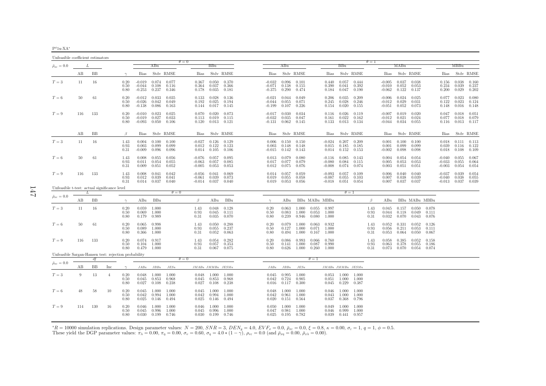| $P^{\phi}$ 1u-XA* |  |  |
|-------------------|--|--|
|-------------------|--|--|

| Unfeasible coefficient estimators                    |     |              |                |                      |                                  |                         |                         |                                  |                               |                         |                      |                                  |                         |                         |                                    |                                  |                                   |                         |                      |                                  |                         |                         |                                 |                                  |                         |                         |
|------------------------------------------------------|-----|--------------|----------------|----------------------|----------------------------------|-------------------------|-------------------------|----------------------------------|-------------------------------|-------------------------|----------------------|----------------------------------|-------------------------|-------------------------|------------------------------------|----------------------------------|-----------------------------------|-------------------------|----------------------|----------------------------------|-------------------------|-------------------------|---------------------------------|----------------------------------|-------------------------|-------------------------|
| $\bar{\rho}_{x\varepsilon} = 0.0$                    |     | L            |                |                      |                                  | ABu                     |                         | $\theta = 0$                     | BBu                           |                         |                      |                                  | ABu                     |                         |                                    |                                  | BBu                               |                         | $\theta = 1$         |                                  | MABu                    |                         |                                 |                                  | MBBu                    |                         |
|                                                      | AВ  | BB           |                | $\gamma$             | Bias                             |                         | Stdy RMSE               | Bias                             |                               | Stdy RMSE               |                      | Bias                             |                         | Stdy RMSE               |                                    | <b>Bias</b>                      |                                   | Stdy RMSE               |                      | Bias                             |                         | Stdy RMSE               |                                 | Bias                             |                         | Stdv RMSE               |
| $T=3$                                                | 11  | 16           |                | 0.20<br>0.50<br>0.80 | $-0.019$<br>$-0.044$<br>$-0.253$ | 0.074<br>0.108<br>0.237 | 0.077<br>0.116<br>0.346 | 0.367<br>0.364<br>0.178          | 0.050<br>0.037<br>0.035       | 0.370<br>0.366<br>0.181 |                      | $-0.032$<br>$-0.071$<br>-0.375   | 0.096<br>0.138<br>0.290 | 0.101<br>0.155<br>0.474 |                                    | 0.440<br>0.390<br>0.184          | 0.057<br>0.041<br>0.047           | 0.444<br>0.392<br>0.190 |                      | $-0.005$<br>$-0.010$<br>$-0.062$ | 0.037<br>0.052<br>0.122 | 0.038<br>0.053<br>0.137 |                                 | 0.156<br>0.234<br>0.200          | 0.038<br>0.039<br>0.029 | 0.160<br>0.237<br>0.202 |
| $T=6$                                                | 50  | 61           |                | 0.20<br>0.50<br>0.80 | $-0.012$<br>$-0.026$<br>$-0.138$ | 0.033<br>0.042<br>0.086 | 0.035<br>0.049<br>0.163 | 0.133<br>0.192<br>0.144          | 0.028<br>0.025<br>0.017       | 0.136<br>0.194<br>0.145 |                      | $-0.021$<br>$-0.044$<br>$-0.199$ | 0.044<br>0.055<br>0.107 | 0.049<br>0.071<br>0.226 |                                    | 0.206<br>0.245<br>0.154          | 0.035<br>0.028<br>0.020           | 0.209<br>0.246<br>0.155 |                      | $-0.006$<br>$-0.012$<br>$-0.051$ | 0.024<br>0.029<br>0.052 | 0.025<br>0.031<br>0.073 |                                 | 0.077<br>0.122<br>0.148          | 0.023<br>0.023<br>0.016 | 0.080<br>0.124<br>0.148 |
| $T=9$                                                | 116 | 133          |                | 0.20<br>0.50<br>0.80 | $-0.010$<br>$-0.019$<br>$-0.093$ | 0.023<br>0.027<br>0.050 | 0.025<br>0.033<br>0.106 | 0.070<br>0.113<br>0.120          | 0.020<br>0.019<br>0.013       | 0.073<br>0.115<br>0.121 |                      | $-0.017$<br>$-0.032$<br>$-0.131$ | 0.030<br>0.035<br>0.062 | 0.034<br>0.047<br>0.145 |                                    | 0.116<br>0.161<br>0.133          | 0.026<br>0.022<br>0.013           | 0.119<br>0.162<br>0.134 |                      | $-0.007$<br>$-0.012$<br>$-0.044$ | 0.019<br>0.021<br>0.034 | 0.020<br>0.024<br>0.055 |                                 | 0.047<br>0.077<br>0.116          | 0.018<br>0.018<br>0.013 | 0.051<br>0.079<br>0.117 |
|                                                      | AВ  | <b>BB</b>    |                | $\beta$              | <b>Bias</b>                      |                         | Stdy RMSE               | Bias                             |                               | Stdy RMSE               |                      | <b>Bias</b>                      |                         | Stdy RMSE               |                                    | <b>Bias</b>                      |                                   | Stdy RMSE               |                      | Bias                             |                         | Stdy RMSE               |                                 | <b>Bias</b>                      |                         | Stdy RMSE               |
| $T=3$                                                | 11  | 16           |                | 1.43<br>0.93<br>0.31 | 0.004<br>0.003<br>$-0.009$       | 0.100<br>0.099<br>0.096 | 0.100<br>0.099<br>0.096 | $-0.027$<br>0.012<br>0.014       | 0.126<br>0.122<br>0.105       | 0.129<br>0.123<br>0.106 |                      | 0.006<br>0.003<br>$-0.015$       | 0.150<br>0.148<br>0.142 | 0.150<br>0.148<br>0.143 |                                    | $-0.024$<br>0.015                | 0.207<br>0.185<br>$0.014$ $0.152$ | 0.209<br>0.185<br>0.153 |                      | 0.001<br>0.001<br>$-0.002$       | 0.100<br>0.099<br>0.098 | 0.100<br>0.099<br>0.098 |                                 | 0.018<br>0.039<br>0.018          | 0.111<br>0.116<br>0.108 | 0.113<br>0.122<br>0.109 |
| $T=6$                                                | 50  | 61           |                | 1.43<br>0.93<br>0.31 | 0.008<br>0.011<br>0.009          | 0.055<br>0.054<br>0.051 | 0.056<br>0.055<br>0.052 | $-0.076$<br>$-0.063$<br>$-0.005$ | 0.057<br>0.057<br>0.053       | 0.095<br>0.085<br>0.053 |                      | 0.013<br>0.017<br>0.012          | 0.079<br>0.077<br>0.075 | 0.080<br>0.079<br>0.076 |                                    | $-0.116$<br>$-0.080$<br>$-0.008$ | 0.085<br>0.084<br>0.074           | 0.143<br>0.115<br>0.074 |                      | 0.004<br>0.005<br>0.003          | 0.054<br>0.053<br>0.051 | 0.054<br>0.053<br>0.051 |                                 | $-0.040$<br>$-0.033$<br>$-0.003$ | 0.055<br>0.055<br>0.054 | 0.067<br>0.064<br>0.054 |
| $T=9$                                                | 116 | 133          |                | 1.43<br>0.93<br>0.31 | 0.008<br>0.012<br>0.014          | 0.041<br>0.039<br>0.037 | 0.042<br>0.041<br>0.040 | $-0.056$<br>$-0.061$<br>$-0.014$ | 0.041<br>0.039<br>0.037       | 0.069<br>0.073<br>0.040 |                      | 0.014<br>0.019<br>0.019          | 0.057<br>0.055<br>0.053 | 0.059<br>0.058<br>0.056 |                                    | $-0.093$<br>$-0.087$<br>$-0.018$ | 0.057<br>0.055<br>0.051           | 0.109<br>0.103<br>0.054 |                      | 0.006<br>0.007<br>0.007          | 0.040<br>0.038<br>0.037 | 0.040<br>0.039<br>0.037 |                                 | $-0.037$<br>$-0.040$<br>$-0.013$ | 0.039<br>0.038<br>0.037 | 0.054<br>0.055<br>0.039 |
| Unfeasible t-test: actual significance level         |     | $\mathbf{L}$ |                |                      |                                  |                         | $\theta = 0$            |                                  |                               |                         |                      |                                  |                         |                         |                                    |                                  | $\theta = 1$                      |                         |                      |                                  |                         |                         |                                 |                                  |                         |                         |
| $\bar{\rho}_{x\varepsilon}=0.0$                      | AВ  | BB           |                | $\gamma$             | ABu                              | BBu                     |                         | $\beta$                          | ABu                           | BBu                     | $\gamma$             |                                  | ABu                     |                         | BBu MABu MBBu                      |                                  |                                   |                         | ß                    | ABu                              |                         | BBu MABu MBBu           |                                 |                                  |                         |                         |
| $T=3$                                                | 11  | 16           |                | 0.20<br>0.50<br>0.80 | 0.059<br>0.069<br>0.179          | 1.000<br>1.000<br>0.989 |                         | 1.43<br>0.93<br>0.31             | 0.048<br>0.045<br>0.035       | 0.128<br>0.111<br>0.070 | 0.20<br>0.50<br>0.80 |                                  | 0.063<br>0.083<br>0.239 | 1.000<br>0.946          | $1.000 \t 0.055$<br>0.053<br>0.080 | 0.997<br>1.000<br>1.000          |                                   |                         | 1.43<br>0.93<br>0.31 | 0.045<br>0.044<br>0.032          | 0.157<br>0.118<br>0.070 | 0.049<br>0.043          | $0.050$ 0.078<br>0.111<br>0.076 |                                  |                         |                         |
| $T=6$                                                | 50  | 61           |                | 0.20<br>0.50<br>0.80 | 0.065<br>0.089<br>0.366          | 0.998<br>1.000<br>1.000 |                         | 1.43<br>0.93<br>0.31             | 0.050<br>0.055<br>0.052       | 0.288<br>0.237<br>0.063 | 0.20<br>0.50<br>0.80 |                                  | 0.079<br>0.127<br>0.494 | 1.000<br>1.000<br>1.000 | 0.063<br>0.071<br>0.167            | 0.932<br>1.000<br>1.000          |                                   |                         | 1.43<br>0.93<br>0.31 | 0.052<br>0.056<br>0.053          | 0.331<br>0.211<br>0.064 | 0.052<br>0.053<br>0.050 | 0.126<br>0.111<br>0.067         |                                  |                         |                         |
| $T=9$                                                | 116 | 133          |                | 0.20<br>0.50<br>0.80 | 0.074<br>0.104<br>0.479          | 0.917<br>1.000<br>1.000 |                         | 1.43<br>0.93<br>0.31             | 0.054<br>0.057<br>0.067       | 0.282<br>0.353<br>0.075 | 0.20<br>0.50<br>0.80 |                                  | 0.086<br>0.141<br>0.626 | 0.993<br>1.000<br>1.000 | 0.066<br>0.087<br>0.260            | 0.760<br>0.990<br>1.000          |                                   |                         | 1.43<br>0.93<br>0.31 | 0.058<br>0.063<br>0.073          | 0.385<br>0.378<br>0.070 | 0.052<br>0.055<br>0.054 | 0.158<br>0.186<br>0.074         |                                  |                         |                         |
| Unfeasible Sargan-Hansen test: rejection probability |     | df           |                |                      |                                  |                         |                         | $\theta = 0$                     |                               |                         |                      |                                  |                         |                         | $\theta = 1$                       |                                  |                                   |                         |                      |                                  |                         |                         |                                 |                                  |                         |                         |
| $\bar{\rho}_{x\varepsilon}=0.0$                      | АB  | BB           | Inc            | $\gamma$             | JABu                             | $JBBu$                  | JESu                    |                                  | $JMABu\quad JMMBu\quad JESMu$ |                         |                      | JABu                             | $JBBu$                  | $JESu$                  |                                    | $JMABu\quad JMMBu\quad JESMu$    |                                   |                         |                      |                                  |                         |                         |                                 |                                  |                         |                         |
| $T=3$                                                | 9   | 13           | $\overline{4}$ | 0.20<br>0.50<br>0.80 | 0.048<br>0.045<br>0.027          | 1.000<br>0.853<br>0.108 | 1.000<br>0.968<br>0.238 | 0.048<br>0.045<br>0.027          | 1.000<br>0.853<br>0.108       | 1.000<br>0.968<br>0.238 |                      | 0.045<br>0.042<br>0.016          | 0.995<br>0.724<br>0.117 | 1.000<br>0.905<br>0.300 |                                    | 0.051<br>0.045                   | $0.053$ 1.000<br>1.000<br>0.229   | 1.000<br>1.000<br>0.387 |                      |                                  |                         |                         |                                 |                                  |                         |                         |
| $T=6$                                                | 48  | 58           | 10             | 0.20<br>0.50<br>0.80 | 0.045<br>0.042<br>0.025          | 1.000<br>0.994<br>0.146 | 1.000<br>1.000<br>0.494 | 0.045<br>0.042<br>0.025          | 1.000<br>0.994<br>0.146       | 1.000<br>1.000<br>0.494 |                      | 0.048<br>0.042<br>0.020          | 1.000<br>0.961<br>0.151 | 1.000<br>1.000<br>0.564 |                                    | 0.046<br>0.043<br>0.037          | 1.000<br>1.000<br>0.368           | 1.000<br>1.000<br>0.796 |                      |                                  |                         |                         |                                 |                                  |                         |                         |
| $T=9$                                                | 114 | 130          | 16             | 0.20<br>0.50<br>0.80 | 0.046<br>0.045<br>0.030          | 1.000<br>0.996<br>0.199 | 1.000<br>1.000<br>0.746 | 0.046<br>0.045<br>0.030          | 1.000<br>0.996<br>0.199 0.746 | 1.000<br>1.000          |                      | 0.050<br>0.047<br>0.025          | 1.000<br>0.981<br>0.195 | 1.000<br>1.000<br>0.782 |                                    | 0.049<br>0.046                   | 1.000<br>0.999<br>$0.039$ $0.441$ | 1.000<br>1.000<br>0.957 |                      |                                  |                         |                         |                                 |                                  |                         |                         |

 ${}^*R = 10000$  simulation replications. Design parameter values:  $N = 200$ ,  $SNR = 3$ ,  $DEN_y = 4.0$ ,  $EVF_x = 0.0$ ,  $\bar{\rho}_{xc} = 0.0$ ,  $\xi = 0.8$ ,  $\kappa = 0.00$ ,  $\sigma_{\varepsilon} = 1$ ,  $q = 1$ ,  $\phi = 0.5$ .<br>These yield the DGP parameter values:  $\pi$ 

 $147\,$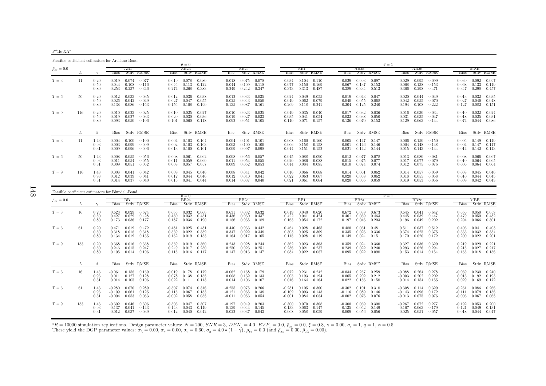$P^{\phi}1$ fc-XA\*

Feasible coefficient estimators for Arellano-Bond

| т самые соспиские сминаемы пог тиспано-понц |     |                      |                                  |                                                    |                                  | $\theta = 0$            |                         |                                  |                         |                         |                                  |                            |                         |                                   |                                  |                         |                         | $\theta = 1$                     |                         |                         |                                  |                         |                                             |
|---------------------------------------------|-----|----------------------|----------------------------------|----------------------------------------------------|----------------------------------|-------------------------|-------------------------|----------------------------------|-------------------------|-------------------------|----------------------------------|----------------------------|-------------------------|-----------------------------------|----------------------------------|-------------------------|-------------------------|----------------------------------|-------------------------|-------------------------|----------------------------------|-------------------------|---------------------------------------------|
| $\bar{\rho}_{x\varepsilon}=0.0$             |     |                      |                                  | ABI                                                |                                  | AB2a                    |                         |                                  | AB2c                    |                         |                                  |                            | ABI                     |                                   |                                  | AB2a                    |                         |                                  | AB2c                    |                         |                                  | МАВ                     |                                             |
|                                             |     |                      | Bias                             | Stdy RMSE                                          | Bias                             |                         | Stdy RMSE               | <b>Bias</b>                      |                         | Stdy RMSE               |                                  | <b>Bias</b>                |                         | Stdy RMSE                         | <b>Bias</b>                      |                         | Stdy RMSE               | <b>Bias</b>                      |                         | Stdy RMSE               | <b>Bias</b>                      |                         | Stdy RMSE                                   |
| $T=3$                                       | 11  | 0.20<br>0.50<br>0.80 | $-0.019$<br>$-0.044$<br>$-0.253$ | 0.077<br>0.074<br>0.108<br>0.116<br>0.237<br>0.346 | $-0.019$<br>$-0.046$<br>$-0.274$ | 0.078<br>0.113<br>0.268 | 0.080<br>0.122<br>0.383 | $-0.018$<br>$-0.044$<br>$-0.249$ | 0.075<br>0.109<br>0.242 | 0.078<br>0.118<br>0.347 | $-0.034$<br>$-0.077$<br>$-0.373$ |                            | 0.104<br>0.150<br>0.313 | 0.110<br>0.169<br>0.487           | $-0.029$<br>$-0.067$<br>$-0.389$ | 0.093<br>0.137<br>0.334 | 0.097<br>0.153<br>0.513 | $-0.029$<br>$-0.068$<br>$-0.366$ | 0.095<br>0.138<br>0.298 | 0.099<br>0.153<br>0.471 | $-0.030$<br>$-0.068$<br>$-0.347$ | 0.092<br>0.133<br>0.298 | 0.097<br>0.149<br>0.457                     |
| $T=6$                                       | 50  | 0.20<br>0.50<br>0.80 | $-0.012$<br>$-0.026$<br>$-0.138$ | 0.033<br>0.035<br>0.042<br>0.049<br>0.086<br>0.163 | $-0.012$<br>$-0.027$<br>$-0.156$ | 0.036<br>0.047<br>0.108 | 0.038<br>0.055<br>0.190 | $-0.012$<br>$-0.025$<br>$-0.135$ | 0.033<br>0.043<br>0.087 | 0.035<br>0.050<br>0.161 | $-0.024$<br>$-0.209$             | $-0.049$                   | 0.049<br>0.062<br>0.118 | 0.055<br>0.079<br>0.241           | $-0.019$<br>$-0.040$<br>$-0.204$ | 0.043<br>0.055<br>0.125 | 0.047<br>0.068<br>0.240 | $-0.020$<br>$-0.042$<br>$-0.194$ | 0.044<br>0.055<br>0.108 | 0.049<br>0.070<br>0.222 | $-0.013$<br>$-0.027$<br>$-0.127$ | 0.032<br>0.040<br>0.082 | 0.035<br>0.048<br>0.151                     |
| $T=9$                                       | 116 | 0.20<br>0.50<br>0.80 | $-0.010$<br>$-0.019$<br>$-0.093$ | 0.023<br>0.025<br>0.027<br>0.033<br>0.050<br>0.106 | $-0.010$<br>$-0.020$<br>$-0.101$ | 0.025<br>0.030<br>0.060 | 0.027<br>0.036<br>0.118 | $-0.010$<br>$-0.019$<br>$-0.092$ | 0.023<br>0.027<br>0.051 | 0.025<br>0.033<br>0.105 | $-0.019$<br>$-0.035$<br>$-0.140$ |                            | 0.035<br>0.041<br>0.071 | 0.040<br>0.054<br>0.157           | $-0.017$<br>$-0.032$<br>$-0.136$ | 0.032<br>0.038<br>0.070 | 0.036<br>0.050<br>0.153 | $-0.016$<br>$-0.031$<br>$-0.129$ | 0.030<br>0.035<br>0.063 | 0.034<br>0.047<br>0.144 | $-0.010$<br>$-0.018$<br>$-0.074$ | 0.022<br>0.025<br>0.044 | 0.024<br>0.031<br>0.086                     |
|                                             | L   | $\beta$              | Bias                             | Stdy RMSE                                          |                                  |                         | Bias Stdy RMSE          |                                  |                         | Bias Stdv RMSE          |                                  |                            |                         | Bias Stdv RMSE                    |                                  |                         | Bias Stdy RMSE          |                                  |                         | Bias Stdv RMSE          | Bias                             |                         | Stdy RMSE                                   |
| $T=3$                                       | 11  | 1.43<br>0.93<br>0.31 | 0.004<br>0.003<br>$-0.009$       | 0.100<br>0.100<br>0.099<br>0.099<br>0.096<br>0.096 | 0.004<br>0.002<br>$-0.013$       | 0.103<br>0.103<br>0.100 | 0.104<br>0.103<br>0.101 | 0.004<br>0.003<br>$-0.009$       | 0.101<br>0.100<br>0.097 | 0.101<br>0.100<br>0.098 |                                  | 0.008<br>0.006<br>$-0.014$ | 0.158<br>0.151          | $0.160$ $0.160$<br>0.158<br>0.152 | 0.005<br>0.001<br>$-0.021$       | 0.147<br>0.146<br>0.142 | 0.147<br>0.146<br>0.144 | 0.006<br>0.004<br>$-0.015$       | 0.150<br>0.148<br>0.143 | 0.150<br>0.148<br>0.144 | 0.006<br>0.004<br>$-0.014$       | 0.147                   | $0.149$ $0.149$<br>0.147<br>$0.142$ $0.143$ |
| $T=6$                                       | 50  | 1.43<br>0.93<br>0.31 | 0.008<br>0.011<br>0.009          | 0.055<br>0.056<br>0.054<br>0.055<br>0.051<br>0.052 | 0.008<br>0.011<br>0.008          | 0.061<br>0.059<br>0.057 | 0.062<br>0.060<br>0.057 | 0.008<br>0.011<br>0.009          | 0.056<br>0.054<br>0.052 | 0.057<br>0.055<br>0.053 |                                  | 0.015<br>0.020<br>0.014    | 0.088<br>0.086<br>0.084 | 0.090<br>0.088<br>0.085           | 0.012<br>0.015<br>0.010          | 0.077<br>0.075<br>0.074 | 0.078<br>0.077<br>0.074 | 0.013<br>0.017<br>0.012          | 0.080<br>0.077<br>0.075 | 0.081<br>0.079<br>0.076 | 0.008<br>0.010<br>0.006          | 0.066<br>0.064<br>0.064 | 0.067<br>0.065<br>0.064                     |
| $T=9$                                       | 116 | 1.43<br>0.93<br>0.31 | 0.008<br>0.012<br>0.014          | 0.041<br>0.042<br>0.039<br>0.041<br>0.037<br>0.040 | 0.009<br>0.012<br>0.015          | 0.045<br>0.044<br>0.041 | 0.046<br>0.046<br>0.044 | 0.008<br>0.012<br>0.014          | 0.041<br>0.040<br>0.037 | 0.042<br>0.041<br>0.040 |                                  | 0.016<br>0.022<br>0.021    | 0.066<br>0.063<br>0.061 | 0.068<br>0.067<br>0.064           | 0.014<br>0.020<br>0.020          | 0.061<br>0.058<br>0.056 | 0.062<br>0.062<br>0.059 | 0.014<br>0.018<br>0.019          | 0.057<br>0.055<br>0.053 | 0.059<br>0.058<br>0.056 | 0.008<br>0.010<br>0.009          | 0.045<br>0.044<br>0.042 | 0.046<br>0.045<br>0.043                     |

| Feasible coefficient estimators for Blundell-Bond |     |                      |                                  |                         |                         |                                  |                         |                         |                                  |                         |                         |                                  |                         |                         |                                  |                         |                         |                                  |                         |                         |                                  |                         |                         |
|---------------------------------------------------|-----|----------------------|----------------------------------|-------------------------|-------------------------|----------------------------------|-------------------------|-------------------------|----------------------------------|-------------------------|-------------------------|----------------------------------|-------------------------|-------------------------|----------------------------------|-------------------------|-------------------------|----------------------------------|-------------------------|-------------------------|----------------------------------|-------------------------|-------------------------|
|                                                   |     |                      |                                  |                         |                         |                                  | $\theta = 0$            |                         |                                  |                         |                         |                                  |                         |                         |                                  |                         |                         | $\theta = 1$                     |                         |                         |                                  |                         |                         |
| $\bar{\rho}_{x\varepsilon} = 0.0$                 |     |                      |                                  | BB1                     |                         |                                  | BB2a                    |                         |                                  | BB2c                    |                         |                                  | BBI                     |                         |                                  | BB2a                    |                         |                                  | BB2c                    |                         |                                  | МВВ                     |                         |
|                                                   |     |                      | <b>Bias</b>                      |                         | Stdy RMSE               | <b>Bias</b>                      |                         | Stdy RMSE               | <b>Bias</b>                      |                         | Stdy RMSE               | <b>Bias</b>                      |                         | Stdy RMSE               | <b>Bias</b>                      |                         | Stdy RMSE               | <b>Bias</b>                      |                         | Stdy RMSE               | <b>Bias</b>                      |                         | Stdy RMSE               |
| $T=3$                                             | 16  | 0.20<br>0.50<br>0.80 | 0.623<br>0.427<br>0.173          | 0.029<br>0.029<br>0.036 | 0.624<br>0.428<br>0.177 | 0.665<br>0.450<br>0.187          | 0.032<br>0.032<br>0.036 | 0.666<br>0.451<br>0.190 | 0.631<br>0.436<br>0.186          | 0.032<br>0.030<br>0.035 | 0.632<br>0.437<br>0.189 | 0.619<br>0.422<br>0.163          | 0.040<br>0.041<br>0.054 | 0.620<br>0.424<br>0.172 | 0.672<br>0.461<br>0.197          | 0.039<br>0.039<br>0.046 | 0.673<br>0.463<br>0.203 | 0.645<br>0.445<br>0.196          | 0.041<br>0.039<br>0.049 | 0.647<br>0.447<br>0.202 | 0.656<br>0.479<br>0.294          | 0.050<br>0.050<br>0.066 | 0.658<br>0.482<br>0.301 |
| $T=6$                                             | 61  | 0.20<br>0.50<br>0.80 | 0.471<br>0.318<br>0.134          | 0.019<br>0.018<br>0.019 | 0.472<br>0.318<br>0.135 | 0.481<br>0.339<br>0.152          | 0.025<br>0.022<br>0.019 | 0.481<br>0.339<br>0.153 | 0.440<br>0.347<br>0.164          | 0.033<br>0.022<br>0.017 | 0.442<br>0.348<br>0.165 | 0.464<br>0.308<br>0.115          | 0.028<br>0.025<br>0.028 | 0.465<br>0.309<br>0.119 | 0.480<br>0.335<br>0.149          | 0.031<br>0.026<br>0.024 | 0.481<br>0.336<br>0.151 | 0.511<br>0.374<br>0.170          | 0.037<br>0.025<br>0.020 | 0.512<br>0.375<br>0.172 | 0.406<br>0.333<br>0.200          | 0.041<br>0.032<br>0.022 | 0.408<br>0.334<br>0.201 |
| $T=9$                                             | 133 | 0.20<br>0.50<br>0.80 | 0.368<br>0.246<br>0.105          | 0.016<br>0.015<br>0.014 | 0.368<br>0.247<br>0.106 | 0.359<br>0.249<br>0.115          | 0.019<br>0.017<br>0.016 | 0.360<br>0.250<br>0.117 | 0.243<br>0.250<br>0.147          | 0.028<br>0.023<br>0.013 | 0.244<br>0.251<br>0.147 | 0.362<br>0.236<br>0.084          | 0.023<br>0.021<br>0.022 | 0.363<br>0.237<br>0.087 | 0.359<br>0.239<br>0.095          | 0.024<br>0.022<br>0.022 | 0.360<br>0.240<br>0.098 | 0.327<br>0.293<br>0.153          | 0.036<br>0.026<br>0.014 | 0.329<br>0.294<br>0.154 | 0.219<br>0.215<br>0.155          | 0.029<br>0.027<br>0.018 | 0.221<br>0.217<br>0.156 |
|                                                   |     | $\beta$              | Bias                             |                         | Stdy RMSE               | Bias                             |                         | Stdv RMSE               | Bias                             |                         | Stdy RMSE               | Bias                             |                         | Stdy RMSE               | <b>Bias</b>                      |                         | Stdy RMSE               |                                  |                         | Bias Stdv RMSE          | Bias                             |                         | Stdy RMSE               |
| $T=3$                                             | 16  | 1.43<br>0.93<br>0.31 | $-0.061$<br>0.011<br>0.014       | 0.158<br>0.127<br>0.105 | 0.169<br>0.128<br>0.106 | $-0.019$<br>0.078<br>0.022       | 0.178<br>0.138<br>0.111 | 0.179<br>0.158<br>0.113 | $-0.062$<br>0.008<br>0.014       | 0.168<br>0.132<br>0.106 | 0.179<br>0.133<br>0.107 | -0.072<br>0.005<br>0.016         | 0.231<br>0.193<br>0.164 | 0.242<br>0.194<br>0.164 | $-0.034$<br>0.065<br>0.022       | 0.257<br>0.202<br>0.156 | 0.259<br>0.212<br>0.158 | $-0.088$<br>$-0.003$<br>0.014    | 0.264<br>0.202<br>0.154 | 0.278<br>0.202<br>0.155 | $-0.069$<br>0.013<br>0.029       | 0.230<br>0.192<br>0.169 | 0.240<br>0.193<br>0.172 |
| $T=6$                                             | 61  | 1.43<br>0.93<br>0.31 | $-0.280$<br>$-0.109$<br>$-0.004$ | 0.070<br>0.061<br>0.053 | 0.289<br>0.125<br>0.053 | $-0.307$<br>$-0.115$<br>$-0.002$ | 0.074<br>0.067<br>0.058 | 0.316<br>0.133<br>0.058 | $-0.255$<br>$-0.121$<br>$-0.011$ | 0.075<br>0.065<br>0.053 | 0.266<br>0.138<br>0.054 | $-0.281$<br>$-0.109$<br>$-0.001$ | 0.105<br>0.093<br>0.084 | 0.300<br>0.143<br>0.084 | $-0.302$<br>$-0.116$<br>$-0.002$ | 0.101<br>0.089<br>0.076 | 0.318<br>0.146<br>0.076 | $-0.308$<br>$-0.143$<br>$-0.013$ | 0.114<br>0.096<br>0.075 | 0.329<br>0.172<br>0.076 | $-0.251$<br>$-0.111$<br>$-0.006$ | 0.086<br>0.079<br>0.067 | 0.266<br>0.136<br>0.068 |
| $T=9$                                             | 133 | 1.43<br>0.93<br>0.31 | $-0.302$<br>$-0.137$<br>$-0.012$ | 0.046<br>0.041<br>0.037 | 0.306<br>0.143<br>0.039 | $-0.303$<br>$-0.143$<br>$-0.012$ | 0.047<br>0.043<br>0.040 | 0.307<br>0.149<br>0.042 | -0.197<br>$-0.139$<br>$-0.022$   | 0.049<br>0.044<br>0.037 | 0.203<br>0.145<br>0.043 | $-0.300$<br>$-0.133$<br>$-0.008$ | 0.070<br>0.063<br>0.058 | 0.308<br>0.147<br>0.059 | $-0.300$<br>$-0.135$<br>$-0.009$ | 0.069<br>0.062<br>0.056 | 0.308<br>0.149<br>0.056 | $-0.267$<br>$-0.167$<br>$-0.025$ | 0.072<br>0.063<br>0.051 | 0.277<br>0.179<br>0.057 | $-0.192$<br>$-0.121$<br>$-0.018$ | 0.053<br>0.049<br>0.044 | 0.200<br>0.131<br>0.047 |

 ${}^*R = 10000$  simulation replications. Design parameter values:  $N = 200$ ,  $SNR = 3$ ,  $DEN_y = 4.0$ ,  $EVF_x = 0.0$ ,  $\bar{\rho}_{xc} = 0.0$ ,  $\xi = 0.8$ ,  $\kappa = 0.00$ ,  $\sigma_{\varepsilon} = 1$ ,  $q = 1$ ,  $\phi = 0.5$ .<br>These yield the DGP parameter values:  $\pi$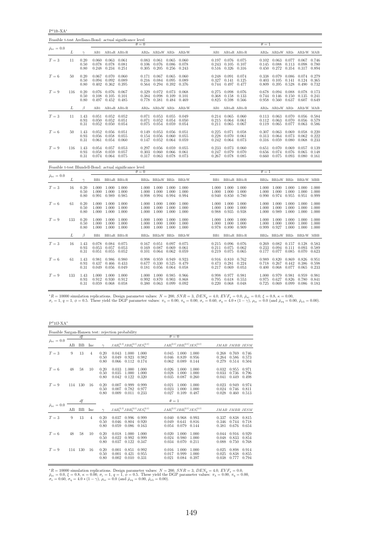$P^{\phi}$ 1ft-XA\*

| Feasible t-test Arellano-Bond: actual significance level |     |                      |                |                                                             |                |                         |                                                         |                         |                         |                |                                                                               |       |                         |                                                                             |                         |                                             |                         |
|----------------------------------------------------------|-----|----------------------|----------------|-------------------------------------------------------------|----------------|-------------------------|---------------------------------------------------------|-------------------------|-------------------------|----------------|-------------------------------------------------------------------------------|-------|-------------------------|-----------------------------------------------------------------------------|-------------------------|---------------------------------------------|-------------------------|
| $\bar{\rho}_{x\varepsilon} = 0.0$                        |     |                      |                |                                                             |                | $\theta = 0$            |                                                         |                         |                         |                |                                                                               |       | $\theta=1$              |                                                                             |                         |                                             |                         |
|                                                          | L   | $\gamma$             |                | AB1 AB1aR AB1cR                                             |                |                         |                                                         |                         | AB2a AB2aW AB2c AB2cW   |                | AB1 AB1aR AB1cR                                                               |       |                         | AB2a AB2aW AB2c AB2cW MAB                                                   |                         |                                             |                         |
| $T=3$                                                    | 11  | 0.20<br>0.50<br>0.80 | 0.078<br>0.248 | $0.060$ $0.063$ $0.061$<br>0.078<br>$0.234$ $0.251$         | 0.081          | 0.083<br>0.106<br>0.305 | $0.061$ $0.065$ $0.060$<br>0.076<br>0.205               | 0.086<br>0.256          | 0.078<br>0.243          |                | 0.197 0.076 0.075<br>$0.243$ $0.105$<br>0.516 0.326 0.316                     | 0.107 | 0.102<br>0.145<br>0.450 | 0.063<br>0.088<br>0.272                                                     | 0.077<br>0.113          | $0.067$ 0.746<br>0.098<br>0.354 0.317 0.894 | 0.780                   |
| $T=6$                                                    | 50  | 0.20<br>0.50<br>0.80 | 0.402          | $0.067$ $0.070$ $0.060$<br>$0.094$ 0.092<br>0.362           | 0.089<br>0.395 | 0.171<br>0.216<br>0.564 | 0.067<br>0.084<br>0.294                                 | 0.065<br>0.095<br>0.392 | 0.060<br>0.089<br>0.376 |                | 0.248 0.091 0.074<br>$0.327$ $0.141$ $0.125$<br>0.744 0.497                   | 0.477 | 0.338<br>0.403<br>0.809 | 0.079<br>0.105<br>0.395                                                     | 0.086<br>0.141<br>0.528 | 0.074 0.279<br>$0.124$ $0.365$<br>0.490     | 0.732                   |
| $T=9$                                                    | 116 | 0.20<br>0.50<br>0.80 | 0.108          | 0.076 0.076 0.067<br>0.105<br>0.497 0.452 0.485             | 0.101          | 0.329<br>0.384<br>0.778 | 0.072 0.073<br>0.098<br>0.381 0.484 0.469               | 0.109                   | 0.068<br>0.101          | 0.368<br>0.825 | 0.275 0.098 0.076<br>0.158<br>0.598 0.566                                     | 0.133 | 0.678<br>0.744<br>0.958 | 0.094<br>0.146<br>0.560                                                     | 0.088<br>0.150<br>0.637 | $0.078$ 0.173<br>0.135<br>$0.607$ 0.649     | 0.241                   |
|                                                          | L   | $\beta$              | AB1            |                                                             | AB1aR AB1cR    |                         |                                                         |                         | AB2a AB2aW AB2c AB2cW   | AB1            | AB1aR AB1cR                                                                   |       |                         | AB2a AB2aW AB2c AB2cW MAB                                                   |                         |                                             |                         |
| $T=3$                                                    | 11  | 1.43<br>0.93<br>0.31 |                | $0.051$ $0.052$ $0.052$<br>$0.050$ $0.052$<br>$0.052$ 0.050 | 0.051<br>0.054 | 0.071<br>0.075          | $0.071$ $0.053$ $0.055$ $0.049$<br>0.052 0.054<br>0.054 | 0.059                   | 0.050<br>0.054          |                | $0.214$ $0.065$ $0.060$<br>$0.215$ $0.064$ $0.061$<br>$0.211$ $0.065$ $0.067$ |       | 0.112<br>0.119          | 0.113 0.063 0.070 0.056 0.584<br>0.063<br>0.065                             | 0.070<br>0.077          | 0.056 0.579<br>$0.063$ 0.586                |                         |
| $T=6$                                                    | 50  | 1.43<br>0.93<br>0.31 | 0.056<br>0.061 | $0.052$ $0.056$ $0.051$<br>0.058<br>$0.054$ 0.060           | 0.055          | 0.149<br>0.154<br>0.147 | $0.053$ 0.056<br>0.056<br>0.052 0.064                   | 0.060                   | 0.051<br>0.055<br>0.059 | 0.228          | $0.225$ $0.071$ $0.058$<br>0.070<br>$0.242$ $0.064$ $0.073$                   | 0.061 | 0.313                   | $0.307$ 0.063<br>0.064<br>0.316 0.059                                       | 0.069<br>0.073<br>0.080 | $0.058$ 0.220<br>0.062<br>0.068 0.233       | 0.222                   |
| $T=9$                                                    | 116 | 1.43<br>0.93<br>0.31 | 0.058          | $0.054$ $0.057$ $0.053$<br>0.059<br>0.074 0.064 0.075       | 0.057          | 0.297<br>0.303          | 0.056 0.059<br>0.060<br>0.317 0.063 0.078               | 0.066                   | 0.055<br>0.061<br>0.073 |                | 0.233 0.073 0.060<br>0.247 0.079<br>0.267 0.078 0.085                         | 0.070 | 0.651<br>0.656<br>0.660 | 0.070<br>0.074<br>0.075                                                     | 0.069<br>0.076<br>0.093 | 0.057<br>0.065<br>0.080                     | 0.139<br>0.148<br>0.161 |
| Feasible t-test Blundell-Bond: actual significance level |     |                      |                |                                                             |                | $\theta = 0$            |                                                         |                         |                         |                |                                                                               |       | $\theta=1$              |                                                                             |                         |                                             |                         |
| $\bar{\rho}_{x\varepsilon} = 0.0$                        | L   | $\gamma$             |                | BB1 BB1aR BB1cR                                             |                |                         |                                                         |                         | BB2a BB2aW BB2c BB2cW   |                | BB1 BB1aR BB1cR                                                               |       |                         | BB2a BB2aW BB2c BB2cW MBB                                                   |                         |                                             |                         |
| $T=3$                                                    | 16  | 0.20<br>0.50<br>0.80 |                | 1.000 1.000 1.000<br>1.000 1.000 1.000<br>0.991 0.989 0.985 |                | 1.000<br>0.998          | 1.000 1.000 1.000 1.000<br>1.000<br>0.994 0.994         | 1.000                   | 1.000<br>0.994          |                | 1.000 1.000 1.000<br>1.000 1.000<br>0.940 0.850 0.780                         | 1.000 | 1.000                   | 1.000 1.000 1.000 1.000 1.000<br>1.000<br>0.990 0.974 0.955                 | 1.000                   | 1.000 1.000<br>0.951 0.999                  |                         |
| $T=6$                                                    | 61  | 0.20<br>0.50<br>0.80 |                | 1.000 1.000 1.000<br>1.000 1.000 1.000<br>1.000 1.000 1.000 |                | 1.000<br>1.000          | 1.000 1.000 1.000 1.000<br>1.000<br>1.000 1.000         | 1.000                   | 1.000<br>1.000          | 0.988          | 1.000 1.000 1.000<br>1.000 1.000 1.000<br>0.935                               | 0.938 | 1.000<br>1.000<br>1.000 | 1.000 1.000 1.000 1.000<br>1.000<br>0.989                                   | 1.000<br>1.000          | 1.000 1.000<br>1.000 1.000                  |                         |
| $T=9$                                                    | 133 | 0.20<br>0.50<br>0.80 |                | 1.000 1.000 1.000<br>1.000 1.000 1.000<br>1.000 1.000 1.000 |                | 1.000<br>1.000          | 1.000 1.000 1.000<br>1.000<br>1.000 1.000 1.000 1.000   | 1.000                   | 1.000                   | 1.000          | 1.000 1.000 1.000<br>1.000<br>0.978 0.890 0.909                               | 1.000 | 1.000<br>1.000          | 1.000 1.000 1.000 1.000<br>1.000<br>$0.999$ $0.927$ $1.000$ $1.000$ $1.000$ | 1.000                   | 1.000 1.000                                 |                         |
|                                                          | L   | $\beta$              | BB1            | BB1aR BB1cR                                                 |                |                         |                                                         |                         | BB2a BB2aW BB2c BB2cW   | BB1            | BB1aR BB1cR                                                                   |       |                         | BB2a BB2aW BB2c                                                             |                         | BB2cW MBB                                   |                         |
| $T=3$                                                    | 16  | 1.43<br>0.93<br>0.31 | 0.053          | 0.078 0.084 0.075<br>0.057<br>$0.051$ $0.055$               | 0.053<br>0.052 | 0.169<br>0.101          | $0.167$ $0.051$ $0.097$ $0.075$<br>0.087<br>0.064 0.062 | 0.069                   | 0.061<br>0.059          |                | 0.215 0.096 0.076<br>$0.211$ $0.075$<br>$0.219$ $0.075$ $0.065$               | 0.062 | 0.269<br>0.233<br>0.177 | $0.082$ $0.157$ $0.128$ $0.583$<br>0.094<br>0.077                           | 0.111<br>0.085          | 0.093<br>$0.070$ $0.623$                    | 0.589                   |
| $T=6$                                                    | 61  | 1.43<br>0.93<br>0.31 | 0.981<br>0.437 | 0.986<br>0.466<br>$0.049$ $0.056$ $0.049$                   | 0.980<br>0.433 | 0.998<br>0.677<br>0.181 | 0.959 0.949<br>0.330<br>0.056 0.064                     | 0.525                   | 0.923<br>0.479<br>0.058 | 0.473          | 0.916 0.810 0.762<br>0.281<br>$0.217$ $0.069$ $0.053$                         | 0.224 | 0.989<br>0.718<br>0.400 | 0.820<br>0.267<br>0.068                                                     | 0.869<br>0.442<br>0.077 | 0.826<br>0.386<br>$0.065$ 0.233             | 0.951<br>0.598          |
| $T=9$                                                    | 133 | 1.43<br>0.93<br>0.31 | 1.000<br>0.912 | 1.000<br>0.930 0.912<br>$0.059$ $0.068$ $0.058$             | 1.000          | 1.000<br>0.992          | 1.000<br>0.870<br>0.380 0.063 0.099                     | 0.985<br>0.903          | 0.966<br>0.868<br>0.092 | 0.998          | 0.977<br>0.795 0.618 0.553<br>0.220 0.068 0.048                               | 0.981 | 1.000<br>0.975          | 0.979<br>0.627<br>$0.725$ 0.069                                             | 0.981<br>0.826<br>0.099 | 0.959<br>0.780<br>$0.086$ $0.183$           | 0.981<br>0.841          |

 ${}^{*}R = 10000$  simulation replications. Design parameter values:  $N = 200$ ,  $SNR = 3$ ,  $DEN_y = 4.0$ ,  $EVF_x = 0.0$ ,  $\bar{p}_{x\xi} = 0.0$ ,  $\xi = 0.8$ ,  $\kappa = 0.00$ ,<br> $\sigma_x = 1$ ,  $q = 1$ ,  $\phi = 0.5$ . These yield the DGP parameter values:  $\pi_{\$ 

| $P^{\phi}$ 1f.J-XA*             |     |     |     |                      |                                                    |                         |                         |                         |                                           |                         |                         |                         |
|---------------------------------|-----|-----|-----|----------------------|----------------------------------------------------|-------------------------|-------------------------|-------------------------|-------------------------------------------|-------------------------|-------------------------|-------------------------|
|                                 |     |     |     |                      | Feasible Sargan-Hansen test: rejection probability |                         |                         |                         |                                           |                         |                         |                         |
|                                 |     | df  |     |                      |                                                    |                         | $\theta = 0$            |                         |                                           |                         |                         |                         |
| $\bar{\rho}_{x\varepsilon}=0.0$ | AB  | BB  | Inc | $\gamma$             | $JAB_a^{(2,1)}JBB_a^{(2,1)}JES_a^{(2,1)}$          |                         |                         |                         | $JAB_c^{(2,1)}JBB_c^{(2,1)}JES_c^{(2,1)}$ |                         | JMAB JMBB JESM          |                         |
| $T=3$                           | 9   | 13  | 4   | 0.20<br>0.50<br>0.80 | 0.043<br>1.000<br>0.049<br>0.923<br>0.066<br>0.112 | 1.000<br>0.982<br>0.174 | 0.045<br>0.046<br>0.062 | 1.000<br>0.839<br>0.089 | 1.000<br>0.956<br>0.144                   | 0.268<br>0.264<br>0.279 | 0.769<br>0.586<br>0.514 | 0.746<br>0.573<br>0.504 |
| $T=6$                           | 48  | 58  | 10  | 0.20<br>0.50<br>0.80 | 0.033<br>1.000<br>0.035<br>1.000<br>0.042<br>0.122 | 1.000<br>1.000<br>0.320 | 0.026<br>0.028<br>0.035 | 1.000<br>1.000<br>0.087 | 1.000<br>1.000<br>0.260                   | 0.032<br>0.033<br>0.041 | 0.955<br>0.736<br>0.449 | 0.971<br>0.796<br>0.498 |
| $T=9$                           | 114 | 130 | 16  | 0.20<br>0.50<br>0.80 | 0.999<br>0.007<br>0.782<br>0.007<br>0.009<br>0.011 | 0.999<br>0.977<br>0.233 | 0.021<br>0.023<br>0.027 | 1.000<br>1.000<br>0.109 | 1.000<br>1.000<br>0.487                   | 0.023<br>0.024<br>0.028 | 0.949<br>0.746<br>0.460 | 0.974<br>0.811<br>0.513 |
|                                 |     | df  |     |                      |                                                    |                         | $\theta=1$              |                         |                                           |                         |                         |                         |
| $\bar{\rho}_{x\varepsilon}=0.0$ | AВ  | BB  | Inc | $\gamma$             | $JAB_a^{(2,1)}JBB_a^{(2,1)}JES_a^{(2,1)}$          |                         |                         |                         | $JAB_c^{(2,1)}JBB_c^{(2,1)}JES_c^{(2,1)}$ |                         | JMAB JMBB JESM          |                         |
| $T=3$                           | 9   | 13  | 4   | 0.20<br>0.50<br>0.80 | 0.037<br>0.996<br>0.046<br>0.804<br>0.059<br>0.086 | 0.999<br>0.920<br>0.163 | 0.040<br>0.049<br>0.054 | 0.968<br>0.641<br>0.079 | 0.993<br>0.816<br>0.144                   | 0.337<br>0.346<br>0.381 | 0.838<br>0.744<br>0.676 | 0.815<br>0.718<br>0.654 |
| $T=6$                           | 48  | 58  | 10  | 0.20<br>0.50<br>0.80 | 0.018<br>1.000<br>0.022<br>0.992<br>0.037<br>0.122 | 1.000<br>0.999<br>0.347 | 0.020<br>0.024<br>0.034 | 1.000<br>0.980<br>0.070 | 1.000<br>1.000<br>0.211                   | 0.044<br>0.048<br>0.088 | 0.916<br>0.833<br>0.750 | 0.929<br>0.854<br>0.768 |
| $T=9$                           | 114 | 130 | 16  | 0.20<br>0.50<br>0.80 | 0.001<br>0.851<br>0.001<br>0.421<br>0.002<br>0.010 | 0.992<br>0.955<br>0.331 | 0.016<br>0.017<br>0.021 | 1.000<br>0.999<br>0.084 | 1.000<br>1.000<br>0.397                   | 0.025<br>0.025<br>0.038 | 0.898<br>0.838<br>0.777 | 0.914<br>0.855<br>0.794 |

 ${}^*R = 10000$  simulation replications. Design parameter values:  $N = 200$ ,  $SNR = 3$ ,  $DEN_y = 4.0$ ,  $EVF_x = 0.0$ ,  $\bar{\rho}_{xe} = 0.0$ ,  $\xi = 0.8$ ,  $\kappa = 0.00$ ,  $\sigma_e = 1$ ,  $q = 1$ ,  $\phi = 0.5$ . These yield the DGP parameter values:  $\pi_{\lambda} =$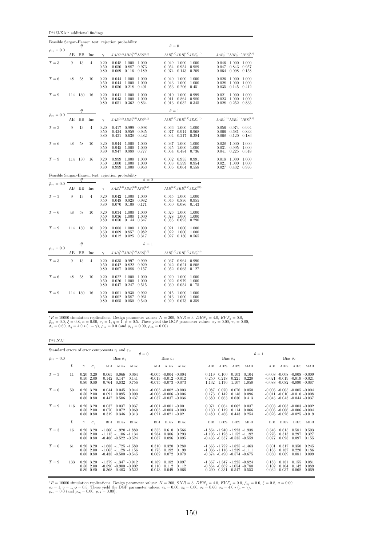$\mathbf{P}^{\phi}\mathbf{1}\mathbf{f}\mathbf{J}\text{-}\mathbf{X}\mathbf{A}^*$ : additional findings

|                                        |                  |                 |                |                                                     | Feasible Sargan-Hansen test: rejection probability                                                                  |                                                                                                                                                                                                                                                                                                                                                            |                                                                               |
|----------------------------------------|------------------|-----------------|----------------|-----------------------------------------------------|---------------------------------------------------------------------------------------------------------------------|------------------------------------------------------------------------------------------------------------------------------------------------------------------------------------------------------------------------------------------------------------------------------------------------------------------------------------------------------------|-------------------------------------------------------------------------------|
| $\bar{\rho}_{x\varepsilon}=0.0$        |                  | df              |                |                                                     |                                                                                                                     | $\theta = 0$                                                                                                                                                                                                                                                                                                                                               |                                                                               |
|                                        | AB               | BB              | Inc            | $\gamma$                                            | $JAB^{(1,0)}JBB_a^{(1,0)}JES^{(1,0)}$                                                                               | $JAB_a^{(1,1)}JBB_a^{(1,1)}JES_a^{(1,1)} \hspace{2cm} JAB_c^{(1,1)}JBB_c^{(1,1)}JES_c^{(1,1)}$                                                                                                                                                                                                                                                             |                                                                               |
| $T=3$                                  | $\boldsymbol{9}$ | 13              | $\overline{4}$ | 0.20<br>0.50<br>0.80                                | 0.048<br>1.000 1.000<br>0.887<br>0.973<br>0.050<br>0.069<br>0.116<br>0.189                                          | 1.000 1.000<br>0.049<br>0.054<br>0.954<br>0.989<br>0.074<br>0.143<br>0.209                                                                                                                                                                                                                                                                                 | $0.046$ 1.000<br>1.000<br>0.047<br>0.843<br>0.957<br>$0.064$ 0.098<br>0.158   |
| $T=6$                                  | 48               | 58              | 10             | 0.20<br>0.50<br>0.80                                | 0.044<br>1.000<br>1.000<br>1.000<br>1.000<br>0.044<br>0.056<br>0.218<br>0.491                                       | 0.040<br>1.000<br>1.000<br>0.043<br>1.000<br>1.000<br>0.053<br>0.206<br>0.451                                                                                                                                                                                                                                                                              | 0.026<br>1.000<br>1.000<br>0.028<br>1.000<br>1.000<br>0.035<br>0.145<br>0.412 |
| $T=9$                                  | 114              | 130             | 16             | 0.20<br>0.50<br>0.80                                | 0.041<br>1.000<br>1.000<br>1.000<br>1.000<br>0.043<br>0.051 0.362 0.864                                             | 0.010<br>1.000<br>0.999<br>0.011<br>0.864<br>0.980<br>$0.013$ $0.032$<br>0.345                                                                                                                                                                                                                                                                             | 0.021<br>1.000<br>1.000<br>1.000<br>0.023<br>1.000<br>$0.028$ 0.252<br>0.833  |
|                                        |                  | df              |                |                                                     |                                                                                                                     | $\theta = 1$                                                                                                                                                                                                                                                                                                                                               |                                                                               |
| $\bar{\rho}_{x\varepsilon}=0.0$ $^{-}$ | AB               | BB              | Inc            |                                                     |                                                                                                                     | $\gamma \qquad JAB^{(1,0)}JBB^{(1,0)}_aJES^{(1,0)} \\ \qquad \qquad JAB^{(1,1)}_aJBB^{(1,1)}_aJES^{(1,1)}_a \\ \qquad \qquad JAB^{(1,1)}_cJBB^{(1,1)}_cJES^{(1,1)}_c \\ \qquad \qquad JAB^{(1,1)}_cJBB^{(1,1)}_cJES^{(1,1)}_c \\ \qquad \qquad JAB^{(1,1)}_cJBB^{(1,1)}_cJES^{(1,1)}_c \\ \qquad \qquad JAB^{(1,1)}_cJBB^{(1,1)}_cJES^{(1,1)}_c \\ \qquad$ |                                                                               |
| $T=3$                                  | $\boldsymbol{9}$ | 13              | $\overline{4}$ | 0.20<br>0.50<br>0.80                                | 0.417<br>0.999 0.998<br>0.424<br>0.945<br>0.959<br>0.431<br>0.638<br>0.482                                          | 0.066<br>1.000<br>1.000<br>0.077<br>0.914<br>0.968<br>0.094<br>0.217<br>0.284                                                                                                                                                                                                                                                                              | 0.056 0.974<br>0.994<br>0.066<br>0.681<br>0.833<br>0.068<br>0.120<br>0.186    |
| $T=6$                                  | 48               | 58              | 10             | 0.20<br>0.50<br>0.80                                | 0.944<br>1.000<br>1.000<br>1.000<br>1.000<br>0.945<br>0.989<br>0.777<br>0.947                                       | 0.037<br>1.000<br>1.000<br>0.045<br>1.000<br>1.000<br>0.064<br>0.736<br>0.484                                                                                                                                                                                                                                                                              | 0.028<br>1.000<br>1.000<br>0.031<br>1.000<br>0.995<br>0.225<br>0.041<br>0.518 |
| $T=9$                                  | 114              | 130             | 16             | 0.20<br>0.50<br>0.80                                | 1.000 1.000<br>0.999<br>1.000<br>1.000<br>1.000<br>0.999<br>1.000<br>0.963                                          | 0.935<br>0.002<br>0.991<br>0.003<br>0.954<br>0.599<br>$0.006$ 0.064<br>0.558                                                                                                                                                                                                                                                                               | 0.018<br>1.000<br>1.000<br>1.000<br>0.021<br>1.000<br>$0.027$ 0.432<br>0.936  |
|                                        |                  |                 |                |                                                     | Feasible Sargan-Hansen test: rejection probability<br>$\theta = 0$                                                  |                                                                                                                                                                                                                                                                                                                                                            |                                                                               |
| $\bar{\rho}_{x\varepsilon}=0.0$        | AВ               | df<br>BB        | Inc            | $\gamma$                                            | $JAB_{a}^{\left( 2,2\right) }JBB_{a}^{\left( 2,2\right) }JES_{a}^{\left( 2,2\right) }$                              | $JAB_c^{(2,2)}JBB_c^{(2,2)}JES_c^{(2,2)}$                                                                                                                                                                                                                                                                                                                  |                                                                               |
| $T=3$                                  | 9                | 13              | $\overline{4}$ | $\begin{array}{c} 0.20 \\ 0.50 \end{array}$<br>0.80 | 0.042<br>1.000 1.000<br>0.982<br>0.048<br>0.928<br>0.109<br>0.171<br>0.070                                          | 0.045<br>1.000 1.000<br>0.046<br>0.836<br>0.955<br>0.060<br>0.086<br>0.143                                                                                                                                                                                                                                                                                 |                                                                               |
| $T=6$                                  | 48               | 58              | 10             | 0.20<br>0.50<br>0.80                                | 0.034<br>1.000<br>1.000<br>1.000<br>0.036<br>1.000<br>0.050<br>0.144 0.347                                          | 1.000<br>0.026<br>1.000<br>0.028<br>1.000<br>1.000<br>0.035<br>0.095<br>0.290                                                                                                                                                                                                                                                                              |                                                                               |
| $T=9$                                  | 114 130          |                 | 16             | 0.20<br>0.50<br>0.80                                | 0.008<br>1.000<br>1.000<br>$\begin{array}{ccc} 0.009 & 0.857 & 0.982 \\ 0.012 & 0.025 & 0.317 \end{array}$<br>0.982 | $\begin{array}{c} 0.021 \\ 0.022 \\ 0.027 \end{array}$<br>1.000<br>1.000<br>1.000<br>1.000<br>$0.130$ $0.565$                                                                                                                                                                                                                                              |                                                                               |
| $\bar{\rho}_{x\varepsilon}=0.0$        |                  | $\mathcal{A}$ f |                |                                                     | $\theta=1$                                                                                                          |                                                                                                                                                                                                                                                                                                                                                            |                                                                               |
|                                        | AΒ               | ΒB              | Inc            | $\gamma$                                            | $JAB_a^{(2,2)}JBB_a^{(2,2)}JES_a^{(2,2)}$                                                                           | $JAB_c^{(2,2)}JBB_c^{(2,2)}JES_c^{(2,2)}$                                                                                                                                                                                                                                                                                                                  |                                                                               |
| $T=3$                                  | 9                | 13              | $\overline{4}$ | 0.20<br>0.50<br>0.80                                | $0.035$ $0.997$ $0.999$<br>0.042<br>0.822<br>0.929<br>0.086<br>0.157<br>0.067                                       | 0.037<br>0.964 0.990<br>0.042<br>0.621<br>0.808<br>0.052<br>0.065<br>0.127                                                                                                                                                                                                                                                                                 |                                                                               |
| $T=6$                                  | 48               | 58              | 10             | 0.20<br>0.50<br>0.80                                | 0.022<br>1.000<br>1.000<br>1.000<br>1.000<br>0.026<br>0.047<br>0.247<br>0.515                                       | 1.000<br>0.020<br>1.000<br>0.022<br>1.000<br>0.979<br>0.030<br>0.054<br>0.175                                                                                                                                                                                                                                                                              |                                                                               |
| $T=9$                                  | 114 130          |                 | 16             | 0.20<br>0.50<br>0.80                                | 0.001<br>0.930<br>0.992<br>0.961<br>0.002<br>0.587<br>0.540<br>0.005<br>0.050                                       | 1.000<br>1.000<br>0.015<br>0.016<br>1.000<br>1.000<br>0.020<br>0.073 0.359                                                                                                                                                                                                                                                                                 |                                                                               |

\*R = 10000 simulation replications. Design parameter values:  $N = 200$ ,  $SNR = 3$ ,  $DEN_y = 4.0$ ,  $EVF_x = 0.0$ ,<br> $\bar{\rho}_{xe} = 0.0$ ,  $\xi = 0.8$ ,  $\kappa = 0.00$ ,  $\sigma_e = 1$ ,  $q = 1$ ,  $\phi = 0.5$ . These yield the DGP parameter values:  $\pi_{\lambda} = 0.$ 

 $\rm P^{\phi}1\text{-}XA^{*}$ 

| Standard errors of error components $\eta_i$ and $\varepsilon_{it}$ |     |                                               |            |                                                                                        |                         |                         |                         |                                                                                      |                         |                         |                                                                                                                   |                         |                         |                         |                                                                                                                   |                         |                         |
|---------------------------------------------------------------------|-----|-----------------------------------------------|------------|----------------------------------------------------------------------------------------|-------------------------|-------------------------|-------------------------|--------------------------------------------------------------------------------------|-------------------------|-------------------------|-------------------------------------------------------------------------------------------------------------------|-------------------------|-------------------------|-------------------------|-------------------------------------------------------------------------------------------------------------------|-------------------------|-------------------------|
|                                                                     |     |                                               |            |                                                                                        |                         |                         | $\theta = 0$            |                                                                                      |                         |                         |                                                                                                                   |                         |                         | $\theta = 1$            |                                                                                                                   |                         |                         |
| $\bar{\rho}_{x\varepsilon} = 0.0$                                   |     |                                               |            |                                                                                        | Bias $\sigma_n$         |                         |                         | Bias $\hat{\sigma}_s$                                                                |                         |                         | Bias $\hat{\sigma}_n$                                                                                             |                         |                         |                         |                                                                                                                   | Bias $\hat{\sigma}_e$   |                         |
|                                                                     | L   |                                               | $\sigma_n$ | AB1                                                                                    | AB2a                    | AB2c                    | AB1                     | AB2a                                                                                 | AB2c                    | AB1                     | AB2a                                                                                                              | AB2c                    | MAB                     | AB1                     | AB2a                                                                                                              | AB2c                    | MAB                     |
| $T=3$                                                               | 11  | $0.20\ 3.20$<br>$0.50$ 2.00<br>$0.80\ 0.80$   |            | 0.065<br>0.142<br>0.764                                                                | 0.066<br>0.147<br>0.832 | 0.064<br>0.141<br>0.756 |                         | $-0.005$ $-0.004$ $-0.004$<br>$-0.013 - 0.012 - 0.012$<br>$-0.075$ $-0.073$ $-0.073$ |                         | 0.119<br>0.250<br>1.132 | 0.100<br>0.218<br>1.176                                                                                           | 0.103<br>0.221<br>1.107 | 0.104<br>0.220<br>1.050 |                         | $-0.008$ $-0.008$ $-0.008$ $-0.009$<br>$-0.021$ $-0.019$ $-0.019$ $-0.021$<br>$-0.088$ $-0.082$ $-0.090$ $-0.087$ |                         |                         |
| $T=6$                                                               | 50  | $0.20\ 3.20$<br>$0.50\ 2.00$<br>$0.80\ 0.80$  |            | 0.044<br>0.091<br>0.447                                                                | 0.045<br>0.095<br>0.506 | 0.044<br>0.090<br>0.437 |                         | $-0.003$ $-0.002$ $-0.003$<br>$-0.006 - 0.006 - 0.006$<br>$-0.037 - 0.037 - 0.036$   |                         | 0.087<br>0.173<br>0.680 | 0.070<br>0.142<br>0.663                                                                                           | 0.076<br>0.148<br>0.630 | 0.050<br>0.096<br>0.413 |                         | $-0.006$ $-0.005$ $-0.005$ $-0.004$<br>$-0.011 - 0.010 - 0.010 - 0.008$<br>$-0.045$ $-0.043$ $-0.044$ $-0.037$    |                         |                         |
| $T=9$                                                               | 116 | $0.20\ 3.20$<br>$0.50$ 2.00<br>$0.80\ 0.80$   |            | 0.037<br>0.070<br>0.319                                                                | 0.037<br>0.072<br>0.346 | 0.037<br>0.069<br>0.313 |                         | $-0.001 - 0.001 - 0.001$<br>$-0.003 - 0.003 - 0.003$<br>$-0.021$ $-0.021$ $-0.021$   |                         | 0.071<br>0.130<br>0.480 | 0.064<br>0.119<br>0.466                                                                                           | 0.062<br>0.114<br>0.443 | 0.037<br>0.066<br>0.254 |                         | $-0.003$ $-0.003$ $-0.003$ $-0.002$<br>$-0.006$ $-0.006$ $-0.006$ $-0.004$<br>$-0.026$ $-0.026$ $-0.025$ $-0.019$ |                         |                         |
|                                                                     | L   |                                               | $\sigma_n$ | B <sub>B1</sub>                                                                        | BB <sub>2a</sub>        | BB <sub>2c</sub>        | B <sub>B1</sub>         | BB <sub>2a</sub>                                                                     | BB2c                    | BB1                     | BB <sub>2a</sub>                                                                                                  | BB <sub>2c</sub>        | <b>MBB</b>              | B <sub>B1</sub>         | BB <sub>2a</sub>                                                                                                  | BB2c                    | <b>MBB</b>              |
| $T=3$                                                               | 16  | $0.20\ 3.20$<br>$0.50$ 2.00<br>$0.80\ 0.80$   |            | $-1.860$ $-1.920$ $-1.880$<br>$-1.115$ $-1.106$ $-1.134$<br>$-0.486$ $-0.522$ $-0.524$ |                         |                         | 0.555<br>0.284<br>0.087 | 0.610<br>0.306<br>0.096                                                              | 0.566<br>0.293<br>0.095 |                         | $-1.854$ $-1.940$ $-1.923$ $-1.938$<br>$-1.105$ $-1.128$ $-1.152$ $-1.192$<br>$-0.435 - 0.537 - 0.535 - 0.559$    |                         |                         | 0.546<br>0.276<br>0.077 | 0.615<br>0.313<br>0.098                                                                                           | 0.581<br>0.297<br>0.097 | 0.593<br>0.327<br>0.155 |
| $T=6$                                                               | 61  | $0.20\ 3.20$<br>$0.50\ 2.00$<br>$0.80\ 0.80$  |            | $-1.688$ $-1.725$ $-1.580$<br>$-1.065$ $-1.128$ $-1.156$<br>$-0.438 - 0.500 - 0.545$   |                         |                         | 0.310<br>0.175<br>0.062 | 0.320<br>0.192<br>0.072                                                              | 0.280<br>0.199<br>0.079 |                         | $-1.665$ $-1.722$ $-1.825$ $-1.463$<br>$-1.036$ $-1.116$ $-1.239$ $-1.111$<br>$-0.374$ $-0.490$ $-0.574$ $-0.675$ |                         |                         | 0.301<br>0.165<br>0.050 | 0.317<br>0.187<br>0.069                                                                                           | 0.350<br>0.220<br>0.081 | 0.245<br>0.186<br>0.099 |
| $T=9$                                                               | 133 | $0.20\ 3.20$<br>$0.50 \t2.00$<br>$0.80\ 0.80$ |            | $-1.379$ $-1.347$ $-0.912$<br>$-0.890 - 0.900 - 0.902$<br>$-0.368$ $-0.403$ $-0.522$   |                         |                         | 0.189<br>0.110<br>0.043 | 0.182<br>0.112<br>0.049                                                              | 0.097<br>0.112<br>0.066 |                         | $-1.357 -1.347 -1.225 -0.824$<br>$-0.854$ $-0.862$ $-1.054$ $-0.780$<br>$-0.290$ $-0.331$ $-0.547$ $-0.553$       |                         |                         | 0.183<br>0.102<br>0.032 | 0.181<br>0.104<br>0.037                                                                                           | 0.155<br>0.142<br>0.068 | 0.081<br>0.089<br>0.069 |

 ${}^*R = 10000$  simulation replications. Design parameter values:  $N = 200$ ,  $SNR = 3$ ,  $DEN_y = 4.0$ ,  $EVF_x = 0.0$ ,  $\bar{\rho}_{x\bar{z}} = 0.0$ ,  $\xi = 0.8$ ,  $\kappa = 0.00$ ,<br>  $\sigma_{\varepsilon} = 1$ ,  $q = 1$ ,  $\phi = 0.5$ . These yield the DGP parameter values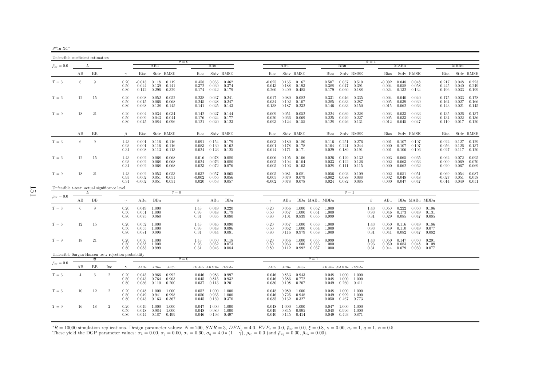| Unfeasible coefficient estimators                    |    |    |                |                      |                                  |                         |                                   |                               |                         |                                           |                                  |                                            |                         |                         |                               |                                 |                         |                      |                                  |                                   |                         |                                   |                               |                                 |                                           |
|------------------------------------------------------|----|----|----------------|----------------------|----------------------------------|-------------------------|-----------------------------------|-------------------------------|-------------------------|-------------------------------------------|----------------------------------|--------------------------------------------|-------------------------|-------------------------|-------------------------------|---------------------------------|-------------------------|----------------------|----------------------------------|-----------------------------------|-------------------------|-----------------------------------|-------------------------------|---------------------------------|-------------------------------------------|
| $\bar{\rho}_{x\varepsilon}=0.0$                      |    | L  |                |                      |                                  | ABu                     |                                   | $\theta = 0$                  | BBu                     |                                           |                                  | ABu                                        |                         |                         |                               | BBu                             |                         | $\theta = 1$         |                                  | MABu                              |                         |                                   |                               | MBBu                            |                                           |
|                                                      | AВ | BB |                | $\gamma$             | Bias                             |                         | Stdy RMSE                         | Bias                          |                         | Stdy RMSE                                 | Bias                             |                                            | Stdy RMSE               |                         | Bias                          |                                 | Stdy RMSE               |                      | Bias                             |                                   | Stdy RMSE               |                                   | Bias                          |                                 | Stdy RMSE                                 |
| $T=3$                                                | 6  | 9  |                | 0.20<br>0.50<br>0.80 | $-0.013$<br>$-0.024$<br>$-0.142$ | 0.139<br>0.296          | $0.118$ $0.119$<br>0.141<br>0.329 | 0.458<br>0.372<br>0.174       | 0.055<br>0.039<br>0.042 | 0.462<br>0.374<br>0.179                   | $-0.025$<br>$-0.043$<br>$-0.260$ | 0.165<br>0.188<br>0.409                    | 0.167<br>0.193<br>0.485 |                         | 0.507<br>0.388<br>0.179       | 0.057<br>0.047<br>0.060         | 0.510<br>0.391<br>0.188 |                      | $-0.002$<br>$-0.004$             | 0.048<br>0.058<br>$-0.024$ 0.132  | 0.048<br>0.058<br>0.134 |                                   | 0.217<br>0.245                | 0.048<br>0.040<br>$0.196$ 0.033 | 0.223<br>0.249<br>0.199                   |
| $T=6$                                                | 12 | 15 |                | 0.20<br>0.50<br>0.80 | $-0.008$<br>$-0.015$<br>$-0.068$ | 0.052<br>0.066<br>0.128 | 0.052<br>0.068<br>0.145           | 0.238<br>0.245<br>0.141       | 0.037<br>0.028<br>0.025 | 0.241<br>0.247<br>0.143                   | $-0.017$<br>$-0.034$<br>$-0.138$ | 0.080<br>0.102<br>0.187                    | 0.082<br>0.107<br>0.232 |                         | 0.331<br>0.285<br>0.146       | 0.046<br>0.033<br>0.033         | 0.335<br>0.287<br>0.150 |                      | $-0.004$<br>$-0.005$<br>$-0.015$ | 0.040<br>0.039<br>0.062           | 0.040<br>0.039<br>0.063 |                                   | 0.175<br>0.164<br>0.143       | 0.033<br>0.027<br>0.021         | 0.178<br>0.166<br>0.145                   |
| $T=9$                                                | 18 | 21 |                | 0.20<br>0.50<br>0.80 | $-0.004$<br>$-0.009$<br>$-0.045$ | 0.034<br>0.043<br>0.084 | 0.034<br>0.044<br>0.096           | 0.142<br>0.176<br>0.121       | 0.027<br>0.024<br>0.020 | 0.144<br>0.177<br>0.123                   | $-0.009$<br>$-0.020$             | 0.051<br>0.066<br>$-0.093$ $0.124$ $0.155$ | 0.052<br>0.069          |                         | 0.224<br>0.225<br>0.128       | 0.039<br>0.029<br>0.026         | 0.228<br>0.227<br>0.131 |                      | $-0.003$<br>$-0.005$<br>$-0.012$ | 0.033<br>0.033<br>0.045           | 0.033<br>0.033<br>0.047 |                                   | 0.135<br>0.134                | 0.026<br>0.022                  | 0.137<br>0.136<br>$0.119$ $0.017$ $0.120$ |
|                                                      | AB | BB |                | $\beta$              | Bias                             |                         | Stdy RMSE                         | Bias                          |                         | Stdy RMSE                                 | Bias                             |                                            | Stdy RMSE               |                         | Bias                          |                                 | Stdy RMSE               |                      | Bias                             |                                   | Stdy RMSE               |                                   | Bias                          |                                 | Stdy RMSE                                 |
| $T=3$                                                | 6  | 9  |                | 1.43<br>0.93<br>0.31 | 0.001<br>$-0.001$<br>$-0.008$    | 0.116<br>0.113          | $0.116$ $0.116$<br>0.116<br>0.113 | 0.091<br>0.083<br>0.024       | 0.154<br>0.139<br>0.123 | 0.179<br>0.162<br>0.125                   | 0.003<br>$-0.001$                | 0.180<br>0.178<br>$-0.014$ $0.171$         | 0.180<br>0.178<br>0.171 |                         | 0.116<br>0.104<br>0.029       | 0.251<br>0.221<br>0.189         | 0.276<br>0.244<br>0.191 |                      | 0.001<br>0.000<br>$-0.001$       | 0.107<br>0.107<br>0.106           | 0.107<br>0.107<br>0.106 |                                   | 0.022<br>0.056<br>0.027       | 0.127<br>0.126<br>0.117         | 0.129<br>0.137<br>0.120                   |
| $T=6$                                                | 12 | 15 |                | 1.43<br>0.93<br>0.31 | 0.002<br>0.002<br>$-0.002$       | 0.068<br>0.068<br>0.068 | 0.068<br>0.068<br>0.068           | $-0.016$<br>0.024<br>0.023    | 0.078<br>0.076<br>0.072 | 0.080<br>0.080<br>0.076                   | 0.006<br>0.005<br>$-0.005$       | 0.105<br>0.104<br>0.103                    | 0.106<br>0.104<br>0.103 |                         | $-0.026$<br>0.033<br>0.028    | 0.129<br>0.122<br>0.111         | 0.132<br>0.126<br>0.115 |                      | 0.003<br>0.002<br>0.000          | 0.065<br>0.063<br>0.062           | 0.065<br>0.063<br>0.062 |                                   | $-0.062$<br>$-0.009$<br>0.020 | 0.072<br>0.069<br>0.067         | 0.095<br>0.070<br>0.069                   |
| $T=9$                                                | 18 | 21 |                | 1.43<br>0.93<br>0.31 | 0.002<br>0.002<br>$-0.002$       | 0.053<br>0.051<br>0.051 | 0.053<br>0.051<br>0.051           | $-0.032$<br>$-0.002$<br>0.020 | 0.057<br>0.056<br>0.053 | 0.065<br>0.056<br>0.057                   | 0.005<br>0.005<br>$-0.002$       | 0.081<br>0.079<br>0.078                    | 0.081<br>0.079<br>0.078 |                         | $-0.056$<br>$-0.002$<br>0.024 | 0.093<br>0.088<br>0.082         | 0.109<br>0.088<br>0.085 |                      | 0.002<br>0.002<br>0.000          | 0.051<br>0.048<br>0.047           | 0.051<br>0.048<br>0.047 |                                   | $-0.069$<br>$-0.027$<br>0.014 | 0.054<br>0.051<br>0.049         | 0.087<br>0.058<br>0.051                   |
| Unfeasible t-test: actual significance level         |    | L  |                |                      |                                  |                         | $\theta = 0$                      |                               |                         |                                           |                                  |                                            |                         |                         |                               | $\theta = 1$                    |                         |                      |                                  |                                   |                         |                                   |                               |                                 |                                           |
| $\bar{\rho}_{x\varepsilon}=0.0$                      | AВ | BB |                | $\gamma$             | ABu                              | BBu                     |                                   | $\beta$                       | ABu                     | BBu                                       | $\gamma$                         | ABu                                        |                         | BBu MABu MBBu           |                               |                                 |                         | $\beta$              | ABu                              |                                   |                         | BBu MABu MBBu                     |                               |                                 |                                           |
| $T=3$                                                | 6  | 9  |                | 0.20<br>0.50<br>0.80 | 0.049<br>0.051<br>0.075          | 1.000<br>1.000<br>0.960 |                                   | 1.43<br>0.93<br>0.31          | 0.049<br>0.048<br>0.035 | 0.220<br>0.179<br>0.080                   | 0.20<br>0.50<br>0.80             | 0.056<br>0.057<br>0.101                    | 1.000<br>1.000<br>0.839 | 0.052<br>0.051<br>0.055 | 1.000<br>1.000<br>0.999       |                                 |                         | 1.43<br>0.93<br>0.31 | 0.050<br>0.046<br>0.029          | 0.222<br>0.173<br>0.085           | 0.049<br>0.047          | $0.050$ $0.106$<br>0.131<br>0.085 |                               |                                 |                                           |
| $T=6$                                                | 12 | 15 |                | 0.20<br>0.50<br>0.80 | 0.052<br>0.055<br>0.081          | 1.000<br>1.000<br>0.998 |                                   | 1.43<br>0.93<br>0.31          | 0.046<br>0.048<br>0.044 | 0.090<br>0.096<br>0.081                   | 0.20<br>0.50<br>0.80             | 0.057<br>0.062<br>0.116                    | 1.000<br>1.000<br>0.979 | 0.053<br>0.054<br>0.058 | 1.000<br>1.000<br>1.000       |                                 |                         | 1.43<br>0.93<br>0.31 | 0.050<br>0.049                   | 0.116<br>0.110<br>$0.041$ $0.082$ | 0.049<br>0.049<br>0.047 | 0.186<br>0.077<br>0.082           |                               |                                 |                                           |
| $T=9$                                                | 18 | 21 |                | 0.20<br>0.50<br>0.80 | 0.056<br>0.058<br>0.083          | 1.000<br>1.000<br>0.999 |                                   | 1.43<br>0.93<br>0.31          | 0.050<br>0.052<br>0.046 | 0.118<br>0.073<br>0.084                   | 0.20<br>0.50<br>0.80             | 0.056<br>0.063<br>0.112                    | 1.000<br>1.000<br>0.992 | 0.055<br>0.053<br>0.057 | 0.999<br>1.000<br>1.000       |                                 |                         | 1.43<br>0.93<br>0.31 | 0.050<br>0.050<br>0.044          | 0.147<br>0.083<br>0.079           | 0.050<br>0.048<br>0.050 | 0.291<br>0.109<br>0.077           |                               |                                 |                                           |
| Unfeasible Sargan-Hansen test: rejection probability |    | df |                |                      |                                  |                         |                                   | $\theta = 0$                  |                         |                                           |                                  |                                            |                         | $\theta = 1$            |                               |                                 |                         |                      |                                  |                                   |                         |                                   |                               |                                 |                                           |
| $\bar{\rho}_{x\varepsilon}=0.0$                      | AВ | ΒB | Inc            | $\gamma$             | JABu                             | JBBu                    | JESu                              |                               |                         | JMABu JMMBu JESMu                         | JABu                             | $JBBu$                                     | JESu                    |                         | $JMABu\ JMMBu\ JESMu$         |                                 |                         |                      |                                  |                                   |                         |                                   |                               |                                 |                                           |
| $T=3$                                                | 4  | 6  | $\overline{2}$ | 0.20<br>0.50<br>0.80 | 0.045<br>0.043<br>0.036          | 0.966<br>0.764<br>0.110 | 0.992<br>0.903<br>0.200           | 0.046<br>0.045<br>0.037       | 0.983<br>0.815<br>0.113 | 0.997<br>0.932<br>0.201                   | 0.046<br>0.046<br>0.030          | 0.853<br>0.586<br>0.108                    | 0.943<br>0.772<br>0.207 |                         | 0.048<br>0.049                | $0.048$ 1.000<br>1.000<br>0.260 | 1.000<br>1.000<br>0.411 |                      |                                  |                                   |                         |                                   |                               |                                 |                                           |
| $T=6$                                                | 10 | 12 | $\overline{2}$ | 0.20<br>0.50<br>0.80 | 0.048<br>0.049<br>0.043          | 1.000<br>0.941<br>0.163 | 1.000<br>0.998<br>0.367           | 0.052<br>0.050<br>0.045       | 1.000<br>0.965<br>0.169 | 1.000<br>1.000<br>0.370                   | 0.048<br>0.046<br>0.035          | 0.989<br>0.725<br>0.132                    | 1.000<br>0.948<br>0.327 |                         | 0.048<br>0.049<br>0.050       | 1.000<br>0.999<br>0.467         | 1.000<br>1.000<br>0.773 |                      |                                  |                                   |                         |                                   |                               |                                 |                                           |
| $T=9$                                                | 16 | 18 | $\overline{2}$ | 0.20<br>0.50<br>0.80 | 0.049<br>0.048<br>0.044          | 1.000<br>0.984          | 1.000<br>1.000<br>$0.187$ 0.499   | 0.047<br>0.048                | 1.000<br>0.989          | 1.000<br>1.000<br>$0.046$ $0.193$ $0.497$ | 0.048<br>0.049                   | 1.000<br>0.845<br>$0.040 \quad 0.145$      | 1.000<br>0.995<br>0.414 |                         | 0.047<br>0.048                | 1.000<br>0.996<br>$0.049$ 0.493 | 1.000<br>1.000<br>0.871 |                      |                                  |                                   |                         |                                   |                               |                                 |                                           |

 ${}^*R = 10000$  simulation replications. Design parameter values:  $N = 200$ ,  $SNR = 3$ ,  $DEN_y = 4.0$ ,  $EVF_x = 0.0$ ,  $\bar{\rho}_{xc} = 0.0$ ,  $\xi = 0.8$ ,  $\kappa = 0.00$ ,  $\sigma_{\varepsilon} = 1$ ,  $q = 1$ ,  $\phi = 0.5$ .<br>These yield the DGP parameter values:  $\pi$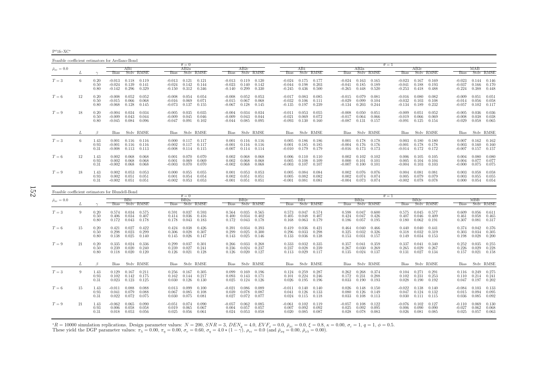$P^{\phi}1$ fc-XC<sup>\*</sup>

Feasible coefficient estimators for Arellano-Bond $\theta$  – 0 AB2a<br>Bias Stdv RMSE  $\frac{\theta}{\theta} = 1$   $\frac{\theta}{AB2c}$   $\frac{\theta}{AB2a}$  $\bar{\rho}_{x\varepsilon}=0.0$  $_{\varepsilon}$  = 0.0  $_{\varepsilon}$   $_{\varepsilon}$   $_{\varepsilon}$   $_{\varepsilon}$   $_{\varepsilon}$   $_{\varepsilon}$   $_{\varepsilon}$   $_{\varepsilon}$   $_{\varepsilon}$   $_{\varepsilon}$   $_{\varepsilon}$   $_{\varepsilon}$   $_{\varepsilon}$   $_{\varepsilon}$   $_{\varepsilon}$   $_{\varepsilon}$   $_{\varepsilon}$   $_{\varepsilon}$   $_{\varepsilon}$   $_{\varepsilon}$   $_{\varepsilon}$   $_{\varepsilon}$   $_{\varepsilon}$ L  $\gamma$  Bias Stdv RMSE Bias Stdv RMSE Bias Stdv RMSE Bias Stdv RMSE Bias Stdv RMSE Bias Stdv RMSE Bias Stdv RMSE $0.144$   $0.146$  $T=3$  $T=3$  6 0.20 -0.013 0.119 -0.013 0.121 0.121 -0.013 0.119 0.120 -0.024 0.175 0.177 -0.024 0.163 0.165 -0.023 0.167 0.169 -0.023 0.144 0.146<br>0.50 -0.024 0.139 0.141 -0.024 0.142 0.144 -0.023 0.140 0.142 -0.044 0.198 0.203  $\begin{array}{cccccccccccc} 0.50 & -0.024 & 0.139 & 0.141 & -0.024 & 0.142 & 0.144 & -0.023 & 0.140 & 0.142 & -0.044 & 0.198 & 0.203 & -0.041 & 0.185 & 0.189 & -0.041 & 0.188 & 0.193 & -0.037 & 0.166 & 0.170 \ 0.80 & -0.142 & 0.299 & 0.346 & -0.140 & 0.299 & 0.330 & -0.245 & 0.$  $0.448$  $-0.142$   $0.296$   $0.329$ 0.051  $T=6$  $T=6$   $12$   $0.20$   $-0.008$   $0.052$   $-0.008$   $0.054$   $0.054$   $-0.008$   $0.052$   $0.053$   $-0.017$   $0.083$   $0.085$   $-0.015$   $0.070$   $0.081$   $-0.016$   $0.080$   $0.082$   $-0.016$   $0.082$   $-0.016$   $0.056$   $0.058$   $-0.015$   $0.050$   $0$ 0.50 -0.015 0.066 0.068 -0.016 0.069 0.071 -0.015 0.067 0.068 -0.032 0.106 0.111 -0.029 0.099 0.104 -0.032 0.103 0.108 -0.014 0.056 0.058 $0.117$ 0.80 -0.068 0.128 0.145 -0.073 0.137 0.155 -0.067 0.128 0.145 -0.135 0.197 0.239 -0.134 0.203 0.244 -0.134 0.189 0.232 -0.057 0.102 0.117 $T=9$  $T=9$   $18$   $0.20$   $-0.004$   $0.034$   $0.034$   $-0.005$   $0.035$   $-0.004$   $0.034$   $0.034$   $-0.001$   $0.053$   $0.055$   $-0.008$   $0.051$   $-0.009$   $0.051$   $-0.052$   $-0.005$   $0.036$   $0.036$   $0.036$   $0.036$   $0.038$   $0.038$   $0.038$   $0.$ 0.50 -0.009 0.043 0.044 -0.009 0.045 0.046 -0.009 0.043 0.044 -0.021 0.069 0.072 -0.017 0.064 0.066 -0.019 0.066 0.069 -0.008 0.038 0.038 $0.065$ 0.80 -0.045 0.084 0.096 -0.047 0.091 0.102 -0.044 0.085 0.095 -0.093 0.130 0.160 -0.087 0.131 0.157 -0.091 0.125 0.154 -0.029 0.058 0.065 $L \qquad \qquad \beta$ Bias Stdv RMSE Bias Stdv RMSE Bias Stdv RMSE Bias Stdv RMSE Bias Stdv RMSE Bias Stdv RMSE Bias Stdv RMSE Bias Stdv RMSE  $0.162$   $0.162$  $T=3$  $T=3$  6  $1.43$   $0.001$   $0.116$   $0.116$   $0.000$   $0.117$   $0.117$   $0.001$   $0.116$   $0.116$   $0.005$   $0.186$   $0.186$   $0.001$   $0.178$   $0.178$   $0.003$   $0.180$   $0.180$   $0.007$   $0.162$   $0.162$   $0.162$   $0.162$   $0.162$   $0.162$   $0.162$ 0.93 -0.001 0.116 0.116 -0.002 0.117 0.117 -0.001 0.116 0.116 0.001 0.185 0.185 -0.004 0.176 0.176 -0.001 0.178 0.178 0.003 0.160 0.1600.157 0.31 -0.008 0.113 0.113 -0.008 0.114 0.115 -0.007 0.114 0.114 -0.010 0.179 0.179 -0.016 0.173 0.173 -0.014 0.172 0.172 -0.007 0.157 0.1570.080  $T=6$  $T=6$   $12$   $1.43$   $0.002$   $0.068$   $0.068$   $0.001$   $0.070$   $0.070$   $0.002$   $0.068$   $0.068$   $0.068$   $0.006$   $0.110$   $0.110$   $0.002$   $0.102$   $0.069$   $0.001$   $0.011$   $0.002$   $0.068$   $0.068$   $0.005$   $0.108$   $0.109$   $0.000$   $0.$ 0.93 0.002 0.068 0.068 0.001 0.069 0.069 0.002 0.068 0.068 0.005 0.108 0.109 0.000 0.101 0.101 0.005 0.104 0.104 0.004 0.077 0.0770.075  $0.31$   $-0.002$   $0.068$   $-0.003$   $0.070$   $0.070$   $-0.002$   $0.068$   $0.068$   $-0.003$   $0.107$   $0.107$   $-0.007$   $0.101$   $-0.004$   $0.103$   $0.103$   $-0.000$   $0.075$   $0.075$  $T=9$  $T=9 \hspace{1cm} 18 \hspace{1cm} 1.43 \hspace{1cm} 0.002 \hspace{1cm} 0.053 \hspace{1cm} 0.033 \hspace{1cm} 0.005 \hspace{1cm} 0.055 \hspace{1cm} 0.055 \hspace{1cm} 0.01 \hspace{1cm} 0.053 \hspace{1cm} 0.001 \hspace{1cm} 0.053 \hspace{1cm} 0.053 \hspace{1cm} 0.053 \hspace{1cm} 0.053 \hspace{1cm} 0.005 \hspace{1cm} 0.084 \$ 0.93 0.002 0.051 0.051 0.001 0.054 0.054 0.002 0.051 0.051 0.005 0.082 0.082 0.002 0.074 0.074 0.005 0.079 0.079 0.003 0.055 0.055 $0.054$  $\frac{0.31}{0.31}$   $\frac{0.02}{0.051}$   $\frac{0.051}{0.02}$   $\frac{0.053}{0.053}$   $\frac{0.051}{0.051}$   $\frac{0.051}{0.051}$   $\frac{0.01}{0.081}$   $\frac{0.081}{0.081}$   $\frac{0.081}{0.073}$   $\frac{0.073}{0.073}$   $\frac{0.074}{0.073}$   $\frac{0.074}{0.073}$   $\frac{0.074}{$ 

| Feasible coefficient estimators for Blundell-Bond |          |                      |                            |                         |                         |                            |                         |                         |                            |                         |                         |                            |                         |                                       |                            |                         |                         |                             |                         |                         |                               |                         |                         |
|---------------------------------------------------|----------|----------------------|----------------------------|-------------------------|-------------------------|----------------------------|-------------------------|-------------------------|----------------------------|-------------------------|-------------------------|----------------------------|-------------------------|---------------------------------------|----------------------------|-------------------------|-------------------------|-----------------------------|-------------------------|-------------------------|-------------------------------|-------------------------|-------------------------|
| $\bar{\rho}_{x\varepsilon}=0.0$                   |          |                      | Bias                       | BB1                     | Stdy RMSE               | <b>Bias</b>                | $\theta = 0$<br>BB2a    | Stdy RMSE               | <b>Bias</b>                | BB2c                    | Stdy RMSE               | <b>Bias</b>                | BBI.                    | Stdy RMSE                             | <b>Bias</b>                | BB2a                    | Stdy RMSE               | $\theta = 1$<br><b>Bias</b> | BB2c                    | Stdy RMSE               | <b>Bias</b>                   | MBB                     | Stdy RMSE               |
| $T=3$                                             | 9        | 0.20<br>0.50<br>0.80 | 0.574<br>0.406<br>0.172    | 0.034<br>0.034<br>0.043 | 0.575<br>0.407<br>0.178 | 0.591<br>0.414<br>0.178    | 0.037<br>0.036<br>0.043 | 0.593<br>0.416<br>0.183 | 0.564<br>0.400<br>0.172    | 0.035<br>0.034<br>0.043 | 0.565<br>0.402<br>0.178 | 0.573<br>0.405<br>0.168    | 0.047<br>0.048<br>0.063 | 0.574<br>0.407<br>0.179               | 0.598<br>0.424<br>0.186    | 0.047<br>0.047<br>0.057 | 0.600<br>0.426<br>0.195 | 0.575<br>0.407<br>0.180     | 0.045<br>0.046<br>0.062 | 0.577<br>0.409<br>0.191 | 0.609<br>0.461<br>0.307       | 0.056<br>0.058<br>0.081 | 0.611<br>0.465<br>0.317 |
| $T=6$                                             | 15       | 0.20<br>0.50<br>0.80 | 0.421<br>0.298<br>0.138    | 0.027<br>0.023<br>0.025 | 0.422<br>0.299<br>0.140 | 0.424<br>0.306<br>0.145    | 0.038<br>0.028<br>0.026 | 0.426<br>0.307<br>0.147 | 0.391<br>0.299<br>0.143    | 0.034<br>0.025<br>0.025 | 0.393<br>0.300<br>0.146 | 0.419<br>0.296<br>0.133    | 0.036<br>0.033<br>0.036 | 0.421<br>0.298<br>0.138               | 0.464<br>0.325<br>0.153    | 0.040<br>0.032<br>0.031 | 0.466<br>0.326<br>0.157 | 0.440<br>0.318<br>0.149     | 0.040<br>0.032<br>0.034 | 0.441<br>0.319<br>0.153 | 0.374<br>0.303<br>0.198       | 0.042<br>0.034<br>0.028 | 0.376<br>0.305<br>0.200 |
| $T=9$                                             | 21       | 0.20<br>0.50<br>0.80 | 0.335<br>0.239<br>0.118    | 0.024<br>0.020<br>0.020 | 0.336<br>0.240<br>0.120 | 0.299<br>0.239<br>0.126    | 0.037<br>0.027<br>0.021 | 0.301<br>0.241<br>0.128 | 0.266<br>0.236<br>0.126    | 0.033<br>0.024<br>0.020 | 0.268<br>0.237<br>0.127 | 0.333<br>0.237<br>0.113    | 0.032<br>0.028<br>0.029 | 0.335<br>0.239<br>0.117               | 0.357<br>0.267<br>0.135    | 0.041<br>0.030<br>0.024 | 0.359<br>0.269<br>0.137 | 0.337<br>0.265<br>0.131     | 0.041<br>0.029<br>0.027 | 0.340<br>0.267<br>0.134 | 0.252<br>0.226<br>0.157       | 0.035<br>0.029<br>0.021 | 0.255<br>0.228<br>0.158 |
|                                                   |          | $\beta$              | Bias                       |                         | Stdy RMSE               | Bias                       |                         | Stdv RMSE               | Bias                       |                         | Stdy RMSE               | Bias                       |                         | Stdy RMSE                             | Bias                       |                         | Stdy RMSE               | Bias                        |                         | Stdv RMSE               | Bias                          |                         | Stdy RMSE               |
| $T=3$                                             | $\Omega$ | 1.43<br>0.93<br>0.31 | 0.129<br>0.102<br>0.023    | 0.167<br>0.142<br>0.123 | 0.211<br>0.175<br>0.125 | 0.256<br>0.162<br>0.030    | 0.167<br>0.144<br>0.126 | 0.305<br>0.217<br>0.130 | 0.099<br>0.093<br>0.025    | 0.169<br>0.143<br>0.124 | 0.196<br>0.171<br>0.126 | 0.124<br>0.101<br>0.026    | 0.259<br>0.224<br>0.195 | 0.287<br>0.246<br>0.196               | 0.262<br>0.172<br>0.033    | 0.268<br>0.231<br>0.190 | 0.374<br>0.288<br>0.193 | 0.104<br>0.102<br>0.028     | 0.271<br>0.231<br>0.190 | 0.291<br>0.253<br>0.192 | 0.116<br>0.110<br>0.047       | 0.249<br>0.214<br>0.197 | 0.275<br>0.241<br>0.202 |
| $T=6$                                             | 15       | 1.43<br>0.93<br>0.31 | $-0.011$<br>0.041<br>0.022 | 0.088<br>0.079<br>0.072 | 0.088<br>0.088<br>0.075 | 0.013<br>0.067<br>0.030    | 0.099<br>0.085<br>0.075 | 0.100<br>0.108<br>0.081 | $-0.021$<br>0.039<br>0.027 | 0.086<br>0.078<br>0.072 | 0.089<br>0.087<br>0.077 | $-0.011$<br>0.041<br>0.024 | 0.126<br>0.115          | $0.140 \quad 0.140$<br>0.133<br>0.118 | 0.026<br>0.080<br>0.033    | 0.148<br>0.126<br>0.108 | 0.150<br>0.149<br>0.113 | $-0.022$<br>0.047<br>0.030  | 0.138<br>0.124<br>0.111 | 0.140<br>0.132<br>0.115 | $-0.084$<br>0.015<br>0.036    | 0.103<br>0.094<br>0.085 | 0.133<br>0.095<br>0.092 |
| $T=9$                                             | 21       | 1.43<br>0.93<br>0.31 | $-0.062$<br>0.006<br>0.018 | 0.065<br>0.058<br>0.053 | 0.090<br>0.058<br>0.056 | $-0.051$<br>0.019<br>0.025 | 0.074<br>0.065<br>0.056 | 0.090<br>0.067<br>0.061 | $-0.057$<br>0.004<br>0.024 | 0.062<br>0.057<br>0.053 | 0.085<br>0.057<br>0.058 | $-0.061$<br>0.007<br>0.020 | 0.102<br>0.092<br>0.085 | 0.119<br>0.092<br>0.087               | $-0.057$<br>0.025<br>0.028 | 0.108<br>0.092<br>0.078 | 0.122<br>0.095<br>0.083 | $-0.076$<br>0.006<br>0.026  | 0.102<br>0.090<br>0.081 | 0.127<br>0.090<br>0.085 | $-0.110$<br>$-0.027$<br>0.025 | 0.069<br>0.062<br>0.057 | 0.130<br>0.068<br>0.063 |

 ${}^*R = 10000$  simulation replications. Design parameter values:  $N = 200$ ,  $SNR = 3$ ,  $DEN_y = 4.0$ ,  $EVF_x = 0.0$ ,  $\bar{\rho}_{xc} = 0.0$ ,  $\xi = 0.8$ ,  $\kappa = 0.00$ ,  $\sigma_{\varepsilon} = 1$ ,  $q = 1$ ,  $\phi = 0.5$ .<br>These yield the DGP parameter values:  $\pi$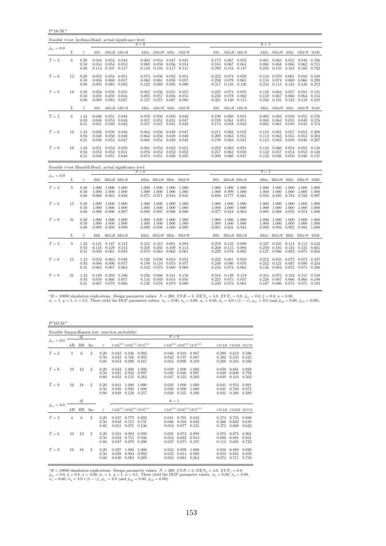$P^{\phi}$ 1ft-XC\*

| Feasible t-test Arellano-Bond: actual significance level |    |                      |                         |                                                                               |                          |                         |                                                                 |                |                         |                         |                                                                         |       |                         |                                                                                   |                         |                                                 |                         |
|----------------------------------------------------------|----|----------------------|-------------------------|-------------------------------------------------------------------------------|--------------------------|-------------------------|-----------------------------------------------------------------|----------------|-------------------------|-------------------------|-------------------------------------------------------------------------|-------|-------------------------|-----------------------------------------------------------------------------------|-------------------------|-------------------------------------------------|-------------------------|
|                                                          |    |                      |                         |                                                                               |                          | $\theta = 0$            |                                                                 |                |                         |                         |                                                                         |       | $\theta=1$              |                                                                                   |                         |                                                 |                         |
| $\bar{\rho}_{x\varepsilon} = 0.0$                        | L  | $\gamma$             |                         | AB1 AB1aR AB1cR                                                               |                          |                         |                                                                 |                | AB2a AB2aW AB2c AB2cW   |                         | AB1 AB1aR AB1cR                                                         |       |                         | AB2a AB2aW AB2c AB2cW MAB                                                         |                         |                                                 |                         |
| $T=3$                                                    | 6  | 0.20<br>0.50<br>0.80 |                         | $0.044$ $0.052$ $0.044$<br>$0.054$ $0.054$ $0.053$<br>$0.114$ $0.107$ $0.117$ |                          | 0.069<br>0.132          | $0.063$ $0.054$ $0.047$ $0.045$<br>0.059<br>$0.104$ $0.117$     | 0.056          | 0.054<br>0.115          | 0.299                   | $0.175$ $0.067$ $0.052$<br>0.184 0.067 0.064<br>$0.154$ $0.147$         |       | 0.086                   | $0.081$ 0.063<br>0.068<br>$0.216$ $0.155$                                         | 0.055<br>0.066<br>0.165 | $0.049$ 0.766<br>0.062<br>0.160                 | 0.755<br>0.792          |
| $T=6$                                                    | 12 | 0.20<br>0.50<br>0.80 | 0.056<br>0.093          | $0.052$ $0.054$ $0.051$<br>$0.060$ $0.057$<br>0.085                           | 0.092                    | 0.074<br>0.122          | 0.056 0.052<br>$0.080$ $0.061$ $0.058$<br>0.080                 | 0.092          | 0.051<br>0.057<br>0.090 | 0.238<br>0.317          | 0.222 0.074 0.058<br>$0.079$ 0.065<br>0.135                             | 0.126 | 0.234                   | 0.134 0.070<br>0.134 0.074<br>0.113                                               | 0.061<br>0.069<br>0.135 | 0.058<br>0.066<br>0.128                         | 0.248<br>0.299<br>0.372 |
| $T=9$                                                    | 18 | 0.20<br>0.50<br>0.80 | 0.056<br>0.058<br>0.089 | 0.058<br>0.058<br>0.084 0.087                                                 | 0.055<br>0.056           | 0.082<br>0.085<br>0.127 | 0.056 0.055<br>0.057<br>0.075 0.087                             | 0.056          | 0.055<br>0.055<br>0.086 |                         | $0.225$ $0.074$ $0.055$<br>0.240 0.078 0.062<br>$0.321$ $0.130$ $0.115$ |       | 0.158<br>0.159<br>0.256 | $0.064$ $0.057$ $0.055$ $0.131$<br>0.067<br>$0.101$ $0.123$                       | 0.066                   | $0.064$ $0.153$<br>$0.119$ $0.210$              |                         |
|                                                          | L  | $\beta$              | AB1                     |                                                                               | AB1aR AB1cR              |                         |                                                                 |                | AB2a AB2aW AB2c AB2cW   | AB1                     | AB1aR AB1cR                                                             |       |                         | AB2a AB2aW AB2c AB2cW MAB                                                         |                         |                                                 |                         |
| $T=3$                                                    | 6  | 1.43<br>0.93<br>0.31 |                         | $0.046$ $0.051$ $0.048$<br>$0.048$ $0.053$ $0.048$<br>$0.041$ $0.049$         | 0.042                    | 0.058<br>0.057<br>0.057 | $0.050$ $0.050$ $0.048$<br>$0.051$ $0.051$<br>0.047 0.045       |                | 0.047<br>0.042          |                         | $0.199$ $0.060$ $0.051$<br>$0.199$ $0.061$ $0.051$<br>0.174 0.058 0.043 |       | 0.084                   | $0.082$ $0.063$ $0.058$<br>$0.064$ 0.055<br>$0.084$ $0.061$                       | 0.049                   | $0.051$ $0.576$<br>0.049 0.576<br>0.043 0.574   |                         |
| $T=6$                                                    | 12 | 1.43<br>0.93<br>0.31 | 0.048<br>0.048          | $0.046$ $0.050$ $0.046$<br>0.050<br>$0.053$ $0.047$                           | 0.048                    | 0.064<br>0.066          | $0.064$ $0.050$ $0.048$<br>0.050<br>$0.051$ $0.049$ $0.048$     | 0.049          | 0.047<br>0.048          | 0.209                   | $0.211$ $0.062$ $0.052$<br>$0.063$ $0.051$<br>0.199 0.063 0.047         |       |                         | $0.110$ $0.061$ $0.057$ $0.054$ $0.208$<br>$0.113$ $0.062$<br>$0.112 \quad 0.062$ | 0.055<br>0.050          | $0.053$ $0.204$<br>$0.048$ 0.207                |                         |
| $T=9$                                                    | 18 | 1.43<br>0.93<br>0.31 | 0.051<br>0.052<br>0.048 | 0.052<br>$0.051$ 0.048                                                        | $0.053$ $0.050$<br>0.051 | 0.081<br>0.076          | 0.054 0.052<br>$0.052$ 0.052<br>$0.074$ $0.051$ $0.050$         |                | 0.051<br>0.052<br>0.050 |                         | $0.222$ $0.063$ $0.051$<br>$0.217$ $0.062$<br>$0.209$ $0.060$ $0.047$   | 0.050 | 0.132                   | $0.134$ $0.060$<br>0.057<br>0.133 0.056 0.050 0.048 0.137                         | 0.054                   | $0.054$ $0.052$ $0.138$<br>0.052                | 0.138                   |
| Feasible t-test Blundell-Bond: actual significance level |    |                      |                         |                                                                               |                          | $\theta = 0$            |                                                                 |                |                         |                         |                                                                         |       | $\theta=1$              |                                                                                   |                         |                                                 |                         |
| $\bar{\rho}_{x\varepsilon} = 0.0$                        | L  | $\gamma$             |                         | BB1 BB1aR BB1cR                                                               |                          |                         |                                                                 |                | BB2a BB2aW BB2c BB2cW   |                         | BB1 BB1aR BB1cR                                                         |       |                         | BB2a BB2aW BB2c BB2cW MBB                                                         |                         |                                                 |                         |
| $T=3$                                                    | 9  | 0.20<br>0.50<br>0.80 | 1.000<br>0.968          | 1.000 1.000 1.000<br>1.000 1.000<br>0.965 0.938                               |                          | 1.000<br>0.975          | 1.000 1.000 1.000 1.000<br>1.000 1.000<br>0.971 0.944 0.945     |                | 1.000                   | 1.000                   | 1.000 1.000 1.000<br>0.999<br>0.899 0.777 0.661                         | 1.000 | 1.000                   | 1.000 1.000 1.000 1.000 1.000<br>1.000<br>0.916 0.895                             | 1.000                   | 1.000 1.000<br>0.784 0.782 0.997                |                         |
| $T=6$                                                    | 15 | 0.20<br>0.50<br>0.80 | 0.998                   | 1.000 1.000 1.000<br>1.000 1.000 1.000<br>0.998                               | 0.997                    | 1.000<br>0.999          | 1.000 1.000 1.000 1.000<br>1.000<br>0.997 0.998                 | 1.000          | 1.000<br>0.998          |                         | 1.000 1.000 1.000<br>1.000 1.000 1.000<br>0.977 0.918 0.904             |       | 1.000<br>0.995          | 1.000 1.000 1.000 1.000 1.000<br>1.000<br>0.988                                   | 1.000<br>0.976          | 1.000 1.000<br>0.974 1.000                      |                         |
| $T=9$                                                    | 21 | 0.20<br>0.50<br>0.80 | 1.000                   | 1.000 1.000 1.000<br>1.000 1.000<br>0.999 0.999 0.999                         |                          | 1.000<br>1.000          | 1.000 1.000 1.000<br>1.000<br>$0.999$ $0.998$ $1.000$ $0.999$   | 1.000          | 1.000                   |                         | 1.000 1.000 1.000<br>1.000 1.000 1.000<br>0.985 0.931 0.934             |       | 1.000                   | 1.000 1.000 1.000 1.000 1.000<br>1.000<br>$0.999$ $0.994$ $0.992$ $0.991$ $1.000$ | 1.000                   | 1.000 1.000                                     |                         |
|                                                          | L  | $\beta$              | BB1                     | BB1aR BB1cR                                                                   |                          |                         |                                                                 |                | BB2a BB2aW BB2c BB2cW   | BB1                     | BB1aR BB1cR                                                             |       |                         | BB2a BB2aW BB2c                                                                   |                         | BB2cW MBB                                       |                         |
| $T=3$                                                    | 9  | 1.43<br>0.93<br>0.31 | 0.118<br>0.058          | $0.121$ $0.147$ $0.112$<br>0.129<br>$0.061$ $0.058$                           | 0.114                    | 0.412<br>0.258<br>0.078 | 0.313 0.091 0.094<br>0.205<br>$0.064$ 0.062                     | 0.109          | 0.113<br>0.061          | 0.259<br>0.268<br>0.229 | $0.123$ 0.090<br>$0.115$ $0.094$<br>0.078 0.065                         |       | 0.259                   | 0.337 0.235<br>0.185<br>$0.127$ 0.086                                             | 0.124                   | $0.114$ $0.113$ $0.632$<br>0.125<br>0.082 0.075 | 0.661<br>0.663          |
| $T=6$                                                    | 15 | 1.43<br>0.93<br>0.31 | 0.052<br>0.080          | $0.063$ $0.048$<br>0.090<br>$0.063$ $0.067$ $0.063$                           | 0.077                    | 0.126<br>0.199          | $0.030 \quad 0.053$<br>0.110<br>$0.102$ $0.073$ $0.069$ $0.069$ | 0.073          | 0.053<br>0.077          | 0.248                   | 0.222 0.081 0.058<br>0.090<br>$0.234$ $0.074$ $0.061$                   | 0.070 | 0.252                   | $0.212$ $0.055$<br>0.121<br>0.156 0.084                                           | 0.087<br>0.072          | 0.072 0.072 0.347<br>0.090<br>$0.071$ $0.280$   | 0.234                   |
| $T=9$                                                    | 21 | 1.43<br>0.93         | 0.189<br>0.058          | 0.066 0.057                                                                   | $0.203$ 0.186            | 0.236<br>0.135          | 0.066<br>0.049                                                  | 0.161<br>0.054 | 0.156<br>0.056          |                         | 0.316 0.149<br>$0.225$ $0.075$ $0.057$                                  | 0.119 |                         | 0.314 0.075<br>$0.226$ 0.067                                                      | 0.162<br>0.066          | 0.157<br>$0.066$ $0.180$                        | 0.559                   |

 ${}^{*}R = 10000$  simulation replications. Design parameter values:  $N = 200$ ,  $SNR = 3$ ,  $DEN_y = 4.0$ ,  $EVF_x = 0.0$ ,  $\bar{p}_{x\xi} = 0.0$ ,  $\xi = 0.8$ ,  $\kappa = 0.00$ ,<br> $\sigma_x = 1$ ,  $q = 1$ ,  $\phi = 0.5$ . These yield the DGP parameter values:  $\pi_{\$ 

| $P^{\phi}$ 1f.J-XC*             |    |    |                |                      |                                                    |                         |                         |                         |                                           |                         |                         |                         |
|---------------------------------|----|----|----------------|----------------------|----------------------------------------------------|-------------------------|-------------------------|-------------------------|-------------------------------------------|-------------------------|-------------------------|-------------------------|
|                                 |    |    |                |                      | Feasible Sargan-Hansen test: rejection probability |                         |                         |                         |                                           |                         |                         |                         |
|                                 |    | df |                |                      |                                                    |                         | $\theta = 0$            |                         |                                           |                         |                         |                         |
| $\bar{\rho}_{x\varepsilon}=0.0$ | AВ | BB | Inc            | $\gamma$             | $JAB_a^{(2,1)}JBB_a^{(2,1)}JES_a^{(2,1)}$          |                         |                         |                         | $JAB_c^{(2,1)}JBB_c^{(2,1)}JES_c^{(2,1)}$ |                         | JMAB JMBB JESM          |                         |
| $T=3$                           | 4  | 6  | $\overline{2}$ | 0.20<br>0.50<br>0.80 | 0.042<br>0.946<br>0.043<br>0.766<br>0.054<br>0.098 | 0.982<br>0.905<br>0.167 | 0.040<br>0.042<br>0.054 | 0.910<br>0.737<br>0.098 | 0.967<br>0.887<br>0.169                   | 0.290<br>0.282<br>0.288 | 0.619<br>0.535<br>0.583 | 0.596<br>0.525<br>0.568 |
| $T=6$                           | 10 | 12 | $\overline{2}$ | 0.20<br>0.50<br>0.80 | 0.043<br>1.000<br>0.045<br>0.952<br>0.052<br>0.121 | 1.000<br>0.997<br>0.263 | 0.039<br>0.040<br>0.047 | 1.000<br>0.940<br>0.123 | 1.000<br>0.997<br>0.282                   | 0.050<br>0.049<br>0.049 | 0.881<br>0.696<br>0.410 | 0.928<br>0.794<br>0.502 |
| $T=9$                           | 16 | 18 | $\overline{2}$ | 0.20<br>0.50<br>0.80 | 0.041<br>1.000<br>0.039<br>0.993<br>0.048<br>0.129 | 1.000<br>1.000<br>0.357 | 0.039<br>0.038<br>0.039 | 1.000<br>0.990<br>0.135 | 1.000<br>1.000<br>0.390                   | 0.041<br>0.041<br>0.041 | 0.954<br>0.769<br>0.380 | 0.981<br>0.872<br>0.489 |
|                                 |    | df |                |                      |                                                    |                         | $\theta=1$              |                         |                                           |                         |                         |                         |
| $\bar{\rho}_{x\varepsilon}=0.0$ | AB | BB | Inc            | $\gamma$             | $JAB_a^{(2,1)}JBB_a^{(2,1)}JES_a^{(2,1)}$          |                         |                         |                         | $JAB_c^{(2,1)}JBB_c^{(2,1)}JES_c^{(2,1)}$ |                         | JMAB JMBB JESM          |                         |
| $T=3$                           | 4  | 6  | $\overline{2}$ | 0.20<br>0.50<br>0.80 | 0.037<br>0.779<br>0.042<br>0.555<br>0.051<br>0.071 | 0.892<br>0.731<br>0.136 | 0.041<br>0.046<br>0.054 | 0.705<br>0.504<br>0.077 | 0.842<br>0.682<br>0.135                   | 0.373<br>0.366<br>0.373 | 0.735<br>0.682<br>0.668 | 0.698<br>0.649<br>0.642 |
| $T=6$                           | 10 | 12 | $\overline{2}$ | 0.20<br>0.50<br>0.80 | 0.031<br>0.994<br>0.033<br>0.751<br>0.047<br>0.079 | 0.999<br>0.938<br>0.200 | 0.035<br>0.034<br>0.037 | 0.974<br>0.662<br>0.075 | 0.999<br>0.913<br>0.197                   | 0.075<br>0.088<br>0.113 | 0.875<br>0.801<br>0.691 | 0.901<br>0.831<br>0.722 |
| $T=9$                           | 16 | 18 | $\overline{2}$ | 0.20<br>0.50<br>0.80 | 0.027<br>1.000<br>0.029<br>0.904<br>0.084<br>0.040 | 1.000<br>0.992<br>0.269 | 0.033<br>0.033<br>0.034 | 0.999<br>0.813<br>0.084 | 1.000<br>0.989<br>0.264                   | 0.050<br>0.053<br>0.074 | 0.889<br>0.821<br>0.715 | 0.920<br>0.859<br>0.750 |

 ${}^*R = 10000$  simulation replications. Design parameter values:  $N = 200$ ,  $SNR = 3$ ,  $DEN_y = 4.0$ ,  $EVF_x = 0.0$ ,  $\bar{\rho}_{xe} = 0.0$ ,  $\xi = 0.8$ ,  $\kappa = 0.00$ ,  $\sigma_e = 1$ ,  $q = 1$ ,  $\phi = 0.5$ . These yield the DGP parameter values:  $\pi_{\lambda} =$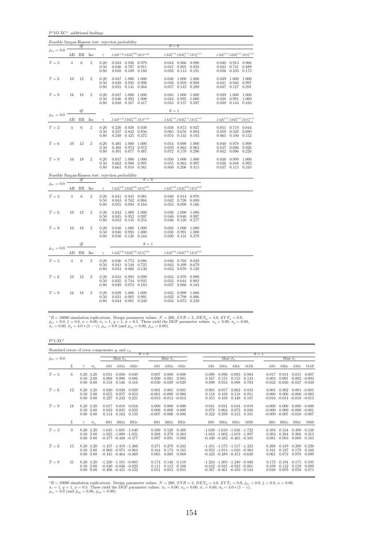$\mathbf{P}^{\phi}\mathbf{1} \mathbf{f} \mathbf{J}$ -XC<sup>∗</sup>: additional findings

|                                        |                |             |                |                                                     | Feasible Sargan-Hansen test: rejection probability                                |                                                                                                           |                                                                                   |
|----------------------------------------|----------------|-------------|----------------|-----------------------------------------------------|-----------------------------------------------------------------------------------|-----------------------------------------------------------------------------------------------------------|-----------------------------------------------------------------------------------|
| $\bar{\rho}_{x\epsilon}=0.0$           |                | df          |                |                                                     |                                                                                   | $\theta = 0$                                                                                              |                                                                                   |
|                                        | AВ             | BB          | Inc            | $\gamma$                                            | $JAB^{(1,0)}JBB^{(1,0)}_aJES^{(1,0)}$                                             | $JAB_a^{(1,1)}JBB_a^{(1,1)}JES_a^{(1,1)} \hspace{2cm} JAB_c^{(1,1)}JBB_c^{(1,1)}JES_c^{(1,1)}$            |                                                                                   |
| $T=3$                                  | $\,4\,$        | 6           | $\overline{2}$ | 0.20<br>0.50<br>0.80                                | 0.043<br>0.938 0.979<br>0.787<br>0.911<br>0.046<br>0.058<br>0.109<br>0.180        | 0.044<br>0.966 0.988<br>0.923<br>0.047<br>0.805<br>0.058<br>0.113<br>0.181                                | $0.040$ 0.913<br>0.968<br>0.741<br>0.889<br>0.043<br>0.056<br>0.103<br>0.173      |
| $T=6$                                  | 10             | 12          | $\overline{2}$ | 0.20<br>0.50<br>0.80                                | 0.047<br>1.000<br>1.000<br>0.049<br>0.950<br>0.998<br>0.055<br>0.145<br>0.304     | 0.048<br>1.000<br>1.000<br>0.049<br>0.959<br>0.998<br>0.057<br>0.142<br>0.289                             | 1.000<br>1.000<br>0.039<br>0.041<br>0.940<br>0.997<br>0.047<br>0.127<br>0.291     |
| $T=9$                                  | 16             | 18          | $\overline{2}$ | 0.20<br>0.50<br>0.80                                | 0.047<br>1.000<br>1.000<br>1.000<br>0.046<br>0.993<br>0.048<br>$0.167$ $0.417$    | 0.045<br>1.000<br>1.000<br>0.044<br>0.995<br>1.000<br>0.053<br>0.157 0.397                                | 0.039<br>1.000<br>1.000<br>0.038 0.991<br>1.000<br>0.039 0.144<br>0.410           |
| $\bar{\rho}_{x\varepsilon}=0.0$        |                | df          |                |                                                     |                                                                                   | $\theta=1$                                                                                                |                                                                                   |
|                                        | AB             | <b>BB</b>   | Inc            | $\gamma$                                            | $JAB^{\left( 1,0\right) }JBB_{a}^{\left( 1,0\right) }JES^{\left( 1,0\right) }$    | $JAB_a^{(1,1)}JBB_a^{(1,1)}JES_a^{(1,1)}$                                                                 | $JAB_c^{(1,1)}JBB_c^{(1,1)}JES_c^{(1,1)}$                                         |
| $T = 3$                                | $\overline{4}$ | 6           | $\overline{2}$ | 0.20<br>0.50<br>0.80                                | 0.220<br>0.928 0.939<br>0.237<br>0.842<br>0.856<br>0.248<br>0.425<br>0.372        | 0.873<br>0.058<br>0.937<br>0.065<br>0.676<br>0.804<br>0.074<br>0.133<br>0.193                             | $0.051\,$<br>0.719<br>0.844<br>0.059<br>0.528<br>0.690<br>0.100<br>0.065<br>0.152 |
| $T=6$                                  | 10             | 12          | $\overline{2}$ | 0.20<br>0.50<br>0.80                                | 1.000<br>0.485<br>1.000<br>0.488<br>0.974<br>0.972<br>$0.491\,$<br>0.677<br>0.487 | 0.054<br>0.998<br>1.000<br>0.059<br>0.863<br>0.963<br>0.072<br>0.170<br>0.296                             | 0.040<br>0.978<br>0.999<br>0.037<br>0.696<br>0.926<br>0.042<br>0.096<br>0.226     |
| $T=9$                                  | 16             | 18          | $\overline{2}$ | 0.20<br>0.50<br>0.80                                | 1.000<br>0.657<br>1.000<br>0.997<br>0.662<br>0.998<br>0.661<br>$0.810$ $0.561$    | 0.050<br>$1.000\,$<br>1.000<br>0.055<br>0.962<br>0.997<br>0.069<br>0.206<br>0.415                         | 0.999<br>0.038<br>1.000<br>0.036<br>0.848<br>0.992<br>$0.037$ $0.113$<br>0.310    |
|                                        |                | df          |                |                                                     | Feasible Sargan-Hansen test: rejection probability<br>$\theta = 0$                |                                                                                                           |                                                                                   |
| $\bar{\rho}_{x\varepsilon}=0.0$ $^{-}$ | AВ             | ΒB          | Inc            | $\gamma$                                            | $JAB_a^{(2,2)}JBB_a^{(2,2)}JES_a^{(2,2)}$                                         | $JAB_c^{(2,2)}JBB_c^{(2,2)}JES_c^{(2,2)}$                                                                 |                                                                                   |
| $T=3$                                  | $\overline{4}$ | 6           | $\overline{2}$ | 0.20<br>0.50<br>0.80                                | 0.041 0.945 0.981<br>0.904<br>0.762<br>0.043<br>0.055<br>0.094<br>0.164           | 0.040<br>0.914 0.970<br>0.042<br>0.738<br>0.889<br>0.053<br>0.098<br>0.166                                |                                                                                   |
| $T=6$                                  | 10             | 12          | $\overline{2}$ | 0.20<br>0.50<br>0.80                                | 1.000<br>1.000<br>0.043<br>0.952<br>0.997<br>0.045<br>0.116<br>0.255<br>0.052     | 1.000<br>0.038<br>1.000<br>0.040<br>0.940<br>0.997<br>0.046<br>0.120<br>0.277                             |                                                                                   |
| $T=9$                                  | 16             | 18          | $\,2$          | $\begin{array}{c} 0.20 \\ 0.50 \end{array}$<br>0.80 | 0.040<br>1.000<br>1.000<br>1.000<br>0.040<br>0.993<br>0.050 0.126 0.344           | $\begin{array}{c} 0.038 \\ 0.038 \\ 0.039 \end{array}$<br>1.000<br>1.000<br>0.991<br>1.000<br>0.131 0.379 |                                                                                   |
|                                        |                | df          |                |                                                     | $\theta = 1$                                                                      |                                                                                                           |                                                                                   |
| $\bar{\rho}_{x\varepsilon}=0.0$        | AΒ             | $_{\rm BB}$ | Inc            | $\gamma$                                            | $JAB_a^{(2,2)}JBB_a^{(2,2)}JES_a^{(2,2)}$                                         | $JAB_c^{(2,2)}JBB_c^{(2,2)}JES_c^{(2,2)}$                                                                 |                                                                                   |
| $T=3$                                  | $\overline{4}$ | 6           | $\overline{2}$ | 0.20<br>0.50<br>0.80                                | 0.036 0.773 0.886<br>0.725<br>0.041<br>0.548<br>0.053<br>0.068<br>0.130           | 0.040<br>0.702 0.839<br>0.043<br>0.499<br>0.679<br>0.053<br>0.070<br>0.128                                |                                                                                   |
| $T=6$                                  | 10             | 12          | $\overline{2}$ | 0.20<br>0.50<br>0.80                                | 0.031<br>0.993<br>0.999<br>0.935<br>0.035<br>0.744<br>0.049<br>$0.074$ $0.183$    | 0.034<br>0.970<br>0.998<br>0.033<br>0.644<br>0.902<br>0.037<br>0.066<br>0.184                             |                                                                                   |
| $T=9$                                  | 16             | 18          | $\overline{2}$ | 0.20<br>0.50<br>0.80                                | 1.000<br>0.029<br>1.000<br>0.031<br>0.905<br>0.991<br>$0.081$ $0.240$<br>0.044    | 0.999<br>0.033<br>1.000<br>0.032<br>0.798<br>0.986<br>0.034<br>0.073<br>0.239                             |                                                                                   |

\*R = 10000 simulation replications. Design parameter values:  $N = 200$ ,  $SNR = 3$ ,  $DEN_y = 4.0$ ,  $EVF_x = 0.0$ ,<br> $\bar{\rho}_{xe} = 0.0$ ,  $\xi = 0.8$ ,  $\kappa = 0.00$ ,  $\sigma_e = 1$ ,  $q = 1$ ,  $\phi = 0.5$ . These yield the DGP parameter values:  $\pi_{\lambda} = 0.$ 

 $P^{\phi}$ 1-XC $^*$ 

| Standard errors of error components $\eta_i$ and $\varepsilon_{it}$ |    |                                               |            |                                                                                      |                         |                         |                         |                                                               |                         |                                                                         |                                                                      |                         |                         |                                  |                                                    |                                                     |                                  |
|---------------------------------------------------------------------|----|-----------------------------------------------|------------|--------------------------------------------------------------------------------------|-------------------------|-------------------------|-------------------------|---------------------------------------------------------------|-------------------------|-------------------------------------------------------------------------|----------------------------------------------------------------------|-------------------------|-------------------------|----------------------------------|----------------------------------------------------|-----------------------------------------------------|----------------------------------|
| $\bar{\rho}_{x\varepsilon} = 0.0$                                   |    |                                               |            |                                                                                      | Bias $\tilde{\sigma}_n$ |                         | $\theta = 0$            | Bias $\hat{\sigma}_{\varepsilon}$                             |                         |                                                                         | Bias $\hat{\sigma}_n$                                                |                         |                         | $\theta = 1$                     |                                                    | Bias $\hat{\sigma}_{\varepsilon}$                   |                                  |
|                                                                     | L  |                                               | $\sigma_n$ | AB1                                                                                  | AB2a                    | AB2c                    | AB1                     | AB2a                                                          | AB2c                    | AB1                                                                     | AB2a                                                                 | AB2c                    | MAB                     | AB1                              | AB2a                                               | AB2c                                                | MAB                              |
| $T=3$                                                               | 6. | $0.20\ 3.20$<br>$0.50 \t2.00$<br>$0.80\ 0.80$ |            | 0.051<br>0.088<br>0.518                                                              | 0.050<br>0.090<br>0.546 | 0.049<br>0.086<br>0.516 | 0.007<br>0.000          | 0.008<br>0.001<br>$-0.030 - 0.029 - 0.029$                    | 0.008<br>0.001          | 0.098<br>0.167<br>0.899                                                 | 0.096<br>0.155<br>0.934                                              | 0.093<br>0.155<br>0.898 | 0.084<br>0.133<br>0.784 | 0.017<br>0.003                   | 0.014<br>0.001<br>$-0.032 - 0.030 - 0.037 - 0.038$ |                                                     | $0.015$ 0.007<br>$0.002 - 0.003$ |
| $T=6$                                                               | 12 | $0.20\ 3.20$<br>$0.50$ 2.00<br>$0.80\ 0.80$   |            | 0.030<br>0.055<br>0.227                                                              | 0.030<br>0.057<br>0.242 | 0.029<br>0.053<br>0.221 | 0.001                   | 0.001<br>$-0.001 - 0.000 - 0.000$<br>$-0.013 - 0.013 - 0.013$ | 0.001                   | 0.065<br>0.118<br>0.455                                                 | 0.057<br>0.108<br>0.450                                              | 0.062<br>0.118<br>0.449 | 0.033<br>0.051<br>0.187 | 0.001<br>0.000                   | 0.002<br>$-0.016$ $-0.014$ $-0.018$ $-0.015$       | $0.001 - 0.001$<br>$0.000 - 0.000 - 0.003$          |                                  |
| $T=9$                                                               | 18 | $0.20\ 3.20$<br>$0.50$ 2.00<br>$0.80\ 0.80$   |            | 0.017<br>0.033<br>0.154                                                              | 0.018<br>0.035<br>0.162 | 0.016<br>0.032<br>0.150 | 0.000<br>0.000          | 0.000<br>0.000<br>$-0.007 - 0.006 - 0.006$                    | 0.000<br>0.000          | 0.041<br>0.078<br>0.322                                                 | 0.031<br>0.064<br>0.299                                              | 0.034<br>0.072<br>0.313 | 0.019<br>0.030<br>0.101 | $-0.000$<br>$-0.000$<br>$-0.009$ | 0.000                                              | $0.000 - 0.000 - 0.001$<br>$-0.007 - 0.010 - 0.007$ | $0.000 - 0.000$                  |
|                                                                     | L  | $\sim$                                        | $\sigma_n$ | B <sub>B1</sub>                                                                      | BB <sub>2a</sub>        | BB2c                    | B <sub>B1</sub>         | BB <sub>2a</sub>                                              | BB2c                    | B <sub>B1</sub>                                                         | BB <sub>2a</sub>                                                     | BB <sub>2c</sub>        | <b>MBB</b>              | B <sub>B1</sub>                  | BB <sub>2a</sub>                                   | BB <sub>2c</sub>                                    | <b>MBB</b>                       |
| $T = 3$                                                             | 9  | $0.20\ 3.20$<br>$0.50 \t2.00$<br>$0.80\ 0.80$ |            | $-1.645 - 1.605 - 1.640$<br>$-1.025 - 1.000 - 1.021$<br>$-0.477 - 0.488 - 0.477$     |                         |                         | 0.500<br>0.268<br>0.087 | 0.528<br>0.278<br>0.091                                       | 0.488<br>0.264<br>0.088 | $-1.016$ $-1.002$ $-1.019$ $-1.097$                                     | $-1.639 - 1.610 - 1.656 - 1.722$<br>$-0.430 - 0.482 - 0.465 - 0.505$ |                         |                         | 0.494<br>0.263<br>0.081          | 0.534<br>0.284<br>0.093                            | 0.498<br>0.266<br>0.089                             | 0.538<br>0.313<br>0.165          |
| $T=6$                                                               | 15 | $0.20\ 3.20$<br>$0.50\ 2.00$<br>$0.80\ 0.80$  |            | $-1.457$ $-1.459$ $-1.366$<br>$-0.960$ $-0.971$ $-0.964$<br>$-0.445 - 0.464 - 0.460$ |                         |                         | 0.271<br>0.164<br>0.065 | 0.278<br>0.172<br>0.069                                       | 0.242<br>0.165<br>0.068 | $-1.451 - 1.575 - 1.517 - 1.323$<br>$-0.952 -1.014 -1.010 -0.984$       | $-0.424$ $-0.489$ $-0.473$ $-0.630$                                  |                         |                         | 0.268<br>0.161<br>0.061          | 0.319<br>0.187<br>0.073                            | 0.288<br>0.179<br>0.070                             | 0.220<br>0.166<br>0.099          |
| $T=9$                                                               | 21 | $0.20\ 3.20$<br>$0.50\ 2.00$<br>$0.80\ 0.80$  |            | $-1.230 -1.101 -0.985$<br>$-0.840 - 0.836 - 0.829$<br>$-0.406$ $-0.431$ $-0.432$     |                         |                         | 0.174<br>0.111<br>0.051 | 0.146<br>0.112<br>0.055                                       | 0.119<br>0.108<br>0.055 | $-1.224$ $-1.305$ $-1.240$ $-0.940$<br>$-0.832 - 0.925 - 0.923 - 0.801$ | $-0.387 - 0.461 - 0.450 - 0.544$                                     |                         |                         | 0.172<br>0.109<br>0.048          | 0.194<br>0.132<br>0.059                            | 0.175<br>0.129<br>0.058                             | 0.105<br>0.099<br>0.071          |

 ${}^*R = 10000$  simulation replications. Design parameter values:  $N = 200$ ,  $SNR = 3$ ,  $DEN_y = 4.0$ ,  $EVF_x = 0.0$ ,  $\bar{\rho}_{x\bar{z}} = 0.0$ ,  $\xi = 0.8$ ,  $\kappa = 0.00$ ,<br>  $\sigma_{\varepsilon} = 1$ ,  $q = 1$ ,  $\phi = 0.5$ . These yield the DGP parameter values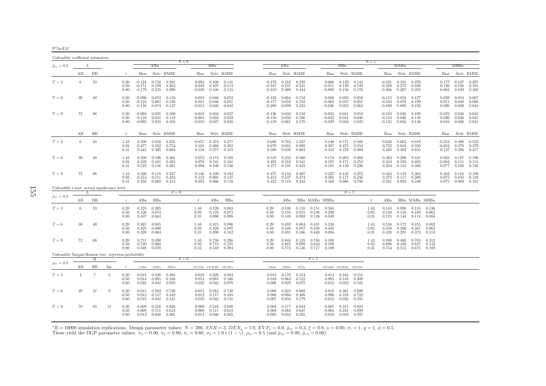|--|

| Unfeasible coefficient estimators                    |                |             |     |                          |                                  |                         |                                 |                            |                                           |                                   |                      |                                  |                                           |                         |                         |                                  |                                             |                         |                      |                                  |                                             |                         |                         |                               |                                 |                         |
|------------------------------------------------------|----------------|-------------|-----|--------------------------|----------------------------------|-------------------------|---------------------------------|----------------------------|-------------------------------------------|-----------------------------------|----------------------|----------------------------------|-------------------------------------------|-------------------------|-------------------------|----------------------------------|---------------------------------------------|-------------------------|----------------------|----------------------------------|---------------------------------------------|-------------------------|-------------------------|-------------------------------|---------------------------------|-------------------------|
| $\bar{\rho}_{x\varepsilon}=0.3$                      |                | L           |     |                          |                                  | ABu                     |                                 | $\theta = 0$               | BBu                                       |                                   |                      |                                  | ABu                                       |                         |                         |                                  | BBu                                         |                         | $\theta = 1$         |                                  | MABu                                        |                         |                         |                               | MBBu                            |                         |
|                                                      | АB             | ΒB          |     | $\gamma$                 | Bias                             |                         | Stdy RMSE                       | Bias                       |                                           | Stdy RMSE                         |                      | Bias                             |                                           | Stdy RMSE               |                         | Bias                             |                                             | Stdy RMSE               |                      | Bias                             |                                             | Stdy RMSE               |                         | Bias                          |                                 | Stdy RMSE               |
| $T=3$                                                | -6             | 10          |     | 0.20<br>0.50<br>0.80     | $-0.124$<br>$-0.171$<br>$-0.179$ | 0.158<br>0.199<br>0.235 | 0.201<br>0.263<br>0.296         | 0.093<br>0.039<br>$-0.038$ | 0.107<br>0.108                            | $0.106$ $0.141$<br>0.113<br>0.115 |                      | $-0.170$<br>$-0.247$<br>$-0.319$ | 0.182<br>0.235<br>0.308                   | 0.249<br>0.341<br>0.444 |                         | 0.060<br>$-0.011$<br>$-0.092$    | 0.129<br>0.139<br>0.150                     | 0.143<br>0.139<br>0.176 |                      | $-0.328$                         | $-0.191$ $0.191$<br>0.272<br>$-0.266$ 0.287 | 0.270<br>0.426<br>0.392 |                         | 0.177<br>0.126<br>0.003       | 0.107<br>0.100<br>0.102         | 0.207<br>0.161<br>0.102 |
| $T=6$                                                | 30             | 40          |     | 0.20<br>0.50<br>0.80     | $-0.096$<br>$-0.122$<br>$-0.116$ | 0.053<br>0.065<br>0.074 | 0.110<br>0.138<br>0.137         | 0.019<br>0.021<br>$-0.012$ | 0.048<br>0.046<br>0.040                   | 0.052<br>0.051<br>0.042           |                      | $-0.138$<br>$-0.177$<br>$-0.200$ | 0.064<br>0.078<br>0.099                   | 0.152<br>0.193<br>0.223 |                         | 0.006<br>$-0.003$<br>$-0.036$    | 0.059<br>0.057<br>0.053                     | 0.059<br>0.057<br>0.064 |                      | $-0.113$<br>$-0.183$<br>$-0.169$ | 0.058<br>0.078<br>0.092                     | 0.127<br>0.199<br>0.192 |                         | 0.039<br>0.071<br>0.020       | 0.054<br>0.049<br>0.038         | 0.067<br>0.086<br>0.043 |
| $T=9$                                                | 72             | 88          |     | 0.20<br>0.50<br>0.80     | $-0.094$<br>$-0.110$<br>$-0.095$ | 0.035<br>0.041          | 0.100<br>0.118<br>$0.045$ 0.105 | $-0.018$<br>$-0.004$       | 0.033<br>0.033<br>$-0.010$ $0.027$        | 0.037<br>0.033<br>0.028           |                      | $-0.136$<br>$-0.158$<br>$-0.159$ | 0.042<br>0.050<br>0.061                   | 0.142<br>0.166<br>0.170 |                         | $-0.032$<br>$-0.022$<br>$-0.029$ | 0.041<br>0.041<br>0.034                     | 0.052<br>0.046<br>0.045 |                      | $-0.103$<br>$-0.143$             | 0.036<br>0.046<br>$-0.135$ $0.056$ $0.146$  | 0.109<br>0.150          |                         | $-0.023$<br>0.020<br>0.016    | 0.036<br>0.036<br>0.026         | 0.043<br>0.041<br>0.031 |
|                                                      | AB             | $_{\rm BB}$ |     | $\beta$                  | <b>Bias</b>                      |                         | Stdy RMSE                       | Bias                       |                                           | Stdy RMSE                         |                      | <b>Bias</b>                      |                                           | Stdy RMSE               |                         | Bias                             |                                             | Stdy RMSE               |                      | <b>Bias</b>                      |                                             | Stdy RMSE               |                         | <b>Bias</b>                   |                                 | Stdy RMSE               |
| $T=3$                                                | 6              | 10          |     | 1.43<br>0.93<br>0.31     | 0.500<br>0.477<br>0.345          | 0.656<br>0.582<br>0.495 | 0.825<br>0.753<br>0.604         | $-0.057$<br>0.101<br>0.158 | 0.368<br>0.277                            | $0.474$ $0.477$<br>0.382<br>0.319 |                      | 0.688<br>0.679<br>0.580          | 0.762<br>0.691<br>0.639                   | 1.027<br>0.969<br>0.863 |                         | 0.140<br>0.287<br>0.310          | 0.571<br>0.472<br>0.378                     | 0.588<br>0.553<br>0.489 |                      | 0.636<br>0.722<br>0.420          | 0.663<br>0.618<br>0.502                     | 0.919<br>0.950<br>0.655 |                         | $-0.254$<br>$-0.034$<br>0.137 | 0.490<br>0.378<br>0.286         | 0.552<br>0.379<br>0.317 |
| $T=6$                                                | 30             | 40          |     | 1.43<br>0.93<br>0.31     | 0.350<br>0.339<br>0.219          | 0.196<br>0.181<br>0.148 | 0.401<br>0.384<br>0.265         | 0.072<br>0.078<br>0.098    | 0.141<br>0.100                            | $0.174$ 0.188<br>0.161<br>0.140   |                      | 0.510<br>0.495<br>0.371          | 0.233<br>0.218<br>0.195                   | 0.560<br>0.541<br>0.419 |                         | 0.187<br>0.185                   | $0.174$ 0.203<br>0.171<br>0.130             | 0.268<br>0.253<br>0.226 |                      | 0.382<br>0.443<br>0.264          | 0.200<br>0.193<br>0.154                     | 0.431<br>0.483<br>0.306 |                         | 0.033<br>$-0.004$<br>0.077    | 0.187<br>0.151<br>0.102         | 0.190<br>0.151<br>0.128 |
| $T=9$                                                | 72             | 88          |     | 1.43<br>0.93<br>0.31     | 0.326<br>0.313<br>0.193          | 0.118<br>0.111<br>0.089 | 0.347<br>0.333<br>0.213         | 0.146<br>0.112<br>0.095    | 0.109<br>0.095<br>0.066                   | 0.182<br>0.147<br>0.116           |                      | 0.475                            | 0.144<br>$0.454$ 0.137<br>$0.322$ $0.119$ | 0.497<br>0.474<br>0.343 |                         | 0.237<br>0.205<br>0.169          | 0.133<br>0.117<br>0.086                     | 0.272<br>0.236<br>0.190 |                      | 0.343<br>0.372                   | 0.119<br>0.117<br>$0.231$ $0.093$           | 0.363<br>0.390<br>0.249 |                         | 0.162<br>0.075                | 0.116<br>0.103<br>$0.075$ 0.069 | 0.199<br>0.128<br>0.101 |
| Unfeasible t-test: actual significance level         |                | L           |     |                          |                                  |                         | $\theta = 0$                    |                            |                                           |                                   |                      |                                  |                                           |                         |                         |                                  |                                             | $\theta = 1$            |                      |                                  |                                             |                         |                         |                               |                                 |                         |
| $\bar{\rho}_{x\epsilon}=0.3$                         | AВ             | BB          |     | $\gamma$                 | ABu                              | BBu                     |                                 | $\beta$                    | ABu                                       | BBu                               | $\gamma$             |                                  | ABu                                       |                         | BBu MABu MBBu           |                                  |                                             |                         | $\beta$              | ABu                              |                                             | BBu MABu MBBu           |                         |                               |                                 |                         |
| $T=3$                                                | 6              | $10\,$      |     | 0.20<br>0.50<br>0.80     | 0.124<br>0.130<br>0.107          | 0.205<br>0.074<br>0.063 |                                 | 1.43<br>0.93<br>0.31       | 0.120<br>0.124<br>0.098                   | 0.083<br>0.073<br>0.098           | 0.20<br>0.50<br>0.80 |                                  | 0.138<br>0.155<br>0.148                   | 0.110<br>0.055<br>0.092 | 0.151<br>0.198<br>0.138 | 0.504<br>0.290<br>0.049          |                                             |                         | 1.43<br>0.93<br>0.31 | 0.143<br>0.149<br>0.125          | 0.096<br>0.118<br>0.144                     | 0.153<br>0.180<br>0.114 | 0.136<br>0.062<br>0.084 |                               |                                 |                         |
| $T=6$                                                | 30             | 40          |     | 0.20<br>0.50<br>0.80     | 0.387<br>0.425<br>0.328          | 0.085<br>0.090<br>0.063 |                                 | 1.43<br>0.93<br>0.31       | 0.415<br>0.428<br>0.290                   | 0.096<br>0.097<br>0.162           | 0.20<br>0.50<br>0.80 |                                  | 0.492<br>0.549<br>0.491                   | 0.064<br>0.057<br>0.106 | 0.431<br>0.580<br>0.440 | 0.138<br>0.350<br>0.094          |                                             |                         | 1.43<br>0.93<br>0.31 | 0.538<br>0.558<br>0.428          | 0.172<br>0.206<br>0.291                     | 0.455<br>0.567<br>0.373 | 0.082<br>0.062<br>0.113 |                               |                                 |                         |
| $T=9$                                                | 72             | 88          |     | 0.20<br>0.50<br>0.80     | 0.711<br>0.740<br>0.568          | 0.090<br>0.060<br>0.070 |                                 | 1.43<br>0.93<br>0.31       | 0.758<br>0.773<br>0.559                   | 0.286<br>0.235<br>0.294           | 0.20<br>0.50<br>0.80 |                                  | 0.844<br>0.865<br>0.772                   | 0.135<br>0.099<br>0.136 | 0.746<br>0.843<br>0.717 | 0.108<br>0.109<br>0.109          |                                             |                         | 1.43<br>0.93<br>0.31 | 0.890<br>0.896<br>0.754          | 0.468<br>0.456<br>0.513                     | 0.785<br>0.857<br>0.675 | 0.312<br>0.132<br>0.189 |                               |                                 |                         |
| Unfeasible Sargan-Hansen test: rejection probability |                | df          |     |                          |                                  |                         |                                 | $\theta = 0$               |                                           |                                   |                      |                                  |                                           |                         | $\theta = 1$            |                                  |                                             |                         |                      |                                  |                                             |                         |                         |                               |                                 |                         |
| $\bar{\rho}_{x\varepsilon}=0.3$                      | AВ             | BB          | Inc | $\gamma$                 | JABu                             | JBBu                    | JESu                            |                            | JMABu JMMBu JESMu                         |                                   |                      | JABu                             | JBBu                                      | JESu                    |                         | JMABu JMMBu JESMu                |                                             |                         |                      |                                  |                                             |                         |                         |                               |                                 |                         |
| $T=3$                                                | $\overline{4}$ | 7           | 3   | $0.20\,$<br>0.50<br>0.80 | 0.018<br>0.014<br>0.022          | 0.226<br>0.085<br>0.042 | 0.384<br>0.166<br>0.070         | 0.014<br>0.022             | $0.018$ 0.226<br>0.085<br>0.042           | 0.384<br>0.166<br>0.070           |                      | 0.010<br>0.008                   | $0.014$ $0.170$<br>0.063<br>0.029         | 0.314<br>0.152<br>0.075 |                         | 0.005                            | $0.013$ $0.342$<br>0.143<br>$0.012$ $0.052$ | 0.551<br>0.308<br>0.105 |                      |                                  |                                             |                         |                         |                               |                                 |                         |
| $T=6$                                                | 28             | 37          | -9  | 0.20<br>0.50<br>0.80     | 0.015<br>0.012<br>0.018          | 0.284<br>0.117<br>0.042 | 0.730<br>0.410<br>0.131         | 0.015<br>0.012<br>0.018    | 0.284<br>0.117<br>0.042                   | 0.730<br>0.410<br>0.131           |                      | 0.008<br>0.006<br>0.007          | 0.223<br>0.086<br>0.034                   | 0.688<br>0.408<br>0.179 |                         | 0.006<br>0.012                   | $0.012$ 0.461<br>0.233<br>0.056             | 0.898<br>0.722<br>0.241 |                      |                                  |                                             |                         |                         |                               |                                 |                         |
| $T=9$                                                | 70             | 85          | 15  | 0.20<br>0.50<br>0.80     | 0.009<br>0.009<br>0.014          | 0.216<br>0.111<br>0.040 | 0.820<br>0.613<br>0.205         | 0.009<br>0.009             | 0.216<br>0.111<br>$0.014$ $0.040$ $0.205$ | 0.820<br>0.613                    |                      | 0.004<br>0.003                   | 0.177<br>0.084<br>$0.005$ 0.033           | 0.844<br>0.647<br>0.285 |                         | 0.007<br>0.004                   | 0.315<br>0.241<br>$0.010 \quad 0.059$       | 0.923<br>0.899<br>0.397 |                      |                                  |                                             |                         |                         |                               |                                 |                         |

 ${}^*R = 10000$  simulation replications. Design parameter values:  $N = 200$ ,  $SNR = 3$ ,  $DEN_y = 1.0$ ,  $EVF_x = 0.0$ ,  $\bar{\rho}_{xc} = 0.3$ ,  $\xi = 0.8$ ,  $\kappa = 0.00$ ,  $\sigma_{\varepsilon} = 1$ ,  $q = 1$ ,  $\phi = 0.5$ .<br>These yield the DGP parameter values:  $\pi$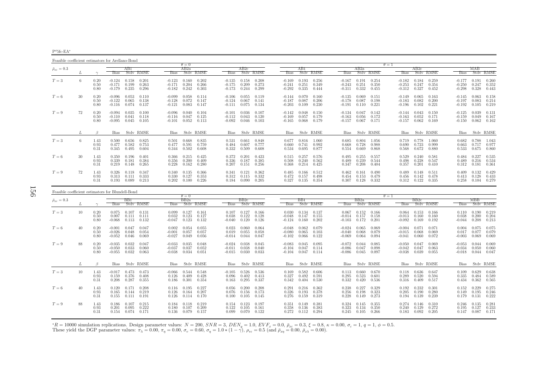$P^{\phi}$ 5fc-EA\*

Feasible coefficient estimators for Arellano-Bond $\theta$  – 0 AB2a<br>Bias Stdv RMSE  $\frac{\theta}{\theta} = 1$   $\frac{\theta}{AB2c}$   $\frac{\theta}{AB2a}$  $\bar{\rho}_{x\varepsilon}=0.3$  $\epsilon = 0.3$   $I$   $\epsilon = 0.3$   $I$   $\epsilon = 0.3$   $I$   $\epsilon = 0.3$   $I$   $\epsilon = 0.3$   $I$   $\epsilon = 0.3$   $I$   $\epsilon = 0.3$   $I$   $\epsilon = 0.3$   $I$   $\epsilon = 0.3$   $I$   $\epsilon = 0.3$   $I$   $\epsilon = 0.3$   $I$   $\epsilon = 0.3$   $I$   $\epsilon = 0.3$   $I$   $\epsilon = 0.3$   $I$   $\epsilon = 0.3$   $I$   $\epsilon = 0.3$  L  $\gamma$  Bias Stdv RMSE Bias Stdv RMSE Bias Stdv RMSE Bias Stdv RMSE Bias Stdv RMSE Bias Stdv RMSE Bias Stdv RMSE0.260  $T=3$  $T=3$  6 0.20 -0.124 0.158 0.201 -0.123 0.160 0.202 -0.135 0.158 0.208 -0.169 0.193 0.256 -0.167 0.191 0.254 -0.182 0.184 0.259 -0.177 0.191 0.260<br>0.50 -0.171 0.199 0.263 -0.171 0.204 0.266 -0.175 0.209 0.273 -0.241 0.251  $\begin{array}{cccccccccccc} 0.50 & -0.171 & 0.199 & 0.263 & -0.171 & 0.204 & 0.266 & -0.175 & 0.209 & 0.273 & -0.241 & 0.251 & 0.349 & -0.243 & 0.251 & 0.350 & -0.253 & 0.247 & 0.354 & -0.250 & 0.247 & 0.352 & 0.349 & -0.243 & 0.251 & 0.350 & -0.253 & 0.247 & 0.354 & -0.250 & 0$  $0.443$  $-0.179$   $0.235$   $0.296$ 0.158  $T=6$  $T=6$   $30$   $0.20$   $-0.096$   $0.053$   $0.110$   $-0.099$   $0.058$   $0.114$   $-0.106$   $0.055$   $0.119$   $-0.144$   $0.070$   $0.160$   $-0.135$   $0.069$   $0.151$   $-0.149$   $0.065$   $0.163$   $-0.145$   $0.063$   $0.158$ <br> $0.050$   $-0.128$   $0.072$   $0.$  $\begin{array}{cccccccccccc} 0.50 & -0.122 & 0.065 & 0.138 & -0.128 & 0.072 & 0.147 & -0.124 & 0.067 & 0.141 & -0.187 & 0.087 & 0.206 & -0.178 & 0.087 & 0.198 & -0.183 & 0.082 & 0.200 & -0.197 & 0.083 & 0.214 & -0.111 & 0.075 & 0.134 & -0.203 & 0.109 & 0.230 & -0.191 & 0.110 & 0$  $0.219$ 0.80 -0.116 0.074 0.137 -0.121 0.083 0.147 -0.111 0.075 0.134 -0.203 0.109 0.230 -0.191 0.110 0.221 -0.196 0.102 0.221 -0.192 0.105 0.219 $T=9$  $T=9$   $T=12$   $T=0.094$   $T=0.094$   $T=0.096$   $T=0.040$   $T=0.104$   $T=0.004$   $T=0.0036$   $T=0.101$   $T=0.004$   $T=0.142$   $T=0.048$   $T=0.150$   $T=0.134$   $T=0.144$   $T=0.144$   $T=0.150$   $T=0.159$   $T=0.159$   $T=0.159$   $T=0.163$   $T=0.15$ 0.50 -0.110 0.041 0.118 -0.116 0.047 0.125 -0.112 0.043 0.120 -0.169 0.057 0.179 -0.163 0.056 0.172 -0.163 0.052 0.171 -0.159 0.049 0.167 $0.062$   $0.162$ 0.80 -0.095 0.045 0.105 -0.101 0.052 0.113 -0.092 0.046 0.103 -0.165 0.068 0.179 -0.157 0.067 0.171 -0.157 0.062 0.169 -0.150 0.062 0.162 $L \qquad \qquad \beta$ Bias Stdv RMSE Bias Stdv RMSE Bias Stdv RMSE Bias Stdv RMSE Bias Stdv RMSE Bias Stdv RMSE Bias Stdv RMSE Bias Stdv RMSE 1.043  $T=3$  $T=3$  6  $1.43$   $0.500$   $0.656$   $0.825$   $0.501$   $0.668$   $0.835$   $0.531$   $0.661$   $0.848$   $0.677$   $0.816$   $1.060$   $0.685$   $0.804$   $1.056$   $0.804$   $1.056$   $0.719$   $0.778$   $1.060$   $0.682$   $0.788$   $1.043$   $0.977$   $0.977$   $0.660$  $0.93$   $0.477$   $0.582$   $0.753$   $0.477$   $0.591$   $0.759$   $0.484$   $0.607$   $0.777$   $0.660$   $0.741$   $0.992$   $0.668$   $0.728$   $0.988$   $0.690$   $0.723$   $0.999$   $0.663$   $0.717$   $0.977$ 0.860 0.31 0.345 0.495 0.604 0.344 0.502 0.608 0.332 0.509 0.608 0.534 0.695 0.877 0.554 0.669 0.868 0.568 0.672 0.880 0.533 0.675 0.8600.535  $T=6$  $T=6$   $30$   $1.43$   $0.350$   $0.196$   $0.401$   $0.366$   $0.215$   $0.425$   $0.372$   $0.201$   $0.423$   $0.515$   $0.257$   $0.576$   $0.495$   $0.255$   $0.557$   $0.529$   $0.240$   $0.581$   $0.484$   $0.227$   $0.535$   $0.534$   $0.536$   $0.200$   $0.409$   $0.$ 0.93 0.339 0.181 0.384 0.356 0.200 0.409 0.336 0.187 0.385 0.508 0.240 0.562 0.489 0.239 0.544 0.498 0.228 0.547 0.489 0.216 0.5340.361 0.31 0.219 0.148 0.265 0.228 0.162 0.280 0.207 0.151 0.256 0.368 0.214 0.425 0.347 0.208 0.404 0.357 0.201 0.410 0.312 0.181 0.361 $T=9$  $T=9 \hspace{1cm} 72 \hspace{1cm} 1.43 \hspace{1cm} 0.326 \hspace{1cm} 0.118 \hspace{1cm} 0.347 \hspace{1cm} 0.340 \hspace{1cm} 0.135 \hspace{1cm} 0.366 \hspace{1cm} 0.341 \hspace{1cm} 0.121 \hspace{1cm} 0.362 \hspace{1cm} 0.485 \hspace{1cm} 0.166 \hspace{1cm} 0.512 \hspace{1cm} 0.462 \hspace{1cm} 0.161 \hspace{1cm} 0.490$  $\begin{array}{cccccccccccc} 1.43 & 0.326 & 0.118 & 0.347 & 0.340 & 0.135 & 0.366 & 0.341 & 0.121 & 0.362 & 0.485 & 0.166 & 0.512 & 0.462 & 0.161 & 0.490 & 0.489 & 0.148 & 0.511 & 0.409 & 0.132 & 0.429 & 0.456 & 0.432 & 0.462 & 0.479 & 0.489 & 0.432 & 0.432 & 0.429 & 0$  $0.258$   $0.104$   $0.279$ 0.31 0.193 0.089 0.213 0.202 0.100 0.226 0.184 0.090 0.205 0.327 0.135 0.354 0.307 0.128 0.332 0.312 0.122 0.335 0.258 0.104 0.279

| Feasible coefficient estimators for Blundell-Bond |    |                      |                                  |                         |                         |                                  |                         |                         |                                  |                         |                         |                                  |                         |                                           |                                  |                         |                         |                                  |                         |                         |                                  |                         |                         |
|---------------------------------------------------|----|----------------------|----------------------------------|-------------------------|-------------------------|----------------------------------|-------------------------|-------------------------|----------------------------------|-------------------------|-------------------------|----------------------------------|-------------------------|-------------------------------------------|----------------------------------|-------------------------|-------------------------|----------------------------------|-------------------------|-------------------------|----------------------------------|-------------------------|-------------------------|
|                                                   |    |                      |                                  |                         |                         |                                  | $\theta = 0$            |                         |                                  |                         |                         |                                  |                         |                                           |                                  |                         |                         | $\theta=1$                       |                         |                         |                                  |                         |                         |
| $\bar{\rho}_{x\varepsilon}=0.3$                   |    |                      |                                  | BB1                     |                         |                                  | BB2a                    |                         |                                  | BB2c                    |                         |                                  | BB1                     |                                           |                                  | BB2a                    |                         |                                  | BB2c                    |                         |                                  | MBB                     |                         |
|                                                   |    |                      | <b>Bias</b>                      |                         | Stdy RMSE               | <b>Bias</b>                      |                         | Stdy RMSE               | <b>Bias</b>                      |                         | Stdy RMSE               | <b>Bias</b>                      |                         | Stdy RMSE                                 | <b>Bias</b>                      |                         | Stdy RMSE               | <b>Bias</b>                      |                         | Stdy RMSE               | <b>Bias</b>                      |                         | Stdy RMSE               |
| $T=3$                                             | 10 | 0.20<br>0.50<br>0.80 | 0.075<br>0.007<br>$-0.068$       | 0.107<br>0.111<br>0.113 | 0.131<br>0.111<br>0.132 | 0.099<br>0.032<br>$-0.047$       | 0.127<br>0.123<br>0.123 | 0.161<br>0.127<br>0.132 | 0.107<br>0.038<br>$-0.040$       | 0.127<br>0.122<br>0.120 | 0.166<br>0.128<br>0.126 | -0.048<br>$-0.124$               | 0.147<br>0.160          | $0.030$ $0.134$ $0.137$<br>0.155<br>0.202 | 0.067<br>$-0.014$<br>$-0.103$    | 0.152<br>0.157<br>0.172 | 0.166<br>0.158<br>0.201 | 0.064<br>$-0.013$<br>$-0.092$    | 0.153<br>0.160<br>0.169 | 0.166<br>0.160<br>0.192 | 0.110<br>0.038<br>$-0.044$       | 0.190<br>0.200<br>0.208 | 0.219<br>0.204<br>0.213 |
| $T=6$                                             | 40 | 0.20<br>0.50<br>0.80 | $-0.001$<br>$-0.026$<br>$-0.052$ | 0.047<br>0.048<br>0.046 | 0.047<br>0.054<br>0.069 | 0.002<br>$-0.001$<br>$-0.027$    | 0.054<br>0.057<br>0.049 | 0.055<br>0.057<br>0.056 | 0.023<br>0.019<br>$-0.014$       | 0.060<br>0.055<br>0.044 | 0.064<br>0.058<br>0.047 | $-0.048$<br>$-0.080$<br>$-0.102$ | 0.062<br>0.065<br>0.066 | 0.079<br>0.103<br>0.122                   | $-0.024$<br>$-0.040$<br>$-0.069$ | 0.065<br>0.068<br>0.064 | 0.069<br>0.079<br>0.094 | $-0.004$<br>$-0.015$<br>$-0.041$ | 0.071<br>0.068<br>0.060 | 0.071<br>0.069<br>0.072 | 0.004<br>0.017<br>$-0.003$       | 0.075<br>0.077<br>0.069 | 0.075<br>0.079<br>0.069 |
| $T=9$                                             | 88 | 0.20<br>0.50<br>0.80 | $-0.035$<br>$-0.050$<br>$-0.055$ | 0.032<br>0.033<br>0.032 | 0.047<br>0.060<br>0.063 | $-0.033$<br>$-0.037$<br>$-0.038$ | 0.035<br>0.037<br>0.034 | 0.048<br>0.052<br>0.051 | $-0.024$<br>$-0.011$<br>$-0.015$ | 0.038<br>0.038<br>0.030 | 0.045<br>0.040<br>0.033 | $-0.083$<br>$-0.104$<br>$-0.104$ | 0.045<br>0.047<br>0.047 | 0.095<br>0.114<br>0.114                   | $-0.072$<br>$-0.086$<br>$-0.086$ | 0.044<br>0.047<br>0.045 | 0.085<br>0.098<br>0.097 | $-0.050$<br>$-0.042$<br>$-0.038$ | 0.047<br>0.047<br>0.039 | 0.069<br>0.063<br>0.055 | $-0.053$<br>$-0.034$<br>$-0.018$ | 0.044<br>0.050<br>0.044 | 0.069<br>0.060<br>0.047 |
|                                                   |    |                      |                                  |                         | Bias Stdv RMSE          | Bias                             |                         | Stdv RMSE               |                                  |                         | Bias Stdy RMSE          | Bias                             |                         | Stdy RMSE                                 | Bias                             |                         | Stdv RMSE               |                                  |                         | Bias Stdv RMSE          | Bias                             |                         | Stdy RMSE               |
| $T=3$                                             | 10 | 1.43<br>0.93<br>0.31 | $-0.017$<br>0.159<br>0.208       | 0.473<br>0.376<br>0.287 | 0.473<br>0.408<br>0.355 | $-0.066$<br>0.126<br>0.186       | 0.544<br>0.409<br>0.301 | 0.548<br>0.428<br>0.354 | $-0.105$<br>0.096<br>0.163       | 0.526<br>0.402<br>0.295 | 0.536<br>0.413<br>0.337 | 0.169<br>0.327<br>0.342          | 0.582<br>0.492<br>0.404 | 0.606<br>0.591<br>0.530                   | 0.113<br>0.295<br>0.332          | 0.660<br>0.523<br>0.420 | 0.670<br>0.601<br>0.536 | 0.118<br>0.289<br>0.316          | 0.636<br>0.520<br>0.409 | 0.647<br>0.594<br>0.517 | 0.109<br>0.335<br>0.434          | 0.629<br>0.484<br>0.362 | 0.638<br>0.589<br>0.565 |
| $T=6$                                             | 40 | 1.43<br>0.93<br>0.31 | 0.120<br>0.165<br>0.155          | 0.171<br>0.144<br>0.111 | 0.208<br>0.219<br>0.191 | 0.116<br>0.126<br>0.126          | 0.195<br>0.164<br>0.114 | 0.227<br>0.207<br>0.170 | 0.056<br>0.076<br>0.100          | 0.200<br>0.156<br>0.105 | 0.208<br>0.173<br>0.145 | 0.291<br>0.326<br>0.276          | 0.216<br>0.193<br>0.159 | 0.362<br>0.378<br>0.319                   | 0.238<br>0.256<br>0.228          | 0.227<br>0.198<br>0.149 | 0.329<br>0.323<br>0.273 | 0.192<br>0.205<br>0.194          | 0.232<br>0.190<br>0.139 | 0.301<br>0.280<br>0.239 | 0.152<br>0.149<br>0.179          | 0.229<br>0.195<br>0.131 | 0.275<br>0.246<br>0.222 |
| $T=9$                                             | 88 | 1.43<br>0.93<br>0.31 | 0.186<br>0.201<br>0.154          | 0.107<br>0.095<br>0.074 | 0.215<br>0.222<br>0.171 | 0.184<br>0.180<br>0.136          | 0.118<br>0.107<br>0.079 | 0.219<br>0.209<br>0.157 | 0.154<br>0.122<br>0.099          | 0.123<br>0.105<br>0.070 | 0.197<br>0.161<br>0.122 | 0.351<br>0.358<br>0.272          | 0.149<br>0.136<br>0.112 | 0.381<br>0.383<br>0.294                   | 0.324<br>0.323<br>0.245          | 0.145<br>0.134<br>0.105 | 0.355<br>0.350<br>0.266 | 0.274<br>0.240<br>0.183          | 0.146<br>0.129<br>0.092 | 0.310<br>0.272<br>0.205 | 0.246<br>0.195<br>0.147          | 0.135<br>0.127<br>0.087 | 0.281<br>0.233<br>0.171 |

 ${}^*R = 10000$  simulation replications. Design parameter values:  $N = 200$ ,  $SNR = 3$ ,  $DEN_y = 1.0$ ,  $EVF_x = 0.0$ ,  $\bar{p}_{xz} = 0.3$ ,  $\xi = 0.8$ ,  $\kappa = 0.00$ ,  $\sigma_{\varepsilon} = 1$ ,  $q = 1$ ,  $\phi = 0.5$ .<br>These yield the DGP parameter values:  $\pi$  $*R = 10000$  simulation replications. Design parameter values:  $N = 200$ ,  $SNR = 3$ ,  $DEN_y = 1.0$ ,  $EVF_x = 0.0$ ,  $\bar{\rho}_{xz} = 0.3$ ,  $\xi = 0.8$ , These yield the DGP parameter values:  $\pi_{\lambda} = 0.00$ ,  $\pi_{\eta} = 0.00$ ,  $\sigma_v = 0.60$ ,  $\sigma_{\eta}$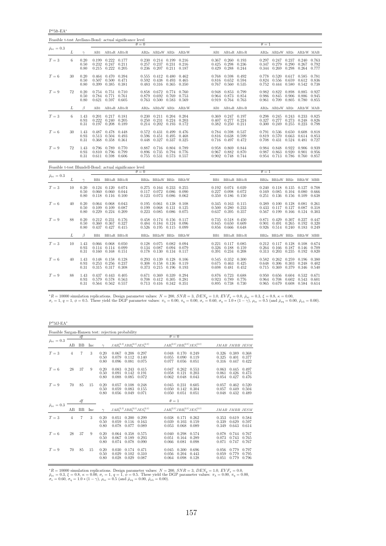$P^{\phi}$ 5ft-EA\*

| Feasible t-test Arellano-Bond: actual significance level |    |                      |                |                                                                         |                                  |                         |                                                                       |                |                                 |                         |                                                                           |                         |                         |                                                             |                         |                                                       |                |
|----------------------------------------------------------|----|----------------------|----------------|-------------------------------------------------------------------------|----------------------------------|-------------------------|-----------------------------------------------------------------------|----------------|---------------------------------|-------------------------|---------------------------------------------------------------------------|-------------------------|-------------------------|-------------------------------------------------------------|-------------------------|-------------------------------------------------------|----------------|
| $\bar{\rho}_{x\varepsilon} = 0.3$                        |    |                      |                |                                                                         |                                  | $\theta = 0$            |                                                                       |                |                                 |                         |                                                                           |                         | $\theta = 1$            |                                                             |                         |                                                       |                |
|                                                          | L  | $\gamma$             |                |                                                                         | AB1 AB1aR AB1cR                  |                         |                                                                       |                | AB2a AB2aW AB2c AB2cW           |                         | AB1 AB1aR AB1cR                                                           |                         |                         | AB2a AB2aW AB2c AB2cW MAB                                   |                         |                                                       |                |
| $T=3$                                                    | 6  | 0.20<br>0.50<br>0.80 | 0.232          | 0.199 0.222 0.177<br>$0.247$ $0.211$<br>$0.215$ $0.222$ $0.205$         |                                  | 0.230<br>0.257<br>0.236 | $0.214$ $0.199$ $0.216$<br>$0.237$ $0.231$<br>$0.207$ $0.211$ $0.187$ |                | 0.216                           | 0.425<br>0.429          | $0.367$ $0.260$ $0.193$<br>0.298<br>0.288                                 | 0.236<br>0.244          | 0.347                   | $0.297$ 0.247<br>0.279<br>0.344 0.269                       | 0.290<br>0.298          | $0.237$ $0.240$ $0.763$<br>0.267<br>0.264 0.777       | 0.792          |
| $T=6$                                                    | 30 | 0.20<br>0.50<br>0.80 | 0.399          | 0.464 0.470 0.394<br>$0.507$ 0.500<br>0.385                             | 0.471<br>0.381                   | 0.555<br>0.592<br>0.483 | 0.412 0.480<br>0.438<br>0.316 0.365                                   | 0.493          | 0.462<br>0.465<br>0.350         | 0.768<br>0.816<br>0.767 | 0.598<br>0.652<br>0.560                                                   | 0.492<br>0.594<br>0.535 | 0.778<br>0.824<br>0.752 | 0.520<br>0.556<br>0.444                                     | 0.617<br>0.659<br>0.580 | 0.585 0.781<br>0.612<br>0.542                         | 0.836<br>0.738 |
| $T=9$                                                    | 72 | 0.20<br>0.50<br>0.80 | 0.784          | $0.754$ $0.751$ $0.710$<br>0.771<br>$0.621$ $0.597$ $0.605$             | 0.761                            | 0.858<br>0.879<br>0.763 | 0.672<br>0.692<br>0.500 0.583 0.569                                   | 0.774<br>0.769 | 0.760<br>0.753                  |                         | 0.948 0.853 0.799<br>0.964 0.873<br>0.919 0.764 0.763                     | 0.854                   |                         | 0.982 0.822<br>0.986 0.845<br>0.961 0.709 0.805             | 0.898<br>0.906          | 0.885 0.927<br>0.886<br>0.780 0.855                   | 0.945          |
|                                                          | L  | $\beta$              | AB1            |                                                                         | AB1aR AB1cR                      |                         |                                                                       |                | AB2a AB2aW AB2c AB2cW           | AB1                     | AB1aR AB1cR                                                               |                         |                         | AB2a AB2aW AB2c AB2cW MAB                                   |                         |                                                       |                |
| $T=3$                                                    | 6  | 1.43<br>0.93<br>0.31 |                | $0.201$ $0.217$ $0.181$<br>$0.222$ $0.240$ $0.205$<br>0.197 0.208 0.189 |                                  | 0.230<br>0.250<br>0.214 | $0.211$ $0.204$ $0.204$<br>0.231<br>$0.202$ 0.193                     |                | $0.224$ 0.203<br>0.172          |                         | $0.369$ $0.247$ $0.197$<br>$0.407$ $0.277$ $0.224$<br>$0.382 \quad 0.250$ | 0.211                   | 0.327<br>0.300          | 0.298 0.245 0.243 0.233 0.825<br>0.277<br>0.249             | 0.273<br>0.255          | 0.248 0.826<br>$0.223$ 0.798                          |                |
| $T=6$                                                    | 30 | 1.43<br>0.93<br>0.31 | 0.513<br>0.368 | 0.487 0.478 0.448<br>0.504<br>0.358 0.361                               | 0.493                            | 0.572<br>0.596<br>0.448 | 0.431 0.499<br>0.451<br>0.327 0.337                                   | 0.495          | 0.476<br>0.468<br>0.325         |                         | 0.784 0.598 0.537<br>0.816 0.638<br>0.716 0.497 0.472                     | 0.599                   | 0.819                   | 0.791 0.536 0.650<br>0.570<br>0.708 0.431                   | 0.663<br>0.524          | $0.608$ 0.818<br>0.614 0.853<br>0.481 0.727           |                |
| $T=9$                                                    | 72 | 1.43<br>0.93<br>0.31 |                | 0.796 0.789 0.770<br>$0.810$ 0.796<br>0.611 0.598 0.606                 | 0.799                            | 0.887<br>0.896<br>0.755 | 0.716 0.804<br>0.735<br>0.531 0.573 0.557                             | 0.794          | 0.789<br>0.776                  | 0.967 0.882             | 0.958 0.869<br>$0.902$ $0.748$ $0.744$                                    | 0.844<br>0.870          |                         | 0.984 0.848<br>0.987 0.863<br>0.954 0.713 0.786 0.760 0.857 | 0.922<br>0.920          | 0.906 0.939<br>0.901                                  | 0.956          |
| Feasible t-test Blundell-Bond: actual significance level |    |                      |                |                                                                         |                                  | $\theta = 0$            |                                                                       |                |                                 |                         |                                                                           |                         | $\theta = 1$            |                                                             |                         |                                                       |                |
| $\bar{\rho}_{x\varepsilon}=0.3$                          | L  | $\gamma$             |                |                                                                         | BB1 BB1aR BB1cR                  |                         |                                                                       |                | BB2a BB2aW BB2c BB2cW           |                         | BB1 BB1aR BB1cR                                                           |                         |                         | BB2a BB2aW BB2c BB2cW MBB                                   |                         |                                                       |                |
| $T=3$                                                    | 10 | 0.20<br>0.50<br>0.80 | 0.060<br>0.118 | $0.124$ $0.120$ $0.074$<br>$0.060$ $0.044$                              | $0.116$ $0.100$                  | 0.275<br>0.117<br>0.123 | $0.164$ $0.233$ $0.255$<br>0.072<br>0.073                             | 0.086<br>0.086 | 0.090<br>0.062                  |                         | 0.192 0.074 0.039<br>$0.227$ 0.098<br>0.350 0.186                         | 0.072<br>0.150          | 0.169                   | 0.240 0.118 0.135 0.127 0.708<br>0.085<br>$0.251$ $0.136$   | 0.104<br>0.156          | 0.080<br>0.109                                        | 0.666<br>0.638 |
| $T=6$                                                    | 40 | 0.20<br>0.50<br>0.80 | 0.109<br>0.229 | $0.064$ $0.068$ $0.043$                                                 | $0.109$ $0.087$<br>$0.224$ 0.209 | 0.195<br>0.199<br>0.223 | $0.061$ $0.138$<br>0.068<br>0.085                                     | 0.131<br>0.086 | 0.108<br>0.125<br>0.075         | 0.500<br>0.637          | $0.345$ $0.163$ $0.115$<br>0.280<br>0.395                                 | 0.233<br>0.357          | 0.433<br>0.567          | $0.389$ $0.100$ $0.128$<br>0.117<br>0.199                   | 0.127<br>0.166          | $0.081$ $0.261$<br>$0.087$ $0.318$<br>$0.124$ $0.303$ |                |
| $T=9$                                                    | 88 | 0.20<br>0.50<br>0.80 | 0.360          | $0.212$ $0.231$ $0.176$<br>0.367<br>$0.437$ $0.427$ $0.415$             | 0.327                            | 0.458<br>0.484          | 0.174 0.156<br>0.184<br>$0.526$ $0.195$ $0.115$ $0.099$               | 0.124          | 0.117<br>0.096                  | 0.735<br>0.845          | 0.518 0.450<br>0.650<br>0.856 0.666 0.648                                 | 0.609                   | 0.901                   | 0.871 0.429<br>0.491<br>0.926 0.514 0.240 0.183 0.249       | 0.307<br>0.265          | $0.227$ 0.447<br>$0.192 \quad 0.320$                  |                |
|                                                          | L  | $\beta$              | BB1            |                                                                         | BB1aR BB1cR                      |                         |                                                                       |                | BB2a BB2aW BB2c BB2cW           | BB1                     | BB1aR BB1cR                                                               |                         |                         | BB2a BB2aW BB2c BB2cW MBB                                   |                         |                                                       |                |
| $T=3$                                                    | 10 | 1.43<br>0.93<br>0.31 | 0.114          | $0.066$ $0.068$ $0.050$<br>$0.160$ $0.168$ $0.151$                      | 0.114 0.099                      | 0.128<br>0.134<br>0.178 | 0.075<br>$0.087$ 0.094<br>$0.130 \quad 0.134$                         |                | $0.082$ 0.094<br>0.079<br>0.117 | 0.326                   | $0.221$ $0.117$ $0.085$<br>0.188<br>$0.391$ $0.234$ $0.208$               | 0.159                   | 0.264                   | $0.212$ $0.117$ $0.128$<br>0.166<br>$0.313$ $0.203$         | 0.187<br>0.235          | $0.108$ 0.674<br>0.146<br>$0.192$ $0.820$             | 0.709          |
| $T=6$                                                    | 40 | 1.43<br>0.93         | 0.148<br>0.253 | 0.256                                                                   | $0.158$ $0.128$<br>0.237         | 0.293<br>0.308          | 0.139<br>0.158                                                        | 0.128<br>0.136 | 0.106<br>0.119                  | 0.675                   | 0.545 0.352 0.300<br>0.463                                                | 0.425                   | 0.648                   | $0.582 \quad 0.262$<br>0.306                                | 0.259<br>0.303          | $0.196$ $0.380$<br>0.248                              | 0.402          |
|                                                          |    | 0.31                 |                | 0.315 0.317 0.308                                                       |                                  | 0.373                   | $0.215$ $0.196$ $0.193$                                               |                |                                 | 0.698                   | 0.481 0.452                                                               |                         |                         | 0.715 0.369                                                 | 0.379                   | 0.346 0.540                                           |                |

 ${}^{*}R = 10000$  simulation replications. Design parameter values:  $N = 200$ ,  $SNR = 3$ ,  $DEN_y = 1.0$ ,  $EVF_x = 0.0$ ,  $E_{x\bar{x}} = 0.3$ ,  $\xi = 0.8$ ,  $\kappa = 0.00$ ,<br> $\sigma_x = 1$ ,  $q = 1$ ,  $\phi = 0.5$ . These yield the DGP parameter values:  $\pi_{\lambda}$ 

| $P^{\phi}5fJ-EA^*$              |    |                |     |                      |                                                                               |                         |                                                    |                         |                         |                         |
|---------------------------------|----|----------------|-----|----------------------|-------------------------------------------------------------------------------|-------------------------|----------------------------------------------------|-------------------------|-------------------------|-------------------------|
|                                 |    |                |     |                      | Feasible Sargan-Hansen test: rejection probability                            |                         |                                                    |                         |                         |                         |
|                                 |    | df             |     |                      |                                                                               | $\theta = 0$            |                                                    |                         |                         |                         |
| $\bar{\rho}_{x\varepsilon}=0.3$ | AВ | BB             | Inc | $\sim$               | $JAB_a^{(2,1)}JBB_a^{(2,1)}JES_a^{(2,1)}$                                     |                         | $JAB_c^{(2,1)}JBB_c^{(2,1)}JES_c^{(2,1)}$          | JMAB JMBB JESM          |                         |                         |
| $T=3$                           | 4  | $\overline{7}$ | 3   | 0.20<br>0.50<br>0.80 | 0.208<br>0.297<br>0.067<br>0.079<br>0.112<br>0.140<br>0.096<br>0.081<br>0.075 | 0.048<br>0.055<br>0.077 | 0.170<br>0.249<br>0.119<br>0.090<br>0.056<br>0.051 | 0.326<br>0.325<br>0.316 | 0.389<br>0.401<br>0.447 | 0.368<br>0.377<br>0.422 |
| $T=6$                           | 28 | 37             | 9   | 0.20<br>0.50<br>0.80 | 0.083<br>0.243<br>0.415<br>0.091<br>0.142<br>0.191<br>0.088<br>0.085<br>0.072 | 0.047<br>0.058<br>0.062 | 0.262<br>0.553<br>0.121<br>0.203<br>0.048<br>0.043 | 0.063<br>0.061<br>0.054 | 0.445<br>0.426<br>0.427 | 0.497<br>0.473<br>0.476 |
| $T=9$                           | 70 | 85             | 15  | 0.20<br>0.50<br>0.80 | 0.108<br>0.248<br>0.057<br>0.059<br>0.083<br>0.155<br>0.056<br>0.049<br>0.071 | 0.045<br>0.050<br>0.050 | 0.231<br>0.605<br>0.142<br>0.304<br>0.051<br>0.051 | 0.057<br>0.057<br>0.048 | 0.462<br>0.449<br>0.432 | 0.520<br>0.504<br>0.489 |
|                                 |    | df             |     |                      |                                                                               | $\theta=1$              |                                                    |                         |                         |                         |
| $\bar{\rho}_{x\varepsilon}=0.3$ | AВ | BB             | Inc | $\gamma$             | $JAB_a^{(2,1)}JBB_a^{(2,1)}JES_a^{(2,1)}$                                     |                         | $JAB_c^{(2,1)}JBB_c^{(2,1)}JES_c^{(2,1)}$          | JMAB JMBB JESM          |                         |                         |
| $T=3$                           | 4  | $\overline{7}$ | 3   | 0.20<br>0.50<br>0.80 | 0.051<br>0.200<br>0.299<br>0.059<br>0.116<br>0.163<br>0.078<br>0.077<br>0.089 | 0.038<br>0.039<br>0.053 | 0.171<br>0.262<br>0.103<br>0.159<br>0.068<br>0.089 | 0.353<br>0.339<br>0.349 | 0.619<br>0.629<br>0.643 | 0.584<br>0.597<br>0.614 |
| $T=6$                           | 28 | 37             | 9   | 0.20<br>0.50<br>0.80 | 0.358<br>0.064<br>0.575<br>0.067<br>0.189<br>0.293<br>0.078<br>0.074<br>0.090 | 0.040<br>0.051<br>0.066 | 0.298<br>0.574<br>0.164<br>0.289<br>0.081<br>0.098 | 0.078<br>0.073<br>0.071 | 0.744<br>0.743<br>0.747 | 0.767<br>0.765<br>0.767 |
| $T=9$                           | 70 | 85             | 15  | 0.20<br>0.50<br>0.80 | 0.030<br>0.174<br>0.471<br>0.029<br>0.102<br>0.310<br>0.028<br>0.029<br>0.087 | 0.045<br>0.056<br>0.064 | 0.300<br>0.696<br>0.204<br>0.443<br>0.098<br>0.128 | 0.056<br>0.059<br>0.051 | 0.779<br>0.779<br>0.779 | 0.797<br>0.795<br>0.796 |

 ${}^*R = 10000$  simulation replications. Design parameter values:  $N = 200$ ,  $SNR = 3$ ,  $DEN_y = 1.0$ ,  $EVF_x = 0.0$ ,  $\bar{\rho}_{xe} = 0.3$ ,  $\xi = 0.8$ ,  $\kappa = 0.00$ ,  $\sigma_e = 1$ ,  $q = 1$ ,  $\phi = 0.5$ . These yield the DGP parameter values:  $\pi_{\lambda} =$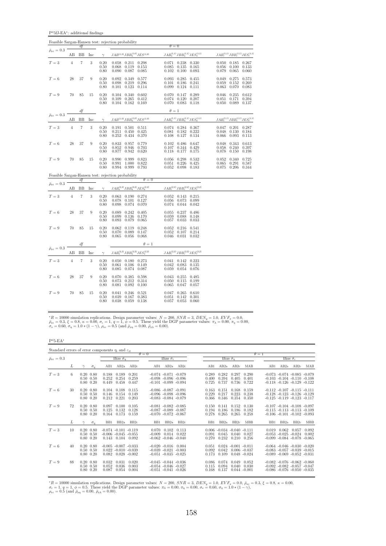$\mathbf{P}^{\phi}5\mathbf{f}\mathbf{J}\text{-}\mathbf{E}\mathbf{A}^*$ : additional findings

|                                 |                |                          |     |                                                     | Feasible Sargan-Hansen test: rejection probability                                     |                                                                                                              |                                                                                   |
|---------------------------------|----------------|--------------------------|-----|-----------------------------------------------------|----------------------------------------------------------------------------------------|--------------------------------------------------------------------------------------------------------------|-----------------------------------------------------------------------------------|
| $\bar{\rho}_{x\varepsilon}=0.3$ |                | df                       |     |                                                     |                                                                                        | $\theta = 0$                                                                                                 |                                                                                   |
|                                 | AВ             | BB                       | Inc | $\gamma$                                            | $JAB^{\left( 1,0\right) }JBB_{a}^{\left( 1,0\right) }JES^{\left( 1,0\right) }$         | $JAB^{(1,1)}_a JBB^{(1,1)}_a JES^{(1,1)}_a$                                                                  | $JAB_c^{(1,1)}JBB_c^{(1,1)}JES_c^{(1,1)}$                                         |
| ${\cal T}=3$                    | $\,4\,$        | $\overline{7}$           | 3   | 0.20<br>0.50<br>0.80                                | 0.058<br>$0.211$ $0.298$<br>0.068<br>0.119<br>0.153<br>0.090<br>0.087 0.085            | 0.071<br>0.238<br>0.330<br>0.085<br>0.135<br>0.165<br>0.102<br>0.100<br>0.093                                | $0.050$ $0.185$<br>0.267<br>0.133<br>0.056<br>0.100<br>0.079<br>0.065<br>0.060    |
| $T=6$                           | 28             | 37                       | 9   | 0.20<br>0.50<br>0.80                                | 0.092<br>0.349 0.577<br>0.219<br>0.296<br>0.098<br>0.101<br>0.123<br>0.114             | 0.285<br>0.093<br>0.455<br>0.101<br>0.186<br>0.241<br>0.099<br>0.124<br>0.111                                | 0.275<br>0.573<br>0.049<br>0.059<br>0.152<br>0.269<br>0.063<br>0.070<br>0.083     |
| $T=9$                           | 70             | 85                       | 15  | 0.20<br>0.50<br>0.80                                | 0.104<br>0.340 0.602<br>0.412<br>0.109<br>0.265<br>$0.104$ $0.162$ $0.169$             | 0.070<br>0.147<br>0.289<br>0.207<br>0.074<br>0.120<br>$0.070$ 0.083<br>0.118                                 | $0.046$ 0.235<br>0.612<br>0.171<br>0.051<br>0.394<br>$0.050 \quad 0.089$<br>0.137 |
| $\bar{\rho}_{x\varepsilon}=0.3$ |                | df                       |     |                                                     |                                                                                        | $\theta=1$                                                                                                   |                                                                                   |
|                                 | AB             | BB                       | Inc | $\gamma$                                            | $JAB^{\left( 1,0\right) }JBB_{a}^{\left( 1,0\right) }JES^{\left( 1,0\right) }$         | $JAB^{(1,1)}_aJBB^{(1,1)}_aJES^{(1,1)}_a$                                                                    | $JAB_c^{(1,1)}JBB_c^{(1,1)}JES_c^{(1,1)}$                                         |
| $T=3$                           | $\overline{4}$ | $\overline{7}$           | 3   | 0.20<br>0.50<br>0.80                                | $0.501$ $0.511$<br>0.191<br>0.211<br>0.450<br>0.425<br>0.252<br>0.434 0.370            | 0.284 0.367<br>0.074<br>0.081<br>0.182<br>0.222<br>0.108<br>0.127<br>0.134                                   | 0.047<br>0.201<br>0.287<br>0.048<br>0.130<br>0.184<br>0.066<br>0.093<br>0.113     |
| $T=6$                           | 28             | 37                       | 9   | 0.20<br>0.50<br>0.80                                | 0.833<br>0.957<br>0.779<br>0.852<br>0.946<br>0.703<br>0.877<br>0.942<br>0.620          | 0.102<br>0.486<br>0.647<br>0.107<br>0.344<br>0.429<br>0.118<br>0.177<br>0.175                                | 0.048<br>0.343<br>0.613<br>0.058<br>0.240<br>0.397<br>0.078<br>0.150<br>0.198     |
| $T=9$                           | 70             | 85                       | 15  | 0.20<br>0.50<br>0.80                                | 0.999<br>0.823<br>0.990<br>0.822<br>0.991<br>1.000<br>0.994<br>0.999<br>0.793          | 0.056<br>0.298<br>$\,0.532\,$<br>0.051<br>0.226<br>0.425<br>$0.052 \quad 0.098$<br>0.183                     | 0.052<br>0.340<br>0.725<br>0.291<br>0.065<br>0.587<br>$0.075$ 0.206<br>0.344      |
|                                 |                |                          |     |                                                     | Feasible Sargan-Hansen test: rejection probability<br>$\theta = 0$                     |                                                                                                              |                                                                                   |
| $\bar{\rho}_{x\varepsilon}=0.3$ | AВ             | df<br>BB                 | Inc | $\gamma$                                            | $JAB_a^{(2,2)}JBB_a^{(2,2)}JES_a^{(2,2)}$                                              | $JAB_c^{(2,2)}JBB_c^{(2,2)}JES_c^{(2,2)}$                                                                    |                                                                                   |
| $T=3$                           | $\overline{4}$ | $\scriptstyle{7}$        | 3   | 0.20<br>0.50<br>0.80                                | 0.063<br>0.190 0.274<br>0.127<br>0.078<br>0.101<br>0.098<br>0.074<br>0.070             | 0.052<br>$0.143$ $0.215$<br>0.056<br>0.073<br>0.099<br>0.074<br>0.044<br>0.042                               |                                                                                   |
| $T=6$                           | 28             | 37                       | 9   | 0.20<br>0.50<br>0.80                                | 0.089<br>$0.242$ $0.405$<br>0.136<br>0.170<br>0.099<br>0.093<br>0.079<br>0.065         | 0.237<br>0.055<br>0.486<br>0.059<br>0.088<br>0.148<br>0.057<br>0.033<br>0.033                                |                                                                                   |
| $T=9$                           | 70             | 85                       | 15  | $\begin{array}{c} 0.20 \\ 0.50 \end{array}$<br>0.80 | 0.062<br>0.119<br>0.248<br>0.070<br>0.089<br>0.147<br>$0.065$ $0.056$ $0.068$          | $\begin{array}{c} 0.052 \\ 0.052 \end{array}$<br>0.216<br>0.541<br>0.107<br>0.214<br>$0.046$ $0.031$ $0.032$ |                                                                                   |
| $\bar{\rho}_{x\varepsilon}=0.3$ |                | df                       |     |                                                     | $\theta = 1$                                                                           |                                                                                                              |                                                                                   |
|                                 | AΒ             | BB                       | Inc | $\gamma$                                            | $JAB_{a}^{\left( 2,2\right) }JBB_{a}^{\left( 2,2\right) }JES_{a}^{\left( 2,2\right) }$ | $JAB_c^{(2,2)}JBB_c^{(2,2)}JES_c^{(2,2)}$                                                                    |                                                                                   |
| $T=3$                           | $\overline{4}$ | $\overline{\phantom{a}}$ | 3   | 0.20<br>0.50<br>0.80                                | $0.050$ $0.180$ $0.273$<br>0.106<br>0.149<br>0.061<br>0.085<br>0.074<br>0.087          | 0.041<br>$0.142$ $0.223$<br>$\,0.042\,$<br>0.083<br>0.135<br>0.059<br>0.054<br>0.076                         |                                                                                   |
| $T=6$                           | 28             | 37                       | 9   | 0.20<br>0.50<br>0.80                                | 0.070<br>0.385<br>0.598<br>0.314<br>0.073<br>0.212<br>0.081<br>$0.092$ $0.100$         | 0.043<br>0.255<br>0.485<br>0.050<br>0.115<br>0.199<br>0.065<br>0.047<br>0.057                                |                                                                                   |
| $T=9$                           | 70             | 85                       | 15  | 0.20<br>0.50<br>0.80                                | 0.041<br>0.246<br>0.521<br>0.039<br>0.167<br>0.383<br>$0.059$ $0.138$<br>0.038         | 0.047<br>0.265<br>0.610<br>0.051<br>0.142<br>0.301<br>0.057<br>0.053<br>0.060                                |                                                                                   |

\*R = 10000 simulation replications. Design parameter values:  $N = 200$ ,  $SNR = 3$ ,  $DEN_y = 1.0$ ,  $EVF_x = 0.0$ ,  $\bar{\rho}_{xe} = 0.3$ ,  $\xi = 0.8$ ,  $\kappa = 0.00$ ,  $\sigma_e = 1$ ,  $q = 1$ ,  $\phi = 0.5$ . These yield the DGP parameter values:  $\pi_{\lambda} = 0.$ 

 $\rm P^{\phi}5\text{-}EA^*$ 

|                                 |    | Standard errors of error components $\eta_i$ and $\varepsilon_{it}$ |                                                                   |                         |                         |                                                                                        |                                   |                |                         |                                                   |                                                               |                         |                   |                                                                                                                   |                                   |                |
|---------------------------------|----|---------------------------------------------------------------------|-------------------------------------------------------------------|-------------------------|-------------------------|----------------------------------------------------------------------------------------|-----------------------------------|----------------|-------------------------|---------------------------------------------------|---------------------------------------------------------------|-------------------------|-------------------|-------------------------------------------------------------------------------------------------------------------|-----------------------------------|----------------|
| $\bar{\rho}_{x\varepsilon}=0.3$ |    |                                                                     |                                                                   | Bias $\tilde{\sigma}_n$ |                         | $\theta = 0$                                                                           | Bias $\hat{\sigma}_{\varepsilon}$ |                |                         | Bias $\tilde{\sigma}_n$                           |                                                               |                         | $\theta=1$        |                                                                                                                   | Bias $\hat{\sigma}_{\varepsilon}$ |                |
|                                 | L  | $\sigma_n$                                                          | AB1                                                               | AB2a                    | AB2c                    | AB1                                                                                    | AB2a                              | AB2c           | AB1                     | AB2a                                              | AB2c                                                          | MAB                     | AB1               | AB2a                                                                                                              | AB2c                              | MAB            |
| $T=3$                           | 6  | $0.20\ 0.80$<br>$0.50 \quad 0.50$<br>$0.80 \quad 0.20$              | 0.188<br>0.252<br>0.449                                           | 0.189<br>0.254<br>0.458 | 0.201<br>0.259<br>0.447 | $-0.074$ $-0.071$ $-0.079$<br>$-0.098$ $-0.096$ $-0.096$<br>$-0.101 - 0.099 - 0.094$   |                                   |                | 0.289<br>0.400<br>0.725 | 0.282<br>0.394<br>0.737                           | 0.297<br>0.405<br>0.736                                       | 0.290<br>0.401<br>0.722 |                   | $-0.073$ $-0.074$ $-0.085$ $-0.079$<br>$-0.103 - 0.104 - 0.110 - 0.108$<br>$-0.118$ $-0.126$ $-0.129$ $-0.122$    |                                   |                |
| $T=6$                           | 30 | $0.20\ 0.80$<br>$0.50 \quad 0.50$<br>$0.80\ 0.20$                   | 0.104<br>0.146<br>0.212                                           | 0.108<br>0.154<br>0.221 | 0.115<br>0.149<br>0.203 | $-0.086$ $-0.087$ $-0.091$<br>$-0.096$ $-0.098$ $-0.096$<br>$-0.083$ $-0.084$ $-0.079$ |                                   |                | 0.163<br>0.229<br>0.366 | 0.151<br>0.217<br>0.346                           | 0.168<br>0.223<br>0.354                                       | 0.159<br>0.238<br>0.350 |                   | $-0.112$ $-0.107$ $-0.115$ $-0.111$<br>$-0.128$ $-0.123$ $-0.126$ $-0.129$<br>$-0.125 - 0.119 - 0.123 - 0.117$    |                                   |                |
| $T = 9$                         | 72 | $0.20\ 0.80$<br>$0.50 \quad 0.50$<br>$0.80\ 0.20$                   | 0.097<br>0.125<br>0.164                                           | 0.100<br>0.132<br>0.173 | 0.105<br>0.128<br>0.159 | $-0.081$ $-0.082$ $-0.085$<br>$-0.087 - 0.089 - 0.087$<br>$-0.070$ $-0.072$ $-0.067$   |                                   |                | 0.150<br>0.194<br>0.278 | 0.141<br>0.186<br>0.265                           | 0.152<br>0.186<br>0.265                                       | 0.130<br>0.182<br>0.258 |                   | $-0.107 - 0.104 - 0.108 - 0.097$<br>$-0.115 - 0.113 - 0.113 - 0.109$<br>$-0.106$ $-0.101$ $-0.102$ $-0.093$       |                                   |                |
|                                 | L  | $\sigma_n$<br>$\sim$                                                | B <sub>B1</sub>                                                   | BB <sub>2a</sub>        | BB <sub>2c</sub>        | B <sub>B1</sub>                                                                        | BB <sub>2a</sub>                  | BB2c           | B <sub>B1</sub>         | BB <sub>2a</sub>                                  | BB <sub>2c</sub>                                              | <b>MBB</b>              | B <sub>B1</sub>   | BB <sub>2a</sub>                                                                                                  | BB2c                              | <b>MBB</b>     |
| $T=3$                           | 10 | $0.20\ 0.80$<br>$0.50 \quad 0.50$<br>$0.80\ 0.20$                   | $-0.074$ $-0.101$ $-0.119$<br>$-0.006$ $-0.045$ $-0.055$<br>0.143 |                         | 0.104 0.092             | 0.070<br>$-0.009$<br>$-0.062$ $-0.046$ $-0.040$                                        | 0.102<br>0.014                    | 0.113<br>0.022 | 0.091<br>0.270          | $0.006 - 0.034 - 0.040 - 0.111$<br>0.045<br>0.232 | 0.040<br>0.210                                                | 0.027<br>0.256          | 0.019<br>$-0.099$ | 0.062<br>$-0.053 - 0.025 - 0.024$<br>$-0.084$ $-0.078$ $-0.065$                                                   | 0.057                             | 0.092<br>0.002 |
| $T=6$                           | 40 | $0.20\ 0.80$<br>$0.50 \quad 0.50$<br>$0.80\ 0.20$                   | $-0.005$ $-0.007$ $-0.033$<br>$0.022 - 0.010 - 0.039$<br>0.082    |                         | $0.028 - 0.002$         | $-0.020 - 0.016$ 0.004<br>$-0.039 - 0.021 - 0.003$<br>$-0.051 - 0.035 - 0.025$         |                                   |                | 0.051<br>0.092<br>0.173 | 0.042<br>0.109                                    | $0.024 - 0.001 - 0.011$<br>$0.006 - 0.037$<br>$0.048 - 0.024$ |                         |                   | $-0.064$ $-0.046$ $-0.030$ $-0.020$<br>$-0.083$ $-0.057$ $-0.039$ $-0.015$<br>$-0.089 - 0.069 - 0.052 - 0.031$    |                                   |                |
| $T=9$                           | 88 | $0.20\ 0.80$<br>$0.50 \quad 0.50$<br>$0.80\ 0.20$                   | 0.032<br>0.052<br>0.087                                           | 0.031<br>0.036<br>0.054 | 0.020<br>0.003<br>0.004 | $-0.045 - 0.044 - 0.036$<br>$-0.054$ $-0.046$ $-0.027$<br>$-0.051 - 0.041 - 0.026$     |                                   |                | 0.086<br>0.115<br>0.168 | 0.074<br>0.094<br>0.137                           | 0.049<br>0.040<br>$0.044 - 0.001$                             | 0.052<br>0.030          |                   | $-0.082$ $-0.076$ $-0.062$ $-0.060$<br>$-0.092$ $-0.082$ $-0.057$ $-0.047$<br>$-0.086$ $-0.076$ $-0.050$ $-0.035$ |                                   |                |

 ${}^*R = 10000$  simulation replications. Design parameter values:  $N = 200$ ,  $SNR = 3$ ,  $DEN_y = 1.0$ ,  $EVF_x = 0.0$ ,  $\bar{\rho}_{x\bar{x}} = 0.3$ ,  $\xi = 0.8$ ,  $\kappa = 0.00$ ,<br>  $\sigma_{\varepsilon} = 1$ ,  $q = 1$ ,  $\phi = 0.5$ . These yield the DGP parameter values: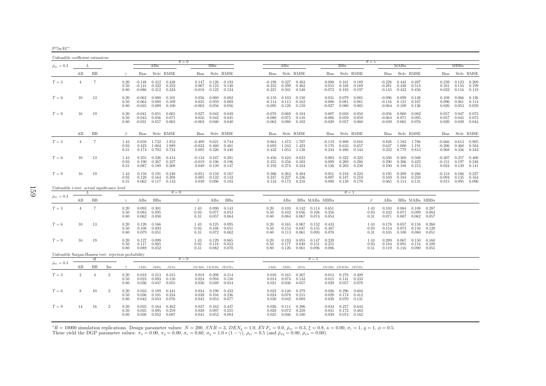|--|

| Unfeasible coefficient estimators                    |                |                |                |                      |                                  |                         |                                 |                               |                                   |                                       |                                  |                                    |                         |                                   |                                  |                                 |                                           |                      |                                  |                                  |                         |                         |                               |                                   |                         |
|------------------------------------------------------|----------------|----------------|----------------|----------------------|----------------------------------|-------------------------|---------------------------------|-------------------------------|-----------------------------------|---------------------------------------|----------------------------------|------------------------------------|-------------------------|-----------------------------------|----------------------------------|---------------------------------|-------------------------------------------|----------------------|----------------------------------|----------------------------------|-------------------------|-------------------------|-------------------------------|-----------------------------------|-------------------------|
| $\bar{\rho}_{x\varepsilon}=0.3$                      |                | L              |                |                      |                                  | ABu                     |                                 | $\theta = 0$                  | BBu                               |                                       |                                  | ABu                                |                         |                                   |                                  | BBu                             |                                           | $\theta = 1$         |                                  | MABu                             |                         |                         |                               | MBBu                              |                         |
|                                                      | AВ             | ΒB             |                | $\gamma$             | Bias                             |                         | Stdy RMSE                       | Bias                          |                                   | Stdy RMSE                             | Bias                             |                                    | Stdy RMSE               |                                   | Bias                             |                                 | Stdy RMSE                                 |                      | Bias                             |                                  | Stdy RMSE               |                         | Bias                          |                                   | Stdv RMSE               |
| $T=3$                                                | $\overline{4}$ | 7              |                | 0.20<br>0.50<br>0.80 | $-0.148$<br>$-0.141$<br>$-0.086$ | 0.322<br>0.312          | $0.412$ 0.438<br>0.352<br>0.324 | 0.147<br>0.067<br>$-0.018$    | 0.123<br>0.122                    | $0.126$ 0.193<br>0.140<br>0.124       | $-0.198$<br>$-0.233$<br>$-0.221$ | 0.327<br>0.399<br>0.501            | 0.383<br>0.462<br>0.548 |                                   | 0.098<br>0.015<br>$-0.073$ 0.183 | 0.161<br>0.168                  | 0.189<br>0.169<br>0.197                   |                      | $-0.226$<br>$-0.281$             | 0.443<br>0.430<br>$-0.145$ 0.432 | 0.497<br>0.514<br>0.456 |                         | 0.239<br>0.022                | 0.123<br>$0.161$ $0.116$<br>0.116 | 0.269<br>0.199<br>0.118 |
| $T=6$                                                | 10             | 13             |                | 0.20<br>0.50<br>0.80 | $-0.062$<br>$-0.064$<br>$-0.045$ | 0.080<br>0.089<br>0.089 | 0.101<br>0.109<br>0.100         | 0.056<br>0.035<br>$-0.003$    | 0.059<br>0.056                    | $0.060$ $0.082$<br>0.069<br>0.056     | $-0.114$<br>$-0.095$             | $-0.110$ $0.103$<br>0.115<br>0.128 | 0.150<br>0.162<br>0.159 |                                   | 0.031<br>0.006<br>$-0.027$       | 0.079<br>0.081<br>0.080         | 0.085<br>0.081<br>0.085                   |                      | $-0.096$<br>$-0.116$<br>$-0.064$ | 0.099<br>0.121<br>0.109          | 0.138<br>0.167<br>0.126 |                         | 0.108<br>0.096<br>0.026       | 0.066<br>0.061<br>0.053           | 0.126<br>0.114<br>0.059 |
| $T=9$                                                | 16             | 19             |                | 0.20<br>0.50<br>0.80 | $-0.041$<br>$-0.043$<br>$-0.031$ | 0.051<br>0.056<br>0.057 | 0.065<br>0.071<br>0.065         | 0.027<br>0.016<br>-0.003      | 0.042<br>0.042                    | 0.049<br>0.045<br>$0.040 \quad 0.040$ | $-0.078$<br>$-0.080$<br>$-0.063$ | 0.069<br>0.075<br>0.080            | 0.104<br>0.110<br>0.102 |                                   | 0.007<br>$-0.006$<br>$-0.020$    | 0.058<br>0.059<br>0.057         | 0.058<br>0.059<br>0.060                   |                      | $-0.056$<br>$-0.064$<br>$-0.039$ | 0.060<br>0.071<br>0.065          | 0.082<br>0.095<br>0.076 |                         | 0.057<br>0.057<br>0.020       | 0.047<br>0.045<br>0.039           | 0.073<br>0.073<br>0.044 |
|                                                      | AB             | BB             |                | $\beta$              | Bias                             |                         | Stdy RMSE                       | Bias                          |                                   | Stdy RMSE                             | Bias                             |                                    | Stdy RMSE               |                                   | Bias                             |                                 | Stdy RMSE                                 |                      | Bias                             |                                  | Stdy RMSE               |                         | Bias                          |                                   | Stdv RMSE               |
| $T=3$                                                | $\overline{4}$ | $\tau$         |                | 1.43<br>0.93<br>0.31 | 0.658<br>0.423<br>0.174          | 1.732<br>1.004<br>0.703 | 1.853<br>1.089<br>0.724         | $-0.409$<br>$-0.033$<br>0.095 | 0.621<br>0.460<br>0.326           | 0.744<br>0.461<br>0.340               | 0.864<br>0.693                   | 1.473<br>1.243<br>$0.432$ 1.053    | 1.707<br>1.423<br>1.138 |                                   | $-0.119$<br>0.176                | 0.808<br>0.633<br>$0.244$ 0.486 | 0.816<br>0.657<br>0.544                   |                      | 0.828<br>0.647<br>0.232          | 1.582<br>1.000<br>0.779          | 1.786<br>1.191<br>0.813 |                         | $-0.666$<br>$-0.206$<br>0.068 | 0.613<br>0.460<br>0.336           | 0.905<br>0.504<br>0.343 |
| $T=6$                                                | 10             | 13             |                | 1.43<br>0.93<br>0.31 | 0.255<br>0.190<br>0.087          | 0.326<br>0.267<br>0.189 | 0.414<br>0.327<br>0.208         | $-0.134$<br>$-0.019$<br>0.049 | 0.247<br>0.196<br>0.139           | 0.281<br>0.196<br>0.147               | 0.456<br>0.355                   | 0.424<br>0.356<br>$0.192$ $0.274$  | 0.623<br>0.503<br>0.334 |                                   | 0.003<br>0.099<br>0.126          | 0.322<br>0.269<br>0.203         | 0.322<br>0.286<br>0.239                   |                      | 0.350<br>0.290<br>0.100          | 0.369<br>0.306<br>0.188          | 0.508<br>0.422<br>0.213 |                         | $-0.307$<br>$-0.151$<br>0.024 | 0.257<br>0.197<br>0.139           | 0.400<br>0.248<br>0.141 |
| $T=9$                                                | 16             | 19             |                | 1.43<br>0.93<br>0.31 | 0.158<br>0.128<br>0.062          | 0.191<br>0.164<br>0.117 | 0.248<br>0.208<br>0.133         | $-0.051$<br>0.005<br>0.039    | 0.159<br>0.132<br>0.096           | 0.167<br>0.133<br>0.103               | 0.306<br>0.247                   | 0.263<br>0.227<br>$0.134$ $0.172$  | 0.404<br>0.336<br>0.218 |                                   | 0.051<br>0.097<br>0.098          | 0.218<br>0.187<br>0.139         | 0.224<br>0.210<br>0.170                   |                      | 0.195<br>0.169<br>0.065          | 0.209<br>0.184<br>0.114          | 0.286<br>0.250<br>0.131 |                         | $-0.154$<br>$-0.094$          | 0.166<br>0.135<br>$0.015$ 0.095   | 0.227<br>0.164<br>0.096 |
| Unfeasible t-test: actual significance level         |                | L              |                |                      |                                  |                         | $\theta = 0$                    |                               |                                   |                                       |                                  |                                    |                         |                                   |                                  | $\theta = 1$                    |                                           |                      |                                  |                                  |                         |                         |                               |                                   |                         |
| $\bar{\rho}_{x\varepsilon}=0.3$                      | AВ             | BB             |                | $\gamma$             | ABu                              | BBu                     |                                 | $\beta$                       | ABu                               | BBu                                   | $\gamma$                         | ABu                                |                         | BBu MABu MBBu                     |                                  |                                 |                                           | B                    | ABu                              |                                  | BBu MABu MBBu           |                         |                               |                                   |                         |
| $T=3$                                                | $\overline{4}$ | $\overline{7}$ |                | 0.20<br>0.50<br>0.80 | 0.093<br>0.083<br>0.062          | 0.301<br>0.095<br>0.050 |                                 | 1.43<br>0.93<br>0.31          | 0.090<br>0.077<br>0.057           | 0.143<br>0.053<br>0.064               | 0.20<br>0.50<br>0.80             | 0.103<br>0.102<br>0.084            | 0.056<br>0.067          | $0.142$ $0.114$<br>0.108<br>0.074 | 0.651<br>0.356<br>0.054          |                                 |                                           | 1.43<br>0.93<br>0.31 | 0.103<br>0.102<br>0.071          | 0.084<br>0.071<br>0.087          | 0.108<br>0.099<br>0.062 | 0.287<br>0.084<br>0.057 |                               |                                   |                         |
| $T=6$                                                | 10             | 13             |                | 0.20<br>0.50<br>0.80 | 0.120<br>0.108<br>0.079          | 0.166<br>0.093<br>0.051 |                                 | 1.43<br>0.93<br>0.31          | 0.125<br>0.108<br>0.072           | 0.095<br>0.051<br>0.062               | 0.20<br>0.50<br>0.80             | 0.165<br>0.153<br>0.113            | 0.067<br>0.047<br>0.061 | 0.152<br>0.155<br>0.093           | 0.433<br>0.387<br>0.078          |                                 |                                           | 1.43<br>0.93<br>0.31 | 0.178<br>0.154<br>0.105          | 0.057<br>0.073<br>0.100          | 0.158<br>0.150<br>0.080 | 0.260<br>0.120<br>0.051 |                               |                                   |                         |
| $T=9$                                                | 16             | 19             |                | 0.20<br>0.50<br>0.80 | 0.127<br>0.117<br>0.089          | 0.099<br>0.065<br>0.052 |                                 | 1.43<br>0.93<br>0.31          | 0.129<br>0.118<br>0.082           | 0.065<br>0.053<br>0.070               | 0.20<br>0.50<br>0.80             | 0.193<br>0.177<br>0.126            | 0.055<br>0.049<br>0.061 | 0.147<br>0.151<br>0.096           | 0.239<br>0.255<br>0.086          |                                 |                                           | 1.43<br>0.93<br>0.31 | 0.209<br>0.184<br>0.119          | 0.067<br>0.091<br>0.116          | 0.150<br>0.154<br>0.090 | 0.160<br>0.109<br>0.055 |                               |                                   |                         |
| Unfeasible Sargan-Hansen test: rejection probability |                | df             |                |                      |                                  |                         |                                 | $\theta = 0$                  |                                   |                                       |                                  |                                    |                         | $\theta = 1$                      |                                  |                                 |                                           |                      |                                  |                                  |                         |                         |                               |                                   |                         |
| $\bar{\rho}_{x\varepsilon}=0.3$                      | АB             | BB             | Inc            | $\gamma$             | JABu                             | JBBu                    | JESu                            |                               | $JMABu\quad JMMBu\quad JESMu$     |                                       | JABu                             | $JBBu$                             | JESu                    |                                   | JMABu JMMBu JESMu                |                                 |                                           |                      |                                  |                                  |                         |                         |                               |                                   |                         |
| $T=3$                                                | $\overline{2}$ | 4              | $\overline{2}$ | 0.20<br>0.50<br>0.80 | 0.018<br>0.023<br>0.036          | 0.213<br>0.093<br>0.047 | 0.315<br>0.150<br>0.055         | 0.024<br>0.036                | $0.018$ 0.208<br>0.094<br>0.049   | 0.314<br>0.150<br>0.054               | 0.016<br>0.014<br>0.021          | 0.165<br>0.074<br>0.036            | 0.267<br>0.133<br>0.057 |                                   | $0.015$ $0.141$<br>0.029         | $0.013$ 0.278<br>0.057          | 0.409<br>0.233<br>0.078                   |                      |                                  |                                  |                         |                         |                               |                                   |                         |
| $T=6$                                                | 8              | 10             | $\overline{2}$ | 0.20<br>0.50<br>0.80 | 0.033<br>0.036<br>0.042          | 0.189<br>0.101<br>0.053 | 0.441<br>0.234<br>0.076         | 0.034<br>0.038<br>0.042       | 0.190<br>0.104<br>0.053           | 0.433<br>0.236<br>0.077               | 0.022<br>0.024<br>0.030          | 0.140<br>0.078<br>0.042            | 0.379<br>0.215<br>0.089 |                                   | 0.026<br>0.028<br>0.038          | 0.296<br>0.174<br>0.070         | 0.604<br>0.412<br>0.131                   |                      |                                  |                                  |                         |                         |                               |                                   |                         |
| $T=9$                                                | 14             | 16             | $\overline{2}$ | 0.20<br>0.50<br>0.80 | 0.035<br>0.035<br>0.038          | 0.164<br>0.095<br>0.052 | 0.462<br>0.259<br>0.087         | 0.037<br>0.038                | 0.163<br>0.097<br>$0.041$ $0.052$ | 0.447<br>0.255<br>0.084               | 0.026<br>0.028                   | 0.111<br>0.072<br>$0.035$ 0.046    | 0.396<br>0.239<br>0.100 |                                   | 0.034<br>0.031                   | 0.257<br>0.172                  | 0.644<br>0.482<br>$0.039$ $0.074$ $0.162$ |                      |                                  |                                  |                         |                         |                               |                                   |                         |

 ${}^*R = 10000$  simulation replications. Design parameter values:  $N = 200$ ,  $SNR = 3$ ,  $DEN_y = 1.0$ ,  $EVF_x = 0.0$ ,  $\bar{\rho}_{xc} = 0.3$ ,  $\xi = 0.8$ ,  $\kappa = 0.00$ ,  $\sigma_{\varepsilon} = 1$ ,  $q = 1$ ,  $\phi = 0.5$ .<br>These yield the DGP parameter values:  $\pi$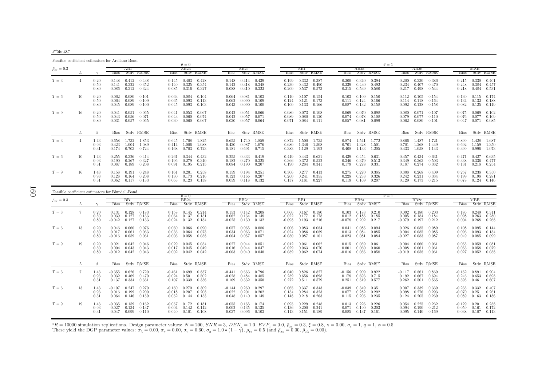$P^{\phi}5fc-EC^*$ 

Feasible coefficient estimators for Arellano-Bond $\theta$  – 0 AB2a<br>Bias Stdv RMSE  $\frac{\theta}{\theta} = 1$   $\frac{\theta}{AB2c}$   $\frac{\theta}{AB2a}$  $\bar{\rho}_{x\varepsilon}=0.3$  $\epsilon = 0.3$   $I$   $\epsilon = 0.3$   $I$   $\epsilon = 0.3$   $I$   $\epsilon = 0.3$   $I$   $\epsilon = 0.3$   $I$   $\epsilon = 0.3$   $I$   $\epsilon = 0.3$   $I$   $\epsilon = 0.3$   $I$   $\epsilon = 0.3$   $I$   $\epsilon = 0.3$   $I$   $\epsilon = 0.3$   $I$   $\epsilon = 0.3$   $I$   $\epsilon = 0.3$   $I$   $\epsilon = 0.3$   $I$   $\epsilon = 0.3$   $I$   $\epsilon = 0.3$  L  $\gamma$  Bias Stdv RMSE Bias Stdv RMSE Bias Stdv RMSE Bias Stdv RMSE Bias Stdv RMSE Bias Stdv RMSE Bias Stdv RMSE0.401  $T=3$  $T=3$   $4$   $0.20$   $-0.148$   $0.412$   $0.438$   $-0.145$   $0.403$   $0.428$   $-0.148$   $0.414$   $0.439$   $-0.199$   $0.332$   $0.387$   $-0.200$   $0.340$   $0.394$   $-0.200$   $0.330$   $0.386$   $-0.215$   $0.338$   $0.401$ <br> $0.50$   $-0.141$   $0.322$   $0.35$  $\begin{array}{cccccccccccc} 0.50 & -0.141 & 0.322 & 0.352 & -0.140 & 0.325 & 0.354 & -0.142 & 0.318 & 0.348 & -0.230 & 0.432 & 0.490 & -0.239 & 0.430 & 0.492 & -0.234 & 0.407 & 0.470 & -0.248 & 0.384 & 0.457 & 0.484 & 0.531 & 0.484 & -0.085 & 0.316 & 0.327 & -0.088 & 0.310 & 0$  $0.531$  $-0.217$   $0.498$   $0.544$  $-0.130$   $0.115$   $0.174$  $T=6$  $T=6$   $10$   $0.20$   $-0.062$   $0.080$   $0.101$   $-0.063$   $0.084$   $0.104$   $-0.064$   $0.081$   $0.103$   $-0.110$   $0.107$   $0.154$   $-0.103$   $0.109$   $0.150$   $-0.112$   $0.105$   $0.154$   $-0.130$   $0.115$   $0.174$   $0.132$   $0.188$   $0.164$   $-0.$  $\begin{array}{cccccccccccc} 0.50 & -0.064 & 0.089 & 0.109 & -0.065 & 0.093 & 0.113 & -0.062 & 0.090 & 0.109 & -0.124 & 0.121 & 0.173 & -0.111 & 0.124 & 0.166 & -0.114 & 0.118 & 0.164 & -0.134 & 0.132 & 0.188 \ 0.80 & -0.045 & 0.089 & 0.100 & -0.143 & 0.090 & 0.100 & -0.100 & 0.$  $0.149$ 0.80 -0.045 0.089 0.100 -0.045 0.093 0.103 -0.043 0.090 0.100 -0.100 0.133 0.166 -0.087 0.132 0.158 -0.092 0.128 0.158 -0.082 0.125 0.149 $T=9$  $T=9 \hskip 1.0cm 16 \hskip 1.0cm 0.20 \hskip 1.0cm 0.041 \hskip 1.0cm 0.055 \hskip 1.0cm 0.041 \hskip 1.0cm 0.053 \hskip 1.0cm 0.067 \hskip 1.0cm -0.042 \hskip 1.0cm 0.051 \hskip 1.0cm 0.066 \hskip 1.0cm -0.042 \hskip 1.0cm 0.060 \hskip 1.0cm 0.071 \hskip 1.0cm 0.089 \hskip 1.0cm 0.108 \hskip 1.0cm -0.$ 0.50 -0.043 0.056 0.071 -0.043 0.060 0.074 -0.042 0.057 0.071 -0.089 0.080 0.120 -0.074 0.078 0.108 -0.079 0.077 0.110 -0.076 0.077 0.109 $0.071$   $0.085$ 0.80 -0.031 0.057 0.065 -0.030 0.060 0.067 -0.030 0.057 0.064 -0.071 0.084 0.111 -0.057 0.081 0.099 -0.062 0.080 0.101 -0.047 0.071 0.085 $L \qquad \qquad \beta$ Bias Stdv RMSE Bias Stdv RMSE Bias Stdv RMSE Bias Stdv RMSE Bias Stdv RMSE Bias Stdv RMSE Bias Stdv RMSE Bias Stdv RMSE 1.687  $T=3$  $T=3$   $4$   $1.43$   $0.658$   $1.732$   $1.853$   $0.645$   $1.708$   $1.825$   $0.655$   $1.740$   $1.859$   $0.872$   $1.500$   $1.735$   $0.874$   $1.541$   $1.772$   $0.866$   $1.487$   $1.721$   $0.899$   $1.428$   $1.687$ <br> $0.93$   $0.423$   $1.004$   $1.089$   $0.41$ 0.93 0.423 1.004 1.089 0.414 1.006 1.088 0.430 0.987 1.076 0.680 1.346 1.508 0.701 1.328 1.501 0.701 1.268 1.449 0.692 1.159 1.3501.073 0.31 0.174 0.703 0.724 0.168 0.703 0.723 0.181 0.691 0.715 0.383 1.129 1.192 0.408 1.133 1.205 0.433 1.058 1.143 0.399 0.996 1.0730.635  $T=6$  $T=6$   $10$   $1.43$   $0.255$   $0.326$   $0.414$   $0.261$   $0.344$   $0.432$   $0.255$   $0.333$   $0.419$   $0.449$   $0.443$   $0.631$   $0.439$   $0.454$   $0.631$   $0.457$   $0.434$   $0.631$   $0.434$   $0.631$   $0.471$   $0.427$   $0.635$ <br> $0.336$   $0.477$   $0.$ 0.93 0.190 0.267 0.327 0.196 0.279 0.340 0.182 0.270 0.325 0.366 0.372 0.522 0.346 0.379 0.513 0.349 0.363 0.503 0.338 0.336 0.477 $0.254$ 0.31 0.087 0.189 0.208 0.091 0.195 0.215 0.084 0.190 0.207 0.190 0.284 0.341 0.179 0.278 0.331 0.187 0.274 0.332 0.131 0.218 0.254 $T=9$  $T=9 \hspace{1cm} 16 \hspace{1cm} 1.43 \hspace{1cm} 0.158 \hspace{1cm} 0.191 \hspace{1cm} 0.248 \hspace{1cm} 0.161 \hspace{1cm} 0.201 \hspace{1cm} 0.258 \hspace{1cm} 0.159 \hspace{1.9mm} 0.194 \hspace{1.9mm} 0.251 \hspace{1.9mm} 0.306 \hspace{1.9mm} 0.277 \hspace{1.9mm} 0.413 \hspace{1.9mm} 0.275 \hspace{1.9mm} 0.27$  $\begin{array}{cccccccccccc} 1.43 & 0.158 & 0.191 & 0.248 & 0.161 & 0.201 & 0.258 & 0.159 & 0.194 & 0.251 & 0.306 & 0.277 & 0.413 & 0.275 & 0.270 & 0.385 & 0.306 & 0.268 & 0.409 & 0.257 & 0.238 & 0.350 & 0.268 & 0.409 & 0.261 & 0.261 & 0.261 & 0.261 & 0.261 & 0.261 & 0$  $0.078$   $0.124$   $0.146$ 0.31 0.062 0.117 0.133 0.063 0.123 0.138 0.059 0.118 0.132 0.137 0.181 0.227 0.119 0.169 0.207 0.129 0.173 0.215 0.078 0.124 0.146

| Feasible coefficient estimators for Blundell-Bond |    |                      |                            |                         |                         |                               |                         |                         |                               |                         |                         |                                  |                             |                                                     |                            |                         |                         |                               |                         |                         |                               |                         |                         |
|---------------------------------------------------|----|----------------------|----------------------------|-------------------------|-------------------------|-------------------------------|-------------------------|-------------------------|-------------------------------|-------------------------|-------------------------|----------------------------------|-----------------------------|-----------------------------------------------------|----------------------------|-------------------------|-------------------------|-------------------------------|-------------------------|-------------------------|-------------------------------|-------------------------|-------------------------|
|                                                   |    |                      |                            | BBI                     |                         |                               | $\theta = 0$<br>BB2a    |                         |                               | BB2c                    |                         |                                  | BBI                         |                                                     |                            | BB2a                    |                         | $\theta = 1$                  | BB2c                    |                         |                               | МВВ                     |                         |
| $\bar{\rho}_{x\varepsilon} = 0.3$                 |    |                      | <b>Bias</b>                |                         | Stdy RMSE               | <b>Bias</b>                   |                         | Stdy RMSE               | <b>Bias</b>                   |                         | Stdy RMSE               | <b>Bias</b>                      |                             | Stdy RMSE                                           | <b>Bias</b>                |                         | Stdy RMSE               | <b>Bias</b>                   |                         | Stdy RMSE               | <b>Bias</b>                   |                         | Stdy RMSE               |
| $T=3$                                             |    | 0.20<br>0.50<br>0.80 | 0.131<br>0.039<br>$-0.042$ | 0.128<br>0.127<br>0.127 | 0.183<br>0.133<br>0.133 | 0.158<br>0.064<br>$-0.024$    | 0.145<br>0.137<br>0.132 | 0.214<br>0.151<br>0.134 | 0.153<br>0.062<br>$-0.025$    | 0.142<br>0.134<br>0.130 | 0.208<br>0.148<br>0.132 | $-0.022$<br>-0.098               | 0.177                       | $0.066$ $0.167$ $0.180$<br>0.178<br>$0.193$ $0.216$ | 0.103<br>0.012<br>$-0.078$ | 0.183<br>0.185<br>0.202 | 0.210<br>0.185<br>0.217 | 0.092<br>0.005<br>$-0.079$    | 0.180<br>0.184<br>0.197 | 0.203<br>0.184<br>0.212 | 0.186<br>0.098<br>0.004       | 0.249<br>0.263<br>0.268 | 0.311<br>0.280<br>0.268 |
| $T=6$                                             | 13 | 0.20<br>0.50<br>0.80 | 0.046<br>0.017<br>$-0.016$ | 0.060<br>0.061<br>0.059 | 0.076<br>0.063<br>0.061 | 0.060<br>0.036<br>$-0.003$    | 0.066<br>0.064<br>0.058 | 0.090<br>0.073<br>0.058 | 0.057<br>0.034<br>$-0.004$    | 0.065<br>0.063<br>0.057 | 0.086<br>0.071<br>0.057 | 0.006<br>$-0.024$<br>$-0.050$    | 0.083<br>0.086<br>0.087     | 0.084<br>0.089<br>0.101                             | 0.041<br>0.013<br>$-0.023$ | 0.085<br>0.084<br>0.081 | 0.094<br>0.085<br>0.084 | 0.026<br>0.004<br>$-0.027$    | 0.085<br>0.085<br>0.083 | 0.089<br>0.085<br>0.087 | 0.108<br>0.096<br>0.049       | 0.095<br>0.093<br>0.085 | 0.144<br>0.134<br>0.099 |
| $T=9$                                             | 19 | 0.20<br>0.50<br>0.80 | 0.021<br>0.004<br>$-0.012$ | 0.042<br>0.043<br>0.042 | 0.046<br>0.043<br>0.043 | 0.029<br>0.017<br>$-0.002$    | 0.045<br>0.045<br>0.042 | 0.054<br>0.049<br>0.042 | 0.027<br>0.016<br>$-0.003$    | 0.044<br>0.044<br>0.040 | 0.051<br>0.047<br>0.040 | $-0.012$<br>$-0.029$<br>$-0.039$ | 0.061<br>0.063<br>0.062     | 0.062<br>0.070<br>0.074                             | 0.015<br>0.001<br>$-0.016$ | 0.059<br>0.060<br>0.056 | 0.061<br>0.060<br>0.058 | 0.004<br>$-0.008$<br>$-0.019$ | 0.060<br>0.061<br>0.058 | 0.061<br>0.061<br>0.061 | 0.055<br>0.053<br>0.027       | 0.059<br>0.058<br>0.052 | 0.081<br>0.079<br>0.058 |
|                                                   |    | B                    | <b>Bias</b>                |                         | Stdy RMSE               | Bias                          |                         | Stdy RMSE               | Bias                          |                         | Stdy RMSE               | Bias                             |                             | Stdy RMSE                                           | Bias                       |                         | Stdy RMSE               |                               |                         | Bias Stdy RMSE          | Bias                          |                         | Stdy RMSE               |
| $T=3$                                             |    | 1.43<br>0.93<br>0.31 | $-0.355$<br>0.032<br>0.137 | 0.626<br>0.469<br>0.334 | 0.720<br>0.470<br>0.361 | $-0.461$<br>$-0.024$<br>0.107 | 0.699<br>0.501<br>0.339 | 0.837<br>0.502<br>0.356 | $-0.441$<br>$-0.028$<br>0.109 | 0.663<br>0.484<br>0.332 | 0.796<br>0.485<br>0.350 | $-0.040$<br>0.239<br>0.272       | 0.826<br>$0.656\,$<br>0.511 | 0.827<br>0.698<br>0.579                             | $-0.156$<br>0.178<br>0.251 | 0.909<br>0.693<br>0.519 | 0.922<br>0.715<br>0.577 | $-0.117$<br>0.192<br>0.262    | 0.861<br>0.667<br>0.501 | 0.869<br>0.694<br>0.565 | $-0.152$<br>0.246<br>0.395    | 0.891<br>0.653<br>0.461 | 0.904<br>0.698<br>0.607 |
| $T=6$                                             | 13 | 1.43<br>0.93<br>0.31 | $-0.107$<br>0.016<br>0.064 | 0.247<br>0.199<br>0.146 | 0.270<br>0.200<br>0.159 | $-0.150$<br>$-0.018$<br>0.052 | 0.270<br>0.207<br>0.144 | 0.309<br>0.208<br>0.153 | $-0.144$<br>$-0.022$<br>0.048 | 0.260<br>0.201<br>0.140 | 0.297<br>0.202<br>0.148 | 0.065<br>0.154<br>0.148          | 0.337<br>0.284<br>0.218     | 0.343<br>0.323<br>0.263                             | $-0.039$<br>0.077<br>0.115 | 0.349<br>0.282<br>0.205 | 0.351<br>0.292<br>0.235 | 0.007<br>0.098<br>0.124       | 0.339<br>0.276<br>0.205 | 0.339<br>0.293<br>0.239 | $-0.235$<br>$-0.070$<br>0.089 | 0.332<br>0.251<br>0.163 | 0.407<br>0.261<br>0.186 |
| $T=9$                                             | 19 | 1.43<br>0.93<br>0.31 | $-0.035$<br>0.027<br>0.047 | 0.159<br>0.134<br>0.099 | 0.162<br>0.137<br>0.110 | $-0.057$<br>0.004<br>0.040    | 0.172<br>0.142<br>0.101 | 0.181<br>0.142<br>0.108 | $-0.055$<br>0.002<br>0.037    | 0.165<br>0.135<br>0.096 | 0.174<br>0.135<br>0.103 | 0.095<br>0.136<br>0.113          | 0.229<br>0.200<br>0.151     | 0.248<br>0.241<br>0.189                             | 0.013<br>0.071<br>0.085    | 0.226<br>0.190<br>0.137 | 0.226<br>0.203<br>0.161 | 0.054<br>0.094<br>0.095       | 0.225<br>0.190<br>0.140 | 0.232<br>0.212<br>0.169 | $-0.129$<br>$-0.059$<br>0.038 | 0.201<br>0.161<br>0.107 | 0.238<br>0.172<br>0.113 |

 ${}^*R = 10000$  simulation replications. Design parameter values:  $N = 200$ ,  $SNR = 3$ ,  $DEN_y = 1.0$ ,  $EVF_x = 0.0$ ,  $\bar{p}_{xz} = 0.3$ ,  $\xi = 0.8$ ,  $\kappa = 0.00$ ,  $\sigma_{\varepsilon} = 1$ ,  $q = 1$ ,  $\phi = 0.5$ .<br>These yield the DGP parameter values:  $\pi$ 

 $*R = 10000$  simulation replications. Design parameter values:  $N = 200$ ,  $SNR = 3$ ,  $DEN_y = 1.0$ ,  $EVF_x = 0.0$ ,  $\bar{\rho}_{xz} = 0.3$ ,  $\xi = 0.8$ , These yield the DGP parameter values:  $\pi_{\lambda} = 0.00$ ,  $\pi_{\eta} = 0.00$ ,  $\sigma_v = 0.60$ ,  $\sigma_{\eta}$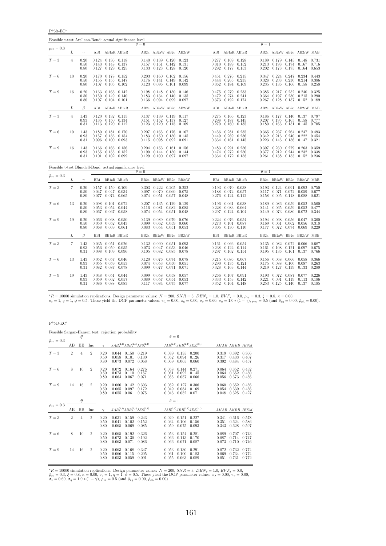$P^{\phi}$ 5ft-EC\*

| Feasible t-test Arellano-Bond: actual significance level |                                                           |                      |                |                                                                         |                              |                         |                                                                                   |                |                                    |  |                |                                                                         |       |                |                                                                             |                         |                                                                     |                |
|----------------------------------------------------------|-----------------------------------------------------------|----------------------|----------------|-------------------------------------------------------------------------|------------------------------|-------------------------|-----------------------------------------------------------------------------------|----------------|------------------------------------|--|----------------|-------------------------------------------------------------------------|-------|----------------|-----------------------------------------------------------------------------|-------------------------|---------------------------------------------------------------------|----------------|
| $\bar{\rho}_{x\varepsilon} = 0.3$                        |                                                           |                      |                |                                                                         |                              | $\theta = 0$            |                                                                                   |                |                                    |  |                | $\theta = 1$                                                            |       |                |                                                                             |                         |                                                                     |                |
|                                                          | L<br>AB1 AB1aR AB1cR<br>AB2a AB2aW AB2c AB2cW<br>$\gamma$ |                      |                |                                                                         |                              |                         |                                                                                   |                |                                    |  |                | AB1 AB1aR AB1cR                                                         |       |                | AB2a AB2aW AB2c AB2cW MAB                                                   |                         |                                                                     |                |
| $T=3$                                                    | 4                                                         | 0.20<br>0.50<br>0.80 |                | $0.124$ $0.136$ $0.118$<br>0.143 0.148 0.137<br>$0.127$ $0.129$ $0.125$ |                              | 0.157<br>0.133          | $0.140$ $0.139$ $0.120$ $0.123$<br>$0.151$ $0.142$<br>$0.123$ $0.128$             |                | 0.131<br>0.120                     |  |                | $0.277$ $0.169$ $0.128$<br>0.310 0.189<br>$0.292$ $0.177$ $0.153$       | 0.152 |                | 0.189 0.179<br>$0.213$ $0.193$<br>$0.202$ $0.173$                           | 0.175                   | $0.145$ $0.148$ $0.731$<br>$0.174$ $0.167$ $0.716$<br>$0.164$ 0.653 |                |
| $T=6$                                                    | 10                                                        | 0.20<br>0.50<br>0.80 | 0.155<br>0.107 | $0.170$ $0.178$ $0.152$<br>$0.155$ $0.147$<br>$0.105$ $0.102$           |                              | 0.203<br>0.176<br>0.123 | $0.160$ $0.162$ $0.156$<br>0.141<br>0.096                                         |                | $0.149$ $0.142$<br>$0.101$ $0.099$ |  |                | $0.451$ $0.276$ $0.215$<br>0.444 0.265<br>$0.362$ $0.184$ $0.169$       | 0.235 | 0.328<br>0.235 | $0.347$ $0.224$ $0.247$<br>0.203<br>0.136                                   | 0.230<br>0.166          | 0.234 0.443<br>0.214 0.386<br>0.158                                 | 0.258          |
| $T=9$                                                    | 16                                                        | 0.20<br>0.50<br>0.80 | 0.150          | $0.163$ $0.163$ $0.142$<br>$0.149$ $0.140$<br>$0.107$ $0.104$ $0.101$   |                              | 0.198<br>0.183<br>0.136 | $0.148$ $0.150$ $0.146$<br>0.134<br>$0.094$ $0.099$ $0.097$                       | 0.140          | 0.135                              |  |                | 0.475 0.279 0.233<br>$0.472$ $0.274$ $0.241$<br>0.373 0.192 0.174       |       |                | 0.385 0.217<br>0.364 0.197<br>$0.267$ $0.128$ $0.157$ $0.152$ $0.189$       | 0.230                   | $0.252$ $0.240$ $0.325$<br>0.215                                    | 0.290          |
|                                                          | L                                                         | $\beta$              | AB1            |                                                                         | AB1aR AB1cR                  |                         |                                                                                   |                | AB2a AB2aW AB2c AB2cW              |  |                | AB1 AB1aR AB1cR                                                         |       |                | AB2a AB2aW AB2c AB2cW MAB                                                   |                         |                                                                     |                |
| $T=3$                                                    | 4                                                         | 1.43<br>0.93<br>0.31 |                | $0.120$ $0.132$ $0.115$<br>0.135 0.150 0.134<br>$0.113$ $0.120$ $0.112$ |                              | 0.151<br>0.123          | $0.137$ $0.139$ $0.119$ $0.117$<br>$0.152$ $0.137$ $0.127$<br>$0.120 \quad 0.115$ |                | 0.109                              |  | 0.298<br>0.270 | $0.275$ $0.166$ $0.123$<br>$0.187$ $0.145$<br>$0.160$ $0.135$           |       |                | $0.186$ $0.177$ $0.140$ $0.137$ $0.797$<br>$0.207$ 0.195<br>$0.180$ $0.163$ | 0.165                   | 0.158 0.777<br>$0.151$ $0.145$ $0.705$                              |                |
| $T=6$                                                    | 10                                                        | 1.43<br>0.93<br>0.31 | 0.157<br>0.096 | $0.180$ $0.181$ $0.170$<br>0.156<br>$0.100 \quad 0.093$                 | 0.154                        | 0.183<br>0.115          | $0.207$ $0.165$ $0.176$ $0.167$<br>0.150<br>0.098                                 | 0.150<br>0.092 | 0.145<br>0.091                     |  |                | $0.456$ $0.281$ $0.235$<br>0.449 0.269<br>$0.334$ $0.161$ $0.145$       | 0.236 | 0.342          | $0.365$ $0.237$<br>0.216<br>$0.223$ $0.146$                                 | 0.240<br>0.156          | $0.264$ $0.247$ $0.493$<br>0.222<br>$0.147$ $0.321$                 | 0.454          |
| $T=9$                                                    | 16                                                        | 1.43<br>0.93<br>0.31 | 0.155          | $0.166$ $0.166$ $0.156$<br>0.155 0.152<br>$0.101$ $0.102$ $0.099$       |                              | 0.204<br>0.190          | $0.153$ $0.161$ $0.156$<br>$0.144$ $0.150$<br>$0.129$ $0.100$ $0.097$ $0.097$     |                | 0.144                              |  |                | $0.483$ $0.291$ $0.256$<br>0.474 0.272<br>$0.364$ $0.172$ $0.158$       | 0.250 | 0.377          | $0.397$ $0.230$<br>0.212<br>$0.261$ $0.138$                                 | 0.279<br>0.244          | $0.263$ $0.359$<br>0.232<br>$0.155$ $0.152$ $0.236$                 | 0.338          |
| Feasible t-test Blundell-Bond: actual significance level |                                                           |                      |                |                                                                         |                              | $\theta = 0$            |                                                                                   |                |                                    |  |                |                                                                         |       | $\theta=1$     |                                                                             |                         |                                                                     |                |
| $\bar{\rho}_{x\varepsilon}=0.3$                          | L                                                         | $\gamma$             |                |                                                                         | BB1 BB1aR BB1cR              |                         |                                                                                   |                | BB2a BB2aW BB2c BB2cW              |  |                | BB1 BB1aR BB1cR                                                         |       |                | BB2a BB2aW BB2c BB2cW MBB                                                   |                         |                                                                     |                |
| $T=3$                                                    | 7                                                         | 0.20<br>0.50<br>0.80 |                | $0.157$ $0.159$ $0.109$<br>$0.047$ $0.047$ $0.034$<br>0.077 0.074 0.065 |                              | 0.097<br>0.074          | $0.303$ $0.222$ $0.205$ $0.252$<br>0.070<br>$0.051$ $0.057$                       | 0.060          | 0.075<br>0.048                     |  | 0.188          | 0.193 0.070 0.038<br>$0.072$ 0.057<br>$0.276$ $0.124$ $0.112$           |       |                | $0.193$ $0.124$ $0.091$ $0.092$ $0.750$<br>$0.117$ $0.071$<br>0.158 0.095   | 0.072<br>0.118          | 0.059<br>0.088                                                      | 0.677<br>0.621 |
| $T=6$                                                    | 13                                                        | 0.20<br>0.50<br>0.80 | 0.053<br>0.067 | $0.098$ $0.101$ $0.072$                                                 | 0.054 0.044<br>$0.067$ 0.058 | 0.207<br>0.116<br>0.074 | 0.135<br>0.081<br>$0.054$ $0.051$                                                 | 0.129<br>0.082 | 0.129<br>0.085<br>0.048            |  | 0.228          | $0.196$ $0.061$ $0.038$<br>$0.083$ $0.064$<br>$0.297$ $0.124$ $0.104$   |       | 0.141<br>0.149 | $0.189$ $0.086$ $0.059$<br>0.065<br>0.073                                   | 0.059<br>0.080          | $0.052$ 0.500<br>0.052<br>0.072 0.344                               | 0.477          |
| $T=9$                                                    | 19                                                        | 0.20<br>0.50<br>0.80 | 0.066<br>0.050 | $0.068$ 0.050<br>$0.068$ $0.069$ $0.061$                                | $0.052$ 0.043                | 0.139<br>0.099          | 0.089<br>0.062<br>$0.083$ $0.054$ $0.051$ $0.053$                                 | 0.079<br>0.059 | 0.076<br>0.060                     |  | 0.273          | $0.224$ $0.076$ $0.054$<br>$0.101$ $0.087$<br>$0.305$ $0.130$ $0.110$   |       | 0.169          | 0.194 0.068<br>0.061<br>$0.177$ $0.072$ $0.074$ $0.069$ $0.229$             | 0.056<br>0.062          | $0.047$ 0.300<br>0.056                                              | 0.318          |
|                                                          | L                                                         | $\beta$              | BB1            | BB1aR BB1cR                                                             |                              |                         |                                                                                   |                | BB2a BB2aW BB2c BB2cW              |  | BB1            | BB1aR BB1cR                                                             |       |                | BB2a BB2aW BB2c BB2cW MBB                                                   |                         |                                                                     |                |
| $T=3$                                                    | 7                                                         | 1.43<br>0.93<br>0.31 | 0.056<br>0.098 | $0.035$ $0.051$ $0.026$<br>$0.059$ $0.055$<br>$0.109$ 0.096             |                              | 0.132<br>0.073<br>0.105 | 0.090<br>0.047<br>0.082 0.085                                                     | 0.053          | 0.051 0.093<br>0.046<br>0.078      |  | 0.238          | $0.161$ $0.066$ $0.054$<br>0.122<br>$0.297$ $0.162$ $0.154$             | 0.114 | 0.161<br>0.195 | 0.135 0.082 0.072 0.066 0.687<br>0.108<br>$0.136$ $0.161$ $0.137$ $0.766$   | 0.121                   | 0.097 0.675                                                         |                |
| $T=6$                                                    | 13                                                        | 1.43<br>0.93<br>0.31 | 0.052<br>0.055 | 0.059<br>$0.082$ $0.087$ $0.078$                                        | 0.057 0.046<br>0.053         | 0.120<br>0.074<br>0.099 | 0.076<br>0.053<br>$0.077$ 0.071                                                   | 0.074<br>0.050 | 0.078<br>0.051<br>0.071            |  | 0.290<br>0.328 | $0.215$ $0.086$ $0.067$<br>0.135<br>$0.163$ $0.144$                     | 0.121 | 0.175          | 0.156 0.068<br>0.088<br>$0.219$ $0.127$                                     | 0.066<br>0.100<br>0.139 | 0.058 0.366<br>0.087<br>$0.133$ $0.280$                             | 0.263          |
| $T=9$                                                    | 19                                                        | 1.43<br>0.93<br>0.31 | 0.048<br>0.059 | 0.051<br>$0.062$ 0.057<br>0.086 0.088 0.083                             | 0.044                        | 0.099<br>0.089          | 0.058<br>0.057<br>0.117 0.084 0.075 0.077                                         | 0.058<br>0.054 | 0.057<br>0.053                     |  |                | $0.266$ $0.107$ $0.091$<br>0.333 0.153 0.142<br>$0.352$ $0.164$ $0.148$ |       | 0.193          | 0.072<br>$0.221$ $0.091$<br>0.253 0.125 0.140 0.137 0.185                   | 0.087<br>0.119          | $0.077$ 0.226<br>$0.113$ $0.186$                                    |                |

 ${}^{*}R = 10000$  simulation replications. Design parameter values:  $N = 200$ ,  $SNR = 3$ ,  $DEN_y = 1.0$ ,  $EVF_x = 0.0$ ,  $E_{x\bar{x}} = 0.3$ ,  $\xi = 0.8$ ,  $\kappa = 0.00$ ,<br> $\sigma_x = 1$ ,  $q = 1$ ,  $\phi = 0.5$ . These yield the DGP parameter values:  $\pi_{\lambda}$ 

| $P^{\phi}5fJ-EC^*$              |                |    |                |                      |                                                    |                         |                         |                         |                                           |                         |                         |                         |
|---------------------------------|----------------|----|----------------|----------------------|----------------------------------------------------|-------------------------|-------------------------|-------------------------|-------------------------------------------|-------------------------|-------------------------|-------------------------|
|                                 |                |    |                |                      | Feasible Sargan-Hansen test: rejection probability |                         |                         |                         |                                           |                         |                         |                         |
|                                 |                | df |                |                      |                                                    |                         | $\theta = 0$            |                         |                                           |                         |                         |                         |
| $\bar{\rho}_{x\varepsilon}=0.3$ | AВ             | BB | Inc            | $\gamma$             | $JAB_a^{(2,1)}JBB_a^{(2,1)}JES_a^{(2,1)}$          |                         |                         |                         | $JAB_c^{(2,1)}JBB_c^{(2,1)}JES_c^{(2,1)}$ |                         | JMAB JMBB JESM          |                         |
| $T=3$                           | $\overline{2}$ | 4  | $\overline{2}$ | 0.20<br>0.50<br>0.80 | 0.044<br>0.150<br>0.101<br>0.058<br>0.072<br>0.073 | 0.219<br>0.130<br>0.068 | 0.039<br>0.052<br>0.069 | 0.135<br>0.094<br>0.065 | 0.200<br>0.126<br>0.060                   | 0.319<br>0.317<br>0.302 | 0.392<br>0.433<br>0.484 | 0.366<br>0.407<br>0.457 |
| $T=6$                           | 8              | 10 | $\overline{2}$ | 0.20<br>0.50<br>0.80 | 0.072<br>0.164<br>0.073<br>0.110<br>0.064<br>0.067 | 0.276<br>0.157<br>0.071 | 0.058<br>0.061<br>0.055 | 0.144<br>0.092<br>0.057 | 0.271<br>0.145<br>0.066                   | 0.064<br>0.064<br>0.056 | 0.352<br>0.352<br>0.373 | 0.432<br>0.430<br>0.456 |
| $T=9$                           | 14             | 16 | $\overline{2}$ | 0.20<br>0.50<br>0.80 | 0.066<br>0.142<br>0.065<br>0.097<br>0.055<br>0.061 | 0.303<br>0.172<br>0.075 | 0.052<br>0.049<br>0.043 | 0.127<br>0.084<br>0.052 | 0.306<br>0.169<br>0.071                   | 0.060<br>0.054<br>0.048 | 0.352<br>0.339<br>0.325 | 0.456<br>0.436<br>0.427 |
|                                 |                | df |                |                      |                                                    |                         | $\theta=1$              |                         |                                           |                         |                         |                         |
| $\bar{\rho}_{x\varepsilon}=0.3$ | AB             | BB | Inc            | $\gamma$             | $JAB_a^{(2,1)}JBB_a^{(2,1)}JES_a^{(2,1)}$          |                         |                         |                         | $JAB_c^{(2,1)}JBB_c^{(2,1)}JES_c^{(2,1)}$ |                         | JMAB JMBB JESM          |                         |
| $T=3$                           | $\overline{2}$ | 4  | $\overline{2}$ | 0.20<br>0.50<br>0.80 | 0.031<br>0.159<br>0.041<br>0.102<br>0.065<br>0.069 | 0.243<br>0.152<br>0.085 | 0.029<br>0.034<br>0.059 | 0.151<br>0.106<br>0.075 | 0.227<br>0.156<br>0.093                   | 0.341<br>0.351<br>0.343 | 0.616<br>0.624<br>0.628 | 0.578<br>0.586<br>0.597 |
| $T=6$                           | 8              | 10 | $\overline{2}$ | 0.20<br>0.50<br>0.80 | 0.065<br>0.192<br>0.073<br>0.130<br>0.063<br>0.071 | 0.326<br>0.192<br>0.086 | 0.053<br>0.066<br>0.066 | 0.154<br>0.113<br>0.071 | 0.281<br>0.170<br>0.087                   | 0.089<br>0.087<br>0.073 | 0.707<br>0.714<br>0.710 | 0.743<br>0.747<br>0.746 |
| $T=9$                           | 14             | 16 | $\overline{2}$ | 0.20<br>0.50<br>0.80 | 0.063<br>0.168<br>0.066<br>0.115<br>0.053<br>0.059 | 0.347<br>0.205<br>0.091 | 0.053<br>0.061<br>0.055 | 0.130<br>0.100<br>0.063 | 0.291<br>0.183<br>0.089                   | 0.072<br>0.069<br>0.051 | 0.732<br>0.734<br>0.731 | 0.774<br>0.774<br>0.772 |

 ${}^*R = 10000$  simulation replications. Design parameter values:  $N = 200$ ,  $SNR = 3$ ,  $DEN_y = 1.0$ ,  $EVF_x = 0.0$ ,  $\bar{\rho}_{xe} = 0.3$ ,  $\xi = 0.8$ ,  $\kappa = 0.00$ ,  $\sigma_e = 1$ ,  $q = 1$ ,  $\phi = 0.5$ . These yield the DGP parameter values:  $\pi_{\lambda} =$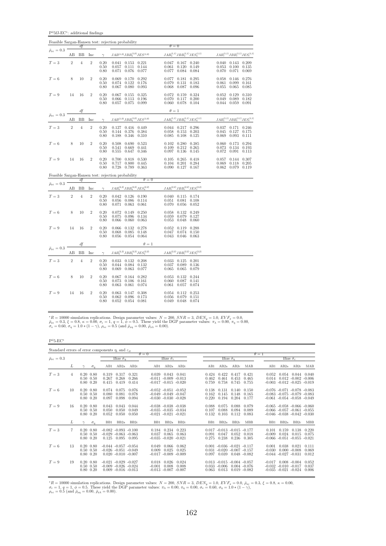$\mathbf{P}^{\phi}5\mathbf{f}\mathbf{J}\text{-}\mathbf{E}\mathbf{C}^*$ : additional findings

|                                 |                |                |                |                      | Feasible Sargan-Hansen test: rejection probability                                     |                                   |                         |                                                                                           |                                             |                         |                                                 |                                           |
|---------------------------------|----------------|----------------|----------------|----------------------|----------------------------------------------------------------------------------------|-----------------------------------|-------------------------|-------------------------------------------------------------------------------------------|---------------------------------------------|-------------------------|-------------------------------------------------|-------------------------------------------|
| $\bar{\rho}_{x\varepsilon}=0.3$ |                | df             |                |                      |                                                                                        |                                   | $\theta = 0$            |                                                                                           |                                             |                         |                                                 |                                           |
|                                 | AВ             | BB             | Inc            | $\gamma$             | $JAB^{(1,0)}JBB^{(1,0)}_aJES^{(1,0)}$                                                  |                                   |                         |                                                                                           | $JAB^{(1,1)}_a JBB^{(1,1)}_a JES^{(1,1)}_a$ |                         |                                                 | $JAB_c^{(1,1)}JBB_c^{(1,1)}JES_c^{(1,1)}$ |
| $T=3$                           | $\sqrt{2}$     | $\overline{4}$ | $\overline{2}$ | 0.20<br>0.50<br>0.80 | 0.041<br>$0.153$ $0.221$<br>0.057<br>0.111<br>0.071                                    | 0.144<br>0.076 0.077              | 0.047<br>0.061<br>0.077 | 0.167<br>0.120<br>0.084                                                                   | 0.240<br>0.149<br>0.084                     | 0.053<br>0.070          | $0.040$ $0.143$ $0.209$<br>0.100<br>0.071       | 0.135<br>0.069                            |
| $T=6$                           | 8              | 10             | $\overline{2}$ | 0.20<br>0.50<br>0.80 | 0.069<br>0.074<br>0.122<br>0.067<br>0.080                                              | $0.170$ $0.292$<br>0.176<br>0.093 | 0.077<br>0.079<br>0.068 | 0.181<br>0.131<br>0.087                                                                   | 0.295<br>0.183<br>0.096                     | 0.058<br>0.061<br>0.055 | 0.146<br>0.099<br>0.065                         | 0.276<br>0.161<br>0.085                   |
| $T=9$                           | 14             | 16             | $\overline{2}$ | 0.20<br>0.50<br>0.80 | 0.067<br>0.155<br>0.113<br>0.066<br>0.057 0.075                                        | 0.325<br>0.196<br>0.099           | 0.072<br>0.070          | 0.159<br>0.117<br>$0.060$ $0.078$                                                         | 0.324<br>0.200<br>0.104                     |                         | $0.052$ $0.129$<br>0.049 0.089<br>$0.044$ 0.059 | 0.310<br>0.182<br>0.091                   |
| $\bar{\rho}_{x\varepsilon}=0.3$ |                | df             |                |                      |                                                                                        |                                   | $\theta = 1$            |                                                                                           |                                             |                         |                                                 |                                           |
|                                 | AB             | BB             | Inc            | $\gamma$             | $JAB^{\left( 1,0\right) }JBB_{a}^{\left( 1,0\right) }JES^{\left( 1,0\right) }$         |                                   |                         |                                                                                           | $JAB^{(1,1)}_aJBB^{(1,1)}_aJES^{(1,1)}_a$   |                         |                                                 | $JAB_c^{(1,1)}JBB_c^{(1,1)}JES_c^{(1,1)}$ |
| $T=3$                           | $\sqrt{2}$     | $\overline{4}$ | $\overline{2}$ | 0.20<br>0.50<br>0.80 | 0.127<br>0.144<br>0.376<br>0.346<br>0.188                                              | 0.416 0.449<br>0.384<br>0.310     | 0.044<br>0.058<br>0.085 | 0.217<br>0.153<br>0.108                                                                   | 0.296<br>0.203<br>0.125                     | 0.037<br>0.045<br>0.069 | 0.171<br>0.127<br>0.093                         | 0.246<br>0.175<br>0.111                   |
| $T=6$                           | 8              | 10             | $\overline{2}$ | 0.20<br>0.50<br>0.80 | 0.508<br>0.690<br>0.541<br>0.669<br>0.555<br>0.647                                     | 0.523<br>0.441<br>0.346           | 0.102<br>0.109<br>0.097 | 0.280<br>0.212<br>0.136                                                                   | 0.385<br>0.265<br>0.145                     | 0.060<br>0.073<br>0.072 | 0.173<br>0.134<br>0.091                         | 0.294<br>0.193<br>0.113                   |
| $T=9$                           | 14             | 16             | $\overline{2}$ | 0.20<br>0.50<br>0.80 | 0.700<br>0.818<br>0.717<br>0.800<br>0.728<br>0.789                                     | 0.530<br>0.445<br>0.363           | 0.105<br>0.104          | 0.265<br>0.201<br>$0.090 \quad 0.127$                                                     | 0.418<br>0.284<br>0.167                     | 0.057<br>0.069          | 0.144<br>0.118<br>$0.062$ 0.079                 | 0.307<br>0.205<br>0.119                   |
|                                 |                |                |                |                      | Feasible Sargan-Hansen test: rejection probability                                     | $\theta = 0$                      |                         |                                                                                           |                                             |                         |                                                 |                                           |
| $\bar{\rho}_{x\varepsilon}=0.3$ | AB             | df<br>BB       | Inc            | $\gamma$             | $JAB_{a}^{\left( 2,2\right) }JBB_{a}^{\left( 2,2\right) }JES_{a}^{\left( 2,2\right) }$ |                                   |                         |                                                                                           | $JAB_c^{(2,2)}JBB_c^{(2,2)}JES_c^{(2,2)}$   |                         |                                                 |                                           |
| $T=3$                           | $\overline{2}$ | $\overline{4}$ | $\,2$          | 0.20<br>0.50<br>0.80 | $0.042$ $0.126$ $0.190$<br>0.056<br>0.086<br>0.071<br>0.063                            | 0.114<br>0.061                    | 0.040<br>0.051<br>0.070 | $0.115$ $0.174$<br>0.081<br>0.056                                                         | 0.108<br>0.052                              |                         |                                                 |                                           |
| $T=6$                           | 8              | 10             | $\overline{2}$ | 0.20<br>0.50<br>0.80 | 0.072<br>0.149<br>0.075<br>0.096<br>0.066<br>0.060                                     | 0.250<br>0.134<br>0.063           | 0.058<br>0.059<br>0.053 | 0.132<br>0.079<br>0.048                                                                   | 0.249<br>0.127<br>0.060                     |                         |                                                 |                                           |
| $T=9$                           | 14             | 16             | $\overline{2}$ | 0.20<br>0.50<br>0.80 | 0.066<br>0.132<br>0.085<br>0.068<br>0.056 0.054 0.064                                  | 0.278<br>0.148                    | 0.052                   | 0.119<br>$\begin{array}{cccc} 0.047 & 0.074 & 0.150 \\ 0.043 & 0.046 & 0.063 \end{array}$ | 0.288                                       |                         |                                                 |                                           |
| $\bar{\rho}_{x\varepsilon}=0.3$ |                | df             |                |                      |                                                                                        | $\theta = 1$                      |                         |                                                                                           |                                             |                         |                                                 |                                           |
|                                 | AΒ             | ΒB             | Inc            | $\gamma$             | $JAB_{a}^{\left( 2,2\right) }JBB_{a}^{\left( 2,2\right) }JES_{a}^{\left( 2,2\right) }$ |                                   |                         |                                                                                           | $JAB_c^{(2,2)}JBB_c^{(2,2)}JES_c^{(2,2)}$   |                         |                                                 |                                           |
| $T=3$                           | $\overline{2}$ | $\overline{4}$ | $\overline{2}$ | 0.20<br>0.50<br>0.80 | $0.033$ $0.132$ $0.208$<br>0.084<br>0.044<br>0.069<br>0.063                            | 0.132<br>0.077                    | 0.033<br>0.037<br>0.065 | $0.125$ $0.201$<br>0.089<br>0.065                                                         | 0.136<br>0.079                              |                         |                                                 |                                           |
| $T=6$                           | 8              | 10             | $\overline{2}$ | 0.20<br>0.50<br>0.80 | 0.067<br>0.073<br>0.106<br>0.063<br>0.061                                              | $0.164$ $0.282$<br>0.161<br>0.074 | 0.053<br>0.060<br>0.061 | 0.132<br>0.087<br>0.057                                                                   | 0.244<br>0.141<br>0.074                     |                         |                                                 |                                           |
| $T=9$                           | 14             | 16             | $\overline{2}$ | 0.20<br>0.50<br>0.80 | 0.063<br>0.147<br>0.062<br>0.096<br>0.052<br>0.054 0.081                               | 0.308<br>0.173                    | 0.054<br>0.056<br>0.049 | 0.112<br>0.079<br>0.048                                                                   | 0.253<br>0.151<br>0.074                     |                         |                                                 |                                           |

\*R = 10000 simulation replications. Design parameter values:  $N = 200$ ,  $SNR = 3$ ,  $DEN_y = 1.0$ ,  $EVF_x = 0.0$ ,  $\bar{\rho}_{xe} = 0.3$ ,  $\xi = 0.8$ ,  $\kappa = 0.00$ ,  $\sigma_e = 1$ ,  $q = 1$ ,  $\phi = 0.5$ . These yield the DGP parameter values:  $\pi_{\lambda} = 0.$ 

 $P^{\phi}$ 5-EC\*

| Standard errors of error components $\eta_i$ and $\varepsilon_{it}$ |    |                                                        |            |                         |                                                                                   |                         |                   |                                                                                    |                |                         |                                                                             |                                    |                         |                   |                                                                                                                   |                                          |                         |
|---------------------------------------------------------------------|----|--------------------------------------------------------|------------|-------------------------|-----------------------------------------------------------------------------------|-------------------------|-------------------|------------------------------------------------------------------------------------|----------------|-------------------------|-----------------------------------------------------------------------------|------------------------------------|-------------------------|-------------------|-------------------------------------------------------------------------------------------------------------------|------------------------------------------|-------------------------|
| $\bar{\rho}_{x\varepsilon}=0.3$                                     |    |                                                        |            |                         | Bias $\tilde{\sigma}_n$                                                           |                         | $\theta = 0$      | Bias $\hat{\sigma}_{\varepsilon}$                                                  |                |                         | Bias $\tilde{\sigma}_n$                                                     |                                    |                         | $\theta = 1$      |                                                                                                                   | Bias $\hat{\sigma}_{\varepsilon}$        |                         |
|                                                                     | L  |                                                        | $\sigma_n$ | AB1                     | AB2a                                                                              | AB2c                    | AB1               | AB2a                                                                               | AB2c           | AB1                     | AB2a                                                                        | AB2c                               | MAB                     | AB1               | AB2a                                                                                                              | AB2c                                     | MAB                     |
| $T=3$                                                               | 4  | $0.20\ 0.80$<br>$0.50 \quad 0.50$<br>$0.80\ 0.20$      |            | 0.319<br>0.267<br>0.415 | 0.317<br>0.268<br>0.419                                                           | 0.321<br>0.266<br>0.414 | 0.039             | 0.043<br>$-0.011 - 0.009 - 0.013$<br>$-0.017 - 0.015 - 0.020$                      | 0.041          | 0.424<br>0.462<br>0.759 | 0.422<br>0.461<br>0.758                                                     | 0.417<br>0.453<br>0.745            | 0.421<br>0.465<br>0.755 | 0.052<br>0.014    | 0.054<br>$-0.003$ $-0.012$ $-0.025$ $-0.019$                                                                      | $0.044$ 0.040<br>$0.012 - 0.002 - 0.006$ |                         |
| $T=6$                                                               | 10 | $0.20\ 0.80$<br>$0.50 \quad 0.50$<br>$0.80\ 0.20$      |            | 0.074<br>0.080<br>0.097 | 0.075<br>0.081<br>0.098                                                           | 0.076<br>0.078<br>0.094 |                   | $-0.052$ $-0.051$ $-0.052$<br>$-0.049 - 0.049 - 0.047$<br>$-0.030 - 0.030 - 0.028$ |                | 0.138<br>0.162<br>0.220 | 0.131<br>0.145<br>0.194                                                     | 0.140<br>0.148<br>0.204            | 0.150<br>0.165<br>0.177 |                   | $-0.076$ $-0.071$ $-0.078$ $-0.083$<br>$-0.083$ $-0.075$ $-0.079$ $-0.083$<br>$-0.061$ $-0.054$ $-0.058$ $-0.049$ |                                          |                         |
| $T=9$                                                               | 16 | $0.20\ 0.80$<br>$0.50 \quad 0.50$<br>$0.80 \quad 0.20$ |            | 0.043<br>0.050<br>0.052 | 0.043<br>0.050<br>0.050                                                           | 0.044<br>0.049<br>0.050 |                   | $-0.038 - 0.038 - 0.038$<br>$-0.035 - 0.035 - 0.034$<br>$-0.021$ $-0.021$ $-0.021$ |                | 0.088<br>0.107<br>0.132 | 0.075<br>0.088<br>0.103                                                     | 0.088<br>0.094<br>0.112            | 0.079<br>0.089<br>0.083 |                   | $-0.065$ $-0.058$ $-0.066$ $-0.060$<br>$-0.066$ $-0.057$ $-0.061$ $-0.055$<br>$-0.046$ $-0.038$ $-0.042$ $-0.030$ |                                          |                         |
|                                                                     | L  |                                                        | $\sigma_n$ | B <sub>B1</sub>         | BB <sub>2a</sub>                                                                  | BB <sub>2c</sub>        | B <sub>B1</sub>   | BB <sub>2a</sub>                                                                   | BB2c           | B <sub>B1</sub>         | BB <sub>2a</sub>                                                            | BB <sub>2c</sub>                   | <b>MBB</b>              | BB1               | BB <sub>2a</sub>                                                                                                  | BB2c                                     | MBB                     |
| $T = 3$                                                             |    | $0.20\ 0.80$<br>$0.50 \quad 0.50$<br>$0.80\ 0.20$      |            | 0.125                   | $-0.082$ $-0.093$ $-0.100$<br>$-0.029$ $-0.063$ $-0.063$<br>0.095                 | 0.095                   | 0.184<br>0.037    | 0.234<br>0.065<br>$-0.035 - 0.020 - 0.021$                                         | 0.223<br>0.063 | 0.091<br>0.275          | $0.017 - 0.013 - 0.015 - 0.177$<br>0.047<br>0.238                           | 0.052<br>0.236                     | 0.018<br>0.305          | 0.101<br>$-0.009$ | 0.159<br>0.024<br>$-0.066$ $-0.051$ $-0.055$ $-0.021$                                                             | 0.138<br>0.015                           | 0.220<br>0.075          |
| $T=6$                                                               | 13 | $0.20\ 0.80$<br>$0.50 \quad 0.50$<br>$0.80 \quad 0.20$ |            |                         | $-0.044$ $-0.057$ $-0.054$<br>$-0.026 - 0.051 - 0.049$<br>$0.020 - 0.010 - 0.007$ |                         | 0.049<br>0.009    | 0.066<br>0.025<br>$-0.017 - 0.009 - 0.009$                                         | 0.062<br>0.025 | 0.097                   | $0.001 - 0.036 - 0.021 - 0.117$<br>$0.031 - 0.020 - 0.007 - 0.157$<br>0.039 | $0.048 - 0.082$                    |                         | 0.001<br>$-0.030$ | 0.038<br>$-0.044$ $-0.027$ $-0.031$                                                                               | 0.021<br>$0.000 - 0.008$                 | 0.111<br>0.069<br>0.012 |
| $T=9$                                                               | 19 | $0.20\ 0.80$<br>$0.50 \quad 0.50$<br>$0.80\ 0.20$      |            |                         | $-0.021 - 0.029 - 0.027$<br>$-0.009 - 0.026 - 0.024$<br>$0.009 - 0.016 - 0.013$   |                         | 0.018<br>$-0.001$ | 0.026<br>0.008<br>$-0.013$ $-0.007$ $-0.007$                                       | 0.024<br>0.008 | 0.063                   | $0.013 - 0.015 - 0.004 - 0.057$<br>$0.033 - 0.006$<br>0.013                 | $0.004 - 0.076$<br>$0.019 - 0.082$ |                         | $-0.017$          | $-0.032$ $-0.010$ $-0.017$<br>$-0.035 - 0.021 - 0.024$                                                            | $0.008 - 0.004$                          | 0.052<br>0.037<br>0.006 |

 ${}^*R = 10000$  simulation replications. Design parameter values:  $N = 200$ ,  $SNR = 3$ ,  $DEN_y = 1.0$ ,  $EVF_x = 0.0$ ,  $\bar{\rho}_{x\bar{x}} = 0.3$ ,  $\xi = 0.8$ ,  $\kappa = 0.00$ ,<br>  $\sigma_{\varepsilon} = 1$ ,  $q = 1$ ,  $\phi = 0.5$ . These yield the DGP parameter values: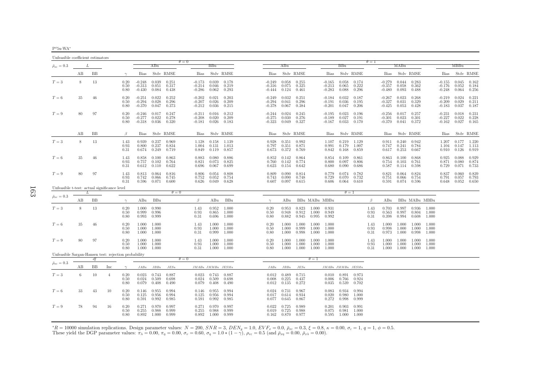| P®511-WA* |  |
|-----------|--|
|           |  |

| Unfeasible coefficient estimators                    |    |    |     |                      |                                  |                         |                         |                                  |                               |                         |                         |                                  |                                 |                         |                         |                                  |                                       |                         |                      |                                  |                         |                         |                         |                                  |                         |                         |
|------------------------------------------------------|----|----|-----|----------------------|----------------------------------|-------------------------|-------------------------|----------------------------------|-------------------------------|-------------------------|-------------------------|----------------------------------|---------------------------------|-------------------------|-------------------------|----------------------------------|---------------------------------------|-------------------------|----------------------|----------------------------------|-------------------------|-------------------------|-------------------------|----------------------------------|-------------------------|-------------------------|
| $\bar{\rho}_{x\varepsilon}=0.3$                      |    | L  |     |                      |                                  | ABu                     |                         | $\theta = 0$                     | BBu                           |                         |                         |                                  | ABu                             |                         |                         |                                  | BBu                                   |                         | $\theta = 1$         |                                  | MABu                    |                         |                         |                                  | MBBu                    |                         |
|                                                      | AВ | BB |     | $\gamma$             | <b>Bias</b>                      |                         | Stdv RMSE               | Bias                             |                               |                         | Stdy RMSE               | Bias                             |                                 | Stdy RMSE               |                         | Bias                             |                                       | Stdy RMSE               |                      | Bias                             |                         | Stdv RMSE               |                         | Bias                             |                         | Stdy RMSE               |
| $T=3$                                                | 8  | 13 |     | 0.20<br>0.50<br>0.80 | $-0.248$<br>$-0.313$<br>$-0.430$ | 0.039<br>0.051<br>0.084 | 0.251<br>0.317<br>0.438 | -0.173<br>$-0.214$<br>$-0.286$   |                               | 0.039<br>0.046<br>0.062 | 0.178<br>0.219<br>0.293 | $-0.249$<br>$-0.316$<br>-0.444   | 0.058<br>0.075<br>0.124         | 0.255<br>0.325<br>0.461 |                         | $-0.165$<br>$-0.213$<br>$-0.283$ | 0.058<br>0.065<br>0.088               | 0.174<br>0.222<br>0.296 |                      | $-0.279$<br>$-0.357$<br>$-0.480$ | 0.044<br>0.058<br>0.093 | 0.283<br>0.362<br>0.488 |                         | $-0.155$<br>$-0.176$<br>$-0.248$ | 0.045<br>0.052<br>0.064 | 0.162<br>0.184<br>0.256 |
| $T=6$                                                | 35 | 46 |     | 0.20<br>0.50<br>0.80 | $-0.251$<br>$-0.294$<br>$-0.370$ | 0.022<br>0.028<br>0.047 | 0.252<br>0.296<br>0.373 | $-0.202$<br>$-0.207$<br>$-0.212$ | 0.036                         | 0.021<br>0.026          | 0.203<br>0.209<br>0.215 | $-0.249$<br>$-0.294$<br>$-0.378$ | 0.032<br>0.041<br>0.067         | 0.251<br>0.296<br>0.384 |                         | $-0.184$<br>$-0.191$<br>$-0.201$ | 0.032<br>0.036<br>0.047               | 0.187<br>0.195<br>0.206 |                      | $-0.267$<br>$-0.327$<br>$-0.425$ | 0.023<br>0.031<br>0.053 | 0.268<br>0.329<br>0.428 |                         | $-0.219$<br>$-0.209$<br>$-0.183$ | 0.024<br>0.029<br>0.037 | 0.221<br>0.211<br>0.187 |
| $T=9$                                                | 80 | 97 |     | 0.20<br>0.50<br>0.80 | $-0.246$<br>$-0.277$<br>$-0.318$ | 0.017<br>0.022<br>0.036 | 0.247<br>0.278<br>0.320 | $-0.211$<br>$-0.208$<br>$-0.181$ | 0.020                         | 0.016<br>0.026          | 0.212<br>0.209<br>0.183 | $-0.244$<br>$-0.275$<br>$-0.323$ | 0.024<br>0.030<br>0.049         | 0.245<br>0.276<br>0.327 |                         | $-0.195$<br>$-0.189$<br>$-0.167$ | 0.023<br>0.027<br>0.033               | 0.196<br>0.191<br>0.170 |                      | $-0.256$<br>$-0.301$<br>$-0.370$ | 0.017<br>0.023<br>0.041 | 0.257<br>0.301<br>0.372 |                         | $-0.231$<br>$-0.227$<br>$-0.162$ | 0.018<br>0.022<br>0.027 | 0.231<br>0.228<br>0.165 |
|                                                      | AВ | BB |     | $\beta$              | Bias                             |                         | Stdy RMSE               | Bias                             |                               |                         | Stdy RMSE               | Bias                             |                                 | Stdy RMSE               |                         | Bias                             |                                       | Stdy RMSE               |                      | Bias                             |                         | Stdy RMSE               |                         | <b>Bias</b>                      |                         | Stdy RMSE               |
| $T=3$                                                | 8  | 13 |     | 1.43<br>0.93<br>0.31 | 0.939<br>0.800<br>0.674          | 0.237<br>0.237<br>0.249 | 0.969<br>0.834<br>0.719 | 1.128<br>1.004<br>0.849          | 0.131                         | 0.158<br>0.119          | 1.139<br>1.013<br>0.857 | 0.928<br>0.797<br>0.673          | 0.351<br>0.351<br>0.372         | 0.992<br>0.871<br>0.769 |                         | 1.107<br>0.991<br>0.842          | 0.219<br>0.179<br>0.168               | 1.129<br>1.007<br>0.859 |                      | 0.911<br>0.747<br>0.617          | 0.240<br>0.241<br>0.253 | 0.942<br>0.784<br>0.667 |                         | 1.207<br>1.104<br>0.910          | 0.177<br>0.147<br>0.126 | 1.220<br>1.113<br>0.919 |
| $T=6$                                                | 35 | 46 |     | 1.43<br>0.93<br>0.31 | 0.858<br>0.757<br>0.612          | 0.100<br>0.102<br>0.110 | 0.863<br>0.764<br>0.622 | 0.883<br>0.821<br>0.696          | 0.080<br>0.073<br>0.067       |                         | 0.886<br>0.825<br>0.699 | 0.852<br>0.760<br>0.623          | 0.142<br>0.142<br>0.154         | 0.864<br>0.774<br>0.642 |                         | 0.854<br>0.800<br>0.680          | 0.109<br>0.097<br>0.090               | 0.861<br>0.806<br>0.686 |                      | 0.863<br>0.754<br>0.587          | 0.100<br>0.103<br>0.114 | 0.868<br>0.761<br>0.598 |                         | 0.925<br>0.871<br>0.729          | 0.088<br>0.080<br>0.071 | 0.929<br>0.874<br>0.733 |
| $T=9$                                                | 80 | 97 |     | 1.43<br>0.93<br>0.31 | 0.813<br>0.742<br>0.596          | 0.064<br>0.066<br>0.071 | 0.816<br>0.745<br>0.600 | 0.806<br>0.752<br>0.626          | 0.054                         | 0.052<br>0.049          | 0.808<br>0.754<br>0.628 | 0.809<br>0.743<br>0.607          | 0.090<br>0.090<br>0.097         | 0.814<br>0.748<br>0.615 |                         | 0.779<br>0.729<br>0.606          | 0.074<br>0.070<br>0.064               | 0.782<br>0.732<br>0.610 |                      | 0.821<br>0.751<br>0.591          | 0.064<br>0.066<br>0.074 | 0.824<br>0.754<br>0.596 |                         | 0.837<br>0.791<br>0.648          | 0.060<br>0.057<br>0.052 | 0.839<br>0.793<br>0.650 |
| Unfeasible t-test: actual significance level         |    | L  |     |                      |                                  |                         | $\theta = 0$            |                                  |                               |                         |                         |                                  |                                 |                         |                         |                                  | $\theta = 1$                          |                         |                      |                                  |                         |                         |                         |                                  |                         |                         |
| $\bar{\rho}_{x\varepsilon}=0.3$                      | AВ | BB |     | $\gamma$             | ABu                              | BBu                     |                         | β                                |                               | ABu                     | BBu                     | $\gamma$                         | ABu                             |                         |                         | BBu MABu MBBu                    |                                       |                         | β                    | ABu                              |                         | BBu MABu MBBu           |                         |                                  |                         |                         |
| $T=3$                                                | 8  | 13 |     | 0.20<br>0.50<br>0.80 | 1.000<br>0.999<br>0.993          | 0.990<br>0.996<br>0.999 |                         | 1.43<br>0.93<br>0.31             |                               | 0.952<br>0.865<br>0.696 | 1.000<br>1.000<br>1.000 | 0.20<br>0.50<br>0.80             | 0.953<br>0.948<br>0.882         | 0.823<br>0.912<br>0.945 | 1.000<br>1.000<br>0.995 | 0.931<br>0.949<br>0.992          |                                       |                         | 1.43<br>0.93<br>0.31 | 0.703<br>0.563<br>0.398          | 0.997<br>0.997<br>0.994 | 0.936<br>0.804<br>0.608 | 1.000<br>1.000<br>1.000 |                                  |                         |                         |
| $T=6$                                                | 35 | 46 |     | 0.20<br>0.50<br>0.80 | 1.000<br>1.000<br>1.000          | 1.000<br>1.000<br>1.000 |                         | 1.43<br>0.93<br>0.31             |                               | 1.000<br>1.000<br>0.999 | 1.000<br>1.000<br>1.000 | 0.20<br>0.50<br>0.80             | 1.000<br>1.000<br>1.000         | 1.000<br>0.999<br>0.998 | 1.000<br>1.000<br>1.000 | 1.000<br>1.000<br>1.000          |                                       |                         | 1.43<br>0.93<br>0.31 | 1.000<br>0.998<br>0.973          | 1.000<br>1.000<br>1.000 | 1.000<br>1.000<br>0.998 | 1.000<br>1.000<br>1.000 |                                  |                         |                         |
| $T=9$                                                | 80 | 97 |     | 0.20<br>0.50<br>0.80 | 1.000<br>1.000<br>1.000          | 1.000<br>1.000<br>1.000 |                         | 1.43<br>0.93<br>0.31             |                               | 1.000<br>1.000<br>1.000 | 1.000<br>1.000<br>1.000 | 0.20<br>0.50<br>0.80             | 1.000<br>1.000<br>1.000         | 1.000<br>1.000<br>1.000 | 1.000<br>1.000<br>1.000 | 1.000<br>1.000<br>1.000          |                                       |                         | 1.43<br>0.93<br>0.31 | 1.000<br>1.000<br>1.000          | 1.000<br>1.000<br>1.000 | 1.000<br>1.000<br>1.000 | 1.000<br>1.000<br>1.000 |                                  |                         |                         |
| Unfeasible Sargan-Hansen test: rejection probability |    | df |     |                      |                                  |                         |                         | $\theta = 0$                     |                               |                         |                         |                                  |                                 |                         | $\theta = 1$            |                                  |                                       |                         |                      |                                  |                         |                         |                         |                                  |                         |                         |
| $\bar{\rho}_{x\varepsilon}=0.3$                      | AВ | BB | Inc | $\gamma$             | JABu                             | $JBBu$                  | JESu                    |                                  | $JMABu\quad JMMBu\quad JESMu$ |                         |                         | JABu                             | JBBu                            | $JESu$                  |                         | $JMABu\quad JMMBu\quad JESMu$    |                                       |                         |                      |                                  |                         |                         |                         |                                  |                         |                         |
| $T=3$                                                | -6 | 10 | 4   | 0.20<br>0.50<br>0.80 | 0.023<br>0.024<br>0.079          | 0.743<br>0.509<br>0.408 | 0.887<br>0.698<br>0.490 | 0.023<br>0.024<br>0.079          | 0.743<br>0.509                | 0.408                   | 0.887<br>0.698<br>0.490 | 0.012<br>0.008<br>0.012          | 0.489<br>0.225<br>0.135         | 0.715<br>0.437<br>0.272 |                         | 0.006<br>0.035                   | $0.010 \quad 0.891$<br>0.766<br>0.539 | 0.973<br>0.924<br>0.702 |                      |                                  |                         |                         |                         |                                  |                         |                         |
| $T=6$                                                | 33 | 43 | 10  | 0.20<br>0.50<br>0.80 | 0.146<br>0.125<br>0.591          | 0.955<br>0.956<br>0.992 | 0.994<br>0.994<br>0.985 | 0.146<br>0.125<br>0.591          | 0.955<br>0.956<br>0.992       |                         | 0.994<br>0.994<br>0.985 | 0.024<br>0.017<br>0.077          | 0.731<br>0.614<br>0.645         | 0.967<br>0.934<br>0.867 |                         | 0.083<br>0.020<br>0.272          | 0.934<br>0.980<br>0.998               | 0.994<br>1.000<br>0.999 |                      |                                  |                         |                         |                         |                                  |                         |                         |
| $T=9$                                                | 78 | 94 | 16  | 0.20<br>0.50<br>0.80 | 0.271<br>0.255<br>0.892          | 0.970<br>0.988<br>1.000 | 0.997<br>0.999<br>0.999 | 0.271<br>0.255<br>0.892          | 0.970<br>0.988<br>1.000       |                         | 0.997<br>0.999<br>0.999 | 0.022<br>0.019                   | 0.725<br>0.725<br>$0.162$ 0.870 | 0.989<br>0.988<br>0.977 |                         | 0.201<br>0.075                   | 0.903<br>0.981<br>$0.595$ 1.000       | 0.991<br>1.000<br>1.000 |                      |                                  |                         |                         |                         |                                  |                         |                         |

 ${}^*R = 10000$  simulation replications. Design parameter values:  $N = 200$ ,  $SNR = 3$ ,  $DEN_y = 1.0$ ,  $EVF_x = 0.0$ ,  $\bar{\rho}_{xc} = 0.3$ ,  $\xi = 0.8$ ,  $\kappa = 0.00$ ,  $\sigma_{\varepsilon} = 1$ ,  $q = 1$ ,  $\phi = 0.5$ .<br>These yield the DGP parameter values:  $\pi$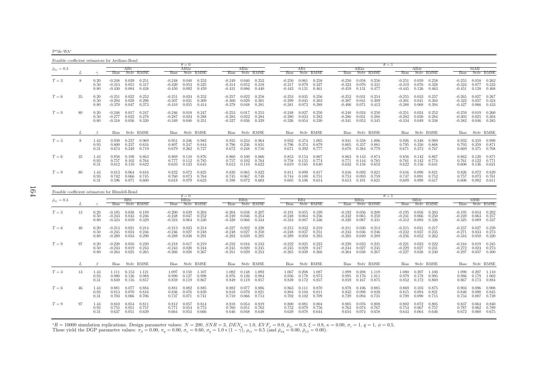$\mathbf{P}^{\phi}5\text{fc-WA}^*$ 

Feasible coefficient estimators for Arellano-Bond

| т самые соспиские сминаемы пог тиспано-понц |    |      |             |                |                | $\theta = 0$ |                |             |                |           |          |             |       |                |          |       |                |             |       |                |             |       |           |
|---------------------------------------------|----|------|-------------|----------------|----------------|--------------|----------------|-------------|----------------|-----------|----------|-------------|-------|----------------|----------|-------|----------------|-------------|-------|----------------|-------------|-------|-----------|
| $\bar{\rho}_{x\varepsilon}=0.3$             |    |      |             | ABI            |                | AB2a         |                |             | AB2c           |           |          |             | ABI   |                |          | AB2a  |                | $\theta=1$  | AB2c  |                |             | МАВ   |           |
|                                             |    |      |             | Stdy RMSE      |                |              | Stdy RMSE      | <b>Bias</b> |                | Stdy RMSE |          | <b>Bias</b> |       | Stdy RMSE      | Bias     |       | Stdy RMSE      | <b>Bias</b> |       | Stdy RMSE      | <b>Bias</b> |       | Stdy RMSE |
|                                             |    |      | <b>Bias</b> |                | Bias           |              |                |             |                |           |          |             |       |                |          |       |                |             |       |                |             |       |           |
| $T=3$                                       | 8  | 0.20 | $-0.248$    | 0.251<br>0.039 | $-0.248$       | 0.040        | 0.252          | $-0.249$    | 0.040          | 0.252     | $-0.250$ |             | 0.061 | 0.258          | $-0.250$ | 0.058 | 0.256          | $-0.251$    | 0.059 | 0.258          | $-0.255$    | 0.058 | 0.262     |
|                                             |    | 0.50 | $-0.313$    | 0.051<br>0.317 | $-0.320$       | 0.053        | 0.325          | $-0.314$    | 0.052          | 0.318     | $-0.317$ |             | 0.079 | 0.327          | $-0.323$ | 0.076 | 0.331          | $-0.319$    | 0.076 | 0.328          | $-0.324$    | 0.077 | 0.333     |
|                                             |    | 0.80 | $-0.430$    | 0.084<br>0.438 | $-0.450$       | 0.092        | 0.459          | $-0.431$    | 0.086          | 0.440     | -0.442   |             | 0.131 | 0.461          | $-0.459$ | 0.131 | 0.477          | -0.445      | 0.126 | 0.463          | $-0.451$    | 0.128 | 0.468     |
|                                             |    |      |             |                |                |              |                |             |                |           |          |             |       |                |          |       |                |             |       |                |             |       |           |
| $T=6$                                       | 35 | 0.20 | $-0.251$    | 0.022<br>0.252 | $-0.251$       | 0.024        | 0.252          | $-0.257$    | 0.022          | 0.258     | $-0.253$ |             | 0.035 | 0.256          | $-0.252$ | 0.031 | 0.254          | $-0.255$    | 0.033 | 0.257          | $-0.265$    | 0.027 | 0.267     |
|                                             |    | 0.50 | $-0.294$    | 0.028<br>0.296 | $-0.307$       | 0.031        | 0.309          | $-0.300$    | 0.029          | 0.301     | $-0.299$ |             | 0.045 | 0.303          | $-0.307$ | 0.041 | 0.309          | $-0.301$    | 0.041 | 0.304          | $-0.322$    | 0.037 | 0.324     |
|                                             |    | 0.80 | $-0.370$    | 0.373<br>0.047 | $-0.410$       | 0.055        | 0.414          | $-0.378$    | 0.048          | 0.381     | $-0.381$ |             | 0.073 | 0.388          | $-0.406$ | 0.071 | 0.412          | $-0.388$    | 0.068 | 0.394          | $-0.427$    | 0.066 | 0.433     |
|                                             |    |      |             |                |                |              |                |             |                |           |          |             |       |                |          |       |                |             |       |                |             |       |           |
| $T=9$                                       | 80 | 0.20 | $-0.246$    | 0.017<br>0.247 | $-0.246$       | 0.018        | 0.247          | $-0.253$    | 0.017          | 0.253     | $-0.248$ |             | 0.027 | 0.250          | $-0.248$ | 0.024 | 0.250          | $-0.251$    | 0.024 | 0.252          | $-0.259$    | 0.019 | 0.260     |
|                                             |    | 0.50 | $-0.277$    | 0.022<br>0.278 | $-0.287$       | 0.024        | 0.288          | $-0.283$    | 0.022          | 0.284     | $-0.280$ |             | 0.033 | 0.282          | $-0.286$ | 0.031 | 0.288          | $-0.282$    | 0.030 | 0.284          | $-0.303$    | 0.025 | 0.304     |
|                                             |    | 0.80 | $-0.318$    | 0.036<br>0.320 | -0.349         | 0.040        | 0.351          | $-0.327$    | 0.036          | 0.329     | $-0.326$ |             | 0.054 | 0.330          | $-0.341$ | 0.053 | 0.345          | $-0.334$    | 0.049 | 0.338          | $-0.382$    | 0.046 | 0.385     |
|                                             |    |      |             |                |                |              |                |             |                |           |          |             |       |                |          |       |                |             |       |                |             |       |           |
|                                             |    |      |             |                |                |              |                |             |                |           |          |             |       |                |          |       |                |             |       |                |             |       |           |
|                                             |    | B    | Bias        | Stdy RMSE      |                |              | Bias Stdy RMSE |             | Bias Stdy RMSE |           |          |             |       | Bias Stdy RMSE |          |       | Bias Stdy RMSE |             |       | Bias Stdv RMSE | Bias        |       | Stdy RMSE |
| $T=3$                                       | 8  | 1.43 | 0.939       | 0.237          | 0.969<br>0.951 | 0.246        | 0.982          | 0.935       | 0.234          | 0.964     | 0.932    |             | 0.374 | 1.005          | 0.941    | 0.358 | 1.006          | 0.926       | 0.348 | 0.989          | 0.932       | 0.359 | 0.999     |
|                                             |    | 0.93 | 0.800       | 0.237<br>0.834 | 0.807          | 0.247        | 0.844          | 0.796       | 0.236          | 0.831     | 0.796    |             | 0.374 | 0.879          | 0.805    | 0.357 | 0.881          | 0.795       | 0.350 | 0.868          | 0.793       | 0.359 | 0.871     |
|                                             |    | 0.31 | 0.674       | 0.249<br>0.719 | 0.679          | 0.262        | 0.727          | 0.672       | 0.248          | 0.716     | 0.671    |             | 0.392 | 0.777          | 0.678    | 0.384 | 0.779          | 0.671       | 0.373 | 0.767          | 0.669       | 0.375 | 0.768     |
|                                             |    |      |             |                |                |              |                |             |                |           |          |             |       |                |          |       |                |             |       |                |             |       |           |
| $T=6$                                       | 35 | 1.43 | 0.858       | 0.100<br>0.863 | 0.869          | 0.110        | 0.876          | 0.860       | 0.100          | 0.866     | 0.853    |             | 0.154 | 0.867          | 0.863    | 0.143 | 0.874          | 0.856       | 0.142 | - 0.867        | 0.862       | 0.120 | 0.871     |
|                                             |    | 0.93 | 0.757       | 0.102<br>0.764 | 0.777          | 0.112        | 0.785          | 0.757       | 0.102          | 0.764     | 0.758    |             | 0.155 | 0.774          | 0.771    | 0.144 | 0.785          | 0.761       | 0.142 | 0.774          | 0.761       | 0.122 | 0.771     |
|                                             |    | 0.31 | 0.612       | 0.110<br>0.622 | 0.633          | 0.123        | 0.645          | 0.612       | 0.110          | 0.622     | 0.619    |             | 0.165 | 0.640          | 0.632    | 0.158 | 0.652          | 0.622       | 0.156 | 0.641          | 0.606       | 0.136 | 0.621     |
|                                             |    |      |             |                |                |              |                |             |                |           |          |             |       |                |          |       |                |             |       |                |             |       |           |
| $T=9$                                       | 80 | 1.43 | 0.813       | 0.064          | 0.822<br>0.816 | 0.072        | 0.825          | 0.820       | 0.065          | 0.822     | 0.811    |             | 0.099 | 0.817          | 0.816    | 0.092 | 0.821          | 0.816       | 0.090 | 0.821          | 0.826       | 0.072 | 0.829     |
|                                             |    | 0.93 | 0.742       | 0.745<br>0.066 | 0.760          | 0.073        | 0.764          | 0.745       | 0.067          | 0.748     | 0.744    |             | 0.100 | 0.751          | 0.753    | 0.093 | 0.759          | 0.747       | 0.091 | 0.752          | 0.757       | 0.073 | 0.761     |
|                                             |    | 0.31 | 0.596       | 0.071          | 0.600<br>0.618 | 0.079        | 0.623          | 0.598       | 0.072          | 0.603     | 0.605    |             | 0.106 | 0.614          | 0.613    | 0.101 | 0.621          | 0.609       | 0.098 | 0.617          | 0.606       | 0.082 | 0.611     |
|                                             |    |      |             |                |                |              |                |             |                |           |          |             |       |                |          |       |                |             |       |                |             |       |           |

| Feasible coefficient estimators for Blundell-Bond |    |                      |                                  |                         |                         |                                  |                         |                         |                                  |                         |                         |                                  |                         |                         |                                  |                         |                         |                                  |                         |                         |                                  |                         |                         |
|---------------------------------------------------|----|----------------------|----------------------------------|-------------------------|-------------------------|----------------------------------|-------------------------|-------------------------|----------------------------------|-------------------------|-------------------------|----------------------------------|-------------------------|-------------------------|----------------------------------|-------------------------|-------------------------|----------------------------------|-------------------------|-------------------------|----------------------------------|-------------------------|-------------------------|
|                                                   |    |                      |                                  |                         |                         |                                  | $\theta = 0$            |                         |                                  |                         |                         |                                  |                         |                         |                                  |                         |                         | $\theta = 1$                     |                         |                         |                                  |                         |                         |
| $\bar{\rho}_{x\varepsilon}=0.3$                   |    |                      | <b>Bias</b>                      | BB1                     | Stdy RMSE               | <b>Bias</b>                      | BB2a                    | Stdy RMSE               | <b>Bias</b>                      | BB2c                    | Stdy RMSE               | <b>Bias</b>                      | BBI.                    | Stdy RMSE               | <b>Bias</b>                      | BB2a                    | Stdy RMSE               | <b>Bias</b>                      | BB2c                    | Stdy RMSE               | <b>Bias</b>                      | МВВ                     | Stdy RMSE               |
| $T=3$                                             | 13 | 0.20<br>0.50<br>0.80 | $-0.185$<br>$-0.243$<br>$-0.324$ | 0.038<br>0.043<br>0.059 | 0.189<br>0.246<br>0.329 | $-0.200$<br>$-0.248$<br>$-0.324$ | 0.039<br>0.047<br>0.064 | 0.204<br>0.252<br>0.330 | $-0.204$<br>$-0.249$<br>$-0.328$ | 0.038<br>0.046<br>0.066 | 0.207<br>0.254<br>0.334 | $-0.191$<br>$-0.248$<br>$-0.324$ | 0.055<br>0.064<br>0.087 | 0.199<br>0.256<br>0.336 | $-0.192$<br>$-0.242$<br>$-0.320$ | 0.056<br>0.065<br>0.087 | 0.200<br>0.250<br>0.331 | $-0.195$<br>$-0.241$<br>$-0.312$ | 0.056<br>0.066<br>0.093 | 0.203<br>0.250<br>0.326 | $-0.195$<br>$-0.249$<br>$-0.325$ | 0.054<br>0.063<br>0.089 | 0.202<br>0.257<br>0.337 |
| $T=6$                                             | 46 | 0.20<br>0.50<br>0.80 | $-0.213$<br>$-0.245$<br>$-0.289$ | 0.021<br>0.024<br>0.033 | 0.214<br>0.246<br>0.290 | $-0.213$<br>$-0.246$<br>$-0.289$ | 0.023<br>0.027<br>0.038 | 0.214<br>0.248<br>0.291 | $-0.227$<br>$-0.248$<br>$-0.282$ | 0.022<br>0.027<br>0.039 | 0.228<br>0.250<br>0.285 | $-0.215$<br>$-0.248$<br>$-0.289$ | 0.032<br>0.037<br>0.050 | 0.218<br>0.251<br>0.293 | $-0.211$<br>$-0.243$<br>$-0.285$ | 0.030<br>0.036<br>0.049 | 0.213<br>0.246<br>0.289 | $-0.215$<br>$-0.232$<br>$-0.256$ | 0.031<br>0.037<br>0.052 | 0.217<br>0.235<br>0.262 | $-0.237$<br>$-0.271$<br>$-0.316$ | 0.027<br>0.033<br>0.050 | 0.239<br>0.273<br>0.320 |
| $T=9$                                             | 97 | 0.20<br>0.50<br>0.80 | $-0.220$<br>$-0.243$<br>$-0.264$ | 0.016<br>0.019<br>0.025 | 0.220<br>0.243<br>0.265 | $-0.218$<br>$-0.243$<br>$-0.266$ | 0.017<br>0.020<br>0.028 | 0.219<br>0.244<br>0.267 | $-0.232$<br>$-0.245$<br>$-0.251$ | 0.016<br>0.020<br>0.029 | 0.233<br>0.245<br>0.253 | $-0.222$<br>$-0.245$<br>$-0.265$ | 0.025<br>0.029<br>0.039 | 0.223<br>0.247<br>0.268 | $-0.220$<br>$-0.244$<br>$-0.264$ | 0.023<br>0.027<br>0.038 | 0.221<br>0.245<br>0.267 | $-0.221$<br>$-0.229$<br>$-0.227$ | 0.023<br>0.027<br>0.038 | 0.222<br>0.231<br>0.230 | $-0.244$<br>$-0.272$<br>$-0.297$ | 0.019<br>0.024<br>0.037 | 0.245<br>0.273<br>0.300 |
|                                                   |    | $\beta$              |                                  |                         | Bias Stdy RMSE          | Bias                             |                         | Stdv RMSE               | Bias                             |                         | Stdy RMSE               | Bias                             |                         | Stdy RMSE               | Bias                             |                         | Stdv RMSE               |                                  | Bias Stdy RMSE          |                         | Bias                             |                         | Stdy RMSE               |
| $T=3$                                             | 13 | 1.43<br>0.93<br>0.31 | 1.111<br>0.980<br>0.849          | 0.153<br>0.126<br>0.116 | 1.121<br>0.988<br>0.857 | 1.097<br>0.990<br>0.859          | 0.150<br>0.127<br>0.119 | 1.107<br>0.998<br>0.867 | 1.082<br>0.976<br>0.849          | 0.148<br>0.126<br>0.119 | 1.092<br>0.984<br>0.857 | 1.067<br>0.956<br>0.839          | 0.208<br>0.178<br>0.172 | 1.087<br>0.973<br>0.857 | 1.099<br>0.995<br>0.859          | 0.208<br>0.176<br>0.167 | 1.119<br>1.011<br>0.875 | 1.080<br>0.979<br>0.852          | 0.207<br>0.178<br>0.172 | 1.100<br>0.995<br>0.869 | 1.090<br>0.986<br>0.867          | 0.207<br>0.179<br>0.173 | 1.110<br>1.002<br>0.884 |
| $T=6$                                             | 46 | 1.43<br>0.93<br>0.31 | 0.881<br>0.813<br>0.703          | 0.077<br>0.070<br>0.066 | 0.884<br>0.816<br>0.706 | 0.881<br>0.836<br>0.737          | 0.082<br>0.076<br>0.071 | 0.885<br>0.839<br>0.741 | 0.882<br>0.818<br>0.710          | 0.077<br>0.070<br>0.066 | 0.886<br>0.821<br>0.713 | 0.863<br>0.804<br>0.702          | 0.111<br>0.104<br>0.102 | 0.870<br>0.811<br>0.709 | 0.878<br>0.832<br>0.729          | 0.106<br>0.098<br>0.094 | 0.885<br>0.838<br>0.735 | 0.869<br>0.815<br>0.709          | 0.103<br>0.094<br>0.090 | 0.875<br>0.821<br>0.715 | 0.903<br>0.840<br>0.734          | 0.096<br>0.090<br>0.087 | 0.908<br>0.845<br>0.739 |
| $T=9$                                             | 97 | 1.43<br>0.93<br>0.31 | 0.810<br>0.755<br>0.637          | 0.054<br>0.051<br>0.051 | 0.811<br>0.757<br>0.639 | 0.812<br>0.771<br>0.664          | 0.057<br>0.054<br>0.053 | 0.814<br>0.773<br>0.666 | 0.818<br>0.760<br>0.646          | 0.054<br>0.051<br>0.048 | 0.819<br>0.762<br>0.648 | 0.800<br>0.752<br>0.639          | 0.081<br>0.079<br>0.078 | 0.804<br>0.756<br>0.644 | 0.805<br>0.763<br>0.654          | 0.076<br>0.074<br>0.074 | 0.808<br>0.767<br>0.658 | 0.802<br>0.754<br>0.643          | 0.072<br>0.067<br>0.064 | 0.805<br>0.757<br>0.646 | 0.837<br>0.787<br>0.672          | 0.064<br>0.062<br>0.060 | 0.840<br>0.789<br>0.675 |

 ${}^*R = 10000$  simulation replications. Design parameter values:  $N = 200$ ,  $SNR = 3$ ,  $DEN_y = 1.0$ ,  $EVF_x = 0.0$ ,  $\bar{\rho}_{xc} = 0.3$ ,  $\xi = 0.8$ ,  $\kappa = 0.00$ ,  $\sigma_{\varepsilon} = 1$ ,  $q = 1$ ,  $\phi = 0.5$ .<br>These yield the DGP parameter values:  $\pi$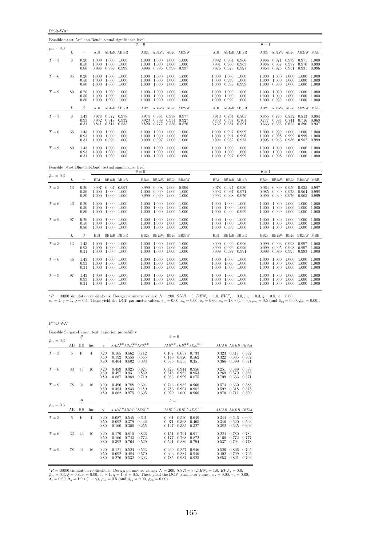$P^{\phi}$ 5ft-WA\*

| Feasible t-test Arellano-Bond: actual significance level |    |                      |       |                                                             |                |                                                                   |       |                         |                         |                                                             |       |                         |                                                                         |                         |                                                       |       |
|----------------------------------------------------------|----|----------------------|-------|-------------------------------------------------------------|----------------|-------------------------------------------------------------------|-------|-------------------------|-------------------------|-------------------------------------------------------------|-------|-------------------------|-------------------------------------------------------------------------|-------------------------|-------------------------------------------------------|-------|
| $\bar{\rho}_{x\varepsilon} = 0.3$                        |    |                      |       |                                                             | $\theta = 0$   |                                                                   |       |                         |                         |                                                             |       | $\theta=1$              |                                                                         |                         |                                                       |       |
|                                                          | L  | $\gamma$             |       | AB1 AB1aR AB1cR                                             |                |                                                                   |       | AB2a AB2aW AB2c AB2cW   | AB1                     | AB1aR AB1cR                                                 |       |                         | AB2a AB2aW AB2c AB2cW MAB                                               |                         |                                                       |       |
| $T=3$                                                    | 8  | 0.20<br>0.50<br>0.80 | 0.998 | 1.000 1.000 1.000<br>1.000 1.000 1.000<br>0.998 0.998       | 1.000<br>0.998 | 1.000 1.000 1.000 1.000<br>1.000 1.000<br>0.996 0.998             |       | 1.000<br>0.997          |                         | 0.992 0.964 0.966<br>0.991 0.960 0.963<br>0.976 0.928 0.927 |       | 0.986                   | 0.986 0.971<br>0.967<br>0.964 0.926                                     | 0.979<br>0.977          | 0.971 1.000<br>0.970 0.999<br>0.951 0.931 0.996       |       |
| $T=6$                                                    | 35 | 0.20<br>0.50<br>0.80 | 1.000 | 1.000 1.000 1.000<br>1.000 1.000 1.000<br>1.000 1.000       | 1.000          | 1.000 1.000 1.000 1.000<br>1.000 1.000 1.000<br>1.000             | 1.000 | 1.000<br>1.000          | 1.000                   | 1.000 1.000 1.000<br>1.000 0.999 1.000<br>0.998             | 0.999 | 1.000<br>1.000<br>1.000 | 1.000 1.000<br>1.000<br>0.999                                           | 1.000<br>1.000          | 1.000 1.000<br>1.000 1.000<br>1.000 1.000             |       |
| $T=9$                                                    | 80 | 0.20<br>0.50<br>0.80 | 1.000 | 1.000 1.000 1.000<br>1.000 1.000<br>1.000 1.000 1.000       | 1.000          | 1.000 1.000 1.000 1.000<br>1.000 1.000<br>1.000 1.000 1.000 1.000 |       | 1.000                   |                         | 1.000 1.000 1.000<br>1.000 1.000 1.000<br>1.000 0.999 1.000 |       | 1.000<br>1.000          | 1.000 1.000 1.000 1.000 1.000<br>1.000                                  | 1.000                   | 1.000 1.000<br>$0.999$ $1.000$ $1.000$ $1.000$        |       |
|                                                          | L  | $\beta$              | AB1   | AB1aR AB1cR                                                 |                |                                                                   |       | AB2a AB2aW AB2c AB2cW   | AB1                     | AB1aR AB1cR                                                 |       |                         | AB2a AB2aW AB2c AB2cW MAB                                               |                         |                                                       |       |
| $T=3$                                                    | 8  | 1.43<br>0.93<br>0.31 |       | 0.978 0.972 0.978<br>0.932 0.918 0.932<br>0.841 0.814 0.838 | 0.923<br>0.820 | 0.974 0.964 0.978 0.977<br>0.898<br>0.777 0.836                   |       | 0.934 0.927<br>0.826    |                         | 0.913 0.794 0.805<br>0.853 0.697 0.704<br>0.762 0.581 0.591 |       | 0.855<br>0.777<br>0.663 | 0.684<br>0.555                                                          | 0.741<br>0.625          | 0.785 0.832 0.813 0.984<br>0.716 0.968<br>0.590 0.937 |       |
| $T=6$                                                    | 35 | 1.43<br>0.93<br>0.31 | 1.000 | 1.000 1.000 1.000<br>1.000 1.000<br>1.000 0.999 1.000       | 1.000<br>0.999 | 1.000 1.000 1.000 1.000<br>1.000<br>$0.997$ 1.000 1.000           | 1.000 | 1.000                   |                         | 1.000 0.997 0.999<br>1.000 0.991 0.996<br>0.994 0.952 0.973 |       | 1.000<br>1.000<br>0.995 | 0.999<br>0.998<br>0.963                                                 | 1.000<br>0.999<br>0.986 | 1.000 1.000<br>0.999<br>0.982 0.999                   | 1.000 |
| $T=9$                                                    | 80 | 1.43<br>0.93<br>0.31 |       | 1.000 1.000 1.000<br>1.000 1.000 1.000<br>1.000 1.000 1.000 | 1.000<br>1.000 | 1.000 1.000<br>1.000 1.000<br>1.000 1.000 1.000                   |       | 1.000<br>1.000<br>1.000 |                         | 1.000 1.000 1.000<br>1.000 1.000 1.000<br>1.000 0.997 0.999 |       | 1.000<br>1.000          | 1.000<br>1.000<br>1.000 0.998                                           | 1.000<br>1.000          | 1.000 1.000<br>1.000<br>1.000 1.000 1.000             | 1.000 |
| Feasible t-test Blundell-Bond: actual significance level |    |                      |       |                                                             | $\theta = 0$   |                                                                   |       |                         |                         |                                                             |       | $\theta=1$              |                                                                         |                         |                                                       |       |
| $\bar{\rho}_{x\varepsilon}=0.3$                          | L  | $\gamma$             |       | BB1 BB1aR BB1cR                                             |                |                                                                   |       | BB2a BB2aW BB2c BB2cW   |                         | BB1 BB1aR BB1cR                                             |       |                         | BB2a BB2aW BB2c BB2cW MBB                                               |                         |                                                       |       |
| $T=3$                                                    | 13 | 0.20<br>0.50<br>0.80 | 1.000 | 0.997 0.997 0.997<br>1.000 1.000<br>1.000 1.000 1.000       | 1.000<br>0.999 | $0.999$ $0.998$ $1.000$ $0.999$<br>0.999<br>0.999 1.000           | 1.000 | 1.000<br>1.000          |                         | 0.978 0.927 0.930<br>0.993 0.967 0.971<br>0.994 0.968 0.976 |       | 0.985                   | 0.964 0.909<br>0.949<br>0.990 0.949                                     | 0.973<br>0.976          | 0.950 0.935 0.997<br>0.964 0.998<br>0.965             | 0.999 |
| $T=6$                                                    | 46 | 0.20<br>0.50<br>0.80 |       | 1.000 1.000 1.000<br>1.000 1.000 1.000<br>1.000 1.000 1.000 | 1.000<br>1.000 | 1.000 1.000 1.000 1.000<br>1.000<br>1.000 1.000                   | 1.000 | 1.000<br>1.000          |                         | 1.000 1.000 1.000<br>1.000 1.000 1.000<br>1.000 0.999       | 0.999 | 1.000<br>1.000<br>1.000 | 1.000<br>0.999                                                          | 1.000<br>1.000          | 1.000 1.000 1.000 1.000<br>1.000 1.000<br>1.000 1.000 |       |
| $T=9$                                                    | 97 | 0.20<br>0.50<br>0.80 |       | 1.000 1.000 1.000<br>1.000 1.000 1.000<br>1.000 1.000 1.000 | 1.000<br>1.000 | 1.000 1.000 1.000<br>1.000<br>1.000 1.000 1.000 1.000             | 1.000 | 1.000                   | 1.000                   | 1.000 1.000 1.000<br>1.000 1.000<br>1.000 0.999 1.000       |       | 1.000                   | 1.000 1.000 1.000 1.000 1.000<br>1.000<br>1.000 1.000 1.000 1.000 1.000 | 1.000                   | 1.000 1.000                                           |       |
|                                                          | L  | $\beta$              | BB1   | BB1aR BB1cR                                                 |                |                                                                   |       | BB2a BB2aW BB2c BB2cW   | BB1                     | BB1aR BB1cR                                                 |       |                         | BB2a BB2aW BB2c                                                         |                         | BB2cW MBB                                             |       |
| $T=3$                                                    | 13 | 1.43<br>0.93<br>0.31 |       | 1.000 1.000 1.000<br>1.000 1.000 1.000<br>1.000 1.000 1.000 | 1.000          | 1.000 1.000 1.000 1.000<br>1.000 1.000 1.000 1.000<br>1.000 1.000 |       | 1.000                   | 0.999<br>0.999<br>0.998 | 0.996 0.996<br>0.996 0.996<br>0.987 0.991                   |       | 0.999<br>0.998          | 0.999 0.993 0.998<br>0.995<br>0.989                                     | 0.998<br>0.995          | 0.997 1.000<br>0.997 1.000<br>0.993 1.000             |       |
| $T=6$                                                    | 46 | 1.43<br>0.93<br>0.31 | 1.000 | 1.000 1.000 1.000<br>1.000 1.000<br>1.000 1.000 1.000       | 1.000<br>1.000 | 1.000 1.000 1.000<br>1.000<br>1.000 1.000 1.000 1.000             | 1.000 | 1.000                   | 1.000                   | 1.000 1.000 1.000<br>1.000<br>1.000 1.000 1.000             | 1.000 | 1.000<br>1.000          | 1.000<br>1.000<br>1.000 1.000 1.000 1.000 1.000                         | 1.000<br>1.000          | 1.000 1.000<br>1.000                                  | 1.000 |
| $T=9$                                                    | 97 | 1.43<br>0.93<br>0.31 |       | 1.000 1.000 1.000<br>1.000 1.000 1.000<br>1.000 1.000 1.000 | 1.000<br>1.000 | 1.000 1.000<br>1.000 1.000<br>1.000 1.000 1.000 1.000             |       | 1.000<br>1.000          |                         | 1.000 1.000 1.000<br>1.000 1.000 1.000<br>1.000 1.000 1.000 |       | 1.000<br>1.000          | 1.000<br>1.000<br>$1.000$ $1.000$ $1.000$ $1.000$ $1.000$               | 1.000<br>1.000          | 1.000 1.000<br>1.000 1.000                            |       |

 ${}^{*}R = 10000$  simulation replications. Design parameter values:  $N = 200$ ,  $SNR = 3$ ,  $DEN_y = 1.0$ ,  $EVF_x = 0.0$ ,  $E_{x\bar{x}} = 0.3$ ,  $\xi = 0.8$ ,  $\kappa = 0.00$ ,<br> $\sigma_x = 1$ ,  $q = 1$ ,  $\phi = 0.5$ . These yield the DGP parameter values:  $\pi_{\lambda}$ 

| $P^{\phi}5fJ-WA^*$              |    |           |     |                      |                                                    |                         |                         |                         |                                           |                         |                         |                         |
|---------------------------------|----|-----------|-----|----------------------|----------------------------------------------------|-------------------------|-------------------------|-------------------------|-------------------------------------------|-------------------------|-------------------------|-------------------------|
|                                 |    |           |     |                      | Feasible Sargan-Hansen test: rejection probability |                         |                         |                         |                                           |                         |                         |                         |
|                                 |    | df        |     |                      |                                                    |                         | $\theta = 0$            |                         |                                           |                         |                         |                         |
| $\bar{\rho}_{x\varepsilon}=0.3$ | AВ | <b>BB</b> | Inc | $\gamma$             | $JAB_a^{(2,1)}JBB_a^{(2,1)}JES_a^{(2,1)}$          |                         |                         |                         | $JAB_c^{(2,1)}JBB_c^{(2,1)}JES_c^{(2,1)}$ |                         | JMAB JMBB JESM          |                         |
| $T=3$                           | 6  | 10        | 4   | 0.20<br>0.50<br>0.80 | 0.165<br>0.662<br>0.192<br>0.558<br>0.404<br>0.602 | 0.712<br>0.565<br>0.393 | 0.107<br>0.149<br>0.386 | 0.637<br>0.520<br>0.555 | 0.733<br>0.562<br>0.351                   | 0.323<br>0.322<br>0.366 | 0.417<br>0.385<br>0.399 | 0.392<br>0.362<br>0.371 |
| $T=6$                           | 33 | 43        | 10  | 0.20<br>0.50<br>0.80 | 0.489<br>0.925<br>0.931<br>0.497<br>0.867<br>0.989 | 0.824<br>0.839<br>0.710 | 0.428<br>0.515<br>0.955 | 0.944<br>0.962<br>0.999 | 0.956<br>0.953<br>0.875                   | 0.251<br>0.269<br>0.709 | 0.589<br>0.570<br>0.633 | 0.588<br>0.566<br>0.571 |
| $T=9$                           | 78 | 94        | 16  | 0.20<br>0.50<br>0.80 | 0.496<br>0.788<br>0.484<br>0.833<br>0.862<br>0.975 | 0.394<br>0.480<br>0.305 | 0.743<br>0.783<br>0.999 | 0.982<br>0.994<br>1.000 | 0.966<br>0.982<br>0.966                   | 0.574<br>0.592<br>0.970 | 0.630<br>0.618<br>0.711 | 0.588<br>0.578<br>0.590 |
|                                 |    | df        |     |                      |                                                    |                         | $\theta=1$              |                         |                                           |                         |                         |                         |
| $\bar{\rho}_{x\varepsilon}=0.3$ | AВ | BB        | Inc | $\gamma$             | $JAB_a^{(2,1)}JBB_a^{(2,1)}JES_a^{(2,1)}$          |                         |                         |                         | $JAB_c^{(2,1)}JBB_c^{(2,1)}JES_c^{(2,1)}$ |                         | JMAB JMBB JESM          |                         |
| $T=3$                           | 6  | 10        | 4   | 0.20<br>0.50<br>0.80 | 0.087<br>0.545<br>0.092<br>0.379<br>0.160<br>0.300 | 0.641<br>0.446<br>0.255 | 0.061<br>0.071<br>0.147 | 0.520<br>0.368<br>0.335 | 0.649<br>0.465<br>0.327                   | 0.344<br>0.346<br>0.382 | 0.646<br>0.620<br>0.635 | 0.609<br>0.593<br>0.606 |
| $T=6$                           | 33 | 43        | 10  | 0.20<br>0.50<br>0.80 | 0.179<br>0.810<br>0.166<br>0.743<br>0.392<br>0.764 | 0.836<br>0.772<br>0.529 | 0.151<br>0.177<br>0.521 | 0.791<br>0.768<br>0.889 | 0.911<br>0.872<br>0.794                   | 0.224<br>0.160<br>0.537 | 0.780<br>0.772<br>0.794 | 0.784<br>0.777<br>0.778 |
| $T=9$                           | 78 | 94        | 16  | 0.20<br>0.50<br>0.80 | 0.121<br>0.524<br>0.092<br>0.484<br>0.276<br>0.532 | 0.563<br>0.570<br>0.303 | 0.269<br>0.303<br>0.785 | 0.857<br>0.884<br>0.987 | 0.946<br>0.946<br>0.925                   | 0.526<br>0.402<br>0.853 | 0.806<br>0.799<br>0.821 | 0.795<br>0.795<br>0.796 |

 ${}^*R = 10000$  simulation replications. Design parameter values:  $N = 200$ ,  $SNR = 3$ ,  $DEN_y = 1.0$ ,  $EVF_x = 0.0$ ,  $\bar{\rho}_{xe} = 0.3$ ,  $\xi = 0.8$ ,  $\kappa = 0.00$ ,  $\sigma_e = 1$ ,  $q = 1$ ,  $\phi = 0.5$ . These yield the DGP parameter values:  $\pi_{\lambda} =$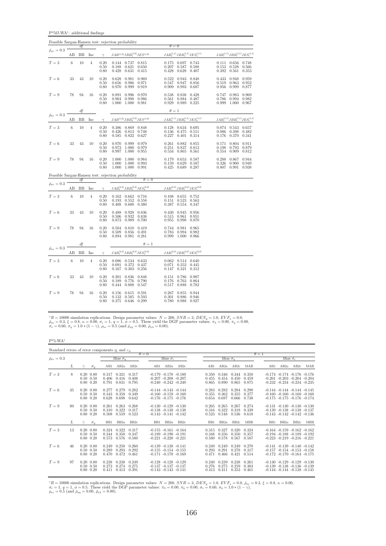$\mathbf{P}^{\phi}5\mathbf{f}\mathbf{J}\text{-}\mathbf{W}\mathbf{A}^*$ : additional findings

|                                 |             |                 |                |                      | Feasible Sargan-Hansen test: rejection probability                             |                                                                                                                          |                                                                                |
|---------------------------------|-------------|-----------------|----------------|----------------------|--------------------------------------------------------------------------------|--------------------------------------------------------------------------------------------------------------------------|--------------------------------------------------------------------------------|
| $\bar{\rho}_{x\epsilon}=0.3$    |             | df              |                |                      |                                                                                | $\theta = 0$                                                                                                             |                                                                                |
|                                 | AВ          | BB              | Inc            | $\gamma$             | $JAB^{\left( 1,0\right) }JBB_{a}^{\left( 1,0\right) }JES^{\left( 1,0\right) }$ | $JAB_a^{(1,1)}JBB_a^{(1,1)}JES_a^{(1,1)}$                                                                                | $JAB_c^{(1,1)}JBB_c^{(1,1)}JES_c^{(1,1)}$                                      |
| $T=3$                           | 6           | 10              | $\overline{4}$ | 0.20<br>0.50<br>0.80 | 0.144<br>0.737 0.815<br>0.650<br>0.188<br>0.621<br>0.428<br>0.631<br>0.415     | 0.697<br>0.175<br>0.743<br>0.207<br>0.587<br>0.588<br>0.428<br>0.407<br>0.628                                            | $0.111$ $0.656$<br>0.748<br>0.528<br>0.153<br>0.566<br>0.392<br>0.561<br>0.353 |
| $T=6$                           | 33          | 43              | 10             | 0.20<br>0.50<br>0.80 | 0.981<br>0.628<br>0.969<br>0.986<br>0.971<br>0.656<br>0.970<br>0.999<br>0.919  | 0.943<br>0.522<br>0.848<br>0.547<br>0.947<br>0.856<br>0.909<br>0.993<br>0.687                                            | 0.433<br>0.948<br>0.959<br>0.519<br>0.952<br>0.963<br>0.956<br>0.999<br>0.877  |
| $T=9$                           | 78          | 94              | 16             | 0.20<br>0.50<br>0.80 | 0.996<br>0.970<br>0.891<br>0.986<br>0.904<br>0.998<br>1.000 1.000 0.981        | 0.838<br>0.538<br>0.428<br>0.561<br>0.884<br>0.487<br>0.929<br>0.989<br>0.225                                            | 0.983<br>0.747<br>0.969<br>0.786<br>0.994<br>0.982<br>0.999<br>1.000<br>0.967  |
| $\bar{\rho}_{x\varepsilon}=0.3$ |             | $\mathcal{A}$ f |                |                      |                                                                                | $\theta = 1$                                                                                                             |                                                                                |
|                                 | AB          | BB              | Inc            | $\gamma$             | $JAB^{\left( 1,0\right) }JBB_{a}^{\left( 1,0\right) }JES^{\left( 1,0\right) }$ | $JAB_a^{(1,1)}JBB_a^{(1,1)}JES_a^{(1,1)}$                                                                                | $JAB_c^{(1,1)}JBB_c^{(1,1)}JES_c^{(1,1)}$                                      |
| $T=3$                           | $\,6$       | 10              | $\overline{4}$ | 0.20<br>0.50<br>0.80 | 0.386<br>0.869 0.848<br>0.748<br>0.426<br>0.813<br>0.822<br>0.627<br>0.585     | 0.128<br>0.634<br>0.695<br>$0.136\,$<br>0.511<br>0.475<br>0.227<br>0.401<br>0.314                                        | 0.074 0.543<br>0.657<br>0.086<br>0.398<br>0.482<br>0.370<br>0.176<br>0.341     |
| $T=6$                           | 33          | 43              | 10             | 0.20<br>0.50<br>0.80 | 0.999<br>0.979<br>0.970<br>1.000<br>0.979<br>0.973<br>1.000<br>0.997<br>0.955  | 0.261<br>0.882<br>0.855<br>$\overset{\text{{\tiny 0.251}}}{_{\text{{\tiny 0.534}}}}$<br>0.837<br>0.813<br>0.865<br>0.561 | 0.171<br>0.804<br>0.911<br>0.198<br>0.793<br>0.879<br>0.554<br>0.909<br>0.812  |
| $T=9$                           | 78          | 94              | 16             | 0.20<br>0.50<br>0.80 | 1.000<br>1.000<br>0.984<br>1.000<br>1.000<br>0.993<br>0.991<br>1.000<br>1.000  | 0.179<br>0.653<br>0.587<br>0.159<br>0.587<br>0.629<br>0.425<br>0.689<br>0.287                                            | 0.288<br>0.867<br>0.944<br>0.326<br>0.900<br>0.949<br>0.807<br>0.991<br>0.938  |
|                                 |             |                 |                |                      | Feasible Sargan-Hansen test: rejection probability<br>$\theta = 0$             |                                                                                                                          |                                                                                |
| $\bar{\rho}_{x\varepsilon}=0.3$ | AB          | df<br>BB        | Inc            | $\gamma$             | $JAB_a^{(2,2)}JBB_a^{(2,2)}JES_a^{(2,2)}$                                      | $JAB_c^{(2,2)}JBB_c^{(2,2)}JES_c^{(2,2)}$                                                                                |                                                                                |
| $T=3$                           | $\,$ 6 $\,$ | 10              | $\overline{4}$ | 0.20<br>0.50<br>0.80 | $0.662$ 0.716<br>0.162<br>0.558<br>0.552<br>0.193<br>0.408<br>0.600<br>0.380   | $0.108$ 0.655<br>0.752<br>$\frac{0.151}{0.387}$<br>0.523<br>0.563<br>0.554<br>0.347                                      |                                                                                |
| $T=6$                           | 33          | 43              | 10             | 0.20<br>0.50<br>0.80 | 0.488<br>0.928<br>0.836<br>0.932<br>0.838<br>0.506<br>0.989<br>0.700<br>0.873  | 0.430<br>0.945<br>0.956<br>0.515<br>0.961<br>0.951<br>0.955<br>0.998<br>0.870                                            |                                                                                |
| $T=9$                           | 78          | 94              | 16             | 0.20<br>0.50<br>0.80 | 0.504<br>0.810 0.419<br>0.509<br>0.856<br>0.491<br>$0.894$ $0.981$ $0.281$     | $\begin{array}{c} 0.744 \\ 0.783 \end{array}$<br>0.981<br>0.965<br>0.994<br>0.982<br>0.999<br>1.000 0.966                |                                                                                |
| $\bar{\rho}_{x\varepsilon}=0.3$ |             | $\mathcal{A}$ f |                |                      | $\theta = 1$                                                                   |                                                                                                                          |                                                                                |
|                                 | AB          | BB              | Inc            | $\gamma$             | $JAB_a^{(2,2)}JBB_a^{(2,2)}JES_a^{(2,2)}$                                      | $JAB_c^{(2,2)}JBB_c^{(2,2)}JES_c^{(2,2)}$                                                                                |                                                                                |
| $T=3$                           | $\,6$       | 10              | $\overline{4}$ | 0.20<br>0.50<br>0.80 | 0.086  0.534  0.633<br>0.437<br>0.091<br>0.372<br>0.167<br>0.303<br>0.256      | 0.514 0.640<br>0.062<br>0.071<br>0.352<br>0.445<br>0.147<br>0.321<br>0.312                                               |                                                                                |
| $T=6$                           | 33          | 43              | 10             | 0.20<br>0.50<br>0.80 | 0.201<br>0.836<br>0.848<br>0.189<br>0.776<br>0.790<br>0.444<br>0.808<br>0.547  | 0.786<br>0.907<br>0.151<br>0.176<br>0.864<br>0.763<br>0.888<br>0.517<br>0.782                                            |                                                                                |
| $T=9$                           | 78          | 94              | 16             | 0.20<br>0.50<br>0.80 | 0.156<br>0.615<br>0.591<br>0.593<br>0.585<br>0.132<br>0.375<br>0.646<br>0.299  | 0.267<br>0.855<br>0.944<br>0.301<br>0.886<br>0.946<br>0.780<br>0.988<br>0.927                                            |                                                                                |

\*R = 10000 simulation replications. Design parameter values:  $N = 200$ ,  $SNR = 3$ ,  $DEN_y = 1.0$ ,  $EVF_x = 0.0$ ,  $\bar{\rho}_{xe} = 0.3$ ,  $\xi = 0.8$ ,  $\kappa = 0.00$ ,  $\sigma_e = 1$ ,  $q = 1$ ,  $\phi = 0.5$ . These yield the DGP parameter values:  $\pi_{\lambda} = 0.$ 

 $P^{\phi}$ 5-WA $^*$ 

|                                 |    | Standard errors of error components $\eta_i$ and $\varepsilon_{it}$ |                         |                         |                         |                 |                                                                                      |      |                         |                         |                         |                         |              |                 |                                   |                                                                                                                   |            |
|---------------------------------|----|---------------------------------------------------------------------|-------------------------|-------------------------|-------------------------|-----------------|--------------------------------------------------------------------------------------|------|-------------------------|-------------------------|-------------------------|-------------------------|--------------|-----------------|-----------------------------------|-------------------------------------------------------------------------------------------------------------------|------------|
| $\bar{\rho}_{x\varepsilon}=0.3$ |    |                                                                     |                         | Bias $\tilde{\sigma}_n$ |                         | $\theta = 0$    | Bias $\hat{\sigma}_{\varepsilon}$                                                    |      |                         | Bias $\hat{\sigma}_n$   |                         |                         | $\theta = 1$ |                 | Bias $\hat{\sigma}_{\varepsilon}$ |                                                                                                                   |            |
|                                 | L  | $\sim$<br>$\sigma_n$                                                | AB1                     | AB2a                    | AB2c                    | AB1             | AB2a                                                                                 | AB2c | AB1                     | AB2a                    | AB2c                    | MAB                     |              | AB1             | AB2a                              | AB2c                                                                                                              | MAB        |
| $T=3$                           | 8  | $0.20\ 0.80$<br>$0.50 \quad 0.50$<br>$0.80 \quad 0.20$              | 0.317<br>0.406<br>0.791 | 0.321<br>0.416<br>0.831 | 0.317<br>0.408<br>0.795 |                 | $-0.179$ $-0.178$ $-0.180$<br>$-0.207 - 0.208 - 0.207$<br>$-0.240 -0.242 -0.240$     |      | 0.350<br>0.455<br>0.865 | 0.346<br>0.454<br>0.890 | 0.344<br>0.450<br>0.865 | 0.350<br>0.459<br>0.875 |              |                 |                                   | $-0.174$ $-0.174$ $-0.176$ $-0.176$<br>$-0.201$ $-0.203$ $-0.204$ $-0.204$<br>$-0.232 -0.234 -0.234 -0.235$       |            |
| $T=6$                           | 35 | $0.20\ 0.80$<br>$0.50 \quad 0.50$<br>$0.80 \quad 0.20$              | 0.277<br>0.343<br>0.628 | 0.279<br>0.358<br>0.698 | 0.282<br>0.349<br>0.642 |                 | $-0.144$ $-0.143$ $-0.144$<br>$-0.160 - 0.159 - 0.160$<br>$-0.176$ $-0.175$ $-0.176$ |      | 0.283<br>0.355<br>0.654 | 0.282<br>0.362<br>0.697 | 0.284<br>0.355<br>0.666 | 0.290<br>0.377<br>0.738 |              |                 |                                   | $-0.144$ $-0.144$ $-0.144$ $-0.145$<br>$-0.160 - 0.160 - 0.160 - 0.160$<br>$-0.175$ $-0.175$ $-0.176$ $-0.174$    |            |
| $T=9$                           | 80 | $0.20\ 0.80$<br>$0.50 \quad 0.50$<br>$0.80\ 0.20$                   | 0.261<br>0.310<br>0.508 | 0.263<br>0.322<br>0.559 | 0.268<br>0.317<br>0.523 |                 | $-0.130 - 0.129 - 0.130$<br>$-0.138 - 0.138 - 0.138$<br>$-0.143$ $-0.141$ $-0.142$   |      | 0.265<br>0.316<br>0.523 | 0.265<br>0.322<br>0.548 | 0.267<br>0.318<br>0.536 | 0.274<br>0.339<br>0.618 |              |                 |                                   | $-0.131 - 0.130 - 0.130 - 0.130$<br>$-0.139 - 0.138 - 0.138 - 0.137$<br>$-0.143$ $-0.142$ $-0.142$ $-0.136$       |            |
|                                 | L  | $\sim$<br>$\sigma_n$                                                | B <sub>B1</sub>         | BB <sub>2a</sub>        | BB2c                    | B <sub>B1</sub> | BB <sub>2a</sub>                                                                     | BB2c | B <sub>B1</sub>         | BB <sub>2a</sub>        | BB <sub>2c</sub>        | <b>MBB</b>              |              | B <sub>B1</sub> | BB <sub>2a</sub>                  | BB <sub>2c</sub>                                                                                                  | <b>MBB</b> |
| $T = 3$                         | 13 | $0.20\ 0.80$<br>$0.50 \quad 0.50$<br>$0.80 \quad 0.20$              | 0.324<br>0.344<br>0.573 | 0.322<br>0.350<br>0.576 | 0.317<br>0.347<br>0.580 |                 | $-0.155 - 0.161 - 0.164$<br>$-0.189 - 0.190 - 0.191$<br>$-0.221 - 0.220 - 0.221$     |      | 0.315<br>0.348<br>0.580 | 0.327<br>0.356<br>0.578 | 0.320<br>0.350<br>0.567 | 0.324<br>0.357<br>0.587 |              |                 |                                   | $-0.164$ $-0.159$ $-0.162$ $-0.162$<br>$-0.194$ $-0.188$ $-0.189$ $-0.192$<br>$-0.223$ $-0.219$ $-0.216$ $-0.221$ |            |
| $T=6$                           | 46 | $0.20\ 0.80$<br>$0.50 \quad 0.50$<br>$0.80 \quad 0.20$              | 0.249<br>0.289<br>0.470 | 0.250<br>0.293<br>0.472 | 0.260<br>0.292<br>0.461 |                 | $-0.139 - 0.138 - 0.141$<br>$-0.155 - 0.154 - 0.155$<br>$-0.171 - 0.170 - 0.169$     |      | 0.249<br>0.293<br>0.471 | 0.249<br>0.291<br>0.466 | 0.249<br>0.278<br>0.421 | 0.270<br>0.317<br>0.514 |              |                 |                                   | $-0.141 - 0.139 - 0.140 - 0.142$<br>$-0.157 - 0.154 - 0.153 - 0.158$<br>$-0.172$ $-0.170$ $-0.164$ $-0.175$       |            |
| $T=9$                           | 97 | $0.20\ 0.80$<br>$0.50 \quad 0.50$<br>$0.80 \quad 0.20$              | 0.238<br>0.273<br>0.411 | 0.238<br>0.274<br>0.413 | 0.249<br>0.275<br>0.391 |                 | $-0.128$ $-0.128$ $-0.129$<br>$-0.137 - 0.137 - 0.137$<br>$-0.143 - 0.143 - 0.141$   |      | 0.240<br>0.276<br>0.413 | 0.239<br>0.275<br>0.411 | 0.238<br>0.259<br>0.353 | 0.261<br>0.303<br>0.461 |              |                 |                                   | $-0.130 - 0.129 - 0.129 - 0.130$<br>$-0.139 - 0.138 - 0.136 - 0.139$<br>$-0.144$ $-0.144$ $-0.138$ $-0.145$       |            |

 ${}^*R = 10000$  simulation replications. Design parameter values:  $N = 200$ ,  $SNR = 3$ ,  $DEN_y = 1.0$ ,  $EVF_x = 0.0$ ,  $\bar{\rho}_{x\bar{x}} = 0.3$ ,  $\xi = 0.8$ ,  $\kappa = 0.00$ ,<br>  $\sigma_{\varepsilon} = 1$ ,  $q = 1$ ,  $\phi = 0.5$ . These yield the DGP parameter values: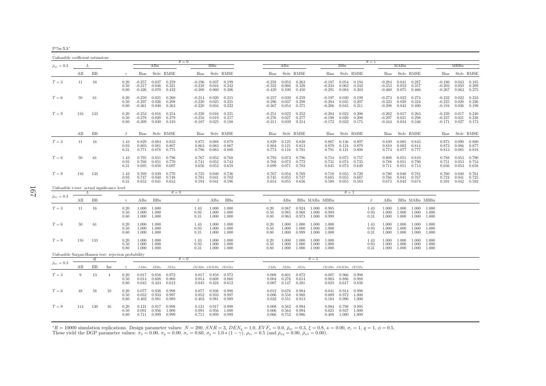| 511-X+ |
|--------|
|        |

| Unfeasible coefficient estimators                    |     |     |                |                      |                                  |                                 |                         |                                  |                                 |                                       |                                  |                                   |                         |                                 |                                  |                         |                         |                      |                                  |                                       |                               |                         |                                  |                         |                         |
|------------------------------------------------------|-----|-----|----------------|----------------------|----------------------------------|---------------------------------|-------------------------|----------------------------------|---------------------------------|---------------------------------------|----------------------------------|-----------------------------------|-------------------------|---------------------------------|----------------------------------|-------------------------|-------------------------|----------------------|----------------------------------|---------------------------------------|-------------------------------|-------------------------|----------------------------------|-------------------------|-------------------------|
| $\bar{\rho}_{x\varepsilon}=0.3$                      |     | L   |                |                      |                                  | ABu                             |                         | $\theta = 0$                     | BBu                             |                                       |                                  | ABu                               |                         |                                 |                                  | BBu                     |                         | $\theta = 1$         |                                  | MABu                                  |                               |                         |                                  | MBBu                    |                         |
|                                                      | AВ  | BB  |                | $\gamma$             | Bias                             |                                 | Stdv RMSE               | Bias                             |                                 | Stdy RMSE                             | Bias                             |                                   | Stdy RMSE               |                                 | Bias                             |                         | Stdy RMSE               |                      | Bias                             |                                       | Stdy RMSE                     |                         | Bias                             |                         | Stdy RMSE               |
| $T=3$                                                | 11  | 16  |                | 0.20<br>0.50<br>0.80 | $-0.257$<br>-0.317<br>$-0.426$   | 0.037<br>0.046<br>0.070         | 0.259<br>0.321<br>0.432 | $-0.196$<br>$-0.238$<br>$-0.300$ | 0.037<br>0.044<br>0.060         | 0.199<br>0.242<br>0.306               | $-0.258$<br>$-0.322$<br>$-0.439$ | 0.053<br>0.066<br>0.100           | 0.263<br>0.328<br>0.450 |                                 | $-0.187$<br>$-0.234$<br>$-0.291$ | 0.054<br>0.062<br>0.084 | 0.194<br>0.242<br>0.303 |                      | $-0.284$<br>$-0.353$<br>$-0.460$ | 0.041<br>0.052<br>0.075               | 0.287<br>0.357<br>0.466       |                         | $-0.180$<br>$-0.203$<br>$-0.267$ | 0.043<br>0.050<br>0.063 | 0.185<br>0.209<br>0.275 |
| $T=6$                                                | 50  | 61  |                | 0.20<br>0.50<br>0.80 | $-0.259$<br>$-0.297$<br>$-0.361$ | 0.021<br>0.026<br>0.040         | 0.260<br>0.298<br>0.363 | $-0.214$<br>$-0.220$<br>$-0.220$ | 0.020<br>0.025<br>0.034         | 0.215<br>0.221<br>0.222               | $-0.257$<br>$-0.296$<br>$-0.367$ | 0.030<br>0.037<br>0.054           | 0.259<br>0.298<br>0.371 |                                 | $-0.197$<br>$-0.204$<br>$-0.206$ | 0.030<br>0.035<br>0.045 | 0.199<br>0.207<br>0.211 |                      | $-0.273$<br>$-0.323$<br>$-0.398$ | 0.022<br>0.028<br>0.043               | 0.274<br>0.324<br>0.400       |                         | $-0.232$<br>$-0.225$<br>$-0.194$ | 0.022<br>0.028<br>0.036 | 0.233<br>0.226<br>0.198 |
| $T=9$                                                | 116 | 133 |                | 0.20<br>0.50<br>0.80 | $-0.253$<br>$-0.278$<br>$-0.309$ | 0.016<br>0.020<br>0.030         | 0.254<br>0.279<br>0.310 | $-0.220$<br>$-0.216$<br>$-0.187$ | 0.016<br>0.019<br>0.025         | 0.221<br>0.217<br>0.188               | $-0.251$<br>$-0.276$<br>-0.311   | 0.022<br>0.027<br>0.039           | 0.252<br>0.277<br>0.314 |                                 | $-0.204$<br>$-0.198$<br>$-0.172$ | 0.022<br>0.026<br>0.032 | 0.206<br>0.200<br>0.175 |                      | $-0.262$<br>$-0.297$<br>-0.344   | 0.017<br>0.021<br>0.034               | 0.263<br>0.298<br>0.346       |                         | $-0.239$<br>$-0.237$<br>$-0.171$ | 0.017<br>0.021<br>0.027 | 0.240<br>0.238<br>0.173 |
|                                                      | AВ  | BB  |                | $\beta$              | Bias                             |                                 | Stdy RMSE               | Bias                             |                                 | Stdy RMSE                             | Bias                             |                                   | Stdy RMSE               |                                 | Bias                             |                         | Stdy RMSE               |                      | Bias                             |                                       | Stdy RMSE                     |                         | Bias                             |                         | Stdy RMSE               |
| $T=3$                                                | 11  | 16  |                | 1.43<br>0.93<br>0.31 | 0.829<br>0.803<br>0.771          | 0.084<br>0.081<br>0.078         | 0.833<br>0.807<br>0.775 | 0.875<br>0.863<br>0.796          | 0.088<br>0.083<br>0.083         | 0.879<br>0.867<br>0.800               | 0.829<br>0.804<br>0.773          | 0.125<br>0.121<br>0.116           | 0.838<br>0.813<br>0.781 |                                 | 0.887<br>0.870<br>0.791          | 0.136<br>0.124<br>0.121 | 0.897<br>0.879<br>0.800 |                      | 0.839<br>0.810<br>0.774          | 0.085<br>0.082<br>0.077               | 0.843<br>0.814<br>0.777       |                         | 0.875<br>0.873<br>0.813          | 0.090<br>0.086<br>0.085 | 0.880<br>0.877<br>0.818 |
| $T=6$                                                | 50  | 61  |                | 1.43<br>0.93<br>0.31 | 0.795<br>0.768<br>0.695          | 0.051<br>0.051<br>0.050         | 0.796<br>0.770<br>0.697 | 0.767<br>0.741<br>0.656          | 0.052<br>0.052<br>0.053         | 0.768<br>0.743<br>0.659               | 0.793<br>0.768<br>0.699          | 0.073<br>0.072<br>0.071           | 0.796<br>0.772<br>0.703 |                                 | 0.754<br>0.731<br>0.645          | 0.075<br>0.074<br>0.073 | 0.757<br>0.735<br>0.649 |                      | 0.808<br>0.788<br>0.711          | 0.051<br>0.051<br>0.051               | 0.810<br>0.790<br>0.713       |                         | 0.788<br>0.751<br>0.656          | 0.053<br>0.053<br>0.054 | 0.790<br>0.753<br>0.658 |
| $T=9$                                                | 116 | 133 |                | 1.43<br>0.93<br>0.31 | 0.769<br>0.747<br>0.652          | 0.039<br>0.040<br>0.041         | 0.770<br>0.748<br>0.653 | 0.735<br>0.701<br>0.594          | 0.040<br>0.041<br>0.041         | 0.736<br>0.702<br>0.596               | 0.767<br>0.745<br>0.654          | 0.054<br>0.055<br>0.055           | 0.769<br>0.747<br>0.656 |                                 | 0.718<br>0.685<br>0.580          | 0.055<br>0.055<br>0.055 | 0.720<br>0.687<br>0.583 |                      | 0.780<br>0.766<br>0.673          | 0.040<br>0.041<br>0.042               | 0.781<br>0.767<br>0.674       |                         | 0.760<br>0.724<br>0.591          | 0.040<br>0.041<br>0.042 | 0.761<br>0.725<br>0.593 |
| Unfeasible t-test: actual significance level         |     | L   |                |                      |                                  |                                 | $\theta = 0$            |                                  |                                 |                                       |                                  |                                   |                         |                                 |                                  | $\theta = 1$            |                         |                      |                                  |                                       |                               |                         |                                  |                         |                         |
| $\bar{\rho}_{x\varepsilon}=0.3$                      | AВ  | BB  |                | $\gamma$             | ABu                              | BBu                             |                         | β                                | ABu                             | BBu                                   | $\gamma$                         | ABu                               |                         | BBu MABu MBBu                   |                                  |                         |                         | β                    | ABu                              |                                       | BBu MABu MBBu                 |                         |                                  |                         |                         |
| $T=3$                                                | 11  | 16  |                | 0.20<br>0.50<br>0.80 | 1.000<br>1.000<br>1.000          | 1.000<br>1.000<br>1.000         |                         | 1.43<br>0.93<br>0.31             | 1.000<br>1.000                  | $1.000 \quad 1.000$<br>1.000<br>1.000 | 0.20<br>0.50<br>0.80             | 0.987<br>0.985<br>0.963           | 0.968<br>0.973          | $0.924$ 1.000<br>1.000<br>1.000 | 0.985<br>0.989<br>0.999          |                         |                         | 1.43<br>0.93<br>0.31 | 1.000<br>1.000<br>1.000          | 1.000<br>1.000                        | 1.000 1.000<br>1.000<br>1.000 | 1.000<br>1.000<br>1.000 |                                  |                         |                         |
| $T=6$                                                | 50  | 61  |                | 0.20<br>0.50<br>0.80 | 1.000<br>1.000<br>1.000          | 1.000<br>1.000<br>1.000         |                         | 1.43<br>0.93<br>0.31             | 1.000<br>1.000<br>1.000         | 1.000<br>1.000<br>1.000               | 0.20<br>0.50<br>0.80             | 1.000<br>1.000<br>1.000           | 1.000<br>1.000<br>0.999 | 1.000<br>1.000<br>1.000         | 1.000<br>1.000<br>1.000          |                         |                         | 1.43<br>0.93<br>0.31 | 1.000<br>1.000<br>1.000          | 1.000<br>1.000<br>1.000               | 1.000<br>1.000<br>1.000       | 1.000<br>1.000<br>1.000 |                                  |                         |                         |
| $T=9$                                                | 116 | 133 |                | 0.20<br>0.50<br>0.80 | 1.000<br>1.000<br>1.000          | 1.000<br>1.000<br>1.000         |                         | 1.43<br>0.93<br>0.31             | 1.000<br>1.000                  | 1.000<br>1.000<br>$1.000 \quad 1.000$ | 0.20<br>0.50<br>0.80             | 1.000<br>1.000<br>1.000           | 1.000<br>1.000<br>1.000 | 1.000<br>1.000<br>1.000         | 1.000<br>1.000<br>1.000          |                         |                         | 1.43<br>0.93<br>0.31 | 1.000<br>1.000                   | $1.000 \quad 1.000$<br>1.000<br>1.000 | 1.000<br>1.000<br>1.000       | 1.000<br>1.000<br>1.000 |                                  |                         |                         |
| Unfeasible Sargan-Hansen test: rejection probability |     | df  |                |                      |                                  |                                 |                         | $\theta = 0$                     |                                 |                                       |                                  |                                   |                         | $\theta = 1$                    |                                  |                         |                         |                      |                                  |                                       |                               |                         |                                  |                         |                         |
| $\bar{\rho}_{x\varepsilon}=0.3$                      | AВ  | BB  | Inc            | $\gamma$             | JABu                             | JBBu                            | JESu                    |                                  | $JMABu\quad JMMBu\quad JESMu$   |                                       | JABu                             | JBBu                              | JESu                    |                                 | $JMABu\quad JMMBu\quad JESMu$    |                         |                         |                      |                                  |                                       |                               |                         |                                  |                         |                         |
| $T=3$                                                | 9   | 13  | $\overline{4}$ | 0.20<br>0.50<br>0.80 | 0.017<br>0.014<br>0.045          | 0.858<br>0.608<br>0.424         | 0.972<br>0.860<br>0.612 | 0.014<br>0.045                   | $0.017$ 0.858<br>0.608<br>0.424 | 0.972<br>0.860<br>0.612               | 0.008<br>0.004<br>0.007          | 0.601<br>0.276<br>0.147           | 0.872<br>0.614<br>0.381 |                                 | 0.007<br>0.003<br>0.023          | 0.966<br>0.886<br>0.617 | 0.998<br>0.988<br>0.838 |                      |                                  |                                       |                               |                         |                                  |                         |                         |
| $T=6$                                                | 48  | 58  | 10             | 0.20<br>0.50<br>0.80 | 0.077<br>0.052<br>0.402          | 0.938<br>0.933<br>0.981         | 0.998<br>0.997<br>0.989 | 0.077<br>0.052<br>0.402          | 0.938<br>0.933<br>0.981         | 0.998<br>0.997<br>0.989               | 0.012<br>0.006<br>0.032          | 0.676<br>0.558<br>0.551           | 0.984<br>0.968<br>0.913 |                                 | 0.041<br>0.009<br>0.184          | 0.914<br>0.972<br>0.996 | 0.998<br>1.000<br>1.000 |                      |                                  |                                       |                               |                         |                                  |                         |                         |
| $T=9$                                                | 114 | 130 | -16            | 0.20<br>0.50<br>0.80 | 0.121<br>0.091                   | 0.917<br>0.956<br>$0.711$ 0.999 | 0.998<br>1.000<br>0.999 | 0.121<br>0.091                   | 0.917<br>0.956<br>$0.711$ 0.999 | 0.998<br>1.000<br>0.999               | 0.008<br>0.006                   | 0.562<br>0.564<br>$0.066$ $0.752$ | 0.994<br>0.994<br>0.986 |                                 | 0.084<br>0.025<br>0.408          | 0.798<br>0.937<br>1.000 | 0.995<br>1.000<br>1.000 |                      |                                  |                                       |                               |                         |                                  |                         |                         |

 ${}^*R = 10000$  simulation replications. Design parameter values:  $N = 200$ ,  $SNR = 3$ ,  $DEN_y = 1.0$ ,  $EVF_x = 0.0$ ,  $\bar{\rho}_{xc} = 0.3$ ,  $\xi = 0.8$ ,  $\kappa = 0.00$ ,  $\sigma_{\varepsilon} = 1$ ,  $q = 1$ ,  $\phi = 0.5$ .<br>These yield the DGP parameter values:  $\pi$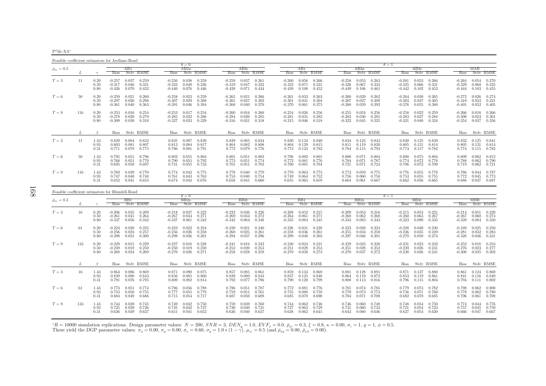$P^{\phi}5fc$ -XA<sup>\*</sup>

Feasible coefficient estimators for Arellano-Bondθ

|                                 |     |                      |                                                             |                         |                                  | $\theta = 0$            |                         |                                  |                         |                         |                                  |                         |                         |                                  |                         |                         | $\theta = 1$                     |                         |                         |                                  |                         |                         |
|---------------------------------|-----|----------------------|-------------------------------------------------------------|-------------------------|----------------------------------|-------------------------|-------------------------|----------------------------------|-------------------------|-------------------------|----------------------------------|-------------------------|-------------------------|----------------------------------|-------------------------|-------------------------|----------------------------------|-------------------------|-------------------------|----------------------------------|-------------------------|-------------------------|
| $\bar{\rho}_{x\varepsilon}=0.3$ |     |                      | ABI                                                         |                         |                                  | AB2a                    |                         |                                  | AB2c                    |                         |                                  | ABI                     |                         |                                  | AB2a                    |                         |                                  | AB2c                    |                         |                                  | МАВ                     |                         |
|                                 |     |                      | <b>Bias</b>                                                 | Stdy RMSE               | Bias                             |                         | Stdv RMSE               | Bias                             |                         | Stdv RMSE               | Bias                             |                         | Stdy RMSE               | Bias                             |                         | Stdy RMSE               | Bias                             |                         | Stdv RMSE               | <b>Bias</b>                      |                         | Stdv RMSE               |
| $T=3$                           | 11  | 0.20<br>0.50<br>0.80 | $-0.257$<br>0.037<br>$-0.317$<br>0.046<br>$-0.426$<br>0.070 | 0.259<br>0.321<br>0.432 | $-0.256$<br>$-0.323$<br>-0.440   | 0.038<br>0.049<br>0.076 | 0.259<br>0.326<br>0.446 | $-0.259$<br>$-0.319$<br>$-0.428$ | 0.037<br>0.047<br>0.071 | 0.261<br>0.322<br>0.434 | $-0.260$<br>$-0.323$<br>$-0.439$ | 0.056<br>0.071<br>0.108 | 0.266<br>0.331<br>0.452 | $-0.258$<br>$-0.326$<br>$-0.449$ | 0.053<br>0.067<br>0.106 | 0.263<br>0.333<br>0.461 | $-0.261$<br>$-0.325$<br>$-0.442$ | 0.053<br>0.066<br>0.102 | 0.266<br>0.331<br>0.453 | $-0.264$<br>$-0.329$<br>$-0.444$ | 0.054<br>0.068<br>0.103 | 0.270<br>0.335<br>0.455 |
| $T=6$                           | 50  | 0.20<br>0.50<br>0.80 | $-0.259$<br>0.021<br>$-0.297$<br>0.026<br>$-0.361$<br>0.040 | 0.260<br>0.298<br>0.363 | $-0.258$<br>$-0.307$<br>$-0.391$ | 0.023<br>0.029<br>0.046 | 0.259<br>0.308<br>0.394 | $-0.265$<br>$-0.301$<br>$-0.368$ | 0.021<br>0.027<br>0.040 | 0.266<br>0.302<br>0.370 | $-0.261$<br>$-0.301$<br>$-0.370$ | 0.033<br>0.041<br>0.061 | 0.263<br>0.304<br>0.375 | $-0.260$<br>$-0.307$<br>$-0.388$ | 0.029<br>0.037<br>0.059 | 0.262<br>0.309<br>0.392 | $-0.264$<br>$-0.303$<br>$-0.376$ | 0.030<br>0.037<br>0.055 | 0.265<br>0.305<br>0.380 | $-0.272$<br>$-0.319$<br>$-0.401$ | 0.026<br>0.033<br>0.052 | 0.274<br>0.321<br>0.405 |
| $T=9$                           | 116 | 0.20<br>0.50<br>0.80 | $-0.253$<br>0.016<br>0.020<br>$-0.278$<br>$-0.309$<br>0.030 | 0.254<br>0.279<br>0.310 | $-0.253$<br>$-0.285$<br>$-0.327$ | 0.017<br>0.022<br>0.033 | 0.254<br>0.286<br>0.329 | $-0.260$<br>$-0.284$<br>$-0.316$ | 0.016<br>0.020<br>0.031 | 0.260<br>0.285<br>0.318 | $-0.254$<br>$-0.281$<br>$-0.315$ | 0.026<br>0.031<br>0.046 | 0.256<br>0.282<br>0.318 | $-0.255$<br>$-0.284$<br>$-0.322$ | 0.024<br>0.030<br>0.045 | 0.256<br>0.285<br>0.325 | $-0.258$<br>$-0.283$<br>$-0.321$ | 0.022<br>0.027<br>0.040 | 0.259<br>0.284<br>0.324 | $-0.266$<br>$-0.300$<br>$-0.354$ | 0.018<br>0.023<br>0.037 | 0.266<br>0.301<br>0.356 |
|                                 | L   |                      | <b>Bias</b>                                                 | Stdy RMSE               | Bias                             |                         | Stdy RMSE               |                                  | Bias Stdy RMSE          |                         | Bias                             |                         | Stdy RMSE               | <b>Bias</b>                      |                         | Stdv RMSE               | Bias                             |                         | Stdy RMSE               | Bias                             |                         | Stdy RMSE               |
| $T=3$                           | 11  | 1.43<br>0.93<br>0.31 | 0.829<br>0.084<br>0.081<br>0.803<br>0.771<br>0.078          | 0.833<br>0.807<br>0.775 | 0.835<br>0.813<br>0.786          | 0.087<br>0.084<br>0.081 | 0.839<br>0.817<br>0.791 | 0.829<br>0.804<br>0.772          | 0.085<br>0.082<br>0.079 | 0.834<br>0.808<br>0.776 | 0.830<br>0.804<br>0.773          | 0.134<br>0.129<br>0.123 | 0.840<br>0.815<br>0.782 | 0.834<br>0.811<br>0.784          | 0.123<br>0.119<br>0.115 | 0.843<br>0.820<br>0.793 | 0.830<br>0.805<br>0.774          | 0.125<br>0.121<br>0.117 | 0.839<br>0.814<br>0.782 | 0.832<br>0.805<br>0.774          | 0.125<br>0.121<br>0.115 | 0.841<br>0.814<br>0.782 |
| $T=6$                           | 50  | 1.43<br>0.93<br>0.31 | 0.795<br>0.051<br>0.768<br>0.051<br>0.050<br>0.695          | 0.796<br>0.770<br>0.697 | 0.802<br>0.790<br>0.731          | 0.055<br>0.055<br>0.055 | 0.804<br>0.792<br>0.733 | 0.801<br>0.773<br>0.701          | 0.051<br>0.051<br>0.051 | 0.803<br>0.774<br>0.703 | 0.796<br>0.772<br>0.700          | 0.082<br>0.081<br>0.081 | 0.801<br>0.776<br>0.704 | 0.800<br>0.784<br>0.721          | 0.071<br>0.071<br>0.071 | 0.804<br>0.787<br>0.724 | 0.800<br>0.774<br>0.706          | 0.073<br>0.072<br>0.072 | 0.804<br>0.778<br>0.709 | 0.809<br>0.788<br>0.719          | 0.062<br>0.062<br>0.062 | 0.812<br>0.790<br>0.721 |
| $T=9$                           | 116 | 1.43<br>0.93<br>0.31 | 0.769<br>0.039<br>0.040<br>0.747<br>0.652<br>0.041          | 0.770<br>0.748<br>0.653 | 0.774<br>0.761<br>0.674          | 0.042<br>0.043<br>0.043 | 0.775<br>0.763<br>0.676 | 0.778<br>0.753<br>0.658          | 0.040<br>0.040<br>0.041 | 0.779<br>0.754<br>0.660 | 0.770<br>0.749<br>0.655          | 0.063<br>0.064<br>0.065 | 0.773<br>0.752<br>0.659 | 0.773<br>0.756<br>0.664          | 0.059<br>0.060<br>0.061 | 0.775<br>0.758<br>0.667 | 0.776<br>0.753<br>0.662          | 0.055<br>0.055<br>0.056 | 0.778<br>0.755<br>0.665 | 0.786<br>0.772<br>0.686          | 0.044<br>0.045<br>0.047 | 0.787<br>0.773<br>0.687 |

| Feasible coefficient estimators for Blundell-Bond |     |                      |                                  |                         |                         |                                  |                         |                         |                                  |                         |                         |                                  |                         |                         |                                  |                         |                         |                                  |                         |                         |                                  |                         |                         |
|---------------------------------------------------|-----|----------------------|----------------------------------|-------------------------|-------------------------|----------------------------------|-------------------------|-------------------------|----------------------------------|-------------------------|-------------------------|----------------------------------|-------------------------|-------------------------|----------------------------------|-------------------------|-------------------------|----------------------------------|-------------------------|-------------------------|----------------------------------|-------------------------|-------------------------|
|                                                   |     |                      |                                  |                         |                         |                                  | $\theta = 0$            |                         |                                  |                         |                         |                                  |                         |                         |                                  |                         |                         | $\theta = 1$                     |                         |                         |                                  |                         |                         |
| $\bar{\rho}_{x\varepsilon} = 0.3$                 |     |                      |                                  | BBI.                    |                         |                                  | BB2a                    |                         |                                  | BB2c                    |                         |                                  | BB1                     |                         |                                  | BB2a                    |                         |                                  | BB2c                    |                         |                                  | МВВ                     |                         |
|                                                   |     |                      | <b>Bias</b>                      |                         | Stdy RMSE               | <b>Bias</b>                      |                         | Stdy RMSE               | <b>Bias</b>                      |                         | Stdy RMSE               | <b>Bias</b>                      |                         | Stdy RMSE               | <b>Bias</b>                      |                         | Stdy RMSE               | <b>Bias</b>                      |                         | Stdy RMSE               | <b>Bias</b>                      |                         | Stdy RMSE               |
| $T=3$                                             | 16  | 0.20<br>0.50<br>0.80 | $-0.206$<br>$-0.261$<br>$-0.337$ | 0.035<br>0.041<br>0.056 | 0.209<br>0.264<br>0.342 | $-0.218$<br>$-0.267$<br>$-0.337$ | 0.037<br>0.044<br>0.061 | 0.222<br>0.271<br>0.342 | $-0.223$<br>$-0.269$<br>$-0.342$ | 0.036<br>0.044<br>0.064 | 0.226<br>0.272<br>0.348 | $-0.208$<br>$-0.264$<br>$-0.335$ | 0.052<br>0.061<br>0.084 | 0.215<br>0.271<br>0.345 | $-0.209$<br>$-0.260$<br>$-0.333$ | 0.053<br>0.062<br>0.083 | 0.216<br>0.268<br>0.343 | $-0.215$<br>$-0.260$<br>$-0.323$ | 0.053<br>0.063<br>0.090 | 0.221<br>0.267<br>0.335 | $-0.214$<br>$-0.267$<br>$-0.339$ | 0.051<br>0.060<br>0.084 | 0.220<br>0.274<br>0.350 |
| $T=6$                                             | 61  | 0.20<br>0.50<br>0.80 | $-0.224$<br>$-0.256$<br>$-0.298$ | 0.020<br>0.023<br>0.031 | 0.225<br>0.257<br>0.300 | $-0.223$<br>$-0.256$<br>$-0.298$ | 0.022<br>0.026<br>0.036 | 0.224<br>0.258<br>0.301 | $-0.239$<br>$-0.260$<br>$-0.294$ | 0.021<br>0.025<br>0.037 | 0.240<br>0.261<br>0.296 | $-0.226$<br>$-0.258$<br>$-0.299$ | 0.031<br>0.036<br>0.048 | 0.228<br>0.261<br>0.303 | $-0.223$<br>$-0.255$<br>$-0.297$ | 0.028<br>0.034<br>0.046 | 0.224<br>0.258<br>0.301 | $-0.228$<br>$-0.246$<br>$-0.270$ | 0.030<br>0.035<br>0.050 | 0.230<br>0.249<br>0.274 | $-0.249$<br>$-0.281$<br>$-0.328$ | 0.025<br>0.032<br>0.046 | 0.250<br>0.283<br>0.331 |
| $T=9$                                             | 133 | 0.20<br>0.50<br>0.80 | $-0.229$<br>$-0.249$<br>$-0.268$ | 0.015<br>0.018<br>0.024 | 0.229<br>0.250<br>0.269 | $-0.227$<br>$-0.250$<br>$-0.270$ | 0.016<br>0.019<br>0.026 | 0.228<br>0.250<br>0.271 | $-0.241$<br>$-0.252$<br>$-0.258$ | 0.016<br>0.020<br>0.028 | 0.242<br>0.253<br>0.259 | $-0.230$<br>$-0.251$<br>$-0.270$ | 0.024<br>0.028<br>0.038 | 0.231<br>0.253<br>0.273 | $-0.229$<br>$-0.251$<br>$-0.270$ | 0.023<br>0.028<br>0.037 | 0.230<br>0.252<br>0.272 | $-0.231$<br>$-0.239$<br>$-0.238$ | 0.022<br>0.026<br>0.036 | 0.232<br>0.241<br>0.241 | $-0.252$<br>$-0.276$<br>$-0.300$ | 0.018<br>0.023<br>0.035 | 0.253<br>0.277<br>0.302 |
|                                                   |     | B                    | Bias                             |                         | Stdy RMSE               | Bias                             |                         | Stdy RMSE               | Bias                             |                         | Stdy RMSE               | Bias                             |                         | Stdy RMSE               | Bias                             |                         | Stdv RMSE               |                                  | Bias Stdy RMSE          |                         | Bias                             |                         | Stdy RMSE               |
| $T=3$                                             | 16  | 1.43<br>0.93<br>0.31 | 0.864<br>0.839<br>0.791          | 0.086<br>0.080<br>0.076 | 0.869<br>0.843<br>0.795 | 0.871<br>0.856<br>0.809          | 0.090<br>0.085<br>0.082 | 0.875<br>0.860<br>0.814 | 0.857<br>0.839<br>0.792          | 0.085<br>0.080<br>0.077 | 0.861<br>0.843<br>0.796 | 0.859<br>0.837<br>0.790          | 0.133<br>0.125<br>0.120 | 0.869<br>0.846<br>0.799 | 0.881<br>0.864<br>0.808          | 0.128<br>0.119<br>0.113 | 0.891<br>0.872<br>0.816 | 0.871<br>0.853<br>0.796          | 0.127<br>0.119<br>0.115 | 0.880<br>0.861<br>0.804 | 0.861<br>0.841<br>0.794          | 0.124<br>0.116<br>0.111 | 0.869<br>0.849<br>0.802 |
| $T=6$                                             | 61  | 1.43<br>0.93<br>0.31 | 0.773<br>0.753<br>0.684          | 0.051<br>0.050<br>0.049 | 0.774<br>0.755<br>0.686 | 0.786<br>0.777<br>0.715          | 0.056<br>0.055<br>0.054 | 0.788<br>0.779<br>0.717 | 0.786<br>0.759<br>0.687          | 0.051<br>0.051<br>0.050 | 0.787<br>0.761<br>0.689 | 0.772<br>0.755<br>0.685          | 0.081<br>0.080<br>0.078 | 0.776<br>0.759<br>0.690 | 0.781<br>0.770<br>0.704          | 0.074<br>0.073<br>0.071 | 0.785<br>0.773<br>0.708 | 0.779<br>0.756<br>0.682          | 0.073<br>0.071<br>0.070 | 0.782<br>0.760<br>0.685 | 0.798<br>0.778<br>0.706          | 0.062<br>0.062<br>0.061 | 0.800<br>0.780<br>0.708 |
| $T=9$                                             | 133 | 1.43<br>0.93<br>0.31 | 0.744<br>0.725<br>0.636          | 0.039<br>0.039<br>0.039 | 0.745<br>0.726<br>0.637 | 0.749<br>0.735<br>0.651          | 0.042<br>0.042<br>0.041 | 0.750<br>0.737<br>0.652 | 0.759<br>0.730<br>0.636          | 0.039<br>0.040<br>0.040 | 0.760<br>0.731<br>0.637 | 0.744<br>0.727<br>0.638          | 0.062<br>0.063<br>0.062 | 0.746<br>0.729<br>0.641 | 0.746<br>0.731<br>0.643          | 0.060<br>0.060<br>0.060 | 0.748<br>0.733<br>0.646 | 0.748<br>0.721<br>0.627          | 0.054<br>0.054<br>0.054 | 0.750<br>0.723<br>0.630 | 0.774<br>0.757<br>0.666          | 0.044<br>0.045<br>0.047 | 0.776<br>0.759<br>0.667 |

 ${}^*R = 10000$  simulation replications. Design parameter values:  $N = 200$ ,  $SNR = 3$ ,  $DEN_y = 1.0$ ,  $EVF_x = 0.0$ ,  $\bar{\rho}_{xc} = 0.3$ ,  $\xi = 0.8$ ,  $\kappa = 0.00$ ,  $\sigma_{\varepsilon} = 1$ ,  $q = 1$ ,  $\phi = 0.5$ .<br>These yield the DGP parameter values:  $\pi$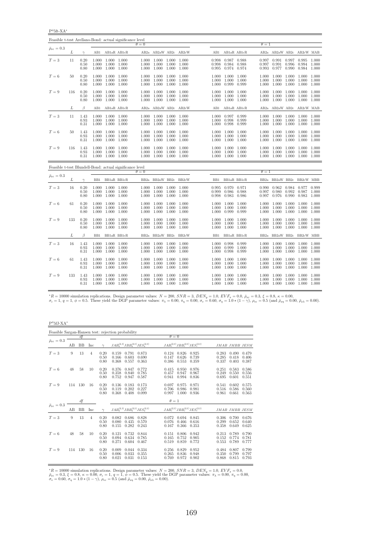$P^{\phi}$ 5ft-XA $^*$ 

| Feasible t-test Arellano-Bond: actual significance level |     |                      |       |                                                             |                |                                                                   |       |                         |                |                                                             |                |                |                                                                                                 |                |                                                         |       |
|----------------------------------------------------------|-----|----------------------|-------|-------------------------------------------------------------|----------------|-------------------------------------------------------------------|-------|-------------------------|----------------|-------------------------------------------------------------|----------------|----------------|-------------------------------------------------------------------------------------------------|----------------|---------------------------------------------------------|-------|
| $\bar{\rho}_{x\varepsilon} = 0.3$                        |     |                      |       |                                                             | $\theta = 0$   |                                                                   |       |                         |                |                                                             |                | $\theta=1$     |                                                                                                 |                |                                                         |       |
|                                                          | L   | $\gamma$             |       | AB1 AB1aR AB1cR                                             |                |                                                                   |       | AB2a AB2aW AB2c AB2cW   | AB1            | AB1aR AB1cR                                                 |                |                | AB2a AB2aW AB2c AB2cW MAB                                                                       |                |                                                         |       |
| $T=3$                                                    | 11  | 0.20<br>0.50<br>0.80 |       | 1.000 1.000 1.000<br>1.000 1.000 1.000<br>1.000 1.000 1.000 | 1.000<br>1.000 | 1.000 1.000 1.000 1.000<br>1.000 1.000<br>1.000 1.000             |       | 1.000<br>1.000          | 0.998<br>0.998 | 0.987 0.988<br>0.984 0.988<br>0.995 0.974 0.974             |                | 0.997          | 0.997 0.991<br>0.991<br>0.993 0.977                                                             | 0.996<br>0.990 | 0.997 0.995 1.000<br>0.994 1.000<br>0.984 1.000         |       |
| $T=6$                                                    | 50  | 0.20<br>0.50<br>0.80 |       | 1.000 1.000 1.000<br>1.000 1.000 1.000<br>1.000 1.000 1.000 | 1.000          | 1.000 1.000 1.000 1.000<br>1.000 1.000 1.000<br>1.000 1.000       |       | 1.000<br>1.000          | 1.000          | 1.000 1.000 1.000<br>1.000 1.000 1.000<br>0.999             | 0.999          | 1.000          | 1.000 1.000 1.000<br>1.000 1.000 1.000<br>1.000                                                 | 1.000          | 1.000 1.000<br>1.000 1.000<br>1.000 1.000               |       |
| $T=9$                                                    | 116 | 0.20<br>0.50<br>0.80 | 1.000 | 1.000 1.000 1.000<br>1.000 1.000<br>1.000 1.000 1.000       | 1.000          | 1.000 1.000 1.000 1.000<br>1.000 1.000<br>1.000 1.000 1.000 1.000 |       | 1.000                   |                | 1.000 1.000 1.000<br>1.000 1.000 1.000<br>1.000 1.000 1.000 |                | 1.000          | 1.000 1.000 1.000 1.000 1.000<br>1.000<br>1.000 1.000 1.000 1.000 1.000                         | 1.000          | 1.000 1.000                                             |       |
|                                                          | L   | $\beta$              | AB1   | AB1aR AB1cR                                                 |                |                                                                   |       | AB2a AB2aW AB2c AB2cW   | AB1            | AB1aR AB1cR                                                 |                |                | AB2a AB2aW AB2c AB2cW MAB                                                                       |                |                                                         |       |
| $T=3$                                                    | 11  | 1.43<br>0.93<br>0.31 |       | 1.000 1.000 1.000<br>1.000 1.000 1.000<br>1.000 1.000 1.000 | 1.000          | 1.000 1.000 1.000 1.000<br>1.000 1.000 1.000 1.000<br>1.000 1.000 |       | 1.000                   |                | 1.000 0.997 0.999<br>1.000 0.998 0.999<br>1.000 0.998 0.999 |                |                | 1.000 1.000 1.000 1.000 1.000<br>1.000 1.000 1.000 1.000 1.000<br>1.000 1.000 1.000 1.000 1.000 |                |                                                         |       |
| $T=6$                                                    | 50  | 1.43<br>0.93<br>0.31 |       | 1.000 1.000 1.000<br>1.000 1.000 1.000<br>1.000 1.000 1.000 | 1.000          | 1.000 1.000 1.000 1.000<br>1.000<br>1.000 1.000 1.000 1.000       | 1.000 | 1.000                   |                | 1.000 1.000 1.000<br>1.000 1.000 1.000<br>1.000 1.000 1.000 |                | 1.000          | 1.000 1.000 1.000 1.000 1.000<br>1.000<br>1.000 1.000 1.000                                     | 1.000          | 1.000 1.000<br>1.000 1.000                              |       |
| $T=9$                                                    | 116 | 1.43<br>0.93<br>0.31 |       | 1.000 1.000 1.000<br>1.000 1.000 1.000<br>1.000 1.000 1.000 | 1.000<br>1.000 | 1.000 1.000<br>1.000 1.000<br>1.000 1.000 1.000                   |       | 1.000<br>1.000<br>1.000 |                | 1.000 1.000 1.000<br>1.000 1.000 1.000<br>1.000 1.000 1.000 |                | 1.000          | 1.000 1.000 1.000<br>1.000<br>1.000 1.000 1.000 1.000 1.000                                     | 1.000          | 1.000 1.000<br>1.000                                    | 1.000 |
| Feasible t-test Blundell-Bond: actual significance level |     |                      |       |                                                             | $\theta = 0$   |                                                                   |       |                         |                |                                                             |                | $\theta=1$     |                                                                                                 |                |                                                         |       |
| $\bar{\rho}_{x\varepsilon}=0.3$                          | L   | $\gamma$             |       | BB1 BB1aR BB1cR                                             |                |                                                                   |       | BB2a BB2aW BB2c BB2cW   |                | BB1 BB1aR BB1cR                                             |                |                | BB2a BB2aW BB2c BB2cW MBB                                                                       |                |                                                         |       |
| $T=3$                                                    | 16  | 0.20<br>0.50<br>0.80 |       | 1.000 1.000 1.000<br>1.000 1.000 1.000<br>1.000 1.000 1.000 | 1.000<br>1.000 | 1.000 1.000 1.000 1.000<br>1.000 1.000<br>1.000 1.000             |       | 1.000<br>1.000          | 0.999          | 0.995 0.970 0.971<br>0.986<br>0.998 0.983                   | 0.988<br>0.986 | 0.990<br>0.997 | 0.980<br>0.997 0.976                                                                            | 0.992<br>0.990 | 0.962 0.984 0.977 0.999<br>$0.987$ 1.000<br>0.983 1.000 |       |
| $T=6$                                                    | 61  | 0.20<br>0.50<br>0.80 |       | 1.000 1.000 1.000<br>1.000 1.000 1.000<br>1.000 1.000 1.000 | 1.000<br>1.000 | 1.000 1.000 1.000 1.000<br>1.000 1.000<br>1.000 1.000             |       | 1.000<br>1.000          |                | 1.000 1.000 1.000<br>1.000 1.000 1.000<br>1.000 0.999       | 0.999          | 1.000<br>1.000 | 1.000 1.000 1.000 1.000 1.000<br>1.000<br>1.000                                                 | 1.000<br>1.000 | 1.000 1.000<br>1.000 1.000                              |       |
| $T=9$                                                    | 133 | 0.20<br>0.50<br>0.80 |       | 1.000 1.000 1.000<br>1.000 1.000 1.000<br>1.000 1.000 1.000 | 1.000<br>1.000 | 1.000 1.000 1.000<br>1.000<br>1.000 1.000 1.000 1.000             | 1.000 | 1.000                   |                | 1.000 1.000 1.000<br>1.000 1.000 1.000<br>1.000 1.000 1.000 |                | 1.000          | 1.000 1.000 1.000 1.000 1.000<br>1.000<br>1.000 1.000 1.000 1.000 1.000                         | 1.000          | 1.000 1.000                                             |       |
|                                                          | L   | $\beta$              | BB1   | BB1aR BB1cR                                                 |                |                                                                   |       | BB2a BB2aW BB2c BB2cW   | BB1            | BB1aR BB1cR                                                 |                |                | BB2a BB2aW BB2c BB2cW MBB                                                                       |                |                                                         |       |
| $T=3$                                                    | 16  | 1.43<br>0.93<br>0.31 |       | 1.000 1.000 1.000<br>1.000 1.000 1.000<br>1.000 1.000 1.000 | 1.000          | 1.000 1.000 1.000 1.000<br>1.000 1.000 1.000 1.000<br>1.000 1.000 |       | 1.000                   |                | 1.000 0.998 0.999<br>1.000 0.999 1.000<br>1.000 0.998 0.999 |                |                | 1.000 1.000 1.000 1.000 1.000<br>1.000 1.000 1.000 1.000 1.000<br>1.000 1.000 1.000 1.000 1.000 |                |                                                         |       |
| $T=6$                                                    | 61  | 1.43<br>0.93<br>0.31 | 1.000 | 1.000 1.000 1.000<br>1.000 1.000<br>1.000 1.000 1.000       | 1.000<br>1.000 | 1.000 1.000 1.000<br>1.000<br>1.000 1.000 1.000 1.000             | 1.000 | 1.000                   | 1.000          | 1.000 1.000 1.000<br>1.000<br>1.000 1.000 1.000             | 1.000          | 1.000          | 1.000 1.000 1.000 1.000 1.000<br>1.000<br>1.000 1.000 1.000 1.000 1.000                         | 1.000          | 1.000 1.000                                             |       |
| $T=9$                                                    | 133 | 1.43<br>0.93<br>0.31 |       | 1.000 1.000 1.000<br>1.000 1.000 1.000<br>1.000 1.000 1.000 | 1.000<br>1.000 | 1.000 1.000<br>1.000 1.000<br>$1.000$ $1.000$ $1.000$ $1.000$     |       | 1.000<br>1.000          |                | 1.000 1.000 1.000<br>1.000 1.000 1.000<br>1.000 1.000 1.000 |                | 1.000          | 1.000<br>1.000 1.000<br>$1.000$ $1.000$ $1.000$ $1.000$ $1.000$                                 | 1.000<br>1.000 | 1.000 1.000<br>1.000 1.000                              |       |

 ${}^{*}R = 10000$  simulation replications. Design parameter values:  $N = 200$ ,  $SNR = 3$ ,  $DEN_y = 1.0$ ,  $EVF_x = 0.0$ ,  $E_{x\bar{x}} = 0.3$ ,  $\xi = 0.8$ ,  $\kappa = 0.00$ ,<br> $\sigma_x = 1$ ,  $q = 1$ ,  $\phi = 0.5$ . These yield the DGP parameter values:  $\pi_{\lambda}$ 

| $P^{\phi}5fJ-XA^*$              |     |           |     |                      |                                                    |                         |                         |                         |                                           |                         |                         |                         |
|---------------------------------|-----|-----------|-----|----------------------|----------------------------------------------------|-------------------------|-------------------------|-------------------------|-------------------------------------------|-------------------------|-------------------------|-------------------------|
|                                 |     |           |     |                      | Feasible Sargan-Hansen test: rejection probability |                         |                         |                         |                                           |                         |                         |                         |
|                                 |     | df        |     |                      |                                                    |                         | $\theta = 0$            |                         |                                           |                         |                         |                         |
| $\bar{\rho}_{x\varepsilon}=0.3$ | AВ  | <b>BB</b> | Inc | $\gamma$             | $JAB_a^{(2,1)}JBB_a^{(2,1)}JES_a^{(2,1)}$          |                         |                         |                         | $JAB_c^{(2,1)}JBB_c^{(2,1)}JES_c^{(2,1)}$ |                         | JMAB JMBB JESM          |                         |
| $T=3$                           | 9   | 13        | 4   | 0.20<br>0.50<br>0.80 | 0.159<br>0.791<br>0.166<br>0.603<br>0.368<br>0.557 | 0.873<br>0.690<br>0.363 | 0.124<br>0.147<br>0.386 | 0.826<br>0.626<br>0.553 | 0.925<br>0.739<br>0.359                   | 0.283<br>0.285<br>0.337 | 0.490<br>0.418<br>0.403 | 0.479<br>0.406<br>0.387 |
| $T=6$                           | 48  | 58        | 10  | 0.20<br>0.50<br>0.80 | 0.376<br>0.847<br>0.840<br>0.358<br>0.752<br>0.947 | 0.772<br>0.785<br>0.587 | 0.415<br>0.457<br>0.941 | 0.950<br>0.947<br>0.994 | 0.976<br>0.967<br>0.836                   | 0.251<br>0.249<br>0.695 | 0.583<br>0.550<br>0.601 | 0.586<br>0.556<br>0.551 |
| $T=9$                           | 114 | 130       | 16  | 0.20<br>0.50<br>0.80 | 0.136<br>0.183<br>0.119<br>0.202<br>0.368<br>0.408 | 0.173<br>0.227<br>0.099 | 0.697<br>0.706<br>0.997 | 0.975<br>0.986<br>1.000 | 0.971<br>0.981<br>0.936                   | 0.541<br>0.516<br>0.961 | 0.602<br>0.586<br>0.661 | 0.575<br>0.560<br>0.563 |
|                                 |     | df        |     |                      |                                                    |                         | $\theta = 1$            |                         |                                           |                         |                         |                         |
| $\bar{\rho}_{x\varepsilon}=0.3$ | AB  | <b>BB</b> | Inc | $\gamma$             | $JAB_a^{(2,1)}JBB_a^{(2,1)}JES_a^{(2,1)}$          |                         |                         |                         | $JAB_c^{(2,1)}JBB_c^{(2,1)}JES_c^{(2,1)}$ |                         | JMAB JMBB JESM          |                         |
| $T=3$                           | 9   | 13        | 4   | 0.20<br>0.50<br>0.80 | 0.082<br>0.686<br>0.080<br>0.435<br>0.155<br>0.282 | 0.828<br>0.570<br>0.243 | 0.072<br>0.076<br>0.167 | 0.694<br>0.466<br>0.366 | 0.845<br>0.616<br>0.353                   | 0.306<br>0.299<br>0.358 | 0.700<br>0.652<br>0.649 | 0.676<br>0.640<br>0.625 |
| $T=6$                           | 48  | 58        | 10  | 0.20<br>0.50<br>0.80 | 0.121<br>0.732<br>0.094<br>0.634<br>0.271<br>0.604 | 0.844<br>0.785<br>0.467 | 0.151<br>0.165<br>0.519 | 0.806<br>0.752<br>0.859 | 0.942<br>0.905<br>0.772                   | 0.213<br>0.152<br>0.553 | 0.789<br>0.774<br>0.789 | 0.790<br>0.781<br>0.777 |
| $T=9$                           | 114 | 130       | 16  | 0.20<br>0.50<br>0.80 | 0.009<br>0.044<br>0.033<br>0.006<br>0.021<br>0.031 | 0.334<br>0.355<br>0.153 | 0.256<br>0.265<br>0.769 | 0.829<br>0.836<br>0.972 | 0.952<br>0.948<br>0.902                   | 0.484<br>0.350<br>0.868 | 0.807<br>0.799<br>0.815 | 0.799<br>0.797<br>0.793 |

 ${}^*R = 10000$  simulation replications. Design parameter values:  $N = 200$ ,  $SNR = 3$ ,  $DEN_y = 1.0$ ,  $EVF_x = 0.0$ ,  $\bar{\rho}_{xe} = 0.3$ ,  $\xi = 0.8$ ,  $\kappa = 0.00$ ,  $\sigma_e = 1$ ,  $q = 1$ ,  $\phi = 0.5$ . These yield the DGP parameter values:  $\pi_{\lambda} =$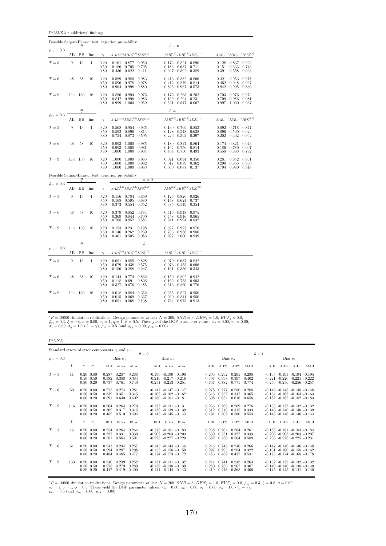$\mathbf{P}^{\phi}5\mathbf{f}\mathbf{J}\text{-}\mathbf{X}\mathbf{A}^*$ : additional findings

|                                                                        |                  |          |                |                                                     | Feasible Sargan-Hansen test: rejection probability                                                     |                                                                                                           |                                                                                    |
|------------------------------------------------------------------------|------------------|----------|----------------|-----------------------------------------------------|--------------------------------------------------------------------------------------------------------|-----------------------------------------------------------------------------------------------------------|------------------------------------------------------------------------------------|
| $\bar{\rho}_{x\varepsilon}=0.3$                                        |                  | df       |                |                                                     |                                                                                                        | $\theta = 0$                                                                                              |                                                                                    |
|                                                                        | AВ               | BB       | Inc            | $\gamma$                                            | $JAB^{\left( 1,0\right) }JBB_{a}^{\left( 1,0\right) }JES^{\left( 1,0\right) }$                         | $JAB_a^{(1,1)}JBB_a^{(1,1)}JES_a^{(1,1)}$                                                                 | $JAB_c^{(1,1)}JBB_c^{(1,1)}JES_c^{(1,1)}$                                          |
| $T=3$                                                                  | $\boldsymbol{9}$ | 13       | $\overline{4}$ | 0.20<br>0.50<br>0.80                                | 0.161<br>0.877 0.950<br>0.186<br>0.705<br>0.795<br>0.436<br>0.622<br>0.411                             | 0.172<br>0.821<br>0.890<br>0.637<br>0.711<br>0.183<br>0.397<br>0.592<br>0.389                             | 0.128 0.837<br>0.929<br>0.633<br>0.743<br>0.151<br>0.391<br>0.558<br>0.363         |
| $T=6$                                                                  | 48               | 58       | 10             | 0.20<br>0.50<br>0.80                                | 0.599<br>0.980<br>0.983<br>0.596<br>0.978<br>0.978<br>0.964<br>0.998<br>0.880                          | 0.882<br>0.416<br>0.806<br>0.412<br>0.879<br>0.814<br>0.825<br>0.967<br>0.573                             | 0.953<br>0.978<br>0.421<br>0.462<br>0.948<br>0.967<br>0.942<br>0.995<br>0.836      |
| $T=9$                                                                  | 114              | 130      | 16             | 0.20<br>0.50<br>0.80                                | 0.856<br>0.994 0.976<br>0.842<br>0.996<br>0.986<br>0.999<br>1.000 0.959                                | 0.172<br>0.263<br>0.202<br>0.169<br>0.294<br>0.231<br>0.521<br>0.547<br>0.067                             | 0.703<br>0.976<br>0.974<br>0.986<br>0.709<br>0.981<br>$0.997$ 1.000<br>0.937       |
|                                                                        |                  | df       |                |                                                     |                                                                                                        | $\theta = 1$                                                                                              |                                                                                    |
| $\bar{\rho}_{x\varepsilon}=0.3$                                        | AB               | BB       | Inc            | $\gamma$                                            | $JAB^{\left( 1,0\right) }JBB_{a}^{\left( 1,0\right) }JES^{\left( 1,0\right) }$                         | $JAB^{(1,1)}_aJBB^{(1,1)}_aJES^{(1,1)}_a$                                                                 | $JAB_c^{(1,1)}JBB_c^{(1,1)}JES_c^{(1,1)}$                                          |
| $T = 3$                                                                | $\boldsymbol{9}$ | 13       | $\overline{4}$ | 0.20<br>0.50<br>0.80                                | 0.568<br>0.954 0.935<br>0.592<br>0.896<br>0.814<br>0.734<br>0.595<br>0.873                             | 0.130<br>0.769<br>0.853<br>0.128<br>0.548<br>0.628<br>0.226<br>0.392<br>0.297                             | $0.092 \quad 0.718$<br>0.847<br>0.096<br>0.500<br>0.629<br>0.202<br>0.402<br>0.362 |
| $T=6$                                                                  | 48               | 58       | 10             | 0.20<br>0.50<br>0.80                                | 0.993<br>1.000<br>0.985<br>0.993<br>1.000<br>0.981<br>1.000<br>1.000<br>0.934                          | 0.189<br>0.827<br>0.864<br>0.164<br>0.756<br>0.814<br>0.404<br>0.750<br>0.493                             | 0.821<br>0.943<br>0.174<br>0.186<br>0.780<br>0.907<br>0.558<br>0.792<br>0.883      |
| $T=9$                                                                  | 114              | 130      | 16             | 0.20<br>0.50<br>0.80                                | 1.000 0.985<br>1.000<br>1.000<br>1.000<br>0.992<br>1.000<br>0.983<br>1.000                             | 0.021<br>0.094<br>0.350<br>0.017<br>0.079<br>0.362<br>$0.060 \quad 0.077$<br>0.137                        | 0.842<br>0.281<br>0.951<br>0.290<br>0.855<br>0.950<br>0.794 0.980<br>0.918         |
|                                                                        |                  |          |                |                                                     | Feasible Sargan-Hansen test: rejection probability<br>$\theta = 0$                                     |                                                                                                           |                                                                                    |
| $\bar{\rho}_{x\varepsilon}=0.3$                                        | AВ               | df<br>ΒB | Inc            | $\gamma$                                            | $JAB_{a}^{\left( 2,2\right) }JBB_{a}^{\left( 2,2\right) }JES_{a}^{\left( 2,2\right) }$                 | $JAB_c^{(2,2)}JBB_c^{(2,2)}JES_c^{(2,2)}$                                                                 |                                                                                    |
| $T=3$                                                                  | 9                | 13       | $\overline{4}$ | 0.20<br>0.50<br>0.80                                | 0.156 0.784 0.869<br>0.595<br>0.680<br>0.168<br>0.373<br>0.554<br>0.352                                | 0.125<br>0.826 0.926<br>$\begin{array}{c} 0.148 \\ 0.385 \end{array}$<br>0.624<br>0.737<br>0.549<br>0.354 |                                                                                    |
| $T=6$                                                                  | 48               | 58       | 10             | 0.20<br>0.50<br>0.80                                | 0.379<br>0.852 0.784<br>$\!0.844\!$<br>0.790<br>0.369<br>0.952<br>0.584<br>0.768                       | 0.948<br>0.416<br>0.975<br>0.458<br>0.946<br>0.965<br>0.941<br>0.994<br>0.832                             |                                                                                    |
| $T=9$                                                                  | 114 130          |          | 16             | $\begin{array}{c} 0.20 \\ 0.50 \end{array}$<br>0.80 | $\begin{array}{c} 0.231 \\ 0.262 \end{array}$<br>0.153<br>0.198<br>0.239<br>0.146<br>0.461 0.505 0.083 | $\begin{array}{c} 0.697 \\ 0.705 \end{array}$<br>0.973<br>0.970<br>0.986<br>0.980<br>0.997<br>1.000 0.939 |                                                                                    |
|                                                                        |                  | df       |                |                                                     | $\theta = 1$                                                                                           |                                                                                                           |                                                                                    |
| $\bar{\rho}_{x\varepsilon}=0.3\begin{array}{c} -\hline\\ A\end{array}$ | AB               | ΒB       | Inc            | $\gamma$                                            | $JAB_{a}^{\left( 2,2\right) }JBB_{a}^{\left( 2,2\right) }JES_{a}^{\left( 2,2\right) }$                 | $JAB_c^{(2,2)}JBB_c^{(2,2)}JES_c^{(2,2)}$                                                                 |                                                                                    |
| $T=3$                                                                  | 9                | 13       | $\overline{4}$ | 0.20<br>0.50<br>0.80                                | 0.081 0.685 0.828<br>0.575<br>0.438<br>0.079<br>0.156<br>0.288<br>0.247                                | $0.070$ 0.687<br>0.842<br>0.073<br>0.455<br>0.606<br>0.161<br>0.356<br>0.343                              |                                                                                    |
| $T=6$                                                                  | 48               | 58       | 10             | 0.20<br>0.50<br>0.80                                | 0.774 0.862<br>0.144<br>0.806<br>0.118<br>0.691<br>0.327<br>0.676 0.485                                | 0.802<br>0.942<br>0.150<br>0.162<br>0.753<br>0.903<br>0.513<br>0.860<br>0.776                             |                                                                                    |
| $T=9$                                                                  | 114 130          |          | 16             | 0.20<br>0.50<br>0.80                                | 0.018<br>0.084<br>0.352<br>0.015<br>0.069<br>0.367<br>0.068 0.138<br>0.051                             | 0.827<br>0.255<br>0.950<br>0.260<br>0.841<br>0.950<br>0.764<br>0.975<br>0.913                             |                                                                                    |

\*R = 10000 simulation replications. Design parameter values:  $N = 200$ ,  $SNR = 3$ ,  $DEN_y = 1.0$ ,  $EVF_x = 0.0$ ,  $\bar{\rho}_{xe} = 0.3$ ,  $\xi = 0.8$ ,  $\kappa = 0.00$ ,  $\sigma_e = 1$ ,  $q = 1$ ,  $\phi = 0.5$ . These yield the DGP parameter values:  $\pi_{\lambda} = 0.$ 

 $P^{\phi}$ 5-XA $^*$ 

| Standard errors of error components $\eta_i$ and $\varepsilon_{it}$ |     |                                                        |                         |                         |                         |              |                                                                                        |                            |  |                         |                                   |                         |                         |              |     |                                                                                                                   |                  |     |
|---------------------------------------------------------------------|-----|--------------------------------------------------------|-------------------------|-------------------------|-------------------------|--------------|----------------------------------------------------------------------------------------|----------------------------|--|-------------------------|-----------------------------------|-------------------------|-------------------------|--------------|-----|-------------------------------------------------------------------------------------------------------------------|------------------|-----|
|                                                                     |     |                                                        |                         |                         |                         | $\theta = 0$ |                                                                                        |                            |  |                         | Bias $\hat{\sigma}_n$             |                         |                         | $\theta = 1$ |     |                                                                                                                   |                  |     |
| $\bar{\rho}_{x\varepsilon} = 0.3$                                   |     |                                                        |                         | Bias $\sigma_n$         |                         |              | Bias $\hat{\sigma}_{\varepsilon}$                                                      |                            |  |                         |                                   |                         |                         |              |     | Bias $\hat{\sigma}_{\varepsilon}$                                                                                 |                  |     |
|                                                                     | L   | $\sigma_n$                                             | AB1                     | AB2a                    | AB2c                    | AB1          | AB2a                                                                                   | AB2c                       |  | AB1                     | AB2a                              | AB2c                    | MAB                     |              | AB1 | AB2a                                                                                                              | AB2c             | MAB |
| $T=3$                                                               | 11  | $0.20\ 0.80$<br>$0.50 \quad 0.50$<br>$0.80 \quad 0.20$ | 0.287<br>0.382<br>0.737 | 0.287<br>0.388<br>0.761 | 0.288<br>0.384<br>0.740 |              | $-0.190 - 0.190 - 0.190$<br>$-0.251 - 0.253 - 0.251$                                   | $-0.216$ $-0.217$ $-0.216$ |  | 0.296<br>0.397<br>0.767 | 0.292<br>0.398<br>0.782           | 0.295<br>0.397<br>0.771 | 0.298<br>0.402<br>0.774 |              |     | $-0.195$ $-0.193$ $-0.194$ $-0.195$<br>$-0.221$ $-0.220$ $-0.221$ $-0.222$<br>$-0.256$ $-0.256$ $-0.256$ $-0.257$ |                  |     |
| $T=6$                                                               | 50  | $0.20\ 0.80$<br>$0.50 \quad 0.50$<br>$0.80\ 0.20$      | 0.275<br>0.339<br>0.591 | 0.274<br>0.351<br>0.640 | 0.281<br>0.345<br>0.602 |              | $-0.147 - 0.147 - 0.147$<br>$-0.162$ $-0.162$ $-0.162$<br>$-0.180 - 0.181 - 0.181$     |                            |  | 0.278<br>0.346<br>0.608 | 0.277<br>0.352<br>$0.634$ $0.616$ | 0.280<br>0.347          | 0.288<br>0.365<br>0.658 |              |     | $-0.149 - 0.148 - 0.148 - 0.148$<br>$-0.164$ $-0.163$ $-0.163$ $-0.163$<br>$-0.182$ $-0.182$ $-0.182$ $-0.183$    |                  |     |
| $T=9$                                                               | 116 | $0.20\ 0.80$<br>$0.50 \quad 0.50$<br>$0.80\ 0.20$      | 0.264<br>0.309<br>0.482 | 0.264<br>0.317<br>0.510 | 0.270<br>0.315<br>0.494 |              | $-0.132 - 0.131 - 0.131$<br>$-0.139 - 0.139 - 0.139$<br>$-0.145 - 0.145 - 0.145$       |                            |  | 0.265<br>0.312<br>0.491 | 0.266<br>0.316<br>0.502           | 0.269<br>0.315<br>0.500 | 0.276<br>0.333<br>0.553 |              |     | $-0.133 - 0.133 - 0.132 - 0.132$<br>$-0.140 -0.140 -0.140 -0.139$<br>$-0.146$ $-0.146$ $-0.146$ $-0.144$          |                  |     |
|                                                                     | L   | $\sigma_n$                                             | B <sub>B1</sub>         | BB <sub>2a</sub>        | BB2c                    | BB1          | BB <sub>2a</sub>                                                                       | BB2c                       |  | BB1                     | BB <sub>2a</sub>                  | BB <sub>2c</sub>        | <b>MBB</b>              |              | BB1 | BB <sub>2a</sub>                                                                                                  | BB <sub>2c</sub> | MBB |
| $T=3$                                                               | 16  | $0.20\ 0.80$<br>$0.50 \quad 0.50$<br>$0.80 \quad 0.20$ | 0.254<br>0.323<br>0.581 | 0.264<br>0.331<br>0.584 | 0.264<br>0.330<br>0.591 |              | $-0.178$ $-0.181$ $-0.183$<br>$-0.202$ $-0.203$ $-0.204$<br>$-0.228$ $-0.227$ $-0.229$ |                            |  | 0.258<br>0.330<br>0.582 | 0.264<br>0.331<br>0.580           | 0.264<br>0.327<br>0.564 | 0.261<br>0.333<br>0.589 |              |     | $-0.183 - 0.181 - 0.183 - 0.184$<br>$-0.206$ $-0.203$ $-0.203$ $-0.207$<br>$-0.230 -0.228 -0.225 -0.231$          |                  |     |
| $T=6$                                                               | 61  | $0.20\ 0.80$<br>$0.50 \quad 0.50$<br>$0.80\ 0.20$      | 0.243<br>0.294<br>0.484 | 0.244<br>0.297<br>0.485 | 0.257<br>0.298<br>0.477 |              | $-0.145 - 0.144 - 0.146$<br>$-0.158$ $-0.158$ $-0.159$<br>$-0.174$ $-0.173$ $-0.172$   |                            |  | 0.245<br>0.297<br>0.486 | 0.243<br>0.295<br>0.482           | 0.246<br>0.284<br>0.437 | 0.266<br>0.322<br>0.531 |              |     | $-0.147 - 0.146 - 0.146 - 0.148$<br>$-0.161 - 0.160 - 0.158 - 0.162$<br>$-0.175$ $-0.174$ $-0.168$ $-0.178$       |                  |     |
| $T=9$                                                               | 133 | $0.20\ 0.80$<br>$0.50 \quad 0.50$<br>$0.80 \quad 0.20$ | 0.240<br>0.278<br>0.417 | 0.239<br>0.279<br>0.419 | 0.252<br>0.280<br>0.400 |              | $-0.131 - 0.131 - 0.132$<br>$-0.139 - 0.138 - 0.139$<br>$-0.144$ $-0.144$ $-0.143$     |                            |  | 0.241<br>0.280<br>0.419 | 0.241<br>0.280<br>0.418           | 0.242<br>0.267<br>0.368 | 0.263<br>0.307<br>0.466 |              |     | $-0.132 - 0.132 - 0.132 - 0.132$<br>$-0.140 - 0.140 - 0.138 - 0.140$<br>$-0.145 - 0.145 - 0.141 - 0.146$          |                  |     |

 ${}^*R = 10000$  simulation replications. Design parameter values:  $N = 200$ ,  $SNR = 3$ ,  $DEN_y = 1.0$ ,  $EVF_x = 0.0$ ,  $\bar{\rho}_{x\bar{x}} = 0.3$ ,  $\xi = 0.8$ ,  $\kappa = 0.00$ ,<br>  $\sigma_{\varepsilon} = 1$ ,  $q = 1$ ,  $\phi = 0.5$ . These yield the DGP parameter values: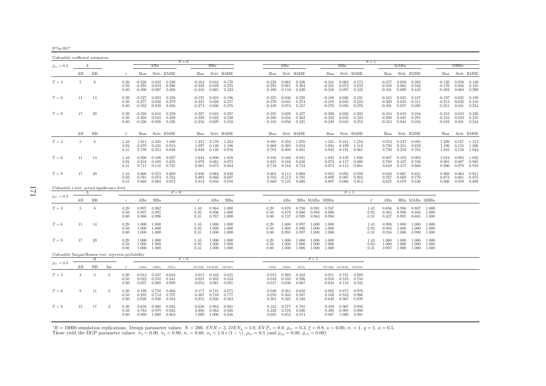| Unfeasible coefficient estimators                    |    |     |                |                      |                                  |                         |                         |                                  |                         |                                       |                                  |                                 |                         |                         |                                  |                                   |                         |                      |                                  |                         |                         |                         |                                  |                               |                         |
|------------------------------------------------------|----|-----|----------------|----------------------|----------------------------------|-------------------------|-------------------------|----------------------------------|-------------------------|---------------------------------------|----------------------------------|---------------------------------|-------------------------|-------------------------|----------------------------------|-----------------------------------|-------------------------|----------------------|----------------------------------|-------------------------|-------------------------|-------------------------|----------------------------------|-------------------------------|-------------------------|
| $\bar{\rho}_{x\varepsilon}=0.3$                      |    | L   |                |                      |                                  | ABu                     |                         | $\theta = 0$                     | BBu                     |                                       |                                  | ABu                             |                         |                         |                                  | BBu                               |                         | $\theta = 1$         |                                  | MABu                    |                         |                         |                                  | MBBu                          |                         |
|                                                      | AВ | BB  |                | $\gamma$             | Bias                             |                         | Stdv RMSE               | Bias                             |                         | Stdy RMSE                             | <b>Bias</b>                      |                                 | Stdy RMSE               |                         | Bias                             |                                   | Stdy RMSE               |                      | Bias                             |                         | Stdy RMSE               |                         | Bias                             |                               | Stdy RMSE               |
| $T=3$                                                | 5  | 8   |                | 0.20<br>0.50<br>0.80 | $-0.226$<br>$-0.291$<br>$-0.390$ | 0.042<br>0.054<br>0.087 | 0.230<br>0.296<br>0.400 | $-0.164$<br>$-0.220$<br>$-0.316$ | 0.043<br>0.049<br>0.065 | 0.170<br>0.225<br>0.323               | $-0.228$<br>$-0.293$<br>$-0.398$ | 0.062<br>0.081<br>0.134         | 0.236<br>0.304<br>0.420 |                         | $-0.161$<br>$-0.221$<br>$-0.318$ | 0.062<br>0.072<br>0.097           | 0.173<br>0.232<br>0.333 |                      | $-0.257$<br>$-0.338$<br>$-0.431$ | 0.050<br>0.065<br>0.099 | 0.262<br>0.344<br>0.442 |                         | $-0.130$<br>$-0.176$<br>$-0.282$ | 0.050<br>0.056<br>0.068       | 0.140<br>0.185<br>0.290 |
| $T=6$                                                | 11 | 14  |                | 0.20<br>0.50<br>0.80 | $-0.227$<br>$-0.277$<br>$-0.352$ | 0.023<br>0.030<br>0.049 | 0.228<br>0.279<br>0.356 | $-0.195$<br>$-0.225$<br>$-0.274$ | 0.024<br>0.028<br>0.038 | 0.196<br>0.227<br>0.276               | $-0.225$<br>$-0.270$<br>$-0.349$ | 0.036<br>0.045<br>0.074         | 0.228<br>0.274<br>0.357 |                         | $-0.188$<br>$-0.219$<br>$-0.270$ | 0.036<br>0.042<br>0.056           | 0.191<br>0.223<br>0.276 |                      | $-0.245$<br>$-0.309$<br>$-0.391$ | 0.025<br>0.034<br>0.057 | 0.247<br>0.311<br>0.395 |                         | $-0.197$<br>$-0.213$<br>$-0.251$ | 0.025<br>0.032<br>0.041       | 0.199<br>0.216<br>0.254 |
| $T=9$                                                | 17 | 20  |                | 0.20<br>0.50<br>0.80 | $-0.228$<br>$-0.268$<br>$-0.326$ | 0.018<br>0.023<br>0.038 | 0.229<br>0.269<br>0.328 | $-0.207$<br>$-0.229$<br>$-0.256$ | 0.018<br>0.022<br>0.029 | 0.207<br>0.230<br>0.258               | $-0.225$<br>$-0.260$<br>$-0.316$ | 0.028<br>0.034<br>0.056         | 0.227<br>0.262<br>0.321 |                         | $-0.200$<br>$-0.222$<br>$-0.249$ | 0.028<br>0.032<br>0.043           | 0.202<br>0.224<br>0.253 |                      | $-0.244$<br>$-0.290$<br>$-0.353$ | 0.019<br>0.025<br>0.044 | 0.244<br>0.291<br>0.356 |                         | $-0.219$<br>$-0.234$<br>$-0.242$ | 0.019<br>0.023<br>0.031       | 0.220<br>0.235<br>0.244 |
|                                                      | AВ | BB  |                | $\beta$              | Bias                             |                         | Stdy RMSE               | Bias                             |                         | Stdy RMSE                             | Bias                             |                                 | Stdy RMSE               |                         | Bias                             |                                   | Stdy RMSE               |                      | Bias                             |                         | Stdy RMSE               |                         | Bias                             |                               | Stdy RMSE               |
| $T=3$                                                | -5 | 8   |                | 1.43<br>0.93<br>0.31 | 1.011<br>0.879<br>0.799          | 0.245<br>0.245<br>0.253 | 1.040<br>0.913<br>0.838 | 1.231<br>1.097<br>0.949          | 0.170<br>0.140<br>0.128 | 1.243<br>1.106<br>0.958               | 0.995<br>0.869<br>0.781          | 0.393<br>0.389<br>0.409         | 1.070<br>0.952<br>0.881 |                         | 1.231<br>1.094<br>0.942          | 0.241<br>0.199<br>0.191           | 1.254<br>1.112<br>0.961 |                      | 0.953<br>0.790<br>0.720          | 0.247<br>0.251<br>0.259 | 0.985<br>0.829<br>0.765 |                         | 1.299<br>1.196                   | 0.187<br>0.155<br>1.016 0.134 | 1.312<br>1.206<br>1.024 |
| $T=6$                                                | 11 | -14 |                | 1.43<br>0.93<br>0.31 | 0.920<br>0.818<br>0.711          | 0.108<br>0.109<br>0.118 | 0.927<br>0.825<br>0.721 | 1.034<br>0.970<br>0.881          | 0.090<br>0.081<br>0.075 | 1.038<br>0.973<br>0.884               | 0.916<br>0.821<br>0.710          | 0.168<br>0.168<br>0.183         | 0.931<br>0.838<br>0.733 |                         | 1.042<br>0.973<br>0.874          | 0.129<br>0.117<br>0.113           | 1.050<br>0.980<br>0.881 |                      | 0.897<br>0.780<br>0.649          | 0.103<br>0.107<br>0.117 | 0.903<br>0.788<br>0.660 |                         | 1.018<br>0.981<br>0.906          | 0.093<br>0.087<br>0.078       | 1.022<br>0.985<br>0.910 |
| $T=9$                                                | 17 | 20  |                | 1.43<br>0.93<br>0.31 | 0.866<br>0.781<br>0.668          | 0.073<br>0.074<br>0.082 | 0.869<br>0.784<br>0.672 | 0.946<br>0.895<br>0.814          | 0.064<br>0.060<br>0.056 | 0.948<br>0.897<br>0.816               | 0.861<br>0.783<br>0.669          | 0.113<br>0.113<br>0.125         | 0.868<br>0.791<br>0.680 |                         | 0.953<br>0.899<br>0.807          | 0.095<br>0.087<br>0.086           | 0.958<br>0.904<br>0.812 |                      | 0.848<br>0.767<br>0.625          | 0.067<br>0.069<br>0.078 | 0.851<br>0.770<br>0.630 |                         | 0.909<br>0.873<br>0.806          | 0.064<br>0.061<br>0.059       | 0.911<br>0.875<br>0.808 |
| Unfeasible t-test: actual significance level         |    | L   |                |                      |                                  |                         | $\theta = 0$            |                                  |                         |                                       |                                  |                                 |                         |                         |                                  | $\theta = 1$                      |                         |                      |                                  |                         |                         |                         |                                  |                               |                         |
| $\bar{\rho}_{x\varepsilon}=0.3$                      | AВ | BB  |                | $\gamma$             | ABu                              | BBu                     |                         | $\beta$                          | ABu                     | BBu                                   | $\gamma$                         | ABu                             |                         | BBu MABu MBBu           |                                  |                                   |                         | β                    | ABu                              |                         | BBu MABu MBBu           |                         |                                  |                               |                         |
| $T=3$                                                | -5 | 8   |                | 0.20<br>0.50<br>0.80 | 0.997<br>0.997<br>0.968          | 0.962<br>0.991<br>0.998 |                         | 1.43<br>0.93<br>0.31             | 0.964<br>0.896<br>0.787 | 1.000<br>1.000<br>1.000               | 0.20<br>0.50<br>0.80             | 0.878<br>0.870<br>0.737         | 0.738<br>0.860<br>0.920 | 0.991<br>0.994<br>0.963 | 0.767<br>0.906<br>0.994          |                                   |                         | 1.43<br>0.93<br>0.31 | 0.698<br>0.565<br>0.427          | 0.996<br>0.996<br>0.991 | 0.937<br>0.804<br>0.685 | 1.000<br>1.000<br>1.000 |                                  |                               |                         |
| $T=6$                                                | 11 | -14 |                | 0.20<br>0.50<br>0.80 | 1.000<br>1.000<br>1.000          | 1.000<br>1.000<br>1.000 |                         | 1.43<br>0.93<br>0.31             | 1.000<br>1.000<br>1.000 | 1.000<br>1.000<br>1.000               | 0.20<br>0.50<br>0.80             | 1.000<br>1.000<br>0.995         | 0.997<br>0.998<br>0.997 | 1.000<br>1.000<br>1.000 | 1.000<br>1.000<br>1.000          |                                   |                         | 1.43<br>0.93<br>0.31 | 0.998<br>0.993<br>0.958          | 1.000<br>1.000<br>1.000 | 1.000<br>1.000<br>0.999 | 1.000<br>1.000<br>1.000 |                                  |                               |                         |
| $T=9$                                                | 17 | 20  |                | 0.20<br>0.50<br>0.80 | 1.000<br>1.000<br>1.000          | 1.000<br>1.000<br>1.000 |                         | 1.43<br>0.93<br>0.31             | 1.000<br>1.000          | $1.000 \quad 1.000$<br>1.000<br>1.000 | 0.20<br>0.50<br>0.80             | 1.000<br>1.000<br>1.000         | 1.000<br>1.000<br>1.000 | 1.000<br>1.000<br>1.000 | 1.000<br>1.000<br>1.000          |                                   |                         | 1.43<br>0.93<br>0.31 | 1.000<br>1.000<br>0.997          | 1.000<br>1.000<br>1.000 | 1.000<br>1.000<br>1.000 | 1.000<br>1.000<br>1.000 |                                  |                               |                         |
| Unfeasible Sargan-Hansen test: rejection probability |    |     |                |                      |                                  |                         |                         | $\theta = 0$                     |                         |                                       |                                  |                                 |                         | $\theta = 1$            |                                  |                                   |                         |                      |                                  |                         |                         |                         |                                  |                               |                         |
| $\bar{\rho}_{x\varepsilon}=0.3$                      | AВ | ΒB  | Inc            | $\gamma$             | JABu                             | $JBBu$                  | JESu                    |                                  | $JMABu$ $JMMBu$ $JESMu$ |                                       | JABu                             | $JBBu$                          | JESu                    |                         | $JMABu\quad JMMBu\quad JESMu$    |                                   |                         |                      |                                  |                         |                         |                         |                                  |                               |                         |
| $T=3$                                                | 3  | -5  | 2              | 0.20<br>0.50<br>0.80 | 0.014<br>0.022<br>0.057          | 0.437<br>0.210<br>0.089 | 0.624<br>0.341<br>0.099 | 0.013<br>0.021<br>0.053          | 0.432<br>0.202<br>0.081 | 0.621<br>0.332<br>0.091               | 0.012<br>0.010<br>0.017          | 0.269<br>0.102<br>0.036         | 0.442<br>0.206<br>0.067 |                         | 0.010<br>0.034                   | $0.011$ $0.721$<br>0.519<br>0.154 | 0.869<br>0.734<br>0.242 |                      |                                  |                         |                         |                         |                                  |                               |                         |
| $T=6$                                                | 9  | 11  | $\overline{2}$ | 0.20<br>0.50<br>0.80 | 0.198<br>0.292<br>0.838          | 0.750<br>0.754<br>0.938 | 0.866<br>0.797<br>0.584 | 0.177<br>0.307<br>0.853          | 0.741<br>0.749<br>0.938 | 0.875<br>0.777<br>0.563               | 0.049<br>0.070<br>0.261          | 0.381<br>0.303<br>0.425         | 0.650<br>0.507<br>0.348 |                         | 0.092<br>0.108<br>0.649          | 0.875<br>0.932<br>0.967           | 0.976<br>0.986<br>0.899 |                      |                                  |                         |                         |                         |                                  |                               |                         |
| $T=9$                                                | 15 | 17  | $\overline{2}$ | 0.20<br>0.50<br>0.80 | 0.658<br>0.784<br>0.999          | 0.960<br>0.979<br>1.000 | 0.943<br>0.932<br>0.863 | 0.630<br>0.808<br>1.000          | 0.963<br>0.983<br>1.000 | 0.961<br>0.928<br>0.856               | 0.162<br>0.228                   | 0.577<br>0.576<br>$0.695$ 0.853 | 0.781<br>0.690<br>0.574 |                         | 0.429<br>0.490                   | 0.967<br>0.995<br>$0.987$ 1.000   | 0.992<br>0.998<br>0.991 |                      |                                  |                         |                         |                         |                                  |                               |                         |

 ${}^*R = 10000$  simulation replications. Design parameter values:  $N = 200$ ,  $SNR = 3$ ,  $DEN_y = 1.0$ ,  $EVF_x = 0.0$ ,  $\bar{\rho}_{xc} = 0.3$ ,  $\xi = 0.8$ ,  $\kappa = 0.00$ ,  $\sigma_{\varepsilon} = 1$ ,  $q = 1$ ,  $\phi = 0.5$ .<br>These yield the DGP parameter values:  $\pi$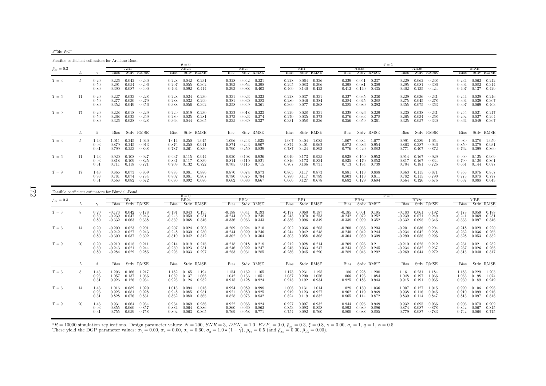P<sup> $φ$ 5fc-WC<sup>∗</sup></sup>

Feasible coefficient estimators for Arellano-Bond $\theta$  – 0 AB2a<br>Bias Stdv RMSE  $\frac{\theta}{\theta} = 1$   $\frac{\theta}{AB2c}$   $\frac{\theta}{AB2a}$  $\bar{\rho}_{x\varepsilon}=0.3$  $\epsilon = 0.3$   $I$   $\epsilon = 0.3$   $I$   $\epsilon = 0.3$   $I$   $\epsilon = 0.3$   $I$   $\epsilon = 0.3$   $I$   $\epsilon = 0.3$   $I$   $\epsilon = 0.3$   $I$   $\epsilon = 0.3$   $I$   $\epsilon = 0.3$   $I$   $\epsilon = 0.3$   $I$   $\epsilon = 0.3$   $I$   $\epsilon = 0.3$   $I$   $\epsilon = 0.3$   $I$   $\epsilon = 0.3$   $I$   $\epsilon = 0.3$   $I$   $\epsilon = 0.3$  L  $\gamma$  Bias Stdv RMSE Bias Stdv RMSE Bias Stdv RMSE Bias Stdv RMSE Bias Stdv RMSE Bias Stdv RMSE Bias Stdv RMSE $0.062$  0.242  $T=3$  $T=3$   $5$   $0.20$   $-0.226$   $0.042$   $0.230$   $-0.228$   $0.042$   $0.231$   $-0.228$   $0.042$   $0.231$   $-0.234$   $-0.236$   $-0.236$   $-0.229$   $0.061$   $0.237$   $-0.229$   $0.062$   $0.238$   $-0.234$   $0.062$   $0.238$   $-0.234$   $0.062$   $0.242$   $0$ 0.50 -0.291 0.054 0.296 -0.297 0.055 0.302 -0.293 0.054 0.298 -0.295 0.083 0.306 -0.298 0.081 0.309 -0.295 0.081 0.306 -0.304 0.082 0.314 $0.137$   $0.429$ 0.80 -0.390 0.087 0.400 -0.404 0.092 0.414 -0.393 0.088 0.403 -0.400 0.140 0.423 -0.412 0.140 0.435 -0.402 0.135 0.424 -0.407 0.137 0.429 $0.246$  $T=6$  $T=6$   $11$   $0.20$   $-0.227$   $0.023$   $0.228$   $-0.228$   $0.024$   $0.230$   $-0.231$   $0.023$   $0.232$   $-0.282$   $0.037$   $0.231$   $-0.227$   $0.035$   $0.230$   $-0.229$   $0.036$   $0.231$   $-0.244$   $0.029$   $0.246$ <br> $0.256$   $0.257$   $-0.304$   $0.$ 0.50 -0.277 0.030 0.279 -0.288 0.032 0.290 -0.281 0.030 0.283 -0.280 0.046 0.284 -0.284 0.045 0.288 -0.275 0.045 0.278 -0.304 0.039 0.307 $0.403$ 0.80 -0.352 0.049 0.356 -0.388 0.056 0.392 -0.358 0.049 0.361 -0.360 0.077 0.368 -0.385 0.080 0.393 -0.355 0.075 0.363 -0.397 0.069 0.403 $T=9$  $T=9$   $17$   $0.20$   $-0.228$   $0.018$   $0.229$   $-0.246$   $0.019$   $0.230$   $-0.232$   $0.018$   $0.233$   $-0.229$   $0.028$   $0.231$   $-0.228$   $0.026$   $0.229$   $-0.230$   $0.028$   $0.231$   $-0.246$   $0.021$   $0.247$   $0.246$   $0.021$   $0.247$ 0.50 -0.268 0.023 0.269 -0.280 0.025 0.281 -0.273 0.023 0.274 -0.270 0.035 0.272 -0.276 0.033 0.278 -0.265 0.034 0.268 -0.292 0.027 0.294 $0.049$   $0.367$ 0.80 -0.326 0.038 0.328 -0.363 0.044 0.365 -0.335 0.039 0.337 -0.331 0.058 0.336 -0.356 0.059 0.361 -0.325 0.057 0.330 -0.364 0.049 0.367 $L \qquad \qquad \beta$ Bias Stdv RMSE Bias Stdv RMSE Bias Stdv RMSE Bias Stdv RMSE Bias Stdv RMSE Bias Stdv RMSE Bias Stdv RMSE Bias Stdv RMSE 1.059  $T=3$  $T=3$  5  $1.43$   $1.011$   $0.245$   $1.040$   $1.014$   $0.250$   $1.045$   $1.006$   $0.243$   $1.035$   $1.007$   $0.404$   $1.085$   $1.007$   $0.384$   $1.077$   $0.991$   $0.389$   $1.064$   $0.989$   $0.378$   $1.059$   $0.378$   $1.059$   $0.379$   $0.931$   $0.864$  $\frac{0.879}{0.879}$   $\frac{0.245}{0.245}$   $\frac{0.913}{0.876}$   $\frac{0.250}{0.911}$   $\frac{0.914}{0.874}$   $\frac{0.243}{0.243}$   $\frac{0.907}{0.007}$   $\frac{0.874}{0.874}$   $\frac{0.401}{0.401}$   $\frac{0.92}{0.962}$   $\frac{0.872}{0.872}$   $\frac{0.386}{0.386}$   $\frac{0.$ 0.860 0.31 0.799 0.253 0.838 0.787 0.261 0.830 0.790 0.250 0.829 0.787 0.424 0.893 0.776 0.420 0.882 0.771 0.407 0.872 0.762 0.399 0.8600.909  $T=6$  $T=6$   $11$   $1.43$   $0.920$   $0.108$   $0.927$   $0.937$   $0.115$   $0.944$   $0.920$   $0.108$   $0.926$   $0.919$   $0.173$   $0.935$   $0.938$   $0.169$   $0.953$   $0.914$   $0.167$   $0.929$   $0.900$   $0.125$   $0.909$   $0.125$   $0.909$   $0.125$   $0.909$   $0.$ 0.93 0.818 0.109 0.825 0.831 0.117 0.839 0.814 0.110 0.821 0.816 0.173 0.834 0.835 0.170 0.853 0.817 0.167 0.834 0.790 0.128 0.8010.677 0.31 0.711 0.118 0.721 0.709 0.132 0.722 0.705 0.116 0.715 0.707 0.186 0.731 0.713 0.194 0.739 0.704 0.181 0.726 0.661 0.144 0.677 $T=9$  $T=9 \hspace{1cm} 17 \hspace{1cm} 1.43 \hspace{1cm} 0.866 \hspace{1cm} 0.073 \hspace{1cm} 0.869 \hspace{1cm} 0.883 \hspace{1cm} 0.081 \hspace{1cm} 0.886 \hspace{1cm} 0.870 \hspace{1cm} 0.074 \hspace{1cm} 0.873 \hspace{1cm} 0.865 \hspace{1cm} 0.117 \hspace{1cm} 0.873 \hspace{1cm} 0.881 \hspace{1cm} 0.113 \hspace{1cm} 0.888$  $\begin{array}{cccccccccccccccc} 0.93 & 0.781 & 0.074 & 0.784 & 0.802 & 0.081 & 0.807 & 0.770 & 0.076 & 0.784 & 0.780 & 0.117 & 0.789 & 0.803 & 0.113 & 0.811 & 0.782 & 0.115 & 0.790 & 0.773 & 0.078 & 0.777 & 0.773 & 0.078 & 0.777 & 0.678 & 0.662 & 0.083 & 0.667 & 0.666 &$  $0.643$ 0.31 0.668 0.082 0.672 0.680 0.092 0.686 0.662 0.083 0.667 0.666 0.127 0.678 0.682 0.129 0.694 0.664 0.126 0.676 0.637 0.088 0.643

| Feasible coefficient estimators for Blundell-Bond |    |                      |                                  |                         |                         |                                  |                         |                         |                                  |                         |                         |                                  |                         |                                   |                                  |                         |                         |                                  |                         |                         |                                  |                         |                         |
|---------------------------------------------------|----|----------------------|----------------------------------|-------------------------|-------------------------|----------------------------------|-------------------------|-------------------------|----------------------------------|-------------------------|-------------------------|----------------------------------|-------------------------|-----------------------------------|----------------------------------|-------------------------|-------------------------|----------------------------------|-------------------------|-------------------------|----------------------------------|-------------------------|-------------------------|
|                                                   |    |                      |                                  |                         |                         |                                  | $\theta = 0$            |                         |                                  |                         |                         |                                  |                         |                                   |                                  |                         |                         | $\theta = 1$                     |                         |                         |                                  |                         |                         |
| $\bar{\rho}_{x\varepsilon} = 0.3$                 |    |                      |                                  | BBI.                    |                         |                                  | BB2a                    |                         |                                  | BB2c                    |                         |                                  | BB1                     |                                   |                                  | BB2a                    |                         |                                  | BB <sub>2c</sub>        |                         |                                  | МВВ                     |                         |
|                                                   |    |                      | <b>Bias</b>                      |                         | Stdy RMSE               | <b>Bias</b>                      |                         | Stdy RMSE               | <b>Bias</b>                      |                         | Stdy RMSE               | <b>Bias</b>                      |                         | Stdy RMSE                         | <b>Bias</b>                      |                         | Stdy RMSE               | <b>Bias</b>                      |                         | Stdy RMSE               | <b>Bias</b>                      |                         | Stdy RMSE               |
| $T=3$                                             | 8  | 0.20<br>0.50<br>0.80 | $-0.173$<br>$-0.239$<br>$-0.332$ | 0.042<br>0.047<br>0.063 | 0.178<br>0.243<br>0.338 | $-0.191$<br>$-0.246$<br>$-0.339$ | 0.043<br>0.050<br>0.068 | 0.195<br>0.251<br>0.346 | $-0.188$<br>$-0.244$<br>$-0.336$ | 0.041<br>0.049<br>0.066 | 0.193<br>0.248<br>0.343 | $-0.177$<br>$-0.243$<br>$-0.336$ | 0.060<br>0.070<br>0.096 | 0.187<br>0.253<br>0.349           | $-0.185$<br>$-0.242$<br>$-0.338$ | 0.061<br>0.072<br>0.099 | 0.195<br>0.252<br>0.352 | $-0.183$<br>$-0.239$<br>$-0.332$ | 0.061<br>0.071<br>0.098 | 0.192<br>0.249<br>0.346 | $-0.178$<br>$-0.241$<br>$-0.333$ | 0.059<br>0.069<br>0.097 | 0.188<br>0.251<br>0.346 |
| $T=6$                                             | 14 | 0.20<br>0.50<br>0.80 | $-0.200$<br>$-0.242$<br>$-0.300$ | 0.023<br>0.027<br>0.037 | 0.201<br>0.243<br>0.302 | $-0.207$<br>$-0.248$<br>$-0.310$ | 0.024<br>0.030<br>0.042 | 0.208<br>0.250<br>0.312 | $-0.209$<br>$-0.244$<br>$-0.302$ | 0.024<br>0.029<br>0.040 | 0.210<br>0.246<br>0.304 | $-0.202$<br>$-0.244$<br>$-0.303$ | 0.036<br>0.042<br>0.058 | 0.205<br>0.248<br>0.308           | $-0.200$<br>$-0.240$<br>$-0.304$ | 0.035<br>0.042<br>0.059 | 0.203<br>0.244<br>0.309 | $-0.201$<br>$-0.234$<br>$-0.290$ | 0.036<br>0.042<br>0.058 | 0.204<br>0.238<br>0.296 | $-0.218$<br>$-0.262$<br>$-0.328$ | 0.029<br>0.036<br>0.053 | 0.220<br>0.265<br>0.332 |
| $T=9$                                             | 20 | 0.20<br>0.50<br>0.80 | $-0.210$<br>$-0.243$<br>$-0.284$ | 0.018<br>0.021<br>0.029 | 0.211<br>0.244<br>0.285 | $-0.214$<br>$-0.250$<br>$-0.295$ | 0.019<br>0.023<br>0.033 | 0.215<br>0.251<br>0.297 | $-0.218$<br>$-0.246$<br>$-0.283$ | 0.018<br>0.022<br>0.031 | 0.218<br>0.247<br>0.285 | $-0.212$<br>$-0.245$<br>$-0.286$ | 0.028<br>0.033<br>0.045 | 0.214<br>0.247<br>0.290           | $-0.209$<br>$-0.243$<br>$-0.289$ | 0.026<br>0.032<br>0.045 | 0.211<br>0.245<br>0.292 | $-0.210$<br>$-0.234$<br>$-0.269$ | 0.028<br>0.032<br>0.044 | 0.212<br>0.237<br>0.272 | $-0.231$<br>$-0.267$<br>$-0.315$ | 0.021<br>0.026<br>0.040 | 0.232<br>0.268<br>0.317 |
|                                                   |    | $\beta$              | Bias                             |                         | Stdv RMSE               |                                  |                         | Bias Stdy RMSE          |                                  |                         | Bias Stdy RMSE          | Bias                             |                         | Stdy RMSE                         |                                  |                         | Bias Stdy RMSE          |                                  | Bias Stdy RMSE          |                         | Bias                             |                         | Stdy RMSE               |
| $T=3$                                             |    | 1.43<br>0.93<br>0.31 | 1.206<br>1.057<br>0.926          | 0.166<br>0.137<br>0.126 | 1.217<br>1.066<br>0.934 | 1.182<br>1.059<br>0.923          | 0.165<br>0.137<br>0.126 | 1.194<br>1.068<br>0.932 | 1.154<br>1.042<br>0.915          | 0.162<br>0.136<br>0.128 | 1.165<br>1.051<br>0.924 | 1.173<br>1.037<br>0.913          | 0.231<br>0.200<br>0.192 | 1.195<br>1.056<br>0.934           | 1.186<br>1.066<br>0.925          | 0.228<br>0.193<br>0.186 | 1.208<br>1.084<br>0.943 | 1.161<br>1.048<br>0.915          | 0.231<br>0.197<br>0.191 | 1.184<br>1.066<br>0.935 | 1.183<br>1.056<br>0.930          | 0.229<br>0.198<br>0.189 | 1.205<br>1.074<br>0.949 |
| $T=6$                                             | 14 | 1.43<br>0.93<br>0.31 | 1.016<br>0.925<br>0.828          | 0.089<br>0.081<br>0.076 | 1.020<br>0.928<br>0.831 | 1.013<br>0.948<br>0.862          | 0.094<br>0.085<br>0.080 | 1.018<br>0.951<br>0.865 | 0.994<br>0.921<br>0.828          | 0.089<br>0.080<br>0.075 | 0.998<br>0.925<br>0.832 | 1.006<br>0.919<br>0.824          | 0.123<br>0.119          | $0.131$ $1.014$<br>0.927<br>0.832 | 1.028<br>0.962<br>0.865          | 0.130<br>0.119<br>0.114 | 1.036<br>0.969<br>0.872 | 1.007<br>0.938<br>0.839          | 0.127<br>0.116<br>0.114 | 1.015<br>0.945<br>0.847 | 0.990<br>0.910<br>0.813          | 0.106<br>0.099<br>0.097 | 0.996<br>0.916<br>0.818 |
| $T=9$                                             | 20 | 1.43<br>0.93<br>0.31 | 0.931<br>0.855<br>0.755          | 0.064<br>0.060<br>0.059 | 0.934<br>0.857<br>0.758 | 0.934<br>0.884<br>0.802          | 0.069<br>0.064<br>0.063 | 0.936<br>0.886<br>0.805 | 0.922<br>0.860<br>0.769          | 0.065<br>0.060<br>0.058 | 0.924<br>0.862<br>0.771 | 0.927<br>0.853<br>0.754          | 0.097<br>0.093<br>0.092 | 0.932<br>0.858<br>0.760           | 0.944<br>0.892<br>0.800          | 0.095<br>0.089<br>0.088 | 0.949<br>0.896<br>0.805 | 0.932<br>0.874<br>0.779          | 0.095<br>0.087<br>0.087 | 0.936<br>0.878<br>0.783 | 0.906<br>0.842<br>0.742          | 0.070<br>0.067<br>0.068 | 0.909<br>0.845<br>0.745 |

 ${}^*R = 10000$  simulation replications. Design parameter values:  $N = 200$ ,  $SNR = 3$ ,  $DEN_y = 1.0$ ,  $EVF_x = 0.0$ ,  $\bar{p}_{xz} = 0.3$ ,  $\xi = 0.8$ ,  $\kappa = 0.00$ ,  $\sigma_{\varepsilon} = 1$ ,  $q = 1$ ,  $\phi = 0.5$ .<br>These yield the DGP parameter values:  $\pi$  $*R = 10000$  simulation replications. Design parameter values:  $N = 200$ ,  $SNR = 3$ ,  $DEN_y = 1.0$ ,  $EVF_x = 0.0$ ,  $\bar{\rho}_{xz} = 0.3$ ,  $\xi = 0.8$ , These yield the DGP parameter values:  $\pi_{\lambda} = 0.00$ ,  $\pi_{\eta} = 0.00$ ,  $\sigma_v = 0.60$ ,  $\sigma_{\eta}$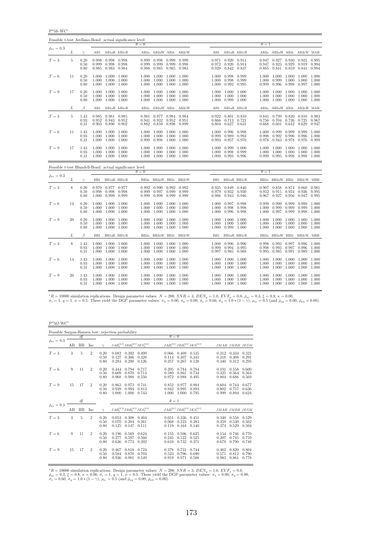$P^{\phi}$ 5ft-WC $^*$ 

| Feasible t-test Arellano-Bond: actual significance level |    |                      |                   |                                                       |                            |                         |                                                       |                |                         |                         |                                                       |                         |                         |                                                                                         |                         |                                           |                |
|----------------------------------------------------------|----|----------------------|-------------------|-------------------------------------------------------|----------------------------|-------------------------|-------------------------------------------------------|----------------|-------------------------|-------------------------|-------------------------------------------------------|-------------------------|-------------------------|-----------------------------------------------------------------------------------------|-------------------------|-------------------------------------------|----------------|
| $\bar{\rho}_{x\varepsilon}=0.3$                          |    |                      |                   |                                                       |                            | $\theta = 0$            |                                                       |                |                         |                         |                                                       |                         | $\theta=1$              |                                                                                         |                         |                                           |                |
|                                                          | L  | $\gamma$             |                   |                                                       | AB1 AB1aR AB1cR            |                         |                                                       |                | AB2a AB2aW AB2c AB2cW   |                         | AB1 AB1aR AB1cR                                       |                         |                         | AB2a AB2aW AB2c AB2cW MAB                                                               |                         |                                           |                |
| $T=3$                                                    | 5  | 0.20<br>0.50<br>0.80 | 0.999<br>0.985    | 0.998 0.998 0.998                                     | 0.998 0.998<br>0.983 0.984 | 0.999<br>0.999<br>0.988 | $0.998$ 0.999 0.999<br>0.999<br>0.985                 | 0.999<br>0.985 | 0.998<br>0.983          | 0.972<br>0.929          | 0.971 0.920 0.911<br>0.920 0.914<br>0.842 0.837       |                         | 0.947<br>0.885          | $0.947$ $0.927$ $0.930$ $0.921$ $0.995$<br>0.923<br>0.841 0.859                         | 0.929                   | 0.919 0.994<br>0.841 0.984                |                |
| $T=6$                                                    | 11 | 0.20<br>0.50<br>0.80 | 1.000<br>1.000    | 1.000 1.000 1.000<br>1.000 1.000                      | 1.000 1.000                | 1.000<br>1.000<br>1.000 | 1.000 1.000 1.000<br>1.000<br>1.000                   | 1.000<br>1.000 | 1.000<br>1.000          | 1.000<br>1.000<br>1.000 | 0.998<br>0.998<br>0.992                               | 0.999<br>0.999<br>0.995 | 1.000<br>0.999          | 1.000 1.000 1.000<br>0.999<br>0.996                                                     | 1.000<br>0.998          | 1.000 1.000<br>1.000 1.000<br>0.997 1.000 |                |
| $T=9$                                                    | 17 | 0.20<br>0.50<br>0.80 | 1.000             | 1.000 1.000 1.000<br>1.000 1.000<br>1.000 1.000 1.000 |                            | 1.000<br>1.000          | 1.000 1.000 1.000<br>1.000<br>1.000 1.000 1.000 1.000 | 1.000          | 1.000                   | 1.000                   | 1.000 1.000 1.000<br>1.000 1.000<br>1.000 0.999 1.000 |                         | 1.000                   | 1.000 1.000 1.000 1.000 1.000<br>1.000 1.000<br>1.000 1.000 1.000 1.000 1.000           |                         | 1.000 1.000                               |                |
|                                                          | L  | $\beta$              | AB1               |                                                       | AB1aR AB1cR                |                         |                                                       |                | AB2a AB2aW AB2c AB2cW   | AB1                     | AB1aR AB1cR                                           |                         |                         | AB2a AB2aW AB2c AB2cW MAB                                                               |                         |                                           |                |
| $T=3$                                                    | 5  | 1.43<br>0.93<br>0.31 | 0.952<br>0.903    | 0.985 0.981 0.985<br>0.943 0.952<br>0.890 0.902       |                            | 0.981<br>0.941<br>0.882 | 0.977 0.984 0.984<br>0.932<br>0.859                   | 0.952<br>0.898 | 0.951<br>0.899          | 0.866                   | 0.922 0.801 0.810<br>$0.713$ $0.721$<br>0.804 0.627   | 0.631                   | 0.756<br>0.668          | 0.841 0.799 0.820<br>0.704 0.736<br>0.601 0.642                                         |                         | 0.810 0.983<br>0.725 0.967<br>0.629       | 0.947          |
| $T=6$                                                    | 11 | 1.43<br>0.93<br>0.31 | 1.000             | 1.000 1.000 1.000<br>1.000 1.000<br>1.000 1.000 1.000 |                            | 1.000<br>1.000<br>0.999 | 1.000 1.000 1.000<br>1.000<br>0.998 1.000 1.000       | 1.000          | 1.000                   | 0.999                   | 1.000 0.996 0.998<br>0.989<br>0.993 0.957 0.970       | 0.993                   | 1.000<br>0.998<br>0.978 | 0.999<br>0.992<br>0.943 0.978                                                           | 0.999<br>0.996          | 0.999 1.000<br>0.996<br>0.976 0.999       | 1.000          |
| $T=9$                                                    | 17 | 1.43<br>0.93<br>0.31 | 1.000             | 1.000 1.000 1.000<br>1.000 1.000<br>1.000 1.000 1.000 |                            | 1.000<br>1.000          | 1.000 1.000<br>1.000<br>1.000 1.000 1.000             | 1.000          | 1.000<br>1.000<br>1.000 | 1.000                   | 0.999<br>1.000 0.998<br>1.000 0.993 0.996             | 1.000<br>0.999          | 1.000<br>1.000          | 1.000<br>1.000<br>0.999 0.995 0.998                                                     | 1.000<br>1.000          | 1.000 1.000<br>1.000<br>0.998             | 1.000<br>1.000 |
| Feasible t-test Blundell-Bond: actual significance level |    |                      |                   |                                                       |                            | $\theta = 0$            |                                                       |                |                         |                         |                                                       |                         | $\theta = 1$            |                                                                                         |                         |                                           |                |
| $\bar{\rho}_{x\varepsilon}=0.3$                          | L  | $\gamma$             |                   |                                                       | BB1 BB1aR BB1cR            |                         |                                                       |                | BB2a BB2aW BB2c BB2cW   | BB1                     | BB1aR BB1cR                                           |                         |                         | BB2a BB2aW BB2c BB2cW MBB                                                               |                         |                                           |                |
| $T=3$                                                    | 8  | 0.20<br>0.50<br>0.80 | 0.998<br>1.000    | 0.979 0.977 0.977                                     | 0.998 0.998<br>0.999 0.999 | 0.992<br>0.999<br>0.999 | 0.990 0.992 0.992<br>0.997<br>0.998                   | 0.999<br>0.999 | 0.999<br>0.999          | 0.979<br>0.986          | 0.935 0.849 0.840<br>0.932 0.930<br>0.943             |                         | 0.952                   | 0.907 0.858 0.874 0.860 0.981<br>0.915                                                  | 0.934<br>0.956          | 0.926<br>0.947                            | 0.995<br>0.995 |
| $T=6$                                                    | 14 | 0.20<br>0.50         | 1.000 1.000 1.000 |                                                       |                            |                         |                                                       |                |                         |                         |                                                       | 0.946                   |                         | $0.967$ 0.927                                                                           |                         |                                           |                |
|                                                          |    | 0.80                 | 1.000<br>1.000    | 1.000 1.000<br>1.000 1.000                            |                            | 1.000<br>1.000<br>1.000 | 1.000 1.000 1.000<br>1.000<br>1.000                   | 1.000<br>1.000 | 1.000<br>1.000          | 1.000<br>1.000<br>1.000 | 0.997 0.998<br>0.998<br>0.996 0.998                   | 0.998                   | 1.000<br>1.000          | 0.999 0.999<br>0.999<br>0.997                                                           | 0.999<br>0.999<br>0.999 | 0.999 1.000<br>0.999 1.000<br>0.998       | 1.000          |
| $T=9$                                                    | 20 | 0.20<br>0.50<br>0.80 | 1.000             | 1.000 1.000 1.000<br>1.000 1.000<br>1.000 1.000 1.000 |                            | 1.000<br>1.000          | 1.000 1.000 1.000<br>1.000<br>1.000 1.000 1.000 1.000 | 1.000          | 1.000                   | 1.000                   | 1.000 1.000 1.000<br>1.000 1.000<br>1.000 0.999 1.000 |                         | 1.000                   | 1.000 1.000 1.000 1.000 1.000<br>1.000 1.000<br>$1.000$ $1.000$ $1.000$ $1.000$ $1.000$ |                         | 1.000 1.000                               |                |
|                                                          | L  | $\beta$              | BB1               | BB1aR BB1cR                                           |                            |                         |                                                       |                | BB2a BB2aW BB2c BB2cW   | BB1                     | BB1aR BB1cR                                           |                         | BB <sub>2a</sub>        | BB2aW BB2c                                                                              |                         | BB2cW MBB                                 |                |
| $T=3$                                                    | 8  | 1.43<br>0.93<br>0.31 | 1.000             | 1.000 1.000 1.000<br>1.000 1.000 1.000<br>1.000 1.000 |                            | 1.000<br>1.000<br>1.000 | 1.000 1.000 1.000<br>1.000 1.000<br>1.000 1.000       |                | 1.000<br>1.000          | 1.000<br>0.999          | 0.996 0.996<br>0.994 0.995<br>0.997 0.985 0.988       |                         | 0.998<br>0.998<br>0.995 | 0.993 0.997 0.996 1.000<br>0.993<br>0.985                                               | 0.997                   | 0.996 1.000<br>$0.991$ $0.989$ $1.000$    |                |
| $T=6$                                                    | 14 | 1.43<br>0.93<br>0.31 | 1.000             | 1.000 1.000 1.000<br>1.000 1.000 1.000                | 1.000 1.000                | 1.000<br>1.000          | 1.000 1.000 1.000<br>1.000<br>1.000 1.000 1.000 1.000 | 1.000          | 1.000                   | 1.000                   | 1.000 1.000 1.000<br>1.000 1.000<br>1.000 1.000 1.000 |                         | 1.000<br>1.000          | 1.000 1.000 1.000 1.000<br>1.000<br>1.000 1.000 1.000 1.000 1.000                       | 1.000                   | 1.000                                     | 1.000          |

 ${}^{*}R = 10000$  simulation replications. Design parameter values:  $N = 200$ ,  $SNR = 3$ ,  $DEN_y = 1.0$ ,  $EVF_x = 0.0$ ,  $E_{x\bar{x}} = 0.3$ ,  $\xi = 0.8$ ,  $\kappa = 0.00$ ,<br> $\sigma_x = 1$ ,  $q = 1$ ,  $\phi = 0.5$ . These yield the DGP parameter values:  $\pi_{\lambda}$ 

| $P^{\phi}5fJ-WC^*$              |    |    |                |                      |                                                                               |                                                                               |                                                                               |
|---------------------------------|----|----|----------------|----------------------|-------------------------------------------------------------------------------|-------------------------------------------------------------------------------|-------------------------------------------------------------------------------|
|                                 |    |    |                |                      | Feasible Sargan-Hansen test: rejection probability                            |                                                                               |                                                                               |
|                                 |    | df |                |                      |                                                                               | $\theta = 0$                                                                  |                                                                               |
| $\bar{\rho}_{x\varepsilon}=0.3$ | AВ | BB | Inc            | $\sim$               | $JAB_a^{(2,1)}JBB_a^{(2,1)}JES_a^{(2,1)}$                                     | $JAB_c^{(2,1)}JBB_c^{(2,1)}JES_c^{(2,1)}$                                     | JMAB JMBB JESM                                                                |
| $T=3$                           | 3  | 5  | $\overline{2}$ | 0.20<br>0.50<br>0.80 | 0.082<br>0.392<br>0.499<br>0.127<br>0.306<br>0.328<br>0.283<br>0.290<br>0.126 | 0.409<br>0.535<br>0.066<br>0.114<br>0.307<br>0.341<br>0.257<br>0.267<br>0.128 | 0.312<br>0.334<br>0.321<br>0.318<br>0.308<br>0.291<br>0.312<br>0.295<br>0.340 |
| $T=6$                           | 9  | 11 | $\overline{2}$ | 0.20<br>0.50<br>0.80 | 0.794<br>0.717<br>0.444<br>0.870<br>0.609<br>0.714<br>0.968<br>0.988<br>0.550 | 0.395<br>0.784<br>0.784<br>0.580<br>0.861<br>0.734<br>0.972<br>0.988<br>0.495 | 0.558<br>0.600<br>0.191<br>0.325<br>0.564<br>0.564<br>0.804<br>0.686<br>0.569 |
| $T=9$                           | 15 | 17 | $\overline{2}$ | 0.20<br>0.50<br>0.80 | 0.863<br>0.973<br>0.741<br>0.939<br>0.994<br>0.813<br>1.000<br>1.000<br>0.743 | 0.977<br>0.884<br>0.852<br>0.942<br>0.995<br>0.893<br>1.000<br>1.000<br>0.795 | 0.604<br>0.744<br>0.677<br>0.802<br>0.757<br>0.636<br>0.894<br>0.999<br>0.624 |
|                                 |    | df |                |                      |                                                                               | $\theta=1$                                                                    |                                                                               |
| $\bar{\rho}_{x\varepsilon}=0.3$ | AВ | BB | Inc            | $\gamma$             | $JAB_a^{(2,1)}JBB_a^{(2,1)}JES_a^{(2,1)}$                                     | $JAB_c^{(2,1)}JBB_c^{(2,1)}JES_c^{(2,1)}$                                     | JMAB JMBB JESM                                                                |
| $T=3$                           | 3  | 5  | $\overline{2}$ | 0.20<br>0.50<br>0.80 | 0.053<br>0.308<br>0.404<br>0.070<br>0.204<br>0.261<br>0.125<br>0.147<br>0.111 | 0.336<br>0.451<br>0.051<br>0.223<br>0.068<br>0.283<br>0.119<br>0.164<br>0.140 | 0.340<br>0.558<br>0.529<br>0.359<br>0.530<br>0.502<br>0.529<br>0.374<br>0.504 |
| $T=6$                           | 9  | 11 | $\overline{2}$ | 0.20<br>0.50<br>0.80 | 0.190<br>0.569<br>0.624<br>0.277<br>0.597<br>0.560<br>0.636<br>0.773<br>0.392 | 0.506<br>0.155<br>0.625<br>0.522<br>0.245<br>0.525<br>0.732<br>0.610<br>0.371 | 0.770<br>0.154<br>0.746<br>0.207<br>0.745<br>0.759<br>0.790<br>0.678<br>0.748 |
| $T=9$                           | 15 | 17 | $\overline{2}$ | 0.20<br>0.50<br>0.80 | 0.467<br>0.818<br>0.724<br>0.584<br>0.870<br>0.703<br>0.936<br>0.981<br>0.549 | 0.378<br>0.731<br>0.744<br>0.523<br>0.796<br>0.690<br>0.919<br>0.971<br>0.588 | 0.462<br>0.820<br>0.804<br>0.571<br>0.812<br>0.790<br>0.983<br>0.861<br>0.778 |

 ${}^*R = 10000$  simulation replications. Design parameter values:  $N = 200$ ,  $SNR = 3$ ,  $DEN_y = 1.0$ ,  $EVF_x = 0.0$ ,  $\bar{\rho}_{xe} = 0.3$ ,  $\xi = 0.8$ ,  $\kappa = 0.00$ ,  $\sigma_e = 1$ ,  $q = 1$ ,  $\phi = 0.5$ . These yield the DGP parameter values:  $\pi_{\lambda} =$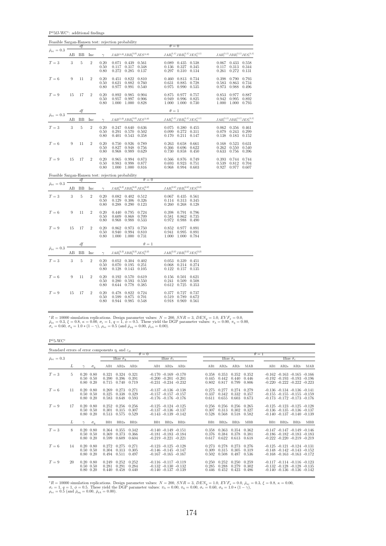$\mathbf{P}^{\phi}5\mathbf{f}\mathbf{J}\text{-}\mathbf{W}\mathbf{C}^*$ : additional findings

|                                 |                  |                |                |                          | Feasible Sargan-Hansen test: rejection probability                            |                                                                                                                                                         |                                                                               |
|---------------------------------|------------------|----------------|----------------|--------------------------|-------------------------------------------------------------------------------|---------------------------------------------------------------------------------------------------------------------------------------------------------|-------------------------------------------------------------------------------|
| $\bar{\rho}_{x\varepsilon}=0.3$ |                  | df             |                |                          |                                                                               | $\theta = 0$                                                                                                                                            |                                                                               |
|                                 | AВ               | BB             | Inc            | $\gamma$                 | $JAB^{(1,0)}JBB^{(1,0)}_aJES^{(1,0)}$                                         | $JAB_a^{(1,1)}JBB_a^{(1,1)}JES_a^{(1,1)}$                                                                                                               | $JAB_c^{(1,1)}JBB_c^{(1,1)}JES_c^{(1,1)}$                                     |
| $T=3$                           | $\sqrt{3}$       | $\overline{5}$ | $\overline{2}$ | 0.20<br>0.50<br>0.80     | 0.071<br>0.439 0.561<br>0.317<br>0.348<br>0.117<br>0.272<br>0.285<br>0.137    | 0.089<br>0.435<br>0.538<br>0.136<br>0.327<br>0.345<br>0.297<br>0.310<br>0.134                                                                           | $0.067$ 0.433<br>0.558<br>0.313<br>0.344<br>0.117<br>0.261<br>0.272<br>0.131  |
| $T=6$                           | 9                | 11             | $\overline{2}$ | 0.20<br>0.50<br>0.80     | 0.822<br>0.810<br>0.451<br>0.621<br>0.882<br>0.760<br>0.977<br>0.991<br>0.540 | 0.813<br>0.460<br>0.734<br>0.728<br>0.631<br>0.885<br>0.975<br>0.990<br>0.535                                                                           | 0.790<br>0.793<br>0.398<br>0.583<br>0.863<br>0.734<br>0.973<br>0.988<br>0.496 |
| $T=9$                           | 15               | 17             | $\overline{2}$ | 0.20<br>0.50<br>0.80     | 0.892<br>0.985<br>0.904<br>0.997<br>0.906<br>0.957<br>1.000<br>1.000 0.828    | 0.875<br>0.977<br>0.757<br>0.949<br>0.825<br>0.996<br>1.000<br>1.000 0.730                                                                              | 0.977<br>0.887<br>0.853<br>$0.942$ 0.995<br>0.892<br>1.000<br>1.000<br>0.793  |
| $\bar{\rho}_{x\varepsilon}=0.3$ |                  | $\sqrt{df}$    |                |                          |                                                                               | $\theta = 1$                                                                                                                                            |                                                                               |
|                                 | AB               | BB             | Inc            | $\gamma$                 |                                                                               | $JAB^{(1,0)}JBB^{(1,0)}_aJES^{(1,0)}\\ \hspace*{2.5in} JAB^{(1,1)}_aJBB^{(1,1)}_aJES^{(1,1)}_a \hspace*{2.5in} JAB^{(1,1)}_cJBB^{(1,1)}_cJES^{(1,1)}_c$ |                                                                               |
| $T=3$                           | $\boldsymbol{3}$ | $\overline{5}$ | $\overline{2}$ | 0.20<br>0.50<br>0.80     | 0.247<br>0.640 0.636<br>0.291<br>0.570<br>0.502<br>0.543<br>0.401<br>0.358    | 0.075<br>0.380<br>0.455<br>0.099<br>0.272<br>0.311<br>0.170<br>0.211<br>0.147                                                                           | 0.062<br>0.356<br>0.461<br>0.079<br>0.299<br>0.243<br>0.183<br>0.138<br>0.152 |
| $T=6$                           | 9                | 11             | $\overline{2}$ | 0.20<br>0.50<br>0.80     | 0.926<br>0.789<br>0.750<br>0.827<br>0.948<br>0.756<br>0.968<br>0.989<br>0.629 | 0.658<br>0.263<br>0.661<br>0.366<br>0.622<br>0.696<br>0.730<br>0.858<br>$0.450\,$                                                                       | 0.168<br>0.523<br>0.631<br>0.262<br>0.540<br>0.550<br>0.633<br>0.756<br>0.396 |
| $T=9$                           | 15               | 17             | $\overline{2}$ | 0.20<br>0.50<br>0.80     | 0.965<br>0.994<br>0.873<br>0.877<br>0.983<br>0.998<br>0.816<br>1.000<br>1.000 | 0.566<br>0.876<br>0.749<br>0.693<br>0.751<br>0.923<br>0.968<br>0.994<br>0.603                                                                           | 0.393<br>0.744<br>0.744<br>0.539<br>0.812<br>0.704<br>0.927 0.977<br>0.607    |
|                                 |                  |                |                |                          | Feasible Sargan-Hansen test: rejection probability<br>$\theta = 0$            |                                                                                                                                                         |                                                                               |
| $\bar{\rho}_{x\varepsilon}=0.3$ | AВ               | df<br>BB       | Inc            | $\gamma$                 | $JAB_a^{(2,2)}JBB_a^{(2,2)}JES_a^{(2,2)}$                                     | $JAB_c^{(2,2)}JBB_c^{(2,2)}JES_c^{(2,2)}$                                                                                                               |                                                                               |
| $T=3$                           | 3                | $\bf 5$        | $\overline{2}$ | 0.20<br>0.50<br>0.80     | $0.082$ $0.402$ $0.512$<br>0.326<br>0.129<br>0.306<br>0.288<br>0.290<br>0.123 | 0.067<br>0.435 0.561<br>0.114<br>0.313<br>0.345<br>0.260<br>0.268<br>0.128                                                                              |                                                                               |
| $T=6$                           | 9                | 11             | $\overline{2}$ | 0.20<br>0.50<br>0.80     | 0.440<br>0.795<br>0.724<br>0.709<br>0.609<br>0.868<br>0.988<br>0.533<br>0.968 | 0.398<br>0.791<br>0.796<br>0.581<br>0.862<br>0.735<br>0.972<br>0.988<br>0.490                                                                           |                                                                               |
| $T=9$                           | 15               | 17             | $\overline{2}$ | $0.20\,$<br>0.50<br>0.80 | 0.862<br>0.973<br>0.750<br>0.810<br>0.940<br>0.994<br>1.000 1.000 0.731       | $\begin{array}{c} 0.852 \\ 0.941 \end{array}$<br>0.977<br>0.891<br>0.995<br>0.891<br>1.000<br>1.000 0.784                                               |                                                                               |
| $\bar{\rho}_{x\varepsilon}=0.3$ |                  | df             |                |                          | $\theta = 1$                                                                  |                                                                                                                                                         |                                                                               |
|                                 | AB               | BB             | Inc            | $\gamma$                 | $JAB_a^{(2,2)}JBB_a^{(2,2)}JES_a^{(2,2)}$                                     | $JAB_c^{(2,2)}JBB_c^{(2,2)}JES_c^{(2,2)}$                                                                                                               |                                                                               |
| $T=3$                           | 3                | $\overline{5}$ | $\overline{2}$ | 0.20<br>0.50<br>0.80     | $0.052$ $0.304$ $0.402$<br>0.251<br>0.195<br>0.070<br>0.128<br>0.143<br>0.105 | 0.339 0.451<br>0.053<br>$\begin{array}{c} 0.068 \\ 0.122 \end{array}$<br>0.214<br>0.274<br>0.157<br>0.135                                               |                                                                               |
| $T=6$                           | 9                | 11             | $\overline{2}$ | 0.20<br>0.50<br>0.80     | 0.192<br>0.570<br>0.619<br>0.550<br>0.280<br>0.593<br>0.644<br>0.778<br>0.385 | 0.156<br>0.501<br>0.621<br>0.241<br>0.509<br>0.508<br>0.612<br>0.725<br>0.353                                                                           |                                                                               |
| $T=9$                           | 15               | 17             | $\overline{2}$ | 0.20<br>0.50<br>0.80     | 0.478<br>0.822<br>0.724<br>0.701<br>0.599<br>0.875<br>0.548<br>0.944<br>0.985 | 0.377<br>0.727<br>0.737<br>0.519<br>0.789<br>0.672<br>0.918<br>0.969 0.561                                                                              |                                                                               |

\*R = 10000 simulation replications. Design parameter values:  $N = 200$ ,  $SNR = 3$ ,  $DEN_y = 1.0$ ,  $EVF_x = 0.0$ ,  $\bar{\rho}_{xe} = 0.3$ ,  $\xi = 0.8$ ,  $\kappa = 0.00$ ,  $\sigma_e = 1$ ,  $q = 1$ ,  $\phi = 0.5$ . These yield the DGP parameter values:  $\pi_{\lambda} = 0.$ 

 $P^{\phi}$ 5-WC $^*$ 

| Standard errors of error components $\eta_i$ and $\varepsilon_{it}$ |    |                                                        |            |                         |                         |                         |              |                                                                                    |      |  |                         |                         |                         |                         |              |                                                                                                                   |                       |     |
|---------------------------------------------------------------------|----|--------------------------------------------------------|------------|-------------------------|-------------------------|-------------------------|--------------|------------------------------------------------------------------------------------|------|--|-------------------------|-------------------------|-------------------------|-------------------------|--------------|-------------------------------------------------------------------------------------------------------------------|-----------------------|-----|
|                                                                     |    |                                                        |            |                         |                         |                         | $\theta = 0$ |                                                                                    |      |  |                         |                         |                         |                         | $\theta = 1$ |                                                                                                                   |                       |     |
| $\bar{\rho}_{x\varepsilon}=0.3$                                     |    |                                                        |            |                         | Bias $\tilde{\sigma}_n$ |                         |              | Bias $\hat{\sigma}_{\varepsilon}$                                                  |      |  |                         | Bias $\hat{\sigma}_n$   |                         |                         |              |                                                                                                                   | Bias $\hat{\sigma}_e$ |     |
|                                                                     | L  |                                                        | $\sigma_n$ | AB1                     | AB2a                    | AB2c                    | AB1          | AB2a                                                                               | AB2c |  | AB1                     | AB2a                    | AB2c                    | MAB                     | AB1          | AB2a                                                                                                              | AB2c                  | MAB |
| $T=3$                                                               | 5. | $0.20\ 0.80$<br>$0.50 \quad 0.50$<br>$0.80 \quad 0.20$ |            | 0.321<br>0.390<br>0.715 | 0.324<br>0.396<br>0.740 | 0.321<br>0.391<br>0.719 |              | $-0.170 - 0.169 - 0.170$<br>$-0.200 - 0.201 - 0.201$<br>$-0.231 - 0.234 - 0.232$   |      |  | 0.358<br>0.445<br>0.802 | 0.353<br>0.442<br>0.817 | 0.352<br>0.440<br>0.799 | 0.352<br>0.446<br>0.806 |              | $-0.162$ $-0.163$ $-0.165$ $-0.166$<br>$-0.192$ $-0.193$ $-0.193$ $-0.196$<br>$-0.220$ $-0.222$ $-0.222$ $-0.223$ |                       |     |
| $T=6$                                                               | 11 | $0.20\ 0.80$<br>$0.50 \quad 0.50$<br>$0.80 \quad 0.20$ |            | 0.269<br>0.325<br>0.583 | 0.273<br>0.338<br>0.648 | 0.271<br>0.329<br>0.593 |              | $-0.137 - 0.136 - 0.138$<br>$-0.157 - 0.157 - 0.157$<br>$-0.176$ $-0.176$ $-0.176$ |      |  | 0.275<br>0.337<br>0.611 | 0.277<br>0.342<br>0.655 | 0.274<br>0.332<br>0.603 | 0.279<br>0.357<br>0.673 |              | $-0.136$ $-0.134$ $-0.136$ $-0.141$<br>$-0.155 - 0.155 - 0.155 - 0.159$<br>$-0.173$ $-0.172$ $-0.173$ $-0.176$    |                       |     |
| $T=9$                                                               | 17 | $0.20\ 0.80$<br>$0.50 \quad 0.50$<br>$0.80\ 0.20$      |            | 0.252<br>0.301<br>0.513 | 0.256<br>0.315<br>0.575 | 0.256<br>0.307<br>0.529 |              | $-0.125 - 0.124 - 0.125$<br>$-0.137 - 0.136 - 0.137$<br>$-0.143 - 0.139 - 0.142$   |      |  | 0.256<br>0.307<br>0.528 | 0.256<br>0.313<br>0.568 | 0.256<br>0.302<br>0.518 | 0.265<br>0.327<br>0.582 |              | $-0.125 - 0.123 - 0.125 - 0.128$<br>$-0.136$ $-0.135$ $-0.136$ $-0.137$<br>$-0.140 -0.137 -0.140 -0.139$          |                       |     |
|                                                                     | L  |                                                        | $\sigma_n$ | B <sub>B1</sub>         | BB <sub>2a</sub>        | BB2c                    | BB1          | BB <sub>2a</sub>                                                                   | BB2c |  | B <sub>B1</sub>         | BB <sub>2a</sub>        | BB <sub>2c</sub>        | <b>MBB</b>              | BB1          | BB <sub>2a</sub>                                                                                                  | BB <sub>2c</sub>      | MBB |
| $T = 3$                                                             | 8  | $0.20\ 0.80$<br>$0.50 \quad 0.50$<br>$0.80 \quad 0.20$ |            | 0.364<br>0.369<br>0.599 | 0.355<br>0.373<br>0.609 | 0.342<br>0.366<br>0.604 |              | $-0.140 - 0.149 - 0.151$<br>$-0.181 - 0.183 - 0.184$<br>$-0.219 - 0.221 - 0.221$   |      |  | 0.358<br>0.376<br>0.617 | 0.363<br>0.384<br>0.622 | 0.354<br>0.378<br>0.613 | 0.362<br>0.381<br>0.618 |              | $-0.147$ $-0.147$ $-0.149$ $-0.146$<br>$-0.186$ $-0.182$ $-0.183$ $-0.183$<br>$-0.222 - 0.220 - 0.219 - 0.219$    |                       |     |
| $T=6$                                                               | 14 | $0.20\ 0.80$<br>$0.50 \quad 0.50$<br>$0.80\ 0.20$      |            | 0.272<br>0.304<br>0.494 | 0.275<br>0.313<br>0.511 | 0.271<br>0.305<br>0.497 |              | $-0.123 - 0.125 - 0.128$<br>$-0.146$ $-0.145$ $-0.147$<br>$-0.167 - 0.165 - 0.167$ |      |  | 0.273<br>0.309<br>0.502 | 0.278<br>0.315<br>0.508 | 0.273<br>0.305<br>0.487 | 0.276<br>0.319<br>0.536 |              | $-0.125 - 0.121 - 0.124 - 0.131$<br>$-0.148$ $-0.142$ $-0.143$ $-0.152$<br>$-0.168$ $-0.163$ $-0.163$ $-0.172$    |                       |     |
| $T=9$                                                               | 20 | $0.20\ 0.80$<br>$0.50 \quad 0.50$<br>$0.80\ 0.20$      |            | 0.249<br>0.281<br>0.440 | 0.252<br>0.291<br>0.458 | 0.252<br>0.284<br>0.440 |              | $-0.116$ $-0.117$ $-0.119$<br>$-0.132 - 0.130 - 0.132$<br>$-0.140 - 0.137 - 0.139$ |      |  | 0.250<br>0.285<br>0.446 | 0.252<br>0.288<br>0.452 | 0.250<br>0.279<br>0.423 | 0.259<br>0.302<br>0.486 |              | $-0.117 - 0.114 - 0.116 - 0.123$<br>$-0.132 -0.128 -0.128 -0.135$<br>$-0.140 - 0.136 - 0.136 - 0.142$             |                       |     |

 ${}^*R = 10000$  simulation replications. Design parameter values:  $N = 200$ ,  $SNR = 3$ ,  $DEN_y = 1.0$ ,  $EVF_x = 0.0$ ,  $\bar{\rho}_{x\bar{x}} = 0.3$ ,  $\xi = 0.8$ ,  $\kappa = 0.00$ ,<br>  $\sigma_{\varepsilon} = 1$ ,  $q = 1$ ,  $\phi = 0.5$ . These yield the DGP parameter values: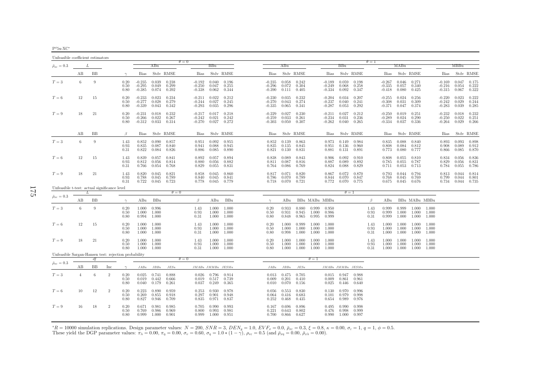| '511- X ( |  |
|-----------|--|

| Unfeasible coefficient estimators                    |                |               |                |                      |                                  |                         |                         |                                  |                               |                                       |                                  |             |                                   |                         |                         |                                        |                                       |                         |                      |                                  |                         |                         |                                       |                                  |                                  |                         |
|------------------------------------------------------|----------------|---------------|----------------|----------------------|----------------------------------|-------------------------|-------------------------|----------------------------------|-------------------------------|---------------------------------------|----------------------------------|-------------|-----------------------------------|-------------------------|-------------------------|----------------------------------------|---------------------------------------|-------------------------|----------------------|----------------------------------|-------------------------|-------------------------|---------------------------------------|----------------------------------|----------------------------------|-------------------------|
| $\bar{\rho}_{x\varepsilon}=0.3$                      | L              |               |                |                      |                                  | ABu                     |                         | $\theta = 0$                     | BBu                           |                                       |                                  |             | ABu                               |                         |                         |                                        | BBu                                   |                         | $\theta = 1$         |                                  | MABu                    |                         |                                       |                                  | <b>MBBu</b>                      |                         |
|                                                      | AВ             | BB            |                | $\gamma$             | Bias                             |                         | Stdy RMSE               | Bias                             |                               | Stdy RMSE                             |                                  | <b>Bias</b> |                                   | Stdy RMSE               |                         | <b>Bias</b>                            |                                       | Stdy RMSE               |                      | Bias                             |                         | Stdy RMSE               |                                       | Bias                             |                                  | Stdv RMSE               |
| $T=3$                                                | 6              | 9             |                | 0.20<br>0.50<br>0.80 | $-0.235$<br>$-0.295$<br>$-0.385$ | 0.039<br>0.049<br>0.074 | 0.238<br>0.299<br>0.392 | $-0.192$<br>$-0.250$<br>$-0.338$ | 0.040<br>0.047<br>0.062       | 0.196<br>0.255<br>0.344               | $-0.235$<br>$-0.296$<br>$-0.390$ |             | 0.058<br>0.072<br>0.111           | 0.242<br>0.304<br>0.405 |                         | $-0.189$<br>$-0.249$<br>$-0.334$ 0.092 | 0.059<br>0.068                        | 0.198<br>0.258<br>0.347 |                      | $-0.267$<br>$-0.335$<br>$-0.418$ | 0.046<br>0.057<br>0.080 | 0.271<br>0.340<br>0.425 |                                       | $-0.169$<br>$-0.216$             | 0.047<br>0.054<br>$-0.315$ 0.067 | 0.175<br>0.222<br>0.322 |
| $T=6$                                                | 12             | 15            |                | 0.20<br>0.50<br>0.80 | $-0.233$<br>$-0.277$<br>$-0.339$ | 0.023<br>0.028<br>0.043 | 0.234<br>0.279<br>0.342 | $-0.211$<br>$-0.244$<br>$-0.293$ | 0.022<br>0.027<br>0.035       | 0.212<br>0.245<br>0.296               | $-0.230$<br>$-0.270$<br>-0.335   |             | 0.035<br>0.043<br>0.065           | 0.232<br>0.274<br>0.341 |                         | $-0.204$<br>$-0.237$<br>$-0.287$       | 0.034<br>0.040<br>0.053               | 0.207<br>0.241<br>0.292 |                      | $-0.255$<br>$-0.308$<br>$-0.371$ | 0.024<br>0.031<br>0.047 | 0.256<br>0.309<br>0.374 |                                       | $-0.220$<br>$-0.242$<br>$-0.283$ | 0.023<br>0.029<br>0.039          | 0.222<br>0.244<br>0.285 |
| $T=9$                                                | 18             | 21            |                | 0.20<br>0.50<br>0.80 | $-0.231$<br>$-0.266$<br>$-0.312$ | 0.018<br>0.022<br>0.033 | 0.232<br>0.267<br>0.314 | $-0.217$<br>$-0.242$<br>$-0.270$ | 0.017<br>0.021<br>0.027       | 0.218<br>0.242<br>0.272               | $-0.229$<br>$-0.259$<br>-0.303   |             | 0.027<br>0.033<br>0.050           | 0.230<br>0.261<br>0.307 |                         | $-0.211$<br>$-0.234$<br>$-0.262$       | 0.027<br>0.031<br>0.040               | 0.212<br>0.236<br>0.265 |                      | $-0.250$<br>$-0.289$<br>$-0.334$ | 0.019<br>0.024<br>0.037 | 0.251<br>0.290<br>0.336 |                                       | $-0.232$<br>$-0.250$<br>$-0.264$ | 0.018<br>0.022<br>0.029          | 0.232<br>0.251<br>0.266 |
|                                                      | AВ             | BB            |                | $\beta$              | Bias                             |                         | Stdy RMSE               | Bias                             |                               | Stdy RMSE                             |                                  | Bias        |                                   | Stdy RMSE               |                         | Bias                                   |                                       | Stdy RMSE               |                      | Bias                             |                         | Stdy RMSE               |                                       | Bias                             |                                  | Stdy RMSE               |
| $T=3$                                                | 6              | 9             |                | 1.43<br>0.93<br>0.31 | 0.852<br>0.835<br>0.822          | 0.090<br>0.087<br>0.084 | 0.857<br>0.840<br>0.826 | 0.951<br>0.941<br>0.886          | 0.092<br>0.088<br>0.085       | 0.955<br>0.945<br>0.890               | 0.852<br>0.835<br>0.821          |             | 0.139<br>0.135<br>0.130           | 0.863<br>0.845<br>0.831 |                         | 0.973<br>0.951<br>0.881                | 0.149<br>0.136<br>0.131               | 0.984<br>0.960<br>0.891 |                      | 0.835<br>0.808<br>0.773          | 0.088<br>0.084<br>0.080 | 0.840<br>0.812<br>0.777 |                                       | 0.893<br>0.908<br>0.866          | 0.093<br>0.089<br>0.085          | 0.898<br>0.912<br>0.870 |
| $T=6$                                                | 12             | 15            |                | 1.43<br>0.93<br>0.31 | 0.839<br>0.812<br>0.766          | 0.057<br>0.056<br>0.054 | 0.841<br>0.814<br>0.768 | 0.892<br>0.880<br>0.829          | 0.057<br>0.056<br>0.055       | 0.894<br>0.882<br>0.831               | 0.838<br>0.811<br>0.764          |             | 0.089<br>0.087<br>0.086           | 0.843<br>0.816<br>0.769 |                         | 0.906<br>0.887<br>0.824                | 0.092<br>0.089<br>0.088               | 0.910<br>0.892<br>0.829 |                      | 0.808<br>0.785<br>0.711          | 0.055<br>0.055<br>0.053 | 0.810<br>0.787<br>0.713 |                                       | 0.834<br>0.829<br>0.784          | 0.056<br>0.056<br>0.055          | 0.836<br>0.831<br>0.786 |
| $T=9$                                                | 18             | 21            |                | 1.43<br>0.93<br>0.31 | 0.820<br>0.788<br>0.722          | 0.045<br>0.045<br>0.045 | 0.821<br>0.789<br>0.723 | 0.858<br>0.840<br>0.778          | 0.045<br>0.045<br>0.045       | 0.860<br>0.841<br>0.779               | 0.817<br>0.786<br>0.718          |             | 0.071<br>0.070<br>0.070           | 0.820<br>0.789<br>0.721 |                         | 0.867<br>0.844<br>0.772                | 0.072<br>0.070<br>0.070               | 0.870<br>0.847<br>0.775 |                      | 0.793<br>0.768<br>0.675          | 0.044<br>0.045<br>0.045 | 0.794<br>0.769<br>0.676 |                                       | 0.813<br>0.799<br>0.734          | 0.044<br>0.044<br>0.044          | 0.814<br>0.801<br>0.735 |
| Unfeasible t-test: actual significance level         |                | $\mathcal{L}$ |                |                      |                                  |                         | $\theta = 0$            |                                  |                               |                                       |                                  |             |                                   |                         |                         |                                        | $\theta=1$                            |                         |                      |                                  |                         |                         |                                       |                                  |                                  |                         |
| $\bar{\rho}_{x\varepsilon}=0.3$                      | AВ             | BB            |                | $\gamma$             | ABu                              | BBu                     |                         | $\beta$                          | ABu                           | BBu                                   | $\gamma$                         |             | ABu                               |                         | BBu MABu MBBu           |                                        |                                       |                         | $\beta$              | ABu                              |                         | BBu MABu MBBu           |                                       |                                  |                                  |                         |
| $T=3$                                                | 6              | 9             |                | 0.20<br>0.50<br>0.80 | 1.000<br>1.000<br>0.994          | 0.996<br>1.000<br>1.000 |                         | 1.43<br>0.93<br>0.31             | 1.000<br>1.000<br>1.000       | 1.000<br>1.000<br>1.000               | 0.20<br>0.50<br>0.80             |             | 0.933<br>0.931<br>0.848           | 0.880<br>0.945<br>0.965 | 0.999<br>1.000<br>0.995 | 0.950<br>0.986<br>0.999                |                                       |                         | 1.43<br>0.93<br>0.31 | 0.999<br>0.999<br>0.999          | 0.999<br>1.000<br>1.000 | 1.000<br>1.000          | 1.000 1.000<br>1.000<br>1.000         |                                  |                                  |                         |
| $T=6$                                                | 12             | 15            |                | 0.20<br>0.50<br>0.80 | 1.000<br>1.000<br>1.000          | 1.000<br>1.000<br>1.000 |                         | 1.43<br>0.93<br>0.31             | 1.000<br>1.000<br>1.000       | 1.000<br>1.000<br>1.000               | 0.20<br>0.50<br>0.80             |             | 1.000<br>1.000<br>0.998           | 0.999<br>1.000<br>1.000 | 1.000<br>1.000<br>1.000 | 1.000<br>1.000<br>1.000                |                                       |                         | 1.43<br>0.93<br>0.31 | 1.000<br>1.000<br>1.000          | 1.000<br>1.000<br>1.000 | 1.000<br>1.000<br>1.000 | 1.000<br>1.000<br>1.000               |                                  |                                  |                         |
| $T=9$                                                | 18             | 21            |                | 0.20<br>0.50<br>0.80 | 1.000<br>1.000<br>1.000          | 1.000<br>1.000<br>1.000 |                         | 1.43<br>0.93<br>0.31             | 1.000<br>1.000                | $1.000 \quad 1.000$<br>1.000<br>1.000 | 0.20<br>0.50<br>0.80             |             | 1.000<br>1.000<br>1.000           | 1.000<br>1.000<br>1.000 | 1.000<br>1.000<br>1.000 | 1.000<br>1.000<br>1.000                |                                       |                         | 1.43<br>0.93<br>0.31 | 1.000<br>1.000<br>1.000          | 1.000<br>1.000<br>1.000 | 1.000<br>1.000          | $1.000 \quad 1.000$<br>1.000<br>1.000 |                                  |                                  |                         |
| Unfeasible Sargan-Hansen test: rejection probability |                | df            |                |                      |                                  |                         |                         | $\theta = 0$                     |                               |                                       |                                  |             |                                   |                         | $\theta = 1$            |                                        |                                       |                         |                      |                                  |                         |                         |                                       |                                  |                                  |                         |
| $\bar{\rho}_{x\varepsilon}=0.3$                      | AВ             | BB            | Inc            | $\gamma$             | JABu                             | $JBBu$                  | JESu                    |                                  | $JMABu\quad JMMBu\quad JESMu$ |                                       | JABu                             |             | JBBu                              | JESu                    |                         | $JMABu$ $JMMBu$ $JESMu$                |                                       |                         |                      |                                  |                         |                         |                                       |                                  |                                  |                         |
| $T=3$                                                | $\overline{4}$ | 6             | $\overline{2}$ | 0.20<br>0.50<br>0.80 | 0.025<br>0.019<br>0.040          | 0.741<br>0.442<br>0.179 | 0.888<br>0.666<br>0.261 | 0.026<br>0.019<br>0.037          | 0.796<br>0.517<br>0.249       | 0.914<br>0.739<br>0.365               | 0.009<br>0.010                   |             | $0.013$ $0.475$<br>0.201<br>0.070 | 0.705<br>0.410<br>0.156 |                         | 0.009<br>0.025                         | $0.015$ 0.947<br>0.861<br>0.446       | 0.988<br>0.961<br>0.640 |                      |                                  |                         |                         |                                       |                                  |                                  |                         |
| $T=6$                                                | 10             | 12            | $\overline{2}$ | 0.20<br>0.50<br>0.80 | 0.223<br>0.269<br>0.827          | 0.890<br>0.855<br>0.946 | 0.959<br>0.918<br>0.709 | 0.253<br>0.297<br>0.835          | 0.930<br>0.901<br>0.971       | 0.978<br>0.948<br>0.837               | 0.056<br>0.064<br>0.252          |             | 0.553<br>0.416<br>0.468           | 0.830<br>0.683<br>0.435 |                         | 0.130<br>0.101<br>0.654                | 0.970<br>0.979<br>0.989               | 0.996<br>0.998<br>0.976 |                      |                                  |                         |                         |                                       |                                  |                                  |                         |
| $T=9$                                                | 16             | 18            | $\overline{2}$ | 0.20<br>0.50<br>0.80 | 0.671<br>0.769<br>0.999          | 0.981<br>0.986<br>1.000 | 0.985<br>0.969<br>0.901 | 0.705<br>0.800                   | 0.990<br>0.993<br>0.999 1.000 | 0.993<br>0.981<br>0.951               | 0.167<br>0.221                   |             | 0.696<br>0.643<br>$0.700$ $0.866$ | 0.896<br>0.802<br>0.627 |                         | 0.495<br>0.476                         | 0.990<br>0.998<br>$0.990 \quad 1.000$ | 0.998<br>0.999<br>0.997 |                      |                                  |                         |                         |                                       |                                  |                                  |                         |

 ${}^*R = 10000$  simulation replications. Design parameter values:  $N = 200$ ,  $SNR = 3$ ,  $DEN_y = 1.0$ ,  $EVF_x = 0.0$ ,  $\bar{\rho}_{xc} = 0.3$ ,  $\xi = 0.8$ ,  $\kappa = 0.00$ ,  $\sigma_{\varepsilon} = 1$ ,  $q = 1$ ,  $\phi = 0.5$ .<br>These yield the DGP parameter values:  $\pi$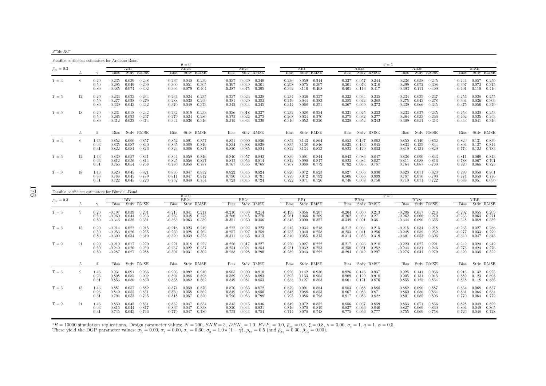$P^{\phi}5fc$ -XC<sup>\*</sup>

Feasible coefficient estimators for Arellano-Bond $\theta$  – 0 AB<sub>2a</sub><br>Bias Stdy RMSE  $\frac{\theta}{\theta} = 1$   $\frac{\theta}{AB2c}$   $\frac{\theta}{AB2a}$  $\bar{\rho}_{x\varepsilon}=0.3$  $\epsilon = 0.3$   $I$   $\epsilon = 0.3$   $I$   $\epsilon = 0.3$   $I$   $\epsilon = 0.3$   $I$   $\epsilon = 0.3$   $I$   $\epsilon = 0.3$   $I$   $\epsilon = 0.3$   $I$   $\epsilon = 0.3$   $I$   $\epsilon = 0.3$   $I$   $\epsilon = 0.3$   $I$   $\epsilon = 0.3$   $I$   $\epsilon = 0.3$   $I$   $\epsilon = 0.3$   $I$   $\epsilon = 0.3$   $I$   $\epsilon = 0.3$   $I$   $\epsilon = 0.3$  L  $\gamma$  Bias Stdv RMSE Bias Stdv RMSE Bias Stdv RMSE Bias Stdv RMSE Bias Stdv RMSE Bias Stdv RMSE Bias Stdv RMSE0.250  $T=3$  $T=3$  6 0.20 -0.235 0.039 0.238 -0.236 0.040 0.239 -0.237 0.039 0.240 -0.236 0.059 0.244 -0.237 0.057 0.244 -0.238 0.058 0.245 -0.244 0.057 0.250<br>0.50 -0.299 0.049 0.299 -0.300 0.051 0.305 -0.297 0.049 0.301 -0.298 0.075  $\begin{array}{cccccccccccc} 0.50 & -0.295 & 0.049 & 0.299 & -0.300 & 0.051 & 0.305 & -0.297 & 0.049 & 0.301 & -0.298 & 0.075 & 0.307 & -0.301 & 0.073 & 0.310 & -0.299 & 0.072 & 0.315 & -0.310 & 0.072 & 0.315 & 0.307 & 0.310 & -0.395 & 0.072 & 0.315 & 0.307 & 0.072 & 0.315 & 0$  $0.416$  $-0.385$   $0.074$   $0.392$ 0.255  $T=6$  $T=6$   $12$   $0.20$   $-0.233$   $0.023$   $0.234$   $-0.234$   $0.024$   $0.235$   $-0.237$   $0.023$   $0.238$   $-0.234$   $0.036$   $0.237$   $-0.232$   $0.034$   $0.235$   $-0.234$   $0.035$   $0.237$   $-0.254$   $0.028$   $0.255$   $0.306$   $0.237$   $-0.254$   $0.$ 0.50 -0.277 0.028 0.279 -0.288 0.030 0.290 -0.281 0.029 0.282 -0.279 0.044 0.283 -0.285 0.042 0.288 -0.275 0.043 0.278 -0.304 0.036 0.3060.379 0.80 -0.339 0.043 0.342 -0.370 0.049 0.373 -0.342 0.044 0.345 -0.344 0.068 0.351 -0.367 0.069 0.373 -0.339 0.066 0.345 -0.375 0.056 0.379 $T=9$  $T=9$   $18$   $0.20$   $-0.231$   $0.018$   $0.232$   $-0.232$   $0.019$   $0.233$   $-0.236$   $0.018$   $0.237$   $-0.232$   $0.028$   $0.234$   $-0.231$   $0.025$   $0.233$   $-0.233$   $0.027$   $0.235$   $-0.253$   $0.020$   $0.253$ <br> $0.253$   $0.266$   $-0.267$   $-0$ 0.50 -0.266 0.022 0.267 -0.279 0.024 0.280 -0.272 0.022 0.273 -0.268 0.034 0.270 -0.275 0.032 0.277 -0.264 0.033 0.266 -0.292 0.025 0.293 $0.041$   $0.346$ 0.80 -0.312 0.033 0.314 -0.344 0.038 0.346 -0.319 0.034 0.320 -0.316 0.052 0.320 -0.338 0.052 0.342 -0.309 0.051 0.313 -0.343 0.041 0.346 $L \qquad \qquad \beta$ Bias Stdv RMSE Bias Stdv RMSE Bias Stdv RMSE Bias Stdv RMSE Bias Stdv RMSE Bias Stdv RMSE Bias Stdv RMSE Bias Stdv RMSE 0.839  $T=3$  $T=3$  6  $1.43$   $0.852$   $0.090$   $0.857$   $0.852$   $0.091$   $0.857$   $0.851$   $0.090$   $0.856$   $0.852$   $0.143$   $0.864$   $0.852$   $0.137$   $0.862$   $0.850$   $0.131$   $0.839$   $0.131$   $0.839$   $0.131$   $0.839$   $0.131$   $0.839$   $0.131$   $0.814$ 0.93 0.835 0.087 0.840 0.835 0.089 0.840 0.834 0.088 0.838 0.835 0.138 0.846 0.835 0.133 0.845 0.833 0.135 0.844 0.804 0.127 0.8140.783 0.31 0.822 0.084 0.826 0.823 0.086 0.827 0.820 0.085 0.824 0.822 0.134 0.833 0.823 0.129 0.833 0.819 0.131 0.829 0.773 0.122 0.7830.813  $T=6$  $T=6$   $12$   $1.43$   $0.839$   $0.057$   $0.841$   $0.844$   $0.059$   $0.846$   $0.840$   $0.057$   $0.842$   $0.839$   $0.091$   $0.844$   $0.843$   $0.086$   $0.847$   $0.838$   $0.090$   $0.843$   $0.811$   $0.068$   $0.811$ <br> $0.823$   $0.810$   $0.812$   $0.056$   $0.$ 0.93 0.812 0.056 0.814 0.825 0.058 0.827 0.812 0.056 0.814 0.812 0.090 0.817 0.823 0.084 0.827 0.811 0.088 0.816 0.788 0.067 0.7910.723 0.31 0.766 0.054 0.768 0.785 0.058 0.787 0.767 0.055 0.768 0.767 0.088 0.772 0.782 0.085 0.787 0.764 0.087 0.769 0.720 0.066 0.723 $T=9$  $T=9 \hspace{1cm} 18 \hspace{1cm} 1.43 \hspace{1cm} 0.820 \hspace{1cm} 0.045 \hspace{1cm} 0.821 \hspace{1cm} 0.830 \hspace{1cm} 0.047 \hspace{1cm} 0.832 \hspace{1cm} 0.822 \hspace{1cm} 0.045 \hspace{1cm} 0.824 \hspace{1cm} 0.820 \hspace{1cm} 0.072 \hspace{1cm} 0.823 \hspace{1cm} 0.827 \hspace{1cm} 0.066 \hspace{1cm} 0.830$  $\begin{array}{cccccccccccc} 1.43 & 0.820 & 0.045 & 0.821 & 0.830 & 0.047 & 0.832 & 0.822 & 0.045 & 0.824 & 0.820 & 0.072 & 0.823 & 0.827 & 0.066 & 0.830 & 0.820 & 0.071 & 0.823 & 0.799 & 0.050 & 0.801 \\ 0.93 & 0.788 & 0.179 & 0.811 & 0.047 & 0.812 & 0.799 & 0.045 & 0.$  $0.688$   $0.051$   $0.690$ 0.31 0.722 0.045 0.723 0.752 0.049 0.754 0.723 0.045 0.724 0.722 0.071 0.726 0.746 0.068 0.750 0.719 0.071 0.722 0.688 0.051 0.690

| Feasible coefficient estimators for Blundell-Bond |    |                      |                                  |                         |                         |                                  |                         |                         |                                  |                         |                         |                                  |                         |                         |                                  |                         |                         |                                  |                         |                         |                                  |                         |                                 |
|---------------------------------------------------|----|----------------------|----------------------------------|-------------------------|-------------------------|----------------------------------|-------------------------|-------------------------|----------------------------------|-------------------------|-------------------------|----------------------------------|-------------------------|-------------------------|----------------------------------|-------------------------|-------------------------|----------------------------------|-------------------------|-------------------------|----------------------------------|-------------------------|---------------------------------|
|                                                   |    |                      |                                  |                         |                         |                                  | $\theta = 0$            |                         |                                  |                         |                         |                                  |                         |                         |                                  |                         |                         | $\theta = 1$                     |                         |                         |                                  |                         |                                 |
| $\bar{\rho}_{x\varepsilon}=0.3$                   |    |                      |                                  | BB1                     |                         |                                  | BB2a                    |                         |                                  | BB2c                    |                         |                                  | BB1.                    |                         |                                  | BB2a                    |                         |                                  | BB2c                    |                         |                                  | МВВ                     |                                 |
|                                                   |    |                      | <b>Bias</b>                      |                         | Stdy RMSE               | <b>Bias</b>                      |                         | Stdy RMSE               | <b>Bias</b>                      |                         | Stdy RMSE               | <b>Bias</b>                      |                         | Stdy RMSE               | <b>Bias</b>                      |                         | Stdy RMSE               | <b>Bias</b>                      |                         | Stdy RMSE               | <b>Bias</b>                      |                         | Stdy RMSE                       |
| $T=3$                                             | 9  | 0.20<br>0.50<br>0.80 | $-0.197$<br>$-0.260$<br>-0.346   | 0.039<br>0.044<br>0.058 | 0.201<br>0.263<br>0.351 | $-0.213$<br>$-0.269$<br>$-0.353$ | 0.041<br>0.048<br>0.063 | 0.217<br>0.273<br>0.359 | $-0.210$<br>$-0.266$<br>$-0.351$ | 0.039<br>0.045<br>0.060 | 0.214<br>0.270<br>0.356 | $-0.199$<br>$-0.261$<br>$-0.345$ | 0.056<br>0.066<br>0.090 | 0.207<br>0.269<br>0.357 | $-0.204$<br>$-0.262$<br>$-0.349$ | 0.060<br>0.069<br>0.091 | 0.213<br>0.271<br>0.361 | $-0.206$<br>$-0.262$<br>$-0.344$ | 0.057<br>0.066<br>0.090 | 0.213<br>0.270<br>0.355 | $-0.202$<br>$-0.263$<br>$-0.348$ | 0.064<br>0.089          | $0.055$ 0.209<br>0.271<br>0.359 |
| $T=6$                                             | 15 | 0.20<br>0.50<br>0.80 | $-0.214$<br>$-0.253$<br>$-0.309$ | 0.022<br>0.026<br>0.034 | 0.215<br>0.255<br>0.310 | $-0.218$<br>$-0.260$<br>$-0.320$ | 0.023<br>0.028<br>0.039 | 0.219<br>0.262<br>0.323 | $-0.222$<br>$-0.257$<br>$-0.311$ | 0.022<br>0.027<br>0.036 | 0.223<br>0.259<br>0.313 | $-0.215$<br>$-0.255$<br>$-0.310$ | 0.034<br>0.040<br>0.055 | 0.218<br>0.258<br>0.315 | $-0.212$<br>$-0.253$<br>$-0.314$ | 0.034<br>0.041<br>0.055 | 0.215<br>0.256<br>0.319 | $-0.215$<br>$-0.248$<br>$-0.301$ | 0.034<br>0.039<br>0.053 | 0.218<br>0.252<br>0.306 | $-0.235$<br>$-0.277$<br>$-0.340$ | 0.027<br>0.033<br>0.047 | 0.236<br>0.279<br>0.343         |
| $T=9$                                             | 21 | 0.20<br>0.50<br>0.80 | $-0.219$<br>$-0.249$<br>$-0.287$ | 0.017<br>0.020<br>0.027 | 0.220<br>0.250<br>0.288 | $-0.221$<br>$-0.257$<br>$-0.301$ | 0.018<br>0.022<br>0.031 | 0.222<br>0.257<br>0.302 | $-0.226$<br>$-0.254$<br>$-0.288$ | 0.017<br>0.021<br>0.028 | 0.227<br>0.254<br>0.290 | $-0.220$<br>$-0.251$<br>$-0.289$ | 0.027<br>0.032<br>0.043 | 0.222<br>0.253<br>0.292 | $-0.217$<br>$-0.250$<br>$-0.294$ | 0.026<br>0.031<br>0.042 | 0.218<br>0.252<br>0.297 | $-0.220$<br>$-0.244$<br>$-0.276$ | 0.027<br>0.031<br>0.041 | 0.221<br>0.246<br>0.279 | $-0.242$<br>$-0.275$<br>$-0.320$ | 0.020<br>0.024<br>0.035 | 0.242<br>0.276<br>0.322         |
|                                                   |    | $\beta$              |                                  |                         | Bias Stdy RMSE          |                                  |                         | Bias Stdy RMSE          |                                  |                         | Bias Stdy RMSE          |                                  |                         | Bias Stdy RMSE          |                                  |                         | Bias Stdy RMSE          |                                  | Bias Stdy RMSE          |                         |                                  |                         | Bias Stdy RMSE                  |
| $T=3$                                             | 9  | 1.43<br>0.93<br>0.31 | 0.931<br>0.898<br>0.856          | 0.091<br>0.085<br>0.080 | 0.936<br>0.902<br>0.860 | 0.906<br>0.894<br>0.858          | 0.092<br>0.086<br>0.082 | 0.910<br>0.898<br>0.862 | 0.905<br>0.889<br>0.849          | 0.090<br>0.085<br>0.081 | 0.910<br>0.893<br>0.853 | 0.926<br>0.895<br>0.853          | 0.142<br>0.133<br>0.127 | 0.936<br>0.905<br>0.863 | 0.926<br>0.909<br>0.861          | 0.143<br>0.129<br>0.121 | 0.937<br>0.918<br>0.870 | 0.925<br>0.905<br>0.855          | 0.141<br>0.131<br>0.125 | 0.936<br>0.915<br>0.864 | 0.916<br>0.889<br>0.848          | 0.132<br>0.123<br>0.118 | 0.925<br>0.898<br>0.856         |
| $T=6$                                             | 15 | 1.43<br>0.93<br>0.31 | 0.881<br>0.849<br>0.794          | 0.057<br>0.055<br>0.053 | 0.882<br>0.851<br>0.795 | 0.874<br>0.860<br>0.818          | 0.059<br>0.058<br>0.057 | 0.876<br>0.862<br>0.820 | 0.870<br>0.849<br>0.796          | 0.056<br>0.055<br>0.053 | 0.872<br>0.850<br>0.798 | 0.879<br>0.848<br>0.793          | 0.091<br>0.088<br>0.086 | 0.884<br>0.853<br>0.798 | 0.883<br>0.867<br>0.817          | 0.088<br>0.085<br>0.083 | 0.888<br>0.871<br>0.822 | 0.882<br>0.860<br>0.801          | 0.090<br>0.086<br>0.085 | 0.887<br>0.864<br>0.805 | 0.854<br>0.831<br>0.770          | 0.068<br>0.066<br>0.064 | 0.857<br>0.834<br>0.772         |
| $T=9$                                             | 21 | 1.43<br>0.93<br>0.31 | 0.850<br>0.816<br>0.745          | 0.045<br>0.044<br>0.043 | 0.851<br>0.817<br>0.746 | 0.852<br>0.836<br>0.779          | 0.047<br>0.047<br>0.047 | 0.854<br>0.838<br>0.780 | 0.845<br>0.820<br>0.752          | 0.045<br>0.044<br>0.044 | 0.846<br>0.821<br>0.754 | 0.849<br>0.816<br>0.744          | 0.072<br>0.070<br>0.070 | 0.852<br>0.819<br>0.748 | 0.856<br>0.837<br>0.775          | 0.067<br>0.066<br>0.066 | 0.859<br>0.840<br>0.777 | 0.853<br>0.827<br>0.755          | 0.071<br>0.069<br>0.069 | 0.856<br>0.830<br>0.758 | 0.828<br>0.804<br>0.726          | 0.049<br>0.049<br>0.048 | 0.829<br>0.805<br>0.728         |

 ${}^*R = 10000$  simulation replications. Design parameter values:  $N = 200$ ,  $SNR = 3$ ,  $DEN_y = 1.0$ ,  $EVF_x = 0.0$ ,  $\bar{p}_{xz} = 0.3$ ,  $\xi = 0.8$ ,  $\kappa = 0.00$ ,  $\sigma_{\varepsilon} = 1$ ,  $q = 1$ ,  $\phi = 0.5$ .<br>These yield the DGP parameter values:  $\pi$  $*R = 10000$  simulation replications. Design parameter values:  $N = 200$ ,  $SNR = 3$ ,  $DEN_y = 1.0$ ,  $EVF_x = 0.0$ ,  $\bar{\rho}_{xz} = 0.3$ ,  $\xi = 0.8$ , These yield the DGP parameter values:  $\pi_{\lambda} = 0.00$ ,  $\pi_{\eta} = 0.00$ ,  $\sigma_v = 0.60$ ,  $\sigma_{\eta}$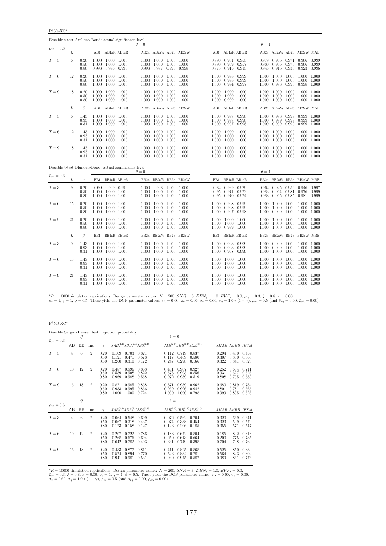$P^{\phi}$ 5ft-XC\*

| Feasible t-test Arellano-Bond: actual significance level |    |                      |                |                                                             |                 |                |                                                                   |       |                         |                |                                                             |                |                         |                                                                                         |                |                                           |                |
|----------------------------------------------------------|----|----------------------|----------------|-------------------------------------------------------------|-----------------|----------------|-------------------------------------------------------------------|-------|-------------------------|----------------|-------------------------------------------------------------|----------------|-------------------------|-----------------------------------------------------------------------------------------|----------------|-------------------------------------------|----------------|
|                                                          |    |                      |                |                                                             |                 | $\theta = 0$   |                                                                   |       |                         |                |                                                             |                | $\theta=1$              |                                                                                         |                |                                           |                |
| $\bar{\rho}_{x\varepsilon}=0.3$                          | L  | $\gamma$             |                |                                                             | AB1 AB1aR AB1cR |                |                                                                   |       | AB2a AB2aW AB2c AB2cW   |                | AB1 AB1aR AB1cR                                             |                |                         | AB2a AB2aW AB2c AB2cW MAB                                                               |                |                                           |                |
| $T=3$                                                    | 6  | 0.20<br>0.50<br>0.80 | 1.000<br>0.998 | 1.000 1.000 1.000<br>1.000 1.000                            | 0.998 0.998     | 1.000<br>0.998 | 1.000 1.000 1.000 1.000<br>1.000<br>0.997 0.998                   | 1.000 | 1.000<br>0.998          | 0.990          | 0.990 0.961 0.955<br>0.959<br>0.973 0.915 0.913             | 0.957          | 0.980<br>0.948          | 0.979 0.966 0.971 0.966 0.999<br>0.965<br>0.916                                         | 0.973<br>0.933 | 0.966<br>0.923                            | 0.999<br>0.996 |
| $T=6$                                                    | 12 | 0.20<br>0.50<br>0.80 | 1.000          | 1.000 1.000 1.000<br>1.000 1.000 1.000<br>1.000 1.000       |                 | 1.000<br>1.000 | $1.000$ $1.000$ $1.000$ $1.000$<br>1.000 1.000<br>1.000 1.000     |       | 1.000<br>1.000          | 1.000          | 1.000 0.998 0.999<br>1.000 0.998<br>0.994 0.997             | 0.999          | 1.000<br>1.000<br>1.000 | 1.000 1.000<br>1.000<br>0.998                                                           | 1.000<br>0.998 | 1.000 1.000<br>1.000 1.000<br>0.998       | 1.000          |
| $T=9$                                                    | 18 | 0.20<br>0.50<br>0.80 | 1.000          | 1.000 1.000 1.000<br>1.000 1.000<br>1.000 1.000 1.000       |                 | 1.000          | 1.000 1.000 1.000 1.000<br>1.000<br>1.000 1.000 1.000 1.000       | 1.000 | 1.000                   |                | 1.000 1.000 1.000<br>1.000 1.000 1.000<br>1.000 0.999 1.000 |                | 1.000                   | 1.000 1.000 1.000 1.000 1.000<br>1.000<br>1.000 1.000 1.000 1.000 1.000                 | 1.000          | 1.000 1.000                               |                |
|                                                          | L  | $\beta$              | AB1            | AB1aR AB1cR                                                 |                 |                |                                                                   |       | AB2a AB2aW AB2c AB2cW   | AB1            | AB1aR AB1cR                                                 |                |                         | AB2a AB2aW AB2c AB2cW MAB                                                               |                |                                           |                |
| $T=3$                                                    | 6  | 1.43<br>0.93<br>0.31 |                | 1.000 1.000 1.000<br>1.000 1.000 1.000<br>1.000 1.000 1.000 |                 | 1.000          | 1.000 1.000 1.000 1.000<br>1.000 1.000 1.000 1.000<br>1.000 1.000 |       | 1.000                   |                | 1.000 0.997 0.998<br>1.000 0.997 0.998<br>1.000 0.997 0.998 |                | 1.000<br>1.000          | 1.000 0.998 0.999<br>0.999<br>0.999                                                     | 0.999<br>0.999 | 0.999 1.000<br>0.999 1.000<br>0.999 1.000 |                |
| $T=6$                                                    | 12 | 1.43<br>0.93<br>0.31 | 1.000          | 1.000 1.000 1.000<br>1.000 1.000<br>1.000 1.000 1.000       |                 | 1.000          | 1.000 1.000 1.000 1.000<br>1.000<br>1.000 1.000 1.000 1.000       | 1.000 | 1.000                   |                | 1.000 1.000 1.000<br>1.000 1.000 1.000<br>1.000 1.000 1.000 |                | 1.000                   | 1.000 1.000 1.000 1.000 1.000<br>1.000<br>1.000 1.000 1.000 1.000 1.000                 | 1.000          | 1.000 1.000                               |                |
| $T=9$                                                    | 18 | 1.43<br>0.93<br>0.31 |                | 1.000 1.000 1.000<br>1.000 1.000 1.000<br>1.000 1.000 1.000 |                 | 1.000<br>1.000 | 1.000 1.000<br>1.000 1.000<br>1.000 1.000 1.000                   |       | 1.000<br>1.000<br>1.000 |                | 1.000 1.000 1.000<br>1.000 1.000 1.000<br>1.000 1.000 1.000 |                | 1.000<br>1.000          | 1.000<br>1.000<br>1.000 1.000 1.000 1.000 1.000                                         | 1.000<br>1.000 | 1.000 1.000<br>1.000                      | 1.000          |
| Feasible t-test Blundell-Bond: actual significance level |    |                      |                |                                                             |                 | $\theta = 0$   |                                                                   |       |                         |                |                                                             |                | $\theta = 1$            |                                                                                         |                |                                           |                |
| $\bar{\rho}_{x\varepsilon}=0.3$                          | L  | $\gamma$             | BB1            |                                                             | BB1aR BB1cR     |                |                                                                   |       | BB2a BB2aW BB2c BB2cW   | BB1            | BB1aR BB1cR                                                 |                |                         | BB2a BB2aW BB2c BB2cW MBB                                                               |                |                                           |                |
| $T=3$                                                    | 9  | 0.20<br>0.50<br>0.80 | 1.000<br>1.000 | 0.999 0.999 0.999<br>1.000 1.000<br>1.000 1.000             |                 | 1.000<br>1.000 | 1.000  0.998  1.000  1.000<br>1.000<br>1.000 1.000                | 1.000 | 1.000<br>1.000          | 0.995<br>0.995 | 0.982 0.939 0.929<br>0.971<br>0.970                         | 0.972<br>0.974 | 0.983<br>0.988          | 0.962 0.925<br>0.964<br>0.965                                                           | 0.981<br>0.985 | 0.956 0.946 0.997<br>0.976<br>0.981       | 0.999<br>0.999 |
| $T=6$                                                    | 15 | 0.20<br>0.50<br>0.80 |                | 1.000 1.000 1.000<br>1.000 1.000 1.000<br>1.000 1.000 1.000 |                 | 1.000<br>1.000 | 1.000 1.000 1.000 1.000<br>1.000<br>1.000 1.000                   | 1.000 | 1.000<br>1.000          | 1.000<br>1.000 | 1.000 0.998<br>0.998<br>0.997 0.998                         | 0.999<br>0.999 | 1.000<br>1.000          | 1.000 1.000 1.000 1.000 1.000<br>1.000<br>0.999                                         | 1.000<br>1.000 | 1.000 1.000<br>1.000 1.000                |                |
| $T=9$                                                    | 21 | 0.20<br>0.50<br>0.80 |                | 1.000 1.000 1.000<br>1.000 1.000 1.000<br>1.000 1.000 1.000 |                 | 1.000<br>1.000 | 1.000 1.000 1.000<br>1.000<br>1.000 1.000 1.000 1.000             | 1.000 | 1.000                   | 1.000          | 1.000 1.000 1.000<br>1.000 1.000<br>1.000 0.999 1.000       |                | 1.000                   | 1.000 1.000 1.000 1.000 1.000<br>1.000<br>$1.000$ $1.000$ $1.000$ $1.000$ $1.000$       | 1.000          | 1.000 1.000                               |                |
|                                                          | L  | $\beta$              | BB1            | BB1aR BB1cR                                                 |                 |                | BB2a BB2aW BB2c BB2cW                                             |       |                         | BB1            | BB1aR BB1cR                                                 |                | BB <sub>2a</sub>        | BB2aW BB2c                                                                              |                | BB2cW MBB                                 |                |
| $T=3$                                                    | 9  | 1.43<br>0.93<br>0.31 |                | 1.000 1.000 1.000<br>1.000 1.000 1.000<br>1.000 1.000 1.000 |                 | 1.000          | 1.000 1.000 1.000 1.000<br>1.000 1.000 1.000<br>1.000 1.000       |       | 1.000<br>1.000          |                | 1.000 0.998 0.999<br>1.000 0.998<br>1.000 0.998 0.999       | 0.999          | 1.000                   | $1.000$ $0.999$ $1.000$ $1.000$ $1.000$<br>0.999 1.000<br>1.000 1.000 1.000 1.000 1.000 |                | 1.000 1.000                               |                |
| $T=6$                                                    | 15 | 1.43<br>0.93<br>0.31 | 1.000          | 1.000 1.000 1.000<br>1.000 1.000<br>1.000 1.000 1.000       |                 | 1.000<br>1.000 | 1.000 1.000 1.000<br>1.000<br>1.000 1.000 1.000 1.000             | 1.000 | 1.000                   | 1.000          | 1.000 1.000 1.000<br>1.000<br>1.000 1.000 1.000             | 1.000          | 1.000                   | 1.000 1.000 1.000 1.000 1.000<br>1.000<br>1.000 1.000 1.000 1.000 1.000                 | 1.000          | 1.000                                     | 1.000          |
| $T=9\,$                                                  | 21 | 1.43<br>0.93<br>0.31 |                | 1.000 1.000 1.000<br>1.000 1.000 1.000<br>1.000 1.000 1.000 |                 | 1.000<br>1.000 | 1.000 1.000<br>1.000 1.000<br>1.000 1.000 1.000 1.000             |       | 1.000<br>1.000          |                | 1.000 1.000 1.000<br>1.000 1.000 1.000<br>1.000 1.000 1.000 |                | 1.000                   | 1.000<br>1.000 1.000<br>$1.000$ $1.000$ $1.000$ $1.000$ $1.000$                         | 1.000<br>1.000 | 1.000 1.000<br>1.000 1.000                |                |

 ${}^{*}R = 10000$  simulation replications. Design parameter values:  $N = 200$ ,  $SNR = 3$ ,  $DEN_y = 1.0$ ,  $EVF_x = 0.0$ ,  $E_{x\bar{x}} = 0.3$ ,  $\xi = 0.8$ ,  $\kappa = 0.00$ ,<br> $\sigma_x = 1$ ,  $q = 1$ ,  $\phi = 0.5$ . These yield the DGP parameter values:  $\pi_{\lambda}$ 

| $P^{\phi}5fJ-XC^*$                                 |    |    |                |                      |                                                    |                                                    |                                                    |                                                                               |  |  |  |  |  |
|----------------------------------------------------|----|----|----------------|----------------------|----------------------------------------------------|----------------------------------------------------|----------------------------------------------------|-------------------------------------------------------------------------------|--|--|--|--|--|
| Feasible Sargan-Hansen test: rejection probability |    |    |                |                      |                                                    |                                                    |                                                    |                                                                               |  |  |  |  |  |
|                                                    | df |    |                | $\theta = 0$         |                                                    |                                                    |                                                    |                                                                               |  |  |  |  |  |
| $\bar{\rho}_{x\varepsilon}=0.3$                    | AB | BB | Inc            | $\gamma$             | $JAB_a^{(2,1)}JBB_a^{(2,1)}JES_a^{(2,1)}$          |                                                    | $JAB_c^{(2,1)}JBB_c^{(2,1)}JES_c^{(2,1)}$          | JMAB JMBB JESM                                                                |  |  |  |  |  |
| $T=3$                                              | 4  | 6  | $\overline{2}$ | 0.20<br>0.50<br>0.80 | 0.109<br>0.703<br>0.121<br>0.471<br>0.260<br>0.310 | 0.821<br>0.112<br>0.578<br>0.117<br>0.247<br>0.172 | 0.719<br>0.837<br>0.469<br>0.580<br>0.298<br>0.166 | 0.294<br>0.480<br>0.459<br>0.380<br>0.368<br>0.307<br>0.322<br>0.341<br>0.326 |  |  |  |  |  |
| $T=6$                                              | 10 | 12 | $\overline{2}$ | 0.20<br>0.50<br>0.80 | 0.487<br>0.896<br>0.589<br>0.908<br>0.969<br>0.988 | 0.863<br>0.461<br>0.822<br>0.576<br>0.568<br>0.972 | 0.907<br>0.927<br>0.903<br>0.856<br>0.989<br>0.519 | 0.711<br>0.252<br>0.684<br>0.627<br>0.331<br>0.626<br>0.808<br>0.705<br>0.589 |  |  |  |  |  |
| $T=9$                                              | 16 | 18 | $\overline{2}$ | 0.20<br>0.50<br>0.80 | 0.871<br>0.985<br>0.933<br>0.995<br>1.000<br>1.000 | 0.838<br>0.871<br>0.939<br>0.866<br>1.000<br>0.724 | 0.989<br>0.962<br>0.996<br>0.942<br>1.000<br>0.798 | 0.680<br>0.819<br>0.734<br>0.781<br>0.801<br>0.665<br>0.895<br>0.999<br>0.626 |  |  |  |  |  |
|                                                    |    | df |                |                      |                                                    | $\theta = 1$                                       |                                                    |                                                                               |  |  |  |  |  |
| $\bar{\rho}_{x\varepsilon}=0.3$                    | AВ | BB | Inc            | $\gamma$             | $JAB_a^{(2,1)}JBB_a^{(2,1)}JES_a^{(2,1)}$          |                                                    | $JAB_c^{(2,1)}JBB_c^{(2,1)}JES_c^{(2,1)}$          | JMAB JMBB JESM                                                                |  |  |  |  |  |
| $T=3$                                              | 4  | 6  | $\overline{2}$ | 0.20<br>0.50<br>0.80 | 0.064<br>0.548<br>0.067<br>0.318<br>0.123<br>0.158 | 0.699<br>0.072<br>0.074<br>0.437<br>0.127<br>0.123 | 0.562<br>0.704<br>0.338<br>0.454<br>0.206<br>0.185 | 0.320<br>0.669<br>0.641<br>0.323<br>0.599<br>0.579<br>0.355<br>0.571<br>0.547 |  |  |  |  |  |
| $T=6$                                              | 10 | 12 | $\overline{2}$ | 0.20<br>0.50<br>0.80 | 0.207<br>0.722<br>0.268<br>0.676<br>0.642<br>0.782 | 0.786<br>0.188<br>0.250<br>0.694<br>0.631<br>0.403 | 0.672<br>0.804<br>0.613<br>0.664<br>0.749<br>0.398 | 0.802<br>0.818<br>0.185<br>0.775<br>0.200<br>0.785<br>0.798<br>0.704<br>0.760 |  |  |  |  |  |
| $T=9$                                              | 16 | 18 | $\overline{2}$ | 0.20<br>0.50<br>0.80 | 0.483<br>0.877<br>0.894<br>0.574<br>0.941<br>0.981 | 0.811<br>0.411<br>0.770<br>0.526<br>0.531<br>0.930 | 0.825<br>0.868<br>0.834<br>0.781<br>0.975<br>0.587 | 0.850<br>0.830<br>0.525<br>0.564<br>0.823<br>0.802<br>0.861<br>0.989<br>0.776 |  |  |  |  |  |

 ${}^*R = 10000$  simulation replications. Design parameter values:  $N = 200$ ,  $SNR = 3$ ,  $DEN_y = 1.0$ ,  $EVF_x = 0.0$ ,  $\bar{\rho}_{xe} = 0.3$ ,  $\xi = 0.8$ ,  $\kappa = 0.00$ ,  $\sigma_e = 1$ ,  $q = 1$ ,  $\phi = 0.5$ . These yield the DGP parameter values:  $\pi_{\lambda} =$